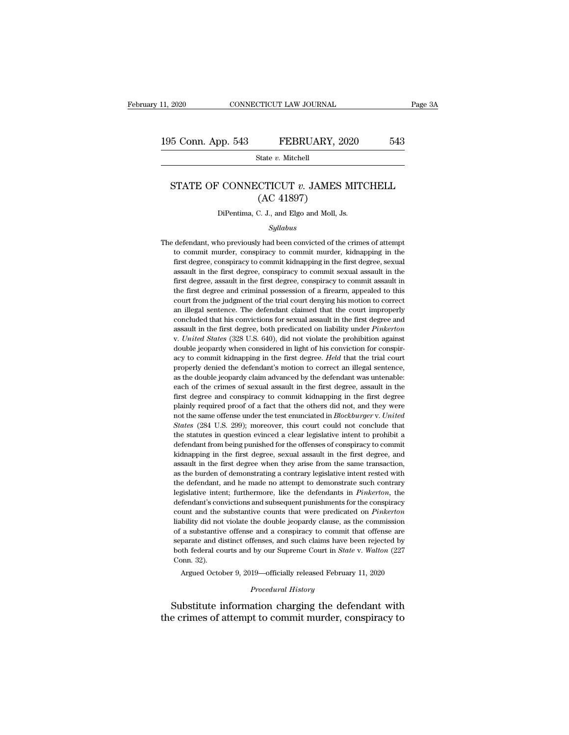# 11, 2020 CONNECTICUT LAW JOURNAL Page 3A<br>
195 Conn. App. 543 FEBRUARY, 2020 543<br>
State v. Mitchell

State *v.* Mitchell

### 5 Conn. App. 543 FEBRUARY, 2020 543<br>
State *v.* Mitchell<br>
STATE OF CONNECTICUT *v.* JAMES MITCHELL<br>
(AC 41897) FEBRUARY, 2<br>
State v. Mitchell<br>
CTICUT v. JAMES<br>
(AC 41897)<br>
C. J., and Elgo and Moll, J. STATE OF CONNECTICUT  $v$ . JAMES MITCHELL<br>(AC 41897)<br>DiPentima, C. J., and Elgo and Moll, Js.

### *Syllabus*

THE OF CONNECTIC T  $\overline{v}$ . JAMES MITCHELL<br>
(AC 41897)<br>
DiPentima, C. J., and Elgo and Moll, Js.<br>
Syllabus<br>
The defendant, who previously had been convicted of the crimes of attempt<br>
to commit murder, conspiracy to commi  $(AC 41897)$ <br>DiPentima, C. J., and Elgo and Moll, Js.<br> $Syllabus$ <br>defendant, who previously had been convicted of the crimes of attempt<br>to commit murder, conspiracy to commit murder, kidnapping in the<br>first degree, conspiracy to DiPentima, C. J., and Elgo and Moll, Js.<br>
Syllabus<br>
defendant, who previously had been convicted of the crimes of attempt<br>
to commit murder, conspiracy to commit murder, kidnapping in the<br>
first degree, conspiracy to commi *Syllabus*<br>*Syllabus*<br>defendant, who previously had been convicted of the crimes of attempt<br>to commit murder, conspiracy to commit murder, kidnapping in the<br>first degree, conspiracy to commit sexual assault in the<br>first de  $Syllabus$ <br>defendant, who previously had been convicted of the crimes of attempt<br>to commit murder, conspiracy to commit murder, kidnapping in the<br>first degree, conspiracy to commit kidnapping in the first degree, sexual<br>assau defendant, who previously had been convicted of the crimes of attempt<br>to commit murder, conspiracy to commit murder, kidnapping in the<br>first degree, conspiracy to commit kidnapping in the first degree, sexual<br>assault in th decrimative, the previously had seen convicted of all chines of all allemptive to commit murder, conspiracy to commit murder, kidnapping in the first degree, conspiracy to commit sexual assault in the first degree, assault and interest degree, conspiracy to commit kidnapping in the first degree, conspiracy to commit kidnapping in the first degree, sexual assault in the first degree, conspiracy to commit sexual assault in the first degree and matured that the first degree, conspiracy to commit sexual assault in the first degree, assault in the first degree, conspiracy to commit sexual assault in the first degree and criminal possession of a firearm, appealed t assault in the first degree, conspiracy to commit assault in the first degree, assault in the first degree and criminal possession of a firearm, appealed to this court from the judgment of the trial court denying his motio The first degree, assuant in the first degree, conspiracy to commit assuant in the first degree and criminal possession of a firearm, appealed to this court from the judgment of the trial court denying his motion to correc double jeopardy when considered in light of his conviction for correct<br>an illegal sentence. The defendant claimed that the court improperly<br>concluded that his convictions for sexual assault in the first degree and<br>assault and illegal sentence. The defendant claimed that the court improperly concluded that his convictions for sexual assault in the first degree and assault in the first degree, both predicated on liability under *Pinkerton* v. at megal sentence. The detendant enanced dual are court improperty<br>concluded that his convictions for sexual assault in the first degree and<br>assault in the first degree, both predicated on liability under *Pinkerton*<br>v. Un concriduated that his convictions for sexual assault in the first degree that assault in the first degree, both predicated on liability under *Pinkerton* v. United States (328 U.S. 640), did not violate the prohibition aga assault in the crimes (328 U.S. 640), did not violate the prohibition against double jeopardy when considered in light of his conviction for conspiracy to commit kidnapping in the first degree. *Held* that the trial court First degree and conspiracy to commit kidnapping in the first degree. Held that the trial court properly denied the defendant's motion to correct an illegal sentence, as the double jeopardy claim advanced by the defendant able is good to commit kidnapping in the first degree. *Held* that the trial court properly denied the defendant's motion to correct an illegal sentence, as the double jeopardy claim advanced by the defendant was untenable note the same offense under the test enunciated in *Blockburger* v. *United* was under the same of the crimes of sexual assault in the first degree, assault in the first degree and conspiracy to commit kidnapping in the fi as the double jeopardy claim advanced by the defendant was untenable:<br>each of the crimes of sexual assault in the first degree, assault in the<br>first degree and conspiracy to commit kidnapping in the first degree<br>plainly re as the dodose jeoparty chain tarriticed by the determinant was uncluded.<br>
First degree and conspiracy to commit kidnapping in the first degree<br>
plainly required proof of a fact that the others did not, and they were<br>
not t definited the commission of the definited for the distribution of the first degree plainly required proof of a fact that the others did not, and they were not the same offense under the test enunciated in *Blockburger* v. hist degree and conspiracy to commit kanapping in the mst degree<br>plainly required proof of a fact that the others did not, and they were<br>not the same offense under the test enunciated in *Blockburger v. United*<br>*States* (2 plainly required proof of a fact that the others did not, and they were not the same offense under the test enunciated in *Blockburger v. United States* (284 U.S. 299); moreover, this court could not conclude that the sta Burden of demonstrating a contrary legislative intent rested with the statutes in question evinced a clear legislative intent to prohibit a defendant from being punished for the offenses of conspiracy to commit kidnapping backed (EST C.E. 200), moreover, and court coard not concreate and<br>the statutes in question evinced a clear legislative intent to prohibit a<br>defendant from being punished for the offenses of conspiracy to commit<br>kidnapping defendant from being punished for the offenses of conspiracy to commit<br>defendant from being punished for the offenses of conspiracy to commit<br>kidnapping in the first degree, sexual assault in the first degree, and<br>assault definant from our punished for the offerses of conspiracy to commit<br>kidnapping in the first degree, sexual assault in the first degree, and<br>assault in the first degree when they arise from the same transaction,<br>as the burd counterparty in the first degree, sexual assault in the first degree, and assault in the first degree when they arise from the same transaction, as the burden of demonstrating a contrary legislative intent rested with the distant in the most degree when drey alled notifiar as the burden of demonstrating a contrary legislative intent rested with the defendant, and he made no attempt to demonstrate such contrary legislative intent; furthermor different and a substantinum and a consideration of demonstrate such contrary<br>legislative intent; furthermore, like the defendants in *Pinkerton*, the<br>defendant's convictions and subsequent punishments for the conspiracy<br>c legislative intent; furthermore, like the defendants in *Pinkerton*, the defendant's convictions and subsequent punishments for the conspiracy count and the substantive counts that were predicated on *Pinkerton* liability both federal convictions and subsequent punishments for the conspiracy count and the substantive counts that were predicated on *Pinkerton* liability did not violate the double jeopardy clause, as the commission of a subst count and the scheme count and the size of a substantive separate and different conn. 32).<br>Conn. 32).<br>Argued Octob bility did not violate the double jeopardy clause, as the commission<br>a substantive offense and a conspiracy to commit that offense are<br>parate and distinct offenses, and such claims have been rejected by<br>oth federal courts % of a substantive offense and a conspiracy to commit that offense are separate and distinct offenses, and such claims have been rejected by both federal courts and by our Supreme Court in *State v. Walton* (227 Conn. 32). of a substantive offense and a conspiracy to commit that offense are<br>separate and distinct offenses, and such claims have been rejected by<br>both federal courts and by our Supreme Court in *State* v. Walton (227<br>Conn. 32).<br>A separate and usunct onenses, and such claims have been rejected by<br>both federal courts and by our Supreme Court in *State v. Walton* (227<br>Conn. 32).<br>Argued October 9, 2019—officially released February 11, 2020<br>*Procedural*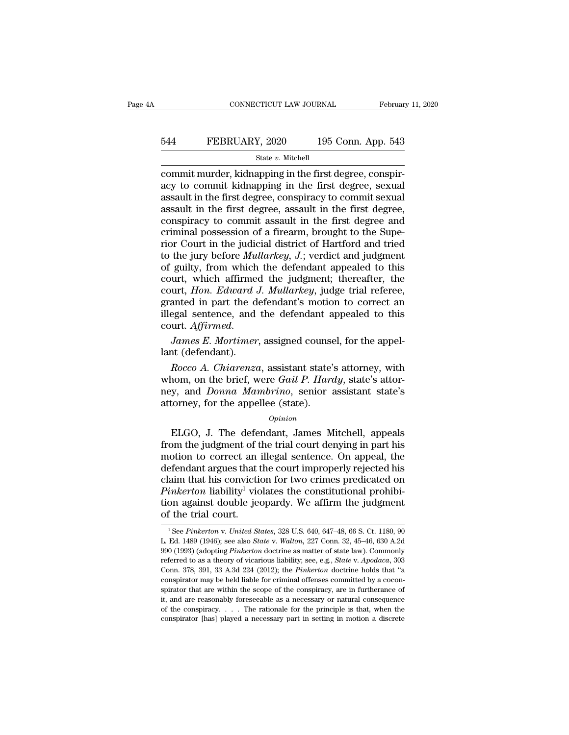# EXECUTE CONNECTICUT LAW JOURNAL February 11, 2020<br>544 FEBRUARY, 2020 195 Conn. App. 543<br>5tate v. Mitchell

### State *v.* Mitchell

CONNECTICUT LAW JOURNAL Februar<br>
Februar<br>
FEBRUARY, 2020 195 Conn. App. 543<br>
State v. Mitchell<br>
Commit murder, kidnapping in the first degree, conspir-<br>
acy to commit kidnapping in the first degree, sexual<br>
assault in the EXECT SALE FOR THE SERICARY, 2020<br>
FOR STATE 195 Conn. App. 543<br>
State v. Mitchell<br>
commit murder, kidnapping in the first degree, conspir-<br>
acy to commit kidnapping in the first degree, sexual<br>
assault in the first degree EBRUARY, 2020 195 Conn. App. 543<br>  $\frac{\text{State } v. \text{ Mitchell}}{\text{commit murder, kidnapping in the first degree, conspiracy to commit kidnapping in the first degree, sexual assault in the first degree, conspiracy to commit sexual assault in the first degree, assault in the first degree, conspiracy to commit essential in the first degree, conspiracy to commit assault in the first degree and$ EBRUARY, 2020 195 Conn. App. 543<br>  $\frac{\text{State } v. \text{ Mitchell}}{\text{commit murder, kidnapping in the first degree, conspir-}}$ <br>
acy to commit kidnapping in the first degree, sexual<br>
assault in the first degree, conspiracy to commit sexual<br>
assault in the first degree, assault in EXECTRIT, 2020 135 COMI. Typp. 040<br>
State v. Mitchell<br>
commit murder, kidnapping in the first degree, conspir-<br>
acy to commit kidnapping in the first degree, sexual<br>
assault in the first degree, conspiracy to commit sexua State v. Mitchell<br>commit murder, kidnapping in the first degree, conspir-<br>acy to commit kidnapping in the first degree, sexual<br>assault in the first degree, conspiracy to commit sexual<br>assault in the first degree, assault commit murder, kidnapping in the first degree, conspiracy to commit kidnapping in the first degree, sexual<br>assault in the first degree, conspiracy to commit sexual<br>assault in the first degree, assault in the first degree a acy to commit kidnapping in the first degree, sexual<br>assault in the first degree, conspiracy to commit sexual<br>assault in the first degree, assault in the first degree,<br>conspiracy to commit assault in the first degree and<br>c assault in the first degree, conspiracy to commit sexual<br>assault in the first degree, assault in the first degree,<br>conspiracy to commit assault in the first degree and<br>criminal possession of a firearm, brought to the Supe assault in the first degree, assault in the first degree, conspiracy to commit assault in the first degree and criminal possession of a firearm, brought to the Superior Court in the judicial district of Hartford and tried conspiracy to commit assault in the first degree and<br>criminal possession of a firearm, brought to the Supe-<br>rior Court in the judicial district of Hartford and tried<br>to the jury before *Mullarkey*, *J*.; verdict and judgme criminal possession of a firearm, brought to the Superior Court in the judicial district of Hartford and tried<br>to the jury before *Mullarkey*, *J*.; verdict and judgment<br>of guilty, from which the defendant appealed to this rior Court in the judicial district of Hartford and tried<br>to the jury before *Mullarkey*, *J*.; verdict and judgment<br>of guilty, from which the defendant appealed to this<br>court, which affirmed the judgment; thereafter, the<br> of guilty, from which the defendant appealed to this court, which affirmed the judgment; thereafter, the court, *Hon. Edward J. Mullarkey*, judge trial referee, granted in part the defendant's motion to correct an illegal court, which affirmed<br>
court, *Hon. Edward*<br>
granted in part the dillegal sentence, and<br>
court. *Affirmed.*<br>
James E. Mortimer.<br>
lant (defendant).<br>
Rocco A. Chiarenzo *Ron. Edward J. Multarkey, judge that referee,*<br>anted in part the defendant's motion to correct an<br>egal sentence, and the defendant appealed to this<br>urt. *Affirmed.*<br>James E. Mortimer, assigned counsel, for the appel-<br>at (

granted in part the defendant s motion to correct and<br>illegal sentence, and the defendant appealed to this<br>court. Affirmed.<br>James E. Mortimer, assigned counsel, for the appel-<br>lant (defendant).<br>Rocco A. Chiarenza, assistan negar sentence, and the defendant appeared to this<br>court. Affirmed.<br>James E. Mortimer, assigned counsel, for the appel-<br>lant (defendant).<br>Rocco A. Chiarenza, assistant state's attorney, with<br>whom, on the brief, were *Gail* COUTT. Affirmed.<br>
James E. Mortimer, assigned counse<br>
lant (defendant).<br>
Rocco A. Chiarenza, assistant state'<br>
whom, on the brief, were Gail P. Hard<br>
mey, and Donna Mambrino, senior :<br>
attorney, for the appellee (state).<br> Rocco A. Chiarenza, assistant state's attorney, with<br>nom, on the brief, were *Gail P. Hardy*, state's attor-<br>y, and *Donna Mambrino*, senior assistant state's<br>torney, for the appellee (state).<br> $o_{pinion}$ <br>ELGO, J. The defendan *Rocco A. Chuarenza*, assistant state's attorney, with<br>whom, on the brief, were *Gail P. Hardy*, state's attor-<br>ney, and *Donna Mambrino*, senior assistant state's<br>attorney, for the appellee (state).<br>*Opinion*<br>ELGO, J. The

### *Opinion*

whold, on the brief, were Gau F. Haray, state's attorney, and *Donna Mambrino*, senior assistant state's attorney, for the appellee (state).<br>  $\begin{array}{c}opinion\\Dpinion\end{array}$  ELGO, J. The defendant, James Mitchell, appeals from the j definition. The appellee (state).<br>
attorney, for the appellee (state).<br>
opinion<br>
ELGO, J. The defendant, James Mitchell, appeals<br>
from the judgment of the trial court denying in part his<br>
motion to correct an illegal sente opinion<br>
compleme (state).<br>
Complement of the trial court denying in part his<br>
from the judgment of the trial court denying in part his<br>
motion to correct an illegal sentence. On appeal, the<br>
defendant argues that the cour *Opinion*<br>ELGO, J. The defendant, James Mitchell, appeals<br>from the judgment of the trial court denying in part his<br>motion to correct an illegal sentence. On appeal, the<br>defendant argues that the court improperly rejected h ELGO, J. The defendant, James Mitchell, appeals<br>from the judgment of the trial court denying in part his<br>motion to correct an illegal sentence. On appeal, the<br>defendant argues that the court improperly rejected his<br>claim from the judgment of t<br>motion to correct an<br>defendant argues that t<br>claim that his convicties<br> $Pinkerton$  liability<sup>1</sup> vio<br>tion against double jee<br>of the trial court. aim that his conviction for two crimes predicated on<br> *inkerton* liability<sup>1</sup> violates the constitutional prohibi-<br>
on against double jeopardy. We affirm the judgment<br>
f the trial court.<br>
<sup>1</sup>See *Pinkerton* v. *United Stat Pinkerton* liability<sup>1</sup> violates the constitutional prohibition against double jeopardy. We affirm the judgment of the trial court.<br>
<sup>1</sup> See *Pinkerton* v. *United States*, 328 U.S. 640, 647–48, 66 S. Ct. 1180, 90 L. Ed.

tion against double jeopardy. We affirm the judgment<br>of the trial court.<br><sup>1</sup>See *Pinkerton* v. *United States*, 328 U.S. 640, 647–48, 66 S. Ct. 1180, 90<br>L. Ed. 1489 (1946); see also *State* v. *Walton*, 227 Conn. 32, 45–46 referred to as a theory of vicarious liability; see, e.g., *State* v. *Apodaca*, 303<br>C. Ed. 1489 (1946); see also *State* v. *Walton*, 227 Conn. 32, 45–46, 630 A.2d<br>990 (1993) (adopting *Pinkerton* doctrine as matter of st Of the trial COurt.<br>
<sup>1</sup> See Pinkerton v. United States, 328 U.S. 640, 647–48, 66 S. Ct. 1180, 90<br>
L. Ed. 1489 (1946); see also State v. Walton, 227 Conn. 32, 45–46, 630 A.2d<br>
990 (1993) (adopting Pinkerton doctrine as mat <sup>1</sup> See Pinkerton v. United States, 328 U.S. 640, 647–48, 66 S. Ct. 1180, 90 L. Ed. 1489 (1946); see also *State* v. *Walton*, 227 Conn. 32, 45–46, 630 A.2d 990 (1993) (adopting *Pinkerton* doctrine as matter of state law L. Ed. 1489 (1946); see also *State* v. *Walton*, 227 Conn. 32, 45–46, 630 A.2d 990 (1993) (adopting *Pinkerton* doctrine as matter of state law). Commonly referred to as a theory of vicarious liability; see, e.g., *State* 290 (1993) (adopting *Pinkerton* doctrine as matter of state law). Commonly referred to as a theory of vicarious liability; see, e.g., *State v. Apodaca*, 303 Conn. 378, 391, 33 A.3d 224 (2012); the *Pinkerton* doctrine h referred to as a theory of vicarious liability; see, e.g., *State v. Apodaca*, 303 Conn. 378, 391, 33 A.3d 224 (2012); the *Pinkerton* doctrine holds that "a conspirator may be held liable for criminal offenses committed Conn. 378, 391, 33 A.3d 224 (2012); the *Pinkerton* doctrine holds that "a conspirator may be held liable for criminal offenses committed by a coconspirator that are within the scope of the conspiracy, are in furtherance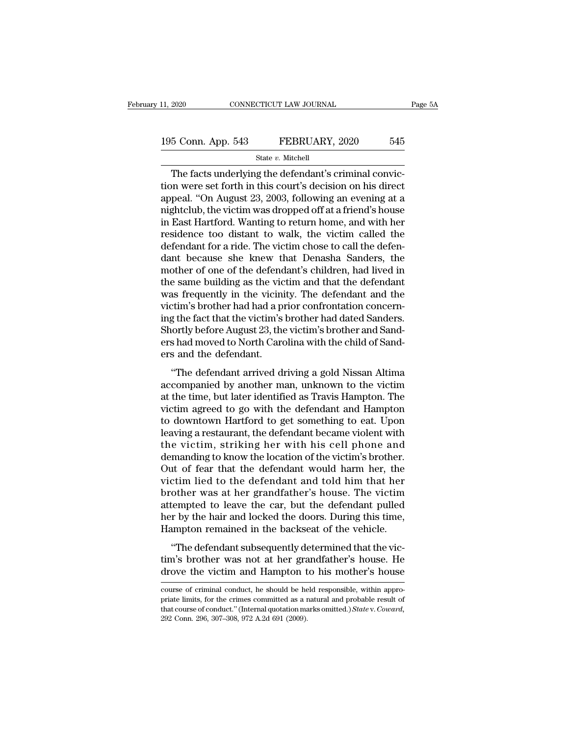# 11, 2020 CONNECTICUT LAW JOURNAL Page 5A<br>
195 Conn. App. 543 FEBRUARY, 2020 545<br>
State v. Mitchell

### State *v.* Mitchell

CONNECTICUT LAW JOURNAL<br>
5 Conn. App. 543 FEBRUARY, 2020 545<br>
State v. Mitchell<br>
The facts underlying the defendant's criminal convic-<br>
The facts underlying the defendant's criminal convic-<br>
The facts underlying the defend 195 Conn. App. 543 FEBRUARY, 2020 545<br>
State v. Mitchell<br>
The facts underlying the defendant's criminal conviction<br>
were set forth in this court's decision on his direct<br>
appeal. "On August 23, 2003, following an evening 195 Conn. App. 543 FEBRUARY, 2020 545<br>
State v. Mitchell<br>
The facts underlying the defendant's criminal conviction<br>
were set forth in this court's decision on his direct<br>
appeal. "On August 23, 2003, following an evening 195 Conn. App. 543 FEBRUARY, 2020 545<br>
State v. Mitchell<br>
The facts underlying the defendant's criminal conviction<br>
were set forth in this court's decision on his direct<br>
appeal. "On August 23, 2003, following an evening State v. Mitchell<br>
The facts underlying the defendant's criminal conviction<br>
were set forth in this court's decision on his direct<br>
appeal. "On August 23, 2003, following an evening at a<br>
nightclub, the victim was dropped State v. Mitchell<br>The facts underlying the defendant's criminal conviction<br>were set forth in this court's decision on his direct<br>appeal. "On August 23, 2003, following an evening at a<br>nightclub, the victim was dropped off The facts underlying the defendant's criminal conviction were set forth in this court's decision on his direct appeal. "On August 23, 2003, following an evening at a nightclub, the victim was dropped off at a friend's hous tion were set forth in this court's decision on his direct<br>appeal. "On August 23, 2003, following an evening at a<br>nightclub, the victim was dropped off at a friend's house<br>in East Hartford. Wanting to return home, and with appeal. "On August 23, 2003, following an evening at a<br>nightclub, the victim was dropped off at a friend's house<br>in East Hartford. Wanting to return home, and with her<br>residence too distant to walk, the victim called the<br>d nightclub, the victim was dropped off at a friend's house<br>in East Hartford. Wanting to return home, and with her<br>residence too distant to walk, the victim called the<br>defendant for a ride. The victim chose to call the defen in East Hartford. Wanting to return home, and with her<br>residence too distant to walk, the victim called the<br>defendant for a ride. The victim chose to call the defen-<br>dant because she knew that Denasha Sanders, the<br>mother o residence too distant to walk, the victim called the<br>defendant for a ride. The victim chose to call the defen-<br>dant because she knew that Denasha Sanders, the<br>mother of one of the defendant's children, had lived in<br>the sam defendant for a ride. The victim chose to call the defendant because she knew that Denasha Sanders, the mother of one of the defendant's children, had lived in the same building as the victim and that the defendant was fre dant because she knew that Denasha Sanders, the<br>mother of one of the defendant's children, had lived in<br>the same building as the victim and that the defendant<br>was frequently in the vicinity. The defendant and the<br>victim's mother of one of the defendant's children, had lived in<br>the same building as the victim and that the defendant<br>was frequently in the vicinity. The defendant and the<br>victim's brother had had a prior confrontation concern-<br>i the same building as the vice<br>was frequently in the vicini<br>victim's brother had had a pi<br>ing the fact that the victim's<br>Shortly before August 23, the<br>ers had moved to North Carc<br>ers and the defendant.<br>"The defendant arrive is frequently in the viently. The defendant and the<br>tim's brother had had a prior confrontation concern-<br>g the fact that the victim's brother had dated Sanders.<br>lortly before August 23, the victim's brother and Sand-<br>s and Franching the fact that the victim's brother had dated Sanders.<br>Shortly before August 23, the victim's brother and Sanders had moved to North Carolina with the child of Sanders and the defendant.<br>"The defendant arrived dri

mg the fact that the victin's brother had dated banders.<br>Shortly before August 23, the victim's brother and Sand-<br>ers had moved to North Carolina with the child of Sand-<br>ers and the defendant.<br>"The defendant arrived drivin shortly before August 25, the vielint s brother and Banders<br>had moved to North Carolina with the child of Sand-<br>ers and the defendant.<br>"The defendant arrived driving a gold Nissan Altima<br>accompanied by another man, unknown the defendant.<br>
"The defendant arrived driving a gold Nissan Altima<br>
accompanied by another man, unknown to the victim<br>
at the time, but later identified as Travis Hampton. The<br>
victim agreed to go with the defendant and H "The defendant arrived driving a gold Nissan Altima<br>accompanied by another man, unknown to the victim<br>at the time, but later identified as Travis Hampton. The<br>victim agreed to go with the defendant and Hampton<br>to downtown "The defendant arrived driving a gold Nissan Altima<br>accompanied by another man, unknown to the victim<br>at the time, but later identified as Travis Hampton. The<br>victim agreed to go with the defendant and Hampton<br>to downtown accompanied by another man, unknown to the victim<br>at the time, but later identified as Travis Hampton. The<br>victim agreed to go with the defendant and Hampton<br>to downtown Hartford to get something to eat. Upon<br>leaving a res at the time, but later identified as Travis Hampton. The<br>victim agreed to go with the defendant and Hampton<br>to downtown Hartford to get something to eat. Upon<br>leaving a restaurant, the defendant became violent with<br>the vic victim agreed to go with the defendant and Hampton<br>to downtown Hartford to get something to eat. Upon<br>leaving a restaurant, the defendant became violent with<br>the victim, striking her with his cell phone and<br>demanding to kn to downtown Hartford to get something to eat. Upon<br>leaving a restaurant, the defendant became violent with<br>the victim, striking her with his cell phone and<br>demanding to know the location of the victim's brother.<br>Out of fea leaving a restaurant, the defendant became violent with<br>the victim, striking her with his cell phone and<br>demanding to know the location of the victim's brother.<br>Out of fear that the defendant would harm her, the<br>victim lie the victim, striking her with his cell phone and<br>demanding to know the location of the victim's brother.<br>Out of fear that the defendant would harm her, the<br>victim lied to the defendant and told him that her<br>brother was at demanding to know the location of the victim's brother.<br>Out of fear that the defendant would harm her, the victim lied to the defendant and told him that her<br>brother was at her grandfather's house. The victim<br>attempted to the defendant would harm here, the continued to the defendant and told him that herefore was at her grandfather's house. The victim tempted to leave the car, but the defendant pulled r by the hair and locked the doors. Dur From the to the determined and total film that her<br>brother was at her grandfather's house. The victim<br>attempted to leave the car, but the defendant pulled<br>her by the hair and locked the doors. During this time,<br>Hampton rem brother was at her grandmather's house. The vietnat<br>attempted to leave the car, but the defendant pulled<br>her by the hair and locked the doors. During this time,<br>Hampton remained in the backseat of the vehicle.<br>"The defenda

The defendant subsequently determined that the victim's brother was not at her grandfather's house. He drove the victim and Hampton to his mother's house course of criminal conduct, he should be held responsible, within ap "The defendant subsequently determined that the victim's brother was not at her grandfather's house. He drove the victim and Hampton to his mother's house course of criminal conduct, he should be held responsible, within

tim's brother was not at her grandfather's house. He<br>drove the victim and Hampton to his mother's house<br>course of criminal conduct, he should be held responsible, within appro-<br>priate limits, for the crimes committed as a drove the victim and Hampton t<br>
course of criminal conduct, he should be he<br>
priate limits, for the crimes committed as a r<br>
that course of conduct." (Internal quotation ma<br>
292 Conn. 296, 307–308, 972 A.2d 691 (2009).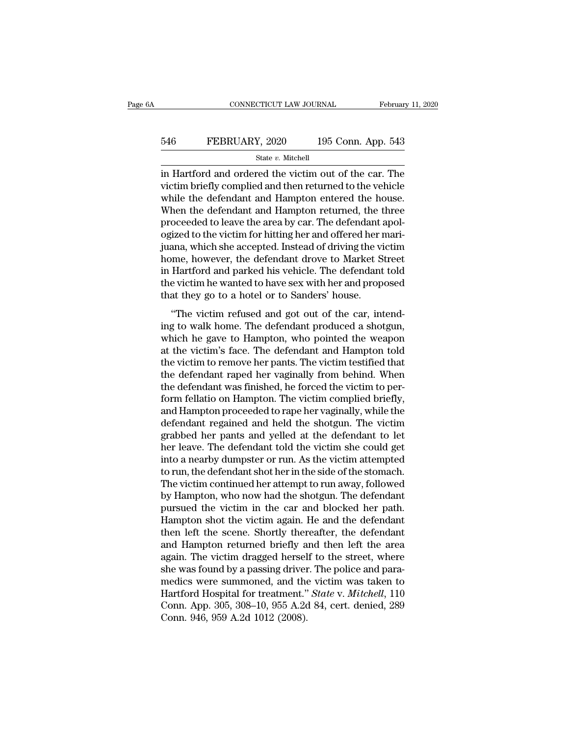### EXECUTE CONNECTICUT LAW JOURNAL February 11, 2020<br>546 FEBRUARY, 2020 195 Conn. App. 543<br>5tate v. Mitchell State *v.* Mitchell

CONNECTICUT LAW JOURNAL February 11, 2020<br>
FEBRUARY, 2020 195 Conn. App. 543<br>
State v. Mitchell<br>
in Hartford and ordered the victim out of the car. The<br>
victim briefly complied and then returned to the vehicle<br>
while the FEBRUARY, 2020 195 Conn. App. 543<br>
state v. Mitchell<br>
in Hartford and ordered the victim out of the car. The<br>
victim briefly complied and then returned to the vehicle<br>
while the defendant and Hampton entered the house.<br>
Wh EBRUARY, 2020 195 Conn. App. 543<br>
State v. Mitchell<br>
in Hartford and ordered the victim out of the car. The<br>
victim briefly complied and then returned to the vehicle<br>
while the defendant and Hampton entered the house.<br>
Wh EBRUARY, 2020 195 Conn. App. 543<br>
State v. Mitchell<br>
in Hartford and ordered the victim out of the car. The<br>
victim briefly complied and then returned to the vehicle<br>
while the defendant and Hampton entered the house.<br>
Wh  $\begin{array}{l} \hline \text{State $v$. Mitchell} \\\hline \text{in Hartford and ordered the victim out of the car. The victim briefly compiled and then returned to the vehicle while the defendant and Hampton entered the house. When the defendant and Hampton returned, the three proceeded to leave the area by car. The defendant apologized to the victim for hitting her and offered her maintaining, which she acconted Instead of driving the victim. \end{array}$ state  $v$ . Mitchell<br>in Hartford and ordered the victim out of the car. The<br>victim briefly complied and then returned to the vehicle<br>while the defendant and Hampton entered the house.<br>When the defendant and Hampton returne in Hartford and ordered the victim out of the car. The<br>victim briefly complied and then returned to the vehicle<br>while the defendant and Hampton entered the house.<br>When the defendant and Hampton returned, the three<br>proceede victim briefly complied and then returned to the vehicle<br>while the defendant and Hampton entered the house.<br>When the defendant and Hampton returned, the three<br>proceeded to leave the area by car. The defendant apol-<br>ogized while the defendant and Hampton entered the house.<br>When the defendant and Hampton returned, the three<br>proceeded to leave the area by car. The defendant apol-<br>ogized to the victim for hitting her and offered her mari-<br>juana When the defendant and Hampton returned, the three<br>proceeded to leave the area by car. The defendant apol-<br>ogized to the victim for hitting her and offered her mari-<br>juana, which she accepted. Instead of driving the victim proceeded to leave the area by car. The defendant and offered to the victim for hitting her and offered her r<br>juana, which she accepted. Instead of driving the vi<br>home, however, the defendant drove to Market S<br>in Hartford The victim refused and got out of the car, intend-<br>
"The victim me, however, the defendant drove to Market Street<br>
Hartford and parked his vehicle. The defendant told<br>
e victim he wanted to have sex with her and proposed<br> factured a shortcome, however, the defendant drove to Market Street<br>in Hartford and parked his vehicle. The defendant told<br>the victim he wanted to have sex with her and proposed<br>that they go to a hotel or to Sanders' house

mome, nowever, are derendaric divec to marker street<br>in Hartford and parked his vehicle. The defendant told<br>the victim he wanted to have sex with her and proposed<br>that they go to a hotel or to Sanders' house.<br>"The victim r In Transford and parked his ventere. The defendant load<br>the victim he wanted to have sex with her and proposed<br>that they go to a hotel or to Sanders' house.<br>"The victim refused and got out of the car, intend-<br>ing to walk h that they go to a hotel or to Sanders' house.<br>
"The victim refused and got out of the car, intend-<br>
ing to walk home. The defendant produced a shotgun,<br>
which he gave to Hampton, who pointed the weapon<br>
at the victim's fac "The victim refused and got out of the car, intend-<br>ing to walk home. The defendant produced a shotgun,<br>which he gave to Hampton, who pointed the weapon<br>at the victim's face. The defendant and Hampton told<br>the victim to re "The victim refused and got out of the car, intending to walk home. The defendant produced a shotgun, which he gave to Hampton, who pointed the weapon at the victim's face. The defendant and Hampton told the victim to remo ing to walk home. The defendant produced a shotgun,<br>which he gave to Hampton, who pointed the weapon<br>at the victim's face. The defendant and Hampton told<br>the victim to remove her pants. The victim testified that<br>the defend which he gave to Hampton, who pointed the weapon<br>at the victim's face. The defendant and Hampton told<br>the victim to remove her pants. The victim testified that<br>the defendant raped her vaginally from behind. When<br>the defend at the victim's face. The defendant and Hampton told<br>the victim to remove her pants. The victim testified that<br>the defendant raped her vaginally from behind. When<br>the defendant was finished, he forced the victim to per-<br>fo the victim to remove her pants. The victim testified that<br>the defendant raped her vaginally from behind. When<br>the defendant was finished, he forced the victim to per-<br>form fellatio on Hampton. The victim complied briefly,<br> the defendant raped her vaginally from behind. When<br>the defendant was finished, he forced the victim to per-<br>form fellatio on Hampton. The victim complied briefly,<br>and Hampton proceeded to rape her vaginally, while the<br>def the defendant was finished, he forced the victim to perform fellatio on Hampton. The victim complied briefly, and Hampton proceeded to rape her vaginally, while the defendant regained and held the shotgun. The victim grabb form fellatio on Hampton. The victim complied briefly,<br>and Hampton proceeded to rape her vaginally, while the<br>defendant regained and held the shotgun. The victim<br>grabbed her pants and yelled at the defendant to let<br>her lea and Hampton proceeded to rape her vaginally, while the<br>defendant regained and held the shotgun. The victim<br>grabbed her pants and yelled at the defendant to let<br>her leave. The defendant told the victim she could get<br>into a defendant regained and held the shotgun. The victim<br>grabbed her pants and yelled at the defendant to let<br>her leave. The defendant told the victim she could get<br>into a nearby dumpster or run. As the victim attempted<br>to run, grabbed her pants and yelled at the defendant to let<br>her leave. The defendant told the victim she could get<br>into a nearby dumpster or run. As the victim attempted<br>to run, the defendant shot her in the side of the stomach.<br> her leave. The defendant told the victim she could get<br>into a nearby dumpster or run. As the victim attempted<br>to run, the defendant shot her in the side of the stomach.<br>The victim continued her attempt to run away, followe into a nearby dumpster or run. As the victim attempted<br>to run, the defendant shot her in the side of the stomach.<br>The victim continued her attempt to run away, followed<br>by Hampton, who now had the shotgun. The defendant<br>pu to run, the defendant shot her in the side of the stomach.<br>The victim continued her attempt to run away, followed<br>by Hampton, who now had the shotgun. The defendant<br>pursued the victim in the car and blocked her path.<br>Hampt The victim continued her attempt to run away, followed<br>by Hampton, who now had the shotgun. The defendant<br>pursued the victim in the car and blocked her path.<br>Hampton shot the victim again. He and the defendant<br>then left th by Hampton, who now had the shotgun. The defendant<br>pursued the victim in the car and blocked her path.<br>Hampton shot the victim again. He and the defendant<br>then left the scene. Shortly thereafter, the defendant<br>and Hampton pursued the victim in the car and blocked her path.<br>Hampton shot the victim again. He and the defendant<br>then left the scene. Shortly thereafter, the defendant<br>and Hampton returned briefly and then left the area<br>again. The Hampton shot the victim again. He and the defendant<br>then left the scene. Shortly thereafter, the defendant<br>and Hampton returned briefly and then left the area<br>again. The victim dragged herself to the street, where<br>she was then left the scene. Shortly thereafter, the defendant<br>and Hampton returned briefly and then left the area<br>again. The victim dragged herself to the street, where<br>she was found by a passing driver. The police and para-<br>medi and Hampton returned briefly a<br>again. The victim dragged hersel<br>she was found by a passing driver<br>medics were summoned, and the<br>Hartford Hospital for treatment."<br>Conn. App. 305, 308–10, 955 A.2d<br>Conn. 946, 959 A.2d 1012 (2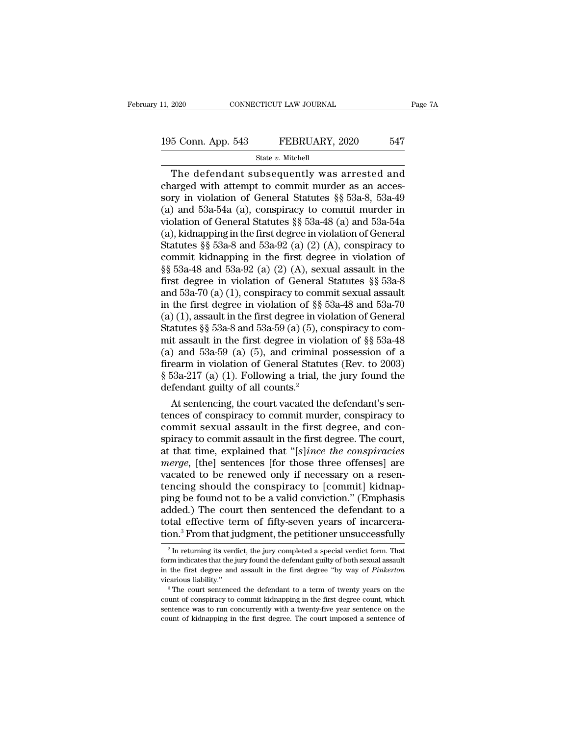# 11, 2020 CONNECTICUT LAW JOURNAL Page 7A<br>
195 Conn. App. 543 FEBRUARY, 2020 547<br>
State v. Mitchell

### State *v.* Mitchell

The defendant subsequently was arrested and<br>the defendant subsequently was arrested and<br>arged with attempt to commit murder as an acces-<br>ry in violation of Gonoral Statutes 88.533.8 533.40 195 Conn. App. 543 FEBRUARY, 2020 547<br>
State v. Mitchell<br>
The defendant subsequently was arrested and<br>
charged with attempt to commit murder as an acces-<br>
sory in violation of General Statutes  $\S$  53a-8, 53a-49<br>
(a) and 5 195 Conn. App. 543 FEBRUARY, 2020 547<br>
State v. Mitchell<br>
The defendant subsequently was arrested and<br>
charged with attempt to commit murder as an accessory in violation of General Statutes §§ 53a-8, 53a-49<br>
(a) and 53a-5 195 Conn. App. 543 FEBRUARY, 2020 547<br>
State v. Mitchell<br>
The defendant subsequently was arrested and<br>
charged with attempt to commit murder as an accessory in violation of General Statutes §§ 53a-8, 53a-49<br>
(a) and 53a-5 State v. Mitchell<br>
The defendant subsequently was arrested and<br>
charged with attempt to commit murder as an accessory in violation of General Statutes §§ 53a-8, 53a-49<br>
(a) and 53a-54a (a), conspiracy to commit murder in<br> State v. Mitchell<br>The defendant subsequently was arrested and<br>charged with attempt to commit murder as an acces-<br>sory in violation of General Statutes §§ 53a-8, 53a-49<br>(a) and 53a-54a (a), conspiracy to commit murder in<br>v The defendant subsequently was arrested and<br>charged with attempt to commit murder as an acces-<br>sory in violation of General Statutes §§ 53a-8, 53a-49<br>(a) and 53a-54a (a), conspiracy to commit murder in<br>violation of Genera charged with attempt to commit murder as an accessory in violation of General Statutes  $\S$  53a-8, 53a-49<br>(a) and 53a-54a (a), conspiracy to commit murder in<br>violation of General Statutes  $\S$  53a-48 (a) and 53a-54a<br>(a), ki sory in violation of General Statutes §§ 53a-8, 53a-49<br>(a) and 53a-54a (a), conspiracy to commit murder in<br>violation of General Statutes §§ 53a-48 (a) and 53a-54a<br>(a), kidnapping in the first degree in violation of Genera (a) and 53a-54a (a), conspiracy to commit murder in<br>violation of General Statutes §§ 53a-48 (a) and 53a-54a<br>(a), kidnapping in the first degree in violation of General<br>Statutes §§ 53a-8 and 53a-92 (a) (2) (A), conspiracy violation of General Statutes §§ 53a-48 (a) and 53a-54a<br>
(a), kidnapping in the first degree in violation of General<br>
Statutes §§ 53a-8 and 53a-92 (a) (2) (A), conspiracy to<br>
commit kidnapping in the first degree in viola (a), kidnapping in the first degree in violation of General<br>Statutes §§ 53a-8 and 53a-92 (a) (2) (A), conspiracy to<br>commit kidnapping in the first degree in violation of<br>§§ 53a-48 and 53a-92 (a) (2) (A), sexual assault in Statutes §§ 53a-8 and 53a-92 (a) (2) (A), conspiracy to<br>commit kidnapping in the first degree in violation of<br>§§ 53a-48 and 53a-92 (a) (2) (A), sexual assault in the<br>first degree in violation of General Statutes §§ 53a-8<br> commit kidnapping in the first degree in violation of  $\S$ § 53a-48 and 53a-92 (a) (2) (A), sexual assault in the first degree in violation of General Statutes  $\S$ § 53a-8 and 53a-70 (a) (1), conspiracy to commit sexual assa §§ 53a-48 and 53a-92 (a) (2) (A), sexual assault in the<br>first degree in violation of General Statutes §§ 53a-8<br>and 53a-70 (a) (1), conspiracy to commit sexual assault<br>in the first degree in violation of §§ 53a-48 and 53afirst degree in violation of General Statutes §§ 53a-8<br>and 53a-70 (a) (1), conspiracy to commit sexual assault<br>in the first degree in violation of §§ 53a-48 and 53a-70<br>(a) (1), assault in the first degree in violation of and 53a-70 (a) (1), conspiracy to commit sexual assault<br>in the first degree in violation of §§ 53a-48 and 53a-70<br>(a) (1), assault in the first degree in violation of General<br>Statutes §§ 53a-8 and 53a-59 (a) (5), conspirac in the first degree in violation of §§ 53a-48 and 53a-70 (a) (1), assault in the first degree in violation of General Statutes §§ 53a-8 and 53a-59 (a) (5), conspiracy to commit assault in the first degree in violation of (a) (1), assault in the first degree in violst<br>attutes §§ 53a-8 and 53a-59 (a) (5), comit assault in the first degree in viola<br>(a) and 53a-59 (a) (5), and criminal<br>firearm in violation of General Statut<br>§ 53a-217 (a) (1). atutes §§ 53a-8 and 53a-59 (a) (5), conspiracy to com-<br>it assault in the first degree in violation of §§ 53a-48<br>) and 53a-59 (a) (5), and criminal possession of a<br>earm in violation of General Statutes (Rev. to 2003)<br>53a-2 mit assault in the first degree in violation of §§ 53a-48<br>
(a) and 53a-59 (a) (5), and criminal possession of a<br>
firearm in violation of General Statutes (Rev. to 2003)<br>
§ 53a-217 (a) (1). Following a trial, the jury foun

(a) and 53a-59 (a) (5), and criminal possession of a<br>firearm in violation of General Statutes (Rev. to 2003)<br> $\S$  53a-217 (a) (1). Following a trial, the jury found the<br>defendant guilty of all counts.<sup>2</sup><br>At sentencing, the firearm in violation of General Statutes (Rev. to 2003)<br>
§ 53a-217 (a) (1). Following a trial, the jury found the<br>
defendant guilty of all counts.<sup>2</sup><br>
At sentencing, the court vacated the defendant's sen-<br>
tences of consp § 53a-217 (a) (1). Following a trial, the jury found the<br>defendant guilty of all counts.<sup>2</sup><br>At sentencing, the court vacated the defendant's sen-<br>tences of conspiracy to commit murder, conspiracy to<br>commit sexual assault i defendant guilty of all counts.<sup>2</sup><br>At sentencing, the court vacated the defendant's sen-<br>tences of conspiracy to commit murder, conspiracy to<br>commit sexual assault in the first degree, and con-<br>spiracy to commit assault in At sentencing, the court vacated the defendant's sentences of conspiracy to commit murder, conspiracy to commit sexual assault in the first degree, and conspiracy to commit assault in the first degree. The court, at that t tences of conspiracy to commit murder, conspiracy to commit sexual assault in the first degree, and conspiracy to commit assault in the first degree. The court, at that time, explained that "[s]*ince the conspiracies merge* commit sexual assault in the first degree, and conspiracy to commit assault in the first degree. The court, at that time, explained that "[s]*ince the conspiracies merge*, [the] sentences [for those three offenses] are vac spiracy to commit assault in the first degree. The court,<br>at that time, explained that "[s]ince the conspiracies<br>merge, [the] sentences [for those three offenses] are<br>vacated to be renewed only if necessary on a resen-<br>ten at that time, explained that "[ $s$ ]*ince the conspiracies merge*, [the] sentences [for those three offenses] are vacated to be renewed only if necessary on a resentencing should the conspiracy to [commit] kidnapping be merge, [the] sentences [for those three offenses] are vacated to be renewed only if necessary on a resentencing should the conspiracy to [commit] kidnapping be found not to be a valid conviction." (Emphasis added.) The cou ing be found not to be a valid conviction." (Emphasis dded.) The court then sentenced the defendant to a stal effective term of fifty-seven years of incarcera-<br>on.<sup>3</sup> From that judgment, the petitioner unsuccessfully  $\frac{1$ added.) The court then sentenced the defendant to a total effective term of fifty-seven years of incarceration.<sup>3</sup> From that judgment, the petitioner unsuccessfully  $\frac{1}{2}$  In returning its verdict, the jury completed a

total effective term of fifty-seven years of incarceration.<sup>3</sup> From that judgment, the petitioner unsuccessfully  $\frac{1}{2}$  In returning its verdict, the jury completed a special verdict form. That form indicates that the tion.<sup>3</sup> From that judgment, the petitioner unsuccessfully  $\frac{1}{2}$  In returning its verdict, the jury completed a special verdict form. That form indicates that the jury found the defendant guilty of both sexual assault <sup>2</sup> In returning its verdict, the jury completed a special verdict form. That form indicates that the jury found the defendant guilty of both sexual assault in the first degree and assault in the first degree "by way of in the first degree and assault in the first degree. "by way of Pinkerton

form indicates that the jury found the defendant guilty of both sexual assault<br>in the first degree and assault in the first degree "by way of *Pinkerton*<br>vicarious liability."<br><sup>3</sup> The court sentenced the defendant to a ter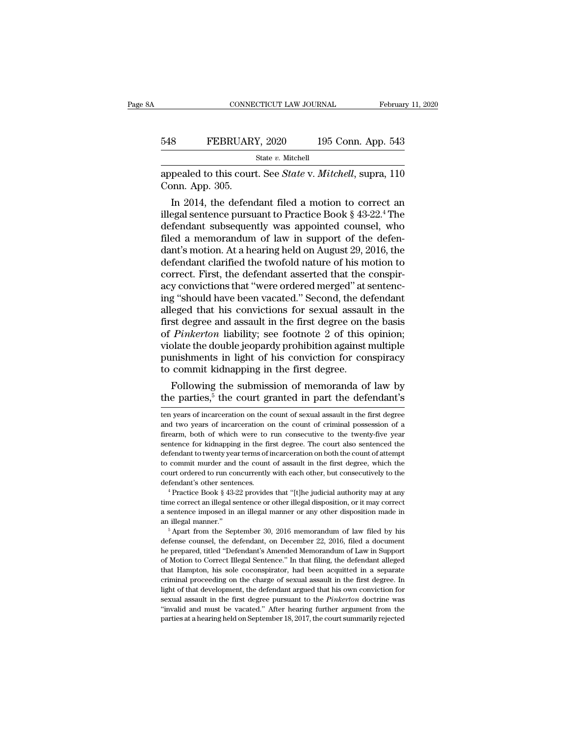### EXECUTE CONNECTICUT LAW JOURNAL February 11, 2020<br>548 FEBRUARY, 2020 195 Conn. App. 543<br>5tate v. Mitchell State *v.* Mitchell CONNECTICUT LAW JOURNAL February 11, 2020<br>548 FEBRUARY, 2020 195 Conn. App. 543<br>518 State v. Mitchell<br>appealed to this court. See *State* v. *Mitchell*, supra, 110<br>60nn. App. 305. 548 FEBRUAR<br>appealed to this cour<br>Conn. App. 305.<br>In 2014, the defend

FEBRUARY, 2020 195 Conn. App. 543<br>
State v. Mitchell<br>
pealed to this court. See *State* v. Mitchell, supra, 110<br>
pealed to this court. See *State* v. Mitchell, supra, 110<br>
In 2014, the defendant filed a motion to correct FEBRUARY, 2020 195 Conn. App. 543<br>
state v. Mitchell<br>
appealed to this court. See *State* v. *Mitchell*, supra, 110<br>
Conn. App. 305.<br>
In 2014, the defendant filed a motion to correct an<br>
illegal sentence pursuant to Pract State v. Mitchell<br>
appealed to this court. See *State* v. *Mitchell*, supra, 110<br>
Conn. App. 305.<br>
In 2014, the defendant filed a motion to correct an<br>
illegal sentence pursuant to Practice Book § 43-22.<sup>4</sup> The<br>
defendant appealed to this court. See *State* v. *Mitchell*, supra, 110<br>Conn. App. 305.<br>In 2014, the defendant filed a motion to correct an<br>illegal sentence pursuant to Practice Book § 43-22.<sup>4</sup> The<br>defendant subsequently was appoin appeared to this court. See *State* v. *Mitcheu*, supra, 110<br>Conn. App. 305.<br>In 2014, the defendant filed a motion to correct an<br>illegal sentence pursuant to Practice Book § 43-22.<sup>4</sup> The<br>defendant subsequently was appoint Lonn. App. 305.<br>
In 2014, the defendant filed a motion to correct an<br>
illegal sentence pursuant to Practice Book § 43-22.<sup>4</sup> The<br>
defendant subsequently was appointed counsel, who<br>
filed a memorandum of law in support of t In 2014, the defendant filed a motion to correct an illegal sentence pursuant to Practice Book  $\S$  43-22.<sup>4</sup> The defendant subsequently was appointed counsel, who filed a memorandum of law in support of the defendant's mo illegal sentence pursuant to Practice Book § 43-22.<sup>4</sup> The<br>defendant subsequently was appointed counsel, who<br>filed a memorandum of law in support of the defen-<br>dant's motion. At a hearing held on August 29, 2016, the<br>defen defendant subsequently was appointed counsel, who<br>filed a memorandum of law in support of the defen-<br>dant's motion. At a hearing held on August 29, 2016, the<br>defendant clarified the twofold nature of his motion to<br>correct. filed a memorandum of law in support of the defen-<br>dant's motion. At a hearing held on August 29, 2016, the<br>defendant clarified the twofold nature of his motion to<br>correct. First, the defendant asserted that the conspir-<br>a dant's motion. At a hearing held on August 29, 2016, the<br>defendant clarified the twofold nature of his motion to<br>correct. First, the defendant asserted that the conspir-<br>acy convictions that "were ordered merged" at senten defendant clarified the twofold nature of his motion to correct. First, the defendant asserted that the conspir-<br>acy convictions that "were ordered merged" at sentencing "should have been vacated." Second, the defendant<br>al correct. First, the defendant asserted that the conspiracy convictions that "were ordered merged" at sentencing "should have been vacated." Second, the defendant alleged that his convictions for sexual assault in the first acy convictions that "were ordered merged" at sentencing "should have been vacated." Second, the defendant alleged that his convictions for sexual assault in the first degree and assault in the first degree on the basis of ing "should have been vacated." Second, the dealleged that his convictions for sexual assaul<br>first degree and assault in the first degree on the of *Pinkerton* liability; see footnote 2 of this violate the double jeopardy eged that his convictions for sexual assault in the<br>st degree and assault in the first degree on the basis<br>*Pinkerton* liability; see footnote 2 of this opinion;<br>blate the double jeopardy prohibition against multiple<br>mishm first degree and assault in the first degree on the basis<br>of *Pinkerton* liability; see footnote 2 of this opinion;<br>violate the double jeopardy prohibition against multiple<br>punishments in light of his conviction for consp

to commit kidnapping in the first degree.<br>
Following the submission of memoranda of law by<br>
the parties,<sup>5</sup> the court granted in part the defendant's<br>
ten years of incarceration on the count of sexual assault in the first

a sentence imposed in an illegal manner or any other disposition and illegal manner.<br>
A sentence is the count ordered to run concurrently with each other, but consecutively to the defendant's other sentences.<br>
<sup>4</sup> Practice court ordered to run concurrently with each other, but consecutively to the defendant's other sentences.<br>
<sup>4</sup> Practice Book § 43-22 provides that "[t]he judicial authority may at any time correct an illegal sentence or oth <sup>4</sup> Practice Book § 43-22 provides that "[t]he judicial authority may at any<br><sup>4</sup> Practice Book § 43-22 provides that "[t]he judicial authority may correct<br>a sentence imposed in an illegal manner or any other disposition m

time correct an illegal sentence or other illegal disposition, or it may correct<br>a sentence imposed in an illegal manner or any other disposition made in<br>an illegal manner."<br><sup>5</sup> Apart from the September 30, 2016 memorandum a sentence imposed in an illegal manner or any other disposition made in<br>an illegal manner."<br> $\frac{5}{10}$  Apart from the September 30, 2016 memorandum of law filed by his<br>defense counsel, the defendant, on December 22, 2016 an illegal manner."<br>
an illegal manner."<br>
an illegal manner."<br>
S Apart from the September 30, 2016 memorandum of law filed by his<br>
defense counsel, the defendant, on December 22, 2016, filed a document<br>
he prepared, titled  $\frac{1}{2}$  for Apart from the September 30, 2016 memorandum of law filed by his defense counsel, the defendant, on December 22, 2016, filed a document he prepared, titled "Defendant's Amended Memorandum of Law in Support o defense counsel, the defendant, on December 22, 2016, filed a document<br>he prepared, titled "Defendant's Amended Memorandum of Law in Support<br>of Motion to Correct Illegal Sentence." In that filing, the defendant alleged<br>tha he prepared, titled "Defendant's Amended Memorandum of Law in Support of Motion to Correct Illegal Sentence." In that filing, the defendant alleged that Hampton, his sole coconspirator, had been acquitted in a separate cri The Motion to Correct Illegal Sentence." In that filing, the defendant alleged that Hampton, his sole coconspirator, had been acquitted in a separate criminal proceeding on the charge of sexual assault in the first degree. that Hampton, his sole coconspirator, had been acquitted in a separate

to commit kian apping in the first degree.<br>
Following the submission of memoranda of law by<br>
the parties,<sup>5</sup> the court granted in part the defendant's<br>
ten years of incarceration on the count of sexual assault in the firs Following the submission of memoranda of law by<br>the parties,<sup>5</sup> the court granted in part the defendant's<br>ten years of incarceration on the count of sexual assault in the first degree<br>and two years of incarceration on the the parties,<sup>5</sup> the court granted in part the defendant's<br>ten years of incarceration on the count of sexual assault in the first degree<br>and two years of incarceration on the count of criminal possession of a<br>firearm, both defendant to twenty particle in part the defendant is<br>ten years of incarceration on the count of sexual assault in the first degree<br>and two years of incarceration on the count of criminal possession of a<br>firearm, both of w ten years of incarceration on the count of sexual assault in the first degree and two years of incarceration on the count of criminal possession of a firearm, both of which were to run consecutive to the twenty-five year s court ordered to run concurrently with each other, but consecutively of a firearm, both of which were to run consecutive to the twenty-five year sentence for kidnapping in the first degree. The court also sentenced the def defined to two which were to run consecutive to the twenty-five year sentence for kidnapping in the first degree. The court also sentenced the defendant to twenty year terms of incarceration on both the count of attempt to defendant to twenty year terms of incarceration on both the count of attempt<br>to commit murder and the count of assault in the first degree, which the<br>court ordered to run concurrently with each other, but consecutively to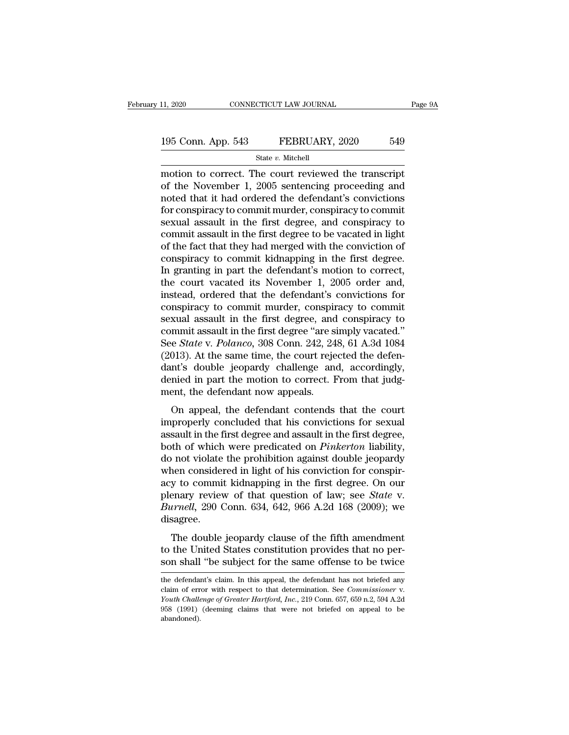# 11, 2020 CONNECTICUT LAW JOURNAL Page 9A<br>
195 Conn. App. 543 FEBRUARY, 2020 549<br>
State v. Mitchell

State *v.* Mitchell

11, 2020 CONNECTICUT LAW JOURNAL Page 91<br>
195 Conn. App. 543 FEBRUARY, 2020 549<br>
State v. Mitchell<br>
motion to correct. The court reviewed the transcript<br>
of the November 1, 2005 sentencing proceeding and<br>
moted that it ha 195 Conn. App. 543 FEBRUARY, 2020 549<br>
State v. Mitchell<br>
motion to correct. The court reviewed the transcript<br>
of the November 1, 2005 sentencing proceeding and<br>
moted that it had ordered the defendant's convictions<br>
for 195 Conn. App. 543 FEBRUARY, 2020 549<br>
State v. Mitchell<br>
motion to correct. The court reviewed the transcript<br>
of the November 1, 2005 sentencing proceeding and<br>
moted that it had ordered the defendant's convictions<br>
for 195 Conn. App. 543 FEBRUARY, 2020 549<br>
State v. Mitchell<br>
motion to correct. The court reviewed the transcript<br>
of the November 1, 2005 sentencing proceeding and<br>
moted that it had ordered the defendant's convictions<br>
for State v. Mitchell<br>
State v. Mitchell<br>
motion to correct. The court reviewed the transcript<br>
of the November 1, 2005 sentencing proceeding and<br>
moted that it had ordered the defendant's convictions<br>
for conspiracy to commi state  $v$ . Mitchell<br>
motion to correct. The court reviewed the transcript<br>
of the November 1, 2005 sentencing proceeding and<br>
moted that it had ordered the defendant's convictions<br>
for conspiracy to commit murder, conspir motion to correct. The court reviewed the transcript<br>of the November 1, 2005 sentencing proceeding and<br>noted that it had ordered the defendant's convictions<br>for conspiracy to commit murder, conspiracy to commit<br>sexual assa of the November 1, 2005 sentencing proceeding and<br>noted that it had ordered the defendant's convictions<br>for conspiracy to commit murder, conspiracy to commit<br>sexual assault in the first degree, and conspiracy to<br>commit ass noted that it had ordered the defendant's convictions<br>for conspiracy to commit murder, conspiracy to commit<br>sexual assault in the first degree, and conspiracy to<br>commit assault in the first degree to be vacated in light<br>of for conspiracy to commit murder, conspiracy to commit<br>sexual assault in the first degree, and conspiracy to<br>commit assault in the first degree to be vacated in light<br>of the fact that they had merged with the conviction of<br> sexual assault in the first degree, and conspiracy to commit assault in the first degree to be vacated in light of the fact that they had merged with the conviction of conspiracy to commit kidnapping in the first degree. I commit assault in the first degree to be vacated in light<br>of the fact that they had merged with the conviction of<br>conspiracy to commit kidnapping in the first degree.<br>In granting in part the defendant's motion to correct,<br> of the fact that they had merged with the conviction of<br>conspiracy to commit kidnapping in the first degree.<br>In granting in part the defendant's motion to correct,<br>the court vacated its November 1, 2005 order and,<br>instead, conspiracy to commit kidnapping in the first degree.<br>In granting in part the defendant's motion to correct,<br>the court vacated its November 1, 2005 order and,<br>instead, ordered that the defendant's convictions for<br>conspiracy In granting in part the defendant's motion to correct,<br>the court vacated its November 1, 2005 order and,<br>instead, ordered that the defendant's convictions for<br>conspiracy to commit murder, conspiracy to commit<br>sexual assaul the court vacated its November 1, 2005 order and,<br>instead, ordered that the defendant's convictions for<br>conspiracy to commit murder, conspiracy to commit<br>sexual assault in the first degree, and conspiracy to<br>commit assault instead, ordered that the defendant's convictions for conspiracy to commit murder, conspiracy to commit sexual assault in the first degree, and conspiracy to commit assault in the first degree "are simply vacated." See *St* conspiracy to commit murder, conspiracy to commit<br>sexual assault in the first degree, and conspiracy to<br>commit assault in the first degree "are simply vacated."<br>See *State* v. *Polanco*, 308 Conn. 242, 248, 61 A.3d 1084<br>(2 sexual assault in the first degree, and<br>commit assault in the first degree "are s:<br>See *State* v. *Polanco*, 308 Conn. 242, 24<br>(2013). At the same time, the court reje<br>dant's double jeopardy challenge and<br>enied in part the ranna assaure in the first degree are simply vacated.<br>
e *State* v. *Polanco*, 308 Conn. 242, 248, 61 A.3d 1084<br>
013). At the same time, the court rejected the defen-<br>
nt's double jeopardy challenge and, accordingly,<br>
mied (2013). At the same time, the court rejected the defendant's double jeopardy challenge and, accordingly, denied in part the motion to correct. From that judgment, the defendant now appeals.<br>On appeal, the defendant conten

(2019). The first difference and interference and assault in part the motion to correct. From that judgment, the defendant now appeals.<br>On appeal, the defendant contends that the court improperly concluded that his convic both of which were predicated on *Pinkerton* liability,<br>denied in part the motion to correct. From that judg-<br>ment, the defendant now appeals.<br>On appeal, the defendant contends that the court<br>improperly concluded that his defined in part are modern to correct. Trom that judged ment, the defendant now appeals.<br>On appeal, the defendant contends that the court<br>improperly concluded that his convictions for sexual<br>assault in the first degree and on appeal, the defendant contends that the court<br>improperly concluded that his convictions for sexual<br>assault in the first degree and assault in the first degree,<br>both of which were predicated on *Pinkerton* liability,<br>do On appeal, the defendant contends that the court<br>improperly concluded that his convictions for sexual<br>assault in the first degree and assault in the first degree,<br>both of which were predicated on *Pinkerton* liability,<br>do improperly concluded that his convictions for sexual<br>assault in the first degree and assault in the first degree,<br>both of which were predicated on *Pinkerton* liability,<br>do not violate the prohibition against double jeopar assault in the first degree and assault in the first degree,<br>both of which were predicated on *Pinkerton* liability,<br>do not violate the prohibition against double jeopardy<br>when considered in light of his conviction for con disagree. The double jeopardy is the first degree. On our<br>parary review of that question of law; see *State v*.<br>*irnell*, 290 Conn. 634, 642, 966 A.2d 168 (2009); we<br>sagree.<br>The double jeopardy clause of the fifth amendment<br>the Unit the United States constraint of the United States constrained to the United States constrained to Burnell, 290 Conn. 634, 642, 966 A.2d 168 (2009); we disagree.<br>The double jeopardy clause of the fifth amendment to the Unit solven shall ''be subject for the same offense to be twice<br>the defendant's claim. In this algebra of the same of the same of the same of the United States constitution provides that no per-<br>son shall ''be subject for the s

The double jeopardy clause of the fifth amendment<br>to the United States constitution provides that no per-<br>son shall "be subject for the same offense to be twice<br>the defendant's claim. In this appeal, the defendant has not

The double jeopardy clause of the fifth amendment<br>to the United States constitution provides that no per-<br>son shall "be subject for the same offense to be twice<br>the defendant's claim. In this appeal, the defendant has not son shall "be subject for the same offense to be twice<br>the defendant's claim. In this appeal, the defendant has not briefed any<br>claim of error with respect to that determination. See *Commissioner* v.<br>*Youth Challenge of G* abandoned).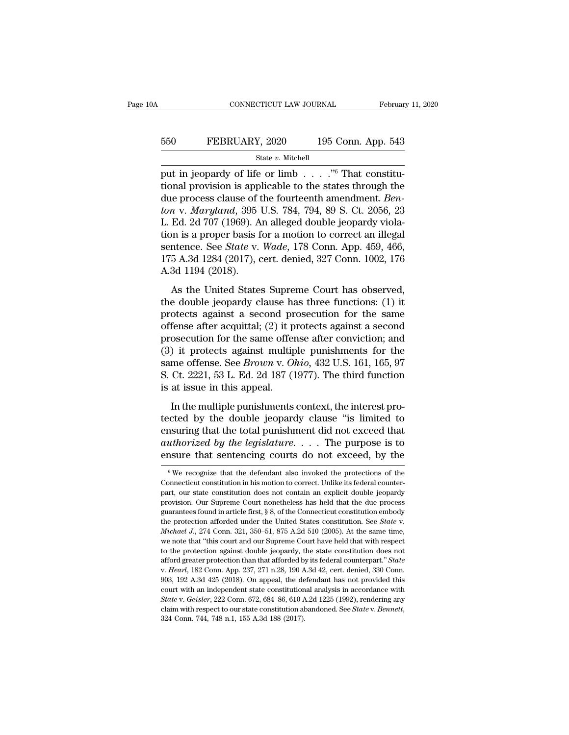# EXECUTE CONNECTICUT LAW JOURNAL February 11, 2020<br>550 FEBRUARY, 2020 195 Conn. App. 543<br>5tate v. Mitchell

### State *v.* Mitchell

put in jeopardy of life or limb . . . .''<sup>6</sup> That constitu-FEBRUARY, 2020 195 Conn. App. 543<br>
State v. Mitchell<br>
put in jeopardy of life or limb . . . . . "<sup>6</sup> That constitu-<br>
tional provision is applicable to the states through the<br>
due process clause of the fourteenth amendment. EBRUARY, 2020 195 Conn. App. 543<br>
State v. Mitchell<br>
put in jeopardy of life or limb . . . . .<sup>76</sup> That constitu-<br>
tional provision is applicable to the states through the<br>
due process clause of the fourteenth amendment. *FEBRUARY, 2020* 195 Conn. App. 543<br> *State v. Mitchell*<br>
put in jeopardy of life or limb . . . . .<sup>76</sup> That constitu-<br>
tional provision is applicable to the states through the<br>
due process clause of the fourteenth amendme State v. Mitchell<br>
put in jeopardy of life or limb  $\ldots$  ."<sup>6</sup> That constitu-<br>
tional provision is applicable to the states through the<br>
due process clause of the fourteenth amendment. *Ben-*<br>
ton v. *Maryland*, 395 U.S. state v. Mitchell<br>
put in jeopardy of life or limb . . . . . "<sup>6</sup> That constitu-<br>
tional provision is applicable to the states through the<br>
due process clause of the fourteenth amendment. *Ben-*<br>
ton v. *Maryland*, 395 U. put in jeopardy of life or limb . . . . .<sup>36</sup> That constitutional provision is applicable to the states through the due process clause of the fourteenth amendment. *Benton* v. *Maryland*, 395 U.S. 784, 794, 89 S. Ct. 2056, tional provision is applicable to the states through the<br>due process clause of the fourteenth amendment. *Ben-*<br>ton v. Maryland, 395 U.S. 784, 794, 89 S. Ct. 2056, 23<br>L. Ed. 2d 707 (1969). An alleged double jeopardy viola due process clause of t<br>ton v. Maryland, 395<br>L. Ed. 2d 707 (1969). A<br>tion is a proper basis f<br>sentence. See *State* v.<br>175 A.3d 1284 (2017), c<br>A.3d 1194 (2018).<br>As the United State: Ed. 2d 707 (1969). An alleged double jeopardy viola-<br>
In is a proper basis for a motion to correct an illegal<br>
ntence. See *State* v. *Wade*, 178 Conn. App. 459, 466,<br>
5 A.3d 1284 (2017), cert. denied, 327 Conn. 1002, 176 the double jeopardy clause has three function is a proper basis for a motion to correct an illegal<br>sentence. See *State* v. *Wade*, 178 Conn. App. 459, 466,<br>175 A.3d 1284 (2017), cert. denied, 327 Conn. 1002, 176<br>A.3d 119

sentence. See *State* v. *Wade*, 178 Conn. App. 459, 466, 175 A.3d 1284 (2017), cert. denied, 327 Conn. 1002, 176 A.3d 1194 (2018).<br>As the United States Supreme Court has observed, the double jeopardy clause has three fun 175 A.3d 1284 (2017), cert. denied, 327 Conn. 1002, 176<br>A.3d 1194 (2018).<br>As the United States Supreme Court has observed,<br>the double jeopardy clause has three functions: (1) it<br>protects against a second prosecution for t A.3d 1194 (2018).<br>
A.3d 1194 (2018).<br>
As the United States Supreme Court has observed,<br>
the double jeopardy clause has three functions: (1) it<br>
protects against a second prosecution for the same<br>
offense after acquittal; As the United States Supreme Court has observed,<br>the double jeopardy clause has three functions: (1) it<br>protects against a second prosecution for the same<br>offense after acquittal; (2) it protects against a second<br>prosecut As the United States Supreme Court has observed,<br>the double jeopardy clause has three functions: (1) it<br>protects against a second prosecution for the same<br>offense after acquittal; (2) it protects against a second<br>prosecuti the double jeopardy clause has three functions: (1) it protects against a second prosecution for the same offense after acquittal; (2) it protects against a second prosecution for the same offense after conviction; and (3 protects against a second pr<br>offense after acquittal; (2) it p<br>prosecution for the same offer<br>(3) it protects against multip<br>same offense. See *Brown* v. Oi<br>S. Ct. 2221, 53 L. Ed. 2d 187 (1<br>is at issue in this appeal.<br>In Secution for the same offense after conviction; and<br>osecution for the same offense after conviction; and<br>it protects against multiple punishments for the<br>me offense. See *Brown v. Ohio*, 432 U.S. 161, 165, 97<br>Ct. 2221, 53 (3) it protects against multiple punishments for the<br>same offense. See *Brown v. Ohio*, 432 U.S. 161, 165, 97<br>S. Ct. 2221, 53 L. Ed. 2d 187 (1977). The third function<br>is at issue in this appeal.<br>In the multiple punishment

same offense. See *Brown v. Ohio*, 432 U.S. 161, 165, 97<br>S. Ct. 2221, 53 L. Ed. 2d 187 (1977). The third function<br>is at issue in this appeal.<br>In the multiple punishments context, the interest pro-<br>tected by the double jeo **authorized by the double jeoparty.** The third function is at issue in this appeal.<br>In the multiple punishments context, the interest protected by the double jeopardy clause "is limited to ensuring that the total punishmen Ensure that sentencing courts do not exceed, by the notation of  $\frac{1}{\sqrt{2}}$  and  $\frac{1}{\sqrt{2}}$  and  $\frac{1}{\sqrt{2}}$  and  $\frac{1}{\sqrt{2}}$  and  $\frac{1}{\sqrt{2}}$  and  $\frac{1}{\sqrt{2}}$  and  $\frac{1}{\sqrt{2}}$  and  $\frac{1}{\sqrt{2}}$  and  $\frac{1}{\sqrt{2}}$  and  $\frac{$ field by the double jeopardy clause "is limited to<br>insuring that the total punishment did not exceed that<br> $\mu$ *thorized by the legislature.*... The purpose is to<br>insure that sentencing courts do not exceed, by the<br> $\frac{6}{3$ ensuring that the total punishment did not exceed that *authorized by the legislature*. . . . The purpose is to ensure that sentencing courts do not exceed, by the  $\frac{1}{\sqrt{2}}$  we recognize that the defendant also invoked

authorized by the legislature.  $\ldots$  The purpose is to ensure that sentencing courts do not exceed, by the  $\sqrt{w}$  we recognize that the defendant also invoked the protections of the Connecticut constitution in his motion **ensure that sentencing courts do not exceed, by the**<br>  $\overline{\phantom{a}}$   $\overline{\phantom{a}}$   $\overline{\phantom{a}}$   $\overline{\phantom{a}}$   $\overline{\phantom{a}}$   $\overline{\phantom{a}}$   $\overline{\phantom{a}}$   $\overline{\phantom{a}}$   $\overline{\phantom{a}}$   $\overline{\phantom{a}}$   $\overline{\phantom{a}}$   $\overline{\phantom{a}}$   $\overline{\phantom{a}}$   $\overline{\phantom{a}}$ We recognize that the defendant also invoked the protections of the Connecticut constitution in his motion to correct. Unlike its federal counterpart, our state constitution does not contain an explicit double jeopardy pr <sup>6</sup> We recognize that the defendant also invoked the protections of the Connecticut constitution in his motion to correct. Unlike its federal counterpart, our state constitution does not contain an explicit double jeopard part, our state constitution does not contain an explicit double jeopardy provision. Our Supreme Court nonetheless has held that the due process guarantees found in article first,  $\S$  8, of the Connecticut constitution em provision. Our Supreme Court nonetheless has held that the due process guarantees found in article first,  $\S$  8, of the Connecticut constitution embody the protection afforded under the United States constitution. See *St* guarantees found in article first, § 8, of the Connecticut constitution embody<br>the protection afforded under the United States constitution. See *State* v.<br>*Michael J.*, 274 Conn. 321, 350–51, 875 A.2d 510 (2005). At the s Michael J., 274 Conn. 321, 350–51, 875 A.2d 510 (2005). At the same time, we note that "this court and our Supreme Court have held that with respect to the protection against double jeopardy, the state constitution does n we note that "this court and our Supreme Court have held that with respect<br>to the protection against double jeopardy, the state constitution does not<br>afford greater protection than that afforded by its federal counterpart *state* v. *Geisler*, 222 Conn. 672, 684–86, 610 A.2d 1225 (1992), rendering any claim with respect to our state constitution does not afford greater protection than that afforded by its federal counterpart." *State* v. *H* afford greater protection than that afforded by its federal counterpart." *State* v. *Hearl*, 182 Conn. App. 237, 271 n.28, 190 A.3d 42, cert. denied, 330 Conn. 903, 192 A.3d 425 (2018). On appeal, the defendant has not pr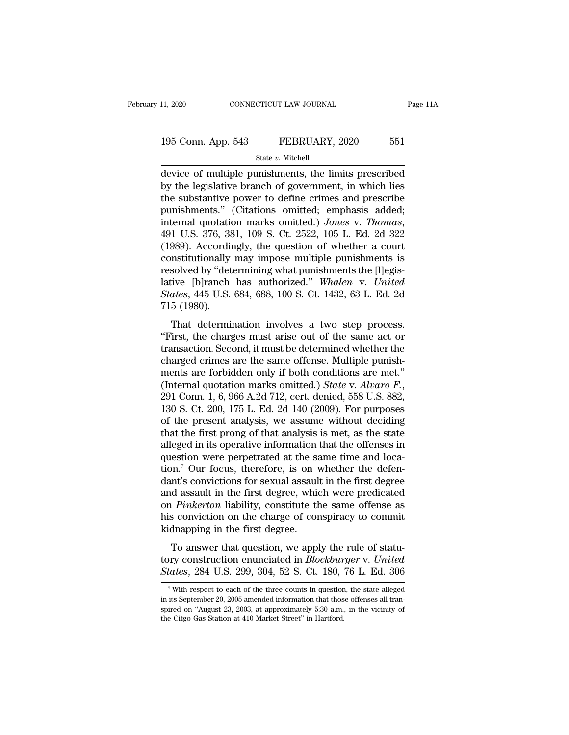### State *v.* Mitchell

11, 2020 CONNECTICUT LAW JOURNAL Page 11A<br>
195 Conn. App. 543 FEBRUARY, 2020 551<br>
State v. Mitchell<br>
device of multiple punishments, the limits prescribed<br>
by the legislative branch of government, in which lies<br>
the subst 195 Conn. App. 543 FEBRUARY, 2020 551<br>
State v. Mitchell<br>
device of multiple punishments, the limits prescribed<br>
by the legislative branch of government, in which lies<br>
the substantive power to define crimes and prescribe<br> 195 Conn. App. 543 FEBRUARY, 2020 551<br>
State v. Mitchell<br>
device of multiple punishments, the limits prescribed<br>
by the legislative branch of government, in which lies<br>
the substantive power to define crimes and prescribe 195 Conn. App. 543 FEBRUARY, 2020 551<br>
State v. Mitchell<br>
device of multiple punishments, the limits prescribed<br>
by the legislative branch of government, in which lies<br>
the substantive power to define crimes and prescribe **Example 12 Decided.**<br> **State v. Mitchell**<br> **device of multiple punishments, the limits prescribed**<br> **by the legislative branch of government, in which lies**<br> **the substantive power to define crimes and prescribe**<br> **punish** device of multiple punishments, the limits prescribed<br>by the legislative branch of government, in which lies<br>the substantive power to define crimes and prescribe<br>punishments." (Citations omitted; emphasis added;<br>internal q by the legislative branch of government, in which lies<br>the substantive power to define crimes and prescribe<br>punishments." (Citations omitted; emphasis added;<br>internal quotation marks omitted.) Jones v. Thomas,<br>491 U.S. 37 the substantive power to define crimes and prescribe<br>punishments." (Citations omitted; emphasis added;<br>internal quotation marks omitted.) Jones v. Thomas,<br>491 U.S. 376, 381, 109 S. Ct. 2522, 105 L. Ed. 2d 322<br>(1989). Acco punishments." (Citations omitted; emphasis added;<br>internal quotation marks omitted.) Jones v. Thomas,<br>491 U.S. 376, 381, 109 S. Ct. 2522, 105 L. Ed. 2d 322<br>(1989). Accordingly, the question of whether a court<br>constitutiona internal quotation marks omitted.) *Jones* v. *Thomas*, 491 U.S. 376, 381, 109 S. Ct. 2522, 105 L. Ed. 2d 322 (1989). Accordingly, the question of whether a court constitutionally may impose multiple punishments is resolve 491 U.S. 376, 38<br>(1989). Accordin<br>constitutionally<br>resolved by "det<br>lative [b]ranch<br>*States*, 445 U.S.<br>715 (1980).<br>That determin Soos). Accordingly, the question of whether a court<br>institutionally may impose multiple punishments is<br>solved by "determining what punishments the [I]egis-<br>ive [b]ranch has authorized." Whalen v. United<br>ates, 445 U.S. 684, The constitutionally hay impose multiple pullishments is<br>
resolved by "determining what punishments the [I]egis-<br>
lative [b]ranch has authorized." Whalen v. United<br>
States, 445 U.S. 684, 688, 100 S. Ct. 1432, 63 L. Ed. 2d<br>

resolved by determining what punsimients the [r]egis-<br>lative [b]ranch has authorized." Whalen v. United<br>States, 445 U.S. 684, 688, 100 S. Ct. 1432, 63 L. Ed. 2d<br>715 (1980).<br>That determination involves a two step process.<br>" First, 445 U.S. 684, 688, 100 S. Ct. 1432, 63 L. Ed. 2d<br>
715 (1980).<br>
That determination involves a two step process.<br>
"First, the charges must arise out of the same act or<br>
transaction. Second, it must be determined whet That determination involves a two step process.<br>
"First, the charges must arise out of the same act or<br>
transaction. Second, it must be determined whether the<br>
charged crimes are the same offense. Multiple punish-<br>
ments That determination involves a two step process.<br>
"First, the charges must arise out of the same act or<br>
transaction. Second, it must be determined whether the<br>
charged crimes are the same offense. Multiple punish-<br>
ments a "First, the charges must arise out of the same act or transaction. Second, it must be determined whether the charged crimes are the same offense. Multiple punishments are forbidden only if both conditions are met." (Inter transaction. Second, it must be determined whether the charged crimes are the same offense. Multiple punishments are forbidden only if both conditions are met." (Internal quotation marks omitted.) *State v. Alvaro F.*, 29 charged crimes are the same offense. Multiple punishments are forbidden only if both conditions are met."<br>(Internal quotation marks omitted.) *State v. Alvaro F.*, 291 Conn. 1, 6, 966 A.2d 712, cert. denied, 558 U.S. 882, ments are forbidden only if both conditions are met."<br>(Internal quotation marks omitted.) *State* v. Alvaro F.,<br>291 Conn. 1, 6, 966 A.2d 712, cert. denied, 558 U.S. 882,<br>130 S. Ct. 200, 175 L. Ed. 2d 140 (2009). For purpo (Internal quotation marks omitted.) *State v. Alvaro F.*, 291 Conn. 1, 6, 966 A.2d 712, cert. denied, 558 U.S. 882, 130 S. Ct. 200, 175 L. Ed. 2d 140 (2009). For purposes of the present analysis, we assume without decidin 291 Conn. 1, 6, 966 A.2d 712, cert. denied, 558 U.S. 882, 130 S. Ct. 200, 175 L. Ed. 2d 140 (2009). For purposes of the present analysis, we assume without deciding that the first prong of that analysis is met, as the sta 130 S. Ct. 200, 175 L. Ed. 2d 140 (2009). For purposes<br>of the present analysis, we assume without deciding<br>that the first prong of that analysis is met, as the state<br>alleged in its operative information that the offenses of the present analysis, we assume without deciding<br>that the first prong of that analysis is met, as the state<br>alleged in its operative information that the offenses in<br>question were perpetrated at the same time and loca-<br> that the first prong of that analysis is met, as the state alleged in its operative information that the offenses in question were perpetrated at the same time and location.<sup>7</sup> Our focus, therefore, is on whether the defen alleged in its operative information that the offenses in<br>question were perpetrated at the same time and loca-<br>tion.<sup>7</sup> Our focus, therefore, is on whether the defen-<br>dant's convictions for sexual assault in the first degr question were perpetrated at the sation.<sup>7</sup> Our focus, therefore, is on v<br>dant's convictions for sexual assaul<br>and assault in the first degree, which<br>on *Pinkerton* liability, constitute th<br>his conviction on the charge of The convictions for sexual assault in the first degree<br>d assault in the first degree, which were predicated<br> $Pinkerton$  liability, constitute the same offense as<br>s conviction on the charge of conspiracy to commit<br>dnapping in th the state of sexual assault in the first degree<br>and assault in the first degree, which were predicated<br>on *Pinkerton* liability, constitute the same offense as<br>his conviction on the charge of conspiracy to commit<br>kidnappin and assaure in the first degree, which were predicated<br>on *Pinkerton* liability, constitute the same offense as<br>his conviction on the charge of conspiracy to commit<br>kidnapping in the first degree.<br>To answer that question,

To answer that question, we apply the rule of statu-<br>pry construction enunciated in *Blockburger* v. United<br>tates, 284 U.S. 299, 304, 52 S. Ct. 180, 76 L. Ed. 306<br><sup>7</sup> With respect to each of the three counts in question, To answer that question, we apply the rule of statu-<br>tory construction enunciated in *Blockburger* v. United<br>States, 284 U.S. 299, 304, 52 S. Ct. 180, 76 L. Ed. 306<br><sup>7</sup> With respect to each of the three counts in question,

tory construction enunciated in *Blockburger* v. United States, 284 U.S. 299, 304, 52 S. Ct. 180, 76 L. Ed. 306<br>
<sup>7</sup> With respect to each of the three counts in question, the state alleged in its September 20, 2005 amende States, 284 U.S. 299, 304, 52 S. Ct. 180,<br>
T With respect to each of the three counts in question<br>
in its September 20, 2005 amended information that thos<br>
spired on "August 23, 2003, at approximately 5:30 a.m.,<br>
the Citgo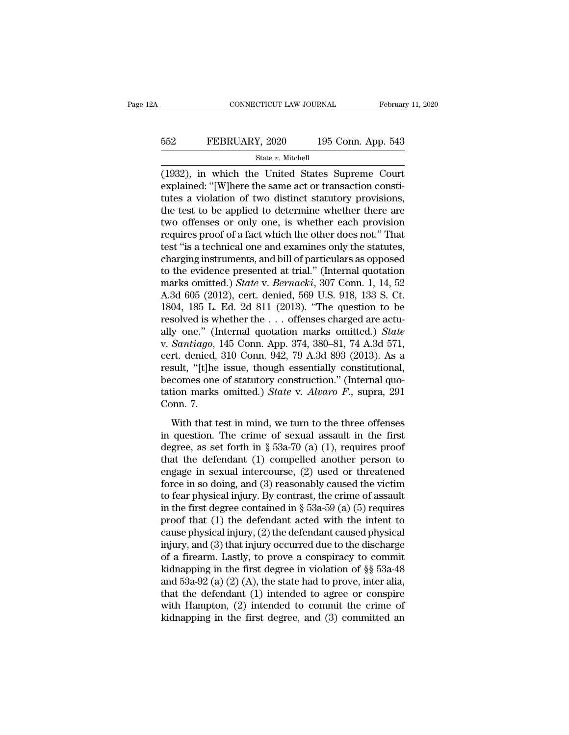### EXECUTE CONNECTICUT LAW JOURNAL February 11, 2020<br>552 FEBRUARY, 2020 195 Conn. App. 543<br>5tate v. Mitchell State *v.* Mitchell

CONNECTICUT LAW JOURNAL February 11, 2020<br>
FEBRUARY, 2020 195 Conn. App. 543<br>
State v. Mitchell<br>
(1932), in which the United States Supreme Court<br>
explained: "[W]here the same act or transaction constitutors a violation of EXPLAINT 552<br>
EXPLAINT 56 FEBRUARY, 2020<br>
State v. Mitchell<br>
(1932), in which the United States Supreme Court<br>
explained: "[W]here the same act or transaction constitutes a violation of two distinct statutory provisions,<br> EBRUARY, 2020 195 Conn. App. 543<br>
State v. Mitchell<br>
(1932), in which the United States Supreme Court<br>
explained: "[W]here the same act or transaction constitutes a violation of two distinct statutory provisions,<br>
the tes FEBRUARY, 2020 195 Conn. App. 543<br>
State v. Mitchell<br>
(1932), in which the United States Supreme Court<br>
explained: "[W]here the same act or transaction constitutes a violation of two distinct statutory provisions,<br>
the te State v. Mitchell<br>
(1932), in which the United States Supreme Court<br>
explained: "[W]here the same act or transaction consti-<br>
tutes a violation of two distinct statutory provisions,<br>
the test to be applied to determine wh state v. Mitchell<br>
(1932), in which the United States Supreme Court<br>
explained: "[W]here the same act or transaction consti-<br>
tutes a violation of two distinct statutory provisions,<br>
the test to be applied to determine wh (1932), in which the United States Supreme Court<br>explained: "[W]here the same act or transaction constitutes a violation of two distinct statutory provisions,<br>the test to be applied to determine whether there are<br>two offen explained: "[W]here the same act or transaction constitutes a violation of two distinct statutory provisions,<br>the test to be applied to determine whether there are<br>two offenses or only one, is whether each provision<br>requir tutes a violation of two distinct statutory provisions,<br>the test to be applied to determine whether there are<br>two offenses or only one, is whether each provision<br>requires proof of a fact which the other does not." That<br>te the test to be applied to determine whether there are<br>two offenses or only one, is whether each provision<br>requires proof of a fact which the other does not." That<br>test "is a technical one and examines only the statutes,<br>ch two offenses or only one, is whether each provision<br>requires proof of a fact which the other does not." That<br>test "is a technical one and examines only the statutes,<br>charging instruments, and bill of particulars as opposed requires proof of a fact which the other does not." That<br>test "is a technical one and examines only the statutes,<br>charging instruments, and bill of particulars as opposed<br>to the evidence presented at trial." (Internal quo test "is a technical one and examines only the statutes,<br>charging instruments, and bill of particulars as opposed<br>to the evidence presented at trial." (Internal quotation<br>marks omitted.) *State* v. *Bernacki*, 307 Conn. 1 charging instruments, and bill of particulars as opposed<br>to the evidence presented at trial." (Internal quotation<br>marks omitted.) *State* v. *Bernacki*, 307 Conn. 1, 14, 52<br>A.3d 605 (2012), cert. denied, 569 U.S. 918, 133 to the evidence presented at trial." (Internal quotation marks omitted.) *State* v. *Bernacki*, 307 Conn. 1, 14, 52 A.3d 605 (2012), cert. denied, 569 U.S. 918, 133 S. Ct. 1804, 185 L. Ed. 2d 811 (2013). "The question to b marks omitted.) *State* v. *Bernacki*, 307 Conn. 1, 14, 52<br>A.3d 605 (2012), cert. denied, 569 U.S. 918, 133 S. Ct.<br>1804, 185 L. Ed. 2d 811 (2013). "The question to be<br>resolved is whether the . . . offenses charged are act A.3d 605 (2012), cert. denied, 569 U.S. 918, 133 S. Ct.<br>1804, 185 L. Ed. 2d 811 (2013). "The question to be<br>resolved is whether the ... offenses charged are actu-<br>ally one." (Internal quotation marks omitted.) *State*<br>v. 1804, 185 L. Ed. 2d 811 (2013). "The question to be resolved is whether the ... offenses charged are actually one." (Internal quotation marks omitted.) *State* v. *Santiago*, 145 Conn. App. 374, 380–81, 74 A.3d 571, cert. resolved is whether the . . . offenses charged are actually one." (Internal quotation marks omitted.) *State* v. *Santiago*, 145 Conn. App. 374, 380–81, 74 A.3d 571, cert. denied, 310 Conn. 942, 79 A.3d 893 (2013). As a re ally one." (In<br>v. *Santiago*, 1<br>cert. denied,<br>result, "[t]he<br>becomes one<br>tation marks<br>Conn. 7.<br>With that te ountedge, The Columburg Fig. 31, 300 Cr, 11 Hod 811,<br>rt. denied, 310 Conn. 942, 79 A.3d 893 (2013). As a<br>sult, "[t]he issue, though essentially constitutional,<br>comes one of statutory construction." (Internal quo-<br>tion mar result, "[t]he issue, though essentially constitutional,<br>becomes one of statutory construction." (Internal quo-<br>tation marks omitted.) *State* v. *Alvaro* F., supra, 291<br>Conn. 7.<br>With that test in mind, we turn to the thr

degrees one of statutory construction." (Internal quotation marks omitted.) *State* v. *Alvaro F*., supra, 291 Conn. 7.<br>With that test in mind, we turn to the three offenses in question. The crime of sexual assault in the tation marks omitted.) *State* v. *Alvaro F.*, supra, 291<br>Conn. 7.<br>With that test in mind, we turn to the three offenses<br>in question. The crime of sexual assault in the first<br>degree, as set forth in § 53a-70 (a) (1), requ France in sexual intercourse, (2) used or threatened force in so doing, and (3) reasonably caused the victime of sexual in the first degree, as set forth in § 53a-70 (a) (1), requires proof that the defendant (1) compelle With that test in mind, we turn to the three offenses<br>in question. The crime of sexual assault in the first<br>degree, as set forth in § 53a-70 (a) (1), requires proof<br>that the defendant (1) compelled another person to<br>engag With that test in mind, we turn to the three offenses<br>in question. The crime of sexual assault in the first<br>degree, as set forth in § 53a-70 (a) (1), requires proof<br>that the defendant (1) compelled another person to<br>engag in question. The crime of sexual assault in the first<br>degree, as set forth in § 53a-70 (a) (1), requires proof<br>that the defendant (1) compelled another person to<br>engage in sexual intercourse, (2) used or threatened<br>force degree, as set forth in § 53a-70 (a) (1), requires proof<br>that the defendant (1) compelled another person to<br>engage in sexual intercourse, (2) used or threatened<br>force in so doing, and (3) reasonably caused the victim<br>to f that the defendant (1) compelled another person to<br>engage in sexual intercourse, (2) used or threatened<br>force in so doing, and (3) reasonably caused the victim<br>to fear physical injury. By contrast, the crime of assault<br>in engage in sexual intercourse, (2) used or threatened<br>force in so doing, and (3) reasonably caused the victim<br>to fear physical injury. By contrast, the crime of assault<br>in the first degree contained in § 53a-59 (a) (5) req force in so doing, and (3) reasonably caused the victim<br>to fear physical injury. By contrast, the crime of assault<br>in the first degree contained in § 53a-59 (a) (5) requires<br>proof that (1) the defendant acted with the int to fear physical injury. By contrast, the crime of assault<br>in the first degree contained in § 53a-59 (a) (5) requires<br>proof that (1) the defendant acted with the intent to<br>cause physical injury, (2) the defendant caused p in the first degree contained in § 53a-59 (a) (5) requires<br>proof that (1) the defendant acted with the intent to<br>cause physical injury, (2) the defendant caused physical<br>injury, and (3) that injury occurred due to the dis proof that (1) the defendant acted with the intent to<br>cause physical injury, (2) the defendant caused physical<br>injury, and (3) that injury occurred due to the discharge<br>of a firearm. Lastly, to prove a conspiracy to commi cause physical injury, (2) the defendant caused physical<br>injury, and (3) that injury occurred due to the discharge<br>of a firearm. Lastly, to prove a conspiracy to commit<br>kidnapping in the first degree in violation of  $\S$  5 injury, and (3) that injury occurred due to the discharge<br>of a firearm. Lastly, to prove a conspiracy to commit<br>kidnapping in the first degree in violation of §§ 53a-48<br>and 53a-92 (a) (2) (A), the state had to prove, inte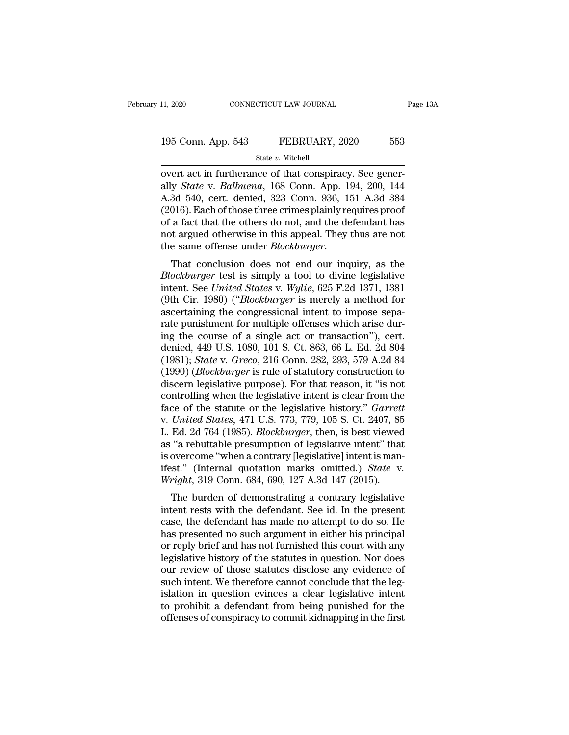# 11, 2020 CONNECTICUT LAW JOURNAL Page 13A<br>195 Conn. App. 543 FEBRUARY, 2020 553<br>State v. Mitchell

State *v.* Mitchell

11, 2020 CONNECTICUT LAW JOURNAL<br>
195 Conn. App. 543 FEBRUARY, 2020 553<br>
State v. Mitchell<br>
overt act in furtherance of that conspiracy. See gener-<br>
ally *State* v. *Balbuena*, 168 Conn. App. 194, 200, 144<br>
A 3d 540, cort, 195 Conn. App. 543 FEBRUARY, 2020 553<br>
State v. Mitchell<br>
overt act in furtherance of that conspiracy. See generally *State* v. *Balbuena*, 168 Conn. App. 194, 200, 144<br>
A.3d 540, cert. denied, 323 Conn. 936, 151 A.3d 384<br> 195 Conn. App. 543 FEBRUARY, 2020 553<br>
State v. Mitchell<br>
overt act in furtherance of that conspiracy. See generally *State* v. *Balbuena*, 168 Conn. App. 194, 200, 144<br>
A.3d 540, cert. denied, 323 Conn. 936, 151 A.3d 384 195 Conn. App. 543 FEBRUARY, 2020 553<br>
State v. Mitchell<br>
overt act in furtherance of that conspiracy. See generally *State* v. *Balbuena*, 168 Conn. App. 194, 200, 144<br>
A.3d 540, cert. denied, 323 Conn. 936, 151 A.3d 384 State v. Mitchell<br>
overt act in furtherance of that conspiracy. See generally *State* v. *Balbuena*, 168 Conn. App. 194, 200, 144<br>
A.3d 540, cert. denied, 323 Conn. 936, 151 A.3d 384<br>
(2016). Each of those three crimes pl state v. Mitchell<br>overt act in furtherance of that conspiracy. See gener-<br>ally *State* v. *Balbuena*, 168 Conn. App. 194, 200, 144<br>A.3d 540, cert. denied, 323 Conn. 936, 151 A.3d 384<br>(2016). Each of those three crimes plai overt act in furtherance of that conspiracy. See generally *State* v. *Balbuena*, 168 Conn. App. 194, 200, 144<br>A.3d 540, cert. denied, 323 Conn. 936, 151 A.3d 384<br>(2016). Each of those three crimes plainly requires proof<br>o *A.3d 540, Cert. defiled, 525 Collit. 950, 151 A.3d 364*<br>*(2016).* Each of those three crimes plainly requires proof<br>of a fact that the others do not, and the defendant has<br>not argued otherwise in this appeal. They thus ar

(2010). Each of those three crimes plainly requires proof<br>of a fact that the others do not, and the defendant has<br>not argued otherwise in this appeal. They thus are not<br>the same offense under *Blockburger*.<br>That conclusion or a fact that the others do not, and the defendant has<br>not argued otherwise in this appeal. They thus are not<br>the same offense under *Blockburger*.<br>That conclusion does not end our inquiry, as the<br>*Blockburger* test is si Fraction different intention and the same offense under *Blockburger*.<br>That conclusion does not end our inquiry, as the *Blockburger* test is simply a tool to divine legislative intent. See *United States v. Wylie*, 625 F. That conclusion does not end our inquiry, as the *Blockburger* test is simply a tool to divine legislative intent. See *United States v. Wylie*, 625 F.2d 1371, 1381 (9th Cir. 1980) ("*Blockburger* is merely a method for a That conclusion does not end our inquiry, as the *Blockburger* test is simply a tool to divine legislative intent. See *United States* v. *Wylie*, 625 F.2d 1371, 1381 (9th Cir. 1980) ("*Blockburger* is merely a method for Blockburger test is simply a tool to divine legislative<br>intent. See United States v. Wylie, 625 F.2d 1371, 1381<br>(9th Cir. 1980) ("Blockburger is merely a method for<br>ascertaining the congressional intent to impose sepa-<br>rat intent. See *United States* v. *Wylie*, 625 F.2d 1371, 1381<br>(9th Cir. 1980) ("*Blockburger* is merely a method for<br>ascertaining the congressional intent to impose sepa-<br>rate punishment for multiple offenses which arise dur (9th Cir. 1980) (*"Blockburger* is merely a method for ascertaining the congressional intent to impose separate punishment for multiple offenses which arise during the course of a single act or transaction"), cert. denied, ascertaining the congressional intent to impose separate punishment for multiple offenses which arise during the course of a single act or transaction"), cert.<br>denied, 449 U.S. 1080, 101 S. Ct. 863, 66 L. Ed. 2d 804<br>(1981) rate punishment for multiple offenses which arise during the course of a single act or transaction"), cert.<br>denied, 449 U.S. 1080, 101 S. Ct. 863, 66 L. Ed. 2d 804<br>(1981); *State* v. *Greco*, 216 Conn. 282, 293, 579 A.2d ing the course of a single act or transaction"), cert.<br>denied, 449 U.S. 1080, 101 S. Ct. 863, 66 L. Ed. 2d 804<br>(1981); *State v. Greco*, 216 Conn. 282, 293, 579 A.2d 84<br>(1990) *(Blockburger* is rule of statutory constructi denied, 449 U.S. 1080, 101 S. Ct. 863, 66 L. Ed. 2d 804 (1981); *State* v. *Greco*, 216 Conn. 282, 293, 579 A.2d 84 (1990) *(Blockburger* is rule of statutory construction to discern legislative purpose). For that reason, (1981); *State v. Greco*, 216 Conn. 282, 293, 579 A.2d 84<br>(1990) (*Blockburger* is rule of statutory construction to<br>discern legislative purpose). For that reason, it "is not<br>controlling when the legislative intent is cle (1990) (*Blockburger* is rule of statutory construction to<br>discern legislative purpose). For that reason, it "is not<br>controlling when the legislative intent is clear from the<br>face of the statute or the legislative history discern legislative purpose). For that reason, it "is not controlling when the legislative intent is clear from the face of the statute or the legislative history." *Garrett* v. *United States*, 471 U.S. 773, 779, 105 S. controlling when the legislative intent is clear from the<br>face of the statute or the legislative history." *Garrett*<br>v. *United States*, 471 U.S. 773, 779, 105 S. Ct. 2407, 85<br>L. Ed. 2d 764 (1985). *Blockburger*, then, is *Chited States, 411 0.5. (15, 119, 105 S. Ct. 2401, 65*<br>
Ed. 2d 764 (1985). *Blockburger*, then, is best viewed<br>
"a rebuttable presumption of legislative intent" that<br>
overcome "when a contrary [legislative] intent is man L. Ed. 2d 704 (1965). *Blockburger*, then, is best viewed<br>as "a rebuttable presumption of legislative intent" that<br>is overcome "when a contrary [legislative] intent is man-<br>ifest." (Internal quotation marks omitted.) *Stat* 

as a rebuttable presumption of legislative literate that<br>is overcome "when a contrary [legislative] intent is man-<br>ifest." (Internal quotation marks omitted.) *State v.*<br>Wright, 319 Conn. 684, 690, 127 A.3d 147 (2015).<br>The ifest." (Internal quotation marks omitted.) *State v.*<br>Wright, 319 Conn. 684, 690, 127 A.3d 147 (2015).<br>The burden of demonstrating a contrary legislative<br>intent rests with the defendant. See id. In the present<br>case, the d mest. (internar quotation marks onlited.) *State* v.<br> *Wright*, 319 Conn. 684, 690, 127 A.3d 147 (2015).<br>
The burden of demonstrating a contrary legislative<br>
intent rests with the defendant. See id. In the present<br>
case, t Wright, 513 Collit. 064, 050, 127 A.5d 147 (2015).<br>
The burden of demonstrating a contrary legislative<br>
intent rests with the defendant. See id. In the present<br>
case, the defendant has made no attempt to do so. He<br>
has pr The burden of demonstrating a contrary legislative<br>intent rests with the defendant. See id. In the present<br>case, the defendant has made no attempt to do so. He<br>has presented no such argument in either his principal<br>or repl intent rests with the defendant. See id. In the present case, the defendant has made no attempt to do so. He has presented no such argument in either his principal or reply brief and has not furnished this court with any l case, the defendant has made no attempt to do so. He<br>has presented no such argument in either his principal<br>or reply brief and has not furnished this court with any<br>legislative history of the statutes in question. Nor does has presented no such argument in either his principal<br>or reply brief and has not furnished this court with any<br>legislative history of the statutes in question. Nor does<br>our review of those statutes disclose any evidence o or reply brief and has not furnished this court with any legislative history of the statutes in question. Nor does our review of those statutes disclose any evidence of such intent. We therefore cannot conclude that the le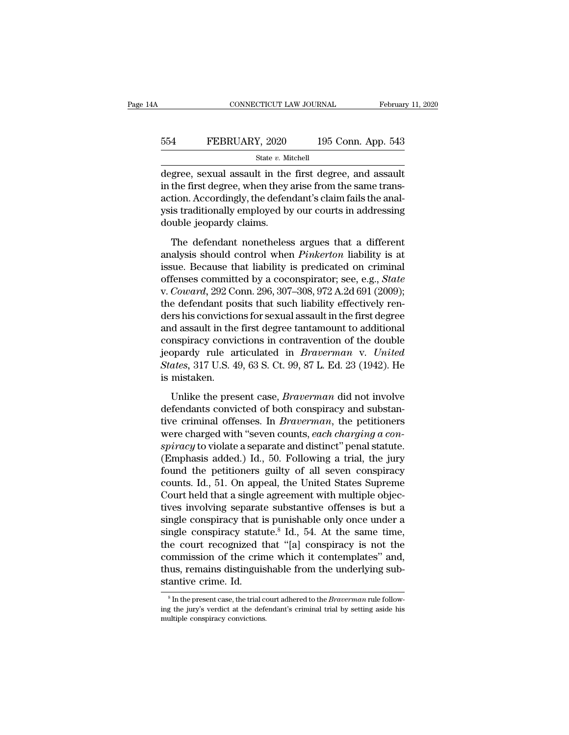### EXECUTE CONNECTICUT LAW JOURNAL February 11, 2020<br>554 FEBRUARY, 2020 195 Conn. App. 543<br>5tate v. Mitchell State *v.* Mitchell

CONNECTICUT LAW JOURNAL February 11, 2020<br>
FEBRUARY, 2020 195 Conn. App. 543<br>
State v. Mitchell<br>
degree, sexual assault in the first degree, and assault<br>
in the first degree, when they arise from the same trans-FEBRUARY, 2020 195 Conn. App. 543<br>
state v. Mitchell<br>
degree, sexual assault in the first degree, and assault<br>
in the first degree, when they arise from the same trans-<br>
action. Accordingly, the defendant's claim fails th  $\begin{array}{r} \text{554} & \text{FEBRUARY, 2020} & \text{195 Conn. App. 543} \ \hline \text{degree, sexual assault in the first degree, and assault in the first degree, when they arise from the same transaction. Accordingly, the defendant's claim fails the analysis traditionally employed by our courts in addressing double isoquark claims.} \end{array}$ FEBRUARY, 2020 195 Conn. App. 543<br>
State v. Mitchell<br>
degree, sexual assault in the first degree, and assault<br>
in the first degree, when they arise from the same trans-<br>
action. Accordingly, the defendant's claim fails th  $\begin{tabular}{l} \hline & state $v$. Mi \\ \hline \hline \text{degree, sexual assault in the} \\ \hline \text{in the first degree, when they a action. Accordingly, the defends \\ \text{gus its traditionally employed by double jeopardy claims.} \\ \hline \end{tabular}$ gree, sexual assault in the first degree, and assault<br>the first degree, when they arise from the same trans-<br>tion. Accordingly, the defendant's claim fails the anal-<br>is traditionally employed by our courts in addressing<br>wh in the first degree, when they arise from the same trans-<br>action. Accordingly, the defendant's claim fails the anal-<br>ysis traditionally employed by our courts in addressing<br>double jeopardy claims.<br>The defendant nonetheless

action. Accordingly, the defendant's claim fails the analysis traditionally employed by our courts in addressing<br>double jeopardy claims.<br>The defendant nonetheless argues that a different<br>analysis should control when *Pink* offensionally employed by our courts in addressing<br>double jeopardy claims.<br>The defendant nonetheless argues that a different<br>analysis should control when *Pinkerton* liability is at<br>issue. Because that liability is predica v. **Could be interesting** the state of the state of the defendant nonetheless argues that a different analysis should control when *Pinkerton* liability is at issue. Because that liability is predicated on criminal offense The defendant nonetheless argues that a different<br>analysis should control when *Pinkerton* liability is at<br>issue. Because that liability is predicated on criminal<br>offenses committed by a coconspirator; see, e.g., *State*<br> The defendant nonetheless argues that a different<br>analysis should control when *Pinkerton* liability is at<br>issue. Because that liability is predicated on criminal<br>offenses committed by a coconspirator; see, e.g., *State*<br>v analysis should control when *Pinkerton* liability is at issue. Because that liability is predicated on criminal offenses committed by a coconspirator; see, e.g., *State* v. *Coward*, 292 Conn. 296, 307–308, 972 A.2d 691 issue. Because that liability is predicated on criminal<br>offenses committed by a coconspirator; see, e.g., *State*<br>v. *Coward*, 292 Conn. 296, 307–308, 972 A.2d 691 (2009);<br>the defendant posits that such liability effectiv offenses committed by a coconspirator; see, e.g., *State* v. *Coward*, 292 Conn. 296, 307–308, 972 A.2d 691 (2009); the defendant posits that such liability effectively renders his convictions for sexual assault in the fir *v. Coward,* 292 Conn. 296, 307–308, 972 A.2d 691 (2009);<br>the defendant posits that such liability effectively ren-<br>ders his convictions for sexual assault in the first degree<br>and assault in the first degree tantamount to the defendant po<br>ders his convictio<br>and assault in the<br>conspiracy convi<br>jeopardy rule ar<br>*States*, 317 U.S. 4<br>is mistaken.<br>Unlike the pres d assault in the first degree tantamount to additional<br>nspiracy convictions in contravention of the double<br>ppardy rule articulated in *Braverman* v. United<br>ates, 317 U.S. 49, 63 S. Ct. 99, 87 L. Ed. 23 (1942). He<br>mistaken. conspiracy convictions in contravention of the double<br>jeopardy rule articulated in *Braverman* v. United<br>States, 317 U.S. 49, 63 S. Ct. 99, 87 L. Ed. 23 (1942). He<br>is mistaken.<br>Unlike the present case, *Braverman* did not

ijeopardy rule articulated in *Braverman* v. United<br>States, 317 U.S. 49, 63 S. Ct. 99, 87 L. Ed. 23 (1942). He<br>is mistaken.<br>Unlike the present case, *Braverman* did not involve<br>defendants convicted of both conspiracy and s States, 317 U.S. 49, 63 S. Ct. 99, 87 L. Ed. 23 (1942). He<br>is mistaken.<br>Unlike the present case, *Braverman* did not involve<br>defendants convicted of both conspiracy and substan-<br>tive criminal offenses. In *Braverman*, the *s* is mistaken.<br>
Unlike the present case, *Braverman* did not involve<br>
defendants convicted of both conspiracy and substan-<br>
tive criminal offenses. In *Braverman*, the petitioners<br>
were charged with "seven counts, *each* Unlike the present case, *Braverman* did not involve<br>defendants convicted of both conspiracy and substan-<br>tive criminal offenses. In *Braverman*, the petitioners<br>were charged with "seven counts, *each charging a con-<br>spira* Unlike the present case, *Braverman* did not involve<br>defendants convicted of both conspiracy and substan-<br>tive criminal offenses. In *Braverman*, the petitioners<br>were charged with "seven counts, *each charging a con-<br>spir* defendants convicted of both conspiracy and substan-<br>tive criminal offenses. In *Braverman*, the petitioners<br>were charged with "seven counts, *each charging a con-*<br>spiracy to violate a separate and distinct" penal statute tive criminal offenses. In *Braverman*, the petitioners<br>were charged with "seven counts, *each charging a con-*<br>spiracy to violate a separate and distinct" penal statute.<br>(Emphasis added.) Id., 50. Following a trial, the j were charged with "seven counts, *each charging a conspiracy* to violate a separate and distinct" penal statute.<br>(Emphasis added.) Id., 50. Following a trial, the jury found the petitioners guilty of all seven conspiracy spiracy to violate a separate and distinct" penal statute.<br>(Emphasis added.) Id., 50. Following a trial, the jury<br>found the petitioners guilty of all seven conspiracy<br>counts. Id., 51. On appeal, the United States Supreme<br>C (Emphasis added.) Id., 50. Following a trial, the jury<br>found the petitioners guilty of all seven conspiracy<br>counts. Id., 51. On appeal, the United States Supreme<br>Court held that a single agreement with multiple objec-<br>tiv found the petitioners guilty of all seven conspiracy<br>counts. Id., 51. On appeal, the United States Supreme<br>Court held that a single agreement with multiple objec-<br>tives involving separate substantive offenses is but a<br>sing counts. Id., 51. On appeal, the United States Supreme<br>Court held that a single agreement with multiple objec-<br>tives involving separate substantive offenses is but a<br>single conspiracy that is punishable only once under a<br>si Court held that a single agreement with multiple objectives involving separate substantive offenses is but a single conspiracy that is punishable only once under a single conspiracy statute.<sup>8</sup> Id., 54. At the same time, tives involving separate<br>single conspiracy that is<br>single conspiracy stature<br>the court recognized to<br>commission of the crime.<br>thus, remains distinguis<br>stantive crime. Id. the court recognized that "[a] conspiracy is not the commission of the crime which it contemplates" and, thus, remains distinguishable from the underlying substantive crime. Id.<br>
<sup>8</sup> In the present case, the trial court ad commission of the crime which it contemplates" and,<br>thus, remains distinguishable from the underlying substantive crime. Id.<br> $\frac{1}{100}$  in the present case, the trial court adhered to the *Braverman* rule following the j

thus, remains distinguis<br>stantive crime. Id.<br><sup>8</sup>In the present case, the trial computer in the jury's verdict at the defermultiple conspiracy convictions.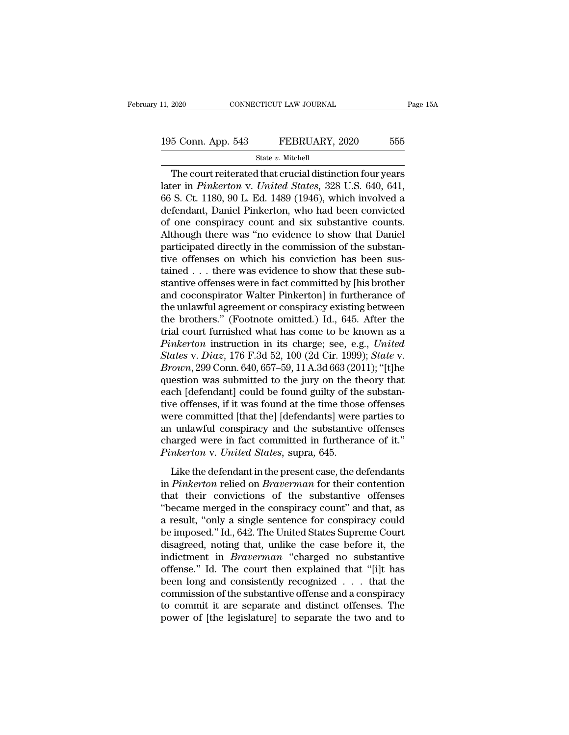### State *v.* Mitchell

The court reiterated that crucial distinction four years<br>
The court reiterated that crucial distinction four years<br>
The court reiterated that crucial distinction four years<br>
The court reiterated that crucial distinction fo 195 Conn. App. 543 FEBRUARY, 2020 555<br>
State v. Mitchell<br>
The court reiterated that crucial distinction four years<br>
later in *Pinkerton* v. *United States*, 328 U.S. 640, 641,<br>
66 S. Ct. 1180, 90 L. Ed. 1489 (1946), which 195 Conn. App. 543 FEBRUARY, 2020 555<br>
State v. Mitchell<br>
The court reiterated that crucial distinction four years<br>
later in *Pinkerton* v. *United States*, 328 U.S. 640, 641,<br>
66 S. Ct. 1180, 90 L. Ed. 1489 (1946), which 195 Conn. App. 543 FEBRUARY, 2020 555<br>
State v. Mitchell<br>
The court reiterated that crucial distinction four years<br>
later in *Pinkerton* v. *United States*, 328 U.S. 640, 641,<br>
66 S. Ct. 1180, 90 L. Ed. 1489 (1946), which State v. Mitchell<br>
The court reiterated that crucial distinction four years<br>
later in *Pinkerton* v. *United States*, 328 U.S. 640, 641,<br>
66 S. Ct. 1180, 90 L. Ed. 1489 (1946), which involved a<br>
defendant, Daniel Pinkerto State v. Mitchell<br>The court reiterated that crucial distinction four years<br>later in *Pinkerton* v. *United States*, 328 U.S. 640, 641,<br>66 S. Ct. 1180, 90 L. Ed. 1489 (1946), which involved a<br>defendant, Daniel Pinkerton, wh The court reiterated that crucial distinction four years<br>later in *Pinkerton* v. *United States*, 328 U.S. 640, 641,<br>66 S. Ct. 1180, 90 L. Ed. 1489 (1946), which involved a<br>defendant, Daniel Pinkerton, who had been convict later in *Pinkerton* v. United States, 328 U.S. 640, 641, 66 S. Ct. 1180, 90 L. Ed. 1489 (1946), which involved a defendant, Daniel Pinkerton, who had been convicted of one conspiracy count and six substantive counts. Alt 66 S. Ct. 1180, 90 L. Ed. 1489 (1946), which involved a defendant, Daniel Pinkerton, who had been convicted of one conspiracy count and six substantive counts. Although there was "no evidence to show that Daniel participa defendant, Daniel Pinkerton, who had been convicted<br>of one conspiracy count and six substantive counts.<br>Although there was "no evidence to show that Daniel<br>participated directly in the commission of the substan-<br>tive offen of one conspiracy count and six substantive counts.<br>Although there was "no evidence to show that Daniel<br>participated directly in the commission of the substan-<br>tive offenses on which his conviction has been sus-<br>tained . Although there was "no evidence to show that Daniel<br>participated directly in the commission of the substan-<br>tive offenses on which his conviction has been sus-<br>tained . . . there was evidence to show that these sub-<br>stanti participated directly in the commission of the substantive offenses on which his conviction has been sus-<br>tained . . . there was evidence to show that these substantive offenses were in fact committed by [his brother<br>and tive offenses on which his conviction has been sus-<br>tained . . . there was evidence to show that these sub-<br>stantive offenses were in fact committed by [his brother<br>and coconspirator Walter Pinkerton] in furtherance of<br>th tained . . . there was evidence to show that these substantive offenses were in fact committed by [his brother and coconspirator Walter Pinkerton] in furtherance of the unlawful agreement or conspiracy existing between the *Stantive offenses were in fact committed by [his brother* and coconspirator Walter Pinkerton] in furtherance of the unlawful agreement or conspiracy existing between the brothers." (Footnote omitted.) Id., 645. After the and coconspirator Walter Pinkerton] in furtherance of<br>the unlawful agreement or conspiracy existing between<br>the brothers." (Footnote omitted.) Id., 645. After the<br>trial court furnished what has come to be known as a<br>*Pinke* the unlawful agreement or conspiracy existing between<br>the brothers." (Footnote omitted.) Id., 645. After the<br>trial court furnished what has come to be known as a<br>*Pinkerton* instruction in its charge; see, e.g., *United*<br> the brothers." (Footnote omitted.) Id., 645. After the trial court furnished what has come to be known as a *Pinkerton* instruction in its charge; see, e.g., *United States v. Diaz*, 176 F.3d 52, 100 (2d Cir. 1999); *Stat* trial court furnished what has come to be known as a<br> *Pinkerton* instruction in its charge; see, e.g., *United*<br> *States* v. *Diaz*, 176 F.3d 52, 100 (2d Cir. 1999); *State* v.<br> *Brown*, 299 Conn. 640, 657–59, 11 A.3d 663 Pinkerton instruction in its charge; see, e.g., United<br>States v. Diaz, 176 F.3d 52, 100 (2d Cir. 1999); State v.<br>Brown, 299 Conn. 640, 657–59, 11 A.3d 663 (2011); "[t]he<br>question was submitted to the jury on the theory tha States v. Diaz, 176 F.3d 52, 100 (2d Cir. 1999); State v.<br>Brown, 299 Conn. 640, 657–59, 11 A.3d 663 (2011); "[t]he<br>question was submitted to the jury on the theory that<br>each [defendant] could be found guilty of the substa Brown, 299 Conn. 640, 657–59, 11 A.3d 663 (2011); "[t]he<br>question was submitted to the jury on the theory that<br>each [defendant] could be found guilty of the substan-<br>tive offenses, if it was found at the time those offense question was submitted to the jury on the theory that<br>each [defendant] could be found guilty of the substan-<br>tive offenses, if it was found at the time those offenses<br>were committed [that the] [defendants] were parties to<br> Like the defendant in the present case, the defendants is the defendant of the substantive offenses arged were in fact committed in furtherance of it."<br> *nkerton* v. United States, supra, 645.<br>
Like the defendant in the pr are offenses, if it was roaded at the time those offenses<br>were committed [that the] [defendants] were parties to<br>an unlawful conspiracy and the substantive offenses<br>charged were in fact committed in furtherance of it."<br>*Pi* 

an unlawful conspiracy and the substantive offenses<br>charged were in fact committed in furtherance of it."<br>*Pinkerton* v. *United States*, supra, 645.<br>Like the defendant in the present case, the defendants<br>in *Pinkerton* re charged were in fact committed in furtherance of it."<br> *Pinkerton* v. United States, supra, 645.<br>
Like the defendant in the present case, the defendants<br>
in *Pinkerton* relied on *Braverman* for their contention<br>
that the Finkerton v. United States, supra, 645.<br>Like the defendant in the present case, the defendants<br>in Pinkerton relied on Braverman for their contention<br>that their convictions of the substantive offenses<br>"became merged in the Like the defendant in the present case, the defendants<br>in *Pinkerton* relied on *Braverman* for their contention<br>that their convictions of the substantive offenses<br>"became merged in the conspiracy count" and that, as<br>a re Like the defendant in the present case, the defendants<br>in *Pinkerton* relied on *Braverman* for their contention<br>that their convictions of the substantive offenses<br>"became merged in the conspiracy count" and that, as<br>a res in *Pinkerton* relied on *Braverman* for their contention<br>that their convictions of the substantive offenses<br>"became merged in the conspiracy count" and that, as<br>a result, "only a single sentence for conspiracy could<br>be im that their convictions of the substantive offenses<br>
"became merged in the conspiracy count" and that, as<br>
a result, "only a single sentence for conspiracy could<br>
be imposed." Id., 642. The United States Supreme Court<br>
dis "became merged in the conspiracy count" and that, as<br>a result, "only a single sentence for conspiracy could<br>be imposed." Id., 642. The United States Supreme Court<br>disagreed, noting that, unlike the case before it, the<br>ind a result, "only a single sentence for conspiracy could<br>be imposed." Id., 642. The United States Supreme Court<br>disagreed, noting that, unlike the case before it, the<br>indictment in *Braverman* "charged no substantive<br>offense be imposed." Id., 642. The United States Supreme Court<br>disagreed, noting that, unlike the case before it, the<br>indictment in *Braverman* "charged no substantive<br>offense." Id. The court then explained that "[i]t has<br>been lon disagreed, noting that, unlike the case before it, the indictment in *Braverman* "charged no substantive offense." Id. The court then explained that "[i]t has been long and consistently recognized  $\dots$  that the commission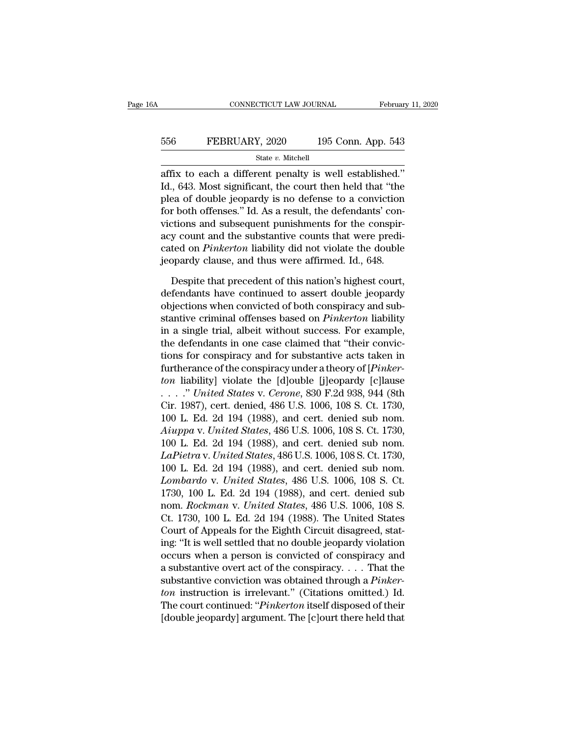### EXECUTE CONNECTICUT LAW JOURNAL February 11, 2020<br>556 FEBRUARY, 2020 195 Conn. App. 543<br>5tate v. Mitchell State *v.* Mitchell

 $\begin{array}{ll}\n & \text{COMRECTICUT LAW JOURNAL} & \text{February 11, 2}\n\hline\n & \text{556} & \text{FEBRUARY, 2020} & \text{195 Conn. App. 543}\n\hline\n & \text{State } v. \text{ Mitchell}\n\end{array}\n\quad\n\begin{array}{ll}\n & \text{State } v. \text{ Mitchell}\n\end{array}\n\quad\n\begin{array}{ll}\n & \text{State } v. \text{ Mitchell}\n\end{array}\n\quad\n\begin{array}{ll}\n & \text{State } v. \text{ Mitchell}\n\end{array}\n\quad\n\begin{array}{ll}\n & \text{State } v. \text{ん$ Id., 643. Most significant, the court then held that "the plea of double jeopardy is no defense to a conviction  $\mathbf{f}_1$  be that  $\mathbf{f}_2$  is  $\mathbf{f}_3$  as a result the defendants' controller that  $\mathbf{f}_3$  are small. FEBRUARY, 2020 195 Conn. App. 543<br>
state v. Mitchell<br>
affix to each a different penalty is well established."<br>
Id., 643. Most significant, the court then held that "the<br>
plea of double jeopardy is no defense to a convicti FEBRUARY, 2020 195 Conn. App. 543<br>
state v. Mitchell<br>
affix to each a different penalty is well established."<br>
Id., 643. Most significant, the court then held that "the<br>
plea of double jeopardy is no defense to a convicti State v. Mitchell<br>affix to each a different penalty is well established."<br>Id., 643. Most significant, the court then held that "the<br>plea of double jeopardy is no defense to a conviction<br>for both offenses." Id. As a result state *v*. Muchen<br>affix to each a different penalty is well established."<br>Id., 643. Most significant, the court then held that "the<br>plea of double jeopardy is no defense to a conviction<br>for both offenses." Id. As a result affix to each a different penalty is well established."<br>Id., 643. Most significant, the court then held that "the<br>plea of double jeopardy is no defense to a conviction<br>for both offenses." Id. As a result, the defendants' c Id., 643. Most significant, the court then held that "the<br>plea of double jeopardy is no defense to a conviction<br>for both offenses." Id. As a result, the defendants' con-<br>victions and subsequent punishments for the conspirr both offenses." Id. As a result, the defendants' con-<br>tions and subsequent punishments for the conspir-<br>y count and the substantive counts that were predi-<br>ted on *Pinkerton* liability did not violate the double<br>ppardy c victions and subsequent punishments for the conspiracy count and the substantive counts that were predicated on *Pinkerton* liability did not violate the double jeopardy clause, and thus were affirmed. Id., 648.<br>Despite th

acy count and the substantive counts that were predicated on *Pinkerton* liability did not violate the double<br>jeopardy clause, and thus were affirmed. Id., 648.<br>Despite that precedent of this nation's highest court,<br>defend cated on *Pinkerton* liability did not violate the double<br>jeopardy clause, and thus were affirmed. Id., 648.<br>Despite that precedent of this nation's highest court,<br>defendants have continued to assert double jeopardy<br>object jeopardy clause, and thus were affirmed. Id., 648.<br>Despite that precedent of this nation's highest court,<br>defendants have continued to assert double jeopardy<br>objections when convicted of both conspiracy and sub-<br>stantive c Despite that precedent of this nation's highest court,<br>defendants have continued to assert double jeopardy<br>objections when convicted of both conspiracy and sub-<br>stantive criminal offenses based on *Pinkerton* liability<br>in Despite that precedent of this nation's highest court,<br>defendants have continued to assert double jeopardy<br>objections when convicted of both conspiracy and sub-<br>stantive criminal offenses based on *Pinkerton* liability<br>in defendants have continued to assert double jeopardy<br>objections when convicted of both conspiracy and sub-<br>stantive criminal offenses based on *Pinkerton* liability<br>in a single trial, albeit without success. For example,<br>th objections when convicted of both conspiracy and substantive criminal offenses based on *Pinkerton* liability<br>in a single trial, albeit without success. For example,<br>the defendants in one case claimed that "their convic-<br>t stantive criminal offenses based on *Pinkerton* liability<br>in a single trial, albeit without success. For example,<br>the defendants in one case claimed that "their convic-<br>tions for conspiracy and for substantive acts taken i in a single trial, albeit without success. For example,<br>the defendants in one case claimed that "their convic-<br>tions for conspiracy and for substantive acts taken in<br>furtherance of the conspiracy under a theory of [*Pinke* the defendants in one case claimed that "their convictions for conspiracy and for substantive acts taken in furtherance of the conspiracy under a theory of [*Pinkerton* liability] violate the [d]ouble [j]eopardy [c]lause *Aiuppa* v. *United States*, 486 U.S. 1006, 108 S. Ct. 1730, *Le Distanty Limited States* v. *Cerone*, 830 F.2d 938, 944 (8th Cir. 1987), cert. denied, 486 U.S. 1006, 108 S. Ct. 1730, 100 L. Ed. 2d 194 (1988), and cert. de furtherance of the conspiracy under a theory of [*Pinkerton* liability] violate the [d]ouble [j]eopardy [c]lause . . . . " *United States v. Cerone*, 830 F.2d 938, 944 (8th Cir. 1987), cert. denied, 486 U.S. 1006, 108 S. *Lapierra* v. *United States* v. *Cerone*, 830 F.2d 938, 944 (8th Cir. 1987), cert. denied, 486 U.S. 1006, 108 S. Ct. 1730, 100 L. Ed. 2d 194 (1988), and cert. denied sub nom. *Aiuppa v. United States*, 486 U.S. 1006, 108 . . . . . *" United States v. Cerone*, 830 F.2d 938, 944 (8th<br>Cir. 1987), cert. denied, 486 U.S. 1006, 108 S. Ct. 1730,<br>100 L. Ed. 2d 194 (1988), and cert. denied sub nom.<br>*Aiuppa v. United States*, 486 U.S. 1006, 108 S. C Cir. 1987), cert. denied, 486 U.S. 1006, 108 S. Ct. 1730,<br>100 L. Ed. 2d 194 (1988), and cert. denied sub nom.<br>*Aiuppa v. United States*, 486 U.S. 1006, 108 S. Ct. 1730,<br>100 L. Ed. 2d 194 (1988), and cert. denied sub nom.<br> 100 L. Ed. 2d 194 (1988), and cert. denied sub nom.<br>Aiuppa v. United States, 486 U.S. 1006, 108 S. Ct. 1730,<br>100 L. Ed. 2d 194 (1988), and cert. denied sub nom.<br>LaPietra v. United States, 486 U.S. 1006, 108 S. Ct. 1730,<br>10 Aiuppa v. United States, 486 U.S. 1006, 108 S. Ct. 1730,<br>100 L. Ed. 2d 194 (1988), and cert. denied sub nom.<br>*LaPietra v. United States*, 486 U.S. 1006, 108 S. Ct. 1730,<br>100 L. Ed. 2d 194 (1988), and cert. denied sub nom.<br> 100 L. Ed. 2d 194 (1988), and cert. denied sub nom.<br> *LaPietra v. United States*, 486 U.S. 1006, 108 S. Ct. 1730,<br>
100 L. Ed. 2d 194 (1988), and cert. denied sub nom.<br> *Lombardo v. United States*, 486 U.S. 1006, 108 S. Ct LaPietra v. United States, 486 U.S. 1006, 108 S. Ct. 1730,<br>100 L. Ed. 2d 194 (1988), and cert. denied sub nom.<br>Lombardo v. United States, 486 U.S. 1006, 108 S. Ct.<br>1730, 100 L. Ed. 2d 194 (1988), and cert. denied sub<br>nom. 100 L. Ed. 2d 194 (1988), and cert. denied sub nom.<br> *Lombardo v. United States*, 486 U.S. 1006, 108 S. Ct.<br>
1730, 100 L. Ed. 2d 194 (1988), and cert. denied sub<br>
nom. *Rockman v. United States*, 486 U.S. 1006, 108 S.<br>
Ct. Lombardo v. United States, 486 U.S. 1006, 108 S. Ct.<br>1730, 100 L. Ed. 2d 194 (1988), and cert. denied sub<br>nom. Rockman v. United States, 486 U.S. 1006, 108 S.<br>Ct. 1730, 100 L. Ed. 2d 194 (1988). The United States<br>Court of 1730, 100 L. Ed. 2d 194 (1988), and cert. denied sub<br>nom. *Rockman v. United States*, 486 U.S. 1006, 108 S.<br>Ct. 1730, 100 L. Ed. 2d 194 (1988). The United States<br>Court of Appeals for the Eighth Circuit disagreed, stat-<br>in nom. *Rockman v. United States*, 486 U.S. 1006, 108 S.<br>Ct. 1730, 100 L. Ed. 2d 194 (1988). The United States<br>Court of Appeals for the Eighth Circuit disagreed, stat-<br>ing: "It is well settled that no double jeopardy violati Ct. 1730, 100 L. Ed. 2d 194 (1988). The United States<br>Court of Appeals for the Eighth Circuit disagreed, stat-<br>ing: "It is well settled that no double jeopardy violation<br>occurs when a person is convicted of conspiracy and<br> Court of Appeals for the Eighth Circuit disagreed, stating: "It is well settled that no double jeopardy violation<br>occurs when a person is convicted of conspiracy and<br>a substantive overt act of the conspiracy.... That the<br>s ing: "It is well settled that no double jeopardy violation<br>occurs when a person is convicted of conspiracy and<br>a substantive overt act of the conspiracy.... That the<br>substantive conviction was obtained through a *Pinker-<br>*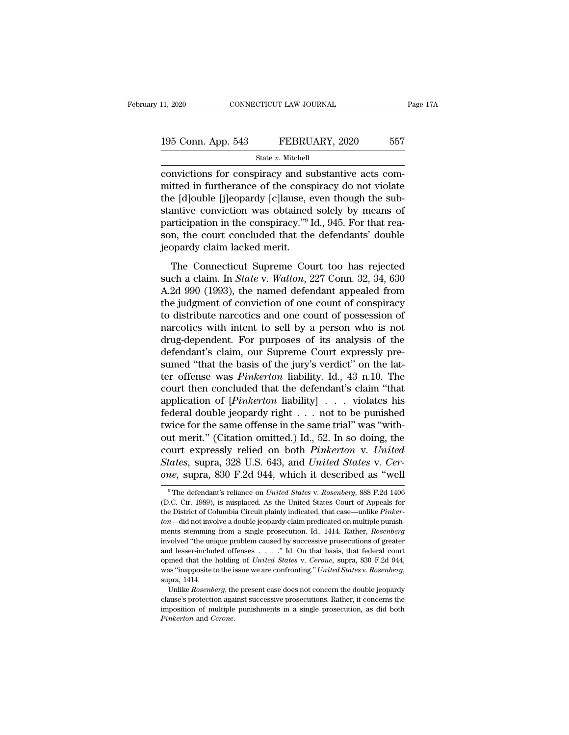| 11, 2020           | CONNECTICUT LAW JOURNAL | Page 17A |
|--------------------|-------------------------|----------|
| 195 Conn. App. 543 | FEBRUARY, 2020          | 557      |
|                    | State v. Mitchell       |          |

convictions for conspiracy and substantive acts committed in furtherance of the conspiracy do not violate<br>the Idlouble Lilenandy Lellauge area though the unbinded the Idlouble Lilenandy Lellauge area though the sub-195 Conn. App. 543 FEBRUARY, 2020 557<br>
State v. Mitchell<br>
convictions for conspiracy and substantive acts com-<br>
mitted in furtherance of the conspiracy do not violate<br>
the [d]ouble [j]eopardy [c]lause, even though the sub-195 Conn. App. 543 FEBRUARY, 2020 557<br>
State v. Mitchell<br>
convictions for conspiracy and substantive acts com-<br>
mitted in furtherance of the conspiracy do not violate<br>
the [d]ouble [j]eopardy [c]lause, even though the sub 195 Conn. App. 543 FEBRUARY, 2020 557<br>
State v. Mitchell<br>
convictions for conspiracy and substantive acts com-<br>
mitted in furtherance of the conspiracy do not violate<br>
the [d]ouble [j]eopardy [c]lause, even though the sub State v. Mitchell<br>
convictions for conspiracy and substantive acts com-<br>
mitted in furtherance of the conspiracy do not violate<br>
the [d]ouble [j]eopardy [c]lause, even though the sub-<br>
stantive conviction was obtained sol state v. Muchell<br>convictions for conspiracy and substantive acts com-<br>mitted in furtherance of the conspiracy do not violate<br>the [d]ouble [j]eopardy [c]lause, even though the sub-<br>stantive conviction was obtained solely b convictions for conspiracy and sumitted in furtherance of the conspirate the [d]ouble [j]eopardy [c]lause,  $\epsilon$  stantive conviction was obtained participation in the conspiracy."<sup>9</sup> I son, the court concluded that the jeo e [d]ouble [j]eopardy [c]lause, even though the sub-<br>antive conviction was obtained solely by means of<br>riticipation in the conspiracy."<sup>9</sup> Id., 945. For that rea-<br>n, the court concluded that the defendants' double<br>bpardy stantive conviction was obtained solely by means of<br>stantive conviction was obtained solely by means of<br>participation in the conspiracy."<sup>9</sup> Id., 945. For that rea-<br>son, the court concluded that the defendants' double<br>jeop

participation in the conspiracy."<sup>9</sup> Id., 945. For that reason, the court concluded that the defendants' double<br>jeopardy claim lacked merit.<br>The Connecticut Supreme Court too has rejected<br>such a claim. In *State v. Walton* Factory and the configuration of the defendants' double<br>ison, the court concluded that the defendants' double<br>isopardy claim lacked merit.<br>The Connecticut Supreme Court too has rejected<br>such a claim. In *State v. Walton*, The Connecticut Supreme Court too has rejected<br>such a claim. In *State* v. *Walton*, 227 Conn. 32, 34, 630<br>A.2d 990 (1993), the named defendant appealed from<br>the judgment of conviction of one count of conspiracy<br>to distri The Connecticut Supreme Court too has rejected<br>such a claim. In *State v. Walton*, 227 Conn. 32, 34, 630<br>A.2d 990 (1993), the named defendant appealed from<br>the judgment of conviction of one count of conspiracy<br>to distribu The Connecticut Supreme Court too has rejected<br>such a claim. In *State* v. *Walton*, 227 Conn. 32, 34, 630<br>A.2d 990 (1993), the named defendant appealed from<br>the judgment of conviction of one count of conspiracy<br>to distrib such a claim. In *State* v. *Walton*, 227 Conn. 32, 34, 630<br>A.2d 990 (1993), the named defendant appealed from<br>the judgment of conviction of one count of conspiracy<br>to distribute narcotics and one count of possession of<br>n A.2d 990 (1993), the named defendant appealed from<br>the judgment of conviction of one count of conspiracy<br>to distribute narcotics and one count of possession of<br>narcotics with intent to sell by a person who is not<br>drug-depe the judgment of conviction of one count of conspiracy<br>to distribute narcotics and one count of possession of<br>narcotics with intent to sell by a person who is not<br>drug-dependent. For purposes of its analysis of the<br>defendan to distribute narcotics and one count of possession of narcotics with intent to sell by a person who is not drug-dependent. For purposes of its analysis of the defendant's claim, our Supreme Court expressly presumed "that narcotics with intent to sell by a person who is not<br>drug-dependent. For purposes of its analysis of the<br>defendant's claim, our Supreme Court expressly pre-<br>sumed "that the basis of the jury's verdict" on the lat-<br>ter offe drug-dependent. For purposes of its analysis of the<br>defendant's claim, our Supreme Court expressly pre-<br>sumed "that the basis of the jury's verdict" on the lat-<br>ter offense was *Pinkerton* liability. Id., 43 n.10. The<br>cou defendant's claim, our Supreme Court expressly pre-<br>sumed "that the basis of the jury's verdict" on the lat-<br>ter offense was *Pinkerton* liability. Id., 43 n.10. The<br>court then concluded that the defendant's claim "that<br>a sumed "that the basis of the jury's verdict" on the latter offense was *Pinkerton* liability. Id., 43 n.10. The court then concluded that the defendant's claim "that application of [*Pinkerton* liability] . . . violates h ter offense was *Pinkerton* liability. Id., 43 n.10. The<br>court then concluded that the defendant's claim "that<br>application of [*Pinkerton* liability] . . . violates his<br>federal double jeopardy right . . . not to be punish court then concluded that the defendant's claim "that application of [*Pinkerton* liability] . . . violates his federal double jeopardy right . . . not to be punished twice for the same offense in the same trial" was "with application of [*Pinkerton* liability] . . . violates his<br>federal double jeopardy right . . . not to be punished<br>twice for the same offense in the same trial" was "with-<br>out merit." (Citation omitted.) Id., 52. In so doing ut merit." (Citation omitted.) Id., 52. In so doing, the<br>burt expressly relied on both *Pinkerton* v. *United*<br>*tates*, supra, 328 U.S. 643, and *United States* v. *Cer-*<br>*ne*, supra, 830 F.2d 944, which it described as "w court expressly relied on both *Pinkerton* v. United<br>States, supra, 328 U.S. 643, and United States v. Cer-<br>one, supra, 830 F.2d 944, which it described as "well<br><sup>9</sup>The defendant's reliance on United States v. Rosenberg,

States, supra, 328 U.S. 643, and *United States v. Cerone*, supra, 830 F.2d 944, which it described as "well <sup>9</sup> The defendant's reliance on *United States v. Rosenberg*, 888 F.2d 1406 (D.C. Cir. 1989), is misplaced. As th *one*, supra, 830 F.2d 944, which it described as "well<br>
<sup>9</sup> The defendant's reliance on *United States* v. *Rosenberg*, 888 F.2d 1406<br>
(D.C. Cir. 1989), is misplaced. As the United States Court of Appeals for<br>
the Distric one, supra, 000 T.2d 944, which it described as went<br>
<sup>9</sup>The defendant's reliance on *United States v. Rosenberg*, 888 F.2d 1406<br>
(D.C. Cir. 1989), is misplaced. As the United States Court of Appeals for<br>
the District of C <sup>9</sup> The defendant's reliance on *United States v. Rosenberg*, 888 F.2d 1406 (D.C. Cir. 1989), is misplaced. As the United States Court of Appeals for the District of Columbia Circuit plainly indicated, that case—unlike *P* (D.C. Cir. 1989), is misplaced. As the United States Court of Appeals for the District of Columbia Circuit plainly indicated, that case—unlike *Pinkerton—*did not involve a double jeopardy claim predicated on multiple pun the District of Columbia Circuit plainly indicated, that case—unlike *Pinker-ton*—did not involve a double jeopardy claim predicated on multiple punishments stemming from a single prosecution. Id., 1414. Rather, *Rosenberg* ton—did not involve a double jeopardy claim predicated on multiple punishments stemming from a single prosecution. Id., 1414. Rather, *Rosenberg* involved "the unique problem caused by successive prosecutions of greater an volved "the unique problem caused by successive prosecutions of greater d lesser-included offenses . . . . " Id. On that basis, that federal court inned that the holding of *United States v. Cerone*, supra, 830 F.2d 944, a and lesser-included offenses . . . . ." Id. On that basis, that federal court<br>opined that the holding of *United States v. Cerone*, supra, 830 F.2d 944,<br>was "inapposite to the issue we are confronting." *United States v. R* 

imposition of multiple punishments in a single prosecution, as did both princetion of multiple punishments in a single prosecution, as did both *Pinkerton* and *Cerone*. Single prosecutions. Rather, it concerns the imposit *Pinkerton* and *Cerone*.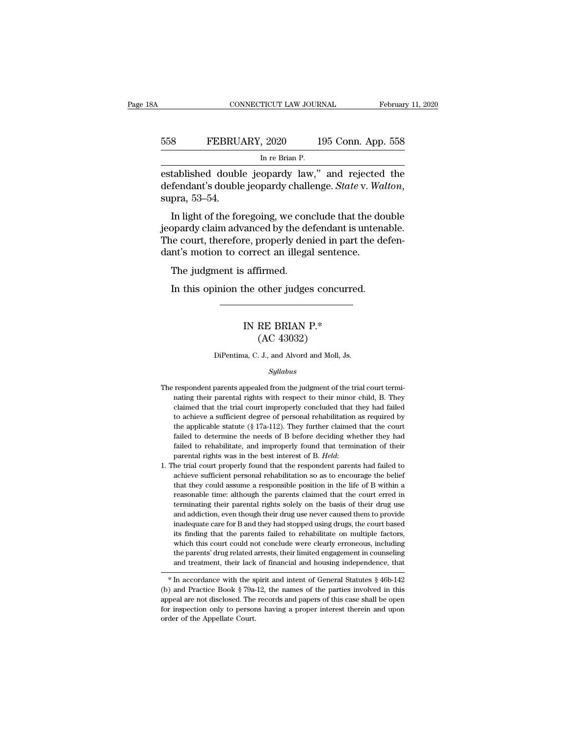## EXECUTE CONNECTICUT LAW JOURNAL February 11, 2020<br>558 FEBRUARY, 2020 195 Conn. App. 558<br>In re Brian P. CONNECTICUT LAW JOURNAL Februar<br>
Februar<br>
558 FEBRUARY, 2020 195 Conn. App. 558<br>
In re Brian P.<br>
established double jeopardy law," and rejected the

ESS FEBRUARY, 2020 195 Conn. App. 558<br>
FEBRUARY, 2020 195 Conn. App. 558<br>
In re Brian P.<br>
established double jeopardy law,'' and rejected the<br>
defendant's double jeopardy challenge. *State* v. *Walton*,<br>
supp. 53, 54 defendant's double jeopardy law," and rejected the defendant's double jeopardy challenge. *State* v. *Walton*, supra, 53–54. In light of the foregoing, we conclude that the double FEBRUARY, 2020 195 Conn. App. 558<br>
In re Brian P.<br>
tablished double jeopardy law," and rejected the<br>
fendant's double jeopardy challenge. *State* v. *Walton*,<br>
pra, 53–54.<br>
In light of the foregoing, we conclude that the

In re Brian P.<br>
established double jeopardy law," and rejected the<br>
defendant's double jeopardy challenge. *State* v. Walton,<br>
supra, 53–54.<br>
In light of the foregoing, we conclude that the double<br>
jeopardy claim advanced established double jeopardy law," and rejected the<br>defendant's double jeopardy challenge. *State* v. Walton,<br>supra, 53–54.<br>In light of the foregoing, we conclude that the double<br>jeopardy claim advanced by the defendant is defendant's double jeopardy raw, and rejected<br>defendant's double jeopardy challenge. *State* v. Wa<br>supra, 53–54.<br>In light of the foregoing, we conclude that the do<br>jeopardy claim advanced by the defendant is unten<br>The cour pra, 53–54.<br>In light of the foregoing, we con<br>ppardy claim advanced by the de<br>e court, therefore, properly der<br>nt's motion to correct an illega<br>The judgment is affirmed.<br>In this opinion the other judge: In light of the foregoing, we conclude that the doubardy claim advanced by the defendant is untena<br>ne court, therefore, properly denied in part the de-<br>nt's motion to correct an illegal sentence.<br>The judgment is affirmed.<br>

### orrect an illegal sentence.<br>
affirmed.<br>
he other judges concurred<br>
IN RE BRIAN P.\*<br>
(AC 43032) Firmed.<br>
other judges concu<br>
RE BRIAN P.\*<br>
(AC 43032)<br>
J. J., and Alvord and Moll, IN RE BRIAN P.\*<br>
(AC 43032)<br>
DiPentima, C. J., and Alvord and Moll, Js.<br>
Sullabus

### *Syllabus*

- ${\rm (AC~43032)}$ <br>DiPentima, C. J., and Alvord and Moll, Js.<br> $Syllabus$ <br>The respondent parents appealed from the judgment of the trial court termi-<br>nating their parental rights with respect to their minor child, B. They DiPentima, C. J., and Alvord and Moll, Js.<br>Syllabus<br>respondent parents appealed from the judgment of the trial court termi-<br>nating their parental rights with respect to their minor child, B. They<br>claimed that the trial cou DiPentima, C. J., and Alvord and Moll, Js.<br>
Syllabus<br>
respondent parents appealed from the judgment of the trial court termi-<br>
nating their parental rights with respect to their minor child, B. They<br>
claimed that the trial  $Syllabus$ <br>respondent parents appealed from the judgment of the trial court termi-<br>nating their parental rights with respect to their minor child, B. They<br>claimed that the trial court improperly concluded that they had failed<br> sythables are respondent parents appealed from the judgment of the trial court terminating their parental rights with respect to their minor child, B. They claimed that the trial court improperly concluded that they had fa respondent parents appealed from the judgment of the trial court terminating their parental rights with respect to their minor child, B. They claimed that the trial court improperly concluded that they had failed to achie rating their parental rights with respect to their minor child, B. They claimed that the trial court improperly concluded that they had failed to achieve a sufficient degree of personal rehabilitation as required by the a parental rights was in the best interest of B. *Held*: 1. The trial court properly concluded that they had failed to achieve a sufficient degree of personal rehabilitation as required by the applicable statute (§ 17a-112). the applicable statute (§ 17a-112). They further claimed that the court failed to determine the needs of B before deciding whether they had failed to rehabilitate, and improperly found that termination of their parental r
- failed to determine the needs of B before deciding whether they had failed to rehabilitate, and improperly found that termination of their parental rights was in the best interest of B. *Held*: the trial court properly fou failed to rehabilitate, and improperly found that termination of their parental rights was in the best interest of B. *Held*:<br>he trial court properly found that the respondent parents had failed to achieve sufficient perso parental rights was in the best interest of B. *Held*:<br>he trial court properly found that the respondent parents had failed to<br>achieve sufficient personal rehabilitation so as to encourage the belief<br>that they could assume he trial court properly found that the respondent parents had failed to achieve sufficient personal rehabilitation so as to encourage the belief that they could assume a responsible position in the life of B within a reaso achieve sufficient personal rehabilitation so as to encourage the belief that they could assume a responsible position in the life of B within a reasonable time: although the parents claimed that the court erred in termina achieve sufficient personal rehabilitation so as to encourage the belief that they could assume a responsible position in the life of B within a reasonable time: although the parents claimed that the court erred in termina reasonable time: although the parents claimed that the court erred in terminating their parental rights solely on the basis of their drug use and addiction, even though their drug use never caused them to provide inadequat terminating their parental rights solely on the basis of their drug use<br>and addiction, even though their drug use never caused them to provide<br>inadequate care for B and they had stopped using drugs, the court based<br>its fin and addiction, even though their drug use never caused them to provide<br>inadequate care for B and they had stopped using drugs, the court based<br>its finding that the parents failed to rehabilitate on multiple factors,<br>which Its imaing that the parents tailed to rehabilitate on multiple factors,<br>which this court could not conclude were clearly erroneous, including<br>the parents' drug related arrests, their limited engagement in counseling<br>and t

which this court collid not conclude were clearly erroneous, including<br>the parents' drug related arrests, their limited engagement in counseling<br>and treatment, their lack of financial and housing independence, that<br> $*$  In for inspection only to persons having a proper interest therein and upon<br>order of financial and housing independence, that<br> $*$  In accordance with the spirit and intent of General Statutes § 46b-142<br>(b) and Practice Book § and treatment, their lack of financial and housing independence, that<br>  $*$  In accordance with the spirit and intent of General Statutes § 46b-142<br>
(b) and Practice Book § 79a-12, the names of the parties involved in this<br>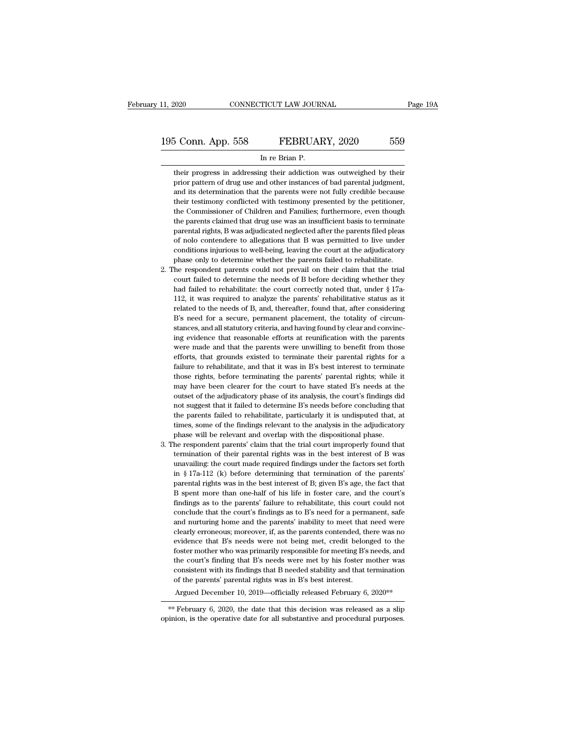## 11, 2020 CONNECTICUT LAW JOURNAL Page 19A<br>195 Conn. App. 558 FEBRUARY, 2020 559<br>In re Brian P. EXECUTE 2020 CONNECTICUT LAW JOURNAL<br>
<u>S Conn. App. 558</u> FEBRUARY, 2020 559<br>
In re Brian P.<br>
their progress in addressing their addiction was outweighed by their

their progress in addressing their addiction was outweighed by their<br>prior pattern of drug use and other instances of bad parental judgment, FEBRUARY, 2020 559<br>In re Brian P.<br>their progress in addressing their addiction was outweighed by their<br>prior pattern of drug use and other instances of bad parental judgment,<br>and its determination that the parents were not 5 Conn. App. 558 FEBRUARY, 2020 559<br>
In re Brian P.<br>
their progress in addressing their addiction was outweighed by their<br>
prior pattern of drug use and other instances of bad parental judgment,<br>
and its determination that In re Brian P.<br>
In re Brian P.<br>
their progress in addressing their addiction was outweighed by their<br>
prior pattern of drug use and other instances of bad parental judgment,<br>
and its determination that the parents were not In re Brian P.<br>
In er Brian P.<br>
their progress in addressing their addiction was outweighed by their<br>
prior pattern of drug use and other instances of bad parental judgment,<br>
and its determination that the parents were not their progress in addressing their addiction was outweighed by their<br>prior pattern of drug use and other instances of bad parental judgment,<br>and its determination that the parents were not fully credible because<br>their test parental rights, B was adjudicated neglected after the parents filed please their testimony conflicted with testimony presented by the petitioner, and its determination that the parents were not fully credible because thei paral its determination that the parents were not fully credible because<br>their testimony conflicted with testimony presented by the petitioner,<br>the Commissioner of Children and Families; furthermore, even though<br>the parent their testimony conflicted with testimony presented by the petitioner, their testimony conflicted with testimony presented by the petitioner, the Commissioner of Children and Families; furthermore, even though the parents their testimony conflicted with testimony presented by the petitioner, the Commissioner of Children and Families; furthermore, even though the parents claimed that drug use was an insufficient basis to terminate parental r the parents claimed that drug use was an insufficient basis to terminate<br>the parental rights, B was adjudicated neglected after the parents filed pleas<br>of nolo contendere to allegations that B was permitted to live under<br>c parental rights, B was adjudicated neglected after the parents filed pleas<br>of nolo contendere to allegations that B was permitted to live under<br>conditions injurious to well-being, leaving the court at the adjudicatory<br>phas

- of nolo contendere to allegations that B was permitted to live under conditions in<br>jurious to well-being, leaving the court at the adjudicatory phase only to determine whether the parents failed to rehabilitate.<br>The respo conditions in<br>the model-being, leaving the court at the adjudicatory<br>phase only to determine whether the parents failed to rehabilitate.<br>the respondent parents could not prevail on their claim that the trial<br>court failed t phase only to determine whether the parents failed to rehabilitate.<br>The respondent parents could not prevail on their claim that the trial<br>court failed to determine the needs of B before deciding whether they<br>had failed to 2. The respondent parents could not prevail on their claim that the trial court failed to determine the needs of B before deciding whether they had failed to rehabilitate: the court correctly noted that, under  $\S$  17a-112 stances, and all statutory criteria, and having found by clear and field to determine the needs of B before deciding whether they had failed to rehabilitate: the court correctly noted that, under § 17a-112, it was required and failed to rehabilitate: the court correctly noted that, under  $\S$  17a-<br>112, it was required to analyze the parents' rehabilitative status as it<br>related to the needs of B, and, thereafter, found that, after considering Fig. 2.12, it was required to analyze the parents' rehabilitative status as it related to the needs of B, and, thereafter, found that, after considering B's need for a secure, permanent placement, the totality of circumsta Felated to the needs of B, and, thereafter, found that, after considering  $B$ 's need for a secure, permanent placement, the totality of circumstances, and all statutory criteria, and having found by clear and convincing e Failure to rehabilitate, and that it was in B's best interest to reflect that it was in B's need for a secure, permanent placement, the totality of circum-<br>stances, and all statutory criteria, and having found by clear an Exames, and all statutory criteria, and having found by clear and convincing evidence that reasonable efforts at reunification with the parents were made and that the parents were unwilling to benefit from those efforts, t ing evidence that reasonable efforts at reunification with the parents<br>were made and that the parents were unwilling to benefit from those<br>efforts, that grounds existed to terminate their parental rights for a<br>failure to r were made and that the parents were unwilling to benefit from those efforts, that grounds existed to terminate their parental rights for a failure to rehabilitate, and that it was in B's best interest to terminate those ri were made and that the parents were unwilling to benefit from those efforts, that grounds existed to terminate their parental rights for a failure to rehabilitate, and that it was in B's best interest to terminate those r failure to rehabilitate, and that it was in B's best interest to terminate failure to rehabilitate, and that it was in B's best interest to terminate those rights, before terminating the parents' parental rights; while it those rights, before terminating the parents' parental rights; while it may have been clearer for the court to have stated B's needs at the outset of the adjudicatory phase of its analysis, the court's findings did not sug may have been clearer for the court to have stated B's needs at the outset of the adjudicatory phase of its analysis, the court's findings did not suggest that it failed to determine B's needs before concluding that the pa 3. The respondent parents' claim that the trial court's findings did not suggest that it failed to determine B's needs before concluding that the parents failed to rehabilitate, particularly it is undisputed that, at times From the suggest that it failed to determine B's needs before concluding that the parents failed to rehabilitate, particularly it is undisputed that, at times, some of the findings relevant to the analysis in the adjudicat
- the parents failed to rehabilitate, particularly it is undisputed that, at times, some of the findings relevant to the analysis in the adjudicatory phase will be relevant and overlap with the dispositional phase. The resp times, some of the findings relevant to the analysis in the adjudicatory<br>phase will be relevant and overlap with the dispositional phase.<br>he respondent parents' claim that the trial court improperly found that<br>termination phase will be relevant and overlap with the dispositional phase.<br>he respondent parents' claim that the trial court improperly found that<br>termination of their parental rights was in the best interest of B was<br>unavailing: th he respondent parents' claim that the trial court improperly found that termination of their parental rights was in the best interest of B was unavailing: the court made required findings under the factors set forth in  $\S$ for the parents' failure to rehabilitate, this court of B was unavailing: the court made required findings under the factors set forth in § 17a-112 (k) before determining that termination of the parents' parental rights w unavailing: the court made required findings under the factors set forth<br>in § 17a-112 (k) before determining that termination of the parents'<br>parental rights was in the best interest of B; given B's age, the fact that<br>B s and  $\$$  17a-112 (k) before determining that termination of the parents' parental rights was in the best interest of B; given B's age, the fact that B spent more than one-half of his life in foster care, and the court's fi m show that is was in the best interest of B; given B's age, the fact that B spent more than one-half of his life in foster care, and the court's findings as to the parents' failure to rehabilitate, this court could not co parential rights was in the state that B's interests of  $E$ , given  $E$  stage, the fact that B's pent more than one-half of his life in foster care, and the court's findings as to the parents' failure to rehabilitate, this *E* speak mote that one has the in toster care, and the exacts findings as to the parents' failure to rehabilitate, this court could not conclude that the court's findings as to B's need for a permanent, safe and nurturing mangs as of the court's findings as to B's need for a permanent, safe conclude that the court's findings as to B's need for a permanent, safe and nurturing home and the parents' inability to meet that need were clearly err concrude that the codet's imangs as to B s need for a permanent, sate and nurturing home and the parents' inability to meet that need were clearly erroneous; moreover, if, as the parents contended, there was no evidence t clearly erroneous; moreover, if, as the parents contended, the vidence that B's needs were not being met, credit belon foster mother who was primarily responsible for meeting B's the court's finding that B's needs were met evidence that B's needs were not being met, credit belonged to the foster mother who was primarily responsible for meeting B's needs, and the court's finding that B's needs were met by his foster mother was consistent with the court's finding that B's needs were met by his foster mother was consistent with its findings that B needed stability and that termination of the parents' parental rights was in B's best interest.<br>Argued December 10, the court's finding that B's needs were met by his foster mother was consistent with its findings that B needed stability and that termination of the parents' parental rights was in B's best interest.<br>Argued December 10,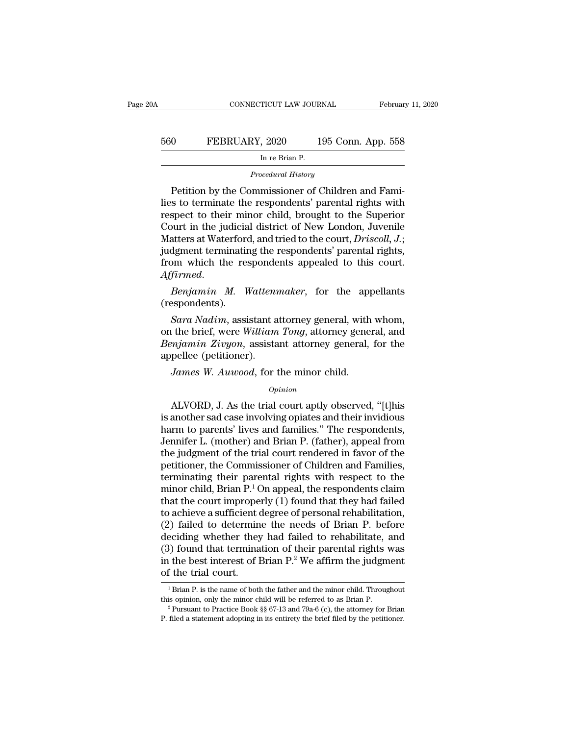| 0A  | CONNECTICUT LAW JOURNAL                            | February 11, 2020  |
|-----|----------------------------------------------------|--------------------|
| 560 | FEBRUARY, 2020                                     | 195 Conn. App. 558 |
|     | In re Brian P.                                     |                    |
|     | Procedural History                                 |                    |
|     | Petition by the Commissioner of Children and Fami- |                    |

FEBRUARY, 2020 195 Conn. App. 558<br>
In re Brian P.<br>
Procedural History<br>
Petition by the Commissioner of Children and Fami-<br>
Sto terminate the respondents' parental rights with<br>
State to their minor child brought to the Supe FEBRUARY, 2020 195 Conn. App. 558<br>
In re Brian P.<br>
Procedural History<br>
Petition by the Commissioner of Children and Fami-<br>
lies to terminate the respondents' parental rights with<br>
respect to their minor child, brought to t FEBRUARY, 2020 195 Conn. App. 558<br>
In re Brian P.<br>
Procedural History<br>
Petition by the Commissioner of Children and Fami-<br>
lies to terminate the respondents' parental rights with<br>
respect to their minor child, brought to In re Brian P.<br>
Procedural History<br>
Petition by the Commissioner of Children and Fami-<br>
lies to terminate the respondents' parental rights with<br>
respect to their minor child, brought to the Superior<br>
Court in the judicial Procedural History<br>
Petition by the Commissioner of Children and Fami-<br>
lies to terminate the respondents' parental rights with<br>
respect to their minor child, brought to the Superior<br>
Court in the judicial district of New Procedural History<br>Petition by the Commissioner of Children and Fami-<br>lies to terminate the respondents' parental rights with<br>respect to their minor child, brought to the Superior<br>Court in the judicial district of New Lond Petition by the Commissioner of Children and Fami-<br>lies to terminate the respondents' parental rights with<br>respect to their minor child, brought to the Superior<br>Court in the judicial district of New London, Juvenile<br>Matter respect to their minor child, brought to the superior<br>Court in the judicial district of New London, Juvenile<br>Matters at Waterford, and tried to the court, *Driscoll*, *J*.;<br>judgment terminating the respondents' parental ri *Sara Nadim*, and are the state, and the state of the state of dynamics,<br>*Sara Nadim*, assistant attorney general, with whom,<br>*Sara Nadim*, assistant attorney general, with whom,<br>the brief, were *William Tong*, attorney ge

(respondents).

from which the respondents appealed to this court.<br>Affirmed.<br>Benjamin M. Wattenmaker, for the appellants<br>(respondents).<br>Sara Nadim, assistant attorney general, with whom,<br>on the brief, were William Tong, attorney general, *Affirmed.*<br> *Benjamin M. Wattenmaker*, for the appellants (respondents).<br> *Sara Nadim*, assistant attorney general, with whom, on the brief, were William Tong, attorney general, and *Benjamin Zivyon*, assistant attorney g Benjamin M. Watten<br>(respondents).<br>Sara Nadim, assistant a<br>on the brief, were William<br>Benjamin Zivyon, assista<br>appellee (petitioner).<br>James W. Auwood, for t *James W. Auwood, for the minor child.*<br>*Janes W. Augustan, assistant attorney general, with* the brief, were *William Tong*, attorney general, pellee (petitioner).<br>*James W. Auwood*, for the minor child.<br>*Opinion* ALVORD, J. As the trial court aptly observed, ''[t]his mother sad case involving opiates and their invidious metals correctly discussed. The pellet court aptity observed, ''[t]his another sad case involving opiates and th

### *Opinion*

Benjamin Zivyon, assistant attorney general, for the<br>appellee (petitioner).<br>James W. Auwood, for the minor child.<br>opinion<br>ALVORD, J. As the trial court aptly observed, "[t]his<br>is another sad case involving opiates and thei appellee (petitioner).<br>
James W. Auwood, for the minor child.<br>  $\circ_{pinion}$ <br>
ALVORD, J. As the trial court aptly observed, "[t]his<br>
is another sad case involving opiates and their invidious<br>
harm to parents' lives and familie James W. Auwood, for the minor child.<br>
opinion<br>
ALVORD, J. As the trial court aptly observed, "[t]his<br>
is another sad case involving opiates and their invidious<br>
harm to parents' lives and families." The respondents,<br>
Jenn opinion<br>
MLVORD, J. As the trial court aptly observed, "[t]his<br>
is another sad case involving opiates and their invidious<br>
harm to parents' lives and families." The respondents,<br>
Jennifer L. (mother) and Brian P. (father), *Opinion*<br>ALVORD, J. As the trial court aptly observed, "[t]his<br>is another sad case involving opiates and their invidious<br>harm to parents' lives and families." The respondents,<br>Jennifer L. (mother) and Brian P. (father), ALVORD, J. As the trial court aptly observed, "[t]his<br>is another sad case involving opiates and their invidious<br>harm to parents' lives and families." The respondents,<br>Jennifer L. (mother) and Brian P. (father), appeal fro is another sad case involving opiates and their invidious<br>harm to parents' lives and families." The respondents,<br>Jennifer L. (mother) and Brian P. (father), appeal from<br>the judgment of the trial court rendered in favor of harm to parents' lives and families." The respondents,<br>Jennifer L. (mother) and Brian P. (father), appeal from<br>the judgment of the trial court rendered in favor of the<br>petitioner, the Commissioner of Children and Families, Jennifer L. (mother) and Brian P. (father), appeal from<br>the judgment of the trial court rendered in favor of the<br>petitioner, the Commissioner of Children and Families,<br>terminating their parental rights with respect to the<br> the judgment of the trial court rendered in favor of the<br>petitioner, the Commissioner of Children and Families,<br>terminating their parental rights with respect to the<br>minor child, Brian P.<sup>1</sup> On appeal, the respondents clai petitioner, the Commissioner of Children and Families,<br>terminating their parental rights with respect to the<br>minor child, Brian P.<sup>1</sup> On appeal, the respondents claim<br>that the court improperly (1) found that they had fail terminating their parental rights with respect to the<br>minor child, Brian  $P<sup>1</sup>$  On appeal, the respondents claim<br>that the court improperly (1) found that they had failed<br>to achieve a sufficient degree of personal reha minor child, Brian P.<sup>1</sup> On appeal, the respondents claim<br>that the court improperly (1) found that they had failed<br>to achieve a sufficient degree of personal rehabilitation,<br>(2) failed to determine the needs of Brian P. b that the court imprope<br>to achieve a sufficient  $(2)$  failed to determin<br>deciding whether they<br> $(3)$  found that termina<br>in the best interest of I<br>of the trial court. eciding whether they had failed to rehabilitate, and<br>
3) found that termination of their parental rights was<br>
1 the best interest of Brian P.<sup>2</sup> We affirm the judgment<br>
1 Brian P. is the name of both the father and the min (3) found that termination of their parental rights was<br>in the best interest of Brian P.<sup>2</sup> We affirm the judgment<br>of the trial court.<br><sup>1</sup> Brian P. is the name of both the father and the minor child. Throughout<br>this opini

of the trial court.<br>
<sup>1</sup> Brian P. is the name of both the father and the minor child. Throughout<br>
<sup>1</sup> Brian P. is the name of both the father and the minor child. Throughout<br>
<sup>2</sup> Pursuant to Practice Book §§ 67-13 and 79a-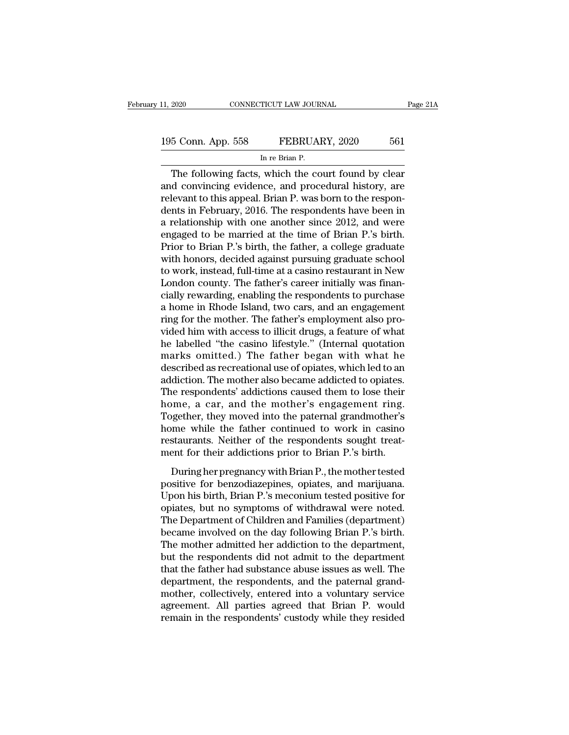The following facts, which the court found by clear<br>
the following facts, which the court found by clear<br>
the following facts, which the court found by clear<br>
deconvincing evidence, and procedural history, are<br>
the court t 195 Conn. App. 558 FEBRUARY, 2020 561<br>
In re Brian P.<br>
The following facts, which the court found by clear<br>
and convincing evidence, and procedural history, are<br>
relevant to this appeal. Brian P. was born to the respon-195 Conn. App. 558 FEBRUARY, 2020 561<br>
In re Brian P.<br>
The following facts, which the court found by clear<br>
and convincing evidence, and procedural history, are<br>
relevant to this appeal. Brian P. was born to the respon-<br>
d 195 Conn. App. 558 FEBRUARY, 2020 561<br>
In re Brian P.<br>
The following facts, which the court found by clear<br>
and convincing evidence, and procedural history, are<br>
relevant to this appeal. Brian P. was born to the respon-<br> IF THE RETAILERT CONTROLLERT THE BRIDGE IN THE BRIDGE IN THE BRIDGE CONDITION THE STATE CONTROLLERT AND REPORTED A relationship with one another since 2012, and were engaged to be married at the time of Brian P.'s birth.<br>P In re Brian P.<br>
The following facts, which the court found by clear<br>
and convincing evidence, and procedural history, are<br>
relevant to this appeal. Brian P. was born to the respon-<br>
dents in February, 2016. The respondents The following facts, which the court found by clear<br>and convincing evidence, and procedural history, are<br>relevant to this appeal. Brian P. was born to the respon-<br>dents in February, 2016. The respondents have been in<br>a rel and convincing evidence, and procedural history, are<br>relevant to this appeal. Brian P. was born to the respon-<br>dents in February, 2016. The respondents have been in<br>a relationship with one another since 2012, and were<br>enga relevant to this appeal. Brian P. was born to the respondents in February, 2016. The respondents have been in<br>a relationship with one another since 2012, and were<br>engaged to be married at the time of Brian P.'s birth.<br>Prio dents in February, 2016. The respondents have been in<br>a relationship with one another since 2012, and were<br>engaged to be married at the time of Brian P.'s birth.<br>Prior to Brian P.'s birth, the father, a college graduate<br>wi a relationship with one another since 2012, and were<br>engaged to be married at the time of Brian P.'s birth.<br>Prior to Brian P.'s birth, the father, a college graduate<br>with honors, decided against pursuing graduate school<br>to engaged to be married at the time of Brian P.'s birth.<br>Prior to Brian P.'s birth, the father, a college graduate<br>with honors, decided against pursuing graduate school<br>to work, instead, full-time at a casino restaurant in N Prior to Brian P.'s birth, the father, a college graduate<br>with honors, decided against pursuing graduate school<br>to work, instead, full-time at a casino restaurant in New<br>London county. The father's career initially was fin with honors, decided against pursuing graduate school<br>to work, instead, full-time at a casino restaurant in New<br>London county. The father's career initially was finan-<br>cially rewarding, enabling the respondents to purchase to work, instead, full-time at a casino restaurant in New<br>London county. The father's career initially was finan-<br>cially rewarding, enabling the respondents to purchase<br>a home in Rhode Island, two cars, and an engagement<br>r London county. The father's career initially was finan-<br>cially rewarding, enabling the respondents to purchase<br>a home in Rhode Island, two cars, and an engagement<br>ring for the mother. The father's employment also pro-<br>vide cially rewarding, enabling the respondents to purchase<br>a home in Rhode Island, two cars, and an engagement<br>ring for the mother. The father's employment also pro-<br>vided him with access to illicit drugs, a feature of what<br>he a home in Rhode Island, two cars, and an engagement<br>ring for the mother. The father's employment also pro-<br>vided him with access to illicit drugs, a feature of what<br>he labelled "the casino lifestyle." (Internal quotation<br>m ring for the mother. The father's employment also provided him with access to illicit drugs, a feature of what<br>he labelled "the casino lifestyle." (Internal quotation<br>marks omitted.) The father began with what he<br>described vided him with access to illicit drugs, a feature of what<br>he labelled "the casino lifestyle." (Internal quotation<br>marks omitted.) The father began with what he<br>described as recreational use of opiates, which led to an<br>addi he labelled "the casino lifestyle." (Internal quotation<br>marks omitted.) The father began with what he<br>described as recreational use of opiates, which led to an<br>addiction. The mother also became addicted to opiates.<br>The res marks omitted.) The father began with what he<br>described as recreational use of opiates, which led to an<br>addiction. The mother also became addicted to opiates.<br>The respondents' addictions caused them to lose their<br>home, a c described as recreational use of opiates, which led to an addiction. The mother also became addicted to opiates.<br>The respondents' addictions caused them to lose their home, a car, and the mother's engagement ring.<br>Together addiction. The mother also became addicted to opiates.<br>The respondents' addictions caused them to lose their<br>home, a car, and the mother's engagement ring.<br>Together, they moved into the paternal grandmother's<br>home while th nme, a car, and the mother's engagement ring.<br>
gether, they moved into the paternal grandmother's<br>
me while the father continued to work in casino<br>
staurants. Neither of the respondents sought treat-<br>
ent for their addicti positive, a car, and the mother's engagement ring.<br>Together, they moved into the paternal grandmother's<br>home while the father continued to work in casino<br>restaurants. Neither of the respondents sought treat-<br>ment for their

Fogenci, and moved most are paternal grandmotated b<br>home while the father continued to work in casino<br>restaurants. Neither of the respondents sought treat-<br>ment for their addictions prior to Brian P.'s birth.<br>During her pr restaurants. Neither of the respondents sought treat-<br>ment for their addictions prior to Brian P.'s birth.<br>During her pregnancy with Brian P., the mother tested<br>positive for benzodiazepines, opiates, and marijuana.<br>Upon hi The Department of the Tespondents Sought areas<br>ment for their addictions prior to Brian P.'s birth.<br>During her pregnancy with Brian P., the mother tested<br>positive for benzodiazepines, opiates, and marijuana.<br>Upon his birth because the distribution of the mother tested<br>positive for benzodiazepines, opiates, and marijuana.<br>Upon his birth, Brian P.'s meconium tested positive for<br>opiates, but no symptoms of withdrawal were noted.<br>The Department During her pregnancy with Brian P., the mother tested<br>positive for benzodiazepines, opiates, and marijuana.<br>Upon his birth, Brian P.'s meconium tested positive for<br>opiates, but no symptoms of withdrawal were noted.<br>The Dep positive for benzodiazepines, opiates, and marijuana.<br>Upon his birth, Brian P.'s meconium tested positive for<br>opiates, but no symptoms of withdrawal were noted.<br>The Department of Children and Families (department)<br>became i Upon his birth, Brian P.'s meconium tested positive for<br>opiates, but no symptoms of withdrawal were noted.<br>The Department of Children and Families (department)<br>became involved on the day following Brian P.'s birth.<br>The mot opiates, but no symptoms of withdrawal were noted.<br>The Department of Children and Families (department)<br>became involved on the day following Brian P.'s birth.<br>The mother admitted her addiction to the department,<br>but the re The Department of Children and Families (department)<br>became involved on the day following Brian P.'s birth.<br>The mother admitted her addiction to the department,<br>but the respondents did not admit to the department<br>that the became involved on the day following Brian P.'s birth.<br>The mother admitted her addiction to the department,<br>but the respondents did not admit to the department<br>that the father had substance abuse issues as well. The<br>depart The mother admitted her addiction to the department,<br>but the respondents did not admit to the department<br>that the father had substance abuse issues as well. The<br>department, the respondents, and the paternal grand-<br>mother,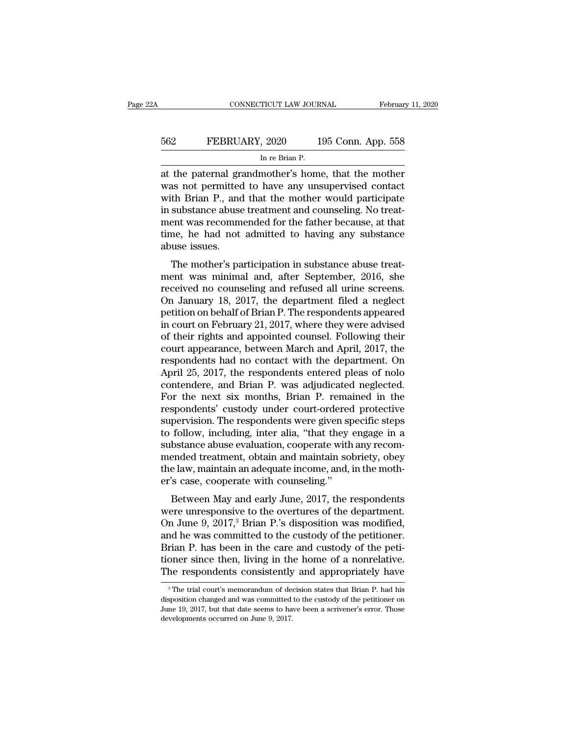| 2A  | CONNECTICUT LAW JOURNAL                            | February 11, 2020  |
|-----|----------------------------------------------------|--------------------|
| 562 | FEBRUARY, 2020                                     | 195 Conn. App. 558 |
|     | In re Brian P.                                     |                    |
|     | at the naternal grandmother's home that the mother |                    |

CONNECTICUT LAW JOURNAL February 11, 2020<br>
FEBRUARY, 2020 195 Conn. App. 558<br>
In re Brian P.<br>
at the paternal grandmother's home, that the mother<br>
was not permitted to have any unsupervised contact<br>
with Brian P. and that EXERUARY, 2020 195 Conn. App. 558<br>
In re Brian P.<br>
at the paternal grandmother's home, that the mother<br>
was not permitted to have any unsupervised contact<br>
with Brian P., and that the mother would participate<br>
in substance EBRUARY, 2020 195 Conn. App. 558<br>
In re Brian P.<br>
at the paternal grandmother's home, that the mother<br>
was not permitted to have any unsupervised contact<br>
with Brian P., and that the mother would participate<br>
in substance FEBRUARY, 2020 195 Conn. App. 558<br>
In re Brian P.<br>
at the paternal grandmother's home, that the mother<br>
was not permitted to have any unsupervised contact<br>
with Brian P., and that the mother would participate<br>
in substance In re Brian P.<br>In re Brian P.<br>at the paternal grandmother's home, that the mother<br>was not permitted to have any unsupervised contact<br>with Brian P., and that the mother would participate<br>in substance abuse treatment and cou In re Brian P.<br>at the paternal grandmother's home, that the mother<br>was not permitted to have any unsupervised contact<br>with Brian P., and that the mother would participate<br>in substance abuse treatment and counseling. No tre at the paternal graves not permitted<br>with Brian P., and<br>in substance abuse<br>ment was recomm<br>time, he had not<br>abuse issues.<br>The mother's pa as not permitted to have any disappervised contact<br>th Brian P., and that the mother would participate<br>substance abuse treatment and counseling. No treat-<br>ent was recommended for the father because, at that<br>me, he had not a ment was recommended for the father because, at that<br>time, he had not admitted to having any substance<br>abuse issues.<br>The mother's participation in substance abuse treat-<br>ment was minimal and, after September, 2016, she<br>rec

In substance abuse treatment and counseling. No treatment was recommended for the father because, at that<br>time, he had not admitted to having any substance<br>abuse issues.<br>The mother's participation in substance abuse treatment was recommended for the rather because, at that<br>time, he had not admitted to having any substance<br>abuse issues.<br>The mother's participation in substance abuse treat-<br>ment was minimal and, after September, 2016, she<br>rec rative, the had not admitted to having any substance<br>abuse issues.<br>The mother's participation in substance abuse treat-<br>ment was minimal and, after September, 2016, she<br>received no counseling and refused all urine screens. The mother's participation in substance abuse treat-<br>ment was minimal and, after September, 2016, she<br>received no counseling and refused all urine screens.<br>On January 18, 2017, the department filed a neglect<br>petition on be The mother's participation in substance abuse treat-<br>ment was minimal and, after September, 2016, she<br>received no counseling and refused all urine screens.<br>On January 18, 2017, the department filed a neglect<br>petition on be ment was minimal and, after September, 2016, she<br>received no counseling and refused all urine screens.<br>On January 18, 2017, the department filed a neglect<br>petition on behalf of Brian P. The respondents appeared<br>in court on received no counseling and refused all urine screens.<br>On January 18, 2017, the department filed a neglect<br>petition on behalf of Brian P. The respondents appeared<br>in court on February 21, 2017, where they were advised<br>of th On January 18, 2017, the department filed a neglect<br>petition on behalf of Brian P. The respondents appeared<br>in court on February 21, 2017, where they were advised<br>of their rights and appointed counsel. Following their<br>cour petition on behalf of Brian P. The respondents appeared<br>in court on February 21, 2017, where they were advised<br>of their rights and appointed counsel. Following their<br>court appearance, between March and April, 2017, the<br>res in court on February 21, 2017, where they were advised<br>of their rights and appointed counsel. Following their<br>court appearance, between March and April, 2017, the<br>respondents had no contact with the department. On<br>April 25 of their rights and appointed counsel. Following their<br>court appearance, between March and April, 2017, the<br>respondents had no contact with the department. On<br>April 25, 2017, the respondents entered pleas of nolo<br>contender court appearance, between March and April, 2017, the respondents had no contact with the department. On April 25, 2017, the respondents entered pleas of nolo contendere, and Brian P. was adjudicated neglected. For the next respondents had no contact with the department. On<br>April 25, 2017, the respondents entered pleas of nolo<br>contendere, and Brian P. was adjudicated neglected.<br>For the next six months, Brian P. remained in the<br>respondents' cu April 25, 2017, the respondents entered pleas of nolo contendere, and Brian P. was adjudicated neglected.<br>For the next six months, Brian P. remained in the respondents' custody under court-ordered protective supervision. T contendere, and Brian P. was adjudicated neglected.<br>For the next six months, Brian P. remained in the<br>respondents' custody under court-ordered protective<br>supervision. The respondents were given specific steps<br>to follow, in For the next six months, Brian P. remained in the respondents' custody under court-ordered protective supervision. The respondents were given specific steps to follow, including, inter alia, "that they engage in a substanc respondents' custody under court-orderec<br>supervision. The respondents were given sp<br>to follow, including, inter alia, "that they<br>substance abuse evaluation, cooperate with<br>mended treatment, obtain and maintain so<br>the law, pervision. The respondents were given specific steps<br>follow, including, inter alia, "that they engage in a<br>bstance abuse evaluation, cooperate with any recom-<br>ended treatment, obtain and maintain sobriety, obey<br>le law, mai to follow, including, inter and, that they engage in a<br>substance abuse evaluation, cooperate with any recom-<br>mended treatment, obtain and maintain sobriety, obey<br>the law, maintain an adequate income, and, in the moth-<br>er's

substance abuse evaluation, cooperate with any recom-<br>mended treatment, obtain and maintain sobriety, obey<br>the law, maintain an adequate income, and, in the moth-<br>er's case, cooperate with counseling."<br>Between May and earl mention trainient, botani and maintain sobitety, obey<br>the law, maintain an adequate income, and, in the moth-<br>er's case, cooperate with counseling."<br>Between May and early June, 2017, the respondents<br>were unresponsive to th Friandally and early June, 2017, the respondents<br>Between May and early June, 2017, the respondents<br>were unresponsive to the overtures of the department.<br>On June 9, 2017,<sup>3</sup> Brian P.'s disposition was modified,<br>and he was c Er s case, cooperate with counseling.<br>Between May and early June, 2017, the respondents<br>were unresponsive to the overtures of the department.<br>On June 9, 2017,<sup>3</sup> Brian P.'s disposition was modified,<br>and he was committed to Between May and early June, 2017, the respondents<br>were unresponsive to the overtures of the department.<br>On June 9, 2017,<sup>3</sup> Brian P.'s disposition was modified,<br>and he was committed to the custody of the petitioner.<br>Brian nd he was committed to the custody of the petitioner.<br>
rian P. has been in the care and custody of the peti-<br>
oner since then, living in the home of a nonrelative.<br>
the respondents consistently and appropriately have<br>
<sup>3</sup>T Brian P. has been in the care and custody of the petitioner since then, living in the home of a nonrelative.<br>The respondents consistently and appropriately have<br><sup>3</sup>The trial court's memorandum of decision states that Brian

tioner since then, living in the home of a nonrelative.<br>The respondents consistently and appropriately have<br> $\frac{3}{10}$ The trial court's memorandum of decision states that Brian P. had his<br>disposition changed and was commi The respondents consistently<br>
<sup>3</sup> The trial court's memorandum of de<br>
disposition changed and was committed<br>
June 19, 2017, but that date seems to ha<br>
developments occurred on June 9, 2017.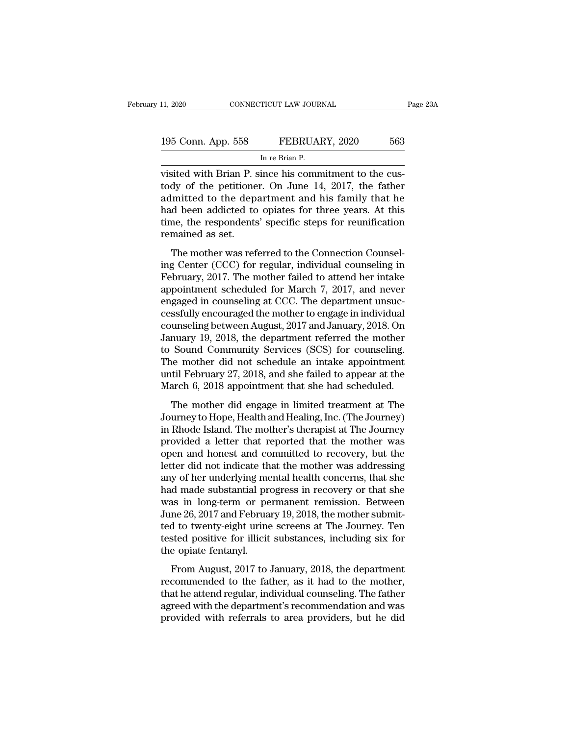| 11, 2020           | CONNECTICUT LAW JOURNAL                               | Page 23A |
|--------------------|-------------------------------------------------------|----------|
| 195 Conn. App. 558 | FEBRUARY, 2020                                        | 563      |
|                    | In re Brian P.                                        |          |
|                    | visited with Brian P since his commitment to the cus- |          |

visited with Brian P. since his commitment to the cus-<br>
visited with Brian P. since his commitment to the cus-<br>
tody of the petitioner. On June 14, 2017, the father<br>
admitted to the department and his family that he 195 Conn. App. 558 FEBRUARY, 2020 563<br>
In re Brian P.<br>
visited with Brian P. since his commitment to the cus-<br>
tody of the petitioner. On June 14, 2017, the father<br>
admitted to the department and his family that he<br>
had be 195 Conn. App. 558 FEBRUARY, 2020 563<br>
In re Brian P.<br>
visited with Brian P. since his commitment to the cus-<br>
tody of the petitioner. On June 14, 2017, the father<br>
admitted to the department and his family that he<br>
had b 195 Conn. App. 558 FEBRUARY, 2020 563<br>
In re Brian P.<br>
visited with Brian P. since his commitment to the cus-<br>
tody of the petitioner. On June 14, 2017, the father<br>
admitted to the department and his family that he<br>
had be INTERTITY, 2020<br>In re Brian P.<br>Wisited with Brian P. since his commitment to the cus-<br>tody of the petitioner. On June 14, 2017, the father<br>admitted to the department and his family that he<br>had been addicted to opiates for visited with Brian P. stody of the petitione<br>admitted to the dep<br>had been addicted to<br>time, the respondents<br>remained as set.<br>The mother was ref May of the petitioner. On June 14, 2017, the father<br>dy of the petitioner. On June 14, 2017, the father<br>lmitted to the department and his family that he<br>d been addicted to opiates for three years. At this<br>me, the respondent admitted to the department and his family that he<br>had been addicted to opiates for three years. At this<br>time, the respondents' specific steps for reunification<br>remained as set.<br>The mother was referred to the Connection Co

admitted to the department and its raminy that he<br>had been addicted to opiates for three years. At this<br>time, the respondents' specific steps for reunification<br>remained as set.<br>The mother was referred to the Connection Cou radical for different scheduled for the connection<br>time, the respondents' specific steps for reunification<br>remained as set.<br>The mother was referred to the Connection Counsel-<br>ing Center (CCC) for regular, individual counse remained as set.<br>The mother was referred to the Connection Counsel-<br>ing Center (CCC) for regular, individual counseling in<br>February, 2017. The mother failed to attend her intake<br>appointment scheduled for March 7, 2017, and The mother was referred to the Connection Counsel-<br>ing Center (CCC) for regular, individual counseling in<br>February, 2017. The mother failed to attend her intake<br>appointment scheduled for March 7, 2017, and never<br>engaged i The mother was referred to the Connection Counsel-<br>ing Center (CCC) for regular, individual counseling in<br>February, 2017. The mother failed to attend her intake<br>appointment scheduled for March 7, 2017, and never<br>engaged in ing Center (CCC) for regular, individual counseling in<br>February, 2017. The mother failed to attend her intake<br>appointment scheduled for March 7, 2017, and never<br>engaged in counseling at CCC. The department unsuc-<br>cessfully February, 2017. The mother failed to attend her intake<br>appointment scheduled for March 7, 2017, and never<br>engaged in counseling at CCC. The department unsuc-<br>cessfully encouraged the mother to engage in individual<br>counseli appointment scheduled for March 7, 2017, and never<br>engaged in counseling at CCC. The department unsuc-<br>cessfully encouraged the mother to engage in individual<br>counseling between August, 2017 and January, 2018. On<br>January 1 engaged in counseling at CCC. The department unsuccessfully encouraged the mother to engage in individual<br>counseling between August, 2017 and January, 2018. On<br>January 19, 2018, the department referred the mother<br>to Sound cessfully encouraged the mother to engage in individual<br>counseling between August, 2017 and January, 2018. On<br>January 19, 2018, the department referred the mother<br>to Sound Community Services (SCS) for counseling.<br>The mothe muary 19, 2018, the department referred the mother<br>Sound Community Services (SCS) for counseling.<br>The mother did not schedule an intake appointment<br>til February 27, 2018, and she failed to appear at the<br>arch 6, 2018 appoin Burdary 18, 2010, are deparation referred are modical<br>to Sound Community Services (SCS) for counseling.<br>The mother did not schedule an intake appointment<br>until February 27, 2018, and she failed to appear at the<br>March 6, 20

in Rhode Island. The mother did not schedule an intake appointment<br>until February 27, 2018, and she failed to appear at the<br>March 6, 2018 appointment that she had scheduled.<br>The mother did engage in limited treatment at Th The model and not schedule an make appointment<br>until February 27, 2018, and she failed to appear at the<br>March 6, 2018 appointment that she had scheduled.<br>The mother did engage in limited treatment at The<br>Journey to Hope, H March 6, 2018 appointment that she had scheduled.<br>The mother did engage in limited treatment at The Journey to Hope, Health and Healing, Inc. (The Journey)<br>in Rhode Island. The mother's therapist at The Journey<br>provided a The mother did engage in limited treatment at The Journey to Hope, Health and Healing, Inc. (The Journey) in Rhode Island. The mother's therapist at The Journey provided a letter that reported that the mother was open and The mother did engage in limited treatment at The<br>Journey to Hope, Health and Healing, Inc. (The Journey)<br>in Rhode Island. The mother's therapist at The Journey<br>provided a letter that reported that the mother was<br>open and Journey to Hope, Health and Healing, Inc. (The Journey)<br>in Rhode Island. The mother's therapist at The Journey<br>provided a letter that reported that the mother was<br>open and honest and committed to recovery, but the<br>letter d in Rhode Island. The mother's therapist at The Journey<br>provided a letter that reported that the mother was<br>open and honest and committed to recovery, but the<br>letter did not indicate that the mother was addressing<br>any of he provided a letter that reported that the mother was<br>open and honest and committed to recovery, but the<br>letter did not indicate that the mother was addressing<br>any of her underlying mental health concerns, that she<br>had made open and honest and committed to recovery, but the<br>letter did not indicate that the mother was addressing<br>any of her underlying mental health concerns, that she<br>had made substantial progress in recovery or that she<br>was in letter did not indicate that the mother was addressing<br>any of her underlying mental health concerns, that she<br>had made substantial progress in recovery or that she<br>was in long-term or permanent remission. Between<br>June 26, any of her underlying me<br>had made substantial pre<br>was in long-term or pe<br>June 26, 2017 and Februa<br>ted to twenty-eight urine<br>tested positive for illicit<br>the opiate fentanyl.<br>From August, 2017 to. From August, 2017 to January, 2018, the department<br>From August, 2017 and February 19, 2018, the mother submitted to twenty-eight urine screens at The Journey. Ten<br>sted positive for illicit substances, including six for<br>e o recommended to the father, as it had to the mother submitted to twenty-eight urine screens at The Journey. Ten<br>tested positive for illicit substances, including six for<br>the opiate fentanyl.<br>From August, 2017 to January, 20

Form that the attendary is, 2010, the model substanting that the diversity. The steed positive for illicit substances, including six for the opiate fentanyl.<br>
From August, 2017 to January, 2018, the department recommended rested positive for illicit substances, including six for<br>the opiate fentanyl.<br>From August, 2017 to January, 2018, the department<br>recommended to the father, as it had to the mother,<br>that he attend regular, individual couns provided with referrals to area providers, including the discussion of the opiate fentanyl.<br>From August, 2017 to January, 2018, the department recommended to the father, as it had to the mother, that he attend regular, ind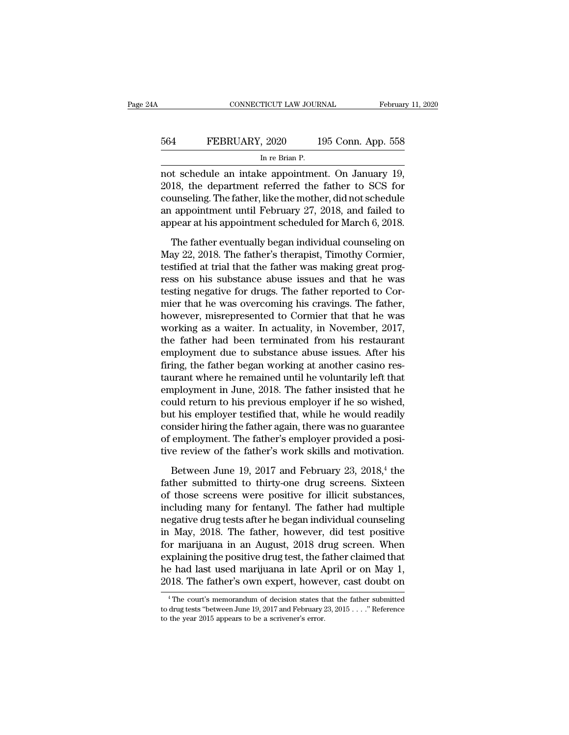## EXECUTE CONNECTICUT LAW JOURNAL February 11, 2020<br>564 FEBRUARY, 2020 195 Conn. App. 558<br>In re Brian P. TICUT LAW JOUR<br>, 2020 1<br>In re Brian P.<br>re annointmer

CONNECTICUT LAW JOURNAL February 11, 2<br>
564 FEBRUARY, 2020 195 Conn. App. 558<br>
In re Brian P.<br>
not schedule an intake appointment. On January 19,<br>
2018, the department referred the father to SCS for<br>
counseling The father EBRUARY, 2020 195 Conn. App. 558<br>
In re Brian P.<br>
In re Brian P.<br>
not schedule an intake appointment. On January 19,<br>
2018, the department referred the father to SCS for<br>
counseling. The father, like the mother, did not sc EXERUARY, 2020 195 Conn. App. 558<br>
In re Brian P.<br>
In re Brian P.<br>
The father, like the mother, did not schedule<br>
an appointment until February 27, 2018, and failed to<br>
appointment until February 27, 2018, and failed to FEBRUARY, 2020 195 Conn. App. 558<br>
In re Brian P.<br>
not schedule an intake appointment. On January 19,<br>
2018, the department referred the father to SCS for<br>
counseling. The father, like the mother, did not schedule<br>
an appo In re Brian P.<br>
In re Brian P.<br>
not schedule an intake appointment. On January 19,<br>
2018, the department referred the father to SCS for<br>
counseling. The father, like the mother, did not schedule<br>
an appointment until Febru t schedule an intake appointment. On January 19,<br>18, the department referred the father to SCS for<br>unseling. The father, like the mother, did not schedule<br>appointment until February 27, 2018, and failed to<br>pear at his appo 2018, the department referred the father to SCS for<br>counseling. The father, like the mother, did not schedule<br>an appointment until February 27, 2018, and failed to<br>appear at his appointment scheduled for March 6, 2018.<br>The

Figures 2012, the father, like the mother, did not schedule<br>an appointment until February 27, 2018, and failed to<br>appear at his appointment scheduled for March 6, 2018.<br>The father eventually began individual counseling on<br> research and appointment until February 27, 2018, and failed to<br>appear at his appointment scheduled for March 6, 2018.<br>The father eventually began individual counseling on<br>May 22, 2018. The father's therapist, Timothy Corm the suppose at his appointment scheduled for March 6, 2018.<br>The father eventually began individual counseling on<br>May 22, 2018. The father's therapist, Timothy Cormier,<br>testified at trial that the father was making great pr The father eventually began individual counseling on<br>May 22, 2018. The father's therapist, Timothy Cormier,<br>testified at trial that the father was making great prog-<br>ress on his substance abuse issues and that he was<br>test The father eventually began individual counseling on<br>May 22, 2018. The father's therapist, Timothy Cormier,<br>testified at trial that the father was making great prog-<br>ress on his substance abuse issues and that he was<br>testi May 22, 2018. The father's therapist, Timothy Cormier,<br>testified at trial that the father was making great prog-<br>ress on his substance abuse issues and that he was<br>testing negative for drugs. The father reported to Cor-<br>mi testified at trial that the father was making great progress on his substance abuse issues and that he was testing negative for drugs. The father reported to Cormier that he was overcoming his cravings. The father, however ress on his substance abuse issues and that he was<br>testing negative for drugs. The father reported to Cor-<br>mier that he was overcoming his cravings. The father,<br>however, misrepresented to Cormier that that he was<br>working a testing negative for drugs. The father reported to Cormier that he was overcoming his cravings. The father, however, misrepresented to Cormier that that he was working as a waiter. In actuality, in November, 2017, the fath mier that he was overcoming his cravings. The father,<br>however, misrepresented to Cormier that that he was<br>working as a waiter. In actuality, in November, 2017,<br>the father had been terminated from his restaurant<br>employment however, misrepresented to Cormier that that he was<br>working as a waiter. In actuality, in November, 2017,<br>the father had been terminated from his restaurant<br>employment due to substance abuse issues. After his<br>firing, the f working as a waiter. In actuality, in November, 2017,<br>the father had been terminated from his restaurant<br>employment due to substance abuse issues. After his<br>firing, the father began working at another casino res-<br>taurant w the father had been terminated from his restaurant<br>employment due to substance abuse issues. After his<br>firing, the father began working at another casino res-<br>taurant where he remained until he voluntarily left that<br>employ employment due to substance abuse issues. After his<br>firing, the father began working at another casino res-<br>taurant where he remained until he voluntarily left that<br>employment in June, 2018. The father insisted that he<br>cou firing, the father began working at another casino restaurant where he remained until he voluntarily left that employment in June, 2018. The father insisted that he could return to his previous employer if he so wished, bu taurant where he remained until he voluntarily left that<br>employment in June, 2018. The father insisted that he<br>could return to his previous employer if he so wished,<br>but his employer testified that, while he would readily<br> I uld return to his previous employer if he so wished,<br>the simployer testified that, while he would readily<br>msider hiring the father again, there was no guarantee<br>employment. The father's employer provided a posi-<br>re revie but his employer testified that, while he would readily<br>consider hiring the father again, there was no guarantee<br>of employment. The father's employer provided a posi-<br>tive review of the father's work skills and motivation.

consider hiring the father again, there was no guarantee<br>of employment. The father's employer provided a posi-<br>tive review of the father's work skills and motivation.<br>Between June 19, 2017 and February 23, 2018,<sup>4</sup> the<br>fa of employment. The father's employer provided a posi-<br>tive review of the father's work skills and motivation.<br>Between June 19, 2017 and February 23, 2018,<sup>4</sup> the<br>father submitted to thirty-one drug screens. Sixteen<br>of tho tive review of the father's work skills and motivation.<br>Between June 19, 2017 and February 23, 2018,<sup>4</sup> the<br>father submitted to thirty-one drug screens. Sixteen<br>of those screens were positive for illicit substances,<br>inclu Between June 19, 2017 and February 23, 2018,<sup>4</sup> the<br>father submitted to thirty-one drug screens. Sixteen<br>of those screens were positive for illicit substances,<br>including many for fentanyl. The father had multiple<br>negative Between June 19, 2017 and February 23, 2018,<sup>4</sup> the<br>father submitted to thirty-one drug screens. Sixteen<br>of those screens were positive for illicit substances,<br>including many for fentanyl. The father had multiple<br>negative father submitted to thirty-one drug screens. Sixteen<br>of those screens were positive for illicit substances,<br>including many for fentanyl. The father had multiple<br>negative drug tests after he began individual counseling<br>in M of those screens were positive for illicit substances,<br>including many for fentanyl. The father had multiple<br>negative drug tests after he began individual counseling<br>in May, 2018. The father, however, did test positive<br>for including many for fentanyl. The father had multiple<br>negative drug tests after he began individual counseling<br>in May, 2018. The father, however, did test positive<br>for marijuana in an August, 2018 drug screen. When<br>explaini For marijuana in an August, 2018 drug screen. When<br>
xplaining the positive drug test, the father claimed that<br>
e had last used marijuana in late April or on May 1,<br>
118. The father's own expert, however, cast doubt on<br>
<sup>4</sup> explaining the positive drug test, the father claimed that<br>he had last used marijuana in late April or on May 1,<br>2018. The father's own expert, however, cast doubt on<br><sup>4</sup>The court's memorandum of decision states that the f

the had last used marijuana in late A<br>2018. The father's own expert, howerner's memorandum of decision states the<br><sup>4</sup>The court's memorandum of decision states the<br>to drug tests "between June 19, 2017 and February?<br>to the y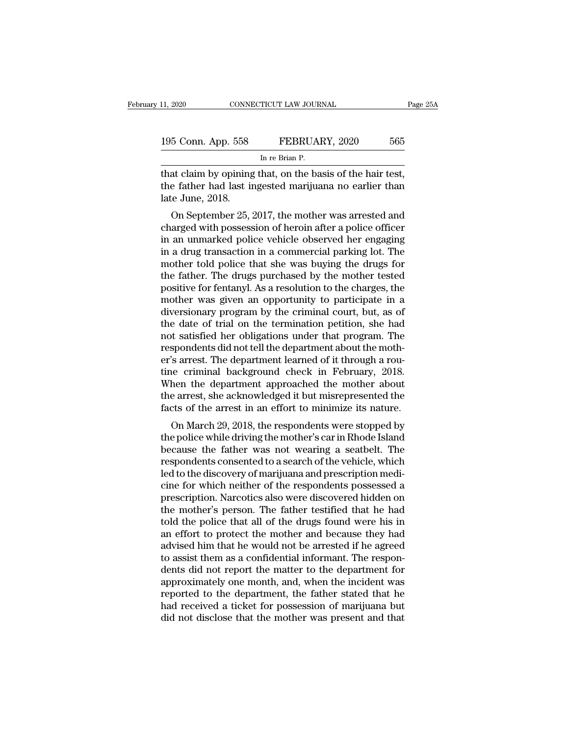| 11, 2020           | CONNECTICUT LAW JOURNAL                                  | Page 25A |
|--------------------|----------------------------------------------------------|----------|
| 195 Conn. App. 558 | FEBRUARY, 2020                                           | 565      |
|                    | In re Brian P.                                           |          |
|                    | that claim by opining that on the basis of the hair test |          |

The connection of the basis of the hair test,<br>
195 Conn. App. 558 FEBRUARY, 2020 565<br>
The Brian P.<br>
That claim by opining that, on the basis of the hair test,<br>
the father had last ingested marijuana no earlier than 195 Conn. App. 558 FEBRUARY, 2020 565<br>
In re Brian P.<br>
that claim by opining that, on the basis of the hair test,<br>
the father had last ingested marijuana no earlier than<br>
late June, 2018. 195 Conn. App. 558<br>that claim by opining<br>the father had last in<br>late June, 2018.<br>On September 25, 3  $\frac{565}{500}$  FEBRUARY, 2020 565<br>
In re Brian P.<br>
at claim by opining that, on the basis of the hair test,<br>
e father had last ingested marijuana no earlier than<br>
i.e June, 2018.<br>
On September 25, 2017, the mother was arre

In re Brian P.<br>
that claim by opining that, on the basis of the hair test,<br>
the father had last ingested marijuana no earlier than<br>
late June, 2018.<br>
On September 25, 2017, the mother was arrested and<br>
charged with possess That claim by opining that, on the basis of the hair test,<br>the father had last ingested marijuana no earlier than<br>late June, 2018.<br>On September 25, 2017, the mother was arrested and<br>charged with possession of heroin after Final claim by opining that, on the basis of the hard test,<br>the father had last ingested marijuana no earlier than<br>late June, 2018.<br>On September 25, 2017, the mother was arrested and<br>charged with possession of heroin after Internative Handrast Ingested Inarijuana no earlier than<br>late June, 2018.<br>On September 25, 2017, the mother was arrested and<br>charged with possession of heroin after a police officer<br>in an unmarked police vehicle observed h Father. 2018.<br>
On September 25, 2017, the mother was arrested and<br>
charged with possession of heroin after a police officer<br>
in an unmarked police vehicle observed her engaging<br>
in a drug transaction in a commercial parkin On September 25, 2017, the mother was arrested and<br>charged with possession of heroin after a police officer<br>in an unmarked police vehicle observed her engaging<br>in a drug transaction in a commercial parking lot. The<br>mother charged with possession of heroin after a police officer<br>in an unmarked police vehicle observed her engaging<br>in a drug transaction in a commercial parking lot. The<br>mother told police that she was buying the drugs for<br>the f in an unmarked police vehicle observed her engaging<br>in a drug transaction in a commercial parking lot. The<br>mother told police that she was buying the drugs for<br>the father. The drugs purchased by the mother tested<br>positive in a drug transaction in a commercial parking lot. The<br>mother told police that she was buying the drugs for<br>the father. The drugs purchased by the mother tested<br>positive for fentanyl. As a resolution to the charges, the<br>mo mother told police that she was buying the drugs for<br>the father. The drugs purchased by the mother tested<br>positive for fentanyl. As a resolution to the charges, the<br>mother was given an opportunity to participate in a<br>diver the father. The drugs purchased by the mother tested<br>positive for fentanyl. As a resolution to the charges, the<br>mother was given an opportunity to participate in a<br>diversionary program by the criminal court, but, as of<br>the positive for fentanyl. As a resolution to the charges, the mother was given an opportunity to participate in a diversionary program by the criminal court, but, as of the date of trial on the termination petition, she had n mother was given an opportunity to participate in a<br>diversionary program by the criminal court, but, as of<br>the date of trial on the termination petition, she had<br>not satisfied her obligations under that program. The<br>respon diversionary program by the criminal court, but, as of<br>the date of trial on the termination petition, she had<br>not satisfied her obligations under that program. The<br>respondents did not tell the department about the moth-<br>er the date of trial on the termination petition, she had<br>not satisfied her obligations under that program. The<br>respondents did not tell the department about the moth-<br>er's arrest. The department learned of it through a rou-<br> not satisfied her obligations under that program. The respondents did not tell the department about the mother's arrest. The department learned of it through a routine criminal background check in February, 2018. When the 's arrest. The department learned of it through a rou-<br>e criminal background check in February, 2018.<br>hen the department approached the mother about<br>e arrest, she acknowledged it but misrepresented the<br>cts of the arrest in er s arest. The department learned of it directions a routine<br>tine criminal background check in February, 2018.<br>When the department approached the mother about<br>the arrest, she acknowledged it but misrepresented the<br>facts o

the Criminal background check in February, 2018.<br>
When the department approached the mother about<br>
the arrest, she acknowledged it but misrepresented the<br>
facts of the arrest in an effort to minimize its nature.<br>
On March when the department approached the informer about<br>the arrest, she acknowledged it but misrepresented the<br>facts of the arrest in an effort to minimize its nature.<br>On March 29, 2018, the respondents were stopped by<br>the polic led to the arrest in an effort to minimize its nature.<br>
On March 29, 2018, the respondents were stopped by<br>
the police while driving the mother's car in Rhode Island<br>
because the father was not wearing a seatbelt. The<br>
res racts of the arrest in an enort to minimize its nature.<br>
On March 29, 2018, the respondents were stopped by<br>
the police while driving the mother's car in Rhode Island<br>
because the father was not wearing a seatbelt. The<br>
re On March 29, 2018, the respondents were stopped by<br>the police while driving the mother's car in Rhode Island<br>because the father was not wearing a seatbelt. The<br>respondents consented to a search of the vehicle, which<br>led to the police while driving the mother's car in Rhode Island<br>because the father was not wearing a seatbelt. The<br>respondents consented to a search of the vehicle, which<br>led to the discovery of marijuana and prescription medi-<br> because the father was not wearing a seatbelt. The<br>respondents consented to a search of the vehicle, which<br>led to the discovery of marijuana and prescription medi-<br>cine for which neither of the respondents possessed a<br>pres respondents consented to a search of the vehicle, which<br>led to the discovery of marijuana and prescription medi-<br>cine for which neither of the respondents possessed a<br>prescription. Narcotics also were discovered hidden on<br> led to the discovery of marijuana and prescription medicine for which neither of the respondents possessed a<br>prescription. Narcotics also were discovered hidden on<br>the mother's person. The father testified that he had<br>told cine for which neither of the respondents possessed a<br>prescription. Narcotics also were discovered hidden on<br>the mother's person. The father testified that he had<br>told the police that all of the drugs found were his in<br>an prescription. Narcotics also were discovered hidden on<br>the mother's person. The father testified that he had<br>told the police that all of the drugs found were his in<br>an effort to protect the mother and because they had<br>advi the mother's person. The father testified that he had<br>told the police that all of the drugs found were his in<br>an effort to protect the mother and because they had<br>advised him that he would not be arrested if he agreed<br>to a told the police that all of the drugs found were his in<br>an effort to protect the mother and because they had<br>advised him that he would not be arrested if he agreed<br>to assist them as a confidential informant. The respon-<br>de an effort to protect the mother and because they had<br>advised him that he would not be arrested if he agreed<br>to assist them as a confidential informant. The respon-<br>dents did not report the matter to the department for<br>appr advised him that he would not be arrested if he agreed<br>to assist them as a confidential informant. The respon-<br>dents did not report the matter to the department for<br>approximately one month, and, when the incident was<br>repor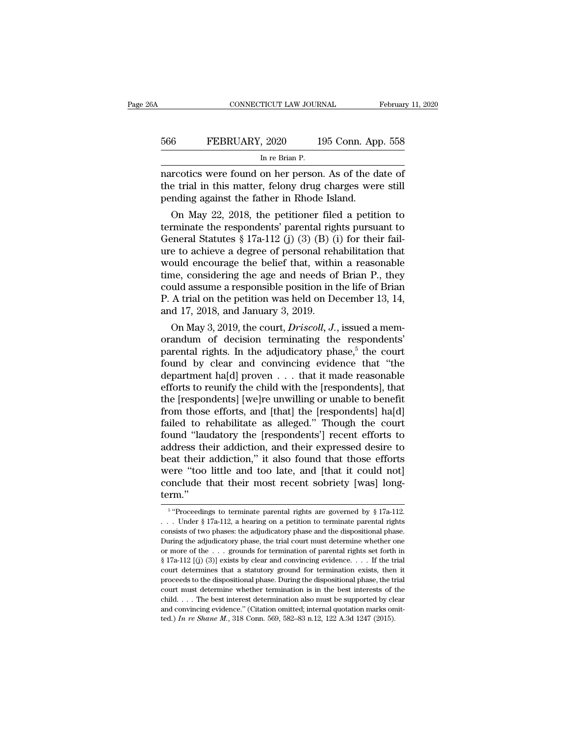| A   | CONNECTICUT LAW JOURNAL                               | February 11, 2020  |
|-----|-------------------------------------------------------|--------------------|
| 566 | FEBRUARY, 2020                                        | 195 Conn. App. 558 |
|     | In re Brian P.                                        |                    |
|     | narcotics were found on her person. As of the date of |                    |

CONNECTICUT LAW JOURNAL February 11, 2020<br>
FEBRUARY, 2020 195 Conn. App. 558<br>
In re Brian P.<br>
In re Brian P.<br>
In re Grind on her person. As of the date of<br>
the trial in this matter, felony drug charges were still<br>
ponding the trial in this matter, felony drug charges were still<br>the trial in this matter, felony drug charges were still<br>pending against the father in Rhode Island. FEBRUARY, 2020 195 Conn. App<br>
In re Brian P.<br>
In re Brian P.<br>
In re Brian P.<br>
In re Brian P.<br>
In re Brian P.<br>
In re Brian P.<br>
In re Ground on her person. As of the d<br>
the trial in this matter, felony drug charges wer<br>
pend **EXERUARY, 2020** 195 Conn. App. 558<br>
In re Brian P.<br>
rcotics were found on her person. As of the date of<br>
e trial in this matter, felony drug charges were still<br>
nding against the father in Rhode Island.<br>
On May 22, 2018,

In re Brian P.<br>
In re Brian P.<br>
In anarcotics were found on her person. As of the date of<br>
the trial in this matter, felony drug charges were still<br>
pending against the father in Rhode Island.<br>
On May 22, 2018, the petiti marcotics were found on her person. As of the date of<br>the trial in this matter, felony drug charges were still<br>pending against the father in Rhode Island.<br>On May 22, 2018, the petitioner filed a petition to<br>terminate the marcotics were found on her person. As of the date of<br>the trial in this matter, felony drug charges were still<br>pending against the father in Rhode Island.<br>On May 22, 2018, the petitioner filed a petition to<br>terminate the the trial in this matter, leftony drug charges were sum<br>pending against the father in Rhode Island.<br>On May 22, 2018, the petitioner filed a petition to<br>terminate the respondents' parental rights pursuant to<br>General Statut bending against the rather in knode island.<br>
On May 22, 2018, the petitioner filed a petition to<br>
terminate the respondents' parental rights pursuant to<br>
General Statutes § 17a-112 (j) (3) (B) (i) for their fail-<br>
ure to On May 22, 2018, the petitioner filed a petition to<br>terminate the respondents' parental rights pursuant to<br>General Statutes § 17a-112 (j) (3) (B) (i) for their fail-<br>ure to achieve a degree of personal rehabilitation that terminate the respondents' parental rights pursuant to<br>General Statutes § 17a-112 (j) (3) (B) (i) for their fail-<br>ure to achieve a degree of personal rehabilitation that<br>would encourage the belief that, within a reasonabl General Statutes § 17a-112 (j) (3) (B) (i<br>ure to achieve a degree of personal reh<br>would encourage the belief that, withi<br>time, considering the age and needs of<br>could assume a responsible position in t<br>P. A trial on the pe e to achieve a degree or personal renabilitation that<br>ould encourage the belief that, within a reasonable<br>me, considering the age and needs of Brian P., they<br>uld assume a responsible position in the life of Brian<br>A trial o would encourage the benef that, within a reasonable<br>time, considering the age and needs of Brian P., they<br>could assume a responsible position in the life of Brian<br>P. A trial on the petition was held on December 13, 14,<br>an

time, considering the age and needs of Brian P., they<br>could assume a responsible position in the life of Brian<br>P. A trial on the petition was held on December 13, 14,<br>and 17, 2018, and January 3, 2019.<br>On May 3, 2019, the Found assume a responsible position in the life of Brian<br>P. A trial on the petition was held on December 13, 14,<br>and 17, 2018, and January 3, 2019.<br>On May 3, 2019, the court, *Driscoll*, *J*., issued a mem-<br>orandum of dec P. A trial on the petution was field on December 15, 14,<br>and 17, 2018, and January 3, 2019.<br>On May 3, 2019, the court, *Driscoll*, *J*., issued a mem-<br>orandum of decision terminating the respondents'<br>parental rights. In t and 17, 2018, and January 3, 2019.<br>
On May 3, 2019, the court, *Driscoll*, *J*., issued a memorandum of decision terminating the respondents'<br>
parental rights. In the adjudicatory phase,<sup>5</sup> the court<br>
found by clear and c On May 3, 2019, the court, *Driscoll*, *J*., issued a memorandum of decision terminating the respondents' parental rights. In the adjudicatory phase,<sup>5</sup> the court found by clear and convincing evidence that "the departmen orandum of decision terminating the respondents'<br>parental rights. In the adjudicatory phase,<sup>5</sup> the court<br>found by clear and convincing evidence that "the<br>department ha[d] proven . . . that it made reasonable<br>efforts to r parental rights. In the adjudicatory phase,<sup>5</sup> the court<br>found by clear and convincing evidence that "the<br>department ha[d] proven  $\dots$  that it made reasonable<br>efforts to reunify the child with the [respondents], that<br>the found by clear and convincing evidence that "the<br>department ha[d] proven  $\dots$  that it made reasonable<br>efforts to reunify the child with the [respondents], that<br>the [respondents] [we]re unwilling or unable to benefit<br>from department ha[d] proven . . . that it made reasonable<br>efforts to reunify the child with the [respondents], that<br>the [respondents] [we]re unwilling or unable to benefit<br>from those efforts, and [that] the [respondents] ha[d] efforts to reunify the child with the [respondents], that<br>the [respondents] [we]re unwilling or unable to benefit<br>from those efforts, and [that] the [respondents] ha[d]<br>failed to rehabilitate as alleged." Though the court<br> the [respondents] [we]re unwilling or unable to benefit<br>from those efforts, and [that] the [respondents] ha[d]<br>failed to rehabilitate as alleged." Though the court<br>found "laudatory the [respondents'] recent efforts to<br>addr from those efforts, and [that] the [respondents] ha[d] failed to rehabilitate as alleged." Though the court found "laudatory the [respondents"] recent efforts to address their addiction, and their expressed desire to beat term.'' at their addiction," it also found that those efforts<br>
re "too little and too late, and [that it could not]<br>
nclude that their most recent sobriety [was] long-<br>
m."<br>
"Proceedings to terminate parental rights are governed b were "too little and too late, and [that it could not]<br>conclude that their most recent sobriety [was] long-<br>term."<br> $\frac{5 \text{ "Proceedings to terminate parental rights are governed by § 17a-112}}{\text{...} \cdot \text{Under § 17a-112, a hearing on a petition to terminate parental rights}$ <br>consists of two phases: the adjudicatory pha

 $5$  "Proc conclude that their most recent sobriety [was] long-<br>term."<br> $\frac{1}{5}$  "Proceedings to terminate parental rights are governed by § 17a-112.<br>... Under § 17a-112, a hearing on a petition to terminate parental rights<br>consists term."<br>
<sup>5</sup> "Proceedings to terminate parental rights are governed by § 17a-112.<br>
... Under § 17a-112, a hearing on a petition to terminate parental rights<br>
consists of two phases: the adjudicatory phase and the dispositi <sup>6</sup> "Proceedings to terminate parental rights are governed by § 17a-112.<br>
. . . Under § 17a-112, a hearing on a petition to terminate parental rights consists of two phases: the adjudicatory phase and the dispositional ph <sup>5</sup> "Proceedings to terminate parental rights are governed by § 17a-112.<br>
... Under § 17a-112, a hearing on a petition to terminate parental rights<br>
consists of two phases: the adjudicatory phase and the dispositional pha ... Under § 17a-112, a hearing on a petition to terminate parental rights consists of two phases: the adjudicatory phase and the dispositional phase. During the adjudicatory phase, the trial court must determine whether o During the adjudicatory phase, the trial court must determine whether one or more of the ... grounds for termination of parental rights set forth in § 17a-112 [(j) (3)] exists by clear and convincing evidence.... If the t During the adjudicatory phase, the trial court must determine whether one or more of the . . . grounds for termination of parental rights set forth in § 17a-112 [(j) (3)] exists by clear and convincing evidence. . . . If or more of the ... grounds for termination of parental rights set forth in § 17a-112 [(j) (3)] exists by clear and convincing evidence.... If the trial court determines that a statutory ground for termination exists, then  $\S 17a-112$  [(j) (3)] exists by clear and convincing evidence. . . . If the trial court determines that a statutory ground for termination exists, then it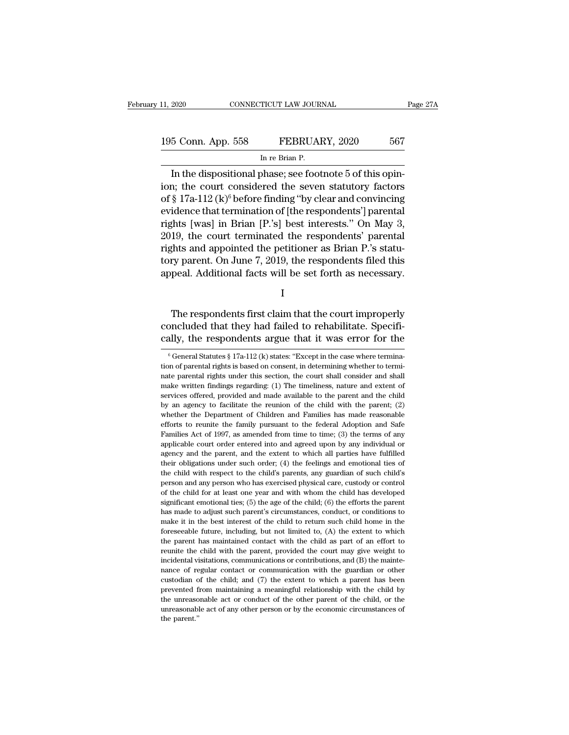11, 2020 CONNECTICUT LAW JOURNAL Page 27A<br>195 Conn. App. 558 FEBRUARY, 2020 567<br>In re Brian P. TICUT LAW JOUR<br>FEBRUAl<br>In re Brian P.<br>phase: see foot

EXECT 2020 CONNECTICUT LAW JOURNAL<br>
In the dispositional phase; see footnote 5 of this opin-<br>
In the dispositional phase; see footnote 5 of this opin-<br>
in; the court considered the seven statutory factors<br>
See 170, 112, (1 195 Conn. App. 558 FEBRUARY, 2020 567<br>
In re Brian P.<br>
In the dispositional phase; see footnote 5 of this opin-<br>
ion; the court considered the seven statutory factors<br>
of § 17a-112 (k)<sup>6</sup> before finding "by clear and conv 195 Conn. App. 558 FEBRUARY, 2020 567<br>
In the dispositional phase; see footnote 5 of this opin-<br>
ion; the court considered the seven statutory factors<br>
of § 17a-112 (k)<sup>6</sup> before finding "by clear and convincing<br>
evidence 195 Conn. App. 558 FEBRUARY, 2020 567<br>
In re Brian P.<br>
In the dispositional phase; see footnote 5 of this opin-<br>
ion; the court considered the seven statutory factors<br>
of § 17a-112 (k)<sup>6</sup> before finding "by clear and conv In re Brian P.<br>In the dispositional phase; see footnote 5 of this opin-<br>ion; the court considered the seven statutory factors<br>of § 17a-112 (k)<sup>6</sup> before finding "by clear and convincing<br>evidence that termination of [the r In the dispositional phase; see footnote 5 of this opin-<br>ion; the court considered the seven statutory factors<br>of § 17a-112 (k)<sup>6</sup> before finding "by clear and convincing<br>evidence that termination of [the respondents'] pa In the dispositional phase; see footnote 5 of this opin-<br>ion; the court considered the seven statutory factors<br>of § 17a-112 (k)<sup>6</sup> before finding "by clear and convincing<br>evidence that termination of [the respondents'] pa ion; the court considered the seven statutory factors<br>of § 17a-112 (k)<sup>6</sup> before finding "by clear and convincing<br>evidence that termination of [the respondents'] parental<br>rights [was] in Brian [P.'s] best interests." On M of § 17a-112 (k)° before finding "by clear and convincing<br>evidence that termination of [the respondents'] parental<br>rights [was] in Brian [P.'s] best interests." On May 3,<br>2019, the court terminated the respondents' parenta The respondents first claim that the court improperly<br>that and appointed the petitioner as Brian P.'s statu-<br>ry parent. On June 7, 2019, the respondents filed this<br>peal. Additional facts will be set forth as necessary.<br>I<br>T

I

rights and appointed the pethodier as Brian 1 . s state-<br>tory parent. On June 7, 2019, the respondents filed this<br>appeal. Additional facts will be set forth as necessary.<br>I<br>The respondents first claim that the court improp coly parent. On June  $t$ , 2019, the respondents fired this<br>appeal. Additional facts will be set forth as necessary.<br>I<br>The respondents first claim that the court improperly<br>concluded that they had failed to rehabilitate. S The respondents first claim that the court improperly<br>oncluded that they had failed to rehabilitate. Specifi-<br>ally, the respondents argue that it was error for the<br> $\frac{6}{6}$ General Statutes § 17a-112 (k) states: "Except i The respondents first claim that the court improperly concluded that they had failed to rehabilitate. Specifically, the respondents argue that it was error for the  $\frac{6}{6}$  General Statutes  $\frac{8}{3}$  17a-112 (k) states:

concluded that they had failed to rehabilitate. Specifically, the respondents argue that it was error for the  $\frac{1}{6}$  General Statutes  $\frac{8}{3}$  17a-112 (k) states: "Except in the case where termination of parental righ cally, the respondents argue that it was error for the  $\frac{1}{6}$  General Statutes § 17a-112 (k) states: "Except in the case where termination of parental rights is based on consent, in determining whether to terminate par Carry, the Tespondents argue that It was error for the case of  $\frac{1}{2}$  of General Statutes § 17a-112 (k) states: "Except in the case where termination of parental rights is based on consent, in determining whether to te <sup>6</sup> General Statutes § 17a-112 (k) states: "Except in the case where termination of parental rights is based on consent, in determining whether to terminate parental rights under this section, the court shall consider and tion of parental rights is based on consent, in determining whether to termi-<br>mate parental rights under this section, the court shall consider and shall<br>make written findings regarding: (1) The timeliness, nature and exte nate parental rights under this section, the court shall consider and shall make written findings regarding: (1) The timeliness, nature and extent of services offered, provided and made available to the parent and the chil make written findings regarding: (1) The timeliness, nature and extent of services offered, provided and made available to the parent and the child by an agency to facilitate the reunion of the child with the parent; (2) w services offered, provided and made available to the parent and the child<br>by an agency to facilitate the reunion of the child with the parent; (2)<br>whether the Department of Children and Families has made reasonable<br>efforts by an agency to facilitate the reunion of the child with the parent; (2) whether the Department of Children and Families has made reasonable efforts to reunite the family pursuant to the federal Adoption and Safe Families whether the Department of Children and Families has made reasonable efforts to reunite the family pursuant to the federal Adoption and Safe Families Act of 1997, as amended from time to time; (3) the terms of any applicabl efforts to reunite the family pursuant to the federal Adoption and Safe Families Act of 1997, as amended from time to time; (3) the terms of any applicable court order entered into and agreed upon by any individual or agen Families Act of 1997, as amended from time to time; (3) the terms of any applicable court order entered into and agreed upon by any individual or agency and the parent, and the extent to which all parties have fulfilled t Examplicable court order entered into and agreed upon by any individual or agency and the parent, and the extent to which all parties have fulfilled their obligations under such order; (4) the feelings and emotional ties streptory and the parent, and the extent to which all parties have fulfilled their obligations under such order; (4) the feelings and emotional ties of the child with respect to the child's parents, any guardian of such ch Has made to adjust such variety and emotional ties of the child with respect to the child's parents, any guardian of such child's person and any person who has exercised physical care, custody or control of the child for the child with respect to the child's parents, any guardian of such child's the child with respect to the child's parents, any guardian of such child's person and any person who has exercised physical care, custody or cont foreseeable future, including, but not limited to, (A) the extent of an effective parameterised physical care, custody or control of the child for at least one year and with whom the child has developed significant emotion for the child for at least one year and with whom the child has developed significant emotional ties; (5) the age of the child; (6) the efforts the parent has made to adjust such parent's circumstances, conduct, or condit significant emotional ties; (5) the age of the child; (6) the efforts the parent has made to adjust such parent's circumstances, conduct, or conditions to make it in the best interest of the child to return such child hom has made to adjust such parent's circumstances, conduct, or conditions to make it in the best interest of the child to return such child home in the foreseeable future, including, but not limited to, (A) the extent to whic make it in the best interest of the child to return such child home in the foreseeable future, including, but not limited to, (A) the extent to which the parent has maintained contact with the child as part of an effort t foreseeable future, including, but not limited to, (A) the extent to which the parent has maintained contact with the child as part of an effort to reunite the child with the parent, provided the court may give weight to the parent has maintained contact with the child as part of an effort to reunite the child with the parent, provided the court may give weight to incidental visitations, communications or contributions, and (B) the mainte reunite the child with the parent, provided the court may give weight to incidental visitations, communications or contributions, and (B) the mainte-<br>nance of regular contact or communication with the guardian or other cus reunite the child with the parent, provided the court may give weight to incidental visitations, communications or contributions, and (B) the maintenance of regular contact or communication with the guardian or other cust nance of regular contact or communication with the guardian or other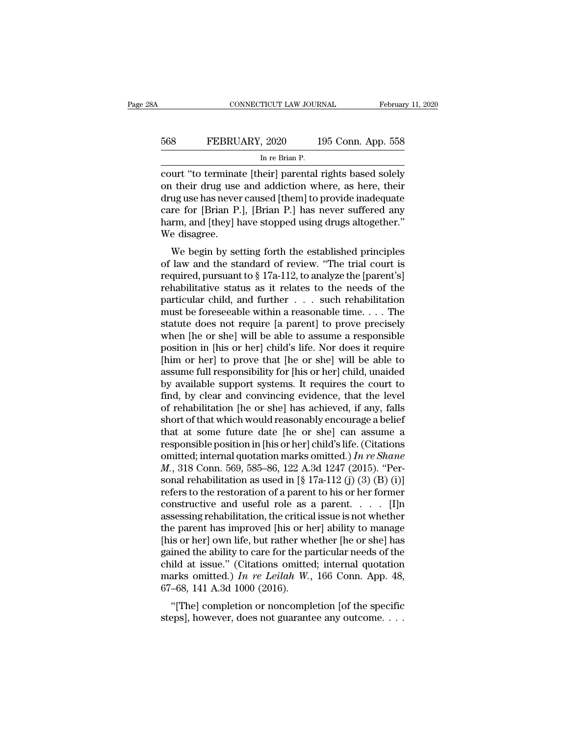## EXECUTE CONNECTICUT LAW JOURNAL February 11, 2020<br>568 FEBRUARY, 2020 195 Conn. App. 558<br>In re Brian P. TICUT LAW JOUR<br>, 2020 1<br>In re Brian P.<br>neirl parental

connecticut LAW JOURNAL February 11, 2020<br>
FEBRUARY, 2020 195 Conn. App. 558<br>
In re Brian P.<br>
court "to terminate [their] parental rights based solely<br>
on their drug use and addiction where, as here, their<br>
drug use has no EBRUARY, 2020 195 Conn. App. 558<br>
In re Brian P.<br>
court "to terminate [their] parental rights based solely<br>
on their drug use and addiction where, as here, their<br>
drug use has never caused [them] to provide inadequate<br>
car EBRUARY, 2020 195 Conn. App. 558<br>
In re Brian P.<br>
court "to terminate [their] parental rights based solely<br>
on their drug use and addiction where, as here, their<br>
drug use has never caused [them] to provide inadequate<br>
car FEBRUARY, 2020 195 Conn. App. 558<br>
In re Brian P.<br>
court "to terminate [their] parental rights based solely<br>
on their drug use and addiction where, as here, their<br>
drug use has never caused [them] to provide inadequate<br>
ca In re Brian P.<br>
The Brian P.<br>
Court "to terminate [their] parental rights based solely<br>
on their drug use and addiction where, as here, their<br>
drug use has never caused [them] to provide inadequate<br>
care for [Brian P.], [B court "to terminat<br>on their drug use<br>drug use has never<br>care for [Brian P.<br>harm, and [they] h<br>We disagree.<br>We begin by set If their drug use and addiction where, as here, their<br>in their drug use and addiction where, as here, their<br>in the established principles and the established principles<br>disagree.<br>We begin by setting forth the established of the standard of the standard of review.<br>
drug use has never caused [them] to provide inadequate<br>
care for [Brian P.], [Brian P.] has never suffered any<br>
harm, and [they] have stopped using drugs altogether."<br>
We disagre

and the first pursuant to § 17a-112, to analyze the fighter cannot pursuant to § 17a-112, to analyze the [parent's] rehabilitative status as it relates to the needs of the particular child and further such rehabilitation care for [Brian 1.], [Brian 1.] has never surfreed any<br>harm, and [they] have stopped using drugs altogether."<br>We disagree.<br>We begin by setting forth the established principles<br>of law and the standard of review. "The trial marnt, and [they] have stopped using thugs anogether.<br>We disagree.<br>We begin by setting forth the established principles<br>of law and the standard of review. "The trial court is<br>required, pursuant to § 17a-112, to analyze th We begin by setting forth the established principles<br>of law and the standard of review. "The trial court is<br>required, pursuant to § 17a-112, to analyze the [parent's]<br>rehabilitative status as it relates to the needs of th We begin by setting forth the established principles<br>of law and the standard of review. "The trial court is<br>required, pursuant to § 17a-112, to analyze the [parent's]<br>rehabilitative status as it relates to the needs of th of law and the standard of review. "The trial court is<br>required, pursuant to  $\S 17a-112$ , to analyze the [parent's]<br>rehabilitative status as it relates to the needs of the<br>particular child, and further . . . such rehabili required, pursuant to § 17a-112, to analyze the [parent's]<br>rehabilitative status as it relates to the needs of the<br>particular child, and further  $\dots$  such rehabilitation<br>must be foreseeable within a reasonable time.  $\dots$  rehabilitative status as it relates to the needs of the particular child, and further  $\ldots$  such rehabilitation must be foreseeable within a reasonable time.  $\ldots$  The statute does not require [a parent] to prove precisel particular child, and further  $\ldots$  such rehabilitation<br>must be foreseeable within a reasonable time.  $\ldots$  The<br>statute does not require [a parent] to prove precisely<br>when [he or she] will be able to assume a responsible<br> must be foreseeable within a reasonable time. . . . The<br>statute does not require [a parent] to prove precisely<br>when [he or she] will be able to assume a responsible<br>position in [his or her] child's life. Nor does it requi statute does not require [a parent] to prove precisely<br>when [he or she] will be able to assume a responsible<br>position in [his or her] child's life. Nor does it require<br>[him or her] to prove that [he or she] will be able to when [he or she] will be able to assume a responsible<br>position in [his or her] child's life. Nor does it require<br>[him or her] to prove that [he or she] will be able to<br>assume full responsibility for [his or her] child, una position in [his or her] child's life. Nor does it require<br>[him or her] to prove that [he or she] will be able to<br>assume full responsibility for [his or her] child, unaided<br>by available support systems. It requires the cou [him or her] to prove that [he or she] will be able to<br>assume full responsibility for [his or her] child, unaided<br>by available support systems. It requires the court to<br>find, by clear and convincing evidence, that the lev assume full responsibility for [his or her] child, unaided<br>by available support systems. It requires the court to<br>find, by clear and convincing evidence, that the level<br>of rehabilitation [he or she] has achieved, if any, by available support systems. It requires the court to find, by clear and convincing evidence, that the level of rehabilitation [he or she] has achieved, if any, falls short of that which would reasonably encourage a beli find, by clear and convincing evidence, that the level<br>of rehabilitation [he or she] has achieved, if any, falls<br>short of that which would reasonably encourage a belief<br>that at some future date [he or she] can assume a<br>re of rehabilitation [he or she] has achieved, if any, falls<br>short of that which would reasonably encourage a belief<br>that at some future date [he or she] can assume a<br>responsible position in [his or her] child's life. (Citat short of that which would reasonably encourage a belief<br>that at some future date [he or she] can assume a<br>responsible position in [his or her] child's life. (Citations<br>omitted; internal quotation marks omitted.) In re Sha that at some future date [he or she] can assume a<br>responsible position in [his or her] child's life. (Citations<br>omitted; internal quotation marks omitted.) In re Shane<br> $M$ ., 318 Conn. 569, 585–86, 122 A.3d 1247 (2015). "P responsible position in [his or her] child's life. (Citations<br>omitted; internal quotation marks omitted.) In re Shane<br> $M$ ., 318 Conn. 569, 585–86, 122 A.3d 1247 (2015). "Per-<br>sonal rehabilitation as used in [§ 17a-112 (j) omitted; internal quotation marks omitted.) In re Shane<br>M., 318 Conn. 569, 585–86, 122 A.3d 1247 (2015). "Per-<br>sonal rehabilitation as used in [§ 17a-112 (j) (3) (B) (i)]<br>refers to the restoration of a parent to his or he *M.*, 318 Conn. 569, 585–86, 122 A.3d 1247 (2015). "Personal rehabilitation as used in [§ 17a-112 (j) (3) (B) (i)]<br>refers to the restoration of a parent to his or her former<br>constructive and useful role as a parent. . . . sonal rehabilitation as used in [§ 17a-112 (j) (3) (B) (i)]<br>refers to the restoration of a parent to his or her former<br>constructive and useful role as a parent. . . . [I]n<br>assessing rehabilitation, the critical issue is n refers to the restoration of a parent to his or her former<br>constructive and useful role as a parent. . . . . [I]n<br>assessing rehabilitation, the critical issue is not whether<br>the parent has improved [his or her] ability to constructive and useful role as a parent.  $\ldots$  [I]n assessing rehabilitation, the critical issue is not whether the parent has improved [his or her] ability to manage [his or her] own life, but rather whether [he or she] assessing rehabilitation, the critica<br>the parent has improved [his or h<br>[his or her] own life, but rather wh<br>gained the ability to care for the pa<br>child at issue." (Citations omitte<br>marks omitted.) In re Leilah W.,<br>67–68, E parent has improved [ins of her] ability to manage<br>
is or her] own life, but rather whether [he or she] has<br>
ined the ability to care for the particular needs of the<br>
ild at issue." (Citations omitted; internal quotatio fils of her jown life, but failer whether [he of she] has<br>gained the ability to care for the particular needs of the<br>child at issue." (Citations omitted; internal quotation<br>marks omitted.) In re Leilah W., 166 Conn. App.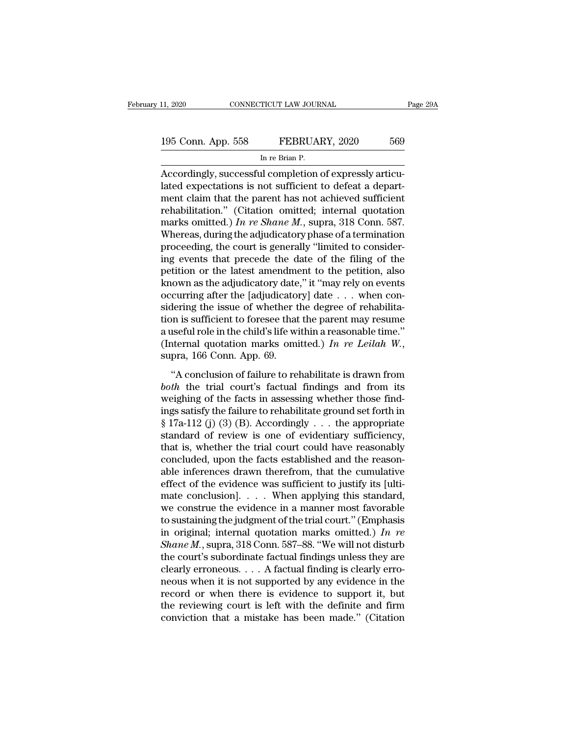11, 2020 CONNECTICUT LAW JOURNAL Page 29A<br>195 Conn. App. 558 FEBRUARY, 2020 569<br>In re Brian P. TICUT LAW JOUR<br>FEBRUAl<br>In re Brian P.<br>Il completion (

CONNECTICUT LAW JOURNAL<br>
195 Conn. App. 558 FEBRUARY, 2020 569<br>
In re Brian P.<br>
Accordingly, successful completion of expressly articu-<br>
lated expectations is not sufficient to defeat a depart-195 Conn. App. 558 FEBRUARY, 2020 569<br>
In re Brian P.<br>
Accordingly, successful completion of expressly articulated expectations is not sufficient to defeat a depart-<br>
ment claim that the parent has not achieved sufficient<br> 195 Conn. App. 558 FEBRUARY, 2020 569<br>
In re Brian P.<br>
Accordingly, successful completion of expressly articulated expectations is not sufficient to defeat a department claim that the parent has not achieved sufficient re 195 Conn. App. 558 FEBRUARY, 2020 569<br>
In re Brian P.<br>
Accordingly, successful completion of expressly articulated expectations is not sufficient to defeat a depart-<br>
ment claim that the parent has not achieved sufficient<br> INTERTITY, 2020<br>
In re Brian P.<br>
Accordingly, successful completion of expressly articulated expectations is not sufficient to defeat a depart-<br>
ment claim that the parent has not achieved sufficient<br>
rehabilitation." (Cit  $\frac{M}{R}$  is the adjudicator of expressly articulated expectations is not sufficient to defeat a department claim that the parent has not achieved sufficient rehabilitation." (Citation omitted; internal quotation marks om Accordingly, successful completion of expressly articulated expectations is not sufficient to defeat a department claim that the parent has not achieved sufficient rehabilitation." (Citation omitted; internal quotation ma lated expectations is not sufficient to defeat a depart-<br>ment claim that the parent has not achieved sufficient<br>rehabilitation." (Citation omitted; internal quotation<br>marks omitted.) In re Shane M., supra, 318 Conn. 587.<br> ment claim that the parent has not achieved sufficient<br>rehabilitation." (Citation omitted; internal quotation<br>marks omitted.) In re Shane M., supra, 318 Conn. 587.<br>Whereas, during the adjudicatory phase of a termination<br>p rehabilitation." (Citation omitted; internal quotation marks omitted.) In re Shane M., supra, 318 Conn. 587.<br>Whereas, during the adjudicatory phase of a termination proceeding, the court is generally "limited to consideri marks omitted.) In re Shane M., supra, 318 Conn. 587.<br>Whereas, during the adjudicatory phase of a termination<br>proceeding, the court is generally "limited to consider-<br>ing events that precede the date of the filing of the<br> Whereas, during the adjudicatory phase of a termination proceeding, the court is generally "limited to considering events that precede the date of the filing of the petition or the latest amendment to the petition, also k proceeding, the court is generally "limited to considering events that precede the date of the filing of the petition or the latest amendment to the petition, also known as the adjudicatory date," it "may rely on events o ing events that precede the date of the filing of the petition or the latest amendment to the petition, also known as the adjudicatory date," it "may rely on events occurring after the [adjudicatory] date  $\ldots$  when consi petition or the latest amendment to the petition, also known as the adjudicatory date," it "may rely on events occurring after the [adjudicatory] date  $\ldots$  when considering the issue of whether the degree of rehabilitati the implementation of the degree of rehabilitation is sufficient to foresee that the parent may resume useful role in the child's life within a reasonable time."<br>
iternal quotation marks omitted.) In re Leilah W.,<br>
pra, 1 *bothaing* are issue of wheater are degree of remashination is sufficient to foresee that the parent may resume a useful role in the child's life within a reasonable time."<br>
(Internal quotation marks omitted.) In re Leilah

a useful role in the child's life within a reasonable time."<br>
(Internal quotation marks omitted.) In re Leilah W.,<br>
supra, 166 Conn. App. 69.<br>
"A conclusion of failure to rehabilitate is drawn from<br> *both* the trial court Internal quotation marks omitted.) In re Leilah W.,<br>supra, 166 Conn. App. 69.<br>"A conclusion of failure to rehabilitate is drawn from<br>both the trial court's factual findings and from its<br>weighing of the facts in assessing supra, 166 Conn. App. 69.<br>
"A conclusion of failure to rehabilitate is drawn from<br> *both* the trial court's factual findings and from its<br>
weighing of the facts in assessing whether those find-<br>
ings satisfy the failure t "A conclusion of failure to rehabilitate is drawn from<br>both the trial court's factual findings and from its<br>weighing of the facts in assessing whether those find-<br>ings satisfy the failure to rehabilitate ground set forth "A conclusion of failure to rehabilitate is drawn from<br>both the trial court's factual findings and from its<br>weighing of the facts in assessing whether those find-<br>ings satisfy the failure to rehabilitate ground set forth both the trial court's factual findings and from its<br>weighing of the facts in assessing whether those find-<br>ings satisfy the failure to rehabilitate ground set forth in<br>§ 17a-112 (j) (3) (B). Accordingly  $\dots$  the appropri weighing of the facts in assessing whether those find-<br>ings satisfy the failure to rehabilitate ground set forth in<br> $§ 17a-112$  (j) (3) (B). Accordingly . . . the appropriate<br>standard of review is one of evidentiary suffi ings satisfy the failure to rehabilitate ground set forth in  $\S 17a-112$  (j) (3) (B). Accordingly . . . the appropriate standard of review is one of evidentiary sufficiency, that is, whether the trial court could have rea § 17a-112 (j) (3) (B). Accordingly  $\ldots$  the appropriate standard of review is one of evidentiary sufficiency, that is, whether the trial court could have reasonably concluded, upon the facts established and the reasonabl standard of review is one of evidentiary sufficiency,<br>that is, whether the trial court could have reasonably<br>concluded, upon the facts established and the reason-<br>able inferences drawn therefrom, that the cumulative<br>effec that is, whether the trial court could have reasonably<br>concluded, upon the facts established and the reason-<br>able inferences drawn therefrom, that the cumulative<br>effect of the evidence was sufficient to justify its [ulticoncluded, upon the facts established and the reason-<br>able inferences drawn therefrom, that the cumulative<br>effect of the evidence was sufficient to justify its [ulti-<br>mate conclusion]. . . . When applying this standard,<br>w able inferences drawn therefrom, that the cumulative<br>effect of the evidence was sufficient to justify its [ulti-<br>mate conclusion]. . . . When applying this standard,<br>we construe the evidence in a manner most favorable<br>to effect of the evidence was sufficient to justify its [ultimate conclusion]. . . . When applying this standard, we construe the evidence in a manner most favorable to sustaining the judgment of the trial court." (Emphasis mate conclusion]. . . . When applying this standard,<br>we construe the evidence in a manner most favorable<br>to sustaining the judgment of the trial court." (Emphasis<br>in original; internal quotation marks omitted.) In re<br>Shan we construe the evidence in a manner most favorable<br>to sustaining the judgment of the trial court." (Emphasis<br>in original; internal quotation marks omitted.) In re<br>Shane M., supra, 318 Conn. 587–88. "We will not disturb<br>t to sustaining the judgment of the trial court." (Emphasis<br>in original; internal quotation marks omitted.) In re<br>Shane M., supra, 318 Conn. 587–88. "We will not disturb<br>the court's subordinate factual findings unless they in original; internal quotation marks omitted.) In re<br>
Shane M., supra, 318 Conn. 587–88. "We will not disturb<br>
the court's subordinate factual findings unless they are<br>
clearly erroneous.... A factual finding is clearly Shane M., supra, 318 Conn. 587–88. "We will not disturb<br>the court's subordinate factual findings unless they are<br>clearly erroneous.... A factual finding is clearly erro-<br>neous when it is not supported by any evidence in t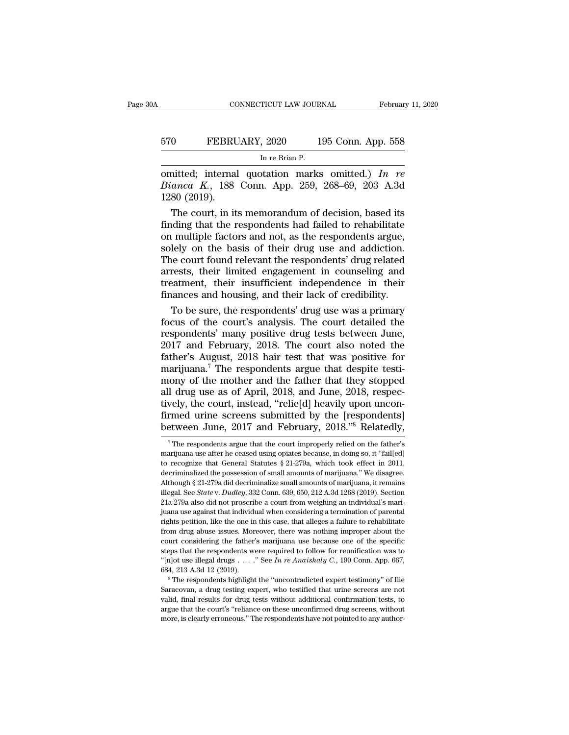## EXECUTE CONNECTICUT LAW JOURNAL February 11, 2020<br>570 FEBRUARY, 2020 195 Conn. App. 558<br>In re Brian P. TICUT LAW JOUR<br>, 2020 1<br>In re Brian P.<br>station \_marks

CONNECTICUT LAW JOURNAL February 11, 2020<br>
570 FEBRUARY, 2020 195 Conn. App. 558<br>
In re Brian P.<br>
omitted; internal quotation marks omitted.) *In re*<br> *Bianca K.*, 188 Conn. App. 259, 268–69, 203 A.3d<br>
1280 (2019) **FEBRUARY**, 2020 195 Conn. App. 558<br>
In re Brian P.<br> **Connect A., 188 Conn. App. 259, 268–69, 203 A.3d**<br> **Bianca K., 188 Conn. App. 259, 268–69, 203 A.3d**<br> **P. 280 (2019).** 570 FEBRU<br>
1280 (2019).<br>
1280 (2019).<br>
1280 (2019).<br>
1280 (2019). The court, in its memorandum of decision, based its<br>
the court, in its memorandum of decision, based its<br>
ding that the respondents had failed to rehabilitate<br>
the court, in its memorandum of decision, based its<br>
ding tha

For the respondents had failed to rehabilities<br>finding that the respondents had failed to rehabilitate<br>finding that the respondents had failed to rehabilitate<br>on multiple factors and not, as the respondents argue,<br>solely omitted; internal quotation marks omitted.) In re<br>Bianca K., 188 Conn. App. 259, 268–69, 203 A.3d<br>1280 (2019).<br>The court, in its memorandum of decision, based its<br>finding that the respondents had failed to rehabilitate<br>on omitted; internal quotation marks omitted.) In re<br>Bianca K., 188 Conn. App. 259, 268–69, 203 A.3d<br>1280 (2019).<br>The court, in its memorandum of decision, based its<br>finding that the respondents had failed to rehabilitate<br>on Bianca K., 188 Conn. App. 259, 268–69, 203 A.3d<br>1280 (2019).<br>The court, in its memorandum of decision, based its<br>finding that the respondents had failed to rehabilitate<br>on multiple factors and not, as the respondents argue 1280 (2019).<br>
The court, in its memorandum of decision, based its<br>
finding that the respondents had failed to rehabilitate<br>
on multiple factors and not, as the respondents argue,<br>
solely on the basis of their drug use and The court, in its memorandum of decision, based its<br>finding that the respondents had failed to rehabilitate<br>on multiple factors and not, as the respondents argue,<br>solely on the basis of their drug use and addiction.<br>The co finding that the respondents had failed to rehabilitate<br>on multiple factors and not, as the respondents argue,<br>solely on the basis of their drug use and addiction.<br>The court found relevant the respondents' drug related<br>arr I multiple factors and not, as the respondents argue,<br>lely on the basis of their drug use and addiction.<br>ne court found relevant the respondents' drug related<br>rests, their limited engagement in counseling and<br>eatment, thei solely on the basis of their drug use and addiction.<br>The court found relevant the respondents' drug related<br>arrests, their limited engagement in counseling and<br>treatment, their insufficient independence in their<br>finances a

The court found relevant the respondents' drug related<br>arrests, their limited engagement in counseling and<br>treatment, their insufficient independence in their<br>finances and housing, and their lack of credibility.<br>To be sure arrests, their limited engagement in counseling and<br>treatment, their insufficient independence in their<br>finances and housing, and their lack of credibility.<br>To be sure, the respondents' drug use was a primary<br>focus of the treatment, their insufficient independence in their<br>finances and housing, and their lack of credibility.<br>To be sure, the respondents' drug use was a primary<br>focus of the court's analysis. The court detailed the<br>respondents finances and housing, and their lack of credibility.<br>To be sure, the respondents' drug use was a primary<br>focus of the court's analysis. The court detailed the<br>respondents' many positive drug tests between June,<br> $2017$  and To be sure, the respondents' drug use was a primary<br>focus of the court's analysis. The court detailed the<br>respondents' many positive drug tests between June,<br>2017 and February, 2018. The court also noted the<br>father's Augus focus of the court's analysis. The court detailed the<br>respondents' many positive drug tests between June,<br>2017 and February, 2018. The court also noted the<br>father's August, 2018 hair test that was positive for<br>marijuana.<sup>7</sup> respondents' many positive drug tests between June, 2017 and February, 2018. The court also noted the father's August, 2018 hair test that was positive for marijuana.<sup>7</sup> The respondents argue that despite testimony of the  $2017$  and February, 2018. The court also noted the father's August, 2018 hair test that was positive for marijuana.<sup>7</sup> The respondents argue that despite testimony of the mother and the father that they stopped all drug father's August, 2018 hair test that was positive for marijuana.<sup>7</sup> The respondents argue that despite testimony of the mother and the father that they stopped all drug use as of April, 2018, and June, 2018, respectively, 1 drug use as of April, 2018, and June, 2018, respec-<br>vely, the court, instead, "relie[d] heavily upon uncon-<br>rmed urine screens submitted by the [respondents]<br>etween June, 2017 and February, 2018."8 Relatedly,<br><sup>7</sup>The resp tively, the court, instead, "relie[d] heavily upon unconfirmed urine screens submitted by the [respondents]<br>between June, 2017 and February, 2018."<sup>8</sup> Relatedly,<br><sup>7</sup>The respondents argue that the court improperly relied on

firmed urine screens submitted by the [respondents]<br>between June, 2017 and February, 2018."<sup>8</sup> Relatedly,<br><sup>7</sup>The respondents argue that the court improperly relied on the father's<br>marijuana use after he ceased using opiat decriminalized the possession of small amounts of marijuana, it remains allow the possession of small amounts of marijuana.'' We disagree.<br>Although § 21-279a, which took effect in 2011, decriminalized the possession of sma Detween June, 2017 and February, 2018. The relatedly,<br>
<sup>7</sup> The respondents argue that the court improperly relied on the father's<br>
marijuana use after he ceased using opiates because, in doing so, it "fail[ed]<br>
to recogni <sup>7</sup> The respondents argue that the court improperly relied on the father's marijuana use after he ceased using opiates because, in doing so, it "fail[ed] to recognize that General Statutes  $\S 21-279a$ , which took effect i <sup>7</sup> The respondents argue that the court improperly relied on the father's marijuana use after he ceased using opiates because, in doing so, it "fail[ed] to recognize that General Statutes § 21-279a, which took effect in from recognize that General Statutes § 21-279a, which took effect in 2011, decriminalized the possession of small amounts of marijuana." We disagree.<br>Although § 21-279a did decriminalize small amounts of marijuana, it rem decriminalized the possession of small amounts of marijuana." We disagree.<br>Although § 21-279a did decriminalize small amounts of marijuana, it remains<br>illegal. See *State* v. *Dudley*, 332 Conn. 639, 650, 212 A.3d 1268 (2 Although § 21-279a did decriminalize small amounts of marijuana, it remains illegal. See *State* v. *Dudley*, 332 Conn. 639, 650, 212 A.3d 1268 (2019). Section 21a-279a also did not proscribe a court from weighing an indi court considering the father's marijuana use because one of the specifical. See *State* v. *Dudley*, 332 Conn. 639, 650, 212 A.3d 1268 (2019). Section 21a-279a also did not proscribe a court from weighing an individual's 21a-279a also did not proscribe a court from weighing an individual's mari-<br>juana use against that individual when considering a termination of parental<br>rights petition, like the one in this case, that alleges a failure t from drug abuse issues. Moreover, there was nothing improper about the court considering the father's marijuana use because one of the specific steps that the respondents were required to follow for reunification was to " being the same of the one in this case, that alleges a failure to rehabilitate from drug abuse issues. Moreover, there was nothing improper about the court considering the father's marijuana use because one of the specifi court considering the father's marijuana use because one of the specific steps that the respondents were required to follow for reunification was to "[n]ot use illegal drugs  $\ldots$ ." See *In re Anaishaly C*., 190 Conn. App

steps that the respondents were required to follow for reunification was to "[n]ot use illegal drugs  $\ldots$ ." See In re Anaishaly C., 190 Conn. App. 667, 684, 213 A.3d 12 (2019).<br>
<sup>8</sup> The respondents highlight the "uncontr "[n]ot use illegal drugs  $\ldots$ ." See *In re Anaishaly C.*, 190 Conn. App. 667, 684, 213 A.3d 12 (2019).<br>
<sup>8</sup> The respondents highlight the "uncontradicted expert testimony" of Ilie Saracovan, a drug testing expert, who te  ${}^8$ The respondents highlight the "uncontradicted expert testimony" of Ilie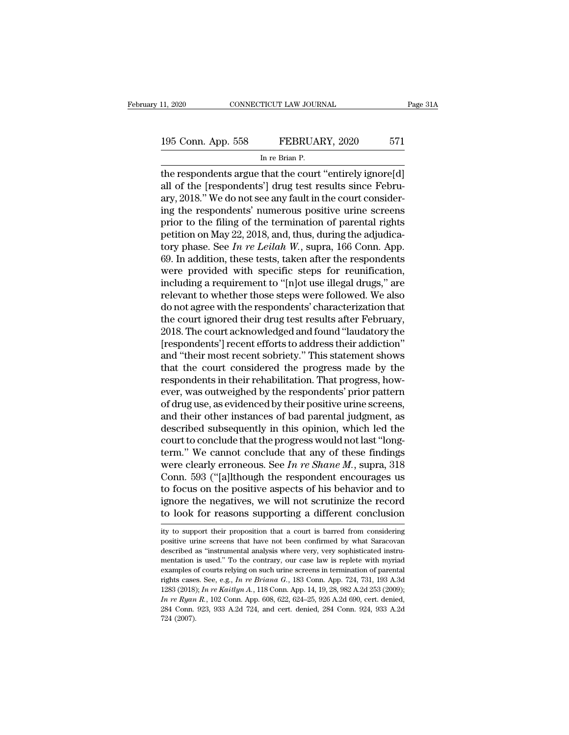## 11, 2020 CONNECTICUT LAW JOURNAL Page 31A<br>195 Conn. App. 558 FEBRUARY, 2020 571<br>In re Brian P. TICUT LAW JOUR<br>FEBRUAl<br>In re Brian P.<br>That the court

The respondents argue that the court ''entirely ignore[d]<br>
The respondents argue that the court ''entirely ignore[d]<br>
all of the [respondents'] drug test results since February 2018." We do not see any fault in the court c 195 Conn. App. 558 FEBRUARY, 2020 571<br>
In re Brian P.<br>
the respondents argue that the court "entirely ignore[d]<br>
all of the [respondents'] drug test results since Febru-<br>
ary, 2018." We do not see any fault in the court co 195 Conn. App. 558 FEBRUARY, 2020 571<br>
In re Brian P.<br>
the respondents argue that the court "entirely ignore[d]<br>
all of the [respondents'] drug test results since Febru-<br>
ary, 2018." We do not see any fault in the court co 195 Conn. App. 558 FEBRUARY, 2020 571<br>
In re Brian P.<br>
the respondents argue that the court "entirely ignore[d]<br>
all of the [respondents'] drug test results since Febru-<br>
ary, 2018." We do not see any fault in the court c In re Brian P.<br>
In re Brian P.<br>
the respondents argue that the court "entirely ignore[d]<br>
all of the [respondents'] drug test results since Febru-<br>
ary, 2018." We do not see any fault in the court consider-<br>
ing the respo m re Bran P.<br>
the respondents argue that the court "entirely ignore[d]<br>
all of the [respondents'] drug test results since Febru-<br>
ary, 2018." We do not see any fault in the court consider-<br>
ing the respondents' numerous p the respondents argue that the court "entirely ignore[d]<br>all of the [respondents'] drug test results since Febru-<br>ary, 2018." We do not see any fault in the court consider-<br>ing the respondents' numerous positive urine scre all of the [respondents'] drug test results since February, 2018." We do not see any fault in the court considering the respondents' numerous positive urine screens prior to the filing of the termination of parental right ary, 2018." We do not see any fault in the court considering the respondents' numerous positive urine screens<br>prior to the filing of the termination of parental rights<br>petition on May 22, 2018, and, thus, during the adjud ing the respondents' numerous positive urine screens<br>prior to the filing of the termination of parental rights<br>petition on May 22, 2018, and, thus, during the adjudica-<br>tory phase. See *In re Leilah* W., supra, 166 Conn. prior to the filing of the termination of parental rights<br>petition on May 22, 2018, and, thus, during the adjudica-<br>tory phase. See In re Leilah W., supra, 166 Conn. App.<br>69. In addition, these tests, taken after the resp petition on May 22, 2018, and, thus, during the adjudicatory phase. See *In re Leilah W*., supra, 166 Conn. App.<br>69. In addition, these tests, taken after the respondents<br>were provided with specific steps for reunificatio tory phase. See *In re Leilah W*., supra, 166 Conn. App.<br>69. In addition, these tests, taken after the respondents<br>were provided with specific steps for reunification,<br>including a requirement to "[n]ot use illegal drugs," 69. In addition, these tests, taken after the respondents<br>were provided with specific steps for reunification,<br>including a requirement to "[n]ot use illegal drugs," are<br>relevant to whether those steps were followed. We als were provided with specific steps for reunification,<br>including a requirement to "[n]ot use illegal drugs," are<br>relevant to whether those steps were followed. We also<br>do not agree with the respondents' characterization that including a requirement to "[n]ot use illegal drugs," are<br>relevant to whether those steps were followed. We also<br>do not agree with the respondents' characterization that<br>the court ignored their drug test results after Febr relevant to whether those steps were followed. We also<br>do not agree with the respondents' characterization that<br>the court ignored their drug test results after February,<br>2018. The court acknowledged and found "laudatory th do not agree with the respondents' characterization that<br>the court ignored their drug test results after February,<br>2018. The court acknowledged and found "laudatory the<br>[respondents'] recent sobriety." This statement shows the court ignored their drug test results after February,<br>2018. The court acknowledged and found "laudatory the<br>[respondents'] recent efforts to address their addiction"<br>and "their most recent sobriety." This statement sho 2018. The court acknowledged and found "laudatory the [respondents'] recent efforts to address their addiction" and "their most recent sobriety." This statement shows that the court considered the progress made by the resp [respondents'] recent efforts to address their addiction"<br>and "their most recent sobriety." This statement shows<br>that the court considered the progress made by the<br>respondents in their rehabilitation. That progress, how-<br>e and "their most recent sobriety." This statement shows<br>that the court considered the progress made by the<br>respondents in their rehabilitation. That progress, how-<br>ever, was outweighed by the respondents' prior pattern<br>of d that the court considered the progress made by the respondents in their rehabilitation. That progress, however, was outweighed by the respondents' prior pattern of drug use, as evidenced by their positive urine screens, a respondents in their rehabilitation. That progress, how-<br>ever, was outweighed by the respondents' prior pattern<br>of drug use, as evidenced by their positive urine screens,<br>and their other instances of bad parental judgment ever, was outweighed by the respondents' prior pattern<br>of drug use, as evidenced by their positive urine screens,<br>and their other instances of bad parental judgment, as<br>described subsequently in this opinion, which led the of drug use, as evidenced by their positive urine screens,<br>and their other instances of bad parental judgment, as<br>described subsequently in this opinion, which led the<br>court to conclude that the progress would not last "l and their other instances of bad parental judgment, as<br>described subsequently in this opinion, which led the<br>court to conclude that the progress would not last "long-<br>term." We cannot conclude that any of these findings<br>w described subsequently in this opinion, which led the<br>court to conclude that the progress would not last "long-<br>term." We cannot conclude that any of these findings<br>were clearly erroneous. See In re Shane M., supra, 318<br>C court to conclude that the progress would not last "long-<br>term." We cannot conclude that any of these findings<br>were clearly erroneous. See In re Shane M., supra, 318<br>Conn. 593 ("[a]lthough the respondent encourages us<br>to Conn. 593 ("[a]]though the respondent encourages us<br>to focus on the positive aspects of his behavior and to<br>ignore the negatives, we will not scrutinize the record<br>to look for reasons supporting a different conclusion<br>ity to focus on the positive aspects of his behavior and to ignore the negatives, we will not scrutinize the record to look for reasons supporting a different conclusion ity to support their proposition that a court is barred

ignore the negatives, we will not scrutinize the record to look for reasons supporting a different conclusion ity to support their proposition that a court is barred from considering positive urine screens that have not be mentation is used.'' To the contrary, our case law is barrel conclusion<br>ity to support their proposition that a court is barred from considering<br>positive urine screens that have not been confirmed by what Saracovan<br>describ ity to support their proposition that a court is barred from considering<br>positive urine screens that have not been confirmed by what Saracovan<br>described as "instrumental analysis where very, very sophisticated instru-<br>men ity to support their proposition that a court is barred from considering<br>positive urine screens that have not been confirmed by what Saracovan<br>described as "instrumental analysis where very, very sophisticated instru-<br>ment positive urine screens that have not been confirmed by what Saracovan described as "instrumental analysis where very, very sophisticated instrumentation is used." To the contrary, our case law is replete with myriad exampl mentation is used." To the contrary, our case law is replete with myriad examples of courts relying on such urine screens in termination of parental rights cases. See, e.g., *In re Briana G.*, 183 Conn. App. 724, 731, 193 mentation is used." To the contrary, our case law is replete with myrid examples of courts relying on such urine screens in termination of parental rights cases. See, e.g., In re Briana G., 183 Conn. App. 724, 731, 193 A. examples of courts relying on such urine screens in termination of parental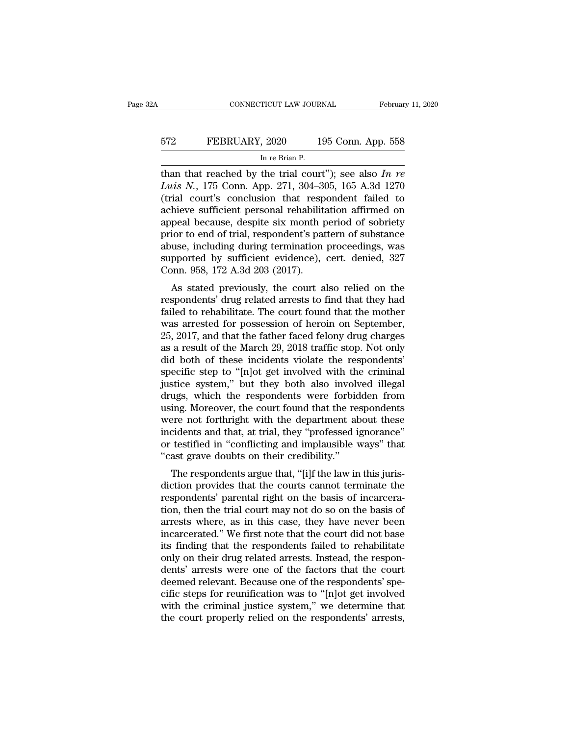## EXECUTE CONNECTICUT LAW JOURNAL February 11, 2020<br>572 FEBRUARY, 2020 195 Conn. App. 558<br>In re Brian P. TICUT LAW JOUR<br>, 2020 1<br>In re Brian P.<br>the trial cour

THE CONNECTICUT LAW JOURNAL February 11, 2020<br>
The Brian P.<br>
Than that reached by the trial court''); see also *In re*<br>
Luis N., 175 Conn. App. 271, 304–305, 165 A.3d 1270<br>
(trial court's conclusion that respondent failed *Luis N.*, 175 Conn. App. 558<br> *Luis N.*, 175 Conn. App. 271, 304–305, 165 A.3d 1270<br> *Luis N.*, 175 Conn. App. 271, 304–305, 165 A.3d 1270<br>
(trial court's conclusion that respondent failed to<br>
achieve sufficient personal FEBRUARY, 2020 195 Conn. App. 558<br>
In re Brian P.<br>
than that reached by the trial court"); see also In re<br>
Luis N., 175 Conn. App. 271, 304–305, 165 A.3d 1270<br>
(trial court's conclusion that respondent failed to<br>
achieve FEBRUARY, 2020 195 Conn. App. 558<br>
In re Brian P.<br>
than that reached by the trial court"); see also In re<br>
Luis N., 175 Conn. App. 271, 304–305, 165 A.3d 1270<br>
(trial court's conclusion that respondent failed to<br>
achieve In re Brian P.<br>
In re Brian P.<br>
than that reached by the trial court"); see also In re<br>
Luis N., 175 Conn. App. 271, 304–305, 165 A.3d 1270<br>
(trial court's conclusion that respondent failed to<br>
achieve sufficient personal In re Bran P.<br>
than that reached by the trial court"); see also In re<br>
Luis N., 175 Conn. App. 271, 304–305, 165 A.3d 1270<br>
(trial court's conclusion that respondent failed to<br>
achieve sufficient personal rehabilitation a than that reached by the trial court"); see also In re<br>
Luis N., 175 Conn. App. 271, 304–305, 165 A.3d 1270<br>
(trial court's conclusion that respondent failed to<br>
achieve sufficient personal rehabilitation affirmed on<br>
app Luis N., 175 Conn. App. 271, 304–305, 165 A.3d 1270<br>(trial court's conclusion that respondent failed to<br>achieve sufficient personal rehabilitation affirmed on<br>appeal because, despite six month period of sobriety<br>prior to e (trial court's conclusion that respondent failed to<br>achieve sufficient personal rehabilitation affirmed on<br>appeal because, despite six month period of sobriety<br>prior to end of trial, respondent's pattern of substance<br>abuse meve sunctent personal renaomiation annihed on<br>peal because, despite six month period of sobriety<br>ior to end of trial, respondent's pattern of substance<br>use, including during termination proceedings, was<br>pported by suffici appear because, despite six month period of sobriety<br>prior to end of trial, respondent's pattern of substance<br>abuse, including during termination proceedings, was<br>supported by sufficient evidence), cert. denied, 327<br>Conn.

prior to end of trial, respondent s pattern or substance<br>abuse, including during termination proceedings, was<br>supported by sufficient evidence), cert. denied, 327<br>Conn. 958, 172 A.3d 203 (2017).<br>As stated previously, the c abuse, including during termination proceedings, was<br>supported by sufficient evidence), cert. denied, 327<br>Conn. 958, 172 A.3d 203 (2017).<br>As stated previously, the court also relied on the<br>respondents' drug related arrests supported by sumchent evidence), cert. denied, 327<br>Conn. 958, 172 A.3d 203 (2017).<br>As stated previously, the court also relied on the<br>respondents' drug related arrests to find that they had<br>failed to rehabilitate. The cour Leonii. 356, 172 A.5d 205 (2017).<br>
As stated previously, the court also relied on the<br>
respondents' drug related arrests to find that they had<br>
failed to rehabilitate. The court found that the mother<br>
was arrested for poss As stated previously, the court also relied on the<br>respondents' drug related arrests to find that they had<br>failed to rehabilitate. The court found that the mother<br>was arrested for possession of heroin on September,<br>25, 201 respondents' drug related arrests to find that they had failed to rehabilitate. The court found that the mother was arrested for possession of heroin on September, 25, 2017, and that the father faced felony drug charges as failed to rehabilitate. The court found that the mother<br>was arrested for possession of heroin on September,<br>25, 2017, and that the father faced felony drug charges<br>as a result of the March 29, 2018 traffic stop. Not only<br>d was arrested for possession of heroin on September,<br>25, 2017, and that the father faced felony drug charges<br>as a result of the March 29, 2018 traffic stop. Not only<br>did both of these incidents violate the respondents'<br>spec 25, 2017, and that the father faced felony drug charges<br>as a result of the March 29, 2018 traffic stop. Not only<br>did both of these incidents violate the respondents'<br>specific step to "[n]ot get involved with the criminal<br>j as a result of the March 29, 2018 traffic stop. Not only<br>did both of these incidents violate the respondents'<br>specific step to "[n]ot get involved with the criminal<br>justice system," but they both also involved illegal<br>drug did both of these incidents violate the respondents'<br>specific step to "[n]ot get involved with the criminal<br>justice system," but they both also involved illegal<br>drugs, which the respondents were forbidden from<br>using. Moreo specific step to "[n]ot get involved with the criminal<br>justice system," but they both also involved illegal<br>drugs, which the respondents were forbidden from<br>using. Moreover, the court found that the respondents<br>were not fo justice system," but they both also involved<br>drugs, which the respondents were forbid<br>using. Moreover, the court found that the res<br>were not forthright with the department at<br>incidents and that, at trial, they "professed i respondents were forbiddent from<br>ing. Moreover, the court found that the respondents<br>ere not forthright with the department about these<br>cidents and that, at trial, they "professed ignorance"<br>testified in "conflicting and i diate that the responsents<br>were not forthright with the department about these<br>incidents and that, at trial, they "professed ignorance"<br>or testified in "conflicting and implausible ways" that<br>"cast grave doubts on their cr

were not forting that the department about these<br>incidents and that, at trial, they "professed ignorance"<br>or testified in "conflicting and implausible ways" that<br>"cast grave doubts on their credibility."<br>The respondents ar Incluents and that, at that, they professed ignorance<br>or testified in "conflicting and implausible ways" that<br>"cast grave doubts on their credibility."<br>The respondents argue that, "[i]f the law in this juris-<br>diction provi or testined in conflicting and implausible ways that<br>"cast grave doubts on their credibility."<br>The respondents argue that, "[i]f the law in this juris-<br>diction provides that the courts cannot terminate the<br>respondents' par The respondents argue that, "[i]f the law in this jurisdiction provides that the courts cannot terminate the respondents' parental right on the basis of incarceration, then the trial court may not do so on the basis of arr The respondents argue that, "[i]f the law in this juris-<br>diction provides that the courts cannot terminate the<br>respondents' parental right on the basis of incarcera-<br>tion, then the trial court may not do so on the basis of diction provides that the courts cannot terminate the respondents' parental right on the basis of incarceration, then the trial court may not do so on the basis of arrests where, as in this case, they have never been incar respondents' parental right on the basis of incarceration, then the trial court may not do so on the basis of arrests where, as in this case, they have never been incarcerated." We first note that the court did not base it tion, then the trial court may not do so on the basis of arrests where, as in this case, they have never been incarcerated." We first note that the court did not base its finding that the respondents failed to rehabilitate arrests where, as in this case, they have never been<br>incarcerated." We first note that the court did not base<br>its finding that the respondents failed to rehabilitate<br>only on their drug related arrests. Instead, the responincarcerated." We first note that the court did not base<br>its finding that the respondents failed to rehabilitate<br>only on their drug related arrests. Instead, the respon-<br>dens' arrests were one of the factors that the court its finding that the respondents failed to rehabilitate<br>only on their drug related arrests. Instead, the respon-<br>dents' arrests were one of the factors that the court<br>deemed relevant. Because one of the respondents' spe-<br>c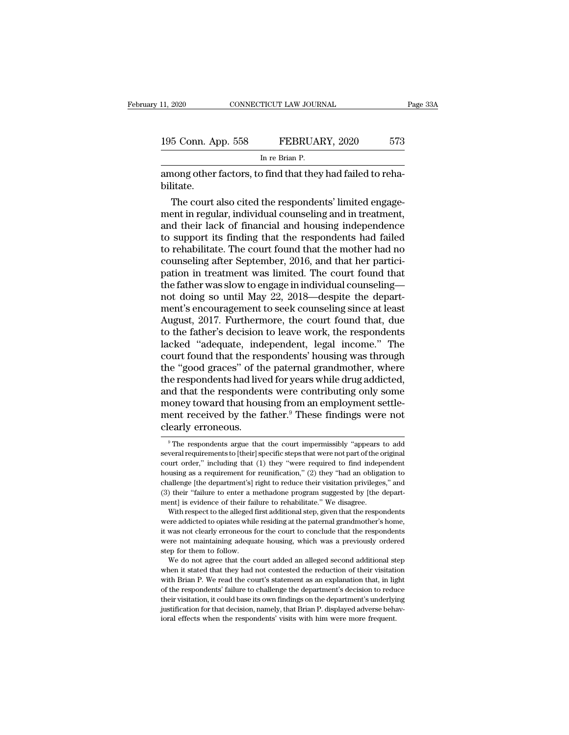| 11, 2020           | CONNECTICUT LAW JOURNAL                                    | Page 33A |
|--------------------|------------------------------------------------------------|----------|
|                    |                                                            |          |
| 195 Conn. App. 558 | FEBRUARY, 2020                                             | 573      |
|                    | In re Brian P.                                             |          |
|                    | among other factors, to find that they had failed to reha- |          |

among other factors, to find that they had failed to reha-<br>bilitate. bilitate.

5 Conn. App. 558 FEBRUARY, 2020 573<br>
In re Brian P.<br>
nong other factors, to find that they had failed to reha-<br>
litate.<br>
The court also cited the respondents' limited engage-<br>
ent in regular, individual counseling and in t 195 Conn. App. 558 FEBRUARY, 2020 573<br>
In re Brian P.<br>
among other factors, to find that they had failed to reha-<br>
bilitate.<br>
The court also cited the respondents' limited engage-<br>
ment in regular, individual counseling an In re Brian P.<br>
among other factors, to find that they had failed to reha-<br>
bilitate.<br>
The court also cited the respondents' limited engage-<br>
ment in regular, individual counseling and in treatment,<br>
and their lack of fina mong other factors, to find that they had failed to reha-<br>bilitate.<br>The court also cited the respondents' limited engage-<br>ment in regular, individual counseling and in treatment,<br>and their lack of financial and housing ind among other factors, to find that they had failed to reha-<br>bilitate.<br>The court also cited the respondents' limited engage-<br>ment in regular, individual counseling and in treatment,<br>and their lack of financial and housing in bilitate.<br>The court also cited the respondents' limited engage-<br>ment in regular, individual counseling and in treatment,<br>and their lack of financial and housing independence<br>to support its finding that the respondents had The court also cited the respondents' limited engage-<br>ment in regular, individual counseling and in treatment,<br>and their lack of financial and housing independence<br>to support its finding that the respondents had failed<br>to ment in regular, individual counseling and in treatment,<br>and their lack of financial and housing independence<br>to support its finding that the respondents had failed<br>to rehabilitate. The court found that the mother had no<br>c and their lack of financial and housing independence<br>to support its finding that the respondents had failed<br>to rehabilitate. The court found that the mother had no<br>counseling after September, 2016, and that her partici-<br>pa to support its finding that the respondents had failed<br>to rehabilitate. The court found that the mother had no<br>counseling after September, 2016, and that her partici-<br>pation in treatment was limited. The court found that<br>t to rehabilitate. The court found that the mother had no<br>counseling after September, 2016, and that her partici-<br>pation in treatment was limited. The court found that<br>the father was slow to engage in individual counseling—<br> counseling after September, 2016, and that her partici-<br>pation in treatment was limited. The court found that<br>the father was slow to engage in individual counseling—<br>not doing so until May 22, 2018—despite the depart-<br>ment pation in treatment was limited. The court found that<br>the father was slow to engage in individual counseling—<br>not doing so until May 22, 2018—despite the depart-<br>ment's encouragement to seek counseling since at least<br>Augus the father was slow to engage in individual counseling—<br>not doing so until May 22, 2018—despite the depart-<br>ment's encouragement to seek counseling since at least<br>August, 2017. Furthermore, the court found that, due<br>to the not doing so until May 22, 2018—despite the depart-<br>ment's encouragement to seek counseling since at least<br>August, 2017. Furthermore, the court found that, due<br>to the father's decision to leave work, the respondents<br>lacked ment's encouragement to seek counseling since at least<br>August, 2017. Furthermore, the court found that, due<br>to the father's decision to leave work, the respondents<br>lacked "adequate, independent, legal income." The<br>court fo August, 2017. Furthermore, the court found that, due<br>to the father's decision to leave work, the respondents<br>lacked "adequate, independent, legal income." The<br>court found that the respondents' housing was through<br>the "good to the father's decision to leave work, the respondents<br>lacked "adequate, independent, legal income." The<br>court found that the respondents' housing was through<br>the "good graces" of the paternal grandmother, where<br>the respo lacked "adequate, independent, legal income." The<br>court found that the respondents' housing was through<br>the "good graces" of the paternal grandmother, where<br>the respondents had lived for years while drug addicted,<br>and that court found that the res<br>the "good graces" of th<br>the respondents had live<br>and that the responden<br>money toward that hous<br>ment received by the facerally erroneous. nd that the respondents were contributing only some<br>ioney toward that housing from an employment settle-<br>ent received by the father.<sup>9</sup> These findings were not<br>early erroneous.<br><sup>9</sup> The respondents argue that the court impe money toward that housing from an employment settlement received by the father.<sup>9</sup> These findings were not clearly erroneous.<br><sup>9</sup> The respondents argue that the court impermissibly "appears to add several requirements to [

ment received by the father.<sup>9</sup> These findings were not<br>clearly erroneous.<br>The respondents argue that the court impermissibly "appears to add<br>several requirements to [their] specific steps that were not part of the origina clearly erroneous.<br>
<sup>9</sup> The respondents argue that the court impermissibly "appears to add<br>
several requirements to [their] specific steps that were not part of the original<br>
court order," including that (1) they "were req Clearly errorieous.<br>
The respondents argue that the court impermissibly "appears to add<br>
several requirements to [their] specific steps that were not part of the original<br>
court order," including that (1) they "were requi <sup>9</sup> The respondents argue that the court impermissibly "appears to add several requirements to [their] specific steps that were not part of the original court order," including that (1) they "were required to find indepen several requirements to [their] specific steps that were not part of the occurt order," including that  $(1)$  they "were required to find independence of their failure to remification,"  $(2)$  they "had an obligated challen Furthermore, including that (1) they "were required to find independent using as a requirement for reunification," (2) they "had an obligation to allenge [the department's] right to reduce their visitation privileges," an bousing as a requirement for reunification," (2) they "had an obligation to challenge [the department's] right to reduce their visitation privileges," and (3) their "failure to enter a methadone program suggested by [the

it was not clearly error and the court in the court of the department's right to reduce their visitation privileges," and (3) their "failure to enter a methadone program suggested by [the department] is evidence of their f (3) their "failure to enter a methadone program suggested by [the department] is evidence of their failure to rehabilitate." We disagree.<br>With respect to the alleged first additional step, given that the respondents were ment] is evidence of their fail<br>with respect to the alleged if<br>were addicted to opiates while<br>it was not clearly erroneous if<br>were not maintaining adequate<br>step for them to follow.<br>We do not agree that the c With respect to the alleged first additional step, given that the respondents<br>ere addicted to opiates while residing at the paternal grandmother's home,<br>was not clearly erroneous for the court to conclude that the responde were addicted to opiates while residing at the paternal grandmother's home, it was not clearly erroneous for the court to conclude that the respondents were not maintaining adequate housing, which was a previously ordered

when the court's statement as an explanation of the court was not clearly erroneous for the court to conclude that the respondents were not maintaining adequate housing, which was a previously ordered step for them to foll For the respondents' failure to challenge the department's decision to reduce the respondents of the respondent of their visitation with Brian P. We read the court's statement as an explanation that, in light of the respon the form the matter is decised to the department of the department of the department is stated that they had not contested the reduction of their visitation with Brian P. We read the court's statement as an explanation tha We do not agree that the court added an alleged second additional step<br>when it stated that they had not contested the reduction of their visitation<br>with Brian P. We read the court's statement as an explanation that, in lig when it stated that they had not contested the reduction of their visitation in the respondents' failure to challenge the department's decision to reduction is the respondents' failure to challenge the department's decisio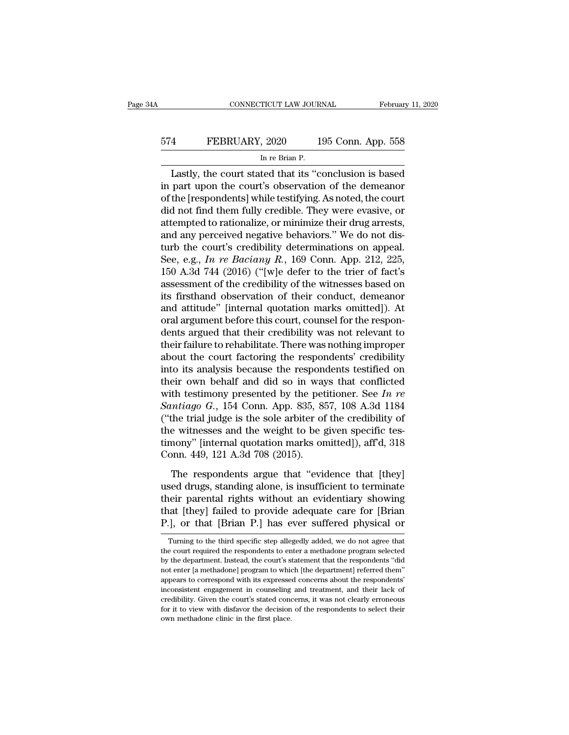## EXECUTE CONNECTICUT LAW JOURNAL February 11, 2020<br>574 FEBRUARY, 2020 195 Conn. App. 558<br>In re Brian P. TICUT LAW JOUR<br>, 2020 1<br>In re Brian P.<br>ted that its "c

CONNECTICUT LAW JOURNAL February 11, 2020<br>
4 FEBRUARY, 2020 195 Conn. App. 558<br>
In re Brian P.<br>
Lastly, the court stated that its "conclusion is based<br>
part upon the court's observation of the demeanor<br>
the [reconclusive] FEBRUARY, 2020 195 Conn. App. 558<br>
In re Brian P.<br>
Lastly, the court stated that its "conclusion is based<br>
in part upon the court's observation of the demeanor<br>
of the [respondents] while testifying. As noted, the court<br>
d 574 FEBRUARY, 2020 195 Conn. App. 558<br>
In re Brian P.<br>
Lastly, the court stated that its "conclusion is based<br>
in part upon the court's observation of the demeanor<br>
of the [respondents] while testifying. As noted, the cour FEBRUARY, 2020 195 Conn. App. 558<br>
In re Brian P.<br>
Lastly, the court stated that its "conclusion is based<br>
in part upon the court's observation of the demeanor<br>
of the [respondents] while testifying. As noted, the court<br>
d In re Brian P.<br>
In re Brian P.<br>
Lastly, the court stated that its "conclusion is based<br>
in part upon the court's observation of the demeanor<br>
of the [respondents] while testifying. As noted, the court<br>
did not find them fu Lastly, the court stated that its "conclusion is based<br>in part upon the court's observation of the demeanor<br>of the [respondents] while testifying. As noted, the court<br>did not find them fully credible. They were evasive, o Lastly, the court stated that its "conclusion is based<br>in part upon the court's observation of the demeanor<br>of the [respondents] while testifying. As noted, the court<br>did not find them fully credible. They were evasive, o in part upon the court's observation of the demeanor<br>of the [respondents] while testifying. As noted, the court<br>did not find them fully credible. They were evasive, or<br>attempted to rationalize, or minimize their drug arres of the [respondents] while testifying. As noted, the court<br>did not find them fully credible. They were evasive, or<br>attempted to rationalize, or minimize their drug arrests,<br>and any perceived negative behaviors." We do not did not find them fully credible. They were evasive, or<br>attempted to rationalize, or minimize their drug arrests,<br>and any perceived negative behaviors." We do not dis-<br>turb the court's credibility determinations on appeal attempted to rationalize, or minimize their drug arrests,<br>and any perceived negative behaviors." We do not dis-<br>turb the court's credibility determinations on appeal.<br>See, e.g., In re Baciany R., 169 Conn. App. 212, 225,<br>1 and any perceived negative behaviors." We do not dis-<br>turb the court's credibility determinations on appeal.<br>See, e.g., In re Baciany R., 169 Conn. App. 212, 225,<br>150 A.3d 744 (2016) ("[w]e defer to the trier of fact's<br>as turb the court's credibility determinations on appeal.<br>See, e.g., In re Baciany R., 169 Conn. App. 212, 225, 150 A.3d 744 (2016) ("[w]e defer to the trier of fact's assessment of the credibility of the witnesses based on See, e.g., In re Baciany R., 169 Conn. App. 212, 225, 150 A.3d 744 (2016) ("[w]e defer to the trier of fact's assessment of the credibility of the witnesses based on its firsthand observation of their conduct, demeanor an 150 A.3d 744 (2016) ("[w]e defer to the trier of fact's<br>assessment of the credibility of the witnesses based on<br>its firsthand observation of their conduct, demeanor<br>and attitude" [internal quotation marks omitted]). At<br>ora assessment of the credibility of the witnesses based on<br>its firsthand observation of their conduct, demeanor<br>and attitude" [internal quotation marks omitted]). At<br>oral argument before this court, counsel for the respon-<br>de its firsthand observation of their conduct, demeanor<br>and attitude" [internal quotation marks omitted]). At<br>oral argument before this court, counsel for the respon-<br>dents argued that their credibility was not relevant to<br>th and attitude" [internal quotation marks omitted]). At<br>oral argument before this court, counsel for the respon-<br>dents argued that their credibility was not relevant to<br>their failure to rehabilitate. There was nothing impro oral argument before this court, counsel for the respondents argued that their credibility was not relevant to their failure to rehabilitate. There was nothing improper about the court factoring the respondents' credibilit dents argued that their credibility was not relevant to<br>their failure to rehabilitate. There was nothing improper<br>about the court factoring the respondents' credibility<br>into its analysis because the respondents testified o their failure to rehabilitate. There was nothing improper<br>about the court factoring the respondents' credibility<br>into its analysis because the respondents testified on<br>their own behalf and did so in ways that conflicted<br>w about the court factoring the respondents' credibility<br>into its analysis because the respondents testified on<br>their own behalf and did so in ways that conflicted<br>with testimony presented by the petitioner. See In re<br>Santi into its analysis because the respondents testified on<br>their own behalf and did so in ways that conflicted<br>with testimony presented by the petitioner. See In re<br>Santiago G., 154 Conn. App. 835, 857, 108 A.3d 1184<br>("the tr their own behalf and did so in way<br>with testimony presented by the pet<br>Santiago G., 154 Conn. App. 835, 8!<br>("the trial judge is the sole arbiter of<br>the witnesses and the weight to be  $\beta$ <br>timony" [internal quotation marks *ntiago G.*, 154 Conn. App. 835, 857, 108 A.3d 1184<br>the trial judge is the sole arbiter of the credibility of<br>e witnesses and the weight to be given specific tes-<br>nony" [internal quotation marks omitted]), aff'd, 318<br>pnn. ("the trial judge is the sole arbiter of the credibility of<br>the witnesses and the weight to be given specific tes-<br>timony" [internal quotation marks omitted]), aff'd, 318<br>Conn. 449, 121 A.3d 708 (2015).<br>The respondents ar

the witnesses and the weight to be given specific tes-<br>timony" [internal quotation marks omitted]), aff'd, 318<br>Conn. 449, 121 A.3d 708 (2015).<br>The respondents argue that "evidence that [they]<br>used drugs, standing alone, i The main and the galacter proceed of the stringer<br>timony" [internal quotation marks omitted]), aff'd, 318<br>Conn. 449, 121 A.3d 708 (2015).<br>The respondents argue that "evidence that [they]<br>used drugs, standing alone, is insu France, 1912.1 A.3d 708 (2015).<br>
The respondents argue that "evidence that [they]<br>
used drugs, standing alone, is insufficient to terminate<br>
their parental rights without an evidentiary showing<br>
that [they] failed to provi sed arugs, standing alone, is insufficient to terminate<br>leir parental rights without an evidentiary showing<br>at [they] failed to provide adequate care for [Brian<br>], or that [Brian P.] has ever suffered physical or<br>Turning t their parental rights without an evidentiary showing<br>that [they] failed to provide adequate care for [Brian<br>P.], or that [Brian P.] has ever suffered physical or<br>Turning to the third specific step allegedly added, we do no

that [they] failed to provide adequate care for [Brian P.], or that [Brian P.] has ever suffered physical or Turning to the third specific step allegedly added, we do not agree that the court required the respondents to en P.], or that [Brian P.] has ever suffered physical or<br>Turning to the third specific step allegedly added, we do not agree that<br>the court required the respondents to enter a methadone program selected<br>by the department. Ins Turning to the third specific step allegedly added, we do not agree that the court required the respondents to enter a methadone program selected by the department. Instead, the court's statement that the respondents "did Turning to the third specific step allegedly added, we do not agree that<br>the court required the respondents to enter a methadone program selected<br>by the department. Instead, the court's statement that the respondents "did<br> Free court required the respondents to enter a methadone program selected<br>by the department. Instead, the court's statement that the respondents "did<br>not enter [a methadone] program to which [the department] referred them" by the department. Instead, the court's statement that the respondents "did not enter [a methadone] program to which [the department] referred them" appears to correspond with its expressed concerns about the respondents' not enter [a methadone] program to which [the department] referred them"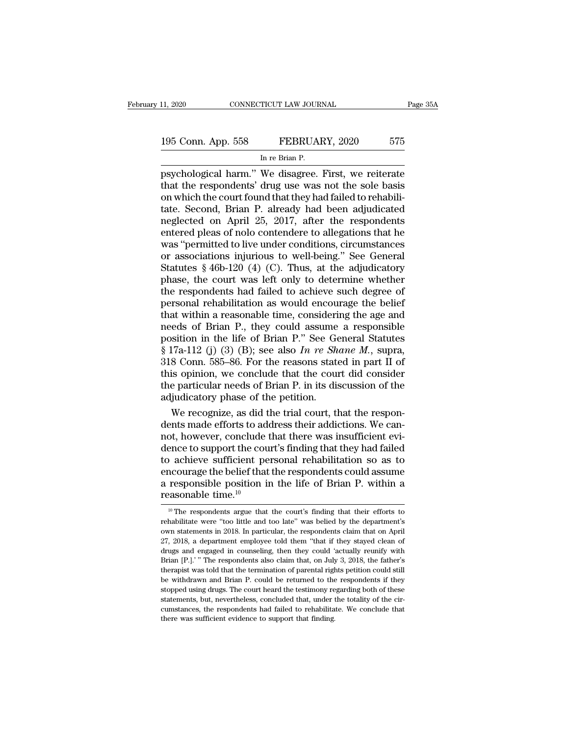## 11, 2020 CONNECTICUT LAW JOURNAL Page 35A<br>
195 Conn. App. 558 FEBRUARY, 2020 575<br>
In re Brian P. 11, 2020 CONNECTICUT LAW JOURNAL<br>
195 Conn. App. 558 FEBRUARY, 2020 575<br>
In re Brian P.<br>
psychological harm." We disagree. First, we reiterate

Page 35A<br>
195 Conn. App. 558 FEBRUARY, 2020 575<br>
In re Brian P.<br>
psychological harm.'' We disagree. First, we reiterate<br>
that the respondents' drug use was not the sole basis<br>
on which the court found that they had failed 195 Conn. App. 558 FEBRUARY, 2020 575<br>
In re Brian P.<br>
In re Brian P.<br>
psychological harm." We disagree. First, we reiterate<br>
that the respondents' drug use was not the sole basis<br>
on which the court found that they had fa 195 Conn. App. 558 FEBRUARY, 2020 575<br>
In re Brian P.<br>
psychological harm." We disagree. First, we reiterate<br>
that the respondents' drug use was not the sole basis<br>
on which the court found that they had failed to rehabili 195 Conn. App. 558 FEBRUARY, 2020 575<br>
In re Brian P.<br>
psychological harm." We disagree. First, we reiterate<br>
that the respondents' drug use was not the sole basis<br>
on which the court found that they had failed to rehabili  $\frac{1}{250 \text{ Coth. Fapp. 500}}$   $\frac{1}{250 \text{ C-th. Fapp. 500}}$ <br>
In re Brian P.<br>
psychological harm." We disagree. First, we reiterate<br>
that the respondents' drug use was not the sole basis<br>
on which the court found that they had faile In re Brian P.<br>
psychological harm." We disagree. First, we reiterate<br>
that the respondents' drug use was not the sole basis<br>
on which the court found that they had failed to rehabili-<br>
tate. Second, Brian P. already had b psychological harm." We disagree. First, we reiterate<br>that the respondents' drug use was not the sole basis<br>on which the court found that they had failed to rehabili-<br>tate. Second, Brian P. already had been adjudicated<br>neg that the respondents' drug use was not the sole basis<br>on which the court found that they had failed to rehabili-<br>tate. Second, Brian P. already had been adjudicated<br>neglected on April 25, 2017, after the respondents<br>enter on which the court found that they had failed to rehabilitate. Second, Brian P. already had been adjudicated neglected on April 25, 2017, after the respondents entered pleas of nolo contendere to allegations that he was "p tate. Second, Brian P. already had been adjudicated<br>neglected on April 25, 2017, after the respondents<br>entered pleas of nolo contendere to allegations that he<br>was "permitted to live under conditions, circumstances<br>or assoc neglected on April 25, 2017, after the respondents<br>entered pleas of nolo contendere to allegations that he<br>was "permitted to live under conditions, circumstances<br>or associations injurious to well-being." See General<br>Statut entered pleas of nolo contendere to allegations that he<br>was "permitted to live under conditions, circumstances<br>or associations injurious to well-being." See General<br>Statutes § 46b-120 (4) (C). Thus, at the adjudicatory<br>pha was "permitted to live under conditions, circumstances<br>or associations injurious to well-being." See General<br>Statutes § 46b-120 (4) (C). Thus, at the adjudicatory<br>phase, the court was left only to determine whether<br>the res or associations injurious to well-being." See General<br>Statutes § 46b-120 (4) (C). Thus, at the adjudicatory<br>phase, the court was left only to determine whether<br>the respondents had failed to achieve such degree of<br>personal Statutes § 46b-120 (4) (C). Thus, at the adjudicatory<br>phase, the court was left only to determine whether<br>the respondents had failed to achieve such degree of<br>personal rehabilitation as would encourage the belief<br>that wit phase, the court was left only to determine whether<br>the respondents had failed to achieve such degree of<br>personal rehabilitation as would encourage the belief<br>that within a reasonable time, considering the age and<br>needs of the respondents had failed to achieve such degree of<br>personal rehabilitation as would encourage the belief<br>that within a reasonable time, considering the age and<br>needs of Brian P., they could assume a responsible<br>position personal rehabilitation as would encourage the belief<br>that within a reasonable time, considering the age and<br>needs of Brian P., they could assume a responsible<br>position in the life of Brian P." See General Statutes<br> $\S 17a$ that within a reasonable time, considering the age and<br>needs of Brian P., they could assume a responsible<br>position in the life of Brian P." See General Statutes<br> $$ 17a-112$  (j) (3) (B); see also In re Shane M., supra,<br>318 meeds of Brian P., they could assume<br>position in the life of Brian P." See Ge<br>§ 17a-112 (j) (3) (B); see also In re Sh<br>318 Conn. 585–86. For the reasons state<br>this opinion, we conclude that the coul<br>the particular needs o sition in the life of Brian P." See General Statutes<br>17a-112 (j) (3) (B); see also In re Shane M., supra,<br>8 Conn. 585–86. For the reasons stated in part II of<br>is opinion, we conclude that the court did consider<br>e particul § 17a-112 (j) (3) (B); see also *In re Shane M*., supra, 318 Conn. 585–86. For the reasons stated in part II of this opinion, we conclude that the court did consider the particular needs of Brian P. in its discussion of t

318 Conn. 585–86. For the reasons stated in part II of<br>this opinion, we conclude that the court did consider<br>the particular needs of Brian P. in its discussion of the<br>adjudicatory phase of the petition.<br>We recognize, as di this opinion, we conclude that the court did consider<br>the particular needs of Brian P. in its discussion of the<br>adjudicatory phase of the petition.<br>We recognize, as did the trial court, that the respon-<br>dents made efforts the particular needs of Brian P. in its discussion of the<br>adjudicatory phase of the petition.<br>We recognize, as did the trial court, that the respon-<br>dents made efforts to address their addictions. We can-<br>not, however, con adjudicatory phase of the petition.<br>
We recognize, as did the trial court, that the respon-<br>
dents made efforts to address their addictions. We can-<br>
not, however, conclude that there was insufficient evi-<br>
dence to suppo We recognize, as did the trial court, that the respondents made efforts to address their addictions. We cannot, however, conclude that there was insufficient evidence to support the court's finding that they had failed to dents made efforts to ad<br>not, however, conclude<br>dence to support the cour<br>to achieve sufficient pe<br>encourage the belief that<br>a responsible position i<br>reasonable time.<sup>10</sup><br> $\frac{10}{10}$  The respondents argue that 10 achieve sufficient personal rehabilitation so as to<br>ncourage the belief that the respondents could assume<br>responsible position in the life of Brian P. within a<br>assonable time.<sup>10</sup><br><sup>10</sup> The respondents argue that the co encourage the belief that the respondents could assume<br>a responsible position in the life of Brian P. within a<br>reasonable time.<sup>10</sup><br><sup>10</sup> The respondents argue that the court's finding that their efforts to<br>rehabilitate we

a responsible position in the life of Brian P. within a reasonable time.<sup>10</sup><br>
<sup>10</sup> The respondents argue that the court's finding that their efforts to rehabilitate were "too little and too late" was belied by the departm **EXECUTE 127, 2018, a department employee told them ''that if they stayed clean of drugs and engaged in counseling, then they could 'actually reunify with**  $27$ **, 2018, a department employee told them "that if they stayed c** reasonable time.<br>
<sup>10</sup> The respondents argue that the court's finding that their efforts to<br>
rehabilitate were "too little and too late" was belied by the department's<br>
cown statements in 2018. In particular, the responde <sup>10</sup> The respondents argue that the court's finding that their efforts to rehabilitate were "too little and too late" was belied by the department's own statements in 2018. In particular, the respondents claim that on Apr realistic was to dittle and too late" was belied by the department's own statements in 2018. In particular, the respondents claim that on April 27, 2018, a department employee told them "that if they stayed clean of drugs be with statements in 2018. In particular, the respondents claim that on April 27, 2018, a department employee told them "that if they stayed clean of drugs and engaged in counseling, then they could 'actually reunify with 27, 2018, a department employee told them "that if they stayed clean of drugs and engaged in counseling, then they could 'actually reunify with Brian [P.].' "The respondents also claim that, on July 3, 2018, the father's t drugs and engaged in counseling, then they could 'actually reunify with Brian [P.].'" The respondents also claim that, on July 3, 2018, the father's therapist was told that the termination of parental rights petition coul Brian [P.].'" The respondents also claim that, on July 3, 2018, the father's therapist was told that the termination of parental rights petition could still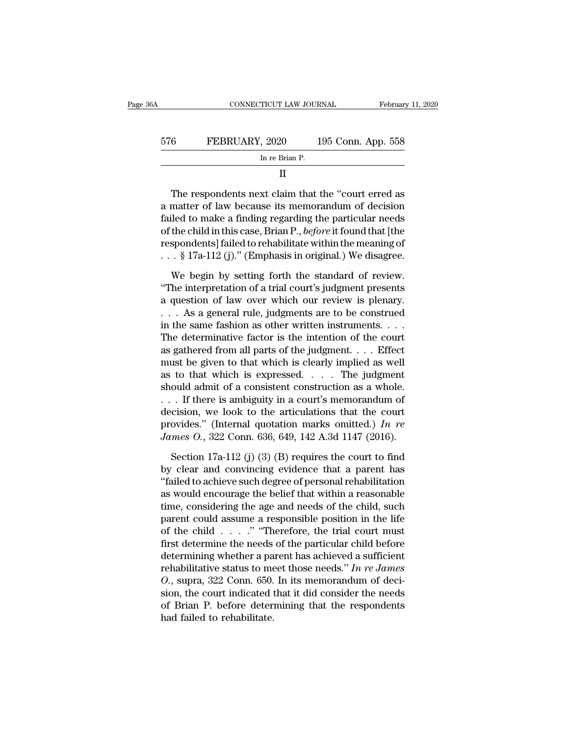|     | CONNECTICUT LAW JOURNAL                                                                                                                                               | February 11, 2020  |
|-----|-----------------------------------------------------------------------------------------------------------------------------------------------------------------------|--------------------|
|     |                                                                                                                                                                       |                    |
| 576 | FEBRUARY, 2020                                                                                                                                                        | 195 Conn. App. 558 |
|     | In re Brian P.                                                                                                                                                        |                    |
|     | Ш                                                                                                                                                                     |                    |
|     | The respondents next claim that the "court erred as<br>a matter of law because its memorandum of decision<br>failed to malye a finding regarding the particular peods |                    |

FEBRUARY, 2020 195 Conn. App. 558<br>
In re Brian P.<br>
II<br>
The respondents next claim that the "court erred as<br>
a matter of law because its memorandum of decision<br>
failed to make a finding regarding the particular needs<br>
of th FEBRUART, 2020 195 CONIT. App. 358<br>
In re Brian P.<br>
II<br>
The respondents next claim that the "court erred as<br>
a matter of law because its memorandum of decision<br>
failed to make a finding regarding the particular needs<br>
of t In re Brian P.<br>
II<br>
The respondents next claim that the "court erred as<br>
a matter of law because its memorandum of decision<br>
failed to make a finding regarding the particular needs<br>
of the child in this case, Brian P., *be* II<br>The respondents next claim that the "court erred as<br>a matter of law because its memorandum of decision<br>failed to make a finding regarding the particular needs<br>of the child in this case, Brian P., *before* it found that The respondents next claim that the "court erred as<br>a matter of law because its memorandum of decision<br>failed to make a finding regarding the particular needs<br>of the child in this case, Brian P., *before* it found that [t matter of law because its memorandum of decision<br>led to make a finding regarding the particular needs<br>the child in this case, Brian P., *before* it found that [the<br>spondents] failed to rehabilitate within the meaning of<br>failed to make a finding regarding the particular needs<br>
of the child in this case, Brian P., *before* it found that [the<br>
respondents] failed to rehabilitate within the meaning of<br>  $\ldots$  § 17a-112 (j)." (Emphasis in orig

of the child in this case, Brian P., *before* it found that [the<br>respondents] failed to rehabilitate within the meaning of<br> $\ldots$  § 17a-112 (j)." (Emphasis in original.) We disagree.<br>We begin by setting forth the standard respondents] failed to rehabilitate within the meaning of<br>
. . . § 17a-112 (j)." (Emphasis in original.) We disagree.<br>
We begin by setting forth the standard of review.<br>
"The interpretation of a trial court's judgment pre  $\frac{1}{8}$  17a-112 (j)." (Emphasis in original.) We disagree.<br>We begin by setting forth the standard of review.<br>"The interpretation of a trial court's judgment presents<br>a question of law over which our review is plenary.<br>. We begin by setting forth the standard of review.<br>
"The interpretation of a trial court's judgment presents<br>
a question of law over which our review is plenary.<br>  $\ldots$  As a general rule, judgments are to be construed<br>
in We begin by setting forth the standard of review.<br>
"The interpretation of a trial court's judgment presents<br>
a question of law over which our review is plenary.<br>  $\ldots$  As a general rule, judgments are to be construed<br>
in "The interpretation of a trial court's judgment presents<br>a question of law over which our review is plenary.<br>... As a general rule, judgments are to be construed<br>in the same fashion as other written instruments....<br>The de a question of law over which our review is plenary.<br>
... As a general rule, judgments are to be construed<br>
in the same fashion as other written instruments....<br>
The determinative factor is the intention of the court<br>
as g shows a seniar multimeter in the same fashion as other written instruments. . . . The determinative factor is the intention of the court as gathered from all parts of the judgment. . . . Effect must be given to that which in the same fashion as other written instruments....<br>The determinative factor is the intention of the court<br>as gathered from all parts of the judgment.... Effect<br>must be given to that which is clearly implied as well<br>as t The determinative factor is the intention of the court<br>as gathered from all parts of the judgment.... Effect<br>must be given to that which is clearly implied as well<br>as to that which is expressed.... The judgment<br>should adm as gathered from all parts of the judgment.... Effect<br>must be given to that which is clearly implied as well<br>as to that which is expressed.... The judgment<br>should admit of a consistent construction as a whole.<br>... If ther must be given to that which is clearly implied as well<br>as to that which is expressed. . . . The judgment<br>should admit of a consistent construction as a whole.<br>. . . If there is ambiguity in a court's memorandum of<br>decision ould admit of a consistent construction as a whole.<br>
If there is ambiguity in a court's memorandum of<br>
ccision, we look to the articulations that the court<br>
ovides." (Internal quotation marks omitted.) In re<br> *mes* O., 32 by clear and convirting that the court<br>decision, we look to the articulations that the court<br>provides." (Internal quotation marks omitted.) In re<br>James O., 322 Conn. 636, 649, 142 A.3d 1147 (2016).<br>Section 17a-112 (j) (3)

decision, we look to the articulations that the court<br>provides." (Internal quotation marks omitted.) In re<br>James O., 322 Conn. 636, 649, 142 A.3d 1147 (2016).<br>Section 17a-112 (j) (3) (B) requires the court to find<br>by clea provides." (Internal quotation marks omitted.) *In re*<br>*James O.*, 322 Conn. 636, 649, 142 A.3d 1147 (2016).<br>Section 17a-112 (j) (3) (B) requires the court to find<br>by clear and convincing evidence that a parent has<br>"faile James O., 322 Conn. 636, 649, 142 A.3d 1147 (2016).<br>
Section 17a-112 (j) (3) (B) requires the court to find<br>
by clear and convincing evidence that a parent has<br>
"failed to achieve such degree of personal rehabilitation<br>
a Section 17a-112 (j) (3) (B) requires the court to find<br>by clear and convincing evidence that a parent has<br>"failed to achieve such degree of personal rehabilitation<br>as would encourage the belief that within a reasonable<br>ti Section 17a-112 (j) (3) (B) requires the court to find<br>by clear and convincing evidence that a parent has<br>"failed to achieve such degree of personal rehabilitation<br>as would encourage the belief that within a reasonable<br>ti by clear and convincing evidence that a parent has<br>
"failed to achieve such degree of personal rehabilitation<br>
as would encourage the belief that within a reasonable<br>
time, considering the age and needs of the child, such "failed to achieve such degree of personal rehabilitation<br>as would encourage the belief that within a reasonable<br>time, considering the age and needs of the child, such<br>parent could assume a responsible position in the lif as would encourage the belief that within a reasonable<br>time, considering the age and needs of the child, such<br>parent could assume a responsible position in the life<br>of the child  $\ldots$ .'' "Therefore, the trial court must<br>f time, considering the age and needs of the child, such parent could assume a responsible position in the life of the child  $\ldots$  ..." "Therefore, the trial court must first determine the needs of the particular child befo parent could assume a responsible position in the life<br>of the child . . . . ." "Therefore, the trial court must<br>first determine the needs of the particular child before<br>determining whether a parent has achieved a sufficie of the child  $\ldots$ ." "Therefore, the trial court must<br>first determine the needs of the particular child before<br>determining whether a parent has achieved a sufficient<br>rehabilitative status to meet those needs." In re James first determine the needs<br>determining whether a pa<br>rehabilitative status to me<br>*O*., supra, 322 Conn. 650.<br>sion, the court indicated t<br>of Brian P. before deter.<br>had failed to rehabilitate.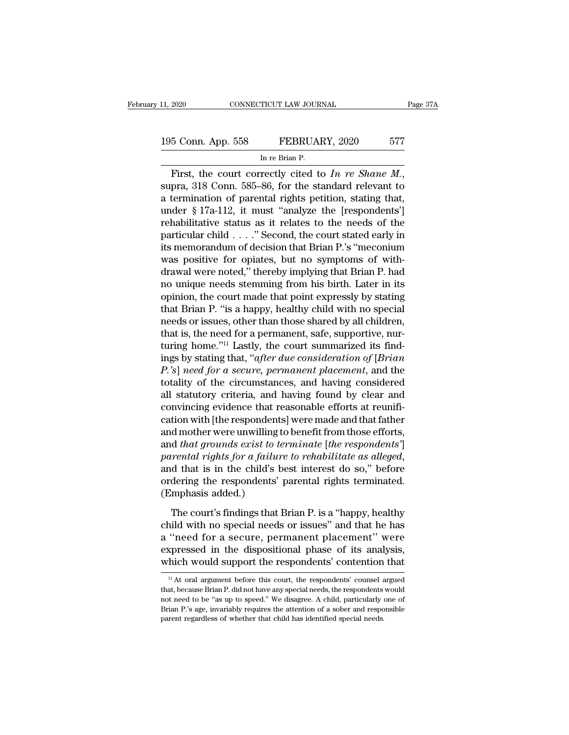## 11, 2020 CONNECTICUT LAW JOURNAL Page 37A<br>195 Conn. App. 558 FEBRUARY, 2020 577<br>In re Brian P. TICUT LAW JOUR<br>FEBRUAl<br>In re Brian P.<br>rectly\_cited\_to

FIRST, 2020 CONNECTICUT LAW JOURNAL Page 37A<br>
195 Conn. App. 558 FEBRUARY, 2020 577<br>
In re Brian P.<br>
First, the court correctly cited to *In re Shane M.*,<br>
supra, 318 Conn. 585–86, for the standard relevant to<br>
a terminati 195 Conn. App. 558 FEBRUARY, 2020 577<br>
In re Brian P.<br>
First, the court correctly cited to *In re Shane M*.,<br>
supra, 318 Conn. 585–86, for the standard relevant to<br>
a termination of parental rights petition, stating that, 195 Conn. App. 558 FEBRUARY, 2020 577<br>
In re Brian P.<br>
First, the court correctly cited to *In re Shane M*.,<br>
supra, 318 Conn. 585–86, for the standard relevant to<br>
a termination of parental rights petition, stating that, First, the court correctly cited to *In re Shane M*.,<br>supra, 318 Conn. 585–86, for the standard relevant to<br>a termination of parental rights petition, stating that,<br>under § 17a-112, it must "analyze the [respondents']<br>reh First, the court correctly cited to *In re Shane M*,<br>supra, 318 Conn. 585–86, for the standard relevant to<br>a termination of parental rights petition, stating that,<br>under § 17a-112, it must "analyze the [respondents']<br>reha First, the court correctly cited to *In re Shane M*.,<br>supra, 318 Conn. 585–86, for the standard relevant to<br>a termination of parental rights petition, stating that,<br>under § 17a-112, it must "analyze the [respondents']<br>reh supra, 318 Conn. 585–86, for the standard relevant to<br>a termination of parental rights petition, stating that,<br>under § 17a-112, it must "analyze the [respondents']<br>rehabilitative status as it relates to the needs of the<br>p a termination of parental rights petition, stating that,<br>under § 17a-112, it must "analyze the [respondents']<br>rehabilitative status as it relates to the needs of the<br>particular child . . . . " Second, the court stated earl under § 17a-112, it must "analyze the [respondents']<br>rehabilitative status as it relates to the needs of the<br>particular child . . . . . " Second, the court stated early in<br>its memorandum of decision that Brian P.'s "mecon rehabilitative status as it relates to the needs of the particular child . . . ." Second, the court stated early in its memorandum of decision that Brian P.'s "meconium was positive for opiates, but no symptoms of with-dr particular child . . . . " Second, the court stated early in<br>its memorandum of decision that Brian P.'s "meconium<br>was positive for opiates, but no symptoms of with-<br>drawal were noted," thereby implying that Brian P. had<br>no its memorandum of decision that Brian P.'s "meconium<br>was positive for opiates, but no symptoms of with-<br>drawal were noted," thereby implying that Brian P. had<br>no unique needs stemming from his birth. Later in its<br>opinion, was positive for opiates, but no symptoms of with-<br>drawal were noted," thereby implying that Brian P. had<br>no unique needs stemming from his birth. Later in its<br>opinion, the court made that point expressly by stating<br>that drawal were noted," thereby implying that Brian P. had<br>no unique needs stemming from his birth. Later in its<br>opinion, the court made that point expressly by stating<br>that Brian P. "is a happy, healthy child with no special no unique needs stemming from his birth. Later in its<br>opinion, the court made that point expressly by stating<br>that Brian P. "is a happy, healthy child with no special<br>needs or issues, other than those shared by all childre opinion, the court made that point expressly by stating<br>that Brian P. "is a happy, healthy child with no special<br>needs or issues, other than those shared by all children,<br>that is, the need for a permanent, safe, supportive that Brian P. "is a happy, healthy child with no special<br>needs or issues, other than those shared by all children,<br>that is, the need for a permanent, safe, supportive, nur-<br>turing home."<sup>11</sup> Lastly, the court summarized it needs or issues, other than those shared by all children,<br>that is, the need for a permanent, safe, supportive, nur-<br>turing home."<sup>11</sup> Lastly, the court summarized its find-<br>ings by stating that, "*after due consideration o* that is, the need for a permanent, safe, supportive, nurturing home."<sup>11</sup> Lastly, the court summarized its findings by stating that, "*after due consideration of [Brian P*.'s] *need for a secure, permanent placement*, and turing home."<sup>11</sup> Lastly, the court summarized its find-<br>ings by stating that, "*after due consideration of [Brian*<br>*P*.'s] *need for a secure, permanent placement*, and the<br>totality of the circumstances, and having consid ings by stating that, "*after due consideration of [Brian*<br>*P*.'s] need for a secure, permanent placement, and the<br>totality of the circumstances, and having considered<br>all statutory criteria, and having found by clear and<br> *P.'s*] need for a secure, permanent placement, and the totality of the circumstances, and having considered all statutory criteria, and having found by clear and convincing evidence that reasonable efforts at reunificatio totality of the circumstances, and having considered<br>all statutory criteria, and having found by clear and<br>convincing evidence that reasonable efforts at reunifi-<br>cation with [the respondents] were made and that father<br>and convincing evidence that reasonable efforts at reunification with [the respondents] were made and that father and mother were unwilling to benefit from those efforts, and that grounds exist to terminate [the respondents'] cation with [the respondent<br>and mother were unwilling]<br>and *that grounds exist to to<br>parental rights for a failun*<br>and that is in the child's l<br>ordering the respondents'<br>(Emphasis added.)<br>The court's findings that d *that grounds exist to terminate [the respondents']*<br>
rental rights for a failure to rehabilitate as alleged,<br>
d that is in the child's best interest do so," before<br>
dering the respondents' parental rights terminated.<br>
m parental rights for a failure to rehabilitate as alleged,<br>and that is in the child's best interest do so," before<br>ordering the respondents' parental rights terminated.<br>(Emphasis added.)<br>The court's findings that Brian P. i

and that is in the child's best interest do so," before<br>ordering the respondents' parental rights terminated.<br>(Emphasis added.)<br>The court's findings that Brian P. is a "happy, healthy<br>child with no special needs or issues" ordering the respondents' parental rights terminated.<br>
(Emphasis added.)<br>
The court's findings that Brian P. is a "happy, healthy<br>
child with no special needs or issues" and that he has<br>
a "need for a secure, permanent pla (Emphasis added.)<br>The court's findings that Brian P. is a "happy, healthy<br>child with no special needs or issues" and that he has<br>a "need for a secure, permanent placement" were<br>expressed in the dispositional phase of its <sup>11</sup> intervalse or issues and that he has<br>  $\lq$  intervalsed in the dispositional phase of its analysis,<br>
thich would support the respondents' contention that<br>  $\lq$   $\lq$   $\lq$   $\lq$   $\lq$   $\lq$   $\lq$   $\lq$   $\lq$   $\lq$  a "need for a secure, permanent placement" were<br>expressed in the dispositional phase of its analysis,<br>which would support the respondents' contention that<br> $\frac{11}{11}$  At oral argument before this court, the respondents' c

expressed in the dispositional phase of its analysis,<br>which would support the respondents' contention that<br> $\frac{11}{11}$  At oral argument before this court, the respondents' counsel argued<br>that, because Brian P. did not hav which would support the respondents' contention that  $\frac{1}{11}$  At oral argument before this court, the respondents' counsel argued that, because Brian P. did not have any special needs, the respondents would not need to  $\rm ^{11}$  At oral argument before this court, the respondents' counsel argued that, because Brian P. did not have any special needs, the respondents would not need to be "as up to speed." We disagree. A child, particularl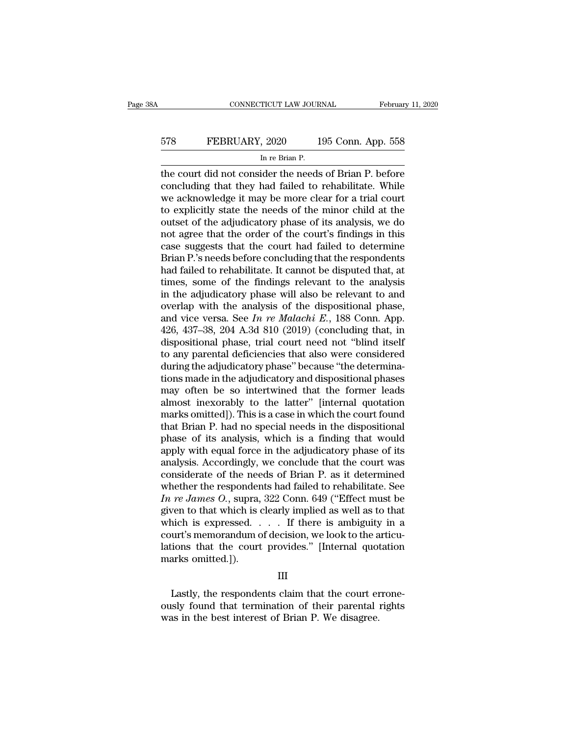## EXECUTE CONNECTICUT LAW JOURNAL February 11, 2020<br>578 FEBRUARY, 2020 195 Conn. App. 558<br>In re Brian P. TICUT LAW JOUR<br>, 2020 1<br>In re Brian P.<br>ider the needs

CONNECTICUT LAW JOURNAL February 11, 2020<br>
FEBRUARY, 2020 195 Conn. App. 558<br>
In re Brian P.<br>
the court did not consider the needs of Brian P. before<br>
concluding that they had failed to rehabilitate. While<br>
we ask assumed EXECUARY, 2020 195 Conn. App. 558<br>
In re Brian P.<br>
the court did not consider the needs of Brian P. before<br>
concluding that they had failed to rehabilitate. While<br>
we acknowledge it may be more clear for a trial court<br>
to EXEMBERUARY, 2020 195 Conn. App. 558<br>
In re Brian P.<br>
the court did not consider the needs of Brian P. before<br>
concluding that they had failed to rehabilitate. While<br>
we acknowledge it may be more clear for a trial court<br> FEBRUARY, 2020 195 Conn. App. 558<br>
In re Brian P.<br>
the court did not consider the needs of Brian P. before<br>
concluding that they had failed to rehabilitate. While<br>
we acknowledge it may be more clear for a trial court<br>
to INTERTATE THE COLUMBERT THE CONSTRUCT THE ADDED TO SET THE REAL THE COULD THE BRIDGE CONCLUDING that they had failed to rehabilitate. While we acknowledge it may be more clear for a trial court to explicitly state the need Im re Brian P.<br>
the court did not consider the needs of Brian P. before<br>
concluding that they had failed to rehabilitate. While<br>
we acknowledge it may be more clear for a trial court<br>
to explicitly state the needs of the m the court did not consider the needs of Brian P. before<br>concluding that they had failed to rehabilitate. While<br>we acknowledge it may be more clear for a trial court<br>to explicitly state the needs of the minor child at the<br>o concluding that they had failed to rehabilitate. While<br>we acknowledge it may be more clear for a trial court<br>to explicitly state the needs of the minor child at the<br>outset of the adjudicatory phase of its analysis, we do<br>n we acknowledge it may be more clear for a trial court<br>to explicitly state the needs of the minor child at the<br>outset of the adjudicatory phase of its analysis, we do<br>not agree that the order of the court's findings in this to explicitly state the needs of the minor child at the<br>outset of the adjudicatory phase of its analysis, we do<br>not agree that the order of the court's findings in this<br>case suggests that the court had failed to determine<br> outset of the adjudicatory phase of its analysis, we do<br>not agree that the order of the court's findings in this<br>case suggests that the court had failed to determine<br>Brian P.'s needs before concluding that the respondents not agree that the order of the court's findings in this<br>case suggests that the court had failed to determine<br>Brian P.'s needs before concluding that the respondents<br>had failed to rehabilitate. It cannot be disputed that, case suggests that the court had failed to determine<br>Brian P.'s needs before concluding that the respondents<br>had failed to rehabilitate. It cannot be disputed that, at<br>times, some of the findings relevant to the analysis<br>i Brian P.'s needs before concluding that the respondents<br>had failed to rehabilitate. It cannot be disputed that, at<br>times, some of the findings relevant to the analysis<br>in the adjudicatory phase will also be relevant to an had failed to rehabilitate. It cannot be disputed that, at times, some of the findings relevant to the analysis in the adjudicatory phase will also be relevant to and overlap with the analysis of the dispositional phase, times, some of the findings relevant to the analysis<br>in the adjudicatory phase will also be relevant to and<br>overlap with the analysis of the dispositional phase,<br>and vice versa. See  $In$   $re$   $Malachi E.,$  188 Conn. App.<br>426, 437– in the adjudicatory phase will also be relevant to and<br>overlap with the analysis of the dispositional phase,<br>and vice versa. See In re Malachi E., 188 Conn. App.<br>426, 437–38, 204 A.3d 810 (2019) (concluding that, in<br>dispo overlap with the analysis of the dispositional phase,<br>and vice versa. See *In re Malachi E.*, 188 Conn. App.<br>426, 437–38, 204 A.3d 810 (2019) (concluding that, in<br>dispositional phase, trial court need not "blind itself<br>to and vice versa. See *In re Malachi E.*, 188 Conn. App.<br>426, 437–38, 204 A.3d 810 (2019) (concluding that, in<br>dispositional phase, trial court need not "blind itself<br>to any parental deficiencies that also were considered<br>d 426, 437–38, 204 A.3d 810 (2019) (concluding that, in<br>dispositional phase, trial court need not "blind itself<br>to any parental deficiencies that also were considered<br>during the adjudicatory phase" because "the determina-<br>ti dispositional phase, trial court need not "blind itself<br>to any parental deficiencies that also were considered<br>during the adjudicatory phase" because "the determina-<br>tions made in the adjudicatory and dispositional phases<br> to any parental deficiencies that also were considered<br>during the adjudicatory phase" because "the determina-<br>tions made in the adjudicatory and dispositional phases<br>may often be so intertwined that the former leads<br>almost during the adjudicatory phase" because "the determinations made in the adjudicatory and dispositional phases<br>may often be so intertwined that the former leads<br>almost inexorably to the latter" [internal quotation<br>marks omit tions made in the adjudicatory and dispositional phases<br>may often be so intertwined that the former leads<br>almost inexorably to the latter" [internal quotation<br>marks omitted]). This is a case in which the court found<br>that B may often be so intertwined that the former leads<br>almost inexorably to the latter" [internal quotation<br>marks omitted]). This is a case in which the court found<br>that Brian P. had no special needs in the dispositional<br>phase almost inexorably to the latter" [internal quotation<br>marks omitted]). This is a case in which the court found<br>that Brian P. had no special needs in the dispositional<br>phase of its analysis, which is a finding that would<br>ap marks omitted]). This is a case in which the court found<br>that Brian P. had no special needs in the dispositional<br>phase of its analysis, which is a finding that would<br>apply with equal force in the adjudicatory phase of its<br> that Brian P. had no special needs in the dispositional<br>phase of its analysis, which is a finding that would<br>apply with equal force in the adjudicatory phase of its<br>analysis. Accordingly, we conclude that the court was<br>con phase of its analysis, which is a finding that would<br>apply with equal force in the adjudicatory phase of its<br>analysis. Accordingly, we conclude that the court was<br>considerate of the needs of Brian P. as it determined<br>whet apply with equal force in the adjudicatory phase of its<br>analysis. Accordingly, we conclude that the court was<br>considerate of the needs of Brian P. as it determined<br>whether the respondents had failed to rehabilitate. See<br>analysis. Accordingly, we conclude that the court was<br>considerate of the needs of Brian P. as it determined<br>whether the respondents had failed to rehabilitate. See<br>In re James O., supra, 322 Conn. 649 ("Effect must be<br>giv considerate of the needs of Brian P. as it determined<br>whether the respondents had failed to rehabilitate. See<br> $In re James O., supra, 322 Conn. 649 ("Effect must be  
given to that which is clearly implied as well as to that  
which is expressed. . . . If there is ambiguity in a  
court's memorandum of decision, we look to the articu-  
lations that the court provides." [Internal quotation  
marks omitted.]).$ whether the responder<br>  $In re James O., supra,$ <br>
given to that which is a<br>
which is expressed.<br>
court's memorandum c<br>
lations that the court<br>
marks omitted.]). incometrial is expressed. . . . . If there is ambiguity in a uurt's memorandum of decision, we look to the articutions that the court provides." [Internal quotation arks omitted.]).<br>III<br>Lastly, the respondents claim that t court's memorandum of decision, we look to the articulations that the court provides." [Internal quotation marks omitted.]).<br>
III<br>
Lastly, the respondents claim that the court errone-<br>
ously found that termination of their

### III

Mations that the court provides." [Internal quot marks omitted.]).<br>
III<br>
Lastly, the respondents claim that the court er<br>
ously found that termination of their parental<br>
was in the best interest of Brian P. We disagree.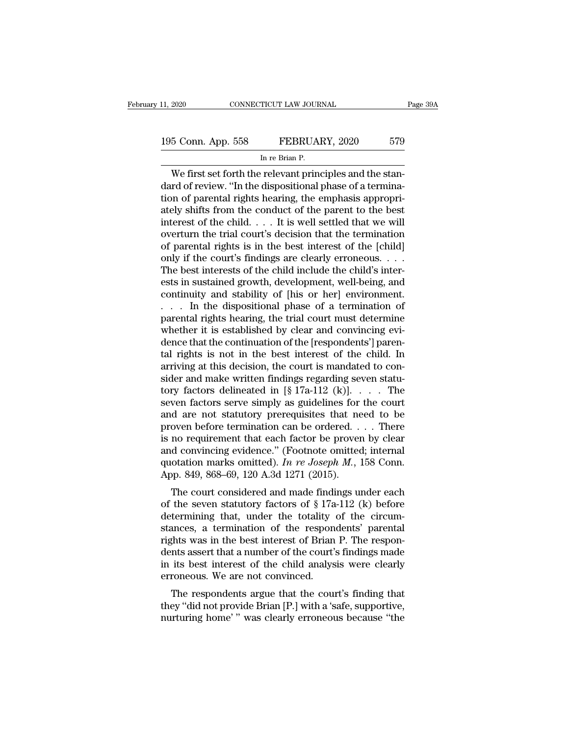CONNECTICUT LAW JOURNAL<br>
5 Conn. App. 558 FEBRUARY, 2020 579<br>
In re Brian P.<br>
We first set forth the relevant principles and the stan-<br>
The relevant principles and the stan-<br>
The dispositional phase of a terminal<br>
The of p 195 Conn. App. 558 FEBRUARY, 2020 579<br>
In re Brian P.<br>
We first set forth the relevant principles and the stan-<br>
dard of review. "In the dispositional phase of a termina-<br>
tion of parental rights hearing, the emphasis appr 195 Conn. App. 558 FEBRUARY, 2020 579<br>
In re Brian P.<br>
We first set forth the relevant principles and the standard of review. "In the dispositional phase of a termination of parental rights hearing, the emphasis appropri-<br> 195 Conn. App. 558 FEBRUARY, 2020 579<br>
In re Brian P.<br>
We first set forth the relevant principles and the stan-<br>
dard of review. "In the dispositional phase of a termina-<br>
tion of parental rights hearing, the emphasis app In re Brian P.<br>In re Brian P.<br>We first set forth the relevant principles and the stan-<br>dard of review. "In the dispositional phase of a termina-<br>tion of parental rights hearing, the emphasis appropri-<br>ately shifts from the In re Brian P.<br>We first set forth the relevant principles and the stan-<br>dard of review. "In the dispositional phase of a termina-<br>tion of parental rights hearing, the emphasis appropri-<br>ately shifts from the conduct of th We first set forth the relevant principles and the stan-<br>dard of review. "In the dispositional phase of a termina-<br>tion of parental rights hearing, the emphasis appropri-<br>ately shifts from the conduct of the parent to the dard of review. "In the dispositional phase of a termination of parental rights hearing, the emphasis appropriately shifts from the conduct of the parent to the best interest of the child. . . . It is well settled that we tion of parental rights hearing, the emphasis appropriately shifts from the conduct of the parent to the best interest of the child  $\ldots$ . It is well settled that we will overturn the trial court's decision that the termi ately shifts from the conduct of the parent to the best<br>interest of the child. . . . It is well settled that we will<br>overturn the trial court's decision that the termination<br>of parental rights is in the best interest of t interest of the child. . . . It is well settled that we will<br>overturn the trial court's decision that the termination<br>of parental rights is in the best interest of the [child]<br>only if the court's findings are clearly erron overturn the trial court's decision that the termination<br>of parental rights is in the best interest of the [child]<br>only if the court's findings are clearly erroneous. . . .<br>The best interests of the child include the child of parental rights is in the best interest of the [child]<br>
only if the court's findings are clearly erroneous. . . .<br>
The best interests of the child include the child's inter-<br>
ests in sustained growth, development, well only if the court's findings are clearly erroneous.  $\dots$ <br>The best interests of the child include the child's interests in sustained growth, development, well-being, and<br>continuity and stability of [his or her] environment The best interests of the child include the child's interests in sustained growth, development, well-being, and continuity and stability of [his or her] environment.<br>
. . . In the dispositional phase of a termination of pa ests in sustained growth, development, well-being, and<br>continuity and stability of [his or her] environment.<br>. . . . In the dispositional phase of a termination of<br>parental rights hearing, the trial court must determine<br>wh continuity and stability of [his or her] environment.<br>
. . . . In the dispositional phase of a termination of<br>
parental rights hearing, the trial court must determine<br>
whether it is established by clear and convincing evi ... In the dispositional phase of a termination of parental rights hearing, the trial court must determine whether it is established by clear and convincing evidence that the continuation of the [respondents'] parental ri parental rights hearing, the trial court must determine<br>whether it is established by clear and convincing evi-<br>dence that the continuation of the [respondents'] paren-<br>tal rights is not in the best interest of the child. whether it is established by clear and convincing evi-<br>dence that the continuation of the [respondents'] parental rights is not in the best interest of the child. In<br>arriving at this decision, the court is mandated to con dence that the continuation of the [respondents'] parental rights is not in the best interest of the child. In arriving at this decision, the court is mandated to consider and make written findings regarding seven statuto tal rights is not in the best interest of the child. In<br>arriving at this decision, the court is mandated to con-<br>sider and make written findings regarding seven statu-<br>tory factors delineated in [§ 17a-112 (k)].  $\ldots$ . Th arriving at this decision, the court is mandated to consider and make written findings regarding seven statu-<br>tory factors delineated in [§ 17a-112 (k)]. . . . The<br>seven factors serve simply as guidelines for the court<br>an sider and make written findings regarding seven statu-<br>tory factors delineated in [§ 17a-112 (k)]. . . . The<br>seven factors serve simply as guidelines for the court<br>and are not statutory prerequisites that need to be<br>prove tory factors delineated in  $[\S 17a-112 (k)]$ .  $\ldots$  The seven factors serve simply as guidelines for the court and are not statutory prerequisites that need to be proven before termination can be ordered.  $\ldots$  There is no seven factors serve simply as guidelines for<br>and are not statutory prerequisites that ne<br>proven before termination can be ordered. .<br>is no requirement that each factor be prover<br>and convincing evidence." (Footnote omitted a are not statutory prerequisities that heed to be<br>oven before termination can be ordered.... There<br>no requirement that each factor be proven by clear<br>d convincing evidence." (Footnote omitted; internal<br>otation marks omit proven before termination can be ordered. . . . . There<br>is no requirement that each factor be proven by clear<br>and convincing evidence." (Footnote omitted; internal<br>quotation marks omitted). *In re Joseph M*., 158 Conn.<br>Ap

is no requirement that each ractor be proven by clear<br>and convincing evidence." (Footnote omitted; internal<br>quotation marks omitted). In re Joseph M., 158 Conn.<br>App. 849, 868–69, 120 A.3d 1271 (2015).<br>The court considered and convincing evidence. (Footnote onlitted, internation marks omitted). *In re Joseph M.*, 158 Conn.<br>App. 849, 868–69, 120 A.3d 1271 (2015).<br>The court considered and made findings under each<br>of the seven statutory factor quotation makes onlitted). *In re Joseph M.*, 158 Coluit.<br>App. 849, 868–69, 120 A.3d 1271 (2015).<br>The court considered and made findings under each<br>of the seven statutory factors of § 17a-112 (k) before<br>determining that, The court considered and made findings under each<br>of the seven statutory factors of  $\S 17a-112$  (k) before<br>determining that, under the totality of the circum-<br>stances, a termination of the respondents' parental<br>rights was The court considered and made findings under each<br>of the seven statutory factors of  $\S 17a-112$  (k) before<br>determining that, under the totality of the circum-<br>stances, a termination of the respondents' parental<br>rights was % of the seven statutory factors of  $\S 17a$ <br>determining that, under the totality<br>stances, a termination of the respon<br>rights was in the best interest of Brian<br>dents assert that a number of the court';<br>in its best interest ternumig that, under the totality of the circum-<br>ances, a termination of the respondents' parental<br>ghts was in the best interest of Brian P. The respon-<br>nts assert that a number of the court's findings made<br>its best intere stances, a termination of the respondents parental<br>rights was in the best interest of Brian P. The respon-<br>dents assert that a number of the court's findings made<br>in its best interest of the child analysis were clearly<br>err ngitis was in the best interest of Brian 1 . The respondents assert that a number of the court's findings made<br>in its best interest of the child analysis were clearly<br>erroneous. We are not convinced.<br>The respondents argue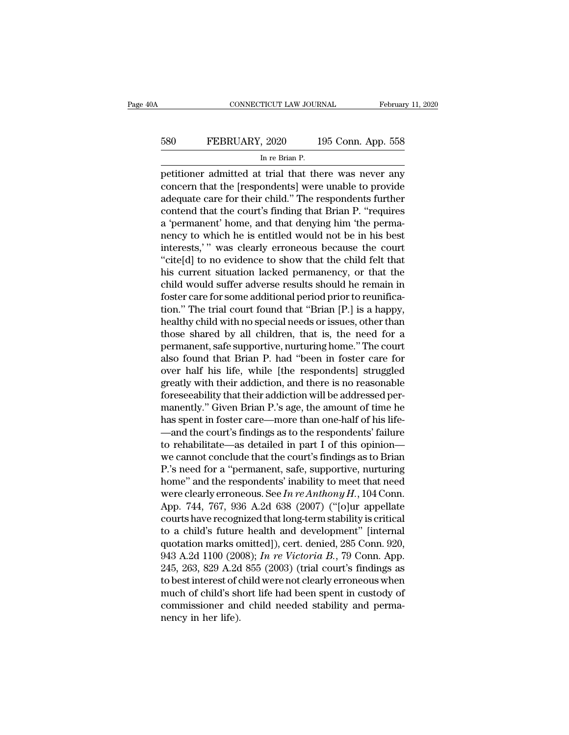# EXECUTE CONNECTICUT LAW JOURNAL February 11, 2020<br>580 FEBRUARY, 2020 195 Conn. App. 558<br>In re Brian P. TICUT LAW JOUR<br>, 2020 1<br>In re Brian P.<br>: trial that the

February 11, 2020<br>
FEBRUARY, 2020 195 Conn. App. 558<br>
In re Brian P.<br>
petitioner admitted at trial that there was never any<br>
concern that the [respondents] were unable to provide<br>
adocuate orga for their child." The respon EXECUARY, 2020 195 Conn. App. 558<br>
In re Brian P.<br>
petitioner admitted at trial that there was never any<br>
concern that the [respondents] were unable to provide<br>
adequate care for their child." The respondents further<br>
cont FEBRUARY, 2020 195 Conn. App. 558<br>
In re Brian P.<br>
petitioner admitted at trial that there was never any<br>
concern that the [respondents] were unable to provide<br>
adequate care for their child.'' The respondents further<br>
con 580 FEBRUARY, 2020 195 Conn. App. 558<br>
In re Brian P.<br>
petitioner admitted at trial that there was never any<br>
concern that the [respondents] were unable to provide<br>
adequate care for their child." The respondents further<br> In re Brian P.<br>
In re Brian P.<br>
petitioner admitted at trial that there was never any<br>
concern that the [respondents] were unable to provide<br>
adequate care for their child." The respondents further<br>
contend that the court' If the Brian P.<br>
In the Brian P.<br>
petitioner admitted at trial that there was never any<br>
concern that the [respondents] were unable to provide<br>
adequate care for their child." The respondents further<br>
contend that the cour petitioner admitted at trial that there was never any<br>concern that the [respondents] were unable to provide<br>adequate care for their child." The respondents further<br>contend that the court's finding that Brian P. "requires<br>a concern that the [respondents] were unable to provide<br>adequate care for their child." The respondents further<br>contend that the court's finding that Brian P. "requires<br>a 'permanent' home, and that denying him 'the perma-<br>ne adequate care for their child." The respondents further<br>contend that the court's finding that Brian P. "requires<br>a 'permanent' home, and that denying him 'the perma-<br>nency to which he is entitled would not be in his best<br>i contend that the court's finding that Brian P. "requires<br>a 'permanent' home, and that denying him 'the perma-<br>nency to which he is entitled would not be in his best<br>interests,' " was clearly erroneous because the court<br>"ci a 'permanent' home, and that denying him 'the perma-<br>nency to which he is entitled would not be in his best<br>interests,' " was clearly erroneous because the court<br>"cite[d] to no evidence to show that the child felt that<br>his nency to which he is entitled would not be in his best<br>interests,'" was clearly erroneous because the court<br>"cite[d] to no evidence to show that the child felt that<br>his current situation lacked permanency, or that the<br>chil interests,'" was clearly erroneous because the court<br>"cite[d] to no evidence to show that the child felt that<br>his current situation lacked permanency, or that the<br>child would suffer adverse results should he remain in<br>fost "cite[d] to no evidence to show that the child felt that<br>his current situation lacked permanency, or that the<br>child would suffer adverse results should he remain in<br>foster care for some additional period prior to reunifica his current situation lacked permanency, or that the<br>child would suffer adverse results should he remain in<br>foster care for some additional period prior to reunifica-<br>tion.'' The trial court found that "Brian [P.] is a hap child would suffer adverse results should he remain in<br>foster care for some additional period prior to reunifica-<br>tion." The trial court found that "Brian [P.] is a happy,<br>healthy child with no special needs or issues, oth foster care for some additional period prior to reunification." The trial court found that "Brian [P.] is a happy, healthy child with no special needs or issues, other than those shared by all children, that is, the need f tion." The trial court found that "Brian [P.] is a happy,<br>healthy child with no special needs or issues, other than<br>those shared by all children, that is, the need for a<br>permanent, safe supportive, nurturing home." The cou healthy child with no special needs or issues, other than<br>those shared by all children, that is, the need for a<br>permanent, safe supportive, nurturing home." The court<br>also found that Brian P. had "been in foster care for<br>o those shared by all children, that is, the need for a<br>permanent, safe supportive, nurturing home." The court<br>also found that Brian P. had "been in foster care for<br>over half his life, while [the respondents] struggled<br>great permanent, safe supportive, nurturing home." The court<br>also found that Brian P. had "been in foster care for<br>over half his life, while [the respondents] struggled<br>greatly with their addiction, and there is no reasonable<br>fo also found that Brian P. had "been in foster care for<br>over half his life, while [the respondents] struggled<br>greatly with their addiction, and there is no reasonable<br>foreseeability that their addiction will be addressed per over half his life, while [the respondents] struggled<br>greatly with their addiction, and there is no reasonable<br>foreseeability that their addiction will be addressed per-<br>manently." Given Brian P.'s age, the amount of time greatly with their addiction, and there is no reasonable<br>foreseeability that their addiction will be addressed per-<br>manently." Given Brian P.'s age, the amount of time he<br>has spent in foster care—more than one-half of his foreseeability that their addiction will be addressed per-<br>manently." Given Brian P.'s age, the amount of time he<br>has spent in foster care—more than one-half of his life—<br>and the court's findings as to the respondents' fa manently." Given Brian P.'s age, the amount of time he<br>has spent in foster care—more than one-half of his life—<br>and the court's findings as to the respondents' failure<br>to rehabilitate—as detailed in part I of this opinion has spent in foster care—more than one-half of his life—and the court's findings as to the respondents' failure<br>to rehabilitate—as detailed in part I of this opinion—<br>we cannot conclude that the court's findings as to Bria —and the court's findings as to the respondents' failure<br>to rehabilitate—as detailed in part I of this opinion—<br>we cannot conclude that the court's findings as to Brian<br>P.'s need for a "permanent, safe, supportive, nurtur to rehabilitate—as detailed in part I of this opinion—<br>we cannot conclude that the court's findings as to Brian<br>P.'s need for a "permanent, safe, supportive, nurturing<br>home" and the respondents' inability to meet that nee we cannot conclude that the court's findings as to Brian<br>P.'s need for a "permanent, safe, supportive, nurturing<br>home" and the respondents' inability to meet that need<br>were clearly erroneous. See In re Anthony H., 104 Con P.'s need for a "permanent, safe, supportive, nurturing<br>home" and the respondents' inability to meet that need<br>were clearly erroneous. See In re Anthony H., 104 Conn.<br>App. 744, 767, 936 A.2d 638 (2007) ("[o]ur appellate<br>c home" and the respondents' inability to meet that need<br>were clearly erroneous. See *In re Anthony H*., 104 Conn.<br>App. 744, 767, 936 A.2d 638 (2007) ("[o]ur appellate<br>courts have recognized that long-term stability is criti were clearly erroneous. See In re Anthony H., 104 Conn.<br>App. 744, 767, 936 A.2d 638 (2007) ("[o]ur appellate<br>courts have recognized that long-term stability is critical<br>to a child's future health and development" [interna App. 744, 767, 936 A.2d 638 (2007) ("[o]ur appellate<br>courts have recognized that long-term stability is critical<br>to a child's future health and development" [internal<br>quotation marks omitted]), cert. denied, 285 Conn. 920 courts have recognized that long-term stability is critical<br>to a child's future health and development" [internal<br>quotation marks omitted]), cert. denied, 285 Conn. 920,<br>943 A.2d 1100 (2008); *In re Victoria B*., 79 Conn. to a child's future health and development" [internal quotation marks omitted]), cert. denied, 285 Conn. 920, 943 A.2d 1100 (2008); *In re Victoria B*., 79 Conn. App. 245, 263, 829 A.2d 855 (2003) (trial court's findings quotation marks o<br>943 A.2d 1100 (20<br>245, 263, 829 A.2d<br>to best interest of c<br>much of child's sh<br>commissioner and<br>nency in her life).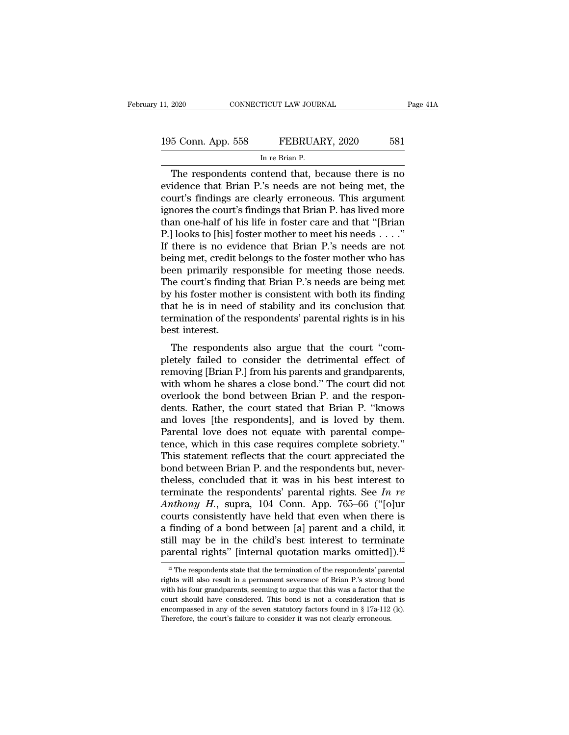# 11, 2020 CONNECTICUT LAW JOURNAL Page 41A<br>195 Conn. App. 558 FEBRUARY, 2020 581<br>In re Brian P. TICUT LAW JOUR<br>FEBRUAl<br>In re Brian P.<br>Intend that bo

The respondents contend that, because there is no<br>denote that Brian P.<br>The respondents contend that, because there is no<br>idence that Brian P.'s needs are not being met, the<br>nut's findings are clearly arrangeus. This argume 195 Conn. App. 558 FEBRUARY, 2020 581<br>
In re Brian P.<br>
The respondents contend that, because there is no<br>
evidence that Brian P.'s needs are not being met, the<br>
court's findings are clearly erroneous. This argument<br>
impros 195 Conn. App. 558 FEBRUARY, 2020 581<br>
In re Brian P.<br>
The respondents contend that, because there is no<br>
evidence that Brian P.'s needs are not being met, the<br>
court's findings are clearly erroneous. This argument<br>
ignore 195 Conn. App. 558 FEBRUARY, 2020 581<br>
In re Brian P.<br>
The respondents contend that, because there is no<br>
evidence that Brian P.'s needs are not being met, the<br>
court's findings are clearly erroneous. This argument<br>
ignore INTERTITY, 2020<br>
INTERTITY, 2020<br>
INTERTITY, 2020<br>
The respondents contend that, because there is no<br>
evidence that Brian P.'s needs are not being met, the<br>
court's findings are clearly erroneous. This argument<br>
ignores th In re Brian P.<br>
The respondents contend that, because there is no<br>
evidence that Brian P.'s needs are not being met, the<br>
court's findings are clearly erroneous. This argument<br>
ignores the court's findings that Brian P. ha The respondents contend that, because there is no<br>evidence that Brian P.'s needs are not being met, the<br>court's findings are clearly erroneous. This argument<br>ignores the court's findings that Brian P. has lived more<br>than o evidence that Brian P.'s needs are not being met, the<br>court's findings are clearly erroneous. This argument<br>ignores the court's findings that Brian P. has lived more<br>than one-half of his life in foster care and that "[Bria court's findings are clearly erroneous. This argument<br>ignores the court's findings that Brian P. has lived more<br>than one-half of his life in foster care and that "[Brian<br>P.] looks to [his] foster mother to meet his needs . ignores the court's findings that Brian P. has lived more<br>than one-half of his life in foster care and that "[Brian<br>P.] looks to [his] foster mother to meet his needs . . . ."<br>If there is no evidence that Brian P.'s needs than one-half of his life in foster care and that "[Brian  $P$ .] looks to [his] foster mother to meet his needs  $\ldots$ ."<br>If there is no evidence that Brian  $P$ .'s needs are not being met, credit belongs to the foster mother P.] looks to [his] foster mother to meet his needs . . . ."<br>If there is no evidence that Brian P.'s needs are not<br>being met, credit belongs to the foster mother who has<br>been primarily responsible for meeting those needs.<br>T If there is no evidence that Brian P.'s needs are not<br>being met, credit belongs to the foster mother who has<br>been primarily responsible for meeting those needs.<br>The court's finding that Brian P.'s needs are being met<br>by hi being met, credit been primarily ref<br>The court's finding<br>by his foster moth<br>that he is in need<br>termination of the<br>best interest.<br>The respondent Finally responsible for meeting those needs.<br>The court's finding that Brian P.'s needs are being met<br>this foster mother is consistent with both its finding<br>at he is in need of stability and its conclusion that<br>mination of The court's intuing that Briant F.'s heeds are being hiet<br>by his foster mother is consistent with both its finding<br>that he is in need of stability and its conclusion that<br>termination of the respondents' parental rights is

by its foster moder is consistent with both its infiding<br>that he is in need of stability and its conclusion that<br>termination of the respondents' parental rights is in his<br>best interest.<br>The respondents also argue that the termination of the respondents' parental rights is in his<br>best interest.<br>The respondents also argue that the court "com-<br>pletely failed to consider the detrimental effect of<br>removing [Brian P.] from his parents and grandpa best interest.<br>
The respondents also argue that the court "com-<br>
pletely failed to consider the detrimental effect of<br>
removing [Brian P.] from his parents and grandparents,<br>
with whom he shares a close bond." The court di The respondents also argue that the court "completely failed to consider the detrimental effect of removing [Brian P.] from his parents and grandparents, with whom he shares a close bond." The court did not overlook the bo The respondents also argue that the court "completely failed to consider the detrimental effect of removing [Brian P.] from his parents and grandparents, with whom he shares a close bond." The court did not overlook the bo pletely failed to consider the detrimental effect of<br>removing [Brian P.] from his parents and grandparents,<br>with whom he shares a close bond." The court did not<br>overlook the bond between Brian P. and the respon-<br>dents. Rat removing [Brian P.] from his parents and grandparents,<br>with whom he shares a close bond." The court did not<br>overlook the bond between Brian P. and the respon-<br>dents. Rather, the court stated that Brian P. "knows<br>and loves with whom he shares a close bond." The court did not<br>overlook the bond between Brian P. and the respon-<br>dents. Rather, the court stated that Brian P. "knows<br>and loves [the respondents], and is loved by them.<br>Parental love overlook the bond between Brian P. and the respondents. Rather, the court stated that Brian P. "knows and loves [the respondents], and is loved by them. Parental love does not equate with parental competence, which in thi dents. Rather, the court stated that Brian P. "knows<br>and loves [the respondents], and is loved by them.<br>Parental love does not equate with parental compe-<br>tence, which in this case requires complete sobriety."<br>This statem and loves [the respondents], and is loved by them.<br>Parental love does not equate with parental competence, which in this case requires complete sobriety."<br>This statement reflects that the court appreciated the<br>bond betwee Parental love does not equate with parental competence, which in this case requires complete sobriety."<br>This statement reflects that the court appreciated the<br>bond between Brian P. and the respondents but, never-<br>theless, tence, which in this case requires complete sobriety."<br>This statement reflects that the court appreciated the<br>bond between Brian P. and the respondents but, never-<br>theless, concluded that it was in his best interest to<br>te This statement reflects that the court appreciated the<br>bond between Brian P. and the respondents but, never-<br>theless, concluded that it was in his best interest to<br>terminate the respondents' parental rights. See In re<br>Ant bond between Brian P. and the respondents but, never-<br>theless, concluded that it was in his best interest to<br>terminate the respondents' parental rights. See In re<br>Anthony H., supra, 104 Conn. App. 765–66 ("[o]ur<br>courts co theless, concluded that it was in his best interest to<br>terminate the respondents' parental rights. See *In re*<br>Anthony *H*., supra, 104 Conn. App. 765–66 ("[o]ur<br>courts consistently have held that even when there is<br>a fin burts consistently have held that even when there is<br>finding of a bond between [a] parent and a child, it<br>ill may be in the child's best interest to terminate<br>arental rights" [internal quotation marks omitted]).<sup>12</sup><br><sup>12</sup> a finding of a bond between [a] parent and a child, it<br>still may be in the child's best interest to terminate<br>parental rights" [internal quotation marks omitted]).<sup>12</sup><br> $\frac{12}{12}$  The respondents state that the terminatio

still may be in the child's best interest to terminate parental rights" [internal quotation marks omitted]).<sup>12</sup><br><sup>12</sup> The respondents state that the termination of the respondents' parental rights will also result in a pe **parental rights**" [internal quotation marks omitted]).<sup>12</sup><br><sup>12</sup> The respondents state that the termination of the respondents' parental rights will also result in a permanent severance of Brian P.'s strong bond with his parentiar rights [internal quotation interns of the respondents' parental rights will also result in a permanent severance of Brian P.'s strong bond with his four grandparents, seeming to argue that this was a factor that <sup>12</sup> The respondents state that the termination of the respondents' parentights will also result in a permanent severance of Brian P.'s strong b with his four grandparents, seeming to argue that this was a factor that cou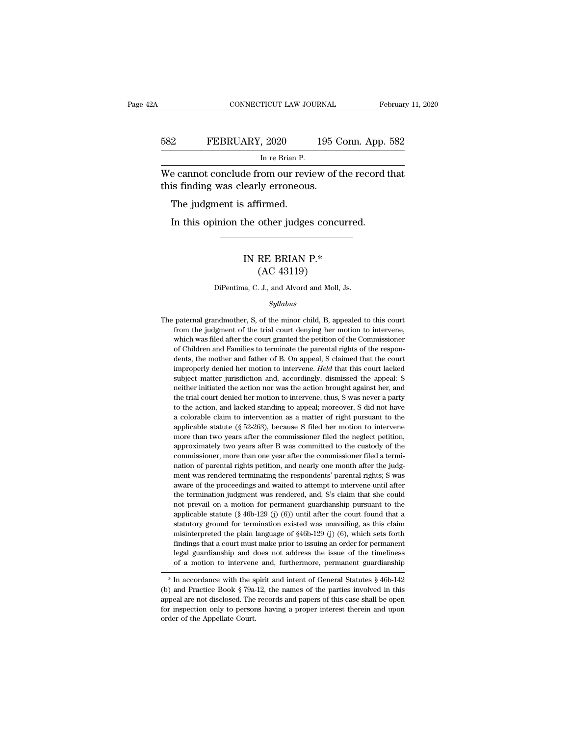### EXECUTE CONNECTICUT LAW JOURNAL February 11, 2020<br>582 FEBRUARY, 2020 195 Conn. App. 582<br>In re Brian P. TICUT LAW JOUR<br>, 2020 1<br>In re Brian P.<br>com our review. CONNECTICUT LAW JOURNAL February 11, 2020<br>
FEBRUARY, 2020 195 Conn. App. 582<br>
In re Brian P.<br>
We cannot conclude from our review of the record that<br>
this finding was clearly erroneous. 582 FEBRUARY, 2020 195 C<br>
In re Brian P.<br>
We cannot conclude from our review of this finding was clearly erroneous.<br>
The judgment is affirmed. FEBRUARY, 2020<br>
In re Brian P.<br>
e cannot conclude from our revises finding was clearly erroneour<br>
The judgment is affirmed.<br>
In this opinion the other judge:

In re Brian P.<br>
In re Brian P.<br>
is finding was clearly erroneous.<br>
The judgment is affirmed.<br>
In this opinion the other judges concurred.

### early erroneous.<br>
affirmed.<br>
he other judges concurred<br>
IN RE BRIAN P.\*<br>
(AC 43119) firmed.<br>
other judges concu<br>
RE BRIAN P.\*<br>
(AC 43119)<br>
. J., and Alvord and Moll, IN RE BRIAN P.\*<br>(AC 43119)<br>DiPentima, C. J., and Alvord and Moll, Js.

### *Syllabus*

 $(AC 43119)$ <br>DiPentima, C. J., and Alvord and Moll, Js.<br> $Syllabus$ <br>The paternal grandmother, S, of the minor child, B, appealed to this court<br>from the judgment of the trial court denying her motion to intervene, From the judgment of the trial court denying her motion to intervene,<br>glade to this court from the judgment of the trial court denying her motion to intervene,<br>which was filed after the court granted the petition of the Co DiPentima, C. J., and Alvord and Moll, Js.<br>
Syllabus<br>
paternal grandmother, S, of the minor child, B, appealed to this court<br>
from the judgment of the trial court denying her motion to intervene,<br>
which was filed after the Syllabus<br>
paternal grandmother, S, of the minor child, B, appealed to this court<br>
from the judgment of the trial court denying her motion to intervene,<br>
which was filed after the court granted the petition of the Commissio Syllabus<br>
bythe motion of the minor child, B, appealed to this court<br>
from the judgment of the trial court denying her motion to intervene,<br>
which was filed after the court granted the petition of the Commissioner<br>
of Chil paternal grandmother, S, of the minor child, B, appealed to this court<br>from the judgment of the trial court denying her motion to intervene,<br>which was filed after the court granted the petition of the Commissioner<br>of Child provide in the judgment of the trial court denying her motion to intervene, which was filed after the court granted the petition of the Commissioner of Children and Families to terminate the parental rights of the responde which was filed after the court granted the petition of the Commissioner of Children and Families to terminate the parental rights of the respondents, the mother and father of B. On appeal, S claimed that the court improp of Children and Families to terminate the parental rights of the respondents, the mother and father of B. On appeal, S claimed that the court improperly denied her motion to intervene. *Held* that this court lacked subjec dents, the mother and father of B. On appeal, S claimed that the court<br>improperly denied her motion to intervene. *Held* that this court lacked<br>subject matter jurisdiction and, accordingly, dismissed the appeal: S<br>neither improperly denied her motion to intervene. *Held* that this court lacked subject matter jurisdiction and, accordingly, dismissed the appeal: S neither initiated the action nor was the action brought against her, and the tr subject matter jurisdiction and, accordingly, dismissed the appeal: S<br>neither initiated the action nor was the action brought against her, and<br>the trial court denied her motion to intervene, thus, S was never a party<br>to t subject matter jurisdiction and, accordingly, dismissed the appeal: S<br>neither initiated the action nor was the action brought against her, and<br>the trial court denied her motion to intervene, thus, S was never a party<br>to t the trial court denied her motion to intervene, thus, S was never a party to the action, and lacked standing to appeal; moreover, S did not have a colorable claim to intervention as a matter of right pursuant to the appli to the action, and lacked standing to appeal; moreover, S did not have a colorable claim to intervention as a matter of right pursuant to the applicable statute ( $\S$  52-263), because S filed her motion to intervene more t a colorable claim to intervention as a matter of right pursuant to the applicable statute ( $\S$  52-263), because S filed her motion to intervene more than two years after the commissioner filed the neglect petition, approx applicable statute (§ 52-263), because S filed her motion to intervene more than two years after the commissioner filed the neglect petition, approximately two years after B was committed to the custody of the commissione approximately two years after the commissioner filed the neglect petition, approximately two years after B was committed to the custody of the commissioner, more than one year after the commissioner filed a termination of approximately two years after B was committed to the custody of the commissioner, more than one year after the commissioner filed a termination of parental rights petition, and nearly one month after the judgment was rende commissioner, more than one year after the commissioner filed a termi-<br>nation of parental rights petition, and nearly one month after the judg-<br>ment was rendered terminating the respondents' parental rights; S was<br>aware of nation of parental rights petition, and nearly one month after the judgement was rendered terminating the respondents' parental rights; S was aware of the proceedings and waited to attempt to intervene until after the ter ment was rendered terminating the respondents' parental rights; S was aware of the proceedings and waited to attempt to intervene until after the termination judgment was rendered, and, S's claim that she could not prevai maxare of the proceedings and waited to attempt to intervene until after<br>the termination judgment was rendered, and, S's claim that she could<br>not prevail on a motion for permanent guardianship pursuant to the<br>applicable s the termination judgment was rendered, and, S's claim that she could not prevail on a motion for permanent guardianship pursuant to the applicable statute ( $\S$  46b-129 (j) (6)) until after the court found that a statutor not prevail on a motion for permanent guardianship pursuant to the applicable statute (§ 46b-129 (j) (6)) until after the court found that a statutory ground for termination existed was unavailing, as this claim misinterp rapplicable statute (§ 46b-129 (j) (6)) until after the court found that a statutory ground for termination existed was unavailing, as this claim misinterpreted the plain language of §46b-129 (j) (6), which sets forth fin statutory ground for termination existed was unavailing, as this claim<br>misinterpreted the plain language of §46b-129 (j) (6), which sets forth<br>findings that a court must make prior to issuing an order for permanent<br>legal misinterpreted the plain language of  $$400-129$  (J) (0), which sets forth<br>findings that a court must make prior to issuing an order for permanent<br>legal guardianship and does not address the issue of the timeliness<br>of a mo

mannes that a court must make prior to issume an order tor permanent<br>legal guardianship and does not address the issue of the timeliness<br>of a motion to intervene and, furthermore, permanent guardianship<br> $*$  In accordance for a motion to intervene and, furthermore, permanent guardianship<br>
\* In accordance with the spirit and intent of General Statutes § 46b-142<br>
(b) and Practice Book § 79a-12, the names of the parties involved in this<br>
appea  $*$  In accordance with the spirit and intent of General Statutes  $§$  46b-142 (b) and Practice Book  $§$  79a-12, the names of the parties involved in this appeal are not disclosed. The records and papers of this case shall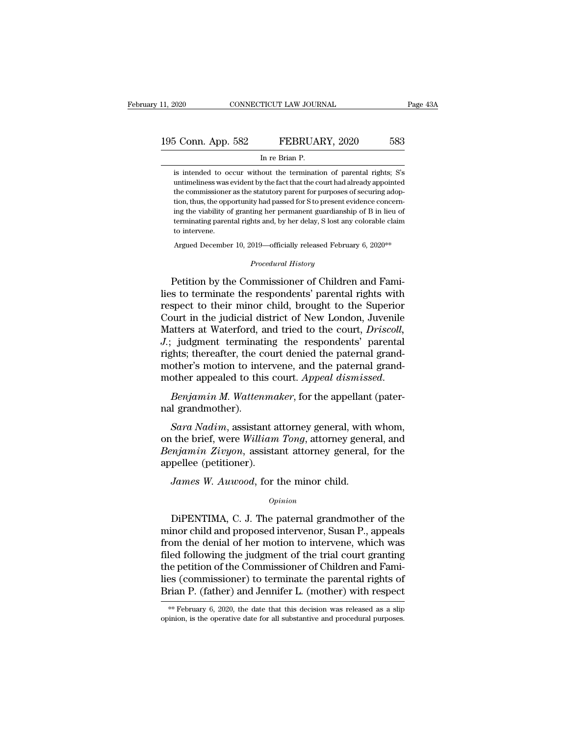# 11, 2020 CONNECTICUT LAW JOURNAL Page 43A<br>195 Conn. App. 582 FEBRUARY, 2020 583<br>In re Brian P. CONNECTICUT LAW JOURNAL<br>
5 Conn. App. 582 FEBRUARY, 2020 583<br>
In re Brian P.<br>
is intended to occur without the termination of parental rights; S's

is intended to occur without the termination of parental rights; S's<br>intended to occur without the termination of parental rights; S's<br>untimeliness was evident by the fact that the court had already appointed University of Search Connection of parental rights; Southern by the fact that the court had already appointed<br>the commissioner as the statutory parent for purposes of securing adoptions. the commissioner as the statutory parent for purposes of securing adoption, thus, the opportunity had passed for S to present evidence concernation, thus, the opportunity had passed for S to present evidence concernation, In re Brian P.<br>
is intended to occur without the termination of parental rights; S's<br>
untimeliness was evident by the fact that the court had already appointed<br>
the commissioner as the statutory parent for purposes of secu In re Brian P.<br>
is intended to occur without the termination of parental rights; S's<br>
untimeliness was evident by the fact that the court had already appointed<br>
the commissioner as the statutory parent for purposes of secu is intended to occur without the termination of parental rights; S's<br>untimeliness was evident by the fact that the court had already appointed<br>the commissioner as the statutory parent for purposes of securing adop-<br>tion, t mimeliness was explained the commissioner<br>tion, thus, the opp<br>ing the viability of<br>terminating parento intervene.<br>Argued December the commissioner as the statutory parent for purposes of securing adoption, thus, the opportunity had passed for S to present evidence concerning the viability of granting her permanent guardianship of B in lieu of termina *Proper History Appendianalistics and, by her delay, S lost any*<br> *Procedural History*<br> *Procedural History*<br> *Procedural History* ing the viability of granting her permanent guardianship of B in lieu of<br>terminating parental rights and, by her delay, S lost any colorable claim<br>to intervene.<br>Argued December 10, 2019—officially released February 6, 2020

terminating parental rights and, by her delay, S lost any colorable claim<br>to intervene.<br>Argued December 10, 2019—officially released February 6, 2020\*\*<br>Procedural History<br>Petition by the Commissioner of Children and Fami-<br> to intervene.<br>
Argued December 10, 2019—officially released February 6, 2020\*\*<br>
Procedural History<br>
Petition by the Commissioner of Children and Fami-<br>
lies to terminate the respondents' parental rights with<br>
respect to th Argued December 10, 2019—officially released February 6, 2020<sup>\*\*</sup><br>
Procedural History<br>
Petition by the Commissioner of Children and Fami-<br>
lies to terminate the respondents' parental rights with<br>
respect to their minor chi Procedural History<br>
Petition by the Commissioner of Children and Fami-<br>
lies to terminate the respondents' parental rights with<br>
respect to their minor child, brought to the Superior<br>
Court in the judicial district of New Protedural History<br>
J. Thotedural History<br>
Iles to terminate the respondents' parental rights with<br>
respect to their minor child, brought to the Superior<br>
Court in the judicial district of New London, Juvenile<br>
Matters at Petition by the Commissioner of Children and Fami-<br>lies to terminate the respondents' parental rights with<br>respect to their minor child, brought to the Superior<br>Court in the judicial district of New London, Juvenile<br>Matter lies to terminate the respondents' parental rights with<br>respect to their minor child, brought to the Superior<br>Court in the judicial district of New London, Juvenile<br>Matters at Waterford, and tried to the court, *Driscoll*, respect to their minor child, brought to the Superior<br>Court in the judicial district of New London, Juvenile<br>Matters at Waterford, and tried to the court, *Driscoll*,<br>*J.*; judgment terminating the respondents' parental<br>ri *I*.; judgment terminatively.<br>The ights; thereafter, the compther's motion to interminatively.<br>mother appealed to this Benjamin M. Watten<br>nal grandmother).<br>Sara Nadim, assistan Fints; thereafter, the court denied the paternal grand-<br>
Shear's motion to intervene, and the paternal grand-<br>
Shear appealed to this court. Appeal dismissed.<br> *Benjamin M. Wattenmaker*, for the appellant (pater-<br>
I grandm

mother's motion to intervene, and the paternal grand-<br>mother appealed to this court. Appeal dismissed.<br>Benjamin M. Wattenmaker, for the appellant (pater-<br>nal grandmother).<br>Sara Nadim, assistant attorney general, with whom, mother appealed to this court. Appeal dismissed.<br> *Benjamin M. Wattenmaker*, for the appellant (paternal grandmother).<br> *Sara Nadim*, assistant attorney general, with whom,<br>
on the brief, were William Tong, attorney genera Benjamin M. Wattenma<br>nal grandmother).<br>Sara Nadim, assistant a<br>on the brief, were William<br>Benjamin Zivyon, assista<br>appellee (petitioner).<br>James W. Auwood, for t *James Madim, assistant attorney general, with*<br>*James William Tong, attorney general, minor zivyon, assistant attorney general,*<br>*Pellee (petitioner).*<br>*James W. Auwood, for the minor child.*<br>*Opinion* 

### *Opinion*

mjamin Zivyon, assistant attorney general, for the<br>pellee (petitioner).<br>James W. Auwood, for the minor child.<br>Opinion<br>DiPENTIMA, C. J. The paternal grandmother of the<br>inor child and proposed intervenor, Susan P., appeals *Minor Child and proposed intervenor*, Susan P., appeals from the denial of her motion to intervene, which was<br>
filed following the judgment of the trial court graphing<br>
Filed following the judgment of the trial court grap *James W. Auwood*, for the minor child.<br>  $\frac{Opinion}{Opinion}$ <br>
DiPENTIMA, C. J. The paternal grandmother of the minor child and proposed intervenor, Susan P., appeals from the denial of her motion to intervene, which was filed f James W. Auwood, for the minor child.<br>
opinion<br>
DiPENTIMA, C. J. The paternal grandmother of the<br>
minor child and proposed intervenor, Susan P., appeals<br>
from the denial of her motion to intervene, which was<br>
filed followi **Commission Commission Commissioner Commissioner Commissioner Susan P., appeals**<br>from the denial of her motion to intervene, which was<br>filed following the judgment of the trial court granting<br>the petition of the Commission DiPENTIMA, C. J. The paternal grandmother of the<br>minor child and proposed intervenor, Susan P., appeals<br>from the denial of her motion to intervene, which was<br>filed following the judgment of the trial court granting<br>the pet DiPENTIMA, C. J. The paternal grandmother of the<br>minor child and proposed intervenor, Susan P., appeals<br>from the denial of her motion to intervene, which was<br>filed following the judgment of the trial court granting<br>the pet filed following the judgment of the trial court granting<br>the petition of the Commissioner of Children and Fami-<br>lies (commissioner) to terminate the parental rights of<br>Brian P. (father) and Jennifer L. (mother) with respe Brian P. (father) and Jennifer L. (mother) with respect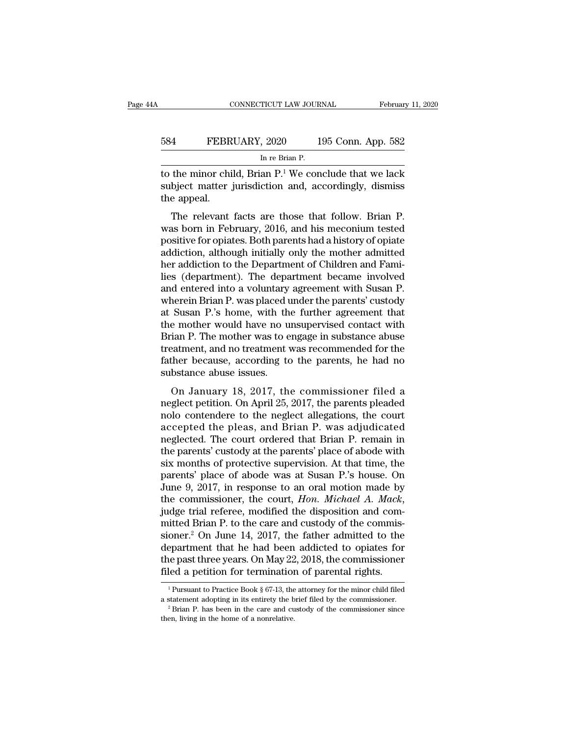|     | CONNECTICUT LAW JOURNAL                                  | February 11, 2020  |
|-----|----------------------------------------------------------|--------------------|
| 584 | FEBRUARY, 2020                                           | 195 Conn. App. 582 |
|     | In re Brian P.                                           |                    |
|     | to the minor child. Brian $P^1$ We conclude that we lack |                    |

CONNECTICUT LAW JOURNAL February 11, 2020<br>
584 FEBRUARY, 2020 195 Conn. App. 582<br>
In re Brian P.<br>
to the minor child, Brian P.<sup>1</sup> We conclude that we lack<br>
subject matter jurisdiction and, accordingly, dismiss<br>
the appeal FEBRUARY, 2020 195 Conn. App. 582<br>
In re Brian P.<br>
to the minor child, Brian P.<sup>1</sup> We conclude that we lack<br>
subject matter jurisdiction and, accordingly, dismiss<br>
the appeal. 584 FEBR<br>to the minor chi<br>subject matter<br>the appeal.<br>The relevant FEBRUARY, 2020 195 Conn. App. 582<br>
In re Brian P.<br>
the minor child, Brian P.<sup>1</sup> We conclude that we lack<br>
bject matter jurisdiction and, accordingly, dismiss<br>
e appeal.<br>
The relevant facts are those that follow. Brian P.<br>

 $\frac{\ln n}{n}$  in February, 2016, and his meconium tested positive for opiates. Both parents had a history of opiate addiction although initially only the mother admitted and distinguished addiction although initially only th to the minor child, Brian P.<sup>1</sup> We conclude that we lack<br>subject matter jurisdiction and, accordingly, dismiss<br>the appeal.<br>The relevant facts are those that follow. Brian P.<br>was born in February, 2016, and his meconium tes addiction, although initially only the mother admitsion and accordingly, dismiss<br>the appeal.<br>The relevant facts are those that follow. Brian P.<br>was born in February, 2016, and his meconium tested<br>positive for opiates. Both subject matter jurisdiction and, accordingly, dishuss<br>the appeal.<br>The relevant facts are those that follow. Brian P.<br>was born in February, 2016, and his meconium tested<br>positive for opiates. Both parents had a history of o The relevant facts are those that follow. Brian P.<br>was born in February, 2016, and his meconium tested<br>positive for opiates. Both parents had a history of opiate<br>addiction, although initially only the mother admitted<br>her a The relevant facts are those that follow. Brian P.<br>was born in February, 2016, and his meconium tested<br>positive for opiates. Both parents had a history of opiate<br>addiction, although initially only the mother admitted<br>her a was born in February, 2016, and his meconium tested<br>positive for opiates. Both parents had a history of opiate<br>addiction, although initially only the mother admitted<br>her addiction to the Department of Children and Fami-<br>li positive for opiates. Both parents had a history of opiate<br>addiction, although initially only the mother admitted<br>her addiction to the Department of Children and Fami-<br>lies (department). The department became involved<br>and addiction, although initially only the mother admitted<br>her addiction to the Department of Children and Fami-<br>lies (department). The department became involved<br>and entered into a voluntary agreement with Susan P.<br>wherein Br her addiction to the Department of Children and Families (department). The department became involved<br>and entered into a voluntary agreement with Susan P.<br>wherein Brian P. was placed under the parents' custody<br>at Susan P.' lies (department). The department became involved<br>and entered into a voluntary agreement with Susan P.<br>wherein Brian P. was placed under the parents' custody<br>at Susan P.'s home, with the further agreement that<br>the mother w and entered into a voluntary agreement with Susan P.<br>wherein Brian P. was placed under the parents' custody<br>at Susan P.'s home, with the further agreement that<br>the mother would have no unsupervised contact with<br>Brian P. Th wherein Brian P. was placed u<br>at Susan P.'s home, with th<br>the mother would have no u<br>Brian P. The mother was to e<br>treatment, and no treatment v<br>father because, according to<br>substance abuse issues.<br>On January 18, 2017, th busant 1:5 holde, whit the further agreement that<br>e mother would have no unsupervised contact with<br>ian P. The mother was to engage in substance abuse<br>eatment, and no treatment was recommended for the<br>ther because, accordin Frian P. The mother was to engage in substance abuse<br>treatment, and no treatment was recommended for the<br>father because, according to the parents, he had no<br>substance abuse issues.<br>On January 18, 2017, the commissioner fil

Drian 1. The modier was to engage in substance abuse<br>treatment, and no treatment was recommended for the<br>father because, according to the parents, he had no<br>substance abuse issues.<br>On January 18, 2017, the commissioner fil father because, according to the parents, he had no<br>substance abuse issues.<br>On January 18, 2017, the commissioner filed a<br>neglect petition. On April 25, 2017, the parents pleaded<br>nolo contendere to the neglect allegations, rather because, according to the parents, he had no<br>substance abuse issues.<br>On January 18, 2017, the commissioner filed a<br>neglect petition. On April 25, 2017, the parents pleaded<br>nolo contendere to the neglect allegations, on January 18, 2017, the commissioner filed a<br>neglect petition. On April 25, 2017, the parents pleaded<br>nolo contendere to the neglect allegations, the court<br>accepted the pleas, and Brian P. was adjudicated<br>neglected. The c On January 18, 2017, the commissioner filed a<br>neglect petition. On April 25, 2017, the parents pleaded<br>nolo contendere to the neglect allegations, the court<br>accepted the pleas, and Brian P. was adjudicated<br>neglected. The neglect petition. On April 25, 2017, the parents pleaded<br>nolo contendere to the neglect allegations, the court<br>accepted the pleas, and Brian P. was adjudicated<br>neglected. The court ordered that Brian P. remain in<br>the paren nolo contendere to the neglect allegations, the court<br>accepted the pleas, and Brian P. was adjudicated<br>neglected. The court ordered that Brian P. remain in<br>the parents' custody at the parents' place of abode with<br>six month accepted the pleas, and Brian P. was adjudicated<br>neglected. The court ordered that Brian P. remain in<br>the parents' custody at the parents' place of abode with<br>six months of protective supervision. At that time, the<br>parents the parents' custody at the parents' place of abode with<br>six months of protective supervision. At that time, the<br>parents' place of abode was at Susan P.'s house. On<br>June 9, 2017, in response to an oral motion made by<br>the c six months of protective supervision. At that time, the<br>parents' place of abode was at Susan P.'s house. On<br>June 9, 2017, in response to an oral motion made by<br>the commissioner, the court, *Hon. Michael A. Mack*,<br>judge tri parents' place of abode was at Susan P.'s house. On<br>June 9, 2017, in response to an oral motion made by<br>the commissioner, the court, *Hon. Michael A. Mack*,<br>judge trial referee, modified the disposition and com-<br>mitted Bri June 9, 2017, in response to an oral motion made by<br>the commissioner, the court, *Hon. Michael A. Mack*,<br>judge trial referee, modified the disposition and com-<br>mitted Brian P. to the care and custody of the commis-<br>sioner. the commissioner, the court, *Hon. Michael A. Mack*, judge trial referee, modified the disposition and committed Brian P. to the care and custody of the commissioner.<sup>2</sup> On June 14, 2017, the father admitted to the depart department that he had been addicted to opiates for<br>the past three years. On May 22, 2018, the commissioner<br>filed a petition for termination of parental rights.<br><sup>1</sup>Pursuant to Practice Book § 67-13, the attorney for the m department that he had been addicted to opiates for<br>the past three years. On May 22, 2018, the commissioner<br>filed a petition for termination of parental rights.<br> $\frac{1}{1}$ Pursuant to Practice Book § 67-13, the attorney for

filed a petition for termination of parental rights.<br>
<sup>1</sup> Pursuant to Practice Book § 67-13, the attorney for the minor chi<br>
a statement adopting in its entirety the brief filed by the commission<br>
<sup>2</sup> Brian P. has been in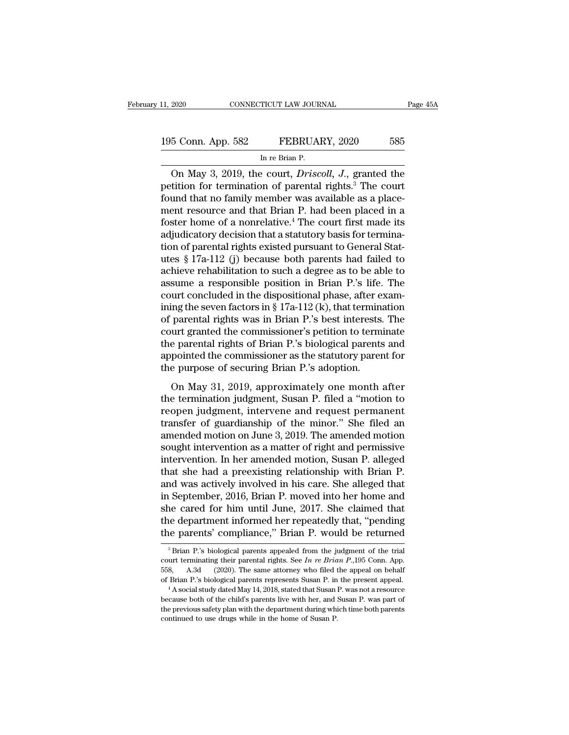11, 2020 CONNECTICUT LAW JOURNAL Page 45A<br>195 Conn. App. 582 FEBRUARY, 2020 585<br>In re Brian P. TICUT LAW JOUR<br>FEBRUAL<br>In re Brian P.<br>P. COUTT Drisc

CONNECTICUT LAW JOURNAL Page 45A<br>
5 Conn. App. 582 FEBRUARY, 2020 585<br>
In re Brian P.<br>
On May 3, 2019, the court, *Driscoll, J.*, granted the tition for termination of parental rights.<sup>3</sup> The court 195 Conn. App. 582 FEBRUARY, 2020 585<br>
In re Brian P.<br>
On May 3, 2019, the court, *Driscoll*, *J.*, granted the petition for termination of parental rights.<sup>3</sup> The court found that no family member was available as a place 195 Conn. App. 582 FEBRUARY, 2020 585<br>
In re Brian P.<br>
On May 3, 2019, the court, *Driscoll*, *J*., granted the petition for termination of parental rights.<sup>3</sup> The court found that no family member was available as a place 195 Conn. App. 582 FEBRUARY, 2020 585<br>
In re Brian P.<br>
On May 3, 2019, the court, *Driscoll*, *J.*, granted the petition for termination of parental rights.<sup>3</sup> The court found that no family member was available as a plac In re Brian P.<br>
In re Brian P.<br>
On May 3, 2019, the court, *Driscoll*, *J.*, granted the<br>
petition for termination of parental rights.<sup>3</sup> The court<br>
found that no family member was available as a place-<br>
ment resource and a in re Brian P.<br>
The re Brian P.<br>
On May 3, 2019, the court, *Driscoll*, *J.*, granted the<br>
petition for termination of parental rights.<sup>3</sup> The court<br>
found that no family member was available as a place-<br>
ment resource On May 3, 2019, the court, *Driscoll*, *J.*, granted the petition for termination of parental rights.<sup>3</sup> The court found that no family member was available as a placement resource and that Brian P. had been placed in a f petition for termination of parental rights.<sup>3</sup> The court<br>found that no family member was available as a place-<br>ment resource and that Brian P. had been placed in a<br>foster home of a nonrelative.<sup>4</sup> The court first made its found that no family member was available as a place-<br>ment resource and that Brian P. had been placed in a<br>foster home of a nonrelative.<sup>4</sup> The court first made its<br>adjudicatory decision that a statutory basis for terminament resource and that Brian P. had been placed in a<br>foster home of a nonrelative.<sup>4</sup> The court first made its<br>adjudicatory decision that a statutory basis for termina-<br>tion of parental rights existed pursuant to General foster home of a nonrelative.<sup>4</sup> The court first made its<br>adjudicatory decision that a statutory basis for termina-<br>tion of parental rights existed pursuant to General Stat-<br>utes § 17a-112 (j) because both parents had fai adjudicatory decision that a statutory basis for termination of parental rights existed pursuant to General Statutes § 17a-112 (j) because both parents had failed to achieve rehabilitation to such a degree as to be able to tion of parental rights existed pursuant to General Stat-<br>utes § 17a-112 (j) because both parents had failed to<br>achieve rehabilitation to such a degree as to be able to<br>assume a responsible position in Brian P.'s life. Th utes § 17a-112 (j) because both parents had failed to<br>achieve rehabilitation to such a degree as to be able to<br>assume a responsible position in Brian P.'s life. The<br>court concluded in the dispositional phase, after exam-<br> achieve rehabilitation to such a degree as to be able to<br>assume a responsible position in Brian P.'s life. The<br>court concluded in the dispositional phase, after exam-<br>ining the seven factors in § 17a-112 (k), that terminat assume a responsible position in Brian P.'s life. The court concluded in the dispositional phase, after examining the seven factors in  $\S 17a-112$  (k), that termination of parental rights was in Brian P.'s best interests. court concluded in the dispositional phase, after e<br>ining the seven factors in  $\S$  17a-112 (k), that termins<br>of parental rights was in Brian P.'s best interests.<br>court granted the commissioner's petition to term<br>the paren may are seven metabor in  $S$  Tra Tra (c), and derivation<br>parental rights was in Brian P.'s best interests. The<br>urt granted the commissioner's petition to terminate<br>e parental rights of Brian P.'s biological parents and<br>po or parental rights was in Eritan 1:5 sest interests. The<br>court granted the commissioner's petition to terminate<br>the parental rights of Brian P.'s biological parents and<br>appointed the commissioner as the statutory parent fo

resource and commissioner b permon to terminate<br>the parental rights of Brian P.'s biological parents and<br>appointed the commissioner as the statutory parent for<br>the purpose of securing Brian P.'s adoption.<br>On May 31, 2019, appointed the commissioner as the statutory parents and<br>appointed the commissioner as the statutory parent for<br>the purpose of securing Brian P.'s adoption.<br>On May 31, 2019, approximately one month after<br>the termination jud depended are commissioner as are saludedly parented the purpose of securing Brian P.'s adoption.<br>
On May 31, 2019, approximately one month after<br>
the termination judgment, Susan P. filed a "motion to<br>
reopen judgment, inte on May 31, 2019, approximately one month after<br>the termination judgment, Susan P. filed a "motion to<br>reopen judgment, intervene and request permanent<br>transfer of guardianship of the minor." She filed an<br>amended motion on J On May 31, 2019, approximately one month after<br>the termination judgment, Susan P. filed a "motion to<br>reopen judgment, intervene and request permanent<br>transfer of guardianship of the minor." She filed an<br>amended motion on J the termination judgment, Susan P. filed a "motion to<br>reopen judgment, intervene and request permanent<br>transfer of guardianship of the minor." She filed an<br>amended motion on June 3, 2019. The amended motion<br>sought interven reopen judgment, intervene and request permanent<br>transfer of guardianship of the minor." She filed an<br>amended motion on June 3, 2019. The amended motion<br>sought intervention as a matter of right and permissive<br>intervention. transfer of guardianship of the minor." She filed an<br>amended motion on June 3, 2019. The amended motion<br>sought intervention as a matter of right and permissive<br>intervention. In her amended motion, Susan P. alleged<br>that she amended motion on June 3, 2019. The amended motion<br>sought intervention as a matter of right and permissive<br>intervention. In her amended motion, Susan P. alleged<br>that she had a preexisting relationship with Brian P.<br>and was sought intervention as a matter of right and permissive<br>intervention. In her amended motion, Susan P. alleged<br>that she had a preexisting relationship with Brian P.<br>and was actively involved in his care. She alleged that<br>in intervention. In her amended motion, Susan P. alleged<br>that she had a preexisting relationship with Brian P.<br>and was actively involved in his care. She alleged that<br>in September, 2016, Brian P. moved into her home and<br>she c Experiment and the cared for him until June, 2017. She claimed that<br>the department informed her repeatedly that, "pending<br>the parents' compliance," Brian P. would be returned<br> $\frac{3}{12}$ Brian P.'s biological parents appeal she cared for him until June, 2017. She claimed that<br>the department informed her repeatedly that, "pending<br>the parents' compliance," Brian P. would be returned<br><sup>3</sup>Brian P.'s biological parents appealed from the judgment of

the department informed her repeatedly that, "pending<br>the parents' compliance," Brian P. would be returned<br> $3\,\text{Brian}$  P.'s biological parents appealed from the judgment of the trial<br>court terminating their parental rights the parents' compliance," Brian P. would be returned<br>
<sup>3</sup> Brian P.'s biological parents appealed from the judgment of the trial<br>
court terminating their parental rights. See *In re Brian P.*, 195 Conn. App.<br>
558, A.3d (20 court terminating their parental rights. See In re Brian  $P_{1,1}$  Conn. App. of Brian P.'s biological parents represents Susan P. in the present appeal.

<sup>&</sup>lt;sup>3</sup> Brian P.'s biological parents appealed from the judgment of the trial court terminating their parental rights. See *In re Brian P.*, 195 Conn. App. 558, A.3d (2020). The same attorney who filed the appeal on behalf of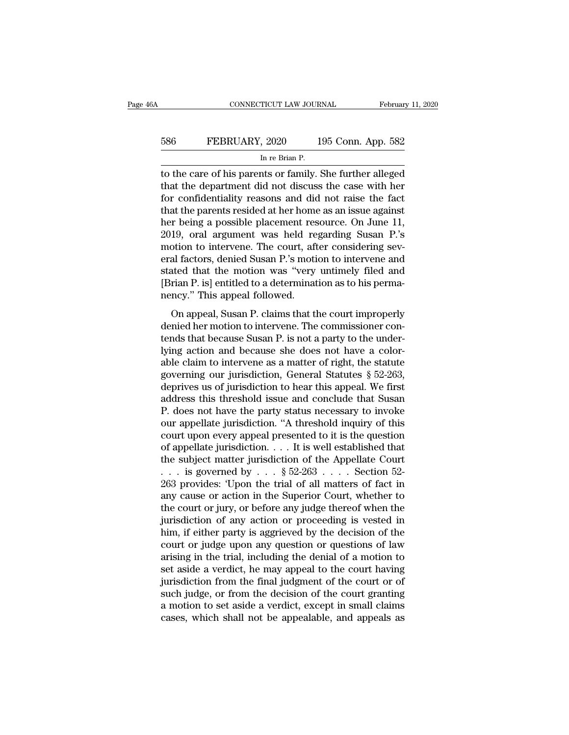# EXECUTE CONNECTICUT LAW JOURNAL February 11, 2020<br>586 FEBRUARY, 2020 195 Conn. App. 582<br>In re Brian P. TICUT LAW JOUR<br>, 2020 1<br>In re Brian P.<br>nts or family !

CONNECTICUT LAW JOURNAL February 11, 2020<br>
FEBRUARY, 2020 195 Conn. App. 582<br>
In re Brian P.<br>
to the care of his parents or family. She further alleged<br>
that the department did not discuss the case with her<br>
for confidenti FEBRUARY, 2020 195 Conn. App. 582<br>
In re Brian P.<br>
to the care of his parents or family. She further alleged<br>
that the department did not discuss the case with her<br>
for confidentiality reasons and did not raise the fact<br>
t  $\frac{586}{\text{In re Brian P.}}$ <br>  $\frac{\text{In re Brian P.}}{\text{In re Brian P.}}$ <br>
to the care of his parents or family. She further alleged<br>
that the department did not discuss the case with her<br>
for confidentiality reasons and did not raise the fact<br>
that th 586 FEBRUARY, 2020 195 Conn. App. 582<br>
In re Brian P.<br>
to the care of his parents or family. She further alleged<br>
that the department did not discuss the case with her<br>
for confidentiality reasons and did not raise the fa In re Brian P.<br>
In re Brian P.<br>
to the care of his parents or family. She further alleged<br>
that the department did not discuss the case with her<br>
for confidentiality reasons and did not raise the fact<br>
that the parents res In re Brian P.<br>
to the care of his parents or family. She further alleged<br>
that the department did not discuss the case with her<br>
for confidentiality reasons and did not raise the fact<br>
that the parents resided at her home to the care of his parents or family. She further alleged<br>that the department did not discuss the case with her<br>for confidentiality reasons and did not raise the fact<br>that the parents resided at her home as an issue agains that the department did not discuss the case with her<br>for confidentiality reasons and did not raise the fact<br>that the parents resided at her home as an issue against<br>her being a possible placement resource. On June 11,<br>201 for confidentiality reasons and did not raise the fact<br>that the parents resided at her home as an issue against<br>her being a possible placement resource. On June 11,<br>2019, oral argument was held regarding Susan P.'s<br>motion that the parents resided at her home as an issue against<br>her being a possible placement resource. On June 11,<br>2019, oral argument was held regarding Susan P.'s<br>motion to intervene. The court, after considering sev-<br>eral fa her being a possible placement res<br>2019, oral argument was held re<br>motion to intervene. The court, aft<br>eral factors, denied Susan P.'s moti<br>stated that the motion was "very<br>[Brian P. is] entitled to a determinat<br>nency." Th The, Star argament was herd regarding stature 1:5<br>
otion to intervene. The court, after considering sev-<br>
al factors, denied Susan P.'s motion to intervene and<br>
ated that the motion was "very untimely filed and<br>
rian P. is denied factors, denied Susan P.'s motion to intervene and<br>stated that the motion was "very untimely filed and<br>[Brian P. is] entitled to a determination as to his perma-<br>nency." This appeal followed.<br>On appeal, Susan P. cla

that factors, defined susan P. is modern to intervente and<br>stated that the motion was "very untimely filed and<br>[Brian P. is] entitled to a determination as to his perma-<br>nency." This appeal followed.<br>On appeal, Susan P. cl Brian P. is] entitled to a determination as to his permanency." This appeal followed.<br>On appeal, Susan P. claims that the court improperly<br>denied her motion to intervene. The commissioner con-<br>tends that because Susan P. parameters. This appeal followed.<br>
On appeal, Susan P. claims that the court improperly<br>
denied her motion to intervene. The commissioner con-<br>
tends that because Susan P. is not a party to the under-<br>
lying action and be Francy. This appear ronowed.<br>
On appeal, Susan P. claims that the court improperly<br>
denied her motion to intervene. The commissioner con-<br>
tends that because Susan P. is not a party to the under-<br>
lying action and because On appeal, Susan P. claims that the court improperly<br>denied her motion to intervene. The commissioner con-<br>tends that because Susan P. is not a party to the under-<br>lying action and because she does not have a color-<br>able c denied her motion to intervene. The commissioner con-<br>tends that because Susan P. is not a party to the under-<br>lying action and because she does not have a color-<br>able claim to intervene as a matter of right, the statute<br>g tends that because Susan P. is not a party to the underlying action and because she does not have a colorable claim to intervene as a matter of right, the statute governing our jurisdiction, General Statutes  $\S$  52-263, d lying action and because she does not have a color-<br>able claim to intervene as a matter of right, the statute<br>governing our jurisdiction, General Statutes § 52-263,<br>deprives us of jurisdiction to hear this appeal. We first able claim to intervene as a matter of right, the statute<br>governing our jurisdiction, General Statutes § 52-263,<br>deprives us of jurisdiction to hear this appeal. We first<br>address this threshold issue and conclude that Sus governing our jurisdiction, General Statutes § 52-263,<br>deprives us of jurisdiction to hear this appeal. We first<br>address this threshold issue and conclude that Susan<br>P. does not have the party status necessary to invoke<br>o deprives us of jurisdiction to hear this appeal. We first<br>address this threshold issue and conclude that Susan<br>P. does not have the party status necessary to invoke<br>our appellate jurisdiction. "A threshold inquiry of this address this threshold issue and conclude that Susan P. does not have the party status necessary to invoke<br>our appellate jurisdiction. "A threshold inquiry of this<br>court upon every appeal presented to it is the question<br>o P. does not have the party status necessary to invoke<br>our appellate jurisdiction. "A threshold inquiry of this<br>court upon every appeal presented to it is the question<br>of appellate jurisdiction.... It is well established t our appellate jurisdiction. "A threshold inquiry of this<br>court upon every appeal presented to it is the question<br>of appellate jurisdiction. . . . It is well established that<br>the subject matter jurisdiction of the Appellat court upon every appeal presented to it is the question<br>of appellate jurisdiction. . . . It is well established that<br>the subject matter jurisdiction of the Appellate Court<br>. . . is governed by . . . § 52-263 . . . . Secti of appellate jurisdiction. . . . It is well established that<br>the subject matter jurisdiction of the Appellate Court<br>. . . is governed by . . . § 52-263 . . . . Section 52-<br>263 provides: 'Upon the trial of all matters of f the subject matter jurisdiction of the Appellate Court<br>  $\ldots$  is governed by  $\ldots$  § 52-263  $\ldots$ . Section 52-<br>
263 provides: 'Upon the trial of all matters of fact in<br>
any cause or action in the Superior Court, whether t court or judge upon any question or general to the court or judge upon the trial of all matters of fact in<br>any cause or action in the Superior Court, whether to<br>the court or jury, or before any judge thereof when the<br>juri 263 provides: 'Upon the trial of all matters of fact in<br>any cause or action in the Superior Court, whether to<br>the court or jury, or before any judge thereof when the<br>jurisdiction of any action or proceeding is vested in<br>hi any cause or action in the Superior Court, whether to<br>the court or jury, or before any judge thereof when the<br>jurisdiction of any action or proceeding is vested in<br>him, if either party is aggrieved by the decision of the<br>c the court or jury, or before any judge thereof when the<br>jurisdiction of any action or proceeding is vested in<br>him, if either party is aggrieved by the decision of the<br>court or judge upon any question or questions of law<br>ar jurisdiction of any action or proceeding is vested in<br>him, if either party is aggrieved by the decision of the<br>court or judge upon any question or questions of law<br>arising in the trial, including the denial of a motion to<br> him, if either party is aggrieved by the decision of the court or judge upon any question or questions of law arising in the trial, including the denial of a motion to set aside a verdict, he may appeal to the court having court or judge upon any question or questions of law<br>arising in the trial, including the denial of a motion to<br>set aside a verdict, he may appeal to the court having<br>jurisdiction from the final judgment of the court or of<br>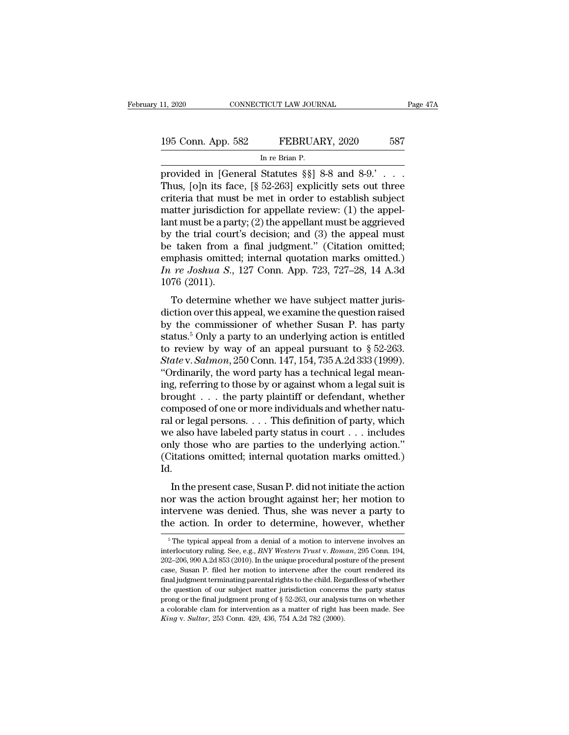provided in [General Statutes §§] 8-8 and 8-9.' . . .<br>Thus, [o]n its face, [§ 52-263] explicitly sets out three<br>exitoria that must be met in erder to establish subject 195 Conn. App. 582 FEBRUARY, 2020 587<br>
In re Brian P.<br>
provided in [General Statutes §§] 8-8 and 8-9.'...<br>
Thus, [o]n its face, [§ 52-263] explicitly sets out three<br>
criteria that must be met in order to establish subject<br> 195 Conn. App. 582 FEBRUARY, 2020 587<br>
In re Brian P.<br>
provided in [General Statutes §§] 8-8 and 8-9.' . . . .<br>
Thus, [o]n its face, [§ 52-263] explicitly sets out three<br>
criteria that must be met in order to establish su 195 Conn. App. 582 FEBRUARY, 2020 587<br>
In re Brian P.<br>
provided in [General Statutes §§] 8-8 and 8-9.' . . . Thus, [o]n its face, [§ 52-263] explicitly sets out three<br>
criteria that must be met in order to establish subje INTERTITY, 2020<br>In re Brian P.<br>provided in [General Statutes §§] 8-8 and 8-9.'...<br>Thus, [o]n its face, [§ 52-263] explicitly sets out three<br>criteria that must be met in order to establish subject<br>matter jurisdiction for a In re Brian P.<br>
provided in [General Statutes §§] 8-8 and 8-9.'...<br>
Thus, [o]n its face, [§ 52-263] explicitly sets out three<br>
criteria that must be met in order to establish subject<br>
matter jurisdiction for appellate rev provided in [General Statutes §§] 8-8 and 8-9.' . . . . Thus, [o]n its face, [§ 52-263] explicitly sets out three criteria that must be met in order to establish subject matter jurisdiction for appellate review: (1) the a Thus, [o]n its face, [§ 52-263] explicitly sets out three criteria that must be met in order to establish subject matter jurisdiction for appellate review: (1) the appellant must be a party; (2) the appellant must be aggr criteria that must be met in order to establish subject<br>matter jurisdiction for appellate review: (1) the appel-<br>lant must be a party; (2) the appellant must be aggrieved<br>by the trial court's decision; and (3) the appeal m matter jurisdictio<br>lant must be a par<br>by the trial court<br>be taken from a<br>emphasis omitted<br>*In re Joshua S.*,<br>1076 (2011).<br>To determine v The trial court's decision; and (3) the appeal must<br>taken from a final judgment." (Citation omitted;<br>phasis omitted; internal quotation marks omitted.)<br>*re Joshua S.*, 127 Conn. App. 723, 727–28, 14 A.3d<br>76 (2011).<br>To det be taken from a final judgment." (Citation omitted;<br>emphasis omitted; internal quotation marks omitted.)<br>*In re Joshua S.*, 127 Conn. App. 723, 727–28, 14 A.3d<br>1076 (2011).<br>To determine whether we have subject matter juri

be taken from a final judgment. (Chatton onlitted,<br>emphasis omitted; internal quotation marks omitted.)<br>In re Joshua S., 127 Conn. App. 723, 727–28, 14 A.3d<br>1076 (2011).<br>To determine whether we have subject matter juris-<br> *In re Joshua S.*, 127 Conn. App. 723, 727–28, 14 A.3d<br>1076 (2011).<br>To determine whether we have subject matter juris-<br>diction over this appeal, we examine the question raised<br>by the commissioner of whether Susan P. has p The velocity of an appearance of whether we have subject matter jurisdiction over this appeal, we examine the question raised<br>by the commissioner of whether Susan P. has party status.<sup>5</sup> Only a party to an underlying acti To determine whether we have subject matter juris-<br>diction over this appeal, we examine the question raised<br>by the commissioner of whether Susan P. has party<br>status.<sup>5</sup> Only a party to an underlying action is entitled<br>to r To determine whether we have subject matter juris-<br>diction over this appeal, we examine the question raised<br>by the commissioner of whether Susan P. has party<br>status.<sup>5</sup> Only a party to an underlying action is entitled<br>to diction over this appeal, we examine the question raised<br>by the commissioner of whether Susan P. has party<br>status.<sup>5</sup> Only a party to an underlying action is entitled<br>to review by way of an appeal pursuant to § 52-263.<br>*S* by the commissioner of whether Susan P. has party<br>status.<sup>5</sup> Only a party to an underlying action is entitled<br>to review by way of an appeal pursuant to § 52-263.<br>*State* v. *Salmon*, 250 Conn. 147, 154, 735 A.2d 333 (1999 status.<sup>5</sup> Only a party to an underlying action is entitled<br>to review by way of an appeal pursuant to § 52-263.<br>State v. Salmon, 250 Conn. 147, 154, 735 A.2d 333 (1999).<br>"Ordinarily, the word party has a technical legal m to review by way of an appeal pursuant to § 52-263.<br> *State* v. *Salmon*, 250 Conn. 147, 154, 735 A.2d 333 (1999).<br>
"Ordinarily, the word party has a technical legal meaning, referring to those by or against whom a legal State v. Salmon, 250 Conn. 147, 154, 735 A.2d 333 (1999).<br>
"Ordinarily, the word party has a technical legal meaning, referring to those by or against whom a legal suit is<br>
brought . . . the party plaintiff or defendant, "Ordinarily, the word party has a technical legal meaning, referring to those by or against whom a legal suit is brought . . . the party plaintiff or defendant, whether composed of one or more individuals and whether natu ing, referring to those by or against whom a legal suit is<br>brought . . . the party plaintiff or defendant, whether<br>composed of one or more individuals and whether natu-<br>ral or legal persons. . . . This definition of party, Id. I or legal persons. . . . This definition of party, which<br>e also have labeled party status in court . . . includes<br>ly those who are parties to the underlying action."<br>itations omitted; internal quotation marks omitted.)<br>. Far of legal persons.  $\ldots$  into definition of party, which we also have labeled party status in court  $\ldots$  includes only those who are parties to the underlying action."<br>(Citations omitted; internal quotation marks omit

we also have labeled party status in court  $\ldots$  includes<br>only those who are parties to the underlying action."<br>(Citations omitted; internal quotation marks omitted.)<br>Id.<br>In the present case, Susan P. did not initiate the (Citations omitted; internal quotation marks omitted.)<br>Id.<br>In the present case, Susan P. did not initiate the action<br>nor was the action brought against her; her motion to<br>intervene was denied. Thus, she was never a party In the present case, Susan P. did not initiate the action<br>or was the action brought against her; her motion to<br>tervene was denied. Thus, she was never a party to<br>le action. In order to determine, however, whether<br> $\frac{5}{n}$ nor was the action brought against her; her motion to intervene was denied. Thus, she was never a party to the action. In order to determine, however, whether  $\frac{1}{100}$  The typical appeal from a denial of a motion to int

intervene was denied. Thus, she was never a party to<br>the action. In order to determine, however, whether<br><sup>5</sup>The typical appeal from a denial of a motion to intervene involves an<br>interlocutory ruling. See, e.g., *BNY Wester* The action. In order to determine, however, whether<br>
<sup>5</sup> The typical appeal from a denial of a motion to intervene involves an<br>
interlocutory ruling. See, e.g., *BNY Western Trust v. Roman*, 295 Conn. 194,<br>
202–206, 990 A. <sup>5</sup> The typical appeal from a denial of a motion to intervene involves an interlocutory ruling. See, e.g., *BNY Western Trust v. Roman*, 295 Conn. 194, 202–206, 990 A.2d 853 (2010). In the unique procedural posture of the <sup>5</sup> The typical appeal from a denial of a motion to intervene involves an interlocutory ruling. See, e.g., *BNY Western Trust v. Roman*, 295 Conn. 194, 202–206, 990 A.2d 853 (2010). In the unique procedural posture of the interlocutory ruling. See, e.g., *BNY Western Trust* v. *Roman*, 295 Conn. 194, 202–206, 990 A.2d 853 (2010). In the unique procedural posture of the present case, Susan P. filed her motion to intervene after the court re 202–206, 990 A.2d 853 (2010). In the unique procedural posture of the present case, Susan P. filed her motion to intervene after the court rendered its final judgment terminating parental rights to the child. Regardless o case, Susan P. filed her motion to intervene after the court rendered its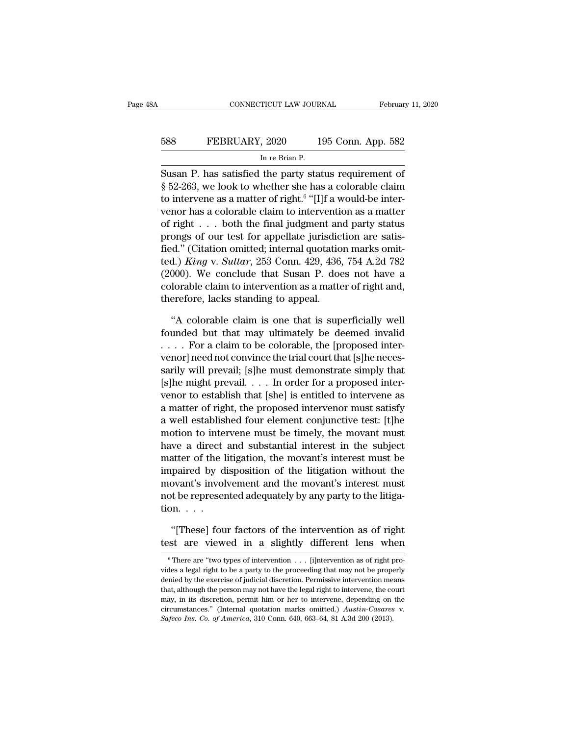# EXECUTE CONNECTICUT LAW JOURNAL February 11, 2020<br>588 FEBRUARY, 2020 195 Conn. App. 582<br>In re Brian P. TICUT LAW JOUR<br>, 2020 1<br>In re Brian P.<br>the party sta

CONNECTICUT LAW JOURNAL February 11, 2020<br>
SUSAN P. has satisfied the party status requirement of Status requirement of Status requirement of Status requirement of Status requirement of Status requirement of Status require **EXECT FROM SET ASSESS FEBRUARY, 2020** 195 Conn. App. 582<br>
In re Brian P.<br>
Susan P. has satisfied the party status requirement of<br>
§ 52-263, we look to whether she has a colorable claim<br>
to intervene as a matter of right. FEBRUARY, 2020 195 Conn. App. 582<br>
In re Brian P.<br>
Susan P. has satisfied the party status requirement of<br>
§ 52-263, we look to whether she has a colorable claim<br>
to intervene as a matter of right.<sup>6</sup> "[I]f a would-be inte FEBRUARY, 2020 195 Conn. App. 582<br>
In re Brian P.<br>
Susan P. has satisfied the party status requirement of<br>
§ 52-263, we look to whether she has a colorable claim<br>
to intervene as a matter of right.<sup>6</sup> "[I]f a would-be int In re Brian P.<br>
Susan P. has satisfied the party status requirement of<br>
§ 52-263, we look to whether she has a colorable claim<br>
to intervene as a matter of right.<sup>6</sup> "[I]f a would-be inter-<br>
venor has a colorable claim to Susan P. has satisfied the party status requirement of § 52-263, we look to whether she has a colorable claim<br>to intervene as a matter of right.<sup>6</sup> "[I]f a would-be inter-<br>venor has a colorable claim to intervention as a Susan P. has satisfied the party status requirement of § 52-263, we look to whether she has a colorable claim<br>to intervene as a matter of right.<sup>6</sup> "[I]f a would-be intervenor has a colorable claim to intervention as a ma § 52-263, we look to whether she has a colorable claim<br>to intervene as a matter of right.<sup>6</sup> "[I]f a would-be inter-<br>venor has a colorable claim to intervention as a matter<br>of right . . . both the final judgment and party to intervene as a matter of right.<sup>5</sup> "[1] a would-be intervenor has a colorable claim to intervention as a matter of right . . . both the final judgment and party status prongs of our test for appellate jurisdiction are venor has a colorable claim to intervention as a matter<br>of right  $\dots$  both the final judgment and party status<br>prongs of our test for appellate jurisdiction are satis-<br>fied.) *King v. Sultar*, 253 Conn. 429, 436, 754 A.2d of right . . . both the final judgment an<br>prongs of our test for appellate jurisdict<br>fied." (Citation omitted; internal quotatio<br>ted.) King v. Sultar, 253 Conn. 429, 436,<br>(2000). We conclude that Susan P. doe<br>colorable cla d." (Citation omitted; internal quotation marks omit-<br>
d.) King v. Sultar, 253 Conn. 429, 436, 754 A.2d 782<br>
000). We conclude that Susan P. does not have a<br>
lorable claim to intervention as a matter of right and,<br>
erefore ted.) *King* v. *Sultar*, 253 Conn. 429, 436, 754 A.2d 782 (2000). We conclude that Susan P. does not have a colorable claim to intervention as a matter of right and, therefore, lacks standing to appeal.<br>
"A colorable cla

(2000). We conclude that Susan P. does not have a colorable claim to intervention as a matter of right and, therefore, lacks standing to appeal.<br>
"A colorable claim is one that is superficially well founded but that may u colorable claim to intervention as a matter of right and,<br>therefore, lacks standing to appeal.<br>"A colorable claim is one that is superficially well<br>founded but that may ultimately be deemed invalid<br>... For a claim to be co therefore, lacks standing to appeal.<br>
"A colorable claim is one that is superficially well<br>
founded but that may ultimately be deemed invalid<br>
.... For a claim to be colorable, the [proposed inter-<br>
venor] need not convinc "A colorable claim is one that is superficially well<br>founded but that may ultimately be deemed invalid<br> $\ldots$ . For a claim to be colorable, the [proposed inter-<br>venor] need not convince the trial court that [s]he neces-<br>sa "A colorable claim is one that is superficially well<br>founded but that may ultimately be deemed invalid<br>.... For a claim to be colorable, the [proposed inter-<br>venor] need not convince the trial court that [s]he neces-<br>sari founded but that may ultimately be deemed invalid<br>  $\ldots$  For a claim to be colorable, the [proposed inter-<br>
venor] need not convince the trial court that [s]he neces-<br>
sarily will prevail.  $\ldots$  In order for a proposed in . . . . . For a claim to be colorable, the [proposed inter-<br>venor] need not convince the trial court that [s]he neces-<br>sarily will prevail; [s]he must demonstrate simply that<br>[s]he might prevail. . . . In order for a prop venor] need not convince the trial court that [s]he necessarily will prevail; [s]he must demonstrate simply that [s]he might prevail. . . . In order for a proposed intervenor to establish that [she] is entitled to interven sarily will prevail; [s]he must demonstrate simply that [s]he might prevail. . . . In order for a proposed intervenor to establish that [she] is entitled to intervene as a matter of right, the proposed intervenor must sat [s]he might prevail. . . . In order for a proposed inter-<br>venor to establish that [she] is entitled to intervene as<br>a matter of right, the proposed intervenor must satisfy<br>a well established four element conjunctive test: venor to establish that [she] is entitled to intervene as<br>a matter of right, the proposed intervenor must satisfy<br>a well established four element conjunctive test: [t]he<br>motion to intervene must be timely, the movant must<br> a matter of right, the proposed intervenor must satisfy<br>a well established four element conjunctive test: [t]he<br>motion to intervene must be timely, the movant must<br>have a direct and substantial interest in the subject<br>matt a well established four element conjunctive test: [t]he motion to intervene must be timely, the movant must have a direct and substantial interest in the subject matter of the litigation, the movant's interest must be imp motion to inte:<br>have a direct<br>matter of the l<br>impaired by d<br>movant's invol<br>not be represer<br>tion. . . . .<br>"[Thesel fou atter of the litigation, the movant's interest must be paired by disposition of the litigation without the bovant's involvement and the movant's interest must to be represented adequately by any party to the litiga-<br>pn. . impaired by disposition of the litigation without the<br>movant's involvement and the movant's interest must<br>not be represented adequately by any party to the litiga-<br>tion. . . .<br>"[These] four factors of the intervention as

<sup>6</sup> There are ''two types of intervention . . . [i]ntervention as of right pro-

<sup>&</sup>quot;[These] four factors of the intervention as of right test are viewed in a slightly different lens when  $\frac{1}{10}$   $\frac{1}{10}$   $\frac{1}{10}$   $\frac{1}{10}$   $\frac{1}{10}$   $\frac{1}{10}$   $\frac{1}{10}$   $\frac{1}{10}$   $\frac{1}{10}$   $\frac{1}{10}$   $\frac{1}{1$ "[These] four factors of the intervention as of right test are viewed in a slightly different lens when  $\frac{1}{\pi}$  There are "two types of intervention . . . [i] intervention as of right provides a legal right to be a par test are viewed in a slightly different lens when<br>  $\overline{\phantom{a}}$  There are "two types of intervention . . . [i]<br>
right provides a legal right to be a party to the proceeding that may not be properly<br>
denied by the exercise <sup>6</sup> There are "two types of intervention . . . [i]<br>ntervention as of right provides a legal right to be a party to the proceeding that may not be properly denied by the exercise of judicial discretion. Permissive interven <sup>6</sup> There are "two types of intervention  $\ldots$  [i]ntervention as of right provides a legal right to be a party to the proceeding that may not be properly denied by the exercise of judicial discretion. Permissive intervent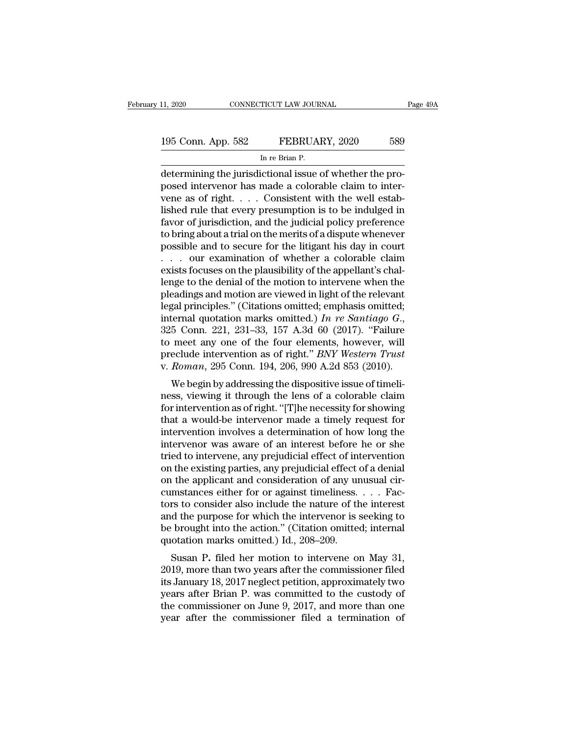| 11, 2020           | CONNECTICUT LAW JOURNAL                                  | Page 49A |
|--------------------|----------------------------------------------------------|----------|
|                    |                                                          |          |
| 195 Conn. App. 582 | FEBRUARY, 2020                                           | 589      |
|                    | In re Brian P.                                           |          |
|                    | determining the iurisdictional issue of whether the pro- |          |

CONNECTICUT LAW JOURNAL<br>
195 Conn. App. 582 FEBRUARY, 2020 589<br>
In re Brian P.<br>
determining the jurisdictional issue of whether the pro-<br>
posed intervenor has made a colorable claim to inter-195 Conn. App. 582 FEBRUARY, 2020 589<br>
In re Brian P.<br>
determining the jurisdictional issue of whether the pro-<br>
posed intervenor has made a colorable claim to inter-<br>
vene as of right. . . . Consistent with the well estab 195 Conn. App. 582 FEBRUARY, 2020 589<br>
In re Brian P.<br>
determining the jurisdictional issue of whether the proposed intervenor has made a colorable claim to intervene as of right. . . . Consistent with the well estab-<br>
lis 195 Conn. App. 582 FEBRUARY, 2020 589<br>
In re Brian P.<br>
determining the jurisdictional issue of whether the proposed intervenor has made a colorable claim to intervene as of right. . . . Consistent with the well established From the Brian P.<br>
In re Brian P.<br>
determining the jurisdictional issue of whether the pro-<br>
posed intervenor has made a colorable claim to inter-<br>
vene as of right. . . . Consistent with the well estab-<br>
lished rule that  $\frac{1}{2}$  in re Bran P.<br>determining the jurisdictional issue of whether the pro-<br>posed intervenor has made a colorable claim to inter-<br>vene as of right. . . . Consistent with the well estab-<br>lished rule that every presump determining the jurisdictional issue of whether the proposed intervenor has made a colorable claim to intervene as of right. . . . Consistent with the well established rule that every presumption is to be indulged in favor posed intervenor has made a colorable claim to inter-<br>vene as of right. . . . Consistent with the well estab-<br>lished rule that every presumption is to be indulged in<br>favor of jurisdiction, and the judicial policy preferen vene as of right. . . . Consistent with the well established rule that every presumption is to be indulged in favor of jurisdiction, and the judicial policy preference to bring about a trial on the merits of a dispute whe lished rule that every presumption is to be indulged in<br>favor of jurisdiction, and the judicial policy preference<br>to bring about a trial on the merits of a dispute whenever<br>possible and to secure for the litigant his day i favor of jurisdiction, and the judicial policy preference<br>to bring about a trial on the merits of a dispute whenever<br>possible and to secure for the litigant his day in court<br> $\dots$  our examination of whether a colorable cla to bring about a trial on the merits of a dispute whenever<br>possible and to secure for the litigant his day in court<br>... our examination of whether a colorable claim<br>exists focuses on the plausibility of the appellant's ch possible and to secure for the litigant his day in court<br>
... our examination of whether a colorable claim<br>
exists focuses on the plausibility of the appellant's chal-<br>
lenge to the denial of the motion to intervene when t exists focuses on the plausibility of the appellant's chal-<br>lenge to the denial of the motion to intervene when the<br>pleadings and motion are viewed in light of the relevant<br>legal principles." (Citations omitted; emphasis lenge to the denial of the motion to intervene when the pleadings and motion are viewed in light of the relevant legal principles." (Citations omitted; emphasis omitted; internal quotation marks omitted.) *In re Santiago* pleadings and motion are viewed in light of the relevant<br>legal principles." (Citations omitted; emphasis omitted;<br>internal quotation marks omitted.) In re Santiago G.,<br>325 Conn. 221, 231–33, 157 A.3d 60 (2017). "Failure<br>to gal principles. (Citations officied, emphasis officied, ternal quotation marks omitted.) In re Santiago  $G$ ., 5 Conn. 221, 231–33, 157 A.3d 60 (2017). "Failure meet any one of the four elements, however, will eclude inter mernar quotation marks omitted.) In Te Santago G.,<br>325 Conn. 221, 231–33, 157 A.3d 60 (2017). "Failure<br>to meet any one of the four elements, however, will<br>preclude intervention as of right." *BNY Western Trust*<br>v. *Roman* 

 $525$  Collit.  $221$ ,  $251-55$ ,  $157$  A.5d 60 ( $2017$ ). Fallue to meet any one of the four elements, however, will preclude intervention as of right." *BNY Western Trust* v. *Roman*, 295 Conn. 194, 206, 990 A.2d 853 (2010) to meet any one of the four elements, however, wind<br>preclude intervention as of right." *BNY Western Trust*<br>v. *Roman*, 295 Conn. 194, 206, 990 A.2d 853 (2010).<br>We begin by addressing the dispositive issue of timeli-<br>ness, v. Roman, 295 Conn. 194, 206, 990 A.2d 853 (2010).<br>We begin by addressing the dispositive issue of timeli-<br>ness, viewing it through the lens of a colorable claim<br>for intervention as of right. "[T]he necessity for showing<br> We begin by addressing the dispositive issue of timeli-<br>ness, viewing it through the lens of a colorable claim<br>for intervention as of right. "[T] he necessity for showing<br>that a would-be intervenor made a timely request f We begin by addressing the dispositive issue of timeli-<br>ness, viewing it through the lens of a colorable claim<br>for intervention as of right. "[T]he necessity for showing<br>that a would-be intervenor made a timely request for ness, viewing it through the lens of a colorable claim<br>for intervention as of right. "[T]he necessity for showing<br>that a would-be intervenor made a timely request for<br>intervention involves a determination of how long the<br>i for intervention as of right. "[T]he necessity for showing<br>that a would-be intervenor made a timely request for<br>intervention involves a determination of how long the<br>intervenor was aware of an interest before he or she<br>tr that a would-be intervenor made a timely request for<br>intervention involves a determination of how long the<br>intervenor was aware of an interest before he or she<br>tried to intervene, any prejudicial effect of intervention<br>on intervention involves a determination of how long the<br>intervenor was aware of an interest before he or she<br>tried to intervene, any prejudicial effect of intervention<br>on the existing parties, any prejudicial effect of a den intervenor was aware of an interest before he or she<br>tried to intervene, any prejudicial effect of intervention<br>on the existing parties, any prejudicial effect of a denial<br>on the applicant and consideration of any unusual tried to intervene, any prejudicial effect of intervention<br>on the existing parties, any prejudicial effect of a denial<br>on the applicant and consideration of any unusual cir-<br>cumstances either for or against timeliness. . . on the existing parties, any prejudicial effect on the applicant and consideration of any un cumstances either for or against timeliness.<br>tors to consider also include the nature of the and the purpose for which the interv The applicant and consideration of any diffused chromatances either for or against timeliness. . . . Facers to consider also include the nature of the interest d the purpose for which the intervenor is seeking to brought i cunistances entier for or against untenness.  $\ldots$  ractors to consider also include the nature of the interest<br>and the purpose for which the intervenor is seeking to<br>be brought into the action." (Citation omitted; interna

it is to consider also include the nature of the interest<br>and the purpose for which the intervenor is seeking to<br>be brought into the action." (Citation omitted; internal<br>quotation marks omitted.) Id., 208–209.<br>Susan P. fil and the purpose for which the intervenor is seeking to<br>be brought into the action." (Citation omitted; internal<br>quotation marks omitted.) Id., 208–209.<br>Susan P. filed her motion to intervene on May 31,<br>2019, more than two be brought into the action. (Chatron onlifted, internation<br>quotation marks omitted.) Id., 208–209.<br>Susan P. filed her motion to intervene on May 31,<br>2019, more than two years after the commissioner filed<br>its January 18, 20 Susan P. filed her motion to intervene on May 31, 2019, more than two years after the commissioner filed its January 18, 2017 neglect petition, approximately two years after Brian P. was committed to the custody of the co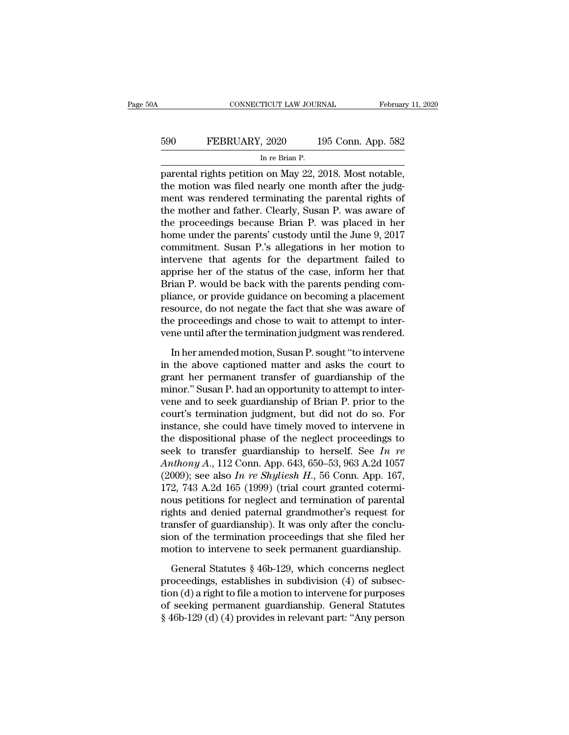# EXECUTE CONNECTICUT LAW JOURNAL February 11, 2020<br>590 FEBRUARY, 2020 195 Conn. App. 582<br>In re Brian P. 11 TICUT LAW JOUR<br>|-<br>| 2020 1<br>| In re Brian P.<br>| 2010 May 22 2

cONNECTICUT LAW JOURNAL February 11, 2<br>
FEBRUARY, 2020 195 Conn. App. 582<br>
In re Brian P.<br>
parental rights petition on May 22, 2018. Most notable,<br>
the motion was filed nearly one month after the judg-<br>
mont was rendered t the motion was filed nearly one month after the judg-<br>the motion was filed nearly one month after the judg-<br>the motion was filed nearly one month after the judg-<br>the mother and father. Clearly Susan P, was aware of FEBRUARY, 2020 195 Conn. App. 582<br>
In re Brian P.<br>
parental rights petition on May 22, 2018. Most notable,<br>
the motion was filed nearly one month after the judg-<br>
ment was rendered terminating the parental rights of<br>
the the mother and father. Clearly, Susan P. was placed in her proceedings because Brian P. was aware of the mother and father. Clearly, Susan P. was aware of the proceedings because Brian P. was placed in her home under the In re Brian P.<br>
In re Brian P.<br>
parental rights petition on May 22, 2018. Most notable,<br>
the motion was filed nearly one month after the judg-<br>
ment was rendered terminating the parental rights of<br>
the mother and father. C  $\frac{m \text{ } \text{ } \text{ } \text{ } m \text{ } \text{ } e}$  branch P.<br>
parental rights petition on May 22, 2018. Most notable,<br>
the motion was filed nearly one month after the judg-<br>
ment was rendered terminating the parental rights of<br>
the mother parental rights petition on May 22, 2018. Most notable,<br>the motion was filed nearly one month after the judg-<br>ment was rendered terminating the parental rights of<br>the mother and father. Clearly, Susan P. was aware of<br>the p the motion was filed nearly one month after the judg-<br>ment was rendered terminating the parental rights of<br>the mother and father. Clearly, Susan P. was aware of<br>the proceedings because Brian P. was placed in her<br>home under ment was rendered terminating the parental rights of<br>the mother and father. Clearly, Susan P. was aware of<br>the proceedings because Brian P. was placed in her<br>home under the parents' custody until the June 9, 2017<br>commitmen the mother and father. Clearly, Susan P. was aware of<br>the proceedings because Brian P. was placed in her<br>home under the parents' custody until the June 9, 2017<br>commitment. Susan P.'s allegations in her motion to<br>intervene the proceedings because Brian P. was placed in her<br>home under the parents' custody until the June 9, 2017<br>commitment. Susan P.'s allegations in her motion to<br>intervene that agents for the department failed to<br>apprise her o home under the parents' custody until the June 9, 2017<br>commitment. Susan P.'s allegations in her motion to<br>intervene that agents for the department failed to<br>apprise her of the status of the case, inform her that<br>Brian P. commitment. Susan P.'s allegations in her motion to<br>intervene that agents for the department failed to<br>apprise her of the status of the case, inform her that<br>Brian P. would be back with the parents pending com-<br>pliance, or intervene that agents for the department failed to<br>apprise her of the status of the case, inform her that<br>Brian P. would be back with the parents pending com-<br>pliance, or provide guidance on becoming a placement<br>resource, rian P. would be back with the parents pending com-<br>iance, or provide guidance on becoming a placement<br>source, do not negate the fact that she was aware of<br>e proceedings and chose to wait to attempt to inter-<br>ne until afte pliance, or provide guidance on becoming a placement<br>resource, do not negate the fact that she was aware of<br>the proceedings and chose to wait to attempt to inter-<br>vene until after the termination judgment was rendered.<br>In

resource, do not negate the fact that she was aware of<br>the proceedings and chose to wait to attempt to inter-<br>vene until after the termination judgment was rendered.<br>In her amended motion, Susan P. sought "to intervene<br>in the proceedings and chose to wait to attempt to inter-<br>vene until after the termination judgment was rendered.<br>In her amended motion, Susan P. sought "to intervene<br>in the above captioned matter and asks the court to<br>grant vene until after the termination judgment was rendered.<br>
In her amended motion, Susan P. sought "to intervene<br>
in the above captioned matter and asks the court to<br>
grant her permanent transfer of guardianship of the<br>
minor In her amended motion, Susan P. sought "to intervene<br>in the above captioned matter and asks the court to<br>grant her permanent transfer of guardianship of the<br>minor." Susan P. had an opportunity to attempt to inter-<br>vene and In her amended motion, Susan P. sought "to intervene<br>in the above captioned matter and asks the court to<br>grant her permanent transfer of guardianship of the<br>minor." Susan P. had an opportunity to attempt to inter-<br>vene an in the above captioned matter and asks the court to<br>grant her permanent transfer of guardianship of the<br>minor." Susan P. had an opportunity to attempt to inter-<br>vene and to seek guardianship of Brian P. prior to the<br>court grant her permanent transfer of guardianship of the<br>minor." Susan P. had an opportunity to attempt to inter-<br>vene and to seek guardianship of Brian P. prior to the<br>court's termination judgment, but did not do so. For<br>inst minor." Susan P. had an opportunity to attempt to inter-<br>vene and to seek guardianship of Brian P. prior to the<br>court's termination judgment, but did not do so. For<br>instance, she could have timely moved to intervene in<br>the vene and to seek guardianship of Brian P. prior to the court's termination judgment, but did not do so. For instance, she could have timely moved to intervene in the dispositional phase of the neglect proceedings to seek t court's termination judgment, but did not do so. For<br>instance, she could have timely moved to intervene in<br>the dispositional phase of the neglect proceedings to<br>seek to transfer guardianship to herself. See In re<br>Anthony instance, she could have timely moved to intervene in<br>the dispositional phase of the neglect proceedings to<br>seek to transfer guardianship to herself. See In re<br>Anthony A., 112 Conn. App. 643, 650–53, 963 A.2d 1057<br>(2009); the dispositional phase of the neglect proceedings to<br>seek to transfer guardianship to herself. See *In re*<br>Anthony A., 112 Conn. App. 643, 650–53, 963 A.2d 1057<br>(2009); see also *In re Shyliesh H.*, 56 Conn. App. 167,<br>17 seek to transfer guardianship to herself. See *In re*<br>Anthony A., 112 Conn. App. 643, 650–53, 963 A.2d 1057<br>(2009); see also *In re Shyliesh H.*, 56 Conn. App. 167,<br>172, 743 A.2d 165 (1999) (trial court granted cotermi-<br>n Anthony A., 112 Conn. App. 643, 650–53, 963 A.2d 1057 (2009); see also In re Shyliesh H., 56 Conn. App. 167, 172, 743 A.2d 165 (1999) (trial court granted coterminous petitions for neglect and termination of parental righ (2009); see also *In re Shyliesh H.*, 56 Conn. App. 167, 172, 743 A.2d 165 (1999) (trial court granted coterminous petitions for neglect and termination of parental rights and denied paternal grandmother's request for tra bus petitions for neglect and termination of parental<br>ghts and denied paternal grandmother's request for<br>ansfer of guardianship). It was only after the conclu-<br>on of the termination proceedings that she filed her<br>otion to rights and denied paternal grandmother's request for<br>transfer of guardianship). It was only after the conclu-<br>sion of the termination proceedings that she filed her<br>motion to intervene to seek permanent guardianship.<br>Gene

transfer of guardianship). It was only after the conclusion of the termination proceedings that she filed her motion to intervene to seek permanent guardianship.<br>General Statutes § 46b-129, which concerns neglect proceedi sion of the termination proceedings that she filed her<br>motion to intervene to seek permanent guardianship.<br>General Statutes § 46b-129, which concerns neglect<br>proceedings, establishes in subdivision (4) of subsec-<br>tion (d) motion to intervene to seek permanent guardianship.<br>
General Statutes § 46b-129, which concerns neglect<br>
proceedings, establishes in subdivision (4) of subsec-<br>
tion (d) a right to file a motion to intervene for purposes<br>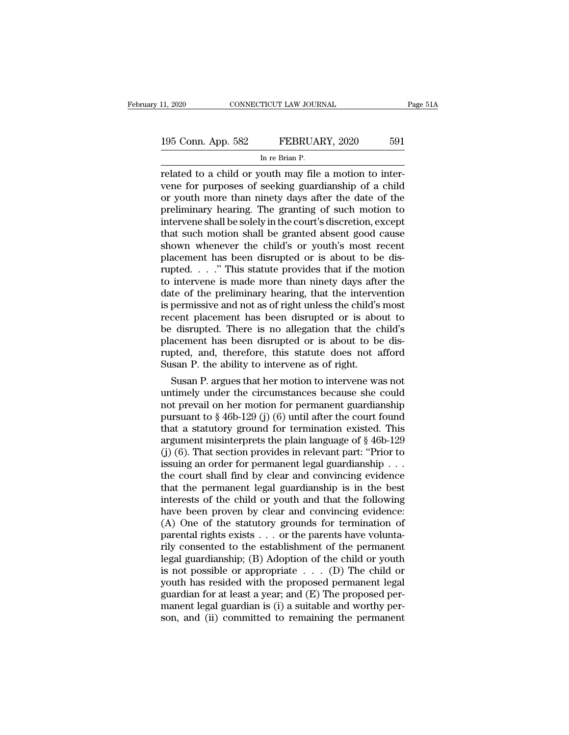# 11, 2020 CONNECTICUT LAW JOURNAL Page 51A<br>195 Conn. App. 582 FEBRUARY, 2020 591<br>In re Brian P. TICUT LAW JOUR<br>FEBRUAl<br>In re Brian P.<br>Outh may file

related to a child or youth may file a motion to inter-<br>related to a child or youth may file a motion to inter-<br>vene for purposes of seeking guardianship of a child<br>or youth more than ninety days after the date of the 195 Conn. App. 582 FEBRUARY, 2020 591<br>
In re Brian P.<br>
Trelated to a child or youth may file a motion to inter-<br>
Trelated to a child or youth may file a motion to inter-<br>
The strategy strategy of a child<br>
The strategy of s 195 Conn. App. 582 FEBRUARY, 2020 591<br>
In re Brian P.<br>
Trelated to a child or youth may file a motion to inter-<br>
vene for purposes of seeking guardianship of a child<br>
or youth more than ninety days after the date of the<br> 195 Conn. App. 582 FEBRUARY, 2020 591<br>
In re Brian P.<br>
Trelated to a child or youth may file a motion to inter-<br>
vene for purposes of seeking guardianship of a child<br>
or youth more than ninety days after the date of the<br>
p INTERT IS TO SULTERT THE SURVEY TO SUBSED THE SPIRIT TO SUPPOSE THE SPIRIT PRESENT THE SPIRIT PRESENT OF SPIRIT THE SPIRIT OF SPIRIT AND THE SPIRIT OF SPIRIT AND A SUPPOSE THAT SUCH THAT SUCH THAT SUCH THAT SUCH THAT SUCH In re Brian P.<br>
Trelated to a child or youth may file a motion to inter-<br>
vene for purposes of seeking guardianship of a child<br>
or youth more than ninety days after the date of the<br>
preliminary hearing. The granting of suc related to a child or youth may file a motion to inter-<br>vene for purposes of seeking guardianship of a child<br>or youth more than ninety days after the date of the<br>preliminary hearing. The granting of such motion to<br>interven vene for purposes of seeking guardianship of a child<br>or youth more than ninety days after the date of the<br>preliminary hearing. The granting of such motion to<br>intervene shall be solely in the court's discretion, except<br>that or youth more than ninety days after the date of the<br>preliminary hearing. The granting of such motion to<br>intervene shall be solely in the court's discretion, except<br>that such motion shall be granted absent good cause<br>shown preliminary hearing. The granting of such motion to<br>intervene shall be solely in the court's discretion, except<br>that such motion shall be granted absent good cause<br>shown whenever the child's or youth's most recent<br>placemen intervene shall be solely in the court's discretion, except<br>that such motion shall be granted absent good cause<br>shown whenever the child's or youth's most recent<br>placement has been disrupted or is about to be dis-<br>rupted. that such motion shall be granted absent good cause<br>shown whenever the child's or youth's most recent<br>placement has been disrupted or is about to be dis-<br>rupted. . . ." This statute provides that if the motion<br>to interven shown whenever the child's or youth's most recent<br>placement has been disrupted or is about to be dis-<br>rupted. . . ." This statute provides that if the motion<br>to intervene is made more than ninety days after the<br>date of th placement has been disrupted or is about to be dis-<br>rupted. . . ." This statute provides that if the motion<br>to intervene is made more than ninety days after the<br>date of the preliminary hearing, that the intervention<br>is per rupted.  $\ldots$ ." This statute provides that if the motion to intervene is made more than ninety days after the date of the preliminary hearing, that the intervention is permissive and not as of right unless the child's mos to intervene is made more than ninety days after the<br>date of the preliminary hearing, that the intervention<br>is permissive and not as of right unless the child's most<br>recent placement has been disrupted or is about to<br>be di date of the preliminary hearing, that the interve<br>is permissive and not as of right unless the child's<br>recent placement has been disrupted or is abo<br>be disrupted. There is no allegation that the c<br>placement has been disrup permissive and not as of right unless the child's most<br>cent placement has been disrupted or is about to<br>idsrupted. There is no allegation that the child's<br>acement has been disrupted or is about to be dis-<br>pted, and, theref recent placement has been disrupted or is about to<br>be disrupted. There is no allegation that the child's<br>placement has been disrupted or is about to be dis-<br>rupted, and, therefore, this statute does not afford<br>Susan P. th

be disrupted. There is no allegation that the chuld's<br>placement has been disrupted or is about to be dis-<br>rupted, and, therefore, this statute does not afford<br>Susan P. the ability to intervene as of right.<br>Susan P. argues placement has been disrupted or is about to be dis-<br>rupted, and, therefore, this statute does not afford<br>Susan P. the ability to intervene as of right.<br>Susan P. argues that her motion to intervene was not<br>untimely under th rupted, and, therefore, this statute does not afford<br>Susan P. the ability to intervene as of right.<br>Susan P. argues that her motion to intervene was not<br>untimely under the circumstances because she could<br>not prevail on he Susan P. the ability to intervene as of right.<br>
Susan P. argues that her motion to intervene was not<br>
untimely under the circumstances because she could<br>
not prevail on her motion for permanent guardianship<br>
pursuant to § Susan P. argues that her motion to intervene was not<br>untimely under the circumstances because she could<br>not prevail on her motion for permanent guardianship<br>pursuant to § 46b-129 (j) (6) until after the court found<br>that a untimely under the circumstances because she could<br>not prevail on her motion for permanent guardianship<br>pursuant to  $\S 46b-129$  (j) (6) until after the court found<br>that a statutory ground for termination existed. This<br>arg not prevail on her motion for permanent guardianship<br>pursuant to § 46b-129 (j) (6) until after the court found<br>that a statutory ground for termination existed. This<br>argument misinterprets the plain language of § 46b-129<br>( pursuant to  $\S$  46b-129 (j) (6) until after the court found<br>that a statutory ground for termination existed. This<br>argument misinterprets the plain language of  $\S$  46b-129<br>(j) (6). That section provides in relevant part: " that a statutory ground for termination existed. This<br>argument misinterprets the plain language of § 46b-129<br>(j) (6). That section provides in relevant part: "Prior to<br>issuing an order for permanent legal guardianship . . argument misinterprets the plain language of  $\S$  46b-129 (j) (6). That section provides in relevant part: "Prior to issuing an order for permanent legal guardianship . . . the court shall find by clear and convincing evid (j) (6). That section provides in relevant part: "Prior to issuing an order for permanent legal guardianship . . . the court shall find by clear and convincing evidence that the permanent legal guardianship is in the best issuing an order for permanent legal guardianship . . .<br>the court shall find by clear and convincing evidence<br>that the permanent legal guardianship is in the best<br>interests of the child or youth and that the following<br>hav the court shall find by clear and convincing evidence<br>that the permanent legal guardianship is in the best<br>interests of the child or youth and that the following<br>have been proven by clear and convincing evidence:<br>(A) One that the permanent legal guardianship is in the best<br>interests of the child or youth and that the following<br>have been proven by clear and convincing evidence:<br>(A) One of the statutory grounds for termination of<br>parental r interests of the child or youth and that the following<br>have been proven by clear and convincing evidence:<br>(A) One of the statutory grounds for termination of<br>parental rights exists . . . or the parents have volunta-<br>rily have been proven by clear and convincing evidence:<br>
(A) One of the statutory grounds for termination of<br>
parental rights exists . . . or the parents have volunta-<br>
rily consented to the establishment of the permanent<br>
leg (A) One of the statutory grounds for termination of<br>parental rights exists . . . or the parents have volunta-<br>rily consented to the establishment of the permanent<br>legal guardianship; (B) Adoption of the child or youth<br>is parental rights exists  $\ldots$  or the parents have volunta-<br>rily consented to the establishment of the permanent<br>legal guardianship; (B) Adoption of the child or youth<br>is not possible or appropriate  $\ldots$  (D) The child or<br>y rily consented to the establishment of the permanent<br>legal guardianship; (B) Adoption of the child or youth<br>is not possible or appropriate  $\ldots$  (D) The child or<br>youth has resided with the proposed permanent legal<br>guardia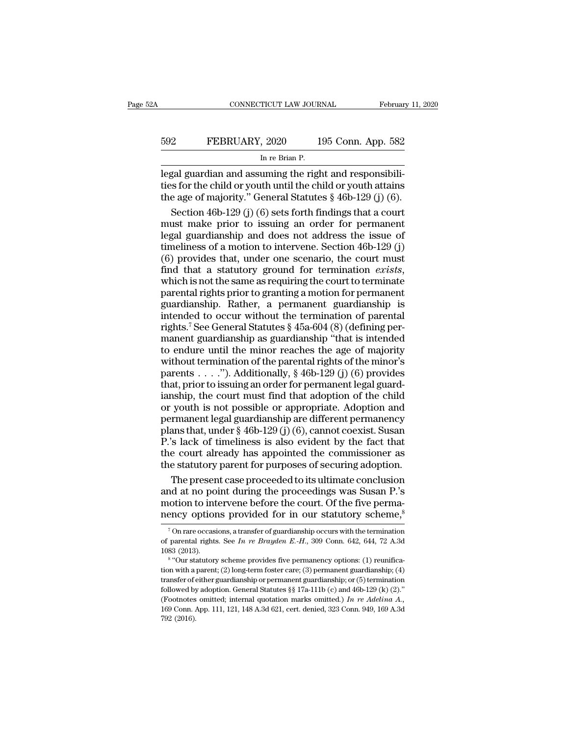| A   | CONNECTICUT LAW JOURNAL                                 | February 11, 2020  |
|-----|---------------------------------------------------------|--------------------|
| 592 | FEBRUARY, 2020                                          | 195 Conn. App. 582 |
|     | In re Brian P.                                          |                    |
|     | legal guardian and assuming the right and responsibili- |                    |

CONNECTICUT LAW JOURNAL Februar<br>
FEBRUARY, 2020 195 Conn. App. 582<br>
In re Brian P.<br>
legal guardian and assuming the right and responsibilities for the child or youth until the child or youth attains<br>
the 300 of majority " FEBRUARY, 2020 195 Conn. App. 582<br>
In re Brian P.<br>
legal guardian and assuming the right and responsibili-<br>
ties for the child or youth until the child or youth attains<br>
the age of majority." General Statutes § 46b-129 (j) FEBRUARY, 2020 195 Conn. App. 582<br>
In re Brian P.<br>
legal guardian and assuming the right and responsibilities for the child or youth until the child or youth attains<br>
the age of majority." General Statutes § 46b-129 (j) (6 FEBRUARY, 2020 195 Conn. App. 582<br>
In re Brian P.<br>
gal guardian and assuming the right and responsibili-<br>
s for the child or youth until the child or youth attains<br>
e age of majority." General Statutes § 46b-129 (j) (6).<br>

In re Brian P.<br>
Iegal guardian and assuming the right and responsibili-<br>
ties for the child or youth until the child or youth attains<br>
the age of majority." General Statutes § 46b-129 (j) (6).<br>
Section 46b-129 (j) (6) set In the Bhart P.<br>
legal guardian and assuming the right and responsibili-<br>
ties for the child or youth until the child or youth attains<br>
the age of majority." General Statutes § 46b-129 (j) (6).<br>
Section 46b-129 (j) (6) se legal guardian and assuming the right and responsibilities for the child or youth until the child or youth attains<br>the age of majority." General Statutes  $\S$  46b-129 (j) (6).<br>Section 46b-129 (j) (6) sets forth findings th ties for the child or youth until the child or youth attains<br>the age of majority." General Statutes  $\S$  46b-129 (j) (6).<br>Section 46b-129 (j) (6) sets forth findings that a court<br>must make prior to issuing an order for per the age of majority." General Statutes § 46b-129 (j) (6).<br>
Section 46b-129 (j) (6) sets forth findings that a court<br>
must make prior to issuing an order for permanent<br>
legal guardianship and does not address the issue of<br> must make prior to issuing an order for permanent<br>legal guardianship and does not address the issue of<br>timeliness of a motion to intervene. Section 46b-129 (j)<br>(6) provides that, under one scenario, the court must<br>find th legal guardianship and does not address the issue of<br>timeliness of a motion to intervene. Section 46b-129 (j)<br>(6) provides that, under one scenario, the court must<br>find that a statutory ground for termination *exists*,<br>wh regal gian analysing and deck first date of the termination (6) provides that, under one scenario, the court must<br>find that a statutory ground for termination *exists*, which is not the same as requiring the court to term (6) provides that, under one scenario, the court must<br>find that a statutory ground for termination *exists*,<br>which is not the same as requiring the court to terminate<br>parental rights prior to granting a motion for permane find that a statutory ground for termination *exists*,<br>thing that is not the same as requiring the court to terminate<br>parental rights prior to granting a motion for permanent<br>guardianship. Rather, a permanent guardianship which is not the same as requiring the court to terminate<br>parental rights prior to granting a motion for permanent<br>guardianship. Rather, a permanent guardianship is<br>intended to occur without the termination of parental<br>ri parental rights prior to granting anotion for permanent<br>parental rights prior to granting a motion for permanent<br>guardianship. Rather, a permanent guardianship is<br>intended to occur without the termination of parental<br>righ parential rights prior to granting a monotativer permanent<br>guardianship. Rather, a permanent guardianship is<br>intended to occur without the termination of parental<br>rights.<sup>7</sup> See General Statutes § 45a-604 (8) (defining pe intended to occur without the termination of parental<br>rights.<sup>7</sup> See General Statutes  $\S$  45a-604 (8) (defining per-<br>manent guardianship as guardianship "that is intended<br>to endure until the minor reaches the age of major moment scheme in that adoption of the control of the control of the contract rights.<sup>7</sup> See General Statutes § 45a-604 (8) (defining per-<br>manent guardianship as guardianship "that is intended<br>to endure until the minor rea regives see contrains baseded as a correct of the minded to endure until the minor reaches the age of majority<br>without termination of the parental rights of the minor's<br>parents . . . ."). Additionally, § 46b-129 (j) (6) p permanent legal guardianship are different permanent of enduced the minor reaches the age of majority without termination of the parental rights of the minor's parents . . . ."). Additionally, § 46b-129 (j) (6) provides t be virtinuate and are interested in the last of the minor's<br>parents . . . ."). Additionally, § 46b-129 (j) (6) provides<br>that, prior to issuing an order for permanent legal guard-<br>ianship, the court must find that adoption mateurs  $\dots$ ."). Additionally, § 46b-129 (j) (6) provides<br>that, prior to issuing an order for permanent legal guard-<br>ianship, the court must find that adoption of the child<br>or youth is not possible or appropriate. Adoptio that, prior to issuing an order for permanent legal guardianship, the court must find that adoption of the child<br>or youth is not possible or appropriate. Adoption and<br>permanent legal guardianship are different permanency<br> the status of the court must find that adoption of the child<br>or youth is not possible or appropriate. Adoption and<br>permanent legal guardianship are different permanency<br>plans that, under  $\S$  46b-129 (j) (6), cannot coexis youth is not possible or appropriate. Adoption and<br>rmanent legal guardianship are different permanency<br>ans that, under  $\S$  46b-129 (j) (6), cannot coexist. Susan<br>'s lack of timeliness is also evident by the fact that<br>e co permanent legal guardianship are different permanency<br>plans that, under § 46b-129 (j) (6), cannot coexist. Susan<br>P.'s lack of timeliness is also evident by the fact that<br>the court already has appointed the commissioner as<br> plans that, under § 46b-129 (j) (6), cannot coexist. Susan P.'s lack of timeliness is also evident by the fact that the court already has appointed the commissioner as the statutory parent for purposes of securing adoption

P.'s lack of timeliness is also evident by the fact that<br>the court already has appointed the commissioner as<br>the statutory parent for purposes of securing adoption.<br>The present case proceeded to its ultimate conclusion<br>an The present case proceeded to its ultimate conclusion<br>nd at no point during the proceedings was Susan P.'s<br>otion to intervene before the court. Of the five perma-<br>ency options provided for in our statutory scheme,<sup>8</sup><br><sup>7</sup> and at no point during the proceedings was Susan P.'s<br>motion to intervene before the court. Of the five perma-<br>nency options provided for in our statutory scheme,<sup>8</sup><br><sup>7</sup> On rare occasions, a transfer of guardianship occurs

motion to int<br>
motion to int<br>
Ton rare occasis<br>
of parental rights<br>
1083 (2013).<br>
<sup>8</sup> "Our statutory The matrix of the Figure 1. Of the IVe permanency options provided for in our statutory scheme,<sup>8</sup><br>On rare occasions, a transfer of guardianship occurs with the termination<br>parental rights. See *In re Brayden E.-H.*, 309

Thency Options provided for in our statutory scheme,<br>
<sup>7</sup> On rare occasions, a transfer of guardianship occurs with the termination<br>
of parental rights. See *In re Brayden E.-H.*, 309 Conn. 642, 644, 72 A.3d<br>  $1083$  (2013 <sup>7</sup> On rare occasions, a transfer of guardianship occurs with the termination of parental rights. See *In re Brayden E.-H.*, 309 Conn. 642, 644, 72 A.3d 1083 (2013).<br><sup>8</sup> "Our statutory scheme provides five permanency opti of parental rights. See *In re Brayden E.-H.*, 309 Conn. 642, 644, 72 A.3d 1083 (2013).<br><sup>8</sup> "Our statutory scheme provides five permanency options: (1) reunification with a parent; (2) long-term foster care; (3) permanent (For the Halling Constant) 1083 (2013).<br>
<sup>8</sup> "Our statutory scheme provides five permanency options: (1) reunifica-<br>
<sup>8</sup> "Our statutory scheme provides five permanent guardianship; (4)<br>
transfer of either guardianship or <sup>16</sup> Cour statutory scheme provides five permanency options: (1) reunification with a parent; (2) long-term foster care; (3) permanent guardianship; (4) transfer of either guardianship or permanent guardianship; or (5) te Figure 1<br>
tion with a<br>
transfer of e<br>
followed by<br>
(Footnotes<br>
169 Conn. 4<br>
792 (2016).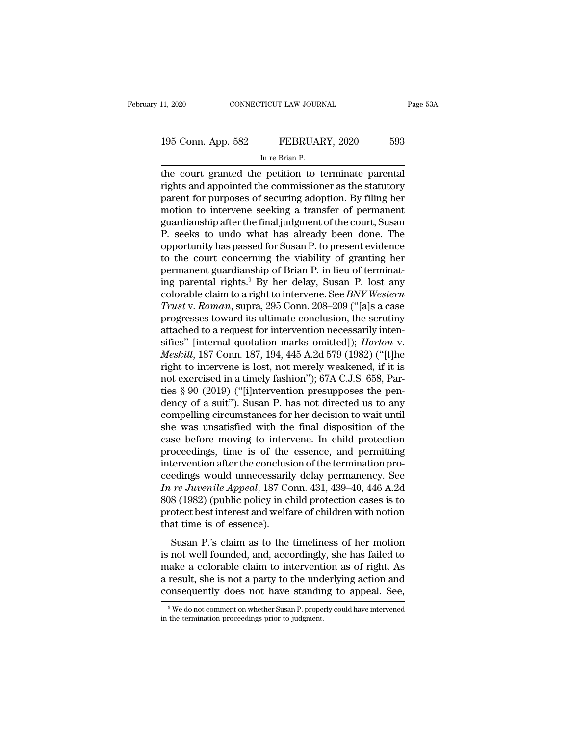The court granted the petition of terminate parental<br>The court granted the petition to terminate parental<br>Tights and appointed the commissioner as the statutory<br>The court for nurrosos of socuring adoption. By filing bor 195 Conn. App. 582 FEBRUARY, 2020 593<br>
In re Brian P.<br>
the court granted the petition to terminate parental<br>
rights and appointed the commissioner as the statutory<br>
parent for purposes of securing adoption. By filing her<br> 195 Conn. App. 582 FEBRUARY, 2020 593<br>
In re Brian P.<br>
the court granted the petition to terminate parental<br>
rights and appointed the commissioner as the statutory<br>
parent for purposes of securing adoption. By filing her<br> 195 Conn. App. 582 FEBRUARY, 2020 593<br>
In re Brian P.<br>
the court granted the petition to terminate parental<br>
rights and appointed the commissioner as the statutory<br>
parent for purposes of securing adoption. By filing her<br> INTERTITY, 2020<br>In re Brian P.<br>The court granted the petition to terminate parental<br>rights and appointed the commissioner as the statutory<br>parent for purposes of securing adoption. By filing her<br>motion to intervene seeking In re Bran P.<br>
the court granted the petition to terminate parental<br>
rights and appointed the commissioner as the statutory<br>
parent for purposes of securing adoption. By filing her<br>
motion to intervene seeking a transfer o the court granted the petition to terminate parental<br>rights and appointed the commissioner as the statutory<br>parent for purposes of securing adoption. By filing her<br>motion to intervene seeking a transfer of permanent<br>guardi rights and appointed the commissioner as the statutory<br>parent for purposes of securing adoption. By filing her<br>motion to intervene seeking a transfer of permanent<br>guardianship after the final judgment of the court, Susan<br>P parent for purposes of securing adoption. By filing her<br>motion to intervene seeking a transfer of permanent<br>guardianship after the final judgment of the court, Susan<br>P. seeks to undo what has already been done. The<br>opportu motion to intervene seeking a transfer of permanent<br>guardianship after the final judgment of the court, Susan<br>P. seeks to undo what has already been done. The<br>opportunity has passed for Susan P. to present evidence<br>to the guardianship after the final judgment of the court, Susan<br>P. seeks to undo what has already been done. The<br>opportunity has passed for Susan P. to present evidence<br>to the court concerning the viability of granting her<br>perma P. seeks to undo what has already been done. The<br>opportunity has passed for Susan P. to present evidence<br>to the court concerning the viability of granting her<br>permanent guardianship of Brian P. in lieu of terminat-<br>ing par opportunity has passed for Susan P. to present evidence<br>to the court concerning the viability of granting her<br>permanent guardianship of Brian P. in lieu of terminat-<br>ing parental rights.<sup>9</sup> By her delay, Susan P. lost any<br> to the court concerning the viability of granting her<br>permanent guardianship of Brian P. in lieu of terminat-<br>ing parental rights.<sup>9</sup> By her delay, Susan P. lost any<br>colorable claim to a right to intervene. See *BNY Weste* permanent guardianship of Brian P. in lieu of terminating parental rights.<sup>9</sup> By her delay, Susan P. lost any colorable claim to a right to intervene. See *BNY Western Trust v. Roman*, supra, 295 Conn. 208–209 ("[a]s a cas ing parental rights.<sup>9</sup> By her delay, Susan P. lost any<br>
colorable claim to a right to intervene. See *BNY Western*<br> *Trust* v. *Roman*, supra, 295 Conn. 208–209 ("[a]s a case<br>
progresses toward its ultimate conclusion, th colorable claim to a right to intervene. See *BNY Western*<br>Trust v. Roman, supra, 295 Conn. 208–209 ("[a]s a case<br>progresses toward its ultimate conclusion, the scrutiny<br>attached to a request for intervention necessarily i Trust v. Roman, supra, 295 Conn. 208–209 ("[a]s a case<br>progresses toward its ultimate conclusion, the scrutiny<br>attached to a request for intervention necessarily inten-<br>sifies" [internal quotation marks omitted]); *Horton* progresses toward its ultimate conclusion, the scrutiny<br>attached to a request for intervention necessarily inten-<br>sifies" [internal quotation marks omitted]); *Horton* v.<br>*Meskill*, 187 Conn. 187, 194, 445 A.2d 579 (1982) attached to a request for intervention necessarily intensifies" [internal quotation marks omitted]); *Horton* v.<br> *Meskill*, 187 Conn. 187, 194, 445 A.2d 579 (1982) ("[t]he<br>
right to intervene is lost, not merely weakened, sifies" [internal quotation marks omitted]); *Horton v.*<br>Meskill, 187 Conn. 187, 194, 445 A.2d 579 (1982) ("[t]he<br>right to intervene is lost, not merely weakened, if it is<br>not exercised in a timely fashion"); 67A C.J.S. 65 *Meskill*, 187 Conn. 187, 194, 445 A.2d 579 (1982) ("[t]he<br>right to intervene is lost, not merely weakened, if it is<br>not exercised in a timely fashion"); 67A C.J.S. 658, Par-<br>ties § 90 (2019) ("[i]ntervention presupposes right to intervene is lost, not merely weakened, if it is<br>not exercised in a timely fashion"); 67A C.J.S. 658, Par-<br>ties § 90 (2019) ("[i]ntervention presupposes the pen-<br>dency of a suit"). Susan P. has not directed us to not exercised in a timely fashion"); 67A C.J.S. 658, Parties § 90 (2019) ("[i]ntervention presupposes the pendency of a suit"). Susan P. has not directed us to any compelling circumstances for her decision to wait until sh ties § 90 (2019) ("[i]ntervention presupposes the pendency of a suit"). Susan P. has not directed us to any compelling circumstances for her decision to wait until she was unsatisfied with the final disposition of the cas dency of a suit"). Susan P. has not directed us to any<br>compelling circumstances for her decision to wait until<br>she was unsatisfied with the final disposition of the<br>case before moving to intervene. In child protection<br>pro compelling circumstances for her decision to wait until<br>she was unsatisfied with the final disposition of the<br>case before moving to intervene. In child protection<br>proceedings, time is of the essence, and permitting<br>interve she was unsatisfied with the final disposition of the<br>case before moving to intervene. In child protection<br>proceedings, time is of the essence, and permitting<br>intervention after the conclusion of the termination pro-<br>ceedi case before moving to intervene. In child protection<br>proceedings, time is of the essence, and permitting<br>intervention after the conclusion of the termination pro-<br>ceedings would unnecessarily delay permanency. See<br>In re Ju proceedings, time is of the<br>intervention after the conclusi<br>ceedings would unnecessaril;<br>In re Juvenile Appeal, 187 Co<br>808 (1982) (public policy in cl<br>protect best interest and welfa<br>that time is of essence).<br>Susan P.'s cl edings would unnecessarily delay permanency. See<br> *re Juvenile Appeal*, 187 Conn. 431, 439–40, 446 A.2d<br>
8 (1982) (public policy in child protection cases is to<br>
otect best interest and welfare of children with notion<br>
at In re Juvenile Appeal, 187 Conn. 431, 439–40, 446 A.2d<br>
808 (1982) (public policy in child protection cases is to<br>
protect best interest and welfare of children with notion<br>
that time is of essence).<br>
Susan P.'s claim as t

make a colorate and welfare of children with notion<br>808 (1982) (public policy in child protection cases is to<br>protect best interest and welfare of children with notion<br>that time is of essence).<br>Susan P.'s claim as to the t a result, she is not aparty in the underlanded with notion that time is of essence).<br>Susan P.'s claim as to the timeliness of her motion is not well founded, and, accordingly, she has failed to make a colorable claim to in that time is of essence).<br>
Susan P.'s claim as to the timeliness of her motion<br>
is not well founded, and, accordingly, she has failed to<br>
make a colorable claim to intervention as of right. As<br>
a result, she is not a party is not well founded, and, accordingly, she has failed to make a colorable claim to intervention as of right. As a result, she is not a party to the underlying action and consequently does not have standing to appeal. See, a result, she is not a party to the underlying action and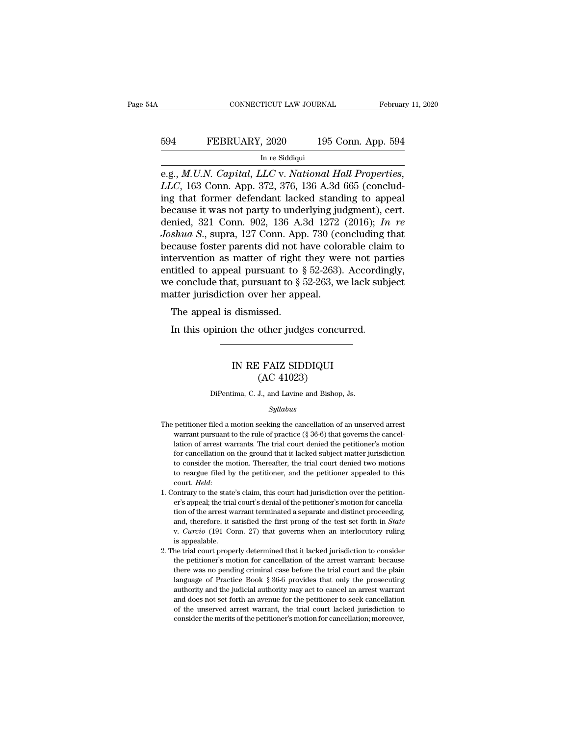# EXECUTE CONNECTICUT LAW JOURNAL February 11, 2020<br>594 FEBRUARY, 2020 195 Conn. App. 594<br>In re Siddiqui TICUT LAW JOURI $\frac{1}{2}$ , 2020<br>In re Siddiqui

EERUARY, 2020 195 Conn. App. 594<br>
FEBRUARY, 2020 195 Conn. App. 594<br>
In re Siddiqui<br>
e.g., *M.U.N. Capital, LLC* v. *National Hall Properties,*<br> *LLC*, 163 Conn. App. 372, 376, 136 A.3d 665 (conclud-*LLC*, 163 Conn. App. 372, 376, 136 A.3d 665 (conclud-FEBRUARY, 2020 195 Conn. App. 594<br>
In re Siddiqui<br>
e.g., *M.U.N. Capital*, *LLC* v. *National Hall Properties,*<br> *LLC*, 163 Conn. App. 372, 376, 136 A.3d 665 (conclud-<br>
ing that former defendant lacked standing to appeal<br> because it was not party of UPS Conn. App. 594<br>
In re Siddiqui<br>
e.g., *M.U.N. Capital*, *LLC* v. *National Hall Properties,*<br> *LLC*, 163 Conn. App. 372, 376, 136 A.3d 665 (conclud-<br>
ing that former defendant lacked standin In re Siddiqui<br>
In re Siddiqui<br>
e.g., *M.U.N. Capital, LLC v. National Hall Properties,*<br> *LLC*, 163 Conn. App. 372, 376, 136 A.3d 665 (conclud-<br>
ing that former defendant lacked standing to appeal<br>
because it was not part *In re Siddiqui*<br> *Joshua S., M.U.N. Capital, LLC v. National Hall Properties, LLC, 163 Conn. App. 372, 376, 136 A.3d 665 (conclud-***<br>** *ing that former defendant lacked standing to appeal***<br>** *because it was not party to und* e.g., *M.U.N. Capital, LLC* v. *National Hall Properties, LLC*, 163 Conn. App. 372, 376, 136 A.3d 665 (concluding that former defendant lacked standing to appeal because it was not party to underlying judgment), cert. den *LLC*, 163 Conn. App. 372, 376, 136 A.3d 665 (concluding that former defendant lacked standing to appeal because it was not party to underlying judgment), cert. denied, 321 Conn. 902, 136 A.3d 1272 (2016); *In re Joshua S* ing that former defendant lacked standing to appeal<br>because it was not party to underlying judgment), cert.<br>denied, 321 Conn. 902, 136 A.3d 1272 (2016); In re<br>Joshua S., supra, 127 Conn. App. 730 (concluding that<br>because because it was not party to underlying judgment), cert.<br>denied, 321 Conn. 902, 136 A.3d 1272 (2016); In re<br>Joshua S., supra, 127 Conn. App. 730 (concluding that<br>because foster parents did not have colorable claim to<br>inter denied, 321 Conn. 902, 136 A.3d 1272<br>Joshua S., supra, 127 Conn. App. 730 (cc<br>because foster parents did not have colo:<br>intervention as matter of right they we<br>entitled to appeal pursuant to  $\S 52-263$ ).<br>we conclude that, Shad 5., supra, 127 Colli. Approximate Shad is discussed.<br>
Shade is discussed.<br>
The appeal pursuant to  $\S$ <br>
atter jurisdiction over her app<br>
The appeal is dismissed.<br>
In this opinion the other judg Exterior as matter of right they were not partialled to appeal pursuant to  $\S$  52-263). Accordine of conclude that, pursuant to  $\S$  52-263, we lack subselent jurisdiction over her appeal.<br>The appeal is dismissed.<br>In this

### ion over her appeal.<br>
dismissed.<br>
n the other judges concurred.<br>
IN RE FAIZ SIDDIQUI<br>
(AC 41023) issed.<br>
other judges concu<br>
.<br>
.<br>
FAIZ SIDDIQUI<br>
(AC 41023)<br>
J., and Lavine and Bishop, IN RE FAIZ SIDDIQUI<br>(AC 41023)<br>DiPentima, C. J., and Lavine and Bishop, Js.

### *Syllabus*

- The petitioner filed a motion seeking the cancellation of an unserved arrest<br>warrant pursuant to the rule of practice  $(\S 36-6)$  that governs the cancel-The petitioner filed a motion seeking the cancellation of an unserved arrest<br>warrant pursuant to the rule of practice (§ 36-6) that governs the cancel-<br>lation of arrest warrants. The trial court denied the petitioner's mot DiPentima, C. J., and Lavine and Bishop, Js.<br>  $Syllabus$ <br>
petitioner filed a motion seeking the cancellation of an unserved arrest<br>
warrant pursuant to the rule of practice (§ 36-6) that governs the cancellation of arrest warr  $Syllabus$ <br>petitioner filed a motion seeking the cancellation of an unserved arrest<br>warrant pursuant to the rule of practice  $(\S 36-6)$  that governs the cancellation of arrest warrants. The trial court denied the petitioner's  $Sylabus$ <br>
betitioner filed a motion seeking the cancellation of an unserved arrest<br>
warrant pursuant to the rule of practice (§ 36-6) that governs the cancel-<br>
lation of arrest warrants. The trial court denied the petitione petitioner filed a motion seeking the cancellation of an unserved arrest<br>warrant pursuant to the rule of practice (§ 36-6) that governs the cancel-<br>lation of arrest warrants. The trial court denied the petitioner's motion court. *Held*: I. Contrary to the state's claim, this court had jurisdiction of arrest warrants. The trial court denied the petitioner's motion for cancellation on the ground that it lacked subject matter jurisdiction to c for cancellation on the ground that it lacked subject matter jurisdiction<br>to consider the motion. Thereafter, the trial court denied two motions<br>to reargue filed by the petitioner, and the petitioner appealed to this<br>cour
- to consider the motion. Thereafter, the trial court denied two motions to reargue filed by the petitioner, and the petitioner appealed to this court. *Held*:<br>court. *Held*:<br>ontrary to the state's claim, this court had juri to reargue filed by the petitioner, and the petitioner appealed to this court. *Held*:<br>court. *Held*:<br>ontrary to the state's claim, this court had jurisdiction over the petition-<br>er's appeal; the trial court's denial of th contrary to the state<br>er's appeal; the trial<br>tion of the arrest w.<br>and, therefore, it is<br>v. *Curcio* (191 Co<br>is appealable.<br>he trial court prope 2. The trial court's denial of the petitioner's motion for cancellation of the arrest warrant terminated a separate and distinct proceeding, and, therefore, it satisfied the first prop of the test set forth in *State* v. tion of the arrest warrant terminated a separate and distinct proceeding, and, therefore, it satisfied the first prong of the test set forth in *State* v. *Curcio* (191 Conn. 27) that governs when an interlocutory ruling
- and, therefore, it satisfied the first pronounced was no performed that we can be the test set forth in *State* v. *Curcio* (191 Conn. 27) that governs when an interlocutory ruling is appealable.<br>The trial court properly w. *Curcio* (191 Conn. 27) that governs when an interlocutory ruling is appealable.<br>he trial court properly determined that it lacked jurisdiction to consider the petitioner's motion for cancellation of the arrest warrant: is appealable.<br>
also appealable.<br>
also appealable the petitioner's motion for cancellation of the arrest warrant: because<br>
there was no pending criminal case before the trial court and the plain<br>
language of Practice Book and does not set forth an avenue for the risk of the areas warrant: because the petitioner's motion for cancellation of the arrest warrant: because there was no pending criminal case before the trial court and the plain la the petitioner's motion for cancellation of the arrest warrant: because<br>there was no pending criminal case before the trial court and the plain<br>language of Practice Book § 36-6 provides that only the prosecuting<br>authority the petitioner's motion for cancellation of the arrest warrant: because<br>there was no pending criminal case before the trial court and the plain<br>language of Practice Book  $\S 36-6$  provides that only the prosecuting<br>authori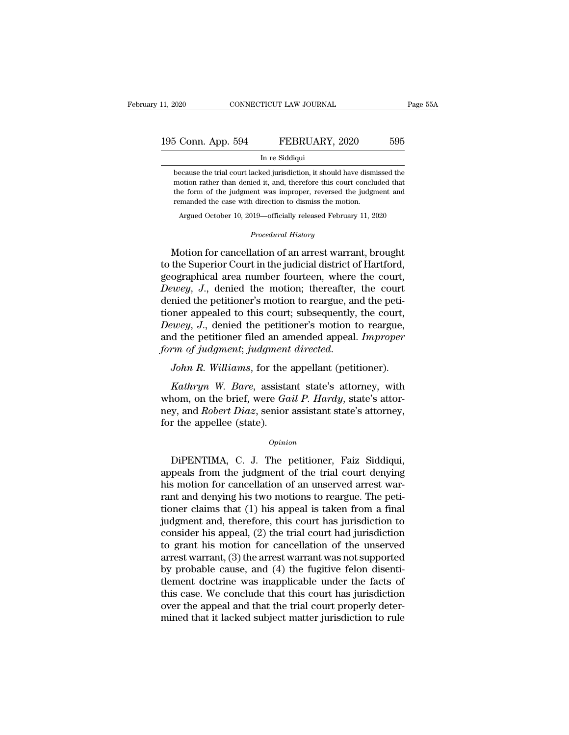# 11, 2020 CONNECTICUT LAW JOURNAL Page 55A<br>195 Conn. App. 594 FEBRUARY, 2020 595<br>In re Siddiqui TICUT LAW JOURI $\begin{array}{c} \text{FEBRUAI} \ \text{In}\ \text{re}\ \text{Siddiqui} \ \text{red}\ \text{jurisdiction}, \text{it}\ \text{s} \end{array}$

because the trial court lacked jurisdiction, it should have dismissed the motion rather than denied it, and, therefore this court concluded that Motion Rep. 594 FEBRUARY, 2020 595<br>In re Siddiqui<br>because the trial court lacked jurisdiction, it should have dismissed the<br>motion rather than denied it, and, therefore this court concluded that<br>the form of the judgment wa the form of the judgment was improper, and the judgment and the form of the judgment was improper, reversed the judgment and term of the judgment was improper, reversed the judgment and remanded the case with direction to In re Siddiqui<br>because the trial court lacked jurisdiction, it should have dismi<br>motion rather than denied it, and, therefore this court conclu<br>the form of the judgment was improper, reversed the judgm<br>remanded the case wi Are statistic in the statistic measure the trial court lacked jurisdiction, it should have dismissed the notion rather than denied it, and, therefore this court concluded that the form of the judgment was improper, reverse motion rather than denied it, and, therefore this court concluded that<br>the form of the judgment was improper, reversed the judgment and<br>remanded the case with direction to dismiss the motion.<br>Argued October 10, 2019—offici motion rather than denied it, and, therefore this court concluded that<br>the form of the judgment was improper, reversed the judgment and<br>remanded the case with direction to dismiss the motion.<br>Argued October 10, 2019—offici

the form of the judgment was improper, reversed the judgment and<br>remanded the case with direction to dismiss the motion.<br>Argued October 10, 2019—officially released February 11, 2020<br>*Procedural History*<br>Motion for cancell remanded the case with direction to dismiss the motion.<br>
Argued October 10, 2019—officially released February 11, 2020<br>
Procedural History<br>
Motion for cancellation of an arrest warrant, brought<br>
to the Superior Court in th *Argued October 10, 2019—officially released February 11, 2020<br><i>Procedural History*<br>*Democration of an arrest warrant, brought*<br>to the Superior Court in the judicial district of Hartford,<br>geographical area number fourteen, *Procedural History*<br>Motion for cancellation of an arrest warrant, brought<br>to the Superior Court in the judicial district of Hartford,<br>geographical area number fourteen, where the court,<br>Dewey, J., denied the motion; there Motion for cancellation of an arrest warrant, brought<br>to the Superior Court in the judicial district of Hartford,<br>geographical area number fourteen, where the court,<br> $Dewey$ , J., denied the motion; thereafter, the court<br>den Motion for cancellation of an arrest warrant, brought<br>to the Superior Court in the judicial district of Hartford,<br>geographical area number fourteen, where the court,<br>*Dewey*, *J.*, denied the motion; thereafter, the court<br> to the Superior Court in the judicial district of Hartford, geographical area number fourteen, where the court, *Dewey*, *J.*, denied the motion; thereafter, the court denied the petitioner's motion to reargue, and the pet *form of judgmentical* area number fourteen, where the court,<br>*Dewey*, *J.*, denied the motion; thereafter, the court<br>denied the petitioner's motion to reargue, and the petitioner appealed to this court; subsequently, the *Kathryn W. Bareford Diax sometical Polence is motion to reargue,*<br> *Kathryn of judgment; judgment directed.*<br> *Kathryn W. Bare, assistant state's attorney, with*<br> *Kathryn W. Bare, assistant state's attorney, with*<br> *Kath* 

Dewey, J., denied the petitioner's motion to reargue,<br>and the petitioner filed an amended appeal. *Improper*<br>form of judgment; judgment directed.<br>John R. Williams, for the appellant (petitioner).<br>Kathryn W. Bare, assistant and the petitioner filed an amended appeal. *Improper*<br>form of judgment; judgment directed.<br>John R. Williams, for the appellant (petitioner).<br>Kathryn W. Bare, assistant state's attorney, with<br>whom, on the brief, were *Gail* form of judgment; judgment<br>John R. Williams, for the<br>Kathryn W. Bare, assista<br>whom, on the brief, were Ga<br>ney, and Robert Diaz, senior<br>for the appellee (state).<br> $o_{pinid}$ Kathryn W. Bare, assistant state's attorney, with<br>nom, on the brief, were *Gail P. Hardy*, state's attor-<br>y, and *Robert Diaz*, senior assistant state's attorney,<br>r the appellee (state).<br> $opinion$ <br>DiPENTIMA, C. J. The petition

### *Opinion*

whom, on the brief, were *Gail P. Hardy*, state's attorney,<br>
ney, and *Robert Diaz*, senior assistant state's attorney,<br>
for the appellee (state).<br>  $\qquad$ <br>  $\qquad$   $\qquad$   $\qquad$   $\qquad$   $\qquad$   $\qquad$   $\qquad$   $\qquad$   $\qquad$   $\qquad$   $\qquad$  hey, and *Robert Diaz*, senior assistant state's attorney,<br>for the appellee (state).<br>*Opinion*<br>DiPENTIMA, C. J. The petitioner, Faiz Siddiqui,<br>appeals from the judgment of the trial court denying<br>his motion for cancellatio for the appellee (state).<br>  $\qquad$   $\qquad$   $\qquad$   $\qquad$   $\qquad$   $\qquad$   $\qquad$   $\qquad$   $\qquad$   $\qquad$   $\qquad$   $\qquad$   $\qquad$   $\qquad$   $\qquad$   $\qquad$   $\qquad$   $\qquad$   $\qquad$   $\qquad$   $\qquad$   $\qquad$   $\qquad$   $\qquad$   $\qquad$   $\qquad$   $\qquad$   $\qquad$   $\qquad$   $\qquad$   $\qquad$   $\qquad$   $\$ *Opinion*<br>
DiPENTIMA, C. J. The petitioner, Faiz Siddiqui,<br>
appeals from the judgment of the trial court denying<br>
his motion for cancellation of an unserved arrest war-<br>
rant and denying his two motions to reargue. The pet DiPENTIMA, C. J. The petitioner, Faiz Siddiqui,<br>appeals from the judgment of the trial court denying<br>his motion for cancellation of an unserved arrest war-<br>rant and denying his two motions to reargue. The peti-<br>tioner clai DiPENTIMA, C. J. The petitioner, Faiz Siddiqui,<br>appeals from the judgment of the trial court denying<br>his motion for cancellation of an unserved arrest war-<br>rant and denying his two motions to reargue. The peti-<br>tioner clai appeals from the judgment of the trial court denying<br>his motion for cancellation of an unserved arrest war-<br>rant and denying his two motions to reargue. The peti-<br>tioner claims that (1) his appeal is taken from a final<br>ju his motion for cancellation of an unserved arrest warrant and denying his two motions to reargue. The petitioner claims that (1) his appeal is taken from a final judgment and, therefore, this court has jurisdiction to cons rant and denying his two motions to reargue. The petitioner claims that (1) his appeal is taken from a final judgment and, therefore, this court has jurisdiction to consider his appeal, (2) the trial court had jurisdictio tioner claims that  $(1)$  his appeal is taken from a final<br>judgment and, therefore, this court has jurisdiction to<br>consider his appeal,  $(2)$  the trial court had jurisdiction<br>to grant his motion for cancellation of the uns judgment and, therefore, this court has jurisdiction to<br>consider his appeal, (2) the trial court had jurisdiction<br>to grant his motion for cancellation of the unserved<br>arrest warrant, (3) the arrest warrant was not supporte consider his appeal,  $(2)$  the trial court had jurisdiction<br>to grant his motion for cancellation of the unserved<br>arrest warrant,  $(3)$  the arrest warrant was not supported<br>by probable cause, and  $(4)$  the fugitive felon d to grant his motion for cancellation of the unserved<br>arrest warrant, (3) the arrest warrant was not supported<br>by probable cause, and (4) the fugitive felon disenti-<br>tlement doctrine was inapplicable under the facts of<br>this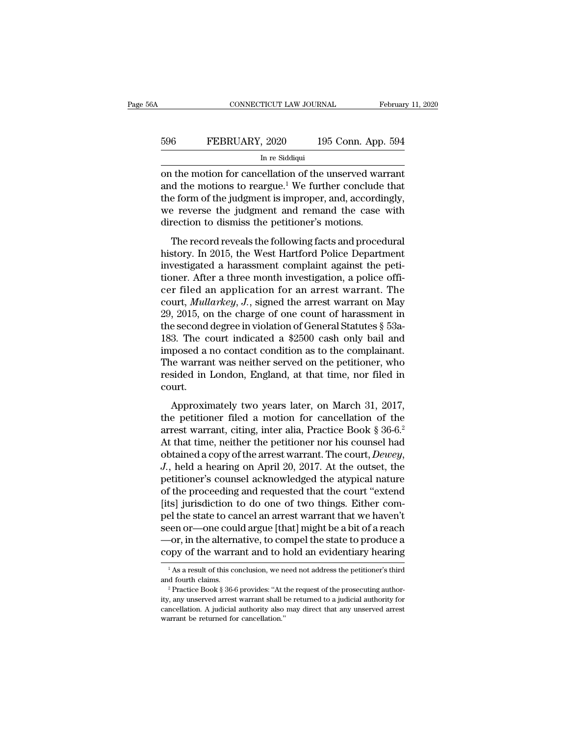# EXECUTE CONNECTICUT LAW JOURNAL February 11, 2020<br>596 FEBRUARY, 2020 195 Conn. App. 594<br>In re Siddiqui TICUT LAW JOURI $\frac{1}{2}$ , 2020<br>In re Siddiqui<br>rellation of the

CONNECTICUT LAW JOURNAL February 11, 2020<br>
FEBRUARY, 2020 195 Conn. App. 594<br>
In re Siddiqui<br>
In re Siddiqui<br>
on the motion for cancellation of the unserved warrant<br>
and the motions to reargue.<sup>1</sup> We further conclude that<br> FEBRUARY, 2020 195 Conn. App. 594<br>
In re Siddiqui<br>
In re Siddiqui<br>
on the motion for cancellation of the unserved warrant<br>
and the motions to reargue.<sup>1</sup> We further conclude that<br>
the form of the judgment is improper, and, 596 FEBRUARY, 2020 195 Conn. App. 594<br>
In re Siddiqui<br>
on the motion for cancellation of the unserved warrant<br>
and the motions to reargue.<sup>1</sup> We further conclude that<br>
the form of the judgment is improper, and, accordingl FEBRUARY, 2020 195 Conn. App. 594<br>In re Siddiqui<br>on the motion for cancellation of the unserved warrant<br>and the motions to reargue.<sup>1</sup> We further conclude that<br>the form of the judgment is improper, and, accordingly,<br>we re In re Siddiqui<br>In re Siddiqui<br>and the motion for cancellation of the unserved war<br>and the motions to reargue.<sup>1</sup> We further conclude<br>the form of the judgment is improper, and, accordin<br>we reverse the judgment and remand th The motion for cancellation of the unserved warrant<br>d the motions to reargue.<sup>1</sup> We further conclude that<br>e form of the judgment is improper, and, accordingly,<br>e reverse the judgment and remand the case with<br>rection to di on are motion for cancellation of the anserved warrant<br>and the motions to reargue.<sup>1</sup> We further conclude that<br>the form of the judgment is improper, and, accordingly,<br>we reverse the judgment and remand the case with<br>direct

and the models to realgate. We radiate conclude that<br>the form of the judgment is improper, and, accordingly,<br>we reverse the judgment and remand the case with<br>direction to dismiss the petitioner's motions.<br>The record reveal the form of are jadgment is improper, and, accordingly,<br>we reverse the judgment and remand the case with<br>direction to dismiss the petitioner's motions.<br>The record reveals the following facts and procedural<br>history. In 2015 merication to dismiss the petitioner's motions.<br>The record reveals the following facts and procedural<br>history. In 2015, the West Hartford Police Department<br>investigated a harassment complaint against the peti-<br>tioner. Afte The record reveals the following facts and procedural<br>history. In 2015, the West Hartford Police Department<br>investigated a harassment complaint against the peti-<br>tioner. After a three month investigation, a police offi-<br>ce The record reveals the following facts and procedural<br>history. In 2015, the West Hartford Police Department<br>investigated a harassment complaint against the peti-<br>tioner. After a three month investigation, a police offi-<br>c history. In 2015, the West Hartford Police Department<br>investigated a harassment complaint against the peti-<br>tioner. After a three month investigation, a police offi-<br>cer filed an application for an arrest warrant. The<br>cou investigated a harassment complaint against the petitioner. After a three month investigation, a police officer filed an application for an arrest warrant. The court, *Mullarkey*, *J*., signed the arrest warrant on May 29 tioner. After a three month investigation, a police officer filed an application for an arrest warrant. The court, *Mullarkey*, *J*., signed the arrest warrant on May 29, 2015, on the charge of one count of harassment in cer filed an application for an arrest warrant. The<br>court, *Mullarkey*, *J*., signed the arrest warrant on May<br>29, 2015, on the charge of one count of harassment in<br>the second degree in violation of General Statutes § 53a court, *Mullarkey*, *J*., signed the arrest warrant on May 29, 2015, on the charge of one count of harassment in the second degree in violation of General Statutes  $\S$  53a-183. The court indicated a  $\$2500$  cash only bail court. 3. The court indicated a \$2500 cash only bail and<br>posed a no contact condition as to the complainant.<br>he warrant was neither served on the petitioner, who<br>sided in London, England, at that time, nor filed in<br>urt.<br>Approxim the petitioner and a model of the complainant.<br>The warrant was neither served on the petitioner, who<br>resided in London, England, at that time, nor filed in<br>court.<br>Approximately two years later, on March 31, 2017,<br>the peti

The warrant was neither served on the petitioner, who<br>resided in London, England, at that time, nor filed in<br>court.<br>Approximately two years later, on March 31, 2017,<br>the petitioner filed a motion for cancellation of the<br>a Frie warrant was neither served on the petitioner, who<br>resided in London, England, at that time, nor filed in<br>court.<br>Approximately two years later, on March 31, 2017,<br>the petitioner filed a motion for cancellation of the<br> obtained a copy of the arrest warrant. The court,<br>
Approximately two years later, on March 31, 2017,<br>
the petitioner filed a motion for cancellation of the<br>
arrest warrant, citing, inter alia, Practice Book § 36-6.<sup>2</sup><br>
At Approximately two years later, on March 31, 2017,<br>the petitioner filed a motion for cancellation of the<br>arrest warrant, citing, inter alia, Practice Book § 36-6.<sup>2</sup><br>At that time, neither the petitioner nor his counsel had the petitioner filed a motion for cancellation of the<br>arrest warrant, citing, inter alia, Practice Book § 36-6.<sup>2</sup><br>At that time, neither the petitioner nor his counsel had<br>obtained a copy of the arrest warrant. The court, arrest warrant, citing, inter alia, Practice Book § 36-6.<sup>2</sup><br>At that time, neither the petitioner nor his counsel had<br>obtained a copy of the arrest warrant. The court, *Dewey*,<br> $J$ ., held a hearing on April 20, 2017. At t At that time, neither the petitioner nor his counsel had<br>obtained a copy of the arrest warrant. The court, *Dewey*,<br>*J.*, held a hearing on April 20, 2017. At the outset, the<br>petitioner's counsel acknowledged the atypical obtained a copy of the arrest warrant. The court, *Dewey*,<br>
J., held a hearing on April 20, 2017. At the outset, the<br>
petitioner's counsel acknowledged the atypical nature<br>
of the proceeding and requested that the court " J., held a hearing on April 20, 2017. At the outset, the petitioner's counsel acknowledged the atypical nature of the proceeding and requested that the court "extend [its] jurisdiction to do one of two things. Either compe petitioner's counsel acknowledged the atypical nature<br>of the proceeding and requested that the court "extend<br>[its] jurisdiction to do one of two things. Either com-<br>pel the state to cancel an arrest warrant that we haven't en or—one could argue [that] might be a bit of a reach<br>-or, in the alternative, to compel the state to produce a<br>ppy of the warrant and to hold an evidentiary hearing<br><sup>1</sup>As a result of this conclusion, we need not address seen or—one could argue [that] might be a bit of a reach<br>—or, in the alternative, to compel the state to produce a<br>copy of the warrant and to hold an evidentiary hearing<br> $\frac{1}{1}$ As a result of this conclusion, we need no

copy of the warrant and to hold an evidentiary hearing<br>
<sup>1</sup> As a result of this conclusion, we need not address the petitioner's third<br>
and fourth claims.<br>
<sup>2</sup> Practice Book § 36-6 provides: "At the request of the prosecut COPY OF the Warranti and to note an evidential y hearing<br>
<sup>1</sup> As a result of this conclusion, we need not address the petitioner's third<br>
<sup>2</sup> Practice Book § 36-6 provides: "At the request of the prosecuting author-<br>
ity, <sup>1</sup> As a result of this conclusion, we neard fourth claims.<br>
<sup>2</sup> Practice Book § 36-6 provides: "At the returned for cancellation. A judicial authority also warrant be returned for cancellation."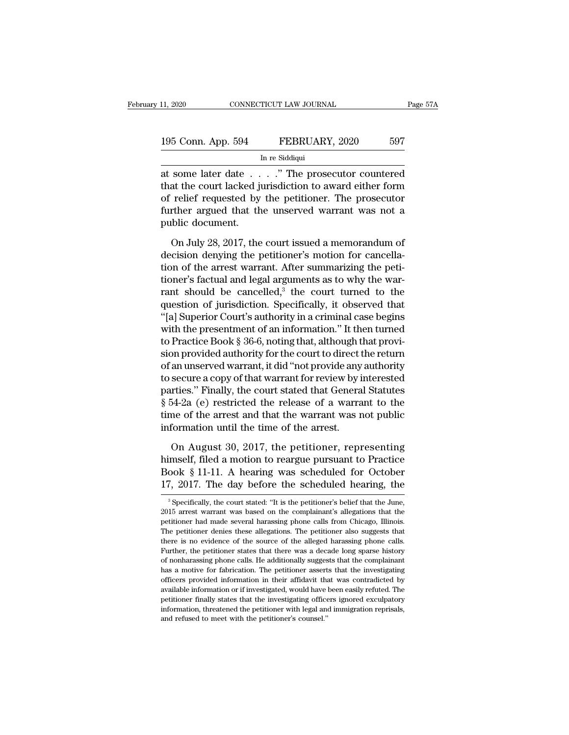| 11, 2020           | CONNECTICUT LAW JOURNAL    | Page 57A |
|--------------------|----------------------------|----------|
| 195 Conn. App. 594 | FEBRUARY, 2020             | 597      |
|                    | In re Siddiqui             |          |
| at some later date | " The prosecutor countered |          |

11, 2020 CONNECTICUT LAW JOURNAL Page 57A<br>
195 Conn. App. 594 FEBRUARY, 2020 597<br>
In re Siddiqui<br>
at some later date . . . . ." The prosecutor countered<br>
that the court lacked jurisdiction to award either form<br>
of relief r 195 Conn. App. 594 FEBRUARY, 2020 597<br>
In re Siddiqui<br>
at some later date . . . . ." The prosecutor countered<br>
that the court lacked jurisdiction to award either form<br>
of relief requested by the petitioner. The prosecutor<br> 195 Conn. App. 594 FEBRUARY, 2020 597<br>
In re Siddiqui<br>
at some later date . . . . " The prosecutor countered<br>
that the court lacked jurisdiction to award either form<br>
of relief requested by the petitioner. The prosecutor<br> 195 Conn. App. 594 FEBRUARY, 2020 597<br>
In re Siddiqui<br>
at some later date . . . . " The prosecutor countered<br>
that the court lacked jurisdiction to award either form<br>
of relief requested by the petitioner. The prosecutor<br> at some later date . .<br>that the court lacked ju<br>of relief requested by<br>further argued that the<br>public document.<br>On July 28, 2017, the some later date  $\ldots$  ." The prosecutor countered<br>at the court lacked jurisdiction to award either form<br>relief requested by the petitioner. The prosecutor<br>rther argued that the unserved warrant was not a<br>blic document.<br>On that the court lacked jurisdiction to award either form<br>of relief requested by the petitioner. The prosecutor<br>further argued that the unserved warrant was not a<br>public document.<br>On July 28, 2017, the court issued a memoran

of relief requested by the petitioner. The prosecutor<br>further argued that the unserved warrant was not a<br>public document.<br>On July 28, 2017, the court issued a memorandum of<br>decision denying the petitioner's motion for canc further argued that the unserved warrant was not a<br>public document.<br>On July 28, 2017, the court issued a memorandum of<br>decision denying the petitioner's motion for cancella-<br>tion of the arrest warrant. After summarizing t public document.<br>
On July 28, 2017, the court issued a memorandum of<br>
decision denying the petitioner's motion for cancella-<br>
tion of the arrest warrant. After summarizing the peti-<br>
tioner's factual and legal arguments as On July 28, 2017, the court issued a memorandum of<br>decision denying the petitioner's motion for cancella-<br>tion of the arrest warrant. After summarizing the peti-<br>tioner's factual and legal arguments as to why the war-<br>ran On July 28, 2017, the court issued a memorandum of<br>decision denying the petitioner's motion for cancella-<br>tion of the arrest warrant. After summarizing the peti-<br>tioner's factual and legal arguments as to why the war-<br>ran decision denying the petitioner's motion for cancellation of the arrest warrant. After summarizing the petitioner's factual and legal arguments as to why the warrant should be cancelled,<sup>3</sup> the court turned to the question tion of the arrest warrant. After summarizing the petitioner's factual and legal arguments as to why the warrant should be cancelled,<sup>3</sup> the court turned to the question of jurisdiction. Specifically, it observed that "[a tioner's factual and legal arguments as to why the warrant should be cancelled,<sup>3</sup> the court turned to the question of jurisdiction. Specifically, it observed that "[a] Superior Court's authority in a criminal case begins rant should be cancelled,<sup>3</sup> the court turned to the<br>question of jurisdiction. Specifically, it observed that<br>"[a] Superior Court's authority in a criminal case begins<br>with the presentment of an information." It then turne question of jurisdiction. Specifically, it observed that<br>"[a] Superior Court's authority in a criminal case begins<br>with the presentment of an information." It then turned<br>to Practice Book § 36-6, noting that, although that "[a] Superior Court's authority in a criminal case begins<br>with the presentment of an information." It then turned<br>to Practice Book § 36-6, noting that, although that provi-<br>sion provided authority for the court to direct t with the presentment of an information." It then turned<br>to Practice Book § 36-6, noting that, although that provi-<br>sion provided authority for the court to direct the return<br>of an unserved warrant, it did "not provide any to Practice Book § 36-6, noting that, although that provision provided authority for the court to direct the return of an unserved warrant, it did "not provide any authority to secure a copy of that warrant for review by i sion provided authority for the court to direct to fan unserved warrant, it did "not provide any to secure a copy of that warrant for review by i parties." Finally, the court stated that Genera § 54-2a (e) restricted the r secure a copy of that warrant for review by interested<br>rties." Finally, the court stated that General Statutes<br>54-2a (e) restricted the release of a warrant to the<br>me of the arrest and that the warrant was not public<br>forma parties." Finally, the court stated that General Statutes  $\S$  54-2a (e) restricted the release of a warrant to the<br>time of the arrest and that the warrant was not public<br>information until the time of the arrest.<br>On August

 $\frac{1}{8}$  54-2a (e) restricted the release of a warrant to the<br>time of the arrest and that the warrant was not public<br>information until the time of the arrest.<br>On August 30, 2017, the petitioner, representing<br>himself, fil time of the arrest and that the warrant was not public<br>information until the time of the arrest.<br>On August 30, 2017, the petitioner, representing<br>himself, filed a motion to reargue pursuant to Practice<br>Book § 11-11. A hea On August 30, 2017, the petitioner, representing<br>imself, filed a motion to reargue pursuant to Practice<br>ook § 11-11. A hearing was scheduled for October<br>7, 2017. The day before the scheduled hearing, the<br><sup>3</sup>Specifically, himself, filed a motion to reargue pursuant to Practice<br>Book § 11-11. A hearing was scheduled for October<br>17, 2017. The day before the scheduled hearing, the<br><sup>3</sup> Specifically, the court stated: "It is the petitioner's beli

Book § 11-11. A hearing was scheduled for October 17, 2017. The day before the scheduled hearing, the specifically, the court stated: "It is the petitioner's belief that the June, 2015 arrest warrant was based on the compl 17, 2017. The day before the scheduled hearing, the  $\frac{3}{17}$  specifically, the court stated: "It is the petitioner's belief that the June, 2015 arrest warrant was based on the complainant's allegations that the petition The solution of the solutioner's belief that the June<br>
3 Specifically, the court stated: "It is the petitioner's belief that the June,<br>
2015 arrest warrant was based on the complainant's allegations that the<br>
petitioner h <sup>3</sup> Specifically, the court stated: "It is the petitioner's belief that the June,  $2015$  arrest warrant was based on the complainant's allegations that the petitioner had made several harassing phone calls from Chicago, I 2015 arrest warrant was based on the complainant's allegations that the petitioner had made several harassing phone calls from Chicago, Illinois. The petitioner denies these allegations. The petitioner also suggests that t petitioner had made several harassing phone calls from Chicago, Illinois.<br>The petitioner denies these allegations. The petitioner also suggests that<br>there is no evidence of the source of the alleged harassing phone calls.<br> The petitioner denies these allegations. The petitioner also suggests that there is no evidence of the source of the alleged harassing phone calls. Further, the petitioner states that there was a decade long sparse history The period of the source of the alleged harassing phone calls.<br>Further, the petitioner states that there was a decade long sparse history<br>of nonharassing phone calls. He additionally suggests that the complainant<br>has a mot Further, the petitioner states that there was a decade long sparse history of nonharassing phone calls. He additionally suggests that the complainant has a motive for fabrication. The petitioner asserts that the investigat Further, the petitioner states that there was a decade long sparse history of nonharassing phone calls. He additionally suggests that the complainant has a motive for fabrication. The petitioner asserts that the investigat has a motive for fabrication. The petitioner asserts that the investigating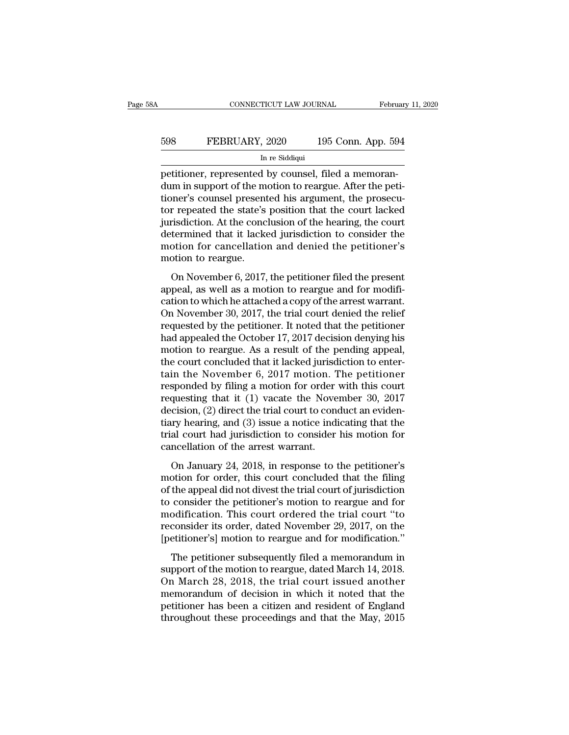# EXECUTE CONNECTICUT LAW JOURNAL February 11, 2020<br>598 FEBRUARY, 2020 195 Conn. App. 594<br>In re Siddiqui TICUT LAW JOURI $\frac{1}{2}$ , 2020<br>In re Siddiqui<br>I by counsel 1

CONNECTICUT LAW JOURNAL Febru<br>
Febru<br>
598 FEBRUARY, 2020 195 Conn. App. 59<br>
In re Siddiqui<br>
petitioner, represented by counsel, filed a memoran-<br>
dum in support of the motion to reargue. After the petitioner's counsel pres FEBRUARY, 2020 195 Conn. App. 594<br>
In re Siddiqui<br>
petitioner, represented by counsel, filed a memoran-<br>
dum in support of the motion to reargue. After the peti-<br>
tioner's counsel presented his argument, the prosecu-<br>
tor FEBRUARY, 2020 195 Conn. App. 594<br>
In re Siddiqui<br>
petitioner, represented by counsel, filed a memoran-<br>
dum in support of the motion to reargue. After the peti-<br>
tioner's counsel presented his argument, the prosecu-<br>
tor FEBRUARY, 2020 195 Conn. App. 594<br>
In re Siddiqui<br>
petitioner, represented by counsel, filed a memoran-<br>
dum in support of the motion to reargue. After the peti-<br>
tioner's counsel presented his argument, the prosecu-<br>
tor In re Siddiqui<br>
In re Siddiqui<br>
The conclusion of the motion of the court at the peti-<br>
tioner's counsel presented his argument, the prosecu-<br>
tor repeated the state's position that the court lacked<br>
jurisdiction. At the c In re Siddiqui<br>
petitioner, represented by counsel, filed a memoran-<br>
dum in support of the motion to reargue. After the peti-<br>
tioner's counsel presented his argument, the prosecu-<br>
tor repeated the state's position that petitioner, represented by counsel, filed a memorandum in support of the motion to reargue. After the petitioner's counsel presented his argument, the prosecutor repeated the state's position that the court lacked jurisdic dum in support of the m<br>tioner's counsel present<br>tor repeated the state's<br>jurisdiction. At the conc<br>determined that it lacke<br>motion for cancellatio<br>motion to reargue.<br>On November 6, 2017, repeated the state's position that the court lacked<br>risdiction. At the conclusion of the hearing, the court<br>termined that it lacked jurisdiction to consider the<br>otion for cancellation and denied the petitioner's<br>otion to r for repeated and state 5 position that the court lacked<br>jurisdiction. At the conclusion of the hearing, the court<br>determined that it lacked jurisdiction to consider the<br>motion for cancellation and denied the petitioner's<br>m

determined that it lacked jurisdiction to consider the<br>motion for cancellation and denied the petitioner's<br>motion to reargue.<br>On November 6, 2017, the petitioner filed the present<br>appeal, as well as a motion to reargue and motion for cancellation and denied the petitioner's<br>motion to reargue.<br>On November 6, 2017, the petitioner filed the present<br>appeal, as well as a motion to reargue and for modifi-<br>cation to which he attached a copy of the motion for cancenation and defined the peritioner. B<br>motion to reargue.<br>2017, the petitioner filed the present<br>appeal, as well as a motion to reargue and for modifi-<br>cation to which he attached a copy of the arrest warran on November 6, 2017, the petitioner filed the present<br>appeal, as well as a motion to reargue and for modifi-<br>cation to which he attached a copy of the arrest warrant.<br>On November 30, 2017, the trial court denied the relie On November 6, 2017, the petitioner filed the present<br>appeal, as well as a motion to reargue and for modifi-<br>cation to which he attached a copy of the arrest warrant.<br>On November 30, 2017, the trial court denied the relie appeal, as well as a motion to reargue and for modification to which he attached a copy of the arrest warrant.<br>On November 30, 2017, the trial court denied the relief<br>requested by the petitioner. It noted that the petition cation to which he attached a copy of the arrest warrant.<br>On November 30, 2017, the trial court denied the relief<br>requested by the petitioner. It noted that the petitioner<br>had appealed the October 17, 2017 decision denyin On November 30, 2017, the trial court denied the relief<br>requested by the petitioner. It noted that the petitioner<br>had appealed the October 17, 2017 decision denying his<br>motion to reargue. As a result of the pending appeal requested by the petitioner. It noted that the petitioner<br>had appealed the October 17, 2017 decision denying his<br>motion to reargue. As a result of the pending appeal,<br>the court concluded that it lacked jurisdiction to ent had appealed the October 17, 2017 decision denying his<br>motion to reargue. As a result of the pending appeal,<br>the court concluded that it lacked jurisdiction to enter-<br>tain the November 6, 2017 motion. The petitioner<br>respon motion to reargue. As a result of the pending appeal,<br>the court concluded that it lacked jurisdiction to enter-<br>tain the November 6, 2017 motion. The petitioner<br>responded by filing a motion for order with this court<br>reques the court concluded that it lacked jurisdiction to enter-<br>tain the November 6, 2017 motion. The petitioner<br>responded by filing a motion for order with this court<br>requesting that it (1) vacate the November 30, 2017<br>decision tain the November 6, 2017 motion. T<br>responded by filing a motion for order<br>requesting that it (1) vacate the Nove<br>decision, (2) direct the trial court to con-<br>tiary hearing, and (3) issue a notice indi<br>trial court had juri questing that it (1) vacate the November 30, 2017<br>questing that it (1) vacate the November 30, 2017<br>cision, (2) direct the trial court to conduct an eviden-<br>ry hearing, and (3) issue a notice indicating that the<br>al court h decision, (2) direct the trial court to conduct an evidentiary hearing, and (3) issue a notice indicating that the trial court had jurisdiction to consider his motion for cancellation of the arrest warrant.<br>On January 24,

decision, ( $\Xi$ ) direct the trial court to contact the christian diary hearing, and (3) issue a notice indicating that the trial court had jurisdiction to consider his motion for cancellation of the arrest warrant.<br>On Jan trial court had jurisdiction to consider his motion for<br>cancellation of the arrest warrant.<br>On January 24, 2018, in response to the petitioner's<br>motion for order, this court concluded that the filing<br>of the appeal did not cancellation of the arrest warrant.<br>
On January 24, 2018, in response to the petitioner's<br>
motion for order, this court concluded that the filing<br>
of the appeal did not divest the trial court of jurisdiction<br>
to consider t on January 24, 2018, in response to the petitioner's<br>motion for order, this court concluded that the filing<br>of the appeal did not divest the trial court of jurisdiction<br>to consider the petitioner's motion to reargue and fo On January 24, 2018, in response to the petitioner's<br>motion for order, this court concluded that the filing<br>of the appeal did not divest the trial court of jurisdiction<br>to consider the petitioner's motion to reargue and fo the appeal did not divest the trial court of jurisdiction<br>consider the petitioner's motion to reargue and for<br>odification. This court ordered the trial court "to<br>consider its order, dated November 29, 2017, on the<br>etitione of the uppear and not always the trial court or janusated and for<br>to consider the petitioner's motion to reargue and for<br>modification. This court ordered the trial court "to<br>reconsider its order, dated November 29, 2017, o

the consider are perfected by modern to relative the trial court "to<br>modification. This court ordered the trial court "to<br>reconsider its order, dated November 29, 2017, on the<br>[petitioner's] motion to reargue and for modif meanneason: This coard stacted the trial coard to<br>reconsider its order, dated November 29, 2017, on the<br>[petitioner's] motion to reargue and for modification."<br>The petitioner subsequently filed a memorandum in<br>support of t petitioner's] motion to reargue and for modification."<br>The petitioner subsequently filed a memorandum in<br>support of the motion to reargue, dated March 14, 2018.<br>On March 28, 2018, the trial court issued another<br>memorandum The petitioner subsequently filed a memorandum in<br>support of the motion to reargue, dated March 14, 2018.<br>On March 28, 2018, the trial court issued another<br>memorandum of decision in which it noted that the<br>petitioner has b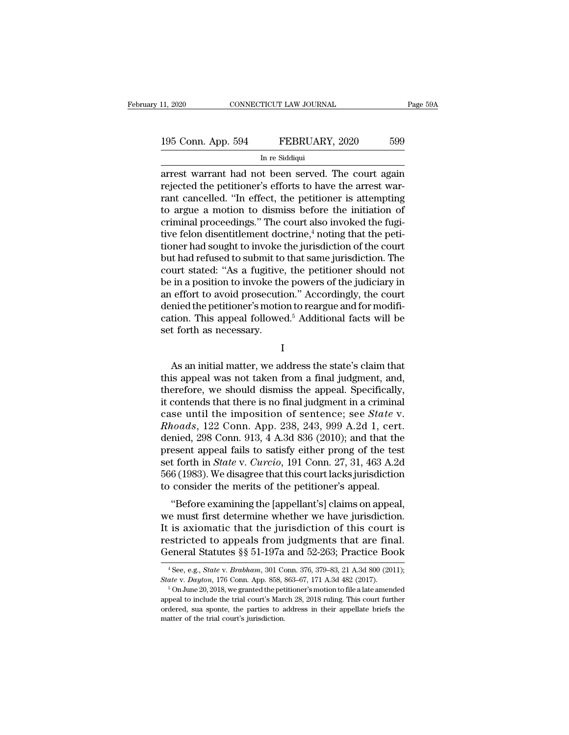11, 2020 CONNECTICUT LAW JOURNAL Page 59A<br>
195 Conn. App. 594 FEBRUARY, 2020 599<br>
In re Siddiqui<br>
arrest warrant had not been served. The court again<br>
rejected the petitioner's efforts to have the arrest war-195 Conn. App. 594 FEBRUARY, 2020 599<br>
In re Siddiqui<br>
arrest warrant had not been served. The court again<br>
rejected the petitioner's efforts to have the arrest war-<br>
rant cancelled. "In effect, the petitioner is attemptin 195 Conn. App. 594 FEBRUARY, 2020 599<br>
In re Siddiqui<br>
arrest warrant had not been served. The court again<br>
rejected the petitioner's efforts to have the arrest war-<br>
rant cancelled. "In effect, the petitioner is attemptin 195 Conn. App. 594 FEBRUARY, 2020 599<br>
In re Siddiqui<br>
arrest warrant had not been served. The court again<br>
rejected the petitioner's efforts to have the arrest war-<br>
rant cancelled. "In effect, the petitioner is attempti In residdiqui<br>In residdiqui<br>arrest warrant had not been served. The court again<br>rejected the petitioner's efforts to have the arrest war-<br>rant cancelled. "In effect, the petitioner is attempting<br>to argue a motion to dismi In re siddiqui<br>
arrest warrant had not been served. The court again<br>
rejected the petitioner's efforts to have the arrest war-<br>
rant cancelled. "In effect, the petitioner is attempting<br>
to argue a motion to dismiss before arrest warrant had not been served. The court again<br>rejected the petitioner's efforts to have the arrest war-<br>rant cancelled. "In effect, the petitioner is attempting<br>to argue a motion to dismiss before the initiation of<br>c rejected the petitioner's efforts to have the arrest warrant cancelled. "In effect, the petitioner is attempting<br>to argue a motion to dismiss before the initiation of<br>criminal proceedings." The court also invoked the fugirant cancelled. "In effect, the petitioner is attempting<br>to argue a motion to dismiss before the initiation of<br>criminal proceedings." The court also invoked the fugi-<br>tive felon disentitlement doctrine,<sup>4</sup> noting that the to argue a motion to dismiss before the initiation of<br>criminal proceedings." The court also invoked the fugi-<br>tive felon disentitlement doctrine,<sup>4</sup> noting that the peti-<br>tioner had sought to invoke the jurisdiction of the criminal proceedings." The court also invoked the fugi-<br>tive felon disentitlement doctrine,<sup>4</sup> noting that the peti-<br>tioner had sought to invoke the jurisdiction of the court<br>but had refused to submit to that same jurisdic tive felon disentitlement doctrine,<sup>4</sup> noting that the petitioner had sought to invoke the jurisdiction of the court<br>but had refused to submit to that same jurisdiction. The<br>court stated: "As a fugitive, the petitioner sho tioner had sought to invoke the jurisdiction of the court<br>but had refused to submit to that same jurisdiction. The<br>court stated: "As a fugitive, the petitioner should not<br>be in a position to invoke the powers of the judici but had refused to submit to<br>court stated: "As a fugitive<br>be in a position to invoke the<br>an effort to avoid prosecutie<br>denied the petitioner's motic<br>cation. This appeal followe<br>set forth as necessary. Fundamental matter." Accordingly, the court<br>
identical the petitioner's motion to reargue and for modifi-<br>
tion. This appeal followed.<sup>5</sup> Additional facts will be<br>
t forth as necessary.<br>
I<br>
As an initial matter, we addres

I

denied the petitioner's motion to reargue and for modification. This appeal followed.<sup>5</sup> Additional facts will be<br>set forth as necessary.<br>I<br>As an initial matter, we address the state's claim that<br>this appeal was not taken cation. This appeal followed.<sup>5</sup> Additional facts will be<br>set forth as necessary.<br> $I$ <br>As an initial matter, we address the state's claim that<br>this appeal was not taken from a final judgment, and,<br>therefore, we should dism is that is necessary.<br>
I<br>
is an initial matter, we address the state's claim that<br>
this appeal was not taken from a final judgment, and,<br>
therefore, we should dismiss the appeal. Specifically,<br>
it contends that there is n I<br>
As an initial matter, we address the state's claim that<br>
this appeal was not taken from a final judgment, and,<br>
therefore, we should dismiss the appeal. Specifically,<br>
it contends that there is no final judgment in a cr *Rhoads*, 122 Conn. 913, 4 A.3d 836 (2010); and that the present appeal was not taken from a final judgment, and, therefore, we should dismiss the appeal. Specifically, it contends that there is no final judgment in a crim As an initial matter, we address the state's claim that<br>this appeal was not taken from a final judgment, and,<br>therefore, we should dismiss the appeal. Specifically,<br>it contends that there is no final judgment in a crimina this appeal was not taken from a final judgment, and,<br>therefore, we should dismiss the appeal. Specifically,<br>it contends that there is no final judgment in a criminal<br>case until the imposition of sentence; see *State* v.<br> therefore, we should dismiss the appeal. Specifically,<br>it contends that there is no final judgment in a criminal<br>case until the imposition of sentence; see *State* v.<br>*Rhoads*, 122 Conn. App. 238, 243, 999 A.2d 1, cert.<br>de it contends that there is no final judgment in a criminal<br>case until the imposition of sentence; see *State* v.<br>*Rhoads*, 122 Conn. App. 238, 243, 999 A.2d 1, cert.<br>denied, 298 Conn. 913, 4 A.3d 836 (2010); and that the<br>p case until the imposition of sentence; see *State v*<br>*Rhoads*, 122 Conn. App. 238, 243, 999 A.2d 1, cert<br>denied, 298 Conn. 913, 4 A.3d 836 (2010); and that the<br>present appeal fails to satisfy either prong of the test<br>set f totals, 122 Com. App. 230, 243, 333 A.2d 1, Cert.<br>
mied, 298 Conn. 913, 4 A.3d 836 (2010); and that the<br>
esent appeal fails to satisfy either prong of the test<br>
t forth in *State* v. *Curcio*, 191 Conn. 27, 31, 463 A.2d<br> defined, 258 Colifi. 315, 4 A.5d 850 (2010), and that the<br>present appeal fails to satisfy either prong of the test<br>set forth in *State* v. *Curcio*, 191 Conn. 27, 31, 463 A.2d<br>566 (1983). We disagree that this court lacks

present appear rans to satisfy entier prong or the test<br>set forth in *State* v. *Curcio*, 191 Conn. 27, 31, 463 A.2d<br>566 (1983). We disagree that this court lacks jurisdiction<br>to consider the merits of the petitioner's ap set form in state v. Carcto, 191 Collic 27, 31, 403 A.2d<br>566 (1983). We disagree that this court lacks jurisdiction<br>to consider the merits of the petitioner's appeal.<br>"Before examining the [appellant's] claims on appeal,<br>w Goo (1965). We usagree that this court facks jurisdiction<br>to consider the merits of the petitioner's appeal.<br>"Before examining the [appellant's] claims on appeal,<br>we must first determine whether we have jurisdiction.<br>It i e must first determine whether we have jurisdiction.<br>is axiomatic that the jurisdiction of this court is<br>estricted to appeals from judgments that are final.<br>eneral Statutes §§ 51-197a and 52-263; Practice Book<br><sup>4</sup>See, e.g. It is axiomatic that the jurisdiction of this court is<br>restricted to appeals from judgments that are final.<br>General Statutes §§ 51-197a and 52-263; Practice Book<br><sup>4</sup> See, e.g., *State* v. *Brabham*, 301 Conn. 376, 379-83,

General Statutes §§ 51-197a and 52-263; Practice Book  $\frac{4}{\text{See, e.g., State v. Brahham, 301 Conn. 376, 379-83, 21 A.3d 800 (2011);}$ <br>State v. Dayton, 176 Conn. App. 858, 863–67, 171 A.3d 482 (2017).  $\frac{5}{\text{On June 20, 2018, we granted the performance's motion to file a late amended appeal to include the trial court's March 2$ ordered, sua sponte, the parties to address in their appellate briefs the matter of the trial court's March 28, 2018 ruling. This court further ordered, sua sponte, the parties to address in their appellate briefs the mat <sup>4</sup> See, e.g., *State v. Brabham*, 301 Costate v. Dayton, 176 Conn. App. 858,  $\frac{1}{5}$  On June 20, 2018, we granted the pet appeal to include the trial court's Marordered, sua sponte, the parties to a matter of the trial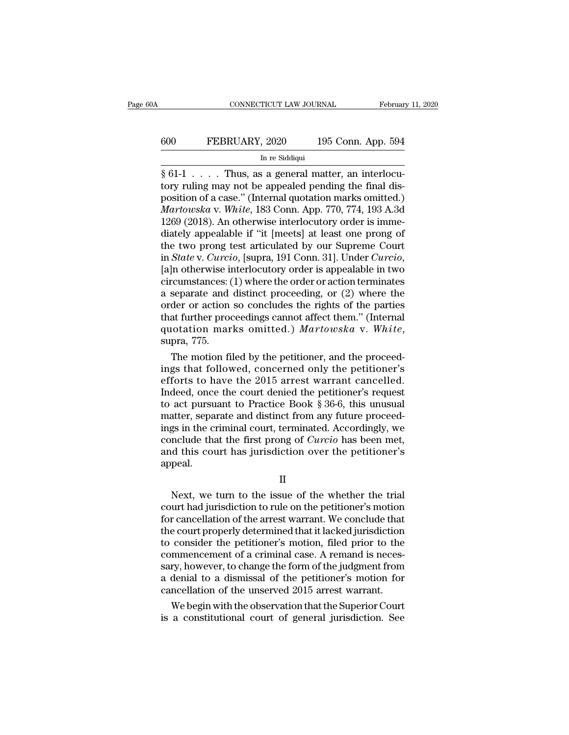# CONNECTICUT LAW JOURNAL February 11, 2020<br>
600 FEBRUARY, 2020 195 Conn. App. 594<br>
In re Siddiqui TICUT LAW JOURI $\frac{1}{3}$ , 2020<br>In re Siddiqui<br>S. a. general ma

§ 61-1 . . . . Thus, as a general matter, an interlocuto the Siddiqui<br>
State of the Siddiqui<br>
State of the Siddiqui<br>
State and Thus, as a general matter, an interlocutory ruling may not be appealed pending the final dis-<br>
position of a case." (Internal quotation marks omitted FEBRUARY, 2020 195 Conn. App. 594<br>
In re Siddiqui<br>  $\frac{1}{8}$  61-1 . . . . . Thus, as a general matter, an interlocu-<br>
tory ruling may not be appealed pending the final dis-<br>
position of a case.'' (Internal quotation marks *Martowska* v. *White*, 183 Conn. App. 594<br>*In re Siddiqui*<br> *Martowska* v. *White*, 183 Conn. App. 770, 774, 193 A.3d<br> *Martowska* v. *White*, 183 Conn. App. 770, 774, 193 A.3d<br>
1269 (2018). An otherwise interlocutory ord In residdiqui<br>
In residdiqui<br>  $\frac{1}{2}$  for  $\frac{1}{2}$  for  $\frac{1}{2}$ <br>  $\frac{1}{2}$  for  $\frac{1}{2}$  for  $\frac{1}{2}$ <br>
for  $\frac{1}{2}$  for  $\frac{1}{2}$  for  $\frac{1}{2}$ <br> *Martowska* v. White, 183 Conn. App. 770, 774, 193 A.3d<br>
1269 (2018). In re Siddiqui<br>  $\S 61-1$ ..... Thus, as a general matter, an interlocu-<br>
tory ruling may not be appealed pending the final dis-<br>
position of a case." (Internal quotation marks omitted.)<br> *Martowska* v. *White*, 183 Conn. A § 61-1 . . . . . Thus, as a general matter, an interlocutory ruling may not be appealed pending the final disposition of a case." (Internal quotation marks omitted.) *Martowska* v. *White*, 183 Conn. App. 770, 774, 193 A. tory ruling may not be appealed pending the final dis-<br>position of a case." (Internal quotation marks omitted.)<br>*Martowska* v. *White*, 183 Conn. App. 770, 774, 193 A.3d<br>1269 (2018). An otherwise interlocutory order is imm Martowska v. White, 183 Conn. App. 770, 774, 193 A.3d<br>1269 (2018). An otherwise interlocutory order is imme-<br>diately appealable if "it [meets] at least one prong of<br>the two prong test articulated by our Supreme Court<br>in *S* 1269 (2018). An otherwise interlocutory order is immediately appealable if "it [meets] at least one prong of the two prong test articulated by our Supreme Court in *State* v. *Curcio*, [supra, 191 Conn. 31]. Under *Curcio* diately appealable if "it [meets] at least one prong of<br>the two prong test articulated by our Supreme Court<br>in *State* v. *Curcio*, [supra, 191 Conn. 31]. Under *Curcio*,<br>[a]n otherwise interlocutory order is appealable i the two prong test articulated by our Supreme Court<br>in *State* v. *Curcio*, [supra, 191 Conn. 31]. Under *Curcio*,<br>[a]n otherwise interlocutory order is appealable in two<br>circumstances: (1) where the order or action termin in *State* v. *Curcio*, [supra, 191 Conn. 31]. Under *Curcio*, [a]n otherwise interlocutory order is appealable in two circumstances: (1) where the order or action terminates a separate and distinct proceeding, or (2) wher reumstances: (1) where the order or action terminates<br>separate and distinct proceeding, or (2) where the<br>der or action so concludes the rights of the parties<br>at further proceedings cannot affect them." (Internal<br>intuition a separate and distinct proceeding, or  $(2)$  where the<br>order or action so concludes the rights of the parties<br>that further proceedings cannot affect them." (Internal<br>quotation marks omitted.) *Martowska* v. White,<br>supra,

order or action so concludes the rights of the parties<br>that further proceedings cannot affect them." (Internal<br>quotation marks omitted.)  $Markowska$  v. White,<br>supra, 775.<br>The motion filed by the petitioner, and the proceed-<br>ing that further proceedings cannot affect them." (Internal<br>quotation marks omitted.) Martowska v. White,<br>supra, 775.<br>The motion filed by the petitioner, and the proceed-<br>ings that followed, concerned only the petitioner's<br>ef quotation marks omitted.) *Martowska* v. White,<br>supra, 775.<br>The motion filed by the petitioner, and the proceed-<br>ings that followed, concerned only the petitioner's<br>efforts to have the 2015 arrest warrant cancelled.<br>Indee supra, 775.<br>The motion filed by the petitioner, and the proceed-<br>ings that followed, concerned only the petitioner's<br>efforts to have the 2015 arrest warrant cancelled.<br>Indeed, once the court denied the petitioner's request The motion filed by the petitioner, and the proceed-<br>ings that followed, concerned only the petitioner's<br>efforts to have the 2015 arrest warrant cancelled.<br>Indeed, once the court denied the petitioner's request<br>to act pur ings that followed, concerned only the petitioner's<br>efforts to have the 2015 arrest warrant cancelled.<br>Indeed, once the court denied the petitioner's request<br>to act pursuant to Practice Book § 36-6, this unusual<br>matter, se efforts to have the 2015 arrest warrant cancelled.<br>Indeed, once the court denied the petitioner's request<br>to act pursuant to Practice Book  $\S 36-6$ , this unusual<br>matter, separate and distinct from any future proceed-<br>ings appeal. Mexicon, separate and alsahed from any faidic proceed<br>gs in the criminal court, terminated. Accordingly, we<br>nclude that the first prong of *Curcio* has been met,<br>d this court has jurisdiction over the petitioner's<br>peal.<br>II

II

rigo in the criminal court, terminated. Recordingly, we<br>conclude that the first prong of *Curcio* has been met,<br>and this court has jurisdiction over the petitioner's<br>appeal.<br>II<br>Next, we turn to the issue of the whether the For the petitioner's<br>appeal.<br>II<br>Next, we turn to the issue of the whether the trial<br>court had jurisdiction to rule on the petitioner's motion<br>for cancellation of the arrest warrant. We conclude that<br>the court properly dete II<br>
Next, we turn to the issue of the whether the trial<br>
court had jurisdiction to rule on the petitioner's motion<br>
for cancellation of the arrest warrant. We conclude that<br>
the court properly determined that it lacked jur II<br>
Next, we turn to the issue of the whether the trial<br>
court had jurisdiction to rule on the petitioner's motion<br>
for cancellation of the arrest warrant. We conclude that<br>
the court properly determined that it lacked jur II<br>Next, we turn to the issue of the whether the trial<br>court had jurisdiction to rule on the petitioner's motion<br>for cancellation of the arrest warrant. We conclude that<br>the court properly determined that it lacked jurisdi Next, we turn to the issue of the whether the trial<br>court had jurisdiction to rule on the petitioner's motion<br>for cancellation of the arrest warrant. We conclude that<br>the court properly determined that it lacked jurisdicti court had jurisdiction to rule on the petitioner's motion<br>for cancellation of the arrest warrant. We conclude that<br>the court properly determined that it lacked jurisdiction<br>to consider the petitioner's motion, filed prior for cancellation of the arrest warrant. We conclude that<br>the court properly determined that it lacked jurisdiction<br>to consider the petitioner's motion, filed prior to the<br>commencement of a criminal case. A remand is necese court properly determined that it lacked jurisdiction<br>consider the petitioner's motion, filed prior to the<br>mmencement of a criminal case. A remand is neces-<br>ry, however, to change the form of the judgment from<br>denial to to consider the petitioner's motion, filed prior to the commencement of a criminal case. A remand is necessary, however, to change the form of the judgment from a denial to a dismissal of the petitioner's motion for cancel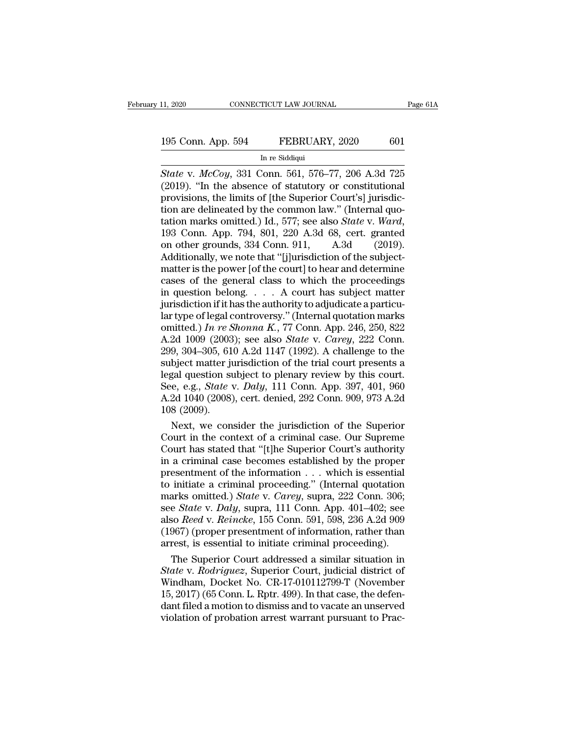# 11, 2020 CONNECTICUT LAW JOURNAL Page 61A<br>195 Conn. App. 594 FEBRUARY, 2020 601<br>In re Siddiqui TICUT LAW JOURI $\begin{array}{c} \text{FEBRUAI} \ \text{In}\ \text{re} \ \text{Siddiqui} \ \text{Conn}\ \ \text{561}\ \ \text{576} \end{array}$

<sup>11, 2020</sup> CONNECTICUT LAW JOURNAL Page 61A<br> **State v.** *McCoy*, 331 Conn. 561, 576–77, 206 A.3d 725<br>
<sup>195</sup> C2019). "In the absence of statutory or constitutional<br> **Example 195** C2019). "In the absence of statutory or cons 195 Conn. App. 594 FEBRUARY, 2020 601<br>
In re Siddiqui<br>
Free Siddiqui<br>
State v. McCoy, 331 Conn. 561, 576–77, 206 A.3d 725<br>
(2019). "In the absence of statutory or constitutional<br>
provisions, the limits of [the Superior Cou 195 Conn. App. 594 FEBRUARY, 2020 601<br>
In re Siddiqui<br>
State v. McCoy, 331 Conn. 561, 576–77, 206 A.3d 725<br>
(2019). "In the absence of statutory or constitutional<br>
provisions, the limits of [the Superior Court's] jurisdic 195 Conn. App. 594 FEBRUARY, 2020 601<br>
In re Siddiqui<br>
State v. McCoy, 331 Conn. 561, 576–77, 206 A.3d 725<br>
(2019). "In the absence of statutory or constitutional<br>
provisions, the limits of [the Superior Court's] jurisdic-In re Siddiqui<br>
In re Siddiqui<br>
State v. *McCoy*, 331 Conn. 561, 576–77, 206 A.3d 725<br>
(2019). "In the absence of statutory or constitutional<br>
provisions, the limits of [the Superior Court's] jurisdic-<br>
tion are delineated State v.  $McCoy$ , 331 Conn. 561, 576–77, 206 A.3d 725 (2019). "In the absence of statutory or constitutional provisions, the limits of [the Superior Court's] jurisdiction are delineated by the common law." (Internal quotati (2019). "In the absence of statutory or constitutional<br>provisions, the limits of [the Superior Court's] jurisdic-<br>tion are delineated by the common law." (Internal quo-<br>tation marks omitted.) Id., 577; see also *State* v. provisions, the limits of [the Superior Court's] jurisdiction are delineated by the common law." (Internal quotation marks omitted.) Id., 577; see also *State v. Ward*, 193 Conn. App. 794, 801, 220 A.3d 68, cert. granted tion are delineated by the common law." (Internal quotation marks omitted.) Id., 577; see also *State v. Ward*, 193 Conn. App. 794, 801, 220 A.3d 68, cert. granted on other grounds, 334 Conn. 911, A.3d (2019). Additionall tation marks omitted.) Id., 577; see also *State* v. Ward, 193 Conn. App. 794, 801, 220 A.3d 68, cert. granted<br>on other grounds, 334 Conn. 911, A.3d (2019).<br>Additionally, we note that "[j]urisdiction of the subject-<br>matte 193 Conn. App. 794, 801, 220 A.3d 68, cert. granted<br>on other grounds, 334 Conn. 911, A.3d (2019).<br>Additionally, we note that "[j]urisdiction of the subject-<br>matter is the power [of the court] to hear and determine<br>cases o on other grounds, 334 Conn. 911, A.3d (2019).<br>Additionally, we note that "[j]urisdiction of the subject-<br>matter is the power [of the court] to hear and determine<br>cases of the general class to which the proceedings<br>in ques Additionally, we note that "[j]urisdiction of the subject-<br>matter is the power [of the court] to hear and determine<br>cases of the general class to which the proceedings<br>in question belong.... A court has subject matter<br>jur matter is the power [of the court] to hear and determine<br>cases of the general class to which the proceedings<br>in question belong. . . . A court has subject matter<br>jurisdiction if it has the authority to adjudicate a particu cases of the general class to which the proceedings<br>in question belong. . . . A court has subject matter<br>jurisdiction if it has the authority to adjudicate a particu-<br>lar type of legal controversy." (Internal quotation ma in question belong.... A court has subject matter<br>jurisdiction if it has the authority to adjudicate a particu-<br>lar type of legal controversy." (Internal quotation marks<br>omitted.) In re Shonna K., 77 Conn. App. 246, 250, jurisdiction if it has the authority to adjudicate a particular type of legal controversy." (Internal quotation marks omitted.) In re Shonna K., 77 Conn. App. 246, 250, 822<br>A.2d 1009 (2003); see also *State* v. *Carey*, 2 lar type of legal controversy." (Internal quotation marks<br>omitted.) *In re Shonna K.*, 77 Conn. App. 246, 250, 822<br>A.2d 1009 (2003); see also *State* v. *Carey*, 222 Conn.<br>299, 304–305, 610 A.2d 1147 (1992). A challenge to omitted.) In re Shonna K., 77 Conn. App. 246, 250, 822<br>A.2d 1009 (2003); see also *State v. Carey*, 222 Conn.<br>299, 304–305, 610 A.2d 1147 (1992). A challenge to the<br>subject matter jurisdiction of the trial court presents A.2d 1009 (2003<br>299, 304–305, 61<br>subject matter ju<br>legal question st<br>See, e.g., *State*<br>A.2d 1040 (2008)<br>108 (2009).<br>Next, we con 9, 304–305, 610 A.2d 1147 (1992). A challenge to the<br>bject matter jurisdiction of the trial court presents a<br>gal question subject to plenary review by this court.<br>e, e.g., *State v. Daly*, 111 Conn. App. 397, 401, 960<br>2d subject matter jurisdiction of the trial court presents a<br>legal question subject to plenary review by this court.<br>See, e.g., *State v. Daly*, 111 Conn. App. 397, 401, 960<br>A.2d 1040 (2008), cert. denied, 292 Conn. 909, 973

legal question subject to plenary review by this court.<br>See, e.g., *State v. Daly*, 111 Conn. App. 397, 401, 960<br>A.2d 1040 (2008), cert. denied, 292 Conn. 909, 973 A.2d<br>108 (2009).<br>Next, we consider the jurisdiction of the See, e.g., *State v. Daly*, 111 Conn. App. 397, 401, 960<br>A.2d 1040 (2008), cert. denied, 292 Conn. 909, 973 A.2d<br>108 (2009).<br>Next, we consider the jurisdiction of the Superior<br>Court in the context of a criminal case. Our A.2d 1040 (2008), cert. denied, 292 Conn. 909, 973 A.2d<br>108 (2009).<br>Next, we consider the jurisdiction of the Superior<br>Court in the context of a criminal case. Our Supreme<br>Court has stated that "[t]he Superior Court's aut 108 (2009).<br>
Next, we consider the jurisdiction of the Superior<br>
Court in the context of a criminal case. Our Supreme<br>
Court has stated that "[t]he Superior Court's authority<br>
in a criminal case becomes established by the Next, we consider the jurisdiction of the Superior<br>Court in the context of a criminal case. Our Supreme<br>Court has stated that "[t]he Superior Court's authority<br>in a criminal case becomes established by the proper<br>presentme Court in the context of a criminal case. Our Supreme<br>Court has stated that "[t]he Superior Court's authority<br>in a criminal case becomes established by the proper<br>presentment of the information . . . which is essential<br>to i Court has stated that "[t]he Superior Court's authority<br>in a criminal case becomes established by the proper<br>presentment of the information . . . which is essential<br>to initiate a criminal proceeding." (Internal quotation<br>m in a criminal case becomes established by the proper<br>presentment of the information  $\dots$  which is essential<br>to initiate a criminal proceeding." (Internal quotation<br>marks omitted.) *State* v. *Carey*, supra, 222 Conn. 306; presentment of the information . . . which is essential<br>to initiate a criminal proceeding." (Internal quotation<br>marks omitted.) *State* v. *Carey*, supra, 222 Conn. 306;<br>see *State* v. *Daly*, supra, 111 Conn. App. 401–402 initiate a criminal proceeding." (Internal quotation<br>arks omitted.) *State* v. *Carey*, supra, 222 Conn. 306;<br>e *State* v. *Daly*, supra, 111 Conn. App. 401–402; see<br>so *Reed* v. *Reincke*, 155 Conn. 591, 598, 236 A.2d 90 marks omitted.) *State* v. *Carey*, supra, 222 Conn. 306;<br>see *State* v. *Daly*, supra, 111 Conn. App. 401–402; see<br>also *Reed* v. *Reincke*, 155 Conn. 591, 598, 236 A.2d 909<br>(1967) (proper presentment of information, rath

see *State v. Daly*, supra, 111 Conn. App. 401–402; see<br>also *Reed v. Reincke*, 155 Conn. 591, 598, 236 A.2d 909<br>(1967) (proper presentment of information, rather than<br>arrest, is essential to initiate criminal proceeding). also *Reed* v. *Reincke*, 155 Conn. 591, 598, 236 A.2d 909<br>(1967) (proper presentment of information, rather than<br>arrest, is essential to initiate criminal proceeding).<br>The Superior Court addressed a similar situation in<br> (1967) (proper presentment of information, rather than arrest, is essential to initiate criminal proceeding).<br>The Superior Court addressed a similar situation in *State v. Rodriguez*, Superior Court, judicial district of arrest, is essential to initiate criminal proceeding).<br>The Superior Court addressed a similar situation in<br>State v. Rodriguez, Superior Court, judicial district of<br>Windham, Docket No. CR-17-010112799-T (November<br>15, 2017)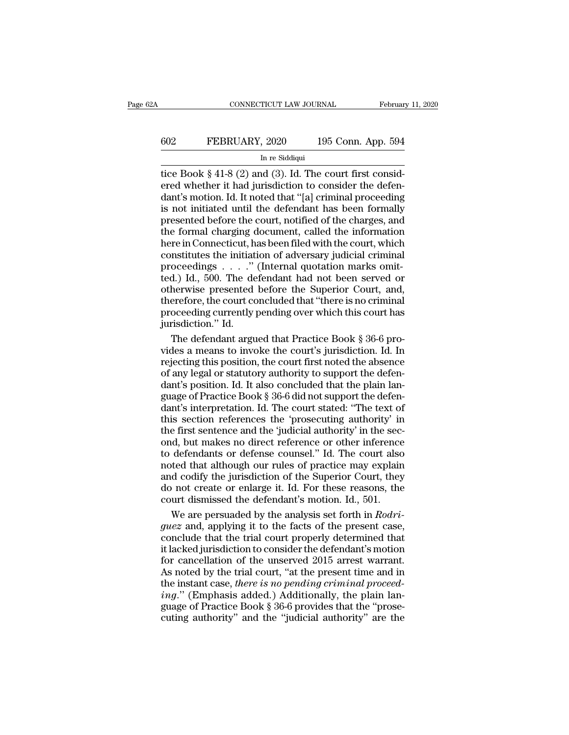# CONNECTICUT LAW JOURNAL February 11, 2020<br>602 FEBRUARY, 2020 195 Conn. App. 594<br>In re Siddiqui TICUT LAW JOURI $\frac{1}{2}$ , 2020<br>In re Siddiqui<br>nd (3) Id The

CONNECTICUT LAW JOURNAL Februar<br>
602 FEBRUARY, 2020 195 Conn. App. 594<br>
In re Siddiqui<br>
tice Book § 41-8 (2) and (3). Id. The court first considered whether it had jurisdiction to consider the defendant's motion. Id. It no EREBRUARY, 2020 195 Conn. App. 594<br>
In re Siddiqui<br>
In re Siddiqui<br>
The court first considered whether it had jurisdiction to consider the defen-<br>
dant's motion. Id. It noted that "[a] criminal proceeding<br>
is not initiated 602 FEBRUARY, 2020 195 Conn. App. 594<br>
In re Siddiqui<br>
itice Book § 41-8 (2) and (3). Id. The court first considered whether it had jurisdiction to consider the defendant's motion. Id. It noted that "[a] criminal proceedi FEBRUARY, 2020 195 Conn. App. 594<br>
In re Siddiqui<br>
itice Book § 41-8 (2) and (3). Id. The court first considered whether it had jurisdiction to consider the defendant's motion. Id. It noted that "[a] criminal proceeding<br> In re Siddiqui<br>In re Siddiqui<br>In re Siddiqui<br>The court first considered whether it had jurisdiction to consider the defen-<br>dant's motion. Id. It noted that "[a] criminal proceeding<br>is not initiated until the defendant has In re Siddiqui<br>tice Book § 41-8 (2) and (3). Id. The court first considered whether it had jurisdiction to consider the defen-<br>dant's motion. Id. It noted that "[a] criminal proceeding<br>is not initiated until the defendant tice Book § 41-8 (2) and (3). Id. The court first considered whether it had jurisdiction to consider the defendant's motion. Id. It noted that "[a] criminal proceeding is not initiated until the defendant has been formally ered whether it had jurisdiction to consider the defendant's motion. Id. It noted that "[a] criminal proceeding<br>is not initiated until the defendant has been formally<br>presented before the court, notified of the charges, a dant's motion. Id. It noted that "[a] criminal proceeding<br>is not initiated until the defendant has been formally<br>presented before the court, notified of the charges, and<br>the formal charging document, called the information is not initiated until the defendant has been formally<br>presented before the court, notified of the charges, and<br>the formal charging document, called the information<br>here in Connecticut, has been filed with the court, whic presented before the court, notified of the charges, and<br>the formal charging document, called the information<br>here in Connecticut, has been filed with the court, which<br>constitutes the initiation of adversary judicial crimi the formal charging document, called the information<br>here in Connecticut, has been filed with the court, which<br>constitutes the initiation of adversary judicial criminal<br>proceedings  $\ldots$ ..." (Internal quotation marks omit here in Connecticut, has been filed with the court, which<br>constitutes the initiation of adversary judicial criminal<br>proceedings  $\ldots$ ." (Internal quotation marks omit-<br>ted.) Id., 500. The defendant had not been served or<br> Formatives the initiat<br>proceedings . . . ."<br>ted.) Id., 500. The de<br>otherwise presented<br>therefore, the court correction."<br>proceeding currently jurisdiction." Id.<br>The defendant argu oceedings  $\ldots$ ." (Internal quotation marks omit-<br>d.) Id., 500. The defendant had not been served or<br>herwise presented before the Superior Court, and,<br>erefore, the court concluded that "there is no criminal<br>oceeding curre ted.) Id., 500. The defendant had not been served or<br>otherwise presented before the Superior Court, and,<br>therefore, the court concluded that "there is no criminal<br>proceeding currently pending over which this court has<br>juri

otherwise presented before the Superior Court, and,<br>therefore, the court concluded that "there is no criminal<br>proceeding currently pending over which this court has<br>jurisdiction." Id.<br>The defendant argued that Practice Boo therefore, the court concluded that "there is no criminal<br>proceeding currently pending over which this court has<br>jurisdiction." Id.<br>The defendant argued that Practice Book § 36-6 pro-<br>vides a means to invoke the court's ju proceeding currently pending over which this court has<br>jurisdiction." Id.<br>The defendant argued that Practice Book § 36-6 pro-<br>vides a means to invoke the court's jurisdiction. Id. In<br>rejecting this position, the court firs jurisdiction." Id.<br>The defendant argued that Practice Book § 36-6 provides a means to invoke the court's jurisdiction. Id. In<br>rejecting this position, the court first noted the absence<br>of any legal or statutory authority t The defendant argued that Practice Book § 36-6 provides a means to invoke the court's jurisdiction. Id. In rejecting this position, the court first noted the absence of any legal or statutory authority to support the defen The ameans to invoke the court's jurisdiction. Id. In rejecting this position, the court first noted the absence of any legal or statutory authority to support the defendant's position. Id. It also concluded that the plain Traise in this is sition, the court first noted the absence<br>of any legal or statutory authority to support the defen-<br>dant's position. Id. It also concluded that the plain lan-<br>guage of Practice Book § 36-6 did not support rejecting this posturity to sumption to be defendant's position. Id. It also concluded that the plain language of Practice Book § 36-6 did not support the defendant's interpretation. Id. The court stated: "The text of this or any regar or statutory attributed that the plain language of Practice Book § 36-6 did not support the defendant's interpretation. Id. The court stated: "The text of this section references the 'prosecuting authority' in although of Practice Book § 36-6 did not support the defendant's interpretation. Id. The court stated: "The text of this section references the 'prosecuting authority' in the first sentence and the 'judicial authority' in dant's interpretation. Id. The court stated: "The text of<br>this section references the 'prosecuting authority' in<br>the first sentence and the 'judicial authority' in the sec-<br>ond, but makes no direct reference or other infer this section references the 'prosecuting authority' in<br>the first sentence and the 'judicial authority' in the sec-<br>ond, but makes no direct reference or other inference<br>to defendants or defense counsel." Id. The court also the first sentence and the 'judicial authority' in the second, but makes no direct reference or other inference to defendants or defense counsel." Id. The court also noted that although our rules of practice may explain a d, but makes no direct reference or other inference<br>defendants or defense counsel." Id. The court also<br>ted that although our rules of practice may explain<br>d codify the jurisdiction of the Superior Court, they<br>on to create to defendants or defense counsel." Id. The court also<br>noted that although our rules of practice may explain<br>and codify the jurisdiction of the Superior Court, they<br>do not create or enlarge it. Id. For these reasons, the<br>co

noted that although our rules of practice may explain<br>and codify the jurisdiction of the Superior Court, they<br>do not create or enlarge it. Id. For these reasons, the<br>court dismissed the defendant's motion. Id., 501.<br>We ar and codify the jurisdiction of the Superior Court, they<br>do not create or enlarge it. Id. For these reasons, the<br>court dismissed the defendant's motion. Id., 501.<br>We are persuaded by the analysis set forth in *Rodri-<br>guez* do not create or enlarge it. Id. For these reasons, the<br>court dismissed the defendant's motion. Id., 501.<br>We are persuaded by the analysis set forth in  $Rodri-  
guez$  and, applying it to the facts of the present case,<br>conclud court dismissed the defendant's motion. Id., 501.<br>We are persuaded by the analysis set forth in *Rodriguez* and, applying it to the facts of the present case,<br>conclude that the trial court properly determined that<br>it lack We are persuaded by the analysis set forth in *Rodriguez* and, applying it to the facts of the present case, conclude that the trial court properly determined that it lacked jurisdiction to consider the defendant's motion *guez* and, applying it to the facts of the present case, conclude that the trial court properly determined that it lacked jurisdiction to consider the defendant's motion for cancellation of the unserved 2015 arrest warran gas and, the trial court properly determined that<br>it lacked jurisdiction to consider the defendant's motion<br>for cancellation of the unserved 2015 arrest warrant.<br>As noted by the trial court, "at the present time and in<br>the it lacked jurisdiction to consider the defendant's motion<br>for cancellation of the unserved 2015 arrest warrant.<br>As noted by the trial court, "at the present time and in<br>the instant case, *there is no pending criminal proce*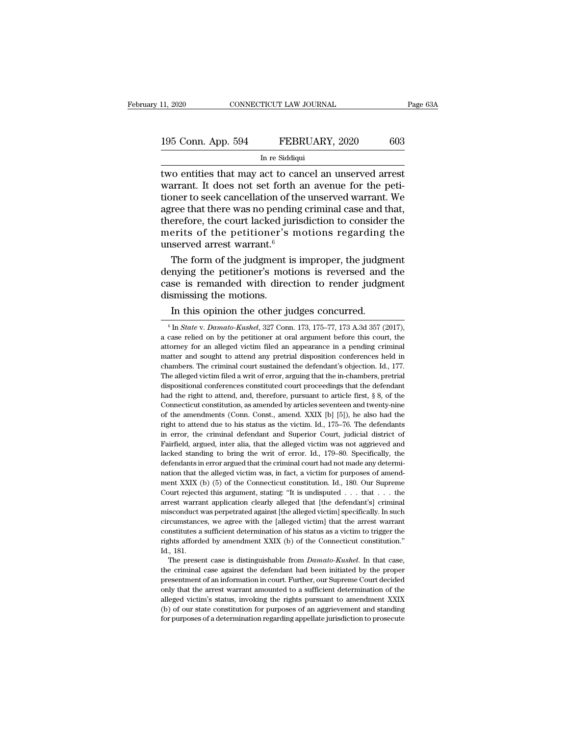| 11, 2020           | CONNECTICUT LAW JOURNAL | Page 63A |
|--------------------|-------------------------|----------|
| 195 Conn. App. 594 | FEBRUARY, 2020          | 603      |
|                    | In re Siddiqui          |          |

II, 2020 CONNECTICUT LAW JOURNAL<br>
195 Conn. App. 594 FEBRUARY, 2020 603<br>
In re Siddiqui<br>
two entities that may act to cancel an unserved arrest<br>
warrant. It does not set forth an avenue for the peti-<br>
tioner to seek cancel The House CONNECTICUT LAW JOURNAL Page 632<br>
195 Conn. App. 594 FEBRUARY, 2020 603<br>
In re Siddiqui<br>
two entities that may act to cancel an unserved arrest<br>
warrant. It does not set forth an avenue for the peti-<br>
tioner to s 195 Conn. App. 594 FEBRUARY, 2020 603<br>
In re Siddiqui<br>
two entities that may act to cancel an unserved arrest<br>
warrant. It does not set forth an avenue for the peti-<br>
tioner to seek cancellation of the unserved warrant. We 195 Conn. App. 594 FEBRUARY, 2020 603<br>
In re Siddiqui<br>
two entities that may act to cancel an unserved arrest<br>
warrant. It does not set forth an avenue for the peti-<br>
tioner to seek cancellation of the unserved warrant. W In regidiqui<br>In regidiqui<br>In regidiquity and the consideration of the performance of the performance of the performance of the performance of the consider the agree that there was no pending criminal case and that, theref In re Siddiqui<br>two entities that may act to cancel an unserved arrest<br>warrant. It does not set forth an avenue for the peti-<br>tioner to seek cancellation of the unserved warrant. We<br>agree that there was no pending criminal two entities that may act to car<br>warrant. It does not set forth a<br>tioner to seek cancellation of the<br>agree that there was no pending<br>therefore, the court lacked juris<br>merits of the petitioner's m<br>unserved arrest warrant.<sup></sup> France are that the peti-<br>pher to seek cancellation of the unserved warrant. We<br>ree that there was no pending criminal case and that,<br>erefore, the court lacked jurisdiction to consider the<br>erits of the petitioner's motions tioner to seek cancellation of the unserved warrant. We<br>agree that there was no pending criminal case and that,<br>therefore, the court lacked jurisdiction to consider the<br>merits of the petitioner's motions regarding the<br>unse

agree that there was no pending criminal case and that,<br>therefore, the court lacked jurisdiction to consider the<br>merits of the petitioner's motions regarding the<br>unserved arrest warrant.<sup>6</sup><br>The form of the judgment is impr therefore, the court lacked jumerits of the petitioner's<br>unserved arrest warrant.<sup>6</sup><br>The form of the judgment i<br>denying the petitioner's mot<br>case is remanded with direct<br>dismissing the motions.<br>In this opinion the other ju First of the pettroner's motions regarding<br>served arrest warrant.<sup>6</sup><br>The form of the judgment is improper, the judgm<br>nying the petitioner's motions is reversed and<br>se is remanded with direction to render judgm<br>smissing the enying the petitioner's motions is reversed and the<br>sase is remanded with direction to render judgment<br>is missing the motions.<br>In this opinion the other judges concurred.<br><sup>6</sup> In *State* v. *Damato-Kushel*, 327 Conn. 173, 1

constitutes a sufficient determination of his status as a victim to trigger the rights afforded by amendment XXIX (b) of the Connecticut constitution."<br>Id., 181.<br>The present case is distinguishable from *Damato-Kushel*. In rights afforded by amendment XXIX (b) of the Connecticut constitution."<br>Id., 181. The present case is distinguishable from  $Damato-Kushel$ . In that case,<br>the criminal case against the defendant had been initiated by the proper<br>p alleged victimes are interested victimization.<br>The present case is distinguishable from *Damato-Kushel*. In that case,<br>the criminal case against the defendant had been initiated by the proper<br>presentment of an information The present case is distinguishable from *Damato-Kushel*. In that case, the criminal case against the defendant had been initiated by the proper presentment of an information in court. Further, our Supreme Court decided on The present case is distinguishable from  $Damato-Kushel$ . In that case, the criminal case against the defendant had been initiated by the proper presentment of an information in court. Further, our Supreme Court decided only tha

case is remanded with direction to render judgment<br>dismissing the motions.<br>In this opinion the other judges concurred.<br> $\frac{1}{6}$  In *State v. Damato-Kushel*, 327 Conn. 173, 175–77, 173 A.3d 357 (2017),<br>a case relied on by dismissing the motions.<br>
In this opinion the other judges concurred.<br>
<sup>6</sup> In *State v. Damato-Kushel*, 327 Conn. 173, 175–77, 173 A.3d 357 (2017),<br>
a case relied on by the petitioner at oral argument before this court, th In this opinion the other judges concurred.<br>  $\binom{6}{10}$  In *State v. Damato-Kushel*, 327 Conn. 173, 175–77, 173 A.3d 357 (2017), a case relied on by the petitioner at oral argument before this court, the attorney for an In this opinion the other judges concurred.<br>
<sup>6</sup> In *State v. Damato-Kushel*, 327 Conn. 173, 175–77, 173 A.3d 357 (2017), a case relied on by the petitioner at oral argument before this court, the attorney for an alleged <sup>6</sup> In *State* v. *Damato-Kushel*, 327 Conn. 173, 175–77, 173 A.3d 357 (2017), a case relied on by the petitioner at oral argument before this court, the attorney for an alleged victim filed an appearance in a pending cri a case relied on by the petitioner at oral argument before this court, the attorney for an alleged victim filed an appearance in a pending criminal matter and sought to attend any pretrial disposition conferences held in a the right of an alleged victim filed an appearance in a pending criminal matter and sought to attend any pretrial disposition conferences held in chambers. The criminal court sustained the defendant's objection. Id., 177 matter and sought to attend any pretrial disposition conferences held in chambers. The criminal court sustained the defendant's objection. Id., 177. The alleged victim filed a writ of error, arguing that the in-chambers, p chambers. The criminal court sustained the defendant's objection. Id., 177.<br>The alleged victim filed a writ of error, arguing that the in-chambers, pretrial<br>dispositional conferences constituted court proceedings that the The alleged victim filed a writ of error, arguing that the in-chambers, pretrial dispositional conferences constituted court proceedings that the defendant had the right to attend, and, therefore, pursuant to article firs in example dispositional conferences constituted court proceedings that the defendant had the right to attend, and, therefore, pursuant to article first, § 8, of the Connecticut constitution, as amended by articles sevente and the right to attend, and, therefore, pursuant to article first, § 8, of the Connecticut constitution, as amended by articles seventeen and twenty-nine of the amendments (Conn. Const., amend. XXIX [b] [5]), he also had Connecticut constitution, as amended by articles seventeen and twenty-nine<br>of the amendments (Conn. Const., amend. XXIX [b] [5]), he also had the<br>right to attend due to his status as the victim. Id., 175–76. The defendants Connecticut constitution, as amended by articles seventeen and twenty-nine<br>of the amendments (Conn. Const., amend. XXIX [b] [5]), he also had the<br>right to attend due to his status as the victim. Id., 175–76. The defendant in error, the criminal defendant and Superior Court, judicial district of Fairfield, argued, inter alia, that the alleged victim was not aggrieved and lacked standing to bring the writ of error. Id., 179–80. Specifically, ment and the connection and the Connection Court, in the Connection Fairfield, argued, inter alia, that the alleged victim was not aggrieved and lacked standing to bring the writ of error. Id., 179–80. Specifically, the d Fairfield, argued, inter alia, that the alleged victim was not aggrieved and lacked standing to bring the writ of error. Id., 179–80. Specifically, the defendants in error argued that the criminal court had not made any de Facked standing to bring the writ of error. Id., 179–80. Specifically, the defendants in error argued that the criminal court had not made any determination that the alleged victim was, in fact, a victim for purposes of a defendants in error argued that the criminal court had not made any determination that the alleged victim was, in fact, a victim for purposes of amendment XXIX (b) (5) of the Connecticut constitution. Id., 180. Our Supreme nation that the alleged victim was, in fact, a victim for purposes of amendment XXIX (b) (5) of the Connecticut constitution. Id., 180. Our Supreme Court rejected this argument, stating: "It is undisputed  $\ldots$  that  $\ldots$ ment XXIX (b) (5) of the Connecticut constitution. Id, 180. Our Supreme Court rejected this argument, stating: "It is undisputed  $\ldots$  that  $\ldots$  the arrest warrant application clearly alleged that [the defendant's] crimi From Figure 1. This afformation clearly alleged that  $[$ the defendant's $]$  criminal misconduct was perpetrated against  $[$ the alleged victim $]$  specifically. In such circumstances, we agree with the  $[$ alleged victim $]$  t France Warran<br>
Imisconduct v<br>
Direction and the constitutes a<br>
Id., 181.<br>
The present is<br>conduct was perpetrated against [the alleged victim] specifically. In such<br>ccumstances, we agree with the [alleged victim] that the arrest warrant<br>nstitutes a sufficient determination of his status as a victim to trigge incommetable was peperators and the [alleged victim] that the arrest warrant constitutes a sufficient determination of his status as a victim to trigger the rights afforded by amendment XXIX (b) of the Connecticut constitu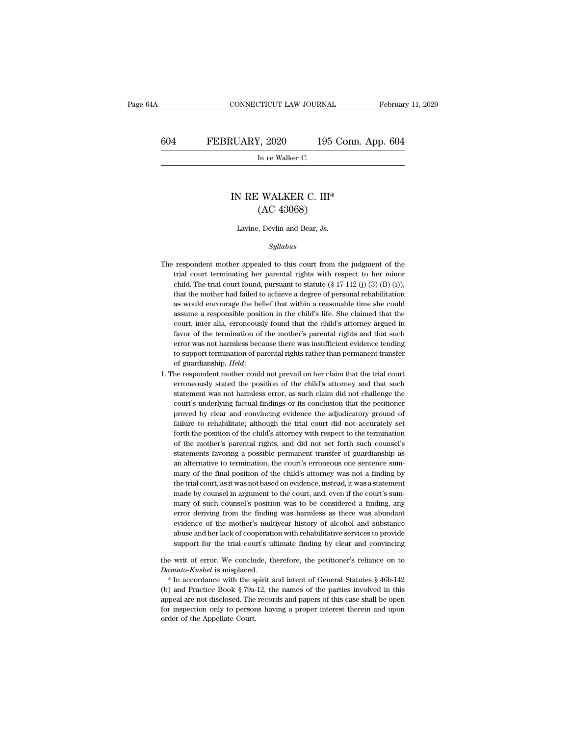CONNECTICUT LAW JOURNAL February 11, 2020<br>604 FEBRUARY, 2020 195 Conn. App. 604<br>In re Walker C. PTICUT LAW JOURN<br>
I, 2020<br>
In re Walker C.<br>
In re Walker C.

### XUARY, 2020 195 Conn. Ap<br>
In re Walker C.<br>
IN RE WALKER C. III\* (AC 43068) 7, 2020 195 C<br>
In re Walker C.<br>
: WALKER C. III\*<br>
(AC 43068)<br>
:, Devlin and Bear, Js. IN RE WALKER C. III\*<br>(AC 43068)<br>Lavine, Devlin and Bear, Js.

### *Syllabus*

- (AC 43008)<br>Lavine, Devlin and Bear, Js.<br>Syllabus<br>The respondent mother appealed to this court from the judgment of the<br>trial court terminating her parental rights with respect to her minor Lavine, Devlin and Bear, Js.<br>  $Syllabus$ <br>
respondent mother appealed to this court from the judgment of the<br>
trial court terminating her parental rights with respect to her minor<br>
child. The trial court found, pursuant to stat Eavine, Devin and Bear, Js.<br>
Syllabus<br>
respondent mother appealed to this court from the judgment of the<br>
trial court terminating her parental rights with respect to her minor<br>
child. The trial court found, pursuant to st  $Syllabus$ <br>respondent mother appealed to this court from the judgment of the<br>trial court terminating her parental rights with respect to her minor<br>child. The trial court found, pursuant to statute (§ 17-112 (j) (3) (B) (i)),<br> respondent mother appealed to this court from the judgment of the trial court terminating her parental rights with respect to her minor child. The trial court found, pursuant to statute  $(\S 17-112 \text{ (j) } (3) \text{ (B) } (i))$ , th respondent mother appealed to this court from the judgment of the trial court terminating her parental rights with respect to her minor child. The trial court found, pursuant to statute  $(\S 17-112(j)(3)(B)(i))$ , that the mothe trial court terminating her parental rights with respect to her minor child. The trial court found, pursuant to statute  $(\S 17-112 \text{ (j)} (3) (B) (i)),$  that the mother had failed to achieve a degree of personal rehabilitation child. The trial court found, pursuant to statute  $(\S 17-112)$  (j)  $(3)$  (B) (i)), that the mother had failed to achieve a degree of personal rehabilitation as would encourage the belief that within a reasonable time she that the mother had failed to achieve a degree of personal rehabilitation as would encourage the belief that within a reasonable time she could assume a responsible position in the child's life. She claimed that the court, as would encourage the belief that within a reasonable time she could assume a responsible position in the child's life. She claimed that the court, inter alia, erroneously found that the child's attorney argued in favor o assume a responsible position in the child's life. She claimed that the court, inter alia, erroneously found that the child's attorney argued in favor of the termination of the mother's parental rights and that such error favor of the termination of the mother's parental rights and that such<br>error was not harmless because there was insufficient evidence tending<br>to support termination of parental rights rather than permanent transfer<br>of guar
- error was not harmless because there was insufficient evidence tending<br>to support termination of parental rights rather than permanent transfer<br>of guardianship. *Held*:<br>he respondent mother could not prevail on her claim t to support termination of parental rights rather than permanent transfer<br>of guardianship. *Held*:<br>he respondent mother could not prevail on her claim that the trial court<br>erroneously stated the position of the child's atto of guardianship. *Held:*<br>he respondent mother could not prevail on her claim that the trial court<br>erroneously stated the position of the child's attorney and that such<br>statement was not harmless error, as such claim did no fall the respondent mother could not prevail on her claim that the trial court<br>erroneously stated the position of the child's attorney and that such<br>statement was not harmless error, as such claim did not challenge the<br>cou erroneously stated the position of the child's attorney and that such statement was not harmless error, as such claim did not challenge the court's underlying factual findings or its conclusion that the petitioner proved b statement was not harmless error, as such claim did not challenge the court's underlying factual findings or its conclusion that the petitioner proved by clear and convincing evidence the adjudicatory ground of failure to court's underlying factual findings or its conclusion that the petitioner proved by clear and convincing evidence the adjudicatory ground of failure to rehabilitate; although the trial court did not accurately set forth th proved by clear and convincing evidence the adjudicatory ground of failure to rehabilitate; although the trial court did not accurately set forth the position of the child's attorney with respect to the termination of the failure to rehabilitate; although the trial court did not accurately set forth the position of the child's attorney with respect to the termination of the mother's parental rights, and did not set forth such counsel's stat forth the position of the child's attorney with respect to the termination of the mother's parental rights, and did not set forth such counsel's statements favoring a possible permanent transfer of guardianship as an alter of the mother's parental rights, and did not set forth such counsel's<br>statements favoring a possible permanent transfer of guardianship as<br>an alternative to termination, the court's erroneous one sentence sum-<br>mary of the statements favoring a possible permanent transfer of guardianship as<br>an alternative to termination, the court's erroneous one sentence sum-<br>mary of the final position of the child's attorney was not a finding by<br>the trial an alternative to termination, the court's erroneous one sentence summary of the final position of the child's attorney was not a finding by the trial court, as it was not based on evidence, instead, it was a statement mad mary of the final position of the child's attorney was not a finding by<br>the trial court, as it was not based on evidence, instead, it was a statement<br>made by counsel in argument to the court, and, even if the court's sum-<br> the trial court, as it was not based on evidence, instead, it was a statement<br>made by counsel in argument to the court, and, even if the court's sum-<br>mary of such counsel's position was to be considered a finding, any<br>erro made by counsel in argument to the court, and, even if the court's summary of such counsel's position was to be considered a finding, any error deriving from the finding was harmless as there was abundant evidence of the m the writ of error. We conclude, therefore, the petitioner's reliance on to be verified a mainle evidence of the mother's multiyear history of alcohol and substance abuse and her lack of cooperation with rehabilitative serv erior deriving from the midning was naminess as there was abundant<br>evidence of the mother's multiyear history of alcohol and substance<br>abuse and her lack of cooperation with rehabilitative services to provide<br>support for t

<sup>%</sup> abuse and her lack of cooperation with rehabilitative services to provide<br>support for the trial court's ultimate finding by clear and convincing<br>the writ of error. We conclude, therefore, the petitioner's reliance on to support for the trial court's ultimate finding by clear and convincing<br>the writ of error. We conclude, therefore, the petitioner's reliance on to<br>*Damato-Kushel* is misplaced.<br>\* In accordance with the spirit and intent of the writ of error. We conclude, therefore, the petitioner's reliance on to *Damato-Kushel* is misplaced.<br>
\* In accordance with the spirit and intent of General Statutes § 46b-142 (b) and Practice Book § 79a-12, the names  $*$  In accordance with the spirit and intent of General Statutes  $§$  46b-142 (b) and Practice Book  $§$  79a-12, the names of the parties involved in this appeal are not disclosed. The records and papers of this case shall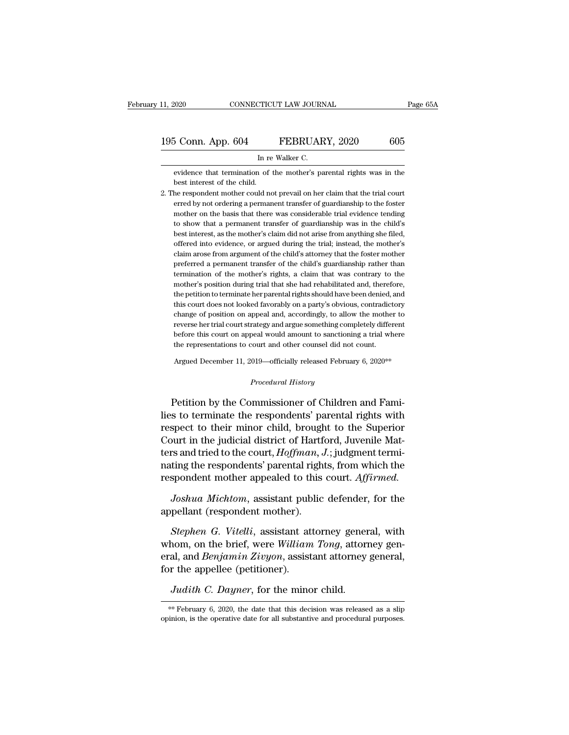| 11, 2020           | CONNECTICUT LAW JOURNAL                                              | Page 65A |
|--------------------|----------------------------------------------------------------------|----------|
| 195 Conn. App. 604 | FEBRUARY, 2020                                                       | 605      |
|                    | In re Walker C.                                                      |          |
|                    | evidence that termination of the mother's parental rights was in the |          |

EVERUARY, 2020 605<br>In re Walker C.<br>evidence that termination of the mother's parental rights was in the best interest of the child.  $\frac{604}{5}$  Conn. App. 604<br>In reedience that termination of the child.<br>the respondent mother could not

2. The respondent mother could not prevail on her claim that the trial court erred by not ordering a permanent transfer of guardianship to the foster of the trial court erred by not ordering a permanent transfer of guardia In re Walker C.<br>
evidence that termination of the mother's parental rights was in the<br>
best interest of the child.<br>
he respondent mother could not prevail on her claim that the trial court<br>
erred by not ordering a permanen more that termination of the mother's parental rights was in the<br>best interest of the child.<br>he respondent mother could not prevail on her claim that the trial court<br>erred by not ordering a permanent transfer of guardiansh evidence that termination of the mother's parental rights was in the best interest of the child.<br>he respondent mother could not prevail on her claim that the trial court<br>erred by not ordering a permanent transfer of guardi best interest of the child.<br>he respondent mother could not prevail on her claim that the trial court<br>erred by not ordering a permanent transfer of guardianship to the foster<br>mother on the basis that there was considerable he respondent mother could not prevail on her claim that the trial court<br>erred by not ordering a permanent transfer of guardianship to the foster<br>mother on the basis that there was considerable trial evidence tending<br>to sh erred by not ordering a permanent transfer of guardianship to the foster mother on the basis that there was considerable trial evidence tending to show that a permanent transfer of guardianship was in the child's best inte mother on the basis that there was considerable trial evidence tending<br>to show that a permanent transfer of guardianship was in the child's<br>best interest, as the mother's claim did not arise from anything she filed,<br>offere to show that a permanent transfer of guardianship was in the child's<br>best interest, as the mother's claim did not arise from anything she filed,<br>offered into evidence, or argued during the trial; instead, the mother's<br>clai best interest, as the mother's claim did not arise from anything she filed, offered into evidence, or argued during the trial; instead, the mother's claim arose from argument of the child's attorney that the foster mother offered into evidence, or argued during the trial; instead, the mother's claim arose from argument of the child's attorney that the foster mother preferred a permanent transfer of the child's guardianship rather than termi claim arose from argument of the child's attorney that the foster mother<br>preferred a permanent transfer of the child's guardianship rather than<br>termination of the mother's rights, a claim that was contrary to the<br>mother's preferred a permanent transfer of the child's guardianship rather than<br>termination of the mother's rights, a claim that was contrary to the<br>mother's position during trial that she had rehabilitated and, therefore,<br>the peti termination of the mother's rights, a claim that was contrary to the mother's position during trial that she had rehabilitated and, therefore, the petition to terminate her parental rights should have been denied, and this mother's position during trial that she had rehabilitated and, therefore, the petition to terminate her parental rights should have been denied, and this court does not looked favorably on a party's obvious, contradictory this court does not looked favorably on a party's obvious, contradictory the court does not looked ravorably on a party s obvious, contradictory<br>change of position on appeal and, accordingly, to allow the mother to<br>reverse her trial court strategy and argue something completely different<br>before

Argued December 11, 2019—officially released February 6, 2020\*\*<br>*Procedural History*<br>Petition by the Commissioner of Children and Fami-Feverse her that court strategy and argue something completely unterent<br>before this court on appeal would amount to sanctioning a trial where<br>the representations to court and other counsel did not count.<br>Argued December 11 the representations to court and other counsel did not count.<br>
Argued December 11, 2019—officially released February 6, 2020<sup>\*\*</sup><br>
Procedural History<br>
Petition by the Commissioner of Children and Fami-<br>
lies to terminate th Argued December 11, 2019—officially released February 6, 2020<sup>\*\*</sup><br> *Procedural History*<br>
Petition by the Commissioner of Children and Fami-<br>
lies to terminate the respondents' parental rights with<br>
respect to their minor c Procedural History<br>Procedural History<br>Petition by the Commissioner of Children and Fami-<br>lies to terminate the respondents' parental rights with<br>respect to their minor child, brought to the Superior<br>Court in the judicial d *Procedural History*<br>
Petition by the Commissioner of Children and Fami-<br>
lies to terminate the respondents' parental rights with<br>
respect to their minor child, brought to the Superior<br>
Court in the judicial district of Ha Petition by the Commissioner of Children and Fami-<br>lies to terminate the respondents' parental rights with<br>respect to their minor child, brought to the Superior<br>Court in the judicial district of Hartford, Juvenile Mat-<br>ter Petition by the Commissioner of Children and Fami-<br>lies to terminate the respondents' parental rights with<br>respect to their minor child, brought to the Superior<br>Court in the judicial district of Hartford, Juvenile Mat-<br>ter spect to their minor child, brought to the Superior<br>purt in the judicial district of Hartford, Juvenile Mat-<br>rs and tried to the court, *Hoffman*, *J*.; judgment termi-<br>ting the respondents' parental rights, from which the Court in the judicial district of Hartf<br>ters and tried to the court, *Hoffman*, .<br>nating the respondents' parental righ<br>respondent mother appealed to this<br>*Joshua Michtom*, assistant public<br>appellant (respondent mother).<br>

*Statutud to the court, Hoffman, 9., judgment errifing the respondents' parental rights, from which the spondent mother appealed to this court. Affirmed.<br>Joshua Michtom, assistant public defender, for the pellant (responde* mainig the respondents parental rights, from which the<br>respondent mother appealed to this court. Affirmed.<br>Joshua Michtom, assistant public defender, for the<br>appellant (respondent mother).<br>Stephen G. Vitelli, assistant att *Joshua Michtom*, assistant public defender, for the appellant (respondent mother).<br>Stephen G. Vitelli, assistant attorney general, with whom, on the brief, were *William Tong*, attorney general, and *Benjamin Zivyon*, ass Joshua Michtom, assistant pub<br>appellant (respondent mother).<br>Stephen G. Vitelli, assistant at<br>whom, on the brief, were William<br>eral, and Benjamin Zivyon, assist<br>for the appellee (petitioner).<br>Judith C. Dayner, for the mino *Judith C. Dayner*, for the minor child. \*\* February 6, 2020, the date that this decision was released as a slip minon, is the operative date for all substantive and procedural purposes.

opinion, is the operative date for all substantive and procedural purposes.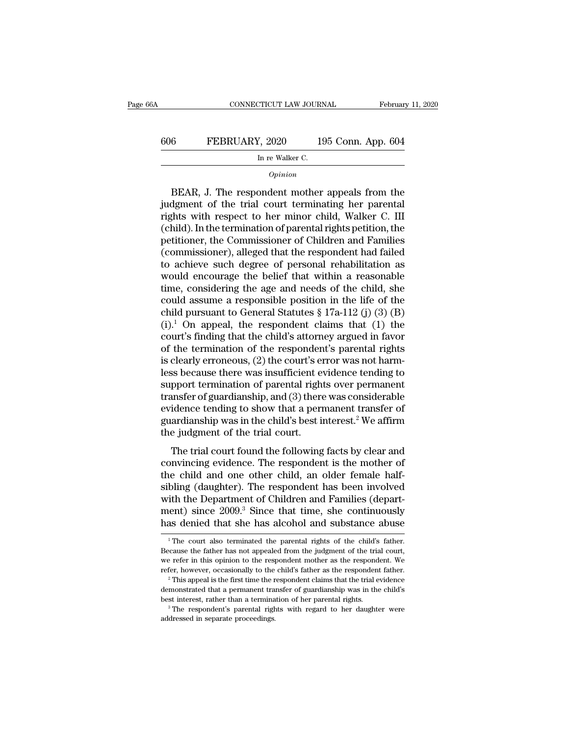# CONNECTICUT LAW JOURNAL February 11, 2020<br>606 FEBRUARY, 2020 195 Conn. App. 604<br>In re Walker C. TICUT LAW JOURN<br>
I, 2020<br>
In re Walker C.<br>
Oninion

### *Opinion*

EEBRUARY, 2020 195 Conn. App. 604<br>
In re Walker C.<br>
Opinion<br>
BEAR, J. The respondent mother appeals from the<br>
dgment of the trial court terminating her parental<br>
shts with respect to ber minor child Walker C. III  $\begin{array}{r} \text{606} & \text{FEBRUARY, 2020} & \text{195 Conn. App. 604} \\ \hline \text{In re Walker C.} \end{array}$ <br>  $\begin{array}{r} \text{Dirichlet} \ \text{404} \\ \text{604} \\ \text{604} \\ \text{604} \end{array}$  DEAR, J. The respondent mother appeals from the judgment of the trial court terminating her parental FEBRUARY, 2020 195 Conn. App. 604<br>
In re Walker C.<br>
Opinion<br>
BEAR, J. The respondent mother appeals from the<br>
judgment of the trial court terminating her parental<br>
rights with respect to her minor child, Walker C. III<br>
(c In re Walker C.<br>
(opinion<br>
Definition)<br>
Definition of the trial court terminating her parental<br>
rights with respect to her minor child, Walker C. III<br>
(child). In the termination of parental rights petition, the<br>
petitione  $o_{pinion}$ <br>
BEAR, J. The respondent mother appeals from the<br>
judgment of the trial court terminating her parental<br>
rights with respect to her minor child, Walker C. III<br>
(child). In the termination of parental rights petitio EEAR, J. The respondent mother appeals from the judgment of the trial court terminating her parental rights with respect to her minor child, Walker C. III (child). In the termination of parental rights petition, the petiti BEAR, J. The respondent mother appeals from the<br>judgment of the trial court terminating her parental<br>rights with respect to her minor child, Walker C. III<br>(child). In the termination of parental rights petition, the<br>petiti judgment of the trial court terminating her parental<br>rights with respect to her minor child, Walker C. III<br>(child). In the termination of parental rights petition, the<br>petitioner, the Commissioner of Children and Families<br> rights with respect to her minor child, Walker C. III<br>(child). In the termination of parental rights petition, the<br>petitioner, the Commissioner of Children and Families<br>(commissioner), alleged that the respondent had fail (child). In the termination of parental rights petition, the<br>petitioner, the Commissioner of Children and Families<br>(commissioner), alleged that the respondent had failed<br>to achieve such degree of personal rehabilitation a petitioner, the Commissioner of Children and Families<br>(commissioner), alleged that the respondent had failed<br>to achieve such degree of personal rehabilitation as<br>would encourage the belief that within a reasonable<br>time, co (commissioner), alleged that the respondent had failed<br>to achieve such degree of personal rehabilitation as<br>would encourage the belief that within a reasonable<br>time, considering the age and needs of the child, she<br>could a to achieve such degree of personal rehabilitation as<br>would encourage the belief that within a reasonable<br>time, considering the age and needs of the child, she<br>could assume a responsible position in the life of the<br>child p would encourage the belief that within a reasonable<br>time, considering the age and needs of the child, she<br>could assume a responsible position in the life of the<br>child pursuant to General Statutes § 17a-112 (j) (3) (B)<br>(i) time, considering the age and needs of the child, she<br>could assume a responsible position in the life of the<br>child pursuant to General Statutes  $\S 17a-112$  (j) (3) (B)<br>(i).<sup>1</sup> On appeal, the respondent claims that (1) the could assume a responsible position in the life of the<br>child pursuant to General Statutes  $\S 17a-112$  (j) (3) (B)<br>(i).<sup>1</sup> On appeal, the respondent claims that (1) the<br>court's finding that the child's attorney argued in f child pursuant to General Statutes § 17a-112 (j) (3) (B)<br>(i).<sup>1</sup> On appeal, the respondent claims that (1) the<br>court's finding that the child's attorney argued in favor<br>of the termination of the respondent's parental righ (i).<sup>1</sup> On appeal, the respondent claims that (1) the court's finding that the child's attorney argued in favor of the termination of the respondent's parental rights is clearly erroneous, (2) the court's error was not ha court's finding that the child's attorney argued in favor<br>of the termination of the respondent's parental rights<br>is clearly erroneous, (2) the court's error was not harm-<br>less because there was insufficient evidence tendin of the termination of the respondent's parental rights<br>is clearly erroneous, (2) the court's error was not harm-<br>less because there was insufficient evidence tending to<br>support termination of parental rights over permanent is clearly erroneous, (2) the court's enders because there was insufficient exampled the support termination of parental right transfer of guardianship, and (3) there evidence tending to show that a permy guardianship was spocialist the trial court found the following to<br>proper termination of parental rights over permanent<br>insfer of guardianship, and (3) there was considerable<br>idence tending to show that a permanent transfer of<br>ardianship w support trimination of parental rights over permanent<br>transfer of guardianship, and (3) there was considerable<br>evidence tending to show that a permanent transfer of<br>guardianship was in the child's best interest.<sup>2</sup> We affi

transier or guardianship, and  $(s)$  diete was considerable<br>evidence tending to show that a permanent transfer of<br>guardianship was in the child's best interest.<sup>2</sup> We affirm<br>the judgment of the trial court.<br>The trial court evidence tending to show that a permanent transier of<br>guardianship was in the child's best interest.<sup>2</sup> We affirm<br>the judgment of the trial court.<br>The trial court found the following facts by clear and<br>convincing evidence. guardianship was in the emid is best interest. We arriflute the judgment of the trial court.<br>The trial court found the following facts by clear and convincing evidence. The respondent is the mother of<br>the child and one oth The trial court found the following facts by clear and<br>convincing evidence. The respondent is the mother of<br>the child and one other child, an older female half-<br>sibling (daughter). The respondent has been involved<br>with the The trial court found the following facts by clear and<br>convincing evidence. The respondent is the mother of<br>the child and one other child, an older female half-<br>sibling (daughter). The respondent has been involved<br>with th bling (daughter). The respondent has been involved<br>ith the Department of Children and Families (depart-<br>ent) since 2009.<sup>3</sup> Since that time, she continuously<br>as denied that she has alcohol and substance abuse<br><sup>1</sup>The court with the Department of Children and Families (department) since  $2009.^3$  Since that time, she continuously has denied that she has alcohol and substance abuse  $\frac{1}{1}$  The court also terminated the parental rights of the

ment) since  $2009.3$  Since that time, she continuously has denied that she has alcohol and substance abuse  $\frac{1}{1}$  The court also terminated the parental rights of the child's father. Because the father has not appealed The court also terminated the parental rights of the child's father.<br>  $\frac{1}{1}$  The court also terminated the parental rights of the child's father.<br>
Because the father has not appealed from the judgment of the trial cour <sup>1</sup> The court also terminated the parental rights of the child's father. Because the father has not appealed from the judgment of the trial court, we refer in this opinion to the respondent mother as the respondent. We re Because the father has not appealed from the judgment of the trial court, we refer in this opinion to the respondent mother as the respondent. We refer, however, occasionally to the child's father as the respondent father

refer, however, occasionally to the child's father as the respondent father.<br>
<sup>2</sup> This appeal is the first time the respondent claims that the trial evidence demonstrated that a permanent transfer of guardianship was in t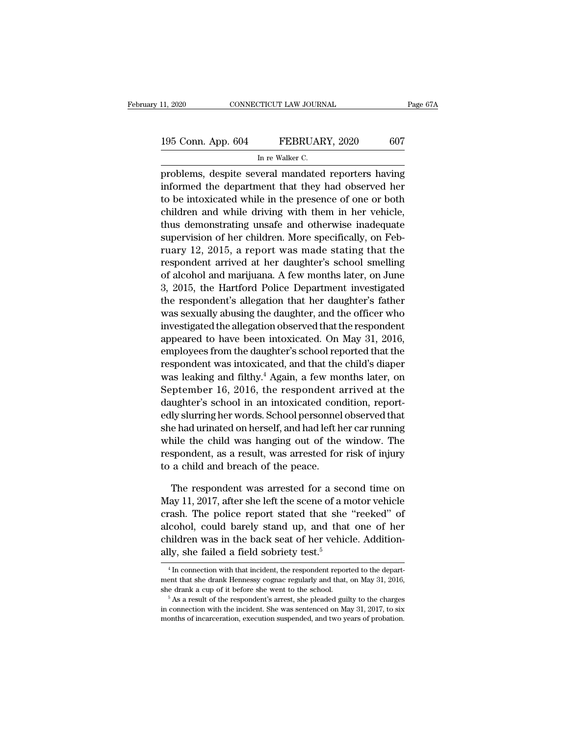# 11, 2020 CONNECTICUT LAW JOURNAL Page 67A<br>195 Conn. App. 604 FEBRUARY, 2020 607<br>In re Walker C. TICUT LAW JOURN<br>FEBRUAR<br>In re Walker C.<br>veral\_mandated

Page 67A<br>
195 Conn. App. 604 FEBRUARY, 2020 607<br>
In re Walker C.<br>
problems, despite several mandated reporters having<br>
informed the department that they had observed her 195 Conn. App. 604 FEBRUARY, 2020 607<br>
In re Walker C.<br>
problems, despite several mandated reporters having<br>
informed the department that they had observed her<br>
to be intoxicated while in the presence of one or both<br>
child 195 Conn. App. 604 FEBRUARY, 2020 607<br>
In re Walker C.<br>
problems, despite several mandated reporters having<br>
informed the department that they had observed her<br>
to be intoxicated while in the presence of one or both<br>
child 195 Conn. App. 604 FEBRUARY, 2020 607<br>
In re Walker C.<br>
problems, despite several mandated reporters having<br>
informed the department that they had observed her<br>
to be intoxicated while in the presence of one or both<br>
child In re Walker C.<br>
problems, despite several mandated reporters having<br>
informed the department that they had observed her<br>
to be intoxicated while in the presence of one or both<br>
children and while driving with them in her supervisions, despite several mandated reporters having<br>informed the department that they had observed her<br>to be intoxicated while in the presence of one or both<br>children and while driving with them in her vehicle,<br>thus de problems, despite several mandated reporters naving<br>informed the department that they had observed her<br>to be intoxicated while in the presence of one or both<br>children and while driving with them in her vehicle,<br>thus demons informed the department that they had observed her<br>to be intoxicated while in the presence of one or both<br>children and while driving with them in her vehicle,<br>thus demonstrating unsafe and otherwise inadequate<br>supervision to be intoxicated while in the presence of one or both<br>children and while driving with them in her vehicle,<br>thus demonstrating unsafe and otherwise inadequate<br>supervision of her children. More specifically, on Feb-<br>ruary 1 children and while driving with them in her venicle,<br>thus demonstrating unsafe and otherwise inadequate<br>supervision of her children. More specifically, on Feb-<br>ruary 12, 2015, a report was made stating that the<br>respondent thus demonstrating unsare and otherwise madequate<br>supervision of her children. More specifically, on Feb-<br>ruary 12, 2015, a report was made stating that the<br>respondent arrived at her daughter's school smelling<br>of alcohol a supervision of her children. More specifically, on February 12, 2015, a report was made stating that the respondent arrived at her daughter's school smelling of alcohol and marijuana. A few months later, on June 3, 2015, t ruary 12, 2015, a report was made stating that the<br>respondent arrived at her daughter's school smelling<br>of alcohol and marijuana. A few months later, on June<br>3, 2015, the Hartford Police Department investigated<br>the respond respondent arrived at her daughter's school smelling<br>of alcohol and marijuana. A few months later, on June<br>3, 2015, the Hartford Police Department investigated<br>the respondent's allegation that her daughter's father<br>was sex or alcohol and marijuana. A few months later, on June<br>3, 2015, the Hartford Police Department investigated<br>the respondent's allegation that her daughter's father<br>was sexually abusing the daughter, and the officer who<br>inves 3, 2015, the Hartford Police Department investigated<br>the respondent's allegation that her daughter's father<br>was sexually abusing the daughter, and the officer who<br>investigated the allegation observed that the respondent<br>a the respondent's allegation that her daughter's rather<br>was sexually abusing the daughter, and the officer who<br>investigated the allegation observed that the respondent<br>appeared to have been intoxicated. On May 31, 2016,<br>emp was sexually abusing the daughter, and the officer who<br>investigated the allegation observed that the respondent<br>appeared to have been intoxicated. On May 31, 2016,<br>employees from the daughter's school reported that the<br>res mvesugated the anegation observed that the respondent<br>appeared to have been intoxicated. On May 31, 2016,<br>employees from the daughter's school reported that the<br>respondent was intoxicated, and that the child's diaper<br>was l appeared to nave been mtoxicated. On May 31, 2016,<br>employees from the daughter's school reported that the<br>respondent was intoxicated, and that the child's diaper<br>was leaking and filthy.<sup>4</sup> Again, a few months later, on<br>Sep employees from the daughter's school reported that the<br>respondent was intoxicated, and that the child's diaper<br>was leaking and filthy.<sup>4</sup> Again, a few months later, on<br>September 16, 2016, the respondent arrived at the<br>daug respondent was intoxicated, and that the child s diaper<br>was leaking and filthy.<sup>4</sup> Again, a few months later, on<br>September 16, 2016, the respondent arrived at the<br>daughter's school in an intoxicated condition, report-<br>edly was leaking and mtny. Again, a rew months later, on<br>September 16, 2016, the respondent arrived at the<br>daughter's school in an intoxicated condition, report-<br>edly slurring her words. School personnel observed that<br>she had u September 10, 2010, the respondent a<br>daughter's school in an intoxicated con-<br>edly slurring her words. School personnel<br>she had urinated on herself, and had left h<br>while the child was hanging out of the<br>respondent, as a re ly slurring her words. School personnel observed that<br>e had urinated on herself, and had left her car running<br>nile the child was hanging out of the window. The<br>spondent, as a result, was arrested for risk of injury<br>a child she had urinated on herself, and had left her car running<br>while the child was hanging out of the window. The<br>respondent, as a result, was arrested for risk of injury<br>to a child and breach of the peace.<br>The respondent was a

while the child was hanging out of the window. The<br>respondent, as a result, was arrested for risk of injury<br>to a child and breach of the peace.<br>The respondent was arrested for a second time on<br>May 11, 2017, after she left respondent, as a result, was arrested for risk of injury<br>to a child and breach of the peace.<br>The respondent was arrested for a second time on<br>May 11, 2017, after she left the scene of a motor vehicle<br>crash. The police repo to a child and breach of the peace.<br>The respondent was arrested for a second time on May 11, 2017, after she left the scene of a motor vehicle crash. The police report stated that she "reeked" of alcohol, could barely sta The respondent was arrested for a seconday 11, 2017, after she left the scene of a m crash. The police report stated that she alcohol, could barely stand up, and that children was in the back seat of her vehically, she fa crash. The police report stated that she "reeked" of<br>alcohol, could barely stand up, and that one of her<br>children was in the back seat of her vehicle. Addition-<br>ally, she failed a field sobriety test.<sup>5</sup><br> $\frac{4}{1}$  In conn

children was in the back seat of her vehicle. Additionally, she failed a field sobriety test.<sup>5</sup><br> $\frac{4}{1}$  In connection with that incident, the respondent reported to the department that she drank Hennessy cognac regular children was in the back seat of her vehicle. Additionally, she failed a field sobriety test.<sup>5</sup><br><sup>4</sup>In connection with that incident, the respondent reported to the department that she drank Hennessy cognac regularly and <sup>4</sup> In connection with that incident, the respondent reported to the department that she drank Hennessy cognac regularly and that, on May 31, 2016, she drank a cup of it before she went to the school.<br><sup>5</sup> As a result of t

ment that she drank Hennessy cognac regularly and that, on May 31, 2016, she drank a cup of it before she went to the school.<br><sup>5</sup> As a result of the respondent's arrest, she pleaded guilty to the charges in connection with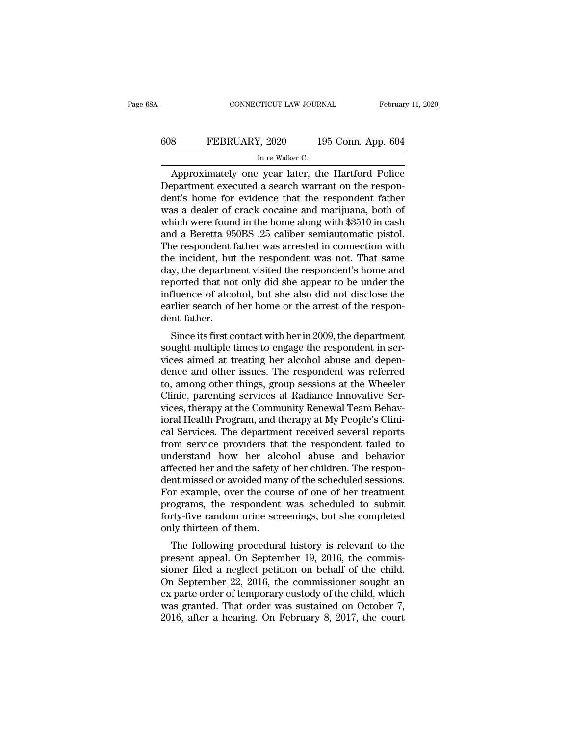# CONNECTICUT LAW JOURNAL February 11, 2020<br>608 FEBRUARY, 2020 195 Conn. App. 604<br>In re Walker C. MICUT LAW JOURNEY CONTROL<br>In re Walker C.<br>In re Walker C.<br>In re Walter the

CONNECTICUT LAW JOURNAL February 11, 2020<br>
8 FEBRUARY, 2020 195 Conn. App. 604<br>
In re Walker C.<br>
Approximately one year later, the Hartford Police<br>
epartment executed a search warrant on the respon-<br>
and the respondent fat FEBRUARY, 2020 195 Conn. App. 604<br>
In re Walker C.<br>
Approximately one year later, the Hartford Police<br>
Department executed a search warrant on the respon-<br>
dent's home for evidence that the respondent father<br>
Was a doplar FEBRUARY, 2020 195 Conn. App. 604<br>
In re Walker C.<br>
Approximately one year later, the Hartford Police<br>
Department executed a search warrant on the respondent's home for evidence that the respondent father<br>
was a dealer of EBRUARY, 2020 195 Conn. App. 604<br>
In re Walker C.<br>
Approximately one year later, the Hartford Police<br>
Department executed a search warrant on the respondent's home for evidence that the respondent father<br>
was a dealer of c In re Walker C.<br>
Approximately one year later, the Hartford Police<br>
Department executed a search warrant on the respon-<br>
dent's home for evidence that the respondent father<br>
was a dealer of crack cocaine and marijuana, bot In re walker C.<br>
Approximately one year later, the Hartford Police<br>
Department executed a search warrant on the respon-<br>
dent's home for evidence that the respondent father<br>
was a dealer of crack cocaine and marijuana, bot Approximately one year later, the Hartford Police<br>Department executed a search warrant on the respondent's home for evidence that the respondent father<br>was a dealer of crack cocaine and marijuana, both of<br>which were found Department executed a search warrant on the respondent's home for evidence that the respondent father was a dealer of crack cocaine and marijuana, both of which were found in the home along with \$3510 in cash and a Beretta dent's home for evidence that the respondent father<br>was a dealer of crack cocaine and marijuana, both of<br>which were found in the home along with \$3510 in cash<br>and a Beretta 950BS .25 caliber semiautomatic pistol.<br>The respo was a dealer of crack cocaine and marijuana, both of<br>which were found in the home along with \$3510 in cash<br>and a Beretta 950BS .25 caliber semiautomatic pistol.<br>The respondent father was arrested in connection with<br>the inc which were found in the home along with \$3510 in cash<br>and a Beretta 950BS .25 caliber semiautomatic pistol.<br>The respondent father was arrested in connection with<br>the incident, but the respondent was not. That same<br>day, the and a Beretta 950BS .25 caliber semiautomatic pistol.<br>The respondent father was arrested in connection with<br>the incident, but the respondent was not. That same<br>day, the department visited the respondent's home and<br>reported The respondent f<br>the incident, but<br>day, the departm<br>reported that noi<br>influence of alco<br>earlier search of<br>dent father.<br>Since its first co be incluent, but the respondent was not. That same<br>y, the department visited the respondent's home and<br>ported that not only did she appear to be under the<br>fluence of alcohol, but she also did not disclose the<br>rlier search solution and reported that not only did she appear to be under the influence of alcohol, but she also did not disclose the earlier search of her home or the arrest of the respondent father.<br>Since its first contact with her

reported that not only that she appear to be under the<br>influence of alcohol, but she also did not disclose the<br>earlier search of her home or the arrest of the respon-<br>dent father.<br>Since its first contact with her in 2009, minuence of alcohol, but she also uld not ulsclose the<br>earlier search of her home or the arrest of the respon-<br>dent father.<br>Since its first contact with her in 2009, the department<br>sought multiple times to engage the respo earlier search of her holde of the arrest of the respondent father.<br>
Since its first contact with her in 2009, the department<br>
sought multiple times to engage the respondent in ser-<br>
vices aimed at treating her alcohol abu Since its first contact with her in 2009, the department<br>sought multiple times to engage the respondent in ser-<br>vices aimed at treating her alcohol abuse and depen-<br>dence and other issues. The respondent was referred<br>to, a Since its first contact with her in 2009, the department<br>sought multiple times to engage the respondent in ser-<br>vices aimed at treating her alcohol abuse and depen-<br>dence and other issues. The respondent was referred<br>to, a sought multiple times to engage the respondent in services aimed at treating her alcohol abuse and dependence and other issues. The respondent was referred to, among other things, group sessions at the Wheeler Clinic, pare vices aimed at treating her alcohol abuse and dependence and other issues. The respondent was referred to, among other things, group sessions at the Wheeler Clinic, parenting services at Radiance Innovative Services, thera dence and other issues. The respondent was referred<br>to, among other things, group sessions at the Wheeler<br>Clinic, parenting services at Radiance Innovative Ser-<br>vices, therapy at the Community Renewal Team Behav-<br>ioral Hea to, among other things, group sessions at the Wheeler<br>Clinic, parenting services at Radiance Innovative Services, therapy at the Community Renewal Team Behav-<br>ioral Health Program, and therapy at My People's Clini-<br>cal Ser Clinic, parenting services at Radiance Innovative Services, therapy at the Community Renewal Team Behavioral Health Program, and therapy at My People's Clinical Services. The department received several reports from servic vices, therapy at the Community Renewal Team Behav-<br>ioral Health Program, and therapy at My People's Clini-<br>cal Services. The department received several reports<br>from service providers that the respondent failed to<br>underst ioral Health Program, and therapy at My People's Clinical Services. The department received several reports<br>from service providers that the respondent failed to<br>understand how her alcohol abuse and behavior<br>affected her an cal Services. The department received several reports<br>from service providers that the respondent failed to<br>understand how her alcohol abuse and behavior<br>affected her and the safety of her children. The respon-<br>dent missed from service providers that the respondent failed to<br>understand how her alcohol abuse and behavior<br>affected her and the safety of her children. The respon-<br>dent missed or avoided many of the scheduled sessions.<br>For example understand how her alco<br>affected her and the safety<br>dent missed or avoided man<br>For example, over the cour<br>programs, the respondent<br>forty-five random urine scr<br>only thirteen of them.<br>The following procedura Frected her and the safety of her childent. The respon-<br>Int missed or avoided many of the scheduled sessions.<br>Frectament ograms, the respondent was scheduled to submit<br>rty-five random urine screenings, but she completed<br>ly For example, over the course of one of her treatment<br>programs, the respondent was scheduled to submit<br>forty-five random urine screenings, but she completed<br>only thirteen of them.<br>The following procedural history is relevan

For example, over the course of one of her treament<br>programs, the respondent was scheduled to submit<br>forty-five random urine screenings, but she completed<br>only thirteen of them.<br>The following procedural history is relevant programs, the respondent was scheduled to submit<br>forty-five random urine screenings, but she completed<br>only thirteen of them.<br>The following procedural history is relevant to the<br>present appeal. On September 19, 2016, the c Forty-five random unite screenings, but site completed<br>only thirteen of them.<br>The following procedural history is relevant to the<br>present appeal. On September 19, 2016, the commis-<br>sioner filed a neglect petition on behal The following procedural history is relevant to the<br>present appeal. On September 19, 2016, the commis-<br>sioner filed a neglect petition on behalf of the child.<br>On September 22, 2016, the commissioner sought an<br>ex parte orde The following procedural history is relevant to the present appeal. On September 19, 2016, the commissioner filed a neglect petition on behalf of the child. On September 22, 2016, the commissioner sought an ex parte order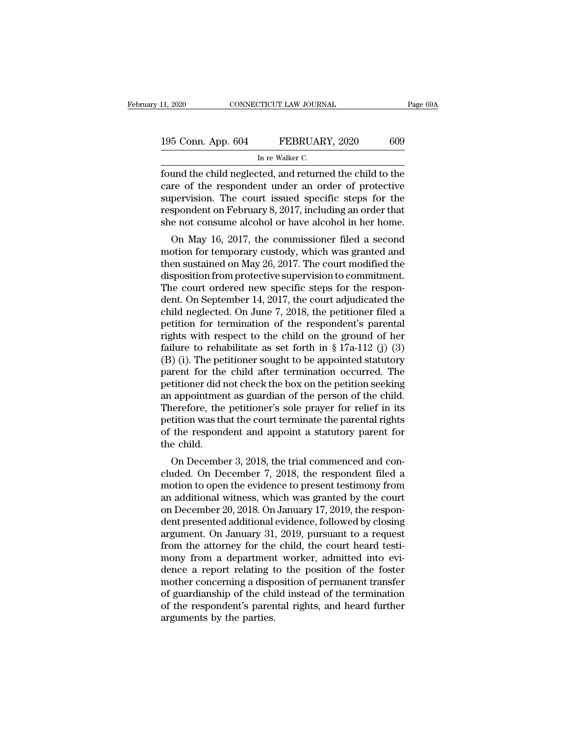| 11, 2020           | CONNECTICUT LAW JOURNAL                                 | Page 69A |
|--------------------|---------------------------------------------------------|----------|
|                    |                                                         |          |
| 195 Conn. App. 604 | FEBRUARY, 2020                                          | 609      |
|                    | In re Walker C.                                         |          |
|                    | found the child neglected and returned the child to the |          |

Fage 69A<br>195 Conn. App. 604 FEBRUARY, 2020 609<br>In re Walker C.<br>Tound the child neglected, and returned the child to the<br>care of the respondent under an order of protective<br>supervision. The court issued specific stops for t 195 Conn. App. 604 FEBRUARY, 2020 609<br>
In re Walker C.<br>
found the child neglected, and returned the child to the<br>
care of the respondent under an order of protective<br>
supervision. The court issued specific steps for the<br>
r 195 Conn. App. 604 FEBRUARY, 2020 609<br>
In re Walker C.<br>
found the child neglected, and returned the child to the<br>
care of the respondent under an order of protective<br>
supervision. The court issued specific steps for the<br> 195 Conn. App. 604 FEBRUARY, 2020 609<br>
In re Walker C.<br>
found the child neglected, and returned the child to the<br>
care of the respondent under an order of protective<br>
supervision. The court issued specific steps for the<br>
r INCRETE TRENCELLET, 2020<br>
In re Walker C.<br>
found the child neglected, and returned the child to the<br>
care of the respondent under an order of protective<br>
supervision. The court issued specific steps for the<br>
respondent on und the child neglected, and returned the child to the<br>re of the respondent under an order of protective<br>pervision. The court issued specific steps for the<br>spondent on February 8, 2017, including an order that<br>e not consu round the child neglected, and returned the child to the<br>care of the respondent under an order of protective<br>supervision. The court issued specific steps for the<br>respondent on February 8, 2017, including an order that<br>she

care of the respondent under an order of protective<br>supervision. The court issued specific steps for the<br>respondent on February 8, 2017, including an order that<br>she not consume alcohol or have alcohol in her home.<br>On May 1 supervision. The court issued specific steps for the<br>respondent on February 8, 2017, including an order that<br>she not consume alcohol or have alcohol in her home.<br>On May 16, 2017, the commissioner filed a second<br>motion for respondent on February 8, 2017, including an order that<br>she not consume alcohol or have alcohol in her home.<br>On May 16, 2017, the commissioner filed a second<br>motion for temporary custody, which was granted and<br>then sustain She not consume arconor or nave arconor in her nome.<br>
On May 16, 2017, the commissioner filed a second<br>
motion for temporary custody, which was granted and<br>
then sustained on May 26, 2017. The court modified the<br>
dispositi On May 16, 2017, the commissioner filed a second<br>motion for temporary custody, which was granted and<br>then sustained on May 26, 2017. The court modified the<br>disposition from protective supervision to commitment.<br>The court o motion for temporary custody, which was granted and<br>then sustained on May 26, 2017. The court modified the<br>disposition from protective supervision to commitment.<br>The court ordered new specific steps for the respon-<br>dent. then sustained on May 26, 2017. The court modified the<br>disposition from protective supervision to commitment.<br>The court ordered new specific steps for the respon-<br>dent. On September 14, 2017, the court adjudicated the<br>chi disposition from protective supervision to commitment.<br>The court ordered new specific steps for the respondent. On September 14, 2017, the court adjudicated the child neglected. On June 7, 2018, the petitioner filed a pet The court ordered new specific steps for the respondent. On September 14, 2017, the court adjudicated the child neglected. On June 7, 2018, the petitioner filed a petition for termination of the respondent's parental righ dent. On September 14, 2017, the court adjudicated the<br>child neglected. On June 7, 2018, the petitioner filed a<br>petition for termination of the respondent's parental<br>rights with respect to the child on the ground of her<br>f child neglected. On June 7, 2018, the petitioner filed a<br>petition for termination of the respondent's parental<br>rights with respect to the child on the ground of her<br>failure to rehabilitate as set forth in § 17a-112 (j) (3) petition for termination of the respondent's parental<br>rights with respect to the child on the ground of her<br>failure to rehabilitate as set forth in § 17a-112 (j) (3)<br>(B) (i). The petitioner sought to be appointed statutory rights with respect to the child on the ground of her<br>failure to rehabilitate as set forth in § 17a-112 (j) (3)<br>(B) (i). The petitioner sought to be appointed statutory<br>parent for the child after termination occurred. The failure to rehabilitate as set forth in  $\S 17a-112$  (j) (3)<br>(B) (i). The petitioner sought to be appointed statutory<br>parent for the child after termination occurred. The<br>petitioner did not check the box on the petition se (B) (i). The petitioner sought to be appointed statutory<br>parent for the child after termination occurred. The<br>petitioner did not check the box on the petition seeking<br>an appointment as guardian of the person of the child.<br> parent for the<br>petitioner did r<br>an appointmer<br>Therefore, the<br>petition was th<br>of the responc<br>the child.<br>On Decembe rationer and not check the box off the perition seeking<br>appointment as guardian of the person of the child.<br>herefore, the petitioner's sole prayer for relief in its<br>tition was that the court terminate the parental rights<br>t an appointment as guardian of the person of the child.<br>Therefore, the petitioner's sole prayer for relief in its<br>petition was that the court terminate the parental rights<br>of the respondent and appoint a statutory parent fo

Therefore, the pethology sole prayer for refler in its<br>petition was that the court terminate the parental rights<br>of the respondent and appoint a statutory parent for<br>the child.<br>On December 3, 2018, the trial commenced and petition was that the court terminate the parental rights<br>of the respondent and appoint a statutory parent for<br>the child.<br>On December 3, 2018, the trial commenced and con-<br>cluded. On December 7, 2018, the respondent filed on the respondent and appoint a statutory parent for<br>the child.<br>On December 3, 2018, the trial commenced and con-<br>cluded. On December 7, 2018, the respondent filed a<br>motion to open the evidence to present testimony from<br>an on December 3, 2018, the trial commenced and concluded. On December 7, 2018, the respondent filed a motion to open the evidence to present testimony from an additional witness, which was granted by the court on December 20 On December 3, 2018, the trial commenced and concluded. On December 7, 2018, the respondent filed a motion to open the evidence to present testimony from an additional witness, which was granted by the court on December 20 cluded. On December 7, 2018, the respondent filed a<br>motion to open the evidence to present testimony from<br>an additional witness, which was granted by the court<br>on December 20, 2018. On January 17, 2019, the respon-<br>dent pr motion to open the evidence to present testimony from<br>an additional witness, which was granted by the court<br>on December 20, 2018. On January 17, 2019, the respon-<br>dent presented additional evidence, followed by closing<br>arg an additional witness, which was granted by the court<br>on December 20, 2018. On January 17, 2019, the respon-<br>dent presented additional evidence, followed by closing<br>argument. On January 31, 2019, pursuant to a request<br>from on December 20, 2018. On January 17, 2019, the respondent presented additional evidence, followed by closing argument. On January 31, 2019, pursuant to a request from the attorney for the child, the court heard testimony f dent presented additional evidence, followed by closing<br>argument. On January 31, 2019, pursuant to a request<br>from the attorney for the child, the court heard testi-<br>mony from a department worker, admitted into evi-<br>dence a argument. On January 31, 2019, pursuant to a request<br>from the attorney for the child, the court heard testi-<br>mony from a department worker, admitted into evi-<br>dence a report relating to the position of the foster<br>mother co from the attorney for the<br>mony from a department<br>dence a report relating t<br>mother concerning a dispo<br>of guardianship of the chi<br>of the respondent's parer<br>arguments by the parties.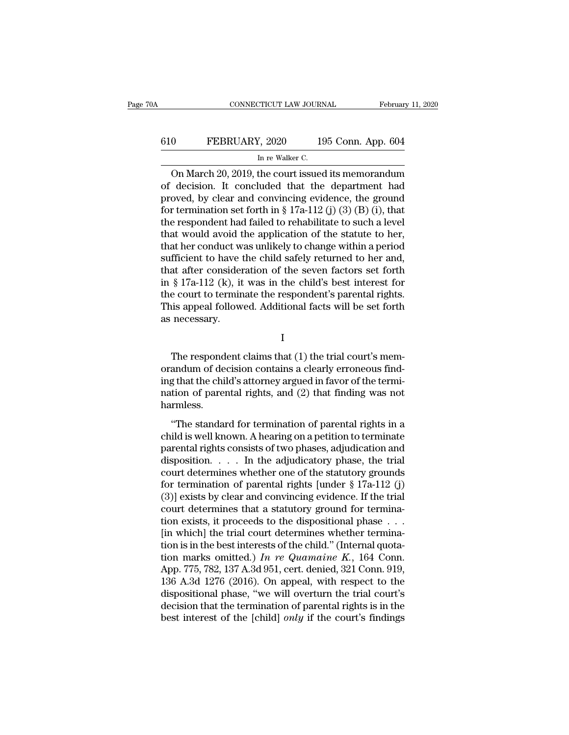# CONNECTICUT LAW JOURNAL February 11, 2020<br>610 FEBRUARY, 2020 195 Conn. App. 604<br>In re Walker C. TICUT LAW JOURN<br>I, 2020 19<br>In re Walker C.<br>the court issuec

CONNECTICUT LAW JOURNAL February 11, 2020<br>
On FEBRUARY, 2020 195 Conn. App. 604<br>
In re Walker C.<br>
On March 20, 2019, the court issued its memorandum<br>
decision. It concluded that the department had 610 FEBRUARY, 2020 195 Conn. App. 604<br>
In re Walker C.<br>
On March 20, 2019, the court issued its memorandum<br>
of decision. It concluded that the department had<br>
proved, by clear and convincing evidence, the ground<br>
for torm FEBRUARY, 2020 195 Conn. App. 604<br>
In re Walker C.<br>
On March 20, 2019, the court issued its memorandum<br>
of decision. It concluded that the department had<br>
proved, by clear and convincing evidence, the ground<br>
for terminat FEBRUARY, 2020 195 Conn. App. 604<br>
In re Walker C.<br>
On March 20, 2019, the court issued its memorandum<br>
of decision. It concluded that the department had<br>
proved, by clear and convincing evidence, the ground<br>
for terminat In re Walker C.<br>
In re Walker C.<br>
On March 20, 2019, the court issued its memorandum<br>
of decision. It concluded that the department had<br>
proved, by clear and convincing evidence, the ground<br>
for termination set forth in § In re walker C.<br>
On March 20, 2019, the court issued its memorandum<br>
of decision. It concluded that the department had<br>
proved, by clear and convincing evidence, the ground<br>
for termination set forth in § 17a-112 (j) (3) On March 20, 2019, the court issued its memorandum<br>of decision. It concluded that the department had<br>proved, by clear and convincing evidence, the ground<br>for termination set forth in § 17a-112 (j) (3) (B) (i), that<br>the re of decision. It concluded that the department had<br>proved, by clear and convincing evidence, the ground<br>for termination set forth in § 17a-112 (j) (3) (B) (i), that<br>the respondent had failed to rehabilitate to such a level proved, by clear and convincing evidence, the ground<br>for termination set forth in § 17a-112 (j) (3) (B) (i), that<br>the respondent had failed to rehabilitate to such a level<br>that would avoid the application of the statute t for termination set forth in § 17a-112 (j) (3) (B) (i), that<br>the respondent had failed to rehabilitate to such a level<br>that would avoid the application of the statute to her,<br>that her conduct was unlikely to change within the respondent had failed to rehabilitate to such a level<br>that would avoid the application of the statute to her,<br>that her conduct was unlikely to change within a period<br>sufficient to have the child safely returned to her that would avoid the application of the statute to her,<br>that her conduct was unlikely to change within a period<br>sufficient to have the child safely returned to her and,<br>that after consideration of the seven factors set for that her conduct w<br>sufficient to have<br>that after consider<br>in § 17a-112 (k), it<br>the court to termin<br>This appeal follow<br>as necessary. § 17a-112 (k), it was in the child's best interest for<br>e court to terminate the respondent's parental rights.<br>is appeal followed. Additional facts will be set forth<br>necessary.<br>I<br>The respondent claims that (1) the trial cou

I

the court to terminate the respondent's parental rights.<br>This appeal followed. Additional facts will be set forth<br>as necessary.<br>I<br>The respondent claims that (1) the trial court's mem-<br>orandum of decision contains a clearly This appeal followed. Additional facts will be set forth<br>as necessary.<br>I<br>The respondent claims that (1) the trial court's memorandum of decision contains a clearly erroneous find-<br>ing that the child's attorney argued in fa I<br>I<br>The respondent claims that (1) the trial court's mem-<br>orandum of decision contains a clearly erroneous find-<br>ing that the child's attorney argued in favor of the termi-<br>nation of parental rights, and (2) that finding w harmless. The respondent claims that (1) the trial court's mem-<br>andum of decision contains a clearly erroneous find-<br>g that the child's attorney argued in favor of the termi-<br>tion of parental rights, and (2) that finding was not<br>rml Fire responsion contains and (1) are and courts memorial<br>orandum of decision contains a clearly erroneous find-<br>ing that the child's attorney argued in favor of the termination of parental rights, and (2) that finding was

ing that the child's attorney argued in favor of the termination of parental rights, and (2) that finding was not<br>harmless.<br>"The standard for termination of parental rights in a<br>child is well known. A hearing on a petitio mation of parental rights, and (2) that finding was not<br>harmless.<br>"The standard for termination of parental rights in a<br>child is well known. A hearing on a petition to terminate<br>parental rights consists of two phases, adj court determines when the standard for termination of parental rights in a<br>child is well known. A hearing on a petition to terminate<br>parental rights consists of two phases, adjudication and<br>disposition. . . . . In the adj "The standard for termination of parental rights in a<br>child is well known. A hearing on a petition to terminate<br>parental rights consists of two phases, adjudication and<br>disposition. . . . . In the adjudicatory phase, the "The standard for termination of parental rights in a<br>child is well known. A hearing on a petition to terminate<br>parental rights consists of two phases, adjudication and<br>disposition. . . . . In the adjudicatory phase, the child is well known. A hearing on a petition to terminate<br>parental rights consists of two phases, adjudication and<br>disposition. . . . . In the adjudicatory phase, the trial<br>court determines whether one of the statutory gr parental rights consists of two phases, adjudication and<br>disposition. . . . . In the adjudicatory phase, the trial<br>court determines whether one of the statutory grounds<br>for termination of parental rights [under  $\S 17a-112$ disposition. . . . . In the adjudicatory phase, the trial court determines whether one of the statutory grounds for termination of parental rights [under § 17a-112 (j) (3)] exists by clear and convincing evidence. If the court determines whether one of the statutory grounds<br>for termination of parental rights [under § 17a-112 (j)<br>(3)] exists by clear and convincing evidence. If the trial<br>court determines that a statutory ground for termina for termination of parental rights [under  $\S$  17a-112 (j) (3)] exists by clear and convincing evidence. If the trial court determines that a statutory ground for termination exists, it proceeds to the dispositional phase (3)] exists by clear and convincing evidence. If the trial court determines that a statutory ground for termination exists, it proceeds to the dispositional phase  $\dots$  [in which] the trial court determines whether termina court determines that a statutory ground for termination exists, it proceeds to the dispositional phase . . . [in which] the trial court determines whether termination is in the best interests of the child." (Internal quo tion exists, it proceeds to the dispositional phase . . .<br>
[in which] the trial court determines whether termina-<br>
tion is in the best interests of the child." (Internal quota-<br>
tion marks omitted.) In re Quamaine K., 164 [in which] the trial court determines whether termination is in the best interests of the child." (Internal quotation marks omitted.) In re Quamaine K., 164 Conn.<br>App. 775, 782, 137 A.3d 951, cert. denied, 321 Conn. 919, tion is in the best interests of the child." (Internal quotation marks omitted.) In re Quamaine K., 164 Conn.<br>App. 775, 782, 137 A.3d 951, cert. denied, 321 Conn. 919, 136 A.3d 1276 (2016). On appeal, with respect to the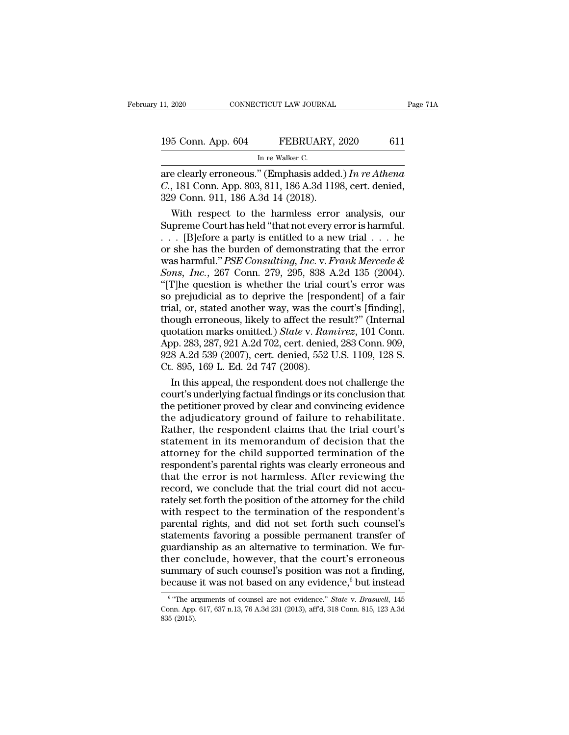| 11, 2020           | CONNECTICUT LAW JOURNAL                               | Page 71A |
|--------------------|-------------------------------------------------------|----------|
| 195 Conn. App. 604 | FEBRUARY, 2020                                        | 611      |
|                    | In re Walker C.                                       |          |
|                    | are clearly erroneous " (Emphasis added) In re Athena |          |

11, 2020 CONNECTICUT LAW JOURNAL Page 71A<br>
195 Conn. App. 604 FEBRUARY, 2020 611<br>
In re Walker C.<br>
are clearly erroneous.'' (Emphasis added.) *In re Athena*<br>
C., 181 Conn. App. 803, 811, 186 A.3d 1198, cert. denied,<br>
320 C **195 Conn. App. 604 FEBRUARY**, 2020 611<br>
In re Walker C.<br> **are clearly erroneous.'' (Emphasis added.)** In re Athena<br> *C.*, 181 Conn. App. 803, 811, 186 A.3d 1198, cert. denied,<br>
329 Conn. 911, 186 A.3d 14 (2018). 195 Conn. App. 604 FEBRUARY, 3<br>
In re Walker C.<br>
are clearly erroneous." (Emphasis added<br>
C., 181 Conn. App. 803, 811, 186 A.3d 119<br>
329 Conn. 911, 186 A.3d 14 (2018).<br>
With respect to the harmless error 5 Conn. App. 604 FEBRUARY, 2020 611<br>
In re Walker C.<br>
e clearly erroneous." (Emphasis added.) In re Athena<br>
, 181 Conn. App. 803, 811, 186 A.3d 1198, cert. denied,<br>
9 Conn. 911, 186 A.3d 14 (2018).<br>
With respect to the ha

In re Walker C.<br>
The Walker C.<br>
Superconce C., 181 Conn. App. 803, 811, 186 A.3d 1198, cert. denied,<br>
Supreme Court has held "that not every error is harmful.<br>
Number Court has held "that not every error is harmful.<br>
Numb are clearly erroneous." (Emphasis added.) In re Athena<br>
C., 181 Conn. App. 803, 811, 186 A.3d 1198, cert. denied,<br>
329 Conn. 911, 186 A.3d 14 (2018).<br>
With respect to the harmless error analysis, our<br>
Supreme Court has he are clearly erroneous." (Emphasis added.) In re Athena<br>
C., 181 Conn. App. 803, 811, 186 A.3d 1198, cert. denied,<br>
329 Conn. 911, 186 A.3d 14 (2018).<br>
With respect to the harmless error analysis, our<br>
Supreme Court has he C., 181 Conn. App. 803, 811, 186 A.3d 1198, cert. denied,<br>329 Conn. 911, 186 A.3d 14 (2018).<br>With respect to the harmless error analysis, our<br>Supreme Court has held "that not every error is harmful.<br>... [B]efore a party is *S29* Conn. 911, 186 A.3d 14 (2018).<br>
With respect to the harmless error analysis, our<br>
Supreme Court has held "that not every error is harmful.<br>
... [B]efore a party is entitled to a new trial ... he<br>
or she has the burde With respect to the harmless error analysis, our<br>
Supreme Court has held "that not every error is harmful.<br>  $\ldots$  [B]efore a party is entitled to a new trial  $\ldots$  he<br>
or she has the burden of demonstrating that the error Supreme Court has held "that not every error is harmful.<br>
. . . [B]efore a party is entitled to a new trial . . . he<br>
or she has the burden of demonstrating that the error<br>
was harmful." *PSE Consulting, Inc.* v. *Frank M* ... [B]efore a party is entitled to a new trial ... he<br>or she has the burden of demonstrating that the error<br>was harmful." *PSE Consulting, Inc.* v. *Frank Mercede &*<br>*Sons, Inc.*, 267 Conn. 279, 295, 838 A.2d 135 (2004). or she has the burden of demonstrating that the error<br>was harmful." *PSE Consulting, Inc.* v. *Frank Mercede &*<br>*Sons, Inc.*, 267 Conn. 279, 295, 838 A.2d 135 (2004).<br>"[T]he question is whether the trial court's error was<br> was harmful." *PSE Consulting, Inc.* v. *Frank Mercede &*<br>*Sons, Inc.*, 267 Conn. 279, 295, 838 A.2d 135 (2004).<br>"[T]he question is whether the trial court's error was<br>so prejudicial as to deprive the [respondent] of a fai Sons, *Inc.*, 267 Conn. 279, 295, 838 A.2d 135 (2004).<br>"[T]he question is whether the trial court's error was<br>so prejudicial as to deprive the [respondent] of a fair<br>trial, or, stated another way, was the court's [finding] "[T]he question is whether the trial court's error was<br>so prejudicial as to deprive the [respondent] of a fair<br>trial, or, stated another way, was the court's [finding],<br>though erroneous, likely to affect the result?" (Inte so prejudicial as to deprive the [respctrial, or, stated another way, was the c<br>though erroneous, likely to affect the r<br>quotation marks omitted.) State v. Ran<br>App. 283, 287, 921 A.2d 702, cert. deniec<br>928 A.2d 539 (2007), al, or, stated another way, was the court's [finding],<br>ough erroneous, likely to affect the result?" (Internal<br>otation marks omitted.) *State* v. *Ramirez*, 101 Conn.<br>p. 283, 287, 921 A.2d 702, cert. denied, 283 Conn. 909, though erroneous, likely to affect the result?" (Internal<br>quotation marks omitted.) State v. Ramirez, 101 Conn.<br>App. 283, 287, 921 A.2d 702, cert. denied, 283 Conn. 909,<br>928 A.2d 539 (2007), cert. denied, 552 U.S. 1109, 1

quotation marks omitted.) *State* v. *Ramirez*, 101 Conn.<br>App. 283, 287, 921 A.2d 702, cert. denied, 283 Conn. 909,<br>928 A.2d 539 (2007), cert. denied, 552 U.S. 1109, 128 S.<br>Ct. 895, 169 L. Ed. 2d 747 (2008).<br>In this appeal App. 283, 287, 921 A.2d 702, cert. denied, 283 Conn. 909,<br>928 A.2d 539 (2007), cert. denied, 552 U.S. 1109, 128 S.<br>Ct. 895, 169 L. Ed. 2d 747 (2008).<br>In this appeal, the respondent does not challenge the<br>court's underlying 928 A.2d 539 (2007), cert. denied, 552 U.S. 1109, 128 S.<br>Ct. 895, 169 L. Ed. 2d 747 (2008).<br>In this appeal, the respondent does not challenge the<br>court's underlying factual findings or its conclusion that<br>the petitioner pr Ct. 895, 169 L. Ed. 2d 747 (2008).<br>
In this appeal, the respondent does not challenge the<br>
court's underlying factual findings or its conclusion that<br>
the petitioner proved by clear and convincing evidence<br>
the adjudicator In this appeal, the respondent does not challenge the<br>court's underlying factual findings or its conclusion that<br>the petitioner proved by clear and convincing evidence<br>the adjudicatory ground of failure to rehabilitate.<br>Ra court's underlying factual findings or its conclusion that<br>the petitioner proved by clear and convincing evidence<br>the adjudicatory ground of failure to rehabilitate.<br>Rather, the respondent claims that the trial court's<br>sta the petitioner proved by clear and convincing evidence<br>the adjudicatory ground of failure to rehabilitate.<br>Rather, the respondent claims that the trial court's<br>statement in its memorandum of decision that the<br>attorney for the adjudicatory ground of failure to rehabilitate.<br>Rather, the respondent claims that the trial court's<br>statement in its memorandum of decision that the<br>attorney for the child supported termination of the<br>respondent's par Rather, the respondent claims that the trial court's<br>statement in its memorandum of decision that the<br>attorney for the child supported termination of the<br>respondent's parental rights was clearly erroneous and<br>that the erro statement in its memorandum of decision that the<br>attorney for the child supported termination of the<br>respondent's parental rights was clearly erroneous and<br>that the error is not harmless. After reviewing the<br>record, we con attorney for the child supported termination of the<br>respondent's parental rights was clearly erroneous and<br>that the error is not harmless. After reviewing the<br>record, we conclude that the trial court did not accu-<br>rately s respondent's parental rights was clearly erroneous and<br>that the error is not harmless. After reviewing the<br>record, we conclude that the trial court did not accu-<br>rately set forth the position of the attorney for the child<br> that the error is not harmless. After reviewing the record, we conclude that the trial court did not accurately set forth the position of the attorney for the child with respect to the termination of the respondent's paren record, we conclude that the trial court did not accurately set forth the position of the attorney for the child<br>with respect to the termination of the respondent's<br>parental rights, and did not set forth such counsel's<br>st rately set forth the position of the attorney for the child<br>with respect to the termination of the respondent's<br>parental rights, and did not set forth such counsel's<br>statements favoring a possible permanent transfer of<br>gu with respect to the termination of the respondent's<br>parental rights, and did not set forth such counsel's<br>statements favoring a possible permanent transfer of<br>guardianship as an alternative to termination. We fur-<br>ther co ardianship as an alternative to termination. We fur-<br>er conclude, however, that the court's erroneous<br>mmary of such counsel's position was not a finding,<br>cause it was not based on any evidence.<sup>6</sup> but instead<br>"The argument ther conclude, however, that the court's erroneous<br>summary of such counsel's position was not a finding,<br>because it was not based on any evidence,<sup>6</sup> but instead<br><sup>6</sup> "The arguments of counsel are not evidence." *State* v.

 $6$  "The arguments of counsel are not evidence." State v. Braswell, 145 summar<br>because<br><sup>6</sup> "The ar<br>Conn. App.<br>835 (2015).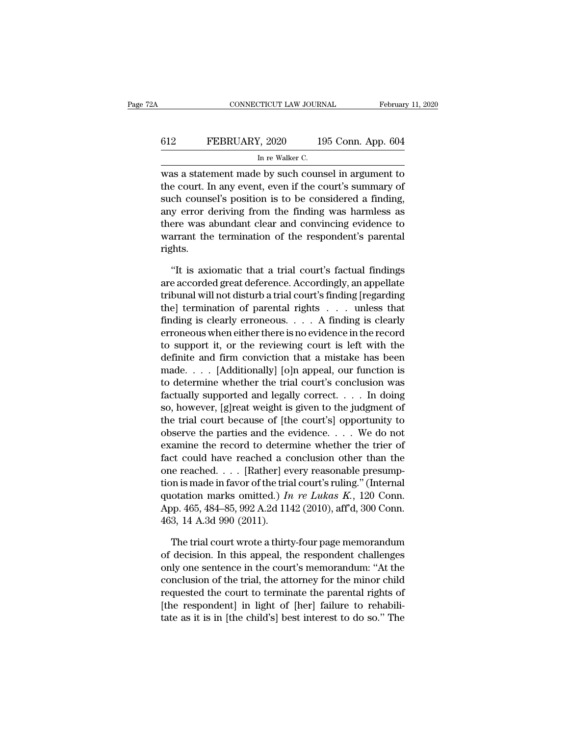# CONNECTICUT LAW JOURNAL February 11, 2020<br>612 FEBRUARY, 2020 195 Conn. App. 604<br>In re Walker C. TICUT LAW JOURN<br>I, 2020 19<br>In re Walker C.<br>P by such couns

CONNECTICUT LAW JOURNAL February 11, 2020<br>
FEBRUARY, 2020 195 Conn. App. 604<br>
In re Walker C.<br>
was a statement made by such counsel in argument to<br>
the court. In any event, even if the court's summary of FEBRUARY, 2020 195 Conn. App. 604<br>
In re Walker C.<br>
was a statement made by such counsel in argument to<br>
the court. In any event, even if the court's summary of<br>
such counsel's position is to be considered a finding,<br>
any Such the Walker C.<br>
Such counsel's position is to be counsel in argument to<br>
such counsel's position is to be considered a finding,<br>
such counsel's position is to be considered a finding,<br>
such counsel's position is to be FEBRUARY, 2020 195 Conn. App. 604<br>
In re Walker C.<br>
was a statement made by such counsel in argument to<br>
the court. In any event, even if the court's summary of<br>
such counsel's position is to be considered a finding,<br>
any In re Walker C.<br>
was a statement made by such counsel in argument to<br>
the court. In any event, even if the court's summary of<br>
such counsel's position is to be considered a finding,<br>
any error deriving from the finding was was a statement made by such counsel in argument to<br>the court. In any event, even if the court's summary of<br>such counsel's position is to be considered a finding,<br>any error deriving from the finding was harmless as<br>there w rights. ch counsel's position is to be considered a finding,<br>
y error deriving from the finding was harmless as<br>
ere was abundant clear and convincing evidence to<br>
arrant the termination of the respondent's parental<br>
shts.<br>
"It is are accorded great deference and convincing evidence to<br>warrant the termination of the respondent's parental<br>rights.<br>"It is axiomatic that a trial court's factual findings<br>are accorded great deference. Accordingly, an appe

there was abundant clear and convincing evidence to<br>warrant the termination of the respondent's parental<br>rights.<br>"It is axiomatic that a trial court's factual findings<br>are accorded great deference. Accordingly, an appellat warrant the termination of the respondent's parental<br>rights.<br>"It is axiomatic that a trial court's factual findings<br>are accorded great deference. Accordingly, an appellate<br>tribunal will not disturb a trial court's finding rights.<br>
"It is axiomatic that a trial court's factual findings<br>
are accorded great deference. Accordingly, an appellate<br>
tribunal will not disturb a trial court's finding [regarding<br>
the] termination of parental rights . "It is axiomatic that a trial court's factual findings<br>are accorded great deference. Accordingly, an appellate<br>tribunal will not disturb a trial court's finding [regarding<br>the] termination of parental rights  $\dots$  unless t "It is axiomatic that a trial court's factual findings<br>are accorded great deference. Accordingly, an appellate<br>tribunal will not disturb a trial court's finding [regarding<br>the] termination of parental rights . . . . unless are accorded great deference. Accordingly, an appellate<br>tribunal will not disturb a trial court's finding [regarding<br>the] termination of parental rights . . . unless that<br>finding is clearly erroneous. . . . A finding is cl tribunal will not disturb a trial court's finding [regarding<br>the] termination of parental rights . . . . unless that<br>finding is clearly erroneous. . . . A finding is clearly<br>erroneous when either there is no evidence in th the] termination of parental rights . . . unless that<br>finding is clearly erroneous. . . . A finding is clearly<br>erroneous when either there is no evidence in the record<br>to support it, or the reviewing court is left with th finding is clearly erroneous. . . . . A finding is clearly<br>erroneous when either there is no evidence in the record<br>to support it, or the reviewing court is left with the<br>definite and firm conviction that a mistake has be erroneous when either there is no evidence in the record<br>to support it, or the reviewing court is left with the<br>definite and firm conviction that a mistake has been<br>made. . . . [Additionally] [o]n appeal, our function is<br> to support it, or the reviewing court is left with the definite and firm conviction that a mistake has been made. . . . [Additionally] [o]n appeal, our function is to determine whether the trial court's conclusion was fac definite and firm conviction that a mistake has been<br>made. . . . [Additionally] [o]n appeal, our function is<br>to determine whether the trial court's conclusion was<br>factually supported and legally correct. . . . In doing<br>so, made. . . . [Additionally] [0]n appeal, our function is<br>to determine whether the trial court's conclusion was<br>factually supported and legally correct. . . . In doing<br>so, however, [g]reat weight is given to the judgment of to determine whether the trial court's conclusion was<br>factually supported and legally correct. . . . In doing<br>so, however, [g]reat weight is given to the judgment of<br>the trial court because of [the court's] opportunity to factually supported and legally correct. . . . . In doing<br>so, however, [g]reat weight is given to the judgment of<br>the trial court because of [the court's] opportunity to<br>observe the parties and the evidence. . . . We do n so, nowever, [g]reat weight is given to the judgment of<br>the trial court because of [the court's] opportunity to<br>observe the parties and the evidence. . . . We do not<br>examine the record to determine whether the trier of<br>fa the trial court because of [the court's] opportunity to<br>observe the parties and the evidence. . . . We do not<br>examine the record to determine whether the trier of<br>fact could have reached a conclusion other than the<br>one re observe the parties and the evidence. . . . . We do not examine the record to determine whether the trier of fact could have reached a conclusion other than the one reached. . . . [Rather] every reasonable presumption is examine the record to determ<br>fact could have reached a cone reached. . . . [Rather] evaluation is made in favor of the trial<br>quotation marks omitted.) In<br>App. 465, 484–85, 992 A.2d 114<br>463, 14 A.3d 990 (2011).<br>The trial c is made in favor of the trial court's ruling." (Internal<br>otation marks omitted.) In re Lukas K., 120 Conn.<br>pp. 465, 484–85, 992 A.2d 1142 (2010), aff'd, 300 Conn.<br>3, 14 A.3d 990 (2011).<br>The trial court wrote a thirty-four tion is made in favor of the trial court's ruling." (Internal<br>quotation marks omitted.) In re Lukas K., 120 Conn.<br>App. 465, 484–85, 992 A.2d 1142 (2010), aff'd, 300 Conn.<br>463, 14 A.3d 990 (2011).<br>The trial court wrote a t

quotation marks omitted.) In re Lukas K., 120 Conn.<br>App. 465, 484–85, 992 A.2d 1142 (2010), aff'd, 300 Conn.<br>463, 14 A.3d 990 (2011).<br>The trial court wrote a thirty-four page memorandum<br>of decision. In this appeal, the re App. 465, 484–85, 992 A.2d 1142 (2010), aff'd, 300 Conn.<br>463, 14 A.3d 990 (2011).<br>The trial court wrote a thirty-four page memorandum<br>of decision. In this appeal, the respondent challenges<br>only one sentence in the court's 463, 14 A.3d 990 (2011).<br>The trial court wrote a thirty-four page memorandum<br>of decision. In this appeal, the respondent challenges<br>only one sentence in the court's memorandum: "At the<br>conclusion of the trial, the attorne The trial court wrote a thirty-four page memorandum<br>of decision. In this appeal, the respondent challenges<br>only one sentence in the court's memorandum: "At the<br>conclusion of the trial, the attorney for the minor child<br>requ The trial court wrote a thirty-four page memorandum<br>of decision. In this appeal, the respondent challenges<br>only one sentence in the court's memorandum: "At the<br>conclusion of the trial, the attorney for the minor child<br>requ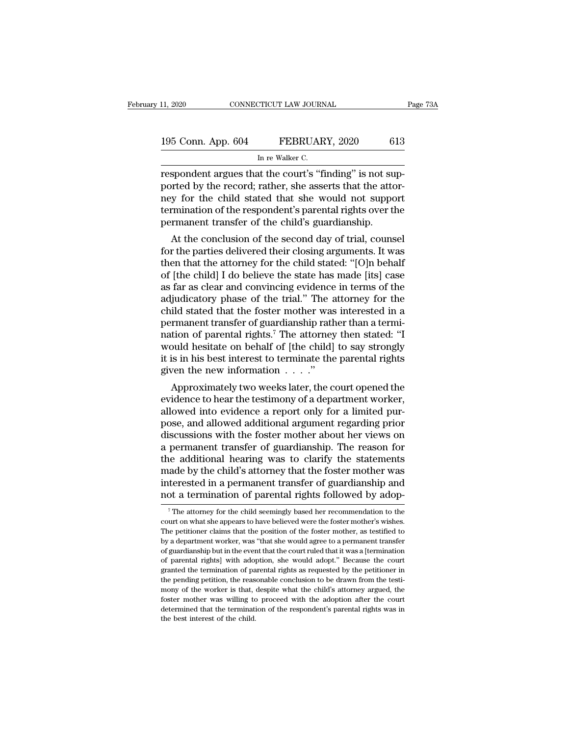| 11, 2020           | CONNECTICUT LAW JOURNAL                                  | Page 73A |
|--------------------|----------------------------------------------------------|----------|
| 195 Conn. App. 604 | FEBRUARY, 2020                                           | 613      |
|                    | In re Walker C.                                          |          |
|                    | respondent argues that the court's "finding" is not sup- |          |

respondent argues that the court's ''finding'' is not supported by the record; rather, she asserts that the attorney for the child stated that she would not supported by the record; rather, she asserts that the attorney fo 195 Conn. App. 604 FEBRUARY, 2020 613<br>
In re Walker C.<br>
respondent argues that the court's "finding" is not supported by the record; rather, she asserts that the attor-<br>
respondent of the record only is a series that the a 195 Conn. App. 604 FEBRUARY, 2020 613<br>
In re Walker C.<br>
respondent argues that the court's "finding" is not supported by the record; rather, she asserts that the attor-<br>
respondent of the child stated that she would not su 195 Conn. App. 604 FEBRUARY, 2020 613<br>
In re Walker C.<br>
The respondent argues that the court's "finding" is not supported by the record; rather, she asserts that the attor-<br>
the respondent's parental rights over the perman In re Walker C.<br>
In re Walker C.<br>
The court's "finding" is not supported by the record; rather, she asserts that the attorney for the child stated that she would not supportermination of the respondent's parental rights ov spondent argues that the court's "finding" is not sup-<br>prted by the record; rather, she asserts that the attor-<br>y for the child stated that she would not support<br>rmination of the respondent's parental rights over the<br>rmane respondent argues that the court selling is not sup-<br>ported by the record; rather, she asserts that the attor-<br>ney for the child stated that she would not support<br>termination of the respondent's parental rights over the<br>pe

ported by the record; rather, she asserts that the attor-<br>ney for the child stated that she would not support<br>termination of the respondent's parental rights over the<br>permanent transfer of the child's guardianship.<br>At the ney for the child stated that she would not support<br>termination of the respondent's parental rights over the<br>permanent transfer of the child's guardianship.<br>At the conclusion of the second day of trial, counsel<br>for the par dernimation of the respondent s parental rights over the<br>permanent transfer of the child's guardianship.<br>At the conclusion of the second day of trial, counsel<br>for the parties delivered their closing arguments. It was<br>then permanent transier of the second day of trial, counsel<br>for the parties delivered their closing arguments. It was<br>then that the attorney for the child stated: "[O]n behalf<br>of [the child] I do believe the state has made [its At the conclusion of the second day of trial, counsel<br>for the parties delivered their closing arguments. It was<br>then that the attorney for the child stated: "[O]n behalf<br>of [the child] I do believe the state has made [its for the parties delivered their closing arguments. It was<br>then that the attorney for the child stated: "[O]n behalf<br>of [the child] I do believe the state has made [its] case<br>as far as clear and convincing evidence in term then that the attorney for the child stated: "[O]n behalf<br>of [the child] I do believe the state has made [its] case<br>as far as clear and convincing evidence in terms of the<br>adjudicatory phase of the trial." The attorney for of [the child] I do believe the state has made [its] case<br>as far as clear and convincing evidence in terms of the<br>adjudicatory phase of the trial." The attorney for the<br>child stated that the foster mother was interested in as far as clear and convincing evidence in terms of the adjudicatory phase of the trial." The attorney for the child stated that the foster mother was interested in a permanent transfer of guardianship rather than a termi adjudicatory phase of the trial." The a<br>child stated that the foster mother was<br>permanent transfer of guardianship rath<br>nation of parental rights.<sup>7</sup> The attorney<br>would hesitate on behalf of [the child]<br>it is in his best Ind stated that the foster mother was interested in a<br>rmanent transfer of guardianship rather than a termi-<br>tion of parental rights.<sup>7</sup> The attorney then stated: "I<br>build hesitate on behalf of [the child] to say strongly<br> permanent transfer of guardianship rather than a termination of parental rights.<sup>7</sup> The attorney then stated: "I would hesitate on behalf of [the child] to say strongly it is in his best interest to terminate the parental

mation of parential rights. The attorney then stated: I<br>would hesitate on behalf of [the child] to say strongly<br>it is in his best interest to terminate the parental rights<br>given the new information  $\dots$ ."<br>Approximately tw would hesitate on behall of [the child] to say strongly<br>it is in his best interest to terminate the parental rights<br>given the new information  $\dots$ ."<br>Approximately two weeks later, the court opened the<br>evidence to hear the It is in his best interest to terminate the parental rights<br>given the new information  $\dots$ ."<br>Approximately two weeks later, the court opened the<br>evidence to hear the testimony of a department worker,<br>allowed into evidence given the new information  $\ldots$  .<br>Approximately two weeks later, the court opened the evidence to hear the testimony of a department worker, allowed into evidence a report only for a limited purpose, and allowed additiona Approximately two weeks later, the court opened the<br>evidence to hear the testimony of a department worker,<br>allowed into evidence a report only for a limited pur-<br>pose, and allowed additional argument regarding prior<br>discus evidence to hear the testimony of a department worker,<br>allowed into evidence a report only for a limited pur-<br>pose, and allowed additional argument regarding prior<br>discussions with the foster mother about her views on<br>a pe allowed into evidence a report only for a limited pur-<br>pose, and allowed additional argument regarding prior<br>discussions with the foster mother about her views on<br>a permanent transfer of guardianship. The reason for<br>the ad pose, and allowed additional argument regarding prior<br>discussions with the foster mother about her views on<br>a permanent transfer of guardianship. The reason for<br>the additional hearing was to clarify the statements<br>made by ie additional hearing was to clarify the statements<br>ade by the child's attorney that the foster mother was<br>tterested in a permanent transfer of guardianship and<br>ot a termination of parental rights followed by adop-<br><sup>7</sup>The made by the child's attorney that the foster mother was<br>interested in a permanent transfer of guardianship and<br>not a termination of parental rights followed by adop-<br><sup>7</sup>The attorney for the child seemingly based her recomm

interested in a permanent transfer of guardianship and<br>not a termination of parental rights followed by adop-<br><sup>7</sup>The attorney for the child seemingly based her recommendation to the<br>court on what she appears to have believ mot a termination of parental rights followed by adop-<br>
<sup>7</sup>The attorney for the child seemingly based her recommendation to the<br>
court on what she appears to have believed were the foster mother's wishes.<br>
The petitioner c The attorney for the child seemingly based her recommendation to the court on what she appears to have believed were the foster mother's wishes.<br>The petitioner claims that the position of the foster mother, as testified t  $^7$  The attorney for the child seemingly based her recommendation to the court on what she appears to have believed were the foster mother's wishes. The petitioner claims that the position of the foster mother, as testif court on what she appears to have believed were the foster mother's wishes.<br>The petitioner claims that the position of the foster mother, as testified to<br>by a department worker, was "that she would agree to a permanent tra The petitioner claims that the position of the foster mother, as testified to by a department worker, was "that she would agree to a permanent transfer of guardianship but in the event that the court ruled that it was a [t For the worker, was "that she would agree to a permanent transfer of guardianship but in the event that the court ruled that it was a [termination of parental rights] with adoption, she would adopt." Because the court gran of guardianship but in the event that the court ruled that it was a [termination of parental rights] with adoption, she would adopt." Because the court granted the termination of parental rights as requested by the petitio of parental rights] with adoption, she would adopt." Because the court granted the termination of parental rights as requested by the petitioner in the pending petition, the reasonable conclusion to be drawn from the testi granted the termination of parental rights as requested by the petitioner in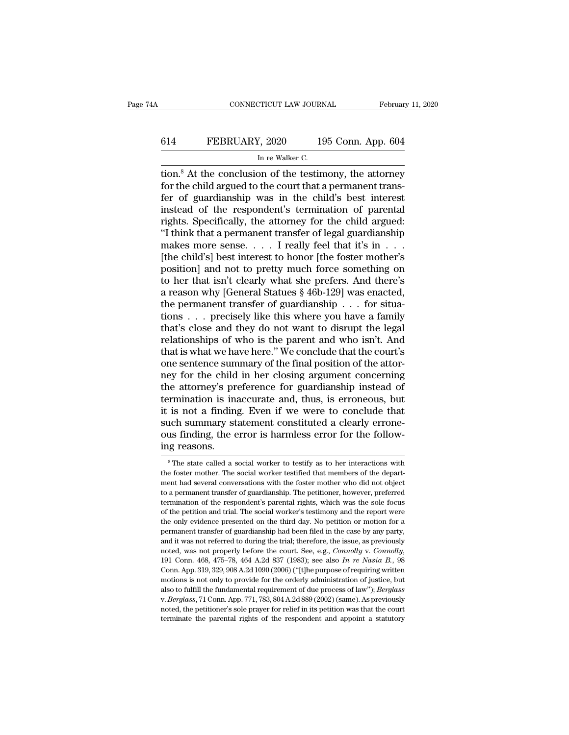# CONNECTICUT LAW JOURNAL February 11, 2020<br>614 FEBRUARY, 2020 195 Conn. App. 604<br>In re Walker C. TICUT LAW JOURN<br>I, 2020<br>In re Walker C.<br>Dn of the testin

CONNECTICUT LAW JOURNAL February 11, 2020<br>
614 FEBRUARY, 2020 195 Conn. App. 604<br>
In re Walker C.<br>
tion.<sup>8</sup> At the conclusion of the testimony, the attorney<br>
for the child argued to the court that a permanent trans-<br>
for o for the child argued to the conclusion of the testimony, the attorney<br>for the child argued to the court that a permanent trans-<br>fer of guardianship was in the child's best interest<br>instead of the respondent's termination o FEBRUARY, 2020 195 Conn. App. 604<br>
In re Walker C.<br>
tion.<sup>8</sup> At the conclusion of the testimony, the attorney<br>
for the child argued to the court that a permanent trans-<br>
fer of guardianship was in the child's best interes FEBRUARY, 2020 195 Conn. App. 604<br>
In re Walker C.<br>
tion.<sup>8</sup> At the conclusion of the testimony, the attorney<br>
for the child argued to the court that a permanent trans-<br>
fer of guardianship was in the child's best interes IRENETALY, 2020<br>
In re Walker C.<br>
The market C.<br>
The market C.<br>
In re Walker C.<br>
for the child argued to the court that a permanent trans-<br>
fer of guardianship was in the child's best interest<br>
instead of the respondent's In re Walker C.<br>
ion.<sup>8</sup> At the conclusion of the testimony, the attorney<br>
for the child argued to the court that a permanent trans-<br>
fer of guardianship was in the child's best interest<br>
instead of the respondent's termi tion.<sup>8</sup> At the conclusion of the testimony, the attorney<br>for the child argued to the court that a permanent trans-<br>fer of guardianship was in the child's best interest<br>instead of the respondent's termination of parental<br> for the child argued to the court that a permanent trans-<br>fer of guardianship was in the child's best interest<br>instead of the respondent's termination of parental<br>rights. Specifically, the attorney for the child argued:<br>"I fer of guardianship was in the child's best interest<br>instead of the respondent's termination of parental<br>rights. Specifically, the attorney for the child argued:<br>"I think that a permanent transfer of legal guardianship<br>ma instead of the respondent's termination of parental<br>rights. Specifically, the attorney for the child argued:<br>"I think that a permanent transfer of legal guardianship<br>makes more sense.... I really feel that it's in ...<br>[th rights. Specifically, the attorney for the child argued:<br>
"I think that a permanent transfer of legal guardianship<br>
makes more sense. . . . I really feel that it's in . . .<br>
[the child's] best interest to honor [the foste "I think that a permanent transfer of legal guardianship makes more sense. . . . I really feel that it's in . . . .<br>[the child's] best interest to honor [the foster mother's position] and not to pretty much force somethin makes more sense. . . . . I really feel that it's in . . .<br>[the child's] best interest to honor [the foster mother's<br>position] and not to pretty much force something on<br>to her that isn't clearly what she prefers. And ther [the child's] best interest to honor [the foster mother's<br>position] and not to pretty much force something on<br>to her that isn't clearly what she prefers. And there's<br>a reason why [General Statues  $\S 46b-129$ ] was enacted, position] and not to pretty much force something on<br>to her that isn't clearly what she prefers. And there's<br>a reason why [General Statues § 46b-129] was enacted,<br>the permanent transfer of guardianship . . . for situa-<br>tion to her that isn't clearly what she prefers. And there's<br>a reason why [General Statues  $\S$  46b-129] was enacted,<br>the permanent transfer of guardianship . . . for situa-<br>tions . . . precisely like this where you have a fami a reason why [General Statues  $\S$  46b-129] was enacted,<br>the permanent transfer of guardianship . . . for situa-<br>tions . . . precisely like this where you have a family<br>that's close and they do not want to disrupt the lega the permanent transfer of guardianship  $\ldots$  for situations  $\ldots$  precisely like this where you have a family that's close and they do not want to disrupt the legal relationships of who is the parent and who isn't. And th tions . . . precisely like this where you have a family<br>that's close and they do not want to disrupt the legal<br>relationships of who is the parent and who isn't. And<br>that is what we have here." We conclude that the court's<br> that's close and they do not want to disrupt the legal<br>relationships of who is the parent and who isn't. And<br>that is what we have here." We conclude that the court's<br>one sentence summary of the final position of the attorrelationships of who is the parent and who isn't. And<br>that is what we have here." We conclude that the court's<br>one sentence summary of the final position of the attor-<br>ney for the child in her closing argument concerning<br>t that is what we have here." We conclude that the court's<br>one sentence summary of the final position of the attor-<br>ney for the child in her closing argument concerning<br>the attorney's preference for guardianship instead of<br>t one sentence summary of the final position of the attorney for the child in her closing argument concerning the attorney's preference for guardianship instead of termination is inaccurate and, thus, is erroneous, but it is mey for the child<br>the attorney's pr<br>termination is ins<br>it is not a finding<br>such summary st<br>ous finding, the e<br>ing reasons. is not a finding. Even if we were to conclude that<br>ach summary statement constituted a clearly errone-<br>us finding, the error is harmless error for the follow-<br>g reasons.<br><sup>8</sup>The state called a social worker to testify as to such summary statement constituted a clearly errone-<br>ous finding, the error is harmless error for the follow-<br>ing reasons.<br><sup>8</sup>The state called a social worker to testify as to her interactions with<br>the foster mother. The s

ous finding, the error is harmless error for the following reasons.<br>
<sup>8</sup> The state called a social worker to testify as to her interactions with the foster mother. The social worker testified that members of the department to a permanent transfer of guardianship. The petitioner, however, preferred termination of the respondent's parental rights, which was the sole focus termination of the respondent's parental rights, which was the sole focu Ing reasons.<br>  $\frac{1}{100}$  The state called a social worker to testify as to her interactions with<br>
the foster mother. The social worker testified that members of the depart-<br>
ment had several conversations with the foster  $\degree$  The state called a social worker to testify as to her interactions with the foster mother. The social worker testified that members of the department had several conversations with the foster mother who did not objec the foster mother. The social worker testified that members of the department had several conversations with the foster mother who did not object to a permanent transfer of guardianship. The petitioner, however, preferred ment had several conversations with the foster mother who did not object<br>to a permanent transfer of guardianship. The petitioner, however, preferred<br>termination of the respondent's parental rights, which was the sole focus and it was not properly before the court. See, e.g., *Connolly*,  $\alpha$  and it was not referred termination of the respondent's parental rights, which was the sole focus of the petition and trial. The social worker's testim termination of the respondent's parental rights, which was the sole focus of the petition and trial. The social worker's testimony and the report were the only evidence presented on the third day. No petition or motion for the only evidence presented on the third day. No petition or motion for a permanent transfer of guardianship had been filed in the case by any party, and it was not referred to during the trial; therefore, the issue, as pr motions is not only to provide for the orderly administration of justice, but also to fulfill the form and it was not properly before the court. See, e.g., *Connolly* v. *Connolly*, noted, was not properly before the court paral it was not referred to during the trial; therefore, the issue, as previously and it was not properly before the court. See, e.g., *Connolly v. Connolly,* 191 Conn. 468, 475–78, 464 A.2d 837 (1983); see also *In re Na* noted, was not properly before the court. See, e.g., *Connolly* v. *Connolly*, 191 Conn. 468, 475–78, 464 A.2d 837 (1983); see also *In re Nasia B.*, 98 Conn. App. 319, 329, 908 A.2d 1090 (2006) ("[t]he purpose of requiri Conn. App. 319, 329, 908 A.2d 1090 (2006) ("[t]he purpose of requiring written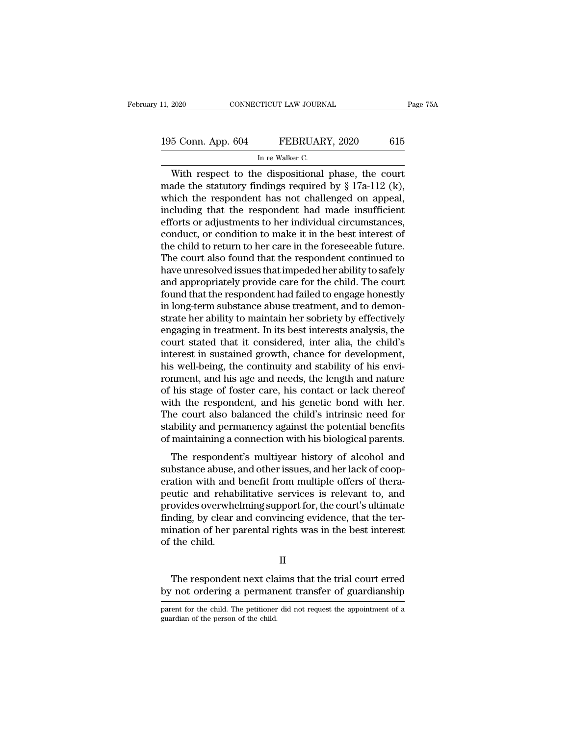## 11, 2020 CONNECTICUT LAW JOURNAL Page 75A<br>195 Conn. App. 604 FEBRUARY, 2020 615<br>In re Walker C. TICUT LAW JOURN<br>FEBRUAR<br>In re Walker C.<br>e\_dispositional

CONNECTICUT LAW JOURNAL Page 75.<br>
5 Conn. App. 604 FEBRUARY, 2020 615<br>
In re Walker C.<br>
With respect to the dispositional phase, the court<br>
ade the statutory findings required by § 17a-112 (k),<br>
asich the respondent has no 195 Conn. App. 604 FEBRUARY, 2020 615<br>
In re Walker C.<br>
With respect to the dispositional phase, the court<br>
made the statutory findings required by § 17a-112 (k),<br>
which the respondent has not challenged on appeal,<br>
includ 195 Conn. App. 604 FEBRUARY, 2020 615<br>
In re Walker C.<br>
With respect to the dispositional phase, the court<br>
made the statutory findings required by § 17a-112 (k),<br>
which the respondent has not challenged on appeal,<br>
inclu 195 Conn. App. 604 FEBRUARY, 2020 615<br>
In re Walker C.<br>
With respect to the dispositional phase, the court<br>
made the statutory findings required by  $\S 17a-112$  (k),<br>
which the respondent has not challenged on appeal,<br>
inc For a statements,  $\frac{1}{2}$  and  $\frac{1}{2}$  and  $\frac{1}{2}$  and  $\frac{1}{2}$  and  $\frac{1}{2}$  (k), which the respondent has not challenged on appeal, including that the respondent had made insufficient efforts or adjustments to her In re walker C.<br>
With respect to the dispositional phase, the court<br>
made the statutory findings required by  $\S 17a-112$  (k),<br>
which the respondent has not challenged on appeal,<br>
including that the respondent had made ins With respect to the dispositional phase, the court<br>made the statutory findings required by  $\S 17a-112$  (k),<br>which the respondent has not challenged on appeal,<br>including that the respondent had made insufficient<br>efforts or made the statutory findings required by  $\S$  17a-112 (k),<br>which the respondent has not challenged on appeal,<br>including that the respondent had made insufficient<br>efforts or adjustments to her individual circumstances,<br>condu which the respondent has not challenged on appeal,<br>including that the respondent had made insufficient<br>efforts or adjustments to her individual circumstances,<br>conduct, or condition to make it in the best interest of<br>the ch including that the respondent had made insufficient<br>efforts or adjustments to her individual circumstances,<br>conduct, or condition to make it in the best interest of<br>the child to return to her care in the foreseeable future efforts or adjustments to her individual circumstances,<br>conduct, or condition to make it in the best interest of<br>the child to return to her care in the foreseeable future.<br>The court also found that the respondent continued conduct, or condition to make it in the best interest of<br>the child to return to her care in the foreseeable future.<br>The court also found that the respondent continued to<br>have unresolved issues that impeded her ability to s the child to return to her care in the foreseeable future.<br>The court also found that the respondent continued to<br>have unresolved issues that impeded her ability to safely<br>and appropriately provide care for the child. The c The court also found that the respondent continued to<br>have unresolved issues that impeded her ability to safely<br>and appropriately provide care for the child. The court<br>found that the respondent had failed to engage honestl have unresolved issues that impeded her ability to safely<br>and appropriately provide care for the child. The court<br>found that the respondent had failed to engage honestly<br>in long-term substance abuse treatment, and to demon and appropriately provide care for the child. The court<br>found that the respondent had failed to engage honestly<br>in long-term substance abuse treatment, and to demon-<br>strate her ability to maintain her sobriety by effective found that the respondent had failed to engage honestly<br>in long-term substance abuse treatment, and to demon-<br>strate her ability to maintain her sobriety by effectively<br>engaging in treatment. In its best interests analysis in long-term substance abuse treatment, and to demon-<br>strate her ability to maintain her sobriety by effectively<br>engaging in treatment. In its best interests analysis, the<br>court stated that it considered, inter alia, the c strate her ability to maintain her sobriety by effectively<br>engaging in treatment. In its best interests analysis, the<br>court stated that it considered, inter alia, the child's<br>interest in sustained growth, chance for develo engaging in treatment. In its best interests analysis, the court stated that it considered, inter alia, the child's interest in sustained growth, chance for development, his well-being, the continuity and stability of his court stated that it considered, inter alia, the child's<br>interest in sustained growth, chance for development,<br>his well-being, the continuity and stability of his envi-<br>ronment, and his age and needs, the length and nature interest in sustained growth, chance for development,<br>his well-being, the continuity and stability of his envi-<br>romment, and his age and needs, the length and nature<br>of his stage of foster care, his contact or lack thereof his well-being, the continuity and stability of his environment, and his age and needs, the length and nature of his stage of foster care, his contact or lack thereof with the respondent, and his genetic bond with her. The Finderic, and his age and necess, the ferigen and haddle<br>his stage of foster care, his contact or lack thereof<br>th the respondent, and his genetic bond with her.<br>ne court also balanced the child's intrinsic need for<br>ability or his stage of foster eare, his contact of fact thereof<br>with the respondent, and his genetic bond with her.<br>The court also balanced the child's intrinsic need for<br>stability and permanency against the potential benefits<br>of

What the respondent, and his generic bond what her.<br>The court also balanced the child's intrinsic need for<br>stability and permanency against the potential benefits<br>of maintaining a connection with his biological parents.<br>Th rhe court also balanced the child's intrinsic riced for<br>stability and permanency against the potential benefits<br>of maintaining a connection with his biological parents.<br>The respondent's multiyear history of alcohol and<br>sub provides a connection with his biological parents.<br>The respondent's multiyear history of alcohol and<br>substance abuse, and other issues, and her lack of coop-<br>eration with and benefit from multiple offers of thera-<br>peutic a or manualing a connection which shooglear patents.<br>The respondent's multiyear history of alcohol and<br>substance abuse, and other issues, and her lack of coop-<br>eration with and benefit from multiple offers of thera-<br>peutic a The respondent's multiyear history of alcohol and<br>substance abuse, and other issues, and her lack of coop-<br>eration with and benefit from multiple offers of thera-<br>peutic and rehabilitative services is relevant to, and<br>prov substance abuse,<br>eration with and<br>peutic and rehab<br>provides overwhe<br>finding, by clear a<br>mination of her p<br>of the child. ovides overwhelming support for, the court's ultimate<br>ding, by clear and convincing evidence, that the ter-<br>ination of her parental rights was in the best interest<br>the child.<br>II<br>The respondent next claims that the trial co finding, by clear and convincing evidence, that the ter-<br>mination of her parental rights was in the best interest<br>of the child.<br> $\hfill$   $\hfill$   $\hfill$   $\hfill$  The respondent next claims that the trial court erred<br>by not ordering

II

II<br>The respondent next claims that the trial court erred<br>by not ordering a permanent transfer of guardianship<br>parent for the child. The petitioner did not request the appointment of a<br>guardian of the person of the child. The respondent next cla<br>by not ordering a perman<br>parent for the child. The petitioner<br>guardian of the person of the child.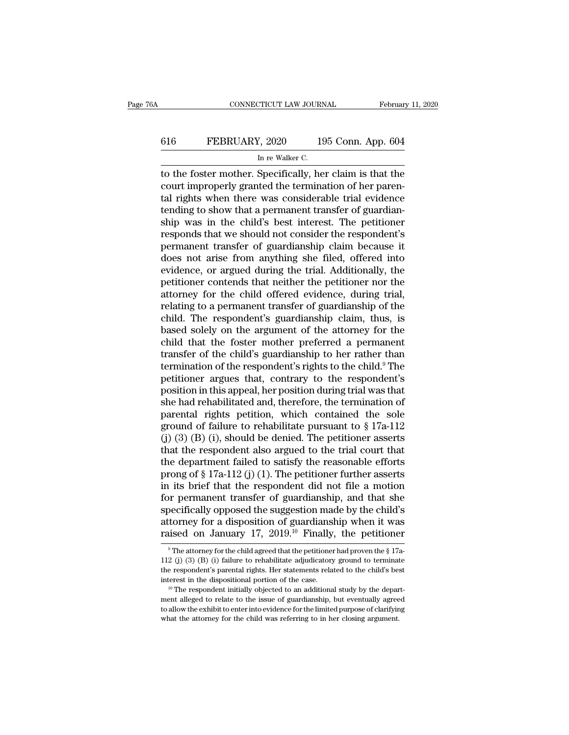## CONNECTICUT LAW JOURNAL February 11, 2020<br>616 FEBRUARY, 2020 195 Conn. App. 604<br>In re Walker C. 7TICUT LAW JOURN $\frac{l}{\ln n}$  re Walker C.<br>Specifically he

CONNECTICUT LAW JOURNAL February 11, 2020<br>
FEBRUARY, 2020 195 Conn. App. 604<br>
In re Walker C.<br>
to the foster mother. Specifically, her claim is that the<br>
court improperly granted the termination of her paren-<br>
tel rights w ECOURTY, 2020 195 Conn. App. 604<br>
In re Walker C.<br>
to the foster mother. Specifically, her claim is that the<br>
court improperly granted the termination of her paren-<br>
tal rights when there was considerable trial evidence<br>
t 616 FEBRUARY, 2020 195 Conn. App. 604<br>
In re Walker C.<br>
to the foster mother. Specifically, her claim is that the<br>
court improperly granted the termination of her paren-<br>
tal rights when there was considerable trial evide 616 FEBRUARY, 2020 195 Conn. App. 604<br>
In re Walker C.<br>
to the foster mother. Specifically, her claim is that the<br>
court improperly granted the termination of her paren-<br>
tal rights when there was considerable trial evide In re Walker C.<br>
In re Walker C.<br>
to the foster mother. Specifically, her claim is that the<br>
court improperly granted the termination of her paren-<br>
tal rights when there was considerable trial evidence<br>
tending to show th In re walker C.<br>
to the foster mother. Specifically, her claim is that the<br>
court improperly granted the termination of her paren-<br>
tal rights when there was considerable trial evidence<br>
tending to show that a permanent tr to the foster mother. Specifically, her claim is that the court improperly granted the termination of her parental rights when there was considerable trial evidence tending to show that a permanent transfer of guardianship court improperly granted the termination of her parental rights when there was considerable trial evidence<br>tending to show that a permanent transfer of guardian-<br>ship was in the child's best interest. The petitioner<br>respon tal rights when there was considerable trial evidence<br>tending to show that a permanent transfer of guardian-<br>ship was in the child's best interest. The petitioner<br>responds that we should not consider the respondent's<br>perma tending to show that a permanent transfer of guardian-<br>ship was in the child's best interest. The petitioner<br>responds that we should not consider the respondent's<br>permanent transfer of guardianship claim because it<br>does no ship was in the child's best interest. The petitioner<br>responds that we should not consider the respondent's<br>permanent transfer of guardianship claim because it<br>does not arise from anything she filed, offered into<br>evidence, responds that we should not consider the respondent's<br>permanent transfer of guardianship claim because it<br>does not arise from anything she filed, offered into<br>evidence, or argued during the trial. Additionally, the<br>petitio permanent transfer of guardianship claim because it<br>does not arise from anything she filed, offered into<br>evidence, or argued during the trial. Additionally, the<br>petitioner contends that neither the petitioner nor the<br>attor does not arise from anything she filed, offered into<br>evidence, or argued during the trial. Additionally, the<br>petitioner contends that neither the petitioner nor the<br>attorney for the child offered evidence, during trial,<br>re evidence, or argued during the trial. Additionally, the<br>petitioner contends that neither the petitioner nor the<br>attorney for the child offered evidence, during trial,<br>relating to a permanent transfer of guardianship of the petitioner contends that neither the petitioner nor the<br>attorney for the child offered evidence, during trial,<br>relating to a permanent transfer of guardianship of the<br>child. The respondent's guardianship claim, thus, is<br>ba attorney for the child offered evidence, during trial,<br>relating to a permanent transfer of guardianship of the<br>child. The respondent's guardianship claim, thus, is<br>based solely on the argument of the attorney for the<br>child relating to a permanent transfer of guardianship of the<br>child. The respondent's guardianship claim, thus, is<br>based solely on the argument of the attorney for the<br>child that the foster mother preferred a permanent<br>transfer child. The respondent's guardianship claim, thus, is<br>based solely on the argument of the attorney for the<br>child that the foster mother preferred a permanent<br>transfer of the child's guardianship to her rather than<br>terminati based solely on the argument of the attorney for the child that the foster mother preferred a permanent transfer of the child's guardianship to her rather than termination of the respondent's rights to the child.<sup>9</sup> The p child that the foster mother preferred a permanent<br>transfer of the child's guardianship to her rather than<br>termination of the respondent's rights to the child.<sup>9</sup> The<br>petitioner argues that, contrary to the respondent's<br>p transfer of the child's guardianship to her rather than<br>termination of the respondent's rights to the child.<sup>9</sup> The<br>petitioner argues that, contrary to the respondent's<br>position in this appeal, her position during trial w termination of the respondent's rights to the child.<sup>9</sup> The<br>petitioner argues that, contrary to the respondent's<br>position in this appeal, her position during trial was that<br>she had rehabilitated and, therefore, the termina petitioner argues that, contrary to the respondent's<br>position in this appeal, her position during trial was that<br>she had rehabilitated and, therefore, the termination of<br>parental rights petition, which contained the sole<br> position in this appeal, her position during trial was that<br>she had rehabilitated and, therefore, the termination of<br>parental rights petition, which contained the sole<br>ground of failure to rehabilitate pursuant to  $\S 17a$ she had rehabilitated and, therefore, the termination of<br>parental rights petition, which contained the sole<br>ground of failure to rehabilitate pursuant to  $\S 17a-112$ <br>(j) (3) (B) (i), should be denied. The petitioner asser parental rights petition, which contained the sole<br>ground of failure to rehabilitate pursuant to  $\S 17a-112$ <br>(j) (3) (B) (i), should be denied. The petitioner asserts<br>that the respondent also argued to the trial court tha ground of failure to rehabilitate pursuant to  $\S 17a-112$ <br>(j) (3) (B) (i), should be denied. The petitioner asserts<br>that the respondent also argued to the trial court that<br>the department failed to satisfy the reasonable e (j) (3) (B) (i), should be denied. The petitioner asserts<br>that the respondent also argued to the trial court that<br>the department failed to satisfy the reasonable efforts<br>prong of § 17a-112 (j) (1). The petitioner further that the respondent also argued to the trial court that<br>the department failed to satisfy the reasonable efforts<br>prong of § 17a-112 (j) (1). The petitioner further asserts<br>in its brief that the respondent did not file a mo the department failed to satisfy the reasonable efforts<br>prong of § 17a-112 (j) (1). The petitioner further asserts<br>in its brief that the respondent did not file a motion<br>for permanent transfer of guardianship, and that sh be ecifically opposed the suggestion made by the child's torney for a disposition of guardianship when it was used on January 17, 2019.<sup>10</sup> Finally, the petitioner  $^{\circ}$ The attorney for the child agreed that the petition specifically opposed the suggestion made by the child's<br>attorney for a disposition of guardianship when it was<br>raised on January 17, 2019.<sup>10</sup> Finally, the petitioner<br><sup>9</sup>The attorney for the child agreed that the petition

attorney for a disposition of guardianship when it was<br>raised on January 17, 2019.<sup>10</sup> Finally, the petitioner<br><sup>9</sup>The attorney for the child agreed that the petitioner had proven the § 17a-<br>112 (j) (3) (B) (i) failure to raised on January 17, 2019.<sup>10</sup> Finally, the petitioner  $\overline{ }$ <sup>9</sup> The attorney for the child agreed that the petitioner had proven the § 17a-<br>112 (j) (3) (B) (i) failure to rehabilitate adjudicatory ground to terminate<br>t the respondent's parental rights. Her statements related to the child's best

<sup>&</sup>lt;sup>9</sup> The attorney for the child agreed that the petitioner had proven the § 17a-<br>112 (j) (3) (B) (i) failure to rehabilitate adjudicatory ground to terminate<br>the respondent's parental rights. Her statements related to the 112 (j) (3) (B) (i) failure to rehabilitate adjudicatory ground to terminate the respondent's parental rights. Her statements related to the child's best interest in the dispositional portion of the case.<br>
<sup>10</sup> The respon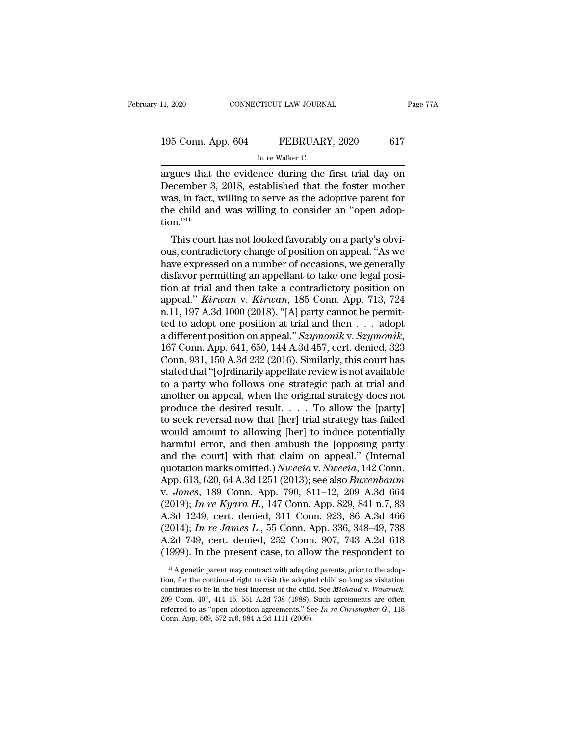| 11, 2020           | CONNECTICUT LAW JOURNAL                                | Page 77A |
|--------------------|--------------------------------------------------------|----------|
| 195 Conn. App. 604 | FEBRUARY, 2020                                         | 617      |
|                    | In re Walker C.                                        |          |
|                    | argues that the evidence during the first trial day on |          |

11, 2020 CONNECTICUT LAW JOURNAL Page 77A<br>
195 Conn. App. 604 FEBRUARY, 2020 617<br>
In re Walker C.<br>
argues that the evidence during the first trial day on<br>
December 3, 2018, established that the foster mother<br>
was in fact w 195 Conn. App. 604 FEBRUARY, 2020 617<br>
In re Walker C.<br>
argues that the evidence during the first trial day on<br>
December 3, 2018, established that the foster mother<br>
was, in fact, willing to serve as the adoptive parent fo 195 Conn. App. 604 FEBRUARY, 2020 617<br>
In re Walker C.<br>
argues that the evidence during the first trial day on<br>
December 3, 2018, established that the foster mother<br>
was, in fact, willing to serve as the adoptive parent f 195 Conn. App. 604 FEBRUARY, 2020 617<br>
In re Walker C.<br>
argues that the evidence during the first trial day on<br>
December 3, 2018, established that the foster mother<br>
was, in fact, willing to serve as the adoptive parent f tion."<sup>11</sup> gues that the evidence during the first trial day on<br>ecember 3, 2018, established that the foster mother<br>as, in fact, willing to serve as the adoptive parent for<br>e child and was willing to consider an "open adop-<br>n."<sup>11</sup><br>T argues that the evidence during the first that day on<br>December 3, 2018, established that the foster mother<br>was, in fact, willing to serve as the adoptive parent for<br>the child and was willing to consider an "open adop-<br>tion

December 5, 2018, established that the foster mother<br>was, in fact, willing to serve as the adoptive parent for<br>the child and was willing to consider an "open adop-<br>tion."<sup>11</sup><br>This court has not looked favorably on a party' was, in fact, whing to serve as the adoptive parent for<br>the child and was willing to consider an "open adop-<br>tion."<sup>11</sup><br>This court has not looked favorably on a party's obvi-<br>ous, contradictory change of position on appea tion."<sup>11</sup><br>This court has not looked favorably on a party's obvi-<br>ous, contradictory change of position on appeal. "As we<br>have expressed on a number of occasions, we generally<br>disfavor permitting an appellant to take one l This court has not looked favorably on a party's obvi-<br>ous, contradictory change of position on appeal. "As we<br>have expressed on a number of occasions, we generally<br>disfavor permitting an appellant to take one legal posi-<br> This court has not looked favorably on a party's obvious, contradictory change of position on appeal. "As we have expressed on a number of occasions, we generally disfavor permitting an appellant to take one legal positio ous, contradictory change of position on appeal. "As we<br>have expressed on a number of occasions, we generally<br>disfavor permitting an appellant to take one legal posi-<br>tion at trial and then take a contradictory position on have expressed on a number of occasions, we generally<br>disfavor permitting an appellant to take one legal posi-<br>tion at trial and then take a contradictory position on<br>appeal." *Kirwan* v. *Kirwan*, 185 Conn. App. 713, 724<br> tion at trial and then take a contradictory position on<br>appeal." *Kirwan* v. *Kirwan*, 185 Conn. App. 713, 724<br>n.11, 197 A.3d 1000 (2018). "[A] party cannot be permit-<br>ted to adopt one position at trial and then . . . adop appeal." *Kirwan v. Kirwan*, 185 Conn. App. 713, 724<br>n.11, 197 A.3d 1000 (2018). "[A] party cannot be permit-<br>ted to adopt one position at trial and then . . . adopt<br>a different position on appeal." *Szymonik* v. *Szymoni* n.11, 197 A.3d 1000 (2018). "[A] party cannot be permitted to adopt one position at trial and then . . . adopt<br>a different position on appeal."  $Szymonik$  v.  $Szymonik$ ,<br>167 Conn. App. 641, 650, 144 A.3d 457, cert. denied, 323<br>Co ted to adopt one position at trial and then  $\dots$  adopt<br>a different position on appeal." Szymonik v. Szymonik,<br>167 Conn. App. 641, 650, 144 A.3d 457, cert. denied, 323<br>Conn. 931, 150 A.3d 232 (2016). Similarly, this court a different position on appeal."  $Szymonik$  v.  $Szymonik$ ,<br>167 Conn. App. 641, 650, 144 A.3d 457, cert. denied, 323<br>Conn. 931, 150 A.3d 232 (2016). Similarly, this court has<br>stated that "[o]rdinarily appellate review is not avail 167 Conn. App. 641, 650, 144 A.3d 457, cert. denied, 323<br>Conn. 931, 150 A.3d 232 (2016). Similarly, this court has<br>stated that "[o]rdinarily appellate review is not available<br>to a party who follows one strategic path at t Conn. 931, 150 A.3d 232 (2016). Similarly, this court has<br>stated that "[o]rdinarily appellate review is not available<br>to a party who follows one strategic path at trial and<br>another on appeal, when the original strategy doe stated that "[o]rdinarily appellate review is not available<br>to a party who follows one strategic path at trial and<br>another on appeal, when the original strategy does not<br>produce the desired result. . . . . To allow the [pa to a party who follows one strategic path at trial and<br>another on appeal, when the original strategy does not<br>produce the desired result. . . . . To allow the [party]<br>to seek reversal now that [her] trial strategy has fai another on appeal, when the original strategy does not<br>produce the desired result. . . . To allow the [party]<br>to seek reversal now that [her] trial strategy has failed<br>would amount to allowing [her] to induce potentially<br> produce the desired result. . . . To allow the [party]<br>to seek reversal now that [her] trial strategy has failed<br>would amount to allowing [her] to induce potentially<br>harmful error, and then ambush the [opposing party<br>and t to seek reversal now that [her] trial strategy has failed<br>would amount to allowing [her] to induce potentially<br>harmful error, and then ambush the [opposing party<br>and the court] with that claim on appeal." (Internal<br>quotati would amount to allowing [her] to induce potentially<br>harmful error, and then ambush the [opposing party<br>and the court] with that claim on appeal." (Internal<br>quotation marks omitted.) *Nweeia* v. *Nweeia*, 142 Conn.<br>App. 61 harmful error, and then ambush the [opposing party<br>and the court] with that claim on appeal." (Internal<br>quotation marks omitted.) *Nweeia* v. *Nweeia*, 142 Conn.<br>App. 613, 620, 64 A.3d 1251 (2013); see also *Buxenbaum*<br>v. and the court] with that claim on appeal." (Internal<br>quotation marks omitted.) *Nweeia* v. *Nweeia*, 142 Conn.<br>App. 613, 620, 64 A.3d 1251 (2013); see also *Buxenbaum*<br>v. *Jones*, 189 Conn. App. 790, 811–12, 209 A.3d 664<br>( quotation marks omitted.) *Nweeia* v. *Nweeia*, 142 Conn.<br>App. 613, 620, 64 A.3d 1251 (2013); see also *Buxenbaum*<br>v. *Jones*, 189 Conn. App. 790, 811–12, 209 A.3d 664<br>(2019); *In re Kyara H.*, 147 Conn. App. 829, 841 n.7, App. 613, 620, 64 A.3d 1251 (2013); see also *Buxenbaum*<br>v. *Jones*, 189 Conn. App. 790, 811–12, 209 A.3d 664<br>(2019); *In re Kyara H*., 147 Conn. App. 829, 841 n.7, 83<br>A.3d 1249, cert. denied, 311 Conn. 923, 86 A.3d 466<br>(2 11 A genetic parent may contract with adopting parents, prior to the adoption, for the continued right to visit the adopting parents, prior to the adoption, for the continued right to visit the adopted child so long as vi (2014); *In re James L.*, 55 Conn. App. 336, 348–49, 738<br>A.2d 749, cert. denied, 252 Conn. 907, 743 A.2d 618<br>(1999). In the present case, to allow the respondent to<br> $\frac{1}{1}$  A genetic parent may contract with adopting pa

A.2d 749, cert. denied, 252 Conn. 907, 743 A.2d 618 (1999). In the present case, to allow the respondent to  $\frac{1}{4}$  A genetic parent may contract with adopting parents, prior to the adoption, for the continued right to <sup>11</sup> A genetic parent may contract with adopting parents, prior to the adoption, for the continued right to visit the adopted child so long as visitation continues to be in the best interest of the child. See *Michaud v. W* <sup>11</sup> A genetic parent may contract with adoptition, for the continued right to visit the adopte continues to be in the best interest of the child 209 Conn. 407, 414–15, 551 A.2d 738 (1988). referred to as "open adoption a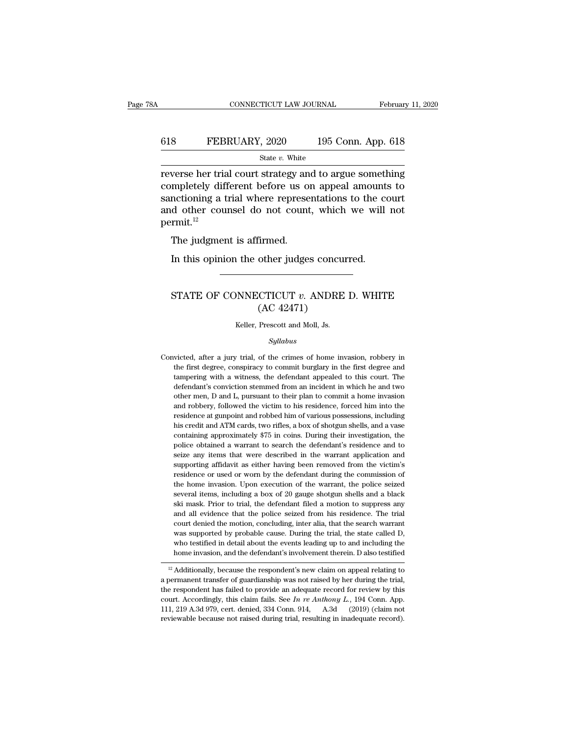## CONNECTICUT LAW JOURNAL February 11, 2020<br>618 FEBRUARY, 2020 195 Conn. App. 618<br>5tate v. White State *v.* White

 $CONPECTICUT LAW JOURNAL \tFebruary 11, 2020$ February 11, 2020<br>
State v. White<br>
State v. White<br>
Feverse her trial court strategy and to argue something<br>
completely different before us on appeal amounts to<br>
conctioning a trial where re</u> EXEMBRUARY, 2020 195 Conn. App. 618<br>
State v. White<br>
Teverse her trial court strategy and to argue something<br>
completely different before us on appeal amounts to<br>
sanctioning a trial where representations to the court<br>
an FEBRUARY, 2020 195 Conn. App. 618<br>
State v. White<br>
Teverse her trial court strategy and to argue something<br>
completely different before us on appeal amounts to<br>
sanctioning a trial where representations to the court<br>
and 618 FEBRUARY, 2020 195 Conn. App. 618<br>
State v. White<br>
reverse her trial court strategy and to argue something<br>
completely different before us on appeal amounts to<br>
sanctioning a trial where representations to the court<br> permit.<sup>12</sup> werse her trial court strategy an<br>mpletely different before us or<br>nctioning a trial where represe<br>d other counsel do not count<br>rmit.<sup>12</sup><br>The judgment is affirmed.<br>In this opinion the other judge: mpletely different before us on appeal amounts<br>nctioning a trial where representations to the co<br>d other counsel do not count, which we will<br>rmit.<sup>12</sup><br>The judgment is affirmed.<br>In this opinion the other judges concurred.

#### rmit.<sup>12</sup><br>The judgment is affirmed.<br>In this opinion the other judges concurred.<br>STATE OF CONNECTICUT *v*. ANDRE D. WHITE<br>(AC 42471) firmed.<br>
other judges concu<br>
CTICUT v. ANDRE<br>
(AC 42471)<br>
Prescott and Moll, Js. STATE OF CONNECTICUT  $v$ . ANDRE D. WHITE<br>(AC 42471)<br>Keller, Prescott and Moll, Js.

#### *Syllabus*

( $\text{AC } 42471$ )<br>
Keller, Prescott and Moll, Js.<br>
Syllabus<br>
Convicted, after a jury trial, of the crimes of home invasion, robbery in<br>
the first degree, conspiracy to commit burglary in the first degree and Keller, Prescott and Moll, Js.<br>Syllabus<br>victed, after a jury trial, of the crimes of home invasion, robbery in<br>the first degree, conspiracy to commit burglary in the first degree and<br>tampering with a witness, the defendant Keller, Prescott and Moll, Js.<br>
Syllabus<br>
victed, after a jury trial, of the crimes of home invasion, robbery in<br>
the first degree, conspiracy to commit burglary in the first degree and<br>
tampering with a witness, the defen Syllabus<br>
since the single victor of the crimes of home invasion, robbery in<br>
the first degree, conspiracy to commit burglary in the first degree and<br>
tampering with a witness, the defendant appealed to this court. The<br>
de *Syttabus*<br>victed, after a jury trial, of the crimes of home invasion, robbery in<br>the first degree, conspiracy to commit burglary in the first degree and<br>tampering with a witness, the defendant appealed to this court. The<br> victed, after a jury trial, of the crimes of home invasion, robbery in the first degree, conspiracy to commit burglary in the first degree and tampering with a witness, the defendant appealed to this court. The defendant's the first degree, conspiracy to commit burglary in the first degree and tampering with a witness, the defendant appealed to this court. The defendant's conviction stemmed from an incident in which he and two other men, D a tampering with a witness, the defendant appealed to this court. The defendant's conviction stemmed from an incident in which he and two other men, D and L, pursuant to their plan to commit a home invasion and robbery, foll defendant's conviction stemmed from an incident in which he and two<br>other men, D and L, pursuant to their plan to commit a home invasion<br>and robbery, followed the victim to his residence, forced him into the<br>residence at g other men, D and L, pursuant to their plan to commit a home invasion and robbery, followed the victim to his residence, forced him into the residence at gunpoint and robbed him of various possessions, including his credit and robbery, followed the victim to his residence, forced him into the residence at gunpoint and robbed him of various possessions, including his credit and ATM cards, two rifles, a box of shotgun shells, and a vase contai residence at gunpoint and robbed him of various possessions, including<br>his credit and ATM cards, two rifles, a box of shotgun shells, and a vase<br>containing approximately \$75 in coins. During their investigation, the<br>police his credit and ATM cards, two rifles, a box of shotgun shells, and a vase containing approximately \$75 in coins. During their investigation, the police obtained a warrant to search the defendant's residence and to seize an containing approximately \$75 in coins. During their investigation, the police obtained a warrant to search the defendant's residence and to seize any items that were described in the warrant application and supporting affi police obtained a warrant to search the defendant's residence and to seize any items that were described in the warrant application and supporting affidavit as either having been removed from the victim's residence or used seize any items that were described in the warrant application and supporting affidavit as either having been removed from the victim's residence or used or worn by the defendant during the commission of the home invasion. supporting affidavit as either having been removed from the victim's<br>residence or used or worn by the defendant during the commission of<br>the home invasion. Upon execution of the warrant, the police seized<br>several items, in residence or used or worn by the defendant during the commission of<br>the home invasion. Upon execution of the warrant, the police seized<br>several items, including a box of 20 gauge shotgun shells and a black<br>ski mask. Prior the home invasion. Upon execution of the warrant, the police seized several items, including a box of 20 gauge shotgun shells and a black ski mask. Prior to trial, the defendant filed a motion to suppress any and all evide several items, including a box of 20 gauge shotgun shells and a black<br>ski mask. Prior to trial, the defendant filed a motion to suppress any<br>and all evidence that the police seized from his residence. The trial<br>court denie ski mask. Prior to trial, the defendant filed a motion to suppress any<br>and all evidence that the police seized from his residence. The trial<br>court denied the motion, concluding, inter alia, that the search warrant<br>was supp and an evidence that the poice seized from its residence. The trial<br>court denied the motion, concluding, inter alia, that the search warrant<br>was supported by probable cause. During the trial, the state called D,<br>who testif From the motion, concluding, the rand, that the search warrant was supported by probable cause. During the trial, the state called D, who testified in detail about the events leading up to and including the home invasion,

was supported by probable cause. During the trial, the state cancel D,<br>who testified in detail about the events leading up to and including the<br>home invasion, and the defendant's involvement therein. D also testified<br> $\frac{$ who essured in detail about the events leading up to and including the<br>home invasion, and the defendant's involvement therein. D also testified<br> $\frac{12}{2}$  Additionally, because the respondent's new claim on appeal relatin <sup>12</sup> Additionally, because the respondent's new claim on appeal relating to a permanent transfer of guardianship was not raised by her during the trial, the respondent has failed to provide an adequate record for review b <sup>12</sup> Additionally, because the respondent's new claim on appeal relating to a permanent transfer of guardianship was not raised by her during the trial, the respondent has failed to provide an adequate record for review b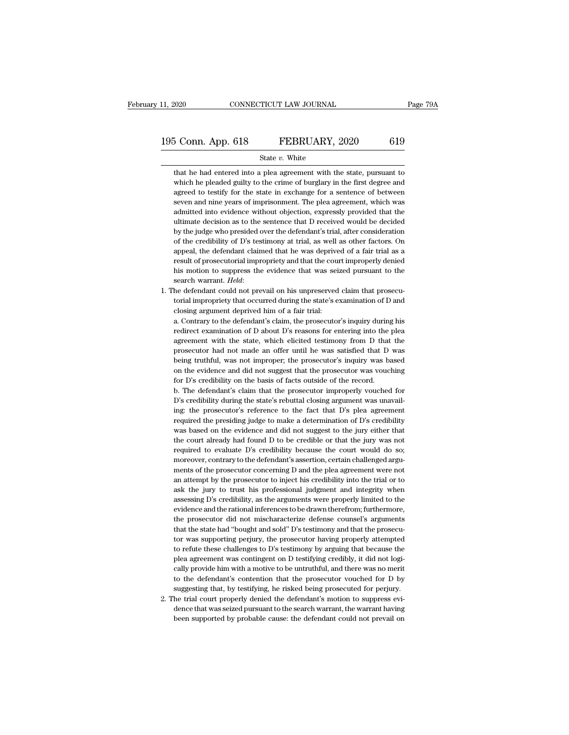# 11, 2020 CONNECTICUT LAW JOURNAL Page 79A<br>195 Conn. App. 618 FEBRUARY, 2020 619<br>State v. White

#### State *v.* White

5 Conn. App. 618 FEBRUARY, 2020 619<br>
State  $v$ . White<br>
that he had entered into a plea agreement with the state, pursuant to<br>
which he pleaded guilty to the crime of burglary in the first degree and S Conn. App. 618 FEBRUARY, 2020 619<br>State v. White<br>that he had entered into a plea agreement with the state, pursuant to<br>which he pleaded guilty to the crime of burglary in the first degree and<br>agreed to testify for the st 5 Conn. App. 618 FEBRUARY, 2020 619<br>
State v. White<br>
that he had entered into a plea agreement with the state, pursuant to<br>
which he pleaded guilty to the crime of burglary in the first degree and<br>
agreed to testify for th State  $v$ . White<br>that he had entered into a plea agreement with the state, pursuant to<br>which he pleaded guilty to the crime of burglary in the first degree and<br>agreed to testify for the state in exchange for a sentence of State v. White<br>that he had entered into a plea agreement with the state, pursuant to<br>which he pleaded guilty to the crime of burglary in the first degree and<br>agreed to testify for the state in exchange for a sentence of be that he had entered into a plea agreement with the state, pursuant to which he pleaded guilty to the crime of burglary in the first degree and agreed to testify for the state in exchange for a sentence of between seven and which he pleaded guilty to the crime of burglary in the first degree and agreed to testify for the state in exchange for a sentence of between seven and nine years of imprisonment. The plea agreement, which was admitted in agreed to testify for the state in exchange for a sentence of between<br>seven and nine years of imprisonment. The plea agreement, which was<br>admitted into evidence without objection, expressly provided that the<br>ultimate decis seven and nine years of imprisonment. The plea agreement, which was admitted into evidence without objection, expressly provided that the ultimate decision as to the sentence that D received would be decided by the judge w admitted into evidence without objection, expressly provided that the ultimate decision as to the sentence that D received would be decided by the judge who presided over the defendant's trial, after consideration of the c ultimate decision as to the sentence that D received would be decided<br>by the judge who presided over the defendant's trial, after consideration<br>of the credibility of D's testimony at trial, as well as other factors. On<br>app by the judge who presided over the defendant's trial, after consideration of the credibility of D's testimony at trial, as well as other factors. On appeal, the defendant claimed that he was deprived of a fair trial as a appeal, the defendant claimed that he was deprived of a fair trial as a result of prosecutorial impropriety and that the court improperly denied his motion to suppress the evidence that was seized pursuant to the search wa % appeal, the defendant claimed that he was deprived of a fair trial as a result of prosecutorial impropriety and that the court improperly denied his motion to suppress the evidence that was seized pursuant to the search

his motion to suppress the evidence that was seized pursuant to the search warrant. *Held*:<br>he defendant could not prevail on his unpreserved claim that prosecutorial impropriety that occurred during the state's examinatio

search warrant. *Held*:<br>he defendant could not prevail on his unpreserved claim that prosecu-<br>torial impropriety that occurred during the state's examination of D and<br>closing argument deprived him of a fair trial:<br>a. Contr he defendant could not prevail on his unpreserved claim that prosecutorial impropriety that occurred during the state's examination of D and closing argument deprived him of a fair trial:<br>a. Contrary to the defendant's cla torial impropriety that occurred during the state's examination of D and<br>closing argument deprived him of a fair trial:<br>a. Contrary to the defendant's claim, the prosecutor's inquiry during his<br>redirect examination of D ab closing argument deprived him of a fair trial:<br>a. Contrary to the defendant's claim, the prosecutor's inquiry during his<br>redirect examination of D about D's reasons for entering into the plea<br>agreement with the state, whic a. Contrary to the defendant's claim, the prosecutor's inquiry during his redirect examination of D about D's reasons for entering into the plea agreement with the state, which elicited testimony from D that the prosecutor redirect examination of D about D's reasons for entering into the agreement with the state, which elicited testimony from D that prosecutor had not made an offer until he was satisfied that D being truthful, was not improp agreement with the state, which elicited testimony from D that the prosecutor had not made an offer until he was satisfied that D was being truthful, was not improper; the prosecutor's inquiry was based on the evidence and prosecutor had not made an offer until he was satisfied that D was<br>being truthful, was not improper; the prosecutor's inquiry was based<br>on the evidence and did not suggest that the prosecutor was vouching<br>for D's credibili

being truthful, was not improper; the prosecutor's inquiry was based<br>on the evidence and did not suggest that the prosecutor was vouching<br>for D's credibility on the basis of facts outside of the record.<br>b. The defendant's on the evidence and did not suggest that the prosecutor was vouching<br>for D's credibility on the basis of facts outside of the record.<br>b. The defendant's claim that the prosecutor improperly vouched for<br>D's credibility duri for D's credibility on the basis of facts outside of the record.<br>
b. The defendant's claim that the prosecutor improperly vouched for<br>
D's credibility during the state's rebuttal closing argument was unavail-<br>
ing: the pr b. The defendant's claim that the prosecutor improperly vouched for D's credibility during the state's rebuttal closing argument was unavailing: the prosecutor's reference to the fact that D's plea agreement required the D's credibility during the state's rebuttal closing argument was unavailing: the prosecutor's reference to the fact that D's plea agreement required the presiding judge to make a determination of D's credibility was based ing: the prosecutor's reference to the fact that D's plea agreement<br>required the presiding judge to make a determination of D's credibility<br>was based on the evidence and did not suggest to the jury either that<br>the court al required the presiding judge to make a determination of D's credibility was based on the evidence and did not suggest to the jury either that the court already had found D to be credible or that the jury was not required t was based on the evidence and did not suggest to the jury either that<br>the court already had found D to be credible or that the jury was not<br>required to evaluate D's credibility because the court would do so;<br>moreover, cont the court already had found D to be credible or that the jury was not required to evaluate D's credibility because the court would do so; moreover, contrary to the defendant's assertion, certain challenged arguments of the required to evaluate D's credibility because the court would do so;<br>moreover, contrary to the defendant's assertion, certain challenged arguments of the prosecutor concerning D and the plea agreement were not<br>an attempt by moreover, contrary to the defendant's assertion, certain challenged arguments of the prosecutor concerning D and the plea agreement were not an attempt by the prosecutor to inject his credibility into the trial or to ask t ments of the prosecutor concerning D and the plea agreement were not<br>an attempt by the prosecutor to inject his credibility into the trial or to<br>ask the jury to trust his professional judgment and integrity when<br>assessing an attempt by the prosecutor to inject his credibility into the trial or to ask the jury to trust his professional judgment and integrity when assessing D's credibility, as the arguments were properly limited to the eviden ask the jury to trust his professional judgment and integrity when<br>assessing D's credibility, as the arguments were properly limited to the<br>evidence and the rational inferences to be drawn therefrom; furthermore,<br>the prose assessing D's credibility, as the arguments were properly limited to the evidence and the rational inferences to be drawn therefrom; furthermore, the prosecutor did not mischaracterize defense counsel's arguments that the evidence and the rational inferences to be drawn therefrom; furthermore, the prosecutor did not mischaracterize defense counsel's arguments that the state had "bought and sold" D's testimony and that the prosecutor was sup the prosecutor did not mischaracterize defense counsel's arguments<br>that the state had "bought and sold" D's testimony and that the prosecu-<br>tor was supporting perjury, the prosecutor having properly attempted<br>to refute the that the state had "bought and sold" D's testimony and that the prosecutor was supporting perjury, the prosecutor having properly attempted to refute these challenges to D's testimony by arguing that because the plea agree for was supporting perjury, the prosecutor having properly attempted<br>to refute these challenges to D's testimony by arguing that because the<br>plea agreement was contingent on D testifying credibly, it did not logi-<br>cally pr to refute these challenges to D's testimony by arguing that because the plea agreement was contingent on D testifying credibly, it did not logically provide him with a motive to be untruthful, and there was no merit to th plea agreement was contingent on D testifying credibly, it did not logically provide him with a motive to be untruthful, and there was no merit to the defendant's contention that the prosecutor vouched for D by suggesting cally provide him with a motive to be untruthful, and there was no merit<br>to the defendant's contention that the prosecutor vouched for D by<br>suggesting that, by testifying, he risked being prosecuted for perjury.<br>he trial c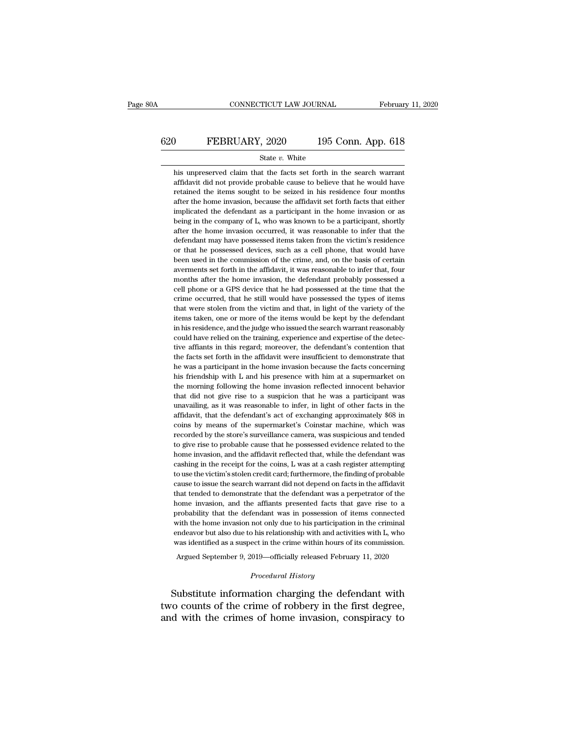# CONNECTICUT LAW JOURNAL February 11, 2020<br>620 FEBRUARY, 2020 195 Conn. App. 618<br>5tate v. White

#### State *v.* White

his unpreserved claim that the facts set forth in the search warrant affidavit did not provide probable cause to believe that he would have FEBRUARY, 2020 195 Conn. App. 618<br>
State  $v$ . White<br>
his unpreserved claim that the facts set forth in the search warrant<br>
affidavit did not provide probable cause to believe that he would have<br>
retained the items sought FEBRUARY, 2020 195 Conn. App. 618<br>
state v. White<br>
his unpreserved claim that the facts set forth in the search warrant<br>
affidavit did not provide probable cause to believe that he would have<br>
retained the items sought to France State v. White<br>his unpreserved claim that the facts set forth in the search warrant<br>affidavit did not provide probable cause to believe that he would have<br>retained the items sought to be seized in his residence four State v. White<br>his unpreserved claim that the facts set forth in the search warrant<br>affidavit did not provide probable cause to believe that he would have<br>retained the items sought to be seized in his residence four months his unpreserved claim that the facts set forth in the search warrant affidavit did not provide probable cause to believe that he would have retained the items sought to be seized in his residence four months after the home affidavit did not provide probable cause to believe that he would have<br>retained the items sought to be seized in his residence four months<br>after the home invasion, because the affidavit set forth facts that either<br>implicat retained the items sought to be seized in his residence four months after the home invasion, because the affidavit set forth facts that either implicated the defendant as a participant in the home invasion or as being in t Fatter the home invasion, because the affidavit set forth facts that either implicated the defendant as a participant in the home invasion or as being in the company of L, who was known to be a participant, shortly after t implicated the defendant as a participant in the home invasion or as<br>being in the company of L, who was known to be a participant, shortly<br>after the home invasion occurred, it was reasonable to infer that the<br>defendant may aver for interests in the company of L, who was known to be a participant, shortly after the home invasion occurred, it was reasonable to infer that the defendant may have possessed items taken from the victim's residence after the home invasion occurred, it was reasonable to infer that the defendant may have possessed items taken from the victim's residence or that he possessed devices, such as a cell phone, that would have been used in th defendant may have possessed items taken from the victim's residence or that he possessed devices, such as a cell phone, that would have been used in the commission of the crime, and, on the basis of certain averments set or that he possessed devices, such as a cell phone, that would have been used in the commission of the crime, and, on the basis of certain averments set forth in the affidavit, it was reasonable to infer that, four months been used in the commission of the crime, and, on the basis of certain averments set forth in the affidavit, it was reasonable to infer that, four months after the home invasion, the defendant probably possessed a cell pho items taken, one or more of the items would be kept by the defendant months after the home invasion, the defendant probably possessed a cell phone or a GPS device that he had possessed at the time that the crime occurred, that he still would have possessed the types of items that were stole could phone or a GPS device that he had possessed at the time that the crime occurred, that he still would have possessed the types of items that were stolen from the victim and that, in light of the variety of the items t erime occurred, that he still would have possessed the types of items<br>that were stolen from the victim and that, in light of the variety of the<br>items taken, one or more of the items would be kept by the defendant<br>in his re that were stolen from the victim and that, in light of the variety of the titems taken, one or more of the items would be kept by the defendant in his residence, and the judge who issued the search warrant reasonably could drems taken, one or more of the items would be kept by the defendant<br>in his residence, and the judge who issued the search warrant reasonably<br>could have relied on the training, experience and expertise of the detec-<br>tive a in his residence, and the judge who issued the search warrant reasonably could have relied on the training, experience and expertise of the detective affiants in this regard; moreover, the defendant's contention that the f could have relied on the training, experience and expertise of the detective affiants in this regard; moreover, the defendant's contention that the facts set forth in the affidavit were insufficient to demonstrate that he tive affiants in this regard; moreover, the defendant's contention that the facts set forth in the affidavit were insufficient to demonstrate that he was a participant in the home invasion because the facts concerning his the facts set forth in the affidavit were insufficient to demonstrate that the facts set forth in the affidavit were insufficient to demonstrate that he was a participant in the home invasion because the facts concerning h the was a participant in the home invasion because the facts concerning his friendship with L and his presence with him at a supermarket on the morning following the home invasion reflected innocent behavior that did not g In the supermarket is a supermarket on the supermarket on the morning following the home invasion reflected innocent behavior that did not give rise to a suspicion that he was a participant was unavailing, as it was reason recorded by the store's surveillance camera, was surveillanced by the morning following the home invasion reflected innocent behavior that did not give rise to a suspicion that he was a participant was unavailing, as it wa that did not give rise to a suspicion that he was a participant was unavailing, as it was reasonable to infer, in light of other facts in the affidavit, that the defendant's act of exchanging approximately \$68 in coins by home invasion, and the affidavit reflected that, while the defendant is accompanied affidavit, that the defendant's act of exchanging approximately \$68 in coins by means of the supermarket's Coinstar machine, which was rec affidavit, that the defendant's act of exchanging approximately \$68 in coins by means of the supermarket's Coinstar machine, which was recorded by the store's surveillance camera, was suspicious and tended to give rise to coins by means of the supermarket's Coinstar machine, which was recorded by the store's surveillance camera, was suspicious and tended to give rise to probable cause that he possessed evidence related to the home invasion, coins by means of the supermarket's Coinstar machine, which was recorded by the store's surveillance camera, was suspicious and tended to give rise to probable cause that he possessed evidence related to the home invasion, to give rise to probable cause that he possessed evidence related to the home invasion, and the affidavit reflected that, while the defendant was cashing in the receipt for the coins, L was at a cash register attempting to home invasion, and the affidavit reflected that, while the defendant was cashing in the receipt for the coins, L was at a cash register attempting to use the victim's stolen credit card; furthermore, the finding of probabl cashing in the receipt for the coins, L was at a cash register attempting to use the victim's stolen credit card; furthermore, the finding of probable cause to issue the search warrant did not depend on facts in the affida to use the victim's stolen credit card; furthermore, the finding of probable cause to issue the search warrant did not depend on facts in the affidavit that tended to demonstrate that the defendant was a perpetrator of the cause to issue the search warrant did not depend on facts in the affidavit that tended to demonstrate that the defendant was a perpetrator of the home invasion, and the affiants presented facts that gave rise to a probabil that tended to demonstrate that the defendant was a perpetrator of the home invasion, and the affiants presented facts that gave rise to a probability that the defendant was in possession of items connected with the home i home invasion, and the affiants presented facts that gave rise to a probability that the defendant was in possession of items connected with the home invasion not only due to his participation in the criminal indeavor but not only due to his participation<br> *Phis relationship with and activect in the crime within hours of*<br> *Procedural History*<br> *Procedural History* with the home invasion not only due to his participation in the criminal<br>endeavor but also due to his relationship with and activities with L, who<br>was identified as a suspect in the crime within hours of its commission.<br>Ar

endeavor but also due to his relationship with and activities with L, who was identified as a suspect in the crime within hours of its commission.<br>Argued September 9, 2019—officially released February 11, 2020<br>*Procedural* was identified as a suspect in the crime within hours of its commission.<br>Argued September 9, 2019—officially released February 11, 2020<br>*Procedural History*<br>Substitute information charging the defendant with<br>two counts of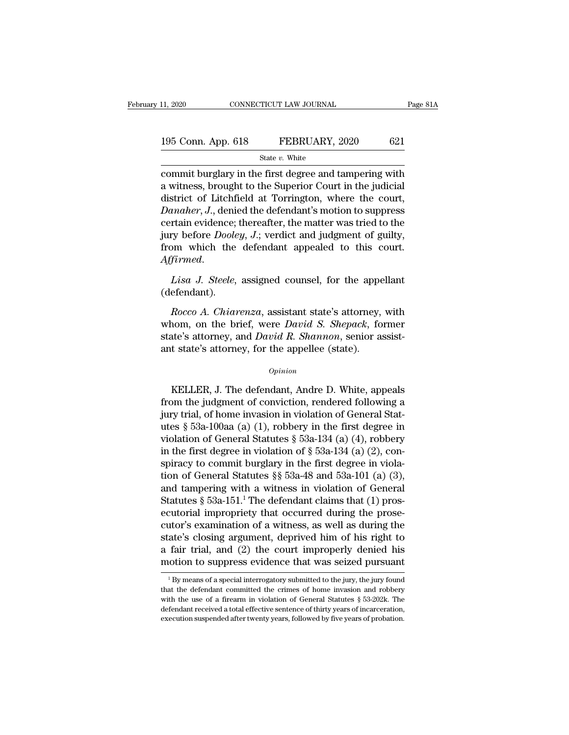| 11, 2020           | CONNECTICUT LAW JOURNAL | Page 81A |
|--------------------|-------------------------|----------|
| 195 Conn. App. 618 | FEBRUARY, 2020          | 621      |
|                    | State $v$ . White       |          |

11, 2020 CONNECTICUT LAW JOURNAL Page 81A<br>
195 Conn. App. 618 FEBRUARY, 2020 621<br>
State v. White<br>
commit burglary in the first degree and tampering with<br>
a witness, brought to the Superior Court in the judicial<br>
district 195 Conn. App. 618 FEBRUARY, 2020 621<br>
State v. White<br>
commit burglary in the first degree and tampering with<br>
a witness, brought to the Superior Court in the judicial<br>
district of Litchfield at Torrington, where the cour 195 Conn. App. 618 FEBRUARY, 2020 621<br>
State v. White<br>
commit burglary in the first degree and tampering with<br>
a witness, brought to the Superior Court in the judicial<br>
district of Litchfield at Torrington, where the cour 195 Conn. App. 618 **FEBRUARY**, 2020 621<br> *State v. White*<br>
commit burglary in the first degree and tampering with<br>
a witness, brought to the Superior Court in the judicial<br>
district of Litchfield at Torrington, where the c State v. White<br>
commit burglary in the first degree and tampering with<br>
a witness, brought to the Superior Court in the judicial<br>
district of Litchfield at Torrington, where the court,<br> *Danaher*, *J*., denied the defenda siate *v*. white<br>commit burglary in the first degree and tampering with<br>a witness, brought to the Superior Court in the judicial<br>district of Litchfield at Torrington, where the court,<br>*Danaher*, *J*., denied the defendant' commit burglary in the first degree and tampering with<br>a witness, brought to the Superior Court in the judicial<br>district of Litchfield at Torrington, where the court,<br>*Danaher*, J., denied the defendant's motion to suppres *Danaher*, *J.*, denied the defendant's motion to suppress certain evidence; thereafter, the matter was tried to the jury before *Dooley*, *J.*; verdict and judgment of guilty, from which the defendant appealed to this cou *Rocco A. Chiarenza*, assistant state's attorney, with<br>*Rocco A. Chiarenza*, assistant state's attorney, with<br>*Rocco A. Chiarenza*, assistant state's attorney, with<br>nom, on the brief, were *David S. Shepack*, former<br>atta's

(defendant).

From which the defendant appealed to this court.<br>Affirmed.<br>Lisa J. Steele, assigned counsel, for the appellant<br>(defendant).<br>Rocco A. Chiarenza, assistant state's attorney, with<br>whom, on the brief, were *David S. Shepack*, Example 1. Steele, assigned counsel, for the appellant (defendant).<br>
Rocco A. Chiarenza, assistant state's attorney, with whom, on the brief, were *David S. Shepack*, former state's attorney, and *David R. Shannon*, senior Lisa J. Steele, assigned counsel, for the apper<br>
(defendant).<br> *Rocco A. Chiarenza*, assistant state's attorney,<br>
whom, on the brief, were *David S. Shepack*, fo<br>
state's attorney, and *David R. Shannon*, senior a<br>
ant sta Rocco A. Charenza, assistant state's attorney, while<br>nom, on the brief, were *David S. Shepack*, former<br>ate's attorney, and *David R. Shannon*, senior assist-<br>t state's attorney, for the appellee (state).<br>*Opinion*<br>KELLER,

#### *Opinion*

whom, of the brief, were *Dubia S. Shepack*, former<br>state's attorney, and *David R. Shannon*, senior assist-<br>ant state's attorney, for the appellee (state).<br> $opinion$ <br>KELLER, J. The defendant, Andre D. White, appeals<br>from the state's attorney, and *David R. Shahhon*, senior assist-<br>ant state's attorney, for the appellee (state).<br> $o$ <sub>*pinion*<br>KELLER, J. The defendant, Andre D. White, appeals<br>from the judgment of conviction, rendered following a</sub> opinion<br>
WELLER, J. The defendant, Andre D. White, appeals<br>
from the judgment of conviction, rendered following a<br>
jury trial, of home invasion in violation of General Stat-<br>
utes § 53a-100aa (a) (1), robbery in the first *Opinion*<br>
KELLER, J. The defendant, Andre D. White, appeals<br>
from the judgment of conviction, rendered following a<br>
jury trial, of home invasion in violation of General Stat-<br>
utes § 53a-100aa (a) (1), robbery in the fir KELLER, J. The defendant, Andre D. White, appeals<br>from the judgment of conviction, rendered following a<br>jury trial, of home invasion in violation of General Stat-<br>utes § 53a-100aa (a) (1), robbery in the first degree in<br>v KELLER, J. The defendant, Andre D. White, appeals<br>from the judgment of conviction, rendered following a<br>jury trial, of home invasion in violation of General Stat-<br>utes § 53a-100aa (a) (1), robbery in the first degree in<br>v from the judgment of conviction, rendered following a<br>jury trial, of home invasion in violation of General Stat-<br>utes § 53a-100aa (a) (1), robbery in the first degree in<br>violation of General Statutes § 53a-134 (a) (4), ro jury trial, of home invasion in violation of General Stat-<br>utes § 53a-100aa (a) (1), robbery in the first degree in<br>violation of General Statutes § 53a-134 (a) (4), robbery<br>in the first degree in violation of § 53a-134 (a utes § 53a-100aa (a) (1), robbery in the first degree in violation of General Statutes § 53a-134 (a) (4), robbery<br>in the first degree in violation of § 53a-134 (a) (2), con-<br>spiracy to commit burglary in the first degree violation of General Statutes § 53a-134 (a) (4), robbery<br>in the first degree in violation of § 53a-134 (a) (2), con-<br>spiracy to commit burglary in the first degree in viola-<br>tion of General Statutes §§ 53a-48 and 53a-101 in the first degree in violation of § 53a-134 (a) (2), conspiracy to commit burglary in the first degree in violation of General Statutes §§ 53a-48 and 53a-101 (a) (3), and tampering with a witness in violation of General spiracy to commit burglary in the first degree in violation of General Statutes  $\S$  53a-48 and 53a-101 (a) (3), and tampering with a witness in violation of General Statutes  $\S$  53a-151.<sup>1</sup> The defendant claims that (1) p tion of General Statutes §§ 53a-48 and 53a-101 (a) (3),<br>and tampering with a witness in violation of General<br>Statutes § 53a-151.<sup>1</sup> The defendant claims that (1) pros-<br>ecutorial impropriety that occurred during the proseand tampering with a witness in violation of General<br>Statutes § 53a-151.<sup>1</sup> The defendant claims that (1) pros-<br>ecutorial impropriety that occurred during the prose-<br>cutor's examination of a witness, as well as during the cutor's examination of a witness, as well as during the state's closing argument, deprived him of his right to a fair trial, and (2) the court improperly denied his motion to suppress evidence that was seized pursuant  $\frac$ state's closing argument, deprived him of his right to<br>a fair trial, and (2) the court improperly denied his<br>motion to suppress evidence that was seized pursuant<br> ${}^{1}$ By means of a special interrogatory submitted to the

a fair trial, and (2) the court improperly denied his<br>motion to suppress evidence that was seized pursuant<br> $1\,\text{By}$  means of a special interrogatory submitted to the jury, the jury found<br>that the defendant committed the motion to suppress evidence that was seized pursuant<br>  $\frac{1}{1}$  By means of a special interrogatory submitted to the jury, the jury found<br>
that the defendant committed the crimes of home invasion and robbery<br>
with the use  ${}^{1}$  By means of a special interrogatory submitted to the jury, the jury found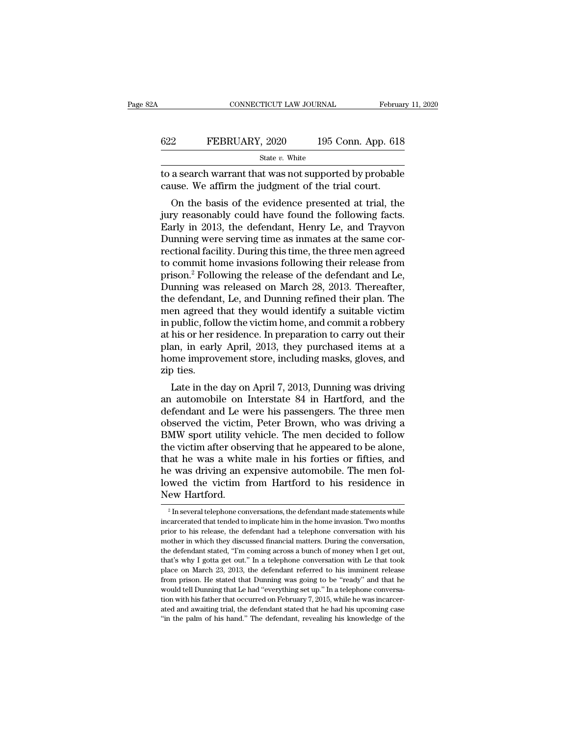|     | CONNECTICUT LAW JOURNAL                                                                                     | February 11, 2020  |
|-----|-------------------------------------------------------------------------------------------------------------|--------------------|
| 622 | FEBRUARY, 2020                                                                                              | 195 Conn. App. 618 |
|     | State v. White                                                                                              |                    |
|     | to a search warrant that was not supported by probable<br>cause. We affirm the judgment of the trial court. |                    |
|     | On the basis of the evidence presented at trial, the                                                        |                    |

**EXERUARY, 2020** 195 Conn. App. 618<br>
State v. White<br>
a search warrant that was not supported by probable<br>
use. We affirm the judgment of the trial court.<br>
On the basis of the evidence presented at trial, the<br>
ry reasonabl FEBRUARY, 2020 195 Conn. App. 618<br>  $\frac{\text{State } v. \text{ White}}{\text{to a search warrant that was not supported by probable}}$ <br>
cause. We affirm the judgment of the trial court.<br>
On the basis of the evidence presented at trial, the<br>
jury reasonably could have found the following fa State v. White<br>to a search warrant that was not supported by probable<br>cause. We affirm the judgment of the trial court.<br>On the basis of the evidence presented at trial, the<br>jury reasonably could have found the following f to a search warrant that was not supported by probable cause. We affirm the judgment of the trial court.<br>On the basis of the evidence presented at trial, the jury reasonably could have found the following facts.<br>Early in 2 to a search warrant that was not supported by probable<br>cause. We affirm the judgment of the trial court.<br>On the basis of the evidence presented at trial, the<br>jury reasonably could have found the following facts.<br>Early in 2 cause. We amirit the judgment of the trial court.<br>
On the basis of the evidence presented at trial, the<br>
jury reasonably could have found the following facts.<br>
Early in 2013, the defendant, Henry Le, and Trayvon<br>
Dunning w On the basis of the evidence presented at trial, the<br>jury reasonably could have found the following facts.<br>Early in 2013, the defendant, Henry Le, and Trayvon<br>Dunning were serving time as inmates at the same cor-<br>rectional jury reasonably could have found the following facts.<br>Early in 2013, the defendant, Henry Le, and Trayvon<br>Dunning were serving time as inmates at the same cor-<br>rectional facility. During this time, the three men agreed<br>to Early in 2013, the defendant, Henry Le, and Trayvon<br>Dunning were serving time as inmates at the same correctional facility. During this time, the three men agreed<br>to commit home invasions following their release from<br>priso Dunning were serving time as inmates at the same correctional facility. During this time, the three men agreed<br>to commit home invasions following their release from<br>prison.<sup>2</sup> Following the release of the defendant and Le, rectional facility. During this time, the three men agreed<br>to commit home invasions following their release from<br>prison.<sup>2</sup> Following the release of the defendant and Le,<br>Dunning was released on March 28, 2013. Thereafter, to commit home invasions following their release from<br>prison.<sup>2</sup> Following the release of the defendant and Le,<br>Dunning was released on March 28, 2013. Thereafter,<br>the defendant, Le, and Dunning refined their plan. The<br>men prison.<sup>2</sup> Following the release of the defendant and Le,<br>Dunning was released on March 28, 2013. Thereafter,<br>the defendant, Le, and Dunning refined their plan. The<br>men agreed that they would identify a suitable victim<br>in Dunning was released on March 28, 2013. Thereafter,<br>the defendant, Le, and Dunning refined their plan. The<br>men agreed that they would identify a suitable victim<br>in public, follow the victim home, and commit a robbery<br>at hi the defendan<br>men agreed i<br>in public, foll<br>at his or her 1<br>plan, in early<br>home improv<br>zip ties.<br>Late in the en agreed that they would identify a suitable victim<br>public, follow the victim home, and commit a robbery<br>his or her residence. In preparation to carry out their<br>an, in early April, 2013, they purchased items at a<br>me impro in public, follow the victim nome, and commit a robbery<br>at his or her residence. In preparation to carry out their<br>plan, in early April, 2013, they purchased items at a<br>home improvement store, including masks, gloves, and<br>

at fus or her residence. In preparation to carry out their<br>plan, in early April, 2013, they purchased items at a<br>home improvement store, including masks, gloves, and<br>zip ties.<br>Late in the day on April 7, 2013, Dunning was plan, in early April, 2013, they purchased items at a<br>home improvement store, including masks, gloves, and<br>zip ties.<br>Late in the day on April 7, 2013, Dunning was driving<br>an automobile on Interstate 84 in Hartford, and the nome improvement store, including masks, gloves, and<br>zip ties.<br>Late in the day on April 7, 2013, Dunning was driving<br>an automobile on Interstate 84 in Hartford, and the<br>defendant and Le were his passengers. The three men<br>o zip ties.<br>
Late in the day on April 7, 2013, Dunning was driving<br>
an automobile on Interstate 84 in Hartford, and the<br>
defendant and Le were his passengers. The three men<br>
observed the victim, Peter Brown, who was driving Late in the day on April 7, 2013, Dunning was driving<br>an automobile on Interstate 84 in Hartford, and the<br>defendant and Le were his passengers. The three men<br>observed the victim, Peter Brown, who was driving a<br>BMW sport ut an automobile on Interstate 84 in Hartford, and the<br>defendant and Le were his passengers. The three men<br>observed the victim, Peter Brown, who was driving a<br>BMW sport utility vehicle. The men decided to follow<br>the victim af defendant and Le were his passengers. The three men<br>observed the victim, Peter Brown, who was driving a<br>BMW sport utility vehicle. The men decided to follow<br>the victim after observing that he appeared to be alone,<br>that he observed the victim<br>BMW sport utility v<br>the victim after obse<br>that he was a white<br>he was driving an e<br>lowed the victim f<br>New Hartford. iat he was a white male in his forties or fifties, and<br>
2 was driving an expensive automobile. The men fol-<br>
wed the victim from Hartford to his residence in<br>
<sup>2</sup> Inseveral telephone conversations, the defendant made state he was driving an expensive automobile. The men followed the victim from Hartford to his residence in New Hartford.<br> $\frac{1}{2}$  In several telephone conversations, the defendant made statements while incarcerated that tende lowed the victim from Hartford to his residence in

motive the Vietnic Hold to the Testachce in New Hartford.<br>
<sup>2</sup> In several telephone conversations, the defendant made statements while<br>
incarcerated that tended to implicate him in the home invasion. Two months<br>
prior to h The defendant made statements while<br>  $\frac{1}{2}$  In several telephone conversations, the defendant made statements while<br>
pincarcerated that tended to implicate him in the home invasion. Two months<br>
prior to his release, th <sup>2</sup> In several telephone conversations, the defendant made statements while incarcerated that tended to implicate him in the home invasion. Two months prior to his release, the defendant had a telephone conversation with incarcerated that tended to implicate him in the home invasion. Two months prior to his release, the defendant had a telephone conversation with his mother in which they discussed financial matters. During the conversation from to his release, the defendant had a telephone conversation with his mother in which they discussed financial matters. During the conversation, the defendant stated, "I'm coming across a bunch of money when I get out, mother in which they discussed financial matters. During the conversation, the defendant stated, "I'm coming across a bunch of money when I get out, that's why I gotta get out." In a telephone conversation with Le that too the defendant stated, "I'm coming across a bunch of money when I get out, that's why I gotta get out." In a telephone conversation with Le that took place on March 23, 2013, the defendant referred to his imminent release f that's why I gotta get out." In a telephone conversation with Le that took<br>place on March 23, 2013, the defendant referred to his imminent release<br>from prison. He stated that Dunning was going to be "ready" and that he<br>wou place on March 23, 2013, the defendant referred to his imminent release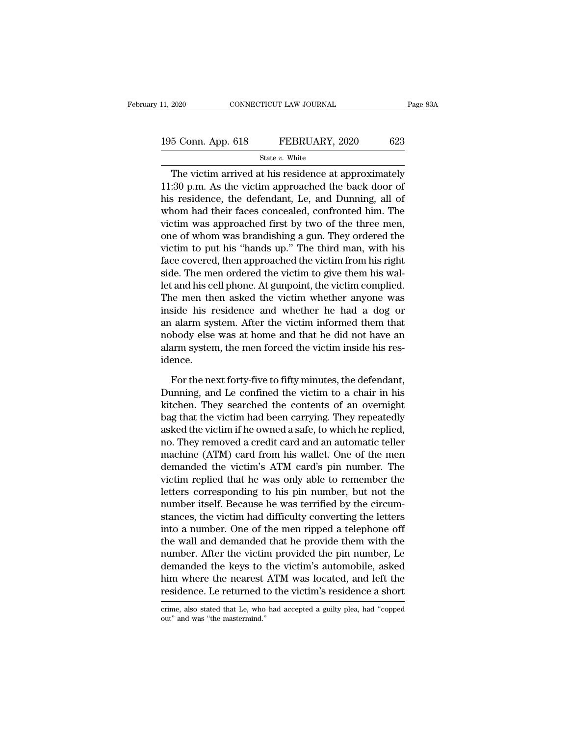| 11, 2020           | CONNECTICUT LAW JOURNAL |     | Page 83A |
|--------------------|-------------------------|-----|----------|
|                    |                         |     |          |
| 195 Conn. App. 618 | FEBRUARY, 2020          | 623 |          |
|                    | State $v$ . White       |     |          |

EXECT 2020 CONNECTICUT LAW JOURNAL Page 83A<br>
5 Conn. App. 618 FEBRUARY, 2020 623<br>
State v. White<br>
The victim arrived at his residence at approximately<br>
50 p.m. As the victim approached the back door of 195 Conn. App. 618 FEBRUARY, 2020 623<br>
State v. White<br>
The victim arrived at his residence at approximately<br>
11:30 p.m. As the victim approached the back door of<br>
his residence, the defendant, Le, and Dunning, all of<br>
whe 195 Conn. App. 618 FEBRUARY, 2020 623<br>
State v. White<br>
The victim arrived at his residence at approximately<br>
11:30 p.m. As the victim approached the back door of<br>
his residence, the defendant, Le, and Dunning, all of<br>
who 195 Conn. App. 618 FEBRUARY, 2020 623<br>
State v. White<br>
The victim arrived at his residence at approximately<br>
11:30 p.m. As the victim approached the back door of<br>
his residence, the defendant, Le, and Dunning, all of<br>
who State v. White<br>The victim arrived at his residence at approximately<br>11:30 p.m. As the victim approached the back door of<br>his residence, the defendant, Le, and Dunning, all of<br>whom had their faces concealed, confronted him The victim arrived at his residence at approximately<br>11:30 p.m. As the victim approached the back door of<br>his residence, the defendant, Le, and Dunning, all of<br>whom had their faces concealed, confronted him. The<br>victim wa The victim arrived at his residence at approximately<br>11:30 p.m. As the victim approached the back door of<br>his residence, the defendant, Le, and Dunning, all of<br>whom had their faces concealed, confronted him. The<br>victim was 11:30 p.m. As the victim approached the back door of<br>his residence, the defendant, Le, and Dunning, all of<br>whom had their faces concealed, confronted him. The<br>victim was approached first by two of the three men,<br>one of who his residence, the defendant, Le, and Dunning, all of<br>whom had their faces concealed, confronted him. The<br>victim was approached first by two of the three men,<br>one of whom was brandishing a gun. They ordered the<br>victim to p whom had their faces concealed, confronted him. The<br>victim was approached first by two of the three men,<br>one of whom was brandishing a gun. They ordered the<br>victim to put his "hands up." The third man, with his<br>face covere victim was approached first by two of the three men,<br>one of whom was brandishing a gun. They ordered the<br>victim to put his "hands up." The third man, with his<br>face covered, then approached the victim from his right<br>side. T one of whom was brandishing a gun. They ordered the<br>victim to put his "hands up." The third man, with his<br>face covered, then approached the victim from his right<br>side. The men ordered the victim to give them his wal-<br>let a victim to put his "hands up." The third man, with his<br>face covered, then approached the victim from his right<br>side. The men ordered the victim to give them his wal-<br>let and his cell phone. At gunpoint, the victim complied. face covered, then approached the victim from his right<br>side. The men ordered the victim to give them his wal-<br>let and his cell phone. At gunpoint, the victim complied.<br>The men then asked the victim whether anyone was<br>insi side. The men ordered the victim to give them his wallet and his cell phone. At gunpoint, the victim complied.<br>The men then asked the victim whether anyone was<br>inside his residence and whether he had a dog or<br>an alarm syst idence. side his residence and whether he had a dog or<br>alarm system. After the victim informed them that<br>body else was at home and that he did not have an<br>arm system, the men forced the victim inside his res-<br>ence.<br>For the next fo an alarm system. After the victim informed them that<br>nobody else was at home and that he did not have an<br>alarm system, the men forced the victim inside his res-<br>idence.<br>For the next forty-five to fifty minutes, the defenda

mobody else was at home and that he did not have an alarm system, the men forced the victim inside his residence.<br>For the next forty-five to fifty minutes, the defendant, Dunning, and Le confined the victim to a chair in h alarm system, the men forced the victim inside his residence.<br>For the next forty-five to fifty minutes, the defendant,<br>Dunning, and Le confined the victim to a chair in his<br>kitchen. They searched the contents of an overnig idence.<br>
For the next forty-five to fifty minutes, the defendant,<br>
Dunning, and Le confined the victim to a chair in his<br>
kitchen. They searched the contents of an overnight<br>
bag that the victim had been carrying. They rep For the next forty-five to fifty minutes, the defendant,<br>Dunning, and Le confined the victim to a chair in his<br>kitchen. They searched the contents of an overnight<br>bag that the victim had been carrying. They repeatedly<br>aske For the next forty-five to fifty minutes, the defendant,<br>Dunning, and Le confined the victim to a chair in his<br>kitchen. They searched the contents of an overnight<br>bag that the victim had been carrying. They repeatedly<br>aske Dunning, and Le confined the victim to a chair in his<br>kitchen. They searched the contents of an overnight<br>bag that the victim had been carrying. They repeatedly<br>asked the victim if he owned a safe, to which he replied,<br>no. kitchen. They searched the contents of an overnight<br>bag that the victim had been carrying. They repeatedly<br>asked the victim if he owned a safe, to which he replied,<br>no. They removed a credit card and an automatic teller<br>ma bag that the victim had been carrying. They repeatedly<br>asked the victim if he owned a safe, to which he replied,<br>no. They removed a credit card and an automatic teller<br>machine (ATM) card from his wallet. One of the men<br>dem asked the victim if he owned a safe, to which he replied,<br>no. They removed a credit card and an automatic teller<br>machine (ATM) card from his wallet. One of the men<br>demanded the victim's ATM card's pin number. The<br>victim re no. They removed a credit card and an automatic teller<br>machine (ATM) card from his wallet. One of the men<br>demanded the victim's ATM card's pin number. The<br>victim replied that he was only able to remember the<br>letters corres machine (ATM) card from his wallet. One of the men<br>demanded the victim's ATM card's pin number. The<br>victim replied that he was only able to remember the<br>letters corresponding to his pin number, but not the<br>number itself. B demanded the victim's ATM card's pin number. The<br>victim replied that he was only able to remember the<br>letters corresponding to his pin number, but not the<br>number itself. Because he was terrified by the circum-<br>stances, the victim replied that he was only able to remember the<br>letters corresponding to his pin number, but not the<br>number itself. Because he was terrified by the circum-<br>stances, the victim had difficulty converting the letters<br>int letters corresponding to his pin number, but not the<br>number itself. Because he was terrified by the circum-<br>stances, the victim had difficulty converting the letters<br>into a number. One of the men ripped a telephone off<br>the number itself. Because he was terrified by the circum-<br>stances, the victim had difficulty converting the letters<br>into a number. One of the men ripped a telephone off<br>the wall and demanded that he provide them with the<br>numb stances, the victim had difficulty converting the letters<br>into a number. One of the men ripped a telephone off<br>the wall and demanded that he provide them with the<br>number. After the victim provided the pin number, Le<br>demand number. After the victim provided the pin number, Le<br>demanded the keys to the victim's automobile, asked<br>him where the nearest ATM was located, and left the<br>residence. Le returned to the victim's residence a short<br>crime, a residence. Le returned to the victim's residence a short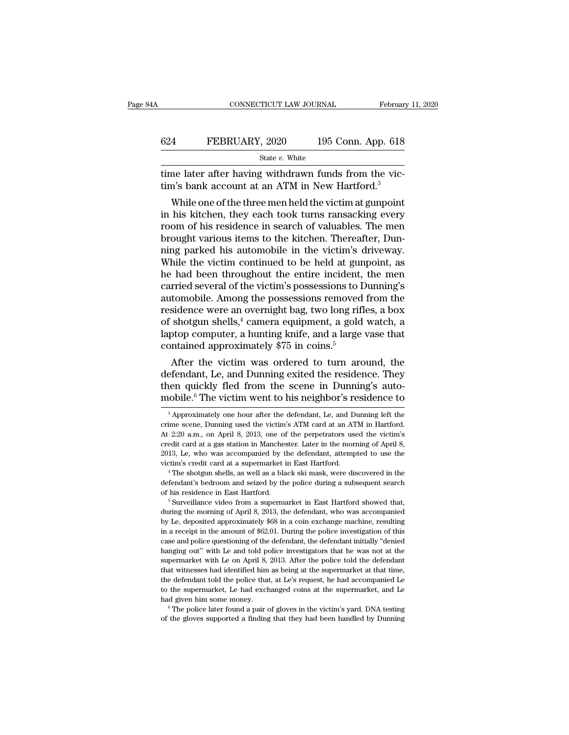|     | CONNECTICUT LAW JOURNAL                                                                                             | February 11, 2020  |
|-----|---------------------------------------------------------------------------------------------------------------------|--------------------|
| 624 | FEBRUARY, 2020                                                                                                      | 195 Conn. App. 618 |
|     | State v. White                                                                                                      |                    |
|     | time later after having withdrawn funds from the vic-<br>tim's bank account at an ATM in New Hartford. <sup>3</sup> |                    |
|     | While one of the three men held the victim at gunpoint                                                              |                    |

FEBRUARY, 2020 195 Conn. App. 618<br>
State v. White<br>
me later after having withdrawn funds from the vic-<br>
n's bank account at an ATM in New Hartford.<sup>3</sup><br>
While one of the three men held the victim at gunpoint<br>
his kitchen, 624 FEBRUARY, 2020 195 Conn. App. 618<br>
state v. White<br>
time later after having withdrawn funds from the vic-<br>
tim's bank account at an ATM in New Hartford.<sup>3</sup><br>
While one of the three men held the victim at gunpoint<br>
in hi State v. White<br>
time later after having withdrawn funds from the vic-<br>
tim's bank account at an ATM in New Hartford.<sup>3</sup><br>
While one of the three men held the victim at gunpoint<br>
in his kitchen, they each took turns ransack time later after having withdrawn funds from the victim's bank account at an ATM in New Hartford.<sup>3</sup><br>While one of the three men held the victim at gunpoint<br>in his kitchen, they each took turns ransacking every<br>room of his time later arter naving withdrawn runds from the victim's bank account at an ATM in New Hartford.<sup>3</sup><br>While one of the three men held the victim at gunpoint<br>in his kitchen, they each took turns ransacking every<br>room of his Um s bank account at an ATM in New Hartford."<br>While one of the three men held the victim at gunpoint<br>in his kitchen, they each took turns ransacking every<br>room of his residence in search of valuables. The men<br>brought vario While one of the three men held the victim at gunpoint<br>in his kitchen, they each took turns ransacking every<br>room of his residence in search of valuables. The men<br>brought various items to the kitchen. Thereafter, Dun-<br>ning in his kitchen, they each took turns ransacking every<br>room of his residence in search of valuables. The men<br>brought various items to the kitchen. Thereafter, Dun-<br>ning parked his automobile in the victim's driveway.<br>While room of his residence in search of valuables. The men<br>brought various items to the kitchen. Thereafter, Dun-<br>ning parked his automobile in the victim's driveway.<br>While the victim continued to be held at gunpoint, as<br>he had brought various items to the kitchen. Thereafter, Dunning parked his automobile in the victim's driveway.<br>While the victim continued to be held at gunpoint, as<br>he had been throughout the entire incident, the men<br>carried se ning parked his automobile in the victim's driveway.<br>While the victim continued to be held at gunpoint, as<br>he had been throughout the entire incident, the men<br>carried several of the victim's possessions to Dunning's<br>autom While the victim continued to be held at gunpoint, as<br>he had been throughout the entire incident, the men<br>carried several of the victim's possessions to Dunning's<br>automobile. Among the possessions removed from the<br>residen he had been throughout the entire incident, the men<br>carried several of the victim's possessions to Dunning's<br>automobile. Among the possessions removed from the<br>residence were an overnight bag, two long rifles, a box<br>of sh rried several of the victim s possessions to Duming s<br>tomobile. Among the possessions removed from the<br>sidence were an overnight bag, two long rifles, a box<br>shotgun shells,<sup>4</sup> camera equipment, a gold watch, a<br>otop compute automobile. Among the possessions removed from the<br>residence were an overnight bag, two long rifles, a box<br>of shotgun shells,<sup>4</sup> camera equipment, a gold watch, a<br>laptop computer, a hunting knife, and a large vase that<br>co

of shotgun shells,<sup>4</sup> camera equipment, a gold watch, a laptop computer, a hunting knife, and a large vase that contained approximately \$75 in coins.<sup>5</sup><br>After the victim was ordered to turn around, the defendant, Le, and of shotgun shells,<sup>2</sup> camera equipment, a gold watch, a<br>laptop computer, a hunting knife, and a large vase that<br>contained approximately \$75 in coins.<sup>5</sup><br>After the victim was ordered to turn around, the<br>defendant, Le, and After the victim was ordered to turn around, the efendant, Le, and Dunning exited the residence. They een quickly fled from the scene in Dunning's auto-<br>cobile.<sup>6</sup> The victim went to his neighbor's residence to  $\frac{3}{2}$  A defendant, Le, and Dunning exited the residence. They<br>then quickly fled from the scene in Dunning's auto-<br>mobile.<sup>6</sup> The victim went to his neighbor's residence to<br><sup>3</sup> Approximately one hour after the defendant, Le, and Du

Let m's credit card at a supermarket in East Hartford.<br>
<sup>4</sup> The shotgun shells, as well as a black ski mask, were discovered in the defendant's bedroom and seized by the police during a subsequent search of his residence The shotgun shells, as well as a black ski mask, were discovered in the defendant's bedroom and seized by the police during a subsequent search of his residence in East Hartford.<br>
<sup>5</sup> Surveillance video from a supermarket defendant's belroom and seized by the police during a subsequent search<br>of his residence in East Hartford.<br><sup>5</sup> Surveillance video from a supermarket in East Hartford showed that,<br>during the morning of April 8, 2013, the de of his residence in East Hartford.<br>
<sup>5</sup> Surveillance video from a supermarket in East Hartford showed that,<br>
during the morning of April 8, 2013, the defendant, who was accompanied<br>
by Le, deposited approximately \$68 in a <sup>5</sup> Surveillance video from a supermarket in East Hartford showed that, during the morning of April 8, 2013, the defendant, who was accompanied by Le, deposited approximately  $$68$  in a coin exchange machine, resulting in during the morning of April 8, 2013, the defendant, who was accompanied by Le, deposited approximately \$68 in a coin exchange machine, resulting in a receipt in the amount of \$62.01. During the police investigation of this by Le, deposited approximately \$68 in a coin exchange machine, resulting<br>in a receipt in the amount of \$62.01. During the police investigation of this<br>case and police questioning of the defendant, the defendant initially " the defendant of \$62.01. During the police investigation of this case and police questioning of the defendant, the defendant initially "denied hanging out" with Le and told police investigators that he was not at the supe the supermarket with Le and told police investigators that he was not at the supermarket with Le and told police investigators that he was not at the supermarket with Le on April 8, 2013. After the police told the defendan hanging out" with Le and told police investigators that he was not at the supermarket with Le on April 8, 2013. After the police told the defendant that witnesses had identified him as being at the supermarket at that time supermarket with Le on April 8, 2013. After the police told the defendant that witnesses had identified him as being at the supermarket at that time, the defendant told the police that, at Le's request, he had accompanied

then quickly fled from the scene in Dunning's auto-<br>mobile.<sup>6</sup> The victim went to his neighbor's residence to<br><sup>3</sup> Approximately one hour after the defendant, Le, and Dunning left the<br>crime scene, Dunning used the victim's mobile.<sup>6</sup> The victim went to his neighbor's residence to<br><sup>3</sup> Approximately one hour after the defendant, Le, and Dunning left the<br>crime scene, Dunning used the victim's ATM card at an ATM in Hartford.<br>At 2:20 a.m., on Ap **EXECUTE ANDEXECUTE IN EXECUTE WELL LO THE SET ALL AND THE SUPER CONSTANDING THE SUPER SUPPOSE THE SUPPOSE OF A ALL 2:20 a.m., on April 8, 2013, one of the perpetrators used the victim's credit card at a gas station in Ma** <sup>3</sup> Approximately one hour after the defendant, Le, and Dunning left the crime scene, Dunning used the victim's ATM card at an ATM in Hartford. At 2:20 a.m., on April 8, 2013, one of the perpetrators used the victim's cre At 2:20 a.m., on April 8, 2013, one of the perpetrators used the victim's credit card at a gas station in Manchester. Later in the morning of April 8, 2013, Le, who was accompanied by the defendant, attempted to use the vi of the cardit card at a gas station in Manchester. Later in the morning of April 8, 2013, Le, who was accompanied by the defendant, attempted to use the victim's credit card at a supermarket in East Hartford.<br>
<sup>4</sup> The shot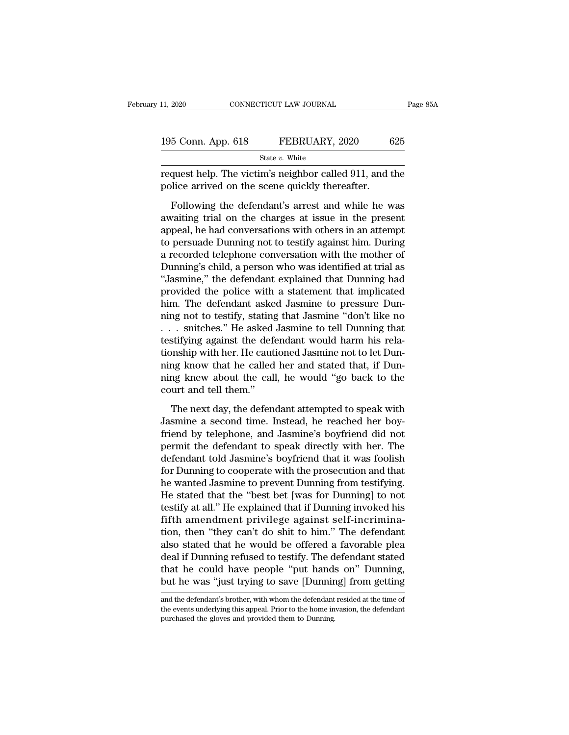| 11, 2020           | CONNECTICUT LAW JOURNAL |     | Page 85A |
|--------------------|-------------------------|-----|----------|
|                    |                         |     |          |
| 195 Conn. App. 618 | FEBRUARY, 2020          | 625 |          |
|                    | State $v$ . White       |     |          |

request help. The victim's neighbor called 911, and the police arrived on the scene quickly thereafter. 195 Conn. App. 618 FEBRUARY, 2020 6<br>
State v. White<br>
request help. The victim's neighbor called 911, and the scene quickly thereafter.<br>
Following the defendant's arrest and while he w

 $\frac{5 \text{ Conn. App. 618}}{\text{State } v. \text{ White}}$ <br>
State v. White<br>
quest help. The victim's neighbor called 911, and the<br>
lice arrived on the scene quickly thereafter.<br>
Following the defendant's arrest and while he was<br>
vaiting trial on the 195 Conn. App. 618 FEBRUARY, 2020 625<br>
State v. White<br>
request help. The victim's neighbor called 911, and the<br>
police arrived on the scene quickly thereafter.<br>
Following the defendant's arrest and while he was<br>
awaiting State v. White<br>
request help. The victim's neighbor called 911, and the<br>
police arrived on the scene quickly thereafter.<br>
Following the defendant's arrest and while he was<br>
awaiting trial on the charges at issue in the pr request help. The victim's neighbor called 911, and the<br>police arrived on the scene quickly thereafter.<br>Following the defendant's arrest and while he was<br>awaiting trial on the charges at issue in the present<br>appeal, he had police arrived on the scene quickly thereafter.<br>Following the defendant's arrest and while he was<br>awaiting trial on the charges at issue in the present<br>appeal, he had conversations with others in an attempt<br>to persuade Dun Following the defendant's arrest and while he was<br>awaiting trial on the charges at issue in the present<br>appeal, he had conversations with others in an attempt<br>to persuade Dunning not to testify against him. During<br>a record Following the defendant's arrest and while he was<br>awaiting trial on the charges at issue in the present<br>appeal, he had conversations with others in an attempt<br>to persuade Dunning not to testify against him. During<br>a record awaiting trial on the charges at issue in the present<br>appeal, he had conversations with others in an attempt<br>to persuade Dunning not to testify against him. During<br>a recorded telephone conversation with the mother of<br>Dunni appeal, he had conversations with others in an attempt<br>to persuade Dunning not to testify against him. During<br>a recorded telephone conversation with the mother of<br>Dunning's child, a person who was identified at trial as<br>"J to persuade Dunning not to testify against him. During<br>a recorded telephone conversation with the mother of<br>Dunning's child, a person who was identified at trial as<br>"Jasmine," the defendant explained that Dunning had<br>provi a recorded telephone conversation with the mother of<br>Dunning's child, a person who was identified at trial as<br>"Jasmine," the defendant explained that Dunning had<br>provided the police with a statement that implicated<br>him. Th Dunning's child, a person who was identified at trial as<br>"Jasmine," the defendant explained that Dunning had<br>provided the police with a statement that implicated<br>him. The defendant asked Jasmine to pressure Dun-<br>ning not t "Jasmine," the defendant explained that Dunning had<br>provided the police with a statement that implicated<br>him. The defendant asked Jasmine to pressure Dun-<br>ning not to testify, stating that Jasmine "don't like no<br> $\ldots$  sni provided the police with a statement that implicated<br>him. The defendant asked Jasmine to pressure Dun-<br>ning not to testify, stating that Jasmine "don't like no<br>... snitches." He asked Jasmine to tell Dunning that<br>testifyin him. The defendant asked Jasmine to pressure Dunning not to testify, stating that Jasmine "don't like no  $\ldots$  snitches." He asked Jasmine to tell Dunning that testifying against the defendant would harm his relationship ming not to testify, stating<br>  $\ldots$  snitches." He asked<br>
testifying against the defectionship with her. He caut<br>
ning know that he called<br>
ning knew about the call<br>
court and tell them."<br>
The next day, the defen stifying against the defendant would harm his rela-<br>onship with her. He cautioned Jasmine not to let Dun-<br>ng know that he called her and stated that, if Dun-<br>ng knew about the call, he would "go back to the<br>urt and tell th tionship with her. He cautioned Jasmine not to let Dunning know that he called her and stated that, if Dunning knew about the call, he would "go back to the court and tell them."<br>The next day, the defendant attempted to sp

ming know that he called her and stated that, if Dunning knew about the call, he would "go back to the court and tell them."<br>The next day, the defendant attempted to speak with Jasmine a second time. Instead, he reached he ning knew about the call, he would "go back to the<br>court and tell them."<br>The next day, the defendant attempted to speak with<br>Jasmine a second time. Instead, he reached her boy-<br>friend by telephone, and Jasmine's boyfriend ourt and tell them."<br>The next day, the defendant attempted to speak with<br>Jasmine'a second time. Instead, he reached her boy-<br>friend by telephone, and Jasmine's boyfriend did not<br>permit the defendant to speak directly with The next day, the defendant attempted to speak with<br>Jasmine a second time. Instead, he reached her boy-<br>friend by telephone, and Jasmine's boyfriend did not<br>permit the defendant to speak directly with her. The<br>defendant to The next day, the defendant attempted to speak with<br>Jasmine a second time. Instead, he reached her boy-<br>friend by telephone, and Jasmine's boyfriend did not<br>permit the defendant to speak directly with her. The<br>defendant to Jasmine a second time. Instead, he reached her boy-<br>friend by telephone, and Jasmine's boyfriend did not<br>permit the defendant to speak directly with her. The<br>defendant told Jasmine's boyfriend that it was foolish<br>for Dunni friend by telephone, and Jasmine's boyfriend did not<br>permit the defendant to speak directly with her. The<br>defendant told Jasmine's boyfriend that it was foolish<br>for Dunning to cooperate with the prosecution and that<br>he wan permit the defendant to speak directly with her. The defendant told Jasmine's boyfriend that it was foolish for Dunning to cooperate with the prosecution and that he wanted Jasmine to prevent Dunning from testifying. He st defendant told Jasmine's boyfriend that it was foolish<br>for Dunning to cooperate with the prosecution and that<br>he wanted Jasmine to prevent Dunning from testifying.<br>He stated that the "best bet [was for Dunning] to not<br>test for Dunning to cooperate with the prosecution and that<br>he wanted Jasmine to prevent Dunning from testifying.<br>He stated that the "best bet [was for Dunning] to not<br>testify at all." He explained that if Dunning invoked his<br>f he wanted Jasmine to prevent Dunning from testifying.<br>He stated that the "best bet [was for Dunning] to not<br>testify at all." He explained that if Dunning invoked his<br>fifth amendment privilege against self-incrimina-<br>tion, He stated that the "best bet [was for Dunning] to not<br>testify at all." He explained that if Dunning invoked his<br>fifth amendment privilege against self-incrimina-<br>tion, then "they can't do shit to him." The defendant<br>also s testify at all." He explained that if Dunning invoked his<br>fifth amendment privilege against self-incrimina-<br>tion, then "they can't do shit to him." The defendant<br>also stated that he would be offered a favorable plea<br>deal i and the defendant is brother, with whom the defendant resided at the time of the events underlying to save [Dunning] from getting and the defendant's brother, with whom the defendant resided at the time of the events under deal if Dunning refused to testify. The defendant stated<br>that he could have people "put hands on" Dunning,<br>but he was "just trying to save [Dunning] from getting<br>and the defendant's brother, with whom the defendant resided that he could have people "put hands<br>but he was "just trying to save [Dunning<br>and the defendant's brother, with whom the defendant<br>the events underlying this appeal. Prior to the home in<br>purchased the gloves and provided t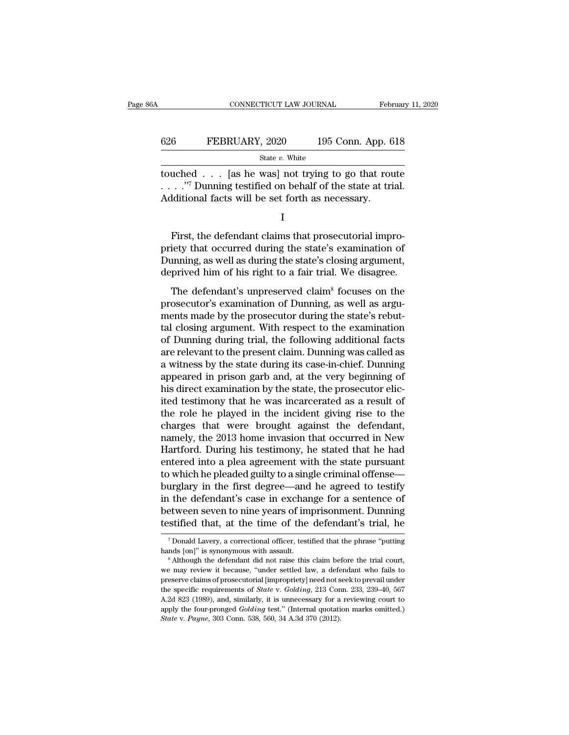|     | CONNECTICUT LAW JOURNAL |                    | February 11, 2020 |
|-----|-------------------------|--------------------|-------------------|
| 626 | FEBRUARY, 2020          | 195 Conn. App. 618 |                   |
|     | State $v$ . White       |                    |                   |

CONNECTICUT LAW JOURNAL February 11, 2020<br>
FEBRUARY, 2020 195 Conn. App. 618<br>
State v. White<br>
touched . . . [as he was] not trying to go that route<br>
. . . . . "7 Dunning testified on behalf of the state at trial. 626 FEBRUARY, 2020 195 Conn. App. 618<br>
State v. White<br>
touched . . . [as he was] not trying to go that route<br>
. . . . ."<sup>7</sup> Dunning testified on behalf of the state at trial.<br>
Additional facts will be set forth as necessa Additional facts will be set forth as necessary. First, the defendant claims that prosecutorial impro-<br>integral in the defendant claims that prosecutorial impro-<br>integral impro-<br>integral impro-<br>integral impro-<br>integral impro-<br>integral impro-<br>integral impro-<br>integral imp

I

provided during testified on behalf of the state at trial.<br>
Additional facts will be set forth as necessary.<br>  $I$ <br>
First, the defendant claims that prosecutorial impropriety that occurred during the state's examination of . . . . ." Dunning testified on behalf of the state at trial.<br>Additional facts will be set forth as necessary.<br>I<br>First, the defendant claims that prosecutorial impro-<br>priety that occurred during the state's examination of<br> Additional facts will be set forth as necessary.<br>
I<br>
First, the defendant claims that prosecutorial impro-<br>
priety that occurred during the state's examination of<br>
Dunning, as well as during the state's closing argument,<br> I<br>First, the defendant claims that prosecutorial impro-<br>iety that occurred during the state's examination of<br>inning, as well as during the state's closing argument,<br>prived him of his right to a fair trial. We disagree.<br>The First, the defendant claims that prosecutorial impro-<br>priety that occurred during the state's examination of<br>Dunning, as well as during the state's closing argument,<br>deprived him of his right to a fair trial. We disagree.<br>

The, the deterministic chains and proceeds in inpropriety that occurred during the state's examination of Dunning, as well as during the state's closing argument, deprived him of his right to a fair trial. We disagree.<br>The pricty and occurred daring the state's chammation of<br>Dunning, as well as during the state's closing argument,<br>deprived him of his right to a fair trial. We disagree.<br>The defendant's unpreserved claim<sup>8</sup> focuses on the<br>pros Duning, as wen as during the state 5 closing argument,<br>deprived him of his right to a fair trial. We disagree.<br>The defendant's unpreserved claim<sup>8</sup> focuses on the<br>prosecutor's examination of Dunning, as well as argu-<br>ments The defendant's unpreserved claim<sup>8</sup> focuses on the<br>prosecutor's examination of Dunning, as well as argu-<br>ments made by the prosecutor during the state's rebut-<br>tal closing argument. With respect to the examination<br>of Dunn The defendant's unpreserved claim<sup>8</sup> focuses on the<br>prosecutor's examination of Dunning, as well as argu-<br>ments made by the prosecutor during the state's rebut-<br>tal closing argument. With respect to the examination<br>of Dunn prosecutor's examination of Dunning, as well as arguments made by the prosecutor during the state's rebuttal closing argument. With respect to the examination of Dunning during trial, the following additional facts are rel ments made by the prosecutor during the state's rebuttal closing argument. With respect to the examination of Dunning during trial, the following additional facts are relevant to the present claim. Dunning was called as a tal closing argument. With respect to the examination<br>of Dunning during trial, the following additional facts<br>are relevant to the present claim. Dunning was called as<br>a witness by the state during its case-in-chief. Dunnin of Dunning during trial, the following additional facts<br>are relevant to the present claim. Dunning was called as<br>a witness by the state during its case-in-chief. Dunning<br>appeared in prison garb and, at the very beginning o are relevant to the present claim. Dunning was called as<br>a witness by the state during its case-in-chief. Dunning<br>appeared in prison garb and, at the very beginning of<br>his direct examination by the state, the prosecutor el a witness by the state during its case-in-chief. Dunning<br>appeared in prison garb and, at the very beginning of<br>his direct examination by the state, the prosecutor elic-<br>ited testimony that he was incarcerated as a result o appeared in prison garb and, at the very beginning of<br>his direct examination by the state, the prosecutor elic-<br>ited testimony that he was incarcerated as a result of<br>the role he played in the incident giving rise to the<br>c his direct examination by the state, the prosecutor elicited testimony that he was incarcerated as a result of<br>the role he played in the incident giving rise to the<br>charges that were brought against the defendant,<br>namely, ited testimony that he was incarcerated as a result of<br>the role he played in the incident giving rise to the<br>charges that were brought against the defendant,<br>namely, the 2013 home invasion that occurred in New<br>Hartford. Du the role he played in the incident giving rise to the charges that were brought against the defendant, namely, the 2013 home invasion that occurred in New Hartford. During his testimony, he stated that he had entered into charges that were brought against the defendant,<br>namely, the 2013 home invasion that occurred in New<br>Hartford. During his testimony, he stated that he had<br>entered into a plea agreement with the state pursuant<br>to which he p namely, the 2013 home invasion that occurred in New<br>Hartford. During his testimony, he stated that he had<br>entered into a plea agreement with the state pursuant<br>to which he pleaded guilty to a single criminal offense—<br>burgl Hartford. During his testimony, he stated that he had<br>entered into a plea agreement with the state pursuant<br>to which he pleaded guilty to a single criminal offense—<br>burglary in the first degree—and he agreed to testify<br>in In the first degree—and he agreed to testify<br>
I the defendant's case in exchange for a sentence of<br>
Etween seven to nine years of imprisonment. Dunning<br>
stified that, at the time of the defendant's trial, he<br>
Tonald Lavery in the defendant's case in exchange for a sentence of between seven to nine years of imprisonment. Dunning testified that, at the time of the defendant's trial, he  $\frac{1}{\pi}$  bonald Lavery, a correctional officer, testifi

Experiment because of the defendant's trial, he<br>
Tonald Lavery, a correctional officer, testified that the phrase "putting<br>
hands [on]" is synonymous with assault.<br>
<sup>8</sup> Although the defendant did not raise this claim befor <sup>7</sup> Donald Lavery, a correctional officer, testified that the phrase "putting hands [on]" is synonymous with assault. <sup>8</sup> Although the defendant did not raise this claim before the trial court, we may review it because, " <sup>7</sup> Donald Lavery, a correctional officer, testified that the phrase "putting hands [on]" is synonymous with assault.<br><sup>8</sup> Although the defendant did not raise this claim before the trial court, we may review it because, " hands [on]" is synonymous with assault.<br>
<sup>8</sup> Although the defendant did not raise this claim before the trial court,<br>
we may review it because, "under settled law, a defendant who fails to<br>
preserve claims of prosecutorial <sup>a</sup> Although the defendant did not raise this claim before the trial court, we may review it because, "under settled law, a defendant who fails to preserve claims of prosecutorial [impropriety] need not seek to prevail und *State* v. *Paynesis* we may review it because, "under settled law, a deference claims of prosecutorial [impropriety] need not sthe specific requirements of *State* v. *Golding*, 213 Con A.2d 823 (1989), and, similarly, it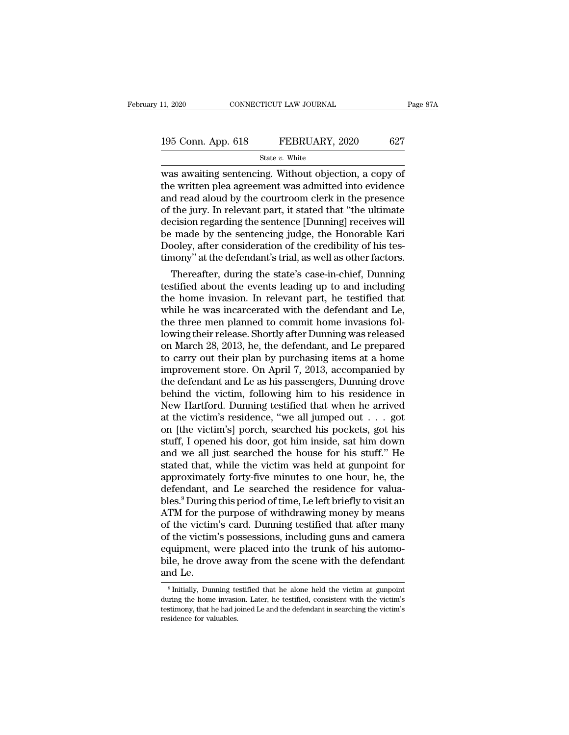| 11, 2020           | CONNECTICUT LAW JOURNAL | Page 87A |
|--------------------|-------------------------|----------|
| 195 Conn. App. 618 | FEBRUARY, 2020          | 627      |
|                    | State $v$ . White       |          |

EXERCIAN SOURNAL Page 871<br>
195 Conn. App. 618 FEBRUARY, 2020 627<br>
State v. White<br>
was awaiting sentencing. Without objection, a copy of<br>
the written plea agreement was admitted into evidence<br>
and road aloud by the courtroo 195 Conn. App. 618 FEBRUARY, 2020 627<br>
State v. White<br>
was awaiting sentencing. Without objection, a copy of<br>
the written plea agreement was admitted into evidence<br>
and read aloud by the courtroom clerk in the presence<br>
o 195 Conn. App. 618 FEBRUARY, 2020 627<br>
State v. White<br>
was awaiting sentencing. Without objection, a copy of<br>
the written plea agreement was admitted into evidence<br>
and read aloud by the courtroom clerk in the presence<br>
o 195 Conn. App. 618 FEBRUARY, 2020 627<br>
State  $v$ . White<br>
was awaiting sentencing. Without objection, a copy of<br>
the written plea agreement was admitted into evidence<br>
and read aloud by the courtroom clerk in the presence<br> State v. White<br>
was awaiting sentencing. Without objection, a copy of<br>
the written plea agreement was admitted into evidence<br>
and read aloud by the courtroom clerk in the presence<br>
of the jury. In relevant part, it stated state v. White<br>was awaiting sentencing. Without objection, a copy of<br>the written plea agreement was admitted into evidence<br>and read aloud by the courtroom clerk in the presence<br>of the jury. In relevant part, it stated tha was awaiting sentencing. Without objection, a copy of<br>the written plea agreement was admitted into evidence<br>and read aloud by the courtroom clerk in the presence<br>of the jury. In relevant part, it stated that "the ultimate<br> the written plea agreement was admitted into evidence<br>and read aloud by the courtroom clerk in the presence<br>of the jury. In relevant part, it stated that "the ultimate<br>decision regarding the sentence [Dunning] receives wil d read aloud by the courtroom clerk in the presence<br>the jury. In relevant part, it stated that "the ultimate<br>cision regarding the sentence [Dunning] receives will<br>made by the sentencing judge, the Honorable Kari<br>poley, aft or the jury. In relevant part, it stated that the ultimate<br>decision regarding the sentence [Dunning] receives will<br>be made by the sentencing judge, the Honorable Kari<br>Dooley, after consideration of the credibility of his t

decision regarding the sentence [Dunning] receives will<br>be made by the sentencing judge, the Honorable Kari<br>Dooley, after consideration of the credibility of his tes-<br>timony" at the defendant's trial, as well as other fact be made by the sentencing judge, the Honorable Karl<br>Dooley, after consideration of the credibility of his tes-<br>timony" at the defendant's trial, as well as other factors.<br>Thereafter, during the state's case-in-chief, Dunni Dooley, after consideration of the credibility of his tes-<br>timony" at the defendant's trial, as well as other factors.<br>Thereafter, during the state's case-in-chief, Dunning<br>testified about the events leading up to and incl the unity of their plan by purchasing itoms at a homomorphic formulation of their plan by the defendant and Le<br>their field about the events leading up to and including<br>the home invasion. In relevant part, he testified that Thereafter, during the state's case-in-chief, Dunning<br>testified about the events leading up to and including<br>the home invasion. In relevant part, he testified that<br>while he was incarcerated with the defendant and Le,<br>the testified about the events leading up to and including<br>the home invasion. In relevant part, he testified that<br>while he was incarcerated with the defendant and Le,<br>the three men planned to commit home invasions fol-<br>lowing the home invasion. In relevant part, he testified that<br>while he was incarcerated with the defendant and Le,<br>the three men planned to commit home invasions fol-<br>lowing their release. Shortly after Dunning was released<br>on Ma while he was incarcerated with the defendant and Le,<br>the three men planned to commit home invasions fol-<br>lowing their release. Shortly after Dunning was released<br>on March 28, 2013, he, the defendant, and Le prepared<br>to car the three men planned to commit home invasions following their release. Shortly after Dunning was released<br>on March 28, 2013, he, the defendant, and Le prepared<br>to carry out their plan by purchasing items at a home<br>improve lowing their release. Shortly after Dunning was released<br>on March 28, 2013, he, the defendant, and Le prepared<br>to carry out their plan by purchasing items at a home<br>improvement store. On April 7, 2013, accompanied by<br>the d on March 28, 2013, he, the defendant, and Le prepared<br>to carry out their plan by purchasing items at a home<br>improvement store. On April 7, 2013, accompanied by<br>the defendant and Le as his passengers, Dunning drove<br>behind t to carry out their plan by purchasing items at a home<br>improvement store. On April 7, 2013, accompanied by<br>the defendant and Le as his passengers, Dunning drove<br>behind the victim, following him to his residence in<br>New Hartf improvement store. On April 7, 2013, accompanied by<br>the defendant and Le as his passengers, Dunning drove<br>behind the victim, following him to his residence in<br>New Hartford. Dunning testified that when he arrived<br>at the vic the defendant and Le as his passengers, Dunning drove<br>behind the victim, following him to his residence in<br>New Hartford. Dunning testified that when he arrived<br>at the victim's residence, "we all jumped out . . . got<br>on [th behind the victim, following him to his residence in<br>New Hartford. Dunning testified that when he arrived<br>at the victim's residence, "we all jumped out  $\ldots$  got<br>on [the victim's] porch, searched his pockets, got his<br>stuf New Hartford. Dunning testified that when he arrived<br>at the victim's residence, "we all jumped out  $\ldots$  got<br>on [the victim's] porch, searched his pockets, got his<br>stuff, I opened his door, got him inside, sat him down<br>an at the victim's residence, "we all jumped out . . . got<br>on [the victim's] porch, searched his pockets, got his<br>stuff, I opened his door, got him inside, sat him down<br>and we all just searched the house for his stuff." He<br>s on [the victim's] porch, searched his pockets, got his<br>stuff, I opened his door, got him inside, sat him down<br>and we all just searched the house for his stuff." He<br>stated that, while the victim was held at gunpoint for<br>app stuff, I opened his door, got him inside, sat him down<br>and we all just searched the house for his stuff." He<br>stated that, while the victim was held at gunpoint for<br>approximately forty-five minutes to one hour, he, the<br>defe and we all just searched the house for his stuff." He<br>stated that, while the victim was held at gunpoint for<br>approximately forty-five minutes to one hour, he, the<br>defendant, and Le searched the residence for valua-<br>bles.<sup>9</sup> stated that, while the victim was held at gunpoint for<br>approximately forty-five minutes to one hour, he, the<br>defendant, and Le searched the residence for valua-<br>bles.<sup>9</sup> During this period of time, Le left briefly to visit approximately forty-five minutes to one hour, he, the<br>defendant, and Le searched the residence for valua-<br>bles.<sup>9</sup> During this period of time, Le left briefly to visit an<br>ATM for the purpose of withdrawing money by means<br>o defendant, and Le searched the residence for valua-<br>bles.<sup>9</sup> During this period of time, Le left briefly to visit an<br>ATM for the purpose of withdrawing money by means<br>of the victim's card. Dunning testified that after many bles.<sup>9</sup> During<br>ATM for the<br>of the victim<br>of the victim<br>equipment, v<br>bile, he drov<br>and Le. f the victim's possessions, including guns and camera<br>quipment, were placed into the trunk of his automo-<br>ile, he drove away from the scene with the defendant<br>and Le.<br><sup>9</sup> Initially, Dunning testified that he alone held the equipment, were placed into the trunk of his automobile, he drove away from the scene with the defendant and Le.<br><sup>9</sup> Initially, Dunning testified that he alone held the victim at gunpoint during the home invasion. Later, h

bile, he drove away from the scene with the defendant and Le.<br>
<sup>9</sup> Initially, Dunning testified that he alone held the victim at gunpoint during the home invasion. Later, he testified, consistent with the victim's testimon EVEC, The CITOVE and CHEC.<br>
<sup>9</sup> Initially, Dunning te<br>
during the home invasion<br>
testimony, that he had journal residence for valuables.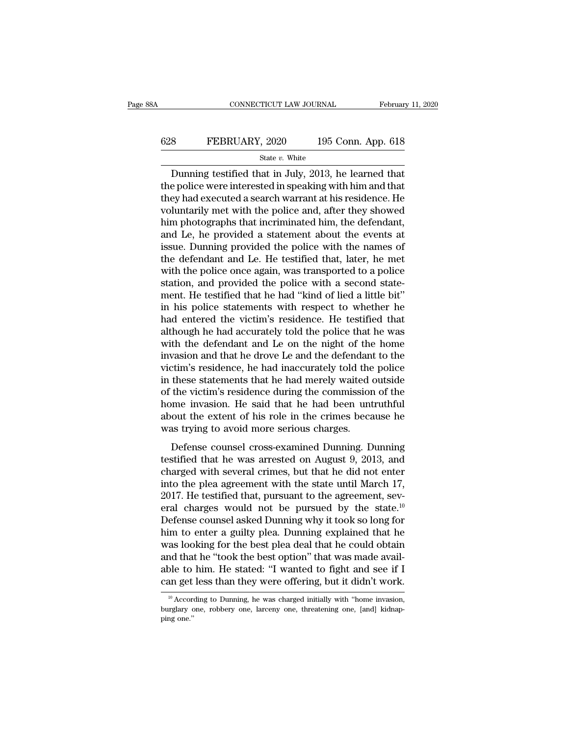## CONNECTICUT LAW JOURNAL February 11, 2020<br>628 FEBRUARY, 2020 195 Conn. App. 618<br>5tate v. White State *v.* White

CONNECTICUT LAW JOURNAL February 11, 2020<br>
State v. White<br>
Dunning testified that in July, 2013, he learned that<br>
e police were interested in speaking with him and that<br>
e police were interested in speaking with him and th EXEMBRUARY, 2020 195 Conn. App. 618<br>
State v. White<br>
Dunning testified that in July, 2013, he learned that<br>
the police were interested in speaking with him and that<br>
they had executed a search warrant at his residence. He FEBRUARY, 2020 195 Conn. App. 618<br>
State v. White<br>
Dunning testified that in July, 2013, he learned that<br>
the police were interested in speaking with him and that<br>
they had executed a search warrant at his residence. He<br> EBRUARY, 2020 195 Conn. App. 618<br>
State v. White<br>
Dunning testified that in July, 2013, he learned that<br>
the police were interested in speaking with him and that<br>
they had executed a search warrant at his residence. He<br>
v State *v*. White<br>
Dunning testified that in July, 2013, he learned that<br>
the police were interested in speaking with him and that<br>
they had executed a search warrant at his residence. He<br>
voluntarily met with the police a State v. White<br>
Dunning testified that in July, 2013, he learned that<br>
the police were interested in speaking with him and that<br>
they had executed a search warrant at his residence. He<br>
voluntarily met with the police and Dunning testified that in July, 2013, he learned that<br>the police were interested in speaking with him and that<br>they had executed a search warrant at his residence. He<br>voluntarily met with the police and, after they showed<br> the police were interested in speaking with him and that<br>they had executed a search warrant at his residence. He<br>voluntarily met with the police and, after they showed<br>him photographs that incriminated him, the defendant,<br> they had executed a search warrant at his residence. He<br>voluntarily met with the police and, after they showed<br>him photographs that incriminated him, the defendant,<br>and Le, he provided a statement about the events at<br>issue voluntarily met with the police and, after they showed<br>him photographs that incriminated him, the defendant,<br>and Le, he provided a statement about the events at<br>issue. Dunning provided the police with the names of<br>the defe him photographs that incriminated him, the defendant,<br>and Le, he provided a statement about the events at<br>issue. Dunning provided the police with the names of<br>the defendant and Le. He testified that, later, he met<br>with the and Le, he provided a statement about the events at issue. Dunning provided the police with the names of the defendant and Le. He testified that, later, he met with the police once again, was transported to a police statio issue. Dunning provided the police with the names of<br>the defendant and Le. He testified that, later, he met<br>with the police once again, was transported to a police<br>station, and provided the police with a second state-<br>ment the defendant and Le. He testified that, later, he met<br>with the police once again, was transported to a police<br>station, and provided the police with a second state-<br>ment. He testified that he had "kind of lied a little bit with the police once again, was transported to a police<br>station, and provided the police with a second state-<br>ment. He testified that he had "kind of lied a little bit"<br>in his police statements with respect to whether he<br>h station, and provided the police with a second statement. He testified that he had "kind of lied a little bit"<br>in his police statements with respect to whether he<br>had entered the victim's residence. He testified that<br>altho ment. He testified that he had "kind of lied a little bit"<br>in his police statements with respect to whether he<br>had entered the victim's residence. He testified that<br>although he had accurately told the police that he was<br>wi in his police statements with respect to whether he<br>had entered the victim's residence. He testified that<br>although he had accurately told the police that he was<br>with the defendant and Le on the night of the home<br>invasion a had entered the victim's residence. He testified that<br>although he had accurately told the police that he was<br>with the defendant and Le on the night of the home<br>invasion and that he drove Le and the defendant to the<br>victim' although he had accurately told the police that he was<br>with the defendant and Le on the night of the home<br>invasion and that he drove Le and the defendant to the<br>victim's residence, he had inaccurately told the police<br>in th with the defendant and Le on the night of the home<br>invasion and that he drove Le and the defendant to the<br>victim's residence, he had inaccurately told the police<br>in these statements that he had merely waited outside<br>of the invasion and that he drove Le and the defendant victim's residence, he had inaccurately told the in these statements that he had merely waited of the victim's residence during the commission home invasion. He said that he Estate counsel cross-examined burstide the victim's residence during the commission of the<br>me invasion. He said that he had been untruthful<br>out the extent of his role in the crimes because he<br>as trying to avoid more seriou the victim's residence during the commission of the<br>of the victim's residence during the commission of the<br>home invasion. He said that he had been untruthful<br>about the extent of his role in the crimes because he<br>was trying

or are viesness restactive during are commission of are<br>home invasion. He said that he had been untruthful<br>about the extent of his role in the crimes because he<br>was trying to avoid more serious charges.<br>Defense counsel cro about the extent of his role in the crimes because he<br>was trying to avoid more serious charges.<br>Defense counsel cross-examined Dunning. Dunning<br>testified that he was arrested on August 9, 2013, and<br>charged with several cr 2017. He testified that, pursuant to the section of the series of the was trying to avoid more serious charges.<br>Defense counsel cross-examined Dunning. Dunning testified that he was arrested on August 9, 2013, and charged Defense counsel cross-examined Dunning. Dunning<br>testified that he was arrested on August 9, 2013, and<br>charged with several crimes, but that he did not enter<br>into the plea agreement with the state until March 17,<br>2017. He Defense counsel cross-examined Dunning. Dunning<br>testified that he was arrested on August 9, 2013, and<br>charged with several crimes, but that he did not enter<br>into the plea agreement with the state until March 17,<br>2017. He t testified that he was arrested on August 9, 2013, and<br>charged with several crimes, but that he did not enter<br>into the plea agreement with the state until March 17,<br>2017. He testified that, pursuant to the agreement, sev-<br>e charged with several crimes, but that he did not enter<br>into the plea agreement with the state until March 17,<br>2017. He testified that, pursuant to the agreement, sev-<br>eral charges would not be pursued by the state.<sup>10</sup><br>Def into the plea agreement with the state until March 17,<br>2017. He testified that, pursuant to the agreement, sev-<br>eral charges would not be pursued by the state.<sup>10</sup><br>Defense counsel asked Dunning why it took so long for<br>him 2017. He testified that, pursuant to the agreement, several charges would not be pursued by the state.<sup>10</sup><br>Defense counsel asked Dunning why it took so long for<br>him to enter a guilty plea. Dunning explained that he<br>was loo eral charges would not be pursued by the state.<sup>10</sup><br>Defense counsel asked Dunning why it took so long for<br>him to enter a guilty plea. Dunning explained that he<br>was looking for the best plea deal that he could obtain<br>and t as looking for the best plea deal that he could obtain<br>he to him. He stated: "I wanted to fight and see if I<br>an get less than they were offering, but it didn't work.<br><sup>10</sup> According to Dunning, he was charged initially with and that he "took the best option" that was made available to him. He stated: "I wanted to fight and see if I can get less than they were offering, but it didn't work.<br>
<sup>10</sup> According to Dunning, he was charged initially w

able to<br>can get<br> $\frac{10}{10}$  Accord<br>burglary c<br>ping one.''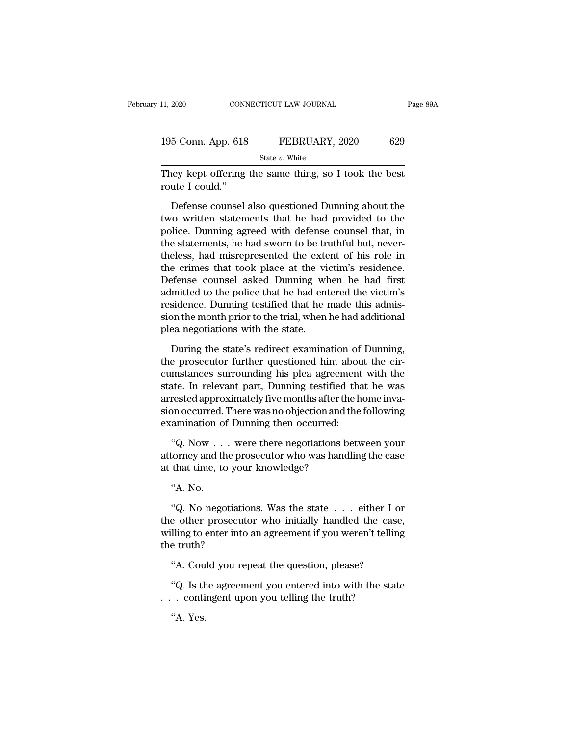| 11, 2020           | CONNECTICUT LAW JOURNAL | Page 89A |
|--------------------|-------------------------|----------|
| 195 Conn. App. 618 | FEBRUARY, 2020          | 629      |
|                    | State $v$ . White       |          |

They kept offering the same thing, so I took the best<br>They kept offering the same thing, so I took the best<br>They kept offering the same thing, so I took the best<br>Toute I could." 195 Conn. App. 618<br>They kept offering<br>route I could.''<br>Defense counsel

 $\frac{5 \text{ Conn. App. 618}}{\text{State } v. \text{ White}}$ <br>  $\frac{\text{State } v. \text{ White}}{\text{Set } v. \text{ White}}$ <br>  $\frac{1}{2}$ <br>  $\frac{1}{2}$ <br>  $\frac{1}{2}$ <br>  $\frac{1}{2}$ <br>  $\frac{1}{2}$ <br>  $\frac{1}{2}$ <br>  $\frac{1}{2}$ <br>  $\frac{1}{2}$ <br>  $\frac{1}{2}$ <br>  $\frac{1}{2}$ <br>  $\frac{1}{2}$ <br>  $\frac{1}{2}$ <br>  $\frac{1}{2}$ <br>  $\frac{1}{2}$ <br>  $\frac{1$ They kept offering the same thing, so I took the best<br>They kept offering the same thing, so I took the best<br>route I could."<br>Defense counsel also questioned Dunning about the<br>two written statements that he had provided to State  $v$ . White<br>They kept offering the same thing, so I took the best<br>route I could."<br>Defense counsel also questioned Dunning about the<br>two written statements that he had provided to the<br>police. Dunning agreed with defen They kept offering the same thing, so I took the best<br>route I could."<br>Defense counsel also questioned Dunning about the<br>two written statements that he had provided to the<br>police. Dunning agreed with defense counsel that, i Fraction Could."<br>
Defense counsel also questioned Dunning about the<br>
two written statements that he had provided to the<br>
police. Dunning agreed with defense counsel that, in<br>
the statements, he had sworn to be truthful but Defense counsel also questioned Dunning about the<br>two written statements that he had provided to the<br>police. Dunning agreed with defense counsel that, in<br>the statements, he had sworn to be truthful but, never-<br>theless, had Defense counsel also questioned Dunning about the<br>two written statements that he had provided to the<br>police. Dunning agreed with defense counsel that, in<br>the statements, he had sworn to be truthful but, never-<br>theless, had two written statements that he had provided to the<br>police. Dunning agreed with defense counsel that, in<br>the statements, he had sworn to be truthful but, never-<br>theless, had misrepresented the extent of his role in<br>the crim police. Dunning agreed with defense counsel that, in<br>the statements, he had sworn to be truthful but, never-<br>theless, had misrepresented the extent of his role in<br>the crimes that took place at the victim's residence.<br>Defen the statements, he had sworn to be truthful but, never-<br>theless, had misrepresented the extent of his role in<br>the crimes that took place at the victim's residence.<br>Defense counsel asked Dunning when he had first<br>admitted t theless, had misrepresented the externe that took place at the vi<br>Defense counsel asked Dunning wh<br>admitted to the police that he had ent<br>residence. Dunning testified that he i<br>sion the month prior to the trial, when<br>plea efense counsel asked Dunning when he had first<br>mitted to the police that he had entered the victim's<br>sidence. Dunning testified that he made this admis-<br>on the month prior to the trial, when he had additional<br>ea negotiatio admitted to the police that he had entered the victim's<br>residence. Dunning testified that he made this admis-<br>sion the month prior to the trial, when he had additional<br>plea negotiations with the state.<br>During the state's r

residence. Dunning testified that he made this admission the month prior to the trial, when he had additional<br>plea negotiations with the state.<br>During the state's redirect examination of Dunning,<br>the prosecutor further que sion the month prior to the trial, when he had additional<br>plea negotiations with the state.<br>During the state's redirect examination of Dunning,<br>the prosecutor further questioned him about the cir-<br>cumstances surrounding hi plea negotiations with the state.<br>
During the state's redirect examination of Dunning,<br>
the prosecutor further questioned him about the cir-<br>
cumstances surrounding his plea agreement with the<br>
state. In relevant part, Dun During the state's redirect examination of Dunning,<br>the prosecutor further questioned him about the cir-<br>cumstances surrounding his plea agreement with the<br>state. In relevant part, Dunning testified that he was<br>arrested ap During the state's redirect examination of<br>the prosecutor further questioned him abou<br>cumstances surrounding his plea agreement<br>state. In relevant part, Dunning testified tha<br>arrested approximately five months after the h<br> mstances surrounding his plea agreement with the<br>te. In relevant part, Dunning testified that he was<br>rested approximately five months after the home inva-<br>on occurred. There was no objection and the following<br>amination of state. In relevant part, Dunning testified that he was<br>arrested approximately five months after the home inva-<br>sion occurred. There was no objection and the following<br>examination of Dunning then occurred:<br>"Q. Now . . . wer arrested approximately five months after th<br>sion occurred. There was no objection and t<br>examination of Dunning then occurred:<br>"Q. Now . . . were there negotiations b<br>attorney and the prosecutor who was hand<br>at that time, t

moccurred.<br>amination of<br>"Q. Now . .<br>torney and th<br>that time, to<br>"Q. No nego "Q. Now . . . were there negotiations between your<br>torney and the prosecutor who was handling the case<br>that time, to your knowledge?<br>"A. No.<br>"Q. No negotiations. Was the state . . . either I or<br>e other prosecutor who initi

 $Q. Now ...$  were there negotiations between your<br>attorney and the prosecutor who was handling the case<br>at that time, to your knowledge?<br>"A. No.<br>"Q. No negotiations. Was the state  $\ldots$  either I or<br>the other prosecutor who init attorney and the prosectuor who was handling the case<br>at that time, to your knowledge?<br>"A. No.<br>"Q. No negotiations. Was the state . . . either I or<br>the other prosectuor who initially handled the case,<br>willing to enter into at that the, to you<br>
"A. No.<br>
"Q. No negotiatie<br>
the other prosecut<br>
willing to enter into<br>
the truth?<br>"A. Could you re A. No.<br>
"Q. No negotiations. Was the state . . . either I or<br>
e other prosecutor who initially handled the case,<br>
lling to enter into an agreement if you weren't telling<br>
e truth?<br>
"A. Could you repeat the question, please C. No hegotiations. Was the state  $\cdot \cdot \cdot$  entired into the case,<br>iling to enter into an agreement if you weren't telling<br>e truth?<br>"A. Could you repeat the question, please?<br>"Q. Is the agreement you entered into with the the other prosection who initially handled the case<br>willing to enter into an agreement if you weren't tellin<br>the truth?<br>"A. Could you repeat the question, please?<br>"Q. Is the agreement you entered into with the sta<br>... cont

e truth?<br>"A. Cou<br>"Q. Is the<br>. conti<br>"A. Yes.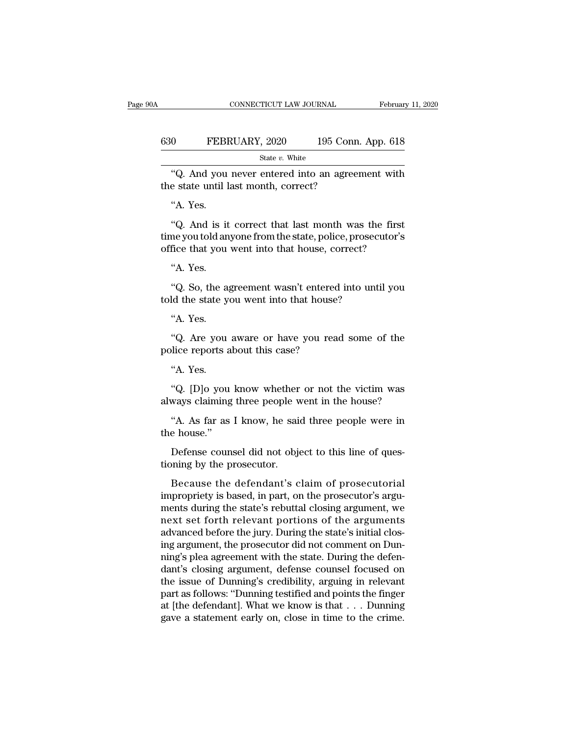|                                                                                          |                    | February 11, 2020 |
|------------------------------------------------------------------------------------------|--------------------|-------------------|
| 630<br>FEBRUARY, 2020                                                                    | 195 Conn. App. 618 |                   |
|                                                                                          | State $v$ . White  |                   |
| "Q. And you never entered into an agreement with<br>the state until last month, correct? |                    |                   |

%. And you never entered into an agreement with<br>the state until last month, correct?<br>"A. Yes.<br>"Q. And is it correct that last month was the first

State v. White<br>
"Q. And you never entered into an agreement with<br>
e state until last month, correct?<br>
"A. Yes.<br>
"Q. And is it correct that last month was the first<br>
me you told anyone from the state, police, prosecutor's<br> The state of the state what<br>the state until last month, correct?<br>"A. Yes.<br>"Q. And is it correct that last month was the first<br>time you told anyone from the state, police, prosecutor's<br>office that you went into that house, "Q. And you never entered into an agreement with<br>the state until last month, correct?<br>"A. Yes.<br>"Q. And is it correct that last month was the first<br>time you told anyone from the state, police, prosecutor's<br>office that you w "A. Yes.<br>"Q. And is it<br>me you told an<br>fice that you<br>"A. Yes.<br>"Q. So, the a "Q. And is it correct that last month was the first<br>ne you told anyone from the state, police, prosecutor's<br>fice that you went into that house, correct?<br>"A. Yes.<br>"Q. So, the agreement wasn't entered into until you<br>ld the s "Q. And is it correct that last month was the<br>time you told anyone from the state, police, prosecu<br>office that you went into that house, correct?<br>"A. Yes.<br>"Q. So, the agreement wasn't entered into unti-<br>told the state you

fice that you<br>"A. Yes.<br>"Q. So, the a<br>"d the state y"<br>A. Yes.<br>"Q. Are you "Q. So, the agreement wasn't entered<br>told the state you went into that house?<br>"A. Yes.<br>"Q. Are you aware or have you read<br>police reports about this case?<br>"A. Yes.

"A. Yes.<br>"Q. So, the agreement wasn't entered into until you<br>d the state you went into that house?<br>"A. Yes.<br>"Q. Are you aware or have you read some of the<br>dice reports about this case? told the state you went into that house?<br>
"A. Yes.<br>
"Q. Are you aware or have you read some of the<br>
police reports about this case?<br>
"A. Yes.<br>
"Q. [D]o you know whether or not the victim was

"A. Yes.<br>"Q. Are you aware or have you read some of the<br>lice reports about this case?<br>"A. Yes.<br>"Q. [D]o you know whether or not the victim was<br>ways claiming three people went in the house? "Q. Are you aware or have you read some of the<br>police reports about this case?<br>"A. Yes.<br>"Q. [D]o you know whether or not the victim was<br>always claiming three people went in the house?<br>"A. As far as I know, he said three pe The reports about this case?<br>"A. Yes.<br>"Q. [D]o you know whether or not the victim was<br>ways claiming three people went in the house?<br>"A. As far as I know, he said three people were in<br>e house." "A. Yes.<br>"Q. [D]o you<br>always claiming<br>"A. As far as<br>the house."<br>Defense coun "Q. [D]o you know whether or not the victim was<br>ways claiming three people went in the house?<br>"A. As far as I know, he said three people were in<br>e house."<br>Defense counsel did not object to this line of ques-<br>poing by the p

"Q. [D]0 you know whether<br>always claiming three people w<br>"A. As far as I know, he said<br>the house."<br>Defense counsel did not objet<br>ioning by the prosecutor.<br>Because the defendant's c

"A. As far as I know, he said three people were in<br>e house."<br>Defense counsel did not object to this line of ques-<br>principly the prosecutor.<br>Because the defendant's claim of prosecutorial<br>propriety is based, in part, on the "A. As far as I know, he said three people were in<br>the house."<br>Defense counsel did not object to this line of ques-<br>tioning by the prosecutor.<br>Because the defendant's claim of prosecutorial<br>impropriety is based, in part, o the house."<br>Defense counsel did not object to this line of questioning by the prosecutor.<br>Because the defendant's claim of prosecutorial<br>impropriety is based, in part, on the prosecutor's arguments<br>during the state's rebut Defense counsel did not object to this line of questioning by the prosecutor.<br>Because the defendant's claim of prosecutorial<br>impropriety is based, in part, on the prosecutor's arguments during the state's rebuttal closing Explore the defendant's claim of prosecutorial<br>impropriety is based, in part, on the prosecutor's arguments during the state's rebuttal closing argument, we<br>next set forth relevant portions of the arguments<br>advanced before Because the defendant's claim of prosecutorial<br>impropriety is based, in part, on the prosecutor's argu-<br>ments during the state's rebuttal closing argument, we<br>next set forth relevant portions of the arguments<br>advanced befo Because the defendant's claim of prosecutorial<br>impropriety is based, in part, on the prosecutor's argu-<br>ments during the state's rebuttal closing argument, we<br>next set forth relevant portions of the arguments<br>advanced befo impropriety is based, in part, on the prosecutor's arguments during the state's rebuttal closing argument, we<br>next set forth relevant portions of the arguments<br>advanced before the jury. During the state's initial clos-<br>ing ments during the state's rebuttal closing argument, we<br>next set forth relevant portions of the arguments<br>advanced before the jury. During the state's initial clos-<br>ing argument, the prosecutor did not comment on Dun-<br>ning' next set forth relevant portions of the arguments<br>advanced before the jury. During the state's initial clos-<br>ing argument, the prosecutor did not comment on Dun-<br>ning's plea agreement with the state. During the defen-<br>dant advanced before the jury. During the state's initial closing argument, the prosecutor did not comment on Dunning's plea agreement with the state. During the defendant's closing argument, defense counsel focused on the issu ing argument, the prosecutor did not comment on Dunning's plea agreement with the state. During the defendant's closing argument, defense counsel focused on the issue of Dunning's credibility, arguing in relevant part as f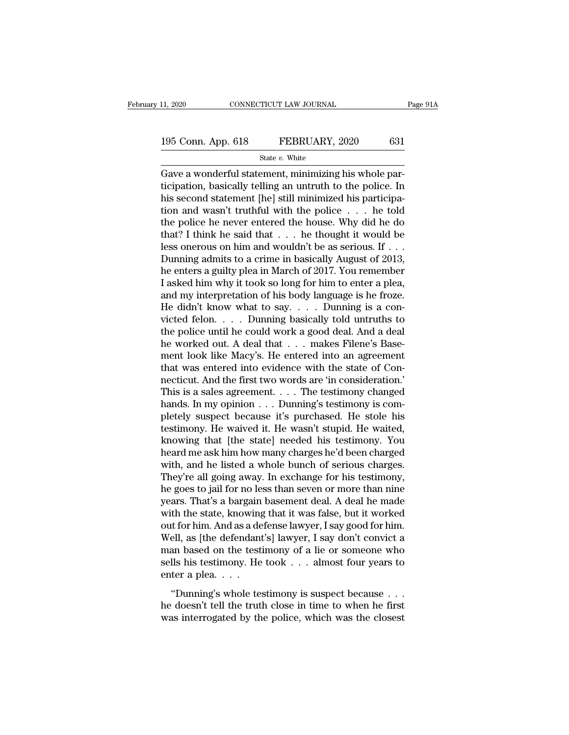# 11, 2020 CONNECTICUT LAW JOURNAL Page 91A<br>195 Conn. App. 618 FEBRUARY, 2020 631<br>State v. White

State *v.* White

 $\begin{array}{ccc} \text{11, 2020} & \text{CONPECTICUT LAW JOURNAL} \ \end{array}$ <br>195 Conn. App. 618 FEBRUARY, 2020 631<br>State v. White<br>Gave a wonderful statement, minimizing his whole par-<br>ticipation, basically telling an untruth to the police. In 195 Conn. App. 618 FEBRUARY, 2020 631<br>
State v. White<br>
Gave a wonderful statement, minimizing his whole participation, basically telling an untruth to the police. In<br>
his second statement [he] still minimized his particip 195 Conn. App. 618 FEBRUARY, 2020 631<br>
State v. White<br>
Gave a wonderful statement, minimizing his whole participation, basically telling an untruth to the police. In<br>
his second statement [he] still minimized his particip 195 Conn. App. 618 FEBRUARY, 2020 631<br>
State v. White<br>
Gave a wonderful statement, minimizing his whole par-<br>
ticipation, basically telling an untruth to the police. In<br>
his second statement [he] still minimized his parti State *v*. White<br>
Gave a wonderful statement, minimizing his whole par-<br>
ticipation, basically telling an untruth to the police. In<br>
his second statement [he] still minimized his participa-<br>
tion and wasn't truthful with State v. white<br>
Gave a wonderful statement, minimizing his whole par-<br>
ticipation, basically telling an untruth to the police. In<br>
his second statement [he] still minimized his participa-<br>
tion and wasn't truthful with th Gave a wonderful statement, minimizing his whole participation, basically telling an untruth to the police. In<br>his second statement [he] still minimized his participa-<br>tion and wasn't truthful with the police  $\dots$  he told ticipation, basically telling an untruth to the police. In<br>his second statement [he] still minimized his participa-<br>tion and wasn't truthful with the police  $\ldots$  he told<br>the police he never entered the house. Why did he his second statement [he] still minimized his participation and wasn't truthful with the police  $\ldots$  he told the police he never entered the house. Why did he do that? I think he said that  $\ldots$  he thought it would be le tion and wasn't truthful with the police  $\ldots$  he told<br>the police he never entered the house. Why did he do<br>that? I think he said that  $\ldots$  he thought it would be<br>less onerous on him and wouldn't be as serious. If  $\ldots$ <br> the police he never entered the house. Why did he do<br>that? I think he said that . . . he thought it would be<br>less onerous on him and wouldn't be as serious. If . . .<br>Dunning admits to a crime in basically August of 2013,<br>h that? I think he said that . . . he thought it would be less onerous on him and wouldn't be as serious. If . . . Dunning admits to a crime in basically August of 2013, he enters a guilty plea in March of 2017. You remembe less onerous on him and wouldn't be as serious. If . . .<br>Dunning admits to a crime in basically August of 2013,<br>he enters a guilty plea in March of 2017. You remember<br>I asked him why it took so long for him to enter a ple Dunning admits to a crime in basically August of 2013,<br>he enters a guilty plea in March of 2017. You remember<br>I asked him why it took so long for him to enter a plea,<br>and my interpretation of his body language is he froze. he enters a guilty plea in March of 2017. You remember<br>I asked him why it took so long for him to enter a plea,<br>and my interpretation of his body language is he froze.<br>He didn't know what to say. . . . Dunning is a con-<br>vi I asked him why it took so long for him to enter a plea,<br>and my interpretation of his body language is he froze.<br>He didn't know what to say. . . . Dunning is a con-<br>victed felon. . . . Dunning basically told untruths to<br>t and my interpretation of his body language is he froze.<br>He didn't know what to say.... Dunning is a convicted felon.... Dunning basically told untruths to<br>the police until he could work a good deal. And a deal<br>he worked o He didn't know what to say. . . . Dunning is a convicted felon. . . . Dunning basically told untruths to the police until he could work a good deal. And a deal he worked out. A deal that  $\ldots$  makes Filene's Basement look victed felon. . . . . Dunning basically told untruths to<br>the police until he could work a good deal. And a deal<br>he worked out. A deal that . . . makes Filene's Base-<br>ment look like Macy's. He entered into an agreement<br>tha the police until he could work a good deal. And a deal<br>he worked out. A deal that . . . makes Filene's Base-<br>ment look like Macy's. He entered into an agreement<br>that was entered into evidence with the state of Con-<br>necticu he worked out. A deal that . . . . makes Filene's Basement look like Macy's. He entered into an agreement that was entered into evidence with the state of Connecticut. And the first two words are 'in consideration.' This i ment look like Macy's. He entered into an agreement<br>that was entered into evidence with the state of Con-<br>necticut. And the first two words are 'in consideration.'<br>This is a sales agreement. . . . The testimony changed<br>han that was entered into evidence with the state of Connecticut. And the first two words are 'in consideration.'<br>This is a sales agreement. . . . The testimony changed<br>hands. In my opinion . . . Dunning's testimony is com-<br>pl necticut. And the first two words are 'in consideration.'<br>This is a sales agreement. . . . The testimony changed<br>hands. In my opinion . . . Dunning's testimony is com-<br>pletely suspect because it's purchased. He stole his<br>t This is a sales agreement. . . . The testimony changed<br>hands. In my opinion . . . Dunning's testimony is com-<br>pletely suspect because it's purchased. He stole his<br>testimony. He waived it. He wasn't stupid. He waited,<br>know hands. In my opinion . . . Dunning's testimony is completely suspect because it's purchased. He stole his testimony. He waived it. He wasn't stupid. He waited, knowing that [the state] needed his testimony. You heard me as pletely suspect because it's purchased. He stole his<br>testimony. He waived it. He wasn't stupid. He waited,<br>knowing that [the state] needed his testimony. You<br>heard me ask him how many charges he'd been charged<br>with, and he testimony. He waived it. He wasn't stupid. He waited,<br>knowing that [the state] needed his testimony. You<br>heard me ask him how many charges he'd been charged<br>with, and he listed a whole bunch of serious charges.<br>They're all knowing that [the state] needed his testimony. You<br>heard me ask him how many charges he'd been charged<br>with, and he listed a whole bunch of serious charges.<br>They're all going away. In exchange for his testimony,<br>he goes to heard me ask him how many charges he'd been charged<br>with, and he listed a whole bunch of serious charges.<br>They're all going away. In exchange for his testimony,<br>he goes to jail for no less than seven or more than nine<br>year with, and he listed a whole bunch of serious charges.<br>They're all going away. In exchange for his testimony,<br>he goes to jail for no less than seven or more than nine<br>years. That's a bargain basement deal. A deal he made<br>wi They're all going away. In exchange for his testimony,<br>he goes to jail for no less than seven or more than nine<br>years. That's a bargain basement deal. A deal he made<br>with the state, knowing that it was false, but it worked he goes to jail for no less than seven or more than nine<br>years. That's a bargain basement deal. A deal he made<br>with the state, knowing that it was false, but it worked<br>out for him. And as a defense lawyer, I say good for h years. That's a bargain<br>with the state, knowing<br>out for him. And as a de<br>Well, as [the defendant<br>man based on the test<br>sells his testimony. He<br>enter a plea. . . . .<br>"Dunning's whole te: The basis, the linguistic was range, such a because<br>
if for him. And as a defense lawyer, I say good for him.<br>
ell, as [the defendant's] lawyer, I say don't convict a<br>
an based on the testimony of a lie or someone who<br>
ll Well, as [the defendant's] lawyer, I say don't convict a<br>man based on the testimony of a lie or someone who<br>sells his testimony. He took  $\dots$  almost four years to<br>enter a plea.  $\dots$ <br>"Dunning's whole testimony is suspect b was interrogated by the police, which was the closest was interrogated by the police, which was the closest was interrogated by the police, which was the closest was interrogated by the police, which was the closest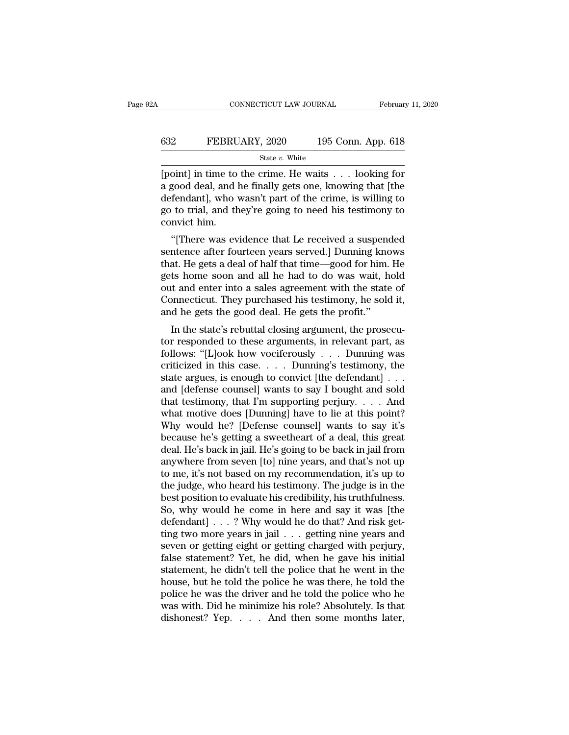## CONNECTICUT LAW JOURNAL February 11, 2020<br>632 FEBRUARY, 2020 195 Conn. App. 618<br>5tate v. White State *v.* White

 $\begin{array}{lll}\n\text{COMNETICUT LAW JOURNAL} & \text{February 11, 2020} \\
\hline\n & \text{State } v. \text{ White} \\
 \hline\n & \text{State } v. \text{ White} \\
 \hline\n \end{array}$ EXEMBRY, 2020 195 Conn. App. 618<br>
State v. White<br>
[point] in time to the crime. He waits . . . looking for<br>
a good deal, and he finally gets one, knowing that [the<br>
defendant], who wasn't part of the crime, is willing to<br> 632 FEBRUARY, 2020 195 Conn. App. 618<br>
State v. White<br>
[point] in time to the crime. He waits . . . looking for<br>
a good deal, and he finally gets one, knowing that [the<br>
defendant], who wasn't part of the crime, is willin FEBRUARY, 2020 195 Conn. App. 618<br>
State v. White<br>
[point] in time to the crime. He waits . . . looking for<br>
a good deal, and he finally gets one, knowing that [the<br>
defendant], who wasn't part of the crime, is willing to France<br>
point] in time to<br>
a good deal, and l<br>
defendant], who v<br>
go to trial, and th<br>
convict him.<br>
"[There was ev oint] in time to the crime. He waits . . . looking for<br>good deal, and he finally gets one, knowing that [the<br>fendant], who wasn't part of the crime, is willing to<br>to trial, and they're going to need his testimony to<br>nwict sentence after fourteen years served.] Dunning that the defendant], who wasn't part of the crime, is willing to go to trial, and they're going to need his testimony to convict him.<br>"[There was evidence that Le received a s

a good deal, and he many gets one, knowing that [the<br>defendant], who wasn't part of the crime, is willing to<br>go to trial, and they're going to need his testimony to<br>convict him.<br>"[There was evidence that Le received a susp defendant], who wash t part of the crime, is whing to<br>go to trial, and they're going to need his testimony to<br>convict him.<br>"[There was evidence that Le received a suspended<br>sentence after fourteen years served.] Dunning kn go to trial, and they re going to heed its testimony to<br>convict him.<br>"[There was evidence that Le received a suspended<br>sentence after fourteen years served.] Dunning knows<br>that. He gets a deal of half that time—good for hi "[There was evidence that Le received a suspended<br>sentence after fourteen years served.] Dunning knows<br>that. He gets a deal of half that time—good for him. He<br>gets home soon and all he had to do was wait, hold<br>out and ente "[There was evidence that Le received a suspend sentence after fourteen years served.] Dunning knothat. He gets a deal of half that time—good for him. gets home soon and all he had to do was wait, hout and enter into a sal In the state' is a deal of half that time—good for him. He<br>is home soon and all he had to do was wait, hold<br>it and enter into a sales agreement with the state of<br>pnnecticut. They purchased his testimony, he sold it,<br>it d h that. He gets a deal of hall that thile—good for him. He<br>gets home soon and all he had to do was wait, hold<br>out and enter into a sales agreement with the state of<br>Connecticut. They purchased his testimony, he sold it,<br>and

gets nome soon and an he had to do was wart, nond<br>out and enter into a sales agreement with the state of<br>Connecticut. They purchased his testimony, he sold it,<br>and he gets the good deal. He gets the profit."<br>In the state's out and enter into a saies agreement with the state of<br>Connecticut. They purchased his testimony, he sold it,<br>and he gets the good deal. He gets the profit."<br>In the state's rebuttal closing argument, the prosecu-<br>tor respo connecticut. They purchased ins testimony, he sold it,<br>and he gets the good deal. He gets the profit."<br>In the state's rebuttal closing argument, the prosecu-<br>tor responded to these arguments, in relevant part, as<br>follows: and he gets the good deal. He gets the profit.<br>
In the state's rebuttal closing argument, the prosecutor<br>
responded to these arguments, in relevant part, as<br>
follows: "[L]ook how vociferously . . . Dunning was<br>
criticized In the state's rebuttal closing argument, the prosecutor responded to these arguments, in relevant part, as follows: "[L]ook how vociferously . . . Dunning was criticized in this case. . . . Dunning's testimony, the state tor responded to these arguments, in relevant part, as<br>follows: "[L]ook how vociferously . . . Dunning was<br>criticized in this case. . . . Dunning's testimony, the<br>state argues, is enough to convict [the defendant] . . .<br>an follows: "[L]ook how vociferously . . . Dunning was<br>criticized in this case. . . . Dunning's testimony, the<br>state argues, is enough to convict [the defendant] . . .<br>and [defense counsel] wants to say I bought and sold<br>tha criticized in this case. . . . Dunning's testimony, the<br>state argues, is enough to convict [the defendant] . . .<br>and [defense counsel] wants to say I bought and sold<br>that testimony, that I'm supporting perjury. . . . And<br> state argues, is enough to convict [the defendant] . . .<br>and [defense counsel] wants to say I bought and sold<br>that testimony, that I'm supporting perjury. . . . And<br>what motive does [Dunning] have to lie at this point?<br>Why and [defense counsel] wants to say I bought and sold<br>that testimony, that I'm supporting perjury. . . . And<br>what motive does [Dunning] have to lie at this point?<br>Why would he? [Defense counsel] wants to say it's<br>because h that testimony, that I'm supporting perjury. . . . And<br>what motive does [Dunning] have to lie at this point?<br>Why would he? [Defense counsel] wants to say it's<br>because he's getting a sweetheart of a deal, this great<br>deal. what motive does [Dunning] have to lie at this point?<br>Why would he? [Defense counsel] wants to say it's<br>because he's getting a sweetheart of a deal, this great<br>deal. He's back in jail. He's going to be back in jail from<br>an Why would he? [Defense counsel] wants to say it's<br>because he's getting a sweetheart of a deal, this great<br>deal. He's back in jail. He's going to be back in jail from<br>anywhere from seven [to] nine years, and that's not up<br>t because he's getting a sweetheart of a deal, this great<br>deal. He's back in jail. He's going to be back in jail from<br>anywhere from seven [to] nine years, and that's not up<br>to me, it's not based on my recommendation, it's up deal. He's back in jail. He's going to be back in jail from<br>anywhere from seven [to] nine years, and that's not up<br>to me, it's not based on my recommendation, it's up to<br>the judge, who heard his testimony. The judge is in anywhere from seven [to] nine years, and that's not up<br>to me, it's not based on my recommendation, it's up to<br>the judge, who heard his testimony. The judge is in the<br>best position to evaluate his credibility, his truthfuln to me, it's not based on my recommendation, it's up to<br>the judge, who heard his testimony. The judge is in the<br>best position to evaluate his credibility, his truthfulness.<br>So, why would he come in here and say it was [the the judge, who heard his testimony. The judge is in the best position to evaluate his credibility, his truthfulness.<br>So, why would he come in here and say it was [the defendant]  $\ldots$  ? Why would he do that? And risk gett best position to evaluate his credibility, his truthfulness.<br>So, why would he come in here and say it was [the<br>defendant] . . . ? Why would he do that? And risk get-<br>ting two more years in jail . . . getting nine years and So, why would he come in here and say it was [the defendant] . . . ? Why would he do that? And risk get-<br>ting two more years in jail . . . getting nine years and<br>seven or getting eight or getting charged with perjury,<br>fal defendant] . . . ? Why would he do that? And risk get-<br>ting two more years in jail . . . getting nine years and<br>seven or getting eight or getting charged with perjury,<br>false statement? Yet, he did, when he gave his initial ting two more years in jail  $\ldots$  getting nine years and seven or getting eight or getting charged with perjury, false statement? Yet, he did, when he gave his initial statement, he didn't tell the police that he went in seven or getting eight or getting charged with perjury, false statement? Yet, he did, when he gave his initial statement, he didn't tell the police that he went in the house, but he told the police he was there, he told th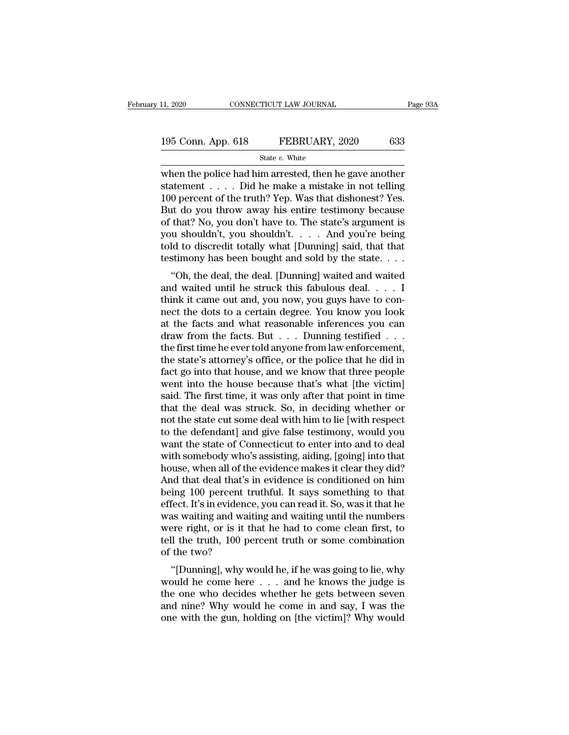| 11, 2020           | CONNECTICUT LAW JOURNAL | Page 93A |
|--------------------|-------------------------|----------|
| 195 Conn. App. 618 | FEBRUARY, 2020          | 633      |
|                    | State $v$ . White       |          |

11, 2020 CONNECTICUT LAW JOURNAL Page 93A<br>
195 Conn. App. 618 FEBRUARY, 2020 633<br>
State v. White<br>
when the police had him arrested, then he gave another<br>
statement . . . . Did he make a mistake in not telling<br>
100 percent 195 Conn. App. 618 FEBRUARY, 2020 633<br>
State v. White<br>
when the police had him arrested, then he gave another<br>
statement . . . . Did he make a mistake in not telling<br>
100 percent of the truth? Yep. Was that dishonest? Yes 195 Conn. App. 618 FEBRUARY, 2020 633<br>
State v. White<br>
when the police had him arrested, then he gave another<br>
statement . . . . Did he make a mistake in not telling<br>
100 percent of the truth? Yep. Was that dishonest? Yes 195 Conn. App. 618 FEBRUARY, 2020 633<br>
State v. White<br>
when the police had him arrested, then he gave another<br>
statement . . . . Did he make a mistake in not telling<br>
100 percent of the truth? Yep. Was that dishonest? Yes State v. White<br>
When the police had him arrested, then he gave another<br>
statement . . . . Did he make a mistake in not telling<br>
100 percent of the truth? Yep. Was that dishonest? Yes.<br>
But do you throw away his entire tes state v. White<br>when the police had him arrested, then he gave another<br>statement . . . . . Did he make a mistake in not telling<br>100 percent of the truth? Yep. Was that dishonest? Yes.<br>But do you throw away his entire testi when the police had him arrested, then he gave another<br>statement . . . . Did he make a mistake in not telling<br>100 percent of the truth? Yep. Was that dishonest? Yes.<br>But do you throw away his entire testimony because<br>of t statement . . . . Did he make a mistake in not telling 100 percent of the truth? Yep. Was that dishonest? Yes.<br>But do you throw away his entire testimony because of that? No, you don't have to. The state's argument is you o percent of the truth: Tep. was that ulsholest: Tes.<br>
at do you throw away his entire testimony because<br>
that? No, you don't have to. The state's argument is<br>
u shouldn't, you shouldn't.... And you're being<br>
ld to discre But do you throw away his entire testimony because<br>of that? No, you don't have to. The state's argument is<br>you shouldn't, you shouldn't.... And you're being<br>told to discredit totally what [Dunning] said, that that<br>testimo

of that: No, you don't have to. The state's argument is<br>you shouldn't, you shouldn't.... And you're being<br>told to discredit totally what [Dunning] said, that that<br>testimony has been bought and sold by the state....<br>"Oh, t you shouldn't, you shouldn't.  $\therefore$  And you're being<br>told to discredit totally what [Dunning] said, that that<br>testimony has been bought and sold by the state.  $\dots$ <br>"Oh, the deal, the deal. [Dunning] waited and waited<br>and testimony has been bought and sold by the state. . . .<br>
"Oh, the deal, the deal. [Dunning] waited and waited<br>
and waited until he struck this fabulous deal. . . . I<br>
think it came out and, you now, you guys have to con-<br> destinctly has been bought and sold by the state. . . .<br>
"Oh, the deal, the deal. [Dunning] waited and waited<br>
and waited until he struck this fabulous deal. . . . I<br>
think it came out and, you now, you guys have to con-<br> "Oh, the deal, the deal. [Dunning] waited and waited<br>and waited until he struck this fabulous deal. . . . I<br>think it came out and, you now, you guys have to con-<br>nect the dots to a certain degree. You know you look<br>at the and waited until he struck this fabulous deal. . . . . I<br>think it came out and, you now, you guys have to con-<br>nect the dots to a certain degree. You know you look<br>at the facts and what reasonable inferences you can<br>draw think it came out and, you now, you guys have to connect the dots to a certain degree. You know you look<br>at the facts and what reasonable inferences you can<br>draw from the facts. But  $\dots$  Dunning testified  $\dots$ <br>the first t nect the dots to a certain degree. You know you look<br>at the facts and what reasonable inferences you can<br>draw from the facts. But . . . Dunning testified . . .<br>the first time he ever told anyone from law enforcement,<br>the s at the facts and what reasonable inferences you can<br>draw from the facts. But . . . Dunning testified . . .<br>the first time he ever told anyone from law enforcement,<br>the state's attorney's office, or the police that he did i draw from the facts. But . . . Dunning testified . . . .<br>the first time he ever told anyone from law enforcement,<br>the state's attorney's office, or the police that he did in<br>fact go into that house, and we know that three the first time he ever told anyone from law enforcement,<br>the state's attorney's office, or the police that he did in<br>fact go into that house, and we know that three people<br>went into the house because that's what [the victi the state's attorney's office, or the police that he did in fact go into that house, and we know that three people went into the house because that's what [the victim] said. The first time, it was only after that point in fact go into that house, and we know that three people<br>went into the house because that's what [the victim]<br>said. The first time, it was only after that point in time<br>that the deal was struck. So, in deciding whether or<br>no went into the house because that's what [the victim]<br>said. The first time, it was only after that point in time<br>that the deal was struck. So, in deciding whether or<br>not the state cut some deal with him to lie [with respect said. The first time, it was only after that point in time<br>that the deal was struck. So, in deciding whether or<br>not the state cut some deal with him to lie [with respect<br>to the defendant] and give false testimony, would yo that the deal was struck. So, in deciding whether or<br>not the state cut some deal with him to lie [with respect<br>to the defendant] and give false testimony, would you<br>want the state of Connecticut to enter into and to deal<br>w not the state cut some deal with him to lie [with respect<br>to the defendant] and give false testimony, would you<br>want the state of Connecticut to enter into and to deal<br>with somebody who's assisting, aiding, [going] into th to the defendant] and give false testimony, would you<br>want the state of Connecticut to enter into and to deal<br>with somebody who's assisting, aiding, [going] into that<br>house, when all of the evidence makes it clear they did want the state of Connecticut to enter into and to deal<br>with somebody who's assisting, aiding, [going] into that<br>house, when all of the evidence makes it clear they did?<br>And that deal that's in evidence is conditioned on h with somebody who's assisting, aiding, [going] into that<br>house, when all of the evidence makes it clear they did?<br>And that deal that's in evidence is conditioned on him<br>being 100 percent truthful. It says something to that house, when all of the evidence makes it clear they did?<br>And that deal that's in evidence is conditioned on him<br>being 100 percent truthful. It says something to that<br>effect. It's in evidence, you can read it. So, was it th And that deal that's i<br>being 100 percent treffect. It's in evidence<br>was waiting and wait<br>were right, or is it tl<br>tell the truth, 100 pe<br>of the two?<br>"[Dunning], why w Ing Too percent truthul. It says something to that<br>fect. It's in evidence, you can read it. So, was it that he<br>as waiting and waiting and waiting until the numbers<br>ere right, or is it that he had to come clean first, to<br>ll was waiting and waiting and waiting until the numbers<br>were right, or is it that he had to come clean first, to<br>tell the truth, 100 percent truth or some combination<br>of the two?<br>"[Dunning], why would he, if he was going to

was watting and watting and watting until the humbers<br>were right, or is it that he had to come clean first, to<br>tell the truth, 100 percent truth or some combination<br>of the two?<br>"[Dunning], why would he, if he was going to were right, or is it that he had to come clean first, to<br>tell the truth, 100 percent truth or some combination<br>of the two?<br>"[Dunning], why would he, if he was going to lie, why<br>would he come here  $\dots$  and he knows the jud of the two?<br>
"[Dunning], why would he, if he was going to lie, why<br>
would he come here  $\ldots$  and he knows the judge is<br>
the one who decides whether he gets between seven<br>
and nine? Why would he come in and say, I was the<br>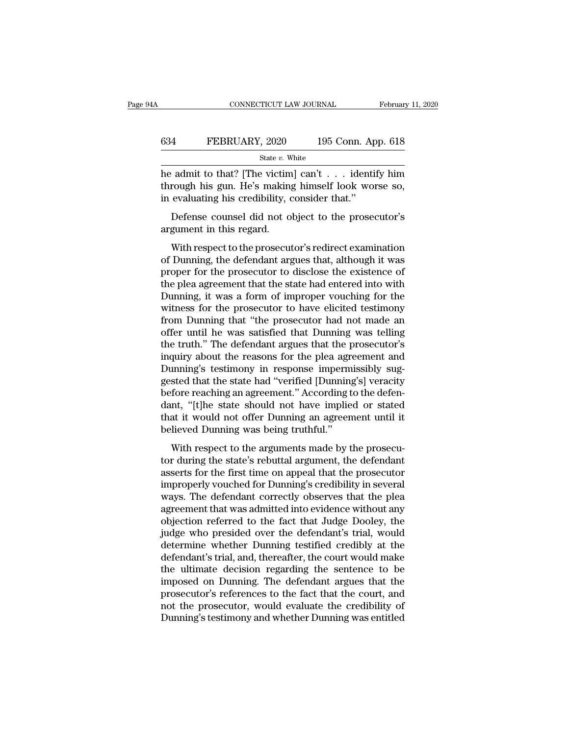|     | CONNECTICUT LAW JOURNAL |                    | February 11, 2020 |
|-----|-------------------------|--------------------|-------------------|
| 634 | FEBRUARY, 2020          | 195 Conn. App. 618 |                   |
|     | State $v$ . White       |                    |                   |

CONNECTICUT LAW JOURNAL February 11, 2020<br>
FEBRUARY, 2020 195 Conn. App. 618<br>
State v. White<br>
he admit to that? [The victim] can't . . . identify him<br>
through his gun. He's making himself look worse so,<br>
in avaluating his FEBRUARY, 2020 195 Conn. App. 618<br>
State v. White<br>
he admit to that? [The victim] can't . . . identify him<br>
through his gun. He's making himself look worse so,<br>
in evaluating his credibility, consider that." FEBRUARY, 2020 195 Conn. Ap<br>
state v. White<br>
he admit to that? [The victim] can't . . . identit<br>
through his gun. He's making himself look won<br>
in evaluating his credibility, consider that."<br>
Defense counsel did not objec FEBRUARY, 2020 195 Conn. App. 618<br>
State v. White<br>
dimit to that? [The victim] can't . . . identify him<br>
rough his gun. He's making himself look worse so,<br>
evaluating his credibility, consider that."<br>
Defense counsel did  $\begin{array}{c} \text{State } v. \text{ } \text{W} \\ \text{the admit to that? [The victim through his gun. He's making in evaluating his credibility, of the Defense, it is is a good to be a argument in this regard. \\ \text{With respect to the prosecut.} \end{array}$ Mexical and the prosecutor's redirect to the prosecutor's redirect to the prosecutor's perfense counsel did not object to the prosecutor's gument in this regard.<br>With respect to the prosecutor's redirect examination Dunnin

through his gun. He's making himself look worse so,<br>in evaluating his credibility, consider that."<br>Defense counsel did not object to the prosecutor's<br>argument in this regard.<br>With respect to the prosecutor's redirect exami in evaluating his credibility, consider that."<br>
Defense counsel did not object to the prosecutor's<br>
argument in this regard.<br>
With respect to the prosecutor's redirect examination<br>
of Dunning, the defendant argues that, al Defense counsel did not object to the prosecutor's<br>argument in this regard.<br>With respect to the prosecutor's redirect examination<br>of Dunning, the defendant argues that, although it was<br>proper for the prosecutor to disclose Exerise could all not object to the prosecutor's<br>argument in this regard.<br>With respect to the prosecutor's redirect examination<br>of Dunning, the defendant argues that, although it was<br>proper for the prosecutor to disclose t With respect to the prosecutor's redirect examination<br>of Dunning, the defendant argues that, although it was<br>proper for the prosecutor to disclose the existence of<br>the plea agreement that the state had entered into with<br>Du With respect to the prosecutor's redirect examination<br>of Dunning, the defendant argues that, although it was<br>proper for the prosecutor to disclose the existence of<br>the plea agreement that the state had entered into with<br>Du of Dunning, the defendant argues that, although it was<br>proper for the prosecutor to disclose the existence of<br>the plea agreement that the state had entered into with<br>Dunning, it was a form of improper vouching for the<br>witn proper for the prosecutor to disclose the existence of<br>the plea agreement that the state had entered into with<br>Dunning, it was a form of improper vouching for the<br>witness for the prosecutor to have elicited testimony<br>from the plea agreement that the state had entered into with<br>Dunning, it was a form of improper vouching for the<br>witness for the prosecutor to have elicited testimony<br>from Dunning that "the prosecutor had not made an<br>offer unti Dunning, it was a form of improper vouching for the<br>witness for the prosecutor to have elicited testimony<br>from Dunning that "the prosecutor had not made an<br>offer until he was satisfied that Dunning was telling<br>the truth." witness for the prosecutor to have elicited testimony<br>from Dunning that "the prosecutor had not made an<br>offer until he was satisfied that Dunning was telling<br>the truth." The defendant argues that the prosecutor's<br>inquiry a from Dunning that "the prosecutor had not made an offer until he was satisfied that Dunning was telling the truth." The defendant argues that the prosecutor's inquiry about the reasons for the plea agreement and Dunning's offer until he was satisfied that Dunning was telling<br>the truth." The defendant argues that the prosecutor's<br>inquiry about the reasons for the plea agreement and<br>Dunning's testimony in response impermissibly sug-<br>gested th the truth." The defendant argues that the prosecutor's<br>inquiry about the reasons for the plea agreement and<br>Dunning's testimony in response impermissibly sug-<br>gested that the state had "verified [Dunning's] veracity<br>before inquiry about the reasons for the plea agr<br>Dunning's testimony in response imperm<br>gested that the state had "verified [Dunning<br>before reaching an agreement." According t<br>dant, "[t]he state should not have implie<br>that it wo mangs desimony in response impermissing sag<br>sted that the state had "verified [Dunning's] veracity<br>fore reaching an agreement." According to the defen-<br>nt, "[t]he state should not have implied or stated<br>at it would not off before reaching an agreement." According to the defendant, "[t]he state should not have implied or stated<br>that it would not offer Dunning an agreement until it<br>believed Dunning was being truthful."<br>With respect to the argu

before reaching an agreement. Theoring to alternate dant, "[t]he state should not have implied or stated that it would not offer Dunning an agreement until it believed Dunning was being truthful."<br>With respect to the argum improperly vouched for Dunning's and approximate in the distribution of that it would not offer Dunning's an agreement until it believed Dunning was being truthful."<br>With respect to the arguments made by the prosecutor dur believed Dunning was being truthful."<br>With respect to the arguments made by the prosecutor during the state's rebuttal argument, the defendant<br>asserts for the first time on appeal that the prosecutor<br>improperly vouched for With respect to the arguments made by the prosecutor during the state's rebuttal argument, the defendant asserts for the first time on appeal that the prosecutor improperly vouched for Dunning's credibility in several ways With respect to the arguments made by the prosecutor during the state's rebuttal argument, the defendant asserts for the first time on appeal that the prosecutor improperly vouched for Dunning's credibility in several ways tor during the state's rebuttal argument, the defendant<br>asserts for the first time on appeal that the prosecutor<br>improperly vouched for Dunning's credibility in several<br>ways. The defendant correctly observes that the plea<br> asserts for the first time on appeal that the prosecutor<br>improperly vouched for Dunning's credibility in several<br>ways. The defendant correctly observes that the plea<br>agreement that was admitted into evidence without any<br>ob improperly vouched for Dunning's credibility in several<br>ways. The defendant correctly observes that the plea<br>agreement that was admitted into evidence without any<br>objection referred to the fact that Judge Dooley, the<br>judge ways. The defendant correctly observes that the plea<br>agreement that was admitted into evidence without any<br>objection referred to the fact that Judge Dooley, the<br>judge who presided over the defendant's trial, would<br>determin agreement that was admitted into evidence without any<br>objection referred to the fact that Judge Dooley, the<br>judge who presided over the defendant's trial, would<br>determine whether Dunning testified credibly at the<br>defendant objection referred to the fact that Judge Dooley, the<br>judge who presided over the defendant's trial, would<br>determine whether Dunning testified credibly at the<br>defendant's trial, and, thereafter, the court would make<br>the ul judge who presided over the defendant's trial, would<br>determine whether Dunning testified credibly at the<br>defendant's trial, and, thereafter, the court would make<br>the ultimate decision regarding the sentence to be<br>imposed o determine whether Dunning testified credibly at the defendant's trial, and, thereafter, the court would make the ultimate decision regarding the sentence to be imposed on Dunning. The defendant argues that the prosecutor's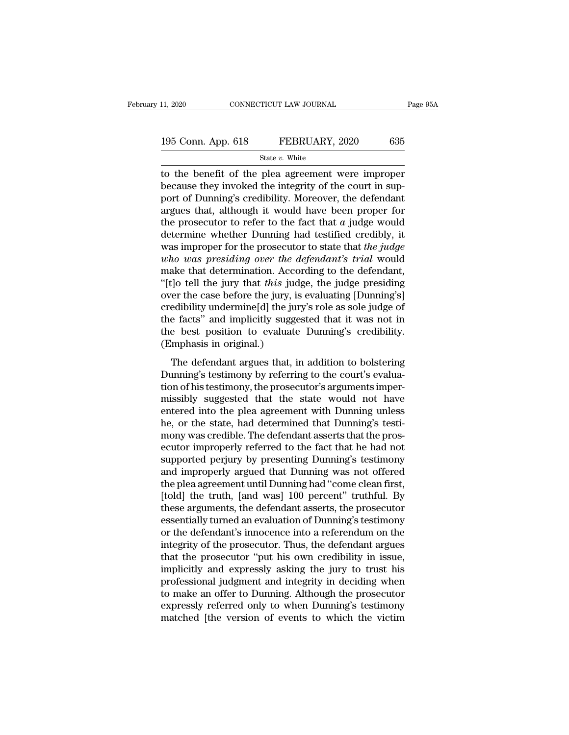| 11, 2020           | CONNECTICUT LAW JOURNAL | Page 95A |
|--------------------|-------------------------|----------|
|                    |                         |          |
| 195 Conn. App. 618 | FEBRUARY, 2020          | 635      |
|                    | State $v$ . White       |          |

11, 2020 CONNECTICUT LAW JOURNAL Page 95A<br>
195 Conn. App. 618 FEBRUARY, 2020 635<br>
State v. White<br>
to the benefit of the plea agreement were improper<br>
because they invoked the integrity of the court in sup-<br>
port of Dunnin 195 Conn. App. 618 FEBRUARY, 2020 635<br>
State v. White<br>
to the benefit of the plea agreement were improper<br>
because they invoked the integrity of the court in sup-<br>
port of Dunning's credibility. Moreover, the defendant 195 Conn. App. 618 FEBRUARY, 2020 635<br>
State v. White<br>
to the benefit of the plea agreement were improper<br>
because they invoked the integrity of the court in sup-<br>
port of Dunning's credibility. Moreover, the defendant<br>
a 195 Conn. App. 618 FEBRUARY, 2020 635<br>
state v. White<br>
to the benefit of the plea agreement were improper<br>
because they invoked the integrity of the court in sup-<br>
port of Dunning's credibility. Moreover, the defendant<br>
a State *v*. White<br>to the benefit of the plea agreement were improper<br>because they invoked the integrity of the court in sup-<br>port of Dunning's credibility. Moreover, the defendant<br>argues that, although it would have been p state v. white<br>to the benefit of the plea agreement were improper<br>because they invoked the integrity of the court in sup-<br>port of Dunning's credibility. Moreover, the defendant<br>argues that, although it would have been pro to the benefit of the plea agreement were improper<br>because they invoked the integrity of the court in sup-<br>port of Dunning's credibility. Moreover, the defendant<br>argues that, although it would have been proper for<br>the pros because they invoked the integrity of the court in support of Dunning's credibility. Moreover, the defendant argues that, although it would have been proper for the prosecutor to refer to the fact that *a* judge would dete port of Dunning's credibility. Moreover, the defendant<br>argues that, although it would have been proper for<br>the prosecutor to refer to the fact that  $a$  judge would<br>determine whether Dunning had testified credibly, it<br>was argues that, although it would have been proper for<br>the prosecutor to refer to the fact that *a* judge would<br>determine whether Dunning had testified credibly, it<br>was improper for the prosecutor to state that *the judge*<br>*w* the prosecutor to refer to the fact that  $a$  judge would<br>determine whether Dunning had testified credibly, it<br>was improper for the prosecutor to state that *the judge*<br>*who was presiding over the defendant's trial* would<br> determine whether Dunning had testified credibly, it<br>was improper for the prosecutor to state that *the judge*<br>who was presiding over the defendant's trial would<br>make that determination. According to the defendant,<br>"[t]o t was improper for the prosecutor to state that *the judge*<br> *who was presiding over the defendant's trial* would<br>
make that determination. According to the defendant,<br>
"[t]o tell the jury that *this* judge, the judge presi who was presiding over the defendant's trial would<br>make that determination. According to the defendant,<br>"[t]o tell the jury that this judge, the judge presiding<br>over the case before the jury, is evaluating [Dunning's]<br>cred make that determination. Acco<br>
"[t]o tell the jury that *this* jud<br>
over the case before the jury, is<br>
credibility undermine[d] the jur<br>
the facts" and implicitly sugge<br>
the best position to evaluate<br>
(Emphasis in original For the gary and the yange, the yange pressuring<br>
er the case before the jury, is evaluating [Dunning's]<br>
edibility undermine[d] the jury's role as sole judge of<br>
e facts" and implicitly suggested that it was not in<br>
e bes by the case serve are jary, is evaluating pounting of<br>credibility undermine[d] the jury's role as sole judge of<br>the facts" and implicitly suggested that it was not in<br>the best position to evaluate Dunning's credibility.<br>(E

the facts" and implicitly suggested that it was not in<br>the facts" and implicitly suggested that it was not in<br>the best position to evaluate Dunning's credibility.<br>(Emphasis in original.)<br>The defendant argues that, in addit methods and implicitly suggested that it was not in<br>the best position to evaluate Dunning's credibility.<br>(Emphasis in original.)<br>The defendant argues that, in addition to bolstering<br>Dunning's testimony by referring to the (Emphasis in original.)<br>
The defendant argues that, in addition to bolstering<br>
Dunning's testimony by referring to the court's evalua-<br>
tion of his testimony, the prosecutor's arguments imper-<br>
missibly suggested that the The defendant argues that, in addition to bolstering<br>Dunning's testimony by referring to the court's evalua-<br>tion of his testimony, the prosecutor's arguments imper-<br>missibly suggested that the state would not have<br>entered The defendant argues that, in addition to bolstering<br>Dunning's testimony by referring to the court's evalua-<br>tion of his testimony, the prosecutor's arguments imper-<br>missibly suggested that the state would not have<br>entered Dunning's testimony by referring to the court's evaluation of his testimony, the prosecutor's arguments imper-<br>missibly suggested that the state would not have<br>entered into the plea agreement with Dunning unless<br>he, or the tion of his testimony, the prosecutor's arguments imper-<br>missibly suggested that the state would not have<br>entered into the plea agreement with Dunning unless<br>he, or the state, had determined that Dunning's testi-<br>mony was missibly suggested that the state would not have<br>entered into the plea agreement with Dunning unless<br>he, or the state, had determined that Dunning's testi-<br>mony was credible. The defendant asserts that the pros-<br>ecutor imp entered into the plea agreement with Dunning unless<br>he, or the state, had determined that Dunning's testi-<br>mony was credible. The defendant asserts that the pros-<br>ecutor improperly referred to the fact that he had not<br>supp he, or the state, had determined that Dunning's testi-<br>mony was credible. The defendant asserts that the pros-<br>ecutor improperly referred to the fact that he had not<br>supported perjury by presenting Dunning's testimony<br>and mony was credible. The defendant asserts that the prosecutor improperly referred to the fact that he had not supported perjury by presenting Dunning's testimony and improperly argued that Dunning was not offered the plea a ecutor improperly referred to the fact that he had not<br>supported perjury by presenting Dunning's testimony<br>and improperly argued that Dunning was not offered<br>the plea agreement until Dunning had "come clean first,<br>[told] t supported perjury by presenting Dunning's testimony<br>and improperly argued that Dunning was not offered<br>the plea agreement until Dunning had "come clean first,<br>[told] the truth, [and was] 100 percent" truthful. By<br>these arg and improperly argued that Dunning was not offered<br>the plea agreement until Dunning had "come clean first,<br>[told] the truth, [and was] 100 percent" truthful. By<br>these arguments, the defendant asserts, the prosecutor<br>essent the plea agreement until Dunning had "come clean first,<br>
[told] the truth, [and was] 100 percent" truthful. By<br>
these arguments, the defendant asserts, the prosecutor<br>
essentially turned an evaluation of Dunning's testimon [told] the truth, [and was] 100 percent" truthful. By<br>these arguments, the defendant asserts, the prosecutor<br>essentially turned an evaluation of Dunning's testimony<br>or the defendant's innocence into a referendum on the<br>int these arguments, the defendant asserts, the prosecutor<br>essentially turned an evaluation of Dunning's testimony<br>or the defendant's innocence into a referendum on the<br>integrity of the prosecutor. Thus, the defendant argues<br>t essentially turned an evaluation of Dunning's testimony<br>or the defendant's innocence into a referendum on the<br>integrity of the prosecutor. Thus, the defendant argues<br>that the prosecutor "put his own credibility in issue,<br>i or the defendant's innocence into a referendum on the<br>integrity of the prosecutor. Thus, the defendant argues<br>that the prosecutor "put his own credibility in issue,<br>implicitly and expressly asking the jury to trust his<br>pro integrity of the prosecutor. Thus, the defendant argues<br>that the prosecutor "put his own credibility in issue,<br>implicitly and expressly asking the jury to trust his<br>professional judgment and integrity in deciding when<br>to m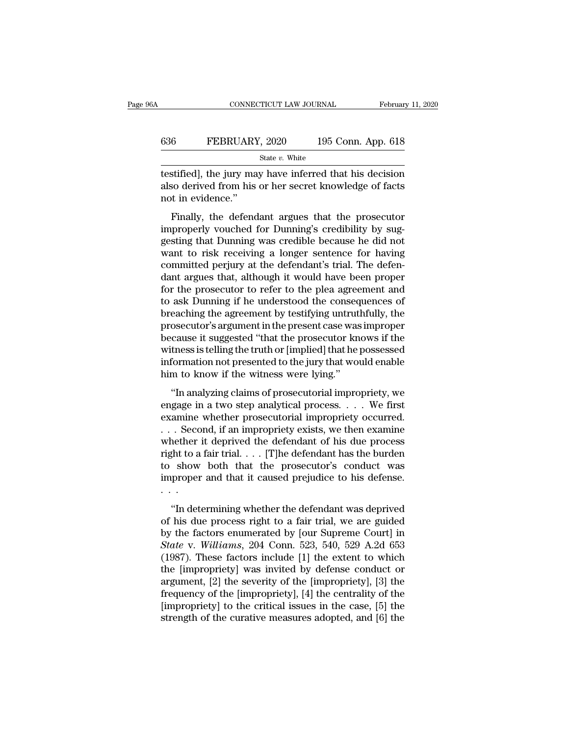## CONNECTICUT LAW JOURNAL February 11, 2020<br>636 FEBRUARY, 2020 195 Conn. App. 618<br>5tate v. White State *v.* White

CONNECTICUT LAW JOURNAL February 11, 2020<br>
FEBRUARY, 2020 195 Conn. App. 618<br>
State v. White<br>
testified], the jury may have inferred that his decision<br>
also derived from his or her secret knowledge of facts<br>
not in guidan 636 FEBRUARY, 2020 195 Conn. App. 618<br>  $\frac{\text{State } v. \text{ White}}{\text{testified}}, \text{ the jury may have inferred that his decision}$ <br>
also derived from his or her secret knowledge of facts<br>
not in evidence." 636 FEBRUARY<br>
testified], the jury ma<br>
also derived from his<br>
not in evidence.''<br>
Finally, the defend FEBRUARY, 2020 195 Conn. App. 618<br>
State v. White<br>
stified], the jury may have inferred that his decision<br>
so derived from his or her secret knowledge of facts<br>
t in evidence."<br>
Finally, the defendant argues that the pros

State  $v$ . White<br>
interpretent that his decision<br>
state  $v$ . White<br>
also derived from his or her secret knowledge of facts<br>
not in evidence."<br>
Finally, the defendant argues that the prosecutor<br>
improperly vouched for Dunn testified], the jury may have inferred that his decision<br>also derived from his or her secret knowledge of facts<br>not in evidence."<br>Finally, the defendant argues that the prosecutor<br>improperly vouched for Dunning's credibili et also derived from his or her secret knowledge of facts<br>not in evidence."<br>Finally, the defendant argues that the prosecutor<br>improperly vouched for Dunning's credibility by sug-<br>gesting that Dunning was credible because h also derived from his of her secret knowledge of racts<br>not in evidence."<br>Finally, the defendant argues that the prosecutor<br>improperly vouched for Dunning's credibility by sug-<br>gesting that Dunning was credible because he d Finally, the defendant argues that the prosecutor<br>improperly vouched for Dunning's credibility by sug-<br>gesting that Dunning was credible because he did not<br>want to risk receiving a longer sentence for having<br>committed perj Finally, the defendant argues that the prosecutor<br>improperly vouched for Dunning's credibility by sug-<br>gesting that Dunning was credible because he did not<br>want to risk receiving a longer sentence for having<br>committed perj improperly vouched for Dunning's credibility by suggesting that Dunning was credible because he did not<br>want to risk receiving a longer sentence for having<br>committed perjury at the defendant's trial. The defen-<br>dant argues gesting that Dunning was credible because he did not<br>want to risk receiving a longer sentence for having<br>committed perjury at the defendant's trial. The defen-<br>dant argues that, although it would have been proper<br>for the p want to risk receiving a longer sentence for having<br>committed perjury at the defendant's trial. The defen-<br>dant argues that, although it would have been proper<br>for the prosecutor to refer to the plea agreement and<br>to ask D committed perjury at the defendant's trial. The defendant argues that, although it would have been proper<br>for the prosecutor to refer to the plea agreement and<br>to ask Dunning if he understood the consequences of<br>breaching dant argues that, although it would have been proper<br>for the prosecutor to refer to the plea agreement and<br>to ask Dunning if he understood the consequences of<br>breaching the agreement by testifying untruthfully, the<br>prosecu for the prosecutor to refer to the plea agreement and<br>to ask Dunning if he understood the consequences of<br>breaching the agreement by testifying untruthfully, the<br>prosecutor's argument in the present case was improper<br>becau to ask Dunning if he understood the conseq<br>breaching the agreement by testifying untrut<br>prosecutor's argument in the present case was<br>because it suggested "that the prosecutor kn<br>witness is telling the truth or [implied] t osecutor's argument in the present case was improper<br>
cause it suggested "that the prosecutor knows if the<br>
tness is telling the truth or [implied] that he possessed<br>
formation not presented to the jury that would enable<br> prosecutor stagancement and present case was improper<br>because it suggested "that the prosecutor knows if the<br>witness is telling the truth or [implied] that he possessed<br>information not presented to the jury that would enab

because it suggested. That are prosecutor into to it are<br>witness is telling the truth or [implied] that he possessed<br>information not presented to the jury that would enable<br>him to know if the witness were lying."<br>"In analy which is defined and the second information not presented to the jury that would enable<br>him to know if the witness were lying."<br>"In analyzing claims of prosecutorial impropriety, we<br>engage in a two step analytical process mormalism to presented to drejary and would enable<br>him to know if the witness were lying."<br>"In analyzing claims of prosecutorial impropriety, we<br>engage in a two step analytical process.... We first<br>examine whether prosecu That is down if the writtess were tying.<br>
"In analyzing claims of prosecutorial impropriety, we<br>
engage in a two step analytical process.... We first<br>
examine whether prosecutorial impropriety occurred.<br>
... Second, if an "In analyzing claims of prosecutorial impropriety, we<br>engage in a two step analytical process.... We first<br>examine whether prosecutorial impropriety occurred.<br>... Second, if an impropriety exists, we then examine<br>whether engage in a two step analytical process. . . . We first examine whether prosecutorial impropriety occurred.<br>. . . Second, if an impropriety exists, we then examine whether it deprived the defendant of his due process righ examine<br>...Seco<br>whether<br>right to a<br>to show<br>improper<br>... The defendant of his due process<br>
that to a fair trial.... [T]he defendant has the burden<br>
show both that the prosecutor's conduct was<br>
proper and that it caused prejudice to his defense.<br>
...<br>
"In determining whether the right to a fair trial,  $\ldots$  [T]he defendant has the burden<br>to show both that the prosecutor's conduct was<br>improper and that it caused prejudice to his defense.<br> $\ldots$ <br>"In determining whether the defendant was deprived<br>of

by the factors end that it caused prejudice to his defense.<br>  $\cdots$  "In determining whether the defendant was deprived<br>
of his due process right to a fair trial, we are guided<br>
by the factors enumerated by [our Supreme Cou *State v. and that it caused prejudice to his defense.*<br> *State will determining whether the defendant was deprived*<br>
of his due process right to a fair trial, we are guided<br>
by the factors enumerated by [our Supreme Court (1987).<br>
"In determining whether the defendant was deprived<br>
of his due process right to a fair trial, we are guided<br>
by the factors enumerated by [our Supreme Court] in<br>
State v. Williams, 204 Conn. 523, 540, 529 A.2d 65 "In determining whether the defendant was deprived<br>of his due process right to a fair trial, we are guided<br>by the factors enumerated by [our Supreme Court] in<br>*State* v. *Williams*, 204 Conn. 523, 540, 529 A.2d 653<br>(1987) "In determining whether the defendant was deprived<br>of his due process right to a fair trial, we are guided<br>by the factors enumerated by [our Supreme Court] in<br>*State* v. *Williams*, 204 Conn. 523, 540, 529 A.2d 653<br>(1987) of his due process right to a fair trial, we are guided<br>by the factors enumerated by [our Supreme Court] in<br>*State* v. *Williams*, 204 Conn. 523, 540, 529 A.2d 653<br>(1987). These factors include [1] the extent to which<br>the by the factors enumerated by [our Supreme Court] in  $State$  v. Williams, 204 Conn. 523, 540, 529 A.2d 653 (1987). These factors include [1] the extent to which the [impropriety] was invited by defense conduct or argument, [2] State v. Williams, 204 Conn. 523, 540, 529 A.2d 653 (1987). These factors include [1] the extent to which the [impropriety] was invited by defense conduct or argument, [2] the severity of the [impropriety], [3] the freque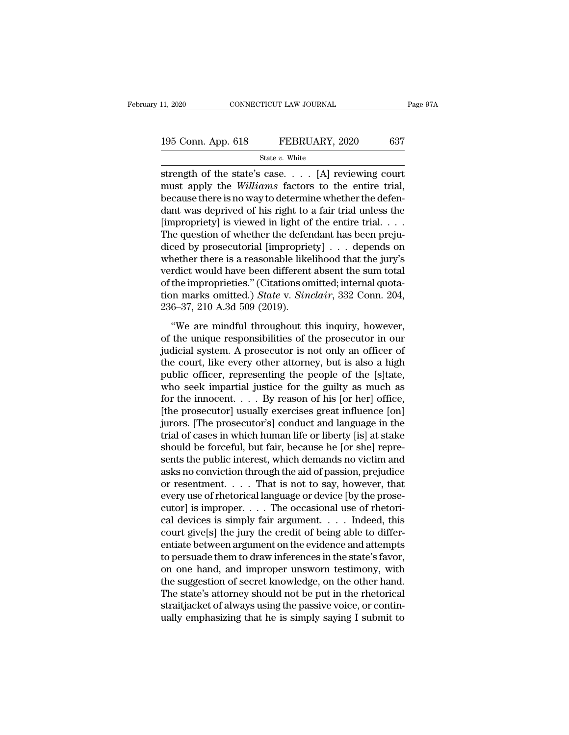# 11, 2020 CONNECTICUT LAW JOURNAL Page 97A<br>195 Conn. App. 618 FEBRUARY, 2020 637<br>State v. White

State *v.* White

strength of the state's case. . . . [A] reviewing court<br>heads to the state's case. . . . [A] reviewing court<br>must apply the *Williams* factors to the entire trial,<br>headuse there is no work determine whether the defence 195 Conn. App. 618 FEBRUARY, 2020 637<br>
State *v*. White<br>
strength of the state's case. . . . [A] reviewing court<br>
must apply the *Williams* factors to the entire trial,<br>
because there is no way to determine whether the def 195 Conn. App. 618 FEBRUARY, 2020 637<br>
State v. White<br>
strength of the state's case. . . . [A] reviewing court<br>
must apply the *Williams* factors to the entire trial,<br>
because there is no way to determine whether the defe 195 Conn. App. 618 FEBRUARY, 2020 637<br>
State v. White<br>
strength of the state's case. . . . [A] reviewing court<br>
must apply the *Williams* factors to the entire trial,<br>
because there is no way to determine whether the defe State *v*. White<br>strength of the state's case. . . . [A] reviewing court<br>must apply the *Williams* factors to the entire trial,<br>because there is no way to determine whether the defen-<br>dant was deprived of his right to a f state *v*. White<br>strength of the state's case. . . . [A] reviewing court<br>must apply the *Williams* factors to the entire trial,<br>because there is no way to determine whether the defen-<br>dant was deprived of his right to a f strength of the state's case. . . . [A] reviewing court<br>must apply the *Williams* factors to the entire trial,<br>because there is no way to determine whether the defen-<br>dant was deprived of his right to a fair trial unless must apply the *Williams* factors to the entire trial,<br>because there is no way to determine whether the defen-<br>dant was deprived of his right to a fair trial unless the<br>[impropriety] is viewed in light of the entire trial because there is no way to determine whether the defendant was deprived of his right to a fair trial unless the [impropriety] is viewed in light of the entire trial. . . . The question of whether the defendant has been pr dant was deprived of his right to a fair trial unless the [impropriety] is viewed in light of the entire trial. . . . The question of whether the defendant has been prejudiced by prosecutorial [impropriety] . . . depends [impropriety] is viewed in light of the entire trial. . . . The question of whether the defendant has been prejudiced by prosecutorial [impropriety] . . . depends on whether there is a reasonable likelihood that the jury's The question of whether the defer<br>diced by prosecutorial [improprie<br>whether there is a reasonable like<br>verdict would have been different<br>of the improprieties." (Citations on<br>tion marks omitted.) *State* v. *Sinu*<br>236–37, 2 The mether there is a reasonable likelihood that the jury's<br>
rdict would have been different absent the sum total<br>
the improprieties." (Citations omitted; internal quota-<br>
n marks omitted.) *State* v. *Sinclair*, 332 Conn wheater are is a reasonable intermolar and are jury s<br>verdict would have been different absent the sum total<br>of the improprieties." (Citations omitted; internal quota-<br>tion marks omitted.) *State* v. *Sinclair*, 332 Conn.

of the improprieties." (Citations omitted; internal quotation marks omitted.) *State v. Sinclair*, 332 Conn. 204, 236–37, 210 A.3d 509 (2019).<br>"We are mindful throughout this inquiry, however, of the unique responsibiliti tion marks omitted.) *State* v. *Sinclair*, 332 Conn. 204, 236–37, 210 A.3d 509 (2019).<br>
"We are mindful throughout this inquiry, however, of the unique responsibilities of the prosecutor in our judicial system. A prosecu 236–37, 210 A.3d 509 (2019).<br>
"We are mindful throughout this inquiry, however,<br>
of the unique responsibilities of the prosecutor in our<br>
judicial system. A prosecutor is not only an officer of<br>
the court, like every othe We are mindful throughout this inquiry, however,<br>of the unique responsibilities of the prosecutor in our<br>judicial system. A prosecutor is not only an officer of<br>the court, like every other attorney, but is also a high<br>pub "We are mindful throughout this inquiry, however,<br>of the unique responsibilities of the prosecutor in our<br>judicial system. A prosecutor is not only an officer of<br>the court, like every other attorney, but is also a high<br>pu of the unique responsibilities of the prosecutor in our<br>judicial system. A prosecutor is not only an officer of<br>the court, like every other attorney, but is also a high<br>public officer, representing the people of the [s]tat judicial system. A prosecutor is not only an officer of<br>the court, like every other attorney, but is also a high<br>public officer, representing the people of the [s]tate,<br>who seek impartial justice for the guilty as much as<br> the court, like every other attorney, but is also a high<br>public officer, representing the people of the [s]tate,<br>who seek impartial justice for the guilty as much as<br>for the innocent. . . . By reason of his [or her] office public officer, representing the people of the [s]tate,<br>who seek impartial justice for the guilty as much as<br>for the innocent. . . . By reason of his [or her] office,<br>[the prosecutor] usually exercises great influence [on] who seek impartial justice for the guilty as much as<br>for the innocent. . . . By reason of his [or her] office,<br>[the prosecutor] usually exercises great influence [on]<br>jurors. [The prosecutor's] conduct and language in the for the innocent. . . . By reason of his [or her] office,<br>[the prosecutor] usually exercises great influence [on]<br>jurors. [The prosecutor's] conduct and language in the<br>trial of cases in which human life or liberty [is] a [the prosecutor] usually exercises great influence [on]<br>jurors. [The prosecutor's] conduct and language in the<br>trial of cases in which human life or liberty [is] at stake<br>should be forceful, but fair, because he [or she] r jurors. [The prosecutor's] conduct and language in the<br>trial of cases in which human life or liberty [is] at stake<br>should be forceful, but fair, because he [or she] repre-<br>sents the public interest, which demands no victim trial of cases in which human life or liberty [is] at stake<br>should be forceful, but fair, because he [or she] repre-<br>sents the public interest, which demands no victim and<br>asks no conviction through the aid of passion, pre should be forceful, but fair, because he [or she] represents the public interest, which demands no victim and<br>asks no conviction through the aid of passion, prejudice<br>or resentment. . . . . That is not to say, however, tha sents the public interest, which demands no victim and<br>asks no conviction through the aid of passion, prejudice<br>or resentment. . . . . That is not to say, however, that<br>every use of rhetorical language or device [by the p asks no conviction through the aid of passion, prejudice<br>or resentment. . . . That is not to say, however, that<br>every use of rhetorical language or device [by the prose-<br>cutor] is improper. . . . The occasional use of rhe or resentment. . . . . That is not to say, however, that<br>every use of rhetorical language or device [by the prose-<br>cutor] is improper. . . . The occasional use of rhetori-<br>cal devices is simply fair argument. . . . Indeed, every use of rhetorical language or device [by the prosecutor] is improper. . . . The occasional use of rhetorical devices is simply fair argument. . . . . Indeed, this court give[s] the jury the credit of being able to d cutor] is improper. . . . . The occasional use of rhetorical devices is simply fair argument. . . . Indeed, this court give[s] the jury the credit of being able to differentiate between argument on the evidence and attemp cal devices is simply fair argument. . . . . Indeed, this court give[s] the jury the credit of being able to differentiate between argument on the evidence and attempts to persuade them to draw inferences in the state's f court give[s] the jury the credit of being able to differentiate between argument on the evidence and attempts<br>to persuade them to draw inferences in the state's favor,<br>on one hand, and improper unsworn testimony, with<br>the entiate between argument on the evidence and attempts<br>to persuade them to draw inferences in the state's favor,<br>on one hand, and improper unsworn testimony, with<br>the suggestion of secret knowledge, on the other hand.<br>The s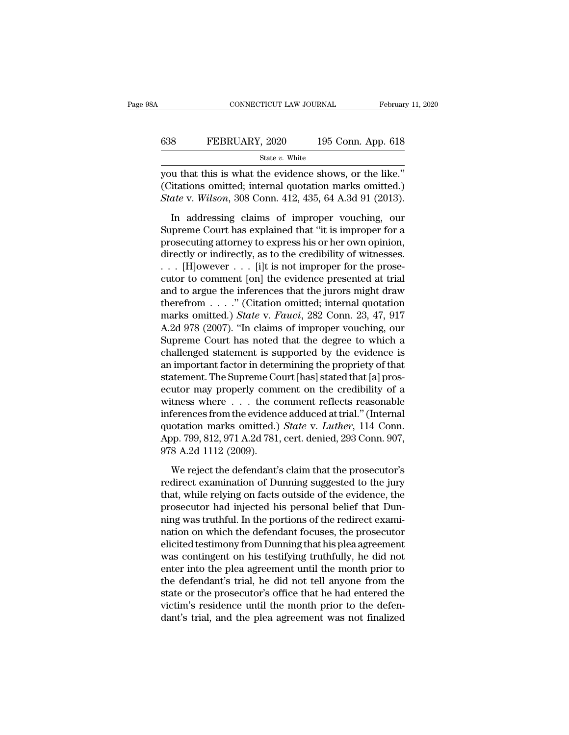| Α   | CONNECTICUT LAW JOURNAL | February 11, 2020  |
|-----|-------------------------|--------------------|
| 638 | FEBRUARY, 2020          | 195 Conn. App. 618 |
|     | State $v$ . White       |                    |

CONNECTICUT LAW JOURNAL February 11, 2<br>  $\begin{array}{r}\n 638 \text{} \text{FEBRUARY, } 2020 \text{} \text{} 195 \text{ Conn. App. 618} \\
 \hline\n \text{State } v. \text{ White} \\
 \text{you that this is what the evidence shows, or the like.'} \\
 \text{(Citations omitted; internal quotation marks omitted.)} \\
 \text{State } v. \text{Wilson, } 208 \text{ Conn. } 412, 425, 64, 4, 24, 01, (2012).\n \end{array}$ 638 FEBRUARY, 2020 195 Conn. App. 618<br>
State v. White<br>
you that this is what the evidence shows, or the like."<br>
(Citations omitted; internal quotation marks omitted.)<br>
State v. Wilson, 308 Conn. 412, 435, 64 A.3d 91 (2013 *State v. White*<br> *State v. White*<br> **State v. White**<br> **State v. Wilson, 308 Conn. 412, 435, 64 A.3d 91 (2013).**<br>
In addressing claims of improper vouching, our S<br>
ISO COM. App. 018<br>
State v. White<br>
u that this is what the evidence shows, or the like."<br>
itations omitted; internal quotation marks omitted.)<br>
ate v. Wilson, 308 Conn. 412, 435, 64 A.3d 91 (2013).<br>
In addressing claim

State v. White<br>
you that this is what the evidence shows, or the like."<br>
(Citations omitted; internal quotation marks omitted.)<br> *State* v. *Wilson*, 308 Conn. 412, 435, 64 A.3d 91 (2013).<br>
In addressing claims of imprope provided in this is what the evidence shows, or the like."<br>
(Citations omitted; internal quotation marks omitted.)<br>
State v. Wilson, 308 Conn. 412, 435, 64 A.3d 91 (2013).<br>
In addressing claims of improper vouching, our<br> (Citations omitted; internal quotation marks omitted.)<br>State v. Wilson, 308 Conn. 412, 435, 64 A.3d 91 (2013).<br>In addressing claims of improper vouching, our<br>Supreme Court has explained that "it is improper for a<br>prosecut State v. Wilson, 308 Conn. 412, 435, 64 A.3d 91 (2013).<br>In addressing claims of improper vouching, our<br>Supreme Court has explained that "it is improper for a<br>prosecuting attorney to express his or her own opinion,<br>directl In addressing claims of improper vouching, our<br>Supreme Court has explained that "it is improper for a<br>prosecuting attorney to express his or her own opinion,<br>directly or indirectly, as to the credibility of witnesses.<br> $\dots$ In addressing claims of improper vouching, our<br>Supreme Court has explained that "it is improper for a<br>prosecuting attorney to express his or her own opinion,<br>directly or indirectly, as to the credibility of witnesses.<br>... Supreme Court has explained that "it is improper for a<br>prosecuting attorney to express his or her own opinion,<br>directly or indirectly, as to the credibility of witnesses.<br>. . . [H]owever . . . [i]t is not improper for the prosecuting attorney to express his or her own opinion,<br>directly or indirectly, as to the credibility of witnesses.<br>
. . . [H]owever . . . [i]t is not improper for the prose-<br>
cutor to comment [on] the evidence presented a directly or indirectly, as to the credibility of witnesses.<br>
. . . [H]owever . . . [i]t is not improper for the prose-<br>
cutor to comment [on] the evidence presented at trial<br>
and to argue the inferences that the jurors mi  $\ldots$  [H]owever  $\ldots$  [i]t is not improper for the prosecutor to comment [on] the evidence presented at trial<br>and to argue the inferences that the jurors might draw<br>therefrom  $\ldots$ ." (Citation omitted; internal quotation<br> cutor to comment [on] the evidence presented at trial<br>and to argue the inferences that the jurors might draw<br>therefrom . . . . ." (Citation omitted; internal quotation<br>marks omitted.) *State* v. *Fauci*, 282 Conn. 23, 47, and to argue the inferences that the jurors might draw<br>therefrom  $\ldots$  ." (Citation omitted; internal quotation<br>marks omitted.) *State* v. *Fauci*, 282 Conn. 23, 47, 917<br>A.2d 978 (2007). "In claims of improper vouching, o therefrom  $\ldots$  ." (Citation omitted; internal quotation marks omitted.) *State* v. *Fauci*, 282 Conn. 23, 47, 917 A.2d 978 (2007). "In claims of improper vouching, our Supreme Court has noted that the degree to which a c marks omitted.) *State* v. *Fauci*, 282 Conn. 23, 47, 917<br>A.2d 978 (2007). "In claims of improper vouching, our<br>Supreme Court has noted that the degree to which a<br>challenged statement is supported by the evidence is<br>an im A.2d 978 (2007). "In claims of improper vouching, our<br>Supreme Court has noted that the degree to which a<br>challenged statement is supported by the evidence is<br>an important factor in determining the propriety of that<br>statem Supreme Court has noted that the degree to which a<br>challenged statement is supported by the evidence is<br>an important factor in determining the propriety of that<br>statement. The Supreme Court [has] stated that [a] pros-<br>ecu challenged statement is supported by the evidence is<br>an important factor in determining the propriety of that<br>statement. The Supreme Court [has] stated that [a] pros-<br>ecutor may properly comment on the credibility of a<br>wit an important factor in determining the propriety of that<br>statement. The Supreme Court [has] stated that [a] pros-<br>ecutor may properly comment on the credibility of a<br>witness where . . . the comment reflects reasonable<br>infe statement. The Supreme Co<br>ecutor may properly comm<br>witness where . . . the co<br>inferences from the evidenc<br>quotation marks omitted.)<br>App. 799, 812, 971 A.2d 781,<br>978 A.2d 1112 (2009).<br>We reject the defendant's thess where  $\ldots$  the comment reflects reasonable<br>ferences from the evidence adduced at trial." (Internal<br>otation marks omitted.) *State* v. *Luther*, 114 Conn.<br>pp. 799, 812, 971 A.2d 781, cert. denied, 293 Conn. 907,<br>8 A inferences from the evidence adduced at trial." (Internal<br>quotation marks omitted.) *State v. Luther*, 114 Conn.<br>App. 799, 812, 971 A.2d 781, cert. denied, 293 Conn. 907,<br>978 A.2d 1112 (2009).<br>We reject the defendant's cla

quotation marks omitted.) *State* v. *Luther*, 114 Conn.<br>App. 799, 812, 971 A.2d 781, cert. denied, 293 Conn. 907,<br>978 A.2d 1112 (2009).<br>We reject the defendant's claim that the prosecutor's<br>redirect examination of Dunning App. 799, 812, 971 A.2d 781, cert. denied, 293 Conn. 907,<br>978 A.2d 1112 (2009).<br>We reject the defendant's claim that the prosecutor's<br>redirect examination of Dunning suggested to the jury<br>that, while relying on facts outsi 978 A.2d 1112 (2009).<br>We reject the defendant's claim that the prosecutor's<br>redirect examination of Dunning suggested to the jury<br>that, while relying on facts outside of the evidence, the<br>prosecutor had injected his perso We reject the defendant's claim that the prosecutor's<br>redirect examination of Dunning suggested to the jury<br>that, while relying on facts outside of the evidence, the<br>prosecutor had injected his personal belief that Dun-<br>ni We reject the defendant's claim that the prosecutor's<br>redirect examination of Dunning suggested to the jury<br>that, while relying on facts outside of the evidence, the<br>prosecutor had injected his personal belief that Dun-<br>ni redirect examination of Dunning suggested to the jury<br>that, while relying on facts outside of the evidence, the<br>prosecutor had injected his personal belief that Dun-<br>ning was truthful. In the portions of the redirect exami that, while relying on facts outside of the evidence, the<br>prosecutor had injected his personal belief that Dun-<br>ning was truthful. In the portions of the redirect exami-<br>nation on which the defendant focuses, the prosecuto prosecutor had injected his personal belief that Dunning was truthful. In the portions of the redirect examination on which the defendant focuses, the prosecutor elicited testimony from Dunning that his plea agreement was ning was truthful. In the portions of the redirect exami-<br>nation on which the defendant focuses, the prosecutor<br>elicited testimony from Dunning that his plea agreement<br>was contingent on his testifying truthfully, he did no nation on which the defendant focuses, the prosecutor<br>elicited testimony from Dunning that his plea agreement<br>was contingent on his testifying truthfully, he did not<br>enter into the plea agreement until the month prior to<br>t elicited testimony from Dunning that his plea agreement<br>was contingent on his testifying truthfully, he did not<br>enter into the plea agreement until the month prior to<br>the defendant's trial, he did not tell anyone from the<br>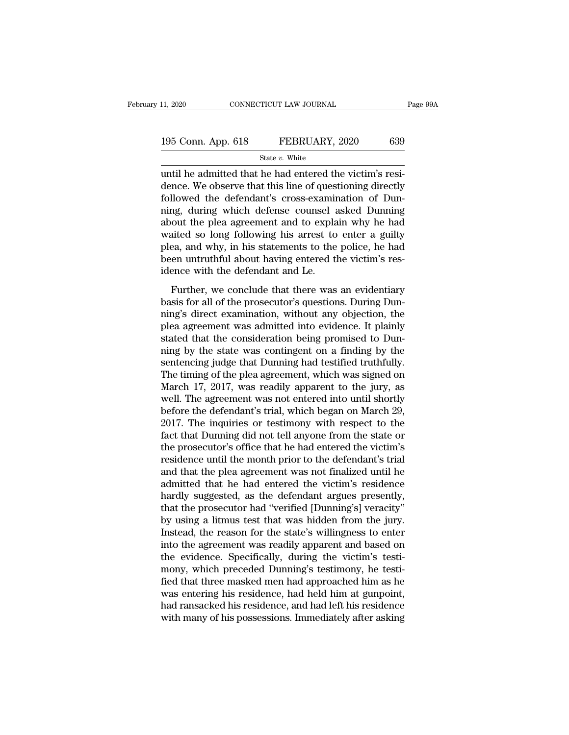| 11, 2020           | CONNECTICUT LAW JOURNAL | Page 99A |
|--------------------|-------------------------|----------|
| 195 Conn. App. 618 | FEBRUARY, 2020          | 639      |
|                    | State $v$ . White       |          |

11, 2020 CONNECTICUT LAW JOURNAL<br>
195 Conn. App. 618 FEBRUARY, 2020 639<br>  $\frac{\text{State } v. \text{ White}}{\text{until he admitted that he had entered the victim's resi-  
dence. We observe that this line of questioning directly  
following of Dun$ 195 Conn. App. 618 FEBRUARY, 2020 639<br>
State  $v$ . White<br>
until he admitted that he had entered the victim's residence. We observe that this line of questioning directly<br>
followed the defendant's cross-examination of Dun-195 Conn. App. 618 FEBRUARY, 2020 639<br>
State  $v$ . White<br>
until he admitted that he had entered the victim's residence. We observe that this line of questioning directly<br>
followed the defendant's cross-examination of Dun-<br> 195 Conn. App. 618 FEBRUARY, 2020 639<br>
State v. White<br>
until he admitted that he had entered the victim's resi-<br>
dence. We observe that this line of questioning directly<br>
followed the defendant's cross-examination of Dun-State *v*. White<br>
until he admitted that he had entered the victim's resi-<br>
dence. We observe that this line of questioning directly<br>
followed the defendant's cross-examination of Dun-<br>
ning, during which defense counsel state v. white<br>
until he admitted that he had entered the victim's resi-<br>
dence. We observe that this line of questioning directly<br>
followed the defendant's cross-examination of Dun-<br>
ning, during which defense counsel as until he admitted that he had entered the victim's resi-<br>dence. We observe that this line of questioning directly<br>followed the defendant's cross-examination of Dun-<br>ning, during which defense counsel asked Dunning<br>about th dence. We observe that this line of questioning directly followed the defendant's cross-examination of Dunning, during which defense counsel asked Dunning about the plea agreement and to explain why he had waited so long f followed the defendant's cross-examinting, during which defense counsel a<br>about the plea agreement and to expla<br>waited so long following his arrest to<br>plea, and why, in his statements to the<br>been untruthful about having en Further, we conclude that there was an evidentiary<br>sign, and why, in his statements to enter a guilty<br>ea, and why, in his statements to the police, he had<br>en untruthful about having entered the victim's res-<br>ence with the about the preaction and to explain they he had<br>waited so long following his arrest to enter a guilty<br>plea, and why, in his statements to the police, he had<br>been untruthful about having entered the victim's res-<br>idence with

maked so long following his direct to enter a galley<br>plea, and why, in his statements to the police, he had<br>been untruthful about having entered the victim's res-<br>idence with the defendant and Le.<br>Further, we conclude that plea, and *May*, in his statements to the ponet, he had<br>been untruthful about having entered the victim's res-<br>idence with the defendant and Le.<br>Further, we conclude that there was an evidentiary<br>basis for all of the prose stated that the defendant and Le.<br>
Further, we conclude that there was an evidentiary<br>
basis for all of the prosecutor's questions. During Dun-<br>
ning's direct examination, without any objection, the<br>
plea agreement was adm Further, we conclude that there was an evidentiary<br>basis for all of the prosecutor's questions. During Dun-<br>ning's direct examination, without any objection, the<br>plea agreement was admitted into evidence. It plainly<br>stated Further, we conclude that there was an evidentiary<br>basis for all of the prosecutor's questions. During Dun-<br>ning's direct examination, without any objection, the<br>plea agreement was admitted into evidence. It plainly<br>stated basis for all of the prosecutor's questions. During Dunning's direct examination, without any objection, the plea agreement was admitted into evidence. It plainly stated that the consideration being promised to Dunning by ning's direct examination, without any objection, the<br>plea agreement was admitted into evidence. It plainly<br>stated that the consideration being promised to Dun-<br>ning by the state was contingent on a finding by the<br>sentenci plea agreement was admitted into evidence. It plainly<br>stated that the consideration being promised to Dun-<br>ning by the state was contingent on a finding by the<br>sentencing judge that Dunning had testified truthfully.<br>The ti stated that the consideration being promised to Dunning by the sentencing judge that Dunning had testified truthfully.<br>The timing of the plea agreement, which was signed on March 17, 2017, was readily apparent to the jury, ning by the state was contingent on a finding by the sentencing judge that Dunning had testified truthfully.<br>The timing of the plea agreement, which was signed on March 17, 2017, was readily apparent to the jury, as well. sentencing judge that Dunning had testified truthfully.<br>The timing of the plea agreement, which was signed on<br>March 17, 2017, was readily apparent to the jury, as<br>well. The agreement was not entered into until shortly<br>befo The timing of the plea agreement, which was signed on<br>March 17, 2017, was readily apparent to the jury, as<br>well. The agreement was not entered into until shortly<br>before the defendant's trial, which began on March 29,<br>2017. March 17, 2017, was readily apparent to the jury, as<br>well. The agreement was not entered into until shortly<br>before the defendant's trial, which began on March 29,<br>2017. The inquiries or testimony with respect to the<br>fact t well. The agreement was not entered into until shortly<br>before the defendant's trial, which began on March 29,<br>2017. The inquiries or testimony with respect to the<br>fact that Dunning did not tell anyone from the state or<br>the before the defendant's trial, which began on March 29,<br>2017. The inquiries or testimony with respect to the<br>fact that Dunning did not tell anyone from the state or<br>the prosecutor's office that he had entered the victim's<br>r 2017. The inquiries or testimony with respect to the fact that Dunning did not tell anyone from the state or the prosecutor's office that he had entered the victim's residence until the month prior to the defendant's trial fact that Dunning did not tell anyone from the state or<br>the prosecutor's office that he had entered the victim's<br>residence until the month prior to the defendant's trial<br>and that the plea agreement was not finalized until the prosecutor's office that he had entered the victim's<br>residence until the month prior to the defendant's trial<br>and that the plea agreement was not finalized until he<br>admitted that he had entered the victim's residence<br>h residence until the month prior to the defendant's trial<br>and that the plea agreement was not finalized until he<br>admitted that he had entered the victim's residence<br>hardly suggested, as the defendant argues presently,<br>that and that the plea agreement was not finalized until he<br>admitted that he had entered the victim's residence<br>hardly suggested, as the defendant argues presently,<br>that the prosecutor had "verified [Dunning's] veracity"<br>by usi admitted that he had entered the victim's residence<br>hardly suggested, as the defendant argues presently,<br>that the prosecutor had "verified [Dunning's] veracity"<br>by using a litmus test that was hidden from the jury.<br>Instead hardly suggested, as the defendant argues presently,<br>that the prosecutor had "verified [Dunning's] veracity"<br>by using a litmus test that was hidden from the jury.<br>Instead, the reason for the state's willingness to enter<br>in that the prosecutor had "verified [Dunning's] veracity"<br>by using a litmus test that was hidden from the jury.<br>Instead, the reason for the state's willingness to enter<br>into the agreement was readily apparent and based on<br>th by using a litmus test that was hidden from the jury.<br>Instead, the reason for the state's willingness to enter<br>into the agreement was readily apparent and based on<br>the evidence. Specifically, during the victim's testi-<br>mon Instead, the reason for the state's willingness to enter<br>into the agreement was readily apparent and based on<br>the evidence. Specifically, during the victim's testi-<br>mony, which preceded Dunning's testimony, he testi-<br>fied into the agreement was readily apparent and based on<br>the evidence. Specifically, during the victim's testi-<br>mony, which preceded Dunning's testimony, he testi-<br>fied that three masked men had approached him as he<br>was enteri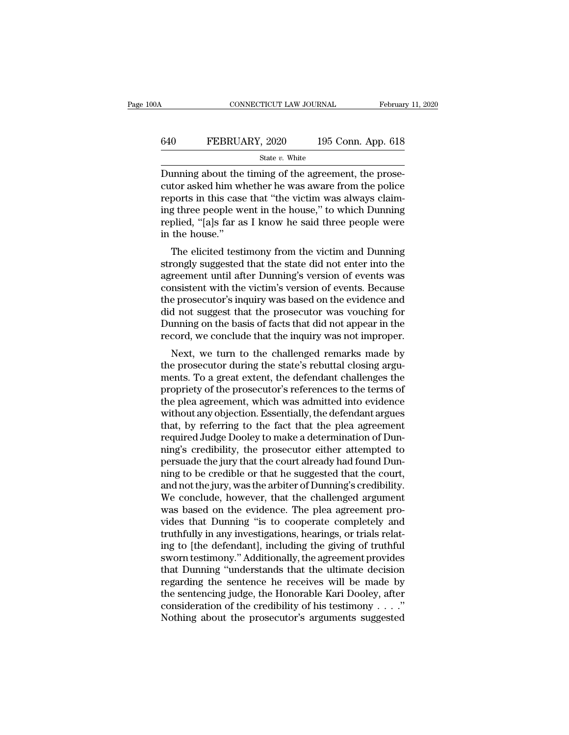## CONNECTICUT LAW JOURNAL February 11, 2020<br>640 FEBRUARY, 2020 195 Conn. App. 618<br>5tate v. White State *v.* White

 $\begin{array}{lll} \text{COMPECTICUT LAW JOURNAL} & \text{Februar} \ \hline \end{array}$ <br>  $\begin{array}{lll} \text{640} & \text{FEBRUARY, 2020} & \text{195 Conn. App. 618} \ \text{State } v. \text{ White} \ \hline \end{array}$ <br>
Dunning about the timing of the agreement, the prose-<br>
cutor asked him whether he was aware from the polic EXEMBRY, 2020 195 Conn. App. 618<br>
State v. White<br>
Dunning about the timing of the agreement, the prose-<br>
cutor asked him whether he was aware from the police<br>
reports in this case that "the victim was always claim-<br>
ing t FEBRUARY, 2020 195 Conn. App. 618<br>
State v. White<br>
Dunning about the timing of the agreement, the prose-<br>
cutor asked him whether he was aware from the police<br>
reports in this case that "the victim was always claim-<br>
ing **640** FEBRUARY, 2020 195 Conn. App. 618<br>
State v. White<br>
Dunning about the timing of the agreement, the prose-<br>
cutor asked him whether he was aware from the police<br>
reports in this case that "the victim was always claim-State v. White<br>
Dunning about the timing of the agreement, the prose-<br>
cutor asked him whether he was aware from the police<br>
reports in this case that "the victim was always claim-<br>
ing three people went in the house," to Dunning about the<br>cutor asked him wl<br>reports in this case<br>ing three people w<br>replied, "[a]s far a:<br>in the house."<br>The elicited test: munig about the thing of the agreement, the prose-<br>tor asked him whether he was aware from the police<br>ports in this case that "the victim was always claim-<br>g three people went in the house," to which Dunning<br>plied, "[a]s f cutor asked finit whether he was aware from the police<br>reports in this case that "the victim was always claim-<br>ing three people went in the house," to which Dunning<br>replied, "[a]s far as I know he said three people were<br>in

reports in this case that the victim was always claim-<br>ing three people went in the house," to which Dunning<br>replied, "[a]s far as I know he said three people were<br>in the house."<br>The elicited testimony from the victim and replied, "[a]s far as I know he said three people were<br>in the house."<br>The elicited testimony from the victim and Dunning<br>strongly suggested that the state did not enter into the<br>agreement until after Dunning's version of e The elicited testimony from the victim and Dunning<br>
in the house."<br>
The elicited testimony from the victim and Dunning<br>
strongly suggested that the state did not enter into the<br>
agreement until after Dunning's version of e The elicited testimony from the victim and Dunning<br>strongly suggested that the state did not enter into the<br>agreement until after Dunning's version of events was<br>consistent with the victim's version of events. Because<br>the The elicited testimony from the victim and Dunning<br>strongly suggested that the state did not enter into the<br>agreement until after Dunning's version of events was<br>consistent with the victim's version of events. Because<br>the strongly suggested that the state did not enter into the agreement until after Dunning's version of events was consistent with the victim's version of events. Because the prosecutor's inquiry was based on the evidence and reement until after Durining's version of events was<br>msistent with the victim's version of events. Because<br>e prosecutor's inquiry was based on the evidence and<br>d not suggest that the prosecutor was vouching for<br>mming on th to issue with the victim's version of events. Because<br>the prosecutor's inquiry was based on the evidence and<br>did not suggest that the prosecutor was vouching for<br>Dunning on the basis of facts that did not appear in the<br>rec

the prosecutor's inquiry was based on the evidence and<br>did not suggest that the prosecutor was vouching for<br>Dunning on the basis of facts that did not appear in the<br>record, we conclude that the inquiry was not improper.<br>Ne did not suggest that the prosecutor was volucining for<br>Dunning on the basis of facts that did not appear in the<br>record, we conclude that the inquiry was not improper.<br>Next, we turn to the challenged remarks made by<br>the pro During on the basis of facts that the hold appear in the<br>record, we conclude that the inquiry was not improper.<br>Next, we turn to the challenged remarks made by<br>the prosecutor during the state's rebuttal closing argu-<br>ments record, we conclude that the inquiry was not improper.<br>Next, we turn to the challenged remarks made by<br>the prosecutor during the state's rebuttal closing argu-<br>ments. To a great extent, the defendant challenges the<br>proprie Next, we turn to the challenged remarks made by<br>the prosecutor during the state's rebuttal closing argu-<br>ments. To a great extent, the defendant challenges the<br>propriety of the prosecutor's references to the terms of<br>the p the prosecutor during the state's rebuttal closing arguments. To a great extent, the defendant challenges the propriety of the prosecutor's references to the terms of the plea agreement, which was admitted into evidence wi ments. To a great extent, the defendant challenges the<br>propriety of the prosecutor's references to the terms of<br>the plea agreement, which was admitted into evidence<br>without any objection. Essentially, the defendant argues<br> propriety of the prosecutor's references to the terms of<br>the plea agreement, which was admitted into evidence<br>without any objection. Essentially, the defendant argues<br>that, by referring to the fact that the plea agreement<br> the plea agreement, which was admitted into evidence<br>without any objection. Essentially, the defendant argues<br>that, by referring to the fact that the plea agreement<br>required Judge Dooley to make a determination of Dun-<br>nin without any objection. Essentially, the defendant argues<br>that, by referring to the fact that the plea agreement<br>required Judge Dooley to make a determination of Dun-<br>ning's credibility, the prosecutor either attempted to<br>p that, by referring to the fact that the plea agreement<br>required Judge Dooley to make a determination of Dun-<br>ning's credibility, the prosecutor either attempted to<br>persuade the jury that the court already had found Dun-<br>ni required Judge Dooley to make a determination of Dunning's credibility, the prosecutor either attempted to persuade the jury that the court already had found Dunning to be credible or that he suggested that the court, and ning's credibility, the prosecutor either attempted to<br>persuade the jury that the court already had found Dun-<br>ning to be credible or that he suggested that the court,<br>and not the jury, was the arbiter of Dunning's credibi persuade the jury that the court already had found Dunning to be credible or that he suggested that the court, and not the jury, was the arbiter of Dunning's credibility. We conclude, however, that the challenged argument ning to be credible or that he suggested that the court,<br>and not the jury, was the arbiter of Dunning's credibility.<br>We conclude, however, that the challenged argument<br>was based on the evidence. The plea agreement pro-<br>vid and not the jury, was the arbiter of Dunning's credibility.<br>We conclude, however, that the challenged argument<br>was based on the evidence. The plea agreement pro-<br>vides that Dunning "is to cooperate completely and<br>truthfull We conclude, however, that the challenged argument<br>was based on the evidence. The plea agreement pro-<br>vides that Dunning "is to cooperate completely and<br>truthfully in any investigations, hearings, or trials relat-<br>ing to [ was based on the evidence. The plea agreement provides that Dunning "is to cooperate completely and truthfully in any investigations, hearings, or trials relating to [the defendant], including the giving of truthful sworn vides that Dunning "is to cooperate completely and<br>truthfully in any investigations, hearings, or trials relat-<br>ing to [the defendant], including the giving of truthful<br>sworn testimony." Additionally, the agreement provide truthfully in any investigations, hearings, or trials relating to [the defendant], including the giving of truthful<br>sworn testimony." Additionally, the agreement provides<br>that Dunning "understands that the ultimate decisi ing to [the defendant], including the giving of truthful sworn testimony." Additionally, the agreement provides that Dunning "understands that the ultimate decision regarding the sentence he receives will be made by the s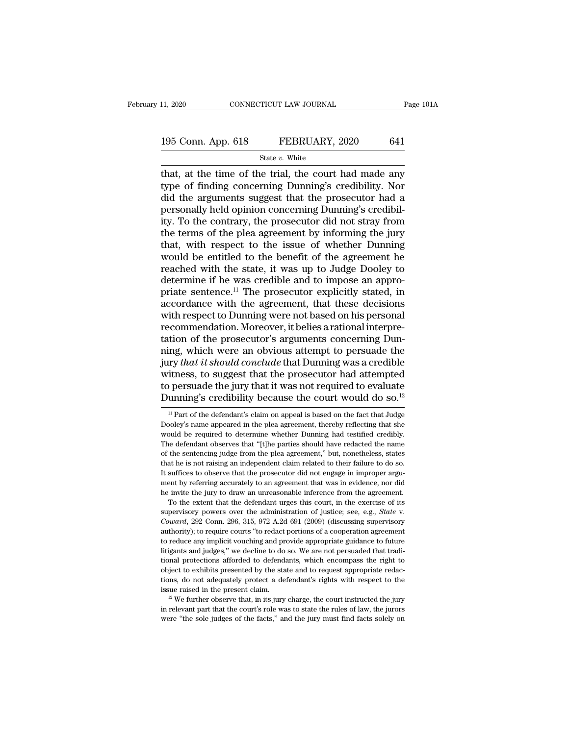# 11, 2020 CONNECTICUT LAW JOURNAL Page 101A<br>195 Conn. App. 618 FEBRUARY, 2020 641<br>State v. White

#### State *v.* White

the time of the trial, the court had made any<br>discrete that, at the time of the trial, the court had made any<br>type of finding concerning Dunning's credibility. Nor<br>did the arguments suggest that the prosecutor had a 195 Conn. App. 618 FEBRUARY, 2020 641<br>
State v. White<br>
that, at the time of the trial, the court had made any<br>
type of finding concerning Dunning's credibility. Nor<br>
did the arguments suggest that the prosecutor had a<br>
pe 195 Conn. App. 618 FEBRUARY, 2020 641<br>
State v. White<br>
that, at the time of the trial, the court had made any<br>
type of finding concerning Dunning's credibility. Nor<br>
did the arguments suggest that the prosecutor had a<br>
pe 195 Conn. App. 618 FEBRUARY, 2020 641<br>
State *v*. White<br>
that, at the time of the trial, the court had made any<br>
type of finding concerning Dunning's credibility. Nor<br>
did the arguments suggest that the prosecutor had a<br> State v. White<br>
State v. White<br>
that, at the time of the trial, the court had made any<br>
type of finding concerning Dunning's credibility. Nor<br>
did the arguments suggest that the prosecutor had a<br>
personally held opinion c State  $v$ . White<br>that, at the time of the trial, the court had made any<br>type of finding concerning Dunning's credibility. Nor<br>did the arguments suggest that the prosecutor had a<br>personally held opinion concerning Dunning' that, at the time of the trial, the court had made any<br>type of finding concerning Dunning's credibility. Nor<br>did the arguments suggest that the prosecutor had a<br>personally held opinion concerning Dunning's credibil-<br>ity. T type of finding concerning Dunning's credibility. Nor<br>did the arguments suggest that the prosecutor had a<br>personally held opinion concerning Dunning's credibil-<br>ity. To the contrary, the prosecutor did not stray from<br>the t did the arguments suggest that the prosecutor had a<br>personally held opinion concerning Dunning's credibil-<br>ity. To the contrary, the prosecutor did not stray from<br>the terms of the plea agreement by informing the jury<br>that, personally held opinion concerning Dunning's credibil-<br>ity. To the contrary, the prosecutor did not stray from<br>the terms of the plea agreement by informing the jury<br>that, with respect to the issue of whether Dunning<br>would ity. To the contrary, the prosecutor did not stray from<br>the terms of the plea agreement by informing the jury<br>that, with respect to the issue of whether Dunning<br>would be entitled to the benefit of the agreement he<br>reached the terms of the plea agreement by informing the jury<br>that, with respect to the issue of whether Dunning<br>would be entitled to the benefit of the agreement he<br>reached with the state, it was up to Judge Dooley to<br>determine i that, with respect to the issue of whether Dunning<br>would be entitled to the benefit of the agreement he<br>reached with the state, it was up to Judge Dooley to<br>determine if he was credible and to impose an appro-<br>priate sente would be entitled to the benefit of the agreement he<br>reached with the state, it was up to Judge Dooley to<br>determine if he was credible and to impose an appro-<br>priate sentence.<sup>11</sup> The prosecutor explicitly stated, in<br>accor reached with the state, it was up to Judge Dooley to<br>determine if he was credible and to impose an appro-<br>priate sentence.<sup>11</sup> The prosecutor explicitly stated, in<br>accordance with the agreement, that these decisions<br>with r determine if he was credible and to impose an appro-<br>priate sentence.<sup>11</sup> The prosecutor explicitly stated, in<br>accordance with the agreement, that these decisions<br>with respect to Dunning were not based on his personal<br>reco priate sentence.<sup>11</sup> The prosecutor explicitly stated, in accordance with the agreement, that these decisions with respect to Dunning were not based on his personal recommendation. Moreover, it belies a rational interpreta accordance with the agreement, that these decisions<br>with respect to Dunning were not based on his personal<br>recommendation. Moreover, it belies a rational interpre-<br>tation of the prosecutor's arguments concerning Dun-<br>ning with respect to Dunning were not based on his personal<br>recommendation. Moreover, it belies a rational interpre-<br>tation of the prosecutor's arguments concerning Dun-<br>ning, which were an obvious attempt to persuade the<br>jury recommendation. Moreover, it belies a rational interpretation of the prosecutor's arguments concerning Dunning, which were an obvious attempt to persuade the jury *that it should conclude* that Dunning was a credible witn In the defendant of the defendant's claim on appeal is based on the fact that Judge in Part of the defendant's claim on appeal is based on the fact that Judge and Part of the defendant's claim on appeal is based on the fa witness, to suggest that the prosecutor had attempted<br>to persuade the jury that it was not required to evaluate<br>Dunning's credibility because the court would do so.<sup>12</sup><br> $\frac{11}{11}$  Part of the defendant's claim on appeal

to persuade the jury that it was not required to evaluate<br>Dunning's credibility because the court would do so.<sup>12</sup><br> $\frac{1}{11}$ Part of the defendant's claim on appeal is based on the fact that Judge<br>Dooley's name appeared i Dunning's credibility because the court would do so.<sup>12</sup><br><sup>11</sup> Part of the defendant's claim on appeal is based on the fact that Judge<br>Dooley's name appeared in the plea agreement, thereby reflecting that she<br>would be requ DUITING SCPECIDITY DECAUSE LIFE COULT WOULD 100 SO.<br>
<sup>11</sup> Part of the defendant's claim on appeal is based on the fact that Judge<br>
Dooley's name appeared in the plea agreement, thereby reflecting that she<br>
would be requir <sup>11</sup> Part of the defendant's claim on appeal is based on the fact that Judge Dooley's name appeared in the plea agreement, thereby reflecting that she would be required to determine whether Dunning had testified credibly. Dooley's name appeared in the plea agreement, thereby reflecting that she<br>would be required to determine whether Dunning had testified credibly.<br>The defendant observes that "[t]he parties should have redacted the name<br>of t would be required to determine whether Dunning had testified credibly.<br>The defendant observes that "[t]he parties should have redacted the name<br>of the sentencing judge from the plea agreement," but, nonetheless, states<br>tha The defendant observes that "[t]he parties should have redacted the name of the sentencing judge from the plea agreement," but, nonetheless, states that he is not raising an independent claim related to their failure to d the sentencing judge from the plea agreement," but, nonetheless, states at he is not raising an independent claim related to their failure to do so. suffices to observe that the prosecutor did not engage in improper arguen over the administration of justice; see, e.g., *State* v. *Coward*, 292 Conn. 296, 315, 972 A.2d 691 (2009) (discussing supervisory authority); to require courts "to edact portions of a cooperation agreement.

abuthority); to require courts ''to an agreement that was in evidence, nor did<br>the invite the jury to draw an unreasonable inference from the agreement.<br>To the extent that the defendant urges this court, in the exercise of the invite the jury to draw an unreasonable inference from the agreement.<br>To the extent that the defendant urges this court, in the exercise of its supervisory powers over the administration of justice; see, e.g., *State* To the extent that the defendant urges this court, in the exercise of its supervisory powers over the administration of justice; see, e.g., *State v. Coward*, 292 Conn. 296, 315, 972 A.2d 691 (2009) (discussing supervisory supervisory powers over the administration of justice; see, e.g., *State v.* Coward, 292 Conn. 296, 315, 972 A.2d 691 (2009) (discussing supervisory authority); to require courts "to redact portions of a cooperation agreem *Coward*, 292 Conn. 296, 315, 972 A.2d 691 (2009) (discussing supervisory authority); to require courts "to redact portions of a cooperation agreement to reduce any implicit vouching and provide appropriate guidance to fut authority); to require courts "to redact portions of a cooperation agreement to reduce any implicit vouching and provide appropriate guidance to future litigants and judges," we decline to do so. We are not persuaded that to reduce any implicit vouching and provide appropriate guidance to future litigants and judges," we decline to do so. We are not persuaded that traditional protections afforded to defendants, which encompass the right to litigants and judges," we decline to do so. We are not persuaded that traditional protections afforded to defendants, which encompass the right to object to exhibits presented by the state and to request appropriate redac object to exhibits presented by the state and to request appropriate redac-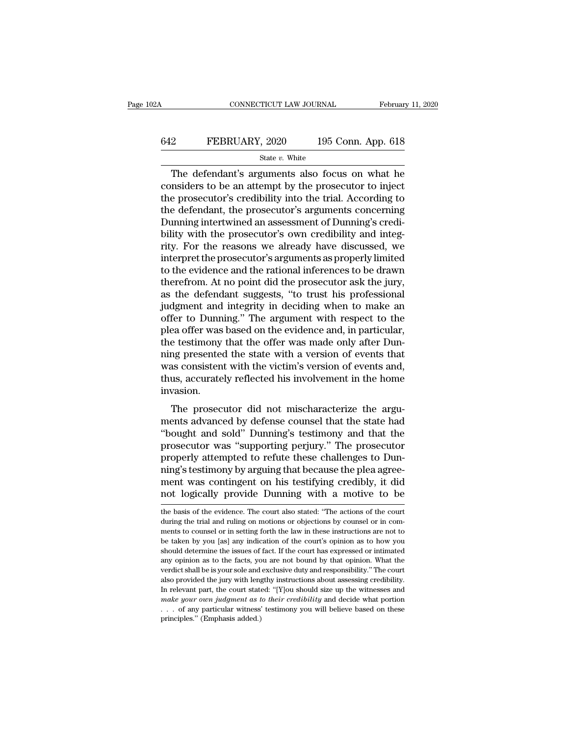## CONNECTICUT LAW JOURNAL February 11, 2020<br>642 FEBRUARY, 2020 195 Conn. App. 618<br>5tate v. White State *v.* White

CONNECTICUT LAW JOURNAL February 11, 2020<br>
2 FEBRUARY, 2020 195 Conn. App. 618<br>
5tate *v*. White<br>
The defendant's arguments also focus on what he<br>
msiders to be an attempt by the prosecutor to inject<br>
a prosecutor's credi EXEMBRUARY, 2020 195 Conn. App. 618<br>
State v. White<br>
The defendant's arguments also focus on what he<br>
considers to be an attempt by the prosecutor to inject<br>
the prosecutor's credibility into the trial. According to<br>
the FEBRUARY, 2020 195 Conn. App. 618<br>  $\frac{\text{State } v. \text{ White}}{\text{The defendant's arguments also focus on what he} }$ <br>
considers to be an attempt by the prosecutor to inject<br>
the prosecutor's credibility into the trial. According to<br>
the defendant, the prosecutor's argumen FEBRUARY, 2020 195 Conn. App. 618<br>
State v. White<br>
The defendant's arguments also focus on what he<br>
considers to be an attempt by the prosecutor to inject<br>
the prosecutor's credibility into the trial. According to<br>
the de State v. White<br>
The defendant's arguments also focus on what he<br>
considers to be an attempt by the prosecutor to inject<br>
the prosecutor's credibility into the trial. According to<br>
the defendant, the prosecutor's arguments  $\frac{\text{state } v. \text{ White}}{\text{The defendant's arguments also focus on what he considers to be an attempt by the processor to inject the processor's credibility into the trial. According to the defendant, the processor's arguments concerning Dunning intertwined an assessment of Dunning's credibility with the processor's own credibility and integrity. For the reasons we already have discussed, we interpret the processor's arguments as properly limited.$ The defendant's arguments also focus on what he considers to be an attempt by the prosecutor to inject<br>the prosecutor's credibility into the trial. According to<br>the defendant, the prosecutor's arguments concerning<br>Dunning considers to be an attempt by the prosecutor to inject<br>the prosecutor's credibility into the trial. According to<br>the defendant, the prosecutor's arguments concerning<br>Dunning intertwined an assessment of Dunning's credi-<br>bi the prosecutor's credibility into the trial. According to<br>the defendant, the prosecutor's arguments concerning<br>Dunning intertwined an assessment of Dunning's credi-<br>bility with the prosecutor's own credibility and integ-<br>r the defendant, the prosecutor's arguments concerning<br>Dunning intertwined an assessment of Dunning's credi-<br>bility with the prosecutor's own credibility and integ-<br>rity. For the reasons we already have discussed, we<br>interpr Dunning intertwined an assessment of Dunning's credibility with the prosecutor's own credibility and integrity. For the reasons we already have discussed, we interpret the prosecutor's arguments as properly limited to the bility with the prosecutor's own credibility and integrity. For the reasons we already have discussed, we interpret the prosecutor's arguments as properly limited to the evidence and the rational inferences to be drawn the rity. For the reasons we already have discussed, we<br>interpret the prosecutor's arguments as properly limited<br>to the evidence and the rational inferences to be drawn<br>therefrom. At no point did the prosecutor ask the jury,<br>a interpret the prosecutor's arguments as properly limited<br>to the evidence and the rational inferences to be drawn<br>therefrom. At no point did the prosecutor ask the jury,<br>as the defendant suggests, "to trust his professional to the evidence and the rational inferences to be drawn<br>therefrom. At no point did the prosecutor ask the jury,<br>as the defendant suggests, "to trust his professional<br>judgment and integrity in deciding when to make an<br>offer therefrom. At no point did the prosecutor ask the jury,<br>as the defendant suggests, "to trust his professional<br>judgment and integrity in deciding when to make an<br>offer to Dunning." The argument with respect to the<br>plea offe as the defendant suggests, "to trust his professional<br>judgment and integrity in deciding when to make an<br>offer to Dunning." The argument with respect to the<br>plea offer was based on the evidence and, in particular,<br>the test judgment and integrity in deciding when to make an offer to Dunning." The argument with respect to the plea offer was based on the evidence and, in particular, the testimony that the offer was made only after Dunning prese invasion. Existed on the evidence and, in particular,<br>the testimony that the offer was made only after Dun-<br>has consistent with the victim's version of events and,<br>us, accurately reflected his involvement in the home<br>vasion.<br>The pro ing presented the state with a version of events that<br>was consistent with the victim's version of events and,<br>thus, accurately reflected his involvement in the home<br>invasion.<br>The prosecutor did not mischaracterize the argu

thus presented the state with a version of events that<br>
was consistent with the victim's version of events and,<br>
thus, accurately reflected his involvement in the home<br>
invasion.<br>
The prosecutor did not mischaracterize the was consistent with the vielant's version of events and,<br>thus, accurately reflected his involvement in the home<br>invasion.<br>The prosecutor did not mischaracterize the argu-<br>ments advanced by defense counsel that the state ha mas, accurately reneed in show overtern in the none<br>invasion.<br>The prosecutor did not mischaracterize the argu-<br>ments advanced by defense counsel that the state had<br>"bought and sold" Dunning's testimony and that the<br>prosecu The prosecutor did not mischaracterize the arguments advanced by defense counsel that the state had<br>"bought and sold" Dunning's testimony and that the<br>prosecutor was "supporting perjury." The prosecutor<br>properly attempted The prosecutor did not mischaracterize the arguments advanced by defense counsel that the state had "bought and sold" Dunning's testimony and that the prosecutor was "supporting perjury." The prosecutor properly attempted ments advanced by defense counsel that the state had<br>"bought and sold" Dunning's testimony and that the<br>prosecutor was "supporting perjury." The prosecutor<br>properly attempted to refute these challenges to Dun-<br>ning's testi properly attempted to refute these challenges to Dunning's testimony by arguing that because the plea agreement was contingent on his testifying credibly, it did not logically provide Dunning with a motive to be the basis ning's testimony by arguing that because the plea agreement was contingent on his testifying credibly, it did<br>not logically provide Dunning with a motive to be<br>the basis of the evidence. The court also stated: "The actions

ment was contingent on his testifying credibly, it did<br>not logically provide Dunning with a motive to be<br>the basis of the evidence. The court also stated: "The actions of the court<br>during the trial and ruling on motions or be the basis of the evidence. The court also stated: "The actions of the court<br>the basis of the evidence. The court also stated: "The actions of the court<br>during the trial and ruling on motions or objections by counsel or show to determine the issues of fact. If the court are interested to be the basis of the evidence. The court also stated: "The actions of the court during the trial and ruling on motions or objections by counsel or in comm the basis of the evidence. The court also stated: "The actions of the court<br>during the trial and ruling on motions or objections by counsel or in com-<br>ments to counsel or in setting forth the law in these instructions are during the trial and ruling on motions or objections by counsel or in com-<br>ments to counsel or in setting forth the law in these instructions are not to<br>be taken by you [as] any indication of the court's opinion as to how also provided the jury with lengthy instructions are not to be taken by you [as] any indication of the court's opinion as to how you should determine the issues of fact. If the court has expressed or intimated any opinion In the taken by you [as] any indication of the court's opinion as to how you should determine the issues of fact. If the court has expressed or intimated any opinion as to the facts, you are not bound by that opinion. Wha *make your our judgment as to their credibility* and decide what portion as to the facts, you are not bound by that opinion. What the verdict shall be is your sole and exclusive duty and responsibility." The court also pro any opinion as to the facts, you are not bound by that opinion. What the verdict shall be is your sole and exclusive duty and responsibility." The court also provided the jury with lengthy instructions about assessing cre any opinion as to the facts, you are not bound by that opinion. What the verdict shall be is your sole and exclusive duty and responsibility." The court also provided the jury with lengthy instructions about assessing cre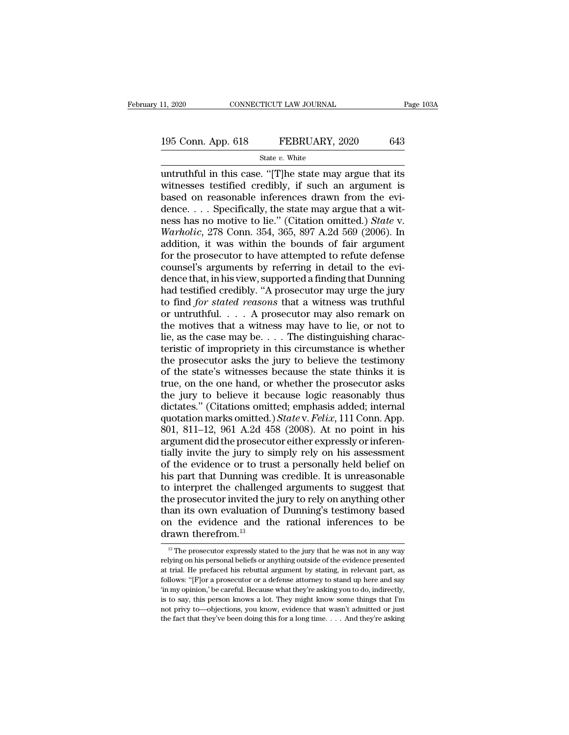# 11, 2020 CONNECTICUT LAW JOURNAL Page 103A<br>195 Conn. App. 618 FEBRUARY, 2020 643<br>State v. White

State *v.* White

11, 2020 CONNECTICUT LAW JOURNAL Page 103A<br>
195 Conn. App. 618 FEBRUARY, 2020 643<br>
State v. White<br>
untruthful in this case. "[T]he state may argue that its<br>
witnesses testified credibly, if such an argument is<br>
hased on r 195 Conn. App. 618 FEBRUARY, 2020 643<br>
State v. White<br>
untruthful in this case. "[T]he state may argue that its<br>
witnesses testified credibly, if such an argument is<br>
based on reasonable inferences drawn from the evi-<br>
de 195 Conn. App. 618 FEBRUARY, 2020 643<br>
State v. White<br>
untruthful in this case. "[T]he state may argue that its<br>
witnesses testified credibly, if such an argument is<br>
based on reasonable inferences drawn from the evi-<br>
de 195 Conn. App. 618 FEBRUARY, 2020 643<br>
State *v*. White<br>
untruthful in this case. "[T]he state may argue that its<br>
witnesses testified credibly, if such an argument is<br>
based on reasonable inferences drawn from the evi-<br> State *v.* White<br>
untruthful in this case. "[T]he state may argue that its<br>
witnesses testified credibly, if such an argument is<br>
based on reasonable inferences drawn from the evi-<br>
dence.... Specifically, the state may a State *v*. White<br>
untruthful in this case. "[T]he state may argue that its<br>
witnesses testified credibly, if such an argument is<br>
based on reasonable inferences drawn from the evi-<br>
dence.... Specifically, the state may ar untruthful in this case. "[T]he state may argue that its<br>witnesses testified credibly, if such an argument is<br>based on reasonable inferences drawn from the evi-<br>dence.... Specifically, the state may argue that a wit-<br>ness witnesses testified credibly, if such an argument is<br>based on reasonable inferences drawn from the evi-<br>dence.... Specifically, the state may argue that a wit-<br>ness has no motive to lie." (Citation omitted.) *State* v.<br>*W* based on reasonable inferences drawn from the evi-<br>dence. . . . Specifically, the state may argue that a wit-<br>ness has no motive to lie." (Citation omitted.) *State* v.<br>*Warholic*, 278 Conn. 354, 365, 897 A.2d 569 (2006). dence. . . . Specifically, the state may argue that a wit-<br>ness has no motive to lie." (Citation omitted.) *State* v.<br>*Warholic*, 278 Conn. 354, 365, 897 A.2d 569 (2006). In<br>addition, it was within the bounds of fair argum ness has no motive to lie." (Citation omitted.) *State* v.<br>Warholic, 278 Conn. 354, 365, 897 A.2d 569 (2006). In<br>addition, it was within the bounds of fair argument<br>for the prosecutor to have attempted to refute defense<br>co Warholic, 278 Conn. 354, 365, 897 A.2d 569 (2006). In addition, it was within the bounds of fair argument for the prosecutor to have attempted to refute defense counsel's arguments by referring in detail to the evidence th addition, it was within the bounds of fair argument<br>for the prosecutor to have attempted to refute defense<br>counsel's arguments by referring in detail to the evi-<br>dence that, in his view, supported a finding that Dunning<br>h for the prosecutor to have attempted to refute defense<br>counsel's arguments by referring in detail to the evi-<br>dence that, in his view, supported a finding that Dunning<br>had testified credibly. "A prosecutor may urge the ju for the prosecutor to have attempted to refute defense<br>counsel's arguments by referring in detail to the evi-<br>dence that, in his view, supported a finding that Dunning<br>had testified credibly. "A prosecutor may urge the ju dence that, in his view, supported a finding that Dunning<br>had testified credibly. "A prosecutor may urge the jury<br>to find *for stated reasons* that a witness was truthful<br>or untruthful.... A prosecutor may also remark on<br> had testified credibly. "A prosecutor may urge the jury<br>to find *for stated reasons* that a witness was truthful<br>or untruthful.... A prosecutor may also remark on<br>the motives that a witness may have to lie, or not to<br>lie, to find *for stated reasons* that a witness was truthful<br>or untruthful.... A prosecutor may also remark on<br>the motives that a witness may have to lie, or not to<br>lie, as the case may be.... The distinguishing charac-<br>teris or untruthful. . . . A prosecutor may also remark on<br>the motives that a witness may have to lie, or not to<br>lie, as the case may be. . . . The distinguishing charac-<br>teristic of impropriety in this circumstance is whether<br> the motives that a witness may have to lie, or not to lie, as the case may be. . . . The distinguishing characteristic of impropriety in this circumstance is whether the prosecutor asks the jury to believe the testimony o lie, as the case may be.... The distinguishing characteristic of impropriety in this circumstance is whether the prosecutor asks the jury to believe the testimony of the state's witnesses because the state thinks it is tr teristic of impropriety in this circumstance is whether<br>the prosecutor asks the jury to believe the testimony<br>of the state's witnesses because the state thinks it is<br>true, on the one hand, or whether the prosecutor asks<br>th the prosecutor asks the jury to believe the testimony<br>of the state's witnesses because the state thinks it is<br>true, on the one hand, or whether the prosecutor asks<br>the jury to believe it because logic reasonably thus<br>dict of the state's witnesses because the state thinks it is<br>true, on the one hand, or whether the prosecutor asks<br>the jury to believe it because logic reasonably thus<br>dictates." (Citations omitted; emphasis added; internal<br>qu true, on the one hand, or whether the prosecutor asks<br>the jury to believe it because logic reasonably thus<br>dictates." (Citations omitted; emphasis added; internal<br>quotation marks omitted.) State v. Felix, 111 Conn. App.<br>80 the jury to believe it because logic reasonably thus<br>dictates." (Citations omitted; emphasis added; internal<br>quotation marks omitted.) *State* v. *Felix*, 111 Conn. App.<br>801, 811–12, 961 A.2d 458 (2008). At no point in his dictates." (Citations omitted; emphasis added; internal<br>quotation marks omitted.) *State* v. *Felix*, 111 Conn. App.<br>801, 811–12, 961 A.2d 458 (2008). At no point in his<br>argument did the prosecutor either expressly or infe quotation marks omitted.)  $State$  v.  $Felix$ , 111 Conn. App. 801, 811–12, 961 A.2d 458 (2008). At no point in his argument did the prosecutor either expressly or inferentially invite the jury to simply rely on his assessment of 801, 811–12, 961 A.2d 458 (2008). At no point in his argument did the prosecutor either expressly or inferentially invite the jury to simply rely on his assessment of the evidence or to trust a personally held belief on h argument did the prosecutor either expressly or inferentially invite the jury to simply rely on his assessment<br>of the evidence or to trust a personally held belief on<br>his part that Dunning was credible. It is unreasonable<br> tially invite the jury to simply rely on his assessment<br>of the evidence or to trust a personally held belief on<br>his part that Dunning was credible. It is unreasonable<br>to interpret the challenged arguments to suggest that<br>t % of the evidence or to tru<br>his part that Dunning wa<br>to interpret the challeng<br>the prosecutor invited the<br>than its own evaluation of<br>on the evidence and the<br>drawn therefrom.<sup>13</sup> ie prosecutor invited the jury to rely on anything other<br>nan its own evaluation of Dunning's testimony based<br>n the evidence and the rational inferences to be<br>rawn therefrom.<sup>13</sup><br><sup>13</sup> The prosecutor expressly stated to the than its own evaluation of Dunning's testimony based<br>on the evidence and the rational inferences to be<br>drawn therefrom.<sup>13</sup><br> $\frac{13}{12}$  The prosecutor expressly stated to the jury that he was not in any way<br>relying on his

at trial. He evidence and the rational inferences to be drawn therefrom.<sup>13</sup><br>
<sup>13</sup> The prosecutor expressly stated to the jury that he was not in any way relying on his personal beliefs or anything outside of the evidence follows: "<br>
<sup>13</sup> The prosecutor expressly stated to the jury that he was not in any way<br>
relying on his personal beliefs or anything outside of the evidence presented<br>
at trial. He prefaced his rebuttal argument by stating The prosecutor expressly stated to the jury that he was not in any way<br>  $\frac{1}{10}$  The prosecutor expressly stated to the jury that he was not in any way<br>
relying on his personal beliefs or anything outside of the evidenc <sup>13</sup> The prosecutor expressly stated to the jury that he was not in any way relying on his personal beliefs or anything outside of the evidence presented at trial. He prefaced his rebuttal argument by stating, in relevant relying on his personal beliefs or anything outside of the evidence presented at trial. He prefaced his rebuttal argument by stating, in relevant part, as follows: "[F]or a prosecutor or a defense attorney to stand up her at trial. He prefaced his rebuttal argument by stating, in relevant part, as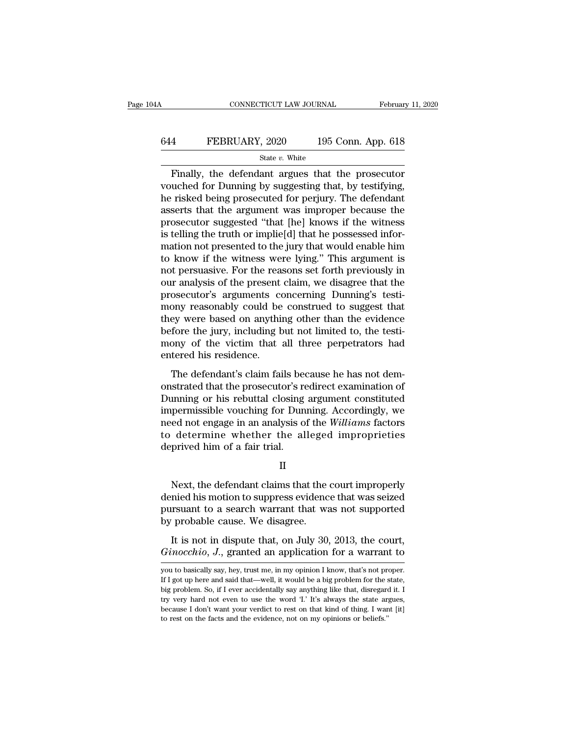## CONNECTICUT LAW JOURNAL February 11, 2020<br>644 FEBRUARY, 2020 195 Conn. App. 618<br>5tate v. White State *v.* White

February 11, 2020<br>
February 11, 2020<br>
FEBRUARY, 2020 195 Conn. App. 618<br>
State v. White<br>
Finally, the defendant argues that the prosecutor<br>
uched for Dunning by suggesting that, by testifying,<br>
risked being prosecuted for EXEMBRUARY, 2020 195 Conn. App. 618<br>
State v. White<br>
Finally, the defendant argues that the prosecutor<br>
vouched for Dunning by suggesting that, by testifying,<br>
the risked being prosecuted for perjury. The defendant<br>
asser FEBRUARY, 2020 195 Conn. App. 618<br>
State v. White<br>
Finally, the defendant argues that the prosecutor<br>
vouched for Dunning by suggesting that, by testifying,<br>
the risked being prosecuted for perjury. The defendant<br>
asserts FEBRUARY, 2020 195 Conn. App. 618<br>  $\frac{\text{State } v. \text{ White}}{\text{Finally, the defendant argues that the processor}}$ <br>
vouched for Dunning by suggesting that, by testifying,<br>
the risked being prosecuted for perjury. The defendant<br>
asserts that the argument was improper becau Since The<br>
State v. White<br>
Finally, the defendant argues that the prosecutor<br>
vouched for Dunning by suggesting that, by testifying,<br>
he risked being prosecuted for perjury. The defendant<br>
asserts that the argument was im state v. White<br>
Finally, the defendant argues that the prosecutor<br>
vouched for Dunning by suggesting that, by testifying,<br>
he risked being prosecuted for perjury. The defendant<br>
asserts that the argument was improper beca Finally, the defendant argues that the prosecutor<br>vouched for Dunning by suggesting that, by testifying,<br>he risked being prosecuted for perjury. The defendant<br>asserts that the argument was improper because the<br>prosecutor s vouched for Dunning by suggesting that, by testifying,<br>he risked being prosecuted for perjury. The defendant<br>asserts that the argument was improper because the<br>prosecutor suggested "that [he] knows if the witness<br>is tellin he risked being prosecuted for perjury. The defendant<br>asserts that the argument was improper because the<br>prosecutor suggested "that [he] knows if the witness<br>is telling the truth or implie[d] that he possessed infor-<br>matio asserts that the argument was improper because the<br>prosecutor suggested "that [he] knows if the witness<br>is telling the truth or implie[d] that he possessed infor-<br>mation not presented to the jury that would enable him<br>to k prosecutor suggested "that [he] knows if the witness<br>is telling the truth or implie[d] that he possessed infor-<br>mation not presented to the jury that would enable him<br>to know if the witness were lying." This argument is<br>no is telling the truth or implie[d] that he possessed information not presented to the jury that would enable him<br>to know if the witness were lying." This argument is<br>not persuasive. For the reasons set forth previously in<br>o mation not presented to the jury that would enable him<br>to know if the witness were lying." This argument is<br>not persuasive. For the reasons set forth previously in<br>our analysis of the present claim, we disagree that the<br>pr to know if the witness were lying." This argument is<br>not persuasive. For the reasons set forth previously in<br>our analysis of the present claim, we disagree that the<br>prosecutor's arguments concerning Dunning's testi-<br>mony r not persuasive. For the reasons set forth previously in<br>our analysis of the present claim, we disagree that the<br>prosecutor's arguments concerning Dunning's testi-<br>mony reasonably could be construed to suggest that<br>they wer our analysis of the present<br>prosecutor's arguments co<br>mony reasonably could be<br>they were based on anythis<br>before the jury, including b<br>mony of the victim that<br>entered his residence.<br>The defendant's claim fai obsecutor's digaments concerning Dunning's cost<br>ony reasonably could be construed to suggest that<br>ey were based on anything other than the evidence<br>fore the jury, including but not limited to, the testi-<br>ony of the victim mony reasonally collect the constrated to staggest that<br>they were based on anything other than the evidence<br>before the jury, including but not limited to, the testi-<br>mony of the victim that all three perpetrators had<br>enter

they were based on any anny order than the evidence<br>before the jury, including but not limited to, the testi-<br>mony of the victim that all three perpetrators had<br>entered his residence.<br>The defendant's claim fails because he iscrete the jary, increasing bat hot inhited to, the test<br>mony of the victim that all three perpetrators had<br>entered his residence.<br>The defendant's claim fails because he has not dem-<br>onstrated that the prosecutor's redire need his residence.<br>The defendant's claim fails because he has not demonstrated that the prosecutor's redirect examination of<br>Dunning or his rebuttal closing argument constituted<br>impermissible vouching for Dunning. Accordi The defendant's claim fails because he has not demonstrated that the prosecutor's redirect examination of Dunning or his rebuttal closing argument constituted impermissible vouching for Dunning. Accordingly, we need not en The defendant's claim fails been onstrated that the prosecutor's reported that the prosecutor's reporting for Dun need not engage in an analysis of determine whether the ald deprived him of a fair trial. permissible vouching for Dunning. Accordingly, we<br>ed not engage in an analysis of the Williams factors<br>determine whether the alleged improprieties<br>prived him of a fair trial.<br>II<br>Next, the defendant claims that the court im

II

need not engage in an analysis of the Williams factors<br>to determine whether the alleged improprieties<br>deprived him of a fair trial.<br>II<br>Next, the defendant claims that the court improperly<br>denied his motion to suppress evid to determine whether the alleged improprieties<br>deprived him of a fair trial.<br>II<br>Next, the defendant claims that the court improperly<br>denied his motion to suppress evidence that was seized<br>pursuant to a search warrant that deprived him of a fair trial.<br>
II<br>
Next, the defendant claims that the<br>
denied his motion to suppress evidenc<br>
pursuant to a search warrant that wa<br>
by probable cause. We disagree.<br>
It is not in dispute that, on July 30, II<br>Next, the defendant claims that the court improperly<br>nied his motion to suppress evidence that was seized<br>rsuant to a search warrant that was not supported<br>probable cause. We disagree.<br>It is not in dispute that, on July Next, the defendant claims that the court improperly<br>denied his motion to suppress evidence that was seized<br>pursuant to a search warrant that was not supported<br>by probable cause. We disagree.<br>It is not in dispute that, on

by probable cause. We disagree.<br>
It is not in dispute that, on July 30, 2013, the court,<br>  $Ginocchio, J.,$  granted an application for a warrant to<br>
you to basically say, hey, trust me, in my opinion I know, that's not proper.<br>
I

It is not in dispute that, on July 30, 2013, the court,<br>  $Ginocchio, J.,$  granted an application for a warrant to<br>
you to basically say, hey, trust me, in my opinion I know, that's not proper.<br>
If I got up here and said that—wel It is not in dispute that, on July 30, 2013, the court,<br>*Ginocchio*, *J*., granted an application for a warrant to<br>you to basically say, hey, trust me, in my opinion I know, that's not proper.<br>If I got up here and said th Ginocchio, J., granted an application for a warrant to<br>you to basically say, hey, trust me, in my opinion I know, that's not proper.<br>If I got up here and said that—well, it would be a big problem for the state,<br>big proble because I don't want you, but all application for a warrant to you to basically say, hey, trust me, in my opinion I know, that's not proper.<br>If I got up here and said that—well, it would be a big problem for the state, big you to basically say, hey, trust me, in my opinion I know, that's not preference in the fact of the facts and that would be a big problem for the shig problem. So, if I ever accidentally say anything like that, disregard t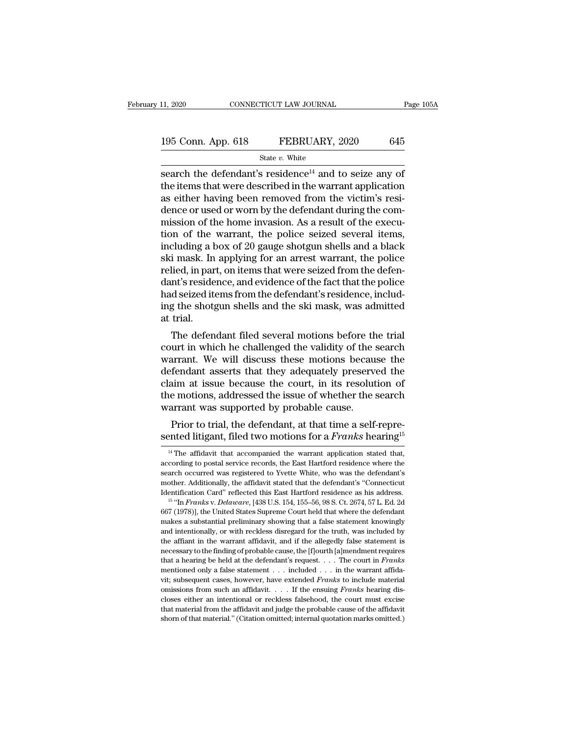| 11, 2020           | CONNECTICUT LAW JOURNAL | Page 105A |
|--------------------|-------------------------|-----------|
| 195 Conn. App. 618 | FEBRUARY, 2020          | 645       |
|                    | State $v$ . White       |           |

11, 2020 CONNECTICUT LAW JOURNAL Page  $105$ <br>
195 Conn. App. 618 FEBRUARY, 2020 645<br>
State v. White<br>
search the defendant's residence<sup>14</sup> and to seize any of<br>
the items that were described in the warrant application<br>
as ei 195 Conn. App. 618 FEBRUARY, 2020 645<br>
State v. White<br>
search the defendant's residence<sup>14</sup> and to seize any of<br>
the items that were described in the warrant application<br>
as either having been removed from the victim's re 195 Conn. App. 618 FEBRUARY, 2020 645<br>
State v. White<br>
search the defendant's residence<sup>14</sup> and to seize any of<br>
the items that were described in the warrant application<br>
as either having been removed from the victim's re 195 Conn. App. 618 FEBRUARY, 2020 645<br>
State *v*. White<br>
search the defendant's residence<sup>14</sup> and to seize any of<br>
the items that were described in the warrant application<br>
as either having been removed from the victim's State v. White<br>
search the defendant's residence<sup>14</sup> and to seize any of<br>
the items that were described in the warrant application<br>
as either having been removed from the victim's resi-<br>
dence or used or worn by the defen state v. White<br>search the defendant's residence<sup>14</sup> and to seize any of<br>the items that were described in the warrant application<br>as either having been removed from the victim's resi-<br>dence or used or worn by the defendant search the defendant's residence<sup>14</sup> and to seize any of<br>the items that were described in the warrant application<br>as either having been removed from the victim's resi-<br>dence or used or worn by the defendant during the com the items that were described in the warrant application<br>as either having been removed from the victim's resi-<br>dence or used or worn by the defendant during the com-<br>mission of the home invasion. As a result of the execu-<br> as either having been removed from the victim's residence or used or worn by the defendant during the commission of the home invasion. As a result of the execution of the warrant, the police seized several items, including dence or used or worn by the defendant during the commission of the home invasion. As a result of the execution of the warrant, the police seized several items, including a box of 20 gauge shotgun shells and a black ski ma mission of the home invasion. As a result of the execution of the warrant, the police seized several items, including a box of 20 gauge shotgun shells and a black ski mask. In applying for an arrest warrant, the police rel tion of the warrant, the police seized several items,<br>including a box of 20 gauge shotgun shells and a black<br>ski mask. In applying for an arrest warrant, the police<br>relied, in part, on items that were seized from the defen including a ł<br>ski mask. In<br>relied, in par<br>dant's reside<br>had seized it<br>ing the shotg<br>at trial.<br>The defen The defendant filed several motions before the defenerative intervals and evidence of the fact that the police<br>d seized items from the defendant's residence, includ-<br>g the shotgun shells and the ski mask, was admitted<br>tria rened, in part, on nems that were seized from the defendant's residence, and evidence of the fact that the police had seized items from the defendant's residence, including the shotgun shells and the ski mask, was admitted

maint is residence, and evidence of the fact that the police<br>had seized items from the defendant's residence, includ-<br>ing the shotgun shells and the ski mask, was admitted<br>at trial.<br>The defendant filed several motions befo had seized hents from the defendant s residence, includ-<br>ing the shotgun shells and the ski mask, was admitted<br>at trial.<br>The defendant filed several motions before the trial<br>court in which he challenged the validity of the ing the shotgun shens and the ski mask, was admitted<br>at trial.<br>The defendant filed several motions before the trial<br>court in which he challenged the validity of the search<br>warrant. We will discuss these motions because the at trial.<br>The defendant filed several motions before the trial<br>court in which he challenged the validity of the search<br>warrant. We will discuss these motions because the<br>defendant asserts that they adequately preserved the The defendant filed several motions before th<br>court in which he challenged the validity of the :<br>warrant. We will discuss these motions becau<br>defendant asserts that they adequately preserve<br>claim at issue because the court furt in which he challenged the vandity of the search<br>arrant. We will discuss these motions because the<br>fendant asserts that they adequately preserved the<br>aim at issue because the court, in its resolution of<br>e motions, add warrant. We will usedss these motions because the<br>defendant asserts that they adequately preserved the<br>claim at issue because the court, in its resolution of<br>the motions, addressed the issue of whether the search<br>warrant w

and the affidavit that accompanied the warrant application stated that,<br><sup>14</sup> The affidavit that accompanied the warrant application stated that,<br>cording to postal service records, the East Hartford residence where the Frior to trial, the defendant, at that time a self-represented litigant, filed two motions for a Franks hearing<sup>15</sup><br><sup>14</sup> The affidavit that accompanied the warrant application stated that, according to postal service recor Prior to trial, the defendant, at that time a self-represented litigant, filed two motions for a *Franks* hearing<sup>15</sup>  $\frac{14}{11}$  The affidavit that accompanied the warrant application stated that, according to postal ser sented litigant, filed two motions for a *Franks* hearing<sup>15</sup><br><sup>14</sup> The affidavit that accompanied the warrant application stated that,<br>according to postal service records, the East Hartford residence where the<br>search occu If the affidavit that accompanied the warrant application stated that, according to postal service records, the East Hartford residence where the search occurred was registered to Yvette White, who was the defendant's moth  $^{14}$  The affidavit that accompanied the warrant application stated that, according to postal service records, the East Hartford residence where the search occurred was registered to Yvette White, who was the defendant's

search occurred was registered to Yvette White, who was the defendant's mother. Additionally, the affidavit stated that the defendant's "Connecticut Identification Card" reflected this East Hartford residence as his addre mother. Additionally, the affidavit stated that the defendant's "Connecticut Identification Card" reflected this East Hartford residence as his address.<br><sup>15</sup> "In *Franks v. Delaware*, [438 U.S. 154, 155–56, 98 S. Ct. 2674 Identification Card" reflected this East Hartford residence as his address.<br>
<sup>15</sup> "In *Franks* v. *Delaware*, [438 U.S. 154, 155–56, 98 S. Ct. 2674, 57 L. Ed. 2d<br>
667 (1978)], the United States Supreme Court held that wher <sup>15</sup> "In *Franks v. Delaware*, [438 U.S. 154, 155–56, 98 S. Ct. 2674, 57 L. Ed. 2d 667 (1978)], the United States Supreme Court held that where the defendant makes a substantial preliminary showing that a false statement 667 (1978)], the United States Supreme Court held that where the defendant makes a substantial preliminary showing that a false statement knowingly and intentionally, or with reckless disregard for the truth, was included makes a substantial preliminary showing that a false statement knowingly<br>and intentionally, or with reckless disregard for the truth, was included by<br>the affiant in the warrant affidavit, and if the allegedly false statem and intentionally, or with reckless disregard for the truth, was included by the affiant in the warrant affidavit, and if the allegedly false statement is necessary to the finding of probable cause, the [f]ourth [a]mendmen omissions from such an affidavit, and if the allegedly false statement is<br>the affiant in the warrant affidavit, and if the allegedly false statement requires<br>that a hearing be held at the defendant's request.... The court closes either an intentional or reckless falsehood, the court must excise that a hearing be held at the defendant's request. . . . The court in *Franks* mentioned only a false statement . . . included . . . in the warrant necessary to the finding of probable cause, the [f]ourth [a]mendment requires<br>that a hearing be held at the defendant's request. . . . The court in Franks<br>mentioned only a false statement . . . included . . . in the warra mentioned only a false statement  $\ldots$  included  $\ldots$  in the warrant affida-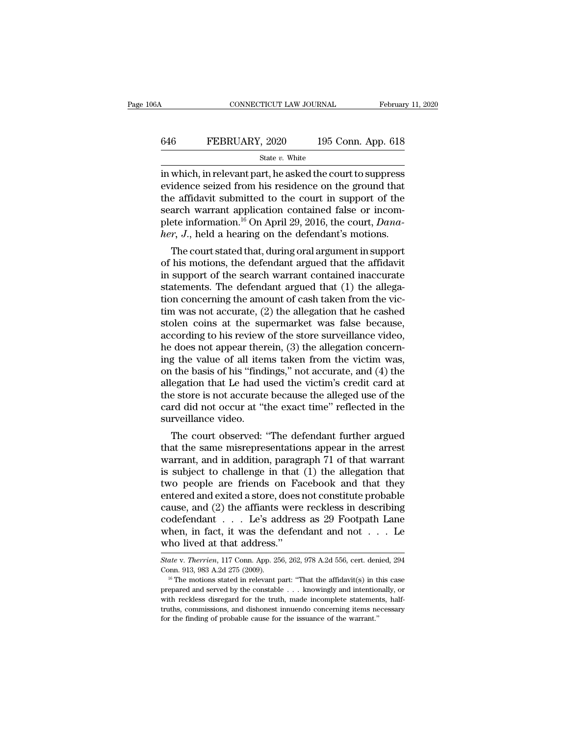## CONNECTICUT LAW JOURNAL February 11, 2020<br>646 FEBRUARY, 2020 195 Conn. App. 618<br>5tate v. White State *v.* White

CONNECTICUT LAW JOURNAL February 11, 2020<br>
FEBRUARY, 2020 195 Conn. App. 618<br>
State v. White<br>
in which, in relevant part, he asked the court to suppress<br>
evidence seized from his residence on the ground that<br>
the affidavi EVIDENTIGE SERVING SERVING STATE SERVING STATE STATE:<br>
State v. White<br>
in which, in relevant part, he asked the court to suppress<br>
evidence seized from his residence on the ground that<br>
the affidavit submitted to the cour FEBRUARY, 2020 195 Conn. App. 618<br>
State v. White<br>
in which, in relevant part, he asked the court to suppress<br>
evidence seized from his residence on the ground that<br>
the affidavit submitted to the court in support of the<br> **EXECUARY, 2020** 195 Conn. App. 618<br>
state *v*. White<br>
in which, in relevant part, he asked the court to suppress<br>
evidence seized from his residence on the ground that<br>
the affidavit submitted to the court in support of State *v*. White<br>in which, in relevant part, he asked the court to suppress<br>evidence seized from his residence on the ground that<br>the affidavit submitted to the court in support of the<br>search warrant application contained <sup>96</sup> State *v*. White<br>
in which, in relevant part, he asked the court to suppress<br>
evidence seized from his residence on the ground that<br>
the affidavit submitted to the court in support of the<br>
search warrant application c which, in relevant part, he asked the court to suppress<br>idence seized from his residence on the ground that<br>e affidavit submitted to the court in support of the<br>arch warrant application contained false or incom-<br>ete infor evidence seized from his residence on the ground that<br>the affidavit submitted to the court in support of the<br>search warrant application contained false or incom-<br>plete information.<sup>16</sup> On April 29, 2016, the court, *Dana-*

the amdavit submitted to the court in support of the<br>search warrant application contained false or incom-<br>plete information.<sup>16</sup> On April 29, 2016, the court, *Dana-*<br>her, J., held a hearing on the defendant's motions.<br>Th search warrant application contained taise or incom-<br>plete information.<sup>16</sup> On April 29, 2016, the court, *Dana-*<br>*her*, *J*., held a hearing on the defendant's motions.<br>The court stated that, during oral argument in supp plete information. On April 29, 2010, the court, *Dand-*<br>her, J., held a hearing on the defendant's motions.<br>The court stated that, during oral argument in support<br>of his motions, the defendant argued that the affidavit<br>i there, J., then a hearing off the detendant s motions.<br>The court stated that, during oral argument in support<br>of his motions, the defendant argued that the affidavit<br>in support of the search warrant contained inaccurate<br>st The court stated that, during oral argument in support<br>of his motions, the defendant argued that the affidavit<br>in support of the search warrant contained inaccurate<br>statements. The defendant argued that  $(1)$  the allega-<br> of his motions, the defendant argued that the affidavit<br>in support of the search warrant contained inaccurate<br>statements. The defendant argued that (1) the allega-<br>tion concerning the amount of cash taken from the vic-<br>tim in support of the search warrant contained inaccurate<br>statements. The defendant argued that  $(1)$  the allega-<br>tion concerning the amount of cash taken from the vic-<br>tim was not accurate,  $(2)$  the allegation that he cashe statements. The defendant argued that (1) the allegation concerning the amount of cash taken from the victim was not accurate, (2) the allegation that he cashed stolen coins at the supermarket was false because, according tion concerning the amount of cash taken from the victim was not accurate, (2) the allegation that he cashed<br>stolen coins at the supermarket was false because,<br>according to his review of the store surveillance video,<br>he do tim was not accurate, (2) the allegation that he cashed<br>stolen coins at the supermarket was false because,<br>according to his review of the store surveillance video,<br>he does not appear therein, (3) the allegation concern-<br>i stolen coins at the supermarket was false because,<br>according to his review of the store surveillance video,<br>he does not appear therein, (3) the allegation concern-<br>ing the value of all items taken from the victim was,<br>on t according to his review of the store surveillance video,<br>he does not appear therein, (3) the allegation concern-<br>ing the value of all items taken from the victim was,<br>on the basis of his "findings," not accurate, and (4) t he does not appear ther<br>ing the value of all iten<br>on the basis of his "find<br>allegation that Le had u<br>the store is not accurate<br>card did not occur at "t<br>surveillance video.<br>The court observed: "  $\mu$  the value of all fields taken from the victim was,<br>
the basis of his "findings," not accurate, and (4) the<br>
egation that Le had used the victim's credit card at<br>
e store is not accurate because the alleged use of the on the basis of his "indings," not accurate, and  $(4)$  the<br>allegation that Le had used the victim's credit card at<br>the store is not accurate because the alleged use of the<br>card did not occur at "the exact time" reflected

allegation that Le had used the victim's credit card at<br>the store is not accurate because the alleged use of the<br>card did not occur at "the exact time" reflected in the<br>surveillance video.<br>The court observed: "The defendan the store is not accurate because the aneged use of the<br>card did not occur at "the exact time" reflected in the<br>surveillance video.<br>The court observed: "The defendant further argued<br>that the same misrepresentations appear card did not occur at the exact time reflected in the<br>surveillance video.<br>The court observed: "The defendant further argued<br>that the same misrepresentations appear in the arrest<br>warrant, and in addition, paragraph 71 of th surveniance video.<br>
The court observed: "The defendant further argued<br>
that the same misrepresentations appear in the arrest<br>
warrant, and in addition, paragraph 71 of that warrant<br>
is subject to challenge in that (1) the The court observed: "The defendant further argued<br>that the same misrepresentations appear in the arrest<br>warrant, and in addition, paragraph 71 of that warrant<br>is subject to challenge in that (1) the allegation that<br>two pe that the same misrepresentations appear in the arrest<br>warrant, and in addition, paragraph 71 of that warrant<br>is subject to challenge in that (1) the allegation that<br>two people are friends on Facebook and that they<br>entered warrant, and in addition, paragraph 71 of that warrant<br>is subject to challenge in that (1) the allegation that<br>two people are friends on Facebook and that they<br>entered and exited a store, does not constitute probable<br>cause is subject to challenge in that<br>two people are friends on Fa<br>entered and exited a store, does :<br>cause, and (2) the affiants were<br>codefendant  $\dots$ . Le's address.<br>when, in fact, it was the defen<br>who lived at that address."<br> cause, and (2) the affiants were reckless in describing<br>codefendant . . . Le's address as 29 Footpath Lane<br>when, in fact, it was the defendant and not . . . Le<br>who lived at that address."<br>State v. Therrien, 117 Conn. App. codefendant . . . Le's address as 29 Footpath Lane<br>when, in fact, it was the defendant and not . . . Le<br>who lived at that address."<br> $\frac{State \, v. \, Therrien, 117 \, Conn. \, App. 256, 262, 978 \, A.2d \, 556, cert. \, denied, 294 \, Conn. 913, 983 \, A.2d \, 275 \$ 

who lived at that address."<br>
State v. Therrien, 117 Conn. App. 256, 262, 978 A.2d 556, cert. denied, 294<br>
Conn. 913, 983 A.2d 275 (2009).<br>
<sup>16</sup> The motions stated in relevant part: "That the affidavit(s) in this case<br>
pre with IIVed at trial address.<br>State v. Therrien, 117 Conn. App. 256, 262, 978 A.2d 556, cert. denied, 294<br>Conn. 913, 983 A.2d 275 (2009).<br><sup>16</sup> The motions stated in relevant part: "That the affidavit(s) in this case<br>prepar State v. Therrien, 117 Conn. App. 256, 262, 978 A.2d 556, cert. denied, 294<br>Conn. 913, 983 A.2d 275 (2009).<br><sup>16</sup> The motions stated in relevant part: "That the affidavit(s) in this case<br>prepared and served by the constabl Conn. 913, 983 A.2d 275 (2009).<br>
<sup>16</sup> The motions stated in relevant part: "That the affidavit(s) in this case<br>
prepared and served by the constable . . . knowingly and intentionally, or<br>
with reckless disregard for the t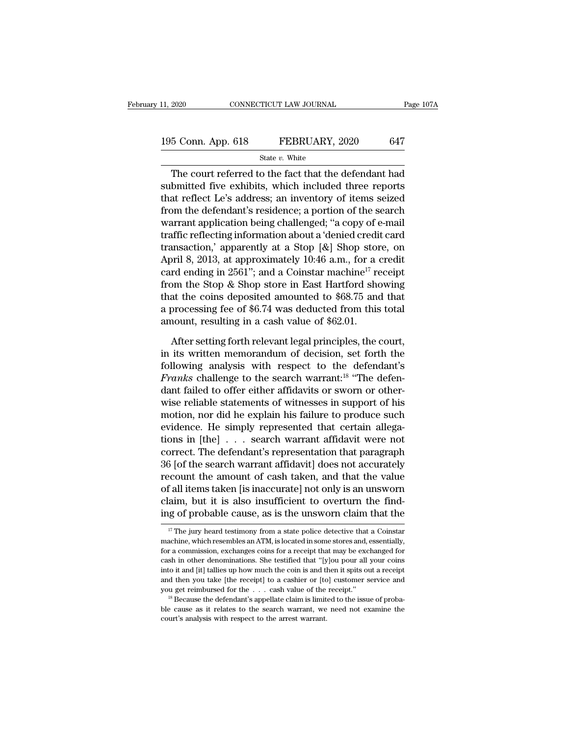# 11, 2020 CONNECTICUT LAW JOURNAL Page 107A<br>195 Conn. App. 618 FEBRUARY, 2020 647<br>State v. White

#### State *v.* White

 $\begin{array}{ccc}\n 2020 & \text{CONPECTICUT LAW JOURNAL} & \text{Page 107A} \\
 \hline\n 5 & \text{Conn. App. 618} & \text{FEBRUARY, } 2020 & 647 \\
 \text{State } v. \text{ White} & \text{The court referred to the fact that the defendant had  
\nbmitted five exhibits, which included three reports\n at reflect I e's address an inventory of items, signal\n$ 195 Conn. App. 618 FEBRUARY, 2020 647<br>
State v. White<br>
The court referred to the fact that the defendant had<br>
submitted five exhibits, which included three reports<br>
that reflect Le's address; an inventory of items seized<br> 195 Conn. App. 618 FEBRUARY, 2020 647<br>
State v. White<br>
The court referred to the fact that the defendant had<br>
submitted five exhibits, which included three reports<br>
that reflect Le's address; an inventory of items seized<br> 195 Conn. App. 618 FEBRUARY, 2020 647<br>
State v. White<br>
The court referred to the fact that the defendant had<br>
submitted five exhibits, which included three reports<br>
that reflect Le's address; an inventory of items seized<br> State v. White<br>
The court referred to the fact that the defendant had<br>
submitted five exhibits, which included three reports<br>
that reflect Le's address; an inventory of items seized<br>
from the defendant's residence; a port State v. white<br>
The court referred to the fact that the defendant had<br>
submitted five exhibits, which included three reports<br>
that reflect Le's address; an inventory of items seized<br>
from the defendant's residence; a port The court referred to the fact that the defendant had<br>submitted five exhibits, which included three reports<br>that reflect Le's address; an inventory of items seized<br>from the defendant's residence; a portion of the search<br>w submitted five exhibits, which included three reports<br>that reflect Le's address; an inventory of items seized<br>from the defendant's residence; a portion of the search<br>warrant application being challenged; "a copy of e-mail that reflect Le's address; an inventory of items seized<br>from the defendant's residence; a portion of the search<br>warrant application being challenged; "a copy of e-mail<br>traffic reflecting information about a 'denied credit from the defendant's residence; a portion of the search<br>warrant application being challenged; "a copy of e-mail<br>traffic reflecting information about a 'denied credit card<br>transaction,' apparently at a Stop [&] Shop store, warrant application being challenged; "a copy of e-mail<br>traffic reflecting information about a 'denied credit card<br>transaction,' apparently at a Stop [&] Shop store, on<br>April 8, 2013, at approximately 10:46 a.m., for a cr traffic reflecting information about a 'denied credit card<br>transaction,' apparently at a Stop [&] Shop store, on<br>April 8, 2013, at approximately 10:46 a.m., for a credit<br>card ending in 2561''; and a Coinstar machine<sup>17</sup> r transaction,' apparently at a Stop [&] Shop ston<br>April 8, 2013, at approximately 10:46 a.m., for a card ending in 2561"; and a Coinstar machine<sup>17</sup> refrom the Stop & Shop store in East Hartford sho<br>that the coins deposite rd ending in 2561"; and a Coinstar machine<sup>17</sup> receipt<br>bm the Stop & Shop store in East Hartford showing<br>at the coins deposited amounted to \$68.75 and that<br>processing fee of \$6.74 was deducted from this total<br>nount, resul from the Stop & Shop store in East Hartford showing<br>that the coins deposited amounted to \$68.75 and that<br>a processing fee of \$6.74 was deducted from this total<br>amount, resulting in a cash value of \$62.01.<br>After setting fo

that the coins deposited amounted to \$68.75 and that<br>a processing fee of \$6.74 was deducted from this total<br>amount, resulting in a cash value of \$62.01.<br>After setting forth relevant legal principles, the court,<br>in its wri a processing fee of \$6.74 was deducted from this total<br>amount, resulting in a cash value of \$62.01.<br>After setting forth relevant legal principles, the court,<br>in its written memorandum of decision, set forth the<br>following a amount, resulting in a cash value of \$62.01.<br>After setting forth relevant legal principles, the court,<br>in its written memorandum of decision, set forth the<br>following analysis with respect to the defendant's<br>*Franks* challe After setting forth relevant legal principles, the court,<br>in its written memorandum of decision, set forth the<br>following analysis with respect to the defendant's<br>*Franks* challenge to the search warrant:<sup>18</sup> "The defen-<br>da After setting forth relevant legal principles, the court,<br>in its written memorandum of decision, set forth the<br>following analysis with respect to the defendant's<br>*Franks* challenge to the search warrant:<sup>18</sup> "The defen-<br>da in its written memorandum of decision, set forth the<br>following analysis with respect to the defendant's<br>*Franks* challenge to the search warrant:<sup>18</sup> "The defen-<br>dant failed to offer either affidavits or sworn or other-<br>w following analysis with respect to the defendant's<br> *Franks* challenge to the search warrant:<sup>18</sup> "The defen-<br>
dant failed to offer either affidavits or sworn or other-<br>
wise reliable statements of witnesses in support of Franks challenge to the search warrant:<sup>18</sup> "The defendant failed to offer either affidavits or sworn or otherwise reliable statements of witnesses in support of his motion, nor did he explain his failure to produce such dant failed to offer either affidavits or sworn or other-<br>wise reliable statements of witnesses in support of his<br>motion, nor did he explain his failure to produce such<br>evidence. He simply represented that certain allega-<br> wise reliable statements of witnesses in support of his<br>motion, nor did he explain his failure to produce such<br>evidence. He simply represented that certain allega-<br>tions in [the]  $\dots$  search warrant affidavit were not<br>cor motion, nor did he explain his failure to produce such<br>evidence. He simply represented that certain allega-<br>tions in [the]  $\ldots$  search warrant affidavit were not<br>correct. The defendant's representation that paragraph<br>36 evidence. He simply represented that certain allegations in [the] . . . search warrant affidavit were not correct. The defendant's representation that paragraph 36 [of the search warrant affidavit] does not accurately reco tions in [the]  $\ldots$  search warrant affidavit were not correct. The defendant's representation that paragraph 36 [of the search warrant affidavit] does not accurately recount the amount of cash taken, and that the value o recount the amount of cash taken, and that the value<br>of all items taken [is inaccurate] not only is an unsworn<br>claim, but it is also insufficient to overturn the find-<br>ing of probable cause, as is the unsworn claim that t of all items taken [is inaccurate] not only is an unsworn claim, but it is also insufficient to overturn the finding of probable cause, as is the unsworn claim that the  $\frac{17}{17}$  The jury heard testimony from a state po

claim, but it is also insufficient to overturn the finding of probable cause, as is the unsworn claim that the  $\frac{17}{17}$  The jury heard testimony from a state police detective that a Coinstar machine, which resembles an ing of probable cause, as is the unsworn claim that the  $\frac{17}{17}$  The jury heard testimony from a state police detective that a Coinstar machine, which resembles an ATM, is located in some stores and, essentially, for a If  $\frac{1}{7}$  The jury heard testimony from a state police detective that a Coinstar machine, which resembles an ATM, is located in some stores and, essentially, for a commission, exchanges coins for a receipt that may be <sup>17</sup> The jury heard testimony from a state police detective that a Coinstar machine, which resembles an ATM, is located in some stores and, essentially, for a commission, exchanges coins for a receipt that may be exchange machine, which resembles an ATM, is located in some stores and, essentially, for a commission, exchanges coins for a receipt that may be exchanged for cash in other denominations. She testified that "[y]ou pour all your c cash in other denominations. She testified that "[y]ou pour all your coins<br>into it and [it] tallies up how much the coin is and then it spits out a receipt<br>and then you take [the receipt] to a cashier or [to] customer ser cash in other denominations. She testified that "[y]ou pour all your coins into it and [it] tallies up how much the coin is and then it spits out a receipt and then you take [the receipt] to a cashier or [to] customer ser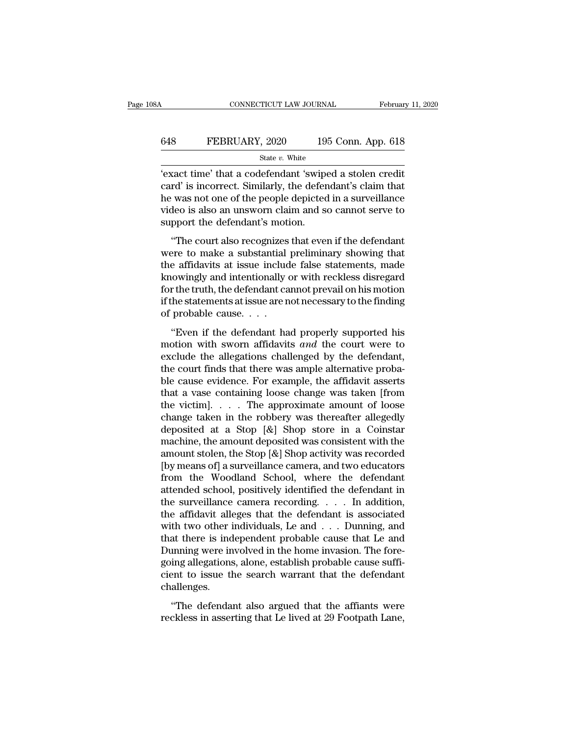## CONNECTICUT LAW JOURNAL February 11, 2020<br>648 FEBRUARY, 2020 195 Conn. App. 618<br>5tate v. White State *v.* White

CONNECTICUT LAW JOURNAL February 11, 2020<br>
FEBRUARY, 2020 195 Conn. App. 618<br>
State v. White<br>
'exact time' that a codefendant 'swiped a stolen credit<br>
card' is incorrect. Similarly, the defendant's claim that<br>
he was not o EXECT 648 FEBRUARY, 2020 195 Conn. App. 618<br>
State v. White<br>
"exact time" that a codefendant 'swiped a stolen credit<br>
card' is incorrect. Similarly, the defendant's claim that<br>
the was not one of the people depicted in a FEBRUARY, 2020 195 Conn. App. 618<br>
State v. White<br>
'exact time' that a codefendant 'swiped a stolen credit<br>
card' is incorrect. Similarly, the defendant's claim that<br>
the was not one of the people depicted in a surveillan FEBRUARY, 2020 195 Conn. App. 618<br>
state v. White<br>
'exact time' that a codefendant 'swiped a stolen credit<br>
card' is incorrect. Similarly, the defendant's claim that<br>
the was not one of the people depicted in a surveillan  $\begin{array}{c}\n\hline\n\text{state } v. \text{ White} \\
\hline\n\text{exact time' that a codefendant 'swipe card' is incorrect. Similarly, the defer he was not one of the people depicted video is also an unsworn claim and so support the defendant's motion.\n\end{array}$ xact time' that a codefendant 'swiped a stolen credit<br>
rd' is incorrect. Similarly, the defendant's claim that<br>
evas not one of the people depicted in a surveillance<br>
deo is also an unsworn claim and so cannot serve to<br>
pp exact the that a coderential swiped a stock electronic card' is incorrect. Similarly, the defendant's claim that he was not one of the people depicted in a surveillance video is also an unsworn claim and so cannot serve to

the was not one of the people depicted in a surveillance<br>video is also an unsworn claim and so cannot serve to<br>support the defendant's motion.<br>"The court also recognizes that even if the defendant<br>were to make a substantia know is also an unsworn claim and so cannot serve to<br>support the defendant's motion.<br>"The court also recognizes that even if the defendant<br>were to make a substantial preliminary showing that<br>the affidavits at issue include stated is also an allower claim and so claimet serve to<br>support the defendant's motion.<br>"The court also recognizes that even if the defendant<br>were to make a substantial preliminary showing that<br>the affidavits at issue incl "The court also recognizes that even if the defendant<br>were to make a substantial preliminary showing that<br>the affidavits at issue include false statements, made<br>knowingly and intentionally or with reckless disregard<br>for t "The court also recognizes<br>were to make a substantial<br>the affidavits at issue includ<br>knowingly and intentionally of<br>or the truth, the defendant ca<br>if the statements at issue are n<br>of probable cause.  $\ldots$ <br>"Even if the def Even if the defendant had properly supported his<br>
window the defendant cannot prevail on his motion<br>
the truth, the defendant cannot prevail on his motion<br>
the statements at issue are not necessary to the finding<br>
probabl motion with sworn affidavits *and* the court finds that the court finds that the court finds and the court were to exclude the allegations challenged by the defendant, the court finds that there was apple alternative proba

For the truth, the defendant cannot prevail on his motion<br>if the statements at issue are not necessary to the finding<br>of probable cause....<br>"Even if the defendant had properly supported his<br>motion with sworn affidavits an to the dual, the deterministic calibral provided in the statements at issue are not necessary to the finding of probable cause.<br>
"Even if the defendant had properly supported his motion with sworn affidavits and the court be cause the defendant had properly supported his<br>motion with sworn affidavits and the court were to<br>exclude the allegations challenged by the defendant,<br>the court finds that there was ample alternative proba-<br>ble cause e "Even if the defendant had properly supported his<br>motion with sworn affidavits *and* the court were to<br>exclude the allegations challenged by the defendant,<br>the court finds that there was ample alternative proba-<br>ble cause "Even if the defendant had properly supported his<br>motion with sworn affidavits *and* the court were to<br>exclude the allegations challenged by the defendant,<br>the court finds that there was ample alternative proba-<br>ble cause motion with sworn affidavits *and* the court were to exclude the allegations challenged by the defendant, the court finds that there was ample alternative probable cause evidence. For example, the affidavit asserts that a exclude the allegations challenged by the defendant,<br>the court finds that there was ample alternative proba-<br>ble cause evidence. For example, the affidavit asserts<br>that a vase containing loose change was taken [from<br>the v the court finds that there was ample alternative probable cause evidence. For example, the affidavit asserts that a vase containing loose change was taken [from the victim].  $\ldots$  The approximate amount of loose change ta ble cause evidence. For example, the affidavit asserts<br>that a vase containing loose change was taken [from<br>the victim]. . . . The approximate amount of loose<br>change taken in the robbery was thereafter allegedly<br>deposited that a vase containing loose change was taken [from<br>the victim]. . . . The approximate amount of loose<br>change taken in the robbery was thereafter allegedly<br>deposited at a Stop  $[\&]$  Shop store in a Coinstar<br>machine, the a the victim]. . . . The approximate amount of loose<br>change taken in the robbery was thereafter allegedly<br>deposited at a Stop  $[\&]$  Shop store in a Coinstar<br>machine, the amount deposited was consistent with the<br>amount stole change taken in the robbery was thereafter allegedly<br>deposited at a Stop  $[\&]$  Shop store in a Coinstar<br>machine, the amount deposited was consistent with the<br>amount stolen, the Stop  $[\&]$  Shop activity was recorded<br>[by me deposited at a Stop [&] Shop store in a Coinstar<br>machine, the amount deposited was consistent with the<br>amount stolen, the Stop [&] Shop activity was recorded<br>[by means of] a surveillance camera, and two educators<br>from the machine, the amount deposited was consistent with the<br>amount stolen, the Stop [&] Shop activity was recorded<br>[by means of] a surveillance camera, and two educators<br>from the Woodland School, where the defendant<br>attended sc amount stolen, the Stop [&] Shop activity was recorded<br>[by means of] a surveillance camera, and two educators<br>from the Woodland School, where the defendant<br>attended school, positively identified the defendant in<br>the surve [by means of] a surveillance camera, and two educators<br>from the Woodland School, where the defendant<br>attended school, positively identified the defendant in<br>the surveillance camera recording.... In addition,<br>the affidavit from the Woodland School, where the defendant attended school, positively identified the defendant in the surveillance camera recording.  $\dots$  In addition, the affidavit alleges that the defendant is associated with two ot attended school, positively identified the defendant in<br>the surveillance camera recording. . . . In addition,<br>the affidavit alleges that the defendant is associated<br>with two other individuals, Le and . . . Dunning, and<br>tha the surveillance camera recording.  $\ldots$  In addition,<br>the affidavit alleges that the defendant is associated<br>with two other individuals, Le and  $\ldots$  Dunning, and<br>that there is independent probable cause that Le and<br>Dunni challenges. at the scale individuals, i.e. and  $\cdot \cdot \cdot$  is building, and at there is independent probable cause that Le and unning were involved in the home invasion. The foreing allegations, alone, establish probable cause sufficien France is independent probable cause that Le did<br>Dunning were involved in the home invasion. The fore-<br>going allegations, alone, establish probable cause suffi-<br>cient to issue the search warrant that the defendant<br>challeng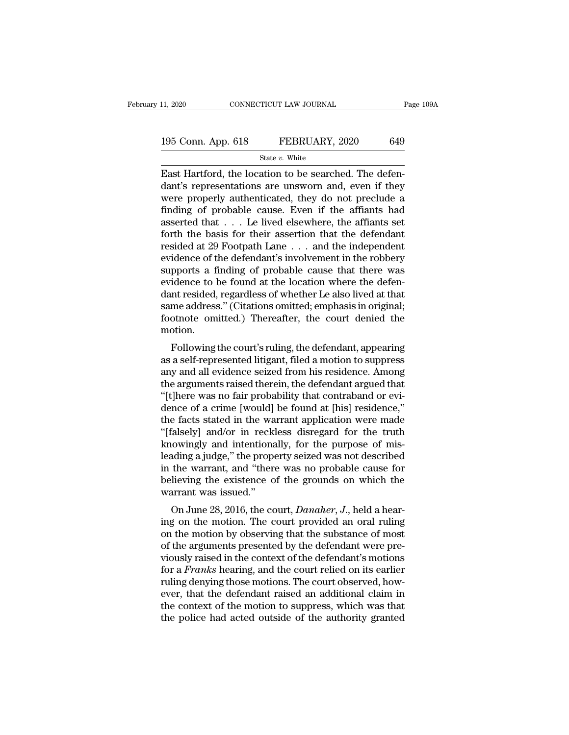| 11, 2020           | CONNECTICUT LAW JOURNAL | Page 109A |
|--------------------|-------------------------|-----------|
| 195 Conn. App. 618 | FEBRUARY, 2020          | 649       |
|                    | State $v$ . White       |           |

11, 2020 CONNECTICUT LAW JOURNAL<br>
195 Conn. App. 618 FEBRUARY, 2020 649<br>  $\frac{\text{State } v. \text{ White}}{\text{Exact Hartford, the location to be searched. The defendant's representations are unsworn and, even if they were properly authenticated, they do not preclude?}$ 195 Conn. App. 618 FEBRUARY, 2020 649<br>
State v. White<br>
East Hartford, the location to be searched. The defendant's representations are unsworn and, even if they<br>
were properly authenticated, they do not preclude a<br>
findin 195 Conn. App. 618 FEBRUARY, 2020 649<br>
State v. White<br>
East Hartford, the location to be searched. The defendant's representations are unsworn and, even if they<br>
were properly authenticated, they do not preclude a<br>
findin 195 Conn. App. 618 FEBRUARY, 2020 649<br>
State v. White<br>
East Hartford, the location to be searched. The defendant's representations are unsworn and, even if they<br>
were properly authenticated, they do not preclude a<br>
findin State v. White<br>
East Hartford, the location to be searched. The defendant's representations are unsworn and, even if they<br>
were properly authenticated, they do not preclude a<br>
finding of probable cause. Even if the affian State v. White<br>East Hartford, the location to be searched. The defen-<br>dant's representations are unsworn and, even if they<br>were properly authenticated, they do not preclude a<br>finding of probable cause. Even if the affiant East Hartford, the location to be searched. The defendant's representations are unsworn and, even if they were properly authenticated, they do not preclude a finding of probable cause. Even if the affiants had asserted th dant's representations are unsworn and, even if they<br>were properly authenticated, they do not preclude a<br>finding of probable cause. Even if the affiants had<br>asserted that  $\dots$  Le lived elsewhere, the affiants set<br>forth th were properly authenticated, they do not preclude a<br>finding of probable cause. Even if the affiants had<br>asserted that  $\ldots$  Le lived elsewhere, the affiants set<br>forth the basis for their assertion that the defendant<br>resid finding of probable cause. Even if the affiants had<br>asserted that  $\ldots$  Le lived elsewhere, the affiants set<br>forth the basis for their assertion that the defendant<br>resided at 29 Footpath Lane  $\ldots$  and the independent<br>evi asserted that . . . Le lived elsewhere, the affiants set<br>forth the basis for their assertion that the defendant<br>resided at 29 Footpath Lane . . . and the independent<br>evidence of the defendant's involvement in the robbery<br>s forth the basis for their assertion that the defendant<br>resided at 29 Footpath Lane . . . and the independent<br>evidence of the defendant's involvement in the robbery<br>supports a finding of probable cause that there was<br>eviden resided at 29 Footpath Lane . . . and the independent<br>evidence of the defendant's involvement in the robbery<br>supports a finding of probable cause that there was<br>evidence to be found at the location where the defen-<br>dant re motion. pports a miding of probable cause that there was<br>idence to be found at the location where the defen-<br>nt resided, regardless of whether Le also lived at that<br>me address." (Citations omitted; emphasis in original;<br>otnote omi evidence to be found at the location where the defendant resided, regardless of whether Le also lived at that<br>same address." (Citations omitted; emphasis in original;<br>footnote omitted.) Thereafter, the court denied the<br>mot

dant resided, regardless or whether Le also lived at that<br>same address." (Citations omitted; emphasis in original;<br>footnote omitted.) Thereafter, the court denied the<br>motion.<br>Following the court's ruling, the defendant, ap same address. (Chations omitted, emphasis in original,<br>footnote omitted.) Thereafter, the court denied the<br>motion.<br>Following the court's ruling, the defendant, appearing<br>as a self-represented litigant, filed a motion to su Following the court's ruling, the defendant, appearing<br>
motion.<br>
Following the court's ruling, the defendant, appearing<br>
as a self-represented litigant, filed a motion to suppress<br>
any and all evidence seized from his resi Following the court's ruling, the defendant, appearing<br>as a self-represented litigant, filed a motion to suppress<br>any and all evidence seized from his residence. Among<br>the arguments raised therein, the defendant argued tha Following the court's ruling, the defendant, appearing<br>as a self-represented litigant, filed a motion to suppress<br>any and all evidence seized from his residence. Among<br>the arguments raised therein, the defendant argued tha as a self-represented litigant, filed a motion to suppress<br>
any and all evidence seized from his residence. Among<br>
the arguments raised therein, the defendant argued that<br>
"[t]here was no fair probability that contraband o any and all evidence seized from his residence. Among<br>the arguments raised therein, the defendant argued that<br>"[t]here was no fair probability that contraband or evi-<br>dence of a crime [would] be found at [his] residence,"<br> the arguments raised therein, the defendant argued that<br>"[t]here was no fair probability that contraband or evi-<br>dence of a crime [would] be found at [his] residence,"<br>the facts stated in the warrant application were made<br> "[t]here was no fair probability that contraband or evi-<br>dence of a crime [would] be found at [his] residence,"<br>the facts stated in the warrant application were made<br>"[falsely] and/or in reckless disregard for the truth<br>kn dence of a crime [would] be found at [his] residence,"<br>the facts stated in the warrant application were made<br>"[falsely] and/or in reckless disregard for the truth<br>knowingly and intentionally, for the purpose of mis-<br>leadin the facts stated in the wa<br>
"[falsely] and/or in reck<br>
knowingly and intentiona<br>
leading a judge," the prope<br>
in the warrant, and "ther<br>
believing the existence o<br>
warrant was issued."<br>
On June 28, 2016, the cc all a hear-<br>
divideo in the controllationally, for the purpose of mis-<br>
ading a judge," the property seized was not described<br>
the warrant, and "there was no probable cause for<br>
lieving the existence of the grounds on whic Exidently and interluorally, for the purpose of his-<br>leading a judge," the property seized was not described<br>in the warrant, and "there was no probable cause for<br>believing the existence of the grounds on which the<br>warrant

reading a judge, the property seized was not described<br>in the warrant, and "there was no probable cause for<br>believing the existence of the grounds on which the<br>warrant was issued."<br>On June 28, 2016, the court, *Danaher*, In the warrant, and there was no probable cause for<br>believing the existence of the grounds on which the<br>warrant was issued."<br>On June 28, 2016, the court, *Danaher*, *J*., held a hear-<br>ing on the motion. The court provided beneving the existence of the grounds off which the<br>warrant was issued."<br>On June 28, 2016, the court, *Danaher*, *J*., held a hear-<br>ing on the motion. The court provided an oral ruling<br>on the motion by observing that the s For a *Franks* hearing on the court, *Danaher*, *J*., held a hearing on the motion. The court provided an oral ruling on the motion by observing that the substance of most of the arguments presented by the defendant were p On June 28, 2016, the court, *Danaher*, *J*., held a hearing on the motion. The court provided an oral ruling on the motion by observing that the substance of most of the arguments presented by the defendant were previous ing on the motion. The court provided an oral ruling<br>on the motion by observing that the substance of most<br>of the arguments presented by the defendant were pre-<br>viously raised in the context of the defendant's motions<br>for on the motion by observing that the substance of most<br>of the arguments presented by the defendant were pre-<br>viously raised in the context of the defendant's motions<br>for a *Franks* hearing, and the court relied on its earli of the arguments presented by the defendant were previously raised in the context of the defendant's motions for a *Franks* hearing, and the court relied on its earlier ruling denying those motions. The court observed, how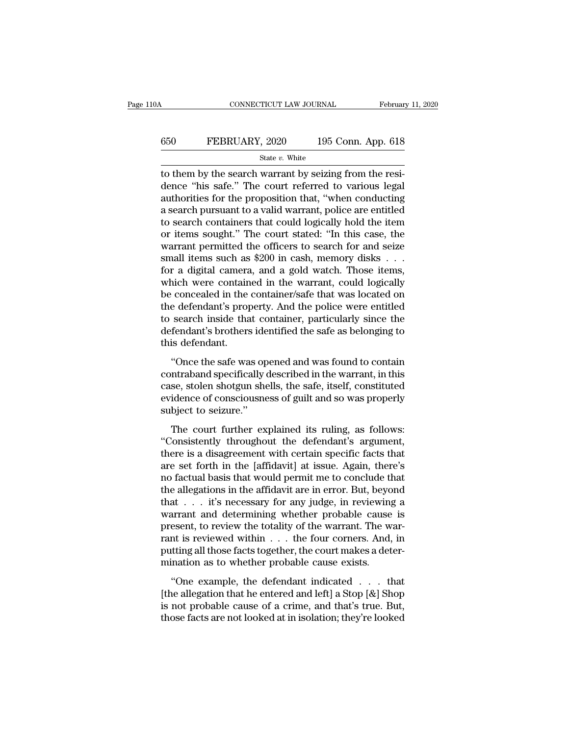## CONNECTICUT LAW JOURNAL February 11, 2020<br>650 FEBRUARY, 2020 195 Conn. App. 618<br>5tate v. White State *v.* White

CONNECTICUT LAW JOURNAL Februar<br>
Februar<br>
State v. White<br>
State v. White<br>
The search warrant by seizing from the resi-<br>
dence "his safe." The court referred to various legal<br>
surborities for the proposition that "when cond  $\begin{array}{ll}\n 650 & \text{FEBRUARY, } 2020 & 195 \text{ Conn. App. 618} \\
 \hline\n & \text{State } v. \text{ White} \\
 \hline\n \end{array}$  to them by the search warrant by seizing from the residence "his safe." The court referred to various legal authorities for the proposition that, EBRUARY, 2020 195 Conn. App. 618<br>
State v. White<br>
to them by the search warrant by seizing from the residence "his safe." The court referred to various legal<br>
authorities for the proposition that, "when conducting<br>
a sear EBRUARY, 2020 195 Conn. App. 618<br>  $\frac{\text{State } v. \text{ White}}{\text{to them by the search warrant by seizing from the residue}}$ <br>
to them by the search warrant by seizing from the resi-<br>
dence "his safe." The court referred to various legal<br>
authorities for the proposition that, "wh State v. White<br>
to them by the search warrant by seizing from the resi-<br>
dence "his safe." The court referred to various legal<br>
authorities for the proposition that, "when conducting<br>
a search pursuant to a valid warrant, state v. White<br>to them by the search warrant by seizing from the resi-<br>dence "his safe." The court referred to various legal<br>authorities for the proposition that, "when conducting<br>a search pursuant to a valid warrant, pol to them by the search warrant by seizing from the residence "his safe." The court referred to various legal authorities for the proposition that, "when conducting a search pursuant to a valid warrant, police are entitled t dence "his safe." The court referred to various legal authorities for the proposition that, "when conducting<br>a search pursuant to a valid warrant, police are entitled<br>to search containers that could logically hold the item authorities for the proposition that, "when conducting<br>a search pursuant to a valid warrant, police are entitled<br>to search containers that could logically hold the item<br>or items sought." The court stated: "In this case, th a search pursuant to a valid warrant, police are entitled<br>to search containers that could logically hold the item<br>or items sought." The court stated: "In this case, the<br>warrant permitted the officers to search for and seiz to search containers that could logically hold the item<br>or items sought." The court stated: "In this case, the<br>warrant permitted the officers to search for and seize<br>small items such as \$200 in cash, memory disks . . .<br>for or items sought." The court stated: "In this case, the<br>warrant permitted the officers to search for and seize<br>small items such as \$200 in cash, memory disks . . .<br>for a digital camera, and a gold watch. Those items,<br>which warrant permitted the officers to search for and seize<br>small items such as \$200 in cash, memory disks . . .<br>for a digital camera, and a gold watch. Those items,<br>which were contained in the warrant, could logically<br>be conce small items such as \$200 in cash, memory disks  $\ldots$  for a digital camera, and a gold watch. Those items, which were contained in the warrant, could logically be concealed in the container/safe that was located on the def for a digital camera<br>which were contain<br>be concealed in the<br>the defendant's prop<br>to search inside tha<br>defendant's brothers<br>this defendant.<br>"Once the safe wa From Were contained in the warrant, colled registary<br>
concealed in the container/safe that was located on<br>
e defendant's property. And the police were entitled<br>
search inside that container, particularly since the<br>
fendant be concedued in the condumeristic that was focused on<br>the defendant's property. And the police were entitled<br>to search inside that container, particularly since the<br>defendant's brothers identified the safe as belonging to<br>

to search inside that container, particularly since the defendant's brothers identified the safe as belonging to this defendant.<br>
"Once the safe was opened and was found to contain contraband specifically described in the defendant's brothers identified the safe as belonging to<br>defendant.<br>"Once the safe was opened and was found to contain<br>contraband specifically described in the warrant, in this<br>case, stolen shotgun shells, the safe, itself detendants substitute factorially<br>this defendant.<br>"Once the safe was op<br>contraband specifically case, stolen shotgun she<br>evidence of consciousne<br>subject to seizure."<br>The court further ex "Once the safe was opened and was found to contain<br>ntraband specifically described in the warrant, in this<br>se, stolen shotgun shells, the safe, itself, constituted<br>idence of consciousness of guilt and so was properly<br>bject ontraband specifically described in the warrant, in this<br>
case, stolen shotgun shells, the safe, itself, constituted<br>
evidence of consciousness of guilt and so was properly<br>
subject to seizure."<br>
The court further explaine

Explorational specifically described in the warrant, in this case, stolen shotgun shells, the safe, itself, constituted evidence of consciousness of guilt and so was properly subject to seizure."<br>The court further explaine exise, setter shotgart shens, are sace, asset, constantined<br>evidence of consciousness of guilt and so was properly<br>subject to seizure."<br>The court further explained its ruling, as follows:<br>"Consistently throughout the defen subject to seizure."<br>
The court further explained its ruling, as follows:<br>
"Consistently throughout the defendant's argument,<br>
there is a disagreement with certain specific facts that<br>
are set forth in the [affidavit] at i The court further explained its ruling, as follows:<br>
"Consistently throughout the defendant's argument,<br>
there is a disagreement with certain specific facts that<br>
are set forth in the [affidavit] at issue. Again, there's<br> The court further explained its ruling, as follows:<br>"Consistently throughout the defendant's argument,<br>there is a disagreement with certain specific facts that<br>are set forth in the [affidavit] at issue. Again, there's<br>no "Consistently throughout the defendant's argument,<br>there is a disagreement with certain specific facts that<br>are set forth in the [affidavit] at issue. Again, there's<br>no factual basis that would permit me to conclude that<br> there is a disagreement with certain specific facts that<br>are set forth in the [affidavit] at issue. Again, there's<br>no factual basis that would permit me to conclude that<br>the allegations in the affidavit are in error. But, are set forth in the [affidavit] at issue. Again, there's<br>no factual basis that would permit me to conclude that<br>the allegations in the affidavit are in error. But, beyond<br>that  $\dots$  it's necessary for any judge, in review no factual basis that would permit me to conclude that<br>the allegations in the affidavit are in error. But, beyond<br>that  $\ldots$  it's necessary for any judge, in reviewing a<br>warrant and determining whether probable cause is<br>p the allegations in the affidavit are in error. But, beyo<br>that  $\ldots$  it's necessary for any judge, in reviewing<br>warrant and determining whether probable cause<br>present, to review the totality of the warrant. The w<br>rant is r ''One example, the defendant indicated . . . that marian and accomming whencer probable cause is<br>present, to review the totality of the warrant. The war-<br>rant is reviewed within  $\dots$  the four corners. And, in<br>putting all those facts together, the court makes a deter-<br>min

present, to review are todantly of the warriant. The war<br>rant is reviewed within  $\dots$  the four corners. And, in<br>putting all those facts together, the court makes a deter-<br>mination as to whether probable cause exists.<br>"One For<br>the state width  $\cdot \cdot \cdot$  are fourted states. That, in<br>putting all those facts together, the court makes a deter-<br>mination as to whether probable cause exists.<br>"One example, the defendant indicated  $\cdot \cdot \cdot$  that<br>[the a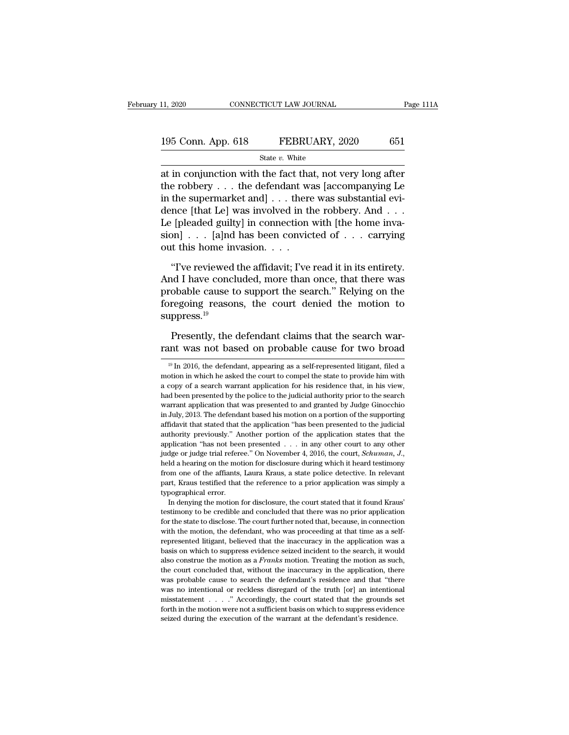# 11, 2020 CONNECTICUT LAW JOURNAL Page 111A<br>195 Conn. App. 618 FEBRUARY, 2020 651<br>State v. White

State *v.* White

11, 2020 CONNECTICUT LAW JOURNAL Page 111A<br>
195 Conn. App. 618 FEBRUARY, 2020 651<br>
State v. White<br>
at in conjunction with the fact that, not very long after<br>
the robbery . . . the defendant was [accompanying Le<br>
in the su 195 Conn. App. 618 FEBRUARY, 2020 651<br>
State v. White<br>
at in conjunction with the fact that, not very long after<br>
the robbery . . . the defendant was [accompanying Le<br>
in the supermarket and] . . . there was substantial e 195 Conn. App. 618 FEBRUARY, 2020 651<br>
State v. White<br>
at in conjunction with the fact that, not very long after<br>
the robbery . . . the defendant was [accompanying Le<br>
in the supermarket and] . . . there was substantial e 195 Conn. App. 618 FEBRUARY, 2020 651<br>
State v. White<br>
at in conjunction with the fact that, not very long after<br>
the robbery... the defendant was [accompanying Le<br>
in the supermarket and] ... there was substantial evi-<br> State v. White<br>
at in conjunction with the fact that, not very long after<br>
the robbery . . . the defendant was [accompanying Le<br>
in the supermarket and] . . . there was substantial evi-<br>
dence [that Le] was involved in th siare v. while<br>at in conjunction with the fact that, not very long after<br>the robbery . . . the defendant was [accompanying Le<br>in the supermarket and] . . . there was substantial evi-<br>dence [that Le] was involved in the ro at in conjunction with the fact that<br>the robbery . . . the defendant was<br>in the supermarket and] . . . there<br>dence [that Le] was involved in the<br>Le [pleaded guilty] in connection<br>sion] . . . [a]nd has been convic<br>out this the supermarket and]  $\ldots$  there was substantial evi-<br>
ince [that Le] was involved in the robbery. And  $\ldots$ <br>
[pleaded guilty] in connection with [the home inva-<br>
on]  $\ldots$  [a]nd has been convicted of  $\ldots$  carrying<br>
it t dence [that Le] was involved in the robbery. And . . .<br>
Le [pleaded guilty] in connection with [the home inva-<br>
sion] . . . [a]nd has been convicted of . . . carrying<br>
out this home invasion. . . .<br>
"I've reviewed the aff

Le [pleaded guilty] in connection with [the home invasion] . . . [a]nd has been convicted of . . . carrying<br>out this home invasion. . . .<br>"I've reviewed the affidavit; I've read it in its entirety.<br>And I have concluded, m sion]  $\ldots$  [a]nd has been convicted of  $\ldots$  carrying<br>out this home invasion.  $\ldots$ <br>"I've reviewed the affidavit; I've read it in its entirety.<br>And I have concluded, more than once, that there was<br>probable cause to suppo suppress. $^{19}$ "I've reviewed the affidavit; I've read it in its entirety."<br>In I have concluded, more than once, that there was<br>obable cause to support the search." Relying on the<br>regoing reasons, the court denied the motion to<br>ppress.<sup>1</sup> And I have concluded, more than once, that there was<br>probable cause to support the search." Relying on the<br>foregoing reasons, the court denied the motion to<br>suppress.<sup>19</sup><br>Presently, the defendant claims that the search wa

<sup>19</sup> In 2016, the defendant claims that the search war-<br>
19 In 2016, the defendant, appearing as a self-represented litigant, filed a<br>
19 In 2016, the defendant, appearing as a self-represented litigant, filed a<br>
19 In 2016 Presently, the defendant claims that the search warrant was not based on probable cause for two broad  $\frac{19 \text{ In } 2016, \text{ the defendant, appearing as a self-represented litigant, filed a motion in which he asked the court to compile the state to provide him with a copy of a search warrant application for his residence that, in his view,$ Presently, the defendant claims that the search warrant was not based on probable cause for two broad  $\frac{19 \text{ In } 2016$ , the defendant, appearing as a self-represented litigant, filed a motion in which he asked the court From the police to the police to the judicial authority prior to the search warrant application for the search warrant application for his residence that, in his view, had been presented by the police to the judicial auth Tant Was Hot Dased Off probable Cause for two broad<br>
<sup>19</sup> In 2016, the defendant, appearing as a self-represented litigant, filed a<br>
motion in which he asked the court to compel the state to provide him with<br>
a copy of a <sup>19</sup> In 2016, the defendant, appearing as a self-represented litigant, filed a motion in which he asked the court to compel the state to provide him with a copy of a search warrant application for his residence that, in h motion in which he asked the court to compel the state to provide him with a copy of a search warrant application for his residence that, in his view, had been presented by the police to the judicial authority prior to the a copy of a search warrant application for his residence that, in his view, had been presented by the police to the judicial authority prior to the search warrant application that was presented to and granted by Judge Gin a does presented by the police to the judicial authority prior to the search warrant application that was presented to and granted by Judge Ginocchio in July, 2013. The defendant based his motion on a portion of the suppo warrant application that was presented to and granted by Judge Ginocchio in July, 2013. The defendant based his motion on a portion of the supporting affidavit that stated that the application "has been presented to the ju affidavit that stated that the application "has been presented to the judicial authority previously." Another portion of the application states that the application "has not been presented  $\ldots$  in any other court to any authority previously." Another portion of the application states that the application "has not been presented . . . in any other court to any other judge or judge trial referee." On November 4, 2016, the court, *Schuman*, application "has not been presented . . . in any other court to any other judge or judge trial referee." On November 4, 2016, the court, *Schuman*, *J*., held a hearing on the motion for disclosure during which it heard t precent rust and referee." On November 4, 2016, the court, *Schuman*, *J*., Id a hearing on the motion for disclosure during which it heard testimony om one of the affiants, Laura Kraus, a state police detective. In releva be calculated and concluded that there was no prior applications, we concluded a hearing on the motion for disclosure during which it heard testimony from one of the affiants, Laura Kraus, a state police detective. In rele

from one of the affiants, Laura Kraus, a state police detective. In relevant part, Kraus testified that the reference to a prior application was simply a typographical error.<br>In denying the motion for disclosure, the court part, Kraus testified that the reference to a prior application was simply a typographical error.<br>In denying the motion for disclosure, the court stated that it found Kraus'<br>testimony to be credible and concluded that ther propriation and the intertactive of a prior approached that it found Kraus'<br>testimony to be credible and concluded that there was no prior application<br>for the state to disclose. The court further noted that, because, in co In denying the motion for disclosure, the court stated that it found Kraus'<br>testimony to be credible and concluded that there was no prior application<br>for the state to disclose. The court further noted that, because, in c testimony to be credible and concluded that there was no prior application for the state to disclose. The court further noted that, because, in connection with the motion, the defendant, who was proceeding at that time as for the state to disclose. The court further noted that, because, in connection with the motion, the defendant, who was proceeding at that time as a self-represented litigant, believed that the inaccuracy in the applicati with the motion, the defendant, who was proceeding at that time as a self-<br>represented litigant, believed that the inaccuracy in the application was a<br>basis on which to suppress evidence seized incident to the search, it w represented litigant, believed that the inaccuracy in the application was a basis on which to suppress evidence seized incident to the search, it would also construe the motion as a *Franks* motion. Treating the motion as basis on which to suppress evidence seized incident to the search, it would also construe the motion as a *Franks* motion. Treating the motion as such, the court concluded that, without the inaccuracy in the application, also construe the motion as a *Franks* motion. Treating the motion as such, the court concluded that, without the inaccuracy in the application, there was probable cause to search the defendant's residence and that "there the court concluded that, without the inaccuracy in the application, there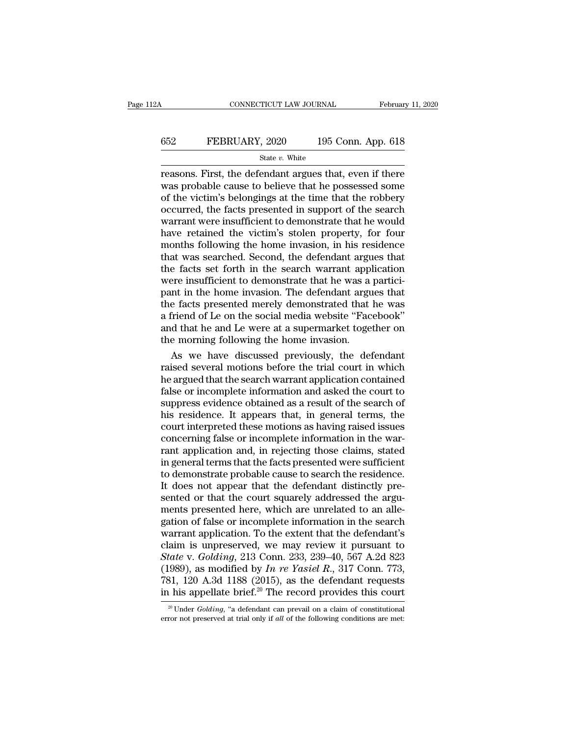#### CONNECTICUT LAW JOURNAL February 11, 2020<br>652 FEBRUARY, 2020 195 Conn. App. 618<br>52 FEBRUARY, 2020 195 Conn. App. 618 State *v.* White

CONNECTICUT LAW JOURNAL February 11, 2020<br>
FEBRUARY, 2020 195 Conn. App. 618<br>
State v. White<br>
Feasons. First, the defendant argues that, even if there<br>
was probable cause to believe that he possessed some<br>
of the victim's FEBRUARY, 2020 195 Conn. App. 618<br>
State  $v$ . White<br>
reasons. First, the defendant argues that, even if there<br>
was probable cause to believe that he possessed some<br>
of the victim's belongings at the time that the robbery<br> **EXECT THE VARY, 2020** 195 Conn. App. 618<br>
State v. White<br>
reasons. First, the defendant argues that, even if there<br>
was probable cause to believe that he possessed some<br>
of the victim's belongings at the time that the ro **EXECUARY, 2020** 195 Conn. App. 618<br>
State v. White<br>
reasons. First, the defendant argues that, even if there<br>
was probable cause to believe that he possessed some<br>
of the victim's belongings at the time that the robbery<br> SET TENCHANT, 2020 130 COMP. Typp. 010<br>
State v. White<br>
reasons. First, the defendant argues that, even if there<br>
was probable cause to believe that he possessed some<br>
of the victim's belongings at the time that the robbe State  $v$ . White<br>reasons. First, the defendant argues that, even if there<br>was probable cause to believe that he possessed some<br>of the victim's belongings at the time that the robbery<br>occurred, the facts presented in suppo reasons. First, the defendant argues that, even if there was probable cause to believe that he possessed some of the victim's belongings at the time that the robbery occurred, the facts presented in support of the search w was probable cause to believe that he possessed some<br>of the victim's belongings at the time that the robbery<br>occurred, the facts presented in support of the search<br>warrant were insufficient to demonstrate that he would<br>hav of the victim's belongings at the time that the robbery<br>occurred, the facts presented in support of the search<br>warrant were insufficient to demonstrate that he would<br>have retained the victim's stolen property, for four<br>mon occurred, the facts presented in support of the search<br>warrant were insufficient to demonstrate that he would<br>have retained the victim's stolen property, for four<br>months following the home invasion, in his residence<br>that w warrant were insufficient to demonstrate that he would<br>have retained the victim's stolen property, for four<br>months following the home invasion, in his residence<br>that was searched. Second, the defendant argues that<br>the fact have retained the victim's stolen property, for four<br>months following the home invasion, in his residence<br>that was searched. Second, the defendant argues that<br>the facts set forth in the search warrant application<br>were insu months following the home invasion, in his residence<br>that was searched. Second, the defendant argues that<br>the facts set forth in the search warrant application<br>were insufficient to demonstrate that he was a partici-<br>pant i that was searched. Second, the defendant argues that<br>the facts set forth in the search warrant application<br>were insufficient to demonstrate that he was a partici-<br>pant in the home invasion. The defendant argues that<br>the fa the facts set forth in the search warrant applement were insufficient to demonstrate that he was a pant in the home invasion. The defendant argue the facts presented merely demonstrated that a friend of Le on the social me ere insufficient to demonstrate that he was a partici-<br>nt in the home invasion. The defendant argues that<br>e facts presented merely demonstrated that he was<br>friend of Le on the social media website "Facebook"<br>d that he and pant in the home invasion. The defendant argues that<br>the facts presented merely demonstrated that he was<br>a friend of Le on the social media website "Facebook"<br>and that he and Le were at a supermarket together on<br>the mornin

the facts presented merely demonstrated that he was<br>a friend of Le on the social media website "Facebook"<br>and that he and Le were at a supermarket together on<br>the morning following the home invasion.<br>As we have discussed p a friend of Le on the social media website "Facebook"<br>and that he and Le were at a supermarket together on<br>the morning following the home invasion.<br>As we have discussed previously, the defendant<br>raised several motions befo and that he and Le were at a supermarket together on<br>the morning following the home invasion.<br>As we have discussed previously, the defendant<br>raised several motions before the trial court in which<br>he argued that the search the morning following the home invasion.<br>
As we have discussed previously, the defendant<br>
raised several motions before the trial court in which<br>
he argued that the search warrant application contained<br>
false or incomplete As we have discussed previously, the defendant<br>raised several motions before the trial court in which<br>he argued that the search warrant application contained<br>false or incomplete information and asked the court to<br>suppress raised several motions before the trial court in which<br>he argued that the search warrant application contained<br>false or incomplete information and asked the court to<br>suppress evidence obtained as a result of the search of<br> he argued that the search warrant application contained<br>false or incomplete information and asked the court to<br>suppress evidence obtained as a result of the search of<br>his residence. It appears that, in general terms, the<br>c false or incomplete information and asked the court to<br>suppress evidence obtained as a result of the search of<br>his residence. It appears that, in general terms, the<br>court interpreted these motions as having raised issues<br>c suppress evidence obtained as a result of the search of<br>his residence. It appears that, in general terms, the<br>court interpreted these motions as having raised issues<br>concerning false or incomplete information in the war-<br>r his residence. It appears that, in general terms, the court interpreted these motions as having raised issues concerning false or incomplete information in the warrant application and, in rejecting those claims, stated in court interpreted these motions as having raised issues<br>concerning false or incomplete information in the war-<br>rant application and, in rejecting those claims, stated<br>in general terms that the facts presented were sufficie concerning false or incomplete information in the warrant application and, in rejecting those claims, stated<br>in general terms that the facts presented were sufficient<br>to demonstrate probable cause to search the residence.<br> rant application and, in rejecting those claims, stated<br>in general terms that the facts presented were sufficient<br>to demonstrate probable cause to search the residence.<br>It does not appear that the defendant distinctly prein general terms that the facts presented were sufficient<br>to demonstrate probable cause to search the residence.<br>It does not appear that the defendant distinctly pre-<br>sented or that the court squarely addressed the argu-<br>m to demonstrate probable cause to search the residence.<br>It does not appear that the defendant distinctly pre-<br>sented or that the court squarely addressed the argu-<br>ments presented here, which are unrelated to an alle-<br>gati It does not appear that the defendant distinctly pre-<br>sented or that the court squarely addressed the argu-<br>ments presented here, which are unrelated to an alle-<br>gation of false or incomplete information in the search<br>warr sented or that the court squarely addressed the arguments presented here, which are unrelated to an allegation of false or incomplete information in the search warrant application. To the extent that the defendant's claim ments presented here, which are unrelated to an allegation of false or incomplete information in the search warrant application. To the extent that the defendant's claim is unpreserved, we may review it pursuant to *State* gation of false or incomplete information in the search<br>warrant application. To the extent that the defendant's<br>claim is unpreserved, we may review it pursuant to<br>*State* v. *Golding*, 213 Conn. 233, 239–40, 567 A.2d 823<br> tate v. Golding, 213 Conn. 233, 239–40, 567 A.2d 823<br>989), as modified by *In re Yasiel R.*, 317 Conn. 773,<br>31, 120 A.3d 1188 (2015), as the defendant requests<br><sup>1</sup> his appellate brief.<sup>20</sup> The record provides this court<br><sup>2</sup> (1989), as modified by *In re Yasiel R.*, 317 Conn. 773, 781, 120 A.3d 1188 (2015), as the defendant requests in his appellate brief.<sup>20</sup> The record provides this court  $\frac{1}{20}$  Under *Golding*, "a defendant can prevail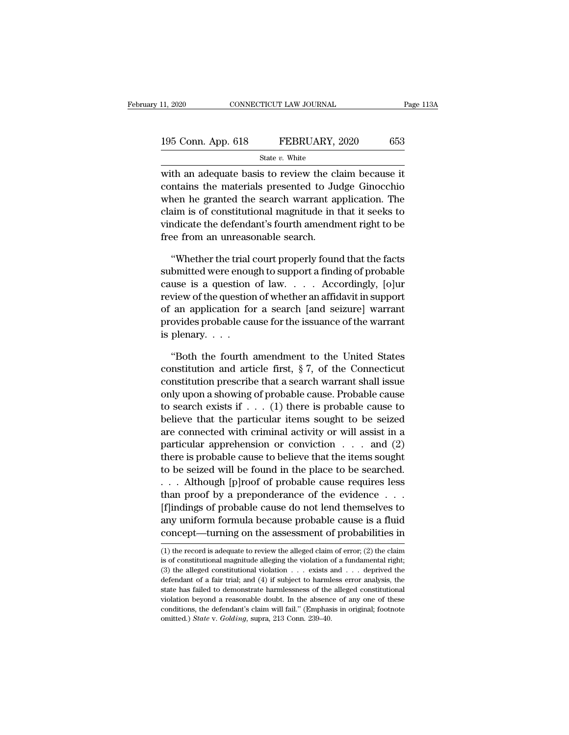| 11, 2020           | CONNECTICUT LAW JOURNAL | Page 113A |
|--------------------|-------------------------|-----------|
| 195 Conn. App. 618 | FEBRUARY, 2020          | 653       |
|                    | State $v$ . White       |           |

11, 2020 CONNECTICUT LAW JOURNAL Page 113 $\mu$ <br>195 Conn. App. 618 FEBRUARY, 2020 653<br>State v. White<br>with an adequate basis to review the claim because it<br>contains the materials presented to Judge Ginocchio 195 Conn. App. 618 FEBRUARY, 2020 653<br>
State v. White<br>
with an adequate basis to review the claim because it<br>
contains the materials presented to Judge Ginocchio<br>
when he granted the search warrant application. The<br>
claim 195 Conn. App. 618 FEBRUARY, 2020 653<br>
State v. White<br>
with an adequate basis to review the claim because it<br>
contains the materials presented to Judge Ginocchio<br>
when he granted the search warrant application. The<br>
claim 195 Conn. App. 618 FEBRUARY, 2020 653<br>
State v. White<br>
with an adequate basis to review the claim because it<br>
contains the materials presented to Judge Ginocchio<br>
when he granted the search warrant application. The<br>
claim State  $v$ . White<br>with an adequate basis to review the claim because it<br>contains the materials presented to Judge Ginocchio<br>when he granted the search warrant application. The<br>claim is of constitutional magnitude in that i with an adequate basis to review the cl<br>contains the materials presented to Ju<br>when he granted the search warrant ap<br>claim is of constitutional magnitude in t<br>vindicate the defendant's fourth amendn<br>free from an unreasonab ntains the materials presented to Judge Ginocchio<br>
here in the granted the search warrant application. The<br>
healim is of constitutional magnitude in that it seeks to<br>
headicate the defendant's fourth amendment right to be<br> when he granted the search warrant application. The<br>claim is of constitutional magnitude in that it seeks to<br>vindicate the defendant's fourth amendment right to be<br>free from an unreasonable search.<br>"Whether the trial court

claim is of constitutional magnitude in that it seeks to<br>vindicate the defendant's fourth amendment right to be<br>free from an unreasonable search.<br>"Whether the trial court properly found that the facts<br>submitted were enough vindicate the defendant's fourth amendment right to be<br>free from an unreasonable search.<br>"Whether the trial court properly found that the facts<br>submitted were enough to support a finding of probable<br>cause is a question of free from an unreasonable search.<br>
"Whether the trial court properly found that the facts<br>
submitted were enough to support a finding of probable<br>
cause is a question of law. . . . Accordingly, [o]ur<br>
review of the questio "Whether the trial court properly found that the facts<br>submitted were enough to support a finding of probable<br>cause is a question of law.... Accordingly, [o]ur<br>review of the question of whether an affidavit in support<br>of Whether the trial<br>submitted were enou<br>cause is a question<br>review of the question<br>of an application fo<br>provides probable ca<br>is plenary. . . . .<br>"Both the fourth use is a question of law. . . . . Accordingly, [o]ur<br>
view of the question of whether an affidavit in support<br>
an application for a search [and seizure] warrant<br>
ovides probable cause for the issuance of the warrant<br>
plen review of the question of whether an affidavit in support<br>of an application for a search [and seizure] warrant<br>provides probable cause for the issuance of the warrant<br>is plenary....<br>"Both the fourth amendment to the United

of an application for a search [and seizure] warrant<br>provides probable cause for the issuance of the warrant<br>is plenary....<br>"Both the fourth amendment to the United States<br>constitution and article first, § 7, of the Conne provides probable cause for the issuance of the warrant<br>is plenary....<br>"Both the fourth amendment to the United States<br>constitution and article first, § 7, of the Connecticut<br>constitution prescribe that a search warrant s is plenary. . . .<br>
"Both the fourth amendment to the United States<br>
constitution and article first, § 7, of the Connecticut<br>
constitution prescribe that a search warrant shall issue<br>
only upon a showing of probable cause. "Both the fourth amendment to the United States<br>constitution and article first,  $\S 7$ , of the Connecticut<br>constitution prescribe that a search warrant shall issue<br>only upon a showing of probable cause. Probable cause<br>to s "Both the fourth amendment to the United States<br>constitution and article first, § 7, of the Connecticut<br>constitution prescribe that a search warrant shall issue<br>only upon a showing of probable cause. Probable cause to<br>bel constitution and article first,  $\S$  7, of the Connecticut<br>constitution prescribe that a search warrant shall issue<br>only upon a showing of probable cause. Probable cause<br>to search exists if . . . (1) there is probable caus constitution prescribe that a search warrant shall issue<br>only upon a showing of probable cause. Probable cause<br>to search exists if  $\dots$  (1) there is probable cause to<br>believe that the particular items sought to be seized<br> only upon a showing of probable cause. Probable cause<br>to search exists if  $\dots$  (1) there is probable cause to<br>believe that the particular items sought to be seized<br>are connected with criminal activity or will assist in a<br> to search exists if  $\ldots$  (1) there is probable cause to<br>believe that the particular items sought to be seized<br>are connected with criminal activity or will assist in a<br>particular apprehension or conviction  $\ldots$  and (2)<br>t believe that the particular items sought to be seized<br>are connected with criminal activity or will assist in a<br>particular apprehension or conviction  $\dots$  and (2)<br>there is probable cause to believe that the items sought<br>to are connected with criminal activity or will assist in a<br>particular apprehension or conviction . . . and (2)<br>there is probable cause to believe that the items sought<br>to be seized will be found in the place to be searched.<br> particular apprenension or conviction . . . and (2)<br>there is probable cause to believe that the items sought<br>to be seized will be found in the place to be searched.<br>. . . Although [p]roof of probable cause requires less<br>th there is probable cause to believe that the items sought<br>to be seized will be found in the place to be searched.<br>... Although [p]roof of probable cause requires less<br>than proof by a preponderance of the evidence ...<br>[f]in (1) the record is adequate to review the alleged claim of error; (2) the claim is of constitutional magnitude alleging the violation of a fundamental right; [f]indings of probable cause do not lend themselves to<br>any uniform formula because probable cause is a fluid<br>concept—turning on the assessment of probabilities in<br> $(1)$  the record is adequate to review the alleged claim o

any uniform formula because probable cause is a fluid<br>concept—turning on the assessment of probabilities in<br> $(1)$  the record is adequate to review the alleged claim of error; (2) the claim<br>is of constitutional magnitude a concept—turning on the assessment of probabilities in  $(1)$  the record is adequate to review the alleged claim of error; (2) the claim is of constitutional magnitude alleging the violation of a fundamental right; (3) the concept—turning on the assessment of probabilities in<br>
(1) the record is adequate to review the alleged claim of error; (2) the claim<br>
is of constitutional magnitude alleging the violation of a fundamental right;<br>
(3) the (1) the record is adequate to review the alleged claim of error; (2) the claim is of constitutional magnitude alleging the violation of a fundamental right; (3) the alleged constitutional violation  $\ldots$  exists and  $\ldots$  is of constitutional magnitude alleging the violation of a fundamental right;<br>(3) the alleged constitutional violation  $\ldots$  exists and  $\ldots$  deprived the defendant of a fair trial; and (4) if subject to harmless error an (3) the alleged constitutional violation  $\ldots$  exists and  $\ldots$  deprived the defendant of a fair trial; and (4) if subject to harmless error analysis, the state has failed to demonstrate harmlessness of the alleged consti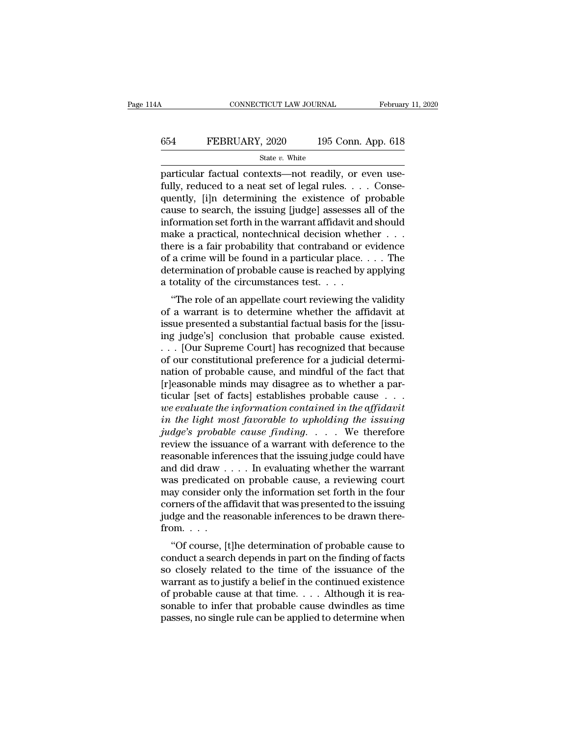#### CONNECTICUT LAW JOURNAL February 11, 2020<br>654 FEBRUARY, 2020 195 Conn. App. 618<br>5tate v. White State *v.* White

Februar<br>
Februar<br>
654 FEBRUARY, 2020 195 Conn. App. 618<br>
50 State v. White<br>
67 State v. White<br>
67 Particular factual contexts—not readily, or even use-<br>
fully, reduced to a neat set of legal rules.... Consequently<br>
Fig. de FEBRUARY, 2020 195 Conn. App. 618<br>
state v. White<br>
particular factual contexts—not readily, or even use-<br>
fully, reduced to a neat set of legal rules. . . . Conse-<br>
quently, [i]n determining the existence of probable<br>
cau FEBRUARY, 2020 195 Conn. App. 618<br>
State v. White<br>
particular factual contexts—not readily, or even use-<br>
fully, reduced to a neat set of legal rules. . . . Conse-<br>
quently, [i]n determining the existence of probable<br>
cau EBRUARY, 2020 195 Conn. App. 618<br>
State v. White<br>
particular factual contexts—not readily, or even use-<br>
fully, reduced to a neat set of legal rules. . . . Conse-<br>
quently, [i]n determining the existence of probable<br>
caus State v. White<br>
State v. White<br>
particular factual contexts—not readily, or even use-<br>
fully, reduced to a neat set of legal rules. . . . Conse-<br>
quently, [i]n determining the existence of probable<br>
cause to search, the i State v. White<br>particular factual contexts—not readily, or even use-<br>fully, reduced to a neat set of legal rules. . . . Conse-<br>quently, [i]n determining the existence of probable<br>cause to search, the issuing [judge] asses particular factual contexts—not readily, or even use-<br>fully, reduced to a neat set of legal rules. . . . Conse-<br>quently, [i]n determining the existence of probable<br>cause to search, the issuing [judge] assesses all of the<br> fully, reduced to a neat set of legal rules. . . . Consequently, [i]n determining the existence of probable cause to search, the issuing [judge] assesses all of the information set forth in the warrant affidavit and should quently, [i]n determining the existence of probable cause to search, the issuing [judge] assesses all of the information set forth in the warrant affidavit and should make a practical, nontechnical decision whether  $\dots$  t cause to search, the issuing [judge] assesses a<br>information set forth in the warrant affidavit an<br>make a practical, nontechnical decision whet<br>there is a fair probability that contraband or  $\alpha$ <br>of a crime will be found i Formation set form in the warrant amdavit and should<br>ake a practical, nontechnical decision whether  $\dots$ <br>rere is a fair probability that contraband or evidence<br>a crime will be found in a particular place.  $\dots$  The<br>termina There is a fair probability that contraband or evidence<br>of a crime will be found in a particular place.... The<br>determination of probable cause is reached by applying<br>a totality of the circumstances test....<br>"The role of a

Figure 18 a fair probability that contraband or evidence<br>of a crime will be found in a particular place.... The<br>determination of probable cause is reached by applying<br>a totality of the circumstances test....<br>"The role of or a crime win be round in a particular place.  $\ldots$  in the determination of probable cause is reached by applying a totality of the circumstances test.  $\ldots$  "The role of an appellate court reviewing the validity of a wa determination of probable cause is reached by applying<br>a totality of the circumstances test. . . .<br>"The role of an appellate court reviewing the validity<br>of a warrant is to determine whether the affidavit at<br>issue presente a totality of the circumstances test.  $\ldots$ <br>
"The role of an appellate court reviewing the validity<br>
of a warrant is to determine whether the affidavit at<br>
issue presented a substantial factual basis for the [issu-<br>
ing j "The role of an appellate court reviewing the validity<br>of a warrant is to determine whether the affidavit at<br>issue presented a substantial factual basis for the [issu-<br>ing judge's] conclusion that probable cause existed.<br> of a warrant is to determine whether the affidavit at<br>issue presented a substantial factual basis for the [issu-<br>ing judge's] conclusion that probable cause existed.<br> $\ldots$  [Our Supreme Court] has recognized that because<br>o issue presented a substantial factual basis for the [issu-<br>ing judge's] conclusion that probable cause existed.<br>... [Our Supreme Court] has recognized that because<br>of our constitutional preference for a judicial determi-<br> ing judge's] conclusion that probable cause existed.<br>
. . . [Our Supreme Court] has recognized that because<br>
of our constitutional preference for a judicial determi-<br>
nation of probable cause, and mindful of the fact that<br> *i* . . [Our Supreme Court] has recognized that because<br>of our constitutional preference for a judicial determi-<br>nation of probable cause, and mindful of the fact that<br>[r]easonable minds may disagree as to whether a par-<br>t of our constitutional preference for a judicial determination of probable cause, and mindful of the fact that [r]easonable minds may disagree as to whether a particular [set of facts] establishes probable cause . . . . *we* review of probable cause, and mindful of the fact that<br>
[r]easonable minds may disagree as to whether a par-<br>
ticular [set of facts] establishes probable cause  $\dots$ <br>
we evaluate the information contained in the affidavit<br> [r]easonable minds may disagree as to whether a particular [set of facts] establishes probable cause . . . .<br>we evaluate the information contained in the affidavit<br>in the light most favorable to upholding the issuing<br>judg iccular [set of facts] establishes probable cause . . . we evaluate the information contained in the affidavit<br>in the light most favorable to upholding the issuing<br>judge's probable cause finding. . . . We therefore<br>review we evaluate the information contained in the affidavit<br>in the light most favorable to upholding the issuing<br>judge's probable cause finding.... We therefore<br>review the issuance of a warrant with deference to the<br>reasonable in the light most favorable to upholding the issuing<br>judge's probable cause finding.... We therefore<br>review the issuance of a warrant with deference to the<br>reasonable inferences that the issuing judge could have<br>and did d *judge's probable cause finding.* . . . . We therefore<br>review the issuance of a warrant with deference to the<br>reasonable inferences that the issuing judge could have<br>and did draw . . . . In evaluating whether the warrant<br> review the issuance of a warrant with deference to the reasonable inferences that the issuing judge could have and did draw  $\dots$ . In evaluating whether the warrant was predicated on probable cause, a reviewing court may c reasonable infer<br>and did draw<br>was predicated<br>may consider or<br>corners of the af<br>judge and the re<br>from.....<br>"Of course, [t of course, it is evaluating whether the warrant<br>as predicated on probable cause, a reviewing court<br>ay consider only the information set forth in the four<br>rmers of the affidavit that was presented to the issuing<br>dge and the was predicated on probable cause, a reviewing count<br>may consider only the information set forth in the four<br>corners of the affidavit that was presented to the issuing<br>judge and the reasonable inferences to be drawn there-<br>

may consider only the information set forth in the four<br>corners of the affidavit that was presented to the issuing<br>judge and the reasonable inferences to be drawn there-<br>from.<br> $\cdot \cdot \cdot$ <br>"Of course, [t]he determination of p belief in the annuaviruation of the issuing<br>judge and the reasonable inferences to be drawn there-<br>from....<br>"Of course, [t]he determination of probable cause to<br>conduct a search depends in part on the finding of facts<br>so from. . . .<br>"Of course, [t]he determination of probable cause to conduct a search depends in part on the finding of facts<br>so closely related to the time of the issuance of the<br>warrant as to justify a belief in the continu solutions.<br>
"Of course, [t]he determination of probable cause to conduct a search depends in part on the finding of facts<br>
so closely related to the time of the issuance of the<br>
warrant as to justify a belief in the conti "Of course, [t]he determination of probable cause to conduct a search depends in part on the finding of facts so closely related to the time of the issuance of the warrant as to justify a belief in the continued existence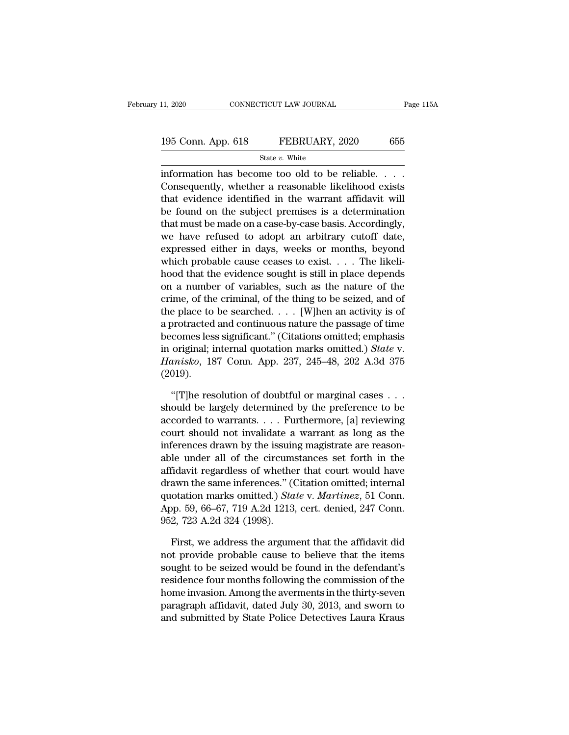| 11, 2020           | CONNECTICUT LAW JOURNAL | Page 115A |
|--------------------|-------------------------|-----------|
| 195 Conn. App. 618 | FEBRUARY, 2020          | 655       |
|                    | State $v$ . White       |           |

11, 2020 CONNECTICUT LAW JOURNAL Page 11<br>
195 Conn. App. 618 FEBRUARY, 2020 655<br>
State v. White<br>
information has become too old to be reliable. . . .<br>
Consequently, whether a reasonable likelihood exists<br>
that sydence ide 195 Conn. App. 618 FEBRUARY, 2020 655<br>
State v. White<br>
information has become too old to be reliable. . . .<br>
Consequently, whether a reasonable likelihood exists<br>
that evidence identified in the warrant affidavit will<br>
he 195 Conn. App. 618 FEBRUARY, 2020 655<br>
State v. White<br>
information has become too old to be reliable....<br>
Consequently, whether a reasonable likelihood exists<br>
that evidence identified in the warrant affidavit will<br>
be fo 195 Conn. App. 618 FEBRUARY, 2020 655<br>
State v. White<br>
information has become too old to be reliable....<br>
Consequently, whether a reasonable likelihood exists<br>
that evidence identified in the warrant affidavit will<br>
be fo State v. White<br>
information has become too old to be reliable. . . .<br>
Consequently, whether a reasonable likelihood exists<br>
that evidence identified in the warrant affidavit will<br>
be found on the subject premises is a det information has become too old to be reliable.  $\ldots$ <br>Consequently, whether a reasonable likelihood exists<br>that evidence identified in the warrant affidavit will<br>be found on the subject premises is a determination<br>that mus information has become too old to be reliable. . . . .<br>Consequently, whether a reasonable likelihood exists<br>that evidence identified in the warrant affidavit will<br>be found on the subject premises is a determination<br>that mu Consequently, whether a reasonable likelihood exists<br>that evidence identified in the warrant affidavit will<br>be found on the subject premises is a determination<br>that must be made on a case-by-case basis. Accordingly,<br>we ha that evidence identified in the warrant affidavit will<br>be found on the subject premises is a determination<br>that must be made on a case-by-case basis. Accordingly,<br>we have refused to adopt an arbitrary cutoff date,<br>express be found on the subject premises is a determination<br>that must be made on a case-by-case basis. Accordingly,<br>we have refused to adopt an arbitrary cutoff date,<br>expressed either in days, weeks or months, beyond<br>which probabl that must be made on a case-by-case basis. Accordingly,<br>we have refused to adopt an arbitrary cutoff date,<br>expressed either in days, weeks or months, beyond<br>which probable cause ceases to exist.... The likeli-<br>hood that th we have refused to adopt an arbitrary cutoff date,<br>expressed either in days, weeks or months, beyond<br>which probable cause ceases to exist. . . . The likeli-<br>hood that the evidence sought is still in place depends<br>on a num expressed either in days, weeks or months, beyond<br>which probable cause ceases to exist. . . . The likeli-<br>hood that the evidence sought is still in place depends<br>on a number of variables, such as the nature of the<br>crime, which probable cause ceases to exist.... The likelihood that the evidence sought is still in place depends<br>on a number of variables, such as the nature of the<br>crime, of the criminal, of the thing to be seized, and of<br>the hood that the evidence sought is still in place depends<br>on a number of variables, such as the nature of the<br>crime, of the criminal, of the thing to be seized, and of<br>the place to be searched. . . . [W]hen an activity is of on a number of variables, such as the nature of the crime, of the criminal, of the thing to be seized, and of the place to be searched. . . . [W]hen an activity is of a protracted and continuous nature the passage of time (2019). or brotracted and continuous nature the passage of time<br>
comes less significant." (Citations omitted; emphasis<br>
original; internal quotation marks omitted.) *State v.*<br> *misko*, 187 Conn. App. 237, 245–48, 202 A.3d 375<br>
01 becomes less significant." (Citations omitted; emphasis<br>in original; internal quotation marks omitted.) *State* v.<br>*Hanisko*, 187 Conn. App. 237, 245–48, 202 A.3d 375<br>(2019).<br>"[T]he resolution of doubtful or marginal cases

in original; internal quotation marks omitted.) State v.<br> *Hanisko*, 187 Conn. App. 237, 245–48, 202 A.3d 375<br>
(2019).<br>
"[T]he resolution of doubtful or marginal cases . . .<br>
should be largely determined by the preference Hanisko, 187 Conn. App. 237, 245–48, 202 A.3d 375<br>(2019).<br>"[T]he resolution of doubtful or marginal cases . . .<br>should be largely determined by the preference to be<br>accorded to warrants. . . . Furthermore, [a] reviewing<br>c (2019).<br>
"[T]he resolution of doubtful or marginal cases . . . should be largely determined by the preference to be<br>
accorded to warrants. . . . Furthermore, [a] reviewing<br>
court should not invalidate a warrant as long as "[T]he resolution of doubtful or marginal cases . . . should be largely determined by the preference to be accorded to warrants. . . . Furthermore, [a] reviewing court should not invalidate a warrant as long as the infere "[T]he resolution of doubtful or marginal cases . . . should be largely determined by the preference to be accorded to warrants. . . . Furthermore, [a] reviewing court should not invalidate a warrant as long as the infere should be largely determined by the preference to be<br>accorded to warrants.... Furthermore, [a] reviewing<br>court should not invalidate a warrant as long as the<br>inferences drawn by the issuing magistrate are reason-<br>able und accorded to warrants.... Furthermore, [a] reviewing<br>court should not invalidate a warrant as long as the<br>inferences drawn by the issuing magistrate are reason-<br>able under all of the circumstances set forth in the<br>affidavit court should not invaludate a warrant as long as the<br>inferences drawn by the issuing magistrate are reason-<br>able under all of the circumstances set forth in the<br>affidavit regardless of whether that court would have<br>drawn t mterences drawn by the issum<br>able under all of the circums<br>affidavit regardless of whethe<br>drawn the same inferences." ((<br>quotation marks omitted.) *Sta*<br>App. 59, 66–67, 719 A.2d 1213,<br>952, 723 A.2d 324 (1998).<br>First. we ad fidavit regardless of whether that court would have<br>awn the same inferences." (Citation omitted; internal<br>otation marks omitted.) *State* v. *Martinez*, 51 Conn.<br>pp. 59, 66–67, 719 A.2d 1213, cert. denied, 247 Conn.<br>2, 723 drawn the same inferences." (Citation omitted; internal<br>quotation marks omitted.) *State* v. *Martinez*, 51 Conn.<br>App. 59, 66–67, 719 A.2d 1213, cert. denied, 247 Conn.<br>952, 723 A.2d 324 (1998).<br>First, we address the argum

quotation marks omitted.) *State v. Martinez*, 51 Conn.<br>App. 59, 66–67, 719 A.2d 1213, cert. denied, 247 Conn.<br>952, 723 A.2d 324 (1998).<br>First, we address the argument that the affidavit did<br>not provide probable cause to b App. 59, 66–67, 719 A.2d 1213, cert. denied, 247 Conn.<br>952, 723 A.2d 324 (1998).<br>First, we address the argument that the affidavit did<br>not provide probable cause to believe that the items<br>sought to be seized would be found 952, 723 A.2d 324 (1998).<br>First, we address the argument that the affidavit did<br>not provide probable cause to believe that the items<br>sought to be seized would be found in the defendant's<br>residence four months following the First, we address the argument that the affidavit did<br>not provide probable cause to believe that the items<br>sought to be seized would be found in the defendant's<br>residence four months following the commission of the<br>home in First, we address the argument that the attidavit did<br>not provide probable cause to believe that the items<br>sought to be seized would be found in the defendant's<br>residence four months following the commission of the<br>home in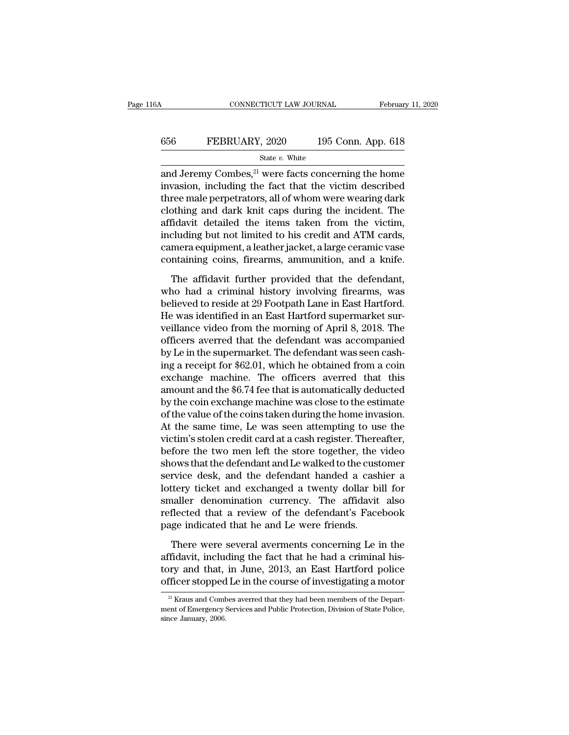#### CONNECTICUT LAW JOURNAL February 11, 2020<br>656 FEBRUARY, 2020 195 Conn. App. 618<br>5tate v. White State *v.* White

CONNECTICUT LAW JOURNAL February 11, 2020<br>
FEBRUARY, 2020 195 Conn. App. 618<br>
State v. White<br>
and Jeremy Combes, <sup>21</sup> were facts concerning the home<br>
invasion, including the fact that the victim described<br>
three male perm FEBRUARY, 2020 195 Conn. App. 618<br>
State v. White<br>
and Jeremy Combes, <sup>21</sup> were facts concerning the home<br>
invasion, including the fact that the victim described<br>
three male perpetrators, all of whom were wearing dark<br>
cl FEBRUARY, 2020 195 Conn. App. 618<br>
State v. White<br>
and Jeremy Combes,<sup>21</sup> were facts concerning the home<br>
invasion, including the fact that the victim described<br>
three male perpetrators, all of whom were wearing dark<br>
clo **EGRUARY, 2020** 195 Conn. App. 618<br>
State v. White<br>
and Jeremy Combes,<sup>21</sup> were facts concerning the home<br>
invasion, including the fact that the victim described<br>
three male perpetrators, all of whom were wearing dark<br>
cl State v. White<br>
and Jeremy Combes, <sup>21</sup> were facts concerning the home<br>
invasion, including the fact that the victim described<br>
three male perpetrators, all of whom were wearing dark<br>
clothing and dark knit caps during th siate v. white<br>and Jeremy Combes,<sup>21</sup> were facts concerning the home<br>invasion, including the fact that the victim described<br>three male perpetrators, all of whom were wearing dark<br>clothing and dark knit caps during the inc and Jeremy Combes,<sup>21</sup> were facts concerning the home<br>invasion, including the fact that the victim described<br>three male perpetrators, all of whom were wearing dark<br>clothing and dark knit caps during the incident. The<br>affid invasion, including the fact that the victim described<br>three male perpetrators, all of whom were wearing dark<br>clothing and dark knit caps during the incident. The<br>affidavit detailed the items taken from the victim,<br>includi The affidavit detailed the items taken from the victim,<br>the fidavit detailed the items taken from the victim,<br>cluding but not limited to his credit and ATM cards,<br>mera equipment, a leather jacket, a large ceramic vase<br>ntai affidavit detailed the items taken from the victim,<br>including but not limited to his credit and ATM cards,<br>camera equipment, a leather jacket, a large ceramic vase<br>containing coins, firearms, ammunition, and a knife.<br>The a

including but not limited to his credit and ATM cards,<br>camera equipment, a leather jacket, a large ceramic vase<br>containing coins, firearms, ammunition, and a knife.<br>The affidavit further provided that the defendant,<br>who ha camera equipment, a leather jacket, a large ceramic vase<br>containing coins, firearms, ammunition, and a knife.<br>The affidavit further provided that the defendant,<br>who had a criminal history involving firearms, was<br>believed t containing coins, firearms, ammunition, and a knife.<br>The affidavit further provided that the defendant,<br>who had a criminal history involving firearms, was<br>believed to reside at 29 Footpath Lane in East Hartford.<br>He was ide The affidavit further provided that the defendant,<br>who had a criminal history involving firearms, was<br>believed to reside at 29 Footpath Lane in East Hartford.<br>He was identified in an East Hartford supermarket sur-<br>veillan The affidavit further provided that the defendant,<br>who had a criminal history involving firearms, was<br>believed to reside at 29 Footpath Lane in East Hartford.<br>He was identified in an East Hartford supermarket sur-<br>veillanc who had a criminal history involving firearms, was<br>believed to reside at 29 Footpath Lane in East Hartford.<br>He was identified in an East Hartford supermarket sur-<br>veillance video from the morning of April 8, 2018. The<br>offi believed to reside at 29 Footpath Lane in East Hartford.<br>He was identified in an East Hartford supermarket surveillance video from the morning of April 8, 2018. The<br>officers averred that the defendant was accompanied<br>by Le He was identified in an East Hartford supermarket surveillance video from the morning of April 8, 2018. The officers averred that the defendant was accompanied by Le in the supermarket. The defendant was seen cashing a rec veillance video from the morning of April 8, 2018. The<br>officers averred that the defendant was accompanied<br>by Le in the supermarket. The defendant was seen cash-<br>ing a receipt for \$62.01, which he obtained from a coin<br>exch officers averred that the defendant was accompanied<br>by Le in the supermarket. The defendant was seen cash-<br>ing a receipt for \$62.01, which he obtained from a coin<br>exchange machine. The officers averred that this<br>amount and by Le in the supermarket. The defendant was seen cashing a receipt for \$62.01, which he obtained from a coin exchange machine. The officers averred that this amount and the \$6.74 fee that is automatically deducted by the c ing a receipt for \$62.01, which he obtained from a coin<br>exchange machine. The officers averred that this<br>amount and the \$6.74 fee that is automatically deducted<br>by the coin exchange machine was close to the estimate<br>of the exchange machine. The officers averred that this<br>amount and the \$6.74 fee that is automatically deducted<br>by the coin exchange machine was close to the estimate<br>of the value of the coins taken during the home invasion.<br>At t amount and the \$6.74 fee that is automatically deducted<br>by the coin exchange machine was close to the estimate<br>of the value of the coins taken during the home invasion.<br>At the same time, Le was seen attempting to use the<br>v by the coin exchange machine was close to the estimate<br>of the value of the coins taken during the home invasion.<br>At the same time, Le was seen attempting to use the<br>victim's stolen credit card at a cash register. Thereafte of the value of the coins taken during the home invasion.<br>At the same time, Le was seen attempting to use the<br>victim's stolen credit card at a cash register. Thereafter,<br>before the two men left the store together, the vide At the same time, Le was seen attempting to use the<br>victim's stolen credit card at a cash register. Thereafter,<br>before the two men left the store together, the video<br>shows that the defendant and Le walked to the customer<br>s victim's stolen credit card at a cash register. Thereafter,<br>before the two men left the store together, the video<br>shows that the defendant and Le walked to the customer<br>service desk, and the defendant handed a cashier a<br>lo before the two men left the store together, the shows that the defendant and Le walked to the cust service desk, and the defendant handed a cash lottery ticket and exchanged a twenty dollar bismaller denomination currency. rvice desk, and the defendant handed a cashier a<br>ttery ticket and exchanged a twenty dollar bill for<br>naller denomination currency. The affidavit also<br>flected that a review of the defendant's Facebook<br>ge indicated that he a lottery ticket and exchanged a twenty dollar bill for<br>smaller denomination currency. The affidavit also<br>reflected that a review of the defendant's Facebook<br>page indicated that he and Le were friends.<br>There were several ave

smaller denomination currency. The affidavit also<br>reflected that a review of the defendant's Facebook<br>page indicated that he and Le were friends.<br>There were several averments concerning Le in the<br>affidavit, including the f reflected that a review of the defendant's Facebook<br>page indicated that he and Le were friends.<br>There were several averments concerning Le in the<br>affidavit, including the fact that he had a criminal his-<br>tory and that, in There were several averments concerning Le in the<br>fiidavit, including the fact that he had a criminal his-<br>pry and that, in June, 2013, an East Hartford police<br>fiicer stopped Le in the course of investigating a motor<br><sup>21</sup> affidavit, including the fact that he had a criminal history and that, in June, 2013, an East Hartford police officer stopped Le in the course of investigating a motor  $\frac{21}{21}$  Kraus and Combes averred that they had be tory and that,<br>officer stopped<br> $\frac{21}{10}$  Kraus and Comt<br>ment of Emergency is<br>since January, 2006.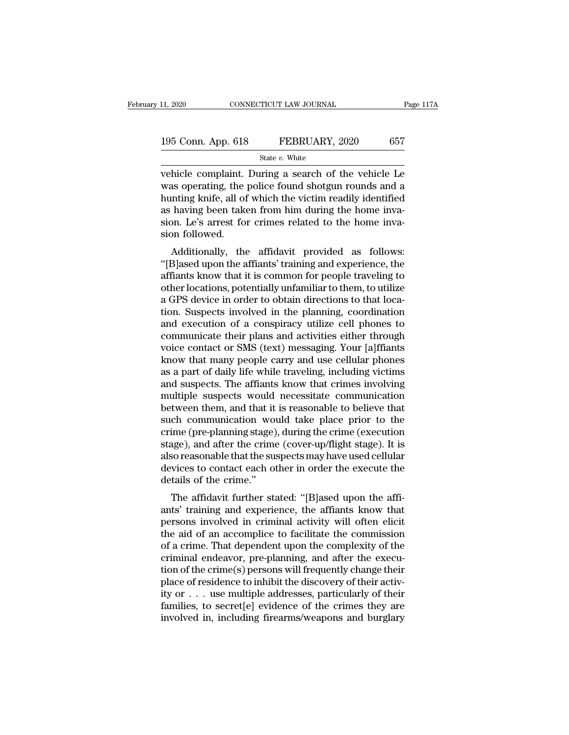| 11, 2020           | CONNECTICUT LAW JOURNAL | Page 117A |
|--------------------|-------------------------|-----------|
| 195 Conn. App. 618 | FEBRUARY, 2020          | 657       |
|                    | State $v$ . White       |           |

vehicle complaint. During a search of the vehicle complaint buring a search of the vehicle Le was operating, the police found shotgun rounds and a hunting length of which the victim readily identified 195 Conn. App. 618 FEBRUARY, 2020 657<br>
State v. White<br>
vehicle complaint. During a search of the vehicle Le<br>
was operating, the police found shotgun rounds and a<br>
hunting knife, all of which the victim readily identified<br> 195 Conn. App. 618 FEBRUARY, 2020 657<br>
State v. White<br>
vehicle complaint. During a search of the vehicle Le<br>
was operating, the police found shotgun rounds and a<br>
hunting knife, all of which the victim readily identified<br> 195 Conn. App. 618 FEBRUARY, 2020 657<br>
State v. White<br>
vehicle complaint. During a search of the vehicle Le<br>
was operating, the police found shotgun rounds and a<br>
hunting knife, all of which the victim readily identified<br> Since  $\frac{1}{2}$  are  $\frac{1}{2}$  are  $\frac{1}{2}$  are  $\frac{1}{2}$  are  $\frac{1}{2}$  are  $\frac{1}{2}$  white<br>vehicle complaint. During a search of the vehicle Le<br>was operating, the police found shotgun rounds and a<br>hunting knife, all of w vehicle complaint.<br>
was operating, the<br>
hunting knife, all of<br>
as having been take<br>
sion. Le's arrest fo:<br>
sion followed.<br>
Additionally, the Fince Complaint. During a search of the venicle Le<br>as operating, the police found shotgun rounds and a<br>mting knife, all of which the victim readily identified<br>having been taken from him during the home inva-<br>on. Le's arres was operating, the police found shotgun founds and a<br>
hunting knife, all of which the victim readily identified<br>
as having been taken from him during the home inva-<br>
sion. Le's arrest for crimes related to the home inva-<br>

multing kille, all of which the victim readily identified<br>as having been taken from him during the home inva-<br>sion followed.<br>Additionally, the affidavit provided as follows:<br>"[B]ased upon the affiants' training and experie as having been taken from film during the none invasion. Le's arrest for crimes related to the home invasion followed.<br>Additionally, the affidavit provided as follows:<br>"[B]ased upon the affiants' training and experience, t sion. Les ariest for crimes related to the home inva-<br>sion followed.<br>Additionally, the affidavit provided as follows:<br>"[B]ased upon the affiants' training and experience, the<br>affiants know that it is common for people trav sus a distinct and as follows:<br>
"[B]ased upon the affiants' training and experience, the<br>
affiants know that it is common for people traveling to<br>
other locations, potentially unfamiliar to them, to utilize<br>
a GPS device i Additionally, the affidavit provided as follows:<br>"[B]ased upon the affiants' training and experience, the<br>affiants know that it is common for people traveling to<br>other locations, potentially unfamiliar to them, to utilize<br> "[B]ased upon the affiants' training and experience, the<br>affiants know that it is common for people traveling to<br>other locations, potentially unfamiliar to them, to utilize<br>a GPS device in order to obtain directions to tha affiants know that it is common for people traveling to<br>other locations, potentially unfamiliar to them, to utilize<br>a GPS device in order to obtain directions to that loca-<br>tion. Suspects involved in the planning, coordina other locations, potentially unfamiliar to them, to utilize<br>a GPS device in order to obtain directions to that loca-<br>tion. Suspects involved in the planning, coordination<br>and execution of a conspiracy utilize cell phones t a GPS device in order to obtain directions to that location. Suspects involved in the planning, coordination<br>and execution of a conspiracy utilize cell phones to<br>communicate their plans and activities either through<br>voice tion. Suspects involved in the planning, coordination<br>and execution of a conspiracy utilize cell phones to<br>communicate their plans and activities either through<br>voice contact or SMS (text) messaging. Your [a]ffiants<br>know t and execution of a conspiracy utilize cell phones to<br>communicate their plans and activities either through<br>voice contact or SMS (text) messaging. Your [a]ffiants<br>know that many people carry and use cellular phones<br>as a par communicate their plans and activities either through<br>voice contact or SMS (text) messaging. Your [a]ffiants<br>know that many people carry and use cellular phones<br>as a part of daily life while traveling, including victims<br>an voice contact or SMS (text) messaging. Your [a]ffiants<br>know that many people carry and use cellular phones<br>as a part of daily life while traveling, including victims<br>and suspects. The affiants know that crimes involving<br>mu know that many people carry and use cellular phones<br>as a part of daily life while traveling, including victims<br>and suspects. The affiants know that crimes involving<br>multiple suspects would necessitate communication<br>between as a part of daily life while traveling, including victims<br>and suspects. The affiants know that crimes involving<br>multiple suspects would necessitate communication<br>between them, and that it is reasonable to believe that<br>suc and suspects. The affiants know that crimes involving<br>multiple suspects would necessitate communication<br>between them, and that it is reasonable to believe that<br>such communication would take place prior to the<br>crime (pre-pl multiple suspects would necessitate communication<br>between them, and that it is reasonable to believe that<br>such communication would take place prior to the<br>crime (pre-planning stage), during the crime (execution<br>stage), and between them, and that it<br>such communication wo<br>crime (pre-planning stage)<br>stage), and after the crime<br>also reasonable that the su<br>devices to contact each of<br>details of the crime."<br>The affidavit further st: En communication would take place phot to the<br>lime (pre-planning stage), during the crime (execution<br>age), and after the crime (cover-up/flight stage). It is<br>so reasonable that the suspects may have used cellular<br>vices to Erine (pre-plaining stage), during the crine (execution<br>stage), and after the crime (cover-up/flight stage). It is<br>also reasonable that the suspects may have used cellular<br>devices to contact each other in order the execute

stage), and after the crime (cover-up/inght stage). It is<br>also reasonable that the suspects may have used cellular<br>devices to contact each other in order the execute the<br>details of the crime."<br>The affidavit further stated: also reasonable that the suspects hay have used centual<br>devices to contact each other in order the execute the<br>details of the crime."<br>The affidavit further stated: "[B]ased upon the affi-<br>ants' training and experience, the details of the crime."<br>
The affidavit further stated: "[B]ased upon the affi-<br>
ants' training and experience, the affiants know that<br>
persons involved in criminal activity will often elicit<br>
the aid of an accomplice to fac The affidavit further stated: "[B]ased upon the affi-<br>ants' training and experience, the affiants know that<br>persons involved in criminal activity will often elicit<br>the aid of an accomplice to facilitate the commission<br>of a The affidavit further stated: "[B]ased upon the affi-<br>ants' training and experience, the affiants know that<br>persons involved in criminal activity will often elicit<br>the aid of an accomplice to facilitate the commission<br>of a ants' training and experience, the affiants know that<br>persons involved in criminal activity will often elicit<br>the aid of an accomplice to facilitate the commission<br>of a crime. That dependent upon the complexity of the<br>cri persons involved in criminal activity will often elicit<br>the aid of an accomplice to facilitate the commission<br>of a crime. That dependent upon the complexity of the<br>criminal endeavor, pre-planning, and after the execu-<br>tion the aid of an accomplice to facilitate the commission<br>of a crime. That dependent upon the complexity of the<br>criminal endeavor, pre-planning, and after the execu-<br>tion of the crime(s) persons will frequently change their<br>pl of a crime. That dependent upon the complexity of the criminal endeavor, pre-planning, and after the execution of the crime(s) persons will frequently change their place of residence to inhibit the discovery of their activ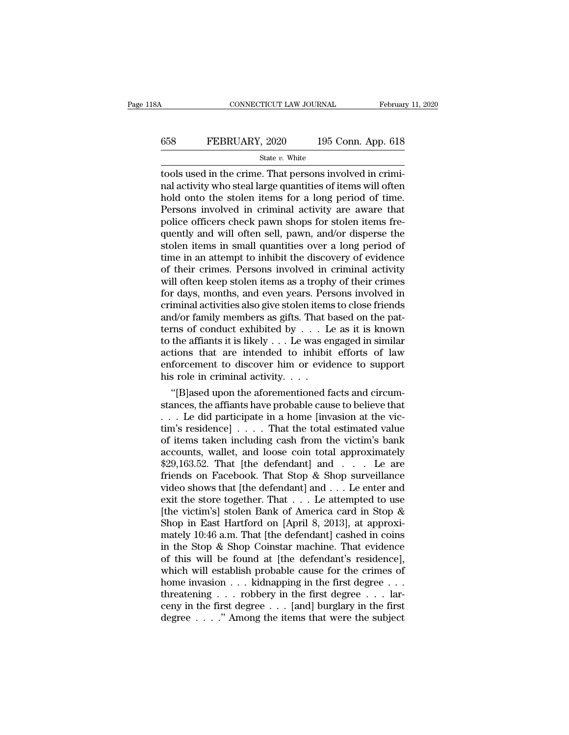# CONNECTICUT LAW JOURNAL February 11, 2020<br>658 FEBRUARY, 2020 195 Conn. App. 618<br>5tate v. White

State *v.* White

CONNECTICUT LAW JOURNAL Februar<br>
Februar<br>
State v. White<br>
State v. White<br>
That persons involved in crimi-<br>
That persons involved in crimi-<br>
That activity who steal large quantities of items will often<br>
hold onto the stelen FEBRUARY, 2020 195 Conn. App. 618<br>
State v. White<br>
state v. White<br>
tools used in the crime. That persons involved in crimi-<br>
nal activity who steal large quantities of items will often<br>
hold onto the stolen items for a lo FEBRUARY, 2020 195 Conn. App. 618<br>
State v. White<br>
tools used in the crime. That persons involved in crimi-<br>
nal activity who steal large quantities of items will often<br>
hold onto the stolen items for a long period of tim FEBRUARY, 2020 195 Conn. App. 618<br>
State v. White<br>
tools used in the crime. That persons involved in crimi-<br>
rail activity who steal large quantities of items will often<br>
hold onto the stolen items for a long period of ti Solution and the crime. That persons involved in criminal activity who steal large quantities of items will often hold onto the stolen items for a long period of time.<br>Persons involved in criminal activity are aware that state v. White<br>tools used in the crime. That persons involved in crimi-<br>nal activity who steal large quantities of items will often<br>hold onto the stolen items for a long period of time.<br>Persons involved in criminal activi tools used in the crime. That persons involved in crimi-<br>nal activity who steal large quantities of items will often<br>hold onto the stolen items for a long period of time.<br>Persons involved in criminal activity are aware tha nal activity who steal large quantities of items will often<br>hold onto the stolen items for a long period of time.<br>Persons involved in criminal activity are aware that<br>police officers check pawn shops for stolen items fre-<br> hold onto the stolen items for a long period of time.<br>Persons involved in criminal activity are aware that<br>police officers check pawn shops for stolen items fre-<br>quently and will often sell, pawn, and/or disperse the<br>stole Persons involved in criminal activity are aware that<br>police officers check pawn shops for stolen items fre-<br>quently and will often sell, pawn, and/or disperse the<br>stolen items in small quantities over a long period of<br>time police officers check pawn shops for stolen items frequently and will often sell, pawn, and/or disperse the stolen items in small quantities over a long period of time in an attempt to inhibit the discovery of evidence of quently and will often sell, pawn, and/or disperse the<br>stolen items in small quantities over a long period of<br>time in an attempt to inhibit the discovery of evidence<br>of their crimes. Persons involved in criminal activity<br>w stolen items in small quantities over a long period of<br>time in an attempt to inhibit the discovery of evidence<br>of their crimes. Persons involved in criminal activity<br>will often keep stolen items as a trophy of their crime time in an attempt to inhibit the discovery of evidence<br>of their crimes. Persons involved in criminal activity<br>will often keep stolen items as a trophy of their crimes<br>for days, months, and even years. Persons involved in of their crimes. Persons involved in criminal activity<br>will often keep stolen items as a trophy of their crimes<br>for days, months, and even years. Persons involved in<br>criminal activities also give stolen items to close fri will often keep stolen items as a trophy of their crimes<br>for days, months, and even years. Persons involved in<br>criminal activities also give stolen items to close friends<br>and/or family members as gifts. That based on the for days, months, and even years. Persons involved in<br>criminal activities also give stolen items to close friends<br>and/or family members as gifts. That based on the pat-<br>terms of conduct exhibited by  $\dots$  Le as it is known criminal activities also give stolen item<br>and/or family members as gifts. That  $t$ <br>terns of conduct exhibited by  $\ldots$  L<br>to the affiants it is likely  $\ldots$  Le was en<br>actions that are intended to inhibit<br>enforcement to dis  $d$ /or family members as gifts. That based on the pat-<br>
rms of conduct exhibited by  $\dots$  Le as it is known<br>
the affiants it is likely  $\dots$  Le was engaged in similar<br>
tions that are intended to inhibit efforts of law<br>
forc terns of conduct exhibited by  $\ldots$  Le as it is known<br>to the affiants it is likely  $\ldots$  Le was engaged in similar<br>actions that are intended to inhibit efforts of law<br>enforcement to discover him or evidence to support<br>his

to the attnants it is likely . . . Le was engaged in similar actions that are intended to inhibit efforts of law enforcement to discover him or evidence to support his role in criminal activity. . . .<br>"[B]ased upon the af actions that are intended to inhibit efforts of law<br>enforcement to discover him or evidence to support<br>his role in criminal activity. . . .<br>"[B]ased upon the aforementioned facts and circum-<br>stances, the affiants have pro enforcement to discover him or evidence to support<br>his role in criminal activity. . . .<br>"[B]ased upon the aforementioned facts and circum-<br>stances, the affiants have probable cause to believe that<br> $\dots$  Le did participate has role in criminal activity. . . .<br>
"[B]ased upon the aforementioned facts and circumstances, the affiants have probable cause to believe that<br>  $\dots$  Le did participate in a home [invasion at the vic-<br>
tim's residence] "[B]ased upon the aforementioned facts and circum-<br>stances, the affiants have probable cause to believe that<br>... Le did participate in a home [invasion at the vic-<br>tim's residence] .... That the total estimated value<br>of i stances, the affiants have probable cause to believe that<br>  $\dots$  Le did participate in a home [invasion at the vic-<br>
tim's residence]  $\dots$ . That the total estimated value<br>
of items taken including cash from the victim's ba ... Le did participate in a home [invasion at the victim's residence] .... That the total estimated value<br>of items taken including cash from the victim's bank<br>accounts, wallet, and loose coin total approximately<br>\$29,163.5 tim's residence] . . . . That the total estimated value<br>of items taken including cash from the victim's bank<br>accounts, wallet, and loose coin total approximately<br> $$29,163.52$ . That [the defendant] and . . . Le are<br>friends % of items taken including cash from the victim's bank<br>accounts, wallet, and loose coin total approximately<br> $$29,163.52$ . That [the defendant] and . . . Le are<br>friends on Facebook. That Stop & Shop surveillance<br>video show accounts, wallet, and loose coin total approximately \$29,163.52. That [the defendant] and . . . Le are friends on Facebook. That Stop & Shop surveillance video shows that [the defendant] and . . . Le enter and exit the st \$29,163.52. That [the defendant] and . . . Le are<br>friends on Facebook. That Stop & Shop surveillance<br>video shows that [the defendant] and . . . Le enter and<br>exit the store together. That . . . Le attempted to use<br>[the vict friends on Facebook. That Stop & Shop surveillance<br>video shows that [the defendant] and . . . Le enter and<br>exit the store together. That . . . Le attempted to use<br>[the victim's] stolen Bank of America card in Stop &<br>Shop video shows that [the defendant] and . . . Le enter and<br>exit the store together. That  $\ldots$  Le attempted to use<br>[the victim's] stolen Bank of America card in Stop &<br>Shop in East Hartford on [April 8, 2013], at approxi-<br>ma exit the store together. That  $\ldots$  Le attempted to use<br>[the victim's] stolen Bank of America card in Stop &<br>Shop in East Hartford on [April 8, 2013], at approxi-<br>mately 10:46 a.m. That [the defendant] cashed in coins<br>in [the victim's] stolen Bank of America card in Stop &<br>Shop in East Hartford on [April 8, 2013], at approxi-<br>mately 10:46 a.m. That [the defendant] cashed in coins<br>in the Stop & Shop Coinstar machine. That evidence<br>of this Shop in East Hartford on [April 8, 2013], at approximately 10:46 a.m. That [the defendant] cashed in coins<br>in the Stop & Shop Coinstar machine. That evidence<br>of this will be found at [the defendant's residence],<br>which wil mately 10:46 a.m. That [the defendant] cashed in coins<br>in the Stop & Shop Coinstar machine. That evidence<br>of this will be found at [the defendant's residence],<br>which will establish probable cause for the crimes of<br>home in in the Stop & Shop Coinstar machine. That evidence<br>of this will be found at [the defendant's residence],<br>which will establish probable cause for the crimes of<br>home invasion . . . kidnapping in the first degree . . . lar-<br>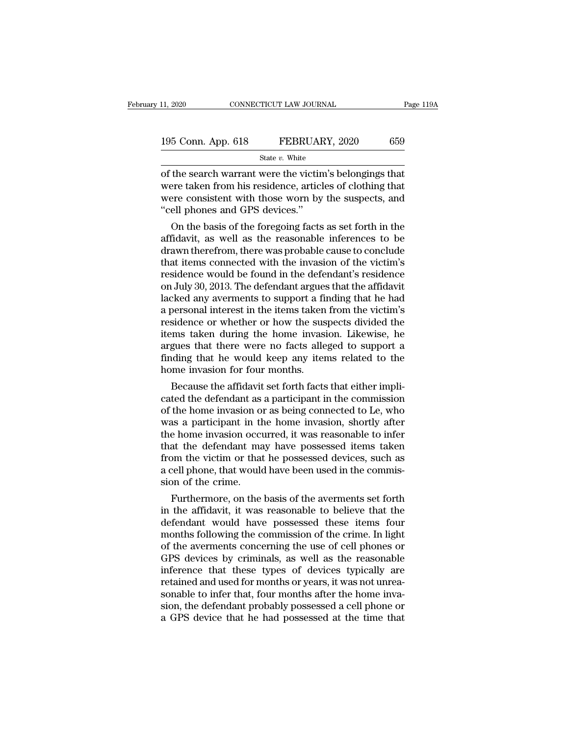| 11, 2020           | CONNECTICUT LAW JOURNAL | Page 119A |
|--------------------|-------------------------|-----------|
| 195 Conn. App. 618 | FEBRUARY, 2020          | 659       |
|                    | State $v$ . White       |           |

11, 2020 CONNECTICUT LAW JOURNAL Page 119,<br>
195 Conn. App. 618 FEBRUARY, 2020 659<br>
State v. White<br>
of the search warrant were the victim's belongings that<br>
were taken from his residence, articles of clothing that<br>
were co 195 Conn. App. 618 FEBRUARY, 2020 659<br>
State v. White<br>
of the search warrant were the victim's belongings that<br>
were taken from his residence, articles of clothing that<br>
were consistent with those worn by the suspects, an 195 Conn. App. 618 FEBRUARY, 2020 659<br>
State v. White<br>
of the search warrant were the victim's belongings that<br>
were taken from his residence, articles of clothing that<br>
were consistent with those worn by the suspects, an  $\begin{tabular}{l} 195 \textbf{Conn. App. 618} & \textbf{FEBRUAI} \\ \hline \textbf{State } v. \textbf{White} \\ \hline \textbf{of the search warrant were the victim} \\ \textbf{were taken from his residence, article} \\ \textbf{were consistent with those worn by} \\ \textbf{``cell phones and GPS devices."} \\ \hline \textbf{On the basis of the foregoing facts} \end{tabular}$ State  $v$ . White<br>the search warrant were the victim's belongings that<br>ere taken from his residence, articles of clothing that<br>ere consistent with those worn by the suspects, and<br>ell phones and GPS devices."<br>On the basis o of the search warrant were the victim's belongings that<br>were taken from his residence, articles of clothing that<br>were consistent with those worn by the suspects, and<br>"cell phones and GPS devices."<br>On the basis of the foreg

or the search warrant were the victim's belongings that<br>were taken from his residence, articles of clothing that<br>were consistent with those worn by the suspects, and<br>"cell phones and GPS devices."<br>On the basis of the foreg were taken from his residence, articles of clothing that<br>were consistent with those worn by the suspects, and<br>"cell phones and GPS devices."<br>On the basis of the foregoing facts as set forth in the<br>affidavit, as well as the were consistent with those worn by the suspects, and<br>"cell phones and GPS devices."<br>On the basis of the foregoing facts as set forth in the<br>affidavit, as well as the reasonable inferences to be<br>drawn therefrom, there was p cell phones and GPS devices.<br>
On the basis of the foregoing facts as set forth in the<br>
affidavit, as well as the reasonable inferences to be<br>
drawn therefrom, there was probable cause to conclude<br>
that items connected with On the basis of the foregoing facts as set forth in the affidavit, as well as the reasonable inferences to be drawn therefrom, there was probable cause to conclude that items connected with the invasion of the victim's res affidavit, as well as the reasonable inferences to be<br>drawn therefrom, there was probable cause to conclude<br>that items connected with the invasion of the victim's<br>residence would be found in the defendant's residence<br>on Ju drawn therefrom, there was probable cause to conclude<br>that items connected with the invasion of the victim's<br>residence would be found in the defendant's residence<br>on July 30, 2013. The defendant argues that the affidavit<br>l that items connected with the invasion of the victim's<br>residence would be found in the defendant's residence<br>on July 30, 2013. The defendant argues that the affidavit<br>lacked any averments to support a finding that he had<br>a residence would be found in the defendant's residence<br>on July 30, 2013. The defendant argues that the affidavit<br>lacked any averments to support a finding that he had<br>a personal interest in the items taken from the victim's on July 30, 2013. The defendant argues that the affidavit<br>lacked any averments to support a finding that he had<br>a personal interest in the items taken from the victim's<br>residence or whether or how the suspects divided the<br> lacked any averments to support a filed a personal interest in the items taken<br>residence or whether or how the sus<br>items taken during the home invasi<br>argues that there were no facts alle<br>finding that he would keep any iter bersonal interest in the tiems taken from the victim sidence or whether or how the suspects divided the ms taken during the home invasion. Likewise, he gues that there were no facts alleged to support a dding that he would residence or whether or now the suspects divided the<br>items taken during the home invasion. Likewise, he<br>argues that there were no facts alleged to support a<br>finding that he would keep any items related to the<br>home invasion

trems taken during the nome invasion. Likewise, he<br>argues that there were no facts alleged to support a<br>finding that he would keep any items related to the<br>home invasion for four months.<br>Because the affidavit set forth fac argues that there were no facts alleged to support a<br>finding that he would keep any items related to the<br>home invasion for four months.<br>Because the affidavit set forth facts that either impli-<br>cated the defendant as a part the invasion for four months.<br>
Because the affidavit set forth facts that either implicated the defendant as a participant in the commission<br>
of the home invasion or as being connected to Le, who<br>
was a participant in the from the measure of the defendant as a participant in the commission<br>of the home invasion or as being connected to Le, who<br>was a participant in the home invasion, shortly after<br>the home invasion occurred, it was reasonable Because the affidavit set forth facts that either implicated the defendant as a participant in the commission<br>of the home invasion or as being connected to Le, who<br>was a participant in the home invasion, shortly after<br>the cated the defendant as a participant in the commission<br>of the home invasion or as being connected to Le, who<br>was a participant in the home invasion, shortly after<br>the home invasion occurred, it was reasonable to infer<br>that of the home invasion of<br>was a participant in the<br>the home invasion occu<br>that the defendant ma<br>from the victim or that<br>a cell phone, that would<br>sion of the crime.<br>Furthermore, on the is a participant in the nome invasion, shortly after<br>the home invasion occurred, it was reasonable to infer<br>at the defendant may have possessed items taken<br>pm the victim or that he possessed devices, such as<br>rell phone, th that the defendant may have possessed items taken<br>from the victim or that he possessed devices, such as<br>a cell phone, that would have been used in the commis-<br>sion of the crime.<br>Furthermore, on the basis of the averments s

that the defendant may have possessed items taken<br>from the victim or that he possessed devices, such as<br>a cell phone, that would have been used in the commis-<br>sion of the crime.<br>Furthermore, on the basis of the averments s mom the victim or that he possessed devices, such as<br>a cell phone, that would have been used in the commis-<br>sion of the crime.<br>Furthermore, on the basis of the averments set forth<br>in the affidavit, it was reasonable to bel a cell phone, that would have been used in the commission of the crime.<br>Furthermore, on the basis of the averments set forth<br>in the affidavit, it was reasonable to believe that the<br>defendant would have possessed these item sion of the crime.<br>Furthermore, on the basis of the averments set forth<br>in the affidavit, it was reasonable to believe that the<br>defendant would have possessed these items four<br>months following the commission of the crime. Furthermore, on the basis of the averments set forth<br>in the affidavit, it was reasonable to believe that the<br>defendant would have possessed these items four<br>months following the commission of the crime. In light<br>of the ave in the affidavit, it was reasonable to believe that the defendant would have possessed these items four months following the commission of the crime. In light of the averments concerning the use of cell phones or GPS devic defendant would have possessed these items four<br>months following the commission of the crime. In light<br>of the averments concerning the use of cell phones or<br>GPS devices by criminals, as well as the reasonable<br>inference tha months following the commission of the crime. In light<br>of the averments concerning the use of cell phones or<br>GPS devices by criminals, as well as the reasonable<br>inference that these types of devices typically are<br>retained of the averments concerning the use of cell phones or GPS devices by criminals, as well as the reasonable inference that these types of devices typically are retained and used for months or years, it was not unreasonable t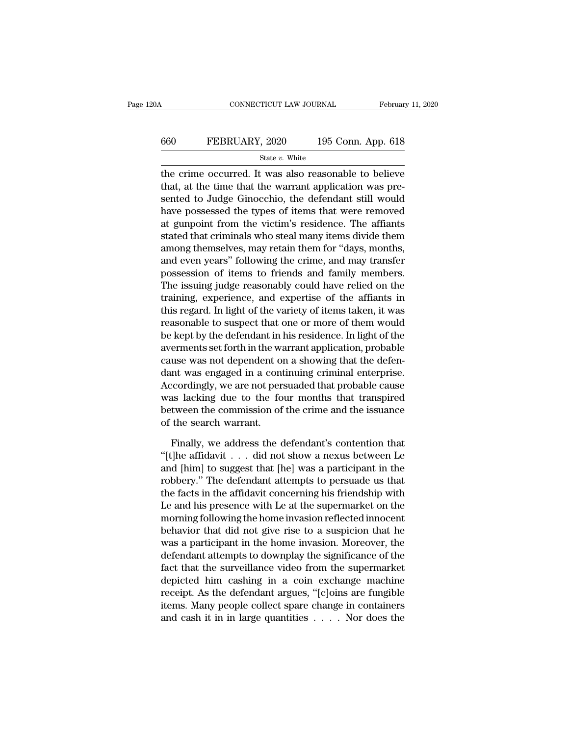#### CONNECTICUT LAW JOURNAL February 11, 2020<br>660 FEBRUARY, 2020 195 Conn. App. 618<br>5tate v. White State *v.* White

CONNECTICUT LAW JOURNAL February 11, 2020<br>  $\begin{array}{r}\n 660 \quad \text{FEBRUARY, } 2020 \quad \text{195 Conn. App. 618}\n \hline\n \text{State } v. \text{ White}\n \end{array}$ the crime occurred. It was also reasonable to believe<br>
that, at the time that the warrant application was p FEBRUARY, 2020 195 Conn. App. 618<br>  $\frac{\text{State } v. \text{ White}}{\text{the crime occurred. It was also reasonable to believe}}$ <br>
that, at the time that the warrant application was pre-<br>
sented to Judge Ginocchio, the defendant still would<br>
have persenceed the times of items that wer EBRUARY, 2020 195 Conn. App. 618<br>
State v. White<br>
the crime occurred. It was also reasonable to believe<br>
that, at the time that the warrant application was pre-<br>
sented to Judge Ginocchio, the defendant still would<br>
have FEBRUARY, 2020 195 Conn. App. 618<br>  $\frac{\text{State } v. \text{ White}}{\text{the crime occurred. It was also reasonable to believe}}$ <br>
that, at the time that the warrant application was pre-<br>
sented to Judge Ginocchio, the defendant still would<br>
have possessed the types of items that were State v. White<br>the crime occurred. It was also reasonable to believe<br>that, at the time that the warrant application was pre-<br>sented to Judge Ginocchio, the defendant still would<br>have possessed the types of items that were state *v*. while<br>the crime occurred. It was also reasonable to believe<br>that, at the time that the warrant application was pre-<br>sented to Judge Ginocchio, the defendant still would<br>have possessed the types of items that we the crime occurred. It was also reasonable to believe<br>that, at the time that the warrant application was pre-<br>sented to Judge Ginocchio, the defendant still would<br>have possessed the types of items that were removed<br>at gunp that, at the time that the warrant application was pre-<br>sented to Judge Ginocchio, the defendant still would<br>have possessed the types of items that were removed<br>at gunpoint from the victim's residence. The affiants<br>stated sented to Judge Ginocchio, the defendant still would<br>have possessed the types of items that were removed<br>at gunpoint from the victim's residence. The affiants<br>stated that criminals who steal many items divide them<br>among th have possessed the types of items that were removed<br>at gunpoint from the victim's residence. The affiants<br>stated that criminals who steal many items divide them<br>among themselves, may retain them for "days, months,<br>and even at gunpoint from the victim's residence. The affiants<br>stated that criminals who steal many items divide them<br>among themselves, may retain them for "days, months,<br>and even years" following the crime, and may transfer<br>posses stated that criminals who steal many items divide them<br>among themselves, may retain them for "days, months,<br>and even years" following the crime, and may transfer<br>possession of items to friends and family members.<br>The issui among themselves, may retain them for "days, months,<br>and even years" following the crime, and may transfer<br>possession of items to friends and family members.<br>The issuing judge reasonably could have relied on the<br>training, and even years" following the crime, and may transfer<br>possession of items to friends and family members.<br>The issuing judge reasonably could have relied on the<br>training, experience, and expertise of the affiants in<br>this reg possession of items to friends and family members.<br>The issuing judge reasonably could have relied on the<br>training, experience, and expertise of the affiants in<br>this regard. In light of the variety of items taken, it was<br>re The issuing judge reasonably could have relied on the<br>training, experience, and expertise of the affiants in<br>this regard. In light of the variety of items taken, it was<br>reasonable to suspect that one or more of them would<br> training, experience, and expertise of the affiants in<br>this regard. In light of the variety of items taken, it was<br>reasonable to suspect that one or more of them would<br>be kept by the defendant in his residence. In light of this regard. In light of the variety of items taken, it was<br>reasonable to suspect that one or more of them would<br>be kept by the defendant in his residence. In light of the<br>averments set forth in the warrant application, pr reasonable to suspect that one or more of them would<br>be kept by the defendant in his residence. In light of the<br>averments set forth in the warrant application, probable<br>cause was not dependent on a showing that the defen-<br> be kept by the defendant in his residence. In light of the<br>averments set forth in the warrant application, probable<br>cause was not dependent on a showing that the defen-<br>dant was engaged in a continuing criminal enterprise. averments set forth in the wa<br>cause was not dependent of<br>dant was engaged in a cont<br>Accordingly, we are not pers<br>was lacking due to the fo<br>between the commission of<br>of the search warrant.<br>Finally, we address the c In the definition and the defendant is the definition of the defendant of the defendant of the defendant of the defendant of the defendant of the defendant of the search warrant.<br>Finally, we address the defendant's content Accordingly, we are not persuaded that probable cause<br>was lacking due to the four months that transpired<br>between the commission of the crime and the issuance<br>of the search warrant.<br>Finally, we address the defendant's cont

was lacking due to the four months that transpired<br>between the commission of the crime and the issuance<br>of the search warrant.<br>Finally, we address the defendant's contention that<br>"[t]he affidavit . . . did not show a nexu between the commission of the crime and the issuance<br>of the search warrant.<br>'' Tinally, we address the defendant's contention that<br>''' The affidavit . . . did not show a nexus between Le<br>and [him] to suggest that [he] was of the search warrant.<br>
Finally, we address the defendant's contention that<br>
"[t]he affidavit  $\ldots$  did not show a nexus between Le<br>
and [him] to suggest that [he] was a participant in the<br>
robbery." The defendant attempt Finally, we address the defendant's contention that "[t]he affidavit  $\ldots$  did not show a nexus between Le and [him] to suggest that [he] was a participant in the robbery." The defendant attempts to persuade us that the f Finally, we address the defendant's contention that<br>"[t]he affidavit  $\ldots$  did not show a nexus between Le<br>and [him] to suggest that [he] was a participant in the<br>robbery." The defendant attempts to persuade us that<br>the f "[t]he affidavit  $\ldots$  did not show a nexus between Le and [him] to suggest that [he] was a participant in the robbery." The defendant attempts to persuade us that the facts in the affidavit concerning his friendship with and [him] to suggest that [he] was a participant in the<br>robbery." The defendant attempts to persuade us that<br>the facts in the affidavit concerning his friendship with<br>Le and his presence with Le at the supermarket on the<br>m robbery." The defendant attempts to persuade us that<br>the facts in the affidavit concerning his friendship with<br>Le and his presence with Le at the supermarket on the<br>morning following the home invasion reflected innocent<br>be the facts in the affidavit concerning his friendship with<br>Le and his presence with Le at the supermarket on the<br>morning following the home invasion reflected innocent<br>behavior that did not give rise to a suspicion that he<br> Le and his presence with Le at the supermarket on the<br>morning following the home invasion reflected innocent<br>behavior that did not give rise to a suspicion that he<br>was a participant in the home invasion. Moreover, the<br>defe morning following the home invasion reflected innocent<br>behavior that did not give rise to a suspicion that he<br>was a participant in the home invasion. Moreover, the<br>defendant attempts to downplay the significance of the<br>fac behavior that did not give rise to a suspicion that he<br>was a participant in the home invasion. Moreover, the<br>defendant attempts to downplay the significance of the<br>fact that the surveillance video from the supermarket<br>dep was a participant in the home invasion. Moreover, the defendant attempts to downplay the significance of the fact that the surveillance video from the supermarket depicted him cashing in a coin exchange machine receipt. A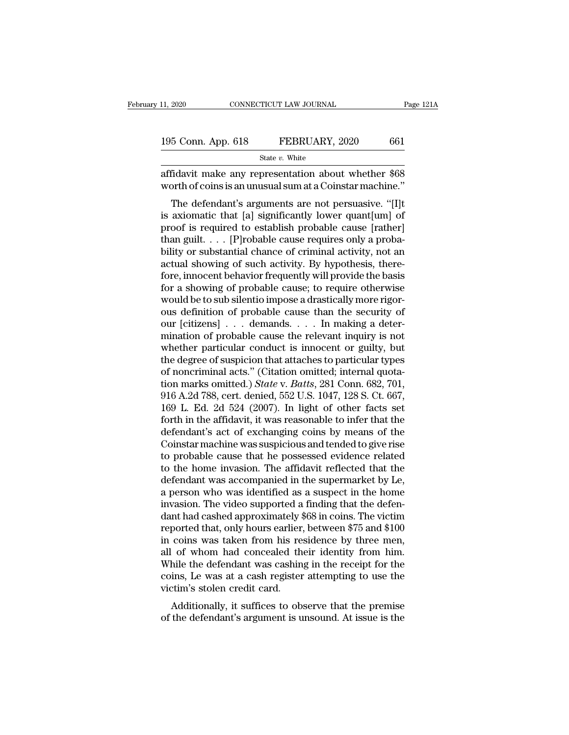| 11, 2020           | CONNECTICUT LAW JOURNAL | Page 121A |
|--------------------|-------------------------|-----------|
| 195 Conn. App. 618 | FEBRUARY, 2020          | 661       |
|                    | State $v$ . White       |           |

11, 2020 CONNECTICUT LAW JOURNAL Page 121A<br>
195 Conn. App. 618 FEBRUARY, 2020 661<br>
State v. White<br>
affidavit make any representation about whether \$68<br>
worth of coins is an unusual sum at a Coinstar machine." 195 Conn. App. 618 FEBRUARY, 2020 661<br>
State v. White<br>
affidavit make any representation about whether \$68<br>
worth of coins is an unusual sum at a Coinstar machine."<br>
The defendant's arguments are not persuasive. "[I]t

 $\frac{5 \text{ Conn. App. 618}}{\text{State } v. \text{ White}}$ <br>  $\frac{\text{State } v. \text{ White}}{\text{fidavit make any representation about whether $68}}$ <br>  $\frac{\text{fidavit make any representation about whether $68}}{\text{orth of coins is an unusual sum at a Coinstar machine.}}$   $\frac{\text{The defendant's arguments are not pervasive. "[I]t axiomatic that [a] significantly lower quantum] of 100}$ <br>  $\frac{\text{of its required to establish probable cause (rather)}}{\text{orthor}}$ 195 Conn. App. 618 FEBRUARY, 2020 661<br>
State v. White<br>
affidavit make any representation about whether \$68<br>
worth of coins is an unusual sum at a Coinstar machine."<br>
The defendant's arguments are not persuasive. "[I]t<br>
is State v. White<br>
affidavit make any representation about whether \$68<br>
worth of coins is an unusual sum at a Coinstar machine."<br>
The defendant's arguments are not persuasive. "[I]t<br>
is axiomatic that [a] significantly lower affidavit make any representation about whether \$68<br>worth of coins is an unusual sum at a Coinstar machine."<br>The defendant's arguments are not persuasive. "[I]t<br>is axiomatic that [a] significantly lower quant[um] of<br>proof amdavit make any representation about whether  $\frac{300}{200}$ <br>worth of coins is an unusual sum at a Coinstar machine."<br>The defendant's arguments are not persuasive. "[I]t<br>is axiomatic that [a] significantly lower quant[um] o worth of conts is an unistial stim at a contstant machine.<br>The defendant's arguments are not persuasive. "[I]t<br>is axiomatic that [a] significantly lower quant[um] of<br>proof is required to establish probable cause [rather]<br>t The defendant's arguments are not persuasive. "[I]t<br>is axiomatic that [a] significantly lower quant[um] of<br>proof is required to establish probable cause [rather]<br>than guilt. . . . [P]robable cause requires only a proba-<br>b is axiomatic that [a] significantly lower quant[um] of<br>proof is required to establish probable cause [rather]<br>than guilt. . . . [P]robable cause requires only a proba-<br>bility or substantial chance of criminal activity, no proof is required to establish probable cause [rather]<br>than guilt. . . . [P]robable cause requires only a proba-<br>bility or substantial chance of criminal activity, not an<br>actual showing of such activity. By hypothesis, th than guilt. . . . [P]robable cause requires only a probability or substantial chance of criminal activity, not an actual showing of such activity. By hypothesis, therefore, innocent behavior frequently will provide the ba bility or substantial chance of criminal activity, not an actual showing of such activity. By hypothesis, therefore, innocent behavior frequently will provide the basis for a showing of probable cause; to require otherwise actual showing of such activity. By hypothesis, therefore, innocent behavior frequently will provide the basis<br>for a showing of probable cause; to require otherwise<br>would be to sub silentio impose a drastically more rigorfore, innocent behavior frequently will provide the basis<br>for a showing of probable cause; to require otherwise<br>would be to sub silentio impose a drastically more rigor-<br>ous definition of probable cause than the security o for a showing of probable cause; to require otherwise<br>would be to sub silentio impose a drastically more rigor-<br>ous definition of probable cause than the security of<br>our [citizens]  $\dots$  demands.  $\dots$  In making a deter-<br>mi would be to sub silentio impose a drastically more rigorous definition of probable cause than the security of our [citizens]  $\ldots$  demands.  $\ldots$  In making a determination of probable cause the relevant inquiry is not whe ous definition of probable cause than the security of<br>our [citizens] . . . demands. . . . In making a deter-<br>mination of probable cause the relevant inquiry is not<br>whether particular conduct is innocent or guilty, but<br>the our [citizens] . . . demands. . . . In making a deter-<br>mination of probable cause the relevant inquiry is not<br>whether particular conduct is innocent or guilty, but<br>the degree of suspicion that attaches to particular types<br> mination of probable cause the relevant inquiry is not<br>whether particular conduct is innocent or guilty, but<br>the degree of suspicion that attaches to particular types<br>of noncriminal acts." (Citation omitted; internal quota whether particular conduct is innocent or guilty, but<br>the degree of suspicion that attaches to particular types<br>of noncriminal acts." (Citation omitted; internal quota-<br>tion marks omitted.) *State* v. *Batts*, 281 Conn. 68 the degree of suspicion that attaches to particular types<br>of noncriminal acts." (Citation omitted; internal quota-<br>tion marks omitted.) *State* v. *Batts*, 281 Conn. 682, 701,<br>916 A.2d 788, cert. denied, 552 U.S. 1047, 128 of noncriminal acts." (Citation omitted; internal quotation marks omitted.) *State* v. *Batts*, 281 Conn. 682, 701, 916 A.2d 788, cert. denied, 552 U.S. 1047, 128 S. Ct. 667, 169 L. Ed. 2d 524 (2007). In light of other fac tion marks omitted.) *State* v. *Batts*, 281 Conn. 682, 701, 916 A.2d 788, cert. denied, 552 U.S. 1047, 128 S. Ct. 667, 169 L. Ed. 2d 524 (2007). In light of other facts set forth in the affidavit, it was reasonable to in 916 A.2d 788, cert. denied, 552 U.S. 1047, 128 S. Ct. 667,<br>169 L. Ed. 2d 524 (2007). In light of other facts set<br>forth in the affidavit, it was reasonable to infer that the<br>defendant's act of exchanging coins by means of t 169 L. Ed. 2d 524 (2007). In light of other facts set<br>forth in the affidavit, it was reasonable to infer that the<br>defendant's act of exchanging coins by means of the<br>Coinstar machine was suspicious and tended to give rise forth in the affidavit, it was reasonable to infer that the<br>defendant's act of exchanging coins by means of the<br>Coinstar machine was suspicious and tended to give rise<br>to probable cause that he possessed evidence related<br>t defendant's act of exchanging coins by means of the<br>Coinstar machine was suspicious and tended to give rise<br>to probable cause that he possessed evidence related<br>to the home invasion. The affidavit reflected that the<br>defend Coinstar machine was suspicious and tended to give rise<br>to probable cause that he possessed evidence related<br>to the home invasion. The affidavit reflected that the<br>defendant was accompanied in the supermarket by Le,<br>a pers to probable cause that he possessed evidence related<br>to the home invasion. The affidavit reflected that the<br>defendant was accompanied in the supermarket by Le,<br>a person who was identified as a suspect in the home<br>invasion. to the home invasion. The affidavit reflected that the defendant was accompanied in the supermarket by Le, a person who was identified as a suspect in the home invasion. The video supported a finding that the defendant had defendant was accompanied in the supermarket by Le,<br>a person who was identified as a suspect in the home<br>invasion. The video supported a finding that the defen-<br>dant had cashed approximately \$68 in coins. The victim<br>report a person who was identified as a suspect in the home<br>invasion. The video supported a finding that the defen-<br>dant had cashed approximately \$68 in coins. The victim<br>reported that, only hours earlier, between \$75 and \$100<br>in invasion. The video supported a finding that the defen-<br>dant had cashed approximately \$68 in coins. The victim<br>reported that, only hours earlier, between \$75 and \$100<br>in coins was taken from his residence by three men,<br>all dant had cashed approximately {<br>reported that, only hours earlier,<br>in coins was taken from his reall of whom had concealed th<br>While the defendant was cashin<br>coins, Le was at a cash register<br>victim's stolen credit card.<br>Add ported that, only hours earlier, between  $\phi$ *fo* and  $\phi$ 100 coins was taken from his residence by three men, of whom had concealed their identity from him.<br>hile the defendant was cashing in the receipt for the ins, Le w In coins was taken from his residence by three heri,<br>all of whom had concealed their identity from him.<br>While the defendant was cashing in the receipt for the<br>coins, Le was at a cash register attempting to use the<br>victim's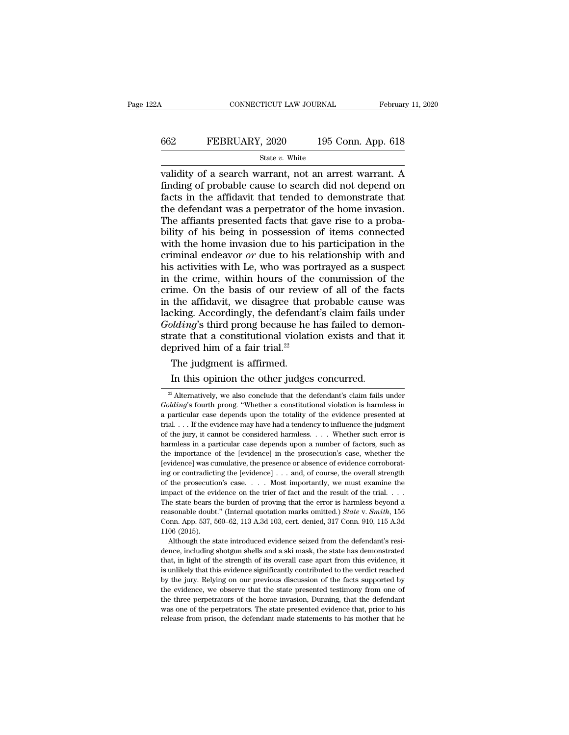# CONNECTICUT LAW JOURNAL February 11, 2020<br>662 FEBRUARY, 2020 195 Conn. App. 618<br>5tate v. White

#### State *v.* White

CONNECTICUT LAW JOURNAL February 11, 2020<br>
FEBRUARY, 2020 195 Conn. App. 618<br>
State v. White<br>
validity of a search warrant, not an arrest warrant. A<br>
finding of probable cause to search did not depend on<br>
facts in the aff FEBRUARY, 2020 195 Conn. App. 618<br>
State v. White<br>
validity of a search warrant, not an arrest warrant. A<br>
finding of probable cause to search did not depend on<br>
facts in the affidavit that tended to demonstrate that<br>
the FEBRUARY, 2020 195 Conn. App. 618<br>
State v. White<br>
validity of a search warrant, not an arrest warrant. A<br>
finding of probable cause to search did not depend on<br>
facts in the affidavit that tended to demonstrate that<br>
the FEBRUARY, 2020 195 Conn. App. 618<br>
State v. White<br>
validity of a search warrant, not an arrest warrant. A<br>
finding of probable cause to search did not depend on<br>
facts in the affidavit that tended to demonstrate that<br>
the State v. White<br>
validity of a search warrant, not an arrest warrant. A<br>
finding of probable cause to search did not depend on<br>
facts in the affidavit that tended to demonstrate that<br>
the defendant was a perpetrator of the State v. White<br>
validity of a search warrant, not an arrest warrant. A<br>
finding of probable cause to search did not depend on<br>
facts in the affidavit that tended to demonstrate that<br>
the defendant was a perpetrator of the validity of a search warrant, not an arrest warrant. A<br>finding of probable cause to search did not depend on<br>facts in the affidavit that tended to demonstrate that<br>the defendant was a perpetrator of the home invasion.<br>The finding of probable cause to search did not depend on<br>facts in the affidavit that tended to demonstrate that<br>the defendant was a perpetrator of the home invasion.<br>The affiants presented facts that gave rise to a proba-<br>bil facts in the affidavit that tended to demonstrate that<br>the defendant was a perpetrator of the home invasion.<br>The affiants presented facts that gave rise to a proba-<br>bility of his being in possession of items connected<br>wit the defendant was a perpetrator of the home invasion.<br>The affiants presented facts that gave rise to a probability of his being in possession of items connected<br>with the home invasion due to his participation in the<br>crimin The affiants presented facts that gave rise to a probability of his being in possession of items connected with the home invasion due to his participation in the criminal endeavor or due to his relationship with and his ac bility of his being in possession of items connected<br>with the home invasion due to his participation in the<br>criminal endeavor  $or$  due to his relationship with and<br>his activities with Le, who was portrayed as a suspect<br>in with the home invasion due to his participation in the criminal endeavor  $or$  due to his relationship with and his activities with Le, who was portrayed as a suspect in the crime, within hours of the commission of the crim *Golding*'s third proposes the has failed to demonstrate this activities with Le, who was portrayed as a suspect in the crime, within hours of the commission of the crime. On the basis of our review of all of the facts in his activities with Le, who was portrayed as a suspect<br>in the crime, within hours of the commission of the<br>crime. On the basis of our review of all of the facts<br>in the affidavit, we disagree that probable cause was<br>lackin in the crime, within hours of the crime. On the basis of our review<br>in the affidavit, we disagree that  $\mu$ <br>lacking. Accordingly, the defendan<br>*Golding*'s third prong because he h<br>strate that a constitutional violatio<br>dep ime. On the basis of our revie<br>the affidavit, we disagree that<br>cking. Accordingly, the defenda<br> $olding$ 's third prong because he<br>rate that a constitutional violat<br>prived him of a fair trial.<sup>22</sup><br>The judgment is affirmed.<br>In t In this opinion, we usage that probable cause<br>
in this ordinary claim fails un<br> *Iding*'s third prong because he has failed to dem<br>
rate that a constitutional violation exists and the<br>
prived him of a fair trial.<sup>22</sup><br>
The

reasonable doubt." (Internal quotation marks omitted.) *State* v. *Smith*, 156 Conn. App. 537, 560–62, 113 A.3d 103, cert. denied, 317 Conn. 910, 115 A.3d 1106 (2015).<br>Although the state introduced evidence seized from th Conn. App. 537, 560–62, 113 A.3d 103, cert. denied, 317 Conn. 910, 115 A.3d 1106 (2015).<br>
Although the state introduced evidence seized from the defendant's resi-<br>
dence, including shotgun shells and a ski mask, the state  $1106 (2015)$ .<br>Although the state introduced evidence seized from the defendant's residence, including shotgun shells and a ski mask, the state has demonstrated that, in light of the strength of its overall case apart from Although the state introduced evidence seized from the defendant's residence, including shotgun shells and a ski mask, the state has demonstrated that, in light of the strength of its overall case apart from this evidence, the three perpetrators of the steady perpetrators. The state has demonstrated that, in light of the strength of its overall case apart from this evidence, it is unlikely that this evidence significantly contributed to the that, in light of the strength of its overall case apart from this evidence, it is unlikely that this evidence significantly contributed to the verdict reached by the jury. Relying on our previous discussion of the facts s is unlikely that this evidence significantly contributed to the verdict reached

<sup>22</sup> The judgment is affirmed.<br>
22 The judgment is affirmed.<br>
22 Alternatively, we also conclude that the defendant's claim fails under<br>
22 Alternatively, we also conclude that the defendant's claim fails under<br>
22 Alternati The judgment is affirmed.<br>
In this opinion the other judges concurred.<br>
<sup>22</sup> Alternatively, we also conclude that the defendant's claim fails under<br> *Golding*'s fourth prong. "Whether a constitutional violation is harmless The judgment is affirmed.<br>
In this opinion the other judges concurred.<br>
<sup>22</sup> Alternatively, we also conclude that the defendant's claim fails under<br> *Golding*'s fourth prong. "Whether a constitutional violation is harmles In this opinion the other judges concurred.<br>
<sup>22</sup> Alternatively, we also conclude that the defendant's claim fails under<br> *Golding*'s fourth prong. "Whether a constitutional violation is harmless in<br>
a particular case dep In this opinion the other judges concurred.<br>
<sup>22</sup> Alternatively, we also conclude that the defendant's claim fails under<br> *Golding*'s fourth prong. "Whether a constitutional violation is harmless in<br>
a particular case dep <sup>22</sup> Alternatively, we also conclude that the defendant's claim fails under  $Golding$ 's fourth prong. "Whether a constitutional violation is harmless in a particular case depends upon the totality of the evidence presented at  $Golding$ 's fourth prong. "Whether a constitutional violation is harmless in a particular case depends upon the totality of the evidence presented at trial. . . . If the evidence may have had a tendency to influence the judgme *Golding*'s fourth prong. "Whether a constitutional violation is harmless in a particular case depends upon the totality of the evidence presented at trial. . . . If the evidence may have had a tendency to influence the j ing or contradicting the levidence] ... . The evidence may have had a tendency to influence the judgment of the jury, it cannot be considered harmless. ... Whether such error is harmless in a particular case depends upon a of the jury, it cannot be considered harmless. . . . Whether such error is harmless in a particular case depends upon a number of factors, such as the importance of the [evidence] in the prosecution's case, whether the [e In the impact of the evidence on the trier of factors, such as the importance of the [evidence] in the prosecution's case, whether the [evidence] was cumulative, the presence or absence of evidence corroborating or contra The importance of the [evidence] in the prosecution's case, whether the levidence] was cumulative, the presence or absence of evidence corroborating or contradicting the [evidence] . . . and, of course, the overall streng revidence] was cumulative, the presence or absence of evidence corroborating or contradicting the [evidence] . . . and, of course, the overall strength of the prosecution's case. . . . Most importantly, we must examine the for accountraction of the prosecution's case. . . . and, of course, the overall strength of the prosecution's case. . . . Most importantly, we must examine the impact of the evidence on the trier of fact and the result of ng or forms<br>of the prosecution<br>The state bears the evidence of the evidence of the evidence<br>reasonable doubt Conn. App. 537, 5<br>1106 (2015).<br>Although the st Although the state introduced evidence seized from the defendant's resi-The state bears the burden of proving that the error is harmless beyond a reasonable doubt." (Internal quotation marks omitted.) *State* v. *Smith*, 156 Conn. App. 537, 560–62, 113 A.3d 103, cert. denied, 317 Conn. 910, 1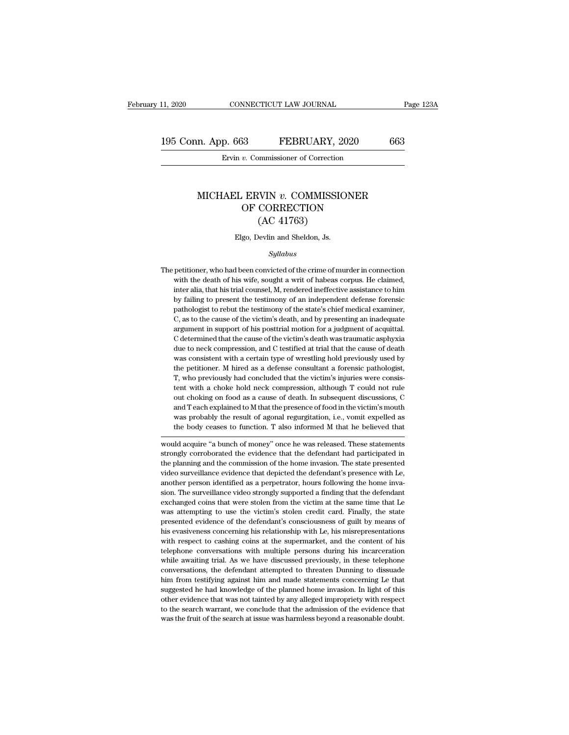11, 2020 CONNECTICUT LAW JOURNAL Page 123A<br>195 Conn. App. 663 FEBRUARY, 2020 663<br>Ervin v. Commissioner of Correction EXECTICUT LAW JOURNAL<br> **p. 663** FEBRUARY, 2020<br>
Ervin *v.* Commissioner of Correction

#### n. App. 663 FEBRUARY, 2020 663<br>Ervin *v.* Commissioner of Correction<br>MICHAEL ERVIN *v.* COMMISSIONER<br>OF CORRECTION  $\begin{array}{ll}\n 33 & \text{FEBRUARY, } 2020 \\
 \hline\n v. \text{ Commissioner of Correction} \\
 \hline\n 0. \text{CERNIN } v. \text{ COMMISSIONER} \\
 \text{OF CORRECTION} \\
 \text{(AC 41763)}\n \end{array}$ MINITEDICTICLE CONNECTION<br>
EXTERNAL COMMISSIC<br>
CORRECTION<br>
(AC 41763)<br>
Sevlin and Sheldon, Js. MICHAEL ERVIN  $v$ . COMMISSIONER<br>OF CORRECTION<br>(AC 41763)<br>Elgo, Devlin and Sheldon, Js.

#### *Syllabus*

 ${\rm (AC~41763)}$  Elgo, Devlin and Sheldon, Js.<br>  $\it Syllabus$ <br>
The petitioner, who had been convicted of the crime of murder in connection<br>
with the death of his wife, sought a writ of habeas corpus. He claimed, Elgo, Devlin and Sheldon, Js.<br>
Syllabus<br>
petitioner, who had been convicted of the crime of murder in connection<br>
with the death of his wife, sought a writ of habeas corpus. He claimed,<br>
inter alia, that his trial counsel, Elgo, Devlin and Sheldon, Js.<br>
Syllabus<br>
petitioner, who had been convicted of the crime of murder in connection<br>
with the death of his wife, sought a writ of habeas corpus. He claimed,<br>
inter alia, that his trial counsel, *Syllabus*<br>
by failing to present the death of his wife, sought a writ of habeas corpus. He claimed,<br>
inter alia, that his trial counsel, M, rendered ineffective assistance to him<br>
by failing to present the testimony of an sytuables<br>petitioner, who had been convicted of the crime of murder in connection<br>with the death of his wife, sought a writ of habeas corpus. He claimed,<br>inter alia, that his trial counsel, M, rendered ineffective assistan petitioner, who had been convicted of the crime of murder in connection<br>with the death of his wife, sought a writ of habeas corpus. He claimed,<br>inter alia, that his trial counsel, M, rendered ineffective assistance to him<br> with the death of his wife, sought a writ of habeas corpus. He claimed,<br>inter alia, that his trial counsel, M, rendered ineffective assistance to him<br>by failing to present the testimony of an independent defense forensic<br>p inter alia, that his trial counsel, M, rendered ineffective assistance to him<br>by failing to present the testimony of an independent defense forensic<br>pathologist to rebut the testimony of the state's chief medical examiner, by failing to present the testimony of an independent defense forensic pathologist to rebut the testimony of the state's chief medical examiner, C, as to the cause of the victim's death, and by presenting an inadequate arg pathologist to rebut the testimony of the state's chief medical examiner,<br>C, as to the cause of the victim's death, and by presenting an inadequate<br>argument in support of his posttrial motion for a judgment of acquittal.<br>C C, as to the cause of the victim's death, and by presenting an inadequate argument in support of his posttrial motion for a judgment of acquittal. C determined that the cause of the victim's death was traumatic asphyxia du are alternation in support of his posttrial motion for a judgment of acquittal. C determined that the cause of the victim's death was traumatic asphyxia due to neck compression, and C testified at trial that the cause of d C determined that the cause of the victim's death was traumatic asphyxia due to neck compression, and C testified at trial that the cause of death was consistent with a certain type of wrestling hold previously used by the due to neck compression, and C testified at trial that the cause of death was consistent with a certain type of wrestling hold previously used by the petitioner. M hired as a defense consultant a forensic pathologist, T, w was consistent with a certain type of wrestling hold previously used by<br>the petitioner. M hired as a defense consultant a forensic pathologist,<br>T, who previously had concluded that the victim's injuries were consis-<br>tent w the petitioner. M hired as a defense consultant a forensic pathologist, T, who previously had concluded that the victim's injuries were consistent with a choke hold neck compression, although T could not rule out choking o T, who previously had concluded that the victim's injuries were consistent with a choke hold neck compression, although T could not rule out choking on food as a cause of death. In subsequent discussions, C and T each expl Figure 1 and a close hold neck compression, antiough 1 could not rule<br>out choking on food as a cause of death. In subsequent discussions, C<br>and T each explained to M that the presence of food in the victim's mouth<br>was prob out choking of 100d as a cause of death. In subsequent discussions, C<br>and T each explained to M that the presence of food in the victim's mouth<br>was probably the result of agonal regurgitation, i.e., vomit expelled as<br>the b

and I each explained to m that the presente of 1000 in the victims should<br>was probably the result of agonal regurgitation, i.e., vomit expelled as<br>the body ceases to function. T also informed M that he believed that<br>would was probably the result of agonal regurgitation, i.e., volith experied as<br>the body ceases to function. T also informed M that he believed that<br>would acquire "a bunch of money" once he was released. These statements<br>strongl and the beneved that would acquire "a bunch of money" once he was released. These statements strongly corroborated the evidence that the defendant had participated in the planning and the commission of the home invasion. T would acquire "a bunch of money" once he was released. These statements strongly corroborated the evidence that the defendant had participated in the planning and the commission of the home invasion. The state presented vi extra apply corroborated the evidence that the defendant had participated in the planning and the commission of the home invasion. The state presented video surveillance evidence that depicted the defendant's presence wit be planning and the commission of the home invasion. The state presented video surveillance evidence that depicted the defendant's presence with Le, another person identified as a perpetrator, hours following the home inva red as a surveillance evidence that depicted the defendant's presence with Le, another person identified as a perpetrator, hours following the home invasion. The surveillance video strongly supported a finding that the def handler person identified as a perpetrator, hours following the home invasion. The surveillance video strongly supported a finding that the defendant exchanged coins that were stolen from the victim at the same time that L with respect to cashing coins at the supermarket, and the defendant exchanged coins that were stolen from the victim at the same time that Le was attempting to use the victim's stolen credit card. Finally, the state presen exchanged coins that were stolen from the victim at the same time that Le<br>was attempting to use the victim's stolen credit card. Finally, the state<br>presented evidence of the defendant's consciousness of guilt by means of<br>h was attempting to use the victim's stolen credit card. Finally, the state presented evidence of the defendant's consciousness of guilt by means of his evasiveness concerning his relationship with Le, his misrepresentations mesured evidence of the defendant's consciousness of guilt by means of his evasiveness concerning his relationship with Le, his misrepresentations with respect to cashing coins at the supermarket, and the content of his te his evasiveness concerning his relationship with Le, his misrepresentations with respect to cashing coins at the supermarket, and the content of his telephone conversations with multiple persons during his incarceration wh with respect to cashing coins at the supermarket, and the content of his telephone conversations with multiple persons during his incarceration while awaiting trial. As we have discussed previously, in these telephone conv telephone conversations with multiple persons during his incarceration while awaiting trial. As we have discussed previously, in these telephone conversations, the defendant attempted to threaten Dunning to dissuade him fr while awaiting trial. As we have discussed previously, in these telephone conversations, the defendant attempted to threaten Dunning to dissuade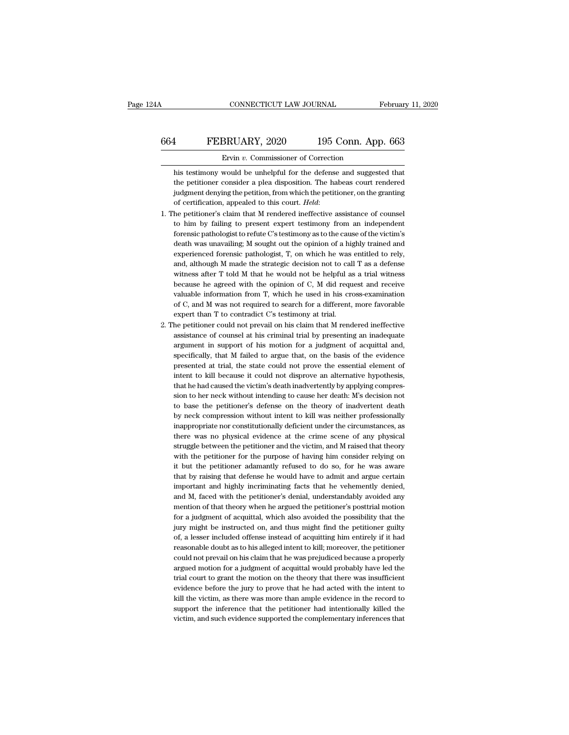### CONNECTICUT LAW JOURNAL February 11, 2020<br>664 FEBRUARY, 2020 195 Conn. App. 663<br>Ervin v. Commissioner of Correction CONNECTICUT LAW JOURNAL February 11, 2020<br>
FEBRUARY, 2020 195 Conn. App. 663<br>
Ervin *v*. Commissioner of Correction<br>
his testimony would be unhelpful for the defense and suggested that

FEBRUARY, 2020 195 Conn. App. 663<br>
Frvin v. Commissioner of Correction<br>
his testimony would be unhelpful for the defense and suggested that<br>
the petitioner consider a plea disposition. The habeas court rendered FEBRUARY, 2020 195 Conn. App. 663<br>
Frvin v. Commissioner of Correction<br>
his testimony would be unhelpful for the defense and suggested that<br>
the petitioner consider a plea disposition. The habeas court rendered<br>
judgment d FEBRUARY, 2020 195 Conn. App. 663<br>Ervin v. Commissioner of Correction<br>his testimony would be unhelpful for the defense and suggested that<br>the petitioner consider a plea disposition. The habeas court rendered<br>judgment denyi **Ervin v. Commissioner of Correction**<br>his testimony would be unhelpful for the defense and suggested that<br>the petitioner consider a plea disposition. The habeas court rendered<br>judgment denying the petition, from which the his testimony would be unhelpful for the defense and suggested that<br>the petitioner consider a plea disposition. The habeas court rendered<br>judgment denying the petition, from which the petitioner, on the granting<br>of certifi

- the petitioner consider a plea disposition. The habeas court rendered<br>judgment denying the petition, from which the petitioner, on the granting<br>of certification, appealed to this court. *Held*:<br>he petitioner's claim that M judgment denying the petition, from which the petitioner, on the granting<br>of certification, appealed to this court. *Held*:<br>he petitioner's claim that M rendered ineffective assistance of counsel<br>to him by failing to prese of certification, appealed to this court. *Held*:<br>he petitioner's claim that M rendered ineffective assistance of counsel<br>to him by failing to present expert testimony from an independent<br>forensic pathologist to refute C's he petitioner's claim that M rendered ineffective assistance of counsel<br>to him by failing to present expert testimony from an independent<br>forensic pathologist to refute C's testimony as to the cause of the victim's<br>death w to him by failing to present expert testimony from an independent forensic pathologist to refute C's testimony as to the cause of the victim's death was unavailing; M sought out the opinion of a highly trained and experie forensic pathologist to refute C's testimony as to the cause of the victim's death was unavailing; M sought out the opinion of a highly trained and experienced forensic pathologist, T, on which he was entitled to rely, and death was unavailing; M sought out the opinion of a highly trained and experienced forensic pathologist, T, on which he was entitled to rely, and, although M made the strategic decision not to call T as a defense witness experienced forensic pathologist, T, on which he was entitled to rely, and, although M made the strategic decision not to call T as a defense witness after T told M that he would not be helpful as a trial witness because h and, although M made the strategic decision not to call T as a defense witness after T told M that he would not be helpful as a trial witness because he agreed with the opinion of C, M did request and receive valuable inf witness after T told M that he would not be helpful as a trial witness<br>because he agreed with the opinion of C, M did request and receive<br>valuable information from T, which he used in his cross-examination<br>of C, and M was because he agreed with the opinion of C, M did request and receive valuable information from T, which he used in his cross-examination of C, and M was not required to search for a different, more favorable expert than T to
- valuable information from T, which he used in his cross-examination<br>of C, and M was not required to search for a different, more favorable<br>expert than T to contradict C's testimony at trial.<br>the petitioner could not prevai of C, and M was not required to search for a different, more favorable expert than T to contradict C's testimony at trial.<br>he petitioner could not prevail on his claim that M rendered ineffective assistance of counsel at h expert than T to contradict C's testimony at trial.<br>he petitioner could not prevail on his claim that M rendered ineffective<br>assistance of counsel at his criminal trial by presenting an inadequate<br>argument in support of hi he petitioner could not prevail on his claim that M rendered ineffective assistance of counsel at his criminal trial by presenting an inadequate argument in support of his motion for a judgment of acquittal and, specifical assistance of counsel at his criminal trial by presenting an inadequate argument in support of his motion for a judgment of acquittal and, specifically, that M failed to argue that, on the basis of the evidence presented argument in support of his motion for a judgment of acquittal and, specifically, that M failed to argue that, on the basis of the evidence presented at trial, the state could not prove the essential element of intent to ki specifically, that M failed to argue that, on the basis of the evidence<br>presented at trial, the state could not prove the essential element of<br>intent to kill because it could not disprove an alternative hypothesis,<br>that he presented at trial, the state could not prove the essential element of intent to kill because it could not disprove an alternative hypothesis, that he had caused the victim's death inadvertently by applying compression to intent to kill because it could not disprove an alternative hypothesis,<br>that he had caused the victim's death inadvertently by applying compres-<br>sion to her neck without intending to cause her death. M's decision not<br>to ba that he had caused the victim's death inadvertently by applying compression to her neck without intending to cause her death. M's decision not to base the petitioner's defense on the theory of inadvertent death by neck com sion to her neck without intending to cause her death: M's decision not<br>to base the petitioner's defense on the theory of inadvertent death<br>by neck compression without intent to kill was neither professionally<br>inappropriat to base the petitioner's defense on the theory of inadvertent death<br>by neck compression without intent to kill was neither professionally<br>inappropriate nor constitutionally deficient under the circumstances, as<br>there was n by neck compression without intent to kill was neither professionally inappropriate nor constitutionally deficient under the circumstances, as there was no physical evidence at the crime scene of any physical struggle betw inappropriate nor constitutionally deficient under the circumstances, as<br>there was no physical evidence at the crime scene of any physical<br>struggle between the petitioner and the victim, and M raised that theory<br>with the p there was no physical evidence at the crime scene of any physical struggle between the petitioner and the victim, and M raised that theory with the petitioner for the purpose of having him consider relying on it but the pe struggle between the petitioner and the victim, and M raised that theory<br>with the petitioner for the purpose of having him consider relying on<br>it but the petitioner adamantly refused to do so, for he was aware<br>that by rais with the petitioner for the purpose of having him consider relying on<br>it but the petitioner adamantly refused to do so, for he was aware<br>that by raising that defense he would have to admit and argue certain<br>important and h it but the petitioner adamantly refused to do so, for he was aware<br>that by raising that defense he would have to admit and argue certain<br>important and highly incriminating facts that he vehemently denied,<br>and M, faced with that by raising that defense he would have to admit and argue certain<br>important and highly incriminating facts that he vehemently denied,<br>and M, faced with the petitioner's denial, understandably avoided any<br>mention of tha important and highly incriminating facts that he vehemently denied, and M, faced with the petitioner's denial, understandably avoided any mention of that theory when he argued the petitioner's posttrial motion for a judgme and M, faced with the petitioner's denial, understandably avoided any<br>mention of that theory when he argued the petitioner's posttrial motion<br>for a judgment of acquittal, which also avoided the possibility that the<br>jury mi mention of that theory when he argued the petitioner's posttrial motion<br>for a judgment of acquittal, which also avoided the possibility that the<br>jury might be instructed on, and thus might find the petitioner guilty<br>of, a for a judgment of acquittal, which also avoided the possibility that the jury might be instructed on, and thus might find the petitioner guilty of, a lesser included offense instead of acquitting him entirely if it had rea jury might be instructed on, and thus might find the petitioner guilty of, a lesser included offense instead of acquitting him entirely if it had reasonable doubt as to his alleged intent to kill; moreover, the petitioner of, a lesser included offense instead of acquitting him entirely if it had reasonable doubt as to his alleged intent to kill; moreover, the petitioner could not prevail on his claim that he was prejudiced because a properl reasonable doubt as to his alleged intent to kill; moreover, the petitioner could not prevail on his claim that he was prejudiced because a properly argued motion for a judgment of acquittal would probably have led the tri could not prevail on his claim that he was prejudiced because a properly argued motion for a judgment of acquittal would probably have led the trial court to grant the motion on the theory that there was insufficient evide argued motion for a judgment of acquittal would probably have led the trial court to grant the motion on the theory that there was insufficient evidence before the jury to prove that he had acted with the intent to kill th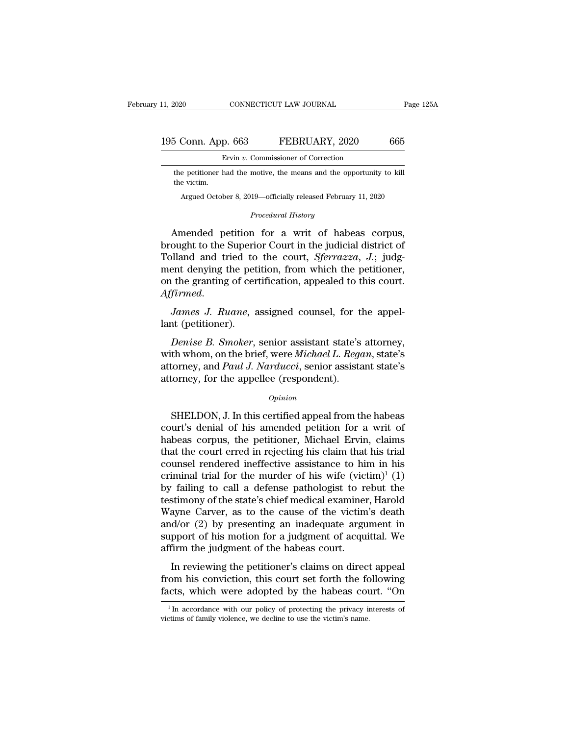### 11, 2020 CONNECTICUT LAW JOURNAL Page 125A<br>195 Conn. App. 663 FEBRUARY, 2020 665<br>Ervin v. Commissioner of Correction EXECTICUT LAW JOURNAL<br> **p. 663** FEBRUARY, 2020<br>
Ervin *v.* Commissioner of Correction<br>
had the motive, the means and the opportunity

the petitioner had the motive, the means and the opportunity to kill<br>the victim. 195 Conn. App. 663 FEBRUARY, 2020<br>Ervin v. Commissioner of Correction<br>the petitioner had the motive, the means and the opportunity t<br>the victim.<br>Argued October 8, 2019—officially released February 11, 2020 CONN. App. 003 FEBRUARY, 2020 005<br>Ervin v. Commissioner of Correction<br>e petitioner had the motive, the means and the opportunity to kill<br>e victim.<br>Argued October 8, 2019—officially released February 11, 2020 Formal Solid Technology<br> *Procedural History*<br> **Procedural History**<br> **Procedural History** 

Ervin v. Commissioner of Correction<br>the petitioner had the motive, the means and the opportunity to kill<br>the victim.<br>Argued October 8, 2019—officially released February 11, 2020<br>Procedural History<br>Amended petition for a w the petitioner had the motive, the means and the opportunity to kill<br>the victim.<br>Argued October 8, 2019—officially released February 11, 2020<br>*Procedural History*<br>**Amended petition for a writ of habeas corpus,<br>brought to t** the victim.<br>
Argued October 8, 2019—officially released February 11, 2020<br> *Procedural History*<br>
Amended petition for a writ of habeas corpus,<br>
brought to the Superior Court in the judicial district of<br>
Tolland and tried t Argued October 8, 2019—officially released February 11, 2020<br>
Procedural History<br>
Ment denying the petition for a writ of habeas corpus,<br>
brought to the Superior Court in the judicial district of<br>
Tolland and tried to the *Procedural History*<br>Amended petition for a writ of habeas corpus,<br>brought to the Superior Court in the judicial district of<br>Tolland and tried to the court, *Sferrazza*, *J*.; judg-<br>ment denying the petition, from which th *Affirmed Affirmed Affirmed Affirmed Affirmed Affirmed. J. Ruane,* assigned counsel, for the appel-<br>*James J. Ruane*, assigned counsel, for the appel-<br>*James J. Ruane*, assigned counsel, for the appel-<br>lant (pe Folland and tried to<br>Tolland and tried to<br>ment denying the pet<br>on the granting of cer<br>Affirmed.<br>James J. Ruane, a<br>lant (petitioner).<br>Denise B. Smoker, Figure 3.1 and the petition, from which the petitioner,<br> *Denise B. Ruane*, assigned counsel, for the appel-<br> *Denise B. Smoker*, senior assistant state's attorney,<br>
th whom, on the brief, were *Michael L. Regan*, state's<br>

on the granting of certification, appealed to this court.<br>
Affirmed.<br>
James J. Ruane, assigned counsel, for the appel-<br>
lant (petitioner).<br>
Denise B. Smoker, senior assistant state's attorney,<br>
with whom, on the brief, wer Affirmed.<br>James J. Ruane, assigned counsel, for the appel-<br>lant (petitioner).<br>*Denise B. Smoker*, senior assistant state's attorney,<br>with whom, on the brief, were Michael L. Regan, state's<br>attorney, and Paul J. Narducci, s James J. Ruane, assigned counsel, for the Junt (petitioner).<br>
Denise B. Smoker, senior assistant state's<br>
with whom, on the brief, were Michael L. Regaratorney, and Paul J. Narducci, senior assistant<br>
attorney, for the app Denise B. Smoker, senior assistant state's attorney,<br>th whom, on the brief, were Michael L. Regan, state's<br>torney, and Paul J. Narducci, senior assistant state's<br>torney, for the appellee (respondent).<br>Opinion<br>SHELDON, J. I

#### *Opinion*

with whom, on the brief, were *Michael L. Regan*, state's<br>attorney, and *Paul J. Narducci*, senior assistant state's<br>attorney, for the appellee (respondent).<br> $o_{pinion}$ <br>SHELDON, J. In this certified appeal from the habeas<br>cou attorney, and *Paul J. Narducci*, senior assistant state's<br>attorney, for the appellee (respondent).<br> $opinion$ <br>SHELDON, J. In this certified appeal from the habeas<br>court's denial of his amended petition for a writ of<br>habeas corp attorney, for the appellee (respondent).<br> *Opinion*<br>
SHELDON, J. In this certified appeal from the habeas<br>
court's denial of his amended petition for a writ of<br>
habeas corpus, the petitioner, Michael Ervin, claims<br>
that th *Opinion*<br>
SHELDON, J. In this certified appeal from the habeas<br>
court's denial of his amended petition for a writ of<br>
habeas corpus, the petitioner, Michael Ervin, claims<br>
that the court erred in rejecting his claim that SHELDON, J. In this certified appeal from the habeas<br>court's denial of his amended petition for a writ of<br>habeas corpus, the petitioner, Michael Ervin, claims<br>that the court erred in rejecting his claim that his trial<br>cou SHELDON, J. In this certified appeal from the habeas<br>court's denial of his amended petition for a writ of<br>habeas corpus, the petitioner, Michael Ervin, claims<br>that the court erred in rejecting his claim that his trial<br>cou court's denial of his amended petition for a writ of<br>habeas corpus, the petitioner, Michael Ervin, claims<br>that the court erred in rejecting his claim that his trial<br>counsel rendered ineffective assistance to him in his<br>cr habeas corpus, the petitioner, Michael Ervin, claims<br>that the court erred in rejecting his claim that his trial<br>counsel rendered ineffective assistance to him in his<br>criminal trial for the murder of his wife (victim)<sup>1</sup> ( that the court erred in rejecting his claim that his trial<br>counsel rendered ineffective assistance to him in his<br>criminal trial for the murder of his wife  $(victim)^{1} (1)$ <br>by failing to call a defense pathologist to rebut the counsel rendered ineffective assistance to him in his<br>criminal trial for the murder of his wife (victim)<sup>1</sup> (1)<br>by failing to call a defense pathologist to rebut the<br>testimony of the state's chief medical examiner, Harold<br> criminal trial for the murder of his wife (vict<br>by failing to call a defense pathologist to re<br>testimony of the state's chief medical examiner<br>Wayne Carver, as to the cause of the victim<br>and/or (2) by presenting an inadequ In reviewing to the state's chief medical examiner, Harold ayne Carver, as to the cause of the victim's death  $d$ /or (2) by presenting an inadequate argument in pport of his motion for a judgment of acquittal. We firm the From his conviction, this court included examined, that way the state of the victim's death and/or (2) by presenting an inadequate argument in support of his motion for a judgment of acquittal. We affirm the judgment of th and/or (2) by presenting an inadequate argument in support of his motion for a judgment of acquittal. We affirm the judgment of the habeas court.<br>
In reviewing the petitioner's claims on direct appeal from his conviction,

In reviewing the petitioner's claims on direct appeal<br>om his conviction, this court set forth the following<br>cts, which were adopted by the habeas court. "On<br> $\frac{1}{1}$ In accordance with our policy of protecting the privacy In reviewing the petitioner's claims on direct from his conviction, this court set forth the fc facts, which were adopted by the habeas contains of family violence, we decline to use the victim's name.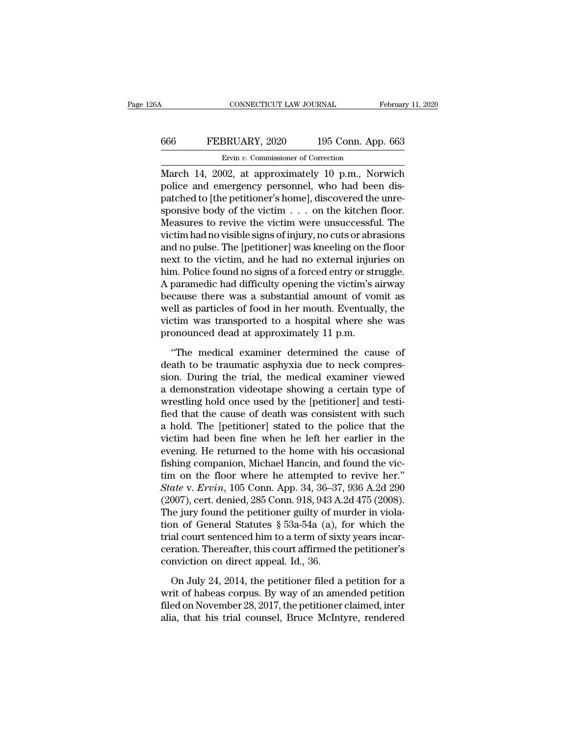### CONNECTICUT LAW JOURNAL February 11, 2020<br>666 FEBRUARY, 2020 195 Conn. App. 663<br>Ervin v. Commissioner of Correction ERUARY, 2020<br>Ervin *v.* Commissioner of Correction<br>Management of Correction<br>Management of Correction<br>Management of Correction<br>Management of Correction

CONNECTICUT LAW JOURNAL February 11, 2020<br>
FEBRUARY, 2020 195 Conn. App. 663<br>
Ervin v. Commissioner of Correction<br>
March 14, 2002, at approximately 10 p.m., Norwich<br>
police and emergency personnel, who had been dis-FEBRUARY, 2020 195 Conn. App. 663<br>
Ervin v. Commissioner of Correction<br>
March 14, 2002, at approximately 10 p.m., Norwich<br>
police and emergency personnel, who had been dis-<br>
patched to [the petitioner's home], discovered t FEBRUARY, 2020 195 Conn. App. 663<br>
Ervin v. Commissioner of Correction<br>
March 14, 2002, at approximately 10 p.m., Norwich<br>
police and emergency personnel, who had been dis-<br>
patched to [the petitioner's home], discovered FEBRUARY, 2020 195 Conn. App. 663<br>
First v. Commissioner of Correction<br>
March 14, 2002, at approximately 10 p.m., Norwich<br>
police and emergency personnel, who had been dis-<br>
patched to [the petitioner's home], discovered Ervin v. Commissioner of Correction<br>March 14, 2002, at approximately 10 p.m., Norwich<br>police and emergency personnel, who had been dis-<br>patched to [the petitioner's home], discovered the unre-<br>sponsive body of the victim EFOR *v*. Commissioner of Correction<br>March 14, 2002, at approximately 10 p.m., Norwich<br>police and emergency personnel, who had been dis-<br>patched to [the petitioner's home], discovered the unre-<br>sponsive body of the victim March 14, 2002, at approximately 10 p.m., Norwich<br>police and emergency personnel, who had been dis-<br>patched to [the petitioner's home], discovered the unre-<br>sponsive body of the victim  $\dots$  on the kitchen floor.<br>Measures police and emergency personnel, who had been dis-<br>patched to [the petitioner's home], discovered the unre-<br>sponsive body of the victim . . . . on the kitchen floor.<br>Measures to revive the victim were unsuccessful. The<br>vict patched to [the petitioner's home], discovered the unre-<br>sponsive body of the victim . . . on the kitchen floor.<br>Measures to revive the victim were unsuccessful. The<br>victim had no visible signs of injury, no cuts or abrasi sponsive body of the victim  $\ldots$  on the kitchen floor.<br>Measures to revive the victim were unsuccessful. The<br>victim had no visible signs of injury, no cuts or abrasions<br>and no pulse. The [petitioner] was kneeling on the f Measures to revive the victim were unsuccessful. The<br>victim had no visible signs of injury, no cuts or abrasions<br>and no pulse. The [petitioner] was kneeling on the floor<br>next to the victim, and he had no external injuries victim had no visible signs of injury, no cuts or abrasions<br>and no pulse. The [petitioner] was kneeling on the floor<br>next to the victim, and he had no external injuries on<br>him. Police found no signs of a forced entry or st and no pulse. The [petitioner] was kneeling on the floor<br>next to the victim, and he had no external injuries on<br>him. Police found no signs of a forced entry or struggle.<br>A paramedic had difficulty opening the victim's airw next to the victim, and he had no external injur<br>him. Police found no signs of a forced entry or str<br>A paramedic had difficulty opening the victim's a<br>because there was a substantial amount of vor<br>well as particles of food paramedic had difficulty opening the victim's airway<br>
cause there was a substantial amount of vomit as<br>
ell as particles of food in her mouth. Eventually, the<br>
ctim was transported to a hospital where she was<br>
onounced dea because there was a substantial amount of vomit as<br>well as particles of food in her mouth. Eventually, the<br>victim was transported to a hospital where she was<br>pronounced dead at approximately 11 p.m.<br>"The medical examiner d

well as particles of food in her mouth. Eventually, the<br>victim was transported to a hospital where she was<br>pronounced dead at approximately 11 p.m.<br>"The medical examiner determined the cause of<br>death to be traumatic asphyx victim was transported to a hospital where she was<br>pronounced dead at approximately 11 p.m.<br>"The medical examiner determined the cause of<br>death to be traumatic asphyxia due to neck compres-<br>sion. During the trial, the med pronounced dead at approximately 11 p.m.<br>
"The medical examiner determined the cause of<br>
death to be traumatic asphyxia due to neck compres-<br>
sion. During the trial, the medical examiner viewed<br>
a demonstration videotape s "The medical examiner determined the cause of<br>death to be traumatic asphyxia due to neck compres-<br>sion. During the trial, the medical examiner viewed<br>a demonstration videotape showing a certain type of<br>wrestling hold once "The medical examiner determined the cause of<br>death to be traumatic asphyxia due to neck compres-<br>sion. During the trial, the medical examiner viewed<br>a demonstration videotape showing a certain type of<br>wrestling hold once death to be traumatic asphyxia due to neck compression. During the trial, the medical examiner viewed<br>a demonstration videotape showing a certain type of<br>wrestling hold once used by the [petitioner] and testi-<br>fied that th sion. During the trial, the medical examiner viewed<br>a demonstration videotape showing a certain type of<br>wrestling hold once used by the [petitioner] and testi-<br>fied that the cause of death was consistent with such<br>a hold. a demonstration videotape showing a certain type of<br>wrestling hold once used by the [petitioner] and testi-<br>fied that the cause of death was consistent with such<br>a hold. The [petitioner] stated to the police that the<br>vict wrestling hold once used by the [petitioner] and testi-<br>fied that the cause of death was consistent with such<br>a hold. The [petitioner] stated to the police that the<br>victim had been fine when he left her earlier in the<br>eve fied that the cause of death was consistent with such<br>a hold. The [petitioner] stated to the police that the<br>victim had been fine when he left her earlier in the<br>evening. He returned to the home with his occasional<br>fishing a hold. The [petitioner] stated to the police that the victim had been fine when he left her earlier in the evening. He returned to the home with his occasional fishing companion, Michael Hancin, and found the victim on t victim had been fine when he left her earlier in the evening. He returned to the home with his occasional fishing companion, Michael Hancin, and found the victim on the floor where he attempted to revive her."<br>State v. Er evening. He returned to the home with his occasional<br>fishing companion, Michael Hancin, and found the vic-<br>tim on the floor where he attempted to revive her."<br>State v. Ervin, 105 Conn. App. 34, 36–37, 936 A.2d 290<br>(2007), fishing companion, Michael Hancin, and found the victim on the floor where he attempted to revive her."<br>State v. Ervin, 105 Conn. App. 34, 36–37, 936 A.2d 290<br>(2007), cert. denied, 285 Conn. 918, 943 A.2d 475 (2008).<br>The tim on the floor where he attempted to revive her."<br>State v. Ervin, 105 Conn. App. 34, 36–37, 936 A.2d 290<br>(2007), cert. denied, 285 Conn. 918, 943 A.2d 475 (2008).<br>The jury found the petitioner guilty of murder in viola-State v. Ervin, 105 Conn. App. 34, 36–37, (2007), cert. denied, 285 Conn. 918, 943 A.<br>The jury found the petitioner guilty of multion of General Statutes  $\S$  53a-54a (a), 1 trial court sentenced him to a term of sixt cera is a jury found the petitioner guilty of murder in viola-<br>on of General Statutes  $\S$  53a-54a (a), for which the<br>al court sentenced him to a term of sixty years incar-<br>ration. Thereafter, this court affirmed the petitioner tion of General Statutes § 53a-54a (a), for which the<br>trial court sentenced him to a term of sixty years incar-<br>ceration. Thereafter, this court affirmed the petitioner's<br>conviction on direct appeal. Id., 36.<br>On July 24,

filed court sentenced him to a term of sixty years incarceration. Thereafter, this court affirmed the petitioner's conviction on direct appeal. Id., 36.<br>On July 24, 2014, the petitioner filed a petition for a writ of habea ceration. Thereafter, this court affirmed the petitioner's conviction on direct appeal. Id., 36.<br>On July 24, 2014, the petitioner filed a petition for a<br>writ of habeas corpus. By way of an amended petition<br>filed on Novembe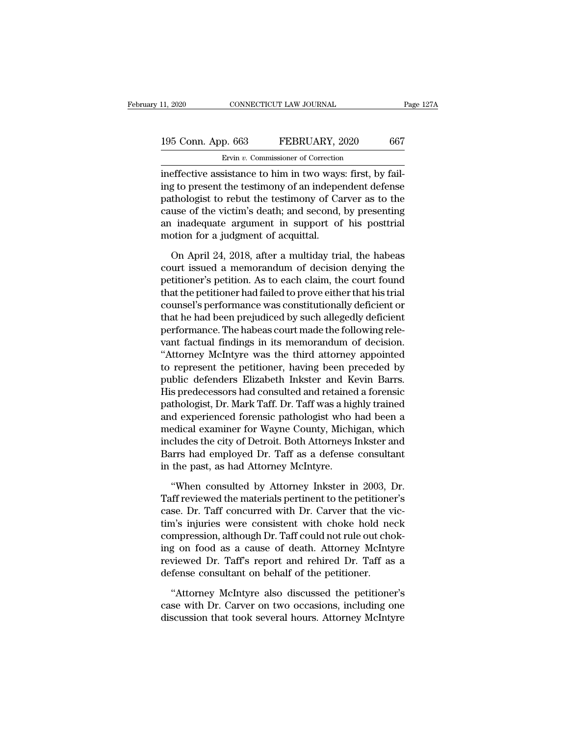### 11, 2020 CONNECTICUT LAW JOURNAL Page 127A<br>195 Conn. App. 663 FEBRUARY, 2020 667<br>Ervin v. Commissioner of Correction Ervin *v.* Commissioner of Correction

II, 2020 CONNECTICUT LAW JOURNAL<br>
195 Conn. App. 663 FEBRUARY, 2020 667<br>
Ervin v. Commissioner of Correction<br>
ineffective assistance to him in two ways: first, by fail-<br>
ing to present the testimony of an independent defen 195 Conn. App. 663 FEBRUARY, 2020 667<br>Ervin v. Commissioner of Correction<br>ineffective assistance to him in two ways: first, by fail-<br>ing to present the testimony of an independent defense<br>pathologist to rebut the testimony 195 Conn. App. 663 FEBRUARY, 2020 667<br>
Ervin v. Commissioner of Correction<br>
ineffective assistance to him in two ways: first, by fail-<br>
ing to present the testimony of an independent defense<br>
pathologist to rebut the test 195 Conn. App. 663 FEBRUARY, 2020 667<br>
Ervin v. Commissioner of Correction<br>
ineffective assistance to him in two ways: first, by fail-<br>
ing to present the testimony of an independent defense<br>
pathologist to rebut the test Ervin  $v$ . Commissioner of Correction<br>ineffective assistance to him in two ways: first, by fail-<br>ing to present the testimony of an independent defense<br>pathologist to rebut the testimony of Carver as to the<br>cause of the v  $\frac{E_{\text{V}} - E_{\text{V}} - E_{\text{V}}}{E_{\text{V}} - E_{\text{V}}}}$  ineffective assistance to him in two ways<br>ing to present the testimony of an indeperpathologist to rebut the testimony of Ca<br>cause of the victim's death; and second,<br>an inadeq g to present the testimony of an independent defense<br>thologist to rebut the testimony of Carver as to the<br>use of the victim's death; and second, by presenting<br>inadequate argument in support of his posttrial<br>otion for a jud pathologist to rebut the testimony of Carver as to the<br>cause of the victim's death; and second, by presenting<br>an inadequate argument in support of his posttrial<br>motion for a judgment of acquittal.<br>On April 24, 2018, after

cause of the victim's death; and second, by presenting<br>an inadequate argument in support of his posttrial<br>motion for a judgment of acquittal.<br>On April 24, 2018, after a multiday trial, the habeas<br>court issued a memorandum an inadequate argument in support of his posttrial<br>motion for a judgment of acquittal.<br>On April 24, 2018, after a multiday trial, the habeas<br>court issued a memorandum of decision denying the<br>petitioner's petition. As to ea motion for a judgment of acquittal.<br>
On April 24, 2018, after a multiday trial, the habeas<br>
court issued a memorandum of decision denying the<br>
petitioner's petition. As to each claim, the court found<br>
that the petitioner h On April 24, 2018, after a multiday trial, the habeas<br>court issued a memorandum of decision denying the<br>petitioner's petition. As to each claim, the court found<br>that the petitioner had failed to prove either that his trial On April 24, 2018, after a multiday trial, the habeas<br>court issued a memorandum of decision denying the<br>petitioner's petition. As to each claim, the court found<br>that the petitioner had failed to prove either that his trial court issued a memorandum of decision denying the<br>petitioner's petition. As to each claim, the court found<br>that the petitioner had failed to prove either that his trial<br>counsel's performance was constitutionally deficient<br> petitioner's petition. As to each claim, the court found<br>that the petitioner had failed to prove either that his trial<br>counsel's performance was constitutionally deficient or<br>that he had been prejudiced by such allegedly d that the petitioner had failed to prove either that his trial<br>counsel's performance was constitutionally deficient or<br>that he had been prejudiced by such allegedly deficient<br>performance. The habeas court made the following counsel's performance was constitutionally deficient or<br>that he had been prejudiced by such allegedly deficient<br>performance. The habeas court made the following rele-<br>vant factual findings in its memorandum of decision.<br>"A that he had been prejudiced by such allegedly deficient<br>performance. The habeas court made the following rele-<br>vant factual findings in its memorandum of decision.<br>"Attorney McIntyre was the third attorney appointed<br>to rep performance. The habeas court made the following relevant factual findings in its memorandum of decision.<br>"Attorney McIntyre was the third attorney appointed<br>to represent the petitioner, having been preceded by<br>public defe vant factual findings in its memorandum of decision.<br>"Attorney McIntyre was the third attorney appointed<br>to represent the petitioner, having been preceded by<br>public defenders Elizabeth Inkster and Kevin Barrs.<br>His predeces "Attorney McIntyre was the third attorney appointed<br>to represent the petitioner, having been preceded by<br>public defenders Elizabeth Inkster and Kevin Barrs.<br>His predecessors had consulted and retained a forensic<br>pathologis to represent the petitioner, having been preceded by<br>public defenders Elizabeth Inkster and Kevin Barrs.<br>His predecessors had consulted and retained a forensic<br>pathologist, Dr. Mark Taff. Dr. Taff was a highly trained<br>and public defenders Elizabeth Inkster and Kevin Barrs.<br>His predecessors had consulted and retained a forensic<br>pathologist, Dr. Mark Taff. Dr. Taff was a highly trained<br>and experienced forensic pathologist who had been a<br>medic His predecessors had consulted and retained pathologist, Dr. Mark Taff. Dr. Taff was a hig<br>and experienced forensic pathologist who<br>medical examiner for Wayne County, Michi<br>includes the city of Detroit. Both Attorneys<br>Barr d experienced forensic pathologist who had been a<br>
edical examiner for Wayne County, Michigan, which<br>
cludes the city of Detroit. Both Attorneys Inkster and<br>
urrs had employed Dr. Taff as a defense consultant<br>
the past, as medical examiner for Wayne County, Michigan, which<br>includes the city of Detroit. Both Attorneys Inkster and<br>Barrs had employed Dr. Taff as a defense consultant<br>in the past, as had Attorney McIntyre.<br>"When consulted by Atto

includes the city of Detroit. Both Attorneys Inkster and<br>Barrs had employed Dr. Taff as a defense consultant<br>in the past, as had Attorney McIntyre.<br>"When consulted by Attorney Inkster in 2003, Dr.<br>Taff reviewed the materia Barrs had employed Dr. Taff as a defense consultant<br>in the past, as had Attorney McIntyre.<br>"When consulted by Attorney Inkster in 2003, Dr.<br>Taff reviewed the materials pertinent to the petitioner's<br>case. Dr. Taff concurred in the past, as had Attorney McIntyre.<br>
"When consulted by Attorney Inkster in 2003, Dr.<br>
Taff reviewed the materials pertinent to the petitioner's<br>
case. Dr. Taff concurred with Dr. Carver that the vic-<br>
tim's injuries we "When consulted by Attorney Inkster in 2003, Dr.<br>Taff reviewed the materials pertinent to the petitioner's<br>case. Dr. Taff concurred with Dr. Carver that the vic-<br>tim's injuries were consistent with choke hold neck<br>compress "When consulted by Attorney Inkster in 2003, Dr.<br>Taff reviewed the materials pertinent to the petitioner's<br>case. Dr. Taff concurred with Dr. Carver that the vic-<br>tim's injuries were consistent with choke hold neck<br>compress Taff reviewed the materials pertinent to the petitione<br>case. Dr. Taff concurred with Dr. Carver that the v<br>tim's injuries were consistent with choke hold ne<br>compression, although Dr. Taff could not rule out cho<br>ing on food n's injuries were consistent with choke hold neck<br>mpression, although Dr. Taff could not rule out chok-<br>g on food as a cause of death. Attorney McIntyre<br>viewed Dr. Taff's report and rehired Dr. Taff as a<br>fense consultant o compression, although Dr. Taff could not rule out choking on food as a cause of death. Attorney McIntyre reviewed Dr. Taff's report and rehired Dr. Taff as a defense consultant on behalf of the petitioner.<br>"Attorney McInty ing on food as a cause of death. Attorney McIntyre<br>reviewed Dr. Taff's report and rehired Dr. Taff as a<br>defense consultant on behalf of the petitioner.<br>"Attorney McIntyre also discussed the petitioner's<br>case with Dr. Carve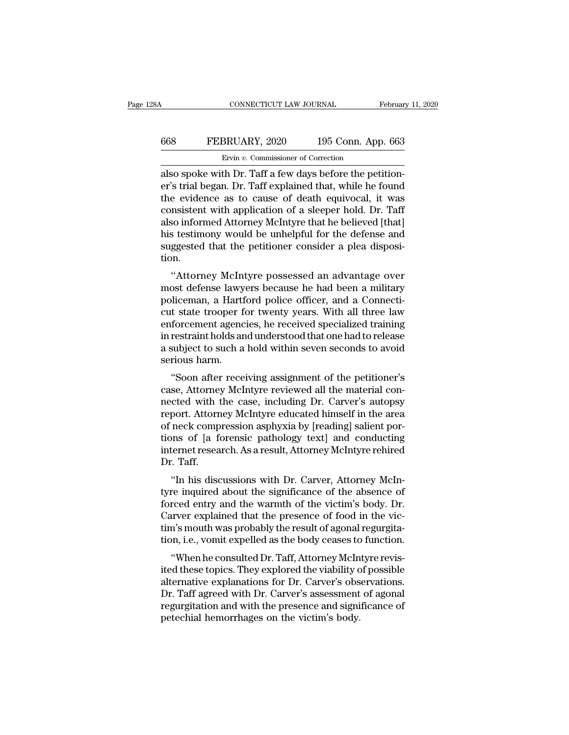### CONNECTICUT LAW JOURNAL February 11, 2020<br>668 FEBRUARY, 2020 195 Conn. App. 663<br>Ervin v. Commissioner of Correction ERUARY, 2020<br>Ervin *v.* Commissioner of Correction<br>The Dr. Taff a few days before the pet

CONNECTICUT LAW JOURNAL Februar<br>
Februar<br>
668 FEBRUARY, 2020 195 Conn. App. 663<br>
Ervin v. Commissioner of Correction<br>
also spoke with Dr. Taff a few days before the petition-<br>
er's trial began. Dr. Taff explained that, whi EVALUARY, 2020 195 Conn. App. 663<br>
Ervin v. Commissioner of Correction<br>
also spoke with Dr. Taff a few days before the petition-<br>
er's trial began. Dr. Taff explained that, while he found<br>
the evidence as to cause of deat FEBRUARY, 2020 195 Conn. App. 663<br>
Ervin v. Commissioner of Correction<br>
also spoke with Dr. Taff a few days before the petition-<br>
er's trial began. Dr. Taff explained that, while he found<br>
the evidence as to cause of deat EVARY, 2020 195 Conn. App. 663<br>
Ervin v. Commissioner of Correction<br>
also spoke with Dr. Taff a few days before the petition-<br>
er's trial began. Dr. Taff explained that, while he found<br>
the evidence as to cause of death e Ervin v. Commissioner of Correction<br>also spoke with Dr. Taff a few days before the petition-<br>er's trial began. Dr. Taff explained that, while he found<br>the evidence as to cause of death equivocal, it was<br>consistent with ap Ervin v. Commissioner of Correction<br>also spoke with Dr. Taff a few days before the petition-<br>er's trial began. Dr. Taff explained that, while he found<br>the evidence as to cause of death equivocal, it was<br>consistent with ap also spoke with Dr. Taff a few days before the petition-<br>er's trial began. Dr. Taff explained that, while he found<br>the evidence as to cause of death equivocal, it was<br>consistent with application of a sleeper hold. Dr. Taff tion. E evidence as to cause of death equivocal, it was<br>
msistent with application of a sleeper hold. Dr. Taff<br>
so informed Attorney McIntyre that he believed [that]<br>
s testimony would be unhelpful for the defense and<br>
ggested t Experiment with application of a sleeper notd. Dr. Tan<br>also informed Attorney McIntyre that he believed [that]<br>his testimony would be unhelpful for the defense and<br>suggested that the petitioner consider a plea disposi-<br>tio

also informed Attorney McIntyre that he beheved [that]<br>his testimony would be unhelpful for the defense and<br>suggested that the petitioner consider a plea disposi-<br>tion.<br>"Attorney McIntyre possessed an advantage over<br>most d Ins testimoly would be unliefplul for the defense and<br>suggested that the petitioner consider a plea disposi-<br>tion.<br>"Attorney McIntyre possessed an advantage over<br>most defense lawyers because he had been a military<br>policema suggested that the pethodier consider a piea disposition.<br>
"Attorney McIntyre possessed an advantage over<br>
most defense lawyers because he had been a military<br>
policeman, a Hartford police officer, and a Connecti-<br>
cut sta "Attorney McIntyre possessed an advantage over<br>most defense lawyers because he had been a military<br>policeman, a Hartford police officer, and a Connecti-<br>cut state trooper for twenty years. With all three law<br>enforcement ag "Attorney McIntyre possessed an advantage over<br>most defense lawyers because he had been a military<br>policeman, a Hartford police officer, and a Connecti-<br>cut state trooper for twenty years. With all three law<br>enforcement ag most defense lawy<br>policeman, a Hartf<br>cut state trooper f<br>enforcement agenc<br>in restraint holds ar<br>a subject to such a<br>serious harm.<br>"Soon after rece metental, a rialtiour police officer, and a connecti-<br>
at state trooper for twenty years. With all three law<br>
forcement agencies, he received specialized training<br>
restraint holds and understood that one had to release<br>
su car state trooper for twenty years. While all thee law<br>enforcement agencies, he received specialized training<br>in restraint holds and understood that one had to release<br>a subject to such a hold within seven seconds to avoid

enforcement agencies, he received specialized daming<br>in restraint holds and understood that one had to release<br>a subject to such a hold within seven seconds to avoid<br>serious harm.<br>"Soon after receiving assignment of the pe report. Attorney McIntyre educated himself in the area<br>of the petitioner's<br>case, Attorney McIntyre reviewed all the material con-<br>nected with the case, including Dr. Carver's autopsy<br>report. Attorney McIntyre educated hims a subject to such a not whill seven seconds to avoid<br>serious harm.<br>"Soon after receiving assignment of the petitioner's<br>case, Attorney McIntyre reviewed all the material con-<br>nected with the case, including Dr. Carver's au "Soon after receiving assignment of the petitioner's<br>case, Attorney McIntyre reviewed all the material con-<br>nected with the case, including Dr. Carver's autopsy<br>report. Attorney McIntyre educated himself in the area<br>of nec "Soon after receiving assignment of the petitioner's<br>case, Attorney McIntyre reviewed all the material con-<br>nected with the case, including Dr. Carver's autopsy<br>report. Attorney McIntyre educated himself in the area<br>of nec case, Attorney<br>nected with t<br>report. Attorn<br>of neck comp<br>tions of [a fd<br>internet resea<br>Dr. Taff.<br>"In his disc Figure 1. Attorney McIntyre educated himself in the area<br>
neck compression asphyxia by [reading] salient por-<br>
nns of [a forensic pathology text] and conducting<br>
termet research. As a result, Attorney McIntyre rehired<br>
Taf report. Attorney McIntyre educated rimser in the area<br>of neck compression asphyxia by [reading] salient por-<br>tions of [a forensic pathology text] and conducting<br>internet research. As a result, Attorney McIntyre rehired<br>Dr.

of heck compression asphyxia by [reading] safent portions of [a forensic pathology text] and conducting<br>internet research. As a result, Attorney McIntyre rehired<br>Dr. Taff.<br>"In his discussions with Dr. Carver, Attorney McIn Frame that the presence of fooducting<br>internet research. As a result, Attorney McIntyre rehired<br>Dr. Taff.<br>"In his discussions with Dr. Carver, Attorney McIn-<br>tyre inquired about the significance of the absence of<br>forced en Internet research. As a result, Attorney McIntyre renired<br>Dr. Taff.<br>"In his discussions with Dr. Carver, Attorney McIn-<br>tyre inquired about the significance of the absence of<br>forced entry and the warmth of the victim's bod The internal with Dr. Carver, Attorney McIntyre inquired about the significance of the absence of forced entry and the warmth of the victim's body. Dr. Carver explained that the presence of food in the victim's mouth was p In his discussions with Dr. Carver, Attorney McIn-<br>re inquired about the significance of the absence of<br>rced entry and the warmth of the victim's body. Dr.<br>urver explained that the presence of food in the vic-<br>n's mouth wa tyre inquired about the significance of the absence of<br>forced entry and the warmth of the victim's body. Dr.<br>Carver explained that the presence of food in the vic-<br>tim's mouth was probably the result of agonal regurgita-<br>t

Forced entry and the warntur of the victim's body. Dr.<br>Carver explained that the presence of food in the vic-<br>tim's mouth was probably the result of agonal regurgita-<br>tion, i.e., vomit expelled as the body ceases to functi Carver explained that the presence of food in the vic-<br>tim's mouth was probably the result of agonal regurgita-<br>tion, i.e., vomit expelled as the body ceases to function.<br>"When he consulted Dr. Taff, Attorney McIntyre revi regurgitation, i.e., vomit expelled as the body ceases to function.<br>
"When he consulted Dr. Taff, Attorney McIntyre revis-<br>
ited these topics. They explored the viability of possible<br>
alternative explanations for Dr. Carve from, i.e., volut experied as the body ceases to<br>
"When he consulted Dr. Taff, Attorney McIn<br>
ited these topics. They explored the viability c<br>
alternative explanations for Dr. Carver's obs<br>
Dr. Taff agreed with Dr. Carver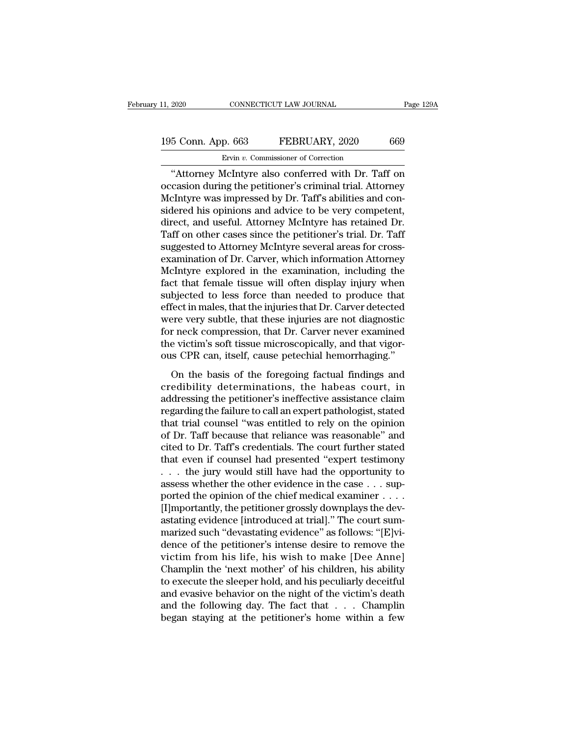### 11, 2020 CONNECTICUT LAW JOURNAL Page 129A<br>195 Conn. App. 663 FEBRUARY, 2020 669<br>Ervin v. Commissioner of Correction Ervin *v.* Commissioner of Correction

The Page 1294<br>
The Connecticut Connection<br>
So Connection<br>
The Connection<br>
The Connection<br>
Conferred with Dr. Taff on<br>
Consider the petition of Correction<br>
Consider Walletter also conferred with Dr. Taff on<br>
The Consider of 195 Conn. App. 663 FEBRUARY, 2020 669<br>Ervin v. Commissioner of Correction<br>"Attorney McIntyre also conferred with Dr. Taff on<br>occasion during the petitioner's criminal trial. Attorney<br>McIntyre was impressed by Dr. Taff's ab 195 Conn. App. 663 FEBRUARY, 2020 669<br>
Ervin v. Commissioner of Correction<br>
"Attorney McIntyre also conferred with Dr. Taff on<br>
occasion during the petitioner's criminal trial. Attorney<br>
McIntyre was impressed by Dr. Taff 195 Conn. App. 663 FEBRUARY, 2020 669<br>
Ervin v. Commissioner of Correction<br>
"Attorney McIntyre also conferred with Dr. Taff on<br>
occasion during the petitioner's criminal trial. Attorney<br>
McIntyre was impressed by Dr. Taff' Ervis Pressure Pressure Contention, 2012<br>
Ervis v. Commissioner of Correction<br>
"Attorney McIntyre also conferred with Dr. Taff on<br>
occasion during the petitioner's criminal trial. Attorney<br>
McIntyre was impressed by Dr. Ta Ervin v. Commissioner of Correction<br>
"Attorney McIntyre also conferred with Dr. Taff on<br>
occasion during the petitioner's criminal trial. Attorney<br>
McIntyre was impressed by Dr. Taff's abilities and con-<br>
sidered his opin "Attorney McIntyre also conferred with Dr. Taff on<br>occasion during the petitioner's criminal trial. Attorney<br>McIntyre was impressed by Dr. Taff's abilities and con-<br>sidered his opinions and advice to be very competent,<br>dir occasion during the petitioner's criminal trial. Attorney<br>McIntyre was impressed by Dr. Taff's abilities and considered his opinions and advice to be very competent,<br>direct, and useful. Attorney McIntyre has retained Dr.<br>T McIntyre was impressed by Dr. Taff's abilities and considered his opinions and advice to be very competent,<br>direct, and useful. Attorney McIntyre has retained Dr.<br>Taff on other cases since the petitioner's trial. Dr. Taff<br> sidered his opinions and advice to be very competent,<br>direct, and useful. Attorney McIntyre has retained Dr.<br>Taff on other cases since the petitioner's trial. Dr. Taff<br>suggested to Attorney McIntyre several areas for cross direct, and useful. Attorney McIntyre has retained Dr.<br>Taff on other cases since the petitioner's trial. Dr. Taff<br>suggested to Attorney McIntyre several areas for cross-<br>examination of Dr. Carver, which information Attorne Taff on other cases since the petitioner's trial. Dr. Taff<br>suggested to Attorney McIntyre several areas for cross-<br>examination of Dr. Carver, which information Attorney<br>McIntyre explored in the examination, including the<br>f suggested to Attorney McIntyre several areas for cross-<br>examination of Dr. Carver, which information Attorney<br>McIntyre explored in the examination, including the<br>fact that female tissue will often display injury when<br>subje examination of Dr. Carver, which information Attorney<br>McIntyre explored in the examination, including the<br>fact that female tissue will often display injury when<br>subjected to less force than needed to produce that<br>effect in McIntyre explored in the examination, including the fact that female tissue will often display injury when subjected to less force than needed to produce that effect in males, that the injuries that Dr. Carver detected wer fact that female tissue will often display injury when<br>subjected to less force than needed to produce that<br>effect in males, that the injuries that Dr. Carver detected<br>were very subtle, that these injuries are not diagnosti Expected to rests rorted than riceated to protated that<br>fect in males, that the injuries that Dr. Carver detected<br>ere very subtle, that these injuries are not diagnostic<br>r neck compression, that Dr. Carver never examined<br>e creedin mates, and the highles did D1, calver detected<br>were very subtle, that these injuries are not diagnostic<br>for neck compression, that Dr. Carver never examined<br>the victim's soft tissue microscopically, and that vigor-

were very staste, that these hydrics are not diagnostic<br>for neck compression, that Dr. Carver never examined<br>the victim's soft tissue microscopically, and that vigor-<br>ous CPR can, itself, cause petechial hemorrhaging."<br>On reflexance compression, and Dr. carver never examined<br>the victim's soft tissue microscopically, and that vigor-<br>ous CPR can, itself, cause petechial hemorrhaging."<br>On the basis of the foregoing factual findings and<br>credibi ous CPR can, itself, cause petechial hemorrhaging."<br>
On the basis of the foregoing factual findings and<br>
credibility determinations, the habeas court, in<br>
addressing the petitioner's ineffective assistance claim<br>
regarding of Dr. Cali, ison, calso peccentra inchormaging.<br>
On the basis of the foregoing factual findings and<br>
credibility determinations, the habeas court, in<br>
addressing the petitioner's ineffective assistance claim<br>
regarding th On the basis of the foregoing factual findings and<br>credibility determinations, the habeas court, in<br>addressing the petitioner's ineffective assistance claim<br>regarding the failure to call an expert pathologist, stated<br>that credibility determinations, the habeas court, in<br>addressing the petitioner's ineffective assistance claim<br>regarding the failure to call an expert pathologist, stated<br>that trial counsel "was entitled to rely on the opinion<br> addressing the petitioner's ineffective assistance claim<br>regarding the failure to call an expert pathologist, stated<br>that trial counsel "was entitled to rely on the opinion<br>of Dr. Taff because that reliance was reasonable" regarding the failure to call an expert pathologist, stated<br>that trial counsel "was entitled to rely on the opinion<br>of Dr. Taff because that reliance was reasonable" and<br>cited to Dr. Taff's credentials. The court further s that trial counsel "was entitled to rely on the opinion<br>of Dr. Taff because that reliance was reasonable" and<br>cited to Dr. Taff's credentials. The court further stated<br>that even if counsel had presented "expert testimony<br> of Dr. Taff because that reliance was reasonable" and<br>cited to Dr. Taff's credentials. The court further stated<br>that even if counsel had presented "expert testimony<br> $\dots$  the jury would still have had the opportunity to<br>as cited to Dr. Taff's credentials. The court further stated<br>that even if counsel had presented "expert testimony<br>... the jury would still have had the opportunity to<br>assess whether the other evidence in the case ... sup-<br>po that even if counsel had presented "expert testimony<br>  $\dots$  the jury would still have had the opportunity to<br>
assess whether the other evidence in the case  $\dots$  sup-<br>
ported the opinion of the chief medical examiner  $\dots$ <br> . . . the jury would still have had the opportunity to assess whether the other evidence in the case . . . supported the opinion of the chief medical examiner . . . . . [I]mportantly, the petitioner grossly downplays the assess whether the other evidence in the case  $\ldots$  supported the opinion of the chief medical examiner  $\ldots$ .<br>
[I]mportantly, the petitioner grossly downplays the dev-<br>
astating evidence [introduced at trial]." The court ported the opinion of the chief medical examiner . . . .<br>[I]mportantly, the petitioner grossly downplays the dev-<br>astating evidence [introduced at trial]." The court sum-<br>marized such "devastating evidence" as follows: "[E [I]mportantly, the petitioner grossly downplays the dev-<br>astating evidence [introduced at trial]." The court sum-<br>marized such "devastating evidence" as follows: "[E]vi-<br>dence of the petitioner's intense desire to remove t astating evidence [introduced at trial]." The court sum-<br>marized such "devastating evidence" as follows: "[E]vi-<br>dence of the petitioner's intense desire to remove the<br>victim from his life, his wish to make [Dee Anne]<br>Cham marized such "devastating evidence" as follows: "[E]vidence of the petitioner's intense desire to remove the victim from his life, his wish to make [Dee Anne] Champlin the 'next mother' of his children, his ability to exec dence of the petitioner's intense desire to remove the victim from his life, his wish to make [Dee Anne] Champlin the 'next mother' of his children, his ability to execute the sleeper hold, and his peculiarly deceitful and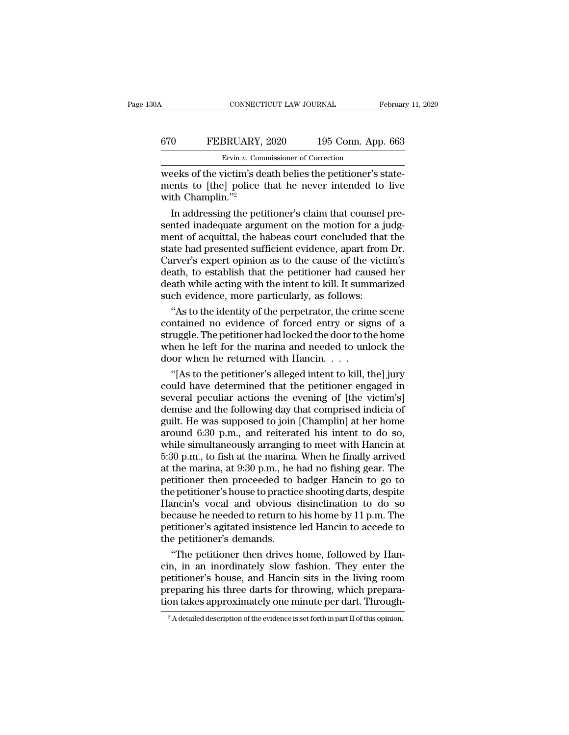### CONNECTICUT LAW JOURNAL February 11, 2020<br>
670 FEBRUARY, 2020 195 Conn. App. 663<br>
Ervin v. Commissioner of Correction ERUARY, 2020<br>Ervin *v.* Commissioner of Correction<br>Zictim's death belies the netitioner's

CONNECTICUT LAW JOURNAL Februar<br>
Februar<br>
EFERUARY, 2020 195 Conn. App. 663<br>
Ervin v. Commissioner of Correction<br>
Weeks of the victim's death belies the petitioner's state-<br>
ments to [the] police that he never intended to FEBRUARY, 2020 195 Conn. App. 663<br>
Ervin v. Commissioner of Correction<br>
weeks of the victim's death belies the petitioner's state-<br>
ments to [the] police that he never intended to live<br>
with Champlin."2  $\begin{array}{ll} \text{670} & \text{FEBRUARY}, \ \text{Ewin } v. \text{ Com} \ \text{weeks of the victim's de} \ \text{ments to [the] police} \ \text{with } \text{Champling.} \text{''2} \ \text{In addressing the pet} \end{array}$  $\frac{1}{100}$  BEBRUARY, 2020 195 Conn. App. 663<br>Ervin v. Commissioner of Correction<br>Deeks of the victim's death belies the petitioner's state-<br>ents to [the] police that he never intended to live<br>th Champlin."<sup>2</sup><br>In addressi

**Ervin v. Commissioner of Correction**<br>
weeks of the victim's death belies the petitioner's state-<br>
ments to [the] police that he never intended to live<br>
with Champlin."<sup>2</sup><br>
In addressing the petitioner's claim that counse ments to [the] police that he never intended to live<br>with Champlin."2<br>In addressing the petitioner's claim that counsel pre-<br>sented inadequate argument on the motion for a judg-<br>ment of acquittal, the habeas court conclude weeks of the victim's death belies the petitioner's state-<br>ments to [the] police that he never intended to live<br>with Champlin."<sup>2</sup><br>In addressing the petitioner's claim that counsel pre-<br>sented inadequate argument on the mo ments to [the] police that he never intended to live<br>with Champlin."<sup>2</sup><br>In addressing the petitioner's claim that counsel pre-<br>sented inadequate argument on the motion for a judg-<br>ment of acquittal, the habeas court conclu with Champlin."<sup>2</sup><br>In addressing the petitioner's claim that counsel pre-<br>sented inadequate argument on the motion for a judg-<br>ment of acquittal, the habeas court concluded that the<br>state had presented sufficient evidence, In addressing the petitioner's claim that counsel pre-<br>sented inadequate argument on the motion for a judg-<br>ment of acquittal, the habeas court concluded that the<br>state had presented sufficient evidence, apart from Dr.<br>Car sented inadequate argument on the motion for a jument of acquittal, the habeas court concluded that state had presented sufficient evidence, apart from Carver's expert opinion as to the cause of the vict death, to establis ent of acquittal, the habeas court concluded that the<br>ate had presented sufficient evidence, apart from Dr.<br>arver's expert opinion as to the cause of the victim's<br>ath, to establish that the petitioner had caused her<br>ath wh state had presented sufficient evidence, apart from Dr.<br>Carver's expert opinion as to the cause of the victim's<br>death, to establish that the petitioner had caused her<br>death while acting with the intent to kill. It summariz

Carver's expert opinion as to the cause of the victim's<br>death, to establish that the petitioner had caused her<br>death while acting with the intent to kill. It summarized<br>such evidence, more particularly, as follows:<br>"As to death, to establish that the petitioner had caused her<br>death while acting with the intent to kill. It summarized<br>such evidence, more particularly, as follows:<br>"As to the identity of the perpetrator, the crime scene<br>contain death while acting with the intent to kill. It sums<br>such evidence, more particularly, as follows:<br>"As to the identity of the perpetrator, the crim<br>contained no evidence of forced entry or sig<br>struggle. The petitioner had l "As to the identity of the perpetrator, the crime scene<br>
"As to the identity of the perpetrator, the crime scene<br>
ntained no evidence of forced entry or signs of a<br>
uggle. The petitioner had locked the door to the home<br>
ne "As to the identity of the perpetrator, the crime scene<br>contained no evidence of forced entry or signs of a<br>struggle. The petitioner had locked the door to the home<br>when he left for the marina and needed to unlock the<br>door

contained no evidence of forced entry or signs of a<br>struggle. The petitioner had locked the door to the home<br>when he left for the marina and needed to unlock the<br>door when he returned with Hancin. . . .<br>"[As to the petitio struggle. The petitioner had locked the door to the home<br>when he left for the marina and needed to unlock the<br>door when he returned with Hancin. . . .<br>"[As to the petitioner's alleged intent to kill, the] jury<br>could have when he left for the marina and needed to unlock the<br>door when he returned with Hancin. . . .<br>"[As to the petitioner's alleged intent to kill, the] jury<br>could have determined that the petitioner engaged in<br>several peculia door when he returned with Hancin. . . .<br>
"[As to the petitioner's alleged intent to kill, the] jury<br>
could have determined that the petitioner engaged in<br>
several peculiar actions the evening of [the victim's]<br>
demise an "[As to the petitioner's alleged intent to kill, the] jury<br>could have determined that the petitioner engaged in<br>several peculiar actions the evening of [the victim's]<br>demise and the following day that comprised indicia of could have determined that the petitioner engaged in<br>several peculiar actions the evening of [the victim's]<br>demise and the following day that comprised indicia of<br>guilt. He was supposed to join [Champlin] at her home<br>aroun several peculiar actions the evening of [the victim's]<br>demise and the following day that comprised indicia of<br>guilt. He was supposed to join [Champlin] at her home<br>around 6:30 p.m., and reiterated his intent to do so,<br>whil demise and the following day that comprised indicia of<br>guilt. He was supposed to join [Champlin] at her home<br>around 6:30 p.m., and reiterated his intent to do so,<br>while simultaneously arranging to meet with Hancin at<br>5:30 guilt. He was supposed to join [Champlin] at her home<br>around 6:30 p.m., and reiterated his intent to do so,<br>while simultaneously arranging to meet with Hancin at<br>5:30 p.m., to fish at the marina. When he finally arrived<br>at around 6:30 p.m., and reiterated his intent to do so,<br>while simultaneously arranging to meet with Hancin at<br>5:30 p.m., to fish at the marina. When he finally arrived<br>at the marina, at  $9:30$  p.m., he had no fishing gear. while simultaneously arranging to meet with Hancin at 5:30 p.m., to fish at the marina. When he finally arrived<br>at the marina, at 9:30 p.m., he had no fishing gear. The<br>petitioner then proceeded to badger Hancin to go to<br>t 5:30 p.m., to fish at the marina. When he finally arrived<br>at the marina, at  $9:30$  p.m., he had no fishing gear. The<br>petitioner then proceeded to badger Hancin to go to<br>the petitioner's house to practice shooting darts, d at the marina, at 9:30 p.m., he l<br>petitioner then proceeded to l<br>the petitioner's house to practic<br>Hancin's vocal and obvious<br>because he needed to return to<br>petitioner's agitated insistence<br>the petitioner's demands.<br>"The p titioner then proceeded to badger Hancin to go to<br>
e petitioner's house to practice shooting darts, despite<br>
uncin's vocal and obvious disinclination to do so<br>
cause he needed to return to his home by 11 p.m. The<br>
titioner the petitioner's house to practice shooting darts, despite<br>Hancin's vocal and obvious disinclination to do so<br>because he needed to return to his home by 11 p.m. The<br>petitioner's agitated insistence led Hancin to accede to<br>

Hancin's vocal and obvious disinclination to do so<br>because he needed to return to his home by 11 p.m. The<br>petitioner's agitated insistence led Hancin to accede to<br>the petitioner's demands.<br>"The petitioner's management of t because he needed to return to his home by 11 p.m. The<br>petitioner's agitated insistence led Hancin to accede to<br>the petitioner's demands.<br>"The petitioner then drives home, followed by Han-<br>cin, in an inordinately slow fash petitioner's agitated insistence led Hancin to accede to<br>the petitioner's demands.<br>"The petitioner then drives home, followed by Han-<br>cin, in an inordinately slow fashion. They enter the<br>petitioner's house, and Hancin sits cin, in an inordinately slow fashion. They enter the petitioner's house, and Hancin sits in the living room preparing his three darts for throwing, which preparation takes approximately one minute per dart. Through- $\frac{2}{$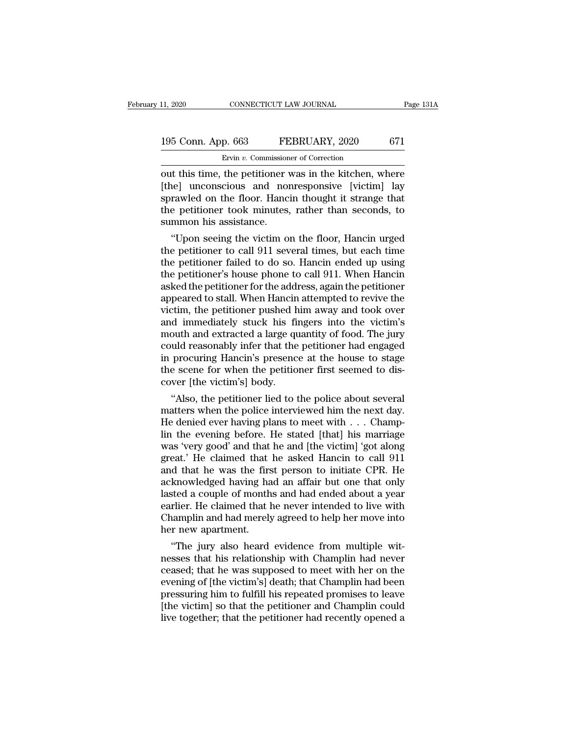### 11, 2020 CONNECTICUT LAW JOURNAL Page 131A<br>195 Conn. App. 663 FEBRUARY, 2020 671<br>Ervin v. Commissioner of Correction EXECTICUT LAW JOURNAL<br>
P. 663 FEBRUARY, 2020<br>
Ervin *v.* Commissioner of Correction<br>
the petitioner was in the kitchen v

THE 11, 2020 CONNECTICUT LAW JOURNAL Page 131A<br>
195 Conn. App. 663 FEBRUARY, 2020 671<br>
Ervin v. Commissioner of Correction<br>
out this time, the petitioner was in the kitchen, where<br>
[the] unconscious and nonresponsive [vict 195 Conn. App. 663 FEBRUARY, 2020 671<br>
Ervin v. Commissioner of Correction<br>
out this time, the petitioner was in the kitchen, where<br>
[the] unconscious and nonresponsive [victim] lay<br>
sprawled on the floor. Hancin thought 195 Conn. App. 663 FEBRUARY, 2020 671<br>Ervin v. Commissioner of Correction<br>out this time, the petitioner was in the kitchen, where<br>[the] unconscious and nonresponsive [victim] lay<br>sprawled on the floor. Hancin thought it s 195 Conn. App. 663 FEBRUARY, 2020 671<br>Ervin v. Commissioner of Correction<br>out this time, the petitioner was in the kitchen, where<br>[the] unconscious and nonresponsive [victim] lay<br>sprawled on the floor. Hancin thought it s  $\begin{array}{c}\n\hline\n\text{Evin } v. \text{ Commission} \\
\hline\n\text{Evin } v. \text{ Commission} \\
\hline\n\text{Out this time, the pertinent value of the function } v \text{ (the) unconsicious and non-sprawled on the floor.} \\
\hline\n\text{Hanc} \\
\hline\n\text{Hence } v \text{ is the number of times in the interval } v \text{ (in the interval of the interval } v \text{), where } v \text{ is the number of times in the interval } v \text{ and } v \text{ is the number of times in the interval } v \text{ and } v \text{ is the number of times in the interval } v \text{ and } v \text{ is the number of times in the interval } v \text{ and } v \text{ is the number$ It this time, the petitioner was in the kitchen, where<br>
the purconscious and nonresponsive [victim] lay<br>
rawled on the floor. Hancin thought it strange that<br>
e petitioner took minutes, rather than seconds, to<br>
mmon his ass out this time, the petitioner was in the kitchen, where<br>[the] unconscious and nonresponsive [victim] lay<br>sprawled on the floor. Hancin thought it strange that<br>the petitioner took minutes, rather than seconds, to<br>summon his

[the] unconscious and nonresponsive [victim] lay<br>sprawled on the floor. Hancin thought it strange that<br>the petitioner took minutes, rather than seconds, to<br>summon his assistance.<br>"Upon seeing the victim on the floor, Hanci sprawled on the floor. Hancin thought it strange that<br>the petitioner took minutes, rather than seconds, to<br>summon his assistance.<br>"Upon seeing the victim on the floor, Hancin urged<br>the petitioner to call 911 several times, the petitioner took minutes, rather than seconds, to<br>summon his assistance.<br>"Upon seeing the victim on the floor, Hancin urged<br>the petitioner to call 911 several times, but each time<br>the petitioner failed to do so. Hancin summon his assistance.<br>
"Upon seeing the victim on the floor, Hancin urged<br>
the petitioner to call 911 several times, but each time<br>
the petitioner failed to do so. Hancin ended up using<br>
the petitioner's house phone to ca "Upon seeing the victim on the floor, Hancin urged<br>the petitioner to call 911 several times, but each time<br>the petitioner failed to do so. Hancin ended up using<br>the petitioner's house phone to call 911. When Hancin<br>asked t the petitioner to call 911 several times, but each time<br>the petitioner failed to do so. Hancin ended up using<br>the petitioner's house phone to call 911. When Hancin<br>asked the petitioner for the address, again the petitioner the petitioner failed to do so. Hancin ended up using<br>the petitioner's house phone to call 911. When Hancin<br>asked the petitioner for the address, again the petitioner<br>appeared to stall. When Hancin attempted to revive the<br> the petitioner's house phone to call 911. When Hancin<br>asked the petitioner for the address, again the petitioner<br>appeared to stall. When Hancin attempted to revive the<br>victim, the petitioner pushed him away and took over<br>a asked the petitioner for the address, again the petitioner<br>appeared to stall. When Hancin attempted to revive the<br>victim, the petitioner pushed him away and took over<br>and immediately stuck his fingers into the victim's<br>mou appeared to stall. When Hancin attempted to revive the victim, the petitioner pushed him away and took over and immediately stuck his fingers into the victim's mouth and extracted a large quantity of food. The jury could r victim, the petitioner pushed h<br>and immediately stuck his film<br>outh and extracted a large qu<br>could reasonably infer that the<br>in procuring Hancin's presenc<br>the scene for when the petitio<br>cover [the victim's] body.<br>"Also, th The mind and extracted a large quantity of food. The jury<br>
uld reasonably infer that the petitioner had engaged<br>
procuring Hancin's presence at the house to stage<br>
e scene for when the petitioner first seemed to dis-<br>
were mouth and extracted a large quantity of food. The jury<br>could reasonably infer that the petitioner had engaged<br>in procuring Hancin's presence at the house to stage<br>the scene for when the petitioner first seemed to dis-<br>cove

resonably mer that the petitioner had engaged<br>in procuring Hancin's presence at the house to stage<br>the scene for when the petitioner first seemed to dis-<br>cover [the victim's] body.<br>"Also, the petitioner lied to the police In procuring Hancin's presence at the nouse to stage<br>the scene for when the petitioner first seemed to dis-<br>cover [the victim's] body.<br>"Also, the petitioner lied to the police about several<br>matters when the police intervi the scene for when the pethtoner first seemed to discover [the victim's] body.<br>
"Also, the petitioner lied to the police about several<br>
matters when the police interviewed him the next day.<br>
He denied ever having plans to cover [the victim s] body.<br>
"Also, the petitioner lied to the police about several<br>
matters when the police interviewed him the next day.<br>
He denied ever having plans to meet with  $\ldots$  Champ-<br>
lin the evening before. He "Also, the petitioner lied to the police about several<br>matters when the police interviewed him the next day.<br>He denied ever having plans to meet with  $\dots$  Champ-<br>lin the evening before. He stated [that] his marriage<br>was ' matters when the police interviewed him the next day.<br>He denied ever having plans to meet with  $\ldots$  Champlin the evening before. He stated [that] his marriage was 'very good' and that he and [the victim] 'got along great He denied ever having plans to meet with . . . Champlin the evening before. He stated [that] his marriage was 'very good' and that he and [the victim] 'got along great.' He claimed that he asked Hancin to call  $911$  and t lin the evening before. He stated [that] his marriage was 'very good' and that he and [the victim] 'got along great.' He claimed that he asked Hancin to call 911 and that he was the first person to initiate CPR. He acknowl was 'very good' and that he and [the victim] 'got along<br>great.' He claimed that he asked Hancin to call 911<br>and that he was the first person to initiate CPR. He<br>acknowledged having had an affair but one that only<br>lasted a great.' He claimed that<br>and that he was the firs<br>acknowledged having ha<br>lasted a couple of month<br>earlier. He claimed that l<br>Champlin and had merely<br>her new apartment.<br>"The jury also heard It also having had an affair but one that only<br>sted a couple of months and had ended about a year<br>rlier. He claimed that he never intended to live with<br>amplin and had merely agreed to help her move into<br>r new apartment.<br>"T acknowledged naving nad an arriar but one that only<br>lasted a couple of months and had ended about a year<br>earlier. He claimed that he never intended to live with<br>Champlin and had merely agreed to help her move into<br>her new

rearlier. He claimed that he never intended to live with<br>Champlin and had merely agreed to help her move into<br>her new apartment.<br>"The jury also heard evidence from multiple wit-<br>nesses that his relationship with Champlin h earner. He claimed that he never intended to live with<br>Champlin and had merely agreed to help her move into<br>her new apartment.<br>"The jury also heard evidence from multiple wit-<br>nesses that his relationship with Champlin had Champin and nad merely agreed to help her move into<br>her new apartment.<br>"The jury also heard evidence from multiple wit-<br>nesses that his relationship with Champlin had never<br>ceased; that he was supposed to meet with her on ner new apartment.<br>
"The jury also heard evidence from multiple wit-<br>
nesses that his relationship with Champlin had never<br>
ceased; that he was supposed to meet with her on the<br>
evening of [the victim's] death; that Champl "The jury also heard evidence from multiple witnesses that his relationship with Champlin had never ceased; that he was supposed to meet with her on the evening of [the victim's] death; that Champlin had been pressuring hi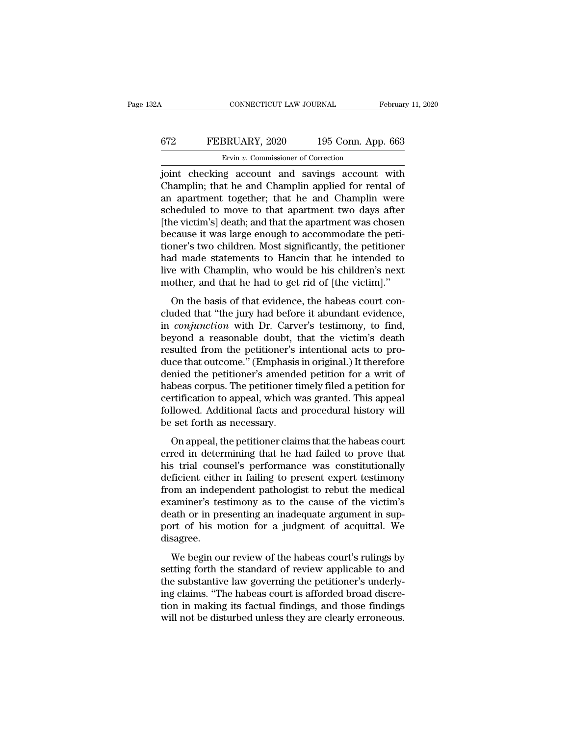### CONNECTICUT LAW JOURNAL February 11, 2020<br>672 FEBRUARY, 2020 195 Conn. App. 663<br>Ervin v. Commissioner of Correction ERUARY, 2020<br>Ervin *v.* Commissioner of Correction<br>Ervin *v.* Commissioner of Correction<br>Paccount and savings account

CONNECTICUT LAW JOURNAL February 11, 2020<br>
FEBRUARY, 2020 195 Conn. App. 663<br>
Ervin v. Commissioner of Correction<br>
joint checking account and savings account with<br>
Champlin; that he and Champlin applied for rental of FEBRUARY, 2020 195 Conn. App. 663<br>
Ervin v. Commissioner of Correction<br>
joint checking account and savings account with<br>
Champlin; that he and Champlin applied for rental of<br>
an apartment together; that he and Champlin we EVARY, 2020 195 Conn. App. 663<br>
Evin v. Commissioner of Correction<br>
joint checking account and savings account with<br>
Champlin; that he and Champlin applied for rental of<br>
an apartment together; that he and Champlin were<br> FEBRUARY, 2020 195 Conn. App. 663<br>
Ervin v. Commissioner of Correction<br>
joint checking account and savings account with<br>
Champlin; that he and Champlin applied for rental of<br>
an apartment together; that he and Champlin we Ervin v. Commissioner of Correction<br>
joint checking account and savings account with<br>
Champlin; that he and Champlin applied for rental of<br>
an apartment together; that he and Champlin were<br>
scheduled to move to that apart Ervin v. Commissioner of Correction<br>
joint checking account and savings account with<br>
Champlin; that he and Champlin applied for rental of<br>
an apartment together; that he and Champlin were<br>
scheduled to move to that apart joint checking account and savings account with<br>Champlin; that he and Champlin applied for rental of<br>an apartment together; that he and Champlin were<br>scheduled to move to that apartment two days after<br>[the victim's] death; Champlin; that he and Champlin applied for rental of<br>an apartment together; that he and Champlin were<br>scheduled to move to that apartment two days after<br>[the victim's] death; and that the apartment was chosen<br>because it wa an apartment together; that he and Champlin were<br>scheduled to move to that apartment two days after<br>[the victim's] death; and that the apartment was chosen<br>because it was large enough to accommodate the peti-<br>tioner's two scheduled to move to that apartment two days after<br>[the victim's] death; and that the apartment was chosen<br>because it was large enough to accommodate the peti-<br>tioner's two children. Most significantly, the petitioner<br>had cause it was large enough to accommodate the peti-<br>cause it was large enough to accommodate the peti-<br>pher's two children. Most significantly, the petitioner<br>d made statements to Hancin that he intended to<br>re with Champlin because it was harge enough to accommodate are pear-<br>tioner's two children. Most significantly, the petitioner<br>had made statements to Hancin that he intended to<br>live with Champlin, who would be his children's next<br>mother,

in a made statements to Hancin that he intended to live with Champlin, who would be his children's next mother, and that he had to get rid of [the victim]."<br>On the basis of that evidence, the habeas court concluded that "t here with Champlin, who would be his children's next<br>mother, and that he had to get rid of [the victim]."<br>On the basis of that evidence, the habeas court con-<br>cluded that "the jury had before it abundant evidence,<br>in *con* resulted from the basis of that evidence, the habeas court concluded that "the jury had before it abundant evidence, in *conjunction* with Dr. Carver's testimony, to find, beyond a reasonable doubt, that the victim's death duced that the final of get that of the vielant,<br>cluded that "the jury had before it abundant evidence,<br>in *conjunction* with Dr. Carver's testimony, to find,<br>beyond a reasonable doubt, that the victim's death<br>resulted fro On the basis of that evidence, the habeas court con-<br>cluded that "the jury had before it abundant evidence,<br>in *conjunction* with Dr. Carver's testimony, to find,<br>beyond a reasonable doubt, that the victim's death<br>resulted cluded that "the jury had before it abundant evidence,<br>in *conjunction* with Dr. Carver's testimony, to find,<br>beyond a reasonable doubt, that the victim's death<br>resulted from the petitioner's intentional acts to pro-<br>duce in *conjunction* with Dr. Carver's testimony, to find,<br>beyond a reasonable doubt, that the victim's death<br>resulted from the petitioner's intentional acts to pro-<br>duce that outcome." (Emphasis in original.) It therefore<br>den beyond a reasonable doubt, that the victim's death<br>resulted from the petitioner's intentional acts to pro-<br>duce that outcome." (Emphasis in original.) It therefore<br>denied the petitioner's amended petition for a writ of<br>hab resulted from the petitioner's<br>duce that outcome." (Emphasis<br>denied the petitioner's amende<br>habeas corpus. The petitioner t<br>certification to appeal, which w<br>followed. Additional facts and<br>be set forth as necessary.<br>On appe nied the petitioner's amended petition for a writ of<br>beas corpus. The petitioner timely filed a petition for<br>rtification to appeal, which was granted. This appeal<br>llowed. Additional facts and procedural history will<br>set fo defined are peratoricly a antended peratori for a wife or<br>habeas corpus. The petitioner timely filed a petition for<br>certification to appeal, which was granted. This appeal<br>followed. Additional facts and procedural history

has explored anticly mediate a performance certification to appeal, which was granted. This appeal followed. Additional facts and procedural history will be set forth as necessary.<br>On appeal, the petitioner claims that the deficient either in failing to present experiments of the series of the series of the series of the procedural history will<br>be set forth as necessary.<br>On appeal, the petitioner claims that the habeas court<br>erred in determi from an independent pathologist to rebut the medical<br>example set forth as necessary.<br>On appeal, the petitioner claims that the habeas court<br>erred in determining that he had failed to prove that<br>his trial counsel's performa be set form as necessary.<br>
On appeal, the petitioner claims that the habeas court<br>
erred in determining that he had failed to prove that<br>
his trial counsel's performance was constitutionally<br>
deficient either in failing to On appeal, the petitioner claims that the habeas court<br>erred in determining that he had failed to prove that<br>his trial counsel's performance was constitutionally<br>deficient either in failing to present expert testimony<br>from erred in determining that he had failed to prove that<br>his trial counsel's performance was constitutionally<br>deficient either in failing to present expert testimony<br>from an independent pathologist to rebut the medical<br>examin disagree. Freech classed in family to present clipctrices.<br>
In an independent pathologist to rebut the medical<br>
aminer's testimony as to the cause of the victim's<br>
ath or in presenting an inadequate argument in sup-<br>
part of his mot From an independent particlogist to restand are interacted<br>examiner's testimony as to the cause of the victim's<br>death or in presenting an inadequate argument in sup-<br>port of his motion for a judgment of acquittal. We<br>disag

the substantial is determined and independent of the victorial<br>death or in presenting an inadequate argument in sup-<br>port of his motion for a judgment of acquittal. We<br>disagree.<br>We begin our review of the habeas court's ru ing the metallic metallic metallic metallic metallic metallic metallic disagree.<br>
We begin our review of the habeas court's rulings by<br>
setting forth the standard of review applicable to and<br>
the substantive law governing fort of the modern for a jaagnent of acquitation. We disagree.<br>We begin our review of the habeas court's rulings by<br>setting forth the standard of review applicable to and<br>the substantive law governing the petitioner's unde We begin our review of the habeas court's rulings by<br>setting forth the standard of review applicable to and<br>the substantive law governing the petitioner's underly-<br>ing claims. "The habeas court is afforded broad discre-<br>ti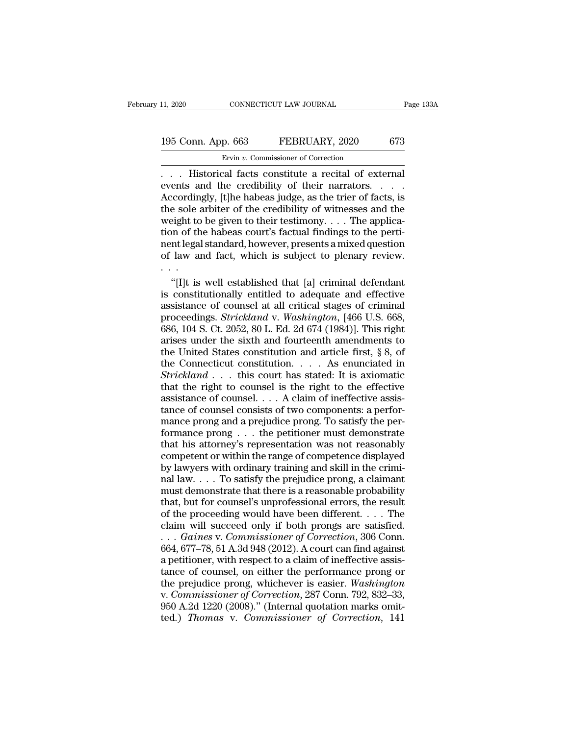### 11, 2020 CONNECTICUT LAW JOURNAL Page 133A<br>195 Conn. App. 663 FEBRUARY, 2020 673<br>Ervin v. Commissioner of Correction Ervin *v.* Commissioner of Correction

2020 CONNECTICUT LAW JOURNAL Page 13:<br>
195 Conn. App. 663 FEBRUARY, 2020 673<br>
Ervin v. Commissioner of Correction<br>
... Historical facts constitute a recital of external<br>
events and the credibility of their narrators.... 195 Conn. App. 663 FEBRUARY, 2020 673<br>
Ervin v. Commissioner of Correction<br>
... Historical facts constitute a recital of external<br>
events and the credibility of their narrators. ...<br>
Accordingly, [t]he habeas judge, as th 195 Conn. App. 663 FEBRUARY, 2020 673<br>
Frvin v. Commissioner of Correction<br>
... Historical facts constitute a recital of external<br>
events and the credibility of their narrators....<br>
Accordingly, [t]he habeas judge, as the 195 Conn. App. 663 FEBRUARY, 2020 673<br>Ervin v. Commissioner of Correction<br>
... Historical facts constitute a recital of external<br>
events and the credibility of their narrators....<br>
Accordingly, [t]he habeas judge, as the Ervin v. Commissioner of Correction<br>
Ervin v. Commissioner of Correction<br>
events and the credibility of their narrators. . . . .<br>
Accordingly, [t]he habeas judge, as the trier of facts, is<br>
the sole arbiter of the credibi Ervin v. Commissioner of Correction<br>
. . . Historical facts constitute a recital of external<br>
events and the credibility of their narrators. . . .<br>
Accordingly, [t]he habeas judge, as the trier of facts, is<br>
the sole arbi nent in this torical facts constitute a recital of external<br>events and the credibility of their narrators. . . .<br>Accordingly, [t]he habeas judge, as the trier of facts, is<br>the sole arbiter of the credibility of witnesses a events and the credibility of their narrators. . . . . Accordingly, [t]he habeas judge, as the trier of facts, is<br>the sole arbiter of the credibility of witnesses and the<br>weight to be given to their testimony. . . . The ap Accordin<br>the sole :<br>weight to<br>tion of th<br>nent legal<br>of law and<br>weight is Example arbiter of the credibility of witnesses and the eight to be given to their testimony. . . . The applicann of the habeas court's factual findings to the perti-<br>int legal standard, however, presents a mixed question weight to be given to their testimony. . . . The application of the habeas court's factual findings to the perti-<br>nent legal standard, however, presents a mixed question of law and fact, which is subject to plenary review

tion of the habeas court's factual findings to the perti-<br>nent legal standard, however, presents a mixed question<br>of law and fact, which is subject to plenary review.<br>...<br>"[I]t is well established that [a] criminal defend nent legal standard, however, presents a mixed question<br>of law and fact, which is subject to plenary review.<br>...<br>"[I]t is well established that [a] criminal defendant<br>is constitutionally entitled to adequate and effective<br> of law and fact, which is subject to plenary review.<br>
"[I]t is well established that [a] criminal defendant<br>
is constitutionally entitled to adequate and effective<br>
assistance of counsel at all critical stages of criminal<br> "[I]t is well established that [a] criminal defendant<br>is constitutionally entitled to adequate and effective<br>assistance of counsel at all critical stages of criminal<br>proceedings. *Strickland* v. *Washington*, [466 U.S. 66 "[I]t is well established that [a] criminal defendant<br>is constitutionally entitled to adequate and effective<br>assistance of counsel at all critical stages of criminal<br>proceedings. *Strickland* v. Washington, [466 U.S. 668, is constitutionally entitled to adequate and effective<br>assistance of counsel at all critical stages of criminal<br>proceedings. *Strickland* v. Washington, [466 U.S. 668,<br>686, 104 S. Ct. 2052, 80 L. Ed. 2d 674 (1984)]. This assistance of counsel at all critical stages of criminal<br>proceedings. *Strickland* v. *Washington*, [466 U.S. 668,<br>686, 104 S. Ct. 2052, 80 L. Ed. 2d 674 (1984)]. This right<br>arises under the sixth and fourteenth amendments proceedings. *Strickland* v. *Washington*, [466 U.S. 668, 686, 104 S. Ct. 2052, 80 L. Ed. 2d 674 (1984)]. This right arises under the sixth and fourteenth amendments to the United States constitution and article first, § 686, 104 S. Ct. 2052, 80 L. Ed. 2d 674 (1984)]. This right<br>arises under the sixth and fourteenth amendments to<br>the United States constitution and article first, § 8, of<br>the Connecticut constitution. . . . As enunciated in arises under the sixth and fourteenth amendments to<br>the United States constitution and article first, § 8, of<br>the Connecticut constitution. . . . As enunciated in<br>Strickland . . . this court has stated: It is axiomatic<br>th the United States constitution and article first, § 8, of<br>the Connecticut constitution. . . . As enunciated in<br>Strickland . . . this court has stated: It is axiomatic<br>that the right to counsel is the right to the effectiv the Connecticut constitution. . . . . As enunciated in  $Strickland \ldots$  this court has stated: It is axiomatic that the right to counsel is the right to the effective assistance of counsel . . . A claim of ineffective assistance Strickland . . . this court has stated: It is axiomatic<br>that the right to counsel is the right to the effective<br>assistance of counsel . . . . A claim of ineffective assis-<br>tance of counsel consists of two components: a pe that the right to counsel is the right to the effective<br>assistance of counsel. . . . A claim of ineffective assis-<br>tance of counsel consists of two components: a perfor-<br>mance prong and a prejudice prong. To satisfy the p assistance of counsel.  $\ldots$  A claim of ineffective assistance of counsel consists of two components: a performance prong and a prejudice prong. To satisfy the performance prong  $\ldots$  the petitioner must demonstrate that tance of counsel consists of two components: a performance prong and a prejudice prong. To satisfy the performance prong  $\ldots$  the petitioner must demonstrate that his attorney's representation was not reasonably competen mance prong and a prejudice prong. To satisfy the performance prong  $\ldots$  the petitioner must demonstrate that his attorney's representation was not reasonably competent or within the range of competence displayed by lawy formance prong  $\ldots$  the petitioner must demonstrate<br>that his attorney's representation was not reasonably<br>competent or within the range of competence displayed<br>by lawyers with ordinary training and skill in the crimi-<br>na that his attorney's representation was not reasonably<br>competent or within the range of competence displayed<br>by lawyers with ordinary training and skill in the crimi-<br>nal law.... To satisfy the prejudice prong, a claimant<br> competent or within the range of competence displayed<br>by lawyers with ordinary training and skill in the crimi-<br>nal law.... To satisfy the prejudice prong, a claimant<br>must demonstrate that there is a reasonable probabilit by lawyers with ordinary training and skill in the criminal law. . . . To satisfy the prejudice prong, a claimant must demonstrate that there is a reasonable probability that, but for counsel's unprofessional errors, the r mal law.... To satisfy the prejudice prong, a claimant<br>must demonstrate that there is a reasonable probability<br>that, but for counsel's unprofessional errors, the result<br>of the proceeding would have been different.... The<br> must demonstrate that there is a reasonable probability<br>that, but for counsel's unprofessional errors, the result<br>of the proceeding would have been different.... The<br>claim will succeed only if both prongs are satisfied.<br>. that, but for counsel's unprofessional errors, the result<br>of the proceeding would have been different. . . . The<br>claim will succeed only if both prongs are satisfied.<br>. . . *Gaines v. Commissioner of Correction*, 306 Conn of the proceeding would have been different. . . . The<br>claim will succeed only if both prongs are satisfied.<br>. . . *Gaines v. Commissioner of Correction*, 306 Conn.<br>664, 677–78, 51 A.3d 948 (2012). A court can find against claim will succeed only if both prongs are satisfied.<br>
... *Gaines v. Commissioner of Correction*, 306 Conn.<br>
664, 677–78, 51 A.3d 948 (2012). A court can find against<br>
a petitioner, with respect to a claim of ineffective ... *Gaines v. Commissioner of Correction*, 306 Conn.<br>664, 677–78, 51 A.3d 948 (2012). A court can find against<br>a petitioner, with respect to a claim of ineffective assis-<br>tance of counsel, on either the performance prong 664, 677–78, 51 A.3d 948 (2012). A court can find against<br>664, 677–78, 51 A.3d 948 (2012). A court can find against<br>a petitioner, with respect to a claim of ineffective assis-<br>tance of counsel, on either the performance pr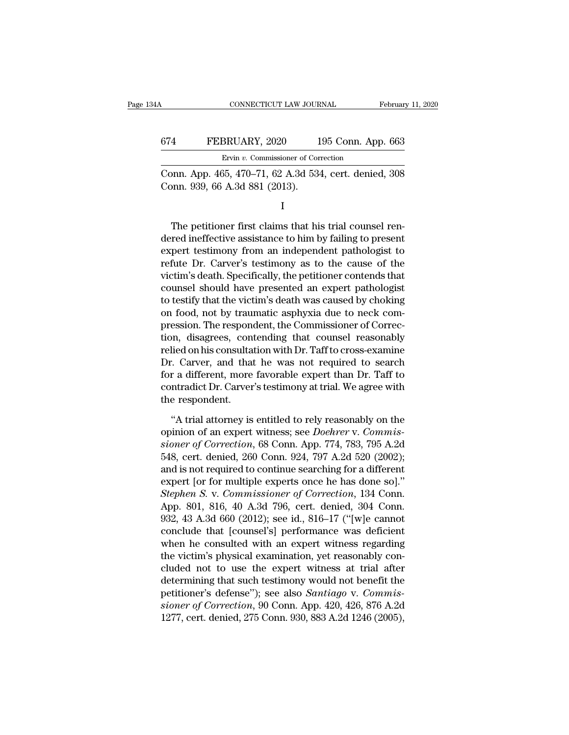| A   | CONNECTICUT LAW JOURNAL                                                                  | February 11, 2020  |
|-----|------------------------------------------------------------------------------------------|--------------------|
| 674 | FEBRUARY, 2020                                                                           | 195 Conn. App. 663 |
|     | Ervin v. Commissioner of Correction                                                      |                    |
|     | Conn. App. 465, 470–71, 62 A.3d 534, cert. denied, 308<br>Conn. 939, 66 A.3d 881 (2013). |                    |
|     |                                                                                          |                    |

I and the set of  $\mathbf{I}$ 

Ervin v. Commissioner of Correction<br>
DR. App. 465, 470–71, 62 A.3d 534, cert. denied, 308<br>
DR. 939, 66 A.3d 881 (2013).<br>
I<br>
The petitioner first claims that his trial counsel ren-<br>
The petitioner first claims that his tria Conn. App. 465, 470–71, 62 A.3d 534, cert. denied, 308<br>Conn. 939, 66 A.3d 881 (2013).<br>I<br>The petitioner first claims that his trial counsel ren-<br>dered ineffective assistance to him by failing to present<br>expert testimony fr Conn. App. 405, 470–71, 62 A.3d 334, cert. denied, 308<br>Conn. 939, 66 A.3d 881 (2013).<br>I<br>The petitioner first claims that his trial counsel ren-<br>dered ineffective assistance to him by failing to present<br>expert testimony fr refute Dr. Controlling Space Controlling I<br>The petitioner first claims that his trial counsel ren-<br>dered ineffective assistance to him by failing to present<br>expert testimony from an independent pathologist to<br>refute Dr. Ca I<br>
The petitioner first claims that his trial counsel ren-<br>
dered ineffective assistance to him by failing to present<br>
expert testimony from an independent pathologist to<br>
refute Dr. Carver's testimony as to the cause of t The petitioner first claims that his trial counsel rendered ineffective assistance to him by failing to present expert testimony from an independent pathologist to refute Dr. Carver's testimony as to the cause of the victi The petitioner first claims that his trial counsel rendered ineffective assistance to him by failing to present expert testimony from an independent pathologist to refute Dr. Carver's testimony as to the cause of the victi dered ineffective assistance to him by failing to present<br>expert testimony from an independent pathologist to<br>refute Dr. Carver's testimony as to the cause of the<br>victim's death. Specifically, the petitioner contends that<br> expert testimony from an independent pathologist to<br>refute Dr. Carver's testimony as to the cause of the<br>victim's death. Specifically, the petitioner contends that<br>counsel should have presented an expert pathologist<br>to tes refute Dr. Carver's testimony as to the cause of the<br>victim's death. Specifically, the petitioner contends that<br>counsel should have presented an expert pathologist<br>to testify that the victim's death was caused by choking<br>o victim's death. Specifically, the petitioner contends that<br>counsel should have presented an expert pathologist<br>to testify that the victim's death was caused by choking<br>on food, not by traumatic asphyxia due to neck com-<br>pr counsel should have presented an expert pathologist<br>to testify that the victim's death was caused by choking<br>on food, not by traumatic asphyxia due to neck com-<br>pression. The respondent, the Commissioner of Correc-<br>tion, d to testify that the victim's death was caused by choking<br>on food, not by traumatic asphyxia due to neck com-<br>pression. The respondent, the Commissioner of Correc-<br>tion, disagrees, contending that counsel reasonably<br>relied on food, not by traumatic asphyxia due to neck compression. The respondent, the Commissioner of Correction, disagrees, contending that counsel reasonably relied on his consultation with Dr. Taff to cross-examine Dr. Carver pression. The respondion, disagrees, convelied on his consulta<br>Dr. Carver, and that<br>for a different, more<br>contradict Dr. Carver<br>the respondent.<br>"A trial attorney is lied on his consultation with Dr. Taff to cross-examine<br>  $\therefore$  Carver, and that he was not required to search<br>  $\bf{r}$  a different, more favorable expert than Dr. Taff to<br>
intradict Dr. Carver's testimony at trial. We agr Dr. Carver, and that he was not required to search<br>for a different, more favorable expert than Dr. Taff to<br>contradict Dr. Carver's testimony at trial. We agree with<br>the respondent.<br>"A trial attorney is entitled to rely rea

for a different, more favorable expert than Dr. Taff to<br>contradict Dr. Carver's testimony at trial. We agree with<br>the respondent.<br>"A trial attorney is entitled to rely reasonably on the<br>opinion of an expert witness; see *D* contradict Dr. Carver's testimony at trial. We agree with<br>the respondent.<br>"A trial attorney is entitled to rely reasonably on the<br>opinion of an expert witness; see *Doehrer* v. Commis-<br>sioner of Correction, 68 Conn. App. 7 the respondent.<br>
"A trial attorney is entitled to rely reasonably on the<br>
opinion of an expert witness; see *Doehrer* v. Commis-<br>
sioner of Correction, 68 Conn. App. 774, 783, 795 A.2d<br>
548, cert. denied, 260 Conn. 924, 79 "A trial attorney is entitled to rely reasonably on the<br>opinion of an expert witness; see *Doehrer* v. *Commis-<br>sioner of Correction*, 68 Conn. App. 774, 783, 795 A.2d<br>548, cert. denied, 260 Conn. 924, 797 A.2d 520 (2002) "A trial attorney is entitled to rely reasonably on the<br>opinion of an expert witness; see *Doehrer* v. *Commis-<br>sioner of Correction*, 68 Conn. App. 774, 783, 795 A.2d<br>548, cert. denied, 260 Conn. 924, 797 A.2d 520 (2002); opinion of an expert witness; see *Doehrer* v. Commis-<br>sioner of Correction, 68 Conn. App. 774, 783, 795 A.2d<br>548, cert. denied, 260 Conn. 924, 797 A.2d 520 (2002);<br>and is not required to continue searching for a different sioner of Correction, 68 Conn. App. 774, 783, 795 A.2d<br>548, cert. denied, 260 Conn. 924, 797 A.2d 520 (2002);<br>and is not required to continue searching for a different<br>expert [or for multiple experts once he has done so]." 548, cert. denied, 260 Conn. 924, 797 A.2d 520 (2002);<br>and is not required to continue searching for a different<br>expert [or for multiple experts once he has done so]."<br>Stephen S. v. Commissioner of Correction, 134 Conn.<br>A and is not required to continue searching for a different<br>expert [or for multiple experts once he has done so]."<br>Stephen S. v. Commissioner of Correction, 134 Conn.<br>App. 801, 816, 40 A.3d 796, cert. denied, 304 Conn.<br>932, expert [or for multiple experts once he has done so]."<br>Stephen S. v. Commissioner of Correction, 134 Conn.<br>App. 801, 816, 40 A.3d 796, cert. denied, 304 Conn.<br>932, 43 A.3d 660 (2012); see id., 816–17 ("[w]e cannot<br>conclude Stephen S. v. Commissioner of Correction, 134 Conn.<br>App. 801, 816, 40 A.3d 796, cert. denied, 304 Conn.<br>932, 43 A.3d 660 (2012); see id., 816–17 ("[w]e cannot<br>conclude that [counsel's] performance was deficient<br>when he con App. 801, 816, 40 A.3d 796, cert. denied, 304 Conn.<br>932, 43 A.3d 660 (2012); see id., 816–17 ("[w]e cannot<br>conclude that [counsel's] performance was deficient<br>when he consulted with an expert witness regarding<br>the victim' 932, 43 A.3d 660 (2012); see id., 816–17 ("[w]e cannot conclude that [counsel's] performance was deficient when he consulted with an expert witness regarding the victim's physical examination, yet reasonably concluded not conclude that [counsel's] performance was deficient<br>when he consulted with an expert witness regarding<br>the victim's physical examination, yet reasonably con-<br>cluded not to use the expert witness at trial after<br>determining when he consulted with an expert witness regarding<br>the victim's physical examination, yet reasonably con-<br>cluded not to use the expert witness at trial after<br>determining that such testimony would not benefit the<br>petitioner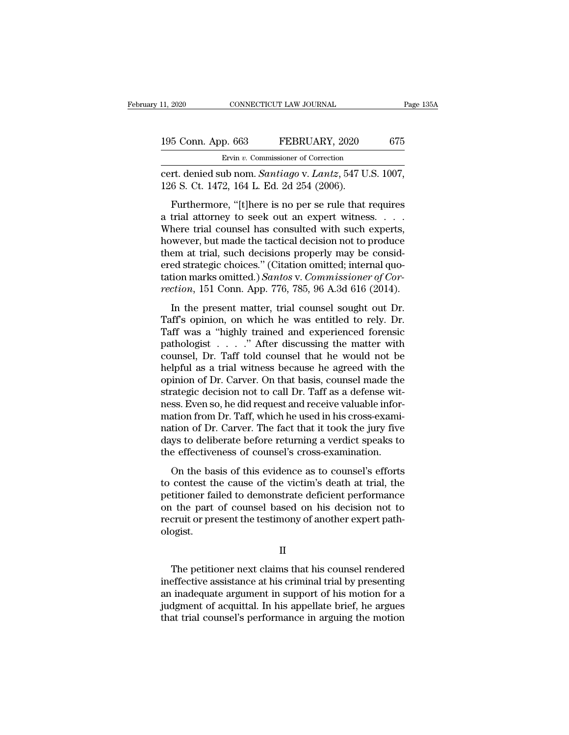| 11, 2020           | CONNECTICUT LAW JOURNAL                                   | Page 135A |
|--------------------|-----------------------------------------------------------|-----------|
| 195 Conn. App. 663 | FEBRUARY, 2020                                            | 675       |
|                    | Ervin v. Commissioner of Correction                       |           |
|                    | cert denied sub nom <i>Santiago v Lantz</i> 547 U.S. 1007 |           |

connecticut LAW JOURNAL Page 13<br>
195 Conn. App. 663 FEBRUARY, 2020 675<br>
Ervin v. Commissioner of Correction<br>
cert. denied sub nom. *Santiago* v. *Lantz*, 547 U.S. 1007, 126 S. Ct. 1472, 164 L. Ed. 2d 254 (2006). 195 Conn. App. 663 FEBRUARY, 2020<br>Ervin v. Commissioner of Correction<br>Cert. denied sub nom. Santiago v. Lantz, 547 U<br>126 S. Ct. 1472, 164 L. Ed. 2d 254 (2006).<br>Furthermore, "[t]here is no per se rule that

5 Conn. App. 663 FEBRUARY, 2020 675<br>
Ervin v. Commissioner of Correction<br>
rt. denied sub nom. *Santiago* v. *Lantz*, 547 U.S. 1007,<br>
6 S. Ct. 1472, 164 L. Ed. 2d 254 (2006).<br>
Furthermore, "[t]here is no per se rule that r 195 Conn. App. 663 FEBRUARY, 2020 675<br>
Ervin v. Commissioner of Correction<br>
cert. denied sub nom. Santiago v. Lantz, 547 U.S. 1007,<br>
126 S. Ct. 1472, 164 L. Ed. 2d 254 (2006).<br>
Furthermore, "[t]here is no per se rule that Ervin v. Commissioner of Correction<br>
cert. denied sub nom. *Santiago* v. *Lantz*, 547 U.S. 1007,<br>
126 S. Ct. 1472, 164 L. Ed. 2d 254 (2006).<br>
Furthermore, "[t]here is no per se rule that requires<br>
a trial attorney to seek cert. denied sub nom. *Santiago* v. *Lantz*, 547 U.S. 1007,<br>126 S. Ct. 1472, 164 L. Ed. 2d 254 (2006).<br>Furthermore, "[t]here is no per se rule that requires<br>a trial attorney to seek out an expert witness. . . . .<br>Where tri 126 S. Ct. 1472, 164 L. Ed. 2d 254 (2006).<br>
Furthermore, "[t]here is no per se rule that requires<br>
a trial attorney to seek out an expert witness....<br>
Where trial counsel has consulted with such experts,<br>
however, but mad Furthermore, "[t]here is no per se rule that requires<br>a trial attorney to seek out an expert witness....<br>Where trial counsel has consulted with such experts,<br>however, but made the tactical decision not to produce<br>them at Furthermore, "[t]here is no per se rule that requires<br>a trial attorney to seek out an expert witness. . . . .<br>Where trial counsel has consulted with such experts,<br>however, but made the tactical decision not to produce<br>them a trial attorney to seek out an expert witness. . . . . Where trial counsel has consulted with such experts, however, but made the tactical decision not to produce them at trial, such decisions properly may be considered s In the present matter and consider the text of the section, we are the text of the present at trial, such decisions properly may be consided strategic choices." (Citation omitted; internal quotion marks omitted.) Santos v. mowever, but made the tactical decision not to product<br>them at trial, such decisions properly may be considered strategic choices." (Citation omitted; internal quo-<br>tation marks omitted.) Santos v. Commissioner of Cor-<br>rec

Fracture at that, such decisions property may be considered strategic choices." (Citation omitted; internal quotation marks omitted.) Santos v. Commissioner of Correction, 151 Conn. App. 776, 785, 96 A.3d 616 (2014).<br>In t tation marks omitted.) Santos v. Commissioner of Correction, 151 Conn. App. 776, 785, 96 A.3d 616 (2014).<br>In the present matter, trial counsel sought out Dr.<br>Taff's opinion, on which he was entitled to rely. Dr.<br>Taff was rection, 151 Conn. App. 776, 785, 96 A.3d 616 (2014).<br>In the present matter, trial counsel sought out Dr.<br>Taff's opinion, on which he was entitled to rely. Dr.<br>Taff was a "highly trained and experienced forensic<br>pathologi In the present matter, trial counsel sought out Dr.<br>Taff's opinion, on which he was entitled to rely. Dr.<br>Taff was a "highly trained and experienced forensic<br>pathologist . . . . ." After discussing the matter with<br>counsel In the present matter, trial counsel sought out Dr.<br>Taff's opinion, on which he was entitled to rely. Dr.<br>Taff was a "highly trained and experienced forensic<br>pathologist  $\ldots$ ." After discussing the matter with<br>counsel, D Taff's opinion, on which he was entitled to rely. Dr.<br>Taff was a "highly trained and experienced forensic<br>pathologist  $\ldots$ ." After discussing the matter with<br>counsel, Dr. Taff told counsel that he would not be<br>helpful as pathologist  $\ldots$  ." After discussing the matter with counsel, Dr. Taff told counsel that he would not be helpful as a trial witness because he agreed with the opinion of Dr. Carver. On that basis, counsel made the strate pathologist . . . . ." After discussing the matter with counsel, Dr. Taff told counsel that he would not be helpful as a trial witness because he agreed with the opinion of Dr. Carver. On that basis, counsel made the strat counsel, Dr. Taff told counsel that he would not be<br>helpful as a trial witness because he agreed with the<br>opinion of Dr. Carver. On that basis, counsel made the<br>strategic decision not to call Dr. Taff as a defense wit-<br>nes helpful as a trial witness because he agreed with the<br>opinion of Dr. Carver. On that basis, counsel made the<br>strategic decision not to call Dr. Taff as a defense wit-<br>ness. Even so, he did request and receive valuable info opinion of Dr. Carver. On that basis, counsel made the<br>strategic decision not to call Dr. Taff as a defense wit-<br>ness. Even so, he did request and receive valuable infor-<br>mation from Dr. Taff, which he used in his cross-ex Exen so, he did request and receive valuable information from Dr. Taff, which he used in his cross-examition of Dr. Carver. The fact that it took the jury five ys to deliberate before returning a verdict speaks to eeffecti thess. Even so, he did request and receive valuable mormation from Dr. Taff, which he used in his cross-examination of Dr. Carver. The fact that it took the jury five days to deliberate before returning a verdict speaks to

mation from Dr. Tari, which he used in his cross examination of Dr. Carver. The fact that it took the jury five days to deliberate before returning a verdict speaks to the effectiveness of counsel's cross-examination.<br>On t ration of Dr. carver. The fact and a cook are jury five<br>days to deliberate before returning a verdict speaks to<br>the effectiveness of counsel's cross-examination.<br>On the basis of this evidence as to counsel's efforts<br>to con recruit of another connect of another testimony of the effectiveness of counsel's cross-examination.<br>On the basis of this evidence as to counsel's efforts<br>to contest the cause of the victim's death at trial, the<br>petitioner ologist. titioner failed to demonstrate deficient performance<br>  $\mu$  the part of counsel based on his decision not to<br>
cruit or present the testimony of another expert path-<br>
ogist.<br>  $\Pi$ <br>
The petitioner next claims that his counse

II

on the part of counsel based on his decision not to<br>recruit or present the testimony of another expert path-<br>ologist.<br>II<br>The petitioner next claims that his counsel rendered<br>ineffective assistance at his criminal trial by recruit or present the testimony of another expert path-<br>ologist.<br>II<br>The petitioner next claims that his counsel rendered<br>ineffective assistance at his criminal trial by presenting<br>an inadequate argument in support of his II<br>II<br>The petitioner next claims that his counsel rendered<br>ineffective assistance at his criminal trial by presenting<br>an inadequate argument in support of his motion for a<br>judgment of acquittal. In his appellate brief, he II<br>The petitioner next claims that his counsel rendered<br>ineffective assistance at his criminal trial by presenting<br>an inadequate argument in support of his motion for a<br>judgment of acquittal. In his appellate brief, he arg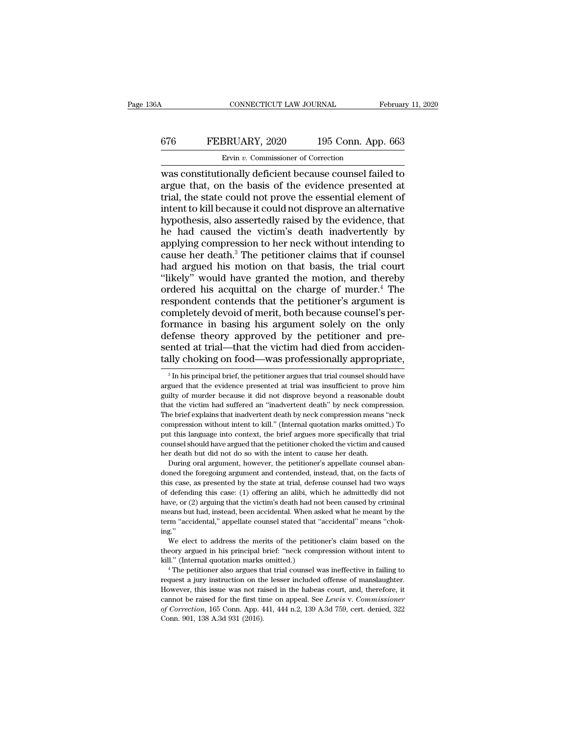### CONNECTICUT LAW JOURNAL February 11, 2020<br>676 FEBRUARY, 2020 195 Conn. App. 663<br>Ervin v. Commissioner of Correction ERUARY, 2020<br>Ervin *v.* Commissioner of Correction<br>Commissioner of Correction<br>Comally deficient because counsel fail

CONNECTICUT LAW JOURNAL February 11, 2020<br>
FEBRUARY, 2020 195 Conn. App. 663<br>
Ervin v. Commissioner of Correction<br>
was constitutionally deficient because counsel failed to<br>
argue that, on the basis of the evidence presente  $\begin{array}{r} \hline \text{676} & \text{FEBRUARY, 2020} & \text{195 Conn. App. 663} \\ \hline \text{Ervin } v. & \text{Commissioner of Correction} \\ \hline \text{was constitutionally deficient because counds failed to argue that, on the basis of the evidence presented at trial, the state could not prove the essential element of intent to kill because it could not disprove an alternative.} \end{array}$ FEBRUARY, 2020 195 Conn. App. 663<br>
Ervin v. Commissioner of Correction<br>
was constitutionally deficient because counsel failed to<br>
argue that, on the basis of the evidence presented at<br>
trial, the state could not prove the EFEBRUARY, 2020 195 Conn. App. 663<br>
Ervin v. Commissioner of Correction<br>
was constitutionally deficient because counsel failed to<br>
argue that, on the basis of the evidence presented at<br>
trial, the state could not prove th FEBROART, 2020 139 CORR. App. 009<br>
Ervin v. Commissioner of Correction<br>
was constitutionally deficient because counsel failed to<br>
argue that, on the basis of the evidence presented at<br>
trial, the state could not prove the Ervin v. Commissioner of Correction<br>was constitutionally deficient because counsel failed to<br>argue that, on the basis of the evidence presented at<br>trial, the state could not prove the essential element of<br>intent to kill b was constitutionally deficient because counsel failed to<br>argue that, on the basis of the evidence presented at<br>trial, the state could not prove the essential element of<br>intent to kill because it could not disprove an alter argue that, on the basis of the evidence presented at<br>trial, the state could not prove the essential element of<br>intent to kill because it could not disprove an alternative<br>hypothesis, also assertedly raised by the evidence trial, the state could not prove the essential element of<br>intent to kill because it could not disprove an alternative<br>hypothesis, also assertedly raised by the evidence, that<br>he had caused the victim's death inadvertently intent to kill because it could not disprove an alternative<br>
hypothesis, also assertedly raised by the evidence, that<br>
he had caused the victim's death inadvertently by<br>
applying compression to her neck without intending t hypothesis, also assertedly raised by the evidence, that<br>he had caused the victim's death inadvertently by<br>applying compression to her neck without intending to<br>cause her death.<sup>3</sup> The petitioner claims that if counsel<br>had is the had caused the victim's death inadvertently by<br>applying compression to her neck without intending to<br>cause her death.<sup>3</sup> The petitioner claims that if counsel<br>had argued his motion on that basis, the trial court<br>"li he had caused the victim's death inadvertently by<br>applying compression to her neck without intending to<br>cause her death.<sup>3</sup> The petitioner claims that if counsel<br>had argued his motion on that basis, the trial court<br>"likely For solelar the petitioner claims that if counsel<br>had argued his motion on that basis, the trial court<br>"likely" would have granted the motion, and thereby<br>ordered his acquittal on the charge of murder.<sup>4</sup> The<br>respondent co had argued his motion on that basis, the trial court<br>"likely" would have granted the motion, and thereby<br>ordered his acquittal on the charge of murder.<sup>4</sup> The<br>respondent contends that the petitioner's argument is<br>completel "likely" would have granted the motion, and thereby<br>ordered his acquittal on the charge of murder.<sup>4</sup> The<br>respondent contends that the petitioner's argument is<br>completely devoid of merit, both because counsel's per-<br>forman ordered his acquittal on the charge of murder.<sup>4</sup> The respondent contends that the petitioner's argument is completely devoid of merit, both because counsel's performance in basing his argument solely on the only defense primance in basing his argument solely on the only effense theory approved by the petitioner and pre-<br>ented at trial—that the victim had died from acciden-<br>lly choking on food—was professionally appropriate,<br><sup>3</sup> In his pri defense theory approved by the petitioner and pre-<br>sented at trial—that the victim had died from acciden-<br>tally choking on food—was professionally appropriate,<br><sup>3</sup> In his principal brief, the petitioner argues that trial c tally choking on food—was professionally appropriate,

by this language into context, the brief argues more specifically that trial counsel should have argued that the petitioner choked the victim and caused her death but did not do so with the intent to cause her death.<br>
Duri For dumsel should have argued that the petitioner choked the victim and caused<br>her death but did not do so with the intent to cause her death.<br>During oral argument, however, the petitioner's appellate counsel aban-<br>doned t have, the death but did not do so with the intent to cause her death.<br>
During oral argument, however, the petitioner's appellate counsel aban-<br>
doned the foregoing argument and contended, instead, that, on the facts of<br>
th means but had, instead, the petitioner's appellate counsel abandoned the foregoing argument and contended, instead, that, on the facts of this case, as presented by the state at trial, defense counsel had two ways of defen For a divertigation of the foregoing argument and contended, instead, that, on the facts of this case, as presented by the state at trial, defense counsel had two ways of defending this case: (1) offering an alibi, which h ing.'' defending this case: (1) offering an alibi, which he admittedly did not<br>we, or (2) arguing that the victim's death had not been caused by criminal<br>eans but had, instead, been accidental. When asked what he meant by the<br>m"a have, or (2) arguing that the victim's death had not been caused by criminal means but had, instead, been accidental. When asked what he meant by the term "accidental," appellate counsel stated that "accidental" means "cho means but had, instead, been accidental. When as<br>term "accidental," appellate counsel stated that "<br>ing."<br>We elect to address the merits of the petitio<br>theory argued in his principal brief: "neck comp<br>kill." (Internal quot

For "accidental," appellate counsel stated that "accidental" means "chok-<br>g."<br>We elect to address the merits of the petitioner's claim based on the<br>eory argued in his principal brief: "neck compression without intent to<br>l.

ing."<br>We elect to address the merits of the petitioner's claim based on the<br>theory argued in his principal brief: "neck compression without intent to<br>kill." (Internal quotation marks omitted.)<br><sup>4</sup> The petitioner also argue We elect to address the merits of the petitioner's claim based on the theory argued in his principal brief: "neck compression without intent to kill." (Internal quotation marks omitted.)  $4$  The petitioner also argues tha theory argued in his principal brief: "neck compression without intent to kill." (Internal quotation marks omitted.)<br>
<sup>4</sup> The petitioner also argues that trial counsel was ineffective in failing to request a jury instructi *of Correction*, 165 Conn. App. 441, 444 n.2, 139 A.3d 759, cert. denied, 322 Conn. 901, 138 A.3d 931 (2016). kill." (Internal quotation marks omitted.)<br>
<sup>4</sup> The petitioner also argues that trial counsel was ineffective in failing to<br>
request a jury instruction on the lesser included offense of manslaughter.<br>
However, this issue

sented at trial—that the victim had died from accidentally choking on food—was professionally appropriate,<br> $\frac{1}{3}$  In his principal brief, the petitioner argues that trial counsel should have argued that the evidence pr The brief explains that indivertent death by neck compression means  $\frac{3}{10}$  and  $\frac{1}{100}$  are argued that the evidence presented at trial was insufficient to prove him guilty of murder because it did not disprove bey <sup>3</sup> In his principal brief, the petitioner argues that trial counsel should have argued that the evidence presented at trial was insufficient to prove him guilty of murder because it did not disprove beyond a reasonable d and that the evidence presented at trial was insufficient to prove him guilty of murder because it did not disprove beyond a reasonable doubt that the victim had suffered an "inadvertent death" by neck compression. The bri example of murder because it did not disprove beyond a reasonable doubt<br>that the victim had suffered an "inadvertent death" by neck compression.<br>The brief explains that inadvertent death by neck compression means "neck<br>com that the victim had suffered an "inadvertent death" by neck compression. The brief explains that inadvertent death by neck compression means "neck compression without intent to kill." (Internal quotation marks omitted.) To compression without intent to kill." (Internal quotation marks omitted.) To put this language into context, the brief argues more specifically that trial counsel should have argued that the petitioner choked the victim and compression without intent to kill." (Internal quotation marks omitted.) To put this language into context, the brief argues more specifically that trial counsel should have argued that the petitioner choked the victim and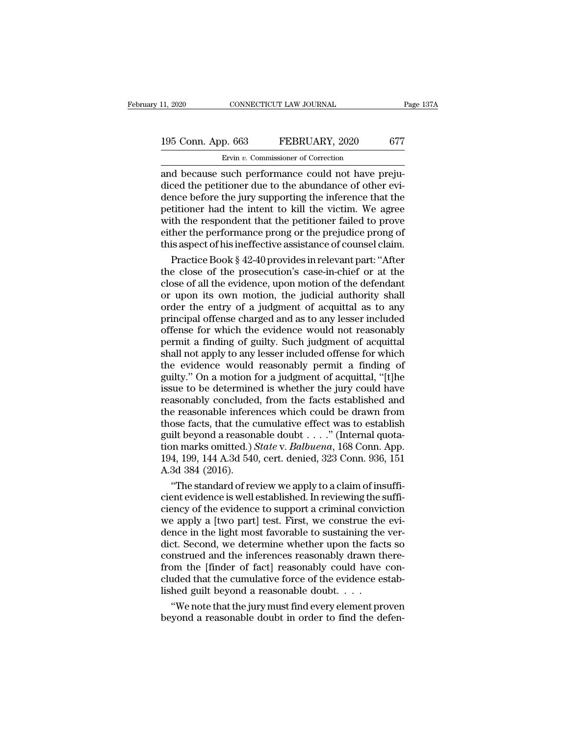# 11, 2020 CONNECTICUT LAW JOURNAL Page 137A<br>
195 Conn. App. 663 FEBRUARY, 2020 677<br>
Ervin v. Commissioner of Correction

ERRUARY, 2020<br>
Ervin *v.* Commissioner of Correction<br>
and because such performance could not have preju-<br>
diced the petitioner due to the abundance of other evi-<br>
dance before the jury supporting the inference that the 195 Conn. App. 663 FEBRUARY, 2020 677<br>Ervin v. Commissioner of Correction<br>and because such performance could not have preju-<br>diced the petitioner due to the abundance of other evi-<br>dence before the jury supporting the infe 195 Conn. App. 663 FEBRUARY, 2020 677<br>Ervin v. Commissioner of Correction<br>and because such performance could not have prejudiced the petitioner due to the abundance of other evidence before the jury supporting the inferen 195 Conn. App. 663 FEBRUARY, 2020 677<br>
Ervin v. Commissioner of Correction<br>
and because such performance could not have prejudiced the petitioner due to the abundance of other evidence before the jury supporting the infer Evin v. Commissioner of Correction<br>
and because such performance could not have prejudiced the petitioner due to the abundance of other evidence before the jury supporting the inference that the petitioner had the intent Ervin v. Commissioner of Correction<br>and because such performance could not have preju-<br>diced the petitioner due to the abundance of other evi-<br>dence before the jury supporting the inference that the<br>petitioner had the int and because such performance could not have prejudiced the petitioner due to the abundance of other evidence before the jury supporting the inference that the petitioner had the intent to kill the victim. We agree with the ced the petitioner due to the abundance of other evi-<br>nce before the jury supporting the inference that the<br>titioner had the intent to kill the victim. We agree<br>th the respondent that the petitioner failed to prove<br>her the dence before the jury supporting the inference that the<br>petitioner had the intent to kill the victim. We agree<br>with the respondent that the petitioner failed to prove<br>either the performance prong or the prejudice prong of<br>

petitioner had the intent to kill the victim. We agree<br>with the respondent that the petitioner failed to prove<br>either the performance prong or the prejudice prong of<br>this aspect of his ineffective assistance of counsel cla with the respondent that the petitioner failed to prove<br>either the performance prong or the prejudice prong of<br>this aspect of his ineffective assistance of counsel claim.<br>Practice Book § 42-40 provides in relevant part: "A either the performance prong or the prejudice prong of<br>this aspect of his ineffective assistance of counsel claim.<br>Practice Book § 42-40 provides in relevant part: "After<br>the close of the prosecution's case-in-chief or at this aspect of his ineffective assistance of counsel claim.<br>
Practice Book § 42-40 provides in relevant part: "After<br>
the close of the prosecution's case-in-chief or at the<br>
close of all the evidence, upon motion of the de Practice Book  $\S$  42-40 provides in relevant part: "After<br>the close of the prosecution's case-in-chief or at the<br>close of all the evidence, upon motion of the defendant<br>or upon its own motion, the judicial authority shall the close of the prosecution's case-in-chief or at the close of all the evidence, upon motion of the defendant<br>or upon its own motion, the judicial authority shall<br>order the entry of a judgment of acquittal as to any<br>princ close of all the evidence, upon motion of the defendant<br>or upon its own motion, the judicial authority shall<br>order the entry of a judgment of acquittal as to any<br>principal offense charged and as to any lesser included<br>offe or upon its own motion, the judicial authority shall<br>order the entry of a judgment of acquittal as to any<br>principal offense charged and as to any lesser included<br>offense for which the evidence would not reasonably<br>permit a order the entry of a judgment of acquittal as to any<br>principal offense charged and as to any lesser included<br>offense for which the evidence would not reasonably<br>permit a finding of guilty. Such judgment of acquittal<br>shall principal offense charged and as to any lesser included<br>offense for which the evidence would not reasonably<br>permit a finding of guilty. Such judgment of acquittal<br>shall not apply to any lesser included offense for which<br>th offense for which the evidence would not reasonably<br>permit a finding of guilty. Such judgment of acquittal<br>shall not apply to any lesser included offense for which<br>the evidence would reasonably permit a finding of<br>guilty." permit a finding of guilty. Such judgment of acquittal<br>shall not apply to any lesser included offense for which<br>the evidence would reasonably permit a finding of<br>guilty." On a motion for a judgment of acquittal, "[t]he<br>iss shall not apply to any lesser included offense for which<br>the evidence would reasonably permit a finding of<br>guilty." On a motion for a judgment of acquittal, "[t]he<br>issue to be determined is whether the jury could have<br>rea the evidence would reasonably permit a finding of guilty." On a motion for a judgment of acquittal, "[t]he issue to be determined is whether the jury could have reasonably concluded, from the facts established and the rea guilty." On a motion for a judgment of acquittal, "[t]he<br>issue to be determined is whether the jury could have<br>reasonably concluded, from the facts established and<br>the reasonable inferences which could be drawn from<br>those issue to be determined is whether the jury could have<br>reasonably concluded, from the facts established and<br>the reasonable inferences which could be drawn from<br>those facts, that the cumulative effect was to establish<br>guilt reasonably concluded<br>the reasonable infere<br>those facts, that the c<br>guilt beyond a reason<br>tion marks omitted.)<br>194, 199, 144 A.3d 540<br>A.3d 384 (2016).<br>"The standard of re e reasonable inferences which could be drawn from<br>ose facts, that the cumulative effect was to establish<br>ilt beyond a reasonable doubt  $\dots$ ." (Internal quota-<br>on marks omitted.) *State* v. *Balbuena*, 168 Conn. App.<br>4, 19 those facts, that the cumulative effect was to establish<br>guilt beyond a reasonable doubt . . . ." (Internal quota-<br>tion marks omitted.) *State* v. *Balbuena*, 168 Conn. App.<br>194, 199, 144 A.3d 540, cert. denied, 323 Conn.

guilt beyond a reasonable doubt . . . ." (Internal quotation marks omitted.) *State* v. *Balbuena*, 168 Conn. App.<br>194, 199, 144 A.3d 540, cert. denied, 323 Conn. 936, 151<br>A.3d 384 (2016).<br>"The standard of review we apply tion marks omitted.) *State* v. *Balbuena*, 168 Conn. App.<br>194, 199, 144 A.3d 540, cert. denied, 323 Conn. 936, 151<br>A.3d 384 (2016).<br>"The standard of review we apply to a claim of insuffi-<br>cient evidence is well establish 194, 199, 144 A.3d 540, cert. denied, 323 Conn. 936, 151<br>A.3d 384 (2016).<br>"The standard of review we apply to a claim of insufficient evidence is well established. In reviewing the sufficiency of the evidence to support a A.3d 384 (2016).<br>
"The standard of review we apply to a claim of insufficient evidence is well established. In reviewing the sufficiency of the evidence to support a criminal conviction<br>
we apply a [two part] test. First, "The standard of review we apply to a claim of insufficient evidence is well established. In reviewing the sufficiency of the evidence to support a criminal conviction we apply a [two part] test. First, we construe the evi cient evidence is well established. In reviewing the sufficiency of the evidence to support a criminal conviction<br>we apply a [two part] test. First, we construe the evi-<br>dence in the light most favorable to sustaining the ciency of the evidence to support a criminal conviction<br>we apply a [two part] test. First, we construe the evi-<br>dence in the light most favorable to sustaining the ver-<br>dict. Second, we determine whether upon the facts so<br> we apply a [two part] test. First, we construe the<br>dence in the light most favorable to sustaining the<br>dict. Second, we determine whether upon the fact<br>construed and the inferences reasonably drawn th<br>from the [finder of f nce in the light most favorable to sustaining the ver-<br>et. Second, we determine whether upon the facts so<br>nstrued and the inferences reasonably drawn there-<br>om the [finder of fact] reasonably could have con-<br>uded that the dict. Second, we determine whether upon the facts so<br>construed and the inferences reasonably drawn there-<br>from the [finder of fact] reasonably could have con-<br>cluded that the cumulative force of the evidence estab-<br>lished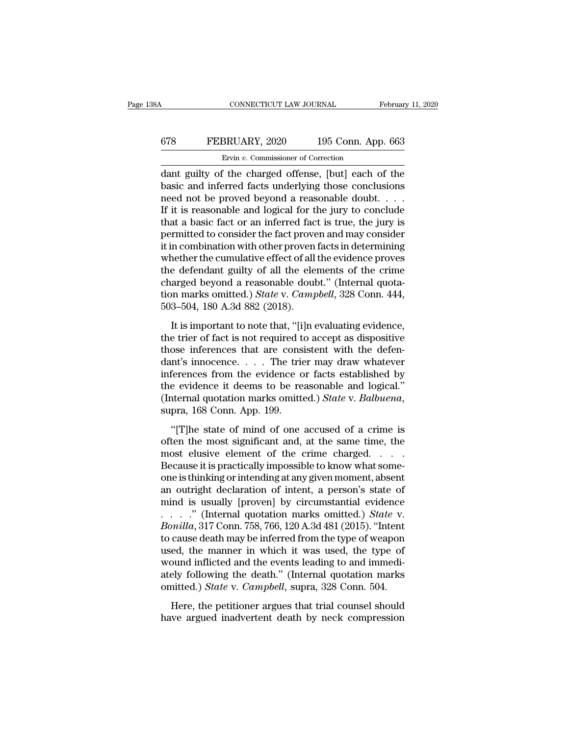### CONNECTICUT LAW JOURNAL February 11, 2020<br>678 FEBRUARY, 2020 195 Conn. App. 663<br>Ervin v. Commissioner of Correction ERUARY, 2020<br>Ervin *v.* Commissioner of Correction<br>Ervin *v.* Commissioner of Correction<br>F the charged offense [but] each of

CONNECTICUT LAW JOURNAL February 11, 2020<br>
FEBRUARY, 2020 195 Conn. App. 663<br>
Ervin v. Commissioner of Correction<br>
dant guilty of the charged offense, [but] each of the<br>
basic and inferred facts underlying those conclusion  $\begin{array}{ll}\n 678 & \text{FEBRUARY, 2020} & \text{195 Conn. App. 663} \\
 \hline\n \text{Evvin } v. \text{ Commissioner of Correction} \\
 \text{dant guilty of the charged offense, [but] each of the basic and inferred facts underlying those conclusions need not be proved beyond a reasonable doubt. . . .} \\
 \text{If it is reasonable and logical for the jury to conclude.} \n\end{array}$ FEBRUARY, 2020 195 Conn. App. 663<br>
Ervin v. Commissioner of Correction<br>
dant guilty of the charged offense, [but] each of the<br>
basic and inferred facts underlying those conclusions<br>
need not be proved beyond a reasonable FEBRUARY, 2020 195 Conn. App. 663<br>Ervin v. Commissioner of Correction<br>dant guilty of the charged offense, [but] each of the<br>basic and inferred facts underlying those conclusions<br>need not be proved beyond a reasonable doub Ervin v. Commissioner of Correction<br>
dant guilty of the charged offense, [but] each of the<br>
basic and inferred facts underlying those conclusions<br>
need not be proved beyond a reasonable doubt....<br>
If it is reasonable and Ervin v. Commissioner of Correction<br>
dant guilty of the charged offense, [but] each of the<br>
basic and inferred facts underlying those conclusions<br>
need not be proved beyond a reasonable doubt. . . .<br>
If it is reasonable a dant guilty of the charged offense, [but] each of the<br>basic and inferred facts underlying those conclusions<br>need not be proved beyond a reasonable doubt. . . . .<br>If it is reasonable and logical for the jury to conclude<br>tha basic and inferred facts underlying those conclusions<br>need not be proved beyond a reasonable doubt.  $\dots$ <br>If it is reasonable and logical for the jury to conclude<br>that a basic fact or an inferred fact is true, the jury is<br> need not be proved beyond a reasonable doubt. . . . .<br>If it is reasonable and logical for the jury to conclude<br>that a basic fact or an inferred fact is true, the jury is<br>permitted to consider the fact proven and may consi If it is reasonable and logical for the jury to conclude<br>that a basic fact or an inferred fact is true, the jury is<br>permitted to consider the fact proven and may consider<br>it in combination with other proven facts in deter that a basic fact or an inferred fact is true, the jury is<br>permitted to consider the fact proven and may consider<br>it in combination with other proven facts in determining<br>whether the cumulative effect of all the evidence p permitted to consider the fact prove<br>it in combination with other proven<br>whether the cumulative effect of all<br>the defendant guilty of all the ele<br>charged beyond a reasonable doul<br>tion marks omitted.) *State* v. *Camp*<br>503– nether the cumulative effect of all the evidence proves<br>the defendant guilty of all the elements of the crime<br>arged beyond a reasonable doubt." (Internal quota-<br>n marks omitted.) *State* v. *Campbell*, 328 Conn. 444,<br>3–504 the defendant guilty of all the elements of the crime<br>charged beyond a reasonable doubt." (Internal quotation marks omitted.) *State v. Campbell*, 328 Conn. 444,<br>503–504, 180 A.3d 882 (2018).<br>It is important to note that,

the detendant ganty of an are contents of are crime<br>charged beyond a reasonable doubt." (Internal quota-<br>tion marks omitted.) *State v. Campbell*, 328 Conn. 444,<br>503–504, 180 A.3d 882 (2018).<br>It is important to note that, dantion marks omitted.) *State v. Campbell*, 328 Conn. 444, 503–504, 180 A.3d 882 (2018).<br>It is important to note that, "[i]n evaluating evidence, the trier of fact is not required to accept as dispositive those inference 503–504, 180 A.3d 882 (2018).<br>
It is important to note that, "[i]n evaluating evidence,<br>
the trier of fact is not required to accept as dispositive<br>
those inferences that are consistent with the defen-<br>
dant's innocence.. It is important to note that, "[i]n evaluating evidence,<br>the trier of fact is not required to accept as dispositive<br>those inferences that are consistent with the defen-<br>dant's innocence.... The trier may draw whatever<br>inf It is important to note that, "[i]n evaluating evidence,<br>the trier of fact is not required to accept as dispositive<br>those inferences that are consistent with the defen-<br>dant's innocence.... The trier may draw whatever<br>infe obse interested and are consistent what are determent's innocence.... The trier may draw whatever<br>ferences from the evidence or facts established by<br>e evidence it deems to be reasonable and logical."<br>ternal quotation marks inferences from the evidence or facts established by<br>the evidence it deems to be reasonable and logical."<br>(Internal quotation marks omitted.) *State* v. *Balbuena*,<br>supra, 168 Conn. App. 199.<br>"[T]he state of mind of one a

the evidence it deems to be reasonable and logical."<br>
(Internal quotation marks omitted.) *State* v. *Balbuena*,<br>
supra, 168 Conn. App. 199.<br>
"[T]he state of mind of one accused of a crime is<br>
often the most significant a (Internal quotation marks omitted.) State v. Balbuena,<br>supra, 168 Conn. App. 199.<br>"[T]he state of mind of one accused of a crime is<br>often the most significant and, at the same time, the<br>most elusive element of the crime c supra, 168 Conn. App. 199.<br>
"[T]he state of mind of one accused of a crime is<br>
often the most significant and, at the same time, the<br>
most elusive element of the crime charged.  $\dots$ <br>
Because it is practically impossible t "[T]he state of mind of one accused of a crime is<br>often the most significant and, at the same time, the<br>most elusive element of the crime charged.  $\dots$ <br>Because it is practically impossible to know what some-<br>one is thinki "[T]he state of mind of one accused of a crime is<br>often the most significant and, at the same time, the<br>most elusive element of the crime charged. . . . .<br>Because it is practically impossible to know what some-<br>one is thi often the most significant and, at the same time, the<br>most elusive element of the crime charged. . . . .<br>Because it is practically impossible to know what some-<br>one is thinking or intending at any given moment, absent<br>an o most elusive element of the crime charged. . . . . . Because it is practically impossible to know what some-<br>one is thinking or intending at any given moment, absent<br>an outright declaration of intent, a person's state of<br>m Because it is practically impossible to know what some-<br>one is thinking or intending at any given moment, absent<br>an outright declaration of intent, a person's state of<br>mind is usually [proven] by circumstantial evidence<br>one is thinking or intending at any given moment, absent<br>an outright declaration of intent, a person's state of<br>mind is usually [proven] by circumstantial evidence<br> $\ldots$  ." (Internal quotation marks omitted.) *State* v.<br> an outright declaration of intent, a person's state of<br>mind is usually [proven] by circumstantial evidence<br>......" (Internal quotation marks omitted.) *State* v.<br>*Bonilla*, 317 Conn. 758, 766, 120 A.3d 481 (2015). "Intent mind is usually [proven] by circumstantial evidence<br>...." (Internal quotation marks omitted.) *State* v.<br>Bonilla, 317 Conn. 758, 766, 120 A.3d 481 (2015). "Intent<br>to cause death may be inferred from the type of weapon<br>use omilla, 317 Conn. 758, 766, 120 A.3d 481 (2015). "Intent to cause death may be inferred from the type of weapon used, the manner in which it was used, the type of wound inflicted and the events leading to and immediately f mata, 917 coll. 199, 199, 129 hod 191 (2019). Then<br>cause death may be inferred from the type of weapon<br>ed, the manner in which it was used, the type of<br>pund inflicted and the events leading to and immedi-<br>ely following the death and y be interted from the type of weapont<br>used, the manner in which it was used, the type of<br>wound inflicted and the events leading to and immedi-<br>ately following the death." (Internal quotation marks<br>omitted.) Stat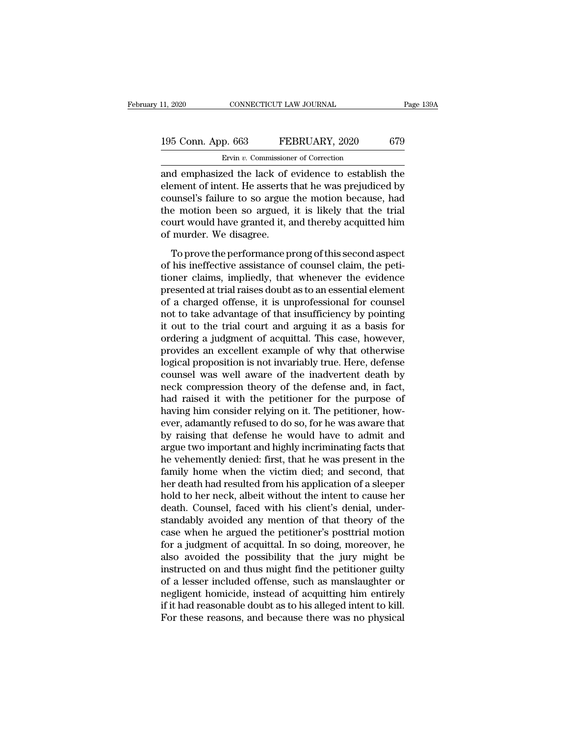### 11, 2020 CONNECTICUT LAW JOURNAL Page 139A<br>195 Conn. App. 663 FEBRUARY, 2020 679<br>Ervin v. Commissioner of Correction Ervin *v.* Commissioner of Correction

11, 2020 CONNECTICUT LAW JOURNAL Page 139A<br>
195 Conn. App. 663 FEBRUARY, 2020 679<br>
Ervin v. Commissioner of Correction<br>
and emphasized the lack of evidence to establish the<br>
element of intent. He asserts that he was prejud 195 Conn. App. 663 FEBRUARY, 2020 679<br>
Ervin v. Commissioner of Correction<br>
and emphasized the lack of evidence to establish the<br>
element of intent. He asserts that he was prejudiced by<br>
counsel's failure to so argue the m 195 Conn. App. 663 FEBRUARY, 2020 679<br>
Ervin v. Commissioner of Correction<br>
and emphasized the lack of evidence to establish the<br>
element of intent. He asserts that he was prejudiced by<br>
counsel's failure to so argue the 195 Conn. App. 663 FEBRUARY, 2020 679<br>
Ervin v. Commissioner of Correction<br>
and emphasized the lack of evidence to establish the<br>
element of intent. He asserts that he was prejudiced by<br>
counsel's failure to so argue the Ervin v. Commissioner of Correction<br>and emphasized the lack of evidence to establish the<br>element of intent. He asserts that he was prejudiced by<br>counsel's failure to so argue the motion because, had<br>the motion been so argu  $\frac{1}{2}$  Ervin v. Commissional and emphasized the lack of element of intent. He asserts to counsel's failure to so argue the motion been so argued, court would have granted it, a of murder. We disagree.<br>To prove the perf From the performance of this second aspects that he was prejudiced by unsel's failure to so argue the motion because, had<br>a motion been so argued, it is likely that the trial urt would have granted it, and thereby acquitte counsel's failure to so argue the motion because, had<br>the motion been so argued, it is likely that the trial<br>court would have granted it, and thereby acquitted him<br>of murder. We disagree.<br>To prove the performance prong of

to the motion been so argue are motion because, had<br>the motion been so argued, it is likely that the trial<br>court would have granted it, and thereby acquitted him<br>of murder. We disagree.<br>To prove the performance prong of th ate model been so argued, it is mery that the trial<br>court would have granted it, and thereby acquitted him<br>of murder. We disagree.<br>To prove the performance prong of this second aspect<br>of his ineffective assistance of couns of murder. We disagree.<br>
To prove the performance prong of this second aspect<br>
of his ineffective assistance of counsel claim, the peti-<br>
tioner claims, impliedly, that whenever the evidence<br>
presented at trial raises doub To prove the performance prong of this second aspect<br>of his ineffective assistance of counsel claim, the peti-<br>tioner claims, impliedly, that whenever the evidence<br>presented at trial raises doubt as to an essential element To prove the performance prong of this second aspect<br>of his ineffective assistance of counsel claim, the peti-<br>tioner claims, impliedly, that whenever the evidence<br>presented at trial raises doubt as to an essential element ordering a judgment of counsel claim, the petitioner claims, impliedly, that whenever the evidence<br>presented at trial raises doubt as to an essential element<br>of a charged offense, it is unprofessional for counsel<br>not to ta tioner claims, impliedly, that whenever the evidence<br>presented at trial raises doubt as to an essential element<br>of a charged offense, it is unprofessional for counsel<br>not to take advantage of that insufficiency by pointing presented at trial raises doubt as to an essential element<br>of a charged offense, it is unprofessional for counsel<br>not to take advantage of that insufficiency by pointing<br>it out to the trial court and arguing it as a basis of a charged offense, it is unprofessional for counsel<br>not to take advantage of that insufficiency by pointing<br>it out to the trial court and arguing it as a basis for<br>ordering a judgment of acquittal. This case, however,<br>p not to take advantage of that insufficiency by pointing<br>it out to the trial court and arguing it as a basis for<br>ordering a judgment of acquittal. This case, however,<br>provides an excellent example of why that otherwise<br>logi it out to the trial court and arguing it as a basis for ordering a judgment of acquittal. This case, however, provides an excellent example of why that otherwise logical proposition is not invariably true. Here, defense co ordering a judgment of acquittal. This case, however,<br>provides an excellent example of why that otherwise<br>logical proposition is not invariably true. Here, defense<br>counsel was well aware of the inadvertent death by<br>neck co provides an excellent example of why that otherwise<br>logical proposition is not invariably true. Here, defense<br>counsel was well aware of the inadvertent death by<br>neck compression theory of the defense and, in fact,<br>had rais logical proposition is not invariably true. Here, defense<br>counsel was well aware of the inadvertent death by<br>neck compression theory of the defense and, in fact,<br>had raised it with the petitioner for the purpose of<br>having counsel was well aware of the inadvertent death by<br>neck compression theory of the defense and, in fact,<br>had raised it with the petitioner for the purpose of<br>having him consider relying on it. The petitioner, how-<br>ever, ada neck compression theory of the defense and, in fact,<br>had raised it with the petitioner for the purpose of<br>having him consider relying on it. The petitioner, how-<br>ever, adamantly refused to do so, for he was aware that<br>by r had raised it with the petitioner for the purpose of<br>having him consider relying on it. The petitioner, how-<br>ever, adamantly refused to do so, for he was aware that<br>by raising that defense he would have to admit and<br>argue having him consider relying on it. The petitioner, how-<br>ever, adamantly refused to do so, for he was aware that<br>by raising that defense he would have to admit and<br>argue two important and highly incriminating facts that<br>he ever, adamantly refused to do so, for he was aware that<br>by raising that defense he would have to admit and<br>argue two important and highly incriminating facts that<br>he vehemently denied: first, that he was present in the<br>fam by raising that defense he would have to admit and<br>argue two important and highly incriminating facts that<br>he vehemently denied: first, that he was present in the<br>family home when the victim died; and second, that<br>her deat argue two important and highly incriminating facts that<br>he vehemently denied: first, that he was present in the<br>family home when the victim died; and second, that<br>her death had resulted from his application of a sleeper<br>ho he vehemently denied: first, that he was present in the family home when the victim died; and second, that<br>her death had resulted from his application of a sleeper<br>hold to her neck, albeit without the intent to cause her<br>d family home when the victim died; and second, that<br>her death had resulted from his application of a sleeper<br>hold to her neck, albeit without the intent to cause her<br>death. Counsel, faced with his client's denial, under-<br>st her death had resulted from his application of a sleeper<br>hold to her neck, albeit without the intent to cause her<br>death. Counsel, faced with his client's denial, under-<br>standably avoided any mention of that theory of the<br>c hold to her neck, albeit without the intent to cause her<br>death. Counsel, faced with his client's denial, under-<br>standably avoided any mention of that theory of the<br>case when he argued the petitioner's posttrial motion<br>for death. Counsel, faced with his client's denial, under-<br>standably avoided any mention of that theory of the<br>case when he argued the petitioner's posttrial motion<br>for a judgment of acquittal. In so doing, moreover, he<br>also a standably avoided any mention of that theory of the<br>case when he argued the petitioner's posttrial motion<br>for a judgment of acquittal. In so doing, moreover, he<br>also avoided the possibility that the jury might be<br>instructe case when he argued the petitioner's posttrial motion<br>for a judgment of acquittal. In so doing, moreover, he<br>also avoided the possibility that the jury might be<br>instructed on and thus might find the petitioner guilty<br>of a for a judgment of acquittal. In so doing, moreover, he<br>also avoided the possibility that the jury might be<br>instructed on and thus might find the petitioner guilty<br>of a lesser included offense, such as manslaughter or<br>negli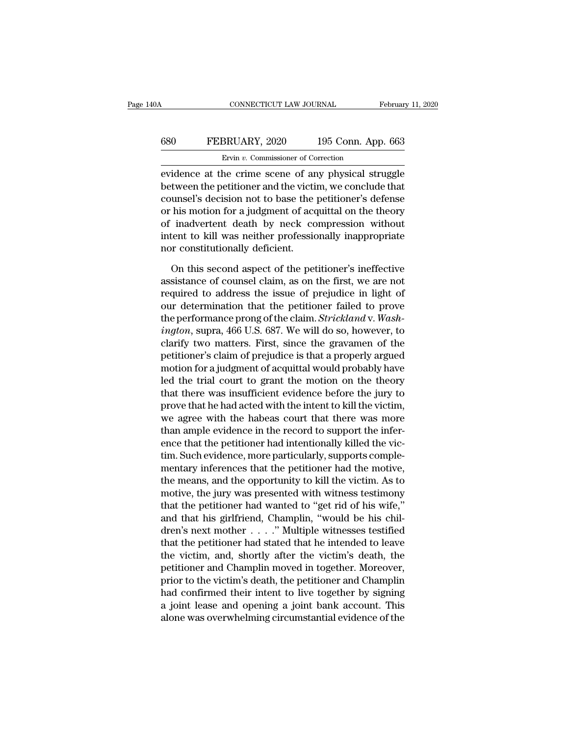## CONNECTICUT LAW JOURNAL February 11, 2020<br>680 FEBRUARY, 2020 195 Conn. App. 663<br>Ervin v. Commissioner of Correction CONNECTICUT LAW JOURNAL February 11, 2020<br>
EFEBRUARY, 2020 195 Conn. App. 663<br>
Ervin *v*. Commissioner of Correction<br>
evidence at the crime scene of any physical struggle

CONNECTICUT LAW JOURNAL February 11, 2020<br>
FEBRUARY, 2020 195 Conn. App. 663<br>
Ervin v. Commissioner of Correction<br>
evidence at the crime scene of any physical struggle<br>
between the petitioner and the victim, we conclude th **680** FEBRUARY, 2020 195 Conn. App. 663<br>
Ervin v. Commissioner of Correction<br>
evidence at the crime scene of any physical struggle<br>
between the petitioner and the victim, we conclude that<br>
counsel's decision not to base t EXECUARY, 2020 195 Conn. App. 663<br>
Ervin v. Commissioner of Correction<br>
evidence at the crime scene of any physical struggle<br>
between the petitioner and the victim, we conclude that<br>
counsel's decision not to base the pet **EXECUARY, 2020** 195 Conn. App. 663<br>
Ervin v. Commissioner of Correction<br>
evidence at the crime scene of any physical struggle<br>
between the petitioner and the victim, we conclude that<br>
counsel's decision not to base the p Ervin  $v$ . Commissioner of Correction<br>
evidence at the crime scene of any physical struggle<br>
between the petitioner and the victim, we conclude that<br>
counsel's decision not to base the petitioner's defense<br>
or his motion ENTER COMMISSIONER OF CORECLOM<br>evidence at the crime scene of any physical struggle<br>between the petitioner and the victim, we conclude that<br>counsel's decision not to base the petitioner's defense<br>or his motion for a judgme evidence at the crime scene of are<br>between the petitioner and the viction<br>counsel's decision not to base the<br>or his motion for a judgment of accordinally neck content to kill was neither profession<br>nor constitutionally def unsel's decision not to base the petitioner's defense<br>his motion for a judgment of acquittal on the theory<br>inadvertent death by neck compression without<br>tent to kill was neither professionally inappropriate<br>or constitution or his motion for a judgment of acquittal on the theory<br>of inadvertent death by neck compression without<br>intent to kill was neither professionally inappropriate<br>nor constitutionally deficient.<br>On this second aspect of the

of inadvertent death by neck compression without<br>intent to kill was neither professionally inappropriate<br>nor constitutionally deficient.<br>On this second aspect of the petitioner's ineffective<br>assistance of counsel claim, as intent to kill was neither professionally inappropriate<br>nor constitutionally deficient.<br>On this second aspect of the petitioner's ineffective<br>assistance of counsel claim, as on the first, we are not<br>required to address the nor constitutionally deficient.<br>
On this second aspect of the petitioner's ineffective<br>
assistance of counsel claim, as on the first, we are not<br>
required to address the issue of prejudice in light of<br>
our determination th On this second aspect of the petitioner's ineffective<br>assistance of counsel claim, as on the first, we are not<br>required to address the issue of prejudice in light of<br>our determination that the petitioner failed to prove<br>th On this second aspect of the petitioner's ineffective<br>assistance of counsel claim, as on the first, we are not<br>required to address the issue of prejudice in light of<br>our determination that the petitioner failed to prove<br>th assistance of counsel claim, as on the first, we are not<br>required to address the issue of prejudice in light of<br>our determination that the petitioner failed to prove<br>the performance prong of the claim. Strickland v. Wash-<br> required to address the issue of prejudice in light of<br>our determination that the petitioner failed to prove<br>the performance prong of the claim. *Strickland* v. *Wash-<br>ington*, supra, 466 U.S. 687. We will do so, however, our determination that the petitioner failed to prove<br>the performance prong of the claim. Strickland v. Wash-<br>ington, supra, 466 U.S. 687. We will do so, however, to<br>clarify two matters. First, since the gravamen of the<br>pe the performance prong of the claim. *Strickland* v. *Wash-*<br>*ington*, supra, 466 U.S. 687. We will do so, however, to<br>clarify two matters. First, since the gravamen of the<br>petitioner's claim of prejudice is that a properly *ington*, supra, 466 U.S. 687. We will do so, however, to clarify two matters. First, since the gravamen of the petitioner's claim of prejudice is that a properly argued motion for a judgment of acquittal would probably ha clarify two matters. First, since the gravamen of the<br>petitioner's claim of prejudice is that a properly argued<br>motion for a judgment of acquittal would probably have<br>led the trial court to grant the motion on the theory<br>t petitioner's claim of prejudice is that a properly argued<br>motion for a judgment of acquittal would probably have<br>led the trial court to grant the motion on the theory<br>that there was insufficient evidence before the jury to motion for a judgment of acquittal would probably have<br>led the trial court to grant the motion on the theory<br>that there was insufficient evidence before the jury to<br>prove that he had acted with the intent to kill the victi led the trial court to grant the motion on the theory<br>that there was insufficient evidence before the jury to<br>prove that he had acted with the intent to kill the victim,<br>we agree with the habeas court that there was more<br>t that there was insufficient evidence before the jury to<br>prove that he had acted with the intent to kill the victim,<br>we agree with the habeas court that there was more<br>than ample evidence in the record to support the inferprove that he had acted with the intent to kill the victim,<br>we agree with the habeas court that there was more<br>than ample evidence in the record to support the infer-<br>ence that the petitioner had intentionally killed the v we agree with the habeas court that there was more<br>than ample evidence in the record to support the infer-<br>ence that the petitioner had intentionally killed the vic-<br>tim. Such evidence, more particularly, supports comple-<br> than ample evidence in the record to support the infer-<br>ence that the petitioner had intentionally killed the vic-<br>tim. Such evidence, more particularly, supports comple-<br>mentary inferences that the petitioner had the moti ence that the petitioner had intentionally killed the victim. Such evidence, more particularly, supports complementary inferences that the petitioner had the motive, the means, and the opportunity to kill the victim. As t tim. Such evidence, more particularly, supports complementary inferences that the petitioner had the motive,<br>the means, and the opportunity to kill the victim. As to<br>motive, the jury was presented with witness testimony<br>th mentary inferences that the petitioner had the motive,<br>the means, and the opportunity to kill the victim. As to<br>motive, the jury was presented with witness testimony<br>that the petitioner had wanted to "get rid of his wife," the means, and the opportunity to kill the victim. As to<br>motive, the jury was presented with witness testimony<br>that the petitioner had wanted to "get rid of his wife,"<br>and that his girlfriend, Champlin, "would be his chilmotive, the jury was presented with witness testimony<br>that the petitioner had wanted to "get rid of his wife,"<br>and that his girlfriend, Champlin, "would be his chil-<br>dren's next mother . . . ." Multiple witnesses testified that the petitioner had wanted to "get rid of his wife,"<br>and that his girlfriend, Champlin, "would be his chil-<br>dren's next mother  $\ldots$ ." Multiple witnesses testified<br>that the petitioner had stated that he intended to le and that his girlfriend, Champlin, "would be his chil-<br>dren's next mother  $\ldots$ ." Multiple witnesses testified<br>that the petitioner had stated that he intended to leave<br>the victim, and, shortly after the victim's death, th dren's next mother . . . . . " Multiple witnesses testified<br>that the petitioner had stated that he intended to leave<br>the victim, and, shortly after the victim's death, the<br>petitioner and Champlin moved in together. Moreove that the petitioner had stated that he intended to leave<br>the victim, and, shortly after the victim's death, the<br>petitioner and Champlin moved in together. Moreover,<br>prior to the victim's death, the petitioner and Champlin<br>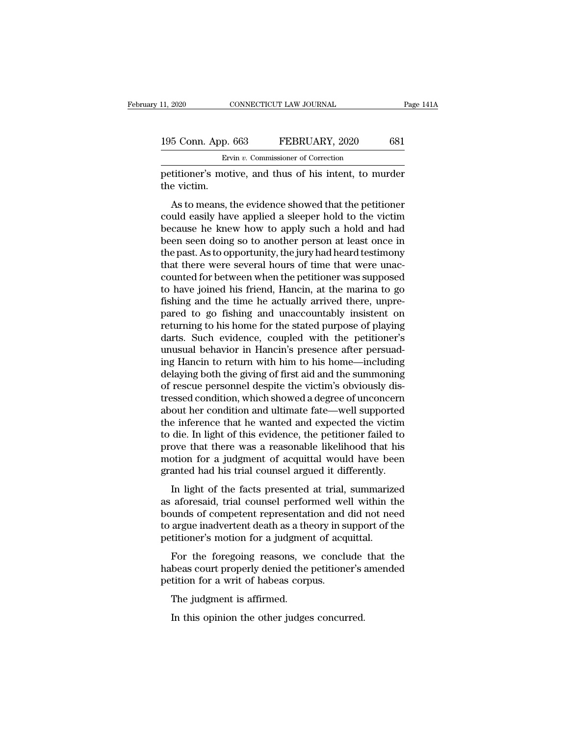| 11, 2020           | CONNECTICUT LAW JOURNAL                                | Page 141A |
|--------------------|--------------------------------------------------------|-----------|
|                    |                                                        |           |
| 195 Conn. App. 663 | FEBRUARY, 2020                                         | 681       |
|                    | Ervin v. Commissioner of Correction                    |           |
|                    | petitioner's motive, and thus of his intent, to murder |           |

Page 1414<br>
195 Conn. App. 663 FEBRUARY, 2020 681<br>
Ervin v. Commissioner of Correction<br>
petitioner's motive, and thus of his intent, to murder<br>
the victim. 195 Conn. App.<br>Ervetitioner's mot<br>the victim.<br>As to means, t

 $\frac{5 \text{ Conn. App. 663} \qquad \text{FEBRUARY, 2020} \qquad 681}{\text{Evin } v. \text{ Commissioner of Correction}}$ <br>
As to means, the evidence showed that the petitioner<br>
as to means, the evidence showed that the petitioner<br>
as to means, the evidence showed that the petitioner 195 Conn. App. 663 FEBRUARY, 2020 681<br>
Ervin v. Commissioner of Correction<br>
petitioner's motive, and thus of his intent, to murder<br>
the victim.<br>
As to means, the evidence showed that the petitioner<br>
could easily have appl **Ervin v. Commissioner of Correction**<br>
petitioner's motive, and thus of his intent, to murder<br>
the victim.<br>
As to means, the evidence showed that the petitioner<br>
could easily have applied a sleeper hold to the victim<br>
bec petitioner's motive, and thus of his intent, to murder<br>the victim.<br>As to means, the evidence showed that the petitioner<br>could easily have applied a sleeper hold to the victim<br>because he knew how to apply such a hold and ha the victim.<br>
As to means, the evidence showed that the petitioner<br>
could easily have applied a sleeper hold to the victim<br>
because he knew how to apply such a hold and had<br>
been seen doing so to another person at least onc As to means, the evidence showed that the petitioner<br>could easily have applied a sleeper hold to the victim<br>because he knew how to apply such a hold and had<br>been seen doing so to another person at least once in<br>the past. A As to means, the evidence showed that the petitioner<br>could easily have applied a sleeper hold to the victim<br>because he knew how to apply such a hold and had<br>been seen doing so to another person at least once in<br>the past. A could easily have applied a sleeper hold to the victim<br>because he knew how to apply such a hold and had<br>been seen doing so to another person at least once in<br>the past. As to opportunity, the jury had heard testimony<br>that t because he knew how to apply such a hold and had<br>been seen doing so to another person at least once in<br>the past. As to opportunity, the jury had heard testimony<br>that there were several hours of time that were unac-<br>counted been seen doing so to another person at least once in<br>the past. As to opportunity, the jury had heard testimony<br>that there were several hours of time that were unac-<br>counted for between when the petitioner was supposed<br>to the past. As to opportunity, the jury had heard testimony<br>that there were several hours of time that were unac-<br>counted for between when the petitioner was supposed<br>to have joined his friend, Hancin, at the marina to go<br>fi that there were several hours of time that were unac-<br>counted for between when the petitioner was supposed<br>to have joined his friend, Hancin, at the marina to go<br>fishing and the time he actually arrived there, unpre-<br>pared counted for between when the petitioner was supposed<br>to have joined his friend, Hancin, at the marina to go<br>fishing and the time he actually arrived there, unpre-<br>pared to go fishing and unaccountably insistent on<br>returnin to have joined his friend, Hancin, at the marina to go<br>fishing and the time he actually arrived there, unpre-<br>pared to go fishing and unaccountably insistent on<br>returning to his home for the stated purpose of playing<br>darts fishing and the time he actually arrived there, unpre-<br>pared to go fishing and unaccountably insistent on<br>returning to his home for the stated purpose of playing<br>darts. Such evidence, coupled with the petitioner's<br>unusual pared to go fishing and unaccountably insistent on<br>returning to his home for the stated purpose of playing<br>darts. Such evidence, coupled with the petitioner's<br>unusual behavior in Hancin's presence after persuad-<br>ing Hancin returning to his home for the stated purpose of playing<br>darts. Such evidence, coupled with the petitioner's<br>unusual behavior in Hancin's presence after persuad-<br>ing Hancin to return with him to his home—including<br>delaying darts. Such evidence, coupled with the petitioner's<br>unusual behavior in Hancin's presence after persuad-<br>ing Hancin to return with him to his home—including<br>delaying both the giving of first aid and the summoning<br>of rescue unusual behavior in Hancin's presence after persuad-<br>ing Hancin to return with him to his home—including<br>delaying both the giving of first aid and the summoning<br>of rescue personnel despite the victim's obviously dis-<br>tress ing Hancin to return with him to his home—including<br>delaying both the giving of first aid and the summoning<br>of rescue personnel despite the victim's obviously dis-<br>tressed condition, which showed a degree of unconcern<br>abou delaying both the giving of first aid and the summoning<br>of rescue personnel despite the victim's obviously dis-<br>tressed condition, which showed a degree of unconcern<br>about her condition and ultimate fate—well supported<br>the of rescue personnel despite the victim's obviously distressed condition, which showed a degree of unconcern<br>about her condition and ultimate fate—well supported<br>the inference that he wanted and expected the victim<br>to die. tressed condition, which showed a degree of unconcern<br>about her condition and ultimate fate—well supported<br>the inference that he wanted and expected the victim<br>to die. In light of this evidence, the petitioner failed to<br>pr For the facts and a diffinite that we happened<br>
is inference that he wanted and expected the victim<br>
die. In light of this evidence, the petitioner failed to<br>
ove that there was a reasonable likelihood that his<br>
over that and the metricle that he wanted and expected the velont<br>to die. In light of this evidence, the petitioner failed to<br>prove that there was a reasonable likelihood that his<br>motion for a judgment of acquittal would have been<br>g

bounds there was a reasonable likelihood that his<br>motion for a judgment of acquittal would have been<br>granted had his trial counsel argued it differently.<br>In light of the facts presented at trial, summarized<br>as aforesaid, t prove that there was a reasonable intermode that his<br>motion for a judgment of acquittal would have been<br>granted had his trial counsel argued it differently.<br>In light of the facts presented at trial, summarized<br>as aforesaid perfection for a judgment of acquittal would have been granted had his trial counsel argued it differently.<br>In light of the facts presented at trial, summarize<br>as aforesaid, trial counsel performed well within th<br>bounds of In light of the facts presented at trial, summarized<br>aforesaid, trial counsel performed well within the<br>unds of competent representation and did not need<br>argue inadvertent death as a theory in support of the<br>titioner's mot In fight of the facts presented at that, sammarized<br>as aforesaid, trial counsel performed well within the<br>bounds of competent representation and did not need<br>to argue inadvertent death as a theory in support of the<br>petitio as absorts and connect performed we<br>bounds of competent representation and<br>to argue inadvertent death as a theory in si<br>petitioner's motion for a judgment of acq<br>For the foregoing reasons, we conclu<br>habeas court properly d

argue inadvertent death as a the<br>titioner's motion for a judgmer<br>For the foregoing reasons, w<br>beas court properly denied the<br>tition for a writ of habeas corp<br>The judgment is affirmed.<br>In this opinion the other judge: For the foregoing reasons, we conclude<br>
beas court properly denied the petitioner's<br>
itition for a writ of habeas corpus.<br>
The judgment is affirmed.<br>
In this opinion the other judges concurred.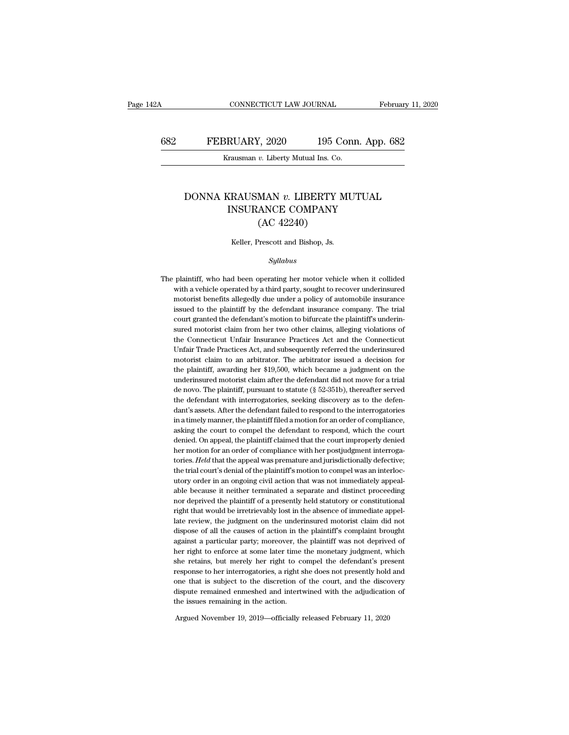### CONNECTICUT LAW JOURNAL February 11, 2020<br>682 FEBRUARY, 2020 195 Conn. App. 682<br>Krausman v. Liberty Mutual Ins. Co. EXECTICUT LAW JOURNAL<br>BRUARY, 2020 195 Conn<br>Krausman *v*. Liberty Mutual Ins. Co.

#### FEBRUARY, 2020 195 Conn. App. 682<br>
Krausman *v.* Liberty Mutual Ins. Co.<br>
DONNA KRAUSMAN *v.* LIBERTY MUTUAL<br>
INSURANCE COMPANY RUARY, 2020 195 Conn. App. 6<br>
Trausman v. Liberty Mutual Ins. Co.<br>
SECRETY MUTUAL<br>
INSURANCE COMPANY (AC 42240)  $\overline{v}$ . Liberty Mutual Ins. Co.<br>
MAN  $\overline{v}$ . LIBERTY N<br>
ANCE COMPANY<br>
(AC 42240)<br>
Prescott and Bishop, Js. DONNA KRAUSMAN  $v$ . LIBERTY MUTUAL<br>INSURANCE COMPANY<br>(AC 42240)<br>Keller, Prescott and Bishop, Js.

#### *Syllabus*

 $(AC 42240)$ <br>Keller, Prescott and Bishop, Js.<br> $Syllabus$ <br>The plaintiff, who had been operating her motor vehicle when it collided with a vehicle operated by a third party, sought to recover underinsured Keller, Prescott and Bishop, Js.<br>
Syllabus<br>
plaintiff, who had been operating her motor vehicle when it collided<br>
with a vehicle operated by a third party, sought to recover underinsured<br>
motorist benefits allegedly due un *Syllabus*<br>*Syllabus*<br>plaintiff, who had been operating her motor vehicle when it collided<br>with a vehicle operated by a third party, sought to recover underinsured<br>motorist benefits allegedly due under a policy of automob  $Syllabus$  plaintiff, who had been operating her motor vehicle when it collided<br>with a vehicle operated by a third party, sought to recover underinsured<br>motorist benefits allegedly due under a policy of automobile insurance<br>is The plaintiff, who had been operating her motor vehicle when it collided<br>with a vehicle operated by a third party, sought to recover underinsured<br>motorist benefits allegedly due under a policy of automobile insurance<br>issue plaintiff, who had been operating her motor vehicle when it collided<br>with a vehicle operated by a third party, sought to recover underinsured<br>motorist benefits allegedly due under a policy of automobile insurance<br>issued to with a vehicle operated by a third party, sought to recover underinsured motorist benefits allegedly due under a policy of automobile insurance issued to the plaintiff by the defendant insurance company. The trial court gr motorist benefits allegedly due under a policy of automobile insurance<br>issued to the plaintiff by the defendant insurance company. The trial<br>court granted the defendant's motion to bifurcate the plaintiff's underin-<br>sured issued to the plaintiff by the defendant insurance company. The trial<br>court granted the defendant's motion to bifurcate the plaintiff's underin-<br>sured motorist claim from her two other claims, alleging violations of<br>the Co court granted the defendant's motion to bifurcate the plaintiff's underin-<br>sured motorist claim from her two other claims, alleging violations of<br>the Connecticut Unfair Insurance Practices Act and the Connecticut<br>Unfair Tr sured motorist claim from her two other claims, alleging violations of<br>the Connecticut Unfair Insurance Practices Act and the Connecticut<br>Unfair Trade Practices Act, and subsequently referred the underinsured<br>motorist clai the Connecticut Unfair Insurance Practices Act and the Connecticut<br>Unfair Trade Practices Act, and subsequently referred the underinsured<br>motorist claim to an arbitrator. The arbitrator issued a decision for<br>the plaintiff, Unfair Trade Practices Act, and subsequently referred the underinsured motorist claim to an arbitrator. The arbitrator issued a decision for the plaintiff, awarding her \$19,500, which became a judgment on the underinsured motorist claim to an arbitrator. The arbitrator issued a decision for<br>the plaintiff, awarding her \$19,500, which became a judgment on the<br>underinsured motorist claim after the defendant did not move for a trial<br>de novo. Th the plaintiff, awarding her \$19,500, which became a judgment on the underinsured motorist claim after the defendant did not move for a trial de novo. The plaintiff, pursuant to statute (§ 52-351b), thereafter served the de underinsured motorist claim after the defendant did not move for a trial<br>de novo. The plaintiff, pursuant to statute (§ 52-351b), thereafter served<br>the defendant with interrogatories, seeking discovery as to the defen-<br>dan de novo. The plaintiff, pursuant to statute (§ 52-351b), thereafter served<br>the defendant with interrogatories, seeking discovery as to the defen-<br>dant's assets. After the defendant failed to respond to the interrogatories<br> the defendant with interrogatories, seeking discovery as to the defendant's assets. After the defendant failed to respond to the interrogatories in a timely manner, the plaintiff filed a motion for an order of compliance, dant's assets. After the defendant failed to respond to the interrogatories<br>in a timely manner, the plaintiff filed a motion for an order of compliance,<br>asking the court to compel the defendant to respond, which the court<br> in a timely manner, the plaintiff filed a motion for an order of compliance, asking the court to compel the defendant to respond, which the court<br>denied. On appeal, the plaintiff claimed that the court improperly denied<br>he asking the court to compel the defendant to respond, which the court<br>denied. On appeal, the plaintiff claimed that the court improperly denied<br>her motion for an order of compliance with her postjudgment interroga-<br>tories. denied. On appeal, the plaintiff claimed that the court improperly denied<br>her motion for an order of compliance with her postjudgment interroga-<br>tories. Held that the appeal was premature and jurisdictionally defective;<br>th her motion for an order of compliance with her postjudgment interrogatories. Held that the appeal was premature and jurisdictionally defective; the trial court's denial of the plaintiff's motion to compel was an interlocut tories. Held that the appeal was premature and jurisdictionally defective;<br>the trial court's denial of the plaintiff's motion to compel was an interloc-<br>utory order in an ongoing civil action that was not immediately appea the trial court's denial of the plaintiff's motion to compel was an interlocutory order in an ongoing civil action that was not immediately appealable because it neither terminated a separate and distinct proceeding nor de utory order in an ongoing civil action that was not immediately appeal-<br>able because it neither terminated a separate and distinct proceeding<br>nor deprived the plaintiff of a presently held statutory or constitutional<br>right able because it neither terminated a separate and distinct proceeding<br>nor deprived the plaintiff of a presently held statutory or constitutional<br>right that would be irretrievably lost in the absence of immediate appel-<br>lat here right to enfortherm and the plaintiff of a presently held statutory or constitutional right that would be irretrievably lost in the absence of immediate appellate review, the judgment on the underinsured motorist clai dispose of all the causes of action in the plaintiff's complaint brought<br>against a particular party; moreover, the plaintiff was not deprived of<br>her right to enforce at some later time the monetary judgment, which<br>she reta late review, the judgment on the underinsured motorist claim did not dispose of all the causes of action in the plaintiff's complaint brought against a particular party; moreover, the plaintiff was not deprived of her righ dispose of all the causes of action in the plaintiff's complaint brought against a particular party; moreover, the plaintiff was not deprived of her right to enforce at some later time the monetary judgment, which she reta against a particular party; moreover, the plaintiff was not deprived of<br>her right to enforce at some later time the monetary judgment, which<br>she retains, but merely her right to compel the defendant's present<br>response to h ther right to enforce at some later time<br>she retains, but merely her right to corresponse to her interrogatories, a right some that is subject to the discretion of<br>dispute remained enmeshed and interty<br>the issues remaining Free Fetans, but merety her right to comper the detendant s pre-<br>response to her interrogatories, a right she does not presently hold<br>one that is subject to the discretion of the court, and the disco<br>dispute remained enmes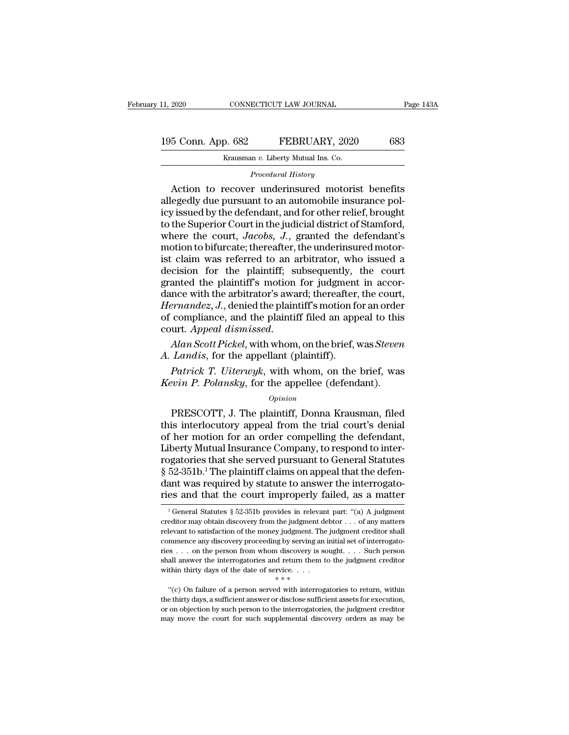| 11, 2020           | CONNECTICUT LAW JOURNAL             | Page 143A |
|--------------------|-------------------------------------|-----------|
| 195 Conn. App. 682 | FEBRUARY, 2020                      | 683       |
|                    | Krausman v. Liberty Mutual Ins. Co. |           |
|                    | Procedural History                  |           |

*Krausman v. Liberty Mutual Ins. Co.*<br>*Procedural History*<br>Action to recover underinsured motorist benefits  $\frac{5 \text{ Conn. App. } 682 \qquad \text{FEBRUARY, } 2020 \qquad \text{683}}{\text{Krausman } v. \text{ Library Mutual Ins. Co.}}$ <br>Procedural History<br>Action to recover underinsured motorist benefits<br>egedly due pursuant to an automobile insurance pol-<br>vissued by the defendant and for ot 195 Conn. App. 682 FEBRUARY, 2020 683<br>
Krausman v. Liberty Mutual Ins. Co.<br>
Procedural History<br>
Action to recover underinsured motorist benefits<br>
allegedly due pursuant to an automobile insurance pol-<br>
icy issued by the de 195 Conn. App. 682 FEBRUARY, 2020 683<br>
Krausman v. Liberty Mutual Ins. Co.<br>
Procedural History<br>
Action to recover underinsured motorist benefits<br>
allegedly due pursuant to an automobile insurance pol-<br>
icy issued by the d Krausman v. Liberty Mutual Ins. Co.<br>
Procedural History<br>
Action to recover underinsured motorist benefits<br>
allegedly due pursuant to an automobile insurance pol-<br>
icy issued by the defendant, and for other relief, brought<br> Frocedural History<br>
Procedural History<br>
Action to recover underinsured motorist benefits<br>
allegedly due pursuant to an automobile insurance pol-<br>
icy issued by the defendant, and for other relief, brought<br>
to the Superior *Procedural History*<br>Action to recover underinsured motorist benefits<br>allegedly due pursuant to an automobile insurance pol-<br>icy issued by the defendant, and for other relief, brought<br>to the Superior Court in the judicial Action to recover underinsured motorist benefits<br>allegedly due pursuant to an automobile insurance pol-<br>icy issued by the defendant, and for other relief, brought<br>to the Superior Court in the judicial district of Stamford, allegedly due pursuant to an automobile insurance policy issued by the defendant, and for other relief, brought<br>to the Superior Court in the judicial district of Stamford,<br>where the court, Jacobs, J., granted the defendant icy issued by the defendant, and for other relief, brought<br>to the Superior Court in the judicial district of Stamford,<br>where the court, Jacobs, J., granted the defendant's<br>motion to bifurcate; thereafter, the underinsured to the Superior Court in the judicial district of Stamford,<br>where the court, Jacobs, J., granted the defendant's<br>motion to bifurcate; thereafter, the underinsured motor-<br>ist claim was referred to an arbitrator, who issued where the court, *Jacobs*, *J*., granted the defendant's<br>motion to bifurcate; thereafter, the underinsured motor-<br>ist claim was referred to an arbitrator, who issued a<br>decision for the plaintiff; subsequently, the court<br>gr motion to bifurcate; thereafter, the underinsured motor-<br>ist claim was referred to an arbitrator, who issued a<br>decision for the plaintiff; subsequently, the court<br>granted the plaintiff's motion for judgment in accor-<br>dance ist claim was referred to an arbitrator, who issued a<br>decision for the plaintiff; subsequently, the court<br>granted the plaintiff's motion for judgment in accor-<br>dance with the arbitrator's award; thereafter, the court,<br>*Her* granted the plaintiff's motion for judgment<br>dance with the arbitrator's award; thereafter,<br>*Hernandez*, *J*., denied the plaintiff's motion for<br>of compliance, and the plaintiff filed an app<br>court. *Appeal dismissed*.<br>*Alan Patrick T.* J., denied the plaintiff's motion for an order compliance, and the plaintiff's motion for an order compliance, and the plaintiff filed an appeal to this urt. *Appeal dismissed.*<br>*Alan Scott Pickel*, with whom, *Hernandez, J.*, defined the plaintiff filed an appeal to this court. *Appeal dismissed.*<br> *Alan Scott Pickel*, with whom, on the brief, was *Steven*<br> *A. Landis*, for the appellant (plaintiff).<br> *Patrick T. Uiterwyk*, wit

#### *Opinion*

Alan Scott Pickel, with whom, on the brief, was Steven<br>
Landis, for the appellant (plaintiff).<br>
Patrick T. Uiterwyk, with whom, on the brief, was<br>
vin P. Polansky, for the appellee (defendant).<br>
Opinion<br>
PRESCOTT, J. The p A. Landis, for the appellant (plaintiff).<br>
Patrick T. Uiterwyk, with whom, on the brief, was<br>
Kevin P. Polansky, for the appellee (defendant).<br>  $opinion$ <br>
PRESCOTT, J. The plaintiff, Donna Krausman, filed<br>
this interlocutory a Patrick T. Uiterwyk, with whom, on the brief, was<br>
Kevin P. Polansky, for the appellee (defendant).<br>  $opinion$ <br>
PRESCOTT, J. The plaintiff, Donna Krausman, filed<br>
this interlocutory appeal from the trial court's denial<br>
of her Fatrick 1. Otterwyk, with whold, on the brief, was<br>
Kevin P. Polansky, for the appellee (defendant).<br>  $\frac{Opinion}{Opinion}$ <br>
PRESCOTT, J. The plaintiff, Donna Krausman, filed<br>
this interlocutory appeal from the trial court's deni Revent F. Foldnsky, for the appeliee (defendant).<br>  $\frac{Opinion}{P}$ <br>
PRESCOTT, J. The plaintiff, Donna Krausman, filed<br>
this interlocutory appeal from the trial court's denial<br>
of her motion for an order compelling the defenda *Opinion*<br> **EXECOTT, J. The plaintiff, Donna Krausman, filed**<br>
this interlocutory appeal from the trial court's denial<br>
of her motion for an order compelling the defendant,<br>
Liberty Mutual Insurance Company, to respond to PRESCOTT, J. The plaintiff, Donna Krausman, filed<br>this interlocutory appeal from the trial court's denial<br>of her motion for an order compelling the defendant,<br>Liberty Mutual Insurance Company, to respond to inter-<br>rogator this interlocutory appeal from the trial court's denial<br>of her motion for an order compelling the defendant,<br>Liberty Mutual Insurance Company, to respond to inter-<br>rogatories that she served pursuant to General Statutes<br>between 52-351b.<sup>1</sup> The plaintiff claims on appeal that the defen-<br>52-351b.<sup>1</sup> The plaintiff claims on appeal that the defen-<br>ant was required by statute to answer the interrogato-<br>es and that the court improperly failed,  $\S$  52-351b.<sup>1</sup> The plaintiff claims on appeal that the defendant was required by statute to answer the interrogatories and that the court improperly failed, as a matter  $\frac{1}{1}$  General Statutes  $\S$  52-351b provides in

ries . . . on the person from whom discovery is sought. . . . Such person shall answer the interrogatories and return them to the judgment creditor within thirty days of the date of service. . . . . . . . . . . . . . . . within thirty days of the date of service.  $...$ <br>  $**$ <br>
"(c) On failure of a person served with interrogatories to return, within<br>
the thirty days, a sufficient answer or disclose sufficient assets for execution,<br>
or on obje

dant was required by statute to answer the interrogatories and that the court improperly failed, as a matter  $\frac{1}{1}$  General Statutes § 52-351b provides in relevant part: "(a) A judgment creditor may obtain discovery fr The angle and that the court improperly failed, as a matter  $\frac{1}{1}$  General Statutes § 52-351b provides in relevant part: "(a) A judgment creditor may obtain discovery from the judgment debtor . . . of any matters relev The stand that the COUrt improperty Talled, as a matter  $^{-1}$  General Statutes § 52-351b provides in relevant part: "(a) A judgment creditor may obtain discovery from the judgment debtor . . . of any matters relevant to s <sup>1</sup> General Statutes § 52-351b provides in relevant part: "(a) A judgment creditor may obtain discovery from the judgment debtor . . . of any matters relevant to satisfaction of the money judgment. The judgment creditor s reditor may obtain discovery from the judgment dependent to satisfaction of the money judgment. The relevant to satisfaction of the money judgment. The commence any discovery proceeding by serving an ries . . . . on the p Frame any discovery proceeding by serving an initial set of interrogatomence any discovery proceeding by serving an initial set of interrogatomes . . . on the person from whom discovery is sought. . . . Such person all an shall answer the interrogatories and return them to the judgment creditor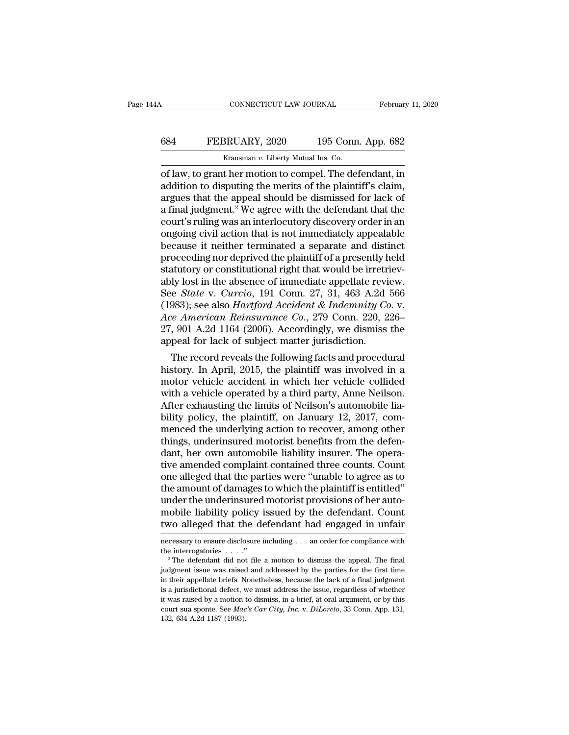## CONNECTICUT LAW JOURNAL February 11, 2020<br>684 FEBRUARY, 2020 195 Conn. App. 682<br>Krausman v. Liberty Mutual Ins. Co. CONNECTICUT LAW JOURNAL Februar<br>
FEBRUARY, 2020 195 Conn. App. 682<br>
Krausman *v*. Liberty Mutual Ins. Co.<br>
of law, to grant her motion to compel. The defendant. in

CONNECTICUT LAW JOURNAL February 11, 2020<br>
684 FEBRUARY, 2020 195 Conn. App. 682<br>
Krausman v. Liberty Mutual Ins. Co.<br>
of law, to grant her motion to compel. The defendant, in<br>
addition to disputing the merits of the plain 684 FEBRUARY, 2020 195 Conn. App. 682<br>
Krausman v. Liberty Mutual Ins. Co.<br>
of law, to grant her motion to compel. The defendant, in<br>
addition to disputing the merits of the plaintiff's claim,<br>
argues that the appeal shou FEBRUARY, 2020 195 Conn. App. 682<br>  $\frac{1}{2}$  Krausman v. Liberty Mutual Ins. Co.<br>
of law, to grant her motion to compel. The defendant, in<br>
addition to disputing the merits of the plaintiff's claim,<br>
argues that the appea FEBRUARY, 2020 195 Conn. App. 682<br>  $\frac{1}{2}$  Krausman v. Liberty Mutual Ins. Co.<br>
of law, to grant her motion to compel. The defendant, in<br>
addition to disputing the merits of the plaintiff's claim,<br>
argues that the appea Expression 12 Expression 12 Expression 12 Expression 12 Expression 12 Expression of law, to grant her motion to compel. The defendant, in addition to disputing the merits of the plaintiff's claim, argues that the appeal s Exammar v. Liberty Mutual Ins. Co.<br>
of law, to grant her motion to compel. The defendant, in<br>
addition to disputing the merits of the plaintiff's claim,<br>
argues that the appeal should be dismissed for lack of<br>
a final jud of law, to grant her motion to compel. The defendant, in<br>addition to disputing the merits of the plaintiff's claim,<br>argues that the appeal should be dismissed for lack of<br>a final judgment.<sup>2</sup> We agree with the defendant th addition to disputing the merits of the plaintiff's claim,<br>argues that the appeal should be dismissed for lack of<br>a final judgment.<sup>2</sup> We agree with the defendant that the<br>court's ruling was an interlocutory discovery orde argues that the appeal should be dismissed for lack of a final judgment.<sup>2</sup> We agree with the defendant that the court's ruling was an interlocutory discovery order in an ongoing civil action that is not immediately appea a final judgment.<sup>2</sup> We agree with the defendant that the court's ruling was an interlocutory discovery order in an ongoing civil action that is not immediately appealable because it neither terminated a separate and dist court's ruling was an interlocutory discovery order in an ongoing civil action that is not immediately appealable<br>because it neither terminated a separate and distinct<br>proceeding nor deprived the plaintiff of a presently h ongoing civil action that is not immediately appealable<br>because it neither terminated a separate and distinct<br>proceeding nor deprived the plaintiff of a presently held<br>statutory or constitutional right that would be irretr because it neither terminated a separate and distinct<br>proceeding nor deprived the plaintiff of a presently held<br>statutory or constitutional right that would be irretriev-<br>ably lost in the absence of immediate appellate rev proceeding nor deprived the plaintiff of a presently held<br>statutory or constitutional right that would be irretriev-<br>ably lost in the absence of immediate appellate review.<br>See *State* v. *Curcio*, 191 Conn. 27, 31, 463 A. statutory or constitutional right that would be irretrably lost in the absence of immediate appellate revi<br>See *State* v. *Curcio*, 191 Conn. 27, 31, 463 A.2d<br>(1983); see also *Hartford Accident & Indemnity Co*<br>Ace America iy fost in the absence of immediate appenate review.<br>
e *State* v. *Curcio*, 191 Conn. 27, 31, 463 A.2d 566<br>
983); see also *Hartford Accident & Indemnity Co.* v.<br> *e American Reinsurance Co.*, 279 Conn. 220, 226–<br>
, 901 See *State V. Curcio*, 191 Conn. 27, 31, 463 A.2d 300<br>(1983); see also *Hartford Accident & Indemnity Co. v.*<br>Ace American Reinsurance Co., 279 Conn. 220, 226–<br>27, 901 A.2d 1164 (2006). Accordingly, we dismiss the<br>appeal f

(1983); see also *Hartjora Accident & Indemnity Co. v.*<br>Ace *American Reinsurance Co.*, 279 Conn. 220, 226–<br>27, 901 A.2d 1164 (2006). Accordingly, we dismiss the<br>appeal for lack of subject matter jurisdiction.<br>The record Ace American Reinsurance Co., 279 Conn. 220, 220–27, 901 A.2d 1164 (2006). Accordingly, we dismiss the appeal for lack of subject matter jurisdiction.<br>The record reveals the following facts and procedural history. In April  $27$ ,  $901$  A.2d 1104 ( $2000$ ). Accordingly, we dismiss the appeal for lack of subject matter jurisdiction.<br>The record reveals the following facts and procedural history. In April,  $2015$ , the plaintiff was involved in a appear for fack of subject matter jurisatetion.<br>The record reveals the following facts and procedural<br>history. In April, 2015, the plaintiff was involved in a<br>motor vehicle accident in which her vehicle collided<br>with a veh The record reveals the following facts and procedural<br>history. In April, 2015, the plaintiff was involved in a<br>motor vehicle accident in which her vehicle collided<br>with a vehicle operated by a third party, Anne Neilson.<br>Af history. In April, 2015, the plaintiff was involved in a<br>motor vehicle accident in which her vehicle collided<br>with a vehicle operated by a third party, Anne Neilson.<br>After exhausting the limits of Neilson's automobile liamotor vehicle accident in which her vehicle collided<br>with a vehicle operated by a third party, Anne Neilson.<br>After exhausting the limits of Neilson's automobile lia-<br>bility policy, the plaintiff, on January 12, 2017, com-<br> with a vehicle operated by a third party, Anne Neilson.<br>After exhausting the limits of Neilson's automobile lia-<br>bility policy, the plaintiff, on January 12, 2017, com-<br>menced the underlying action to recover, among other<br> After exhausting the limits of Neilson's automobile liability policy, the plaintiff, on January 12, 2017, commenced the underlying action to recover, among other things, underinsured motorist benefits from the defendant, h bility policy, the plaintiff, on January 12, 2017, commenced the underlying action to recover, among other things, underinsured motorist benefits from the defendant, her own automobile liability insurer. The operative amen menced the underlying action to recover, among other<br>things, underinsured motorist benefits from the defen-<br>dant, her own automobile liability insurer. The opera-<br>tive amended complaint contained three counts. Count<br>one al things, underinsured motorist benefits from the defendant, her own automobile liability insurer. The operative amended complaint contained three counts. Count one alleged that the parties were "unable to agree as to the am dant, her own automobile liability insurer. The operative amended complaint contained three counts. Count<br>one alleged that the parties were "unable to agree as to<br>the amount of damages to which the plaintiff is entitled"<br>u the amount of damages to which the plaintiff is entitled"<br>under the underinsured motorist provisions of her auto-<br>mobile liability policy issued by the defendant. Count<br>two alleged that the defendant had engaged in unfair<br> under the underinsured motorist provisions of her automobile liability policy issued by the defendant. Count two alleged that the defendant had engaged in unfair necessary to ensure disclosure including . . . an order for

two alleged that the defendant had engaged in unfair<br>mecessary to ensure disclosure including  $\ldots$  an order for compliance with<br>the interrogatories  $\ldots$ ."<br><sup>2</sup> The defendant did not file a motion to dismiss the appeal. T IE also alreged that the detendant had engaged in uniant<br>mecessary to ensure disclosure including . . . an order for compliance with<br>the interrogatories . . . ."<br><sup>2</sup> The defendant did not file a motion to dismiss the appea is a jurisdictional defect, we must address the interpret including . . . . an order for compliance with the interrogatories . . . . "<br><sup>2</sup> The defendant did not file a motion to dismiss the appeal. The final judgment issue the interrogatories ...."<br>
<sup>2</sup> The defendant did not file a motion to dismiss the appeal. The final<br>
judgment issue was raised and addressed by the parties for the first time<br>
in their appellate briefs. Nonetheless, becau <sup>2</sup> The defendant did not file a motion to dismiss the appeal. The final judgment issue was raised and addressed by the parties for the first time in their appellate briefs. Nonetheless, because the lack of a final judgme <sup>2</sup> The defendant did not file a motion to dismiss the appeal. The final judgment issue was raised and addressed by the parties for the first time in their appellate briefs. Nonetheless, because the lack of a final judgme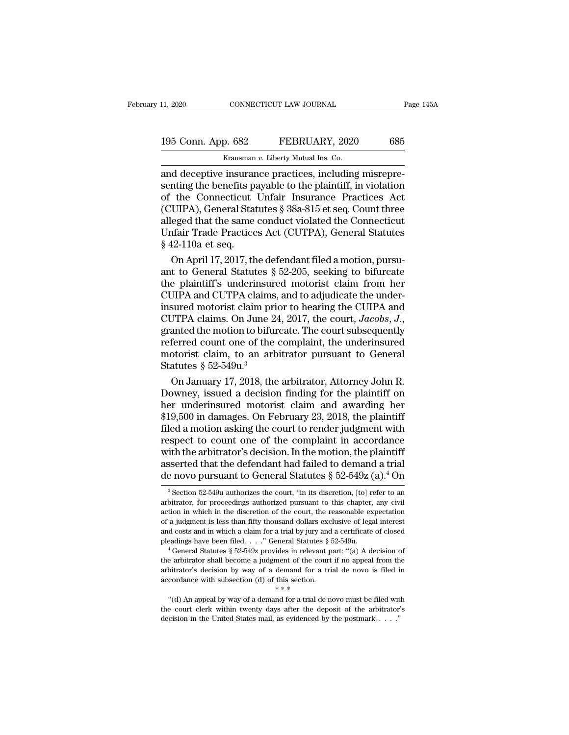## 11, 2020 CONNECTICUT LAW JOURNAL Page 145A<br>195 Conn. App. 682 FEBRUARY, 2020 685<br>Krausman v. Liberty Mutual Ins. Co. THE 11, 2020 CONNECTICUT LAW JOURNAL<br>
195 Conn. App. 682 FEBRUARY, 2020 685<br>
Krausman *v*. Liberty Mutual Ins. Co.<br>
2011 and deceptive insurance practices, including misrepre-

11, 2020 CONNECTICUT LAW JOURNAL<br>
195 Conn. App. 682 FEBRUARY, 2020 685<br>
Krausman v. Liberty Mutual Ins. Co.<br>
2020 and deceptive insurance practices, including misrepre-<br>
senting the benefits payable to the plaintiff, in v 195 Conn. App. 682 FEBRUARY, 2020 685<br>
Krausman v. Liberty Mutual Ins. Co.<br>
and deceptive insurance practices, including misrepre-<br>
senting the benefits payable to the plaintiff, in violation<br>
of the Connecticut Unfair Ins 195 Conn. App. 682 FEBRUARY, 2020 685<br>
Krausman v. Liberty Mutual Ins. Co.<br>
and deceptive insurance practices, including misrepresenting the benefits payable to the plaintiff, in violation<br>
of the Connecticut Unfair Insur 195 Conn. App. 682 FEBRUARY, 2020 685<br>
Krausman v. Liberty Mutual Ins. Co.<br>
and deceptive insurance practices, including misrepre-<br>
senting the benefits payable to the plaintiff, in violation<br>
of the Connecticut Unfair In Example 1 BBRCART, 2020<br>
Krausman v. Liberty Mutual Ins. Co.<br>
and deceptive insurance practices, including misrepre-<br>
senting the benefits payable to the plaintiff, in violation<br>
of the Connecticut Unfair Insurance Practi Krausman v. Liberty Mutual Ins. Co.<br>
and deceptive insurance practices, including misrepre-<br>
senting the benefits payable to the plaintiff, in violation<br>
of the Connecticut Unfair Insurance Practices Act<br>
(CUIPA), General and deceptive insurar<br>senting the benefits pa<br>of the Connecticut<br>(CUIPA), General Stat<br>alleged that the same<br>Unfair Trade Practice<br>§ 42-110a et seq.<br>On April 17, 2017, th nting the benefits payable to the plaintiff, in violation<br>the Connecticut Unfair Insurance Practices Act<br>UIPA), General Statutes § 38a-815 et seq. Count three<br>eged that the same conduct violated the Connecticut<br>fair Trade of the Connecticut Unfair Insurance Practices Act<br>(CUIPA), General Statutes § 38a-815 et seq. Count three<br>alleged that the same conduct violated the Connecticut<br>Unfair Trade Practices Act (CUTPA), General Statutes<br>§ 42-110

(CUIPA), General Statutes § 38a-815 et seq. Count three<br>alleged that the same conduct violated the Connecticut<br>Unfair Trade Practices Act (CUTPA), General Statutes<br>§ 42-110a et seq.<br>On April 17, 2017, the defendant filed a alleged that the same conduct violated the Connecticut<br>Unfair Trade Practices Act (CUTPA), General Statutes<br>§ 42-110a et seq.<br>On April 17, 2017, the defendant filed a motion, pursu-<br>ant to General Statutes § 52-205, seekin Unfair Trade Practices Act (CUTPA), General Statutes<br>
§ 42-110a et seq.<br>
On April 17, 2017, the defendant filed a motion, pursu-<br>
ant to General Statutes § 52-205, seeking to bifurcate<br>
the plaintiff's underinsured motori  $\S$  42-110a et seq.<br>
On April 17, 2017, the defendant filed a motion, pursu-<br>
ant to General Statutes  $\S$  52-205, seeking to bifurcate<br>
the plaintiff's underinsured motorist claim from her<br>
CUIPA and CUTPA claims, and to ant to General Statutes § 52-205, seeking to bifurcate<br>the plaintiff's underinsured motorist claim from her<br>CUIPA and CUTPA claims, and to adjudicate the under-<br>insured motorist claim prior to hearing the CUIPA and<br>CUTPA the plaintiff's underinsured motorist claim from her CUIPA and CUTPA claims, and to adjudicate the under-<br>insured motorist claim prior to hearing the CUIPA and<br>CUTPA claims. On June 24, 2017, the court, Jacobs, J.,<br>grante CUIPA and CUTPA claims, and to adjudicate the under-<br>insured motorist claim prior to hearing the CUIPA and<br>CUTPA claims. On June 24, 2017, the court, *Jacobs*, *J.*,<br>granted the motion to bifurcate. The court subsequently sured motorist claim prior to hearing the CUIPA and<br>JTPA claims. On June 24, 2017, the court, *Jacobs*, *J.*,<br>anted the motion to bifurcate. The court subsequently<br>ferred count one of the complaint, the underinsured<br>otoris CUTPA claims. On June 24, 2017, the court, *Jacobs*, *J.*,<br>granted the motion to bifurcate. The court subsequently<br>referred count one of the complaint, the underinsured<br>motorist claim, to an arbitrator pursuant to General

granted the motion to bifurcate. The court subsequently<br>referred count one of the complaint, the underinsured<br>motorist claim, to an arbitrator pursuant to General<br>Statutes § 52-549 $u$ .<sup>3</sup><br>On January 17, 2018, the arbitrato referred count one of the complaint, the underinsured<br>motorist claim, to an arbitrator pursuant to General<br>Statutes § 52-549u.<sup>3</sup><br>On January 17, 2018, the arbitrator, Attorney John R.<br>Downey, issued a decision finding for motorist claim, to an arbitrator pursuant to General<br>Statutes § 52-549u.<sup>3</sup><br>On January 17, 2018, the arbitrator, Attorney John R.<br>Downey, issued a decision finding for the plaintiff on<br>her underinsured motorist claim and a Statutes § 52-549u.<sup>3</sup><br>On January 17, 2018, the arbitrator, Attorney John R.<br>Downey, issued a decision finding for the plaintiff on<br>her underinsured motorist claim and awarding her<br>\$19,500 in damages. On February 23, 2018, On January 17, 2018, the arbitrator, Attorney John R.<br>Downey, issued a decision finding for the plaintiff on<br>her underinsured motorist claim and awarding her<br>\$19,500 in damages. On February 23, 2018, the plaintiff<br>filed a Downey, issued a decision finding for the plaintiff on<br>her underinsured motorist claim and awarding her<br>\$19,500 in damages. On February 23, 2018, the plaintiff<br>filed a motion asking the court to render judgment with<br>respe her underinsured motorist claim and awarding her \$19,500 in damages. On February 23, 2018, the plaintiff filed a motion asking the court to render judgment with respect to count one of the complaint in accordance with the spect to count one of the complaint in accordance<br>ith the arbitrator's decision. In the motion, the plaintiff<br>sserted that the defendant had failed to demand a trial<br>e novo pursuant to General Statutes  $\S~52-5492$  (a).<sup>4</sup> with the arbitrator's decision. In the motion, the plaintiff asserted that the defendant had failed to demand a trial de novo pursuant to General Statutes  $\S 52-549z (a).$ <sup>4</sup> On  $\S$ <sup>3</sup> Section 52-549u authorizes the court,

are a decision by way of a demand for a trial by jury and a certificate of closed pleadings have been filed. . . ." General Statutes § 52-549u.<br>
<sup>4</sup> General Statutes § 52-549z provides in relevant part: "(a) A decision of and costs and in which a claim for a trial by jury and pleadings have been filed. . . ." General Statutes § 544 a pleadings have been filed. . . ." General Statutes § 544 a felevant p the arbitrator shall become a judgmen <sup>4</sup> General Statutes § 52-549z provides in relevant part: "(a) A decision of a arbitrator shall become a judgment of the court if no appeal from the bitrator's decision by way of a demand for a trial de novo is filed in c <sup>4</sup> General Statutes § 52-549z provides in relevant part: "(a) A decision of the arbitrator shall become a judgment of the court if no appeal from the arbitrator's decision by way of a demand for a trial de novo is filed arbitrator's decision by way of a demand for a trial de novo is filed in

asserted that the defendant had failed to demand a trial<br>de novo pursuant to General Statutes  $\S 52-549z (a).4$  On<br><sup>3</sup> Section 52-549u authorizes the court, "in its discretion, [to] refer to an<br>arbitrator, for proceedings a de novo pursuant to General Statutes § 52-549z (a).<sup>4</sup> On <sup>3</sup> Section 52-549u authorizes the court, "in its discretion, [to] refer to an arbitrator, for proceedings authorized pursuant to this chapter, any civil action in de HOVO pursuant to General Statutes  $\frac{1}{2}$  32-3492 (a). On<br><sup>3</sup> Section 52-549u authorizes the court, "in its discretion, [to] refer to an<br>arbitrator, for proceedings authorized pursuant to this chapter, any civil<br>acti <sup>3</sup> Section 52-549u authorizes the court, "in its discretion, [to] refer to an arbitrator, for proceedings authorized pursuant to this chapter, any civil action in which in the discretion of the court, the reasonable expe action in which in the discretion of the court, the reasonable expectation of a judgment is less than fifty thousand dollars exclusive of legal interest and costs and in which a claim for a trial by jury and a certificate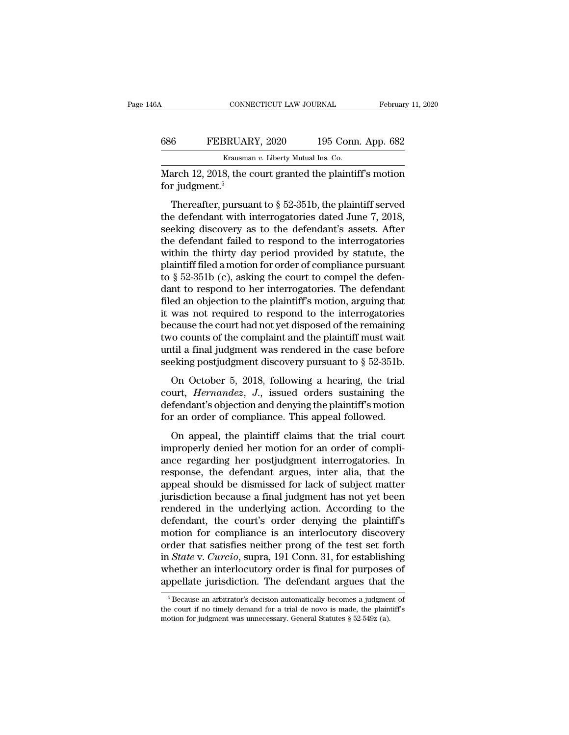| 6A  | CONNECTICUT LAW JOURNAL                                                       |                    | February 11, 2020 |
|-----|-------------------------------------------------------------------------------|--------------------|-------------------|
| 686 | FEBRUARY, 2020                                                                | 195 Conn. App. 682 |                   |
|     | Krausman v. Liberty Mutual Ins. Co.                                           |                    |                   |
|     | March 12, 2018, the court granted the plaintiff's motion<br>for judgment. $5$ |                    |                   |
|     | Thereafter, pursuant to $\S 52-351b$ , the plaintiff served                   |                    |                   |

FEBRUARY, 2020 195 Conn. App. 682<br>
Krausman v. Liberty Mutual Ins. Co.<br>
arch 12, 2018, the court granted the plaintiff's motion<br>
r judgment.<sup>5</sup><br>
Thereafter, pursuant to § 52-351b, the plaintiff served<br>
e defendant with in 686 FEBRUARY, 2020 195 Conn. App. 682<br>
Krausman v. Liberty Mutual Ins. Co.<br>
March 12, 2018, the court granted the plaintiff's motion<br>
for judgment.<sup>5</sup><br>
Thereafter, pursuant to § 52-351b, the plaintiff served<br>
the defendan Solution March 12, 2018, the court granted the plaintiff's motion<br>for judgment.<sup>5</sup><br>Thereafter, pursuant to  $\S$  52-351b, the plaintiff served<br>the defendant with interrogatories dated June 7, 2018,<br>seeking discovery as to t March 12, 2018, the court granted the plaintiff's motion<br>for judgment.<sup>5</sup><br>Thereafter, pursuant to  $\S$  52-351b, the plaintiff served<br>the defendant with interrogatories dated June 7, 2018,<br>seeking discovery as to the defend For judgment.<sup>5</sup><br>Thereafter, pursuant to  $\S$  52-351b, the plaintiff served<br>the defendant with interrogatories dated June 7, 2018,<br>seeking discovery as to the defendant's assets. After<br>the defendant failed to respond to th Thereafter, pursuant to  $\S$  52-351b, the plaintiff served<br>the defendant with interrogatories dated June 7, 2018,<br>seeking discovery as to the defendant's assets. After<br>the defendant failed to respond to the interrogatories Thereafter, pursuant to  $\S$  52-351b, the plaintiff served<br>the defendant with interrogatories dated June 7, 2018,<br>seeking discovery as to the defendant's assets. After<br>the defendant failed to respond to the interrogatories the defendant with interrogatories dated June 7, 2018,<br>seeking discovery as to the defendant's assets. After<br>the defendant failed to respond to the interrogatories<br>within the thirty day period provided by statute, the<br>plai seeking discovery as to the defendant's assets. After<br>the defendant failed to respond to the interrogatories<br>within the thirty day period provided by statute, the<br>plaintiff filed a motion for order of compliance pursuant<br>t the defendant failed to respond to the interrogatories<br>within the thirty day period provided by statute, the<br>plaintiff filed a motion for order of compliance pursuant<br>to § 52-351b (c), asking the court to compel the defenwithin the thirty day period provided by statute, the plaintiff filed a motion for order of compliance pursuant<br>to § 52-351b (c), asking the court to compel the defen-<br>dant to respond to her interrogatories. The defendant<br> plaintiff filed a motion for order of compliance pursuant<br>to § 52-351b (c), asking the court to compel the defen-<br>dant to respond to her interrogatories. The defendant<br>filed an objection to the plaintiff's motion, arguing to  $\S$  52-351b (c), asking the court to compel the defendant to respond to her interrogatories. The defendant filed an objection to the plaintiff's motion, arguing that it was not required to respond to the interrogatorie dant to respond to her interrogatories. The defendant<br>filed an objection to the plaintiff's motion, arguing that<br>it was not required to respond to the interrogatories<br>because the court had not yet disposed of the remainin Equal to the plant of the interrogatories<br>cause the court had not yet disposed of the remaining<br>co counts of the complaint and the plaintiff must wait<br>til a final judgment was rendered in the case before<br>eking postjudgmen to was not required to respond to the interrogatories<br>because the court had not yet disposed of the remaining<br>two counts of the complaint and the plaintiff must wait<br>until a final judgment was rendered in the case before<br>s

defendant of the complaint and the plaintiff must wait<br>
until a final judgment was rendered in the case before<br>
seeking postjudgment discovery pursuant to  $\S$  52-351b.<br>
On October 5, 2018, following a hearing, the trial<br> For an order of an osciplistic and the plant. Thus we<br>seeking postjudgment discovery pursuant to  $\S$  52-351b.<br>On October 5, 2018, following a hearing, the trial<br>court, *Hernandez*, *J*., issued orders sustaining the<br>defen eking postjudgment discovery pursuant to  $\S$  52-351b.<br>On October 5, 2018, following a hearing, the trial urt, *Hernandez*, *J.*, issued orders sustaining the<br>fendant's objection and denying the plaintiff's motion<br>r an ord On October 5, 2018, following a hearing, the trial<br>court, *Hernandez*, *J*., issued orders sustaining the<br>defendant's objection and denying the plaintiff's motion<br>for an order of compliance. This appeal followed.<br>On appeal

ance regarding her postjudgment interrogatories. In response, the defendant's objection and denying the plaintiff's motion for an order of compliance. This appeal followed.<br>On appeal, the plaintiff claims that the trial co resumed and denging the plaintiff's motion<br>defendant's objection and denying the plaintiff's motion<br>for an order of compliance. This appeal followed.<br>On appeal, the plaintiff claims that the trial court<br>improperly denied h for an order of compliance. This appeal followed.<br>
On appeal, the plaintiff claims that the trial court<br>
improperly denied her motion for an order of compli-<br>
ance regarding her postjudgment interrogatories. In<br>
response, for an order of complaince. This appear followed.<br>
On appeal, the plaintiff claims that the trial court<br>
improperly denied her motion for an order of compli-<br>
ance regarding her postjudgment interrogatories. In<br>
response, On appeal, the plaintiff claims that the trial court<br>improperly denied her motion for an order of compli-<br>ance regarding her postjudgment interrogatories. In<br>response, the defendant argues, inter alia, that the<br>appeal shou improperly denied her motion for an order of compli-<br>ance regarding her postjudgment interrogatories. In<br>response, the defendant argues, inter alia, that the<br>appeal should be dismissed for lack of subject matter<br>jurisdicti ance regarding her postjudgment interrogatories. In<br>response, the defendant argues, inter alia, that the<br>appeal should be dismissed for lack of subject matter<br>jurisdiction because a final judgment has not yet been<br>rendered response, the defendant argues, inter alia, that the<br>appeal should be dismissed for lack of subject matter<br>jurisdiction because a final judgment has not yet been<br>rendered in the underlying action. According to the<br>defendan appeal should be dismissed for lack of subject matter<br>jurisdiction because a final judgment has not yet been<br>rendered in the underlying action. According to the<br>defendant, the court's order denying the plaintiff's<br>motion f jurisdiction because a final judgment has not yet been<br>rendered in the underlying action. According to the<br>defendant, the court's order denying the plaintiff's<br>motion for compliance is an interlocutory discovery<br>order that rendered in the underlying action. According to the<br>defendant, the court's order denying the plaintiff's<br>motion for compliance is an interlocutory discovery<br>order that satisfies neither prong of the test set forth<br>in *Stat* Fraction State v. Curcio, supra, 191 Conn. 31, for establishing the<br>ther an interlocutory order is final for purposes of oppellate jurisdiction. The defendant argues that the<br> $\frac{5}{5}$  Because an arbitrator's decision aut in *State* v. *Curcio*, supra, 191 Conn. 31, for establishing whether an interlocutory order is final for purposes of appellate jurisdiction. The defendant argues that the  $\frac{5}{6}$  Because an arbitrator's decision automa

whether an interlocutory order is final for purposes<br>appellate jurisdiction. The defendant argues that<br> $\frac{1}{10}$ <br> $\frac{1}{10}$ <br> $\frac{1}{10}$ <br>Fecause an arbitrator's decision automatically becomes a judgment<br>the court if no tim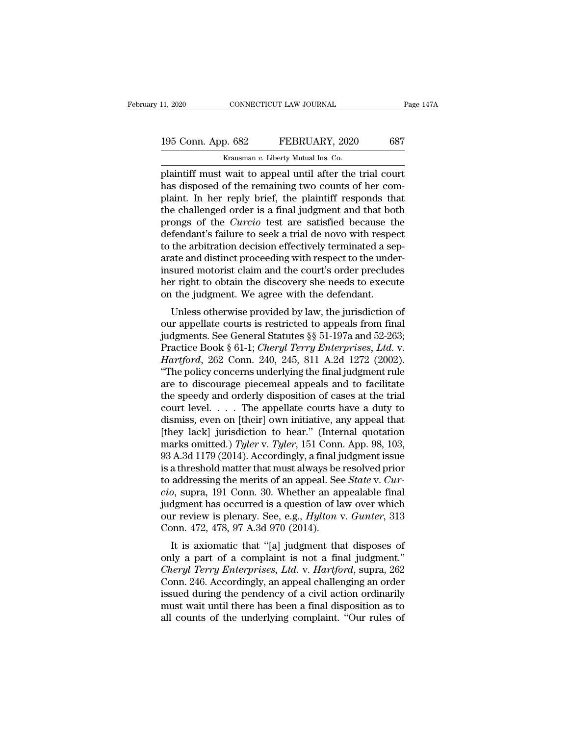# 11, 2020 CONNECTICUT LAW JOURNAL Page 147A<br>195 Conn. App. 682 FEBRUARY, 2020 687<br>Krausman v. Liberty Mutual Ins. Co.

The CONNECTICUT LAW JOURNAL<br>
195 Conn. App. 682 FEBRUARY, 2020 687<br>
Krausman *v*. Liberty Mutual Ins. Co.<br>
plaintiff must wait to appeal until after the trial court 11, 2020 CONNECTICUT LAW JOURNAL Page 147/1<br>
195 Conn. App. 682 FEBRUARY, 2020 687<br>
Krausman v. Liberty Mutual Ins. Co.<br>
plaintiff must wait to appeal until after the trial court<br>
has disposed of the remaining two counts o 195 Conn. App. 682 FEBRUARY, 2020 687<br>
Krausman v. Liberty Mutual Ins. Co.<br>
plaintiff must wait to appeal until after the trial court<br>
has disposed of the remaining two counts of her com-<br>
plaint. In her reply brief, the p 195 Conn. App. 682 FEBRUARY, 2020 687<br>
Krausman v. Liberty Mutual Ins. Co.<br>
plaintiff must wait to appeal until after the trial court<br>
has disposed of the remaining two counts of her com-<br>
plaint. In her reply brief, the 195 Conn. App. 682 FEBRUARY, 2020 687<br>
Krausman  $v$ . Liberty Mutual Ins. Co.<br>
plaintiff must wait to appeal until after the trial court<br>
has disposed of the remaining two counts of her com-<br>
plaint. In her reply brief, th Krausman v. Liberty Mutual Ins. Co.<br>
plaintiff must wait to appeal until after the trial court<br>
has disposed of the remaining two counts of her com-<br>
plaint. In her reply brief, the plaintiff responds that<br>
the challenged Example and *v*. Liberty Mutual Ins. Co.<br>
plaintiff must wait to appeal until after the trial court<br>
has disposed of the remaining two counts of her com-<br>
plaint. In her reply brief, the plaintiff responds that<br>
the chall plaintiff must wait to appeal until after the trial court<br>has disposed of the remaining two counts of her com-<br>plaint. In her reply brief, the plaintiff responds that<br>the challenged order is a final judgment and that both<br> has disposed of the remaining two counts of her complaint. In her reply brief, the plaintiff responds that the challenged order is a final judgment and that both prongs of the *Curcio* test are satisfied because the defend plaint. In her reply brief, the plaintiff responds that<br>the challenged order is a final judgment and that both<br>prongs of the *Curcio* test are satisfied because the<br>defendant's failure to seek a trial de novo with respect<br> the challenged order is a final judgment and that both<br>prongs of the *Curcio* test are satisfied because the<br>defendant's failure to seek a trial de novo with respect<br>to the arbitration decision effectively terminated a sep prongs of the *Curcio* test are satisfied because the defendant's failure to seek a trial de novo with respector the arbitration decision effectively terminated a servate and distinct proceeding with respect to the under i Endant s famile to seek a that de hovo while respect<br>the arbitration decision effectively terminated a sep-<br>ate and distinct proceeding with respect to the under-<br>sured motorist claim and the court's order precludes<br>r rig to the arbitration decision enectively terminated a separate and distinct proceeding with respect to the under-<br>insured motorist claim and the court's order precludes<br>her right to obtain the discovery she needs to execute

Figure and district proceeding with respect to the different<br>insured motorist claim and the court's order precludes<br>her right to obtain the discovery she needs to execute<br>on the judgment. We agree with the defendant.<br>Unle Insured motorist claim and the court's order precides<br>her right to obtain the discovery she needs to execute<br>on the judgment. We agree with the defendant.<br>Unless otherwise provided by law, the jurisdiction of<br>our appellate *Hartford*, 262 Conn. 240, 245, 811 A.2d 1272 (2002).<br> *Hartford*, 262 Conn. 240, 245, 811 A.2d 1272 (2002).<br> *Hartford*, 262 Conn. 240, 245, 811 A.2d 1272 (2002).<br> *Hartford*, 262 Conn. 240, 245, 811 A.2d 1272 (2002).<br> *H* Unless otherwise provided by law, the jurisdiction of<br>
our appellate courts is restricted to appeals from final<br>
judgments. See General Statutes §§ 51-197a and 52-263;<br>
Practice Book § 61-1; *Cheryl Terry Enterprises, Ltd.* Unless otherwise provided by law, the jurisdiction of<br>our appellate courts is restricted to appeals from final<br>judgments. See General Statutes §§ 51-197a and 52-263;<br>Practice Book § 61-1; *Cheryl Terry Enterprises, Ltd.* our appellate courts is restricted to appeals from final<br>judgments. See General Statutes §§ 51-197a and 52-263;<br>Practice Book § 61-1; *Cheryl Terry Enterprises, Ltd.* v.<br>*Hartford*, 262 Conn. 240, 245, 811 A.2d 1272 (2002 judgments. See General Statutes §§ 51-197a and 52-263;<br>Practice Book § 61-1; *Cheryl Terry Enterprises, Ltd.* v.<br>*Hartford*, 262 Conn. 240, 245, 811 A.2d 1272 (2002).<br>"The policy concerns underlying the final judgment rule Practice Book § 61-1; *Cheryl Terry Enterprises, Ltd. v.*<br> *Hartford,* 262 Conn. 240, 245, 811 A.2d 1272 (2002).<br>
"The policy concerns underlying the final judgment rule<br>
are to discourage piecemeal appeals and to facilit *Hartford*, 262 Conn. 240, 245, 811 A.2d 1272 (2002).<br>
"The policy concerns underlying the final judgment rule<br>
are to discourage piecemeal appeals and to facilitate<br>
the speedy and orderly disposition of cases at the tri "The policy concerns underlying the final judgment rule<br>are to discourage piecemeal appeals and to facilitate<br>the speedy and orderly disposition of cases at the trial<br>court level. . . . The appellate courts have a duty to<br> are to discourage piecemeal appeals and to facilitate<br>the speedy and orderly disposition of cases at the trial<br>court level. . . . The appellate courts have a duty to<br>dismiss, even on [their] own initiative, any appeal tha the speedy and orderly disposition of cases at the trial<br>court level.... The appellate courts have a duty to<br>dismiss, even on [their] own initiative, any appeal that<br>[they lack] jurisdiction to hear." (Internal quotation<br> court level. . . . The appellate courts have a duty to<br>dismiss, even on [their] own initiative, any appeal that<br>[they lack] jurisdiction to hear." (Internal quotation<br>marks omitted.) *Tyler* v. *Tyler*, 151 Conn. App. 98, dismiss, even on [their] own initiative, any appeal that<br>
[they lack] jurisdiction to hear." (Internal quotation<br>
marks omitted.) *Tyler* v. *Tyler*, 151 Conn. App. 98, 103,<br>
93 A.3d 1179 (2014). Accordingly, a final judgm [they lack] jurisdiction to hear." (Internal quotation<br>marks omitted.) *Tyler* v. *Tyler*, 151 Conn. App. 98, 103,<br>93 A.3d 1179 (2014). Accordingly, a final judgment issue<br>is a threshold matter that must always be resolve marks omitted.) *Tyler* v. *Tyler*, 151 Conn. App. 98, 103, 93 A.3d 1179 (2014). Accordingly, a final judgment issue is a threshold matter that must always be resolved prior to addressing the merits of an appeal. See *Stat* 93 A.3d 1179 (2014). Accordingly, a final julis a threshold matter that must always be to addressing the merits of an appeal. Sectio, supra, 191 Conn. 30. Whether an appeal is a question of labour review is plenary. See, a direshold matter that must always be resolved prior<br>addressing the merits of an appeal. See *State v. Cur-*<br>9, supra, 191 Conn. 30. Whether an appealable final<br>dgment has occurred is a question of law over which<br>ir revi to addessing the merits of an appeat. See *Blate* v. Car-<br>cio, supra, 191 Conn. 30. Whether an appealable final<br>judgment has occurred is a question of law over which<br>our review is plenary. See, e.g., *Hylton* v. *Gunter*,

*Cto*, supra, 191 Conn. so. whether an appealable final<br>judgment has occurred is a question of law over which<br>our review is plenary. See, e.g., *Hylton v. Gunter*, 313<br>Conn. 472, 478, 97 A.3d 970 (2014).<br>It is axiomatic th diagnet has occurred is a question of law over which<br>our review is plenary. See, e.g., *Hylton v. Gunter*, 313<br>Conn. 472, 478, 97 A.3d 970 (2014).<br>It is axiomatic that "[a] judgment that disposes of<br>only a part of a compla Form, 472, 478, 97 A.3d 970 (2014).<br>
It is axiomatic that "[a] judgment that disposes of<br>
only a part of a complaint is not a final judgment."<br>
Cheryl Terry Enterprises, Ltd. v. Hartford, supra, 262<br>
Conn. 246. Accordingly The same of the underlying complaint. "The same of the underlying a part of a complaint is not a final judgment."<br>Cheryl Terry Enterprises, Ltd. v. Hartford, supra, 262<br>Conn. 246. Accordingly, an appeal challenging an ord It is axiomatic that "[a] judgment that disposes of only a part of a complaint is not a final judgment."<br>Cheryl Terry Enterprises, Ltd. v. Hartford, supra, 262<br>Conn. 246. Accordingly, an appeal challenging an order<br>issued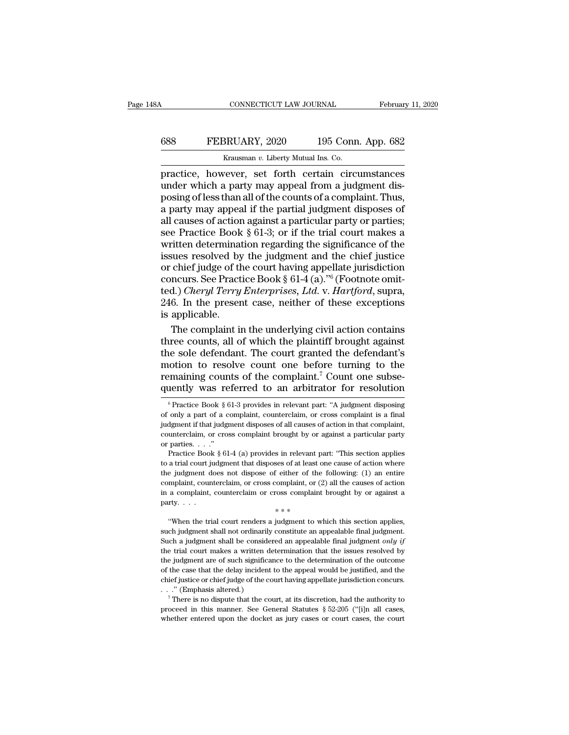# CONNECTICUT LAW JOURNAL February 11, 2020<br>688 FEBRUARY, 2020 195 Conn. App. 682<br>Krausman v. Liberty Mutual Ins. Co.

CONNECTICUT LAW JOURNAL Februar<br>
688 FEBRUARY, 2020 195 Conn. App. 682<br>
<sup>Krausman *v*. Liberty Mutual Ins. Co.<br>
practice, however, set forth certain circumstances<br>
under which a party may appeal from a judgment dis-<br>
posin</sup> CONNECTICUT LAW JOURNAL February 11, 2020<br>
FEBRUARY, 2020 195 Conn. App. 682<br>
Krausman v. Liberty Mutual Ins. Co.<br>
practice, however, set forth certain circumstances<br>
under which a party may appeal from a judgment dis-<br>
po FEBRUARY, 2020 195 Conn. App. 682<br>
Krausman v. Liberty Mutual Ins. Co.<br>
practice, however, set forth certain circumstances<br>
under which a party may appeal from a judgment dis-<br>
posing of less than all of the counts of a c FEBRUARY, 2020 195 Conn. App. 682<br>  $\frac{1}{2}$  Krausman v. Liberty Mutual Ins. Co.<br>
practice, however, set forth certain circumstances<br>
under which a party may appeal from a judgment dis-<br>
posing of less than all of the cou EXECTIVE, 2020 139 COMP. App. 002<br>
FRAME REALLY MUTTER CO.<br>
FRAME REALLY MUTTER CO.<br>
FRAME REALLY MUTTER CO.<br>
INCREDIBNEY THE COMPLET CONTINUES<br>
THE PARTICULAR PARTICULAR PARTY OF PARTICULAR PARTY OF PARTICULAR PARTY OF P Exammar v. Liberty Mutual Ins. Co.<br>
practice, however, set forth certain circumstances<br>
under which a party may appeal from a judgment dis-<br>
posing of less than all of the counts of a complaint. Thus,<br>
a party may appeal practice, however, set forth certain circumstances<br>under which a party may appeal from a judgment dis-<br>posing of less than all of the counts of a complaint. Thus,<br>a party may appeal if the partial judgment disposes of<br>all under which a party may appeal from a judgment disposing of less than all of the counts of a complaint. Thus,<br>a party may appeal if the partial judgment disposes of<br>all causes of action against a particular party or parti posing of less than all of the counts of a complaint. Thus,<br>a party may appeal if the partial judgment disposes of<br>all causes of action against a particular party or parties;<br>see Practice Book § 61-3; or if the trial cour a party may appeal if the partial judgment disposes of all causes of action against a particular party or parties;<br>see Practice Book § 61-3; or if the trial court makes a<br>written determination regarding the significance o all causes of action against a particular party or parties;<br>see Practice Book § 61-3; or if the trial court makes a<br>written determination regarding the significance of the<br>issues resolved by the judgment and the chief just see Practice Book § 61-3; or if the trial court makes a<br>written determination regarding the significance of the<br>issues resolved by the judgment and the chief justice<br>or chief judge of the court having appellate jurisdicti written determinat<br>issues resolved by<br>or chief judge of th<br>concurs. See Pract<br>ted.) *Cheryl Terry*<br>246. In the presen<br>is applicable.<br>The complaint in sues resolved by the judgment and the chief justice<br>
chief judge of the court having appellate jurisdiction<br>
ncurs. See Practice Book § 61-4 (a)."<sup>6</sup> (Footnote omit-<br>
d.) *Cheryl Terry Enterprises, Ltd.* v. *Hartford*, su or chief judge of the court having appellate jurisdiction<br>concurs. See Practice Book  $\S$  61-4 (a)."<sup>6</sup> (Footnote omit-<br>ted.) *Cheryl Terry Enterprises, Ltd.* v. *Hartford*, supra,<br>246. In the present case, neither of thes

concurs. See Practice Book § 61-4 (a)."<sup>6</sup> (Footnote omit-<br>ted.) *Cheryl Terry Enterprises, Ltd.* v. *Hartford*, supra,<br>246. In the present case, neither of these exceptions<br>is applicable.<br>The complaint in the underlying ted.) *Cheryl Terry Enterprises, Ltd.* v. *Hartford*, supra, 246. In the present case, neither of these exceptions is applicable.<br>The complaint in the underlying civil action contains three counts, all of which the plainti 246. In the present case, neither of these exceptions<br>is applicable.<br>The complaint in the underlying civil action contains<br>three counts, all of which the plaintiff brought against<br>the sole defendant. The court granted the is applicable.<br>
The complaint in the underlying civil action contains<br>
three counts, all of which the plaintiff brought against<br>
the sole defendant. The court granted the defendant's<br>
motion to resolve count one before tu ie sole defendant. The court granted the defendant's<br>ootion to resolve count one before turning to the<br>maining counts of the complaint.<sup>7</sup> Count one subse-<br>nently was referred to an arbitrator for resolution<br> $\frac{6}{5}$ Prac motion to resolve count one before turning to the remaining counts of the complaint.<sup>7</sup> Count one subsequently was referred to an arbitrator for resolution  $\frac{1}{6}$  Practice Book § 61-3 provides in relevant part: "A judg

in the judgment does not disposes of all causes of action in that complaint,<br>counterclaim, or cross complaint brought by or against a particular party<br>or parties. . . ."<br>Practice Book § 61-4 (a) provides in relevant part: counterclaim, or cross complaint brought by or against a particular party<br>or parties...."<br>Practice Book § 61-4 (a) provides in relevant part: "This section applies<br>to a trial court judgment that disposes of at least one c or parties. . . ."<br>
Or parties. . . ."<br>
Practice Book § 61-4 (a) provides in relevant part: "This section applies<br>
to a trial court judgment that disposes of at least one cause of action where<br>
the judgment does not dispo Practice Book § 61-4 (a) provides in relevant  $\Gamma$ <br>Practice Book § 61-4 (a) provides in relevant to a trial court judgment that disposes of at least<br>the judgment does not dispose of either of the<br>complaint, counterclaim, the judgment does not dispose of either of the following: (1) an entire complaint, counterclaim, or cross complaint, or (2) all the causes of action in a complaint, counterclaim or cross complaint brought by or against a

such judgment shall not ordinarily constitute an appealable final judgment.<br>
When the trial court renders a judgment to which this section applies,<br>
with the trial court renders a judgment to which this section applies,<br> Fundally, considered an in a complaint, counterclaim or cross complaint brought by or against a party.<br>  $**$ <br>
"When the trial court renders a judgment to which this section applies, such judgment shall not ordinarily const party.  $\ldots$ <br>  $**$ <br>
"When the trial court renders a judgment to which this section applies,<br>
such judgment shall not ordinarily constitute an appealable final judgment.<br>
Such a judgment shall be considered an appealable fi  $**$ <br>
"When the trial court renders a judgment to which this section applies,<br>
such judgment shall not ordinarily constitute an appealable final judgment.<br>
Such a judgment shall be considered an appealable final judgment "When the trial court renders a judgment to which this section applies, such judgment shall not ordinarily constitute an appealable final judgment. Such a judgment shall be considered an appealable final judgment *only if* such judgment shall not ordinarily constitute an appealable final judgment.<br>Such a judgment shall not ordinarily constitute an appealable final judgment only if<br>the trial court makes a written determination that the issue Such a judgment shall be considered.<br>Such a judgment shall be considered.<br>the trial court makes a written d<br>the judgment are of such signification<br>of the case that the delay incident<br>chief justice or chief judge of the c<br> For a judgment area of such significance to the determination that the issues resolved by ejudgment are of such significance to the determination of the outcome the case that the delay incident to the appeal would be just the trial court makes a written determination that the issues resolved by<br>the judgment are of such significance to the determination of the outcome<br>of the case that the delay incident to the appeal would be justified, and of the case that the delay incident to the appeal would be justified, and the

remaining counts of the complaint.<sup>7</sup> Count one subsequently was referred to an arbitrator for resolution  $\degree$ Practice Book § 61-3 provides in relevant part: "A judgment disposing of only a part of a complaint, countercla quently was referred to an arbitrator for resolution<br>  $\binom{6}{5}$  Practice Book § 61-3 provides in relevant part: "A judgment disposing<br>
of only a part of a complaint, counterclaim, or cross complaint is a final<br>
judgment <sup>6</sup> Practice Book § 61-3 provides in relevant part: "A judgment disposing of only a part of a complaint, counterclaim, or cross complaint is a final judgment if that judgment disposes of all causes of action in that compl <sup>6</sup> Practice Book § 61-3 provides in relevant part: "A judgment disposing only a part of a complaint, counterclaim, or cross complaint is a final dgment if that judgment disposes of all causes of action in that complaint, of only a part of a complaint, counterclaim, or cross complaint is a final judgment if that judgment disposes of all causes of action in that complaint, counterclaim, or cross complaint brought by or against a particular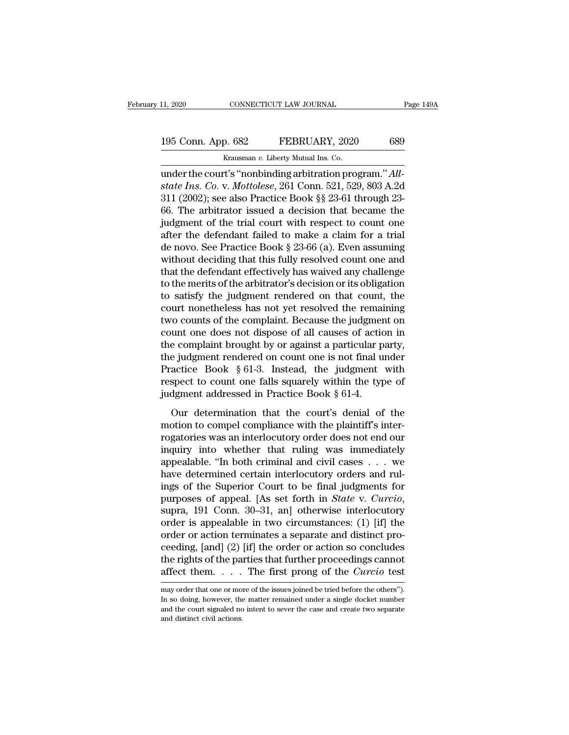# 11, 2020 CONNECTICUT LAW JOURNAL Page 149A<br>195 Conn. App. 682 FEBRUARY, 2020 689<br>Krausman v. Liberty Mutual Ins. Co.

11, 2020 CONNECTICUT LAW JOURNAL<br>195 Conn. App. 682 FEBRUARY, 2020 689<br>Krausman *v*. Liberty Mutual Ins. Co.<br>196 The Court's "nonbinding arbitration program." Allunder the court's "nonbinding arbitration program."<br>
Muscule 195 Conn. App. 682 FEBRUARY, 2020 689<br>
Krausman v. Liberty Mutual Ins. Co.<br>
211 (2002): see also Practice Rock 88 22 61 through 22 **195 Conn. App. 682 FEBRUARY**, 2020 689<br> *Krausman v. Liberty Mutual Ins. Co.*<br> **ander the court's "nonbinding arbitration program."** *All-***<br>** *state Ins. Co. v. Mottolese***, 261 Conn. 521, 529, 803 A.2d<br>
311 (2002); see al** 195 Conn. App. 682 FEBRUARY, 2020 689<br>
Krausman v. Liberty Mutual Ins. Co.<br>
under the court's "nonbinding arbitration program." All-<br>
state Ins. Co. v. Mottolese, 261 Conn. 521, 529, 803 A.2d<br>
311 (2002); see also Practic 195 Conn. App. 682 FEBRUARY, 2020 689<br>
Krausman v. Liberty Mutual Ins. Co.<br>
under the court's "nonbinding arbitration program." *All-*<br>
state Ins. Co. v. Mottolese, 261 Conn. 521, 529, 803 A.2d<br>
311 (2002); see also Pract France Krausman v. Liberty Mutual Ins. Co.<br>
under the court's "nonbinding arbitration program." All-<br>
state Ins. Co. v. Mottolese, 261 Conn. 521, 529, 803 A.2d<br>
311 (2002); see also Practice Book §§ 23-61 through 23-<br>
66. Example  $n$  Example 2.1 Merry Mutual Ins. Co.<br>
under the court's "nonbinding arbitration program." All-<br>
state Ins. Co. v. Mottolese, 261 Conn. 521, 529, 803 A.2d<br>
311 (2002); see also Practice Book §§ 23-61 through 23-<br> under the court's "nonbinding arbitration program."  $All-state Ins. Co. v. Mottolese, 261 Conn. 521, 529, 803 A.2d 311 (2002); see also Practice Book  $\S$  23-61 through 23-66. The arbitrary issued a decision that became the judgment of the trial court with respect to count one after the defendant failed to make a claim for a trial de novo. See Practice Book  $\S$  23-66 (a). Even assuming without deciding that this fully resolved count one and that the defendant effectively has mixed any challenge.$ state Ins. Co. v. Mottolese, 261 Conn. 521, 529, 803 A.2d<br>311 (2002); see also Practice Book §§ 23-61 through 23-<br>66. The arbitrator issued a decision that became the<br>judgment of the trial court with respect to count one<br>a 311 (2002); see also Practice Book §§ 23-61 through 23-66. The arbitrator issued a decision that became the judgment of the trial court with respect to count one after the defendant failed to make a claim for a trial de n 66. The arbitrator issued a decision that became the judgment of the trial court with respect to count one after the defendant failed to make a claim for a trial de novo. See Practice Book § 23-66 (a). Even assuming witho judgment of the trial court with respect to count one<br>after the defendant failed to make a claim for a trial<br>de novo. See Practice Book § 23-66 (a). Even assuming<br>without deciding that this fully resolved count one and<br>tha after the defendant failed to make a claim for a trial<br>de novo. See Practice Book § 23-66 (a). Even assuming<br>without deciding that this fully resolved count one and<br>that the defendant effectively has waived any challenge<br>t de novo. See Practice Book § 23-66 (a). Even assuming<br>without deciding that this fully resolved count one and<br>that the defendant effectively has waived any challenge<br>to the merits of the arbitrator's decision or its obliga without deciding that this fully resolved count one and<br>that the defendant effectively has waived any challenge<br>to the merits of the arbitrator's decision or its obligation<br>to satisfy the judgment rendered on that count, t that the defendant effectively has waived any challenge<br>to the merits of the arbitrator's decision or its obligation<br>to satisfy the judgment rendered on that count, the<br>court nonetheless has not yet resolved the remaining to the merits of the arbitrator's decision or its obligation<br>to satisfy the judgment rendered on that count, the<br>court nonetheless has not yet resolved the remaining<br>two counts of the complaint. Because the judgment on<br>co to satisfy the judgment rendered on that count, the<br>court nonetheless has not yet resolved the remaining<br>two counts of the complaint. Because the judgment on<br>count one does not dispose of all causes of action in<br>the compla court nonetheless has not yet resolved the remaining<br>two counts of the complaint. Because the judgment on<br>count one does not dispose of all causes of action in<br>the complaint brought by or against a particular party,<br>the j two counts of the complaint. Because the judgment<br>count one does not dispose of all causes of actic<br>the complaint brought by or against a particular p<br>the judgment rendered on count one is not final u<br>Practice Book § 61-3 From that the complaint brought by or against a particular party,<br>e judgment rendered on count one is not final under<br>actice Book § 61-3. Instead, the judgment with<br>spect to count one falls squarely within the type of<br>dgm the judgment rendered on count one is not final under<br>Practice Book § 61-3. Instead, the judgment with<br>respect to count one falls squarely within the type of<br>judgment addressed in Practice Book § 61-4.<br>Our determination t

Practice Book § 61-3. Instead, the judgment with<br>respect to count one falls squarely within the type of<br>judgment addressed in Practice Book § 61-4.<br>Our determination that the court's denial of the<br>motion to compel complia ractice Econ 3 of c. Increase, and 3 angles within the type of<br>indigment addressed in Practice Book § 61-4.<br>Our determination that the court's denial of the<br>motion to compel compliance with the plaintiff's inter-<br>rogatori judgment addressed in Practice Book § 61-4.<br>
Our determination that the court's denial of the<br>
motion to compel compliance with the plaintiff's inter-<br>
rogatories was an interlocutory order does not end our<br>
inquiry into our determination that the court's denial of the<br>motion to compel compliance with the plaintiff's inter-<br>rogatories was an interlocutory order does not end our<br>inquiry into whether that ruling was immediately<br>appealable. Our determination that the court's denial of the<br>motion to compel compliance with the plaintiff's inter-<br>rogatories was an interlocutory order does not end our<br>inquiry into whether that ruling was immediately<br>appealable. motion to compel compliance with the plaintiff's inter-<br>rogatories was an interlocutory order does not end our<br>inquiry into whether that ruling was immediately<br>appealable. "In both criminal and civil cases . . . we<br>have de inquiry into whether that ruling was immediately<br>appealable. "In both criminal and civil cases . . . we<br>have determined certain interlocutory orders and rul-<br>ings of the Superior Court to be final judgments for<br>purposes o appealable. "In both criminal and civil cases  $\ldots$  we have determined certain interlocutory orders and rulings of the Superior Court to be final judgments for purposes of appeal. [As set forth in *State v. Curcio*, supra have determined certain interlocutory orders and rulings of the Superior Court to be final judgments for<br>purposes of appeal. [As set forth in *State* v. *Curcio*,<br>supra, 191 Conn. 30–31, an] otherwise interlocutory<br>order i ings of the Superior Court to be final judgments for<br>purposes of appeal. [As set forth in *State* v. *Curcio*,<br>supra, 191 Conn. 30–31, an] otherwise interlocutory<br>order is appealable in two circumstances: (1) [if] the<br>ord purposes of appeal. [As set forth in *State* v. *Curcio*, supra, 191 Conn. 30–31, an] otherwise interlocutory order is appealable in two circumstances: (1) [if] the order or action terminates a separate and distinct procee order or action terminates a separate and distinct proceeding, [and] (2) [if] the order or action so concludes<br>the rights of the parties that further proceedings cannot<br>affect them..... The first prong of the *Curcio* tes ceeding, [and] (2) [if] the order or action so concludes<br>the rights of the parties that further proceedings cannot<br>affect them. . . . The first prong of the *Curcio* test<br>may order that one or more of the issues joined be

the rights of the parties that further proceedings cannot affect them.  $\ldots$  The first prong of the *Curcio* test may order that one or more of the issues joined be tried before the others"). In so doing, however, the mat affect them. . . . .<br>may order that one or mooth so doing, however, then<br>and the court signaled not and distinct civil actions.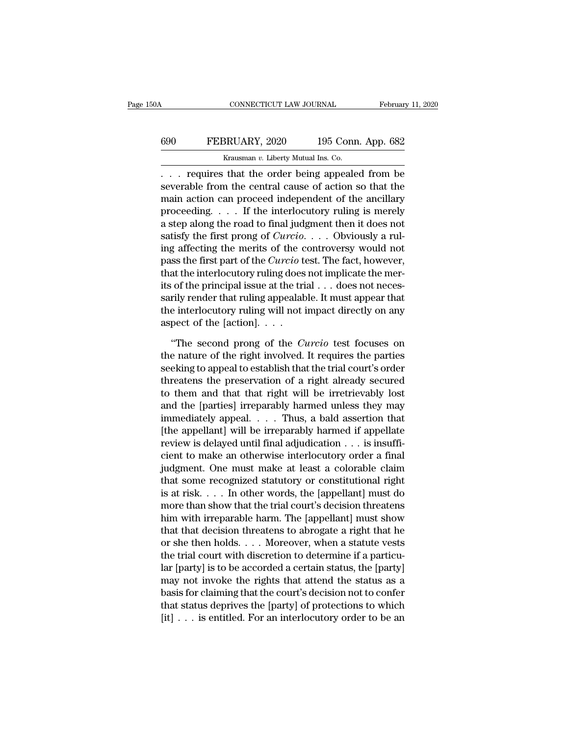#### CONNECTICUT LAW JOURNAL February 11, 2020<br>690 FEBRUARY, 2020 195 Conn. App. 682<br>Krausman v. Liberty Mutual Ins. Co. CONNECTICUT LAW JOURNAL<br>BRUARY, 2020 195 Connect<br>Krausman *v.* Liberty Mutual Ins. Co.<br>that the order being appeale

CONNECTICUT LAW JOURNAL February 11, 2020<br>
FEBRUARY, 2020 195 Conn. App. 682<br>
Krausman v. Liberty Mutual Ins. Co.<br>
... requires that the order being appealed from be<br>
severable from the central cause of action so that the<br> FEBRUARY, 2020 195 Conn. App. 682<br>
Krausman v. Liberty Mutual Ins. Co.<br>
... requires that the order being appealed from be<br>
severable from the central cause of action so that the<br>
main action can proceed independent of th FEBRUARY, 2020 195 Conn. App. 682<br>
Krausman v. Liberty Mutual Ins. Co.<br>
... requires that the order being appealed from be<br>
severable from the central cause of action so that the<br>
main action can proceed independent of th FEBRUARY, 2020 195 Conn. App. 682<br>
Krausman v. Liberty Mutual Ins. Co.<br>
... requires that the order being appealed from be<br>
severable from the central cause of action so that the<br>
main action can proceed independent of th Example 1 Krausman v. Liberty Mutual Ins. Co.<br>
. . . requires that the order being appealed from be<br>
severable from the central cause of action so that the<br>
main action can proceed independent of the ancillary<br>
proceeding straight of the order being appealed from be<br>severable from the central cause of action so that the<br>main action can proceed independent of the ancillary<br>proceeding. . . . If the interlocutory ruling is merely<br>a step along ... requires that the order being appealed from be<br>severable from the central cause of action so that the<br>main action can proceed independent of the ancillary<br>proceeding.... If the interlocutory ruling is merely<br>a step al severable from the central cause of action so that the<br>main action can proceed independent of the ancillary<br>proceeding. . . . If the interlocutory ruling is merely<br>a step along the road to final judgment then it does not<br> main action can proceed independent of the ancillary<br>proceeding. . . . If the interlocutory ruling is merely<br>a step along the road to final judgment then it does not<br>satisfy the first prong of *Curcio*. . . . Obviously a proceeding. . . . . If the interlocutory ruling is merely<br>a step along the road to final judgment then it does not<br>satisfy the first prong of *Curcio*. . . . Obviously a rul-<br>ing affecting the merits of the controversy wo a step along the road to final judgment then it does not<br>satisfy the first prong of *Curcio.* . . . Obviously a rul-<br>ing affecting the merits of the controversy would not<br>pass the first part of the *Curcio* test. The fact satisfy the first prong of *Curcio*. . . . Obviously a rul-<br>ing affecting the merits of the controversy would not<br>pass the first part of the *Curcio* test. The fact, however,<br>that the interlocutory ruling does not implica ing affecting the merits of the c<br>pass the first part of the *Curcio* to<br>that the interlocutory ruling does<br>its of the principal issue at the tri<br>sarily render that ruling appealab<br>the interlocutory ruling will not i<br>aspe at the interlocutory ruling does not implicate the mer-<br>
of the principal issue at the trial . . . does not neces-<br>
rily render that ruling appealable. It must appear that<br>
e interlocutory ruling will not impact directly o its of the principal issue at the trial  $\ldots$  does not necessarily render that ruling appealable. It must appear that<br>the interlocutory ruling will not impact directly on any<br>aspect of the [action].  $\ldots$ <br>"The second pron

sarily render that ruling appealable. It must appear that<br>the interlocutory ruling will not impact directly on any<br>aspect of the [action].  $\dots$ <br>"The second prong of the *Curcio* test focuses on<br>the nature of the right inv the interlocutory ruling will not impact directly on any<br>aspect of the [action].  $\ldots$ <br>"The second prong of the *Curcio* test focuses on<br>the nature of the right involved. It requires the parties<br>seeking to appeal to estab aspect of the [action].  $\ldots$ <br>
"The second prong of the *Curcio* test focuses on<br>
the nature of the right involved. It requires the parties<br>
seeking to appeal to establish that the trial court's order<br>
threatens the prese "The second prong of the *Curcio* test focuses on<br>the nature of the right involved. It requires the parties<br>seeking to appeal to establish that the trial court's order<br>threatens the preservation of a right already secured "The second prong of the *Curcio* test focuses on<br>the nature of the right involved. It requires the parties<br>seeking to appeal to establish that the trial court's order<br>threatens the preservation of a right already secured the nature of the right involved. It requires the parties<br>seeking to appeal to establish that the trial court's order<br>threatens the preservation of a right already secured<br>to them and that that right will be irretrievably seeking to appeal to establish that the trial court's order<br>threatens the preservation of a right already secured<br>to them and that that right will be irretrievably lost<br>and the [parties] irreparably harmed unless they may<br> threatens the preservation of a right already secured<br>to them and that that right will be irretrievably lost<br>and the [parties] irreparably harmed unless they may<br>immediately appeal. . . . Thus, a bald assertion that<br>[the to them and that that right will be irretrievably lost<br>and the [parties] irreparably harmed unless they may<br>immediately appeal. . . . Thus, a bald assertion that<br>[the appellant] will be irreparably harmed if appellate<br>rev and the [parties] irreparably harmed unless they may<br>immediately appeal.  $\dots$  Thus, a bald assertion that<br>[the appellant] will be irreparably harmed if appellate<br>review is delayed until final adjudication  $\dots$  is insuffiimmediately appeal. . . . . Thus, a bald assertion that<br>[the appellant] will be irreparably harmed if appellate<br>review is delayed until final adjudication . . . is insuffi-<br>cient to make an otherwise interlocutory order a [the appellant] will be irreparably harmed if appellate<br>review is delayed until final adjudication  $\dots$  is insuffi-<br>cient to make an otherwise interlocutory order a final<br>judgment. One must make at least a colorable claim review is delayed until final adjudication . . . is insufficient to make an otherwise interlocutory order a final<br>judgment. One must make at least a colorable claim<br>that some recognized statutory or constitutional right<br>i cient to make an otherwise interlocutory order a final<br>judgment. One must make at least a colorable claim<br>that some recognized statutory or constitutional right<br>is at risk. . . . In other words, the [appellant] must do<br>mor judgment. One must make at least a colorable claim<br>that some recognized statutory or constitutional right<br>is at risk. . . . In other words, the [appellant] must do<br>more than show that the trial court's decision threatens<br>h that some recognized statutory or constitutional right<br>is at risk. . . . In other words, the [appellant] must do<br>more than show that the trial court's decision threatens<br>him with irreparable harm. The [appellant] must sho is at risk. . . . In other words, the [appellant] must do<br>more than show that the trial court's decision threatens<br>him with irreparable harm. The [appellant] must show<br>that that decision threatens to abrogate a right that more than show that the trial court's decision threatens<br>him with irreparable harm. The [appellant] must show<br>that that decision threatens to abrogate a right that he<br>or she then holds. . . . Moreover, when a statute vests him with irreparable harm. The [appellant] must show<br>that that decision threatens to abrogate a right that he<br>or she then holds. . . . Moreover, when a statute vests<br>the trial court with discretion to determine if a partic that that decision threatens to abrogate a right that he<br>or she then holds. . . . Moreover, when a statute vests<br>the trial court with discretion to determine if a particu-<br>lar [party] is to be accorded a certain status, t or she then holds. . . . Moreover, when a statute vests<br>the trial court with discretion to determine if a particu-<br>lar [party] is to be accorded a certain status, the [party]<br>may not invoke the rights that attend the statu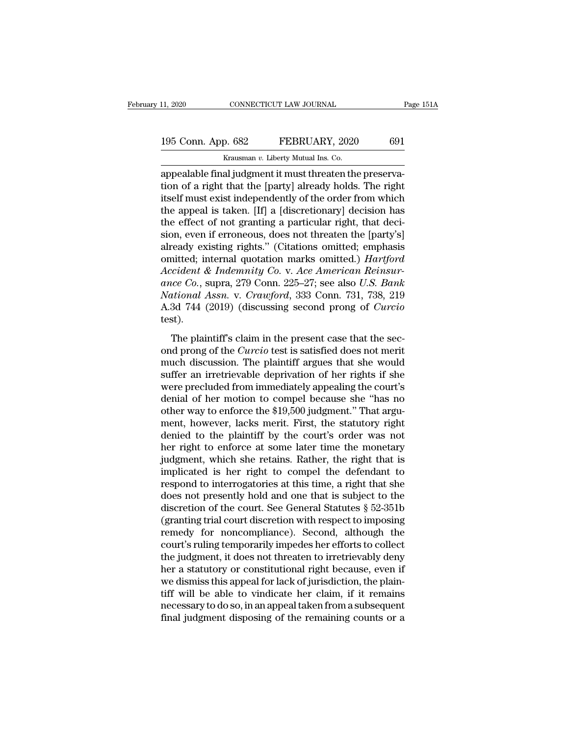# 11, 2020 CONNECTICUT LAW JOURNAL Page 151A<br>195 Conn. App. 682 FEBRUARY, 2020 691<br>Krausman v. Liberty Mutual Ins. Co.

The CONNECTICUT LAW JOURNAL<br>195 Conn. App. 682 FEBRUARY, 2020 691<br>Krausman *v*. Liberty Mutual Ins. Co.<br>2014 The Connection of European Connection of the Street Connection of the Street Connection of the Street Connection appealable final judgment it must threaten the preserva-<br>
appealable final judgment it must threaten the preserva-<br>
ition of a right that the [party] already holds. The right<br>
ition is a visit independently of the order fr 195 Conn. App. 682 FEBRUARY, 2020 691<br>
Krausman v. Liberty Mutual Ins. Co.<br>
appealable final judgment it must threaten the preserva-<br>
tion of a right that the [party] already holds. The right<br>
itself must exist independent 195 Conn. App. 682 FEBRUARY, 2020 691<br>
Krausman v. Liberty Mutual Ins. Co.<br>
appealable final judgment it must threaten the preservation of a right that the [party] already holds. The right<br>
itself must exist independently 195 Conn. App. 682 FEBRUARY, 2020 691<br>
Krausman v. Liberty Mutual Ins. Co.<br>
appealable final judgment it must threaten the preserva-<br>
tion of a right that the [party] already holds. The right<br>
itself must exist independen Krausman v. Liberty Mutual Ins. Co.<br>
appealable final judgment it must threaten the preserva-<br>
tion of a right that the [party] already holds. The right<br>
itself must exist independently of the order from which<br>
the appeal strausman v. Liberty Mutual ins. Co.<br>
appealable final judgment it must threaten the preserva-<br>
tion of a right that the [party] already holds. The right<br>
itself must exist independently of the order from which<br>
the appea appealable final judgment it must threaten the preservation of a right that the [party] already holds. The right<br>itself must exist independently of the order from which<br>the appeal is taken. [If] a [discretionary] decision tion of a right that the [party] already holds. The right<br>itself must exist independently of the order from which<br>the appeal is taken. [If] a [discretionary] decision has<br>the effect of not granting a particular right, that *Accidentif* must exist independently of the order from which<br>the appeal is taken. [If] a [discretionary] decision has<br>the effect of not granting a particular right, that deci-<br>sion, even if erroneous, does not threaten th the appeal is taken. [If] a [discretionary] decision has<br>the effect of not granting a particular right, that deci-<br>sion, even if erroneous, does not threaten the [party's]<br>already existing rights." (Citations omitted; emph the effect of not granting a particular right, that decision, even if erroneous, does not threaten the [party's] already existing rights." (Citations omitted; emphasis omitted; internal quotation marks omitted.) *Hartford* sion, even if erroneous, does not threaten the [party's]<br>already existing rights." (Citations omitted; emphasis<br>omitted; internal quotation marks omitted.) *Hartford*<br>Accident & Indemnity Co. v. Ace American Reinsur-<br>ance test). The plaintiff's claim in the present case that the section of the plaintiff's claim in the present case that the sec-<br>The plaintiff's claim in the present case that the sec-<br>of prong of the Curcio test is satisfied does no ance Co., supra, 279 Conn. 225–27; see also *U.S. Bank*<br> *Mational Assn.* v. *Crawford*, 333 Conn. 731, 738, 219<br>
A.3d 744 (2019) (discussing second prong of *Curcio*<br>
test).<br>
The plaintiff's claim in the present case that

much discussion. The plaintiff's claim in the present case that the sec-<br>Mational Assn. v. Crawford, 333 Conn. 731, 738, 219<br>A.3d 744 (2019) (discussing second prong of *Curcio*<br>test).<br>The plaintiff's claim in the present A.3d 744 (2019) (discussing second prong of *Curcio*<br>test).<br>The plaintiff's claim in the present case that the sec-<br>ond prong of the *Curcio* test is satisfied does not merit<br>much discussion. The plaintiff argues that she refluit the plaintiff's claim in the present case that the sec-<br>ond prong of the *Curcio* test is satisfied does not merit<br>much discussion. The plaintiff argues that she would<br>suffer an irretrievable deprivation of her rig The plaintiff's claim in the present case that the section<br>ond prong of the *Curcio* test is satisfied does not merit<br>much discussion. The plaintiff argues that she would<br>suffer an irretrievable deprivation of her rights The plaintiff's claim in the present case that the sec-<br>ond prong of the *Curcio* test is satisfied does not merit<br>much discussion. The plaintiff argues that she would<br>suffer an irretrievable deprivation of her rights if s ond prong of the *Curcio* test is satisfied does not merit<br>much discussion. The plaintiff argues that she would<br>suffer an irretrievable deprivation of her rights if she<br>were precluded from immediately appealing the court's much discussion. The plaintiff argues that she would<br>suffer an irretrievable deprivation of her rights if she<br>were precluded from immediately appealing the court's<br>denial of her motion to compel because she "has no<br>other w suffer an irretrievable deprivation of her rights if she<br>were precluded from immediately appealing the court's<br>denial of her motion to compel because she "has no<br>other way to enforce the \$19,500 judgment." That argu-<br>ment, were precluded from immediately appealing the court's<br>denial of her motion to compel because she "has no<br>other way to enforce the \$19,500 judgment." That argu-<br>ment, however, lacks merit. First, the statutory right<br>denied denial of her motion to compel because she "has no<br>other way to enforce the \$19,500 judgment." That argu-<br>ment, however, lacks merit. First, the statutory right<br>denied to the plaintiff by the court's order was not<br>her righ other way to enforce the \$19,500 judgment." That argument, however, lacks merit. First, the statutory right denied to the plaintiff by the court's order was not her right to enforce at some later time the monetary judgmen ment, however, lacks merit. First, the statutory right<br>denied to the plaintiff by the court's order was not<br>her right to enforce at some later time the monetary<br>judgment, which she retains. Rather, the right that is<br>impli denied to the plaintiff by the court's order was not<br>her right to enforce at some later time the monetary<br>judgment, which she retains. Rather, the right that is<br>implicated is her right to compel the defendant to<br>respond to her right to enforce at some later time the monetary<br>judgment, which she retains. Rather, the right that is<br>implicated is her right to compel the defendant to<br>respond to interrogatories at this time, a right that she<br>does judgment, which she retains. Rather, the right that is<br>implicated is her right to compel the defendant to<br>respond to interrogatories at this time, a right that she<br>does not presently hold and one that is subject to the<br>dis implicated is her right to compel the defendant to<br>respond to interrogatories at this time, a right that she<br>does not presently hold and one that is subject to the<br>discretion of the court. See General Statutes § 52-351b<br>(g respond to interrogatories at this time, a right that she<br>does not presently hold and one that is subject to the<br>discretion of the court. See General Statutes § 52-351b<br>(granting trial court discretion with respect to impo does not presently hold and one that is subject to the<br>discretion of the court. See General Statutes § 52-351b<br>(granting trial court discretion with respect to imposing<br>remedy for noncompliance). Second, although the<br>court discretion of the court. See General Statutes § 52-351b<br>(granting trial court discretion with respect to imposing<br>remedy for noncompliance). Second, although the<br>court's ruling temporarily impedes her efforts to collect<br>th (granting trial court discretion with respect to imposing<br>remedy for noncompliance). Second, although the<br>court's ruling temporarily impedes her efforts to collect<br>the judgment, it does not threaten to irretrievably deny<br>h remedy for noncompliance). Second, although the<br>court's ruling temporarily impedes her efforts to collect<br>the judgment, it does not threaten to irretrievably deny<br>her a statutory or constitutional right because, even if<br>we court's ruling temporarily impedes her efforts to collect<br>the judgment, it does not threaten to irretrievably deny<br>her a statutory or constitutional right because, even if<br>we dismiss this appeal for lack of jurisdiction, t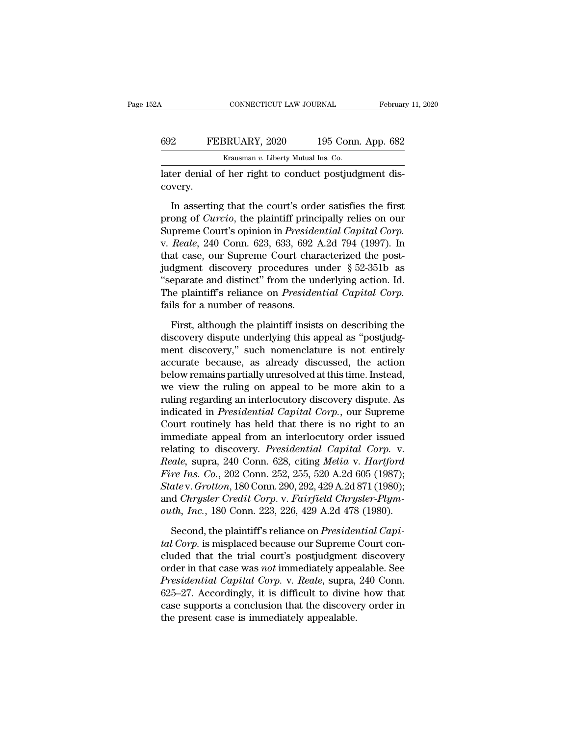#### CONNECTICUT LAW JOURNAL February 11, 2020<br>692 FEBRUARY, 2020 195 Conn. App. 682<br>Krausman v. Liberty Mutual Ins. Co. CONNECTICUT LAW JOURNAL<br>BRUARY, 2020 195 Connect<br>Krausman *v.* Liberty Mutual Ins. Co.<br>f her right to conduct postiuds CONNECTICUT LAW JOURNAL Februar<br>
692 FEBRUARY, 2020 195 Conn. App. 682<br>
Krausman v. Liberty Mutual Ins. Co.<br>
Later denial of her right to conduct postjudgment discovery.

covery.

FEBRUARY, 2020 195 Conn. App. 682<br>
Krausman v. Liberty Mutual Ins. Co.<br>
In asserting that the court's order satisfies the first<br>
one of *Curcio*, the plaintiff principally relies on our<br>
presence Court's opinion in *Presid* FEBRUART, 2020 199 Colin. App. 082<br>
Krausman *v*. Liberty Mutual Ins. Co.<br>
later denial of her right to conduct postjudgment dis-<br>
covery.<br>
In asserting that the court's order satisfies the first<br>
prong of *Curcio*, the pl Krausman v. Liberty Mutual Ins. Co.<br>
Later denial of her right to conduct postjudgment dis-<br>
covery.<br>
In asserting that the court's order satisfies the first<br>
prong of *Curcio*, the plaintiff principally relies on our<br>
Sup later denial of her right to conduct postjudgment dis-<br>covery.<br>In asserting that the court's order satisfies the first<br>prong of *Curcio*, the plaintiff principally relies on our<br>Supreme Court's opinion in *Presidential Cap* that court's order satisfies the first<br>prong of *Curcio*, the plaintiff principally relies on our<br>Supreme Court's opinion in *Presidential Capital Corp*.<br>v. *Reale*, 240 Conn. 623, 633, 692 A.2d 794 (1997). In<br>that case, In asserting that the court's order satisfies the first<br>prong of *Curcio*, the plaintiff principally relies on our<br>Supreme Court's opinion in *Presidential Capital Corp*.<br>v. *Reale*, 240 Conn. 623, 633, 692 A.2d 794 (1997 In asserting that the court's order satisfies the first<br>prong of *Curcio*, the plaintiff principally relies on our<br>Supreme Court's opinion in *Presidential Capital Corp*.<br>v. *Reale*, 240 Conn. 623, 633, 692 A.2d 794 (1997 prong of *Curcio*, the plaintiff principally relies on our<br>Supreme Court's opinion in *Presidential Capital Corp.*<br>v. Reale, 240 Conn. 623, 633, 692 A.2d 794 (1997). In<br>that case, our Supreme Court characterized the post-<br> Supreme Court's opinion in *Preside*<br>v. Reale, 240 Conn. 623, 633, 692 .<br>that case, our Supreme Court chan<br>judgment discovery procedures to<br>"separate and distinct" from the ur<br>The plaintiff's reliance on *Presider*<br>fails f at case, our Supreme Court characterized the post-<br>dgment discovery procedures under § 52-351b as<br>eparate and distinct" from the underlying action. Id.<br>ne plaintiff's reliance on *Presidential Capital Corp*.<br>Is for a numbe judgment discovery procedures under § 52-351b as<br>
"separate and distinct" from the underlying action. Id.<br>
The plaintiff's reliance on *Presidential Capital Corp*.<br>
fails for a number of reasons.<br>
First, although the plain

"separate and distinct" from the underlying action. Id.<br>The plaintiff's reliance on *Presidential Capital Corp*.<br>fails for a number of reasons.<br>First, although the plaintiff insists on describing the<br>discovery dispute unde The plaintiff's reliance on *Presidential Capital Corp*.<br>fails for a number of reasons.<br>First, although the plaintiff insists on describing the<br>discovery dispute underlying this appeal as "postjudg-<br>ment discovery," such n fails for a number of reasons.<br>First, although the plaintiff insists on describing the<br>discovery dispute underlying this appeal as "postjudg-<br>ment discovery," such nomenclature is not entirely<br>accurate because, as already First, although the plaintiff insists on describing the<br>discovery dispute underlying this appeal as "postjudg-<br>ment discovery," such nomenclature is not entirely<br>accurate because, as already discussed, the action<br>below rem First, although the plaintiff insists on describing the<br>discovery dispute underlying this appeal as "postjudg-<br>ment discovery," such nomenclature is not entirely<br>accurate because, as already discussed, the action<br>below rem discovery dispute underlying this appeal as "postjudg-<br>ment discovery," such nomenclature is not entirely<br>accurate because, as already discussed, the action<br>below remains partially unresolved at this time. Instead,<br>we view ment discovery," such nomenclature is not entirely<br>accurate because, as already discussed, the action<br>below remains partially unresolved at this time. Instead,<br>we view the ruling on appeal to be more akin to a<br>ruling regar accurate because, as already discussed, the action<br>below remains partially unresolved at this time. Instead,<br>we view the ruling on appeal to be more akin to a<br>ruling regarding an interlocutory discovery dispute. As<br>indicat below remains partially unresolved at this time. Instead,<br>we view the ruling on appeal to be more akin to a<br>ruling regarding an interlocutory discovery dispute. As<br>indicated in *Presidential Capital Corp.*, our Supreme<br>Cou *Realisting* we view the ruling on appeal to be more akin to a<br>
ruling regarding an interlocutory discovery dispute. As<br>
indicated in *Presidential Capital Corp.*, our Supreme<br>
Court routinely has held that there is no rig ruling regarding an interlocutory discovery dispute. As<br>indicated in *Presidential Capital Corp.*, our Supreme<br>Court routinely has held that there is no right to an<br>immediate appeal from an interlocutory order issued<br>relat indicated in *Presidential Capital Corp.*, our Supreme<br>
Court routinely has held that there is no right to an<br>
immediate appeal from an interlocutory order issued<br>
relating to discovery. *Presidential Capital Corp.* v.<br> *R* Court routinely has held that there is no right to an<br>immediate appeal from an interlocutory order issued<br>relating to discovery. *Presidential Capital Corp.* v.<br>*Reale*, supra, 240 Conn. 628, citing *Melia* v. *Hartford*<br> immediate appeal from an interlocutory order issued<br>relating to discovery. *Presidential Capital Corp.* v.<br>*Reale*, supra, 240 Conn. 628, citing *Melia* v. *Hartford*<br>*Fire Ins. Co.*, 202 Conn. 252, 255, 520 A.2d 605 (1987 relative, supra, 240 Conn. 628, citing *Melia v. Hartford*<br>*re Ins. Co.*, 202 Conn. 252, 255, 520 A.2d 605 (1987);<br>*atev. Grotton*, 180 Conn. 290, 292, 429 A.2d 871 (1980);<br>d *Chrysler Credit Corp. v. Fairfield Chrysler-Pl Fire Ins. Co., 202 Conn. 252, 255, 520 A.2d 605 (1987);*<br> *Statev. Grotton, 180 Conn. 290, 292, 429 A.2d 871 (1980);*<br>
and *Chrysler Credit Corp. v. Fairfield Chrysler-Plym-*<br> *outh, Inc., 180 Conn. 223, 226, 429 A.2d 478* 

State v. Grotton, 180 Conn. 290, 292, 429 A.2d 871 (1980);<br>and *Chrysler Credit Corp.* v. *Fairfield Chrysler-Plym-*<br>outh, Inc., 180 Conn. 223, 226, 429 A.2d 478 (1980).<br>Second, the plaintiff's reliance on *Presidential Ca* and Chrysler Credit Corp. v. Fairfield Chrysler-Plym-<br>outh, Inc., 180 Conn. 223, 226, 429 A.2d 478 (1980).<br>Second, the plaintiff's reliance on Presidential Capi-<br>tal Corp. is misplaced because our Supreme Court con-<br>cluded *Presidential Corp.* 223, 226, 429 A.2d 478 (1980).<br> *Presidential Capital Corp.* is misplaced because our Supreme Court concluded that the trial court's postjudgment discovery<br>
presidential capital court's postjudgment di Second, the plaintiff's reliance on *Presidential Capital Corp*.<br> *tal Corp.* is misplaced because our Supreme Court concluded that the trial court's postjudgment discovery<br>
order in that case was *not* immediately appeala Second, the plaintiff's reliance on *Presidential Capital Corp*. is misplaced because our Supreme Court concluded that the trial court's postjudgment discovery order in that case was *not* immediately appealable. See *Pres* tal Corp. is misplaced because our Supreme<br>cluded that the trial court's postjudgment<br>order in that case was *not* immediately appe<br>*Presidential Capital Corp.* v. *Reale*, supra,<br>625–27. Accordingly, it is difficult to di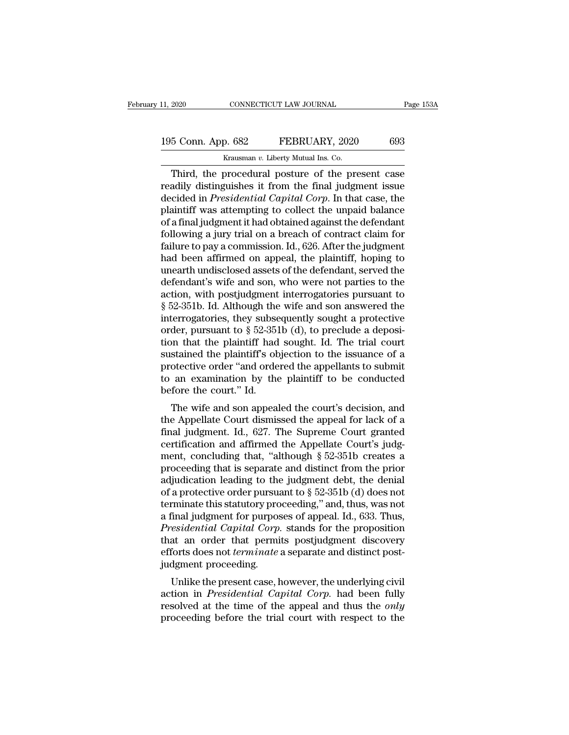#### 11, 2020 CONNECTICUT LAW JOURNAL Page 153A<br>195 Conn. App. 682 FEBRUARY, 2020 693<br>Krausman v. Liberty Mutual Ins. Co. Krausman *v.* Liberty Mutual Ins. Co.

CONNECTICUT LAW JOURNAL Page 153A<br>
5 Conn. App. 682 FEBRUARY, 2020 693<br>
Krausman v. Liberty Mutual Ins. Co.<br>
Third, the procedural posture of the present case<br>
adily distinguishes it from the final judgment issue<br>
coided i 195 Conn. App. 682 FEBRUARY, 2020 693<br>
Krausman v. Liberty Mutual Ins. Co.<br>
Third, the procedural posture of the present case<br>
readily distinguishes it from the final judgment issue<br>
decided in *Presidential Capital Corp*. 195 Conn. App. 682 FEBRUARY, 2020 693<br>
Krausman v. Liberty Mutual Ins. Co.<br>
Third, the procedural posture of the present case<br>
readily distinguishes it from the final judgment issue<br>
decided in *Presidential Capital Corp*. 195 Conn. App. 682 FEBRUARY, 2020 693<br>
Krausman v. Liberty Mutual Ins. Co.<br>
Third, the procedural posture of the present case<br>
readily distinguishes it from the final judgment issue<br>
decided in *Presidential Capital Corp* Franch II and the Bookin Fight of a final judgment issue<br>
Third, the procedural posture of the present case<br>
readily distinguishes it from the final judgment issue<br>
decided in *Presidential Capital Corp*. In that case, th Frausman v. Liberty Mutual Ins. Co.<br>
Third, the procedural posture of the present case<br>
readily distinguishes it from the final judgment issue<br>
decided in *Presidential Capital Corp*. In that case, the<br>
plaintiff was attem Third, the procedural posture of the present case<br>readily distinguishes it from the final judgment issue<br>decided in *Presidential Capital Corp*. In that case, the<br>plaintiff was attempting to collect the unpaid balance<br>of a readily distinguishes it from the final judgment issue<br>decided in *Presidential Capital Corp*. In that case, the<br>plaintiff was attempting to collect the unpaid balance<br>of a final judgment it had obtained against the defend decided in *Presidential Capital Corp*. In that case, the plaintiff was attempting to collect the unpaid balance of a final judgment it had obtained against the defendant following a jury trial on a breach of contract clai plaintiff was attempting to collect the unpaid balance<br>of a final judgment it had obtained against the defendant<br>following a jury trial on a breach of contract claim for<br>failure to pay a commission. Id., 626. After the jud of a final judgment it had obtained against the defendant<br>following a jury trial on a breach of contract claim for<br>failure to pay a commission. Id., 626. After the judgment<br>had been affirmed on appeal, the plaintiff, hopin following a jury trial on a breach of contract claim for<br>failure to pay a commission. Id., 626. After the judgment<br>had been affirmed on appeal, the plaintiff, hoping to<br>unearth undisclosed assets of the defendant, served failure to pay a commission. Id., 626. After the judgment<br>had been affirmed on appeal, the plaintiff, hoping to<br>unearth undisclosed assets of the defendant, served the<br>defendant's wife and son, who were not parties to the had been affirmed on appeal, the plaintiff, hoping to<br>unearth undisclosed assets of the defendant, served the<br>defendant's wife and son, who were not parties to the<br>action, with postjudgment interrogatories pursuant to<br> $\S$ unearth undisclosed assets of the defendant, served the<br>defendant's wife and son, who were not parties to the<br>action, with postjudgment interrogatories pursuant to<br>§ 52-351b. Id. Although the wife and son answered the<br>inte defendant's wife and son, who were not parties to the<br>action, with postjudgment interrogatories pursuant to<br>§ 52-351b. Id. Although the wife and son answered the<br>interrogatories, they subsequently sought a protective<br>order action, with postjudgment interrogatories pursuant to  $\S$  52-351b. Id. Although the wife and son answered the interrogatories, they subsequently sought a protective order, pursuant to  $\S$  52-351b (d), to preclude a deposi  $\S$  52-351b. Id. Although the wife and son answered the<br>interrogatories, they subsequently sought a protective<br>order, pursuant to  $\S$  52-351b (d), to preclude a deposi-<br>tion that the plaintiff had sought. Id. The trial co interrogatories, they subse<br>order, pursuant to  $\S$  52-351<br>tion that the plaintiff had<br>sustained the plaintiff's ob<br>protective order "and orde<br>to an examination by the<br>before the court." Id.<br>The wife and son appeal der, pursuant to  $\frac{1}{8}$  32-3510 (d), to preclude a deposi-<br>on that the plaintiff had sought. Id. The trial court<br>stained the plaintiff's objection to the issuance of a<br>otective order "and ordered the appellants to subm from that the plaintiff's objection to the issuance of a<br>sustained the plaintiff's objection to the issuance of a<br>protective order "and ordered the appellants to submit<br>to an examination by the plaintiff to be conducted<br>be

sustained the plantiff is objection to the issuance of a<br>protective order "and ordered the appellants to submit<br>to an examination by the plaintiff to be conducted<br>before the court." Id.<br>The wife and son appealed the court' protective order and ordered the appenants to submitted before the court." Id.<br>The wife and son appealed the court's decision, and<br>the Appellate Court dismissed the appeal for lack of a<br>final judgment. Id., 627. The Suprem to an examination by the plantiful to be conducted<br>before the court." Id.<br>The wife and son appealed the court's decision, and<br>the Appellate Court dismissed the appeal for lack of a<br>final judgment. Id., 627. The Supreme Cou The wife and son appealed the court's decision, and<br>the Appellate Court dismissed the appeal for lack of a<br>final judgment. Id., 627. The Supreme Court granted<br>certification and affirmed the Appellate Court's judg-<br>ment, c The wife and son appealed the court's decision, and<br>the Appellate Court dismissed the appeal for lack of a<br>final judgment. Id., 627. The Supreme Court granted<br>certification and affirmed the Appellate Court's judg-<br>ment, c the Appellate Court dismissed the appeal for lack of a<br>final judgment. Id., 627. The Supreme Court granted<br>certification and affirmed the Appellate Court's judg-<br>ment, concluding that, "although  $\S 52-351b$  creates a<br>proc final judgment. Id., 627. The Supreme Court granted<br>certification and affirmed the Appellate Court's judgment, concluding that, "although  $\S$  52-351b creates a<br>proceeding that is separate and distinct from the prior<br>adjud certification and affirmed the Appellate Court's judgment, concluding that, "although § 52-351b creates a proceeding that is separate and distinct from the prior adjudication leading to the judgment debt, the denial of a p ment, concluding that, "although § 52-351b creates a<br>proceeding that is separate and distinct from the prior<br>adjudication leading to the judgment debt, the denial<br>of a protective order pursuant to § 52-351b (d) does not<br>te proceeding that is separate and distinct from the prior<br>adjudication leading to the judgment debt, the denial<br>of a protective order pursuant to  $\S$  52-351b (d) does not<br>terminate this statutory proceeding," and, thus, was adjudication leading to the judgment debt, the denial<br>of a protective order pursuant to § 52-351b (d) does not<br>terminate this statutory proceeding," and, thus, was not<br>a final judgment for purposes of appeal. Id., 633. Thu of a protective order pursua<br>terminate this statutory pro<br>a final judgment for purpos<br>*Presidential Capital Corp*.<br>that an order that permi<br>efforts does not *terminate* :<br>judgment proceeding.<br>Unlike the present case, l Final judgment for purposes of appeal. Id., 633. Thus,<br>residential Capital Corp. stands for the proposition<br>at an order that permits postjudgment discovery<br>forts does not *terminate* a separate and distinct post-<br>dgment pr a mia *judgment* for purposes of appeal. Id., 055. Thus,<br>*Presidential Capital Corp.* stands for the proposition<br>that an order that permits postjudgment discovery<br>efforts does not *terminate* a separate and distinct post-<br>

restaential capital corp. stands for the proposition<br>that an order that permits postjudgment discovery<br>efforts does not *terminate* a separate and distinct post-<br>judgment proceeding.<br>Unlike the present case, however, the u From the trial perimis position and distinct post-<br>performation of *terminate* a separate and distinct post-<br>judgment proceeding.<br>Unlike the present case, however, the underlying civil<br>action in *Presidential Capital Corp*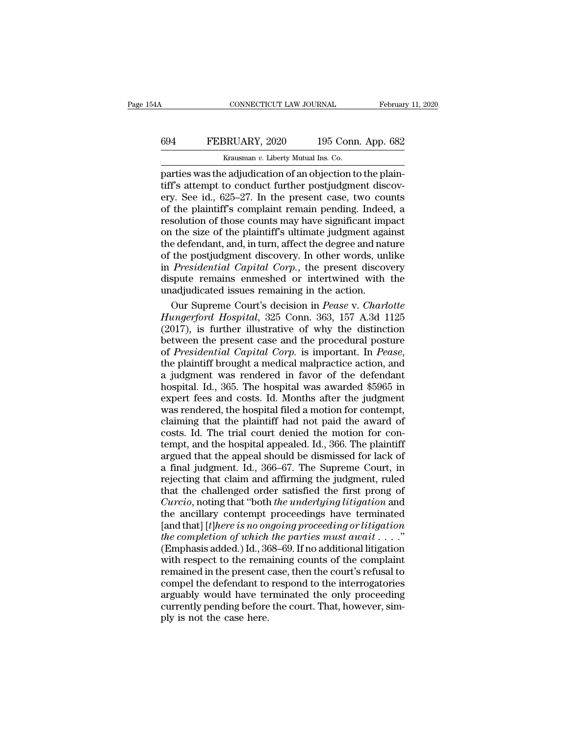#### CONNECTICUT LAW JOURNAL February 11, 2020<br>694 FEBRUARY, 2020 195 Conn. App. 682<br>Krausman v. Liberty Mutual Ins. Co. CONNECTICUT LAW JOURNAL<br>BRUARY, 2020 195 Connection<br>Krausman *v*. Liberty Mutual Ins. Co.<br>Peadiudication of an objection to

CONNECTICUT LAW JOURNAL Februar<br>
694 FEBRUARY, 2020 195 Conn. App. 682<br>
Krausman v. Liberty Mutual Ins. Co.<br>
parties was the adjudication of an objection to the plain-<br>
tiff's attempt to conduct further postjudgment discov the God FEBRUARY, 2020 195 Conn. App. 682<br>
Krausman v. Liberty Mutual Ins. Co.<br>
parties was the adjudication of an objection to the plain-<br>
tiff's attempt to conduct further postjudgment discov-<br>
ery. See id., 625–27. In t ERBRUARY, 2020 195 Conn. App. 682<br>
Krausman v. Liberty Mutual Ins. Co.<br>
parties was the adjudication of an objection to the plain-<br>
tiff's attempt to conduct further postjudgment discovery. See id., 625–27. In the present **EBRUARY**, 2020 195 Conn. App. 682<br> **EXECUARY**, 2020 195 Conn. App. 682<br> **EXECUARY**, 2020 195 Conn. App. 682<br> **Parties was the adjudication of an objection to the plaintiff's attempt to conduct further postjudgment discov** EXECTIVE, 2020 135 COME App. 002<br>
REALMONT *R*EALMONT *REALMONT CONTRETS* was the adjudication of an objection to the plain-<br>
tiff's attempt to conduct further postjudgment discov-<br>
ery. See id., 625–27. In the present ca Krausman v. Liberty Mutual Ins. Co.<br>
parties was the adjudication of an objection to the plain-<br>
tiff's attempt to conduct further postjudgment discov-<br>
ery. See id., 625–27. In the present case, two counts<br>
of the plaint parties was the adjudication of an objection to the plain-<br>tiff's attempt to conduct further postjudgment discov-<br>ery. See id., 625–27. In the present case, two counts<br>of the plaintiff's complaint remain pending. Indeed, a if if's attempt to conduct further postjudgment discovery. See id., 625–27. In the present case, two counts of the plaintiff's complaint remain pending. Indeed, a resolution of those counts may have significant impact on t ery. See id., 625–27. In the present case, two counts<br>of the plaintiff's complaint remain pending. Indeed, a<br>resolution of those counts may have significant impact<br>on the size of the plaintiff's ultimate judgment against<br>t of the plaintiff's complaint remain pending. Indeed, a<br>resolution of those counts may have significant impact<br>on the size of the plaintiff's ultimate judgment against<br>the defendant, and, in turn, affect the degree and natu resolution of those counts may have significant imp<br>on the size of the plaintiff's ultimate judgment aga<br>the defendant, and, in turn, affect the degree and nat<br>of the postjudgment discovery. In other words, un<br>in *Presiden* If the size of the plaintiff's ultimate judgment against<br>e defendant, and, in turn, affect the degree and nature<br>the postjudgment discovery. In other words, unlike<br>*Presidential Capital Corp*., the present discovery<br>spute the defendant, and, in turn, affect the degree and nature<br>of the postjudgment discovery. In other words, unlike<br>in *Presidential Capital Corp.*, the present discovery<br>dispute remains enmeshed or intertwined with the<br>unadju

of the postjudgment discovery. In other words, unlike<br>in *Presidential Capital Corp.*, the present discovery<br>dispute remains enmeshed or intertwined with the<br>unadjudicated issues remaining in the action.<br>Our Supreme Court' in *Presidential Capital Corp.*, the present discovery<br>dispute remains enmeshed or intertwined with the<br>unadjudicated issues remaining in the action.<br>Our Supreme Court's decision in *Pease* v. Charlotte<br>*Hungerford Hospita* dispute remains enmeshed or intertwined with the<br>
unadjudicated issues remaining in the action.<br>
Our Supreme Court's decision in *Pease* v. Charlotte<br> *Hungerford Hospital*, 325 Conn. 363, 157 A.3d 1125<br>
(2017), is further Our Supreme Court's decision in *Pease* v. *Charlotte*<br>*Hungerford Hospital*, 325 Conn. 363, 157 A.3d 1125<br>(2017), is further illustrative of why the distinction<br>between the present case and the procedural posture<br>of *Pres* Hungerford Hospital, 325 Conn. 363, 157 A.3d 1125<br>(2017), is further illustrative of why the distinction<br>between the present case and the procedural posture<br>of *Presidential Capital Corp*. is important. In *Pease*,<br>the pla (2017), is further illustrative of why the distinction<br>between the present case and the procedural posture<br>of *Presidential Capital Corp*. is important. In *Pease*,<br>the plaintiff brought a medical malpractice action, and<br> between the present case and the procedural posture<br>of *Presidential Capital Corp*. is important. In *Pease*,<br>the plaintiff brought a medical malpractice action, and<br>a judgment was rendered in favor of the defendant<br>hospit of *Presidential Capital Corp.* is important. In *Pease*, the plaintiff brought a medical malpractice action, and a judgment was rendered in favor of the defendant hospital. Id., 365. The hospital was awarded \$5965 in expe the plaintiff brought a medical malpractice action, and<br>a judgment was rendered in favor of the defendant<br>hospital. Id., 365. The hospital was awarded \$5965 in<br>expert fees and costs. Id. Months after the judgment<br>was rende a judgment was rendered in favor of the defendant<br>hospital. Id., 365. The hospital was awarded \$5965 in<br>expert fees and costs. Id. Months after the judgment<br>was rendered, the hospital filed a motion for contempt,<br>claiming hospital. Id., 365. The hospital was awarded \$5965 in expert fees and costs. Id. Months after the judgment was rendered, the hospital filed a motion for contempt, claiming that the plaintiff had not paid the award of costs expert fees and costs. Id. Months after the judgment<br>was rendered, the hospital filed a motion for contempt,<br>claiming that the plaintiff had not paid the award of<br>costs. Id. The trial court denied the motion for con-<br>tempt was rendered, the hospital filed a motion for contempt,<br>claiming that the plaintiff had not paid the award of<br>costs. Id. The trial court denied the motion for con-<br>tempt, and the hospital appealed. Id., 366. The plaintiff<br> claiming that the plaintiff had not paid the award of<br>costs. Id. The trial court denied the motion for con-<br>tempt, and the hospital appealed. Id., 366. The plaintiff<br>argued that the appeal should be dismissed for lack of<br>a **Curcis** Id. The trial court denied the motion for contempt, and the hospital appealed. Id., 366. The plaintiff argued that the appeal should be dismissed for lack of a final judgment. Id., 366–67. The Supreme Court, in re tempt, and the hospital appealed. Id., 366. The plaintiff<br>argued that the appeal should be dismissed for lack of<br>a final judgment. Id., 366–67. The Supreme Court, in<br>rejecting that claim and affirming the judgment, ruled<br>t Example of that the appeal should be dismissed for lack of<br>a final judgment. Id., 366–67. The Supreme Court, in<br>rejecting that claim and affirming the judgment, ruled<br>that the challenged order satisfied the first prong of<br> *the complement in the complement in a final judgment.* Id., 366–67. The Supreme Court, in rejecting that claim and affirming the judgment, ruled that the challenged order satisfied the first prong of *Curcio*, noting that rejecting that claim and affirming the judgment, ruled<br>that the challenged order satisfied the first prong of<br>*Curcio*, noting that "both *the underlying litigation* and<br>the ancillary contempt proceedings have terminated<br> that the challenged order satisfied the first prong of *Curcio*, noting that "both *the underlying litigation* and the ancillary contempt proceedings have terminated [and that] [*t*]*here is no ongoing proceeding or litig* Curcio, noting that "both *the underlying litigation* and<br>the ancillary contempt proceedings have terminated<br>[and that] [*t*]*here is no ongoing proceeding or litigation*<br>*the completion of which the parties must await* . the ancillary contempt proceedings have terminated<br>[and that] [*t*]*here is no ongoing proceeding or litigation*<br>*the completion of which the parties must await*  $\dots$ ."<br>(Emphasis added.) Id., 368–69. If no additional liti [and that] [*t*]here is no ongoing proceeding or litigation<br>the completion of which the parties must await  $\dots$ ."<br>(Emphasis added.) Id., 368–69. If no additional litigation<br>with respect to the remaining counts of the comp the completion of which the parties must await  $\dots$ ."<br>(Emphasis added.) Id., 368–69. If no additional litigation<br>with respect to the remaining counts of the complaint<br>remained in the present case, then the court's refusal (Emphasis added.) Id., 36<br>with respect to the rema<br>remained in the present compel the defendant to<br>arguably would have te<br>currently pending before<br>ply is not the case here.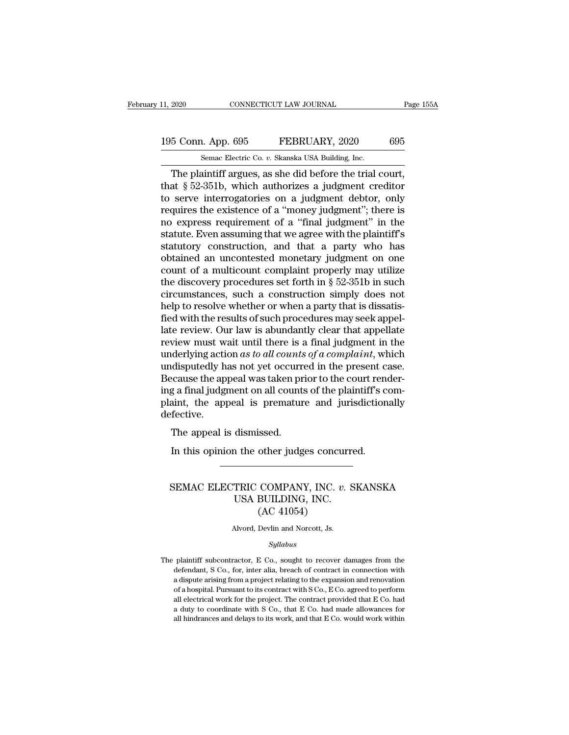### 11, 2020 CONNECTICUT LAW JOURNAL Page 155A<br>195 Conn. App. 695 FEBRUARY, 2020 695<br>Semac Electric Co. v. Skanska USA Building, Inc. The plaintiff argues, as she did before the trial court,<br>The plaintiff argues, as she did before the trial court,

The plaintiff argues, as she did before the trial court,<br>at § 52-351b, which authorizes a judgment creditor<br>correspondence the trial court,<br>at § 52-351b, which authorizes a judgment creditor<br>correspondence on a judgment de 195 Conn. App. 695 FEBRUARY, 2020 695<br>
Semac Electric Co. v. Skanska USA Building, Inc.<br>
The plaintiff argues, as she did before the trial court,<br>
that § 52-351b, which authorizes a judgment creditor<br>
to serve interrogator 195 Conn. App. 695 FEBRUARY, 2020 695<br>
Semac Electric Co. v. Skanska USA Building, Inc.<br>
The plaintiff argues, as she did before the trial court,<br>
that § 52-351b, which authorizes a judgment creditor<br>
to serve interrogato 195 Conn. App. 695 FEBRUARY, 2020 695<br>
Semac Electric Co. v. Skanska USA Building, Inc.<br>
The plaintiff argues, as she did before the trial court,<br>
that § 52-351b, which authorizes a judgment creditor<br>
to serve interrogato Senal Electric Co. v. Skanska USA Building, Inc.<br>
The plaintiff argues, as she did before the trial court,<br>
that § 52-351b, which authorizes a judgment creditor<br>
to serve interrogatories on a judgment debtor, only<br>
requir Semac Electric Co.  $v$ . Skanska USA Building, Inc.<br>
The plaintiff argues, as she did before the trial court,<br>
that § 52-351b, which authorizes a judgment creditor<br>
to serve interrogatories on a judgment debtor, only<br>
requ The plaintiff argues, as she did before the trial court,<br>that  $\S 52-351b$ , which authorizes a judgment creditor<br>to serve interrogatories on a judgment debtor, only<br>requires the existence of a "money judgment"; there is<br>no that § 52-351b, which authorizes a judgment creditor<br>to serve interrogatories on a judgment debtor, only<br>requires the existence of a "money judgment"; there is<br>no express requirement of a "final judgment" in the<br>statute. to serve interrogatories on a judgment debtor, only<br>requires the existence of a "money judgment"; there is<br>no express requirement of a "final judgment" in the<br>statute. Even assuming that we agree with the plaintiff's<br>stat requires the existence of a "money judgment"; there is<br>no express requirement of a "final judgment" in the<br>statute. Even assuming that we agree with the plaintiff's<br>statutory construction, and that a party who has<br>obtained no express requirement of a "final judgment" in the<br>statute. Even assuming that we agree with the plaintiff's<br>statutory construction, and that a party who has<br>obtained an uncontested monetary judgment on one<br>count of a mul statute. Even assuming that we agree with the plaintiff's<br>statutory construction, and that a party who has<br>obtained an uncontested monetary judgment on one<br>count of a multicount complaint properly may utilize<br>the discovery statutory construction, and that a party who has<br>obtained an uncontested monetary judgment on one<br>count of a multicount complaint properly may utilize<br>the discovery procedures set forth in § 52-351b in such<br>circumstances, obtained an uncontested monetary judgment on one<br>count of a multicount complaint properly may utilize<br>the discovery procedures set forth in § 52-351b in such<br>circumstances, such a construction simply does not<br>help to resol count of a multicount complaint properly may utilize<br>the discovery procedures set forth in  $\S$  52-351b in such<br>circumstances, such a construction simply does not<br>help to resolve whether or when a party that is dissatis-<br>f the discovery procedures set forth in § 52-351b in such<br>circumstances, such a construction simply does not<br>help to resolve whether or when a party that is dissatis-<br>fied with the results of such procedures may seek appel-<br> circumstances, such a construction simply does not<br>help to resolve whether or when a party that is dissatis-<br>fied with the results of such procedures may seek appel-<br>late review. Our law is abundantly clear that appellate help to resolve whether or when a party that is dissatis-<br>fied with the results of such procedures may seek appel-<br>late review. Our law is abundantly clear that appellate<br>review must wait until there is a final judgment i fied with the results of such procedures may seek appel-<br>late review. Our law is abundantly clear that appellate<br>review must wait until there is a final judgment in the<br>underlying action as to all counts of a complaint, wh late review. Our law is abundantly clear that appellate review must wait until there is a final judgment in the underlying action *as to all counts of a complaint*, which undisputedly has not yet occurred in the present c defective. Materlying action as to all counts<br>disputedly has not yet occurre<br>cause the appeal was taken pr<br>g a final judgment on all counts<br>aint, the appeal is prematur<br>fective.<br>The appeal is dismissed.<br>In this opinion the other judg In this oppeal was taken prior to the court renerged a final judgment on all counts of the plaintiff's count, the appeal is premature and jurisdiction fective.<br>The appeal is dismissed.<br>In this opinion the other judges conc

#### Fective.<br>
The appeal is dismissed.<br>
In this opinion the other judges concurred.<br>
SEMAC ELECTRIC COMPANY, INC. *v.* SKANSKA<br>
USA BUILDING, INC.<br>
(AC 41054) dismissed.<br>
1 the other judges concurre<br>
TRIC COMPANY, INC. v. S<br>
USA BUILDING, INC.<br>
(AC 41054) other judges concu<br>
COMPANY, INC. *v*<br>
BUILDING, INC.<br>
(AC 41054)<br>
Devlin and Norcott, Js. SEMAC ELECTRIC COMPANY, INC.  $v$ . SKANSKA<br>USA BUILDING, INC.<br>(AC 41054)<br>Alvord, Devlin and Norcott, Js.

#### *Syllabus*

 $(AC 41054)$ <br>Alvord, Devlin and Norcott, Js.<br> $Syllabus$ <br>The plaintiff subcontractor, E Co., sought to recover damages from the defendant, S Co., for, inter alia, breach of contract in connection with Alvord, Devlin and Norcott, Js.<br>
Syllabus<br>
plaintiff subcontractor, E Co., sought to recover damages from the<br>
defendant, S Co., for, inter alia, breach of contract in connection with<br>
a dispute arising from a project rela Alvord, Devlin and Norcott, Js.<br>
Syllabus<br>
plaintiff subcontractor, E Co., sought to recover damages from the<br>
defendant, S Co., for, inter alia, breach of contract in connection with<br>
a dispute arising from a project rela Syllabus<br>plaintiff subcontractor, E Co., sought to recover damages from the<br>defendant, S Co., for, inter alia, breach of contract in connection with<br>a dispute arising from a project relating to the expansion and renovation *Syltabus*<br>
plaintiff subcontractor, E Co., sought to recover damages from the<br>
defendant, S Co., for, inter alia, breach of contract in connection with<br>
a dispute arising from a project relating to the expansion and renov The plaintiff subcontractor, E Co., sought to recover damages from the defendant, S Co., for, inter alia, breach of contract in connection with a dispute arising from a project relating to the expansion and renovation of defendant, S Co., for, inter alia, breach of contract in connection with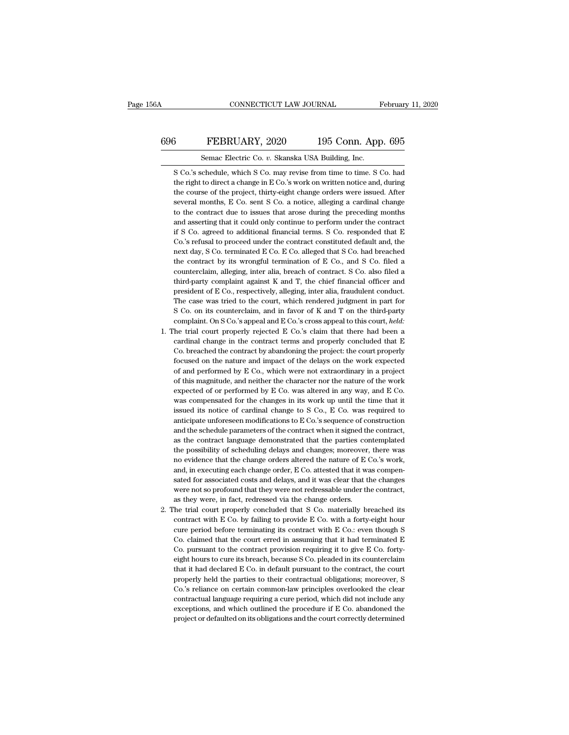#### CONNECTICUT LAW JOURNAL February 11, 2020<br>696 FEBRUARY, 2020 195 Conn. App. 695<br>Semac Electric Co. v. Skanska USA Building, Inc. CONNECTICUT LAW JOURNAL February 11, 2020<br>
Semac Electric Co. *v.* Skanska USA Building, Inc.<br>
Semac Electric Co. *v.* Skanska USA Building, Inc.<br>
Semac Electric Co. *v.* Skanska USA Building, Inc.

S FEBRUARY, 2020 195 Conn. App. 695<br>Semac Electric Co. v. Skanska USA Building, Inc.<br>S Co.'s schedule, which S Co. may revise from time to time. S Co. had<br>the right to direct a change in E Co.'s work on written notice and, FEBRUARY, 2020 195 Conn. App. 695<br>Semac Electric Co. v. Skanska USA Building, Inc.<br>S Co.'s schedule, which S Co. may revise from time to time. S Co. had<br>the right to direct a change in E Co.'s work on written notice and, d Summar September 2020 195 Conn. App. 695<br>Semac Electric Co. v. Skanska USA Building, Inc.<br>S Co.'s schedule, which S Co. may revise from time to time. S Co. had<br>the right to direct a change in E Co.'s work on written notice Semac Electric Co. v. Skanska USA Building, Inc.<br>
S Co.'s schedule, which S Co. may revise from time to time. S Co. had<br>
the right to direct a change in E Co.'s work on written notice and, during<br>
the course of the project Semac Electric Co.  $v$ . Skanska USA Building, Inc.<br>S Co.'s schedule, which S Co. may revise from time to time. S Co. had<br>the right to direct a change in E Co.'s work on written notice and, during<br>the course of the project S Co.'s schedule, which S Co. may revise from time to time. S Co. had<br>the right to direct a change in E Co.'s work on written notice and, during<br>the course of the project, thirty-eight change orders were issued. After<br>seve the right to direct a change in E Co.'s work on written notice and, during<br>the course of the project, thirty-eight change orders were issued. After<br>several months, E Co. sent S Co. a notice, alleging a cardinal change<br>to t the course of the project, thirty-eight change orders were issued. After several months, E Co. sent S Co. a notice, alleging a cardinal change to the contract due to issues that arose during the preceding months and assert several months, E Co. sent S Co. a notice, alleging a cardinal change<br>to the contract due to issues that arose during the preceding months<br>and asserting that it could only continue to perform under the contract<br>if S Co. ag to the contract due to issues that arose during the preceding months and asserting that it could only continue to perform under the contract if S Co. agreed to additional financial terms. S Co. responded that E Co.'s refus and asserting that it could only continue to perform under the contract<br>if S Co. agreed to additional financial terms. S Co. responded that E<br>Co.'s refusal to proceed under the contract constituted default and, the<br>next da if S Co. agreed to additional financial terms. S Co. responded that E Co.'s refusal to proceed under the contract constituted default and, the next day, S Co. terminated E Co. E Co. alleged that S Co. had breached the con Co.'s refusal to proceed under the contract constituted default and, the next day, S Co. terminated E Co. E Co. alleged that S Co. had breached the contract by its wrongful termination of E Co., and S Co. filed a countercl next day, S Co. terminated E Co. E Co. alleged that S Co. had breached the contract by its wrongful termination of E Co., and S Co. filed a counterclaim, alleging, inter alia, breach of contract. S Co. also filed a third-p the contract by its wrongful termination of E Co., and S Co. filed a counterclaim, alleging, inter alia, breach of contract. S Co. also filed a third-party complaint against K and T, the chief financial officer and preside counterclaim, alleging, inter alia, breach of contract. S Co. also filed a<br>third-party complaint against K and T, the chief financial officer and<br>president of E Co., respectively, alleging, inter alia, fraudulent conduct.<br> third-party complaint against K and T, the chief financial officer and president of E Co., respectively, alleging, inter alia, fraudulent conduct. The case was tried to the court, which rendered judgment in part for S Co. president of E Co., respectively, alleging, inter alia, fraudulent conduct.<br>The case was tried to the court, which rendered judgment in part for<br>S Co. on its counterclaim, and in favor of K and T on the third-party<br>complai

- The case was tried to the court, which rendered judgment in part for S Co. on its counterclaim, and in favor of K and T on the third-party complaint. On S Co.'s appeal and E Co.'s cross appeal to this court, *held*: the tr S Co. on its counterclaim, and in favor of K and T on the third-party complaint. On S Co.'s appeal and E Co.'s cross appeal to this court, *held*: the trial court properly rejected E Co.'s claim that there had been a cardi complaint. On S Co.'s appeal and E Co.'s cross appeal to this court, *held*:<br>the trial court properly rejected E Co.'s claim that there had been a<br>cardinal change in the contract terms and properly concluded that E<br>Co. br The trial court properly rejected E Co.'s claim that there had been a cardinal change in the contract terms and properly concluded that E Co. breached the contract by abandoning the project: the court properly focused on cardinal change in the contract terms and properly concluded that E Co. breached the contract by abandoning the project: the court properly focused on the nature and impact of the delays on the work expected of and perfor Co. breached the contract by abandoning the project: the court properly focused on the nature and impact of the delays on the work expected of and performed by E Co., which were not extraordinary in a project of this magn focused on the nature and impact of the delays on the work expected<br>of and performed by E Co., which were not extraordinary in a project<br>of this magnitude, and neither the character nor the nature of the work<br>expected of of and performed by E Co., which were not extraordinary in a project<br>of this magnitude, and neither the character nor the nature of the work<br>expected of or performed by E Co. was altered in any way, and E Co.<br>was compensa of this magnitude, and neither the character nor the nature of the work<br>expected of or performed by E Co. was altered in any way, and E Co.<br>was compensated for the changes in its work up until the time that it<br>issued its expected of or performed by E Co. was altered in any way, and E Co.<br>was compensated for the changes in its work up until the time that it<br>issued its notice of cardinal change to S Co., E Co. was required to<br>anticipate unfo was compensated for the changes in its work up until the time that it issued its notice of cardinal change to S Co., E Co. was required to anticipate unforeseen modifications to E Co.'s sequence of construction and the sch issued its notice of cardinal change to S Co., E Co. was required to anticipate unforeseen modifications to E Co.'s sequence of construction and the schedule parameters of the contract when it signed the contract, as the anticipate unforeseen modifications to E Co.'s sequence of construction<br>and the schedule parameters of the contract when it signed the contract,<br>as the contract language demonstrated that the parties contemplated<br>the possi and the schedule parameters of the contract when it signed the contract, as the contract language demonstrated that the parties contemplated the possibility of scheduling delays and changes; moreover, there was no evidence as the contract language demonstrated that the parties contemplated<br>the possibility of scheduling delays and changes; moreover, there was<br>no evidence that the change orders altered the nature of E Co.'s work,<br>and, in execu the possibility of scheduling delays and changes; moreover,<br>no evidence that the change orders altered the nature of  $E$  (and, in executing each change order,  $E$  Co. attested that it was<br>stated for associated costs and d 2. The trial court properly concluded that S Co. with a forty-eight hourse of E co.  $\alpha$  is compensated for associated costs and delays, and it was clear that the changes were not so profound that they were not redressabl and, in executing each change order, E Co. attested that it was compensated for associated costs and delays, and it was clear that the changes were not so profound that they were not redressable under the contract, as they
- sated for associated costs and delays, and it was clear that the changes<br>were not so profound that they were not redressable under the contract,<br>as they were, in fact, redressed via the change orders.<br>he trial court proper were not so profound that they were not redressable under the contract, as they were, in fact, redressed via the change orders.<br>The trial court properly concluded that S Co. materially breached its contract with E Co. by f as they were, in fact, redressed via the change orders.<br>The trial court properly concluded that S Co. materially breached its<br>contract with E Co. by failing to provide E Co. with a forty-eight hour<br>cure period before termi The trial court properly concluded that S Co. materially breached its contract with E Co. by failing to provide E Co. with a forty-eight hour cure period before terminating its contract with E Co.: even though S Co. claim contract with E Co. by failing to provide E Co. with a forty-eight hour<br>cure period before terminating its contract with E Co.: even though S<br>Co. claimed that the court erred in assuming that it had terminated E<br>Co. pursu cure period before terminating its contract with E Co.: even though S Co. claimed that the court erred in assuming that it had terminated E Co. pursuant to the contract provision requiring it to give E Co. forty-<br>eight hou Co. claimed that the court erred in assuming that it had terminated E<br>Co. pursuant to the contract provision requiring it to give E Co. forty-<br>eight hours to cure its breach, because S Co. pleaded in its counterclaim<br>that Co. pursuant to the contract provision requiring it to give E Co. forty-<br>eight hours to cure its breach, because S Co. pleaded in its counterclaim<br>that it had declared E Co. in default pursuant to the contract, the court<br>p eight hours to cure its breach, because S Co. pleaded in its counterclaim<br>that it had declared E Co. in default pursuant to the contract, the court<br>properly held the parties to their contractual obligations; moreover, S<br>Co that it had declared E Co. in default pursuant to the contract, the court properly held the parties to their contractual obligations; moreover, SCo.'s reliance on certain common-law principles overlooked the clear contract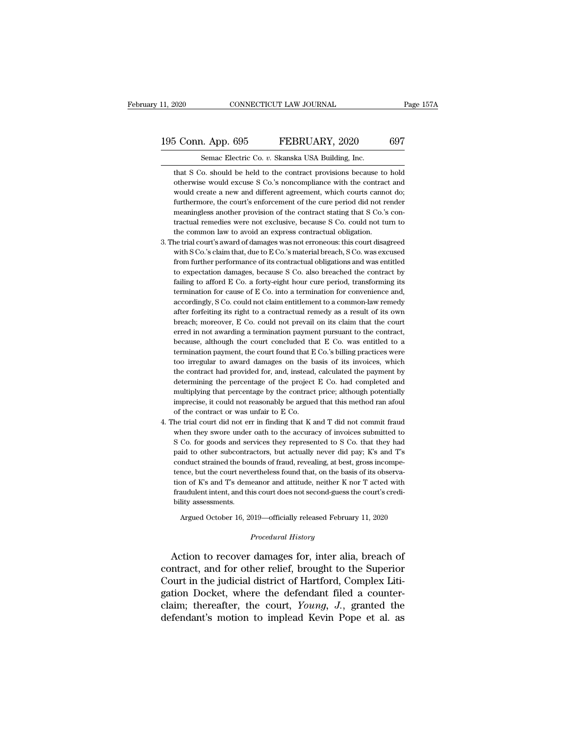#### 11, 2020 CONNECTICUT LAW JOURNAL Page 157A<br>195 Conn. App. 695 FEBRUARY, 2020 697<br>Semac Electric Co. v. Skanska USA Building, Inc. CONNECTICUT LAW JOURNAL<br>
1. App. 695 FEBRUARY, 2020<br>
Semac Electric Co. *v.* Skanska USA Building, Inc.<br>
6. should be held to the contract provisions because

that S Co. should be held to the contract provisions because to hold otherwise would excuse S Co.'s noncompliance with the contract and  $\frac{1}{2}$ **Solution Configure S Co. 2** Skanska USA Building, Inc.<br>
Semac Electric Co. *v.* Skanska USA Building, Inc.<br>
that S Co. should be held to the contract provisions because to hold<br>
otherwise would excuse S Co.'s noncomplian  $5$  Conn. App. 695 FEBRUARY, 2020 697<br>Semac Electric Co. v. Skanska USA Building, Inc.<br>that S Co. should be held to the contract provisions because to hold<br>otherwise would excuse S Co.'s noncompliance with the contract an Semac Electric Co. v. Skanska USA Building, Inc.<br>
that S Co. should be held to the contract provisions because to hold<br>
otherwise would excuse S Co.'s noncompliance with the contract and<br>
would create a new and different a Semac Electric Co. v. Skanska USA Building, Inc.<br>that S Co. should be held to the contract provisions because to hold<br>otherwise would excuse S Co.'s noncompliance with the contract and<br>would create a new and different agre that S Co. should be held to the contract provisions because to hold otherwise would excuse S Co.'s noncompliance with the contract and would create a new and different agreement, which courts cannot do; furthermore, the c otherwise would excuse S Co.'s noncompliance with the contract and<br>would create a new and different agreement, which courts cannot do;<br>furthermore, the court's enforcement of the cure period did not render<br>meaningless anot would create a new and different agreement, which courts cannot do;<br>furthermore, the court's enforcement of the cure period did not render<br>meaningless another provision of the contract stating that S Co.'s con-<br>tractual re furthermore, the court's enforcement of the cure period did not render<br>meaningless another provision of the contract stating that S Co.'s con-<br>tractual remedies were not exclusive, because S Co. could not turn to<br>the commo

- meaningless another provision of the contract stating that S Co.'s contractual remedies were not exclusive, because S Co. could not turn to the common law to avoid an express contractual obligation.<br>he trial court's award tractual remedies were not exclusive, because S Co. could not turn to<br>the common law to avoid an express contractual obligation.<br>he trial court's award of damages was not erroneous: this court disagreed<br>with S Co.'s claim the common law to avoid an express contractual obligation.<br>he trial court's award of damages was not erroneous: this court disagreed<br>with S Co.'s claim that, due to E Co.'s material breach, S Co. was excused<br>from further p the trial court's award of damages was not erroneous: this court disagreed with S Co.'s claim that, due to E Co.'s material breach, S Co. was excused from further performance of its contractual obligations and was entitled with S Co.'s claim that, due to E Co.'s material breach, S Co. was excused<br>from further performance of its contractual obligations and was entitled<br>to expectation damages, because S Co. also breached the contract by<br>failin from further performance of its contractual obligations and was entitled<br>to expectation damages, because S Co. also breached the contract by<br>failing to afford E Co. a forty-eight hour cure period, transforming its<br>terminat to expectation damages, because S Co. also breached the contract by failing to afford E Co. a forty-eight hour cure period, transforming its termination for cause of E Co. into a termination for convenience and, accordingl failing to afford E Co. a forty-eight hour cure period, transforming its termination for cause of E Co. into a termination for convenience and, accordingly, S Co. could not claim entitlement to a common-law remedy after fo termination for cause of E Co. into a termination for convenience and, accordingly, S Co. could not claim entitlement to a common-law remedy after forfeiting its right to a contractual remedy as a result of its own breach; accordingly, S Co. could not claim entitlement to a common-law remedy<br>after forfeiting its right to a contractual remedy as a result of its own<br>breach; moreover, E Co. could not prevail on its claim that the court<br>erred in after forfeiting its right to a contractual remedy as a result of its own<br>breach; moreover, E Co. could not prevail on its claim that the court<br>erred in not awarding a termination payment pursuant to the contract,<br>because, breach; moreover, E Co. could not prevail on its claim that the court<br>erred in not awarding a termination payment pursuant to the contract,<br>because, although the court concluded that E Co. was entitled to a<br>termination pay erred in not awarding a termination payment pursuant to the contract,<br>because, although the court concluded that E Co. was entitled to a<br>termination payment, the court found that E Co.'s billing practices were<br>too irregula because, although the court concluded that E Co. was entitled to a termination payment, the court found that E Co.'s billing practices were too irregular to award damages on the basis of its invoices, which the contract ha termination payment, the court found that E Co.'s billing practices were<br>too irregular to award damages on the basis of its invoices, which<br>the contract had provided for, and, instead, calculated the payment by<br>determining too irregular to award damages on the b<br>the contract had provided for, and, instead,<br>determining the percentage of the project<br>multiplying that percentage by the contract<br>imprecise, it could not reasonably be argue<br>of the the contract had provided for, and, instead, calculated the payment by<br>determining the percentage of the project E Co. had completed and<br>multiplying that percentage by the contract price; although potentially<br>imprecise, i determining the percentage of the project E Co. had completed and<br>multiplying that percentage by the contract price; although potentially<br>imprecise, it could not reasonably be argued that this method ran afoul<br>of the contr
- multiplying that percentage by the contract price; although potentially imprecise, it could not reasonably be argued that this method ran afoul of the contract or was unfair to E Co. the trial court did not err in finding imprecise, it could not reasonably be argued that this method ran a<br>foul of the contract or was unfair to E Co.<br>
he trial court did not err in finding that K and T did not commit fraud<br>
when they swore under oath to the a of the contract or was unfair to E Co.<br>he trial court did not err in finding that K and T did not commit fraud<br>when they swore under oath to the accuracy of invoices submitted to<br>S Co. for goods and services they represent the trial court did not err in finding that K and T did not commit fraud when they swore under oath to the accuracy of invoices submitted to S Co. for goods and services they represented to S Co. that they had paid to othe when they swore under oath to the accuracy of invoices submitted to S Co. for goods and services they represented to S Co. that they had paid to other subcontractors, but actually never did pay; K's and T's conduct straine S Co. for goods and services they represented to S Co. that they had paid to other subcontractors, but actually never did pay; K's and T's conduct strained the bounds of fraud, revealing, at best, gross incompetence, but paid to other subcontractors, but actually never did pay; K's and T's mauct strained the bounds of fraud, revealing, at best, gross incompe-<br>nce, but the court nevertheless found that, on the basis of its observa-<br>on of K's and T's demeanor and attitude, neither K nor T acted with<br>audulent i

Argued October 16, 2019—officially released February 11, 2020<br>*Procedural History*<br>Action to recover damages for, inter alia, breach of tion of K's and T's demeanor and attitude, neither K nor T acted with<br>fraudulent intent, and this court does not second-guess the court's credi-<br>bility assessments.<br>Argued October 16, 2019—officially released February 11, radaulent intent, and this court does not second-guess the court is credibility assessments.<br>
Argued October 16, 2019—officially released February 11, 2020<br>
Procedural History<br>
Action to recover damages for, inter alia, br Argued October 16, 2019—officially released February 11, 2020<br>
Procedural History<br>
Action to recover damages for, inter alia, breach of<br>
contract, and for other relief, brought to the Superior<br>
Court in the judicial distri Argued October 16, 2019—officially released February 11, 2020<br>
Procedural History<br>
Action to recover damages for, inter alia, breach of<br>
contract, and for other relief, brought to the Superior<br>
Court in the judicial distri Procedural History<br>Action to recover damages for, inter alia, breach of<br>contract, and for other relief, brought to the Superior<br>Court in the judicial district of Hartford, Complex Liti-<br>gation Docket, where the defendant f Action to recover damages for, inter alia, breach of<br>contract, and for other relief, brought to the Superior<br>Court in the judicial district of Hartford, Complex Liti-<br>gation Docket, where the defendant filed a counter-<br>cla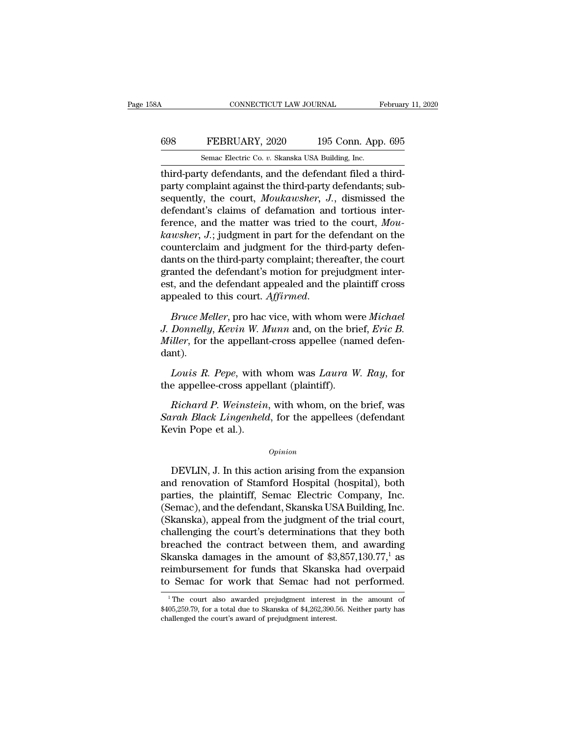### CONNECTICUT LAW JOURNAL February 11, 2020<br>698 FEBRUARY, 2020 195 Conn. App. 695<br>Semac Electric Co. v. Skanska USA Building, Inc. CONNECTICUT LAW JOURNAL February 11, 2020<br>698 FEBRUARY, 2020 195 Conn. App. 695<br>Semac Electric Co. *v.* Skanska USA Building, Inc.<br>third-party defendants, and the defendant filed a third-

CONNECTICUT LAW JOURNAL Februar<br>
FEBRUARY, 2020 195 Conn. App. 695<br>
Semac Electric Co. v. Skanska USA Building, Inc.<br>
third-party defendants, and the defendant filed a third-<br>
party complaint against the third-party defend FEBRUARY, 2020 195 Conn. App. 695<br>
Semac Electric Co. v. Skanska USA Building, Inc.<br>
third-party defendants, and the defendant filed a third-<br>
party complaint against the third-party defendants; sub-<br>
sequently, the court, Semac Electric Co. v. Skanska USA Building, Inc.<br>
Semac Electric Co. v. Skanska USA Building, Inc.<br>
third-party defendants, and the defendant filed a third-<br>
party complaint against the third-party defendants; sub-<br>
sequen  $\begin{tabular}{ll} \hline & FEBRUARY, 2020 & 195 Conn. App. 695 \\ \hline & \textit{Semac Electric Co. } v. \textit{Skanska USA Building, Inc.} \\ \hline \end{tabular} \\ \textit{third-party defendant}, and the defendant filed a third-party complaint against the third-party defendants; sub-  
sequently, the court, *Moukawsher, J.*, dismissed the defendant's claims of defamation and tortious inter-  
ference, and the matter was tried to the court, *Mou-  
laavcher, J.* judgment in part for the defendant on the$ Semac Electric Co. *v.* Skanska USA Building, Inc.<br>third-party defendants, and the defendant filed a third-<br>party complaint against the third-party defendants; sub-<br>sequently, the court, *Moukawsher*, *J.*, dismissed the<br>d Semac Electric Co. v. Skanska USA Building, Inc.<br>
third-party defendants, and the defendant filed a third-<br>
party complaint against the third-party defendants; sub-<br>
sequently, the court, *Moukawsher*, *J.*, dismissed the<br> third-party defendants, and the defendant filed a third-<br>party complaint against the third-party defendants; sub-<br>sequently, the court, *Moukawsher*, *J*., dismissed the<br>defendant's claims of defamation and tortious interparty complaint against the third-party defendants; sub-<br>sequently, the court, *Moukawsher*, *J*., dismissed the<br>defendant's claims of defamation and tortious inter-<br>ference, and the matter was tried to the court, *Mou-<br>ka* sequently, the court, *Moukawsher*, *J.*, dismissed the defendant's claims of defamation and tortious inter-<br>ference, and the matter was tried to the court, *Mou-*<br>kawsher, *J.*; judgment in part for the defendant on the<br> defendant's claims of defamation and tortious inter-<br>ference, and the matter was tried to the court, *Mou-<br>kawsher*, *J*.; judgment in part for the defendant on the<br>counterclaim and judgment for the third-party defen-<br>dant ference, and the matter was tried to the court, *Mou-<br>kawsher*, *J*.; judgment in part for the defendant on the<br>counterclaim and judgment for the third-party defen-<br>dants on the third-party complaint; thereafter, the court dants on the third-party complaint; thereafter, the court<br>granted the defendant's motion for prejudgment inter-<br>est, and the defendant appealed and the plaintiff cross<br>appealed to this court. *Affirmed.*<br>*Bruce Meller*, pr

granted the defendant's motion for prejudgment interest, and the defendant appealed and the plaintiff cross appealed to this court. *Affirmed.*<br>*Bruce Meller*, pro hac vice, with whom were *Michael* J. Donnelly, Kevin W. M dant). *Peared to this court. Affirmed.*<br> *Bruce Meller*, pro hac vice, with whom were *Michael*<br> *Donnelly, Kevin W. Munn* and, on the brief, *Eric B.*<br> *iller*, for the appellant-cross appellee (named defen-<br> *Louis R. Pepe*, w Bruce Meller, pro hac vice, with whom we<br>
J. Donnelly, Kevin W. Munn and, on the bri<br>
Miller, for the appellant-cross appellee (nand<br>
dant).<br>
Louis R. Pepe, with whom was Laura W<br>
the appellee-cross appellant (plaintiff).<br> *Donneuy, Kevin W. Munn* and, on the brief, *Eric B.*<br>*iller*, for the appellant-cross appellee (named defen-<br>nt).<br>*Louis R. Pepe*, with whom was *Laura W. Ray*, for<br>e appellee-cross appellant (plaintiff).<br>*Richard P. Wein* 

*Muter*, for the appellant-cross appellee (named defendant).<br> *Louis R. Pepe*, with whom was *Laura W. Ray*, for<br>
the appellee-cross appellant (plaintiff).<br> *Richard P. Weinstein*, with whom, on the brief, was<br> *Sarah Blac* dant).<br>
Louis R. Pepe, with<br>
the appellee-cross appe<br>
Richard P. Weinstein<br>
Sarah Black Lingenheld<br>
Kevin Pope et al.). Richard P. Weinstein, with whom, on the brief, was<br> *Paula Black Lingenheld*, for the appellees (defendant<br>
paying the expansion<br>
DEVLIN, J. In this action arising from the expansion<br>
d renovation of Stamford Hospital (hos

*Opinion*

Friendrich Prensiern, with whold, of the brien, was<br>
Sarah Black Lingenheld, for the appellees (defendant<br>
Kevin Pope et al.).<br>
Opinion<br>
DEVLIN, J. In this action arising from the expansion<br>
and renovation of Stamford Hosp Buran Black Eingenheid, for the appenees (defendant<br>Kevin Pope et al.).<br>DEVLIN, J. In this action arising from the expansion<br>and renovation of Stamford Hospital (hospital), both<br>parties, the plaintiff, Semac Electric Compa (Sevar F ope et al.).<br>
(Opinion<br>
DEVLIN, J. In this action arising from the expansion<br>
and renovation of Stamford Hospital (hospital), both<br>
parties, the plaintiff, Semac Electric Company, Inc.<br>
(Semac), and the defendant, Opinion<br>
Opinion<br>
DEVLIN, J. In this action arising from the expansion<br>
and renovation of Stamford Hospital (hospital), both<br>
parties, the plaintiff, Semac Electric Company, Inc.<br>
(Semac), and the defendant, Skanska USA Bu DEVLIN, J. In this action arising from the expansion<br>and renovation of Stamford Hospital (hospital), both<br>parties, the plaintiff, Semac Electric Company, Inc.<br>(Semac), and the defendant, Skanska USA Building, Inc.<br>(Skansk DEVLIN, J. In this action arising from the expansion<br>and renovation of Stamford Hospital (hospital), both<br>parties, the plaintiff, Semac Electric Company, Inc.<br>(Semac), and the defendant, Skanska USA Building, Inc.<br>(Skanska and renovation of Stamford Hospital (hospital), both<br>parties, the plaintiff, Semac Electric Company, Inc.<br>(Semac), and the defendant, Skanska USA Building, Inc.<br>(Skanska), appeal from the judgment of the trial court,<br>chall parties, the plaintiff, Semac Electric Company, Inc.<br>(Semac), and the defendant, Skanska USA Building, Inc.<br>(Skanska), appeal from the judgment of the trial court,<br>challenging the court's determinations that they both<br>brea (Semac), and the defendant, Skanska USA Building, Inc.<br>(Skanska), appeal from the judgment of the trial court,<br>challenging the court's determinations that they both<br>breached the contract between them, and awarding<br>Skanska reached the contract between them, and awarding<br>kanska damages in the amount of \$3,857,130.77,<sup>1</sup> as<br>eimbursement for funds that Skanska had overpaid<br>Semac for work that Semac had not performed.<br><sup>1</sup>The court also awarded p Skanska damages in the amount of \$3,857,130.77,<sup>1</sup> as<br>reimbursement for funds that Skanska had overpaid<br>to Semac for work that Semac had not performed.<br><sup>1</sup>The court also awarded prejudgment interest in the amount of<br>\$405,

reimbursement for funds that Skanska<br>to Semac for work that Semac had<br><sup>1</sup>The court also awarded prejudgment interest.<br>\$405,259.79, for a total due to Skanska of \$4,262,390.<br>challenged the court's award of prejudgment inter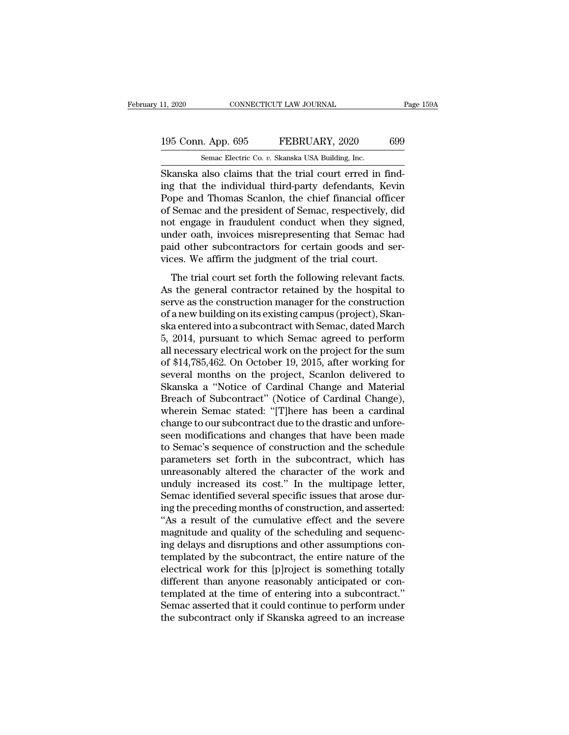# 11, 2020 CONNECTICUT LAW JOURNAL Page 159A<br>195 Conn. App. 695 FEBRUARY, 2020 699<br>Semac Electric Co. v. Skanska USA Building, Inc.

11, 2020 CONNECTICUT LAW JOURNAL<br>195 Conn. App. 695 FEBRUARY, 2020 699<br>5 Semac Electric Co. *v.* Skanska USA Building, Inc.<br>Skanska also claims that the trial court erred in find-CONNECTICUT LAW JOURNAL<br>
195 Conn. App. 695 FEBRUARY, 2020 699<br>
Semac Electric Co. v. Skanska USA Building, Inc.<br>
Skanska also claims that the trial court erred in find-<br>
ing that the individual third-party defendants, Kev 195 Conn. App. 695 FEBRUARY, 2020 699<br>
Semac Electric Co. v. Skanska USA Building, Inc.<br>
Skanska also claims that the trial court erred in find-<br>
ing that the individual third-party defendants, Kevin<br>
Pope and Thomas Scanl 195 Conn. App. 695 FEBRUARY, 2020 699<br>
Semac Electric Co. v. Skanska USA Building, Inc.<br>
Skanska also claims that the trial court erred in find-<br>
ing that the individual third-party defendants, Kevin<br>
Pope and Thomas Scanl 195 Conn. App. 695 FEBRUARY, 2020 699<br>
Semac Electric Co. v. Skanska USA Building, Inc.<br>
Skanska also claims that the trial court erred in find-<br>
ing that the individual third-party defendants, Kevin<br>
Pope and Thomas Scanl Skanska also claims that the trial court erred in find-<br>Skanska also claims that the trial court erred in find-<br>ing that the individual third-party defendants, Kevin<br>Pope and Thomas Scanlon, the chief financial officer<br>of semac Electric Co.  $v$ . Skanska USA Building, Inc.<br>
Skanska also claims that the trial court erred in find-<br>
ing that the individual third-party defendants, Kevin<br>
Pope and Thomas Scanlon, the chief financial officer<br>
of Skanska also claims that the trial court erred in finding that the individual third-party defendants, Kevin Pope and Thomas Scanlon, the chief financial officer of Semac and the president of Semac, respectively, did not en ing that the individual third-party defendants, Kevin<br>Pope and Thomas Scanlon, the chief financial office<br>of Semac and the president of Semac, respectively, di<br>not engage in fraudulent conduct when they signed<br>under oath, Semac and the president of Semac, respectively, did<br>t engage in fraudulent conduct when they signed,<br>der oath, invoices misrepresenting that Semac had<br>id other subcontractors for certain goods and ser-<br>ces. We affirm the j of senate and are president of senate, respectively, and<br>not engage in fraudulent conduct when they signed,<br>under oath, invoices misrepresenting that Semac had<br>paid other subcontractors for certain goods and ser-<br>vices. We

serve as the manufacture as the constant when they signed,<br>ander oath, invoices misrepresenting that Semac had<br>paid other subcontractors for certain goods and services. We affirm the judgment of the trial court.<br>The trial and other subcontractors for certain goods and services. We affirm the judgment of the trial court.<br>The trial court set forth the following relevant facts.<br>As the general contractor retained by the hospital to<br>serve as the plane state subcontractors for octalin goods and set<br>vices. We affirm the judgment of the trial court.<br>The trial court set forth the following relevant facts.<br>As the general contractor retained by the hospital to<br>serve as The trial court set forth the following relevant facts.<br>As the general contractor retained by the hospital to<br>serve as the construction manager for the construction<br>of a new building on its existing campus (project), Skan-The trial court set forth the following relevant facts.<br>As the general contractor retained by the hospital to<br>serve as the construction manager for the construction<br>of a new building on its existing campus (project), Skan-As the general contractor retained by the hospital to<br>serve as the construction manager for the construction<br>of a new building on its existing campus (project), Skan-<br>ska entered into a subcontract with Semac, dated March<br> serve as the construction manager for the construction<br>of a new building on its existing campus (project), Skan-<br>ska entered into a subcontract with Semac, dated March<br>5, 2014, pursuant to which Semac agreed to perform<br>all of a new building on its existing campus (project), Skanska entered into a subcontract with Semac, dated March<br>5, 2014, pursuant to which Semac agreed to perform<br>all necessary electrical work on the project for the sum<br>of ska entered into a subcontract with Semac, dated March<br>5, 2014, pursuant to which Semac agreed to perform<br>all necessary electrical work on the project for the sum<br>of \$14,785,462. On October 19, 2015, after working for<br>seve 5, 2014, pursuant to which Semac agreed to perform<br>all necessary electrical work on the project for the sum<br>of \$14,785,462. On October 19, 2015, after working for<br>several months on the project, Scanlon delivered to<br>Skanska all necessary electrical work on the project for the sum<br>of \$14,785,462. On October 19, 2015, after working for<br>several months on the project, Scanlon delivered to<br>Skanska a "Notice of Cardinal Change and Material<br>Breach o of \$14,785,462. On October 19, 2015, after working for<br>several months on the project, Scanlon delivered to<br>Skanska a "Notice of Cardinal Change and Material<br>Breach of Subcontract" (Notice of Cardinal Change),<br>wherein Semac several months on the project, Scanlon delivered to<br>Skanska a "Notice of Cardinal Change and Material<br>Breach of Subcontract" (Notice of Cardinal Change),<br>wherein Semac stated: "[T]here has been a cardinal<br>change to our sub Skanska a "Notice of Cardinal Change and Material<br>Breach of Subcontract" (Notice of Cardinal Change),<br>wherein Semac stated: "[T]here has been a cardinal<br>change to our subcontract due to the drastic and unfore-<br>seen modific Breach of Subcontract" (Notice of Cardinal Change),<br>wherein Semac stated: "[T]here has been a cardinal<br>change to our subcontract due to the drastic and unfore-<br>seen modifications and changes that have been made<br>to Semac's wherein Semac stated: "[T]here has been a cardinal<br>change to our subcontract due to the drastic and unfore-<br>seen modifications and changes that have been made<br>to Semac's sequence of construction and the schedule<br>parameters parameters set forth in the subcontract, which has unreasonably altered the character of the work and unduly increased its cost." In the multipage letter, Semac identified several specific issues that arose during the prec seen modifications and changes that have been made<br>to Semac's sequence of construction and the schedule<br>parameters set forth in the subcontract, which has<br>unreasonably altered the character of the work and<br>unduly increased to Semac's sequence of construction and the schedule<br>parameters set forth in the subcontract, which has<br>unreasonably altered the character of the work and<br>unduly increased its cost." In the multipage letter,<br>Semac identifi parameters set forth in the subcontract, which has<br>unreasonably altered the character of the work and<br>unduly increased its cost." In the multipage letter,<br>Semac identified several specific issues that arose dur-<br>ing the pr unreasonably altered the character of the work and<br>unduly increased its cost." In the multipage letter,<br>Semac identified several specific issues that arose dur-<br>ing the preceding months of construction, and asserted:<br>"As a unduly increased its cost." In the multipage letter,<br>Semac identified several specific issues that arose dur-<br>ing the preceding months of construction, and asserted:<br>"As a result of the cumulative effect and the severe<br>mag Semac identified several specific issues that arose during the preceding months of construction, and asserted:<br>"As a result of the cumulative effect and the severe<br>magnitude and quality of the scheduling and sequencing del ing the preceding months of construction, and asserted:<br>"As a result of the cumulative effect and the severe<br>magnitude and quality of the scheduling and sequenc-<br>ing delays and disruptions and other assumptions con-<br>templa "As a result of the cumulative effect and the severe magnitude and quality of the scheduling and sequencing delays and disruptions and other assumptions contemplated by the subcontract, the entire nature of the electrical magnitude and quality of the scheduling and sequencing delays and disruptions and other assumptions contemplated by the subcontract, the entire nature of the electrical work for this [p]roject is something totally differen ing delays and disruptions and other assumptions contemplated by the subcontract, the entire nature of the electrical work for this [p]roject is something totally different than anyone reasonably anticipated or contemplate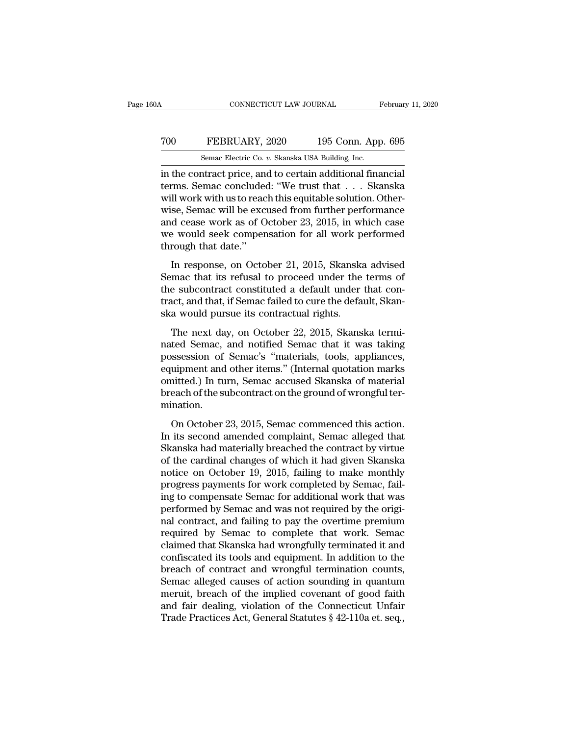### CONNECTICUT LAW JOURNAL February 11, 2020<br>
700 FEBRUARY, 2020 195 Conn. App. 695<br>
8emac Electric Co. v. Skanska USA Building, Inc. CONNECTICUT LAW JOURNAL February 11, 2020<br>
TOO FEBRUARY, 2020 195 Conn. App. 695<br>
Semac Electric Co. *v.* Skanska USA Building, Inc.<br>
in the contract price, and to certain additional financial

CONNECTICUT LAW JOURNAL February 11, 20<br>
TOO FEBRUARY, 2020 195 Conn. App. 695<br>
Semac Electric Co. v. Skanska USA Building, Inc.<br>
in the contract price, and to certain additional financial<br>
terms. Semac concluded: "We trus The FEBRUARY, 2020 195 Conn. App. 695<br>
Semac Electric Co. v. Skanska USA Building, Inc.<br>
in the contract price, and to certain additional financial<br>
terms. Semac concluded: "We trust that . . . Skanska<br>
will work with us t To reach the Co. v. Skanska USA Building, Inc.<br>
Semac Electric Co. v. Skanska USA Building, Inc.<br>
in the contract price, and to certain additional financial<br>
terms. Semac concluded: "We trust that . . . Skanska<br>
will work The FEBRUARY, 2020 195 Conn. App. 695<br>
Semac Electric Co. v. Skanska USA Building, Inc.<br>
in the contract price, and to certain additional financial<br>
terms. Semac concluded: "We trust that . . . Skanska<br>
will work with us Semac Electric Co. v. Skanska USA Building, Inc.<br>in the contract price, and to certain additional financial<br>terms. Semac concluded: "We trust that . . . Skanska<br>will work with us to reach this equitable solution. Other-<br>w Semac Electric Co.  $v$ . Skanska USA Building, Inc.<br>in the contract price, and to certain additional financial<br>terms. Semac concluded: "We trust that  $\dots$  Skanska<br>will work with us to reach this equitable solution. Other-<br> in the contract price, and<br>terms. Semac conclude<br>will work with us to reac<br>wise, Semac will be exc<br>and cease work as of O<br>we would seek comper<br>through that date."<br>In response, on Octo Il work with us to reach this equitable solution. Other-<br>se, Semac will be excused from further performance<br>d cease work as of October 23, 2015, in which case<br>e would seek compensation for all work performed<br>rough that da win work with as to reach this equitable solution. Other<br>wise, Semac will be excused from further performance<br>and cease work as of October 23, 2015, in which case<br>we would seek compensation for all work performed<br>through t

wise, senale win be exclused from furtual performance<br>and cease work as of October 23, 2015, in which case<br>we would seek compensation for all work performed<br>through that date."<br>In response, on October 21, 2015, Skanska adv and cease work as of octoocr 25, 2015, in which case<br>we would seek compensation for all work performed<br>through that date."<br>In response, on October 21, 2015, Skanska advised<br>Semac that its refusal to proceed under the terms ska would seek conpensation for an work p<br>through that date."<br>In response, on October 21, 2015, Skanska<br>Semac that its refusal to proceed under the<br>the subcontract constituted a default under<br>tract, and that, if Semac fail In response, on October 21, 2015, Skanska advised<br>mac that its refusal to proceed under the terms of<br>e subcontract constituted a default under that con-<br>act, and that, if Semac failed to cure the default, Skan-<br>a would pur In response, on eccesser 21, 2010, standard and set<br>Semac that its refusal to proceed under the terms of<br>the subcontract constituted a default under that con-<br>tract, and that, if Semac failed to cure the default, Skan-<br>ska

befinae and its rerusar to proceed ander are terms of<br>the subcontract constituted a default under that con-<br>tract, and that, if Semac failed to cure the default, Skan-<br>ska would pursue its contractual rights.<br>The next day, ract, and that, if Semac failed to cure the default, Skanska would pursue its contractual rights.<br>The next day, on October 22, 2015, Skanska terminated Semac, and notified Semac that it was taking possession of Semac's "ma ska would pursue its contractual rights.<br>Ska would pursue its contractual rights.<br>The next day, on October 22, 2015, Skanska termi-<br>nated Semac, and notified Semac that it was taking<br>possession of Semac's "materials, tools The next day, on October 22, 2015, Skanska terminated Semac, and notified Semac that it was taking possession of Semac's "materials, tools, appliances, equipment and other items." (Internal quotation marks omitted.) In tur mination. Summer Semach Connect Schute that it was data is<br>ssession of Semac's "materials, tools, appliances,<br>uipment and other items." (Internal quotation marks<br>initted.) In turn, Semac accused Skanska of material<br>each of the subco Exercised americans, the second americans, the sequipment and other items." (Internal quotation marks omitted.) In turn, Semac accused Skanska of material breach of the subcontract on the ground of wrongful termination.<br>On

Equipment and state nemet. (Internal quotation maths)<br>omitted.) In turn, Semac accused Skanska of material<br>breach of the subcontract on the ground of wrongful ter-<br>mination.<br>On October 23, 2015, Semac commenced this action of the subcontract on the ground of wrongful ter-<br>breach of the subcontract on the ground of wrongful ter-<br>mination.<br>In its second amended complaint, Semac alleged that<br>Skanska had materially breached the contract by virtu mination.<br>
On October 23, 2015, Semac commenced this action.<br>
In its second amended complaint, Semac alleged that<br>
Skanska had materially breached the contract by virtue<br>
of the cardinal changes of which it had given Skans on October 23, 2015, Semac commenced this action.<br>In its second amended complaint, Semac alleged that<br>Skanska had materially breached the contract by virtue<br>of the cardinal changes of which it had given Skanska<br>notice on O On October 23, 2015, Semac commenced this action.<br>In its second amended complaint, Semac alleged that<br>Skanska had materially breached the contract by virtue<br>of the cardinal changes of which it had given Skanska<br>notice on O In its second amended complaint, Semac alleged that<br>Skanska had materially breached the contract by virtue<br>of the cardinal changes of which it had given Skanska<br>notice on October 19, 2015, failing to make monthly<br>progress Skanska had materially breached the contract by virtue<br>of the cardinal changes of which it had given Skanska<br>notice on October 19, 2015, failing to make monthly<br>progress payments for work completed by Semac, fail-<br>ing to c of the cardinal changes of which it had given Skanska<br>notice on October 19, 2015, failing to make monthly<br>progress payments for work completed by Semac, fail-<br>ing to compensate Semac for additional work that was<br>performed notice on October 19, 2015, failing to make monthly<br>progress payments for work completed by Semac, fail-<br>ing to compensate Semac for additional work that was<br>performed by Semac and was not required by the origi-<br>nal contra progress payments for work completed by Semac, failing to compensate Semac for additional work that was<br>performed by Semac and was not required by the original contract, and failing to pay the overtime premium<br>required by ing to compensate Semac for additional work that was<br>performed by Semac and was not required by the original contract, and failing to pay the overtime premium<br>required by Semac to complete that work. Semac<br>claimed that Ska performed by Semac and was not required by the original contract, and failing to pay the overtime premium<br>required by Semac to complete that work. Semac<br>claimed that Skanska had wrongfully terminated it and<br>confiscated its mal contract, and failing to pay the overtime premium<br>required by Semac to complete that work. Semac<br>claimed that Skanska had wrongfully terminated it and<br>confiscated its tools and equipment. In addition to the<br>breach of c required by Semac to complete that work. Semac<br>claimed that Skanska had wrongfully terminated it and<br>confiscated its tools and equipment. In addition to the<br>breach of contract and wrongful termination counts,<br>Semac alleged claimed that Skanska had wrongfully terminated it and<br>confiscated its tools and equipment. In addition to the<br>breach of contract and wrongful termination counts,<br>Semac alleged causes of action sounding in quantum<br>meruit, b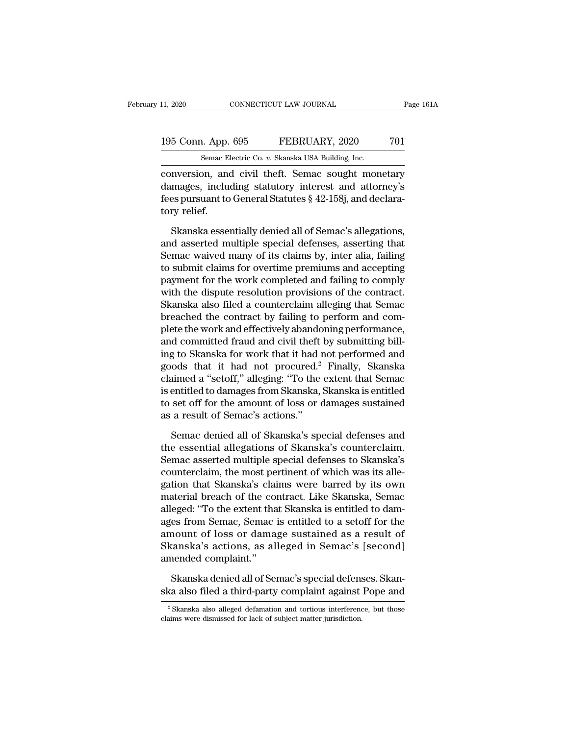### 11, 2020 CONNECTICUT LAW JOURNAL Page 161A<br>195 Conn. App. 695 FEBRUARY, 2020 701<br>Semac Electric Co. v. Skanska USA Building, Inc. 11, 2020 CONNECTICUT LAW JOURNAL<br>195 Conn. App. 695 FEBRUARY, 2020 701<br>5emac Electric Co. *v.* Skanska USA Building, Inc.<br>2001 Conversion, and civil theft. Semac sought monetary

conversion and civil theft. Semac sought monetary<br>
there are sought monetary<br>
conversion, and civil theft. Semac sought monetary<br>
damages, including statutory interest and attorney's<br>
foconversion to Concrel Statutors & 42 195 Conn. App. 695 FEBRUARY, 2020 701<br>
Semac Electric Co. v. Skanska USA Building, Inc.<br>
conversion, and civil theft. Semac sought monetary<br>
damages, including statutory interest and attorney's<br>
fees pursuant to General St 195 Conn. App. 695 FEBRUARY, 2020 701<br>
Semac Electric Co. v. Skanska USA Building, Inc.<br>
conversion, and civil theft. Semac sought monetary<br>
damages, including statutory interest and attorney's<br>
fees pursuant to General St 195 Conn. App.<br>
Semac El<br>
conversion, and<br>
damages, include<br>
fees pursuant to<br>
tory relief.<br>
Skanska esser Semac Electric Co.  $v$ . Skanska USA Building, Inc.<br>
Inversion, and civil theft. Semac sought monetary<br>
mages, including statutory interest and attorney's<br>
es pursuant to General Statutes  $\S$  42-158j, and declara-<br>
ry reli conversion, and civil theft. Semac sought monetary<br>damages, including statutory interest and attorney's<br>fees pursuant to General Statutes § 42-158j, and declara-<br>tory relief.<br>Skanska essentially denied all of Semac's alleg

damages, including statutory interest and attorney's<br>fees pursuant to General Statutes § 42-158j, and declara-<br>tory relief.<br>Skanska essentially denied all of Semac's allegations,<br>and asserted multiple special defenses, ass fees pursuant to General Statutes § 42-158j, and declara-<br>tory relief.<br>Skanska essentially denied all of Semac's allegations,<br>and asserted multiple special defenses, asserting that<br>Semac waived many of its claims by, inter tory relief.<br>
Skanska essentially denied all of Semac's allegations,<br>
and asserted multiple special defenses, asserting that<br>
Semac waived many of its claims by, inter alia, failing<br>
to submit claims for overtime premiums Skanska essentially denied all of Semac's allegations,<br>and asserted multiple special defenses, asserting that<br>Semac waived many of its claims by, inter alia, failing<br>to submit claims for overtime premiums and accepting<br>pay Skanska essentially denied all of Semac's allegations,<br>and asserted multiple special defenses, asserting that<br>Semac waived many of its claims by, inter alia, failing<br>to submit claims for overtime premiums and accepting<br>pay and asserted multiple special defenses, asserting that<br>Semac waived many of its claims by, inter alia, failing<br>to submit claims for overtime premiums and accepting<br>payment for the work completed and failing to comply<br>with Semac waived many of its claims by, inter alia, failing<br>to submit claims for overtime premiums and accepting<br>payment for the work completed and failing to comply<br>with the dispute resolution provisions of the contract.<br>Skan to submit claims for overtime premiums and accepting<br>payment for the work completed and failing to comply<br>with the dispute resolution provisions of the contract.<br>Skanska also filed a counterclaim alleging that Semac<br>breach payment for the work completed and failing to comply<br>with the dispute resolution provisions of the contract.<br>Skanska also filed a counterclaim alleging that Semac<br>breached the contract by failing to perform and com-<br>plete with the dispute resolution provisions of the contract.<br>Skanska also filed a counterclaim alleging that Semac<br>breached the contract by failing to perform and com-<br>plete the work and effectively abandoning performance,<br>and Skanska also filed a counterclaim alleging that Semac<br>breached the contract by failing to perform and com-<br>plete the work and effectively abandoning performance,<br>and committed fraud and civil theft by submitting bill-<br>ing breached the contract by failing to perform and com-<br>plete the work and effectively abandoning performance,<br>and committed fraud and civil theft by submitting bill-<br>ing to Skanska for work that it had not performed and<br>good plete the work and effectively abandoning performance,<br>and committed fraud and civil theft by submitting bill-<br>ing to Skanska for work that it had not performed and<br>goods that it had not procured.<sup>2</sup> Finally, Skanska<br>claim and committed fraud and civil theft<br>ing to Skanska for work that it had 1<br>goods that it had not procured.<sup>2</sup><br>claimed a "setoff," alleging: "To the<br>is entitled to damages from Skanska,<br>to set off for the amount of loss or c ods that it had not procured.<sup>2</sup> Finally, Skanska<br>aimed a "setoff," alleging: "To the extent that Semac<br>entitled to damages from Skanska, Skanska is entitled<br>set off for the amount of loss or damages sustained<br>a result of claimed a "setoff," alleging: "To the extent that Semac<br>is entitled to damages from Skanska, Skanska is entitled<br>to set off for the amount of loss or damages sustained<br>as a result of Semac's actions."<br>Semac denied all of S

is entitled to damages from Skanska, Skanska is entitled<br>to set off for the amount of loss or damages sustained<br>as a result of Semac's actions."<br>Semac denied all of Skanska's special defenses and<br>the essential allegations to set off for the amount of loss or damages sustained<br>as a result of Semac's actions."<br>Semac denied all of Skanska's special defenses and<br>the essential allegations of Skanska's counterclaim.<br>Semac asserted multiple specia as a result of Semac's actions."<br>
Semac denied all of Skanska's special defenses and<br>
the essential allegations of Skanska's counterclaim.<br>
Semac asserted multiple special defenses to Skanska's<br>
counterclaim, the most pert Semac denied all of Skanska's special defenses and<br>the essential allegations of Skanska's counterclaim.<br>Semac asserted multiple special defenses to Skanska's<br>counterclaim, the most pertinent of which was its allegation tha Semac denied all of Skanska's special defenses and<br>the essential allegations of Skanska's counterclaim.<br>Semac asserted multiple special defenses to Skanska's<br>counterclaim, the most pertinent of which was its alle-<br>gation t the essential allegations of Skanska's counterclaim.<br>Semac asserted multiple special defenses to Skanska's<br>counterclaim, the most pertinent of which was its alle-<br>gation that Skanska's claims were barred by its own<br>materia Semac asserted multiple special defenses to Skanska's<br>counterclaim, the most pertinent of which was its alle-<br>gation that Skanska's claims were barred by its own<br>material breach of the contract. Like Skanska, Semac<br>alleged counterclaim, the most pertinent of which was its allegation that Skanska's claims were barred by its own material breach of the contract. Like Skanska, Semac alleged: "To the extent that Skanska is entitled to damages fro gation that Skanska's clai<br>material breach of the complement consider the sages from Semac, Semac<br>amount of loss or dama<br>Skanska's actions, as al<br>amended complaint.''<br>Skanska denied all of Sem eged: "To the extent that Skanska is entitled to dames from Semac, Semac is entitled to a setoff for the<br>nount of loss or damage sustained as a result of<br>tanska's actions, as alleged in Semac's [second]<br>nended complaint."<br> ages from Semac, Semac is entitled to a setoff for the<br>amount of loss or damage sustained as a result of<br>Skanska's actions, as alleged in Semac's [second]<br>amended complaint."<br>Skanska denied all of Semac's special defenses.

mended complaint."<br>
Skanska denied all of Semac's special defenses. Skan-<br>
ca also filed a third-party complaint against Pope and<br>
<sup>2</sup> Skanska also alleged defamation and tortious interference, but those<br>
also sumissed for Skanska denied all of Semac's special defens<br>ska also filed a third-party complaint against<br><sup>2</sup> Skanska also alleged defamation and tortious interference<br>claims were dismissed for lack of subject matter jurisdiction.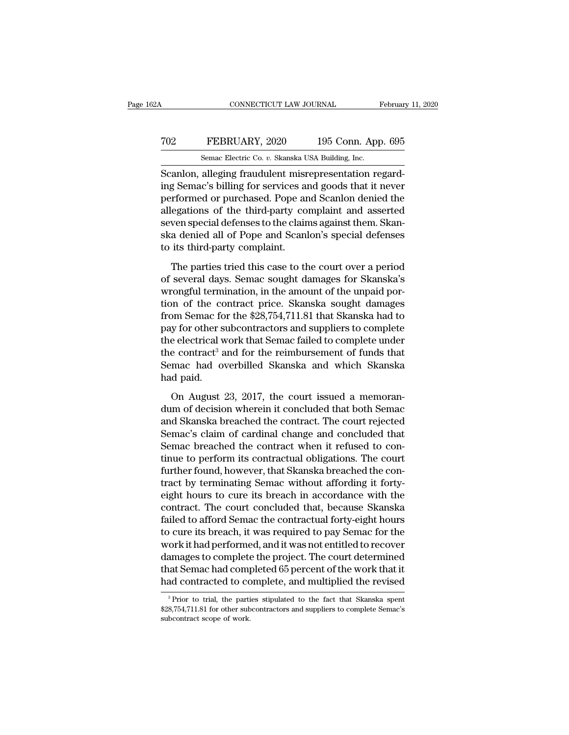### CONNECTICUT LAW JOURNAL February 11, 2020<br> **702** FEBRUARY, 2020 195 Conn. App. 695<br>
Semac Electric Co. v. Skanska USA Building, Inc. CONNECTICUT LAW JOURNAL February 11, 2020<br>TO2 FEBRUARY, 2020 195 Conn. App. 695<br>Semac Electric Co. *v.* Skanska USA Building, Inc.<br>Scanlon, alleging fraudulent misrepresentation regard-

CONNECTICUT LAW JOURNAL Februar<br>
Scanlon, alleging fraudulent misrepresentation regard-<br>
Scanlon, alleging fraudulent misrepresentation regard-<br>
Scanlon, alleging fraudulent misrepresentation regard-<br>
Scanlon, alleging for TO2 FEBRUARY, 2020 195 Conn. App. 695<br>
Semac Electric Co. v. Skanska USA Building, Inc.<br>
Scanlon, alleging fraudulent misrepresentation regard-<br>
ing Semac's billing for services and goods that it never<br>
performed or purcha FEBRUARY, 2020 195 Conn. App. 695<br>
Semac Electric Co. v. Skanska USA Building, Inc.<br>
Scanlon, alleging fraudulent misrepresentation regard-<br>
ing Semac's billing for services and goods that it never<br>
performed or purchased. TO2 FEBRUARY, 2020 195 Conn. App. 695<br>
Semac Electric Co. v. Skanska USA Building, Inc.<br>
Scanlon, alleging fraudulent misrepresentation regard-<br>
ing Semac's billing for services and goods that it never<br>
performed or purcha Semac Electric Co. v. Skanska USA Building, Inc.<br>Scanlon, alleging fraudulent misrepresentation regard-<br>ing Semac's billing for services and goods that it never<br>performed or purchased. Pope and Scanlon denied the<br>allegatio senac Electric Co. *v.* Skanska USA Bunding, Inc.<br>Scanlon, alleging fraudulent misrepresentation regard-<br>ing Semac's billing for services and goods that it never<br>performed or purchased. Pope and Scanlon denied the<br>allegati Scanlon, alleging fraudulent misr<br>ing Semac's billing for services are<br>performed or purchased. Pope are<br>allegations of the third-party co<br>seven special defenses to the clain<br>ska denied all of Pope and Scanl<br>to its third-pa The parties of the third-party complaint and asserted<br>ven special defenses to the claims against them. Skan-<br>a denied all of Pope and Scanlon's special defenses<br>its third-party complaint.<br>The parties tried this case to the allegations of the third-party complaint and asserted<br>seven special defenses to the claims against them. Skanska denied all of Pope and Scanlon's special defenses<br>to its third-party complaint.<br>The parties tried this case t

ware seven special defenses to the claims against them. Skanska denied all of Pope and Scanlon's special defenses<br>to its third-party complaint.<br>The parties tried this case to the court over a period<br>of several days. Semac ska denied all of Pope and Scanlon's special defenses<br>to its third-party complaint.<br>The parties tried this case to the court over a period<br>of several days. Semac sought damages for Skanska's<br>wrongful termination, in the am to its third-party complaint.<br>The parties tried this case to the court over a period<br>of several days. Semac sought damages for Skanska's<br>wrongful termination, in the amount of the unpaid por-<br>tion of the contract price. Sk The parties tried this case to the court over a period<br>of several days. Semac sought damages for Skanska's<br>wrongful termination, in the amount of the unpaid por-<br>tion of the contract price. Skanska sought damages<br>from Sem The parties tried this case to the court over a period<br>of several days. Semac sought damages for Skanska's<br>wrongful termination, in the amount of the unpaid por-<br>tion of the contract price. Skanska sought damages<br>from Sema of several days. Semac sought damages for Skanska's<br>wrongful termination, in the amount of the unpaid por-<br>tion of the contract price. Skanska sought damages<br>from Semac for the \$28,754,711.81 that Skanska had to<br>pay for ot wrongful termination, in the amount of the unpaid por-<br>tion of the contract price. Skanska sought damages<br>from Semac for the \$28,754,711.81 that Skanska had to<br>pay for other subcontractors and suppliers to complete<br>the ele tion of the co<br>from Semac fo<br>pay for other s<br>the electrical v<br>the contract<sup>3</sup> a<br>Semac had o<br>had paid.<br>On August 1 y for other subcontractors and suppliers to complete<br>e electrical work that Semac failed to complete under<br>e contract<sup>3</sup> and for the reimbursement of funds that<br>mac had overbilled Skanska and which Skanska<br>d paid.<br>On Augus The electrical work that Semac failed to complete under<br>the contract<sup>3</sup> and for the reimbursement of funds that<br>Semac had overbilled Skanska and which Skanska<br>had paid.<br>On August 23, 2017, the court issued a memoran-<br>dum o

the contract<sup>3</sup> and for the reimbursement of funds that<br>Semac had overbilled Skanska and which Skanska<br>had paid.<br>On August 23, 2017, the court issued a memoran-<br>dum of decision wherein it concluded that both Semac<br>and Skan Semac had overbilled Skanska and which Skanska<br>had paid.<br>On August 23, 2017, the court issued a memoran-<br>dum of decision wherein it concluded that both Semac<br>and Skanska breached the contract. The court rejected<br>Semac's cl had paid.<br>
On August 23, 2017, the court issued a memoran-<br>
dum of decision wherein it concluded that both Semac<br>
and Skanska breached the contract. The court rejected<br>
Semac's claim of cardinal change and concluded that<br> On August 23, 2017, the court issued a memoran-<br>dum of decision wherein it concluded that both Semac<br>and Skanska breached the contract. The court rejected<br>Semac's claim of cardinal change and concluded that<br>Semac breached On August 23, 2017, the court issued a memorandum of decision wherein it concluded that both Semac<br>and Skanska breached the contract. The court rejected<br>Semac's claim of cardinal change and concluded that<br>Semac breached th dum of decision wherein it concluded that both Semac<br>and Skanska breached the contract. The court rejected<br>Semac's claim of cardinal change and concluded that<br>Semac breached the contract when it refused to con-<br>tinue to pe and Skanska breached the contract. The court rejected<br>Semac's claim of cardinal change and concluded that<br>Semac breached the contract when it refused to con-<br>tinue to perform its contractual obligations. The court<br>further Semac's claim of cardinal change and concluded that<br>Semac breached the contract when it refused to con-<br>tinue to perform its contractual obligations. The court<br>further found, however, that Skanska breached the con-<br>tract b Semac breached the contract when it refused to continue to perform its contractual obligations. The court<br>further found, however, that Skanska breached the contract by terminating Semac without affording it forty-<br>eight ho tinue to perform its contractual obligations. The court<br>further found, however, that Skanska breached the con-<br>tract by terminating Semac without affording it forty-<br>eight hours to cure its breach in accordance with the<br>co further found, however, that Skanska breached the contract by terminating Semac without affording it forty-<br>eight hours to cure its breach in accordance with the<br>contract. The court concluded that, because Skanska<br>failed t tract by terminating Semac without affording it forty-<br>eight hours to cure its breach in accordance with the<br>contract. The court concluded that, because Skanska<br>failed to afford Semac the contractual forty-eight hours<br>to c eight hours to cure its breach in accordance with the contract. The court concluded that, because Skanska failed to afford Semac the contractual forty-eight hours to cure its breach, it was required to pay Semac for the wo contract. The court concluded that, because Skanska<br>failed to afford Semac the contractual forty-eight hours<br>to cure its breach, it was required to pay Semac for the<br>work it had performed, and it was not entitled to recove ork it nad performed, and it was not entitled to recover<br>amages to complete the project. The court determined<br>at Semac had completed 65 percent of the work that it<br>ad contracted to complete, and multiplied the revised<br><sup>3</sup> damages to complete the project. The court determined<br>that Semac had completed 65 percent of the work that it<br>had contracted to complete, and multiplied the revised<br><sup>3</sup>Prior to trial, the parties stipulated to the fact tha

that Semac had comparated to compare of the partial, the partial space of work.<br>Sessential, the partial space of work.<br>Subcontract scope of work.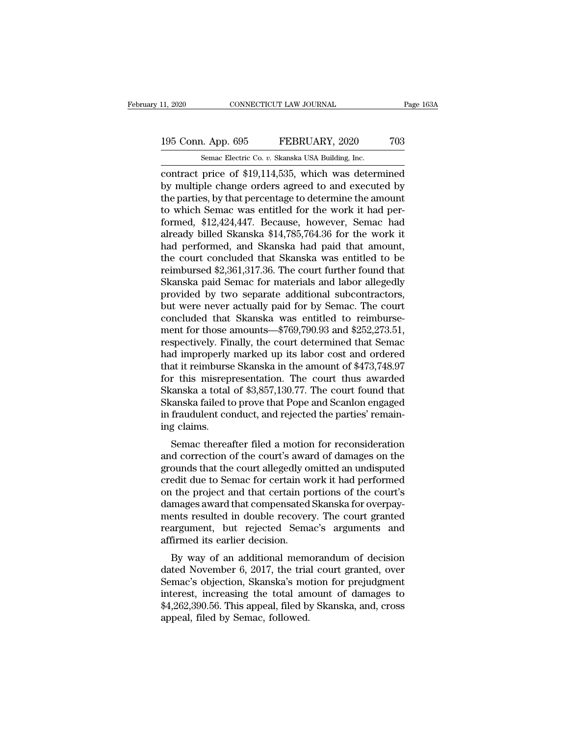# 11, 2020 CONNECTICUT LAW JOURNAL Page 163A<br>195 Conn. App. 695 FEBRUARY, 2020 703<br>Semac Electric Co. v. Skanska USA Building, Inc.

11, 2020 CONNECTICUT LAW JOURNAL<br>195 Conn. App. 695 FEBRUARY, 2020 703<br>5emac Electric Co. *v.* Skanska USA Building, Inc.<br>contract price of \$19,114,535, which was determined contract price of \$19,114,535, which was determined<br>the newton and the newton of \$19,114,535, which was determined<br>by multiple change orders agreed to and executed by<br>the newtias by that nervouses to determine the amount 195 Conn. App. 695 FEBRUARY, 2020 703<br>
Semac Electric Co. v. Skanska USA Building, Inc.<br>
contract price of \$19,114,535, which was determined<br>
by multiple change orders agreed to and executed by<br>
the parties, by that percen 195 Conn. App. 695 FEBRUARY, 2020 703<br>
Semac Electric Co. v. Skanska USA Building, Inc.<br>
contract price of \$19,114,535, which was determined<br>
by multiple change orders agreed to and executed by<br>
the parties, by that perce 195 Conn. App. 695 FEBRUARY, 2020 703<br>
Semac Electric Co. v. Skanska USA Building, Inc.<br>
contract price of \$19,114,535, which was determined<br>
by multiple change orders agreed to and executed by<br>
the parties, by that percen Semac Electric Co. *v.* Skanska USA Building, Inc.<br>
contract price of \$19,114,535, which was determined<br>
by multiple change orders agreed to and executed by<br>
the parties, by that percentage to determine the amount<br>
to whic Semac Electric Co. v. Skanska USA Building, Inc.<br>
contract price of \$19,114,535, which was determined<br>
by multiple change orders agreed to and executed by<br>
the parties, by that percentage to determine the amount<br>
to which contract price of \$19,114,535, which was determined<br>by multiple change orders agreed to and executed by<br>the parties, by that percentage to determine the amount<br>to which Semac was entitled for the work it had per-<br>formed, \$ by multiple change orders agreed to and executed by<br>the parties, by that percentage to determine the amount<br>to which Semac was entitled for the work it had per-<br>formed, \$12,424,447. Because, however, Semac had<br>already bill the parties, by that percentage to determine the amount<br>to which Semac was entitled for the work it had per-<br>formed, \$12,424,447. Because, however, Semac had<br>already billed Skanska \$14,785,764.36 for the work it<br>had perfor to which Semac was entitled for the work it had per-<br>formed, \$12,424,447. Because, however, Semac had<br>already billed Skanska \$14,785,764.36 for the work it<br>had performed, and Skanska had paid that amount,<br>the court conclud formed, \$12,424,447. Because, however, Semac had<br>already billed Skanska \$14,785,764.36 for the work it<br>had performed, and Skanska had paid that amount,<br>the court concluded that Skanska was entitled to be<br>reimbursed \$2,361, already billed Skanska \$14,785,764.36 for the work it<br>had performed, and Skanska had paid that amount,<br>the court concluded that Skanska was entitled to be<br>reimbursed \$2,361,317.36. The court further found that<br>Skanska paid had performed, and Skanska had paid that amount,<br>the court concluded that Skanska was entitled to be<br>reimbursed \$2,361,317.36. The court further found that<br>Skanska paid Semac for materials and labor allegedly<br>provided by t the court concluded that Skanska was entitled to be<br>reimbursed \$2,361,317.36. The court further found that<br>Skanska paid Semac for materials and labor allegedly<br>provided by two separate additional subcontractors,<br>but were n reimbursed \$2,361,317.36. The court further found that<br>Skanska paid Semac for materials and labor allegedly<br>provided by two separate additional subcontractors,<br>but were never actually paid for by Semac. The court<br>concluded Skanska paid Semac for materials and labor allegedly<br>provided by two separate additional subcontractors,<br>but were never actually paid for by Semac. The court<br>concluded that Skanska was entitled to reimburse-<br>ment for those provided by two separate additional subcontractors,<br>but were never actually paid for by Semac. The court<br>concluded that Skanska was entitled to reimburse-<br>ment for those amounts—\$769,790.93 and \$252,273.51,<br>respectively. F but were never actually paid for by Semac. The court<br>concluded that Skanska was entitled to reimburse-<br>ment for those amounts—\$769,790.93 and \$252,273.51,<br>respectively. Finally, the court determined that Semac<br>had improper concluded that Skanska was entitled to reimbursement for those amounts—\$769,790.93 and \$252,273.51, respectively. Finally, the court determined that Semachad improperly marked up its labor cost and ordered that it reimburs ment for those amounts—\$769,790.93 and \$252,273.51,<br>respectively. Finally, the court determined that Semac<br>had improperly marked up its labor cost and ordered<br>that it reimburse Skanska in the amount of \$473,748.97<br>for this respectively. Finally, the court determined that Semachad improperly marked up its labor cost and ordered that it reimburse Skanska in the amount of \$473,748.97 for this misrepresentation. The court thus awarded Skanska a had improperly<br>that it reimburse<br>for this misrep<br>Skanska a total<br>Skanska failed t<br>in fraudulent co<br>ing claims.<br>Semac therea This misrepresentation. The court thus awarded<br>
ranska a total of \$3,857,130.77. The court found that<br>
ranska failed to prove that Pope and Scanlon engaged<br>
fraudulent conduct, and rejected the parties' remain-<br>
g claims. For this inistepresentation. The Court thus awarded<br>Skanska a total of \$3,857,130.77. The court found that<br>Skanska failed to prove that Pope and Scanlon engaged<br>in fraudulent conduct, and rejected the parties' remain-<br>ing

Skanska a total of \$9,697,150.77. The court found that<br>Skanska failed to prove that Pope and Scanlon engaged<br>in fraudulent conduct, and rejected the parties' remain-<br>ing claims.<br>Semac thereafter filed a motion for reconsid Example and scaling equals a rate of prove that I operator Scalinon engaged<br>in fraudulent conduct, and rejected the parties' remaining claims.<br>Semac thereafter filed a motion for reconsideration<br>and correction of the court In fraudulent conduct, and rejected the parties remain-<br>ing claims.<br>Semac thereafter filed a motion for reconsideration<br>and correction of the court's award of damages on the<br>grounds that the court allegedly omitted an undi demand correction of the court's award of damages on the grounds that the court llegedly omitted an undisputed credit due to Semac for certain work it had performed on the project and that certain portions of the court's d Semac thereafter filed a motion for reconsideration<br>and correction of the court's award of damages on the<br>grounds that the court allegedly omitted an undisputed<br>credit due to Semac for certain work it had performed<br>on the and correction of the court's award of damages on the<br>grounds that the court allegedly omitted an undisputed<br>credit due to Semac for certain work it had performed<br>on the project and that certain portions of the court's<br>dam grounds that the court allegedly of<br>credit due to Semac for certain w<br>on the project and that certain po<br>damages award that compensated<br>ments resulted in double recover<br>reargument, but rejected Sema<br>affirmed its earlier de Figure 1 and that certain work it had performed<br>the project and that certain portions of the court's<br>mages award that compensated Skanska for overpay-<br>ents resulted in double recovery. The court granted<br>argument, but reje on the project and that certain portions of the court's<br>damages award that compensated Skanska for overpay-<br>ments resulted in double recovery. The court granted<br>reargument, but rejected Semac's arguments and<br>affirmed its e

dantages award that compensated skanska for overpay-<br>ments resulted in double recovery. The court granted<br>reargument, but rejected Semac's arguments and<br>affirmed its earlier decision.<br>By way of an additional memorandum of ments resulted in double recovery. The court granted<br>reargument, but rejected Semac's arguments and<br>affirmed its earlier decision.<br>By way of an additional memorandum of decision<br>dated November 6, 2017, the trial court gran Frangment, but rejected Senac's arguments and<br>affirmed its earlier decision.<br>By way of an additional memorandum of decision<br>dated November 6, 2017, the trial court granted, over<br>Semac's objection, Skanska's motion for prej annined its earlier decision.<br>By way of an additional mem<br>dated November 6, 2017, the tria<br>Semac's objection, Skanska's mo<br>interest, increasing the total am<br>\$4,262,390.56. This appeal, filed b<br>appeal, filed by Semac, follo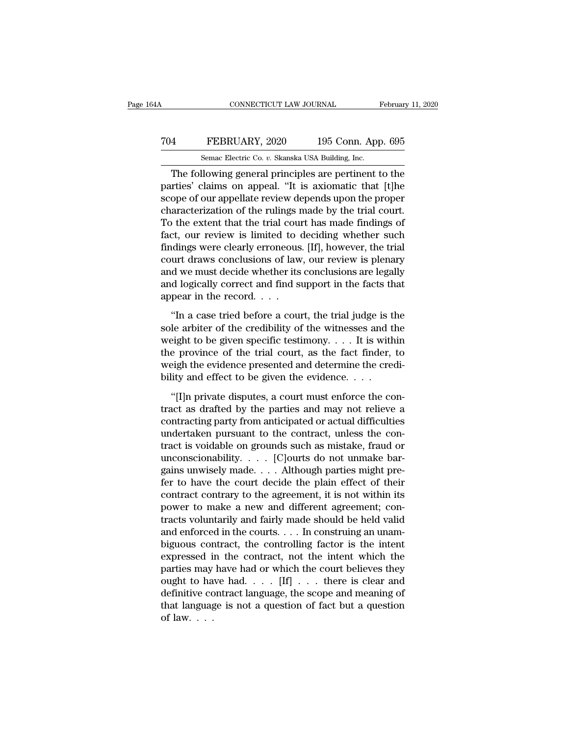### CONNECTICUT LAW JOURNAL February 11, 2020<br>
704 FEBRUARY, 2020 195 Conn. App. 695<br>
8emac Electric Co. v. Skanska USA Building, Inc. CONNECTICUT LAW JOURNAL February 11, 2020<br>
Semac Electric Co. *v.* Skanska USA Building, Inc.<br>
The following general principles are pertinent to the

CONNECTICUT LAW JOURNAL February 11, 2020<br>
The FEBRUARY, 2020 195 Conn. App. 695<br>
Semac Electric Co. v. Skanska USA Building, Inc.<br>
The following general principles are pertinent to the<br>
rties' claims on appeal. "It is axi FEBRUARY, 2020 195 Conn. App. 695<br>
Semac Electric Co. v. Skanska USA Building, Inc.<br>
The following general principles are pertinent to the<br>
parties' claims on appeal. "It is axiomatic that [t]he<br>
scope of our appellate rev T04 FEBRUARY, 2020 195 Conn. App. 695<br>
Semac Electric Co. v. Skanska USA Building, Inc.<br>
The following general principles are pertinent to the<br>
parties' claims on appeal. "It is axiomatic that [t]he<br>
scope of our appellat TO4 FEBRUARY, 2020 195 Conn. App. 695<br>
Semac Electric Co.  $v$ . Skanska USA Building, Inc.<br>
The following general principles are pertinent to the<br>
parties' claims on appeal. "It is axiomatic that [t]he<br>
scope of our appell Semac Electric Co.  $v$ . Skanska USA Building, Inc.<br>
The following general principles are pertinent to the<br>
parties' claims on appeal. "It is axiomatic that [t]he<br>
scope of our appellate review depends upon the proper<br>
cha Senac Electric Co.  $v$ . Skanska USA Bunding, inc.<br>
The following general principles are pertinent to the<br>
parties' claims on appeal. "It is axiomatic that [t]he<br>
scope of our appellate review depends upon the proper<br>
char The following general principles are pertinent to the parties' claims on appeal. "It is axiomatic that [t]he scope of our appellate review depends upon the proper characterization of the rulings made by the trial court. To parties' claims on appeal. "It is axiomatic that [t]he<br>scope of our appellate review depends upon the proper<br>characterization of the rulings made by the trial court.<br>To the extent that the trial court has made findings of<br> scope of our appellate review depends upon the proper<br>characterization of the rulings made by the trial court.<br>To the extent that the trial court has made findings of<br>fact, our review is limited to deciding whether such<br>fi characterization of the rulings made by the trial court.<br>To the extent that the trial court has made findings of<br>fact, our review is limited to deciding whether such<br>findings were clearly erroneous. [If], however, the tri To the extent that the trial counfact, our review is limited to (findings were clearly erroneous court draws conclusions of law and we must decide whether its and logically correct and find suppear in the record. . . . . . <sup>1</sup><br>
If I, however, the trial<br>
urt draws conclusions of law, our review is plenary<br>
d we must decide whether its conclusions are legally<br>
d logically correct and find support in the facts that<br>
pear in the record.<br>
"In a c solut draws conclusions of law, our review is plenary<br>court draws conclusions of law, our review is plenary<br>and logically correct and find support in the facts that<br>appear in the record. . . .<br>"In a case tried before a co

and we must decide whether its conclusions are legally<br>and logically correct and find support in the facts that<br>appear in the record. . . .<br>"In a case tried before a court, the trial judge is the<br>sole arbiter of the credi and logically correct and find support in the facts that<br>appear in the record. . . .<br>"In a case tried before a court, the trial judge is the<br>sole arbiter of the credibility of the witnesses and the<br>weight to be given spec appear in the record. . . .<br>
"In a case tried before a court, the trial judge is the sole arbiter of the credibility of the witnesses and the weight to be given specific testimony. . . . It is within the province of the t "In a case tried before a court, the trial judge is t<br>sole arbiter of the credibility of the witnesses and t<br>weight to be given specific testimony. . . . It is with<br>the province of the trial court, as the fact finder,<br>wei le arbiter of the credibility of the witnesses and the eight to be given specific testimony.  $\dots$  It is within e province of the trial court, as the fact finder, to eight the evidence presented and determine the creditity weight to be given specific testimony.  $\dots$  It is within<br>the province of the trial court, as the fact finder, to<br>weigh the evidence presented and determine the credi-<br>bility and effect to be given the evidence.  $\dots$ <br>"[I]n

the province of the trial court, as the fact finder, to weigh the evidence presented and determine the credibility and effect to be given the evidence.  $\ldots$  "[I]n private disputes, a court must enforce the contract as dr weigh the evidence presented and determine the credi-<br>bility and effect to be given the evidence.  $\dots$ <br>"[I]n private disputes, a court must enforce the con-<br>tract as drafted by the parties and may not relieve a<br>contractin bility and effect to be given the evidence.  $\dots$ <br>
"[I]n private disputes, a court must enforce the contract as drafted by the parties and may not relieve a<br>
contracting party from anticipated or actual difficulties<br>
under "[I]n private disputes, a court must enforce the contract as drafted by the parties and may not relieve a contracting party from anticipated or actual difficulties undertaken pursuant to the contract, unless the contract "[I]n private disputes, a court must enforce the contract as drafted by the parties and may not relieve a contracting party from anticipated or actual difficulties undertaken pursuant to the contract, unless the contract tract as drafted by the parties and may not relieve a<br>contracting party from anticipated or actual difficulties<br>undertaken pursuant to the contract, unless the con-<br>tract is voidable on grounds such as mistake, fraud or<br>u contracting party from anticipated or actual difficulties<br>undertaken pursuant to the contract, unless the con-<br>tract is voidable on grounds such as mistake, fraud or<br>unconscionability. . . . . [C]ourts do not unmake bar-<br> undertaken pursuant to the contract, unless the contract is voidable on grounds such as mistake, fraud or unconscionability. . . . [C]ourts do not unmake bargains unwisely made. . . . Although parties might prefer to have tract is voidable on grounds such as mistake, fraud or<br>unconscionability. . . . [C]ourts do not unmake bar-<br>gains unwisely made. . . . Although parties might pre-<br>fer to have the court decide the plain effect of their<br>con unconscionability. . . . . [C]ourts do not unmake bargains unwisely made. . . . Although parties might pre-<br>fer to have the court decide the plain effect of their<br>contract contrary to the agreement, it is not within its<br>p gains unwisely made.... Although parties might pre-<br>fer to have the court decide the plain effect of their<br>contract contrary to the agreement, it is not within its<br>power to make a new and different agreement; con-<br>tracts fer to have the court decide the plain effect of their<br>contract contrary to the agreement, it is not within its<br>power to make a new and different agreement; con-<br>tracts voluntarily and fairly made should be held valid<br>and contract contrary to the agreement, it is not within its<br>power to make a new and different agreement; con-<br>tracts voluntarily and fairly made should be held valid<br>and enforced in the courts.... In construing an unam-<br>bigu power to make a new and different agreement; contracts voluntarily and fairly made should be held valid<br>and enforced in the courts. . . . In construing an unam-<br>biguous contract, the controlling factor is the intent<br>expre tracts voluntarily and fairly made should be held valid<br>and enforced in the courts.... In construing an unam-<br>biguous contract, the controlling factor is the intent<br>expressed in the contract, not the intent which the<br>part and enforced in the courts. . . . In construing an unam-<br>biguous contract, the controlling factor is the intent<br>expressed in the contract, not the intent which the<br>parties may have had or which the court believes they<br>oug biguous cor<br>expressed i<br>parties may<br>ought to ha<br>definitive co<br>that languag<br>of law. . . .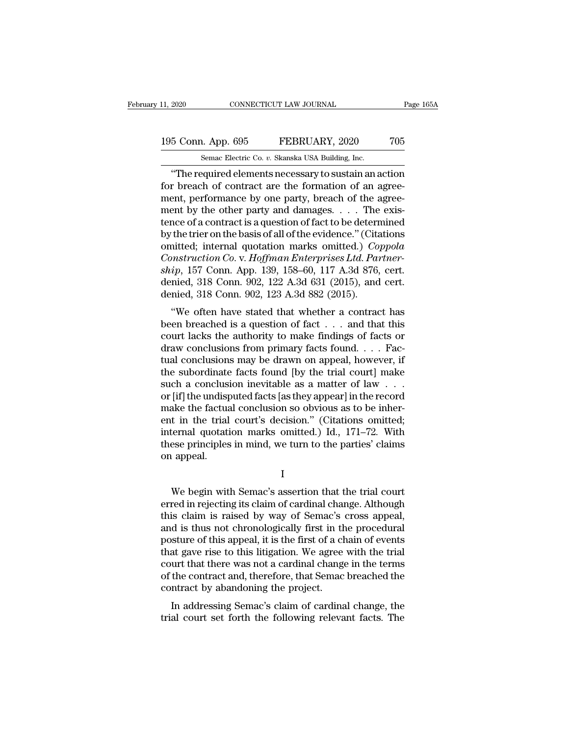### 11, 2020 CONNECTICUT LAW JOURNAL Page 165A<br>195 Conn. App. 695 FEBRUARY, 2020 705<br>Semac Electric Co. v. Skanska USA Building, Inc. 11, 2020 CONNECTICUT LAW JOURNAL<br>195 Conn. App. 695 FEBRUARY, 2020 705<br>Semac Electric Co. *v.* Skanska USA Building, Inc.<br>**"The required elements necessary to sustain an action"**

<sup>2020</sup> CONNECTICUT LAW JOURNAL Page 165A<br>
5 Conn. App. 695 FEBRUARY, 2020 705<br>
<sup>2020</sup> Semac Electric Co. v. Skanska USA Building, Inc.<br>
<sup>2020</sup> The required elements necessary to sustain an action<br>
10 The required elements 195 Conn. App. 695 FEBRUARY, 2020 705<br>
Semac Electric Co. v. Skanska USA Building, Inc.<br>
"The required elements necessary to sustain an action<br>
for breach of contract are the formation of an agree-<br>
ment, performance by on 195 Conn. App. 695 FEBRUARY, 2020 705<br>
Semac Electric Co. v. Skanska USA Building, Inc.<br>
"The required elements necessary to sustain an action<br>
for breach of contract are the formation of an agree-<br>
ment, performance by o 195 Conn. App. 695 FEBRUARY, 2020 705<br>
Semac Electric Co. v. Skanska USA Building, Inc.<br>
"The required elements necessary to sustain an action<br>
for breach of contract are the formation of an agree-<br>
ment, performance by on Senal  $T_{\text{FP}}$ ,  $\sigma$  contract is a contract is a question of an agreement, performance by one party, breach of the agreement, performance by one party, breach of the agreement by the other party and damages.  $\dots$  The exi Semac Electric Co.  $v$ . Skanska USA Building, Inc.<br>
"The required elements necessary to sustain an action<br>
for breach of contract are the formation of an agree-<br>
ment, performance by one party, breach of the agree-<br>
ment "The required elements necessary to sustain an action<br>for breach of contract are the formation of an agree-<br>ment, performance by one party, breach of the agree-<br>ment by the other party and damages.  $\dots$  The exis-<br>tence of for breach of contract are the formation of an agreement, performance by one party, breach of the agreement by the other party and damages. . . . The existence of a contract is a question of fact to be determined by the tr ment, performance by one party, breach of the agreement by the other party and damages. . . . The existence of a contract is a question of fact to be determined by the trier on the basis of all of the evidence." (Citations ment by the other party and damages. . . . The existence of a contract is a question of fact to be determined<br>by the trier on the basis of all of the evidence." (Citations<br>omitted; internal quotation marks omitted.) *Coppo* tence of a contract is a question of fact to be determ<br>by the trier on the basis of all of the evidence." (Citz<br>omitted; internal quotation marks omitted.) Cor<br>Construction Co. v. Hoffman Enterprises Ltd. Par<br>ship, 157 Co inted; internal quotation marks omitted.) Coppola<br>
instruction Co. v. Hoffman Enterprises Ltd. Partner-<br>
ip, 157 Conn. App. 139, 158–60, 117 A.3d 876, cert.<br>
inied, 318 Conn. 902, 122 A.3d 631 (2015), and cert.<br>
inied, 31 Construction Co. v. Hoffman Enterprises Ltd. Partner-<br>ship, 157 Conn. App. 139, 158–60, 117 A.3d 876, cert.<br>denied, 318 Conn. 902, 122 A.3d 631 (2015), and cert.<br>denied, 318 Conn. 902, 123 A.3d 882 (2015).<br>"We often have

construction co. v. Hoffman Enterprises Ea. 1 armer-<br>ship, 157 Conn. App. 139, 158–60, 117 A.3d 876, cert.<br>denied, 318 Conn. 902, 122 A.3d 631 (2015), and cert.<br>denied, 318 Conn. 902, 123 A.3d 882 (2015).<br>"We often have s ship, 157 Collit. App. 158, 156–00, 117 A.5d 870, cert.<br>denied, 318 Conn. 902, 122 A.3d 631 (2015), and cert.<br>denied, 318 Conn. 902, 123 A.3d 882 (2015).<br>"We often have stated that whether a contract has<br>been breached is denied, 318 Conn. 902, 122 A.5d 651 (2015), and cert.<br>denied, 318 Conn. 902, 123 A.3d 882 (2015).<br>"We often have stated that whether a contract has<br>been breached is a question of fact . . . and that this<br>court lacks the a The subset of the subordinate facts for the trial conduction of fact  $\ldots$  and that this court lacks the authority to make findings of facts or draw conclusions from primary facts found.  $\ldots$  Factual conclusions may be d "We often have stated that whether a contract has<br>been breached is a question of fact  $\ldots$  and that this<br>court lacks the authority to make findings of facts or<br>draw conclusions from primary facts found  $\ldots$ . Fac-<br>tual c been breached is a question of fact  $\dots$  and that this court lacks the authority to make findings of facts or draw conclusions from primary facts found  $\dots$ . Factual conclusions may be drawn on appeal, however, if the sub court lacks the authority to make findings of facts or<br>draw conclusions from primary facts found. . . . Fac-<br>tual conclusions may be drawn on appeal, however, if<br>the subordinate facts found [by the trial court] make<br>such draw conclusions from primary facts found.... Factual conclusions may be drawn on appeal, however, if<br>the subordinate facts found [by the trial court] make<br>such a conclusion inevitable as a matter of law ...<br>or [if] the u tual conclusions may be drawn on appeal, however, if<br>the subordinate facts found [by the trial court] make<br>such a conclusion inevitable as a matter of law . . .<br>or [if] the undisputed facts [as they appear] in the record<br>m the subordinate facts found [by the trial court] make<br>such a conclusion inevitable as a matter of law  $\ldots$ <br>or [if] the undisputed facts [as they appear] in the record<br>make the factual conclusion so obvious as to be inher such a conclusi<br>or [if] the undisp<br>make the factua<br>ent in the trial<br>internal quotati<br>these principles<br>on appeal. t in the trial court's decision." (Citations omitted;<br>ternal quotation marks omitted.) Id., 171–72. With<br>ese principles in mind, we turn to the parties' claims<br>appeal.<br>I<br>We begin with Semac's assertion that the trial court

I

internal quotation marks omitted.) Id., 171–72. With<br>these principles in mind, we turn to the parties' claims<br>on appeal.<br>I<br>We begin with Semac's assertion that the trial court<br>erred in rejecting its claim of cardinal chang these principles in mind, we turn to the parties' claims<br>on appeal.<br>I<br>We begin with Semac's assertion that the trial court<br>erred in rejecting its claim of cardinal change. Although<br>this claim is raised by way of Semac's cr I<br>I<br>We begin with Semac's assertion that the trial court<br>erred in rejecting its claim of cardinal change. Although<br>this claim is raised by way of Semac's cross appeal,<br>and is thus not chronologically first in the procedura I<br>
We begin with Semac's assertion that the trial court<br>
erred in rejecting its claim of cardinal change. Although<br>
this claim is raised by way of Semac's cross appeal,<br>
and is thus not chronologically first in the procedu We begin with Semac's assertion that the trial court<br>erred in rejecting its claim of cardinal change. Although<br>this claim is raised by way of Semac's cross appeal,<br>and is thus not chronologically first in the procedural<br>po We begin with Semac's assertion that the trial court<br>erred in rejecting its claim of cardinal change. Although<br>this claim is raised by way of Semac's cross appeal,<br>and is thus not chronologically first in the procedural<br>po erred in rejecting its claim of cardinal change. Although<br>this claim is raised by way of Semac's cross appeal,<br>and is thus not chronologically first in the procedural<br>posture of this appeal, it is the first of a chain of e this claim is raised by way of Semac's<br>and is thus not chronologically first in th<br>posture of this appeal, it is the first of a cl<br>that gave rise to this litigation. We agree<br>court that there was not a cardinal change<br>of t In a strustand chronologically first in the procedural sture of this appeal, it is the first of a chain of events at gave rise to this litigation. We agree with the trial urt that there was not a cardinal change in the ter posture of this appear, it is the first of a chain of events<br>that gave rise to this litigation. We agree with the trial<br>court that there was not a cardinal change in the terms<br>of the contract and, therefore, that Semac bre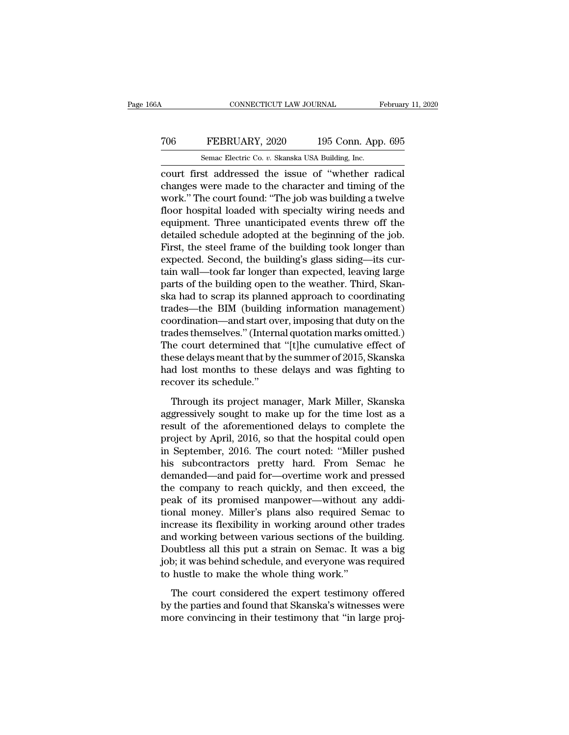### CONNECTICUT LAW JOURNAL February 11, 2020<br>
706 FEBRUARY, 2020 195 Conn. App. 695<br>
Semac Electric Co. v. Skanska USA Building, Inc. CONNECTICUT LAW JOURNAL February 11, 2020<br>
TO6 FEBRUARY, 2020 195 Conn. App. 695<br>
Semac Electric Co. *v.* Skanska USA Building, Inc.<br>
Court first addressed the issue of "whether radical"

CONNECTICUT LAW JOURNAL February 11, 20<br>
TO6 FEBRUARY, 2020 195 Conn. App. 695<br>
Semac Electric Co. v. Skanska USA Building, Inc.<br>
Court first addressed the issue of "whether radical<br>
changes were made to the character and TO6 FEBRUARY, 2020 195 Conn. App. 695<br>
Semac Electric Co. v. Skanska USA Building, Inc.<br>
court first addressed the issue of "whether radical<br>
changes were made to the character and timing of the<br>
work." The court found: "T TO6 FEBRUARY, 2020 195 Conn. App. 695<br>
Semac Electric Co. v. Skanska USA Building, Inc.<br>
court first addressed the issue of "whether radical<br>
changes were made to the character and timing of the<br>
work.'' The court found: FEBRUARY, 2020 195 Conn. App. 695<br>
Semac Electric Co.  $v$ . Skanska USA Building, Inc.<br>
court first addressed the issue of "whether radical<br>
changes were made to the character and timing of the<br>
work." The court found: "Th Semac Electric Co.  $v$ . Skanska USA Building, Inc.<br>
court first addressed the issue of "whether radical<br>
changes were made to the character and timing of the<br>
work." The court found: "The job was building a twelve<br>
floor Senac Electric Co.  $v$ . Skanska USA Bunding, inc.<br>
court first addressed the issue of "whether radical<br>
changes were made to the character and timing of the<br>
work." The court found: "The job was building a twelve<br>
floor h court first addressed the issue of "whether radical<br>changes were made to the character and timing of the<br>work." The court found: "The job was building a twelve<br>floor hospital loaded with specialty wiring needs and<br>equipmen changes were made to the character and timing of the<br>work." The court found: "The job was building a twelve<br>floor hospital loaded with specialty wiring needs and<br>equipment. Three unanticipated events threw off the<br>detailed work." The court found: "The job was building a twelve<br>floor hospital loaded with specialty wiring needs and<br>equipment. Three unanticipated events threw off the<br>detailed schedule adopted at the beginning of the job.<br>First, floor hospital loaded with specialty wiring needs and<br>equipment. Three unanticipated events threw off the<br>detailed schedule adopted at the beginning of the job.<br>First, the steel frame of the building took longer than<br>expec equipment. Three unanticipated events threw off the<br>detailed schedule adopted at the beginning of the job.<br>First, the steel frame of the building took longer than<br>expected. Second, the building's glass siding—its cur-<br>tain detailed schedule adopted at the beginning of the job.<br>First, the steel frame of the building took longer than<br>expected. Second, the building's glass siding—its cur-<br>tain wall—took far longer than expected, leaving large<br>p First, the steel frame of the building took longer than<br>expected. Second, the building's glass siding—its cur-<br>tain wall—took far longer than expected, leaving large<br>parts of the building open to the weather. Third, Skan-<br> expected. Second, the building's glass siding—its curtain wall—took far longer than expected, leaving large<br>parts of the building open to the weather. Third, Skanska had to scrap its planned approach to coordinating<br>trades tain wall—took far longer than expected, leaving large<br>parts of the building open to the weather. Third, Skan-<br>ska had to scrap its planned approach to coordinating<br>trades—the BIM (building information management)<br>coordina parts of the building open to the weather. Third, Skanska had to scrap its planned approach to coordinating trades—the BIM (building information management) coordination—and start over, imposing that duty on the trades the ska had to scrap its planned approach to coordinating<br>trades—the BIM (building information management)<br>coordination—and start over, imposing that duty on the<br>trades themselves." (Internal quotation marks omitted.)<br>The cour trades—the BIM (building<br>coordination—and start ov<br>trades themselves.'' (Intern<br>The court determined that<br>these delays meant that by !<br>had lost months to these<br>recover its schedule.''<br>Through its project mar ades themselves." (Internal quotation marks omitted.)<br>he court determined that "[t]he cumulative effect of<br>ese delays meant that by the summer of 2015, Skanska<br>d lost months to these delays and was fighting to<br>cover its sc The court determined that "[t]he cumulative effect of<br>these delays meant that by the summer of 2015, Skanska<br>had lost months to these delays and was fighting to<br>recover its schedule."<br>Through its project manager, Mark Mil

these delays meant that by the summer of 2015, Skanska<br>had lost months to these delays and was fighting to<br>recover its schedule."<br>Through its project manager, Mark Miller, Skanska<br>aggressively sought to make up for the tim had lost months to these delays and was fighting to<br>recover its schedule."<br>Through its project manager, Mark Miller, Skanska<br>aggressively sought to make up for the time lost as a<br>result of the aforementioned delays to comp recover its schedule."<br>
Through its project manager, Mark Miller, Skanska<br>
aggressively sought to make up for the time lost as a<br>
result of the aforementioned delays to complete the<br>
project by April, 2016, so that the hos Through its project manager, Mark Miller, Skanska<br>aggressively sought to make up for the time lost as a<br>result of the aforementioned delays to complete the<br>project by April, 2016, so that the hospital could open<br>in Septemb Through its project manager, Mark Miller, Skanska<br>aggressively sought to make up for the time lost as a<br>result of the aforementioned delays to complete the<br>project by April, 2016, so that the hospital could open<br>in Septemb aggressively sought to make up for the time lost as a<br>result of the aforementioned delays to complete the<br>project by April, 2016, so that the hospital could open<br>in September, 2016. The court noted: "Miller pushed<br>his subc result of the aforementioned delays to complete the<br>project by April, 2016, so that the hospital could open<br>in September, 2016. The court noted: "Miller pushed<br>his subcontractors pretty hard. From Semac he<br>demanded—and pai project by April, 2016, so that the hospital could open<br>in September, 2016. The court noted: "Miller pushed<br>his subcontractors pretty hard. From Semac he<br>demanded—and paid for—overtime work and pressed<br>the company to reach in September, 2016. The court noted: "Miller pushed<br>his subcontractors pretty hard. From Semac he<br>demanded—and paid for—overtime work and pressed<br>the company to reach quickly, and then exceed, the<br>peak of its promised manp his subcontractors pretty hard. From Semac he demanded—and paid for—overtime work and pressed<br>the company to reach quickly, and then exceed, the<br>peak of its promised manpower—without any addi-<br>tional money. Miller's plans demanded—and paid for—overtime work and pressed<br>the company to reach quickly, and then exceed, the<br>peak of its promised manpower—without any addi-<br>tional money. Miller's plans also required Semac to<br>increase its flexibilit the company to reach quickly, and then exceed, the<br>peak of its promised manpower—without any addi-<br>tional money. Miller's plans also required Semac to<br>increase its flexibility in working around other trades<br>and working bet peak of its promised manpower—without and tional money. Miller's plans also required Senercase its flexibility in working around othe and working between various sections of the l<br>Doubtless all this put a strain on Semac. crease its flexibility in working around other trades<br>d working between various sections of the building.<br>bubtless all this put a strain on Semac. It was a big<br>b; it was behind schedule, and everyone was required<br>hustle to and working between various sections of the building.<br>Doubtless all this put a strain on Semac. It was a big<br>job; it was behind schedule, and everyone was required<br>to hustle to make the whole thing work."<br>The court conside Doubtless all this put a strain on Semac. It was a big<br>job; it was behind schedule, and everyone was required<br>to hustle to make the whole thing work."<br>The court considered the expert testimony offered<br>by the parties and fo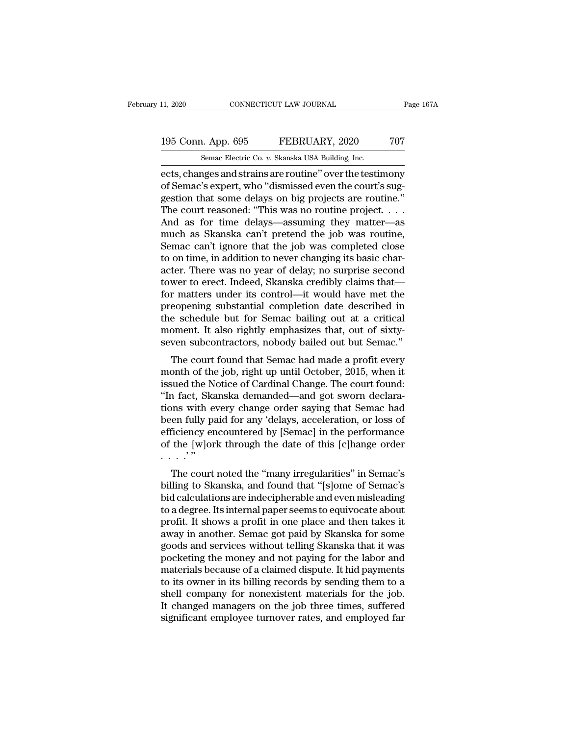# 11, 2020 CONNECTICUT LAW JOURNAL Page 167A<br>195 Conn. App. 695 FEBRUARY, 2020 707<br>Semac Electric Co. v. Skanska USA Building, Inc.

11, 2020 CONNECTICUT LAW JOURNAL<br>195 Conn. App. 695 FEBRUARY, 2020 707<br>Semac Electric Co. *v.* Skanska USA Building, Inc.<br>ects, changes and strains are routine" over the testimony ects, changes and strains are routine'' over the court's suggestion that some delays on his projects are routine''<br>
dects, changes and strains are routine'' over the testimony<br>
of Semac's expert, who "dismissed even the co 195 Conn. App. 695 FEBRUARY, 2020 707<br>
Semac Electric Co. v. Skanska USA Building, Inc.<br>
ects, changes and strains are routine" over the testimony<br>
of Semac's expert, who "dismissed even the court's sug-<br>
gestion that some 195 Conn. App. 695 FEBRUARY, 2020 707<br>
Semac Electric Co. v. Skanska USA Building, Inc.<br>
ects, changes and strains are routine" over the testimony<br>
of Semac's expert, who "dismissed even the court's sug-<br>
gestion that som 195 Conn. App. 695 FEBRUARY, 2020 707<br>
Semac Electric Co. v. Skanska USA Building, Inc.<br>
ects, changes and strains are routine" over the testimony<br>
of Semac's expert, who "dismissed even the court's sug-<br>
gestion that some Senal  $P_{\text{FP}}$ ,  $\frac{P_{\text{S}}}{P_{\text{S}}}$  (Senal  $P_{\text{FP}}$ ) (Senal  $P_{\text{FP}}$ ) (Senac Electric Co. v. Skanska USA Building, Inc.<br>
ects, changes and strains are routine" over the testimony<br>
of Semac's expert, who "dismissed eve Semac Electric Co.  $v$ . Skanska USA Building, Inc.<br>
ects, changes and strains are routine" over the testimony<br>
of Semac's expert, who "dismissed even the court's sug-<br>
gestion that some delays on big projects are routine. ects, changes and strains are routine" over the testimony<br>of Semac's expert, who "dismissed even the court's sug-<br>gestion that some delays on big projects are routine."<br>The court reasoned: "This was no routine project. . . of Semac's expert, who "dismissed even the court's suggestion that some delays on big projects are routine."<br>The court reasoned: "This was no routine project....<br>And as for time delays—assuming they matter—as<br>much as Skans gestion that some delays on big projects are routine."<br>The court reasoned: "This was no routine project....<br>And as for time delays—assuming they matter—as<br>much as Skanska can't pretend the job was routine,<br>Semac can't igno The court reasoned: "This was no routine project. . . .<br>And as for time delays—assuming they matter—as<br>much as Skanska can't pretend the job was routine,<br>Semac can't ignore that the job was completed close<br>to on time, in And as for time delays—assuming they matter—as<br>much as Skanska can't pretend the job was routine,<br>Semac can't ignore that the job was completed close<br>to on time, in addition to never changing its basic char-<br>acter. There w much as Skanska can't pretend the job was routine,<br>Semac can't ignore that the job was completed close<br>to on time, in addition to never changing its basic char-<br>acter. There was no year of delay; no surprise second<br>tower t Semac can't ignore that the job was completed close<br>to on time, in addition to never changing its basic char-<br>acter. There was no year of delay; no surprise second<br>tower to erect. Indeed, Skanska credibly claims that—<br>for to on time, in addition to never changing its basic character. There was no year of delay; no surprise second tower to erect. Indeed, Skanska credibly claims that—<br>for matters under its control—it would have met the preope acter. There was no year of delay; no surprise second<br>tower to erect. Indeed, Skanska credibly claims that—<br>for matters under its control—it would have met the<br>preopening substantial completion date described in<br>the schedu wer to erect. maeed, skanska creatory crains triat—<br>r matters under its control—it would have met the<br>eopening substantial completion date described in<br>e schedule but for Semac bailing out at a critical<br>oment. It also righ For matters under its contron—it would have flet the<br>preopening substantial completion date described in<br>the schedule but for Semac bailing out at a critical<br>moment. It also rightly emphasizes that, out of sixty-<br>seven sub

preopening substantian completion date described in<br>the schedule but for Semac bailing out at a critical<br>moment. It also rightly emphasizes that, out of sixty-<br>seven subcontractors, nobody bailed out but Semac."<br>The court the schedule but for senact balling out at a critical<br>
moment. It also rightly emphasizes that, out of sixty-<br>
seven subcontractors, nobody bailed out but Semac."<br>
The court found that Semac had made a profit every<br>
month moment. It also rightly emphasizes that, out of sixty-<br>seven subcontractors, nobody bailed out but Semac."<br>The court found that Semac had made a profit every<br>month of the job, right up until October, 2015, when it<br>issued t seven subcontractors, nobody baned out but sentat.<br>The court found that Semac had made a profit every<br>month of the job, right up until October, 2015, when it<br>issued the Notice of Cardinal Change. The court found:<br>"In fact, The court found that Semac had made a profit every<br>month of the job, right up until October, 2015, when it<br>issued the Notice of Cardinal Change. The court found:<br>"In fact, Skanska demanded—and got sworn declara-<br>tions with month of the job, right up until October, 2015, when it<br>issued the Notice of Cardinal Change. The court found:<br>"In fact, Skanska demanded—and got sworn declara-<br>tions with every change order saying that Semac had<br>been ful issued the N<br>
"In fact, Skations with e<br>
been fully pa<br>
efficiency er<br>
of the [w]or<br>
....."<br>
The court Tract, Skanska demanded—and got sworn declara-<br>
In fact, Skanska demanded—and got sworn declara-<br>
en fully paid for any 'delays, acceleration, or loss of<br>
ficiency encountered by [Semac] in the performance<br>
the [w]ork thro been fully paid for any 'delays, acceleration, or loss of<br>efficiency encountered by [Semac] in the performance<br>of the [w]ork through the date of this [c]hange order<br>....."<br>The court noted the "many irregularities" in Semac

been runy paid for any delays, acceleration, or loss of<br>efficiency encountered by [Semac] in the performance<br>of the [w]ork through the date of this [c]hange order<br>..."<br>..."<br>The court noted the "many irregularities" in Sema emerically encountered by [Benfac] in the performance<br>of the [w]ork through the date of this [c]hange order<br>...."<br>The court noted the "many irregularities" in Semac's<br>billing to Skanska, and found that "[s]ome of Semac's<br>b of the [w]ork through the date of this [c]nange order<br>
...."<br>
The court noted the "many irregularities" in Semac's<br>
billing to Skanska, and found that "[s]ome of Semac's<br>
bid calculations are indecipherable and even mislea The court noted the "many irregularities" in Semac's<br>billing to Skanska, and found that "[s]ome of Semac's<br>bid calculations are indecipherable and even misleading<br>to a degree. Its internal paper seems to equivocate about<br>p The court noted the "many irregularities" in Semac's<br>billing to Skanska, and found that "[s]ome of Semac's<br>bid calculations are indecipherable and even misleading<br>to a degree. Its internal paper seems to equivocate about<br>p billing to Skanska, and found that "[s]ome of Semac's<br>bid calculations are indecipherable and even misleading<br>to a degree. Its internal paper seems to equivocate about<br>profit. It shows a profit in one place and then takes bid calculations are indecipherable and even misleading<br>to a degree. Its internal paper seems to equivocate about<br>profit. It shows a profit in one place and then takes it<br>away in another. Semac got paid by Skanska for some to a degree. Its internal paper seems to equivocate about<br>profit. It shows a profit in one place and then takes it<br>away in another. Semac got paid by Skanska for some<br>goods and services without telling Skanska that it was<br> profit. It shows a profit in one place and then takes it<br>away in another. Semac got paid by Skanska for some<br>goods and services without telling Skanska that it was<br>pocketing the money and not paying for the labor and<br>mater away in another. Semac got paid by Skanska for some<br>goods and services without telling Skanska that it was<br>pocketing the money and not paying for the labor and<br>materials because of a claimed dispute. It hid payments<br>to its goods and services without telling Skanska that it was<br>pocketing the money and not paying for the labor and<br>materials because of a claimed dispute. It hid payments<br>to its owner in its billing records by sending them to a<br>s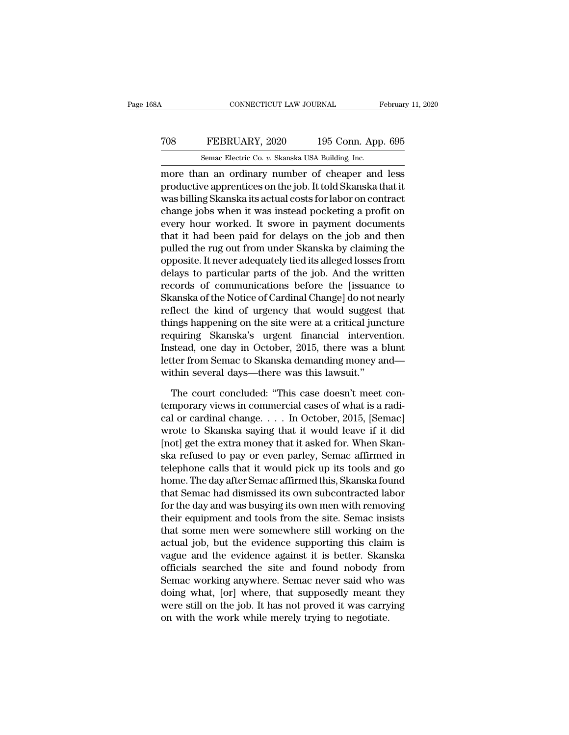### CONNECTICUT LAW JOURNAL February 11, 2020<br>
TO8 FEBRUARY, 2020 195 Conn. App. 695<br>
Semac Electric Co. v. Skanska USA Building, Inc. CONNECTICUT LAW JOURNAL February 11, 2020<br>
TOS FEBRUARY, 2020 195 Conn. App. 695<br>
Semac Electric Co. *v.* Skanska USA Building, Inc.<br>
more than an ordinary number of cheaper and less

CONNECTICUT LAW JOURNAL February 11, 2020<br>
TOS FEBRUARY, 2020 195 Conn. App. 695<br>
Semac Electric Co. v. Skanska USA Building, Inc.<br>
more than an ordinary number of cheaper and less<br>
productive apprentices on the job. It to FEBRUARY, 2020 195 Conn. App. 695<br>
Semac Electric Co. v. Skanska USA Building, Inc.<br>
more than an ordinary number of cheaper and less<br>
productive apprentices on the job. It told Skanska that it<br>
was billing Skanska its act TOS FEBRUARY, 2020 195 Conn. App. 695<br>
Semac Electric Co.  $v$ . Skanska USA Building, Inc.<br>
more than an ordinary number of cheaper and less<br>
productive apprentices on the job. It told Skanska that it<br>
was billing Skanska TO8 FEBRUARY, 2020 195 Conn. App. 695<br>
Semac Electric Co. v. Skanska USA Building, Inc.<br>
more than an ordinary number of cheaper and less<br>
productive apprentices on the job. It told Skanska that it<br>
was billing Skanska its Semac Electric Co. *v.* Skanska USA Building, Inc.<br>
more than an ordinary number of cheaper and less<br>
productive apprentices on the job. It told Skanska that it<br>
was billing Skanska its actual costs for labor on contract<br> Senac Electric Co. *t.* Skaliska USA Bunding, inc.<br>
more than an ordinary number of cheaper and less<br>
productive apprentices on the job. It told Skanska that it<br>
was billing Skanska its actual costs for labor on contract<br> more than an ordinary number of cheaper and less<br>productive apprentices on the job. It told Skanska that it<br>was billing Skanska its actual costs for labor on contract<br>change jobs when it was instead pocketing a profit on<br>e productive apprentices on the job. It told Skanska that it<br>was billing Skanska its actual costs for labor on contract<br>change jobs when it was instead pocketing a profit on<br>every hour worked. It swore in payment documents<br>t was billing Skanska its actual costs for labor on contract<br>change jobs when it was instead pocketing a profit on<br>every hour worked. It swore in payment documents<br>that it had been paid for delays on the job and then<br>pulled change jobs when it was instead pocketing a profit on<br>every hour worked. It swore in payment documents<br>that it had been paid for delays on the job and then<br>pulled the rug out from under Skanska by claiming the<br>opposite. It every hour worked. It swore in payment documents<br>that it had been paid for delays on the job and then<br>pulled the rug out from under Skanska by claiming the<br>opposite. It never adequately tied its alleged losses from<br>delays that it had been paid for delays on the job and then<br>pulled the rug out from under Skanska by claiming the<br>opposite. It never adequately tied its alleged losses from<br>delays to particular parts of the job. And the written<br>r pulled the rug out from under Skanska by claiming the<br>opposite. It never adequately tied its alleged losses from<br>delays to particular parts of the job. And the written<br>records of communications before the [issuance to<br>Skan opposite. It never adequately tied its alleged losses from<br>delays to particular parts of the job. And the written<br>records of communications before the [issuance to<br>Skanska of the Notice of Cardinal Change] do not nearly<br>re delays to particular parts of the job. And the written<br>records of communications before the [issuance to<br>Skanska of the Notice of Cardinal Change] do not nearly<br>reflect the kind of urgency that would suggest that<br>things ha records of communications before the [issuance to<br>Skanska of the Notice of Cardinal Change] do not nearly<br>reflect the kind of urgency that would suggest that<br>things happening on the site were at a critical juncture<br>requiri Skanska of the Notice of Cardinal Change] do not neflect the kind of urgency that would suggest<br>things happening on the site were at a critical junc<br>requiring Skanska's urgent financial interven<br>Instead, one day in October ings happening on the site were at a critical juncture<br>quiring Skanska's urgent financial intervention.<br>stead, one day in October, 2015, there was a blunt<br>ter from Semac to Skanska demanding money and—<br>thin several days—th requiring Skanska's urgent financial intervention.<br>Instead, one day in October, 2015, there was a blunt<br>letter from Semac to Skanska demanding money and<br>within several days—there was this lawsuit."<br>The court concluded: "Th

Instead, one day in October, 2015, there was a blunt<br>letter from Semac to Skanska demanding money and—<br>within several days—there was this lawsuit."<br>The court concluded: "This case doesn't meet con-<br>temporary views in comme letter from Semac to Skanska demanding money and—<br>within several days—there was this lawsuit."<br>The court concluded: "This case doesn't meet con-<br>temporary views in commercial cases of what is a radi-<br>cal or cardinal change within several days—there was this lawsuit."<br>The court concluded: "This case doesn't meet con-<br>temporary views in commercial cases of what is a radi-<br>cal or cardinal change. . . . In October, 2015, [Semac]<br>wrote to Skansk The court concluded: "This case doesn't meet con-<br>temporary views in commercial cases of what is a radi-<br>cal or cardinal change. . . . In October, 2015, [Semac]<br>wrote to Skanska saying that it would leave if it did<br>[not] The court concluded: "This case doesn't meet con-<br>temporary views in commercial cases of what is a radi-<br>cal or cardinal change. . . . In October, 2015, [Semac]<br>wrote to Skanska saying that it would leave if it did<br>[not] temporary views in commercial cases of what is a radi-<br>cal or cardinal change. . . . In October, 2015, [Semac]<br>wrote to Skanska saying that it would leave if it did<br>[not] get the extra money that it asked for. When Skan-<br>s cal or cardinal change. . . . In October, 2015, [Semac]<br>wrote to Skanska saying that it would leave if it did<br>[not] get the extra money that it asked for. When Skan-<br>ska refused to pay or even parley, Semac affirmed in<br>tel wrote to Skanska saying that it would leave if it did<br>[not] get the extra money that it asked for. When Skanska refused to pay or even parley, Semac affirmed in<br>telephone calls that it would pick up its tools and go<br>home. [not] get the extra money that it asked for. When Skanska refused to pay or even parley, Semac affirmed in telephone calls that it would pick up its tools and go home. The day after Semac affirmed this, Skanska found that ska refused to pay or even parley, Semac affirmed in<br>telephone calls that it would pick up its tools and go<br>home. The day after Semac affirmed this, Skanska found<br>that Semac had dismissed its own subcontracted labor<br>for th telephone calls that it would pick up its tools and go<br>home. The day after Semac affirmed this, Skanska found<br>that Semac had dismissed its own subcontracted labor<br>for the day and was busying its own men with removing<br>their home. The day after Semac affirmed this, Skanska found<br>that Semac had dismissed its own subcontracted labor<br>for the day and was busying its own men with removing<br>their equipment and tools from the site. Semac insists<br>that that Semac had dismissed its own subcontracted labor<br>for the day and was busying its own men with removing<br>their equipment and tools from the site. Semac insists<br>that some men were somewhere still working on the<br>actual job for the day and was busying its own men with removing<br>their equipment and tools from the site. Semac insists<br>that some men were somewhere still working on the<br>actual job, but the evidence supporting this claim is<br>vague and their equipment and tools from the site. Semac insists<br>that some men were somewhere still working on the<br>actual job, but the evidence supporting this claim is<br>vague and the evidence against it is better. Skanska<br>officials that some men were somewhere still working on the<br>actual job, but the evidence supporting this claim is<br>vague and the evidence against it is better. Skanska<br>officials searched the site and found nobody from<br>Semac working a actual job, but the evidence supporting this claim<br>vague and the evidence against it is better. Skan<br>officials searched the site and found nobody fr<br>Semac working anywhere. Semac never said who v<br>doing what, [or] where, th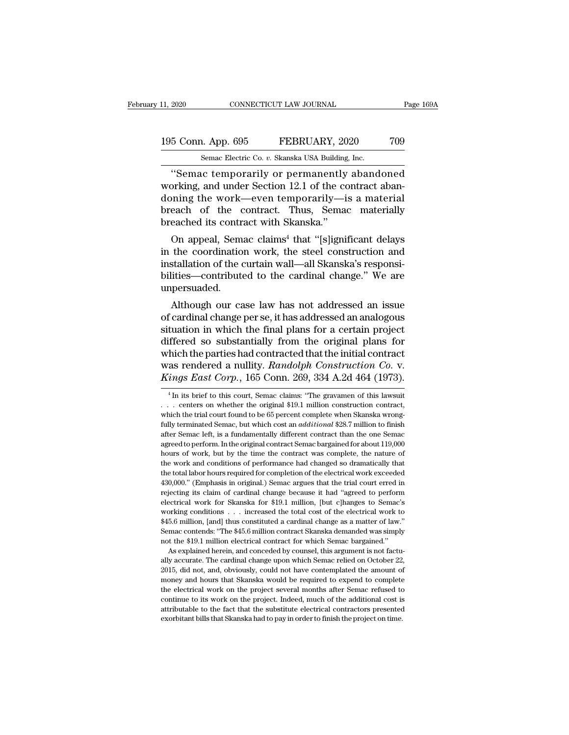### 11, 2020 CONNECTICUT LAW JOURNAL Page 169A<br>195 Conn. App. 695 FEBRUARY, 2020 709<br>Semac Electric Co. v. Skanska USA Building, Inc. 11, 2020 CONNECTICUT LAW JOURNAL<br>195 Conn. App. 695 FEBRUARY, 2020 709<br>Semac Electric Co. *v.* Skanska USA Building, Inc.<br>"Semac temporarily or permanently abandoned

The CONNECTICUT LAW JOURNAL Page 169A<br>
Samuel Conn. App. 695<br>
Semac Electric Co. v. Skanska USA Building, Inc.<br>
"Semac temporarily or permanently abandoned<br>
orking, and under Section 12.1 of the contract aban-<br>
principle a 195 Conn. App. 695 FEBRUARY, 2020 709<br>
Semac Electric Co. v. Skanska USA Building, Inc.<br>
"Semac temporarily or permanently abandoned<br>
working, and under Section 12.1 of the contract aban-<br>
doning the work—even temporarily— 195 Conn. App. 695 FEBRUARY, 2020 709<br>
Semac Electric Co. v. Skanska USA Building, Inc.<br>
"Semac temporarily or permanently abandoned<br>
working, and under Section 12.1 of the contract abandoning the work—even temporarily—is 195 Conn. App. 695 FEBRUARY, 2020 709<br>
Semac Electric Co. v. Skanska USA Building, Inc.<br>
"Semac temporarily or permanently abandoned<br>
working, and under Section 12.1 of the contract abandoning the work—even temporarily—is Semac Electric Co. v. Skanska USA Building<br>
"Semac temporarily or permanently<br>
working, and under Section 12.1 of the co<br>
doning the work—even temporarily—i<br>
breach of the contract. Thus, Semac<br>
breached its contract with "Semac temporarily or permanently abandoned<br>
orking, and under Section 12.1 of the contract aban-<br>
ining the work—even temporarily—is a material<br>
each of the contract. Thus, Semac materially<br>
eached its contract with Skans senac temporarity of permanentry abandoned<br>working, and under Section 12.1 of the contract aban-<br>doning the work—even temporarily—is a materially<br>breach of the contract. Thus, Semac materially<br>breached its contract with Sk

working, and under section 12.1 of the contract abandoning the work—even temporarily—is a materially breached its contract with Skanska."<br>On appeal, Semac claims<sup>4</sup> that "[s]ignificant delays in the coordination work, the doming the work—even temporarity—is a material<br>breach of the contract. Thus, Semac materially<br>breached its contract with Skanska."<br>On appeal, Semac claims<sup>4</sup> that "[s]ignificant delays<br>in the coordination work, the steel c unpersuaded. On appeal, Semac claims<sup>4</sup> that "[s]ignificant delays<br>the coordination work, the steel construction and<br>stallation of the curtain wall—all Skanska's responsi-<br>ities—contributed to the cardinal change." We are<br>persuaded.<br>Al of appear, sentac claims that [spigmicant delays<br>in the coordination work, the steel construction and<br>installation of the curtain wall—all Skanska's responsi-<br>bilities—contributed to the cardinal change." We are<br>unpersuade

in the coordination work, the steer construction and<br>installation of the curtain wall—all Skanska's responsi-<br>bilities—contributed to the cardinal change." We are<br>unpersuaded.<br>Although our case law has not addressed an iss mstanation of the curtain wan—an skanska's responsibilities—contributed to the cardinal change." We are unpersuaded.<br>Although our case law has not addressed an issue of cardinal change per se, it has addressed an analogous Michael Contributed to the cardinal change. We are<br>unpersuaded.<br>Although our case law has not addressed an issue<br>of cardinal change per se, it has addressed an analogous<br>situation in which the final plans for a certain pr Although our case law has not addressed an issue<br>of cardinal change per se, it has addressed an analogous<br>situation in which the final plans for a certain project<br>differed so substantially from the original plans for<br>which Although our case law has not addressed an issue<br>of cardinal change per se, it has addressed an analogous<br>situation in which the final plans for a certain project<br>differed so substantially from the original plans for<br>which ffered so substantially from the original plans for<br>hich the parties had contracted that the initial contract<br>as rendered a nullity. Randolph Construction Co. v.<br>ings East Corp., 165 Conn. 269, 334 A.2d 464 (1973).<br><sup>4</sup>In i which the parties had contracted that the initial contract<br>was rendered a nullity. *Randolph Construction Co.* v.<br>*Kings East Corp.*, 165 Conn. 269, 334 A.2d 464 (1973).<br><sup>4</sup> In its brief to this court, Semac claims: "The

<sup>445</sup>.6 million, [and] thus constituted a cardinal change as a matter of law."<br>
Semac contends: "The \$45.6 million contract Skanska demanded was simply<br>
not the \$19.1 million electrical contract for which Semac bargained. Formac contends: "The \$45.6 million contract Skanska demanded was simply not the \$19.1 million electrical contract for which Semac bargained."<br>As explained herein, and conceded by counsel, this argument is not factually ac not the \$19.1 million electrical contract for which Semac bargained."<br>As explained herein, and conceded by counsel, this argument is not factually accurate. The cardinal change upon which Semac relied on October 22,<br>2015, not the \$19.1 million electrical contract for which Semac bargained." As explained herein, and conceded by counsel, this argument is not factually accurate. The cardinal change upon which Semac relied on October 22, 2015, attributable to the cardinal change upon which Semac relied on October 22, 2015, did not, and, obviously, could not have contemplated the amount of money and hours that Skanska would be required to expend to complete the e 2015, did not, and, obviously, could not have contemplated the amount of

was rendered a nullity. *Randolph Construction Co.* v.<br> *Kings East Corp.*, 165 Conn. 269, 334 A.2d 464 (1973).<br>
<sup>4</sup>In its brief to this court, Semac claims: "The gravamen of this lawsuit<br>
... centers on whether the origi *Kings East Corp.*, 165 Conn. 269, 334 A.2d 464 (1973).<br>
<sup>4</sup> In its brief to this court, Semac claims: "The gravamen of this lawsuit<br>
... centers on whether the original \$19.1 million construction contract,<br>
which the tria After Semac Corp., 109 COIII. 209, 304 A.20 404 (1913).<br>
<sup>4</sup> In its brief to this court, Semac claims: "The gravamen of this lawsuit<br>
... centers on whether the original \$19.1 million construction contract,<br>
which the tri <sup>4</sup> In its brief to this court, Semac claims: "The gravamen of this lawsuit . . . centers on whether the original \$19.1 million construction contract, which the trial court found to be 65 percent complete when Skanska wro ... centers on whether the original \$19.1 million construction contract, which the trial court found to be 65 percent complete when Skanska wrong-<br>fully terminated Semac, but which cost an *additional* \$28.7 million to fi which the trial court found to be 65 percent complete when Skanska wrong-<br>fully terminated Semac, but which cost an *additional* \$28.7 million to finish<br>after Semac left, is a fundamentally different contract than the one fully terminated Semac, but which cost an *additional* \$28.7 million to finish fittler Semac left, is a fundamentally different contract than the one Semac agreed to perform. In the original contract Semac bargained for ab Facture Semac left, is a fundamentally different contract than the one Semac agreed to perform. In the original contract Semac bargained for about 119,000 hours of work, but by the time the contract was complete, the natur agreed to perform. In the original contract Semac bargained for about 119,000 hours of work, but by the time the contract was complete, the nature of the work and conditions of performance had changed so dramatically that electrical work, but by the time the contract was complete, the nature of the work and conditions of performance had changed so dramatically that the total labor hours required for completion of the electrical work exceede the work and conditions of performance had changed so dramatically that the total labor hours required for completion of the electrical work exceeded 430,000." (Emphasis in original.) Semac argues that the trial court err the total labor hours required for completion of the electrical work exceeded 430,000." (Emphasis in original.) Semac argues that the trial court erred in rejecting its claim of cardinal change because it had "agreed to pe 430,000." (Emphasis in original.) Semac argues that the trial court erred in rejecting its claim of cardinal change because it had "agreed to perform electrical work for Skanska for \$19.1 million, [but c]hanges to Semac's rejecting its claim of cardinal change because it had "agreed to perform<br>rejecting its claim of cardinal change because it had "agreed to perform<br>electrical work for Skanska for \$19.1 million, [but c]hanges to Semac's<br>work ectrical work for Skanska for \$19.1 million, [but c]hanges to Semac's orking conditions . . . increased the total cost of the electrical work to 5.6 million, [and] thus constituted a cardinal change as a matter of law." ma working conditions . . . increased the total cost of the electrical work to \$45.6 million, [and] thus constituted a cardinal change as a matter of law."<br>Semac contends: "The \$45.6 million contract Skanska demanded was simp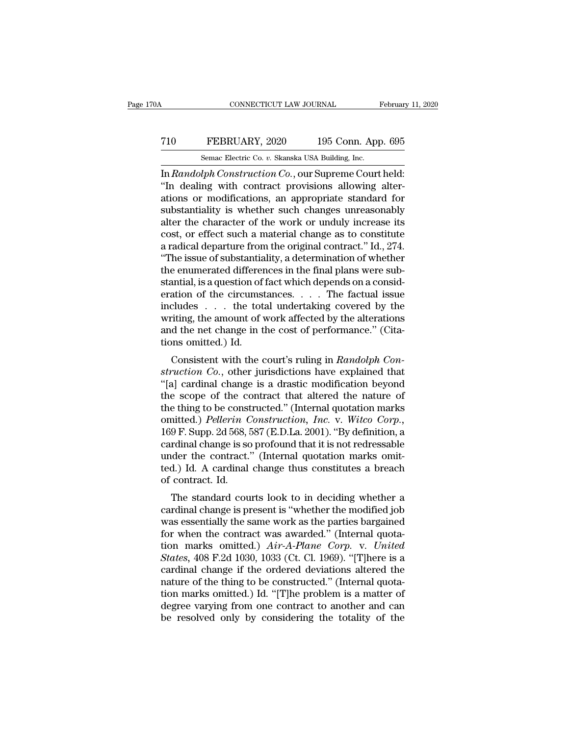### CONNECTICUT LAW JOURNAL February 11, 2020<br>
T10 FEBRUARY, 2020 195 Conn. App. 695<br>
Semac Electric Co. v. Skanska USA Building, Inc. SEPTER CONNECTICUT LAW JOURNAL February 11, 2020<br>
Semac Electric Co. *v.* Skanska USA Building, Inc.<br>
In Randolph Construction Co., our Supreme Court held:

CONNECTICUT LAW JOURNAL February 11, 20<br>
T10 FEBRUARY, 2020 195 Conn. App. 695<br>
Semac Electric Co. v. Skanska USA Building, Inc.<br>
In *Randolph Construction Co.*, our Supreme Court held:<br>
"In dealing with contract provision T10 FEBRUARY, 2020 195 Conn. App. 695<br>
Semac Electric Co. v. Skanska USA Building, Inc.<br>
In Randolph Construction Co., our Supreme Court held:<br>
"In dealing with contract provisions allowing alter-<br>
ations or modifications, T10 FEBRUARY, 2020 195 Conn. App. 695<br>
Semac Electric Co. v. Skanska USA Building, Inc.<br>
In Randolph Construction Co., our Supreme Court held:<br>
"In dealing with contract provisions allowing alter-<br>
ations or modifications T10 FEBRUARY, 2020 195 Conn. App. 695<br>
Semac Electric Co. v. Skanska USA Building, Inc.<br>
In *Randolph Construction Co.*, our Supreme Court held:<br>
"In dealing with contract provisions allowing alter-<br>
ations or modificatio Semac Electric Co. v. Skanska USA Building, Inc.<br>
In Randolph Construction Co., our Supreme Court held:<br>
"In dealing with contract provisions allowing alter-<br>
ations or modifications, an appropriate standard for<br>
substant Semac Electric Co. v. Skanska USA Building, Inc.<br>
In Randolph Construction Co., our Supreme Court held:<br>
"In dealing with contract provisions allowing alter-<br>
ations or modifications, an appropriate standard for<br>
substant In *Randolph Construction Co.*, our Supreme Court held:<br>
"In dealing with contract provisions allowing alterations or modifications, an appropriate standard for substantiality is whether such changes unreasonably alter th "In dealing with contract provisions allowing alterations or modifications, an appropriate standard for substantiality is whether such changes unreasonably alter the character of the work or unduly increase its cost, or ef ations or modifications, an appropriate standard for<br>substantiality is whether such changes unreasonably<br>alter the character of the work or unduly increase its<br>cost, or effect such a material change as to constitute<br>a radi substantiality is whether such changes unreasonably<br>alter the character of the work or unduly increase its<br>cost, or effect such a material change as to constitute<br>a radical departure from the original contract." Id., 274. alter the character of the work or unduly increase its<br>cost, or effect such a material change as to constitute<br>a radical departure from the original contract." Id., 274.<br>"The issue of substantiality, a determination of whe cost, or effect such a material change as to constitute<br>a radical departure from the original contract." Id., 274.<br>"The issue of substantiality, a determination of whether<br>the enumerated differences in the final plans wer a radical departure from the original contract." Id., 274.<br>
"The issue of substantiality, a determination of whether<br>
the enumerated differences in the final plans were sub-<br>
stantial, is a question of fact which depends "The issue of substantiality, a determination of whether<br>the enumerated differences in the final plans were sub-<br>stantial, is a question of fact which depends on a consid-<br>eration of the circumstances.... The factual issu the enumerated differer<br>stantial, is a question of<br>eration of the circumst<br>includes . . . the tot<br>writing, the amount of v<br>and the net change in t<br>tions omitted.) Id.<br>Consistent with the c Initial, is a question of fact which depends on a considuation of the circumstances. . . . The factual issue cludes . . . . the total undertaking covered by the iting, the amount of work affected by the alterations d the n Fraction Co. the circuitstances. . . . . The factual issue<br>includes . . . the total undertaking covered by the<br>writing, the amount of work affected by the alterations<br>and the net change in the cost of performance." (Cita-<br>

metudes  $\ldots$  the total undertaking covered by the<br>writing, the amount of work affected by the alterations<br>and the net change in the cost of performance." (Cita-<br>tions omitted.) Id.<br>Consistent with the court's ruling in writing, the amount of work anected by the atterations<br>and the net change in the cost of performance." (Cita-<br>tions omitted.) Id.<br>Consistent with the court's ruling in *Randolph Con-<br>struction Co.*, other jurisdictions ha and the het change in the cost of performance. (Cha-<br>tions omitted.) Id.<br>Consistent with the court's ruling in *Randolph Con-*<br>struction Co., other jurisdictions have explained that<br>"[a] cardinal change is a drastic modif Consistent with the court's ruling in *Randolph Construction Co.*, other jurisdictions have explained that "[a] cardinal change is a drastic modification beyond the scope of the contract that altered the nature of the thin Consistent with the court's ruling in *Randolph Construction Co.*, other jurisdictions have explained that "[a] cardinal change is a drastic modification beyond the scope of the contract that altered the nature of the thin struction Co., other jurisdictions have explained that "[a] cardinal change is a drastic modification beyond<br>the scope of the contract that altered the nature of<br>the thing to be constructed." (Internal quotation marks<br>omit "[a] cardinal change is a drastic modification beyond<br>the scope of the contract that altered the nature of<br>the thing to be constructed." (Internal quotation marks<br>omitted.) *Pellerin Construction, Inc.* v. Witco Corp.,<br>16 the scope of the contract that altered the nature of<br>the thing to be constructed." (Internal quotation marks<br>omitted.) *Pellerin Construction*, *Inc.* v. Witco Corp.,<br>169 F. Supp. 2d 568, 587 (E.D.La. 2001). "By definition the thing to be const<br>omitted.) *Pellerin C*<br>169 F. Supp. 2d 568, i<br>cardinal change is sc<br>under the contract.<br>ted.) Id. A cardinal<br>of contract. Id.<br>The standard cou The standard constraction, the standard correlation of the standard change is so profound that it is not redressable<br>der the contract." (Internal quotation marks omital.) Id. A cardinal change thus constitutes a breach<br>co To Fr. Supp. 2d 500, 567 (E.D.La. 2001). By definition, a<br>cardinal change is so profound that it is not redressable<br>under the contract." (Internal quotation marks omit-<br>ted.) Id. A cardinal change thus constitutes a breach

cardinal change is so profound that it is not redressable<br>under the contract." (Internal quotation marks omit-<br>ted.) Id. A cardinal change thus constitutes a breach<br>of contract. Id.<br>The standard courts look to in deciding for the contract. (Internal quotation marks onti-<br>ted.) Id. A cardinal change thus constitutes a breach<br>of contract. Id.<br>The standard courts look to in deciding whether a<br>cardinal change is present is "whether the modifie ted.) Id. A cardinal change thus constitutes a breach<br>of contract. Id.<br>The standard courts look to in deciding whether a<br>cardinal change is present is "whether the modified job<br>was essentially the same work as the parties The standard courts look to in deciding whether a<br>cardinal change is present is "whether the modified job<br>was essentially the same work as the parties bargained<br>for when the contract was awarded." (Internal quota-<br>tion mar The standard courts look to in deciding whether a<br>cardinal change is present is "whether the modified job<br>was essentially the same work as the parties bargained<br>for when the contract was awarded." (Internal quota-<br>tion ma cardinal change is present is "whether the modified job<br>was essentially the same work as the parties bargained<br>for when the contract was awarded." (Internal quota-<br>tion marks omitted.) Air-A-Plane Corp. v. United<br>States, 4 was essentially the same work as the parties bargained<br>for when the contract was awarded." (Internal quota-<br>tion marks omitted.)  $Air-A-Plane$  Corp. v. United<br>States, 408 F.2d 1030, 1033 (Ct. Cl. 1969). "[T]here is a<br>cardinal ch for when the contract was awarded." (Internal quotation marks omitted.)  $Air-A-Plane$  Corp. v. United States, 408 F.2d 1030, 1033 (Ct. Cl. 1969). "[T]here is a cardinal change if the ordered deviations altered the nature of the tion marks omitted.)  $Air-A-Plane Corp.$  v. United States, 408 F.2d 1030, 1033 (Ct. Cl. 1969). "[T]here is a cardinal change if the ordered deviations altered the nature of the thing to be constructed." (Internal quotation marks omi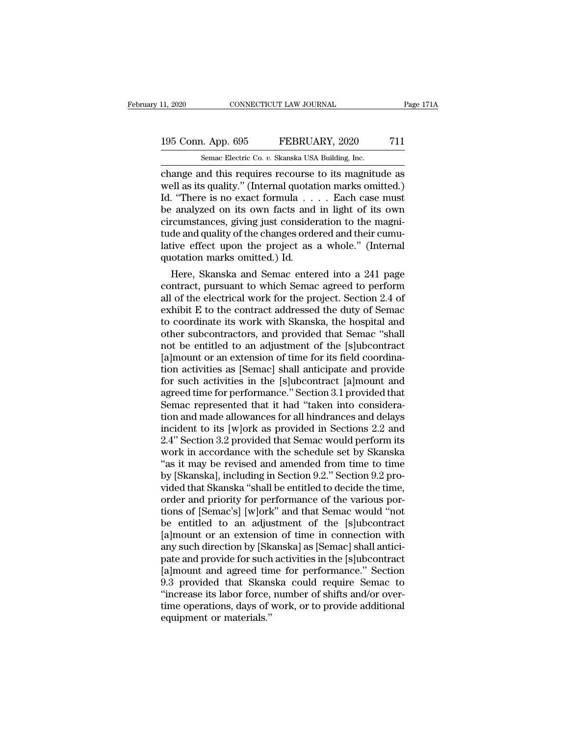### 11, 2020 CONNECTICUT LAW JOURNAL Page 171A<br>195 Conn. App. 695 FEBRUARY, 2020 711<br>Semac Electric Co. v. Skanska USA Building, Inc. 11, 2020 CONNECTICUT LAW JOURNAL<br>195 Conn. App. 695 FEBRUARY, 2020 711<br>Semac Electric Co. *v.* Skanska USA Building, Inc.<br>change and this requires recourse to its magnitude as

connectricut LAW JOURNAL Page 171A<br>
195 Conn. App. 695 FEBRUARY, 2020 711<br>
Semac Electric Co. v. Skanska USA Building, Inc.<br>
change and this requires recourse to its magnitude as<br>
well as its quality." (Internal quotation 195 Conn. App. 695 FEBRUARY, 2020 711<br>
Semac Electric Co. v. Skanska USA Building, Inc.<br>
change and this requires recourse to its magnitude as<br>
well as its quality.'' (Internal quotation marks omitted.)<br>
Id. "There is no e 195 Conn. App. 695 FEBRUARY, 2020 711<br>
Semac Electric Co. v. Skanska USA Building, Inc.<br>
change and this requires recourse to its magnitude as<br>
well as its quality." (Internal quotation marks omitted.)<br>
Id. "There is no e 195 Conn. App. 695 FEBRUARY, 2020 711<br>
Semac Electric Co. v. Skanska USA Building, Inc.<br>
change and this requires recourse to its magnitude as<br>
well as its quality." (Internal quotation marks omitted.)<br>
Id. "There is no e Somalize Prosessom Characteric Co. v. Skanska USA Building, Inc.<br>
change and this requires recourse to its magnitude as<br>
well as its quality." (Internal quotation marks omitted.)<br>
Id. "There is no exact formula . . . . Ea Semac Electric Co. v. Skanska USA Building, Inc.<br>
change and this requires recourse to its magnitude as<br>
well as its quality." (Internal quotation marks omitted.)<br>
Id. "There is no exact formula . . . . Each case must<br>
be change and this requires recourse to its magnitude as<br>well as its quality." (Internal quotation marks omitted.)<br>Id. "There is no exact formula . . . . Each case must<br>be analyzed on its own facts and in light of its own<br>ci well as its quality." (Internal quotation marks omitted.)<br>Id. "There is no exact formula . . . . Each case must<br>be analyzed on its own facts and in light of its own<br>circumstances, giving just consideration to the magni-<br>tu be analyzed on its own racts and in light of its own<br>circumstances, giving just consideration to the magni-<br>tude and quality of the changes ordered and their cumu-<br>lative effect upon the project as a whole." (Internal<br>quot

circumstances, giving just consideration to the magnitude and quality of the changes ordered and their cumulative effect upon the project as a whole." (Internal quotation marks omitted.) Id.<br>Here, Skanska and Semac entered tude and quality of the changes ordered and their cumulative effect upon the project as a whole." (Internal<br>quotation marks omitted.) Id.<br>Here, Skanska and Semac entered into a 241 page<br>contract, pursuant to which Semac ag rative effect upon the project as a whole. (Internal<br>quotation marks omitted.) Id.<br>Here, Skanska and Semac entered into a 241 page<br>contract, pursuant to which Semac agreed to perform<br>all of the electrical work for the proj quotation marks omitted.) Id.<br>
Here, Skanska and Semac entered into a 241 page<br>
contract, pursuant to which Semac agreed to perform<br>
all of the electrical work for the project. Section 2.4 of<br>
exhibit E to the contract add Here, Skanska and Semac entered into a 241 page<br>contract, pursuant to which Semac agreed to perform<br>all of the electrical work for the project. Section 2.4 of<br>exhibit E to the contract addressed the duty of Semac<br>to coordi contract, pursuant to which Semac agreed to perform<br>all of the electrical work for the project. Section 2.4 of<br>exhibit E to the contract addressed the duty of Semac<br>to coordinate its work with Skanska, the hospital and<br>oth all of the electrical work for the project. Section 2.4 of<br>exhibit E to the contract addressed the duty of Semac<br>to coordinate its work with Skanska, the hospital and<br>other subcontractors, and provided that Semac "shall<br>no exhibit E to the contract addressed the duty of Semac<br>to coordinate its work with Skanska, the hospital and<br>other subcontractors, and provided that Semac "shall<br>not be entitled to an adjustment of the [s]ubcontract<br>[a]moun to coordinate its work with Skanska, the hospital and<br>other subcontractors, and provided that Semac "shall<br>not be entitled to an adjustment of the [s]ubcontract<br>[a]mount or an extension of time for its field coordina-<br>tion other subcontractors, and provided that Semac "shall<br>not be entitled to an adjustment of the [s]ubcontract<br>[a]mount or an extension of time for its field coordina-<br>tion activities as [Semac] shall anticipate and provide<br>fo not be entitled to an adjustment of the [s]ubcontract<br>[a]mount or an extension of time for its field coordina-<br>tion activities as [Semac] shall anticipate and provide<br>for such activities in the [s]ubcontract [a]mount and<br>a [a]mount or an extension of time for its field coordination activities as [Semac] shall anticipate and provide<br>for such activities in the [s]ubcontract [a]mount and<br>agreed time for performance." Section 3.1 provided that<br>S tion activities as [Semac] shall anticipate and provide<br>for such activities in the [s]ubcontract [a]mount and<br>agreed time for performance." Section 3.1 provided that<br>Semac represented that it had "taken into considera-<br>tio for such activities in the [s]ubcontract [a]mount and<br>agreed time for performance." Section 3.1 provided that<br>Semac represented that it had "taken into considera-<br>tion and made allowances for all hindrances and delays<br>inc agreed time for performance." Section 3.1 provided that<br>Semac represented that it had "taken into consideration and made allowances for all hindrances and delays<br>incident to its [w]ork as provided in Sections 2.2 and<br>2.4" Semac represented that it had "taken into consideration and made allowances for all hindrances and delays incident to its [w]ork as provided in Sections 2.2 and 2.4" Section 3.2 provided that Semac would perform its work i tion and made allowances for all hindrances and delays<br>incident to its [w]ork as provided in Sections 2.2 and<br>2.4" Section 3.2 provided that Semac would perform its<br>work in accordance with the schedule set by Skanska<br>"as i incident to its [w]ork as provided in Sections 2.2 and<br>2.4" Section 3.2 provided that Semac would perform its<br>work in accordance with the schedule set by Skanska<br>"as it may be revised and amended from time to time<br>by [Skan 2.4" Section 3.2 provided that Semac would perform its<br>work in accordance with the schedule set by Skanska<br>"as it may be revised and amended from time to time<br>by [Skanska], including in Section 9.2." Section 9.2 pro-<br>vided work in accordance with the schedule set by Skanska<br>"as it may be revised and amended from time to time<br>by [Skanska], including in Section 9.2." Section 9.2 pro-<br>vided that Skanska "shall be entitled to decide the time,<br>or "as it may be revised and amended from time to time<br>by [Skanska], including in Section 9.2." Section 9.2 pro-<br>vided that Skanska "shall be entitled to decide the time,<br>order and priority for performance of the various porby [Skanska], including in Section 9.2." Section 9.2 provided that Skanska "shall be entitled to decide the time, order and priority for performance of the various portions of [Semac's] [w]ork" and that Semac would "not be vided that Skanska "shall be entitled to decide the time,<br>order and priority for performance of the various por-<br>tions of [Semac's] [w]ork" and that Semac would "not<br>be entitled to an adjustment of the [s]ubcontract<br>[a]mou order and priority for performance of the various portions of [Semac's] [w]ork" and that Semac would "not<br>be entitled to an adjustment of the [s]ubcontract<br>[a]mount or an extension of time in connection with<br>any such direc tions of [Semac's] [w]ork" and that Semac would "not<br>be entitled to an adjustment of the [s]ubcontract<br>[a]mount or an extension of time in connection with<br>any such direction by [Skanska] as [Semac] shall antici-<br>pate and p be entitled to an adjustment of the [s]ubcontract [a]mount or an extension of time in connection with any such direction by [Skanska] as [Semac] shall anticipate and provide for such activities in the [s]ubcontract [a]moun [a]mount or an extension of time in connection with<br>any such direction by [Skanska] as [Semac] shall antici-<br>pate and provide for such activities in the [s]ubcontract<br>[a]mount and agreed time for performance." Section<br>9.3 equipment or such direction by [Sk]<br>pate and provide for such [a]<br>mount and agreed tin<br>9.3 provided that Skans<br>"increase its labor force,<br>time operations, days of<br>equipment or materials."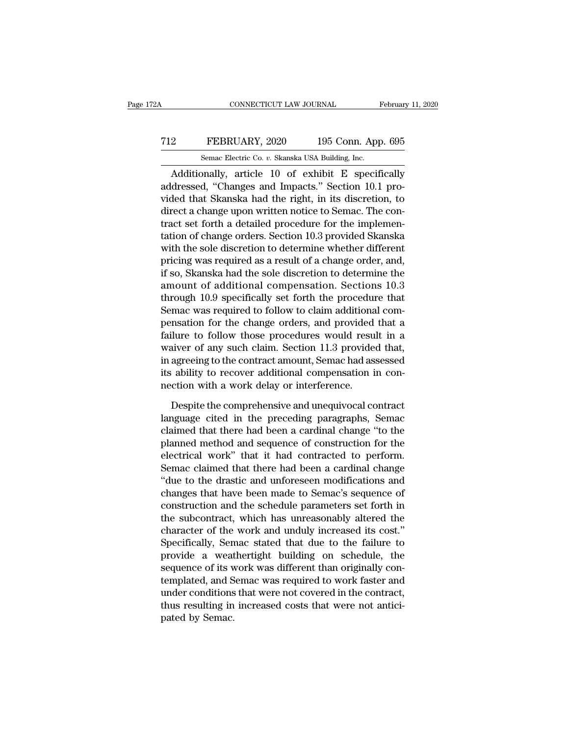### CONNECTICUT LAW JOURNAL February 11, 2020<br>
T12 FEBRUARY, 2020 195 Conn. App. 695<br>
Semac Electric Co. v. Skanska USA Building, Inc. CONNECTICUT LAW JOURNAL February 11, 2020<br>
2 FEBRUARY, 2020 195 Conn. App. 695<br>
Semac Electric Co. *v.* Skanska USA Building, Inc.<br>
Additionally, article 10 of exhibit E specifically

CONNECTICUT LAW JOURNAL February 11, 2020<br>
2 FEBRUARY, 2020 195 Conn. App. 695<br>
Semac Electric Co. v. Skanska USA Building, Inc.<br>
Additionally, article 10 of exhibit E specifically<br>
dressed, "Changes and Impacts." Section T12 FEBRUARY, 2020 195 Conn. App. 695<br>
Semac Electric Co. v. Skanska USA Building, Inc.<br>
Additionally, article 10 of exhibit E specifically<br>
addressed, "Changes and Impacts." Section 10.1 pro-<br>
vided that Skanska had the r T12 FEBRUARY, 2020 195 Conn. App. 695<br>
Semac Electric Co.  $v$ . Skanska USA Building, Inc.<br>
Additionally, article 10 of exhibit E specifically<br>
addressed, "Changes and Impacts." Section 10.1 pro-<br>
vided that Skanska had th T12 FEBRUARY, 2020 195 Conn. App. 695<br>
Semac Electric Co. v. Skanska USA Building, Inc.<br>
Additionally, article 10 of exhibit E specifically<br>
addressed, "Changes and Impacts." Section 10.1 pro-<br>
vided that Skanska had the Semac Electric Co.  $v$ . Skanska USA Building, Inc.<br>
Additionally, article 10 of exhibit E specifically<br>
addressed, "Changes and Impacts." Section 10.1 pro-<br>
vided that Skanska had the right, in its discretion, to<br>
direct Senac Electric Co. *b*. Skaiska USA Bunding, inc.<br>
Additionally, article 10 of exhibit E specifically<br>
addressed, "Changes and Impacts." Section 10.1 pro-<br>
vided that Skanska had the right, in its discretion, to<br>
direct a Additionally, article 10 of exhibit E specifically<br>addressed, "Changes and Impacts." Section 10.1 pro-<br>vided that Skanska had the right, in its discretion, to<br>direct a change upon written notice to Semac. The con-<br>tract se addressed, "Changes and Impacts." Section 10.1 provided that Skanska had the right, in its discretion, to direct a change upon written notice to Semac. The contract set forth a detailed procedure for the implementation of vided that Skanska had the right, in its discretion, to<br>direct a change upon written notice to Semac. The con-<br>tract set forth a detailed procedure for the implemen-<br>tation of change orders. Section 10.3 provided Skanska<br>w direct a change upon written notice to Semac. The contract set forth a detailed procedure for the implementation of change orders. Section 10.3 provided Skanska with the sole discretion to determine whether different prici tract set forth a detailed procedure for the implementation of change orders. Section 10.3 provided Skanska with the sole discretion to determine whether different pricing was required as a result of a change order, and, i tation of change orders. Section 10.3 provided Skanska<br>with the sole discretion to determine whether different<br>pricing was required as a result of a change order, and,<br>if so, Skanska had the sole discretion to determine th with the sole discretion to determine whether different<br>pricing was required as a result of a change order, and,<br>if so, Skanska had the sole discretion to determine the<br>amount of additional compensation. Sections 10.3<br>thro pricing was required as a result of a change order, and,<br>if so, Skanska had the sole discretion to determine the<br>amount of additional compensation. Sections 10.3<br>through 10.9 specifically set forth the procedure that<br>Semac if so, Skanska had the sole discretion to determine the<br>amount of additional compensation. Sections 10.3<br>through 10.9 specifically set forth the procedure that<br>Semac was required to follow to claim additional com-<br>pensatio amount of additional compensation. Sections 10.3<br>through 10.9 specifically set forth the procedure that<br>Semac was required to follow to claim additional com-<br>pensation for the change orders, and provided that a<br>failure to through 10.9 specifically set forth the procedure that<br>Semac was required to follow to claim additional com-<br>pensation for the change orders, and provided that a<br>failure to follow those procedures would result in a<br>waiver Semac was required to follow to claim additiona<br>pensation for the change orders, and provided<br>failure to follow those procedures would resu<br>waiver of any such claim. Section 11.3 provide<br>in agreeing to the contract amount, ilure to follow those procedures would result in a<br>aiver of any such claim. Section 11.3 provided that,<br>agreeing to the contract amount, Semac had assessed<br>ability to recover additional compensation in con-<br>ction with a wo waiver of any such claim. Section 11.3 provided that,<br>in agreeing to the contract amount, Semac had assessed<br>its ability to recover additional compensation in con-<br>nection with a work delay or interference.<br>Despite the com

in agreeing to the contract amount, Semac had assessed<br>its ability to recover additional compensation in con-<br>nection with a work delay or interference.<br>Despite the comprehensive and unequivocal contract<br>language cited in its ability to recover additional compensation in con-<br>nection with a work delay or interference.<br>Despite the comprehensive and unequivocal contract<br>language cited in the preceding paragraphs, Semac<br>claimed that there had nection with a work delay or interference.<br>
Despite the comprehensive and unequivocal contract<br>
language cited in the preceding paragraphs, Semac<br>
claimed that there had been a cardinal change "to the<br>
planned method and s Despite the comprehensive and unequivocal contract<br>language cited in the preceding paragraphs, Semac<br>claimed that there had been a cardinal change "to the<br>planned method and sequence of construction for the<br>electrical work Despite the comprehensive and unequivocal contract<br>language cited in the preceding paragraphs, Semac<br>claimed that there had been a cardinal change "to the<br>planned method and sequence of construction for the<br>electrical work language cited in the preceding paragraphs, Semac<br>claimed that there had been a cardinal change "to the<br>planned method and sequence of construction for the<br>electrical work" that it had contracted to perform.<br>Semac claimed claimed that there had been a cardinal change "to the<br>planned method and sequence of construction for the<br>electrical work" that it had contracted to perform.<br>Semac claimed that there had been a cardinal change<br>"due to the planned method and sequence of construction for the<br>electrical work" that it had contracted to perform.<br>Semac claimed that there had been a cardinal change<br>"due to the drastic and unforeseen modifications and<br>changes that electrical work" that it had contracted to perform.<br>Semac claimed that there had been a cardinal change<br>"due to the drastic and unforeseen modifications and<br>changes that have been made to Semac's sequence of<br>construction a Semac claimed that there had been a cardinal change<br>
"due to the drastic and unforeseen modifications and<br>
changes that have been made to Semac's sequence of<br>
construction and the schedule parameters set forth in<br>
the subc "due to the drastic and unforeseen modifications and<br>changes that have been made to Semac's sequence of<br>construction and the schedule parameters set forth in<br>the subcontract, which has unreasonably altered the<br>character of changes that have been made to Semac's sequence of<br>construction and the schedule parameters set forth in<br>the subcontract, which has unreasonably altered the<br>character of the work and unduly increased its cost."<br>Specificall construction and the schedule parameters set forth in<br>the subcontract, which has unreasonably altered the<br>character of the work and unduly increased its cost."<br>Specifically, Semac stated that due to the failure to<br>provide the subcontract, which has unreasonably altered the<br>character of the work and unduly increased its cost."<br>Specifically, Semac stated that due to the failure to<br>provide a weathertight building on schedule, the<br>sequence of i character of the work and unduly increased its cost."<br>Specifically, Semac stated that due to the failure to<br>provide a weathertight building on schedule, the<br>sequence of its work was different than originally con-<br>templated Specifically, Sen<br>provide a weat<br>sequence of its v<br>templated, and S<br>under conditions<br>thus resulting in<br>pated by Semac.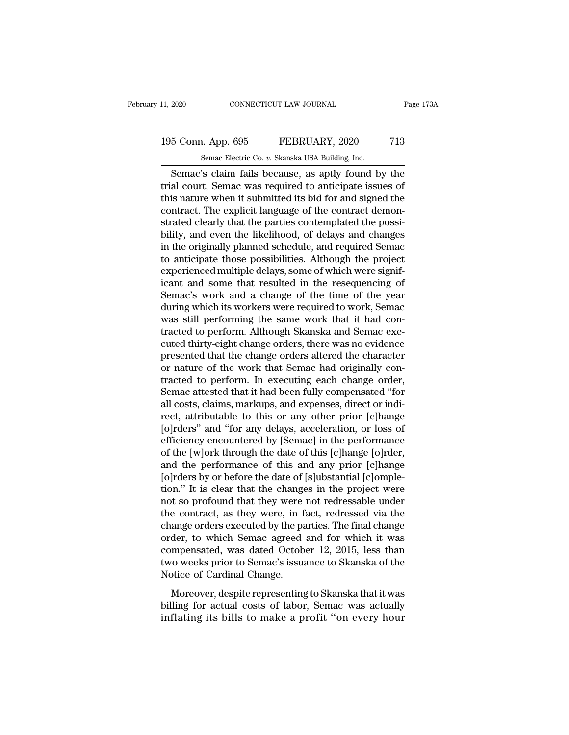### 11, 2020 CONNECTICUT LAW JOURNAL Page 173A<br>195 Conn. App. 695 FEBRUARY, 2020 713<br>Semac Electric Co. v. Skanska USA Building, Inc. 11, 2020 CONNECTICUT LAW JOURNAL<br>195 Conn. App. 695 FEBRUARY, 2020 713<br>Semac Electric Co. *v.* Skanska USA Building, Inc.<br>Semac's claim fails because, as aptly found by the

EXECT 2020 CONNECTICUT LAW JOURNAL Page 173A<br>
Semac Electric Co. v. Skanska USA Building, Inc.<br>
Semac's claim fails because, as aptly found by the<br>
al court, Semac was required to anticipate issues of<br>
is nature when it su 195 Conn. App. 695 FEBRUARY, 2020 713<br>
Semac Electric Co. v. Skanska USA Building, Inc.<br>
Semac's claim fails because, as aptly found by the<br>
trial court, Semac was required to anticipate issues of<br>
this nature when it subm 195 Conn. App. 695 FEBRUARY, 2020 713<br>
Semac Electric Co. v. Skanska USA Building, Inc.<br>
Semac's claim fails because, as aptly found by the<br>
trial court, Semac was required to anticipate issues of<br>
this nature when it sub 195 Conn. App. 695 FEBRUARY, 2020 713<br>
Semac Electric Co. v. Skanska USA Building, Inc.<br>
Semac's claim fails because, as aptly found by the<br>
trial court, Semac was required to anticipate issues of<br>
this nature when it subm Semac Electric Co. v. Skanska USA Building, Inc.<br>
Semac's claim fails because, as aptly found by the<br>
trial court, Semac was required to anticipate issues of<br>
this nature when it submitted its bid for and signed the<br>
contr Semac's claim fails because, as aptly found by the<br>trial court, Semac was required to anticipate issues of<br>this nature when it submitted its bid for and signed the<br>contract. The explicit language of the contract demon-<br>str Semac's claim fails because, as aptly found by the<br>trial court, Semac was required to anticipate issues of<br>this nature when it submitted its bid for and signed the<br>contract. The explicit language of the contract demon-<br>str trial court, Semac was required to anticipate issues of<br>this nature when it submitted its bid for and signed the<br>contract. The explicit language of the contract demon-<br>strated clearly that the parties contemplated the poss this nature when it submitted its bid for and signed the contract. The explicit language of the contract demonstrated clearly that the parties contemplated the possibility, and even the likelihood, of delays and changes in contract. The explicit language of the contract demonstrated clearly that the parties contemplated the possibility, and even the likelihood, of delays and changes in the originally planned schedule, and required Semac to a strated clearly that the parties contemplated the possibility, and even the likelihood, of delays and changes<br>in the originally planned schedule, and required Semac<br>to anticipate those possibilities. Although the project<br>e bility, and even the likelihood, of delays and changes<br>in the originally planned schedule, and required Semac<br>to anticipate those possibilities. Although the project<br>experienced multiple delays, some of which were signif-<br> in the originally planned schedule, and required Semac<br>to anticipate those possibilities. Although the project<br>experienced multiple delays, some of which were signif-<br>icant and some that resulted in the resequencing of<br>Sem to anticipate those possibilities. Although the project<br>experienced multiple delays, some of which were signif-<br>icant and some that resulted in the resequencing of<br>Semac's work and a change of the time of the year<br>during w experienced multiple delays, some of which were significant and some that resulted in the resequencing of Semac's work and a change of the time of the year during which its workers were required to work, Semac was still pe icant and some that resulted in the resequencing of<br>Semac's work and a change of the time of the year<br>during which its workers were required to work, Semac<br>was still performing the same work that it had con-<br>tracted to per Semac's work and a change of the time of the year<br>during which its workers were required to work, Semac<br>was still performing the same work that it had con-<br>tracted to perform. Although Skanska and Semac exe-<br>cuted thirty-e during which its workers were required to work, Semac<br>was still performing the same work that it had con-<br>tracted to perform. Although Skanska and Semac exe-<br>cuted thirty-eight change orders, there was no evidence<br>presente was still performing the same work that it had contracted to perform. Although Skanska and Semac executed thirty-eight change orders, there was no evidence presented that the change orders altered the character or nature o tracted to perform. Although Skanska and Semac executed thirty-eight change orders, there was no evidence<br>presented that the change orders altered the character<br>or nature of the work that Semac had originally con-<br>tracted cuted thirty-eight change orders, there was no evidence<br>presented that the change orders altered the character<br>or nature of the work that Semac had originally con-<br>tracted to perform. In executing each change order,<br>Semac presented that the change orders altered the character<br>or nature of the work that Semac had originally con-<br>tracted to perform. In executing each change order,<br>Semac attested that it had been fully compensated "for<br>all cos or nature of the work that Semac had originally contracted to perform. In executing each change order,<br>Semac attested that it had been fully compensated "for<br>all costs, claims, markups, and expenses, direct or indi-<br>rect, tracted to perform. In executing each change order,<br>Semac attested that it had been fully compensated "for<br>all costs, claims, markups, and expenses, direct or indi-<br>rect, attributable to this or any other prior [c]hange<br>[o Semac attested that it had been fully compensated "for<br>all costs, claims, markups, and expenses, direct or indi-<br>rect, attributable to this or any other prior [c]hange<br>[o]rders" and "for any delays, acceleration, or loss o all costs, claims, markups, and expenses, direct or indi-<br>rect, attributable to this or any other prior [c]hange<br>[o]rders" and "for any delays, acceleration, or loss of<br>efficiency encountered by [Semac] in the performance<br> rect, attributable to this or any other prior [c]hange<br>[o]rders" and "for any delays, acceleration, or loss of<br>efficiency encountered by [Semac] in the performance<br>of the [w]ork through the date of this [c]hange [o]rder,<br>a [o]rders" and "for any delays, acceleration, or loss of<br>efficiency encountered by [Semac] in the performance<br>of the [w]ork through the date of this [c]hange [o]rder,<br>and the performance of this and any prior [c]hange<br>[o]rd efficiency encountered by [Semac] in the performance<br>of the [w]ork through the date of this [c]hange [o]rder,<br>and the performance of this and any prior [c]hange<br>[o]rders by or before the date of [s]ubstantial [c]omple-<br>tio of the [w]ork through the date of this [c]hange [o]rder,<br>and the performance of this and any prior [c]hange<br>[o]rders by or before the date of [s]ubstantial [c]omple-<br>tion." It is clear that the changes in the project were<br> and the performance of this and any prior [c]hange<br>[o]rders by or before the date of [s]ubstantial [c]omple-<br>tion." It is clear that the changes in the project were<br>not so profound that they were not redressable under<br>the [o]rders by or before the date of [s]ubstantial [c]ompletion." It is clear that the changes in the project were<br>not so profound that they were not redressable under<br>the contract, as they were, in fact, redressed via the<br>ch tion." It is clear that the changes in the project were<br>not so profound that they were not redressable under<br>the contract, as they were, in fact, redressed via the<br>change orders executed by the parties. The final change<br>or not so profound that they were<br>the contract, as they were, in f.<br>change orders executed by the pa<br>order, to which Semac agreed<br>compensated, was dated Octob<br>two weeks prior to Semac's issua<br>Notice of Cardinal Change.<br>Moreov Formation, as analy word, in fact, controlled in the diagnost ange orders executed by the parties. The final change der, to which Semac agreed and for which it was mpensated, was dated October 12, 2015, less than to weeks billing for actual costs of labor. The final change order, to which Semac agreed and for which it was compensated, was dated October 12, 2015, less than two weeks prior to Semac's issuance to Skanska of the Notice of Cardi Fract, is which sends agreed and for which is was<br>compensated, was dated October 12, 2015, less than<br>two weeks prior to Semac's issuance to Skanska of the<br>Notice of Cardinal Change.<br>Moreover, despite representing to Skansk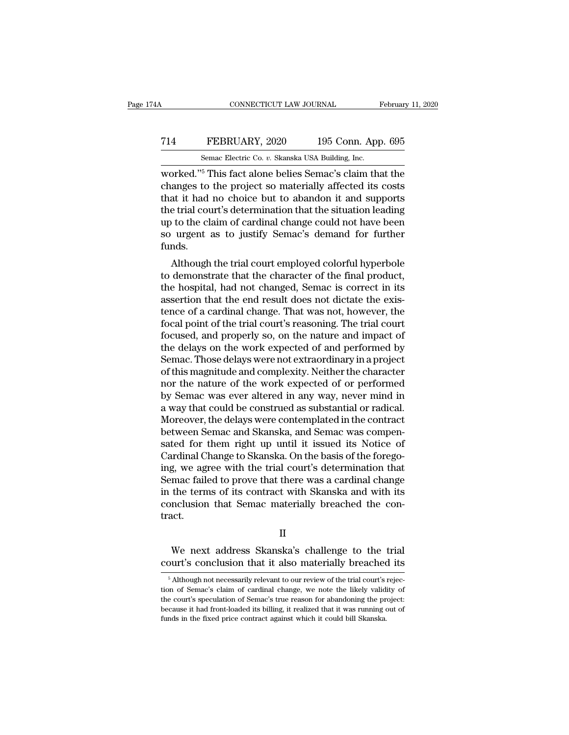### CONNECTICUT LAW JOURNAL February 11, 2020<br>
714 FEBRUARY, 2020 195 Conn. App. 695<br>
Semac Electric Co. v. Skanska USA Building, Inc. CONNECTICUT LAW JOURNAL February 11, 2020<br>
The FEBRUARY, 2020 195 Conn. App. 695<br>
Semac Electric Co. *v.* Skanska USA Building, Inc.<br>
Worked."<sup>5</sup> This fact alone belies Semac's claim that the

CONNECTICUT LAW JOURNAL February 11, 2020<br>
T14 FEBRUARY, 2020 195 Conn. App. 695<br>
Semac Electric Co. v. Skanska USA Building, Inc.<br>
worked."<sup>5</sup> This fact alone belies Semac's claim that the<br>
changes to the project so mater T14 FEBRUARY, 2020 195 Conn. App. 695<br>
Semac Electric Co. v. Skanska USA Building, Inc.<br>
worked."<sup>5</sup> This fact alone belies Semac's claim that the<br>
changes to the project so materially affected its costs<br>
that it had no ch T14 FEBRUARY, 2020 195 Conn. App. 695<br>
Semac Electric Co. v. Skanska USA Building, Inc.<br>
worked."<sup>5</sup> This fact alone belies Semac's claim that the<br>
changes to the project so materially affected its costs<br>
that it had no c T14 FEBRUARY, 2020 195 Conn. App. 695<br>
Semac Electric Co. v. Skanska USA Building, Inc.<br>
worked."<sup>5</sup> This fact alone belies Semac's claim that the<br>
changes to the project so materially affected its costs<br>
that it had no c Semac Electric Co.  $v$ . Skanska USA Building, Inc.<br>
worked."<sup>5</sup> This fact alone belies Semac's claim that the<br>
changes to the project so materially affected its costs<br>
that it had no choice but to abandon it and supports<br> Semac Electric Co.  $v$ . Skanska USA Building, Inc.<br>worked."<sup>5</sup> This fact alone belies Semac's claim that the<br>changes to the project so materially affected its costs<br>that it had no choice but to abandon it and supports<br>the funds. altrigues to the project so materially affected its costs<br>at it had no choice but to abandon it and supports<br>e trial court's determination that the situation leading<br>to the claim of cardinal change could not have been<br>urge that it had no choice but to abandon it and supports<br>the trial court's determination that the situation leading<br>up to the claim of cardinal change could not have been<br>so urgent as to justify Semac's demand for further<br>fund

the that court's determination that the situation leading<br>up to the claim of cardinal change could not have been<br>so urgent as to justify Semac's demand for further<br>funds.<br>Although the trial court employed colorful hyperbol up to the claim of cardinal change could not have been<br>so urgent as to justify Semac's demand for further<br>funds.<br>Although the trial court employed colorful hyperbole<br>to demonstrate that the character of the final product,<br> so urgent as to justify sentates deniand for further<br>funds.<br>Although the trial court employed colorful hyperbole<br>to demonstrate that the character of the final product,<br>the hospital, had not changed, Semac is correct in it fullidation.<br>Although the trial court employed colorful hyperbole<br>to demonstrate that the character of the final product,<br>the hospital, had not changed, Semac is correct in its<br>assertion that the end result does not dictat Although the trial court employed colorful hyperbole<br>to demonstrate that the character of the final product,<br>the hospital, had not changed, Semac is correct in its<br>assertion that the end result does not dictate the exis-<br>t to demonstrate that the character of the final product,<br>the hospital, had not changed, Semac is correct in its<br>assertion that the end result does not dictate the exis-<br>tence of a cardinal change. That was not, however, the the hospital, had not changed, Semac is correct in its<br>assertion that the end result does not dictate the exis-<br>tence of a cardinal change. That was not, however, the<br>focal point of the trial court's reasoning. The trial c assertion that the end result does not dictate the existence of a cardinal change. That was not, however, the focal point of the trial court's reasoning. The trial court<br>focused, and properly so, on the nature and impact o tence of a cardinal change. That was not, however, the<br>focal point of the trial court's reasoning. The trial court<br>focused, and properly so, on the nature and impact of<br>the delays on the work expected of and performed by<br>S focal point of the trial court's reasoning. The trial court<br>focused, and properly so, on the nature and impact of<br>the delays on the work expected of and performed by<br>Semac. Those delays were not extraordinary in a project<br> focused, and properly so, on the nature and impact of<br>the delays on the work expected of and performed by<br>Semac. Those delays were not extraordinary in a project<br>of this magnitude and complexity. Neither the character<br>nor the delays on the work expected of and performed by<br>Semac. Those delays were not extraordinary in a project<br>of this magnitude and complexity. Neither the character<br>nor the nature of the work expected of or performed<br>by Sem Semac. Those delays were not extraordinary in a project<br>of this magnitude and complexity. Neither the character<br>nor the nature of the work expected of or performed<br>by Semac was ever altered in any way, never mind in<br>a way of this magnitude and complexity. Neither the character<br>nor the nature of the work expected of or performed<br>by Semac was ever altered in any way, never mind in<br>a way that could be construed as substantial or radical.<br>Moreo nor the nature of the work expected of or performed<br>by Semac was ever altered in any way, never mind in<br>a way that could be construed as substantial or radical.<br>Moreover, the delays were contemplated in the contract<br>betwee by Semac was ever altered in any way, never mind in<br>a way that could be construed as substantial or radical.<br>Moreover, the delays were contemplated in the contract<br>between Semac and Skanska, and Semac was compen-<br>sated for a way that could be construed as substantial or radical.<br>Moreover, the delays were contemplated in the contract<br>between Semac and Skanska, and Semac was compen-<br>sated for them right up until it issued its Notice of<br>Cardina Moreover, the delays were contemplated in the contract<br>between Semac and Skanska, and Semac was compen-<br>sated for them right up until it issued its Notice of<br>Cardinal Change to Skanska. On the basis of the forego-<br>ing, we between Semac and Skanska, and Semac was compensated for them right up until it issued its Notice of Cardinal Change to Skanska. On the basis of the foregoing, we agree with the trial court's determination that Semac faile tract. mac failed to prove that there was a cardinal change<br>the terms of its contract with Skanska and with its<br>nclusion that Semac materially breached the con-<br>act.<br>II<br>We next address Skanska's challenge to the trial<br>urt's concl in the terms of its contract with Skanska and with its<br>conclusion that Semac materially breached the con-<br>tract.<br>II<br>We next address Skanska's challenge to the trial<br>court's conclusion that it also materially breached its<br>

II<br>We next address Skanska's challenge to the trial<br>ourt's conclusion that it also materially breached its<br><sup>5</sup> Although not necessarily relevant to our review of the trial court's rejec-<br>on of Semac's claim of cardinal cha

IT We next address Skanska's challenge to the trial<br>court's conclusion that it also materially breached its<br><sup>5</sup> Although not necessarily relevant to our review of the trial court's rejec-<br>tion of Semac's claim of cardinal We next address Skanska's challenge to the trial court's conclusion that it also materially breached its  $\frac{1}{10}$  Although not necessarily relevant to our review of the trial court's rejection of Semac's claim of cardin because it had front-loaded its billing, it realized that it was running out of Semac's claim of cardinal change, we note the likely validity of the court's speculation of Semac's true reason for abandoning the project: be  $\,$  5 Although not necessarily relevant to our review of the trial court's rejection of Semac's claim of cardinal change, we note the likely validity of the court's speculation of Semac's true reason for abandoning the p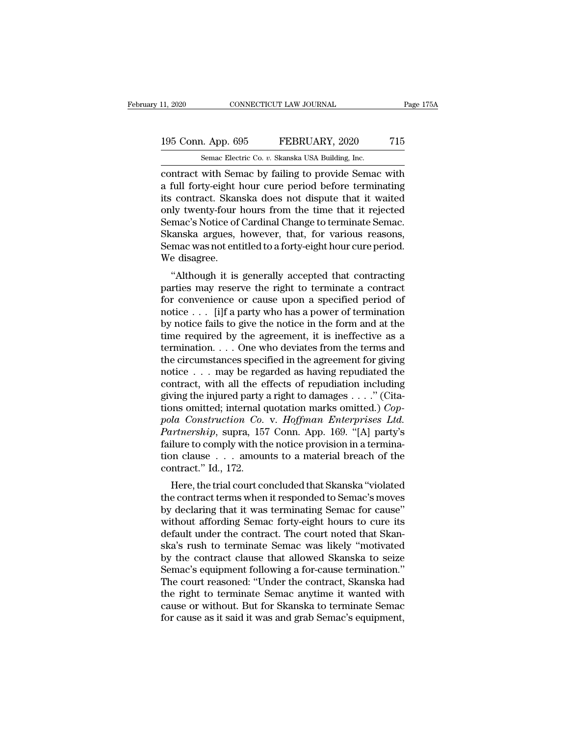### 11, 2020 CONNECTICUT LAW JOURNAL Page 175A<br>
195 Conn. App. 695 FEBRUARY, 2020 715<br>
Semac Electric Co. v. Skanska USA Building, Inc. 11, 2020 CONNECTICUT LAW JOURNAL<br>195 Conn. App. 695 FEBRUARY, 2020 715<br>5 Semac Electric Co. *v.* Skanska USA Building, Inc.<br>2011 Contract with Semac by failing to provide Semac with

CONNECTICUT LAW JOURNAL Page 175A<br>
195 Conn. App. 695 FEBRUARY, 2020 715<br>
Semac Electric Co. v. Skanska USA Building, Inc.<br>
Contract with Semac by failing to provide Semac with<br>
a full forty-eight hour cure period before t 195 Conn. App. 695 FEBRUARY, 2020 715<br>
Semac Electric Co. v. Skanska USA Building, Inc.<br>
contract with Semac by failing to provide Semac with<br>
a full forty-eight hour cure period before terminating<br>
its contract. Skanska d 195 Conn. App. 695 FEBRUARY, 2020 715<br>
Semac Electric Co. v. Skanska USA Building, Inc.<br>
contract with Semac by failing to provide Semac with<br>
a full forty-eight hour cure period before terminating<br>
its contract. Skanska 195 Conn. App. 695 FEBRUARY, 2020 715<br>
Semac Electric Co. v. Skanska USA Building, Inc.<br>
contract with Semac by failing to provide Semac with<br>
a full forty-eight hour cure period before terminating<br>
its contract. Skanska d Semac Electric Co. *v.* Skanska USA Building, Inc.<br>
contract with Semac by failing to provide Semac with<br>
a full forty-eight hour cure period before terminating<br>
its contract. Skanska does not dispute that it waited<br>
only Semac Electric Co. *v.* Skanska USA Building, Inc.<br>
contract with Semac by failing to provide Semac with<br>
a full forty-eight hour cure period before terminating<br>
its contract. Skanska does not dispute that it waited<br>
only contract with Semac by failing to provide Semac with<br>a full forty-eight hour cure period before terminating<br>its contract. Skanska does not dispute that it waited<br>only twenty-four hours from the time that it rejected<br>Semac' a full forty-eight l<br>its contract. Skan<br>only twenty-four l<br>Semac's Notice of<br>Skanska argues, l<br>Semac was not ent<br>We disagree.<br>"Although it is Contract. Skaiska does not dispute that it watted<br>dly twenty-four hours from the time that it rejected<br>mac's Notice of Cardinal Change to terminate Semac.<br>canska argues, however, that, for various reasons,<br>mac was not enti biny twenty-four hours from the time that it rejected<br>Semac's Notice of Cardinal Change to terminate Semac.<br>Skanska argues, however, that, for various reasons,<br>Semac was not entitled to a forty-eight hour cure period.<br>We d

Skanska argues, however, that, for various reasons,<br>Skanska argues, however, that, for various reasons,<br>Semac was not entitled to a forty-eight hour cure period.<br>We disagree.<br>"Although it is generally accepted that contrac SKAISKA argues, nowever, that, for various reasons,<br>Semac was not entitled to a forty-eight hour cure period.<br>We disagree.<br>"Although it is generally accepted that contracting<br>parties may reserve the right to terminate a c beinat was not entitied to a forty-eight nour cure period.<br>We disagree.<br>"Although it is generally accepted that contracting<br>parties may reserve the right to terminate a contract<br>for convenience or cause upon a specified pe "Although it is generally accepted that contracting<br>parties may reserve the right to terminate a contract<br>for convenience or cause upon a specified period of<br>notice . . . [i]f a party who has a power of termination<br>by not "Although it is generally accepted that contracting<br>parties may reserve the right to terminate a contract<br>for convenience or cause upon a specified period of<br>notice . . . [i]f a party who has a power of termination<br>by not parties may reserve the right to terminate a contract<br>for convenience or cause upon a specified period of<br>notice . . . [i]f a party who has a power of termination<br>by notice fails to give the notice in the form and at the<br> for convenience or cause upon a specified period of<br>notice . . . [i]f a party who has a power of termination<br>by notice fails to give the notice in the form and at the<br>time required by the agreement, it is ineffective as a notice . . . [i]f a party who has a power of termination<br>by notice fails to give the notice in the form and at the<br>time required by the agreement, it is ineffective as a<br>termination. . . . One who deviates from the terms by notice fails to give the notice in the form and at the<br>time required by the agreement, it is ineffective as a<br>termination.... One who deviates from the terms and<br>the circumstances specified in the agreement for giving<br> time required by the agreement, it is ineffective as a termination. . . . One who deviates from the terms and the circumstances specified in the agreement for giving notice . . . may be regarded as having repudiated the c *polarian:*  $\ldots$  . One who deviates from the terms and the circumstances specified in the agreement for giving notice  $\ldots$  may be regarded as having repudiated the contract, with all the effects of repudiation including the circumstances specified in the agreement for giving<br>
notice . . . may be regarded as having repudiated the<br>
contract, with all the effects of repudiation including<br>
giving the injured party a right to damages . . . ." notice . . . may be regarded as having repudiated the contract, with all the effects of repudiation including giving the injured party a right to damages . . . ." (Citations omitted; internal quotation marks omitted.) Cop contract, with all the effects of repudiation including<br>giving the injured party a right to damages . . . ." (Cita-<br>tions omitted; internal quotation marks omitted.) *Cop-*<br>pola Construction Co. v. Hoffman Enterprises Ltd tions omitted; internal quotation marks omitted.) Coppola Construction Co. v. Hoffman Enterprises Ltd.<br>
Partnership, supra, 157 Conn. App. 169. "[A] party's failure to comply with the notice provision in a termination cla Ins officed, internal quotation matks officed.) Cop-<br>la Construction Co. v. Hoffman Enterprises Ltd.<br>trinership, supra, 157 Conn. App. 169. "[A] party's<br>ilure to comply with the notice provision in a termina-<br>n clause . . pola Construction Co. v. Hoffman Enterprises Eta.<br>
Partnership, supra, 157 Conn. App. 169. "[A] party's<br>
failure to comply with the notice provision in a termina-<br>
tion clause . . . amounts to a material breach of the<br>
con

Furthership, supra, 157 Colin. App. 109. [A] party's<br>failure to comply with the notice provision in a termina-<br>tion clause  $\ldots$  amounts to a material breach of the<br>contract." Id., 172.<br>Here, the trial court concluded tha raintie to comply with the notice provision in a termination clause . . . amounts to a material breach of the<br>contract." Id., 172.<br>Here, the trial court concluded that Skanska "violated<br>the contract terms when it responded definite the contract." Id., 172.<br>Here, the trial court concluded that Skanska "violated<br>the contract terms when it responded to Semac's moves<br>by declaring that it was terminating Semac for cause"<br>without affording Semac f Exercise to the trial court concluded that Skanska "violated<br>the contract terms when it responded to Semac's moves<br>by declaring that it was terminating Semac for cause"<br>without affording Semac forty-eight hours to cure its Here, the trial court concluded that Skanska "violated<br>the contract terms when it responded to Semac's moves<br>by declaring that it was terminating Semac for cause"<br>without affording Semac forty-eight hours to cure its<br>defau the contract terms when it responded to Semac's moves<br>by declaring that it was terminating Semac for cause"<br>without affording Semac forty-eight hours to cure its<br>default under the contract. The court noted that Skan-<br>ska's by declaring that it was terminating Semac for cause"<br>without affording Semac forty-eight hours to cure its<br>default under the contract. The court noted that Skan-<br>ska's rush to terminate Semac was likely "motivated<br>by the without affording Semac forty-eight hours to cure its<br>default under the contract. The court noted that Skan-<br>ska's rush to terminate Semac was likely "motivated<br>by the contract clause that allowed Skanska to seize<br>Semac's default under the contract. The court noted that Skanska's rush to terminate Semac was likely "motivated<br>by the contract clause that allowed Skanska to seize<br>Semac's equipment following a for-cause termination."<br>The court ska's rush to terminate Semac was likely "motivated<br>by the contract clause that allowed Skanska to seize<br>Semac's equipment following a for-cause termination."<br>The court reasoned: "Under the contract, Skanska had<br>the right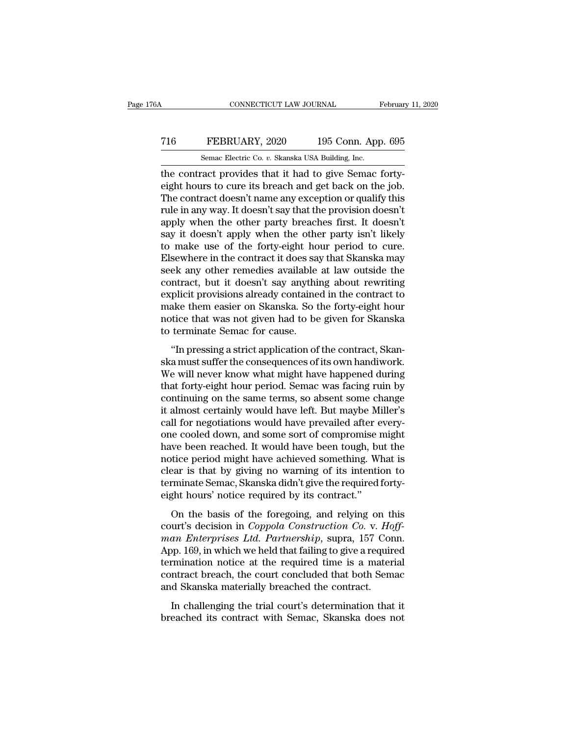### CONNECTICUT LAW JOURNAL February 11, 2020<br>
716 FEBRUARY, 2020 195 Conn. App. 695<br>
Semac Electric Co. v. Skanska USA Building, Inc. CONNECTICUT LAW JOURNAL February 11, 2020<br>
The FEBRUARY, 2020 195 Conn. App. 695<br>
Semac Electric Co. *v.* Skanska USA Building, Inc.<br>
the contract provides that it had to give Semac forty-

CONNECTICUT LAW JOURNAL Februar<br>
T16 FEBRUARY, 2020 195 Conn. App. 695<br>
Semac Electric Co. v. Skanska USA Building, Inc.<br>
the contract provides that it had to give Semac forty-<br>
eight hours to cure its breach and get back FEBRUARY, 2020 195 Conn. App. 695<br>
Semac Electric Co. v. Skanska USA Building, Inc.<br>
the contract provides that it had to give Semac forty-<br>
eight hours to cure its breach and get back on the job.<br>
The contract doesn't nam The TEBRUARY, 2020 195 Conn. App. 695<br>
Semac Electric Co. v. Skanska USA Building, Inc.<br>
the contract provides that it had to give Semac forty-<br>
eight hours to cure its breach and get back on the job.<br>
The contract doesn' T16 FEBRUARY, 2020 195 Conn. App. 695<br>
Semac Electric Co. v. Skanska USA Building, Inc.<br>
the contract provides that it had to give Semac forty-<br>
eight hours to cure its breach and get back on the job.<br>
The contract doesn' Semac Electric Co. v. Skanska USA Building, Inc.<br>
the contract provides that it had to give Semac forty-<br>
eight hours to cure its breach and get back on the job.<br>
The contract doesn't name any exception or qualify this<br>
r Semac Electric Co. v. Skanska USA Building, Inc.<br>the contract provides that it had to give Semac forty-<br>eight hours to cure its breach and get back on the job.<br>The contract doesn't name any exception or qualify this<br>rule i the contract provides that it had to give Semac forty-<br>eight hours to cure its breach and get back on the job.<br>The contract doesn't name any exception or qualify this<br>rule in any way. It doesn't say that the provision does eight hours to cure its breach and get back on the job.<br>The contract doesn't name any exception or qualify this<br>rule in any way. It doesn't say that the provision doesn't<br>apply when the other party breaches first. It doesn The contract doesn't name any exception or qualify this<br>rule in any way. It doesn't say that the provision doesn't<br>apply when the other party breaches first. It doesn't<br>say it doesn't apply when the other party isn't likel rule in any way. It doesn't say that the provision doesn't<br>apply when the other party breaches first. It doesn't<br>say it doesn't apply when the other party isn't likely<br>to make use of the forty-eight hour period to cure.<br>El apply when the other party breaches first. It doesn't<br>say it doesn't apply when the other party isn't likely<br>to make use of the forty-eight hour period to cure.<br>Elsewhere in the contract it does say that Skanska may<br>seek a say it doesn't apply when the other party isn't likely<br>to make use of the forty-eight hour period to cure.<br>Elsewhere in the contract it does say that Skanska may<br>seek any other remedies available at law outside the<br>contrac to make use of the forty-eight hour period to cure.<br>Elsewhere in the contract it does say that Skanska may<br>seek any other remedies available at law outside the<br>contract, but it doesn't say anything about rewriting<br>explicit Elsewhere in the contract it does say seek any other remedies available contract, but it doesn't say anythit explicit provisions already containe make them easier on Skanska. So to notice that was not given had to be to te of any other remeates avalaste at law outside the<br>
intract, but it doesn't say anything about rewriting<br>
plicit provisions already contained in the contract to<br>
ake them easier on Skanska. So the forty-eight hour<br>
tice tha schause, but it doesn't say anyang assat rewriting<br>explicit provisions already contained in the contract to<br>make them easier on Skanska. So the forty-eight hour<br>notice that was not given had to be given for Skanska<br>to term

Express provisions aready conditioned in the contract to<br>make them easier on Skanska. So the forty-eight hour<br>notice that was not given had to be given for Skanska<br>to terminate Semac for cause.<br>"In pressing a strict applic make them caster on shanking. So the forty-eight hour<br>notice that was not given had to be given for Skanska<br>to terminate Semac for cause.<br>"In pressing a strict application of the contract, Skan-<br>ska must suffer the consequ to terminate Semac for cause.<br>
"In pressing a strict application of the contract, Skanska must suffer the consequences of its own handiwork.<br>
We will never know what might have happened during<br>
that forty-eight hour period <sup>1</sup> "In pressing a strict application of the contract, Skanska must suffer the consequences of its own handiwork.<br>We will never know what might have happened during<br>that forty-eight hour period. Semac was facing ruin by<br>co "In pressing a strict application of the contract, Skanska must suffer the consequences of its own handiwork.<br>We will never know what might have happened during<br>that forty-eight hour period. Semac was facing ruin by<br>contin ska must suffer the consequences of its own handiwork.<br>We will never know what might have happened during<br>that forty-eight hour period. Semac was facing ruin by<br>continuing on the same terms, so absent some change<br>it almost We will never know what might have happened during<br>that forty-eight hour period. Semac was facing ruin by<br>continuing on the same terms, so absent some change<br>it almost certainly would have left. But maybe Miller's<br>call for that forty-eight hour period. Semac was facing ruin by<br>continuing on the same terms, so absent some change<br>it almost certainly would have left. But maybe Miller's<br>call for negotiations would have prevailed after every-<br>one continuing on the same terms, so absent some change<br>it almost certainly would have left. But maybe Miller's<br>call for negotiations would have prevailed after every-<br>one cooled down, and some sort of compromise might<br>have be it almost certainly would have left. But maybe Miller's<br>call for negotiations would have prevailed after every-<br>one cooled down, and some sort of compromise might<br>have been reached. It would have been tough, but the<br>notice call for negotiations would have prevailed after e<br>one cooled down, and some sort of compromise r<br>have been reached. It would have been tough, bu<br>notice period might have achieved something. Wi<br>clear is that by giving no w We been reached. It would have been tough, but the<br>tice period might have achieved something. What is<br>ear is that by giving no warning of its intention to<br>minate Semac, Skanska didn't give the required forty-<br>ght hours' no rative seen reached. It would nave seen todgh, surface<br>
notice period might have achieved something. What is<br>
clear is that by giving no warning of its intention to<br>
terminate Semac, Skanska didn't give the required forty-

*man Enterprises Ltd. Partnership*, suppressing and religionshipped to the manning of its intention to terminate Semac, Skanska didn't give the required forty-<br>eight hours' notice required by its contract."<br>On the basis of Example 3 and by giving no warning of as internation to<br>terminate Semac, Skanska didn't give the required forty-<br>eight hours' notice required by its contract."<br>On the basis of the foregoing, and relying on this<br>court's dec eight hours' notice required by its contract."<br>
On the basis of the foregoing, and relying on this<br>
court's decision in *Coppola Construction Co. v. Hoff-*<br>
man *Enterprises Ltd. Partnership*, supra, 157 Conn.<br>
App. 169, i On the basis of the foregoing, and relying on this court's decision in *Coppola Construction Co. v. Hoff-*<br>man *Enterprises Ltd. Partnership*, supra, 157 Conn.<br>App. 169, in which we held that failing to give a required<br>te On the basis of the foregoing, and relying on the court's decision in *Coppola Construction Co.* v. *Ho man Enterprises Ltd. Partnership*, supra, 157 Cor App. 169, in which we held that failing to give a require terminatio an Enterprises Ltd. Partnership, supra, 157 Conn.<br>pp. 169, in which we held that failing to give a required<br>rmination notice at the required time is a material<br>ntract breach, the court concluded that both Semac<br>d Skanska breached its contract with Semac, Skanska does not<br>head its contract breach, the court concluded that both Semac<br>and Skanska materially breached the contract.<br>In challenging the trial court's determination that it<br>breached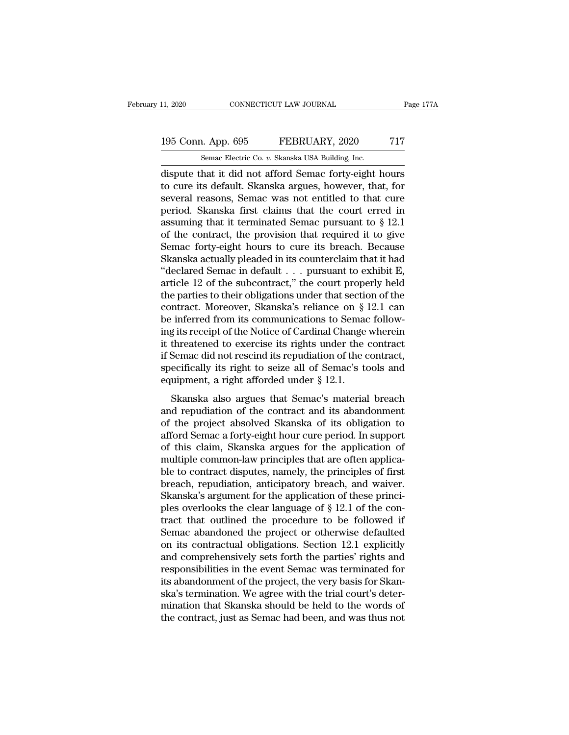# 11, 2020 CONNECTICUT LAW JOURNAL Page 177A<br>195 Conn. App. 695 FEBRUARY, 2020 717<br>Semac Electric Co. v. Skanska USA Building, Inc.

11, 2020 CONNECTICUT LAW JOURNAL<br>195 Conn. App. 695 FEBRUARY, 2020 717<br>5emac Electric Co. *v.* Skanska USA Building, Inc.<br>dispute that it did not afford Semac forty-eight hours 11, 2020 CONNECTICUT LAW JOURNAL Page 177A<br>
195 Conn. App. 695 FEBRUARY, 2020 717<br>
Semac Electric Co. v. Skanska USA Building, Inc.<br>
dispute that it did not afford Semac forty-eight hours<br>
to cure its default. Skanska argu 195 Conn. App. 695 FEBRUARY, 2020 717<br>
Semac Electric Co. v. Skanska USA Building, Inc.<br>
dispute that it did not afford Semac forty-eight hours<br>
to cure its default. Skanska argues, however, that, for<br>
several reasons, Sem 195 Conn. App. 695 FEBRUARY, 2020 717<br>
Semac Electric Co. v. Skanska USA Building, Inc.<br>
dispute that it did not afford Semac forty-eight hours<br>
to cure its default. Skanska argues, however, that, for<br>
several reasons, Se 195 Conn. App. 695 FEBRUARY, 2020 717<br>
Semac Electric Co. v. Skanska USA Building, Inc.<br>
dispute that it did not afford Semac forty-eight hours<br>
to cure its default. Skanska argues, however, that, for<br>
several reasons, Se Semac Electric Co. *v.* Skanska USA Building, Inc.<br>
dispute that it did not afford Semac forty-eight hours<br>
to cure its default. Skanska argues, however, that, for<br>
several reasons, Semac was not entitled to that cure<br>
per Semac Electric Co. v. Skanska USA Building, Inc.<br>
dispute that it did not afford Semac forty-eight hours<br>
to cure its default. Skanska argues, however, that, for<br>
several reasons, Semac was not entitled to that cure<br>
peri dispute that it did not afford Semac forty-eight hours<br>to cure its default. Skanska argues, however, that, for<br>several reasons, Semac was not entitled to that cure<br>period. Skanska first claims that the court erred in<br>assum to cure its default. Skanska argues, however, that, for<br>several reasons, Semac was not entitled to that cure<br>period. Skanska first claims that the court erred in<br>assuming that it terminated Semac pursuant to  $\S$  12.1<br>of t several reasons, Semac was not entitled to that cure<br>period. Skanska first claims that the court erred in<br>assuming that it terminated Semac pursuant to § 12.1<br>of the contract, the provision that required it to give<br>Semac f period. Skanska first claims that the court erred in<br>assuming that it terminated Semac pursuant to § 12.1<br>of the contract, the provision that required it to give<br>Semac forty-eight hours to cure its breach. Because<br>Skanska assuming that it terminated Semac pursuant to  $\S$  12.1<br>of the contract, the provision that required it to give<br>Semac forty-eight hours to cure its breach. Because<br>Skanska actually pleaded in its counterclaim that it had<br>" of the contract, the provision that required it to give<br>Semac forty-eight hours to cure its breach. Because<br>Skanska actually pleaded in its counterclaim that it had<br>"declared Semac in default . . . pursuant to exhibit E,<br>a Semac forty-eight hours to cure its breach. Because<br>Skanska actually pleaded in its counterclaim that it had<br>"declared Semac in default  $\ldots$  pursuant to exhibit E,<br>article 12 of the subcontract," the court properly held<br> Skanska actually pleaded in its counterclaim that it had<br>
"declared Semac in default  $\ldots$  pursuant to exhibit E,<br>
article 12 of the subcontract," the court properly held<br>
the parties to their obligations under that secti "declared Semac in default . . . pursuant to exhibit E,<br>article 12 of the subcontract," the court properly held<br>the parties to their obligations under that section of the<br>contract. Moreover, Skanska's reliance on § 12.1 c article 12 of the subcontract," the court properly held<br>the parties to their obligations under that section of the<br>contract. Moreover, Skanska's reliance on § 12.1 can<br>be inferred from its communications to Semac follow-<br>i the parties to their obligations under that section of the contract. Moreover, Skanska's reliance on  $\S$  12.1 can be inferred from its communications to Semac following its receipt of the Notice of Cardinal Change wherein contract. Moreover, Skanska's reliance on § be inferred from its communications to Semacing its receipt of the Notice of Cardinal Change it threatened to exercise its rights under the if Semac did not rescind its repudiati g its receipt of the Notice of Cardinal Change wherein<br>threatened to exercise its rights under the contract<br>Semac did not rescind its repudiation of the contract,<br>ecifically its right to seize all of Semac's tools and<br>uipm it threatened to exercise its rights under the contract<br>if Semac did not rescind its repudiation of the contract,<br>specifically its right to seize all of Semac's tools and<br>equipment, a right afforded under § 12.1.<br>Skanska a

of the project absolved Skanska of the contract,<br>appecifically its right to seize all of Semac's tools and<br>equipment, a right afforded under  $\S$  12.1.<br>Skanska also argues that Semac's material breach<br>and repudiation of th an semace an noticent in the reputation of the contract,<br>specifically its right to seize all of Semac's tools and<br>equipment, a right afforded under § 12.1.<br>Skanska also argues that Semac's material breach<br>and repudiation o of this claim, Skanska argues that Semac's coals and<br>equipment, a right afforded under § 12.1.<br>Skanska also argues that Semac's material breach<br>and repudiation of the contract and its abandonment<br>of the project absolved Sk Skanska also argues that Semac's naterial breach<br>and repudiation of the contract and its abandonment<br>of the project absolved Skanska of its obligation to<br>afford Semac a forty-eight hour cure period. In support<br>of this clai Skanska also argues that Semac's material breach<br>and repudiation of the contract and its abandonment<br>of the project absolved Skanska of its obligation to<br>afford Semac a forty-eight hour cure period. In support<br>of this clai and repudiation of the contract and its abandonment<br>of the project absolved Skanska of its obligation to<br>afford Semac a forty-eight hour cure period. In support<br>of this claim, Skanska argues for the application of<br>multiple of the project absolved Skanska of its obligation to afford Semac a forty-eight hour cure period. In support of this claim, Skanska argues for the application of multiple common-law principles that are often applicable to afford Semac a forty-eight hour cure period. In support<br>of this claim, Skanska argues for the application of<br>multiple common-law principles that are often applica-<br>ble to contract disputes, namely, the principles of first<br> of this claim, Skanska argues for the application of<br>multiple common-law principles that are often applica-<br>ble to contract disputes, namely, the principles of first<br>breach, repudiation, anticipatory breach, and waiver.<br>Sk multiple common-law principles that are often applica-<br>ble to contract disputes, namely, the principles of first<br>breach, repudiation, anticipatory breach, and waiver.<br>Skanska's argument for the application of these princible to contract disputes, namely, the principles of first<br>breach, repudiation, anticipatory breach, and waiver.<br>Skanska's argument for the application of these princi-<br>ples overlooks the clear language of § 12.1 of the con breach, repudiation, anticipatory breach, and waiver.<br>Skanska's argument for the application of these princi-<br>ples overlooks the clear language of § 12.1 of the con-<br>tract that outlined the procedure to be followed if<br>Sema Skanska's argument for the application of these principles overlooks the clear language of  $\S$  12.1 of the contract that outlined the procedure to be followed if Semac abandoned the project or otherwise defaulted on its c ples overlooks the clear language of § 12.1 of the contract that outlined the procedure to be followed if<br>Semac abandoned the project or otherwise defaulted<br>on its contractual obligations. Section 12.1 explicitly<br>and compr tract that outlined the procedure to be followed if<br>Semac abandoned the project or otherwise defaulted<br>on its contractual obligations. Section 12.1 explicitly<br>and comprehensively sets forth the parties' rights and<br>responsi Semac abandoned the project or otherwise defaulted<br>on its contractual obligations. Section 12.1 explicitly<br>and comprehensively sets forth the parties' rights and<br>responsibilities in the event Semac was terminated for<br>its a on its contractual obligations. Section 12.1 explicitly<br>and comprehensively sets forth the parties' rights and<br>responsibilities in the event Semac was terminated for<br>its abandonment of the project, the very basis for Skan-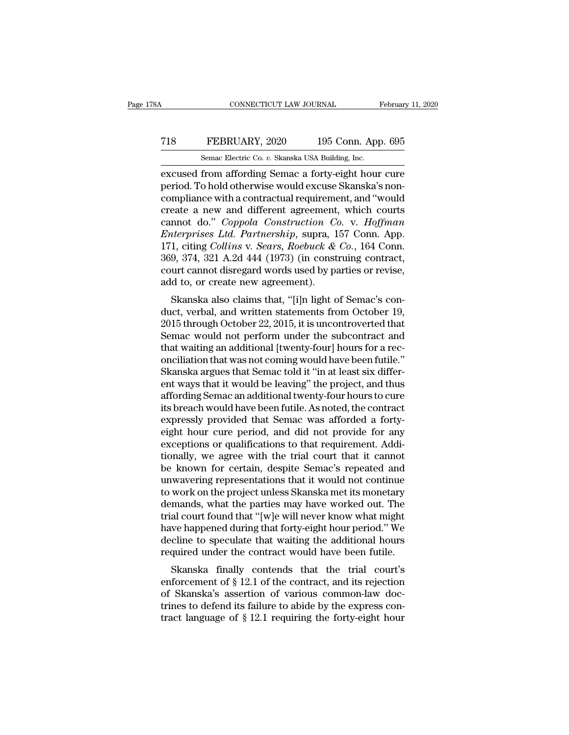### CONNECTICUT LAW JOURNAL February 11, 2020<br>
T18 FEBRUARY, 2020 195 Conn. App. 695<br>
Semac Electric Co. v. Skanska USA Building, Inc. CONNECTICUT LAW JOURNAL February 11, 2020<br>
T18 FEBRUARY, 2020 195 Conn. App. 695<br>
Semac Electric Co. *v.* Skanska USA Building, Inc.<br>
excused from affording Semac a forty-eight hour cure

EXECUS CONNECTICUT LAW JOURNAL February 11, 2020<br>
FEBRUARY, 2020 195 Conn. App. 695<br>
Semac Electric Co. v. Skanska USA Building, Inc.<br>
Excused from affording Semac a forty-eight hour cure<br>
period. To hold otherwise would e FEBRUARY, 2020 195 Conn. App. 695<br>
Semac Electric Co. v. Skanska USA Building, Inc.<br>
excused from affording Semac a forty-eight hour cure<br>
period. To hold otherwise would excuse Skanska's non-<br>
compliance with a contractua T18 FEBRUARY, 2020 195 Conn. App. 695<br>
Semac Electric Co. v. Skanska USA Building, Inc.<br>
excused from affording Semac a forty-eight hour cure<br>
period. To hold otherwise would excuse Skanska's non-<br>
compliance with a contr T18 FEBRUARY, 2020 195 Conn. App. 695<br>
Semac Electric Co. v. Skanska USA Building, Inc.<br>
excused from affording Semac a forty-eight hour cure<br>
period. To hold otherwise would excuse Skanska's non-<br>
compliance with a contr Semac Electric Co. *v.* Skanska USA Building, Inc.<br>excused from affording Semac a forty-eight hour cure<br>period. To hold otherwise would excuse Skanska's non-<br>compliance with a contractual requirement, and "would<br>create a n *Enteria Co. v. Skanska USA Building, Inc.*<br>
excused from affording Semac a forty-eight hour cure<br>
period. To hold otherwise would excuse Skanska's non-<br>
compliance with a contractual requirement, and "would<br>
create a new excused from affording Semac a forty-eight hour cure<br>period. To hold otherwise would excuse Skanska's non-<br>compliance with a contractual requirement, and "would<br>create a new and different agreement, which courts<br>cannot do. period. To hold otherwise would excuse Skanska's non-<br>compliance with a contractual requirement, and "would<br>create a new and different agreement, which courts<br>cannot do." *Coppola Construction Co.* v. *Hoffman<br>Enterprises* compliance with a contractual requirement, and "would<br>create a new and different agreement, which courts<br>cannot do." *Coppola Construction Co.* v. *Hoffman*<br>*Enterprises Ltd. Partnership*, supra, 157 Conn. App.<br>171, citing create a new and different agreement<br>cannot do." *Coppola Construction Co*<br>*Enterprises Ltd. Partnership*, supra, 1<br>171, citing Collins v. Sears, Roebuck &<br>369, 374, 321 A.2d 444 (1973) (in const<br>court cannot disregard wor nnot do. Coppou Construction Co. v. Hoffman<br>terprises Ltd. Partnership, supra, 157 Conn. App.<br>1, citing Collins v. Sears, Roebuck & Co., 164 Conn.<br>9, 374, 321 A.2d 444 (1973) (in construing contract,<br>urt cannot disregard w Enterprises Etat. 1 armership, supra, 157 Collit. App.<br>171, citing Collins v. Sears, Roebuck & Co., 164 Conn.<br>369, 374, 321 A.2d 444 (1973) (in construing contract,<br>court cannot disregard words used by parties or revise,<br>a

171, ching Coatas v. Sears, Roeback & Co., 104 Colin.<br>369, 374, 321 A.2d 444 (1973) (in construing contract,<br>court cannot disregard words used by parties or revise,<br>add to, or create new agreement).<br>Skanska also claims th Sos, 374, 321 A.2d 444 (1973) (in constraing contract,<br>court cannot disregard words used by parties or revise,<br>add to, or create new agreement).<br>Skanska also claims that, "[i]n light of Semac's con-<br>duct, verbal, and writt tourt cannot usregard words used by parties of revise,<br>add to, or create new agreement).<br>Skanska also claims that, "[i]n light of Semac's con-<br>duct, verbal, and written statements from October 19,<br>2015 through October 22, skanska also claims that, "[i]n light of Semac's conduct, verbal, and written statements from October 19,<br>2015 through October 22, 2015, it is uncontroverted that<br>Semac would not perform under the subcontract and<br>that wait Skanska also claims that, "[i]n light of Semac's conduct, verbal, and written statements from October 19, 2015 through October 22, 2015, it is uncontroverted that Semac would not perform under the subcontract and that wait duct, verbal, and written statements from October 19,<br>2015 through October 22, 2015, it is uncontroverted that<br>Semac would not perform under the subcontract and<br>that waiting an additional [twenty-four] hours for a rec-<br>onc 2015 through October 22, 2015, it is uncontroverted that<br>Semac would not perform under the subcontract and<br>that waiting an additional [twenty-four] hours for a rec-<br>onciliation that was not coming would have been futile."<br> Semac would not perform under the subcontract and<br>that waiting an additional [twenty-four] hours for a rec-<br>onciliation that was not coming would have been futile."<br>Skanska argues that Semac told it "in at least six differ that waiting an additional [twenty-four] hours for a reconciliation that was not coming would have been futile."<br>Skanska argues that Semac told it "in at least six differ-<br>ent ways that it would be leaving" the project, an onciliation that was not coming would have been futile."<br>Skanska argues that Semac told it "in at least six differ-<br>ent ways that it would be leaving" the project, and thus<br>affording Semac an additional twenty-four hours t Skanska argues that Semac told it "in at least six different ways that it would be leaving" the project, and thus affording Semac an additional twenty-four hours to cure its breach would have been futile. As noted, the con ent ways that it would be leaving" the project, and thus<br>affording Semac an additional twenty-four hours to cure<br>its breach would have been futile. As noted, the contract<br>expressly provided that Semac was afforded a fortyaffording Semac an additional twenty-four hours to cure<br>its breach would have been futile. As noted, the contract<br>expressly provided that Semac was afforded a forty-<br>eight hour cure period, and did not provide for any<br>exce its breach would have been futile. As noted, the contract<br>expressly provided that Semac was afforded a forty-<br>eight hour cure period, and did not provide for any<br>exceptions or qualifications to that requirement. Addi-<br>tion expressly provided that Semac was afforded a forty-<br>eight hour cure period, and did not provide for any<br>exceptions or qualifications to that requirement. Addi-<br>tionally, we agree with the trial court that it cannot<br>be know eight hour cure period, and did not provide for any<br>exceptions or qualifications to that requirement. Addi-<br>tionally, we agree with the trial court that it cannot<br>be known for certain, despite Semac's repeated and<br>unwaveri exceptions or qualifications to that requirement. Additionally, we agree with the trial court that it cannot<br>be known for certain, despite Semac's repeated and<br>unwavering representations that it would not continue<br>to work tionally, we agree with the trial court that it cannot<br>be known for certain, despite Semac's repeated and<br>unwavering representations that it would not continue<br>to work on the project unless Skanska met its monetary<br>demands be known for certain, despite Semac's repeated and<br>unwavering representations that it would not continue<br>to work on the project unless Skanska met its monetary<br>demands, what the parties may have worked out. The<br>trial court unwavering representations that it would not continue<br>to work on the project unless Skanska met its monetary<br>demands, what the parties may have worked out. The<br>trial court found that "[w]e will never know what might<br>have h work on the project unless skanska filet its hionetary<br>mands, what the parties may have worked out. The<br>al court found that "[w]e will never know what might<br>we happened during that forty-eight hour period." We<br>cline to sp dentatius, what the parties may have worked out. The<br>trial court found that "[w]e will never know what might<br>have happened during that forty-eight hour period." We<br>decline to speculate that waiting the additional hours<br>req

The Skanska's assertion of  $\beta$  12.1 required that forty-eight hour period." We decline to speculate that waiting the additional hours required under the contract would have been futile.<br>Skanska finally contends that the the mappelied during that forty-eight nour period. We decline to speculate that waiting the additional hours required under the contract would have been futile.<br>Skanska finally contends that the trial court's enforcement the contract would have been futile.<br>
Skanska finally contends that the trial court's<br>
enforcement of § 12.1 of the contract, and its rejection<br>
of Skanska's assertion of various common-law doc-<br>
trines to defend its failu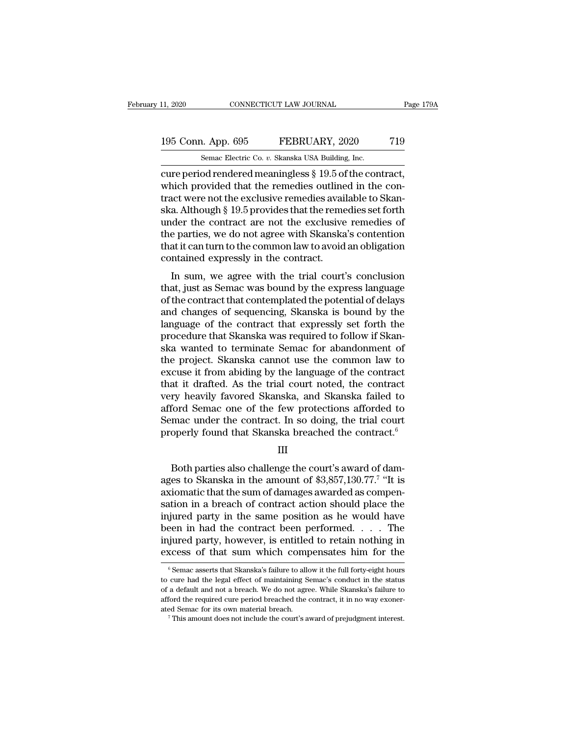# 11, 2020 CONNECTICUT LAW JOURNAL Page 179A<br>195 Conn. App. 695 FEBRUARY, 2020 719<br>Semac Electric Co. v. Skanska USA Building, Inc.

11, 2020 CONNECTICUT LAW JOURNAL<br>195 Conn. App. 695 FEBRUARY, 2020 719<br>5emac Electric Co. *v.* Skanska USA Building, Inc.<br>cure period rendered meaningless § 19.5 of the contract, connecticut LAW JOURNAL Page 17<br>
195 Conn. App. 695 FEBRUARY, 2020 719<br>
Semac Electric Co. v. Skanska USA Building, Inc.<br>
cure period rendered meaningless § 19.5 of the contract,<br>
which provided that the remedies outlined 195 Conn. App. 695 FEBRUARY, 2020 719<br>
Semac Electric Co. v. Skanska USA Building, Inc.<br>
cure period rendered meaningless § 19.5 of the contract,<br>
which provided that the remedies outlined in the con-<br>
tract were not the e 195 Conn. App. 695 FEBRUARY, 2020 719<br>
Semac Electric Co. v. Skanska USA Building, Inc.<br>
cure period rendered meaningless  $\S$  19.5 of the contract,<br>
which provided that the remedies outlined in the con-<br>
tract were not th 195 Conn. App. 695 FEBRUARY, 2020 719<br>
Semac Electric Co. v. Skanska USA Building, Inc.<br>
cure period rendered meaningless § 19.5 of the contract,<br>
which provided that the remedies outlined in the con-<br>
tract were not the Semac Electric Co. v. Skanska USA Building, Inc.<br>
cure period rendered meaningless  $\S$  19.5 of the contract,<br>
which provided that the remedies outlined in the con-<br>
tract were not the exclusive remedies available to Skan-Semac Electric Co.  $v$ . Skanska USA Building, Inc.<br>
cure period rendered meaningless  $\S$  19.5 of the contract,<br>
which provided that the remedies outlined in the con-<br>
tract were not the exclusive remedies available to Ska cure period rendered meaningless § 19.5 of the contract,<br>which provided that the remedies outlined in the con-<br>tract were not the exclusive remedies available to Skan-<br>ska. Although § 19.5 provides that the remedies set fo which provided that the remedies outline<br>tract were not the exclusive remedies avail<br>ska. Although § 19.5 provides that the reme<br>under the contract are not the exclusive<br>the parties, we do not agree with Skanska<br>that it ca Let were not the exclusive remedies avanable to Skan-<br>a. Although § 19.5 provides that the remedies set forth<br>der the contract are not the exclusive remedies of<br>e parties, we do not agree with Skanska's contention<br>at it ca ska. Antiough's 19.5 provides that the refilements set forth<br>under the contract are not the exclusive remedies of<br>the parties, we do not agree with Skanska's contention<br>that it can turn to the common law to avoid an obliga

moder the contract are not the exclusive remedies of<br>the parties, we do not agree with Skanska's contention<br>that it can turn to the common law to avoid an obligation<br>contained expressly in the contract.<br>In sum, we agree wi the parties, we do not agree with SNanska's contention<br>that it can turn to the common law to avoid an obligation<br>contained expressly in the contract.<br>In sum, we agree with the trial court's conclusion<br>that, just as Semac w real and the contract that outer contract that contract.<br>
In sum, we agree with the trial court's conclusion<br>
that, just as Semac was bound by the express language<br>
of the contract that contemplated the potential of delays In sum, we agree with the trial court's conclusion<br>that, just as Semac was bound by the express language<br>of the contract that contemplated the potential of delays<br>and changes of sequencing, Skanska is bound by the<br>language In sum, we agree with the trial court's conclusion<br>that, just as Semac was bound by the express language<br>of the contract that contemplated the potential of delays<br>and changes of sequencing, Skanska is bound by the<br>language that, just as Semac was bound by the express language<br>of the contract that contemplated the potential of delays<br>and changes of sequencing, Skanska is bound by the<br>language of the contract that expressly set forth the<br>proce of the contract that contemplated the potential of delays<br>and changes of sequencing, Skanska is bound by the<br>language of the contract that expressly set forth the<br>procedure that Skanska was required to follow if Skan-<br>ska and changes of sequencing, Skanska is bound by the language of the contract that expressly set forth the procedure that Skanska was required to follow if Skanska wanted to terminate Semac for abandonment of the project. Sk language of the contract that expressly set forth the<br>procedure that Skanska was required to follow if Skan-<br>ska wanted to terminate Semac for abandonment of<br>the project. Skanska cannot use the common law to<br>excuse it from procedure that Skanska was required to follow if Skanska<br>ska wanted to terminate Semac for abandonment of<br>the project. Skanska cannot use the common law to<br>excuse it from abiding by the language of the contract<br>that it dra ska wanted to terminate Semac for abandonment of<br>the project. Skanska cannot use the common law to<br>excuse it from abiding by the language of the contract<br>that it drafted. As the trial court noted, the contract<br>very heavily the project. Skanska cannot use the common law to<br>excuse it from abiding by the language of the contract<br>that it drafted. As the trial court noted, the contract<br>very heavily favored Skanska, and Skanska failed to<br>afford Se ry heavily favored Skanska, and Skanska failed to<br>ford Semac one of the few protections afforded to<br>mac under the contract. In so doing, the trial court<br>operly found that Skanska breached the contract.<sup>6</sup><br>III<br>Both parties

III

afford Semac one of the few protections afforded to<br>Semac under the contract. In so doing, the trial court<br>properly found that Skanska breached the contract.<sup>6</sup><br>III<br>Both parties also challenge the court's award of dam-<br>age ed to<br>court<br>ct.<sup>6</sup><br>dam-<br>"It is<br>pen-<br>c the Semac under the contract. In so doing, the trial court<br>properly found that Skanska breached the contract.<sup>6</sup><br> $\quad$  III<br>Both parties also challenge the court's award of damages to Skanska in the amount of \$3,857,130.77.<sup>7</sup> properly found that Skanska breached the contract.<sup>6</sup><br>III<br>Both parties also challenge the court's award of dam-<br>ages to Skanska in the amount of \$3,857,130.77.<sup>7</sup> "It is<br>axiomatic that the sum of damages awarded as compen-III<br>Both parties also challenge the court's award of dam-<br>ages to Skanska in the amount of \$3,857,130.77.<sup>7</sup> "It is<br>axiomatic that the sum of damages awarded as compen-<br>sation in a breach of contract action should place t Both parties also challenge the court's award of dam-<br>ages to Skanska in the amount of \$3,857,130.77.<sup>7</sup> "It is<br>axiomatic that the sum of damages awarded as compen-<br>sation in a breach of contract action should place the<br>i Both parties also challenge the court's award of dam-<br>ages to Skanska in the amount of \$3,857,130.77.<sup>7</sup> "It is<br>axiomatic that the sum of damages awarded as compen-<br>sation in a breach of contract action should place the<br>in ages to Skanska in the amount of \$3,857,130.77.<sup>7</sup> "It is<br>axiomatic that the sum of damages awarded as compen-<br>sation in a breach of contract action should place the<br>injured party in the same position as he would have<br>bee injured party in the same position as he would have<br>been in had the contract been performed. . . . The<br>injured party, however, is entitled to retain nothing in<br>excess of that sum which compensates him for the<br> $\frac{1}{\pi}$ <br>been in had the contract been performed. . . . The<br>injured party, however, is entitled to retain nothing in<br>excess of that sum which compensates him for the<br> $\frac{1}{6}$  Semac asserts that Skanska's failure to allow it the f

injured party, however, is entitled to retain nothing in excess of that sum which compensates him for the same asserts that Skanska's failure to allow it the full forty-eight hours to cure had the legal effect of maintaini Excess of that sum which compensates him for the  $\frac{1}{2}$  excess of that sum which compensates him for the  $\frac{1}{2}$  expansive to cure had the legal effect of maintaining Semac's conduct in the status of a default and no EXCESS OF that Suffl WHELT COMPETISATES THIT TOF the<br>
<sup>6</sup> Semac asserts that Skanska's failure to allow it the full forty-eight hours<br>
of a default and not a breach. We do not agree. While Skanska's failure to<br>
afford the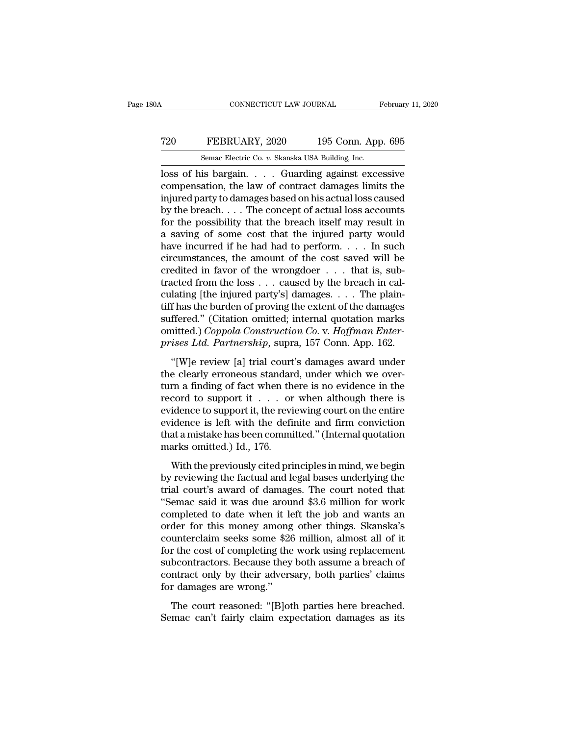### CONNECTICUT LAW JOURNAL February 11, 2020<br> **720** FEBRUARY, 2020 195 Conn. App. 695<br>
Semac Electric Co. v. Skanska USA Building, Inc. CONNECTICUT LAW JOURNAL February 11, 2020<br>
T20 FEBRUARY, 2020 195 Conn. App. 695<br>
Semac Electric Co. *v.* Skanska USA Building, Inc.<br>
Ioss of his bargain. . . . Guarding against excessive

CONNECTICUT LAW JOURNAL February 11, 2020<br>
T20 FEBRUARY, 2020 195 Conn. App. 695<br>
Semac Electric Co. v. Skanska USA Building, Inc.<br>
Ioss of his bargain. . . . . Guarding against excessive<br>
compensation, the law of contract T20 FEBRUARY, 2020 195 Conn. App. 695<br>
Semac Electric Co. v. Skanska USA Building, Inc.<br>
loss of his bargain. . . . . Guarding against excessive<br>
compensation, the law of contract damages limits the<br>
injured party to damag FEBRUARY, 2020 195 Conn. App. 695<br>
Semac Electric Co. v. Skanska USA Building, Inc.<br>
Ioss of his bargain. . . . . Guarding against excessive<br>
compensation, the law of contract damages limits the<br>
injured party to damages FEBRUARY, 2020 195 Conn. App. 695<br>
Semac Electric Co. v. Skanska USA Building, Inc.<br>
loss of his bargain. . . . Guarding against excessive<br>
compensation, the law of contract damages limits the<br>
injured party to damages ba For the possibility that the breach iself may result in the possible compensation, the law of contract damages limits the injured party to damages based on his actual loss caused by the breach.  $\ldots$  The concept of actual Semac Electric Co.  $v$ . Skanska USA Building, Inc.<br>
loss of his bargain. . . . Guarding against excessive<br>
compensation, the law of contract damages limits the<br>
injured party to damages based on his actual loss caused<br>
by loss of his bargain. . . . Guarding against excessive<br>compensation, the law of contract damages limits the<br>injured party to damages based on his actual loss caused<br>by the breach. . . . The concept of actual loss accounts<br> compensation, the law of contract damages limits the<br>injured party to damages based on his actual loss caused<br>by the breach. . . . The concept of actual loss accounts<br>for the possibility that the breach itself may result injured party to damages based on his actual loss caused<br>by the breach. . . . The concept of actual loss accounts<br>for the possibility that the breach itself may result in<br>a saving of some cost that the injured party would by the breach. . . . The concept of actual loss accounts<br>for the possibility that the breach itself may result in<br>a saving of some cost that the injured party would<br>have incurred if he had had to perform. . . . In such<br>ci for the possibility that the breach itself may result in<br>a saving of some cost that the injured party would<br>have incurred if he had had to perform. . . . In such<br>circumstances, the amount of the cost saved will be<br>credite a saving of some cost that the injured party would<br>have incurred if he had had to perform. . . . In such<br>circumstances, the amount of the cost saved will be<br>credited in favor of the wrongdoer . . . that is, sub-<br>tracted f have incurred if he had had to perform. . . . In such<br>circumstances, the amount of the cost saved will be<br>credited in favor of the wrongdoer . . . that is, sub-<br>tracted from the loss . . . caused by the breach in cal-<br>cul circumstances, the amount of the cost saved will be<br>credited in favor of the wrongdoer . . . that is, sub-<br>tracted from the loss . . . caused by the breach in cal-<br>culating [the injured party's] damages. . . . The plain-<br>t credited in favor of the wrongdoer . . . that is, subtracted from the loss . . . caused by the breach in calculating [the injured party's] damages. . . . The plaintiff has the burden of proving the extent of the damages su lating [the injured party's] damages.  $\ldots$  The plain-<br>f has the burden of proving the extent of the damages<br>ffered." (Citation omitted; internal quotation marks<br>nitted.) Coppola Construction Co. v. Hoffman Enter-<br>ises Lt the clearly error of proving the extent of the damages<br>suffered." (Citation omitted; internal quotation marks<br>omitted.) Coppola Construction Co. v. Hoffman Enter-<br>prises Ltd. Partnership, supra, 157 Conn. App. 162.<br>"[W]e

suffered." (Citation omitted; internal quotation marks<br>omitted.) Coppola Construction Co. v. Hoffman Enter-<br>prises Ltd. Partnership, supra, 157 Conn. App. 162.<br>"[W]e review [a] trial court's damages award under<br>the clearl omitted.) Coppola Construction Co. v. Hoffman Enter-<br>prises Ltd. Partnership, supra, 157 Conn. App. 162.<br>"[W]e review [a] trial court's damages award under<br>the clearly erroneous standard, under which we over-<br>turn a findi prises Ltd. Partnership, supra, 157 Conn. App. 162.<br>
"[W]e review [a] trial court's damages award under<br>
the clearly erroneous standard, under which we over-<br>
turn a finding of fact when there is no evidence in the<br>
recor Frace East Farmeromp, sapid, 191 conditally the definite definite dearly erroneous standard, under which we overturn a finding of fact when there is no evidence in the record to support it  $\dots$  or when although there is e "[W]e review [a] trial court's damages award under<br>the clearly erroneous standard, under which we over-<br>turn a finding of fact when there is no evidence in the<br>record to support it  $\dots$  or when although there is<br>evidence the clearly erroneous standar<br>turn a finding of fact when th<br>record to support it  $\ldots$  or<br>evidence to support it, the revi<br>evidence is left with the defit<br>that a mistake has been commi<br>marks omitted.) Id., 176.<br>With the Example 12 and the previously cited principles in mind, we begin<br>idence to support it, the reviewing court on the entire<br>idence is left with the definite and firm conviction<br>at a mistake has been committed." (Internal quo by revidence to support it is a local virtual distribution entire evidence is left with the definite and firm conviction that a mistake has been committed." (Internal quotation marks omitted.) Id., 176.<br>With the previousl

evidence is left with the definite and firm conviction<br>that a mistake has been committed." (Internal quotation<br>marks omitted.) Id., 176.<br>With the previously cited principles in mind, we begin<br>by reviewing the factual and l that a mistake has been committed." (Internal quotation<br>
marks omitted.) Id., 176.<br>
With the previously cited principles in mind, we begin<br>
by reviewing the factual and legal bases underlying the<br>
trial court's award of da marks omitted.) Id., 176.<br>
With the previously cited principles in mind, we begin<br>
by reviewing the factual and legal bases underlying the<br>
trial court's award of damages. The court noted that<br>
"Semac said it was due aroun With the previously cited principles in mind, we begin<br>by reviewing the factual and legal bases underlying the<br>trial court's award of damages. The court noted that<br>"Semac said it was due around \$3.6 million for work<br>compl With the previously cited principles in mind, we begin<br>by reviewing the factual and legal bases underlying the<br>trial court's award of damages. The court noted that<br>"Semac said it was due around \$3.6 million for work<br>comple by reviewing the factual and legal bases underlying the<br>trial court's award of damages. The court noted that<br>"Semac said it was due around \$3.6 million for work<br>completed to date when it left the job and wants an<br>order for trial court's award of damages. The court noted that<br>"Semac said it was due around \$3.6 million for work<br>completed to date when it left the job and wants an<br>order for this money among other things. Skanska's<br>counterclaim s "Semac said it was due around \$3.6 million for work<br>completed to date when it left the job and wants an<br>order for this money among other things. Skanska's<br>counterclaim seeks some \$26 million, almost all of it<br>for the cost completed to date when it level order for this money among<br>counterclaim seeks some \$26<br>for the cost of completing the<br>subcontractors. Because they<br>contract only by their advers<br>for damages are wrong."<br>The court reasoned: " and the court reasoned: "[B]oth parties here breached.<br>
The cost of completing the work using replacement<br>
beontractors. Because they both assume a breach of<br>
ntract only by their adversary, both parties' claims<br>
r damages Semacrotain seeks some 425 minor, annost an of a<br>for the cost of completing the work using replacement<br>subcontractors. Because they both assume a breach of<br>contract only by their adversary, both parties' claims<br>for damages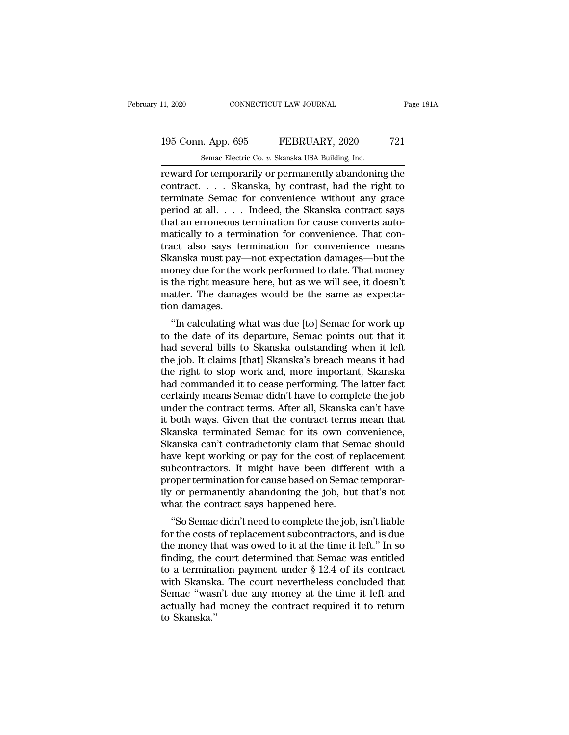# 11, 2020 CONNECTICUT LAW JOURNAL Page 181A<br>195 Conn. App. 695 FEBRUARY, 2020 721<br>Semac Electric Co. v. Skanska USA Building, Inc.

11, 2020 CONNECTICUT LAW JOURNAL<br>195 Conn. App. 695 FEBRUARY, 2020 721<br>5emac Electric Co. *v.* Skanska USA Building, Inc.<br>195 Conn. App. 695 FEBRUARY, 2020 721 reward for temporarily or permanently abandoning the<br>temporarily or permanently abandoning the<br>contract.... Skanska, by contrast, had the right to<br>terminate Someo for convenience without any grace 195 Conn. App. 695 FEBRUARY, 2020 721<br>
Semac Electric Co. v. Skanska USA Building, Inc.<br>
reward for temporarily or permanently abandoning the<br>
contract. . . . . Skanska, by contrast, had the right to<br>
terminate Semac for c 195 Conn. App. 695 FEBRUARY, 2020 721<br>
Semac Electric Co. v. Skanska USA Building, Inc.<br>
Teward for temporarily or permanently abandoning the<br>
contract. . . . . Skanska, by contrast, had the right to<br>
terminate Semac for 195 Conn. App. 695 FEBRUARY, 2020 721<br>
Semac Electric Co. v. Skanska USA Building, Inc.<br>
reward for temporarily or permanently abandoning the<br>
contract. . . . . Skanska, by contrast, had the right to<br>
terminate Semac for c Senal Experience of the Midding, Inc.<br>
The Senal Electric Co. v. Skanska USA Building, Inc.<br>
Teward for temporarily or permanently abandoning the<br>
contract.... Skanska, by contrast, had the right to<br>
terminate Semac for c Semac Electric Co.  $v$ . Skanska USA Building, Inc.<br>
reward for temporarily or permanently abandoning the<br>
contract..... Skanska, by contrast, had the right to<br>
terminate Semac for convenience without any grace<br>
period at reward for temporarily or permanently abandoning the<br>contract.....Skanska, by contrast, had the right to<br>terminate Semac for convenience without any grace<br>period at all....Indeed, the Skanska contract says<br>that an erroneou contract. . . . Skanska, by contrast, had the right to<br>terminate Semac for convenience without any grace<br>period at all. . . . Indeed, the Skanska contract says<br>that an erroneous termination for cause converts auto-<br>matical terminate Semac for convenience without any grace<br>period at all. . . . Indeed, the Skanska contract says<br>that an erroneous termination for cause converts auto-<br>matically to a termination for convenience. That con-<br>tract al period at all. . . . Indeed, the Skanska contract says<br>that an erroneous termination for cause converts auto-<br>matically to a termination for convenience. That con-<br>tract also says termination for convenience means<br>Skanska that an erroneous termination for cause converts automatically to a termination for convenience. That contract also says termination for convenience means Skanska must pay—not expectation damages—but the money due for the matically to a term<br>tract also says te<br>Skanska must pay-<br>money due for the v<br>is the right measure<br>matter. The damages.<br>"In calculating w Example 2013 and the Universe<br>
Canadian Canadian Sanska must pay—not expectation damages—but the<br>
oney due for the work performed to date. That money<br>
the right measure here, but as we will see, it doesn't<br>
atter. The dama BRAISRA Hust pay—Hot expectation daniages—but the<br>money due for the work performed to date. That money<br>is the right measure here, but as we will see, it doesn't<br>matter. The damages would be the same as expecta-<br>tion damage

holey due for the work performed to date. That holey<br>is the right measure here, but as we will see, it doesn't<br>matter. The damages would be the same as expecta-<br>tion damages.<br>"In calculating what was due [to] Semac for wor the fight measure fiere, but as we will see, it doesn't<br>matter. The damages would be the same as expecta-<br>tion damages.<br>"In calculating what was due [to] Semac for work up<br>to the date of its departure, Semac points out tha tion damages.<br>
"In calculating what was due [to] Semac for work up<br>
to the date of its departure, Semac points out that it<br>
had several bills to Skanska outstanding when it left<br>
the job. It claims [that] Skanska's breach "In calculating what was due [to] Semac for work up<br>to the date of its departure, Semac points out that it<br>had several bills to Skanska outstanding when it left<br>the job. It claims [that] Skanska's breach means it had<br>the r "In calculating what was due [to] Semac for work up<br>to the date of its departure, Semac points out that it<br>had several bills to Skanska outstanding when it left<br>the job. It claims [that] Skanska's breach means it had<br>the r to the date of its departure, Semac points out that it<br>had several bills to Skanska outstanding when it left<br>the job. It claims [that] Skanska's breach means it had<br>the right to stop work and, more important, Skanska<br>had c had several bills to Skanska outstanding when it left<br>the job. It claims [that] Skanska's breach means it had<br>the right to stop work and, more important, Skanska<br>had commanded it to cease performing. The latter fact<br>certai the job. It claims [that] Skanska's breach means it had<br>the right to stop work and, more important, Skanska<br>had commanded it to cease performing. The latter fact<br>certainly means Semac didn't have to complete the job<br>under the right to stop work and, more important, Skanska<br>had commanded it to cease performing. The latter fact<br>certainly means Semac didn't have to complete the job<br>under the contract terms. After all, Skanska can't have<br>it bot had commanded it to cease performing. The latter fact<br>certainly means Semac didn't have to complete the job<br>under the contract terms. After all, Skanska can't have<br>it both ways. Given that the contract terms mean that<br>Skan certainly means Semac didn't have to complete the job<br>under the contract terms. After all, Skanska can't have<br>it both ways. Given that the contract terms mean that<br>Skanska terminated Semac for its own convenience,<br>Skanska under the contract terms. After all, Skanska can't have<br>it both ways. Given that the contract terms mean that<br>Skanska terminated Semac for its own convenience,<br>Skanska can't contradictorily claim that Semac should<br>have kep it both ways. Given that the contract terms mean that<br>Skanska terminated Semac for its own convenience,<br>Skanska can't contradictorily claim that Semac should<br>have kept working or pay for the cost of replacement<br>subcontract Skanska terminated Semac for its own contrasts Skanska can't contradictorily claim that Sem<br>have kept working or pay for the cost of reguleon<br>tractors. It might have been differe<br>proper termination for cause based on Semac anska can't contradictorhy cianti-tiat senace should<br>
we kept working or pay for the cost of replacement<br>
bcontractors. It might have been different with a<br>
oper termination for cause based on Semac temporar-<br>
or permanent flave kept working of pay for the cost of replacement<br>subcontractors. It might have been different with a<br>proper termination for cause based on Semac temporar-<br>ily or permanently abandoning the job, but that's not<br>what the

subcontractors. It hight have been different with a<br>proper termination for cause based on Semac temporar-<br>ily or permanently abandoning the job, but that's not<br>what the contract says happened here.<br>"So Semac didn't need to proper termination for catse based on seniat temporatily or permanently abandoning the job, but that's not what the contract says happened here.<br>
"So Semac didn't need to complete the job, isn't liable<br>
for the costs of r the contract says happened here.<br>
"So Semac didn't need to complete the job, isn't liable<br>
for the costs of replacement subcontractors, and is due<br>
the money that was owed to it at the time it left." In so<br>
finding, the co What the contract says happened here.<br>
"So Semac didn't need to complete the job, isn't liable<br>
for the costs of replacement subcontractors, and is due<br>
the money that was owed to it at the time it left." In so<br>
finding, "So Semac didn't need to complete the job, isn't liable<br>for the costs of replacement subcontractors, and is due<br>the money that was owed to it at the time it left." In so<br>finding, the court determined that Semac was entitl for the costs of replacement subcontractors, and is due<br>the money that was owed to it at the time it left." In so<br>finding, the court determined that Semac was entitled<br>to a termination payment under  $\S 12.4$  of its contra the money th<br>finding, the c<br>to a termina<br>with Skanska.''<br>Semac "wası<br>actually had<br>to Skanska.''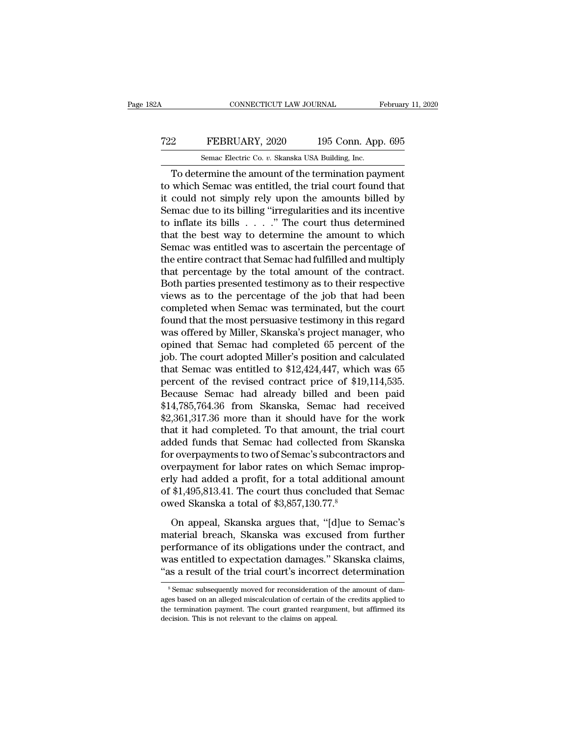### CONNECTICUT LAW JOURNAL February 11, 2020<br>
T22 FEBRUARY, 2020 195 Conn. App. 695<br>
Semac Electric Co. v. Skanska USA Building, Inc. CONNECTICUT LAW JOURNAL February 11, 2020<br>
Semac Electric Co. *v.* Skanska USA Building, Inc.<br>
To determine the amount of the termination payment

CONNECTICUT LAW JOURNAL February 11, 2020<br>
2 FEBRUARY, 2020 195 Conn. App. 695<br>
Semac Electric Co. v. Skanska USA Building, Inc.<br>
To determine the amount of the termination payment<br>
which Semac was entitled, the trial cour The FEBRUARY, 2020 195 Conn. App. 695<br>
Semac Electric Co. v. Skanska USA Building, Inc.<br>
To determine the amount of the termination payment<br>
to which Semac was entitled, the trial court found that<br>
it could not simply rely FEBRUARY, 2020 195 Conn. App. 695<br>
Semac Electric Co. v. Skanska USA Building, Inc.<br>
To determine the amount of the termination payment<br>
to which Semac was entitled, the trial court found that<br>
it could not simply rely up T22 FEBRUARY, 2020 195 Conn. App. 695<br>
Semac Electric Co. v. Skanska USA Building, Inc.<br>
To determine the amount of the termination payment<br>
to which Semac was entitled, the trial court found that<br>
it could not simply rel Semac Electric Co.  $v$ . Skanska USA Building, Inc.<br>
To determine the amount of the termination payment<br>
to which Semac was entitled, the trial court found that<br>
it could not simply rely upon the amounts billed by<br>
Semac d Semac Electric Co.  $v$ . Skanska USA Bullding, inc.<br>
To determine the amount of the termination payment<br>
to which Semac was entitled, the trial court found that<br>
it could not simply rely upon the amounts billed by<br>
Semac d To determine the amount of the termination payment<br>to which Semac was entitled, the trial court found that<br>it could not simply rely upon the amounts billed by<br>Semac due to its billing "irregularities and its incentive<br>to to which Semac was entitled, the trial court found that<br>it could not simply rely upon the amounts billed by<br>Semac due to its billing "irregularities and its incentive<br>to inflate its bills  $\ldots$ ." The court thus determined it could not simply rely upon the amounts billed by<br>Semac due to its billing "irregularities and its incentive<br>to inflate its bills  $\ldots$ ..." The court thus determined<br>that the best way to determine the amount to which<br>Se Semac due to its billing "irregularities and its incentive<br>to inflate its bills  $\ldots$ ." The court thus determined<br>that the best way to determine the amount to which<br>Semac was entitled was to ascertain the percentage of<br>th to inflate its bills  $\ldots$  . " The court thus determined<br>that the best way to determine the amount to which<br>Semac was entitled was to ascertain the percentage of<br>the entire contract that Semac had fulfilled and multiply<br>t that the best way to determine the amount to which<br>Semac was entitled was to ascertain the percentage of<br>the entire contract that Semac had fulfilled and multiply<br>that percentage by the total amount of the contract.<br>Both p Semac was entitled was to ascertain the percentage of<br>the entire contract that Semac had fulfilled and multiply<br>that percentage by the total amount of the contract.<br>Both parties presented testimony as to their respective<br>v the entire contract that Semac had fulfilled and multiply<br>that percentage by the total amount of the contract.<br>Both parties presented testimony as to their respective<br>views as to the percentage of the job that had been<br>com that percentage by the total amount of the contract.<br>Both parties presented testimony as to their respective<br>views as to the percentage of the job that had been<br>completed when Semac was terminated, but the court<br>found tha Both parties presented testimony as to their respective<br>views as to the percentage of the job that had been<br>completed when Semac was terminated, but the court<br>found that the most persuasive testimony in this regard<br>was off views as to the percentage of the job that had been<br>completed when Semac was terminated, but the court<br>found that the most persuasive testimony in this regard<br>was offered by Miller, Skanska's project manager, who<br>opined th completed when Semac was terminated, but the court<br>found that the most persuasive testimony in this regard<br>was offered by Miller, Skanska's project manager, who<br>opined that Semac had completed 65 percent of the<br>job. The co found that the most persuasive testimony in this regard<br>was offered by Miller, Skanska's project manager, who<br>opined that Semac had completed 65 percent of the<br>job. The court adopted Miller's position and calculated<br>that S was offered by Miller, Skanska's project manager, who<br>opined that Semac had completed 65 percent of the<br>job. The court adopted Miller's position and calculated<br>that Semac was entitled to \$12,424,447, which was 65<br>percent o opined that Semac had completed 65 percent of the<br>job. The court adopted Miller's position and calculated<br>that Semac was entitled to \$12,424,447, which was 65<br>percent of the revised contract price of \$19,114,535.<br>Because S job. The court adopted Miller's position and calculated<br>that Semac was entitled to \$12,424,447, which was 65<br>percent of the revised contract price of \$19,114,535.<br>Because Semac had already billed and been paid<br>\$14,785,764. that Semac was entitled to \$12,424,447, which was 65<br>percent of the revised contract price of \$19,114,535.<br>Because Semac had already billed and been paid<br>\$14,785,764.36 from Skanska, Semac had received<br>\$2,361,317.36 more t percent of the revised contract price of \$19,114,535.<br>Because Semac had already billed and been paid<br>\$14,785,764.36 from Skanska, Semac had received<br>\$2,361,317.36 more than it should have for the work<br>that it had completed Because Semac had already billed and been paid<br>\$14,785,764.36 from Skanska, Semac had received<br>\$2,361,317.36 more than it should have for the work<br>that it had completed. To that amount, the trial court<br>added funds that Sem \$14,785,764.36 from Skanska, Semac had received<br>\$2,361,317.36 more than it should have for the work<br>that it had completed. To that amount, the trial court<br>added funds that Semac had collected from Skanska<br>for overpayments \$2,361,317.36 more than it should have for the work<br>that it had completed. To that amount, the trial court<br>added funds that Semac had collected from Skanska<br>for overpayments to two of Semac's subcontractors and<br>overpayment that it had completed. To that amount, the tradded funds that Semac had collected from<br>for overpayments to two of Semac's subcontrad<br>overpayment for labor rates on which Semac<br>erly had added a profit, for a total additiona The verpayments to two of Semac's subcontractors and<br>erpayment for labor rates on which Semac improp-<br>ly had added a profit, for a total additional amount<br>\$1,495,813.41. The court thus concluded that Semac<br>wed Skanska a to material breaches in which Semac improperly had added a profit, for a total additional amount<br>of \$1,495,813.41. The court thus concluded that Semac<br>owed Skanska a total of \$3,857,130.77.<sup>8</sup><br>On appeal, Skanska argues that,

performance of its obligations under the contract, and<br>wed Skanska a total of \$3,857,130.77.<sup>8</sup><br>On appeal, Skanska argues that, "[d]ue to Semac's<br>material breach, Skanska was excused from further<br>performance of its obligat Fig. 31,495,813.41. The court thus concluded that Semac<br>owed Skanska a total of \$3,857,130.77.<sup>8</sup><br>On appeal, Skanska argues that, "[d]ue to Semac's<br>material breach, Skanska was excused from further<br>performance of its oblig The trial courts are trial of \$3,857,130.77.8<br>
On appeal, Skanska argues that, "[d]ue to Semac's<br>
material breach, Skanska was excused from further<br>
performance of its obligations under the contract, and<br>
was entitled to e aternal breach, Skanska was excused from further<br>erformance of its obligations under the contract, and<br>as entitled to expectation damages." Skanska claims,<br>s a result of the trial court's incorrect determination<br> $\frac{8}{3}$  performance of its obligations under the contract, and<br>was entitled to expectation damages." Skanska claims,<br>"as a result of the trial court's incorrect determination<br>"Semac subsequently moved for reconsideration of the am

was entitled to expectation damages." Skanska claims,<br>"as a result of the trial court's incorrect determination<br>"Semac subsequently moved for reconsideration of the amount of dam-<br>ages based on an alleged miscalculation of decision. This is not relevant to the claims of the constant to the termination of ages based on an alleged miscalculation of certain of the termination payment. The court granted reargum decision. This is not relevant to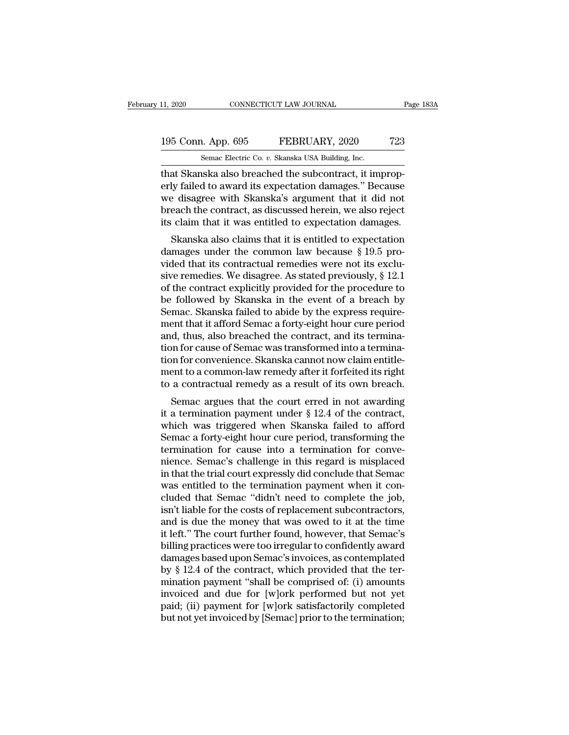# 11, 2020 CONNECTICUT LAW JOURNAL Page 183A<br>195 Conn. App. 695 FEBRUARY, 2020 723<br>Semac Electric Co. v. Skanska USA Building, Inc.

11, 2020 CONNECTICUT LAW JOURNAL<br>195 Conn. App. 695 FEBRUARY, 2020 723<br>5emac Electric Co. *v.* Skanska USA Building, Inc.<br>1. That Skanska also breached the subcontract, it improp-The Senator CONNECTICUT LAW JOURNAL<br>
195 Conn. App. 695 FEBRUARY, 2020 723<br>
Semac Electric Co. v. Skanska USA Building, Inc.<br>
195 Conn. App. 695 FEBRUARY, 2020 723<br>
Semac Electric Co. v. Skanska USA Building, Inc.<br>
195 Con 195 Conn. App. 695 FEBRUARY, 2020 723<br>
Semac Electric Co. v. Skanska USA Building, Inc.<br>
that Skanska also breached the subcontract, it improperly failed to award its expectation damages.'' Because<br>
we disagree with Skansk 195 Conn. App. 695 FEBRUARY, 2020 723<br>
Semac Electric Co. v. Skanska USA Building, Inc.<br>
that Skanska also breached the subcontract, it improp-<br>
erly failed to award its expectation damages." Because<br>
we disagree with Ska 195 Conn. App. 695 FEBRUARY, 2020 723<br>
Semac Electric Co. v. Skanska USA Building, Inc.<br>
that Skanska also breached the subcontract, it improp-<br>
erly failed to award its expectation damages." Because<br>
we disagree with Skan Senal Tappy Cool of Tablooking, Inc.<br>
In that Skanska also breached the subcontract, it improperly failed to award its expectation damages." Because<br>
we disagree with Skanska's argument that it did not<br>
breach the contract at Skanska also breached the subcontract, it improp-<br>ly failed to award its expectation damages." Because<br>e disagree with Skanska's argument that it did not<br>each the contract, as discussed herein, we also reject<br>claim that The common law because we disagree with Skanska's argument that it did not<br>breach the contract, as discussed herein, we also reject<br>its claim that it was entitled to expectation damages.<br>Skanska also claims that it is ent

erly failed to award its expectation damages. Because<br>we disagree with Skanska's argument that it did not<br>breach the contract, as discussed herein, we also reject<br>its claim that it was entitled to expectation damages.<br>Skan we usagree with skanska's argument that it uld not<br>breach the contract, as discussed herein, we also reject<br>its claim that it was entitled to expectation damages.<br>Skanska also claims that it is entitled to expectation<br>dama breach the contract, as usedssed herein, we also reject<br>its claim that it was entitled to expectation damages.<br>Skanska also claims that it is entitled to expectation<br>damages under the common law because  $\S 19.5$  pro-<br>vide be followed by Skanska in the event of a breach by Skanska also claims that it is entitled to expectation damages.<br>Skanska also claims that it is entitled to expectation damages under the common law because  $\S 19.5$  provi Skanska also claims that it is entitled to expectation<br>damages under the common law because § 19.5 pro-<br>vided that its contractual remedies were not its exclu-<br>sive remedies. We disagree. As stated previously, § 12.1<br>of t damages under the common law because  $\S$  19.5 provided that its contractual remedies were not its exclusive remedies. We disagree. As stated previously,  $\S$  12.1 of the contract explicitly provided for the procedure to be vided that its contractual remedies were not its exclusive remedies. We disagree. As stated previously, § 12.1 of the contract explicitly provided for the procedure to be followed by Skanska in the event of a breach by Sem sive remedies. We disagree. As stated previously, § 12.1<br>of the contract explicitly provided for the procedure to<br>be followed by Skanska in the event of a breach by<br>Semac. Skanska failed to abide by the express require-<br>me of the contract explicitly provided for the procedure to<br>be followed by Skanska in the event of a breach by<br>Semac. Skanska failed to abide by the express require-<br>ment that it afford Semac a forty-eight hour cure period<br>an be followed by Skanska in the event of a breach by<br>Semac. Skanska failed to abide by the express require-<br>ment that it afford Semac a forty-eight hour cure period<br>and, thus, also breached the contract, and its termina-<br>tio Semac. Skanska failed to abide by the express requirement that it afford Semac a forty-eight hour cure period and, thus, also breached the contract, and its termination for cause of Semac was transformed into a termination Ent that it another senial a forty-eight notice the period<br>d, thus, also breached the contract, and its termina-<br>on for convenience. Skanska cannot now claim entitle-<br>ent to a common-law remedy after it forfeited its righ and, thus, also breached the contract, and its termination for cause of Semac was transformed into a termination for convenience. Skanska cannot now claim entitlement to a common-law remedy after it forfeited its right to

From the convenience. Skanska cannot now claim entitlement to a common-law remedy after it forfeited its right<br>to a contractual remedy as a result of its own breach.<br>Semac argues that the court erred in not awarding<br>it a Franchi control convenience. Skanska cannot how claim entitiement to a common-law remedy after it forfeited its right<br>to a contractual remedy as a result of its own breach.<br>Semac argues that the court erred in not awarding then to a common-law remedy after it forfered its right<br>to a contractual remedy as a result of its own breach.<br>Semac argues that the court erred in not awarding<br>it a termination payment under § 12.4 of the contract,<br>which France argues that the court erred in not awarding<br>it a termination payment under  $\S$  12.4 of the contract,<br>which was triggered when Skanska failed to afford<br>Semac a forty-eight hour cure period, transforming the<br>terminat Semac argues that the court erred in not awarding<br>it a termination payment under  $\S$  12.4 of the contract,<br>which was triggered when Skanska failed to afford<br>Semac a forty-eight hour cure period, transforming the<br>terminati it a termination payment under § 12.4 of the contract,<br>which was triggered when Skanska failed to afford<br>Semac a forty-eight hour cure period, transforming the<br>termination for cause into a termination for conve-<br>nience. Se which was triggered when Skanska failed to afford<br>Semac a forty-eight hour cure period, transforming the<br>termination for cause into a termination for conve-<br>nience. Semac's challenge in this regard is misplaced<br>in that the Semac a forty-eight hour cure period, transforming the termination for cause into a termination for convenience. Semac's challenge in this regard is misplaced in that the trial court expressly did conclude that Semac was e termination for cause into a termination for conve-<br>nience. Semac's challenge in this regard is misplaced<br>in that the trial court expressly did conclude that Semac<br>was entitled to the termination payment when it con-<br>clude nience. Semac's challenge in this regard is misplaced<br>in that the trial court expressly did conclude that Semac<br>was entitled to the termination payment when it con-<br>cluded that Semac "didn't need to complete the job,<br>isn't in that the trial court expressly did conclude that Semac<br>was entitled to the termination payment when it con-<br>cluded that Semac "didn't need to complete the job,<br>isn't liable for the costs of replacement subcontractors,<br>a was entitled to the termination payment when it concluded that Semac "didn't need to complete the job, isn't liable for the costs of replacement subcontractors, and is due the money that was owed to it at the time it left. cluded that Semac "didn't need to complete the job,<br>isn't liable for the costs of replacement subcontractors,<br>and is due the money that was owed to it at the time<br>it left." The court further found, however, that Semac's<br>bi isn't liable for the costs of replacement subcontractors,<br>and is due the money that was owed to it at the time<br>it left." The court further found, however, that Semac's<br>billing practices were too irregular to confidently aw and is due the money that was owed to it at the time<br>it left." The court further found, however, that Semac's<br>billing practices were too irregular to confidently award<br>damages based upon Semac's invoices, as contemplated<br>b it left." The court further found, however, that Semac's<br>billing practices were too irregular to confidently award<br>damages based upon Semac's invoices, as contemplated<br>by § 12.4 of the contract, which provided that the ter billing practices were too irregular to confidently award<br>damages based upon Semac's invoices, as contemplated<br>by § 12.4 of the contract, which provided that the ter-<br>mination payment "shall be comprised of: (i) amounts<br>in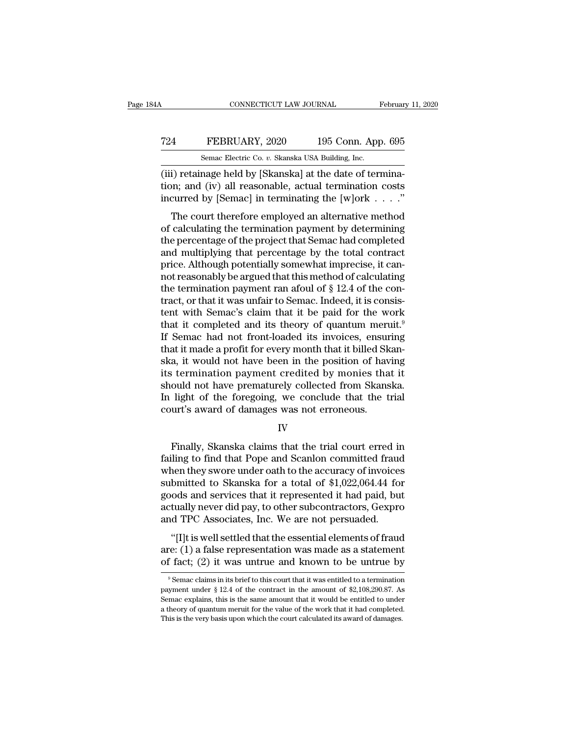## CONNECTICUT LAW JOURNAL February 11, 2020<br>
724 FEBRUARY, 2020 195 Conn. App. 695<br>
8emac Electric Co. v. Skanska USA Building, Inc. CONNECTICUT LAW JOURNAL February 11, 2020<br>
T24 FEBRUARY, 2020 195 Conn. App. 695<br>
Semac Electric Co. *v.* Skanska USA Building, Inc.<br>
(iii) retainage held by [Skanska] at the date of termina-

CONNECTICUT LAW JOURNAL Februar<br>
T24 FEBRUARY, 2020 195 Conn. App. 695<br>
Semac Electric Co. v. Skanska USA Building, Inc.<br>
(iii) retainage held by [Skanska] at the date of termina-<br>
tion; and (iv) all reasonable, actual ter T24 FEBRUARY, 2020 195 Conn. App. 695<br>
Semac Electric Co. v. Skanska USA Building, Inc.<br>
(iii) retainage held by [Skanska] at the date of termina-<br>
tion; and (iv) all reasonable, actual termination costs<br>
incurred by [Sema FEBRUARY, 2020 195 Conn. App. 695<br>
Semac Electric Co. v. Skanska USA Building, Inc.<br>
(iii) retainage held by [Skanska] at the date of termina-<br>
tion; and (iv) all reasonable, actual termination costs<br>
incurred by [Semac] FEBRUARY, 2020 195 Conn. App. 695<br>
Semac Electric Co. v. Skanska USA Building, Inc.<br>
i) retainage held by [Skanska] at the date of termina-<br>
in; and (iv) all reasonable, actual termination costs<br>
curred by [Semac] in term

Semac Electric Co.  $v$ . Skanska USA Building, Inc.<br>
(iii) retainage held by [Skanska] at the date of termina-<br>
tion; and (iv) all reasonable, actual termination costs<br>
incurred by [Semac] in terminating the [w]ork . . . . (iii) retainage held by [Skanska] at the date of termination; and (iv) all reasonable, actual termination costs<br>incurred by [Semac] in terminating the [w]ork  $\dots$ ."<br>The court therefore employed an alternative method<br>of ca (iii) retainage field by [Skaliska] at the date of termination; and (iv) all reasonable, actual termination costs<br>incurred by [Semac] in terminating the [w]ork  $\dots$ ."<br>The court therefore employed an alternative method<br>of priori, and (iv) an reasonable, actual termination costs<br>incurred by [Semac] in terminating the [w]ork  $\dots$ ."<br>The court therefore employed an alternative method<br>of calculating the termination payment by determining<br>the pe The court therefore employed an alternative method<br>of calculating the termination payment by determining<br>the percentage of the project that Semac had completed<br>and multiplying that percentage by the total contract<br>price. The court therefore employed an alternative method<br>of calculating the termination payment by determining<br>the percentage of the project that Semac had completed<br>and multiplying that percentage by the total contract<br>price. of calculating the termination payment by determining<br>the percentage of the project that Semac had completed<br>and multiplying that percentage by the total contract<br>price. Although potentially somewhat imprecise, it can-<br>not the percentage of the project that Semac had completed<br>and multiplying that percentage by the total contract<br>price. Although potentially somewhat imprecise, it can-<br>not reasonably be argued that this method of calculating and multiplying that percentage by the total contract<br>price. Although potentially somewhat imprecise, it can-<br>not reasonably be argued that this method of calculating<br>the termination payment ran afoul of § 12.4 of the conprice. Although potentially somewhat imprecise, it cannot reasonably be argued that this method of calculating<br>the termination payment ran afoul of § 12.4 of the con-<br>tract, or that it was unfair to Semac. Indeed, it is co not reasonably be argued that this method of calculating<br>the termination payment ran afoul of  $\S$  12.4 of the con-<br>tract, or that it was unfair to Semac. Indeed, it is consis-<br>tent with Semac's claim that it be paid for t the termination payment ran afoul of  $\S$  12.4 of the contract, or that it was unfair to Semac. Indeed, it is consistent with Semac's claim that it be paid for the work that it completed and its theory of quantum meruit.<sup>9</sup> tract, or that it was unfair to Semac. Indeed, it is consistent with Semac's claim that it be paid for the work<br>that it completed and its theory of quantum meruit.<sup>9</sup><br>If Semac had not front-loaded its invoices, ensuring<br>th tent with Semac's claim that it be paid for the work<br>that it completed and its theory of quantum meruit.<sup>9</sup><br>If Semac had not front-loaded its invoices, ensuring<br>that it made a profit for every month that it billed Skan-<br>sk that it completed and its theory of quantum meruit.<sup>9</sup><br>If Semac had not front-loaded its invoices, ensuring<br>that it made a profit for every month that it billed Skan-<br>ska, it would not have been in the position of having<br>i If Semac had not front-loaded its invoices, ensure<br>that it made a profit for every month that it billed Sk<br>ska, it would not have been in the position of have<br>its termination payment credited by monies tha<br>should not have Framination payment credited by monies that it<br>ould not have prematurely collected from Skanska.<br>light of the foregoing, we conclude that the trial<br>urt's award of damages was not erroneous.<br>IV<br>Finally, Skanska claims that

IV

should not have prematurely collected from Skanska.<br>In light of the foregoing, we conclude that the trial<br>court's award of damages was not erroneous.<br>IV<br>Finally, Skanska claims that the trial court erred in<br>failing to find In light of the foregoing, we conclude that the trial<br>court's award of damages was not erroneous.<br>IV<br>Finally, Skanska claims that the trial court erred in<br>failing to find that Pope and Scanlon committed fraud<br>when they swo court's award of damages was not erroneous.<br>
IV<br>
Finally, Skanska claims that the trial court erred in<br>
failing to find that Pope and Scanlon committed fraud<br>
when they swore under oath to the accuracy of invoices<br>
submitt IV<br>
Finally, Skanska claims that the trial court erred in<br>
failing to find that Pope and Scanlon committed fraud<br>
when they swore under oath to the accuracy of invoices<br>
submitted to Skanska for a total of \$1,022,064.44 fo Finally, Skanska claims that the trial court erred in failing to find that Pope and Scanlon committed fraud when they swore under oath to the accuracy of invoices submitted to Skanska for a total of \$1,022,064.44 for goods Finally, Skanska claims that the trial court erred in failing to find that Pope and Scanlon committed fraud when they swore under oath to the accuracy of invoices submitted to Skanska for a total of \$1,022,064.44 for goods nen they swore under oath to the accuracy of invoices<br>
bmitted to Skanska for a total of \$1,022,064.44 for<br>
ods and services that it represented it had paid, but<br>
tually never did pay, to other subcontractors, Gexpro<br>
d TP submitted to Skanska for a total of \$1,022,064.44 for goods and services that it represented it had paid, but actually never did pay, to other subcontractors, Gexpro and TPC Associates, Inc. We are not persuaded. "[I]t is goods and services that it represented it had paid, but<br>actually never did pay, to other subcontractors, Gexpro<br>and TPC Associates, Inc. We are not persuaded.<br>"[I]t is well settled that the essential elements of fraud<br>are

"[I]t is well settled that the essential elements of fraud<br>re: (1) a false representation was made as a statement<br>f fact; (2) it was untrue and known to be untrue by<br> $\frac{9}{9}$ Semac claims in its brief to this court that i "[I]t is well settled that the essential elements of fraud are: (1) a false representation was made as a statement of fact; (2) it was untrue and known to be untrue by  $\frac{9}{8}$  Semac claims in its brief to this court tha

are: (1) a false representation was made as a statement<br>of fact; (2) it was untrue and known to be untrue by<br> $\frac{1}{\sqrt{2}}$ <br>Semac claims in its brief to this court that it was entitled to a termination<br>payment under § 12.4 of fact; (2) it was untrue and known to be untrue by<br>  $\overline{\phantom{a}}$   $\overline{\phantom{a}}$  Semac claims in its brief to this court that it was entitled to a termination<br>
payment under § 12.4 of the contract in the amount of \$2,108,290  $9$  Semac claims in its brief to this court that it was entitled to a termination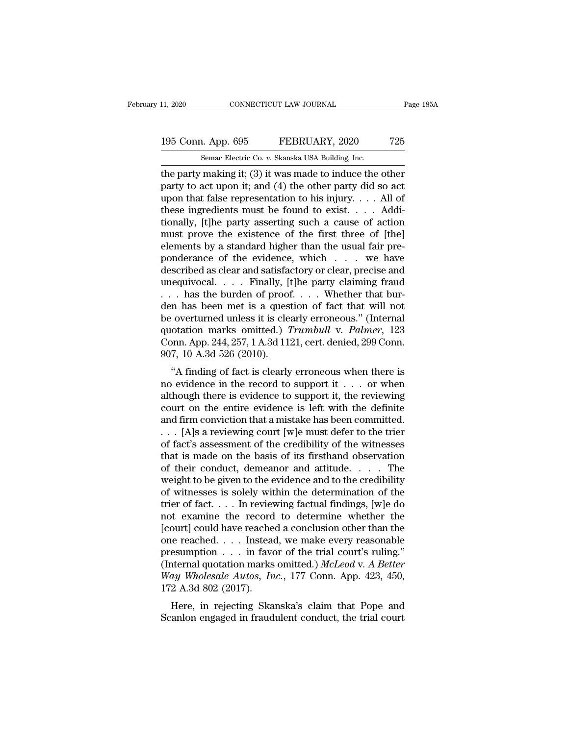# 11, 2020 CONNECTICUT LAW JOURNAL Page 185A<br>195 Conn. App. 695 FEBRUARY, 2020 725<br>Semac Electric Co. v. Skanska USA Building, Inc.

11, 2020 CONNECTICUT LAW JOURNAL<br>195 Conn. App. 695 FEBRUARY, 2020 725<br>5 Semac Electric Co. *v.* Skanska USA Building, Inc.<br>10 The party making it; (3) it was made to induce the other THE Page 1854<br>
195 Conn. App. 695 FEBRUARY, 2020 725<br>
Semac Electric Co. v. Skanska USA Building, Inc.<br>
the party making it; (3) it was made to induce the other<br>
party to act upon it; and (4) the other party did so act<br>
up 195 Conn. App. 695 FEBRUARY, 2020 725<br>
Semac Electric Co. v. Skanska USA Building, Inc.<br>
the party making it; (3) it was made to induce the other<br>
party to act upon it; and (4) the other party did so act<br>
upon that false 195 Conn. App. 695 FEBRUARY, 2020 725<br>
Semac Electric Co. v. Skanska USA Building, Inc.<br>
the party making it; (3) it was made to induce the other<br>
party to act upon it; and (4) the other party did so act<br>
upon that false 195 Conn. App. 695 FEBRUARY, 2020 725<br>
Semac Electric Co. v. Skanska USA Building, Inc.<br>
the party making it; (3) it was made to induce the other<br>
party to act upon it; and (4) the other party did so act<br>
upon that false Semac Electric Co. v. Skanska USA Building, Inc.<br>
the party making it; (3) it was made to induce the other<br>
party to act upon it; and (4) the other party did so act<br>
upon that false representation to his injury. . . . All Semac Electric Co. v. Skanska USA Building, Inc.<br>the party making it; (3) it was made to induce the other<br>party to act upon it; and (4) the other party did so act<br>upon that false representation to his injury.... All of<br>th the party making it; (3) it was made to induce the other<br>party to act upon it; and (4) the other party did so act<br>upon that false representation to his injury.... All of<br>these ingredients must be found to exist.... Addi-<br> party to act upon it; and (4) the other party did so act<br>upon that false representation to his injury. . . . All of<br>these ingredients must be found to exist. . . . Addi-<br>tionally, [t]he party asserting such a cause of act upon that false representation to his injury. . . . All of<br>these ingredients must be found to exist. . . . Addi-<br>tionally, [t]he party asserting such a cause of action<br>must prove the existence of the first three of [the]<br> these ingredients must be found to exist. . . . . Additionally, [t]he party asserting such a cause of action<br>must prove the existence of the first three of [the]<br>elements by a standard higher than the usual fair pre-<br>pond tionally, [t]he party asserting such a cause of action<br>must prove the existence of the first three of [the]<br>elements by a standard higher than the usual fair pre-<br>ponderance of the evidence, which . . . we have<br>described must prove the existence of the first three of [the]<br>elements by a standard higher than the usual fair pre-<br>ponderance of the evidence, which  $\ldots$  we have<br>described as clear and satisfactory or clear, precise and<br>unequiv elements by a standard higher than the usual fair pre-<br>ponderance of the evidence, which . . . we have<br>described as clear and satisfactory or clear, precise and<br>unequivocal. . . . Finally, [t]he party claiming fraud<br>. . . ponderance of the evidence, which . . . we have<br>described as clear and satisfactory or clear, precise and<br>unequivocal. . . . Finally, [t]he party claiming fraud<br>. . . has the burden of proof. . . . Whether that bur-<br>den ha described as clear and satisfactory or clear, precise and<br>unequivocal. . . . Finally, [t]he party claiming fraud<br>. . . has the burden of proof. . . . Whether that bur-<br>den has been met is a question of fact that will not<br>b unequivocal. . . . Finally, [t]he party claiming fraud . . . has the burden of proof. . . . Whether that burden has been met is a question of fact that will not be overturned unless it is clearly erroneous." (Internal quo The state burden of proof. The virtual burn has been met is a question of fact that will not coverturned unless it is clearly erroneous." (Internal otation marks omitted.) *Trumbull v. Palmer*, 123 pnn. App. 244, 257, 1 A den has been met is a question of fact that win not<br>be overturned unless it is clearly erroneous." (Internal<br>quotation marks omitted.) *Trumbull v. Palmer*, 123<br>Conn. App. 244, 257, 1 A.3d 1121, cert. denied, 299 Conn.<br>907

be overturned unless it is clearly erroneous. (Internation marks omitted.) Trumbull v. Palmer, 123<br>Conn. App. 244, 257, 1 A.3d 1121, cert. denied, 299 Conn.<br>907, 10 A.3d 526 (2010).<br>"A finding of fact is clearly erroneous quotation marks onlited.) Trumout v. Futner, 125<br>Conn. App. 244, 257, 1 A.3d 1121, cert. denied, 299 Conn.<br>907, 10 A.3d 526 (2010).<br>"A finding of fact is clearly erroneous when there is<br>no evidence in the record to suppor Confi. App. 244, 257, 1 A.5d 1121, Cert. defined, 255 Confi.<br>907, 10 A.3d 526 (2010).<br>"A finding of fact is clearly erroneous when there is<br>no evidence in the record to support it . . . or when<br>although there is evidence <sup>507</sup>, 10 A.5d 520 (2010).<br>
"A finding of fact is clearly erroneous when there is<br>
no evidence in the record to support it . . . or when<br>
although there is evidence to support it, the reviewing<br>
court on the entire eviden "A finding of fact is clearly erroneous when there is<br>no evidence in the record to support it . . . or when<br>although there is evidence to support it, the reviewing<br>court on the entire evidence is left with the definite<br>an no evidence in the record to support it . . . . or when<br>although there is evidence to support it, the reviewing<br>court on the entire evidence is left with the definite<br>and firm conviction that a mistake has been committed. although there is evidence to support it, the reviewing<br>court on the entire evidence is left with the definite<br>and firm conviction that a mistake has been committed.<br>. . . [A]s a reviewing court [w]e must defer to the tri court on the entire evidence is left with the definite<br>and firm conviction that a mistake has been committed.<br>... [A]s a reviewing court [w]e must defer to the trier<br>of fact's assessment of the credibility of the witnesse and firm conviction that a mistake has been committed.<br>  $\ldots$  [A]s a reviewing court [w]e must defer to the trier<br>
of fact's assessment of the credibility of the witnesses<br>
that is made on the basis of its firsthand obser . . . [A]s a reviewing court [w]e must defer to the trier<br>of fact's assessment of the credibility of the witnesses<br>that is made on the basis of its firsthand observation<br>of their conduct, demeanor and attitude. . . . . Th of fact's assessment of the credibility of the witnesses<br>that is made on the basis of its firsthand observation<br>of their conduct, demeanor and attitude. . . . . The<br>weight to be given to the evidence and to the credibilit that is made on the basis of its firsthand observation<br>of their conduct, demeanor and attitude. . . . . The<br>weight to be given to the evidence and to the credibility<br>of witnesses is solely within the determination of the<br> of their conduct, demeanor and attitude. . . . . The<br>weight to be given to the evidence and to the credibility<br>of witnesses is solely within the determination of the<br>trier of fact. . . . In reviewing factual findings, [w] weight to be given to the evidence and to the credibility<br>of witnesses is solely within the determination of the<br>trier of fact.... In reviewing factual findings, [w]e do<br>not examine the record to determine whether the<br>[co of witnesses is solely within the determination of the<br>trier of fact.... In reviewing factual findings, [w]e do<br>not examine the record to determine whether the<br>[court] could have reached a conclusion other than the<br>one rea trier of fact. . . . In reviewing factual findings, [w]e do<br>not examine the record to determine whether the<br>[court] could have reached a conclusion other than the<br>one reached. . . . Instead, we make every reasonable<br>presum not examine the record<br>[court] could have reache<br>one reached. . . . Instead<br>presumption . . . in favor<br>(Internal quotation marks<br>Way Wholesale Autos, In<br>172 A.3d 802 (2017).<br>Here, in rejecting Ska But a conclusion of the trial the exercise of the example esumption  $\ldots$  in favor of the trial court's ruling."<br>termal quotation marks omitted.) McLeod v. A Better<br>ay Wholesale Autos, Inc., 177 Conn. App. 423, 450,<br>2 A.3 Scanlon engaged in fraudulent conduct, the trial court's ruling."<br>
Scanner (Internal quotation marks omitted.) McLeod v. A Better<br>
Way Wholesale Autos, Inc., 177 Conn. App. 423, 450,<br>
172 A.3d 802 (2017).<br>
Here, in rejecti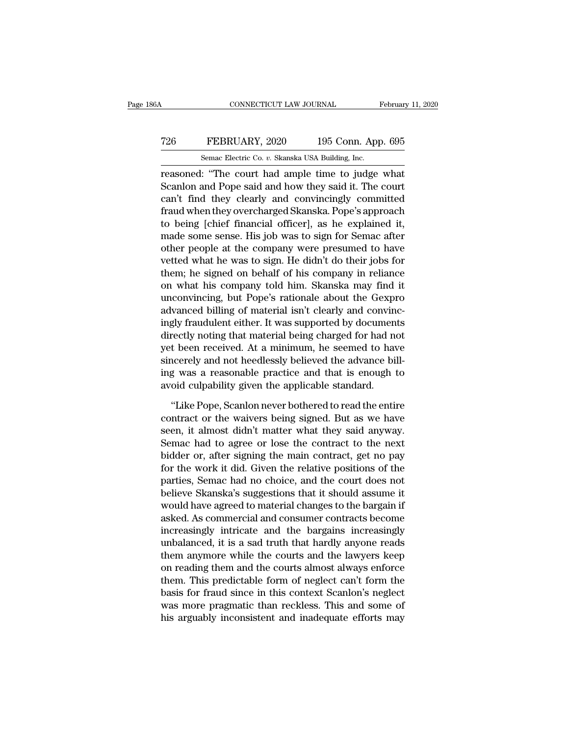## CONNECTICUT LAW JOURNAL February 11, 2020<br>
T26 FEBRUARY, 2020 195 Conn. App. 695<br>
Semac Electric Co. v. Skanska USA Building, Inc. CONNECTICUT LAW JOURNAL February 11, 2020<br>
T26 FEBRUARY, 2020 195 Conn. App. 695<br>
Semac Electric Co. *v.* Skanska USA Building, Inc.<br>
Teasoned: "The court had ample time to judge what

CONNECTICUT LAW JOURNAL February 11, 2020<br>
T26 FEBRUARY, 2020 195 Conn. App. 695<br>
Semac Electric Co. v. Skanska USA Building, Inc.<br>
Teasoned: "The court had ample time to judge what<br>
Scanlon and Pope said and how they said T26 FEBRUARY, 2020 195 Conn. App. 695<br>
Semac Electric Co. v. Skanska USA Building, Inc.<br>
Teasoned: "The court had ample time to judge what<br>
Scanlon and Pope said and how they said it. The court<br>
can't find they clearly and T26 FEBRUARY, 2020 195 Conn. App. 695<br>
Semac Electric Co.  $v$ . Skanska USA Building, Inc.<br>
reasoned: "The court had ample time to judge what<br>
Scanlon and Pope said and how they said it. The court<br>
can't find they clearly FEBRUARY, 2020 195 Conn. App. 695<br>
Semac Electric Co. v. Skanska USA Building, Inc.<br>
reasoned: "The court had ample time to judge what<br>
Scanlon and Pope said and how they said it. The court<br>
can't find they clearly and con Semac Electric Co.  $v$ . Skanska USA Building, Inc.<br>
reasoned: "The court had ample time to judge what<br>
Scanlon and Pope said and how they said it. The court<br>
can't find they clearly and convincingly committed<br>
fraud when Senac Electric Co. *i*. Skaiska USA Bunding, inc.<br>
reasoned: "The court had ample time to judge what<br>
Scanlon and Pope said and how they said it. The court<br>
can't find they clearly and convincingly committed<br>
fraud when th reasoned: "The court had ample time to judge what<br>Scanlon and Pope said and how they said it. The court<br>can't find they clearly and convincingly committed<br>fraud when they overcharged Skanska. Pope's approach<br>to being [chie Scanlon and Pope said and how they said it. The court<br>can't find they clearly and convincingly committed<br>fraud when they overcharged Skanska. Pope's approach<br>to being [chief financial officer], as he explained it,<br>made som can't find they clearly and convincingly committed<br>fraud when they overcharged Skanska. Pope's approach<br>to being [chief financial officer], as he explained it,<br>made some sense. His job was to sign for Semac after<br>other peo fraud when they overcharged Skanska. Pope's approach<br>to being [chief financial officer], as he explained it,<br>made some sense. His job was to sign for Semac after<br>other people at the company were presumed to have<br>vetted wha to being [chief financial officer], as he explained it,<br>made some sense. His job was to sign for Semac after<br>other people at the company were presumed to have<br>vetted what he was to sign. He didn't do their jobs for<br>them; h made some sense. His job was to sign for Semac after<br>other people at the company were presumed to have<br>vetted what he was to sign. He didn't do their jobs for<br>them; he signed on behalf of his company in reliance<br>on what hi other people at the company were presumed to have<br>vetted what he was to sign. He didn't do their jobs for<br>them; he signed on behalf of his company in reliance<br>on what his company told him. Skanska may find it<br>unconvincing, vetted what he was to sign. He didn't do their jobs for<br>them; he signed on behalf of his company in reliance<br>on what his company told him. Skanska may find it<br>unconvincing, but Pope's rationale about the Gexpro<br>advanced bi them; he signed on behalf of his company in reliance<br>on what his company told him. Skanska may find it<br>unconvincing, but Pope's rationale about the Gexpro<br>advanced billing of material isn't clearly and convinc-<br>ingly fraud on what his company told him. Skanska may find it<br>unconvincing, but Pope's rationale about the Gexpro<br>advanced billing of material isn't clearly and convinc-<br>ingly fraudulent either. It was supported by documents<br>directly unconvincing, but Pope's rationale about the Gexpro<br>advanced billing of material isn't clearly and convinc-<br>ingly fraudulent either. It was supported by documents<br>directly noting that material being charged for had not<br>yet advanced billing of material isn't clearly and convin<br>ingly fraudulent either. It was supported by documen<br>directly noting that material being charged for had no<br>yet been received. At a minimum, he seemed to has<br>sincerely rectly noting that material being charged for had not<br>t been received. At a minimum, he seemed to have<br>neerely and not heedlessly believed the advance bill-<br>g was a reasonable practice and that is enough to<br>oid culpability yet been received. At a minimum, he seemed to have<br>sincerely and not heedlessly believed the advance bill-<br>ing was a reasonable practice and that is enough to<br>avoid culpability given the applicable standard.<br>"Like Pope, Sc

sincerely and not heedlessly believed the advance bill-<br>ing was a reasonable practice and that is enough to<br>avoid culpability given the applicable standard.<br>"Like Pope, Scanlon never bothered to read the entire<br>contract or ing was a reasonable practice and that is enough to<br>avoid culpability given the applicable standard.<br>"Like Pope, Scanlon never bothered to read the entire<br>contract or the waivers being signed. But as we have<br>seen, it almos avoid culpability given the applicable standard.<br>
"Like Pope, Scanlon never bothered to read the entire<br>
contract or the waivers being signed. But as we have<br>
seen, it almost didn't matter what they said anyway.<br>
Semac had "Like Pope, Scanlon never bothered to read the entire<br>contract or the waivers being signed. But as we have<br>seen, it almost didn't matter what they said anyway.<br>Semac had to agree or lose the contract to the next<br>bidder or, "Like Pope, Scanlon never bothered to read the entire<br>contract or the waivers being signed. But as we have<br>seen, it almost didn't matter what they said anyway.<br>Semac had to agree or lose the contract to the next<br>bidder or, contract or the waivers being signed. But as we have<br>seen, it almost didn't matter what they said anyway.<br>Semac had to agree or lose the contract to the next<br>bidder or, after signing the main contract, get no pay<br>for the w seen, it almost didn't matter what they said anyway.<br>Semac had to agree or lose the contract to the next<br>bidder or, after signing the main contract, get no pay<br>for the work it did. Given the relative positions of the<br>parti Semac had to agree or lose the contract to the next<br>bidder or, after signing the main contract, get no pay<br>for the work it did. Given the relative positions of the<br>parties, Semac had no choice, and the court does not<br>belie bidder or, after signing the main contract, get no pay<br>for the work it did. Given the relative positions of the<br>parties, Semac had no choice, and the court does not<br>believe Skanska's suggestions that it should assume it<br>wo for the work it did. Given the relative positions of the<br>parties, Semac had no choice, and the court does not<br>believe Skanska's suggestions that it should assume it<br>would have agreed to material changes to the bargain if<br>a parties, Semac had no choice, and the court does not<br>believe Skanska's suggestions that it should assume it<br>would have agreed to material changes to the bargain if<br>asked. As commercial and consumer contracts become<br>increas believe Skanska's suggestions that it should assume it<br>would have agreed to material changes to the bargain if<br>asked. As commercial and consumer contracts become<br>increasingly intricate and the bargains increasingly<br>unbalan would have agreed to material changes to the bargain if<br>asked. As commercial and consumer contracts become<br>increasingly intricate and the bargains increasingly<br>unbalanced, it is a sad truth that hardly anyone reads<br>them an asked. As commercial and consumer contracts become<br>increasingly intricate and the bargains increasingly<br>unbalanced, it is a sad truth that hardly anyone reads<br>them anymore while the courts and the lawyers keep<br>on reading t increasingly intricate and the bargains increasingly<br>unbalanced, it is a sad truth that hardly anyone reads<br>them anymore while the courts and the lawyers keep<br>on reading them and the courts almost always enforce<br>them. This unbalanced, it is a sad truth that hardly anyone reads<br>them anymore while the courts and the lawyers keep<br>on reading them and the courts almost always enforce<br>them. This predictable form of neglect can't form the<br>basis for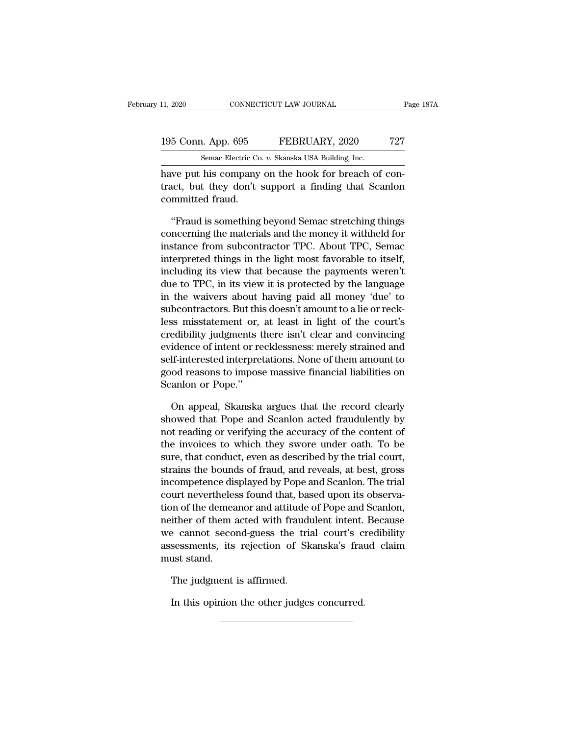| 11, 2020<br>CONNECTICUT LAW JOURNAL |  | Page 187A                                           |     |
|-------------------------------------|--|-----------------------------------------------------|-----|
|                                     |  |                                                     |     |
| 195 Conn. App. 695                  |  | FEBRUARY, 2020                                      | 727 |
|                                     |  | Semac Electric Co. v. Skanska USA Building, Inc.    |     |
|                                     |  | have nut his company on the hook for breach of con- |     |

EXERUTE DAN DERIVER NET THE PUT ON THE HOT ON THE SURVEY, 2020<br>
THE SERICARY, 2020 THE SERICARY SERICARY, 2020 THE SERICARY SERICARY SERICARY SERICARY SERICAL SERICAL DRIVER SERICAL PROPERTY ON THE HOOK for breach of con-<br> 195 Conn. App. 695 FEBRUARY, 2020 727<br>Semac Electric Co. v. Skanska USA Building, Inc.<br>have put his company on the hook for breach of con-<br>tract, but they don't support a finding that Scanlon<br>committed fraud. 195 Conn. App. 695<br>
Semac Electric Co<br>
have put his company<br>
tract, but they don't<br>
committed fraud.<br>
"Fraud is something Semac Electric Co. v. Skanska USA Building, Inc.<br>
We put his company on the hook for breach of con-<br>
act, but they don't support a finding that Scanlon<br>
"Fraud is something beyond Semac stretching things<br>
"Fraud is someth

Semac Electric Co. v. Skanska USA Building, Inc.<br>have put his company on the hook for breach of con-<br>tract, but they don't support a finding that Scanlon<br>committed fraud.<br>"Fraud is something beyond Semac stretching things<br> have put his company on the hook for breach of contract, but they don't support a finding that Scanlon<br>committed fraud.<br>"Fraud is something beyond Semac stretching things<br>concerning the materials and the money it withheld tract, but they don't support a finding that Scanlon<br>committed fraud.<br>"Fraud is something beyond Semac stretching things<br>concerning the materials and the money it withheld for<br>instance from subcontractor TPC. About TPC, Se committed fraud.<br>
"Fraud is something beyond Semac stretching things<br>
concerning the materials and the money it withheld for<br>
instance from subcontractor TPC. About TPC, Semac<br>
interpreted things in the light most favorabl "Fraud is something beyond Semac stretching things<br>concerning the materials and the money it withheld for<br>instance from subcontractor TPC. About TPC, Semac<br>interpreted things in the light most favorable to itself,<br>includin "Fraud is something beyond Semac stretching things<br>concerning the materials and the money it withheld for<br>instance from subcontractor TPC. About TPC, Semac<br>interpreted things in the light most favorable to itself,<br>includin concerning the materials and the money it withheld for<br>instance from subcontractor TPC. About TPC, Semac<br>interpreted things in the light most favorable to itself,<br>including its view that because the payments weren't<br>due to instance from subcontractor TPC. About TPC, Semac<br>interpreted things in the light most favorable to itself,<br>including its view that because the payments weren't<br>due to TPC, in its view it is protected by the language<br>in th interpreted things in the light most favorable to itself,<br>including its view that because the payments weren't<br>due to TPC, in its view it is protected by the language<br>in the waivers about having paid all money 'due' to<br>sub including its view that because the payments weren't<br>due to TPC, in its view it is protected by the language<br>in the waivers about having paid all money 'due' to<br>subcontractors. But this doesn't amount to a lie or reck-<br>les due to TPC, in its view it is protected by the language<br>in the waivers about having paid all money 'due' to<br>subcontractors. But this doesn't amount to a lie or reck-<br>less misstatement or, at least in light of the court's<br>c in the waivers about having paid all money 'due' to<br>subcontractors. But this doesn't amount to a lie or reck-<br>less misstatement or, at least in light of the court's<br>credibility judgments there isn't clear and convincing<br>ev subcontractors. But thi<br>less misstatement or,<br>credibility judgments t<br>evidence of intent or re<br>self-interested interpre<br>good reasons to impos<br>Scanlon or Pope."<br>On anneal. Skanska edibility judgments there isn't clear and convincing<br>idence of intent or recklessness: merely strained and<br>If-interested interpretations. None of them amount to<br>od reasons to impose massive financial liabilities on<br>anlon o evidence of intent or recklessness: merely strained and<br>self-interested interpretations. None of them amount to<br>good reasons to impose massive financial liabilities on<br>Scanlon or Pope."<br>On appeal, Skanska argues that the r

self-interested interpretations. None of them amount to<br>good reasons to impose massive financial liabilities on<br>Scanlon or Pope."<br>On appeal, Skanska argues that the record clearly<br>showed that Pope and Scanlon acted fraudul good reasons to impose massive financial liabilities on<br>Scanlon or Pope."<br>On appeal, Skanska argues that the record clearly<br>showed that Pope and Scanlon acted fraudulently by<br>not reading or verifying the accuracy of the co Scanlon or Pope."<br>
On appeal, Skanska argues that the record clearly<br>
showed that Pope and Scanlon acted fraudulently by<br>
not reading or verifying the accuracy of the content of<br>
the invoices to which they swore under oath On appeal, Skanska argues that the record clearly<br>showed that Pope and Scanlon acted fraudulently by<br>not reading or verifying the accuracy of the content of<br>the invoices to which they swore under oath. To be<br>sure, that con On appeal, Skanska argues that the record clearly<br>showed that Pope and Scanlon acted fraudulently by<br>not reading or verifying the accuracy of the content of<br>the invoices to which they swore under oath. To be<br>sure, that con showed that Pope and Scanion acted rraudulently by<br>not reading or verifying the accuracy of the content of<br>the invoices to which they swore under oath. To be<br>sure, that conduct, even as described by the trial court,<br>strain not reading or verifying the accuracy of the content of<br>the invoices to which they swore under oath. To be<br>sure, that conduct, even as described by the trial court,<br>strains the bounds of fraud, and reveals, at best, gross<br> the invoices to which they swore under oath. To be<br>sure, that conduct, even as described by the trial court,<br>strains the bounds of fraud, and reveals, at best, gross<br>incompetence displayed by Pope and Scanlon. The trial<br>co sure, that conduct, even as described by the trial court,<br>strains the bounds of fraud, and reveals, at best, gross<br>incompetence displayed by Pope and Scanlon. The trial<br>court nevertheless found that, based upon its observa strains the bounds of fraud, and reveals, at best, gross<br>incompetence displayed by Pope and Scanlon. The trial<br>court nevertheless found that, based upon its observa-<br>tion of the demeanor and attitude of Pope and Scanlon,<br>n mcompetence als<br>court nevertheles<br>tion of the demea<br>neither of them<br>we cannot seco<br>assessments, its<br>must stand.<br>The judgment on of the demeanor and attitude<br>ither of them acted with frauding the second-guess the trinum<br>sessments, its rejection of Sk<br>ust stand.<br>The judgment is affirmed.<br>In this opinion the other judges In this opinion the other judges concurred.<br>
In this opinion the other judges concurred.<br>
In this opinion the other judges concurred.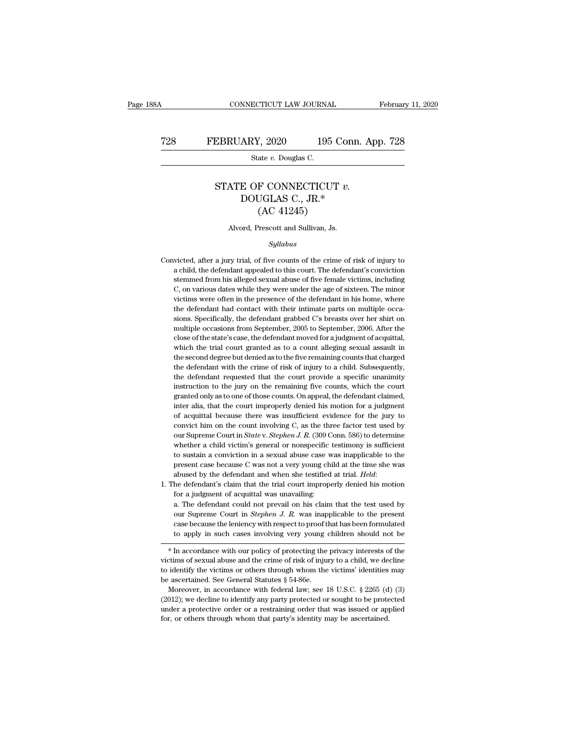### CONNECTICUT LAW JOURNAL February 11, 2020<br>
T28 FEBRUARY, 2020 195 Conn. App. 728<br>
State v. Douglas C. ECTICUT LAW JOURNA<br>RY, 2020 195<br>State *v.* Douglas C.

### EBRUARY, 2020 195 Conn. App. 7<br>
State *v.* Douglas C.<br>
STATE OF CONNECTICUT *v.*<br>
DOUGLAS C., JR.\*  $\begin{tabular}{ c c c} \multicolumn{1}{c}{\textbf{ARY, 2020}} & \multicolumn{1}{c}{\textbf{195 Conn.}} \end{tabular}$ <br> $\begin{tabular}{ c c c} \multicolumn{1}{c}{\textbf{State $v$. Douglas C.}} \\ \multicolumn{1}{c}{\textbf{E OF CONNECTICUT $v$.}} \\ \multicolumn{1}{c}{\textbf{EOUGLAS C., JR.*}} \\ \multicolumn{1}{c}{\textbf{(AC 41245)}} \\ \multicolumn{1}{c}{\textbf{OUCGLAS C., JR.*}} \\ \multicolumn{1}{c}{\textbf{OUCALAS C., JR.*}} \\ \multicolumn{1}{c}{$  $\frac{7}{2020}$  195 C<br>
ate *v*. Douglas C.<br>
F CONNECTICUT<br>
UGLAS C., JR.\*<br>
(AC 41245)<br>
Prescott and Sullivan, Js. STATE OF CONNECTICUT  $v$ .<br>DOUGLAS C., JR.\*<br>(AC 41245)<br>Alvord, Prescott and Sullivan, Js.

### *Syllabus*

- $(AC 41245)$ <br>Alvord, Prescott and Sullivan, Js.<br> $Syllabus$ <br>Convicted, after a jury trial, of five counts of the crime of risk of injury to<br>a child, the defendant appealed to this court. The defendant's conviction Alvord, Prescott and Sullivan, Js.<br> *Syllabus*<br>
victed, after a jury trial, of five counts of the crime of risk of injury to<br>
a child, the defendant appealed to this court. The defendant's conviction<br>
stemmed from his alle Alvord, Prescott and Sullivan, Js.<br>Syllabus<br>victed, after a jury trial, of five counts of the crime of risk of injury to<br>a child, the defendant appealed to this court. The defendant's conviction<br>stemmed from his alleged se Syllabus<br>
Syllabus<br>
intereduced a different appealed to this court. The defendant's conviction<br>
stemmed from his alleged sexual abuse of five female victims, including<br>
C, on various dates while they were under the age of syttems wicted, after a jury trial, of five counts of the crime of risk of injury to a child, the defendant appealed to this court. The defendant's conviction stemmed from his alleged sexual abuse of five female victims, i Convicted, after a jury trial, of five counts of the crime of risk of injury to a child, the defendant appealed to this court. The defendant's conviction stemmed from his alleged sexual abuse of five female victims, includ sions. The defendant appealed to this court. The defendant's conviction<br>a child, the defendant appealed to this court. The defendant's conviction<br>stemmed from his alleged sexual abuse of five female victims, including<br>C, o stemmed from his alleged sexual abuse of five female victims, including C, on various dates while they were under the age of sixteen. The minor victims were often in the presence of the defendant in his home, where the def C, on various dates while they were under the age of sixteen. The minor victims were often in the presence of the defendant in his home, where the defendant had contact with their intimate parts on multiple occasions. Spe by or in the defendant had contact with their intimate parts on multiple occasions. Specifically, the defendant grabbed C's breasts over her shirt on multiple occasions from September, 2005 to September, 2006. After the cl the defendant had contact with their intimate parts on multiple occasions. Specifically, the defendant grabbed C's breasts over her shirt on multiple occasions from September, 2005 to September, 2006. After the close of th sions. Specifically, the defendant grabbed C's breasts over her shirt on multiple occasions from September, 2005 to September, 2006. After the close of the state's case, the defendant moved for a judgment of acquittal, whi multiple occasions from September, 2005 to September, 2006. After the close of the state's case, the defendant moved for a judgment of acquittal, which the trial court granted as to a count alleging sexual assault in the s close of the state's case, the defendant moved for a judgment of acquittal, which the trial court granted as to a count alleging sexual assault in the second degree but denied as to the five remaining counts that charged t which the trial court granted as to a count alleging sexual assault in<br>the second degree but denied as to the five remaining counts that charged<br>the defendant with the crime of risk of injury to a child. Subsequently,<br>the the second degree but denied as to the five remaining counts that charged<br>the defendant with the crime of risk of injury to a child. Subsequently,<br>the defendant requested that the court provide a specific unanimity<br>instruc the defendant with the crime of risk of injury to a child. Subsequently, the defendant requested that the court provide a specific unanimity instruction to the jury on the remaining five counts, which the court granted onl the defendant requested that the court provide a specific unanimity<br>instruction to the jury on the remaining five counts, which the court<br>granted only as to one of those counts. On appeal, the defendant claimed,<br>inter ali instruction to the jury on the remaining five counts, which the court<br>firstruction to the jury on the remaining five counts, which the court<br>granted only as to one of those counts. On appeal, the defendant claimed,<br>inter a granted only as to one of those counts. On appeal, the defendant claimed, inter alia, that the court improperly denied his motion for a judgment of acquittal because there was insufficient evidence for the jury to convict inter alia, that the court improperly denied his motion for a judgment of acquittal because there was insufficient evidence for the jury to convict him on the count involving C, as the three factor test used by our Suprem of acquittal because there was insufficient evidence for the jury to convict him on the count involving C, as the three factor test used by our Supreme Court in *State* v. *Stephen J. R.* (309 Conn. 586) to determine whet convict him on the count involving C, as the three factor test used by our Supreme Court in *State v. Stephen J. R.* (309 Conn. 586) to determine whether a child victim's general or nonspecific testimony is sufficient to s whether a child victim's general or nonspecific<br>to sustain a conviction in a sexual abuse case v<br>present case because C was not a very young ch<br>abused by the defendant and when she testified<br>he defendant's claim that the t to sustain a conviction in a sexual abuse case was inapplicable to the present case because C was not a very young child at the time she was abused by the defendant and when she testified at trial. *Held*: he defendant's
- 

present case because C was not a very young child at the time she was abused by the defendant and when she testified at trial. *Held*:<br>he defendant's claim that the trial court improperly denied his motion<br>for a judgment o abused by the defendant and when she testified at trial. *Held*:<br>he defendant's claim that the trial court improperly denied his motion<br>for a judgment of acquittal was unavailing:<br>a. The defendant could not prevail on his the defendant's claim that the trial court improperly denied his motion<br>for a judgment of acquittal was unavailing:<br>a. The defendant could not prevail on his claim that the test used by<br>our Supreme Court in *Stephen J. R.* a. The defendant could not prevail on his claim that the test used by<br>our Supreme Court in *Stephen J. R.* was inapplicable to the present<br>case because the leniency with respect to proof that has been formulated<br>to apply i at the defendant colud not prevail on its claim that the test used by<br>our Supreme Court in *Stephen J. R.* was inapplicable to the present<br>case because the leniency with respect to proof that has been formulated<br>to apply i

our supreme Court in *stephen*  $\theta$ .  $\theta$ .  $\theta$ . A. was inapplicable to the present case because the leniency with respect to proof that has been formulated to apply in such cases involving very young children should not case because the leniency with respect to proof that has been formulated<br>to apply in such cases involving very young children should not be<br> $*$  In accordance with our policy of protecting the privacy interests of the<br>vict \* In accordance with our policy of protecting the privacy interests of the victims of sexual abuse and the crime of risk of injury to a child, we decline to identify the victims or others through whom the victims' identit \* In accordance with our policy of protecting the privacy interests of the victims of sexual abuse and the crime of risk of injury to a child, we decline to identify the victims or others through whom the victims' identit

victims of sexual abuse and the crime of risk of injury to a child, we decline to identify the victims or others through whom the victims' identities may be ascertained. See General Statutes  $\S$  54-86e.<br>Moreover, in accor to identify the victims or others through whom the victims' identities may be ascertained. See General Statutes  $\S$  54-86e.<br>Moreover, in accordance with federal law; see 18 U.S.C.  $\S$  2265 (d) (3) (2012); we decline to id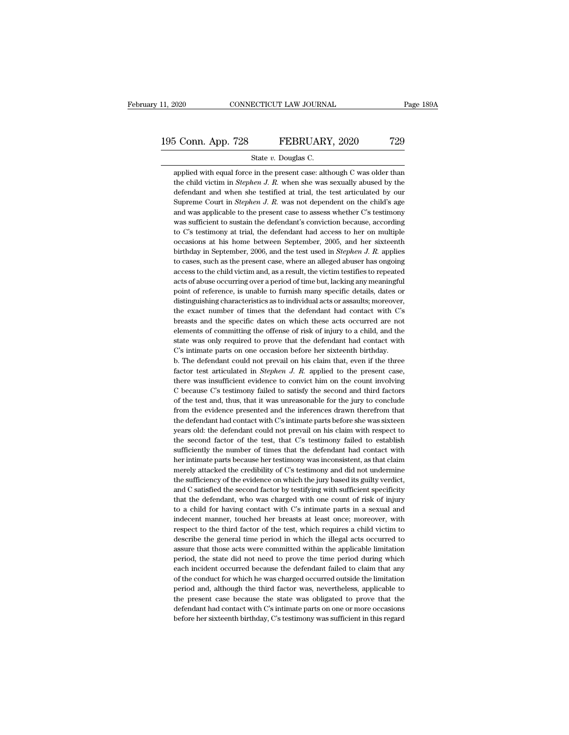### 11, 2020 CONNECTICUT LAW JOURNAL Page 189A<br>195 Conn. App. 728 FEBRUARY, 2020 729<br>State v. Douglas C. EXECUTE 2020 CONNECTICUT LAW JOURNAL<br>
State *v.* Douglas C.<br>
State *v.* Douglas C.<br>
Applied with equal force in the present case: although C was older than

3 Conn. App. 728 FEBRUARY, 2020 729<br>
State v. Douglas C.<br>
applied with equal force in the present case: although C was older than<br>
the child victim in *Stephen J. R.* when she was sexually abused by the the child victim in *State v. Douglas C.*<br>
State *v. Douglas C.*<br>
State *v. Douglas C.*<br>
Applied with equal force in the present case: although C was older than<br>
the child victim in *Stephen J. R.* when she was sexually ab 5 Conn. App. 728 FEBRUARY, 2020 729<br>
State *v*. Douglas C.<br>
applied with equal force in the present case: although C was older than<br>
the child victim in *Stephen J. R.* when she was sexually abused by the<br>
defendant and w State *v*. Douglas C.<br>
State *v*. Douglas C.<br>
Applied with equal force in the present case: although C was older than<br>
the child victim in *Stephen J. R.* when she was sexually abused by the<br>
defendant and when she testifi State  $v$ . Douglas C.<br>
applied with equal force in the present case: although C was older than<br>
the child victim in *Stephen J. R.* when she was sexually abused by the<br>
defendant and when she testified at trial, the test applied with equal force in the present case: although C was older than<br>the child victim in *Stephen J. R.* when she was sexually abused by the<br>defendant and when she testified at trial, the test articulated by our<br>Suprem the child victim in *Stephen J. R.* when she was sexually abused by the defendant and when she testified at trial, the test articulated by our Supreme Court in *Stephen J. R.* was not dependent on the child's age and was a defendant and when she testified at trial, the test articulated by our Supreme Court in *Stephen J. R.* was not dependent on the child's age and was applicable to the present case to assess whether C's testimony was suffic Supreme Court in *Stephen J. R.* was not dependent on the child's age and was applicable to the present case to assess whether C's testimony was sufficient to sustain the defendant's conviction because, according to C's te and was applicable to the present case to assess whether C's testimony<br>was sufficient to sustain the defendant's conviction because, according<br>to C's testimony at trial, the defendant had access to her on multiple<br>occasion was sufficient to sustain the defendant's conviction because, according<br>to C's testimony at trial, the defendant had access to her on multiple<br>occasions at his home between September, 2005, and her sixteenth<br>birthday in S to C's testimony at trial, the defendant had access to her on multiple occasions at his home between September, 2005, and her sixteenth birthday in September, 2006, and the test used in *Stephen J. R.* applies to cases, s occasions at his home between September, 2005, and her sixteenth<br>birthday in September, 2006, and the test used in *Stephen J. R.* applies<br>to cases, such as the present case, where an alleged abuser has ongoing<br>access to t birthday in September, 2006, and the test used in *Stephen J. R.* applies<br>to cases, such as the present case, where an alleged abuser has ongoing<br>access to the child victim and, as a result, the victim testifies to repeate to cases, such as the present case, where an alleged abuser has ongoing access to the child victim and, as a result, the victim testifies to repeated acts of abuse occurring over a period of time but, lacking any meaningfu access to the child victim and, as a result, the victim testifies to repeated acts of abuse occurring over a period of time but, lacking any meaningful point of reference, is unable to furnish many specific details, dates acts of abuse occurring over a period of time but, lacking any meaningful<br>point of reference, is unable to furnish many specific details, dates or<br>distinguishing characteristics as to individual acts or assaults; moreover, point of reference, is unable to furnish many specific details, dates or distinguishing characteristics as to individual acts or assaults; moreover, the exact number of times that the defendant had contact with C's breasts point of reference, is unable to furnish many specific details, dates or distinguishing characteristics as to individual acts or assaults; moreover, the exact number of times that the defendant had contact with C's breast the exact number of times that the defendant had contact with C's<br>breasts and the specific dates on which these acts occurred are not<br>elements of committing the offense of risk of injury to a child, and the<br>state was only breasts and the specific dates on which these acts occurred are not elements of committing the offense of risk of injury to a child, and the state was only required to prove that the defendant had contact with C's intimate

elements of committing the offense of risk of injury to a child, and the state was only required to prove that the defendant had contact with C's intimate parts on one occasion before her sixteenth birthday.<br>b. The defenda state was only required to prove that the defendant had contact with C's intimate parts on one occasion before her sixteenth birthday.<br>
b. The defendant could not prevail on his claim that, even if the three factor test a C's intimate parts on one occasion before her sixteenth birthday.<br>
b. The defendant could not prevail on his claim that, even if the three<br>
factor test articulated in *Stephen J. R.* applied to the present case,<br>
there wa b. The defendant could not prevail on his claim that, even if the three factor test articulated in *Stephen J. R.* applied to the present case, there was insufficient evidence to convict him on the count involving C becau factor test articulated in *Stephen J. R.* applied to the present case, there was insufficient evidence to convict him on the count involving C because C's testimony failed to satisfy the second and third factors of the t there was insufficient evidence to convict him on the count involving C because C's testimony failed to satisfy the second and third factors of the test and, thus, that it was unreasonable for the jury to conclude from the C because C's testimony failed to satisfy the second and third factors<br>of the test and, thus, that it was unreasonable for the jury to conclude<br>from the evidence presented and the inferences drawn therefrom that<br>the defend of the test and, thus, that it was unreasonable for the jury to conclude from the evidence presented and the inferences drawn therefrom that the defendant had contact with C's intimate parts before she was sixteen years ol from the evidence presented and the inferences drawn therefrom that<br>the defendant had contact with C's intimate parts before she was sixteen<br>years old: the defendant could not prevail on his claim with respect to<br>the secon the defendant had contact with C's intimate parts before she was sixteen<br>years old: the defendant could not prevail on his claim with respect to<br>the second factor of the test, that C's testimony failed to establish<br>suffici the defendant had contact with C's intimate parts before she was sixteen<br>years old: the defendant could not prevail on his claim with respect to<br>the second factor of the test, that C's testimony failed to establish<br>suffici the second factor of the test, that C's testimony failed to establish sufficiently the number of times that the defendant had contact with her intimate parts because her testimony was inconsistent, as that claim merely att sufficiently the number of times that the defendant had contact with<br>her intimate parts because her testimony was inconsistent, as that claim<br>merely attacked the credibility of C's testimony and did not undermine<br>the suffi her intimate parts because her testimony was inconsistent, as that claim<br>merely attacked the credibility of C's testimony and did not undermine<br>the sufficiency of the evidence on which the jury based its guilty verdict,<br>an merely attacked the credibility of C's testimony and did not undermine<br>the sufficiency of the evidence on which the jury based its guilty verdict,<br>and C satisfied the second factor by testifying with sufficient specificity the sufficiency of the evidence on which the jury based its guilty verdict, and C satisfied the second factor by testifying with sufficient specificity that the defendant, who was charged with one count of risk of injury t and C satisfied the second factor by testifying with sufficient specificity that the defendant, who was charged with one count of risk of injury to a child for having contact with C's intimate parts in a sexual and indecen that the defendant, who was charged with one count of risk of injury<br>to a child for having contact with C's intimate parts in a sexual and<br>indecent manner, touched her breasts at least once; moreover, with<br>respect to the t to a child for having contact with C's intimate parts in a sexual and indecent manner, touched her breasts at least once; moreover, with respect to the third factor of the test, which requires a child victim to describe th indecent manner, touched her breasts at least once; moreover, with<br>respect to the third factor of the test, which requires a child victim to<br>describe the general time period in which the illegal acts occurred to<br>assure tha respect to the third factor of the test, which requires a child victim to describe the general time period in which the illegal acts occurred to assure that those acts were committed within the applicable limitation period describe the general time period in which the illegal acts occurred to assure that those acts were committed within the applicable limitation period, the state did not need to prove the time period during which each incide assure that those acts were committed within the applicable limitation<br>period, the state did not need to prove the time period during which<br>each incident occurred because the defendant failed to claim that any<br>of the condu period, the state did not need to prove the time period during which<br>each incident occurred because the defendant failed to claim that any<br>of the conduct for which he was charged occurred outside the limitation<br>period and, each incident occurred because the defendant failed to claim that any<br>of the conduct for which he was charged occurred outside the limitation<br>period and, although the third factor was, nevertheless, applicable to<br>the prese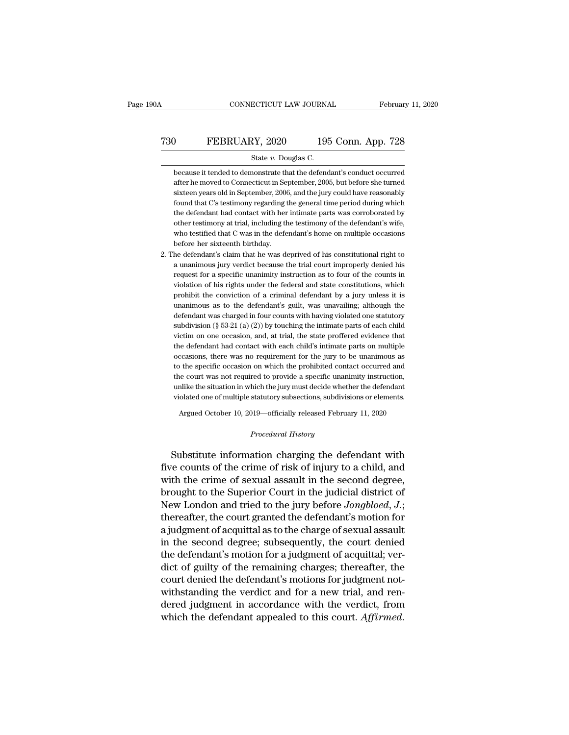### CONNECTICUT LAW JOURNAL February 11, 2020<br>
T30 FEBRUARY, 2020 195 Conn. App. 728<br>
State v. Douglas C. CONNECTICUT LAW JOURNAL Februar<br>
State *v.* Douglas C.<br>
State *v.* Douglas C.<br>
Decause it tended to demonstrate that the defendant's conduct occurred

because it tended to demonstrate that the defendant's conduct occurred<br>after he moved to Connecticut in September, 2005, but before she turned<br>because it tended to Connecticut in September, 2005, but before she turned FEBRUARY, 2020 195 Conn. App. 728<br>
State v. Douglas C.<br>
because it tended to demonstrate that the defendant's conduct occurred<br>
after he moved to Connecticut in September, 2005, but before she turned<br>
sixteen years old in Simple 195 Conn. App. 728<br>State v. Douglas C.<br>Decause it tended to demonstrate that the defendant's conduct occurred<br>after he moved to Connecticut in September, 2005, but before she turned<br>sixteen years old in September, 2 State v. Douglas C.<br>
because it tended to demonstrate that the defendant's conduct occurred<br>
after he moved to Connecticut in September, 2005, but before she turned<br>
sixteen years old in September, 2006, and the jury could State v. Douglas C.<br>
because it tended to demonstrate that the defendant's conduct occurred<br>
after he moved to Connecticut in September, 2005, but before she turned<br>
sixteen years old in September, 2006, and the jury could because it tended to demonstrate that the defendant's conduct occurred<br>after he moved to Connecticut in September, 2005, but before she turned<br>sixteen years old in September, 2006, and the jury could have reasonably<br>found after he moved to Connecticut in September, 2005, but before she turned sixteen years old in September, 2006, and the jury could have reasonably found that C's testimony regarding the general time period during which the d sixteen years old in September, 2006, and the jury could have reasonably<br>found that C's testimony regarding the general time period during which<br>the defendant had contact with her intimate parts was corroborated by<br>other t found that C's testimony regarding the general time period during which<br>the defendant had contact with her intimate parts was corroborated by<br>other testimony at trial, including the testimony of the defendant's wife,<br>who

2. The defendant's claim that he was deprived of his constitutional right to a unanimous jury verdict because the trial court improperly denied his request for a specific unanimity instruction as to four of the counts in other testimony at trial, including the testimony of the defendant's wife,<br>who testified that C was in the defendant's home on multiple occasions<br>before her sixteenth birthday.<br>he defendant's claim that he was deprived of who testified that C was in the defendant's home on multiple occasions<br>before her sixteenth birthday.<br>he defendant's claim that he was deprived of his constitutional right to<br>a unanimous jury verdict because the trial cour before her sixteenth birthday.<br>he defendant's claim that he was deprived of his constitutional right to<br>a unanimous jury verdict because the trial court improperly denied his<br>request for a specific unanimity instruction as he defendant's claim that he was deprived of his constitutional right to a unanimous jury verdict because the trial court improperly denied his request for a specific unanimity instruction as to four of the counts in viola a unanimous jury verdict because the trial court improperly denied his<br>request for a specific unanimity instruction as to four of the counts in<br>violation of his rights under the federal and state constitutions, which<br>proh request for a specific unanimity instruction as to four of the counts in violation of his rights under the federal and state constitutions, which prohibit the conviction of a criminal defendant by a jury unless it is unan violation of his rights under the federal and state constitutions, which prohibit the conviction of a criminal defendant by a jury unless it is unanimous as to the defendant's guilt, was unavailing; although the defendant prohibit the conviction of a criminal defendant by a jury unless it is<br>unanimous as to the defendant's guilt, was unavailing; although the<br>defendant was charged in four counts with having violated one statutory<br>subdivisio defendant was charged in four counts with having violated one statutory subdivision ( $\S$  53-21 (a) (2)) by touching the intimate parts of each child victim on one occasion, and, at trial, the state proffered evidence that defendant was charged in four counts with having violated one statutory<br>subdivision (§ 53-21 (a) (2)) by touching the intimate parts of each child<br>victim on one occasion, and, at trial, the state proffered evidence that<br>t subdivision (§ 53-21 (a) (2)) by touching the intimate parts of each child<br>victim on one occasion, and, at trial, the state proffered evidence that<br>the defendant had contact with each child's intimate parts on multiple<br>oc victim on one occasion, and, at trial, the state proffered evidence that<br>the defendant had contact with each child's intimate parts on multiple<br>occasions, there was no requirement for the jury to be unanimous as<br>to the spe the defendant had contact with each child's intimate parts on multiple occasions, there was no requirement for the jury to be unanimous as to the specific occasion on which the prohibited contact occurred and the court was be seen the specific occasions, there was no requirement for the Jury to be diminimized as<br>the specific occasion on which the prohibited contact occurred and<br>are court was not required to provide a specific unanimity instr % unlike the situation in which the jury must decide whether the defendant violated one of multiple statutory subsections, subdivisions or elements.<br> *Argued October 10, 2019—officially released February 11, 2020*<br> *Proced* 

Figure 1 and the situation in which the jury must decide whether the defendant<br>violated one of multiple statutory subsections, subdivisions or elements.<br>Argued October 10, 2019—officially released February 11, 2020<br>*Proced* riolated one of multiple statutory subsections, subdivisions or elements.<br>
Argued October 10, 2019—officially released February 11, 2020<br>
Procedural History<br>
Substitute information charging the defendant with<br>
five counts Argued October 10, 2019—officially released February 11, 2020<br> *Procedural History*<br>
Substitute information charging the defendant with<br>
five counts of the crime of risk of injury to a child, and<br>
with the crime of sexual *Procedural History*<br>*Procedural History*<br>Substitute information charging the defendant with<br>five counts of the crime of risk of injury to a child, and<br>with the crime of sexual assault in the second degree,<br>brought to the Frocedural History<br>
Substitute information charging the defendant with<br>
five counts of the crime of risk of injury to a child, and<br>
with the crime of sexual assault in the second degree,<br>
brought to the Superior Court in t Substitute information charging the defendant with<br>five counts of the crime of risk of injury to a child, and<br>with the crime of sexual assault in the second degree,<br>brought to the Superior Court in the judicial district of Substitute information charging the defendant with<br>five counts of the crime of risk of injury to a child, and<br>with the crime of sexual assault in the second degree,<br>brought to the Superior Court in the judicial district of five counts of the crime of risk of injury to a child, and<br>with the crime of sexual assault in the second degree,<br>brought to the Superior Court in the judicial district of<br>New London and tried to the jury before *Jongbloed* with the crime of sexual assault in the second degree,<br>brought to the Superior Court in the judicial district of<br>New London and tried to the jury before  $Jongblood$ ,  $J$ .;<br>thereafter, the court granted the defendant's motion fo brought to the Superior Court in the judicial district of<br>New London and tried to the jury before *Jongbloed*, *J*.;<br>thereafter, the court granted the defendant's motion for<br>a judgment of acquittal as to the charge of sexu New London and tried to the jury before *Jongbloed*, *J*.;<br>thereafter, the court granted the defendant's motion for<br>a judgment of acquittal as to the charge of sexual assault<br>in the second degree; subsequently, the court thereafter, the court granted the defendant's motion for<br>a judgment of acquittal as to the charge of sexual assault<br>in the second degree; subsequently, the court denied<br>the defendant's motion for a judgment of acquittal; v a judgment of acquittal as to the charge of sexual assault<br>in the second degree; subsequently, the court denied<br>the defendant's motion for a judgment of acquittal; ver-<br>dict of guilty of the remaining charges; thereafter, in the second degree; subsequently, the court denied<br>the defendant's motion for a judgment of acquittal; ver-<br>dict of guilty of the remaining charges; thereafter, the<br>court denied the defendant's motions for judgment not-<br>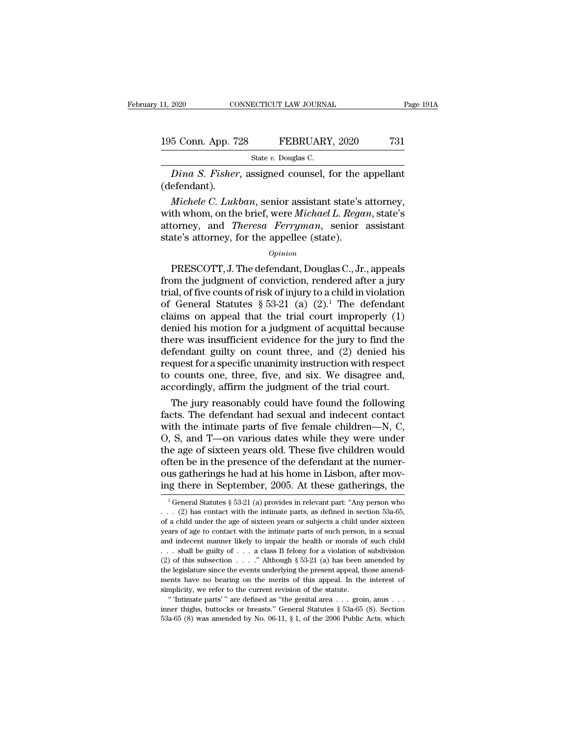### 11, 2020 CONNECTICUT LAW JOURNAL Page 191A<br>195 Conn. App. 728 FEBRUARY, 2020 731<br>State v. Douglas C. ECTICUT LAW JOURNA<br>FEBRUARY<br>State *v.* Douglas C.<br>ssigned\_counsel\_1

<sup>2020</sup> CONNECTICUT LAW JOURNAL Page 1914<br>
5 Conn. App. 728 FEBRUARY, 2020 731<br>
<sup>21</sup> State *v*. Douglas C.<br> *Dina S. Fisher*, assigned counsel, for the appellant efendant). (defendant).

<sup>5</sup> Conn. App. 728 **FEBRUARY**, 2020 731<br> *State v. Douglas C.<br>
<i>Dina S. Fisher*, assigned counsel, for the appellant<br>
efendant).<br> *Michele C. Lukban*, senior assistant state's attorney,<br>
th whom, on the brief, were *Michae* 195 Conn. App. 728 FEBRUARY, 2020 731<br>
State *v.* Douglas C.<br>
Dina S. Fisher, assigned counsel, for the appellant<br>
(defendant).<br> *Michele C. Lukban*, senior assistant state's attorney,<br>
with whom, on the brief, were *Micha* State *v*. Douglas C.<br> *Dina S. Fisher*, assigned counsel, for the appellant<br>
(defendant).<br> *Michele C. Lukban*, senior assistant state's attorney,<br>
with whom, on the brief, were *Michael L. Regan*, state's<br>
attorney, and *Dina S. Fisher*, assigned counsel, for the and (defendant).<br> *Michele C. Lukban*, senior assistant state's with whom, on the brief, were *Michael L. Rega* attorney, and *Theresa Ferryman*, senior state's attorney, for the *Michele C. Lukban*, senior assistant state's attorney,<br>th whom, on the brief, were *Michael L. Regan*, state's<br>torney, and *Theresa Ferryman*, senior assistant<br>ate's attorney, for the appellee (state).<br>*Opinion*<br>PRESCOTT,

### *Opinion*

From the brief, were *Michael L. Regan*, state's<br>attorney, and *Theresa Ferryman*, senior assistant<br>state's attorney, for the appellee (state).<br> $opinion$ <br>PRESCOTT, J. The defendant, Douglas C., Jr., appeals<br>from the judgment o with whom, on the brief, were *interated D. Tagan*, state 3<br>attorney, and *Theresa Ferryman*, senior assistant<br>state's attorney, for the appellee (state).<br> $opinion$ <br>PRESCOTT, J. The defendant, Douglas C., Jr., appeals<br>from t state's attorney, for the appellee (state).<br>  $opinion$ <br>
PRESCOTT, J. The defendant, Douglas C., Jr., appeals<br>
from the judgment of conviction, rendered after a jury<br>
trial, of five counts of risk of injury to a child in violat opinion<br>opinion<br>opinion<br>presence (state).<br>The defendant, Douglas C., Jr., appeals<br>from the judgment of conviction, rendered after a jury<br>trial, of five counts of risk of injury to a child in violation<br>of General Statutes *Opinion*<br>
PRESCOTT, J. The defendant, Douglas C., Jr., appeals<br>
from the judgment of conviction, rendered after a jury<br>
trial, of five counts of risk of injury to a child in violation<br>
of General Statutes § 53-21 (a) (2) PRESCOTT, J. The defendant, Douglas C., Jr., appeals<br>from the judgment of conviction, rendered after a jury<br>trial, of five counts of risk of injury to a child in violation<br>of General Statutes § 53-21 (a) (2).<sup>1</sup> The defen from the judgment of conviction, rendered after a jury<br>trial, of five counts of risk of injury to a child in violation<br>of General Statutes § 53-21 (a) (2).<sup>1</sup> The defendant<br>claims on appeal that the trial court improperly trial, of five counts of risk of injury to a child in violation<br>of General Statutes § 53-21 (a)  $(2)^1$ . The defendant<br>claims on appeal that the trial court improperly  $(1)$ <br>denied his motion for a judgment of acquittal be of General Statutes  $\S$  53-21 (a) (2).<sup>1</sup> The defendant<br>claims on appeal that the trial court improperly (1)<br>denied his motion for a judgment of acquittal because<br>there was insufficient evidence for the jury to find the<br>d claims on appeal that the trial court improperly (1)<br>denied his motion for a judgment of acquittal because<br>there was insufficient evidence for the jury to find the<br>defendant guilty on count three, and (2) denied his<br>reques nied his motion for a judgment of acquittal because<br>ere was insufficient evidence for the jury to find the<br>fendant guilty on count three, and (2) denied his<br>quest for a specific unanimity instruction with respect<br>counts on there was insufficient evidence for the jury to find the<br>defendant guilty on count three, and (2) denied his<br>request for a specific unanimity instruction with respect<br>to counts one, three, five, and six. We disagree and,<br>

defendant guilty on count three, and  $(2)$  denied his<br>request for a specific unanimity instruction with respect<br>to counts one, three, five, and six. We disagree and,<br>accordingly, affirm the judgment of the trial court.<br>Th request for a specific unanimity instruction with respect<br>to counts one, three, five, and six. We disagree and,<br>accordingly, affirm the judgment of the trial court.<br>The jury reasonably could have found the following<br>facts. to counts one, three, five, and six. We disagree and,<br>accordingly, affirm the judgment of the trial court.<br>The jury reasonably could have found the following<br>facts. The defendant had sexual and indecent contact<br>with the in accordingly, affirm the judgment of the trial court.<br>The jury reasonably could have found the following<br>facts. The defendant had sexual and indecent contact<br>with the intimate parts of five female children—N, C,<br>O, S, and T The jury reasonably could have found the following<br>facts. The defendant had sexual and indecent contact<br>with the intimate parts of five female children—N, C,<br>O, S, and T—on various dates while they were under<br>the age of si facts. The defendant had sexual and indecent contact<br>with the intimate parts of five female children—N, C,<br>O, S, and T—on various dates while they were under<br>the age of sixteen years old. These five children would<br>often b 1 General Statutes § 53-21 (a) provides in relevant part: "Any person who in Contract Up and a this home in Lisbon, after moving there in September, 2005. At these gatherings, the  $\frac{1}{1}$ General Statutes § 53-21 (a) pro often be in the presence of the defendant at the numer-<br>ous gatherings he had at his home in Lisbon, after mov-<br>ing there in September, 2005. At these gatherings, the<br> $\frac{1}{1}$ General Statutes § 53-21 (a) provides in rele

ous gatherings he had at his home in Lisbon, after moving there in September, 2005. At these gatherings, the  $\frac{1}{1}$  General Statutes § 53-21 (a) provides in relevant part: "Any person who  $\ldots$  (2) has contact with the ing there in September, 2005. At these gatherings, the  $\frac{1}{1}$  General Statutes § 53-21 (a) provides in relevant part: "Any person who  $\ldots$  (2) has contact with the intimate parts, as defined in section 53a-65, of a ch Ing there in September, 2005. At these gatherings, the<br>
<sup>1</sup> General Statutes § 53-21 (a) provides in relevant part: "Any person who<br>
... (2) has contact with the intimate parts, as defined in section 53a-65,<br>
of a child u <sup>1</sup> General Statutes § 53-21 (a) provides in relevant part: "Any person who . . . (2) has contact with the intimate parts, as defined in section 53a-65, of a child under the age of sixteen years or subjects a child under (2) has contact with the intimate parts, as defined in section 53a-65, of a child under the age of sixteen years or subjects a child under sixteen years of age to contact with the intimate parts of such person, in a sexua or a child under the age of sixteen years or subjects a child under sixteen years of age to contact with the intimate parts of such person, in a sexual and indecent manner likely to impair the health or morals of such chi bears of age to contact with the intimate parts of such person, in a sexual<br>and indecent manner likely to impair the health or morals of such child<br>... shall be guilty of ... a class B felony for a violation of subdivisio shows the current manner likely to impair the health or morals of and indecent manner likely to impair the health or morals of (2) of this subsection . . . . " Although § 53-21 (a) has been the legislature since the event ... shall be guilty of ... a class B felony for a violation of subdivision (2) of this subsection ...." Although § 53-21 (a) has been amended by the legislature since the events underlying the present appeal, those amendm <sup>2</sup> in the solution . . . . " Although § 53-21 (a) has been amended by the legislature since the events underlying the present appeal, those amendments have no bearing on the merits of this appeal. In the interest of simp the legislature since the events underlying the present appeal, those amend-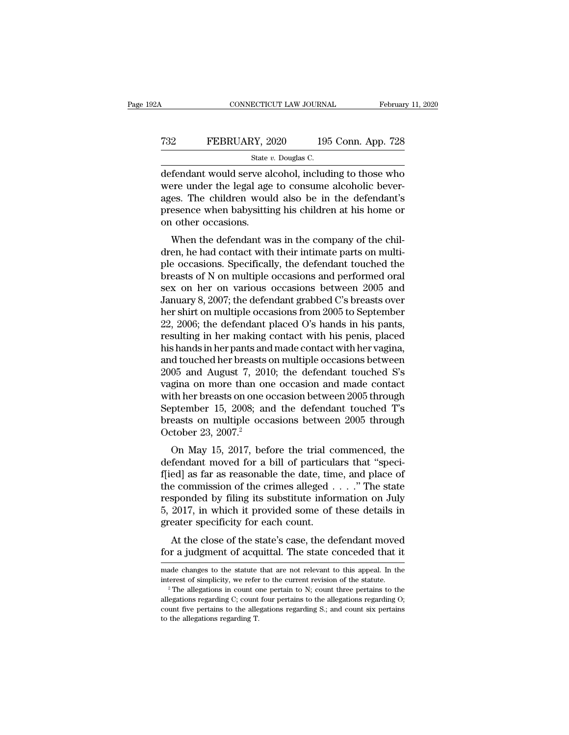### CONNECTICUT LAW JOURNAL February 11, 2020<br>
T32 FEBRUARY, 2020 195 Conn. App. 728<br>
State v. Douglas C. ECTICUT LAW JOURNA<br>2Y, 2020 195<br>State *v.* Douglas C.<br>Ve alcohol includ

CONNECTICUT LAW JOURNAL February 11, 2020<br>
T32 FEBRUARY, 2020 195 Conn. App. 728<br>
State v. Douglas C.<br>
defendant would serve alcohol, including to those who<br>
were under the legal age to consume alcoholic bever-FEBRUARY, 2020 195 Conn. App. 728<br>
State  $v$ . Douglas C.<br>
defendant would serve alcohol, including to those who<br>
were under the legal age to consume alcoholic bever-<br>
ages. The children would also be in the defendant's<br>
p T32 FEBRUARY, 2020 195 Conn. App. 728<br>
State v. Douglas C.<br>
defendant would serve alcohol, including to those who<br>
were under the legal age to consume alcoholic bever-<br>
ages. The children would also be in the defendant's<br> FEBRUARY, 2020 195 Conn. App. 728<br>
State v. Douglas C.<br>
defendant would serve alcohol, including to those who<br>
were under the legal age to consume alcoholic bever-<br>
ages. The children would also be in the defendant's<br>
pre  $\frac{\text{State } i}{\text{defendant}$  would serve all were under the legal age ages. The children would presence when babysittin on other occasions.<br>When the defendant w Fendant would serve alcohol, including to those who<br>ere under the legal age to consume alcoholic bever-<br>es. The children would also be in the defendant's<br>esence when babysitting his children at his home or<br>u other occasion defendant would serve alcohol, including to those who<br>were under the legal age to consume alcoholic bever-<br>ages. The children would also be in the defendant's<br>presence when babysitting his children at his home or<br>on other

were under the regal age to consume according bever-<br>ages. The children would also be in the defendant's<br>presence when babysitting his children at his home or<br>on other occasions.<br>When the defendant was in the company of th ages. The children would also be in the defendant s<br>presence when babysitting his children at his home or<br>on other occasions.<br>When the defendant was in the company of the chil-<br>dren, he had contact with their intimate part presence when babysitting its children at its flohte of<br>on other occasions.<br>When the defendant was in the company of the chil-<br>dren, he had contact with their intimate parts on multi-<br>ple occasions. Specifically, the defen When the defendant was in the company of the chil-<br>dren, he had contact with their intimate parts on multi-<br>ple occasions. Specifically, the defendant touched the<br>breasts of N on multiple occasions and performed oral<br>sex o When the defendant was in the company of the chil-<br>dren, he had contact with their intimate parts on multi-<br>ple occasions. Specifically, the defendant touched the<br>breasts of N on multiple occasions and performed oral<br>sex o dren, he had contact with their intimate parts on multi-<br>ple occasions. Specifically, the defendant touched the<br>breasts of N on multiple occasions and performed oral<br>sex on her on various occasions between 2005 and<br>January ple occasions. Specifically, the defendant touched the<br>breasts of N on multiple occasions and performed oral<br>sex on her on various occasions between 2005 and<br>January 8, 2007; the defendant grabbed C's breasts over<br>her shir breasts of N on multiple occasions and performed oral<br>sex on her on various occasions between 2005 and<br>January 8, 2007; the defendant grabbed C's breasts over<br>her shirt on multiple occasions from 2005 to September<br>22, 2006 sex on her on various occasions between 2005 and<br>January 8, 2007; the defendant grabbed C's breasts over<br>her shirt on multiple occasions from 2005 to September<br>22, 2006; the defendant placed O's hands in his pants,<br>resulti January 8, 2007; the defendant grabbed C's breasts over<br>her shirt on multiple occasions from 2005 to September<br>22, 2006; the defendant placed O's hands in his pants,<br>resulting in her making contact with his penis, placed<br>h her shirt on multiple occasions from 2005 to September<br>22, 2006; the defendant placed O's hands in his pants,<br>resulting in her making contact with his penis, placed<br>his hands in her pants and made contact with her vagina,<br> 22, 2006; the defendant placed O's hands in his pants,<br>resulting in her making contact with his penis, placed<br>his hands in her pants and made contact with her vagina,<br>and touched her breasts on multiple occasions between<br>2 resulting in her making contact with his penis, placed<br>his hands in her pants and made contact with her vagina,<br>and touched her breasts on multiple occasions between<br>2005 and August 7, 2010; the defendant touched S's<br>vagin his hands in her pants and made contact with her vagina,<br>and touched her breasts on multiple occasions between<br>2005 and August 7, 2010; the defendant touched S's<br>vagina on more than one occasion and made contact<br>with her b and touched her breasts c<br>2005 and August 7, 201<br>vagina on more than on<br>with her breasts on one o<br>September 15, 2008; an<br>breasts on multiple occ<br>October 23, 2007.<sup>2</sup><br>On May 15, 2017, bef ob and August 7, 2010, the defendant touched 5 s<br>gina on more than one occasion between 2005 through<br>ptember 15, 2008; and the defendant touched T's<br>easts on multiple occasions between 2005 through<br>tober 23, 2007.<sup>2</sup><br>On M vagnia on niote than one occasion and made contact<br>with her breasts on one occasion between 2005 through<br>September 15, 2008; and the defendant touched T's<br>breasts on multiple occasions between 2005 through<br>October 23, 2007

September 15, 2008; and the defendant touched T's<br>breasts on multiple occasions between 2005 through<br>October 23, 2007.<sup>2</sup><br>On May 15, 2017, before the trial commenced, the<br>defendant moved for a bill of particulars that "sp beptender 15, 2008, and the defendant touched 1 s<br>breasts on multiple occasions between 2005 through<br>October 23, 2007.<sup>2</sup><br>On May 15, 2017, before the trial commenced, the<br>defendant moved for a bill of particulars that "sp or easts on muttiple occasions between 2005 unought<br>October 23, 2007.<sup>2</sup><br>On May 15, 2017, before the trial commenced, the<br>defendant moved for a bill of particulars that "speci-<br>f[ied] as far as reasonable the date, time, October 25, 2007.<br>
On May 15, 2017, before the trial commenced, the<br>
defendant moved for a bill of particulars that "speci-<br>
f[ied] as far as reasonable the date, time, and place of<br>
the commission of the crimes alleged On May 15, 2017, before the trial condefendant moved for a bill of particular f<br>ied] as far as reasonable the date, time the commission of the crimes alleged.<br>responded by filing its substitute infor<br>5, 2017, in which it p Fermitant invect for a bin of particulars that speci-<br>ed] as far as reasonable the date, time, and place of<br>e commission of the crimes alleged  $\ldots$ ." The state<br>sponded by filing its substitute information on July<br>2017, i fied) as far as reasonable the date, thile, and place of<br>the commission of the crimes alleged . . . ." The state<br>responded by filing its substitute information on July<br>5, 2017, in which it provided some of these details i 5, 2017, in which it provided some of these details in greater specificity for each count.<br>At the close of the state's case, the defendant moved for a judgment of acquittal. The state conceded that it made changes to the

made changes to the statute that are not relevant to this appeal. In the

At the close of the state's case, the defendant moved<br>for a judgment of acquittal. The state conceded that it<br>made changes to the statute that are not relevant to this appeal. In the<br>interest of simplicity, we refer to th for a judgment of acquittal. The state conceded that it made changes to the statute that are not relevant to this appeal. In the interest of simplicity, we refer to the current revision of the statute.<br><sup>2</sup> The allegations corrected that it<br>made changes to the statute that are not relevant to this appeal. In the<br>interest of simplicity, we refer to the current revision of the statute.<br><sup>2</sup> The allegations in count one pertain to N; count three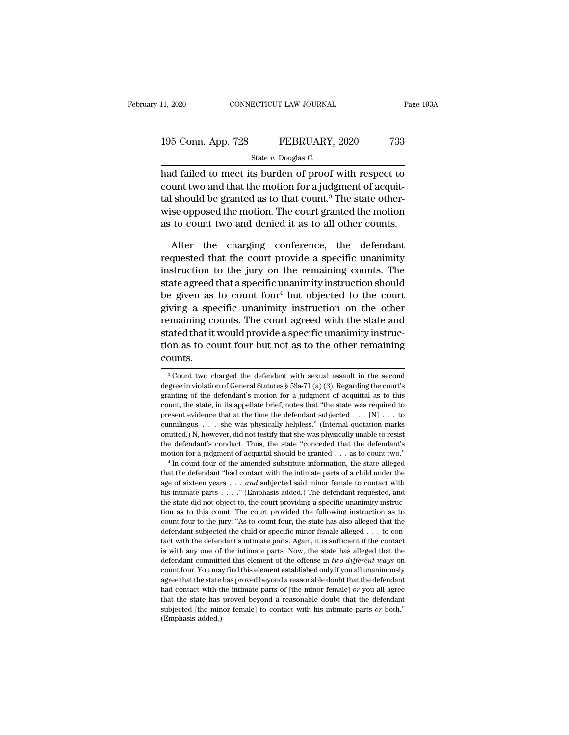### 11, 2020 CONNECTICUT LAW JOURNAL Page 193A<br>195 Conn. App. 728 FEBRUARY, 2020 733<br>State v. Douglas C. ECTICUT LAW JOURNA<br>FEBRUARY<br>State *v.* Douglas C.<br>Its burden of proof

11, 2020 CONNECTICUT LAW JOURNAL Page 193A<br>
195 Conn. App. 728 FEBRUARY, 2020 733<br>
State v. Douglas C.<br>
had failed to meet its burden of proof with respect to<br>
count two and that the motion for a judgment of acquit-195 Conn. App. 728 FEBRUARY, 2020 733<br>
State v. Douglas C.<br>
had failed to meet its burden of proof with respect to<br>
count two and that the motion for a judgment of acquit-<br>
tal should be granted as to that count.<sup>3</sup> The s 195 Conn. App. 728 FEBRUARY, 2020 733<br>
State v. Douglas C.<br>
had failed to meet its burden of proof with respect to<br>
count two and that the motion for a judgment of acquit-<br>
tal should be granted as to that count.<sup>3</sup> The s 195 Conn. App. 728 FEBRUARY, 2020 733<br>
State v. Douglas C.<br>
had failed to meet its burden of proof with respect to<br>
count two and that the motion for a judgment of acquit-<br>
tal should be granted as to that count.<sup>3</sup> The s State v. Douglas C.<br>
had failed to meet its burden of proof with respect to<br>
count two and that the motion for a judgment of acquit-<br>
tal should be granted as to that count.<sup>3</sup> The state other-<br>
wise opposed the motion. T d failed to meet its burden of proof with respect to<br>unt two and that the motion for a judgment of acquit-<br>should be granted as to that count.<sup>3</sup> The state other-<br>se opposed the motion. The court granted the motion<br>to coun requested that the motion for a judgment of acquit-<br>tal should be granted as to that count.<sup>3</sup> The state other-<br>wise opposed the motion. The court granted the motion<br>as to count two and denied it as to all other counts.<br>Af

tal should be granted as to that count.<sup>3</sup> The state other-<br>wise opposed the motion. The court granted the motion<br>as to count two and denied it as to all other counts.<br>After the charging conference, the defendant<br>requested wise opposed the motion. The court granted the motion<br>as to count two and denied it as to all other counts.<br>After the charging conference, the defendant<br>requested that the court provide a specific unanimity<br>instruction to as to count two and denied it as to all other counts.<br>
After the charging conference, the defendant<br>
requested that the court provide a specific unanimity<br>
instruction to the jury on the remaining counts. The<br>
state agree After the charging conference, the defendant<br>requested that the court provide a specific unanimity<br>instruction to the jury on the remaining counts. The<br>state agreed that a specific unanimity instruction should<br>be given as After the charging conference, the defendant<br>requested that the court provide a specific unanimity<br>instruction to the jury on the remaining counts. The<br>state agreed that a specific unanimity instruction should<br>be given as requested that the court provide a specific unanimity<br>instruction to the jury on the remaining counts. The<br>state agreed that a specific unanimity instruction should<br>be given as to count four<sup>4</sup> but objected to the court<br>gi instruction to the jury on the remaining counts. The<br>state agreed that a specific unanimity instruction should<br>be given as to count four<sup>4</sup> but objected to the court<br>giving a specific unanimity instruction on the other<br>re counts. remaining counts. The court agreed with the state and<br>stated that it would provide a specific unanimity instruc-<br>tion as to count four but not as to the other remaining<br>counts.<br> $3$  Count two charged the defendant with sex stated that it would provide a specific unanimity instruction as to count four but not as to the other remaining<br>counts.<br> $\frac{3}{100}$ Count two charged the defendant with sexual assault in the second<br>degree in violation of

tion as to count four but not as to the other remaining<br>counts.<br> $\frac{1}{3}$ Count two charged the defendant with sexual assault in the second<br>degree in violation of General Statutes § 53a-71 (a) (3). Regarding the court's<br>gr counts.<br><sup>3</sup> Count two charged the defendant with sexual assault in the second degree in violation of General Statutes § 53a-71 (a) (3). Regarding the court's granting of the defendant's motion for a judgment of acquittal <sup>3</sup> Courtus.<br><sup>3</sup> Count two charged the defendant with sexual assault in the second degree in violation of General Statutes § 53a-71 (a) (3). Regarding the court's granting of the defendant's motion for a judgment of acqui <sup>3</sup> Count two charged the defendant with sexual assault in the second degree in violation of General Statutes § 53a-71 (a) (3). Regarding the court's granting of the defendant's motion for a judgment of acquittal as to th degree in violation of General Statutes § 53a-71 (a) (3). Regarding the court's granting of the defendant's motion for a judgment of acquittal as to this count, the state, in its appellate brief, notes that "the state was are the defendant's motion for a judgment of acquittal as to this count, the state, in its appellate brief, notes that "the state was required to present evidence that at the time the defendant subjected  $\ldots$  [N]  $\ldots$  t count, the state, in its appellate brief, notes that "the state was required to present evidence that at the time the defendant subjected  $\ldots$  [N]  $\ldots$  to cumnilingus  $\ldots$  she was physically helpless." (Internal quotat From that the defendant 's contact with the defendant's conduct with the defendant's conduct. Thus, the state "conceded that the defendant's motion for a judgment of acquittal should be granted  $\ldots$  as to count two."<br>
<sup>4</sup>

and solution of sixteen years . . . *and* subjected said minor female to resist the defendant's conduct. Thus, the state "conceded that the defendant's motion for a judgment of acquittal should be granted . . . as to count the defendant's conduct. Thus, the state "conceded that the defendant's motion for a judgment of acquittal should be granted . . . as to count two."<br>
<sup>4</sup> In count four of the amended substitute information, the state alle the defendant's conduct. Thus, the state "conceded that the defendant's motion for a judgment of acquittal should be granted . . . as to count two."  $\,^4$  In count four of the amended substitute information, the state al The count four of the amended substitute information, the state alleged that the defendant "had contact with the intimate parts of a child under the age of sixteen years  $\ldots$  and subjected said minor female to contact wi that the defendant "had contact with the intimate parts of a child under the age of sixteen years . . . and subjected said minor female to contact with his intimate parts . . . . . " (Emphasis added.) The defendant reques age of sixteen years  $\ldots$  and subjected said minor female to contact with this intimate parts  $\ldots$ ." (Emphasis added.) The defendant requested, and the state did not object to, the court providing a specific unanimity i tact with the defendant's intimate parts. Again, it is sufficient if the contact the state did not object to, the court providing a specific unanimity instruction as to this count. The court provided the following instruction as to count four to the jury: "As to count four, the state has also alleged defined as to this count. The court provided the following instruction as to count four to the jury: "As to count four, the state has also alleged that the defendant subjected the child or specific minor female alleged . . count four to the jury: "As to count four, the state has also alleged that the defendant subjected the child or specific minor female alleged  $\ldots$  to contact with the defendant's intimate parts. Again, it is sufficient i defendant subjected the child or specific minor female alleged . . . to contact with the defendant's intimate parts. Again, it is sufficient if the contact is with any one of the intimate parts. Now, the state has alleged that the defendant's intimate parts. Again, it is sufficient if the contact<br>is with any one of the intimate parts. Again, it is sufficient if the contact<br>is with any one of the intimate parts. Now, the state has alleged th is with any one of the intimate parts. Now, the state has alleged that the defendant committed this element of the offense in *two different ways* on count four. You may find this element established only if you all unani defendant committed this element of the offense in two different ways on count four. You may find this element established only if you all unanimously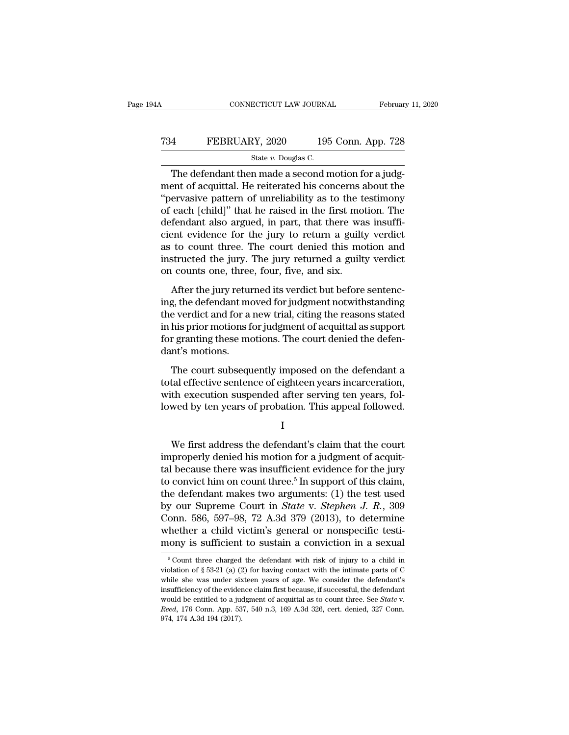### CONNECTICUT LAW JOURNAL February 11, 2020<br>
T34 FEBRUARY, 2020 195 Conn. App. 728<br>
State v. Douglas C. ECTICUT LAW JOURNA<br>2Y, 2020 195<br>State *v.* Douglas C.<br>n made a second n

CONNECTICUT LAW JOURNAL Februar<br>
The defendant then made a second motion for a judg-<br>
The defendant then made a second motion for a judg-<br>
The defendant then made a second motion for a judg-<br>
The defendant then made a seco T34 FEBRUARY, 2020 195 Conn. App. 728<br>
State  $v$ . Douglas C.<br>
The defendant then made a second motion for a judg-<br>
ment of acquittal. He reiterated his concerns about the<br>
"pervasive pattern of unreliability as to the tes T34 FEBRUARY, 2020 195 Conn. App. 728<br>
State v. Douglas C.<br>
The defendant then made a second motion for a judg-<br>
ment of acquittal. He reiterated his concerns about the<br>
"pervasive pattern of unreliability as to the testi T34 FEBRUARY, 2020 195 Conn. App. 728<br>
State v. Douglas C.<br>
The defendant then made a second motion for a judg-<br>
ment of acquittal. He reiterated his concerns about the<br>
"pervasive pattern of unreliability as to the testi State v. Douglas C.<br>
The defendant then made a second motion for a judg-<br>
ment of acquittal. He reiterated his concerns about the<br>
"pervasive pattern of unreliability as to the testimony<br>
of each [child]" that he raised i state v. Douglas C.<br>
The defendant then made a second motion for a judgment of acquittal. He reiterated his concerns about the<br>
"pervasive pattern of unreliability as to the testimony<br>
of each [child]" that he raised in t The defendant then made a second motion for a judg-<br>ment of acquittal. He reiterated his concerns about the<br>"pervasive pattern of unreliability as to the testimony<br>of each [child]" that he raised in the first motion. The<br>d ment of acquittal. He reiterated his concerns about the "pervasive pattern of unreliability as to the testimony of each [child]" that he raised in the first motion. The defendant also argued, in part, that there was insuff "pervasive pattern of unreliability as to the tof each [child]" that he raised in the first mot<br>defendant also argued, in part, that there wa<br>cient evidence for the jury to return a guilt;<br>as to count three. The court deni of each [child]" that he raised in the first motion. The defendant also argued, in part, that there was insufficient evidence for the jury to return a guilty verdict as to count three. The court denied this motion and inst defendant disc digded, in part, that discreme was meani-<br>cient evidence for the jury to return a guilty verdict<br>as to count three. The court denied this motion and<br>instructed the jury. The jury returned a guilty verdict<br>on

as to count three. The court denied this motion and<br>instructed the jury. The jury returned a guilty verdict<br>on counts one, three, four, five, and six.<br>After the jury returned its verdict but before sentenc-<br>ing, the defend instructed the jury. The jury returned a guilty verdict<br>on counts one, three, four, five, and six.<br>After the jury returned its verdict but before sentenc-<br>ing, the defendant moved for judgment notwithstanding<br>the verdict a for granting these motions, the court denied the defendant moved its verdict but before sentencing, the defendant moved for judgment notwithstanding the verdict and for a new trial, citing the reasons stated in his prior m on sound one, and<br>After the jury returning, the defendant mother verdict and for a<br>in his prior motions f<br>for granting these modant's motions.<br>The court subseque Finds are yary retained its vertices an servere sense<br>in g, the defendant moved for judgment notwithstanding<br>e verdict and for a new trial, citing the reasons stated<br>his prior motions for judgment of acquittal as support<br>r the verdict and for a new trial, citing the reasons stated<br>in his prior motions for judgment of acquittal as support<br>for granting these motions. The court denied the defen-<br>dant's motions.<br>The court subsequently imposed on

method in this prior motions for judgment of acquittal as support<br>for granting these motions. The court denied the defen-<br>dant's motions.<br>The court subsequently imposed on the defendant a<br>total effective sentence of eighte man prior instants for yangletical of adquired as supposed<br>for granting these motions. The court denied the defen-<br>dant's motions.<br>The court subsequently imposed on the defendant a<br>total effective sentence of eighteen year The court subsequently imposed on the defendant a<br>tal effective sentence of eighteen years incarceration,<br>th execution suspended after serving ten years, fol-<br>wed by ten years of probation. This appeal followed.<br>I<br>We first

I

total effective sentence of eighteen years incarceration,<br>with execution suspended after serving ten years, fol-<br>lowed by ten years of probation. This appeal followed.<br> $I$ <br>We first address the defendant's claim that the c with execution suspended after serving ten years, fol-<br>lowed by ten years of probation. This appeal followed.<br> $I$ <br>We first address the defendant's claim that the court<br>improperly denied his motion for a judgment of acquit Iowed by ten years of probation. This appeal followed.<br>
I<br>
We first address the defendant's claim that the court<br>
improperly denied his motion for a judgment of acquit-<br>
tal because there was insufficient evidence for the I<br>We first address the defendant's claim that the court<br>improperly denied his motion for a judgment of acquit-<br>tal because there was insufficient evidence for the jury<br>to convict him on count three.<sup>5</sup> In support of this We first address the defendant's claim that the court<br>improperly denied his motion for a judgment of acquit-<br>tal because there was insufficient evidence for the jury<br>to convict him on count three.<sup>5</sup> In support of this cla We first address the defendant's claim that the court<br>improperly denied his motion for a judgment of acquit-<br>tal because there was insufficient evidence for the jury<br>to convict him on count three.<sup>5</sup> In support of this cl improperly denied his motion for a judgment of acquittal because there was insufficient evidence for the jury to convict him on count three.<sup>5</sup> In support of this claim, the defendant makes two arguments: (1) the test use tal because there was insufficient evidence for the jury<br>to convict him on count three.<sup>5</sup> In support of this claim,<br>the defendant makes two arguments: (1) the test used<br>by our Supreme Court in *State* v. *Stephen J. R.*, by our Supreme Court in *State* v. *Stephen J. R.*, 309 Conn. 586, 597–98, 72 A.3d 379 (2013), to determine whether a child victim's general or nonspecific testimony is sufficient to sustain a conviction in a sexual  $\frac{1$ Conn. 586, 597–98, 72 A.3d 379 (2013), to determine<br>whether a child victim's general or nonspecific testi-<br>mony is sufficient to sustain a conviction in a sexual<br> $\frac{1}{5}$ Count three charged the defendant with risk of inj

whether a child victim's general or nonspecific testi-<br>mony is sufficient to sustain a conviction in a sexual<br> $\frac{1}{5}$ Count three charged the defendant with risk of injury to a child in<br>violation of  $\frac{5}{5}$  53-21 (a) ( **increase is sufficient to sustain a conviction in a sexual**  $\frac{1}{10}$  focunt three charged the defendant with risk of injury to a child in violation of § 53-21 (a) (2) for having contact with the intimate parts of C whi From throes as to a judgment of acquital as to fluid in violation of § 53-21 (a) (2) for having contact with the intimate parts of C while she was under sixteen years of age. We consider the defendant's insufficiency of t violation of § 53-21 (a) (2) for having contact with the intimate parts of C while she was under sixteen years of age. We consider the defendant's insufficiency of the evidence claim first because, if successful, the defe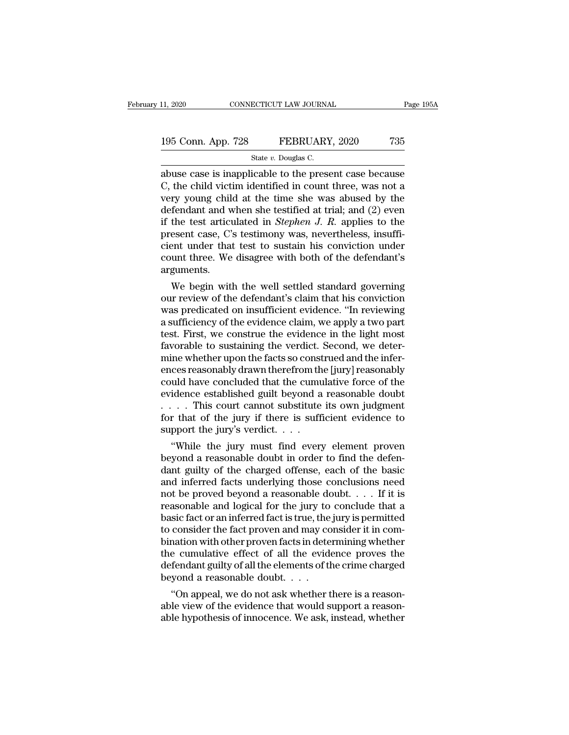### 11, 2020 CONNECTICUT LAW JOURNAL Page 195A<br>195 Conn. App. 728 FEBRUARY, 2020 735<br>State v. Douglas C. ECTICUT LAW JOURNA<br>FEBRUARY<br>State *v.* Douglas C.<br>icable to the prese

11, 2020 CONNECTICUT LAW JOURNAL Page 195A<br>
195 Conn. App. 728 FEBRUARY, 2020 735<br>
State v. Douglas C.<br>
abuse case is inapplicable to the present case because<br>
C, the child victim identified in count three, was not a<br>
vor 195 Conn. App. 728 FEBRUARY, 2020 735<br>
State v. Douglas C.<br>
abuse case is inapplicable to the present case because<br>
C, the child victim identified in count three, was not a<br>
very young child at the time she was abused by 195 Conn. App. 728 FEBRUARY, 2020 735<br>
State v. Douglas C.<br>
abuse case is inapplicable to the present case because<br>
C, the child victim identified in count three, was not a<br>
very young child at the time she was abused by 195 Conn. App. 728 FEBRUARY, 2020 735<br>
State v. Douglas C.<br>
abuse case is inapplicable to the present case because<br>
C, the child victim identified in count three, was not a<br>
very young child at the time she was abused by State *v*. Douglas C.<br>
State *v*. Douglas C.<br>
abuse case is inapplicable to the present case because<br>
C, the child victim identified in count three, was not a<br>
very young child at the time she was abused by the<br>
defendant state v. Douglas C.<br>
abuse case is inapplicable to the present case because<br>
C, the child victim identified in count three, was not a<br>
very young child at the time she was abused by the<br>
defendant and when she testified a abuse case is inapplicable to the present case because C, the child victim identified in count three, was not a very young child at the time she was abused by the defendant and when she testified at trial; and  $(2)$  even C, the child victim identified in count three, was not a<br>very young child at the time she was abused by the<br>defendant and when she testified at trial; and  $(2)$  even<br>if the test articulated in *Stephen J. R.* applies to t arguments. Fendant and when she testined at trial; and  $(Z)$  even<br>the test articulated in *Stephen J. R.* applies to the<br>esent case, C's testimony was, nevertheless, insuffi-<br>ent under that test to sustain his conviction under<br>unt th If the test articulated in *Stephen J. K.* applies to the<br>present case, C's testimony was, nevertheless, insuffi-<br>cient under that test to sustain his conviction under<br>count three. We disagree with both of the defendant's<br>

present case, C s testimony was, nevertheless, msum-<br>cient under that test to sustain his conviction under<br>count three. We disagree with both of the defendant's<br>arguments.<br>We begin with the well settled standard governing<br> cient under that test to sustain his conviction under<br>count three. We disagree with both of the defendant's<br>arguments.<br>We begin with the well settled standard governing<br>our review of the defendant's claim that his convicti count three. we disagree with both of the defendant's<br>arguments.<br>We begin with the well settled standard governing<br>our review of the defendant's claim that his conviction<br>was predicated on insufficient evidence. "In review arguments.<br>We begin with the well settled standard governing<br>our review of the defendant's claim that his conviction<br>was predicated on insufficient evidence. "In reviewing<br>a sufficiency of the evidence claim, we apply a tw We begin with the well settled standard governing<br>our review of the defendant's claim that his conviction<br>was predicated on insufficient evidence. "In reviewing<br>a sufficiency of the evidence claim, we apply a two part<br>test our review of the defendant's claim that his conviction<br>was predicated on insufficient evidence. "In reviewing<br>a sufficiency of the evidence claim, we apply a two part<br>test. First, we construe the evidence in the light mos was predicated on insufficient evidence. "In reviewing<br>a sufficiency of the evidence claim, we apply a two part<br>test. First, we construe the evidence in the light most<br>favorable to sustaining the verdict. Second, we detera sufficiency of the evidence claim, we apply a two part<br>test. First, we construe the evidence in the light most<br>favorable to sustaining the verdict. Second, we deter-<br>mine whether upon the facts so construed and the infer test. First, we construe the evidence in the light most<br>favorable to sustaining the verdict. Second, we deter-<br>mine whether upon the facts so construed and the infer-<br>ences reasonably drawn therefrom the [jury] reasonably<br> favorable to sustaining the verdict. Second, we determine whether upon the facts so construed and the inferences reasonably drawn therefrom the [jury] reasonably could have concluded that the cumulative force of the evide mine whether upon the facts so const<br>ences reasonably drawn therefrom th<br>could have concluded that the cumu<br>evidence established guilt beyond a<br> $\dots$ . This court cannot substitute<br>for that of the jury if there is suffi<br>sup ces reasonably drawn therefrom the [Jury] reasonably<br>
uld have concluded that the cumulative force of the<br>
idence established guilt beyond a reasonable doubt<br>
. . This court cannot substitute its own judgment<br>
r that of th could nave concluded that the cumulative force of the<br>evidence established guilt beyond a reasonable doubt<br> $\ldots$ . This court cannot substitute its own judgment<br>for that of the jury if there is sufficient evidence to<br>suppo

evidence established guilt beyond a reasonable doubt<br>  $\dots$  This court cannot substitute its own judgment<br>
for that of the jury if there is sufficient evidence to<br>
support the jury's verdict.<br>
"While the jury must find eve and inferred facts underlying those conclude that a mass<br>comport the jury if there is sufficient evidence to support the jury's verdict.<br>...<br>"While the jury must find every element proven<br>beyond a reasonable doubt in order For that of the jury if there is sufficient evidence to<br>support the jury's verdict. . . .<br>"While the jury must find every element proven<br>beyond a reasonable doubt in order to find the defen-<br>dant guilty of the charged off support the jury s verdict....<br>
"While the jury must find every element proven<br>
beyond a reasonable doubt in order to find the defen-<br>
dant guilty of the charged offense, each of the basic<br>
and inferred facts underlying t "While the jury must find every element proven<br>beyond a reasonable doubt in order to find the defen-<br>dant guilty of the charged offense, each of the basic<br>and inferred facts underlying those conclusions need<br>not be proved beyond a reasonable doubt in order to find the defendant guilty of the charged offense, each of the basic and inferred facts underlying those conclusions need not be proved beyond a reasonable doubt.  $\dots$  If it is reasona dant guilty of the charged offense, each of the basic<br>and inferred facts underlying those conclusions need<br>not be proved beyond a reasonable doubt. . . . If it is<br>reasonable and logical for the jury to conclude that a<br>bas and inferred facts underlying those conclusions need<br>not be proved beyond a reasonable doubt. . . . . If it is<br>reasonable and logical for the jury to conclude that a<br>basic fact or an inferred fact is true, the jury is per not be proved beyond a reasonable doubt. . . . . If it is<br>reasonable and logical for the jury to conclude that a<br>basic fact or an inferred fact is true, the jury is permitted<br>to consider the fact proven and may consider i reasonable and logical for the jury to<br>basic fact or an inferred fact is true, the<br>to consider the fact proven and may co<br>bination with other proven facts in dete<br>the cumulative effect of all the evide<br>defendant guilty of sic ract or an interred ract is true, the jury is permitted<br>
consider the fact proven and may consider it in com-<br>
nation with other proven facts in determining whether<br>
e cumulative effect of all the evidence proves the<br> to consider the ract proven and may consider it in combination with other proven facts in determining whether<br>the cumulative effect of all the evidence proves the<br>defendant guilty of all the elements of the crime charged<br>b bination with other proven racts in determining whether<br>the cumulative effect of all the evidence proves the<br>defendant guilty of all the elements of the crime charged<br>beyond a reasonable doubt.  $\dots$ <br>"On appeal, we do not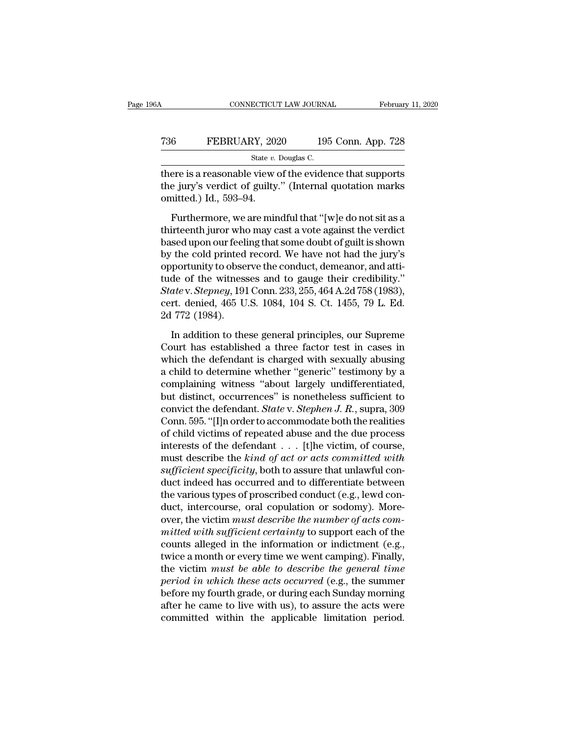| CONNECTICUT LAW JOURNAL<br>February 11, 2020             |
|----------------------------------------------------------|
|                                                          |
| 195 Conn. App. 728                                       |
| State v. Douglas C.                                      |
| there is a reasonable view of the evidence that supports |

CONNECTICUT LAW JOURNAL February 11, 2020<br>
T36 FEBRUARY, 2020 195 Conn. App. 728<br>
State v. Douglas C.<br>
There is a reasonable view of the evidence that supports<br>
the jury's verdict of guilty." (Internal quotation marks<br>
emi T36 FEBRUARY, 2020 195 Conn. App. 728<br>
State v. Douglas C.<br>
there is a reasonable view of the evidence that supports<br>
the jury's verdict of guilty.'' (Internal quotation marks<br>
omitted.) Id., 593–94.  $\begin{array}{cc}\n 736 & \text{FEBRUARY, } 202 \\
 \text{State } v.\n \end{array}$ <br>
there is a reasonable view of<br>
the jury's verdict of guilty<br>
omitted.) Id., 593–94.<br>
Furthermore, we are min FEBRUARY, 2020 195 Conn. App. 728<br>
State v. Douglas C.<br>
Free is a reasonable view of the evidence that supports<br>
e jury's verdict of guilty." (Internal quotation marks<br>
antited.) Id., 593–94.<br>
Furthermore, we are mindful

State v. Douglas C.<br>
State v. Douglas C.<br>
there is a reasonable view of the evidence that supports<br>
the jury's verdict of guilty." (Internal quotation marks<br>
omitted.) Id., 593–94.<br>
Furthermore, we are mindful that "[w]e there is a reasonable view of the evidence that supports<br>the jury's verdict of guilty." (Internal quotation marks<br>omitted.) Id., 593–94.<br>Furthermore, we are mindful that "[w]e do not sit as a<br>thirteenth juror who may cast the jury's verdict of guilty." (Internal quotation marks<br>omitted.) Id., 593–94.<br>Furthermore, we are mindful that "[w]e do not sit as a<br>thirteenth juror who may cast a vote against the verdict<br>based upon our feeling that so omitted.) Id., 593–94.<br>
Furthermore, we are mindful that "[w]e do not sit as a<br>
thirteenth juror who may cast a vote against the verdict<br>
based upon our feeling that some doubt of guilt is shown<br>
by the cold printed record Furthermore, we are mindful that "[w]e do not sit as a<br>thirteenth juror who may cast a vote against the verdict<br>based upon our feeling that some doubt of guilt is shown<br>by the cold printed record. We have not had the jury Furthermore, we are mindful that "[w]e do not sit as a<br>thirteenth juror who may cast a vote against the verdict<br>based upon our feeling that some doubt of guilt is shown<br>by the cold printed record. We have not had the jury' thirteenth juror who may cast a vote against the verdict<br>based upon our feeling that some doubt of guilt is shown<br>by the cold printed record. We have not had the jury's<br>opportunity to observe the conduct, demeanor, and att based upon our feeli<br>by the cold printed<br>opportunity to obse<br>tude of the witness<br>*State* v. *Stepney*, 191<br>cert. denied, 465 U<br>2d 772 (1984).<br>In addition to the portunity to observe the conduct, demeanor, and atti-<br>de of the witnesses and to gauge their credibility."<br>atev. Stepney, 191 Conn. 233, 255, 464 A.2d 758 (1983),<br>rt. denied, 465 U.S. 1084, 104 S. Ct. 1455, 79 L. Ed.<br>772 ( Ferrically contracts and to gauge their credibility."<br>
State v. Stepney, 191 Conn. 233, 255, 464 A.2d 758 (1983),<br>
cert. denied, 465 U.S. 1084, 104 S. Ct. 1455, 79 L. Ed.<br>
2d 772 (1984).<br>
In addition to these general prin

State v. Stepney, 191 Conn. 233, 255, 464 A.2d 758 (1983),<br>cert. denied, 465 U.S. 1084, 104 S. Ct. 1455, 79 L. Ed.<br>2d 772 (1984).<br>In addition to these general principles, our Supreme<br>Court has established a three factor t cert. denied, 465 U.S. 1084, 104 S. Ct. 1455, 79 L. Ed.<br>2d 772 (1984).<br>In addition to these general principles, our Supreme<br>Court has established a three factor test in cases in<br>which the defendant is charged with sexually 2d 772 (1984).<br>
In addition to these general principles, our Supreme<br>
Court has established a three factor test in cases in<br>
which the defendant is charged with sexually abusing<br>
a child to determine whether "generic" tes In addition to these general principles, our Supreme<br>Court has established a three factor test in cases in<br>which the defendant is charged with sexually abusing<br>a child to determine whether "generic" testimony by a<br>complai In addition to these general principles, our Supreme<br>Court has established a three factor test in cases in<br>which the defendant is charged with sexually abusing<br>a child to determine whether "generic" testimony by a<br>complain Court has established a three factor test in cases in<br>which the defendant is charged with sexually abusing<br>a child to determine whether "generic" testimony by a<br>complaining witness "about largely undifferentiated,<br>but dist which the defendant is charged with sexually abusing<br>a child to determine whether "generic" testimony by a<br>complaining witness "about largely undifferentiated,<br>but distinct, occurrences" is nonetheless sufficient to<br>convi a child to determine whether "generic" testimony by a<br>complaining witness "about largely undifferentiated,<br>but distinct, occurrences" is nonetheless sufficient to<br>convict the defendant. *State* v. *Stephen J. R.*, supra, complaining witness "about largely undifferentiated,<br>but distinct, occurrences" is nonetheless sufficient to<br>convict the defendant. *State* v. *Stephen J. R.*, supra, 309<br>Conn. 595. "[I]n order to accommodate both the real but distinct, occurrences" is nonetheless sufficient to convict the defendant. *State* v. *Stephen J. R.*, supra, 309 Conn. 595. "[I]n order to accommodate both the realities of child victims of repeated abuse and the due convict the defendant. *State* v. *Stephen J. R.*, supra, 309<br>Conn. 595. "[I]n order to accommodate both the realities<br>of child victims of repeated abuse and the due process<br>interests of the defendant . . . [t]he victim, Conn. 595. "[I]n order to accommodate both the realities<br>of child victims of repeated abuse and the due process<br>interests of the defendant  $\dots$  [t]he victim, of course,<br>must describe the *kind of act or acts committed wit* of child victims of repeated abuse and the due process<br>interests of the defendant  $\dots$  [t]he victim, of course,<br>must describe the *kind of act or acts committed with*<br>sufficient specificity, both to assure that unlawful c interests of the defendant . . . [t]he victim, of course,<br>must describe the *kind of act or acts committed with*<br>sufficient specificity, both to assure that unlawful con-<br>duct indeed has occurred and to differentiate betwe must describe the *kind of act or acts committed with*<br>*sufficient specificity*, both to assure that unlawful con-<br>duct indeed has occurred and to differentiate between<br>the various types of proscribed conduct (e.g., lewd c sufficient specificity, both to assure that unlawful conduct indeed has occurred and to differentiate between<br>the various types of proscribed conduct (e.g., lewd con-<br>duct, intercourse, oral copulation or sodomy). More-<br>ov duct indeed has occurred and to differentiate between<br>the various types of proscribed conduct (e.g., lewd con-<br>duct, intercourse, oral copulation or sodomy). More-<br>over, the victim *must describe the number of acts com-*<br>m the various types of proscribed conduct (e.g., lewd con-<br>duct, intercourse, oral copulation or sodomy). More-<br>over, the victim *must describe the number of acts com-*<br>mitted with sufficient certainty to support each of the duct, intercourse, oral copulation or sodomy). More-<br>over, the victim *must describe the number of acts com-*<br>*mitted with sufficient certainty* to support each of the<br>counts alleged in the information or indictment (e.g., over, the victim *must describe the number of acts committed with sufficient certainty* to support each of the counts alleged in the information or indictment (e.g., twice a month or every time we went camping). Finally, t mitted with sufficient certainty to support each of the counts alleged in the information or indictment (e.g., twice a month or every time we went camping). Finally, the victim *must be able to describe the general time* p counts alleged in the information or indictment (e.g., twice a month or every time we went camping). Finally, the victim *must be able to describe the general time period in which these acts occurred* (e.g., the summer be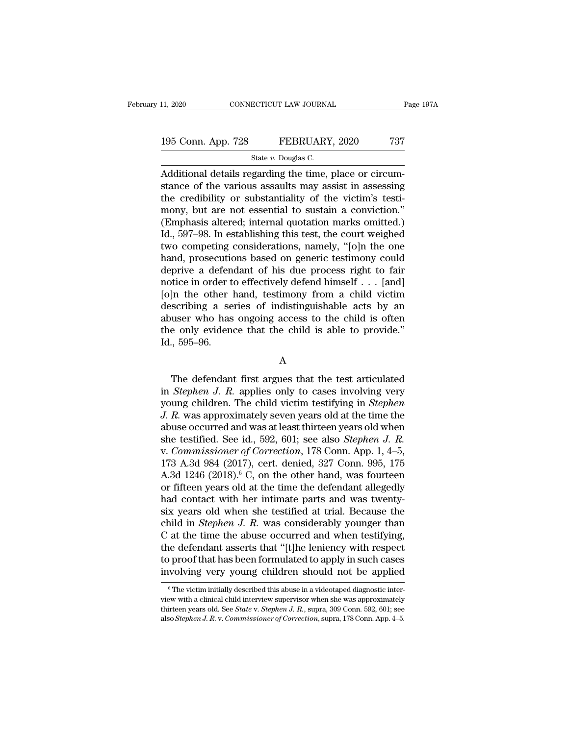### 11, 2020 CONNECTICUT LAW JOURNAL Page 197A<br>195 Conn. App. 728 FEBRUARY, 2020 737<br>State v. Douglas C. ECTICUT LAW JOURNA<br>FEBRUARY<br>State *v.* Douglas C.<br>garding the time

CONNECTICUT LAW JOURNAL<br>
195 Conn. App. 728 FEBRUARY, 2020 737<br>
State v. Douglas C.<br>
Additional details regarding the time, place or circum-<br>
stance of the various assaults may assist in assessing<br>
the credibility or subst 195 Conn. App. 728 FEBRUARY, 2020 737<br>State v. Douglas C.<br>Additional details regarding the time, place or circumstance of the various assaults may assist in assessing<br>the credibility or substantiality of the victim's testi 195 Conn. App. 728 FEBRUARY, 2020 737<br>
State v. Douglas C.<br>
Additional details regarding the time, place or circumstance of the various assaults may assist in assessing<br>
the credibility or substantiality of the victim's t 195 Conn. App. 728 FEBRUARY, 2020 737<br>
State v. Douglas C.<br>
Additional details regarding the time, place or circumstance of the various assaults may assist in assessing<br>
the credibility or substantiality of the victim's t State v. Douglas C.<br>
Additional details regarding the time, place or circumstance of the various assaults may assist in assessing<br>
the credibility or substantiality of the victim's testi-<br>
mony, but are not essential to s State v. Douglas C.<br>
Additional details regarding the time, place or circumstance of the various assaults may assist in assessing<br>
the credibility or substantiality of the victim's testi-<br>
mony, but are not essential to s Additional details regarding the time, place or circum-<br>stance of the various assaults may assist in assessing<br>the credibility or substantiality of the victim's testi-<br>mony, but are not essential to sustain a conviction."<br> stance of the various assaults may assist in assessing<br>the credibility or substantiality of the victim's testi-<br>mony, but are not essential to sustain a conviction."<br>(Emphasis altered; internal quotation marks omitted.)<br>Id the credibility or substantiality of the victim's testi-<br>mony, but are not essential to sustain a conviction."<br>(Emphasis altered; internal quotation marks omitted.)<br>Id., 597–98. In establishing this test, the court weighed mony, but are not essential to sustain a conviction."<br>(Emphasis altered; internal quotation marks omitted.)<br>Id., 597–98. In establishing this test, the court weighed<br>two competing considerations, namely, "[o]n the one<br>han (Emphasis altered; internal quotation marks omitted.)<br>Id., 597–98. In establishing this test, the court weighed<br>two competing considerations, namely, "[o]n the one<br>hand, prosecutions based on generic testimony could<br>depri Id., 597–98. In establishing this test, the court weighed<br>two competing considerations, namely, "[0]n the one<br>hand, prosecutions based on generic testimony could<br>deprive a defendant of his due process right to fair<br>notice two competing considerations, namely, "[o]n the one<br>hand, prosecutions based on generic testimony could<br>deprive a defendant of his due process right to fair<br>notice in order to effectively defend himself  $\ldots$  [and]<br>[o]n t hand, prosecutions based on generic testimony could<br>deprive a defendant of his due process right to fair<br>notice in order to effectively defend himself  $\ldots$  [and]<br>[0]n the other hand, testimony from a child victim<br>describ deprive a defen<br>notice in order t<br>[0]n the other ]<br>describing a se<br>abuser who has<br>the only eviden<br>Id., 595–96. scribing a series of indistinguishable acts by an<br>user who has ongoing access to the child is often<br>e only evidence that the child is able to provide."<br> $\frac{595-96}{\text{A}}$ .<br> $\frac{\text{A}}{\text{A}}$ <br>The defendant first argues that the

### A

in abuser who has ongoing access to the child is often<br>
the only evidence that the child is able to provide."<br>
Id., 595–96.<br>
A<br>
The defendant first argues that the test articulated<br>
in *Stephen J. R.* applies only to cases the only evidence that the child is able to provide."<br>Id., 595–96.<br>A<br>The defendant first argues that the test articulated<br>in *Stephen J. R.* applies only to cases involving very<br>young children. The child victim testifying *J. R.* applies only to cases involving very<br>*J. R.* applies only to cases involving very<br>young children. The child victim testifying in *Stephen*<br>*J. R.* was approximately seven years old at the time the<br>abuse occurred an A<br>
The defendant first argues that the test articulated<br>
in *Stephen J. R.* applies only to cases involving very<br>
young children. The child victim testifying in *Stephen*<br>
J. R. was approximately seven years old at the tim The defendant first argues that the test articulated<br>in *Stephen J. R.* applies only to cases involving very<br>young children. The child victim testifying in *Stephen*<br>J. R. was approximately seven years old at the time the<br> The defendant first argues that the test articulated<br>in *Stephen J. R.* applies only to cases involving very<br>young children. The child victim testifying in *Stephen*<br>J. R. was approximately seven years old at the time the<br> in *Stephen J. R.* applies only to cases involving very<br>young children. The child victim testifying in *Stephen*<br>J. R. was approximately seven years old at the time the<br>abuse occurred and was at least thirteen years old w young children. The child victim testifying in *Stephen*<br>J. R. was approximately seven years old at the time the<br>abuse occurred and was at least thirteen years old when<br>she testified. See id., 592, 601; see also *Stephen J J. R.* was approximately seven years old at the time the abuse occurred and was at least thirteen years old when she testified. See id., 592, 601; see also *Stephen J. R.* v. *Commissioner of Correction*, 178 Conn. App. abuse occurred and was at least thirteen years old when<br>she testified. See id., 592, 601; see also *Stephen J. R.*<br>v. *Commissioner of Correction*, 178 Conn. App. 1, 4–5,<br>173 A.3d 984 (2017), cert. denied, 327 Conn. 995, she testified. See id., 592, 601; see also *Stephen J. R.*<br>v. *Commissioner of Correction*, 178 Conn. App. 1, 4–5,<br>173 A.3d 984 (2017), cert. denied, 327 Conn. 995, 175<br>A.3d 1246 (2018).<sup>6</sup> C, on the other hand, was fourt v. Commissioner of Correction, 178 Conn. App. 1, 4–5, 173 A.3d 984 (2017), cert. denied, 327 Conn. 995, 175 A.3d 1246 (2018).<sup>6</sup> C, on the other hand, was fourteen or fifteen years old at the time the defendant allegedly h 173 A.3d 984 (2017), cert. denied, 327 Conn. 995, 175<br>A.3d 1246 (2018).<sup>6</sup> C, on the other hand, was fourteen<br>or fifteen years old at the time the defendant allegedly<br>had contact with her intimate parts and was twenty-<br>si A.3d 1246 (2018).<sup>6</sup> C, on the other hand, was fourteen<br>or fifteen years old at the time the defendant allegedly<br>had contact with her intimate parts and was twenty-<br>six years old when she testified at trial. Because the<br>c or fifteen years old at the time the defendant allegedly<br>had contact with her intimate parts and was twenty-<br>six years old when she testified at trial. Because the<br>child in *Stephen J. R.* was considerably younger than<br>C a had contact with her intimate parts and was twenty-<br>six years old when she testified at trial. Because the<br>child in *Stephen J. R.* was considerably younger than<br>C at the time the abuse occurred and when testifying,<br>the d C at the time the abuse occurred and when testifying, the defendant asserts that "[t]he leniency with respect to proof that has been formulated to apply in such cases involving very young children should not be applied  $\$ the defendant asserts that "[t]he leniency with respect<br>to proof that has been formulated to apply in such cases<br>involving very young children should not be applied<br> $\frac{1}{\pi}$ <br> $\frac{1}{\pi}$  The victim initially described thi

to proof that has been formulated to apply in such cases<br>involving very young children should not be applied<br><sup>©</sup>The victim initially described this abuse in a videotaped diagnostic inter-<br>view with a clinical child intervi also *Stephen J. R. v. Commissioner of Correction*, supra, 178 Conn. App. 4–5.<br>also *Stephen J. R. v. Commissioner of Correction*, supra, 178 Conn. App. 4–5.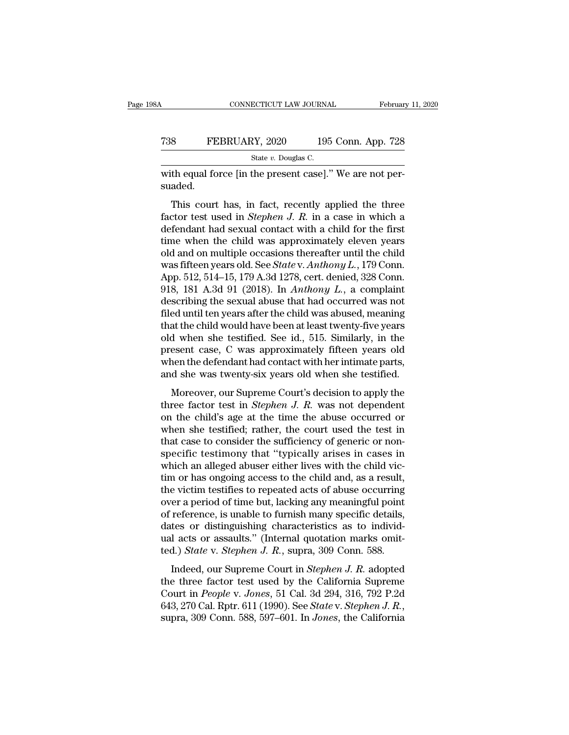### CONNECTICUT LAW JOURNAL February 11, 2020<br>
T38 FEBRUARY, 2020 195 Conn. App. 728<br>
State v. Douglas C. ECTICUT LAW JOURNA<br>2Y, 2020 195<br>State *v.* Douglas C.<br>the present case] '

CONNECTICUT LAW JOURNAL Februar<br>
T38 FEBRUARY, 2020 195 Conn. App. 728<br>
State v. Douglas C.<br>
With equal force [in the present case].'' We are not per-<br>
suaded. suaded.

FEBRUARY, 2020 195 Conn. App. 728<br>
State v. Douglas C.<br>
th equal force [in the present case]." We are not per-<br>
aded.<br>
This court has, in fact, recently applied the three<br>
ctor test used in *Stephen J. R.* in a case in whi FEBRUARY, 2020 195 Conn. App. 728<br>
State v. Douglas C.<br>
with equal force [in the present case]." We are not per-<br>
suaded.<br>
This court has, in fact, recently applied the three<br>
factor test used in *Stephen J. R*. in a case State v. Douglas C.<br>
with equal force [in the present case]." We are not per-<br>
suaded.<br>
This court has, in fact, recently applied the three<br>
factor test used in *Stephen J. R.* in a case in which a<br>
defendant had sexual c with equal force [in the present case]." We are not per-<br>suaded.<br>This court has, in fact, recently applied the three<br>factor test used in *Stephen J. R*. in a case in which a<br>defendant had sexual contact with a child for t This court has, in fact, recently applied the three<br>factor test used in *Stephen J. R.* in a case in which a<br>defendant had sexual contact with a child for the first<br>time when the child was approximately eleven years<br>old a This court has, in fact, recently applied the three<br>factor test used in *Stephen J. R.* in a case in which a<br>defendant had sexual contact with a child for the first<br>time when the child was approximately eleven years<br>old an This court has, in fact, recently applied the three factor test used in *Stephen J. R.* in a case in which a defendant had sexual contact with a child for the first time when the child was approximately eleven years old a factor test used in *Stephen J. R.* in a case in which a defendant had sexual contact with a child for the first time when the child was approximately eleven years old and on multiple occasions thereafter until the child w defendant had sexual contact with a child for the first<br>time when the child was approximately eleven years<br>old and on multiple occasions thereafter until the child<br>was fifteen years old. See *State* v. Anthony L., 179 Conn time when the child was approximately eleven years<br>old and on multiple occasions thereafter until the child<br>was fifteen years old. See *State* v. Anthony L., 179 Conn.<br>App. 512, 514–15, 179 A.3d 1278, cert. denied, 328 Co old and on multiple occasions thereafter until the child<br>was fifteen years old. See *State* v. Anthony L., 179 Conn.<br>App. 512, 514–15, 179 A.3d 1278, cert. denied, 328 Conn.<br>918, 181 A.3d 91 (2018). In Anthony L., a compl was fifteen years old. See *State* v. Anthony L., 179 Conn.<br>App. 512, 514–15, 179 A.3d 1278, cert. denied, 328 Conn.<br>918, 181 A.3d 91 (2018). In *Anthony L.*, a complaint<br>describing the sexual abuse that had occurred was App. 512, 514–15, 179 A.3d 1278, cert. denied, 328 Conn.<br>918, 181 A.3d 91 (2018). In *Anthony L*., a complaint<br>describing the sexual abuse that had occurred was not<br>filed until ten years after the child was abused, meanin 918, 181 A.3d 91 (2018). In *Anthony L.*, a complaint describing the sexual abuse that had occurred was not filed until ten years after the child was abused, meaning that the child would have been at least twenty-five yea describing the sexual abuse that had occurred was not<br>filed until ten years after the child was abused, meaning<br>that the child would have been at least twenty-five years<br>old when she testified. See id., 515. Similarly, in at the child would have been at least twenty-five years<br>at the child would have been at least twenty-five years<br>d when she testified. See id., 515. Similarly, in the<br>esent case, C was approximately fifteen years old<br>and th old when she testified. See id., 515. Similarly, in the present case, C was approximately fifteen years old when the defendant had contact with her intimate parts, and she was twenty-six years old when she testified.<br>Moreo

present case, C was approximately fifteen years old<br>when the defendant had contact with her intimate parts,<br>and she was twenty-six years old when she testified.<br>Moreover, our Supreme Court's decision to apply the<br>three fa when the defendant had contact with her intimate parts,<br>and she was twenty-six years old when she testified.<br>Moreover, our Supreme Court's decision to apply the<br>three factor test in *Stephen J. R.* was not dependent<br>on th Moreover, our Supreme Court's decision to apply the<br>three factor test in *Stephen J. R.* was not dependent<br>on the child's age at the time the abuse occurred or<br>when she testified; rather, the court used the test in<br>that c Moreover, our Supreme Court's decision to apply the<br>three factor test in *Stephen J. R.* was not dependent<br>on the child's age at the time the abuse occurred or<br>when she testified; rather, the court used the test in<br>that c Moreover, our Supreme Court's decision to apply the<br>three factor test in *Stephen J. R.* was not dependent<br>on the child's age at the time the abuse occurred or<br>when she testified; rather, the court used the test in<br>that c three factor test in *Stephen J. R.* was not dependent<br>on the child's age at the time the abuse occurred or<br>when she testified; rather, the court used the test in<br>that case to consider the sufficiency of generic or non-<br>s on the child's age at the time the abuse occurred or<br>when she testified; rather, the court used the test in<br>that case to consider the sufficiency of generic or non-<br>specific testimony that "typically arises in cases in<br>whi when she testified; rather, the court used the test in that case to consider the sufficiency of generic or non-<br>specific testimony that "typically arises in cases in which an alleged abuser either lives with the child victhat case to consider the sufficiency of generic or non-<br>specific testimony that "typically arises in cases in<br>which an alleged abuser either lives with the child vic-<br>tim or has ongoing access to the child and, as a resul specific testimony that "typically arises in cases in<br>which an alleged abuser either lives with the child vic-<br>tim or has ongoing access to the child and, as a result,<br>the victim testifies to repeated acts of abuse occurr which an alleged abuser either lives with the child victim or has ongoing access to the child and, as a result, the victim testifies to repeated acts of abuse occurring over a period of time but, lacking any meaningful poi tim or has ongoing access to the child and, as a result,<br>the victim testifies to repeated acts of abuse occurring<br>over a period of time but, lacking any meaningful point<br>of reference, is unable to furnish many specific det For a period of time but, lacking any meaningful point<br>reference, is unable to furnish many specific details,<br>tes or distinguishing characteristics as to individ-<br>l acts or assaults." (Internal quotation marks omit-<br>d.) *S* over a period of ante bat, actung any including three forms of reference, is unable to furnish many specific details, dates or distinguishing characteristics as to individual acts or assaults." (Internal quotation marks o

of reference, is unaste to runnish mary specific decains,<br>dates or distinguishing characteristics as to individ-<br>ual acts or assaults." (Internal quotation marks omit-<br>ted.) *State* v. *Stephen J. R.*, supra, 309 Conn. 588 dates of distriguishing enaracteristics as to marve<br>ual acts or assaults." (Internal quotation marks omit-<br>ted.) *State* v. *Stephen J. R.*, supra, 309 Conn. 588.<br>Indeed, our Supreme Court in *Stephen J. R.* adopted<br>the th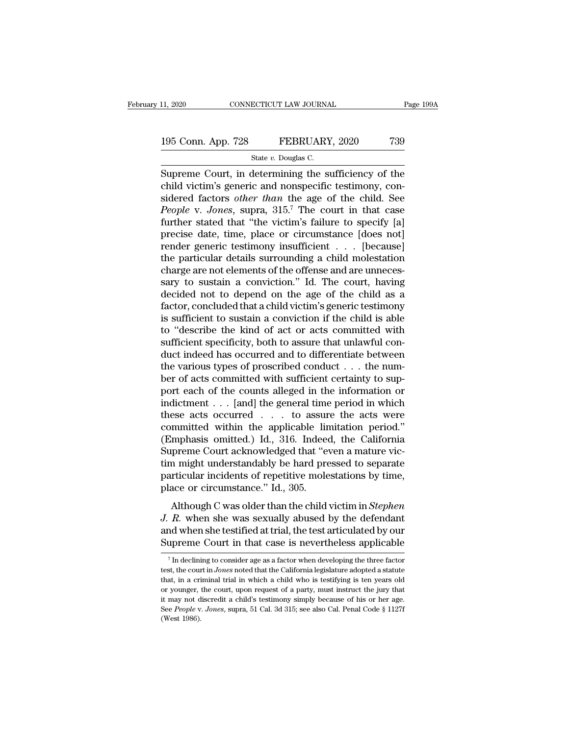### 11, 2020 CONNECTICUT LAW JOURNAL Page 199A<br>195 Conn. App. 728 FEBRUARY, 2020 739<br>State v. Douglas C. ECTICUT LAW JOURNA<br>FEBRUARY<br>State *v.* Douglas C.<br>Jetermining the si

 $\begin{array}{r|l} \text{11, 2020} & \text{CONPECTICUT LAW JOURNAL} & \text{Page 199A} \ \hline \text{5:13:} & \text{SEBRUARY, 2020} & \text{739} \ \hline \text{State } v. \text{ Douglas C.} \ \hline \text{Supreme Court, in determining the sufficiency of the child victim's generic and nonspecific testimony, considered factors, other than the age of the child. So, the effect of the cells are the same.} \end{array}$ 195 Conn. App. 728 FEBRUARY, 2020 739<br>
State v. Douglas C.<br>
Supreme Court, in determining the sufficiency of the<br>
child victim's generic and nonspecific testimony, con-<br>
sidered factors *other than* the age of the child. 195 Conn. App. 728 FEBRUARY, 2020 739<br>
State *v*. Douglas C.<br>
Supreme Court, in determining the sufficiency of the child victim's generic and nonspecific testimony, considered factors *other than* the age of the child. Se *People v. Jones and the v. Douglas C.*<br> *People v. Douglas C.*<br> *People Court, in determining the sufficiency of the child victim's generic and nonspecific testimony, considered factors other than the age of the child. Se* State v. Douglas C.<br>
Supreme Court, in determining the sufficiency of the<br>
child victim's generic and nonspecific testimony, con-<br>
sidered factors *other than* the age of the child. See<br> *People v. Jones*, supra, 315.<sup>7</sup> state v. Douglas C.<br>
Supreme Court, in determining the sufficiency of the<br>
child victim's generic and nonspecific testimony, con-<br>
sidered factors *other than* the age of the child. See<br> *People* v. *Jones*, supra, 315.<sup>7</sup> Supreme Court, in determining the sufficiency of the child victim's generic and nonspecific testimony, considered factors *other than* the age of the child. See *People v. Jones*, supra, 315.<sup>7</sup> The court in that case fur child victim's generic and nonspecific testimony, considered factors *other than* the age of the child. See *People v. Jones*, supra, 315.<sup>7</sup> The court in that case further stated that "the victim's failure to specify [a] sidered factors *other than* the age of the child. See *People* v. *Jones*, supra, 315.<sup>7</sup> The court in that case further stated that "the victim's failure to specify [a] precise date, time, place or circumstance [does no People v. Jones, supra, 315.<sup>7</sup> The court in that case<br>further stated that "the victim's failure to specify [a]<br>precise date, time, place or circumstance [does not]<br>render generic testimony insufficient  $\dots$  [because]<br>the further stated that "the victim's failure to specify [a]<br>precise date, time, place or circumstance [does not]<br>render generic testimony insufficient . . . [because]<br>the particular details surrounding a child molestation<br>cha precise date, time, place or circumstance [does not]<br>render generic testimony insufficient  $\ldots$  [because]<br>the particular details surrounding a child molestation<br>charge are not elements of the offense and are unneces-<br>sar render generic testimony insufficient  $\ldots$  [because]<br>the particular details surrounding a child molestation<br>charge are not elements of the offense and are unneces-<br>sary to sustain a conviction." Id. The court, having<br>dec the particular details surrounding a child molestation<br>charge are not elements of the offense and are unneces-<br>sary to sustain a conviction." Id. The court, having<br>decided not to depend on the age of the child as a<br>factor, charge are not elements of the offense and are unnecessary to sustain a conviction." Id. The court, having decided not to depend on the age of the child as a factor, concluded that a child victim's generic testimony is suf sary to sustain a conviction." Id. The court, having<br>decided not to depend on the age of the child as a<br>factor, concluded that a child victim's generic testimony<br>is sufficient to sustain a conviction if the child is able<br> decided not to depend on the age of the child as a factor, concluded that a child victim's generic testimony is sufficient to sustain a conviction if the child is able to "describe the kind of act or acts committed with su factor, concluded that a child victim's generic testimony<br>is sufficient to sustain a conviction if the child is able<br>to "describe the kind of act or acts committed with<br>sufficient specificity, both to assure that unlawful is sufficient to sustain a conviction if the child is able<br>to "describe the kind of act or acts committed with<br>sufficient specificity, both to assure that unlawful con-<br>duct indeed has occurred and to differentiate betwee to "describe the kind of act or acts committed with<br>sufficient specificity, both to assure that unlawful con-<br>duct indeed has occurred and to differentiate between<br>the various types of proscribed conduct . . . the num-<br>be sufficient specificity, both to assure that unlawful conduct indeed has occurred and to differentiate between<br>the various types of proscribed conduct . . . the num-<br>ber of acts committed with sufficient certainty to sup-<br> duct indeed has occurred and to differentiate between<br>the various types of proscribed conduct . . . the num-<br>ber of acts committed with sufficient certainty to sup-<br>port each of the counts alleged in the information or<br>ind the various types of proscribed conduct . . . the num-<br>ber of acts committed with sufficient certainty to sup-<br>port each of the counts alleged in the information or<br>indictment . . . [and] the general time period in which<br> ber of acts committed with sufficient certainty to support each of the counts alleged in the information or indictment  $\ldots$  [and] the general time period in which these acts occurred  $\ldots$  to assure the acts were committ port each of the counts alleged in the information or<br>indictment . . . [and] the general time period in which<br>these acts occurred  $\ldots$  to assure the acts were<br>committed within the applicable limitation period."<br>(Emphasis indictment . . . [and] the general time period in which<br>these acts occurred . . . to assure the acts were<br>committed within the applicable limitation period."<br>(Emphasis omitted.) Id., 316. Indeed, the California<br>Supreme Co these acts occurred . . . to assure<br>committed within the applicable lin<br>(Emphasis omitted.) Id., 316. Indeed<br>Supreme Court acknowledged that "evertim might understandably be hard pre<br>particular incidents of repetitive mole ministed withit the apprease initiation period.<br>
mphasis omitted.) Id., 316. Indeed, the California<br>
preme Court acknowledged that "even a mature vic-<br>
might understandably be hard pressed to separate<br>
rticular incidents o Emphasis officed.) Td., 910. Indeed, the Cambrida<br> *Supreme Court acknowledged that* "even a mature vic-<br> *tim might understandably be hard pressed to separate*<br> *particular incidents of repetitive molestations by time,*<br>

Bufferine Court acknowledged that "even a mattace vie-<br>tim might understandably be hard pressed to separate<br>particular incidents of repetitive molestations by time,<br>place or circumstance." Id., 305.<br>Although C was older th particular incidents of repetitive molestations by time,<br>place or circumstance." Id., 305.<br>Although C was older than the child victim in *Stephen*<br>J. R. when she was sexually abused by the defendant<br>and when she testified Although C was older than the child victim in *Stephen*  $R$ . when she was sexually abused by the defendant<br>nd when she testified at trial, the test articulated by our<br>upreme Court in that case is nevertheless applicable<br>*J. R.* when she was sexually abused by the defendant and when she testified at trial, the test articulated by our Supreme Court in that case is nevertheless applicable  $\frac{7}{1}$  In declining to consider age as a factor w

and when she testified at trial, the test articulated by our Supreme Court in that case is nevertheless applicable<br> $\frac{7}{10}$  in declining to consider age as a factor when developing the three factor test, the court in *J* Supreme Court in that case is nevertheless applicable<br>
<sup>7</sup> In declining to consider age as a factor when developing the three factor<br>
test, the court in *Jones* noted that the California legislature adopted a statute<br>
tha <sup>7</sup> In declining to consider age as a factor when developing the three factor test, the court in *Jones* noted that the California legislature adopted a statute that, in a criminal trial in which a child who is testifying <sup>7</sup> In declining to consider age as a factor when developing the three factor test, the court in *Jones* noted that the California legislature adopted a statute that, in a criminal trial in which a child who is testifying test, the court in *Jones* noted that the California legislature adopted a statute that, in a criminal trial in which a child who is testifying is ten years old or younger, the court, upon request of a party, must instruc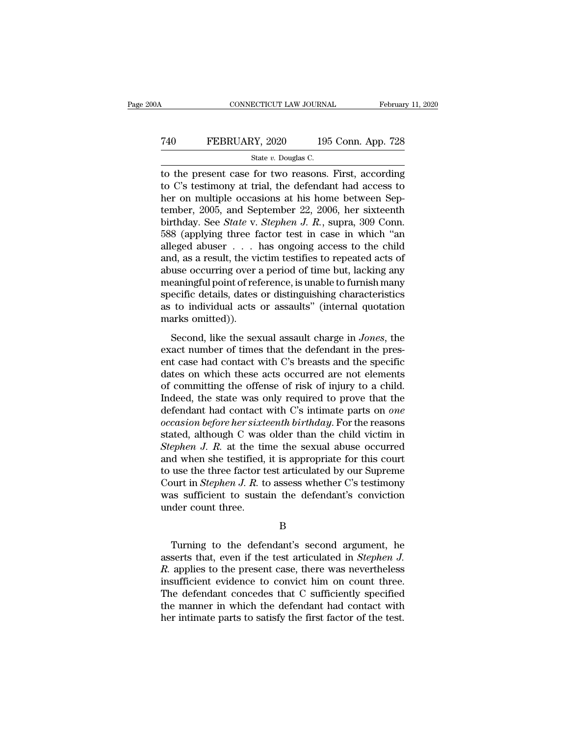### CONNECTICUT LAW JOURNAL February 11, 2020<br>
740 FEBRUARY, 2020 195 Conn. App. 728<br>
5tate v. Douglas C. ECTICUT LAW JOURNA<br>2Y, 2020 195<br>State *v.* Douglas C.<br>for two reasons

TREET CONNECTICUT LAW JOURNAL February 11, 2020<br>
TREET CONNECTICUT LAW JOURNAL February 11, 2020<br>
State v. Douglas C.<br>
The present case for two reasons. First, according<br>
to C's testimony at trial, the defendant had acces The Termin State v. 2020 and Sconn. App. 728<br>State v. Douglas C.<br>The present case for two reasons. First, according<br>to C's testimony at trial, the defendant had access to<br>ther on multiple occasions at his home between Sep FEBRUARY, 2020 195 Conn. App. 728<br>
State v. Douglas C.<br>
to the present case for two reasons. First, according<br>
to C's testimony at trial, the defendant had access to<br>
her on multiple occasions at his home between Sep-<br>
te T40 FEBRUARY, 2020 195 Conn. App. 728<br>
State v. Douglas C.<br>
to the present case for two reasons. First, according<br>
to C's testimony at trial, the defendant had access to<br>
her on multiple occasions at his home between Sep-State *v.* Douglas C.<br>
to the present case for two reasons. First, according<br>
to C's testimony at trial, the defendant had access to<br>
her on multiple occasions at his home between Sep-<br>
tember, 2005, and September 22, 2006 State v. Douglas C.<br>
to the present case for two reasons. First, according<br>
to C's testimony at trial, the defendant had access to<br>
her on multiple occasions at his home between Sep-<br>
tember, 2005, and September 22, 2006, to the present case for two reasons. First, according<br>to C's testimony at trial, the defendant had access to<br>her on multiple occasions at his home between Sep-<br>tember, 2005, and September 22, 2006, her sixteenth<br>birthday. to C's testimony at trial, the defendant had access to<br>her on multiple occasions at his home between Sep-<br>tember, 2005, and September 22, 2006, her sixteenth<br>birthday. See *State* v. *Stephen J. R.*, supra, 309 Conn.<br>588 her on multiple occasions at his home between September, 2005, and September 22, 2006, her sixteenth<br>birthday. See *State* v. *Stephen J. R.*, supra, 309 Conn.<br>588 (applying three factor test in case in which "an<br>alleged a tember, 2005, and September 22, 2006, her sixteenth<br>birthday. See *State* v. *Stephen J. R.*, supra, 309 Conn.<br>588 (applying three factor test in case in which "an<br>alleged abuser  $\ldots$  has ongoing access to the child<br>and, birthday. See *State* v. *Stephen J. R.*, supra, 309 Conn.<br>588 (applying three factor test in case in which "an<br>alleged abuser  $\ldots$  has ongoing access to the child<br>and, as a result, the victim testifies to repeated acts 588 (applying three factor test in case in which "an alleged abuser  $\ldots$  has ongoing access to the child and, as a result, the victim testifies to repeated acts of abuse occurring over a period of time but, lacking any m alleged abuser . . . . l<br>and, as a result, the vi<br>abuse occurring over :<br>meaningful point of ref<br>specific details, dates<br>as to individual acts<br>marks omitted)).<br>Second, like the sex Second, like the sexual assault charge in *Jones*, the sexual assaults of time but, lacking any earningful point of reference, is unable to furnish many ecific details, dates or distinguishing characteristics to individual as as determing over a period of time stay, meaning any<br>meaningful point of reference, is unable to furnish many<br>specific details, dates or distinguishing characteristics<br>as to individual acts or assaults" (internal quotat

entratingulary point of reference, is unable to rainformally<br>specific details, dates or distinguishing characteristics<br>as to individual acts or assaults" (internal quotation<br>marks omitted)).<br>Second, like the sexual assault as to individual acts or assaults" (internal quotation<br>marks omitted)).<br>Second, like the sexual assault charge in *Jones*, the<br>exact number of times that the defendant in the pres-<br>ent case had contact with C's breasts and marks omitted)).<br>
Second, like the sexual assault charge in *Jones*, the<br>
exact number of times that the defendant in the pres-<br>
ent case had contact with C's breasts and the specific<br>
dates on which these acts occurred ar Second, like the sexual assault charge in *Jones*, the exact number of times that the defendant in the present case had contact with C's breasts and the specific dates on which these acts occurred are not elements of comm Second, like the sexual assault charge in *Jones*, the exact number of times that the defendant in the present case had contact with C's breasts and the specific dates on which these acts occurred are not elements of commi exact number of times that the defendant in the present case had contact with C's breasts and the specific<br>dates on which these acts occurred are not elements<br>of committing the offense of risk of injury to a child.<br>Indeed, ent case had contact with C's breasts and the specific<br>dates on which these acts occurred are not elements<br>of committing the offense of risk of injury to a child.<br>Indeed, the state was only required to prove that the<br>defen dates on which these acts occurred are not elements<br>of committing the offense of risk of injury to a child.<br>Indeed, the state was only required to prove that the<br>defendant had contact with C's intimate parts on *one*<br>*occa* of committing the offense of risk of injury to a child.<br>Indeed, the state was only required to prove that the<br>defendant had contact with C's intimate parts on *one*<br>occasion before her sixteenth birthday. For the reasons<br> Indeed, the state was only required to prove that the<br>defendant had contact with C's intimate parts on *one*<br>occasion before her sixteenth birthday. For the reasons<br>stated, although C was older than the child victim in<br>Ste defendant had contact with C's intimate parts on *one*<br>occasion before her sixteenth birthday. For the reasons<br>stated, although C was older than the child victim in<br>Stephen J. R. at the time the sexual abuse occurred<br>and w occasion before her sixteenth birthday. For the reasons<br>stated, although C was older than the child victim in<br>Stephen J. R. at the time the sexual abuse occurred<br>and when she testified, it is appropriate for this court<br>to stated, although C was<br>Stephen J. R. at the tir<br>and when she testified,<br>to use the three factor t<br>Court in Stephen J. R. to<br>was sufficient to susta<br>under count three. use the three factor test articulated by our Supreme<br>
ourt in *Stephen J. R.* to assess whether C's testimony<br>
as sufficient to sustain the defendant's conviction<br>
der count three.<br>
B<br>
Turning to the defendant's second ar

### B

Court in *Stephen J. R.* to assess whether C's testimony<br>was sufficient to sustain the defendant's conviction<br>under count three.<br>B<br>Turning to the defendant's second argument, he<br>asserts that, even if the test articulated i was sufficient to sustain the defendant's conviction<br>
ander count three.<br> *R.* Turning to the defendant's second argument, he<br>
asserts that, even if the test articulated in *Stephen J.*<br> *R.* applies to the present case, t B<br>
B<br>
Turning to the defendant's second argument, he<br>
asserts that, even if the test articulated in *Stephen J.*<br>
R. applies to the present case, there was nevertheless<br>
insufficient evidence to convict him on count three. B<br>
Turning to the defendant's second argument, he<br>
asserts that, even if the test articulated in *Stephen J.*<br>
R. applies to the present case, there was nevertheless<br>
insufficient evidence to convict him on count three.<br>
T Turning to the defendant's second argument, he asserts that, even if the test articulated in *Stephen J.*<br> $R$ . applies to the present case, there was nevertheless insufficient evidence to convict him on count three.<br>The d Turning to the defendant's second argument, he<br>asserts that, even if the test articulated in *Stephen J.*<br>R. applies to the present case, there was nevertheless<br>insufficient evidence to convict him on count three.<br>The defe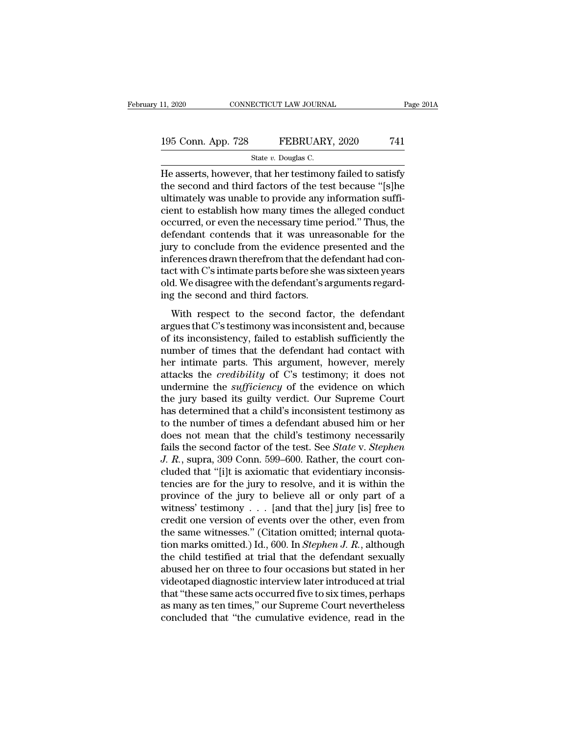### 11, 2020 CONNECTICUT LAW JOURNAL Page 201A<br>195 Conn. App. 728 FEBRUARY, 2020 741<br>State v. Douglas C. ECTICUT LAW JOURNA<br>FEBRUARY<br>State *v*. Douglas C.<br>That her testimon

11, 2020 CONNECTICUT LAW JOURNAL Page 201A<br>
195 Conn. App. 728 FEBRUARY, 2020 741<br>
State v. Douglas C.<br>
He asserts, however, that her testimony failed to satisfy<br>
the second and third factors of the test because "[s]he<br>
u 195 Conn. App. 728 FEBRUARY, 2020 741<br>State v. Douglas C.<br>He asserts, however, that her testimony failed to satisfy<br>the second and third factors of the test because "[s]he<br>ultimately was unable to provide any information s 195 Conn. App. 728 FEBRUARY, 2020 741<br>
State v. Douglas C.<br>
He asserts, however, that her testimony failed to satisfy<br>
the second and third factors of the test because "[s]he<br>
ultimately was unable to provide any informat 195 Conn. App. 728 FEBRUARY, 2020 741<br>
State v. Douglas C.<br>
He asserts, however, that her testimony failed to satisfy<br>
the second and third factors of the test because "[s]he<br>
ultimately was unable to provide any informat State v. Douglas C.<br>
He asserts, however, that her testimony failed to satisfy<br>
the second and third factors of the test because "[s]he<br>
ultimately was unable to provide any information suffi-<br>
cient to establish how many state v. Douglas C.<br>
He asserts, however, that her testimony failed to satisfy<br>
the second and third factors of the test because "[s]he<br>
ultimately was unable to provide any information suffi-<br>
cient to establish how many He asserts, however, that her testimony failed to satisfy<br>the second and third factors of the test because "[s]he<br>ultimately was unable to provide any information suffi-<br>cient to establish how many times the alleged conduc the second and third factors of the test because "[s]he<br>ultimately was unable to provide any information suffi-<br>cient to establish how many times the alleged conduct<br>occurred, or even the necessary time period." Thus, the<br> ultimately was unable to provide any information sufficient to establish how many times the alleged conduct<br>occurred, or even the necessary time period." Thus, the<br>defendant contends that it was unreasonable for the<br>jury t cient to establish how many times the alleged conduct<br>occurred, or even the necessary time period." Thus, the<br>defendant contends that it was unreasonable for the<br>jury to conclude from the evidence presented and the<br>inferen occurred, or even the necessary time p<br>defendant contends that it was unrea<br>jury to conclude from the evidence pr<br>inferences drawn therefrom that the de<br>tact with C's intimate parts before she v<br>old. We disagree with the d rentalian contends that it was alreallocalistic for the<br>try to conclude from the evidence presented and the<br>ferences drawn therefrom that the defendant had con-<br>ct with C's intimate parts before she was sixteen years<br>d. We inferences drawn therefrom that the defendant had contact with C's intimate parts before she was sixteen years<br>old. We disagree with the defendant's arguments regard-<br>ing the second and third factors.<br>With respect to the s

meterices arawn areteriorm and are determinated torical<br>tact with C's intimate parts before she was sixteen years<br>old. We disagree with the defendant's arguments regard-<br>ing the second and third factors.<br>With respect to th old. We disagree with the defendant's arguments regard-<br>ing the second and third factors.<br>With respect to the second factor, the defendant<br>argues that C's testimony was inconsistent and, because<br>of its inconsistency, fail here is a metallic that the deterministic sugarities regard<br>ing the second and third factors.<br>With respect to the second factor, the defendant<br>argues that C's testimony was inconsistent and, because<br>of its inconsistency, f With respect to the second factor, the defendant<br>argues that C's testimony was inconsistent and, because<br>of its inconsistency, failed to establish sufficiently the<br>number of times that the defendant had contact with<br>her in With respect to the second factor, the defendant<br>argues that C's testimony was inconsistent and, because<br>of its inconsistency, failed to establish sufficiently the<br>number of times that the defendant had contact with<br>her in argues that C's testimony was inconsistent and, because<br>of its inconsistency, failed to establish sufficiently the<br>number of times that the defendant had contact with<br>her intimate parts. This argument, however, merely<br>atta of its inconsistency, failed to establish sufficiently the<br>number of times that the defendant had contact with<br>her intimate parts. This argument, however, merely<br>attacks the *credibility* of C's testimony; it does not<br>unde number of times that the defendant had contact with<br>her intimate parts. This argument, however, merely<br>attacks the *credibility* of C's testimony; it does not<br>undermine the *sufficiency* of the evidence on which<br>the jury b her intimate parts. This argument, however, merely<br>attacks the *credibility* of C's testimony; it does not<br>undermine the *sufficiency* of the evidence on which<br>the jury based its guilty verdict. Our Supreme Court<br>has dete attacks the *credibility* of C's testimony; it does not<br>undermine the *sufficiency* of the evidence on which<br>the jury based its guilty verdict. Our Supreme Court<br>has determined that a child's inconsistent testimony as<br>to t *J. R.*, supramine the *sufficiency* of the evidence on which the jury based its guilty verdict. Our Supreme Court has determined that a child's inconsistent testimony as to the number of times a defendant abused him or he the jury based its guilty verdict. Our Supreme Court<br>has determined that a child's inconsistent testimony as<br>to the number of times a defendant abused him or her<br>does not mean that the child's testimony necessarily<br>fails t has determined that a child's inconsistent testimony as<br>to the number of times a defendant abused him or her<br>does not mean that the child's testimony necessarily<br>fails the second factor of the test. See *State* v. *Stephen* to the number of times a defendant abused him or her does not mean that the child's testimony necessarily fails the second factor of the test. See *State v. Stephen J. R.*, supra, 309 Conn. 599–600. Rather, the court conc does not mean that the child's testimony necessarily<br>fails the second factor of the test. See *State* v. *Stephen*<br>J. R., supra, 309 Conn. 599–600. Rather, the court con-<br>cluded that "[i]t is axiomatic that evidentiary in fails the second factor of the test. See *State* v. *Stephen*<br>J. R., supra, 309 Conn. 599–600. Rather, the court con-<br>cluded that "[i]t is axiomatic that evidentiary inconsis-<br>tencies are for the jury to resolve, and it i J. R., supra, 309 Conn. 599–600. Rather, the court concluded that "[i]t is axiomatic that evidentiary inconsistencies are for the jury to resolve, and it is within the province of the jury to believe all or only part of a cluded that "[i]t is axiomatic that evidentiary inconsistencies are for the jury to resolve, and it is within the province of the jury to believe all or only part of a witness' testimony . . . [and that the] jury [is] free tencies are for the jury to resolve, and it is within the<br>province of the jury to believe all or only part of a<br>witness' testimony  $\ldots$  [and that the] jury [is] free to<br>credit one version of events over the other, even f province of the jury to believe all or only part of a<br>witness' testimony . . . [and that the] jury [is] free to<br>credit one version of events over the other, even from<br>the same witnesses." (Citation omitted; internal quota witness' testimony  $\ldots$  [and that the] jury [is] free to<br>credit one version of events over the other, even from<br>the same witnesses." (Citation omitted; internal quota-<br>tion marks omitted.) Id., 600. In *Stephen J. R.*, a credit one version of events over the other, even from<br>the same witnesses." (Citation omitted; internal quota-<br>tion marks omitted.) Id., 600. In *Stephen J. R.*, although<br>the child testified at trial that the defendant sex the same witnesses." (Citation omitted; internal quotation marks omitted.) Id., 600. In *Stephen J. R.*, although the child testified at trial that the defendant sexually abused her on three to four occasions but stated in tion marks omitted.) Id., 600. In *Stephen J. R.*, although the child testified at trial that the defendant sexually abused her on three to four occasions but stated in her videotaped diagnostic interview later introduced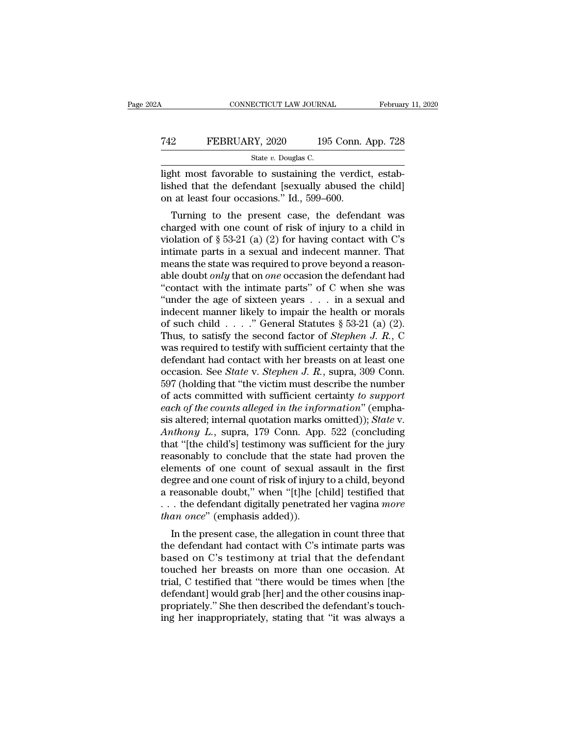### CONNECTICUT LAW JOURNAL February 11, 2020<br>
T42 FEBRUARY, 2020 195 Conn. App. 728<br>
State v. Douglas C. ECTICUT LAW JOURNA<br>2Y, 2020 195<br>State *v.* Douglas C.<br>2 to sustaining the

CONNECTICUT LAW JOURNAL Februar<br>
T42 FEBRUARY, 2020 195 Conn. App. 728<br>
State v. Douglas C.<br>
light most favorable to sustaining the verdict, estab-<br>
lished that the defendant [sexually abused the child]<br>
on at least four o FEBRUARY, 2020 195 Conn. App. 728<br>
State v. Douglas C.<br>
light most favorable to sustaining the verdict, established that the defendant [sexually abused the child]<br>
on at least four occasions." Id., 599–600. Terms of the State FEBRUARY, 2020 and 195 Conn.<br>
State v. Douglas C.<br>
light most favorable to sustaining the verdic<br>
lished that the defendant [sexually abused the on at least four occasions." Id., 599–600.<br>
Turning to th **EXERUARY, 2020** 195 Conn. App. 728<br>
State v. Douglas C.<br>
the most favorable to sustaining the verdict, establed that the defendant [sexually abused the child]<br>
at least four occasions." Id., 599–600.<br>
Turning to the pres

State v. Douglas C.<br>
light most favorable to sustaining the verdict, established that the defendant [sexually abused the child]<br>
on at least four occasions." Id., 599–600.<br>
Turning to the present case, the defendant was<br> light most favorable to sustaining the verdict, established that the defendant [sexually abused the child]<br>on at least four occasions." Id., 599–600.<br>Turning to the present case, the defendant was<br>charged with one count o lished that the defendant [sexually abused the child]<br>on at least four occasions." Id., 599–600.<br>Turning to the present case, the defendant was<br>charged with one count of risk of injury to a child in<br>violation of  $\S 53-21$ means the detendant sexually abused the child<br>on at least four occasions." Id., 599–600.<br>Turning to the present case, the defendant was<br>charged with one count of risk of injury to a child in<br>violation of § 53-21 (a) (2) f Turning to the present case, the defendant was<br>charged with one count of risk of injury to a child in<br>violation of § 53-21 (a) (2) for having contact with C's<br>intimate parts in a sexual and indecent manner. That<br>means the Turning to the present case, the defendant was<br>
charged with one count of risk of injury to a child in<br>
violation of § 53-21 (a) (2) for having contact with C's<br>
intimate parts in a sexual and indecent manner. That<br>
means charged with one count of risk of injury to a child in<br>violation of § 53-21 (a) (2) for having contact with C's<br>intimate parts in a sexual and indecent manner. That<br>means the state was required to prove beyond a reason-<br>a violation of § 53-21 (a) (2) for having contact with C's<br>intimate parts in a sexual and indecent manner. That<br>means the state was required to prove beyond a reason-<br>able doubt *only* that on *one* occasion the defendant h intimate parts in a sexual and indecent manner. That<br>means the state was required to prove beyond a reason-<br>able doubt *only* that on *one* occasion the defendant had<br>"contact with the intimate parts" of C when she was<br>"u means the state was required to prove beyond a reason-<br>able doubt *only* that on *one* occasion the defendant had<br>"contact with the intimate parts" of C when she was<br>"under the age of sixteen years . . . in a sexual and<br>in able doubt *only* that on *one* occasion the defendant had<br>
"contact with the intimate parts" of C when she was<br>
"under the age of sixteen years . . . in a sexual and<br>
indecent manner likely to impair the health or morals "contact with the intimate parts" of C when she was<br>"under the age of sixteen years . . . in a sexual and<br>indecent manner likely to impair the health or morals<br>of such child . . . . " General Statutes § 53-21 (a) (2).<br>Thu "under the age of sixteen years . . . in a sexual and indecent manner likely to impair the health or morals of such child . . . ." General Statutes  $\S$  53-21 (a) (2). Thus, to satisfy the second factor of *Stephen J. R.*, indecent manner likely to impair the health or morals<br>of such child . . . ." General Statutes § 53-21 (a) (2).<br>Thus, to satisfy the second factor of *Stephen J. R.*, C<br>was required to testify with sufficient certainty tha of such child . . . . ." General Statutes § 53-21 (a) (2).<br>Thus, to satisfy the second factor of *Stephen J. R.*, C<br>was required to testify with sufficient certainty that the<br>defendant had contact with her breasts on at l Thus, to satisfy the second factor of *Stephen J. R.*, C<br>was required to testify with sufficient certainty that the<br>defendant had contact with her breasts on at least one<br>occasion. See *State* v. *Stephen J. R.*, supra, 30 was required to testify with sufficient certainty that the defendant had contact with her breasts on at least one occasion. See *State* v. *Stephen J. R.*, supra, 309 Conn. 597 (holding that "the victim must describe the n defendant had contact with her breasts on at least one<br>occasion. See *State* v. *Stephen J. R.*, supra, 309 Conn.<br>597 (holding that "the victim must describe the number<br>of acts committed with sufficient certainty to *suppo* occasion. See *State* v. *Stephen J. R.*, supra, 309 Conn.<br>597 (holding that "the victim must describe the number<br>of acts committed with sufficient certainty to *support*<br>each of the counts alleged in the information" (em 597 (holding that "the victim must describe the number<br>of acts committed with sufficient certainty to support<br>each of the counts alleged in the information" (empha-<br>sis altered; internal quotation marks omitted)); *State* of acts committed with sufficient certainty *to support*<br>each of the counts alleged in the information" (emphasis altered; internal quotation marks omitted)); *State* v.<br>Anthony L., supra, 179 Conn. App. 522 (concluding<br>th each of the counts alleged in the information" (emphasis altered; internal quotation marks omitted)); *State* v.<br>Anthony L., supra, 179 Conn. App. 522 (concluding<br>that "[the child's] testimony was sufficient for the jury<br>r sis altered; internal quotation marks omitted)); *State* v.<br>Anthony L., supra, 179 Conn. App. 522 (concluding<br>that "[the child's] testimony was sufficient for the jury<br>reasonably to conclude that the state had proven the<br> Anthony L., supra, 179 Conn. App. 522 (concluding<br>that "[the child's] testimony was sufficient for the jury<br>reasonably to conclude that the state had proven the<br>elements of one count of sexual assault in the first<br>degree a that "[the child's] testimony was suf<br>reasonably to conclude that the sta<br>elements of one count of sexual a<br>degree and one count of risk of injury<br>a reasonable doubt," when "[t]he [c<br>... the defendant digitally penetrate<br> Example 1 at the state had proven the<br>ements of one count of sexual assault in the first<br>gree and one count of risk of injury to a child, beyond<br>reasonable doubt," when "[t]he [child] testified that<br>. the defendant digita degree and one count of sexual assault in the first<br>degree and one count of risk of injury to a child, beyond<br>a reasonable doubt," when "[t]he [child] testified that<br>... the defendant digitally penetrated her vagina *more* 

degree and one count of risk of figury to a child, beyond<br>a reasonable doubt," when "[t]he [child] testified that<br>... the defendant digitally penetrated her vagina *more<br>than once*" (emphasis added)).<br>In the present case, a reasonable doubt, when [t]he [chind] estined that<br>  $\ldots$  the defendant digitally penetrated her vagina *more*<br>  $than once$ " (emphasis added)).<br>
In the present case, the allegation in count three that<br>
the defendant had contact  $\therefore$  is the defendant digitally penetrated her vagina *more*<br>than once" (emphasis added)).<br>In the present case, the allegation in count three that<br>the defendant had contact with C's intimate parts was<br>based on C's testim In the present case, the allegation in count three that<br>the defendant had contact with C's intimate parts was<br>based on C's testimony at trial that the defendant<br>touched her breasts on more than one occasion. At<br>trial, C te In the present case, the allegation in count three that<br>the defendant had contact with C's intimate parts was<br>based on C's testimony at trial that the defendant<br>touched her breasts on more than one occasion. At<br>trial, C te the defendant had contact with C's intimate parts was<br>based on C's testimony at trial that the defendant<br>touched her breasts on more than one occasion. At<br>trial, C testified that "there would be times when [the<br>defendant]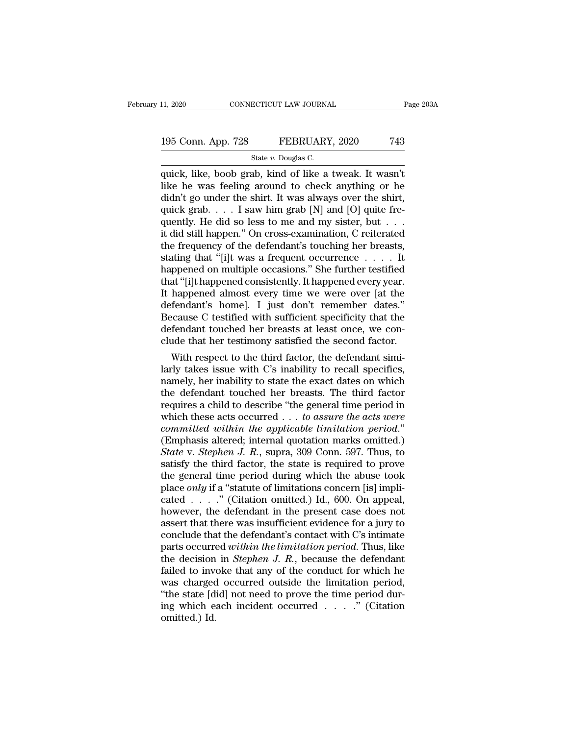### 11, 2020 CONNECTICUT LAW JOURNAL Page 203A<br>195 Conn. App. 728 FEBRUARY, 2020 743<br>State v. Douglas C. ECTICUT LAW JOURNA<br>FEBRUARY<br>State *v.* Douglas C.<br>ab. kind of like a

THE 11, 2020 CONNECTICUT LAW JOURNAL Page 2034<br>
195 Conn. App. 728 FEBRUARY, 2020 743<br>
State v. Douglas C.<br>
quick, like, boob grab, kind of like a tweak. It wasn't<br>
like he was feeling around to check anything or he<br>
didn' 195 Conn. App. 728 FEBRUARY, 2020 743<br>
State v. Douglas C.<br>
quick, like, boob grab, kind of like a tweak. It wasn't<br>
like he was feeling around to check anything or he<br>
didn't go under the shirt. It was always over the shi 195 Conn. App. 728 FEBRUARY, 2020 743<br>
State v. Douglas C.<br>
quick, like, boob grab, kind of like a tweak. It wasn't<br>
like he was feeling around to check anything or he<br>
didn't go under the shirt. It was always over the sh 195 Conn. App. 728 FEBRUARY, 2020 743<br>
State v. Douglas C.<br>
quick, like, boob grab, kind of like a tweak. It wasn't<br>
like he was feeling around to check anything or he<br>
didn't go under the shirt. It was always over the sh State v. Douglas C.<br>
TENCERTY, 2020<br>
TENCERTY, 2020<br>
TENCERTY, 2020<br>
TENCERTY, 2020<br>
TENCERTY, 2020<br>
TENCERTY, 2020<br>
CON<br>
State v. Douglas C.<br>
I like he was feeling around to check anything or he<br>
didn't go under the shir state v. Douglas C.<br>
quick, like, boob grab, kind of like a tweak. It wasn't<br>
like he was feeling around to check anything or he<br>
didn't go under the shirt. It was always over the shirt,<br>
quick grab.... I saw him grab [N] quick, like, boob grab, kind of like a tweak. It wasn't like he was feeling around to check anything or he didn't go under the shirt. It was always over the shirt, quick grab.  $\dots$  I saw him grab [N] and [O] quite frequen like he was feeling around to check anything or he<br>didn't go under the shirt. It was always over the shirt,<br>quick grab. . . . I saw him grab [N] and [O] quite fre-<br>quently. He did so less to me and my sister, but . . .<br>it didn't go under the shirt. It was always over the shirt,<br>quick grab. . . . I saw him grab [N] and [O] quite fre-<br>quently. He did so less to me and my sister, but . . .<br>it did still happen.'' On cross-examination, C reitera quick grab. . . . I saw him grab [N] and [O] quite frequently. He did so less to me and my sister, but . . . it it did still happen." On cross-examination, C reiterated the frequency of the defendant's touching her breast quently. He did so less to me and my sister, but  $\dots$  it did still happen." On cross-examination, C reiterated<br>the frequency of the defendant's touching her breasts,<br>stating that "[i]t was a frequent occurrence  $\dots$  . It<br> it did still happen." On cross-examination, C reiterated<br>the frequency of the defendant's touching her breasts,<br>stating that "[i]t was a frequent occurrence . . . . It<br>happened on multiple occasions." She further testified the frequency of the defendant's touching her breasts,<br>stating that "[i]t was a frequent occurrence  $\ldots$ . It<br>happened on multiple occasions." She further testified<br>that "[i]t happened consistently. It happened every year stating that "[i]t was a frequent occurrence  $\ldots$ ... It happened on multiple occasions." She further testified that "[i]t happened consistently. It happened every year. It happened almost every time we were over [at the happened on multiple occasions." She further testified<br>that "[i]t happened consistently. It happened every year.<br>It happened almost every time we were over [at the<br>defendant's home]. I just don't remember dates."<br>Because C at "[1]t nappened consistently. It nappened every year.<br>
happened almost every time we were over [at the<br>
fendant's home]. I just don't remember dates."<br>
cause C testified with sufficient specificity that the<br>
fendant touc It nappened almost every time we were over [at the<br>defendant's home]. I just don't remember dates."<br>Because C testified with sufficient specificity that the<br>defendant touched her breasts at least once, we con-<br>clude that h

defendant's nome]. I just don't remember dates."<br>Because C testified with sufficient specificity that the<br>defendant touched her breasts at least once, we con-<br>clude that her testimony satisfied the second factor.<br>With resp Because C testined with sufficient specificity that the<br>defendant touched her breasts at least once, we con-<br>clude that her testimony satisfied the second factor.<br>With respect to the third factor, the defendant simi-<br>larly defendant touched her breasts at least once, we conclude that her testimony satisfied the second factor.<br>With respect to the third factor, the defendant similarly takes issue with C's inability to recall specifics, namely clude that her testimony satisfied the second factor.<br>With respect to the third factor, the defendant similarly takes issue with C's inability to recall specifics,<br>namely, her inability to state the exact dates on which<br>th With respect to the third factor, the defendant similarly takes issue with C's inability to recall specifics, namely, her inability to state the exact dates on which the defendant touched her breasts. The third factor requ larly takes issue with C's inability to recall specifics,<br>namely, her inability to state the exact dates on which<br>the defendant touched her breasts. The third factor<br>requires a child to describe "the general time period i *State the* exact dates on which<br>the defendant touched her breasts. The third factor<br>requires a child to describe "the general time period in<br>which these acts occurred . . . *to assure the acts were<br>committed within the ap* the defendant touched her breasts. The third factor<br>requires a child to describe "the general time period in<br>which these acts occurred  $\ldots$  to assure the acts were<br>committed within the applicable limitation period."<br>(Emp requires a child to describe "the general time period in<br>which these acts occurred . . . to assure the acts were<br>committed within the applicable limitation period."<br>(Emphasis altered; internal quotation marks omitted.)<br>St which these acts occurred . . . to assure the acts were committed within the applicable limitation period." (Emphasis altered; internal quotation marks omitted.) State v. Stephen J. R., supra, 309 Conn. 597. Thus, to sati *committed within the applicable limitation period.*"<br>(Emphasis altered; internal quotation marks omitted.)<br>State v. Stephen J. R., supra, 309 Conn. 597. Thus, to<br>satisfy the third factor, the state is required to prove<br>t (Emphasis altered; internal quotation marks omitted.)<br>
State v. Stephen J. R., supra, 309 Conn. 597. Thus, to<br>
satisfy the third factor, the state is required to prove<br>
the general time period during which the abuse took<br> State v. Stephen J. R., supra, 309 Conn. 597. Thus, to<br>satisfy the third factor, the state is required to prove<br>the general time period during which the abuse took<br>place *only* if a "statute of limitations concern [is] im satisfy the third factor, the state is required to prove<br>the general time period during which the abuse took<br>place *only* if a "statute of limitations concern [is] impli-<br>cated . . . . " (Citation omitted.) Id., 600. On a the general time period during which the abuse took<br>place *only* if a "statute of limitations concern [is] impli-<br>cated  $\ldots$ ." (Citation omitted.) Id., 600. On appeal,<br>however, the defendant in the present case does not<br> place *only* if a "statute of limitations concern [is] implicated  $\ldots$  ." (Citation omitted.) Id., 600. On appeal, however, the defendant in the present case does not assert that there was insufficient evidence for a jur cated . . . ." (Citation omitted.) Id., 600. On appeal,<br>however, the defendant in the present case does not<br>assert that there was insufficient evidence for a jury to<br>conclude that the defendant's contact with C's intimate however, the defendant in the present case does not<br>assert that there was insufficient evidence for a jury to<br>conclude that the defendant's contact with C's intimate<br>parts occurred within the limitation period. Thus, like<br> assert that there was insufficient evidence for a jury to conclude that the defendant's contact with C's intimate parts occurred *within the limitation period*. Thus, like the decision in *Stephen J. R.*, because the defe conclude that the defendant's contact with C's intimate<br>parts occurred *within the limitation period*. Thus, like<br>the decision in *Stephen J. R.*, because the defendant<br>failed to invoke that any of the conduct for which h parts occurre<br>the decision<br>failed to inve<br>was charged<br>"the state [d<br>ing which e<br>omitted.) Id.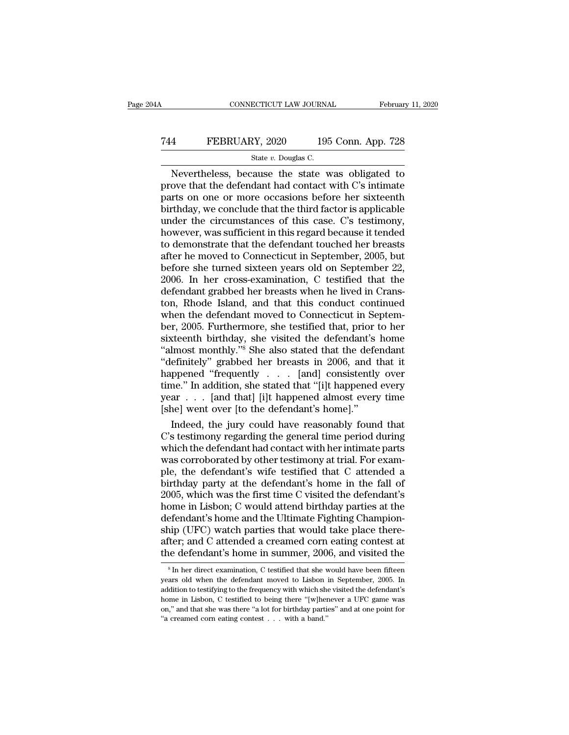### CONNECTICUT LAW JOURNAL February 11, 2020<br>
744 FEBRUARY, 2020 195 Conn. App. 728<br>
5tate v. Douglas C. ECTICUT LAW JOURNA<br>2Y, 2020 195<br>State *v.* Douglas C.<br>cause the state w

CONNECTICUT LAW JOURNAL February 11, 2020<br>
State v. Douglas C.<br>
Nevertheless, because the state was obligated to<br>
ove that the defendant had contact with C's intimate<br>
rts on one or more occasions before her sixteenth FEBRUARY, 2020 195 Conn. App. 728<br>
State v. Douglas C.<br>
Nevertheless, because the state was obligated to<br>
prove that the defendant had contact with C's intimate<br>
parts on one or more occasions before her sixteenth<br>
hirthd FEBRUARY, 2020 195 Conn. App. 728<br>
State v. Douglas C.<br>
Nevertheless, because the state was obligated to<br>
prove that the defendant had contact with C's intimate<br>
parts on one or more occasions before her sixteenth<br>
birthd FEBRUARY, 2020 195 Conn. App. 728<br>
State v. Douglas C.<br>
Nevertheless, because the state was obligated to<br>
prove that the defendant had contact with C's intimate<br>
parts on one or more occasions before her sixteenth<br>
birthd State v. Douglas C.<br>
Nevertheless, because the state was obligated to<br>
prove that the defendant had contact with C's intimate<br>
parts on one or more occasions before her sixteenth<br>
birthday, we conclude that the third fact State v. Douglas C.<br>
Nevertheless, because the state was obligated to<br>
prove that the defendant had contact with C's intimate<br>
parts on one or more occasions before her sixteenth<br>
birthday, we conclude that the third fact Nevertheless, because the state was obligated to<br>prove that the defendant had contact with C's intimate<br>parts on one or more occasions before her sixteenth<br>birthday, we conclude that the third factor is applicable<br>under th prove that the defendant had contact with C's intimate<br>parts on one or more occasions before her sixteenth<br>birthday, we conclude that the third factor is applicable<br>under the circumstances of this case. C's testimony,<br>howe parts on one or more occasions before her sixteenth<br>birthday, we conclude that the third factor is applicable<br>under the circumstances of this case. C's testimony,<br>however, was sufficient in this regard because it tended<br>to birthday, we conclude that the third factor is applicable<br>under the circumstances of this case. C's testimony,<br>however, was sufficient in this regard because it tended<br>to demonstrate that the defendant touched her breasts<br> under the circumstances of this case. C's testimony,<br>however, was sufficient in this regard because it tended<br>to demonstrate that the defendant touched her breasts<br>after he moved to Connecticut in September, 2005, but<br>befo however, was sufficient in this regard because it tended<br>to demonstrate that the defendant touched her breasts<br>after he moved to Connecticut in September, 2005, but<br>before she turned sixteen years old on September 22,<br>2006 to demonstrate that the defendant touched her breasts<br>after he moved to Connecticut in September, 2005, but<br>before she turned sixteen years old on September 22,<br>2006. In her cross-examination, C testified that the<br>defendan after he moved to Connecticut in September, 2005, but<br>before she turned sixteen years old on September 22,<br>2006. In her cross-examination, C testified that the<br>defendant grabbed her breasts when he lived in Crans-<br>ton, Rho before she turned sixteen years old on September 22,<br>2006. In her cross-examination, C testified that the<br>defendant grabbed her breasts when he lived in Crans-<br>ton, Rhode Island, and that this conduct continued<br>when the de 2006. In her cross-examination, C testified that the defendant grabbed her breasts when he lived in Cranston, Rhode Island, and that this conduct continued when the defendant moved to Connecticut in September, 2005. Furthe defendant grabbed her breasts when he lived in Cranston, Rhode Island, and that this conduct continued<br>when the defendant moved to Connecticut in Septem-<br>ber, 2005. Furthermore, she testified that, prior to her<br>sixteenth b ton, Rhode Island, and that this conduct continued<br>when the defendant moved to Connecticut in Septem-<br>ber, 2005. Furthermore, she testified that, prior to her<br>sixteenth birthday, she visited the defendant's home<br>"almost mo when the defendant moved to Connecticut in Septem-<br>ber, 2005. Furthermore, she testified that, prior to her<br>sixteenth birthday, she visited the defendant's home<br>"almost monthly."<sup>8</sup> She also stated that the defendant<br>"defi ber, 2005. Furthermore, she testified that, prior to her sixteenth birthday, she visited the defendant's home "almost monthly."<sup>8</sup> She also stated that the defendant "definitely" grabbed her breasts in 2006, and that it ha sixteenth birthday, she visited the defendant's home "almost monthly."<sup>8</sup> She also stated that the defendant "definitely" grabbed her breasts in 2006, and that it happened "frequently  $\ldots$  [and] consistently over time." Imost monthly."" She also stated that the defendant<br>efinitely" grabbed her breasts in 2006, and that it<br>ppened "frequently  $\ldots$  [and] consistently over<br>ne." In addition, she stated that "[i]t happened every<br>ar  $\ldots$  [and "definitely" grabbed her breasts in 2006, and that it<br>happened "frequently . . . [and] consistently over<br>time." In addition, she stated that "[i]t happened every<br>year . . . [and that] [i]t happened almost every time<br>[she]

happened "frequently . . . . [and] consistently over<br>time." In addition, she stated that "[i]t happened every<br>year . . . [and that] [i]t happened almost every time<br>[she] went over [to the defendant's home]."<br>Indeed, the j time." In addition, she stated that "[i]t happened every<br>year . . . [and that] [i]t happened almost every time<br>[she] went over [to the defendant's home]."<br>Indeed, the jury could have reasonably found that<br>C's testimony reg year . . . [and that] [i]t happened almost every time<br>[she] went over [to the defendant's home]."<br>Indeed, the jury could have reasonably found that<br>C's testimony regarding the general time period during<br>which the defendant [she] went over [to the defendant's home]."<br>Indeed, the jury could have reasonably found that<br>C's testimony regarding the general time period during<br>which the defendant had contact with her intimate parts<br>was corroborated Indeed, the jury could have reasonably found that C's testimony regarding the general time period during which the defendant had contact with her intimate parts was corroborated by other testimony at trial. For example, th C's testimony regarding the general time period during<br>which the defendant had contact with her intimate parts<br>was corroborated by other testimony at trial. For exam-<br>ple, the defendant's wife testified that C attended a<br>b which the defendant had contact with her intimate parts<br>was corroborated by other testimony at trial. For exam-<br>ple, the defendant's wife testified that C attended a<br>birthday party at the defendant's home in the fall of<br>20 was corroborated by other testimony at trial. For example, the defendant's wife testified that C attended a birthday party at the defendant's home in the fall of 2005, which was the first time C visited the defendant's hom ple, the defendant's wife testified that C attended a birthday party at the defendant's home in the fall of 2005, which was the first time C visited the defendant's home in Lisbon; C would attend birthday parties at the de birthday party at the defendant's home in the fall of 2005, which was the first time C visited the defendant's home in Lisbon; C would attend birthday parties at the defendant's home and the Ultimate Fighting Championship efendant's home and the Ultimate Fighting Champion-<br>iip (UFC) watch parties that would take place there-<br>iter; and C attended a creamed corn eating contest at<br>le defendant's home in summer, 2006, and visited the<br><sup>8</sup>In her ship (UFC) watch parties that would take place there-<br>after; and C attended a creamed corn eating contest at<br>the defendant's home in summer, 2006, and visited the<br><sup>8</sup>In her direct examination, C testified that she would ha

after; and C attended a creamed corn eating contest at the defendant's home in summer, 2006, and visited the  $s \ln \text{h}$  in her direct examination, C testified that she would have been fifteen years old when the defendant the defendant's home in summer, 2006, and visited the  $\frac{1}{100}$  and  $\frac{1}{100}$  and  $\frac{1}{100}$  and  $\frac{1}{100}$  and  $\frac{1}{100}$  and  $\frac{1}{100}$  and  $\frac{1}{100}$  when the defendant moved to Lisbon in September, 2005. In a The defermation of the summation, C testified that she would have been fifteen years old when the defendant moved to Lisbon in September, 2005. In addition to testifying to the frequency with which she visited the defenda years old when the defendant moved to Lisbon in September, 2005. In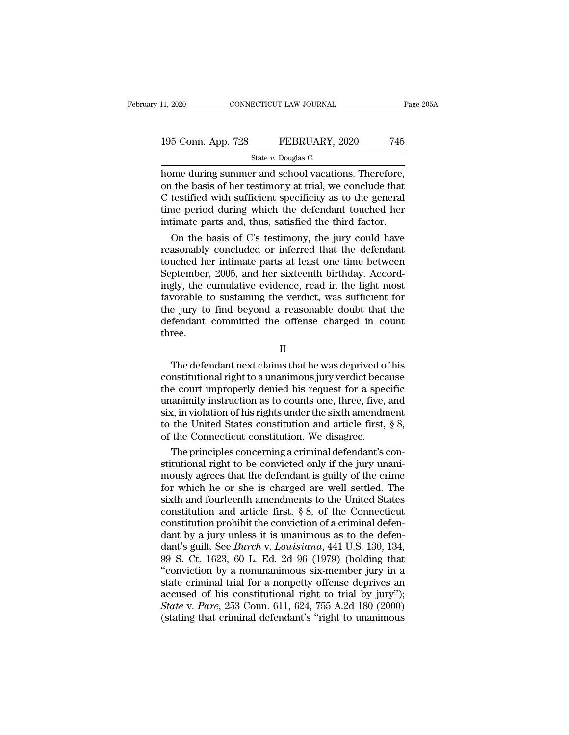11, 2020 CONNECTICUT LAW JOURNAL Page 20<br>
195 Conn. App. 728 FEBRUARY, 2020 745<br>
State v. Douglas C.<br>
home during summer and school vacations. Therefore,<br>
on the basis of her testimony at trial, we conclude that<br>
C tostifi 195 Conn. App. 728 FEBRUARY, 2020 745<br>
State v. Douglas C.<br>
home during summer and school vacations. Therefore,<br>
on the basis of her testimony at trial, we conclude that<br>
C testified with sufficient specificity as to the 195 Conn. App. 728 FEBRUARY, 2020 745<br>
State v. Douglas C.<br>
home during summer and school vacations. Therefore,<br>
on the basis of her testimony at trial, we conclude that<br>
C testified with sufficient specificity as to the 195 Conn. App. 728 FEBRUARY, 2020 745<br>
State v. Douglas C.<br>
home during summer and school vacations. Therefore,<br>
on the basis of her testimony at trial, we conclude that<br>
C testified with sufficient specificity as to the Solution and school vacations. Therefore,<br>
intervalsed the third factor.<br>
State v. Douglas C.<br>
State v. Douglas C.<br>
on the basis of her testimony at trial, we conclude that<br>
C testified with sufficient specificity as to t on the basis of her testimony at trial, we conclude that<br>testified with sufficient specificity as to the general<br>me period during which the defendant touched her<br>timate parts and, thus, satisfied the third factor.<br>On the b reason the basis of her testimony at trial, we conclude that<br>C testified with sufficient specificity as to the general<br>time period during which the defendant touched her<br>intimate parts and, thus, satisfied the third factor

on the basis of her testimony at trial, we conclude that<br>C testified with sufficient specificity as to the general<br>time period during which the defendant touched her<br>intimate parts and, thus, satisfied the third factor.<br>On C testified with sufficient specificity as to the general<br>time period during which the defendant touched her<br>intimate parts and, thus, satisfied the third factor.<br>On the basis of C's testimony, the jury could have<br>reasonab time period during which the defendant touched her<br>intimate parts and, thus, satisfied the third factor.<br>On the basis of C's testimony, the jury could have<br>reasonably concluded or inferred that the defendant<br>touched her in intimate parts and, thus, satisfied the third factor.<br>
On the basis of C's testimony, the jury could have<br>
reasonably concluded or inferred that the defendant<br>
touched her intimate parts at least one time between<br>
Septembe On the basis of C's testimony, the jury could have<br>reasonably concluded or inferred that the defendant<br>touched her intimate parts at least one time between<br>September, 2005, and her sixteenth birthday. Accord-<br>ingly, the cu reasonably concluded or inferred that the defendant<br>touched her intimate parts at least one time between<br>September, 2005, and her sixteenth birthday. Accord-<br>ingly, the cumulative evidence, read in the light most<br>favorable three. Fig. 3.5, the candidate evidence, read in the fight hisse<br>vorable to sustaining the verdict, was sufficient for<br>e jury to find beyond a reasonable doubt that the<br>fendant committed the offense charged in count<br>ree.<br>II<br>The d

II

Extractive to stateming the vertace, was summered to<br>the jury to find beyond a reasonable doubt that the<br>defendant committed the offense charged in count<br>three.<br>II<br>The defendant next claims that he was deprived of his<br>cons the gary to that beyond a reasonable dodot that the<br>defendant committed the offense charged in count<br>three.<br>II<br>The defendant next claims that he was deprived of his<br>constitutional right to a unanimous jury verdict because<br> II<br>
The defendant next claims that he was deprived of his<br>
constitutional right to a unanimous jury verdict because<br>
the court improperly denied his request for a specific<br>
unanimity instruction as to counts one, three, fi II<br>
The defendant next claims that he was deprived of his<br>
constitutional right to a unanimous jury verdict because<br>
the court improperly denied his request for a specific<br>
unanimity instruction as to counts one, three, fi II<br>The defendant next claims that he was deprived of his<br>constitutional right to a unanimous jury verdict because<br>the court improperly denied his request for a specific<br>unanimity instruction as to counts one, three, five, The defendant next claims that he was deprived of constitutional right to a unanimous jury verdict becate the court improperly denied his request for a specunanimity instruction as to counts one, three, five, six, in viola nstitutional right to a unanimous jury verdict because<br>e court improperly denied his request for a specific<br>animity instruction as to counts one, three, five, and<br>x, in violation of his rights under the sixth amendment<br>the the court improperly denied his request for a specific<br>unanimity instruction as to counts one, three, five, and<br>six, in violation of his rights under the sixth amendment<br>to the United States constitution and article first,

unanimity instruction as to counts one, three, five, and<br>six, in violation of his rights under the sixth amendment<br>to the United States constitution and article first, § 8,<br>of the Connecticut constitution. We disagree.<br>The six, in violation of his rights under the sixth amendment<br>to the United States constitution and article first, § 8,<br>of the Connecticut constitution. We disagree.<br>The principles concerning a criminal defendant's con-<br>stitu to the United States constitution and article first,  $\S$  8,<br>of the Connecticut constitution. We disagree.<br>The principles concerning a criminal defendant's con-<br>stitutional right to be convicted only if the jury unani-<br>mou of the Connecticut constitution. We disagree.<br>The principles concerning a criminal defendant's constitutional right to be convicted only if the jury unani-<br>mously agrees that the defendant is guilty of the crime<br>for which The principles concerning a criminal defendant's constitutional right to be convicted only if the jury unani-<br>mously agrees that the defendant is guilty of the crime<br>for which he or she is charged are well settled. The<br>si stitutional right to be convicted only if the jury unani-<br>mously agrees that the defendant is guilty of the crime<br>for which he or she is charged are well settled. The<br>sixth and fourteenth amendments to the United States<br>c mously agrees that the defendant is guilty of the crime<br>for which he or she is charged are well settled. The<br>sixth and fourteenth amendments to the United States<br>constitution and article first, § 8, of the Connecticut<br>cons for which he or she is charged are well settled. The<br>sixth and fourteenth amendments to the United States<br>constitution and article first, § 8, of the Connecticut<br>constitution prohibit the conviction of a criminal defen-<br>d sixth and fourteenth amendments to the United States<br>constitution and article first, § 8, of the Connecticut<br>constitution prohibit the conviction of a criminal defen-<br>dant by a jury unless it is unanimous as to the defenconstitution and article first, § 8, of the Connecticut<br>constitution prohibit the conviction of a criminal defen-<br>dant by a jury unless it is unanimous as to the defen-<br>dant's guilt. See *Burch* v. Louisiana, 441 U.S. 130 constitution prohibit the conviction of a criminal defendant by a jury unless it is unanimous as to the defendant's guilt. See *Burch* v. *Louisiana*, 441 U.S. 130, 134, 99 S. Ct. 1623, 60 L. Ed. 2d 96 (1979) (holding tha dant by a jury unless it is unanimous as to the defendant's guilt. See *Burch* v. *Louisiana*, 441 U.S. 130, 134, 99 S. Ct. 1623, 60 L. Ed. 2d 96 (1979) (holding that "conviction by a nonunanimous six-member jury in a stat dant's guilt. See *Burch* v. Louisiana, 441 U.S. 130, 134, 99 S. Ct. 1623, 60 L. Ed. 2d 96 (1979) (holding that "conviction by a nonunanimous six-member jury in a state criminal trial for a nonpetty offense deprives an acc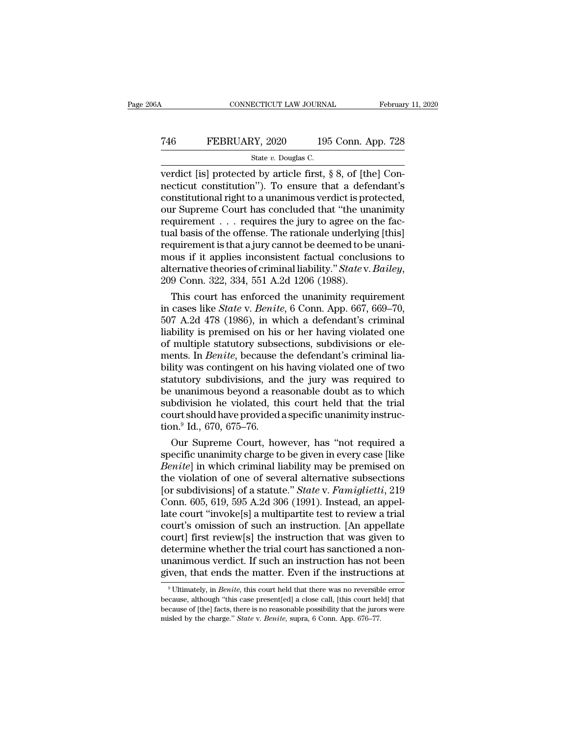### CONNECTICUT LAW JOURNAL February 11, 2020<br>
746 FEBRUARY, 2020 195 Conn. App. 728<br>
5tate v. Douglas C. ECTICUT LAW JOURNA<br>2Y, 2020 195<br>State *v.* Douglas C.<br>d by article first

CONNECTICUT LAW JOURNAL Februar<br>
T46 FEBRUARY, 2020 195 Conn. App. 728<br>
State v. Douglas C.<br>
Verdict [is] protected by article first, § 8, of [the] Con-<br>
necticut constitution'). To ensure that a defendant's The Term of the Constitution of the constitution of the constitution of the constitution of the constitution of the constitutional right to a unanimous verdict is protected,  $\frac{1}{2}$  constitutional right to a unanimous v The Termin Constant of the universe of the interactional right to a unanimous verdict is protected,<br>The state is protected by article first, § 8, of [the] Connecticut constitution"). To ensure that a defendant's constitut T46 FEBRUARY, 2020 195 Conn. App. 728<br>
State v. Douglas C.<br>
verdict [is] protected by article first, § 8, of [the] Connecticut constitution"). To ensure that a defendant's<br>
constitutional right to a unanimous verdict is p State v. Douglas C.<br>
State v. Douglas C.<br>
verdict [is] protected by article first, § 8, of [the] Connecticut constitution"). To ensure that a defendant's<br>
constitutional right to a unanimous verdict is protected,<br>
our Sup State v. Douglas C.<br>
verdict [is] protected by article first, § 8, of [the] Con-<br>
necticut constitution"). To ensure that a defendant's<br>
constitutional right to a unanimous verdict is protected,<br>
our Supreme Court has con verdict [is] protected by article first, § 8, of [the] Connecticut constitution"). To ensure that a defendant's constitutional right to a unanimous verdict is protected, our Supreme Court has concluded that "the unanimity mecticut constitution"). To ensure that a defendant's<br>constitutional right to a unanimous verdict is protected,<br>our Supreme Court has concluded that "the unanimity<br>requirement . . . requires the jury to agree on the fac-<br> constitutional right to a unanimous verdict is protected,<br>our Supreme Court has concluded that "the unanimity<br>requirement . . . requires the jury to agree on the fac-<br>tual basis of the offense. The rationale underlying [th quirement . . . requires the jury to agree on the fac-<br>al basis of the offense. The rationale underlying [this]<br>quirement is that a jury cannot be deemed to be unani-<br>ous if it applies inconsistent factual conclusions to<br> tual basis of the offense. The rationale underlying [this]<br>requirement is that a jury cannot be deemed to be unani-<br>mous if it applies inconsistent factual conclusions to<br>alternative theories of criminal liability." *State* 

requirement is that a jury cannot be deemed to be unani-<br>mous if it applies inconsistent factual conclusions to<br>alternative theories of criminal liability." *State* v. *Bailey*,<br>209 Conn. 322, 334, 551 A.2d 1206 (1988).<br>Th mous if it applies inconsistent factual conclusions to<br>alternative theories of criminal liability." Statev. Bailey,<br>209 Conn. 322, 334, 551 A.2d 1206 (1988).<br>This court has enforced the unanimity requirement<br>in cases like atternative theories of criminal liability." State v. Bailey,<br>209 Conn. 322, 334, 551 A.2d 1206 (1988).<br>This court has enforced the unanimity requirement<br>in cases like State v. Benite, 6 Conn. App. 667, 669–70,<br>507 A.2d 47 209 Conn. 322, 334, 551 A.2d 1206 (1988).<br>
This court has enforced the unanimity requirement<br>
in cases like *State* v. *Benite*, 6 Conn. App. 667, 669–70,<br>
507 A.2d 478 (1986), in which a defendant's criminal<br>
liability is This court has enforced the unanimity requirement<br>in cases like *State* v. *Benite*, 6 Conn. App. 667, 669–70,<br>507 A.2d 478 (1986), in which a defendant's criminal<br>liability is premised on his or her having violated one<br>of in cases like *State* v. *Benite*, 6 Conn. App. 667, 669–70, 507 A.2d 478 (1986), in which a defendant's criminal liability is premised on his or her having violated one of multiple statutory subsections, subdivisions or 507 A.2d 478 (1986), in which a defendant's criminal liability is premised on his or her having violated one of multiple statutory subsections, subdivisions or elements. In *Benite*, because the defendant's criminal liabi liability is premised on his or her having violated one<br>of multiple statutory subsections, subdivisions or ele-<br>ments. In *Benite*, because the defendant's criminal lia-<br>bility was contingent on his having violated one of of multiple statutory subsections, subdivisions or elements. In *Benite*, because the defendant's criminal liability was contingent on his having violated one of two statutory subdivisions, and the jury was required to be ments. In *Benite*, because t<br>bility was contingent on his<br>statutory subdivisions, and<br>be unanimous beyond a rea<br>subdivision he violated, th<br>court should have provided<br>tion.<sup>9</sup> Id., 670, 675–76.<br>Our Supreme Court, ho lity was contingent on his having violated one of two<br>atutory subdivisions, and the jury was required to<br>unanimous beyond a reasonable doubt as to which<br>bdivision he violated, this court held that the trial<br>urt should have statutory subdivisions, and the jury was required to<br>be unanimous beyond a reasonable doubt as to which<br>subdivision he violated, this court held that the trial<br>court should have provided a specific unanimity instruc-<br>tion.

be unanimous beyond a reasonable doubt as to which<br>subdivision he violated, this court held that the trial<br>court should have provided a specific unanimity instruc-<br>tion.<sup>9</sup> Id., 670, 675–76.<br>Our Supreme Court, however, has subdivision he violated, this court held that the trial<br>court should have provided a specific unanimity instruc-<br>tion.<sup>9</sup> Id., 670, 675–76.<br>Our Supreme Court, however, has "not required a<br>specific unanimity charge to be g court should have provided a specific unanimity instruction.<sup>9</sup> Id., 670, 675–76.<br>
Our Supreme Court, however, has "not required a<br>
specific unanimity charge to be given in every case [like<br> *Benite*] in which criminal lia tion.<sup>9</sup> Id., 670, 675–76.<br>
Our Supreme Court, however, has "not required a<br>
specific unanimity charge to be given in every case [like<br> *Benite*] in which criminal liability may be premised on<br>
the violation of one of sev Our Supreme Court, however, has "not required a<br>specific unanimity charge to be given in every case [like<br>*Benite*] in which criminal liability may be premised on<br>the violation of one of several alternative subsections<br>[or specific unanimity charge to be given in every case [like *Benite*] in which criminal liability may be premised on the violation of one of several alternative subsections [or subdivisions] of a statute." *State* v. *Famigl Benite*] in which criminal liability may be premised on<br>the violation of one of several alternative subsections<br>[or subdivisions] of a statute." *State* v. *Famiglietti*, 219<br>Conn. 605, 619, 595 A.2d 306 (1991). Instead, the violation of one of several alternative subsections<br>[or subdivisions] of a statute." *State* v. *Famiglietti*, 219<br>Conn. 605, 619, 595 A.2d 306 (1991). Instead, an appel-<br>late court "invoke[s] a multipartite test to re [or subdivisions] of a statute." *State* v. *Famiglietti*, 219<br>Conn. 605, 619, 595 A.2d 306 (1991). Instead, an appel-<br>late court "invoke[s] a multipartite test to review a trial<br>court's omission of such an instruction. [A Conn. 605, 619, 595 A.2d 306 (1991). Instead, an appel-<br>late court "invoke[s] a multipartite test to review a trial<br>court's omission of such an instruction. [An appellate<br>court] first review[s] the instruction that was gi burt] first review[s] the instruction that was given to<br>etermine whether the trial court has sanctioned a non-<br>nanimous verdict. If such an instruction has not been<br>ven, that ends the matter. Even if the instructions at<br><sup>9</sup> determine whether the trial court has sanctioned a non-<br>unanimous verdict. If such an instruction has not been<br>given, that ends the matter. Even if the instructions at<br><sup>9</sup> Ultimately, in *Benite*, this court held that ther

unanimous verdict. If such an instruction has not been<br>given, that ends the matter. Even if the instructions at<br> $\degree$ Ultimately, in *Benite*, this court held that there was no reversible error<br>because, although "this case given, that ends the matter. Even if the instructions at <sup>9</sup>Ultimately, in *Benite*, this court held that there was no reversible error because, although "this case present[ed] a close call, [this court held] that because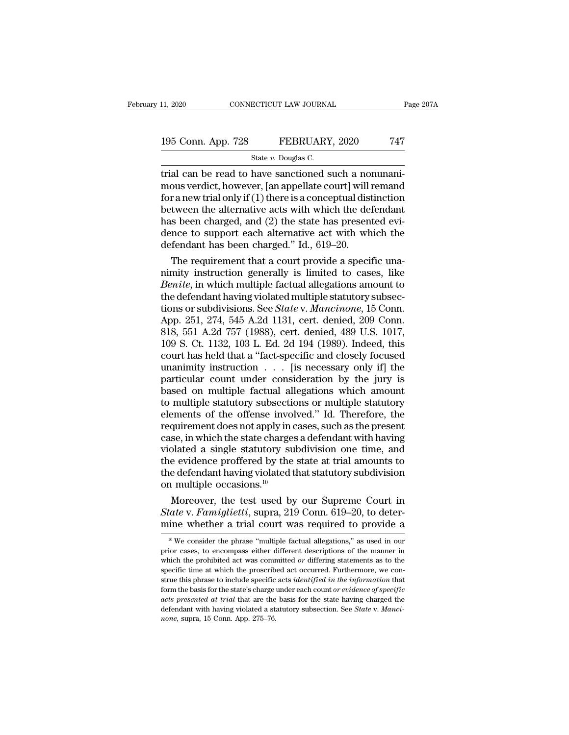### 11, 2020 CONNECTICUT LAW JOURNAL Page 207A<br>195 Conn. App. 728 FEBRUARY, 2020 747<br>State v. Douglas C. ECTICUT LAW JOURNA<br>FEBRUARY<br>State *v.* Douglas C.<br>have sanctioned s

trial can be read to have sanctioned such a nonunani-<br>trial can be read to have sanctioned such a nonunani-<br>trial can be read to have sanctioned such a nonunani-<br>mous verdict, however, [an appellate court] will remand<br>for 195 Conn. App. 728 FEBRUARY, 2020 747<br>State v. Douglas C.<br>Trial can be read to have sanctioned such a nonunani-<br>mous verdict, however, [an appellate court] will remand<br>for a new trial only if (1) there is a conceptual dist 195 Conn. App. 728 FEBRUARY, 2020 747<br>
State v. Douglas C.<br>
Trial can be read to have sanctioned such a nonunani-<br>
mous verdict, however, [an appellate court] will remand<br>
for a new trial only if (1) there is a conceptual 195 Conn. App. 728 FEBRUARY, 2020 747<br>
State v. Douglas C.<br>
trial can be read to have sanctioned such a nonunani-<br>
mous verdict, however, [an appellate court] will remand<br>
for a new trial only if (1) there is a conceptual State v. Douglas C.<br>
The state v. Douglas C.<br>
Trial can be read to have sanctioned such a nonunani-<br>
mous verdict, however, [an appellate court] will remand<br>
for a new trial only if (1) there is a conceptual distinction<br> State v. Douglas C.<br>
trial can be read to have sanctioned such a nonunani-<br>
mous verdict, however, [an appellate court] will remand<br>
for a new trial only if (1) there is a conceptual distinction<br>
between the alternative a trial can be read to have sanctioned such a no<br>mous verdict, however, [an appellate court] will for a new trial only if (1) there is a conceptual dist<br>between the alternative acts with which the de-<br>has been charged, and ( bous verdict, however, [an appellate court] will remand<br>r a new trial only if (1) there is a conceptual distinction<br>tween the alternative acts with which the defendant<br>s been charged, and (2) the state has presented evi-<br> for a new trial only if (1) there is a conceptual distinction<br>between the alternative acts with which the defendant<br>has been charged, and (2) the state has presented evi-<br>dence to support each alternative act with which t

between the alternative acts with which the defendant<br>has been charged, and (2) the state has presented evi-<br>dence to support each alternative act with which the<br>defendant has been charged." Id., 619–20.<br>The requirement th has been charged, and (2) the state has presented evidence to support each alternative act with which the defendant has been charged." Id., 619–20.<br>The requirement that a court provide a specific unanimity instruction gen dence to support each alternative act with which the<br>defendant has been charged." Id., 619–20.<br>The requirement that a court provide a specific una-<br>nimity instruction generally is limited to cases, like<br>*Benite*, in which defendant has been charged." Id., 619–20.<br>
The requirement that a court provide a specific una-<br>
nimity instruction generally is limited to cases, like<br> *Benite*, in which multiple factual allegations amount to<br>
the defen The requirement that a court provide a specific una-<br>nimity instruction generally is limited to cases, like<br>*Benite*, in which multiple factual allegations amount to<br>the defendant having violated multiple statutory subsecmimity instruction generally is limited to cases, like<br> *Benite*, in which multiple factual allegations amount to<br>
the defendant having violated multiple statutory subsec-<br>
tions or subdivisions. See *State* v. *Mancinone* Benite, in which multiple factual allegations amount to<br>the defendant having violated multiple statutory subsec-<br>tions or subdivisions. See *State v. Mancinone*, 15 Conn.<br>App. 251, 274, 545 A.2d 1131, cert. denied, 209 Con the defendant having violated multiple statutory subsections or subdivisions. See *State* v. *Mancinone*, 15 Conn.<br>App. 251, 274, 545 A.2d 1131, cert. denied, 209 Conn.<br>818, 551 A.2d 757 (1988), cert. denied, 489 U.S. 1017 tions or subdivisions. See *State* v. *Mancinone*, 15 Conn.<br>App. 251, 274, 545 A.2d 1131, cert. denied, 209 Conn.<br>818, 551 A.2d 757 (1988), cert. denied, 489 U.S. 1017,<br>109 S. Ct. 1132, 103 L. Ed. 2d 194 (1989). Indeed, t App. 251, 274, 545 A.2d 1131, cert. denied, 209 Conn.<br>818, 551 A.2d 757 (1988), cert. denied, 489 U.S. 1017,<br>109 S. Ct. 1132, 103 L. Ed. 2d 194 (1989). Indeed, this<br>court has held that a "fact-specific and closely focused<br> 818, 551 A.2d 757 (1988), cert. denied, 489 U.S. 1017,<br>109 S. Ct. 1132, 103 L. Ed. 2d 194 (1989). Indeed, this<br>court has held that a "fact-specific and closely focused<br>unanimity instruction  $\ldots$  [is necessary only if] th 109 S. Ct. 1132, 103 L. Ed. 2d 194 (1989). Indeed, this<br>court has held that a "fact-specific and closely focused<br>unanimity instruction  $\ldots$  [is necessary only if] the<br>particular count under consideration by the jury is<br>b court has held that a "fact-specific and closely focused<br>unanimity instruction  $\ldots$  [is necessary only if] the<br>particular count under consideration by the jury is<br>based on multiple factual allegations which amount<br>to mul unanimity instruction  $\ldots$  [is necessary only if] the particular count under consideration by the jury is based on multiple factual allegations which amount to multiple statutory subsections or multiple statutory element particular count under consideration by the jury is<br>based on multiple factual allegations which amount<br>to multiple statutory subsections or multiple statutory<br>elements of the offense involved." Id. Therefore, the<br>requireme based on multiple factual allegations which amount<br>to multiple statutory subsections or multiple statutory<br>elements of the offense involved." Id. Therefore, the<br>requirement does not apply in cases, such as the present<br>cas to multiple statutory subsections or multiple statutory<br>elements of the offense involved." Id. Therefore, the<br>requirement does not apply in cases, such as the present<br>case, in which the state charges a defendant with havi elements of the offense invol<br>requirement does not apply in c<br>case, in which the state charges<br>violated a single statutory su<br>the evidence proffered by the<br>the defendant having violated t<br>on multiple occasions.<sup>10</sup><br>Moreove quirement does not apply in cases, such as the present<br>se, in which the state charges a defendant with having<br>olated a single statutory subdivision one time, and<br>e evidence proffered by the state at trial amounts to<br>e def case, in which the state charges a defendant with having<br>violated a single statutory subdivision one time, and<br>the evidence proffered by the state at trial amounts to<br>the defendant having violated that statutory subdivisio violated a single statutory subdivision one time, and<br>the evidence proffered by the state at trial amounts to<br>the defendant having violated that statutory subdivision<br>on multiple occasions.<sup>10</sup><br>Moreover, the test used by

11 Intuitiple occasions.<br>
Moreover, the test used by our Supreme Court in<br>
tate v. Famiglietti, supra, 219 Conn. 619–20, to deter-<br>
ine whether a trial court was required to provide a<br>
<sup>10</sup> We consider the phrase "multipl Moreover, the test used by our Supreme Court in State v. Famiglietti, supra, 219 Conn. 619–20, to determine whether a trial court was required to provide a  $\frac{10 \text{ We}}{10 \text{ We}}$  consider the phrase "multiple factual alle

State v. Famiglietti, supra, 219 Conn. 619–20, to determine whether a trial court was required to provide a<br>
<sup>10</sup> We consider the phrase "multiple factual allegations," as used in our<br>
prior cases, to encompass either dif specific time whether a trial court was required to provide a<br>
<sup>10</sup> We consider the phrase "multiple factual allegations," as used in our<br>
prior cases, to encompass either different descriptions of the manner in<br>
which th structure the phrase "multiple factual allegations," as used in our prior cases, to encompass either different descriptions of the manner in which the prohibited act was committed or differing statements as to the specific <sup>10</sup> We consider the phrase "multiple factual allegations," as used in our prior cases, to encompass either different descriptions of the manner in which the prohibited act was committed *or* differing statements as to th *acts presented at trial* the propose either different descriptions of the manner in which the prohibited act was committed *or* differing statements as to the specific time at which the proscribed act occurred. Furthermor priority the prohibited act was committed or differing statements as to the specific time at which the proscribed act occurred. Furthermore, we construe this phrase to include specific acts *identified in the information*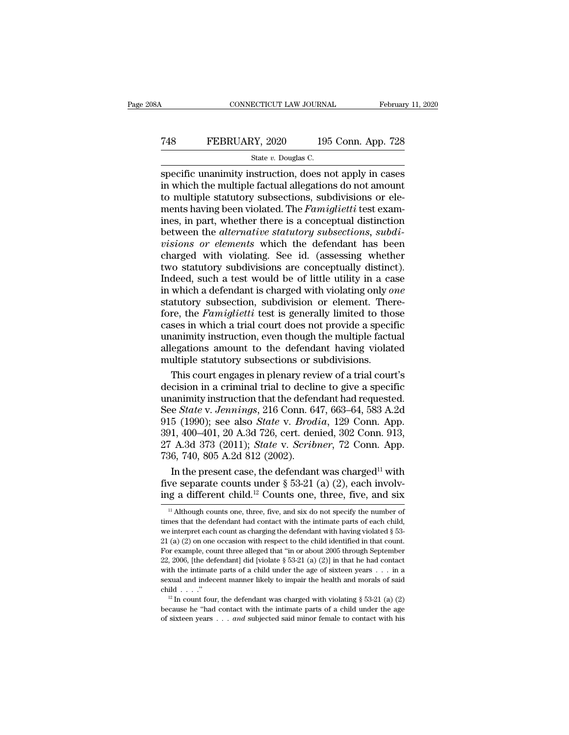### CONNECTICUT LAW JOURNAL February 11, 2020<br>
T48 FEBRUARY, 2020 195 Conn. App. 728<br>
State v. Douglas C. ECTICUT LAW JOURNA<br>2Y, 2020 195<br>State *v.* Douglas C.<br>nstruction does no

February 11, 2020<br>
State v. Douglas C.<br>
Specific unanimity instruction, does not apply in cases<br>
in which the multiple factual allegations do not amount<br>
to multiple statutory subsections, subdivisions or elections FEBRUARY, 2020 195 Conn. App. 728<br>
state v. Douglas C.<br>
specific unanimity instruction, does not apply in cases<br>
in which the multiple factual allegations do not amount<br>
to multiple statutory subsections, subdivisions or The multiple status of multiple status of multiple status of multiple status or elements having been violated. The *Famiglietti* test examines in part whether there is a concentual distinction Tas FEBRUARY, 2020 195 Conn. App. 728<br>
State *v*. Douglas C.<br>
Specific unanimity instruction, does not apply in cases<br>
in which the multiple factual allegations do not amount<br>
to multiple statutory subsections, subdivision State v. Douglas C.<br>
Specific unanimity instruction, does not apply in cases<br>
in which the multiple factual allegations do not amount<br>
to multiple statutory subsections, subdivisions or ele-<br>
ments having been violated. T State *v*. Douglas C.<br>
specific unanimity instruction, does not apply in cases<br>
in which the multiple factual allegations do not amount<br>
to multiple statutory subsections, subdivisions or ele-<br>
ments having been violated. specific unanimity instruction, does not apply in cases<br>in which the multiple factual allegations do not amount<br>to multiple statutory subsections, subdivisions or ele-<br>ments having been violated. The *Famiglietti* test exa in which the multiple factual allegations do not amount<br>to multiple statutory subsections, subdivisions or ele-<br>ments having been violated. The *Famiglietti* test exam-<br>ines, in part, whether there is a conceptual distinct to multiple statutory subsections, subdivisions or elements having been violated. The *Famiglietti* test examines, in part, whether there is a conceptual distinction between the *alternative statutory subsections*, *subdiv* ments having been violated. The *Famiglietti* test examines, in part, whether there is a conceptual distinction<br>between the *alternative statutory subsections*, *subdivisions or elements* which the defendant has been<br>charg ines, in part, whether there is a conceptual distinction<br>between the *alternative statutory subsections*, *subdi-*<br>*visions or elements* which the defendant has been<br>charged with violating. See id. (assessing whether<br>two s between the *alternative statutory subsections*, *subdivisions or elements* which the defendant has been charged with violating. See id. (assessing whether two statutory subdivisions are conceptually distinct). Indeed, suc *visions or elements* which the defendant has been charged with violating. See id. (assessing whether two statutory subdivisions are conceptually distinct). Indeed, such a test would be of little utility in a case in which charged with violating. See id. (assessing whether<br>two statutory subdivisions are conceptually distinct).<br>Indeed, such a test would be of little utility in a case<br>in which a defendant is charged with violating only *one*<br>s two statutory subdivisions are conceptually distinct).<br>Indeed, such a test would be of little utility in a case<br>in which a defendant is charged with violating only *one*<br>statutory subsection, subdivision or element. There-Indeed, such a test would be of little utility in a case<br>in which a defendant is charged with violating only one<br>statutory subsection, subdivision or element. There-<br>fore, the *Famiglietti* test is generally limited to tho in which a defendant is charged with violating only  $o$  statutory subsection, subdivision or element. Then fore, the *Famiglietti* test is generally limited to tho cases in which a trial court does not provide a special u atutory subsection, subdivision or element. There-<br>re, the *Famiglietti* test is generally limited to those<br>ses in which a trial court does not provide a specific<br>animity instruction, even though the multiple factual<br>egati fore, the *Famiglietti* test is generally limited to those cases in which a trial court does not provide a specific unanimity instruction, even though the multiple factual allegations amount to the defendant having violat

cases in which a trial court does not provide a specific<br>unanimity instruction, even though the multiple factual<br>allegations amount to the defendant having violated<br>multiple statutory subsections or subdivisions.<br>This cour unanimity instruction, even though the multiple factual<br>allegations amount to the defendant having violated<br>multiple statutory subsections or subdivisions.<br>This court engages in plenary review of a trial court's<br>decision i allegations amount to the defendant having violated<br>multiple statutory subsections or subdivisions.<br>This court engages in plenary review of a trial court's<br>decision in a criminal trial to decline to give a specific<br>unanimi multiple statutory subsections or subdivisions.<br>
This court engages in plenary review of a trial court's<br>
decision in a criminal trial to decline to give a specific<br>
unanimity instruction that the defendant had requested.<br> This court engages in plenary review of a trial court's<br>decision in a criminal trial to decline to give a specific<br>unanimity instruction that the defendant had requested.<br>See *State* v. *Jennings*, 216 Conn. 647, 663–64, 5 decision in a criminal trial to declin<br>unanimity instruction that the defen<br>See *State* v. Jennings, 216 Conn. 64<br>915 (1990); see also *State* v. *Brod*<br>391, 400–401, 20 A.3d 726, cert. der<br>27 A.3d 373 (2011); *State* v. animity instruction that the defendant had requested.<br>
e *State* v. *Jennings*, 216 Conn. 647, 663–64, 583 A.2d<br>
5 (1990); see also *State* v. *Brodia*, 129 Conn. App.<br>
1, 400–401, 20 A.3d 726, cert. denied, 302 Conn. 913 See *State v. Jennings*, 216 Conn. 647, 663–64, 583 A.2d<br>915 (1990); see also *State v. Brodia*, 129 Conn. App.<br>391, 400–401, 20 A.3d 726, cert. denied, 302 Conn. 913,<br>27 A.3d 373 (2011); *State v. Scribner*, 72 Conn. App 915 (1990); see also *State* v. *Brodia*, 129 Conn. App.<br>391, 400–401, 20 A.3d 726, cert. denied, 302 Conn. 913,<br>27 A.3d 373 (2011); *State* v. *Scribner*, 72 Conn. App.<br>736, 740, 805 A.2d 812 (2002).<br>In the present case,

101 Although counts one, the defendant was charged<sup>11</sup> with<br>we separate counts under § 53-21 (a) (2), each involv-<br>ig a different child.<sup>12</sup> Counts one, three, five, and six<br><sup>11</sup> Although counts one, three, five, and six In the present case, the defendant was charged<sup>11</sup> with<br>five separate counts under § 53-21 (a) (2), each involv-<br>ing a different child.<sup>12</sup> Counts one, three, five, and six<br> $\frac{11}{11}$  Although counts one, three, five, an

five separate counts under § 53-21 (a) (2), each involving a different child.<sup>12</sup> Counts one, three, five, and six  $\frac{1}{4}$  Although counts one, three, five, and six do not specify the number of times that the defendant EVE SEPTERT COURTS THERE TO USE THERE IN Although counts one, three, five, and six as a different child.<sup>12</sup> Counts one, three, five, and six as  $\frac{1}{1}$  Although counts one, three, five, and six do not specify the numbe For example, counting the defendant in the state of the state of the state of the state of the defendant had contact with the intimate parts of each child, we interpret each count as charging the defendant with having vio <sup>11</sup> Although counts one, three, five, and six do not specify the number of times that the defendant had contact with the intimate parts of each child, we interpret each count as charging the defendant with having violate times that the defendant had contact with the intimate parts of each child, we interpret each count as charging the defendant with having violated § 53-21 (a) (2) on one occasion with respect to the child identified in th sexual and indecent manner likely to impair the health and morals of said child  $(2)$  on one occasion with respect to the child identified in that count.<br>For example, count three alleged that "in or about 2005 through Sep 21 (a) (2) on one occasion with respect to the child identified in that count.<br>For example, count three alleged that "in or about 2005 through September<br>22, 2006, [the defendant] did [violate § 53-21 (a) (2)] in that he h 22, 2006, [the defendant] did [violate § 53-21 (a) (2)] in that he had contact with the intimate parts of a child under the age of sixteen years . . . in a sexual and indecent manner likely to impair the health and morals 22, 2006, [the defendant] did [violate § 53-21 (a) (2)] in that he had contact with the intimate parts of a child under the age of sixteen years . . . in a sexual and indecent manner likely to impair the health and morals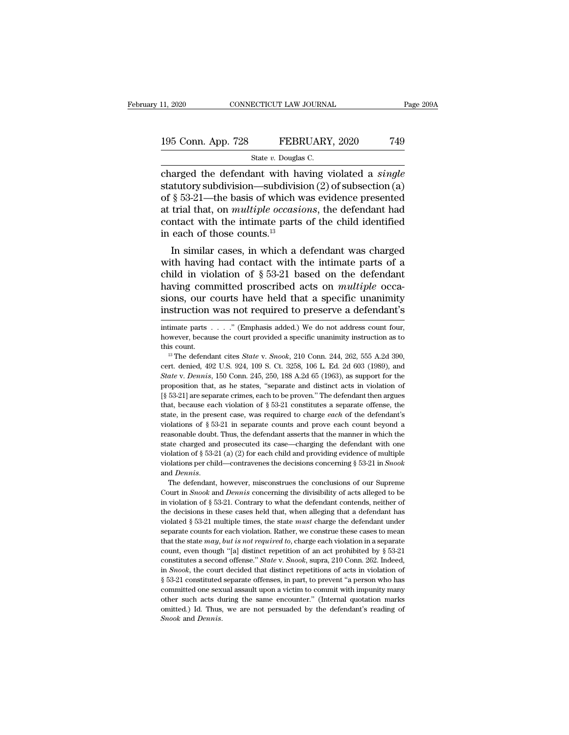### 11, 2020 CONNECTICUT LAW JOURNAL Page 209A<br>195 Conn. App. 728 FEBRUARY, 2020 749<br>State v. Douglas C. ECTICUT LAW JOURNA<br>FEBRUARY<br>State *v.* Douglas C.<br>ant\_with\_having\_v

connectricut LAW JOURNAL Page 209A<br>
195 Conn. App. 728 FEBRUARY, 2020 749<br>
State v. Douglas C.<br>
Charged the defendant with having violated a *single*<br>
statutory subdivision—subdivision (2) of subsection (a)<br>
of 8.53.21 the 195 Conn. App. 728 FEBRUARY, 2020 749<br>State v. Douglas C.<br>Charged the defendant with having violated a *single*<br>statutory subdivision—subdivision (2) of subsection (a)<br>of § 53-21—the basis of which was evidence presented<br>a 195 Conn. App. 728 FEBRUARY, 2020 749<br>
State v. Douglas C.<br>
charged the defendant with having violated a *single*<br>
statutory subdivision—subdivision (2) of subsection (a)<br>
of § 53-21—the basis of which was evidence presen 195 Conn. App. 728 FEBRUARY, 2020 749<br>
State v. Douglas C.<br>
charged the defendant with having violated a *single*<br>
statutory subdivision—subdivision (2) of subsection (a)<br>
of § 53-21—the basis of which was evidence present Sollar  $\frac{1}{2}$  Sollar  $\frac{1}{2}$  and  $\frac{1}{2}$  and  $\frac{1}{2}$  and  $\frac{1}{2}$  charged the defendant with having violated a *single* statutory subdivision—subdivision (2) of subsection (a) of § 53-21—the basis of which was e state *v*. Douglas<br>charged the defendant with ha<br>statutory subdivision—subdivisi<br>of § 53-21—the basis of which w<br>at trial that, on *multiple occasie*<br>contact with the intimate parts<br>in each of those counts.<sup>13</sup><br>In similar arged the defendant with having violated a *single*<br>atutory subdivision—subdivision (2) of subsection (a)<br> $\S$  53-21—the basis of which was evidence presented<br>trial that, on *multiple occasions*, the defendant had<br>ntact wi statutory subdivision—subdivision (2) or subsection (a)<br>of § 53-21—the basis of which was evidence presented<br>at trial that, on *multiple occasions*, the defendant had<br>contact with the intimate parts of the child identifie

or  $\S$  53-21—the basis of which was evidence presented<br>at trial that, on *multiple occasions*, the defendant had<br>contact with the intimate parts of the child identified<br>in each of those counts.<sup>13</sup><br>In similar cases, in wh at trial that, on *multiple* occasions, the defendant had<br>contact with the intimate parts of the child identified<br>in each of those counts.<sup>13</sup><br>In similar cases, in which a defendant was charged<br>with having had contact with contact with the intimate parts of the child identified<br>in each of those counts.<sup>13</sup><br>In similar cases, in which a defendant was charged<br>with having had contact with the intimate parts of a<br>child in violation of  $\S 53-21$  In similar cases, in which a defendant was charged<br>with having had contact with the intimate parts of a<br>child in violation of  $\S 53-21$  based on the defendant<br>having committed proscribed acts on *multiple* occa-<br>sions, ou child in violation of § 53-21 based on the defendant<br>having committed proscribed acts on *multiple* occa-<br>sions, our courts have held that a specific unanimity<br>instruction was not required to preserve a defendant's<br>intima having committed proscribed acts on *multiple* occasions, our courts have held that a specific unanimity instruction was not required to preserve a defendant's intimate parts  $\dots$ ." (Emphasis added.) We do not address cou

sions, our courts have held that a specific unanimity<br>instruction was not required to preserve a defendant's<br>intimate parts . . . . " (Emphasis added.) We do not address count four,<br>however, because the court provided a sp

INSTRUCTION WAS HOT FEQUITED to preserve a defendant is<br>intimate parts . . . . " (Emphasis added.) We do not address count four,<br>however, because the court provided a specific unanimity instruction as to<br>this count.<br><sup>13</sup> Intimate parts . . . . " (Emphasis added.) We do not address count four,<br>however, because the court provided a specific unanimity instruction as to<br>this count.<br><sup>13</sup> The defendant cites *State* v. *Snook*, 210 Conn. 244, 26 however, because the court provided a specific unanimity instruction as to this count.<br>
<sup>13</sup> The defendant cites *State* v. *Snook*, 210 Conn. 244, 262, 555 A.2d 390, cert. denied, 492 U.S. 924, 109 S. Ct. 3258, 106 L. Ed <sup>13</sup> The defendant cites *State* v. *Snook*, 210 Conn. 244, 262, 555 A.2d 390, cert. denied, 492 U.S. 924, 109 S. Ct. 3258, 106 L. Ed. 2d 603 (1989), and *State* v. *Dennis*, 150 Conn. 245, 250, 188 A.2d 65 (1963), as sup <sup>13</sup> The defendant cites *State v. Snook*, 210 Conn. 244, 262, 555 A.2d 390, cert. denied, 492 U.S. 924, 109 S. Ct. 3258, 106 L. Ed. 2d 603 (1989), and *State v. Dennis*, 150 Conn. 245, 250, 188 A.2d 65 (1963), as support cert. denied, 492 U.S. 924, 109 S. Ct. 3258, 106 L. Ed. 2d 603 (1989), and *State* v. *Dennis*, 150 Conn. 245, 250, 188 A.2d 65 (1963), as support for the proposition that, as he states, "separate and distinct acts in vio State v. Dennis, 150 Conn. 245, 250, 188 A.2d 65 (1963), as support for the proposition that, as he states, "separate and distinct acts in violation of [§ 53-21] are separate crimes, each to be proven." The defendant then proposition that, as he states, "separate and distinct acts in violation of  $[\S$  53-21] are separate crimes, each to be proven." The defendant then argues that, because each violation of  $\S$  53-21 constitutes a separate o [§ 53-21] are separate crimes, each to be proven." The defendant then argues [§ 53-21] are separate crimes, each to be proven." The defendant then argues that, because each violation of § 53-21 constitutes a separate offe that, because each violation of § 53-21 constitutes a separate offense, the state, in the present case, was required to charge *each* of the defendant's violations of § 53-21 in separate counts and prove each count beyond state, in the present case, was required to charge *each* of the defendant's violations of § 53-21 in separate counts and prove each count beyond a reasonable doubt. Thus, the defendant asserts that the manner in which th reasonable doubt. Thus, the defendant asserts that the manner in which the state charged and prosecuted its case—charging the defendant with one violation of § 53-21 (a) (2) for each child and providing evidence of multipl Extate charged and prosecuted its case—charging the defendant with one violation of § 53-21 (a) (2) for each child and providing evidence of multiple violations per child—contravenes the decisions concerning § 53-21 in *S* 

in violation of § 53-21. (a) (2) for each child and providing evidence of multiple violations per child—contravenes the decisions concerning § 53-21 in *Snook* and *Dennis*. The defendant, however, misconstrues the conclu transform of  $S \simeq 1$  (a) (b) for each elimit and problems concerning § 53-21 in *Snook* and *Dennis*.<br>The defendant, however, misconstrues the conclusions of our Supreme Court in *Snook* and *Dennis* concerning the divi and *Dennis*.<br>The defendant, however, misconstrues the conclusions of our Supreme<br>Court in *Snook* and *Dennis* concerning the divisibility of acts alleged to be<br>in violation of § 53-21. Contrary to what the defendant cont The defendant, however, misconstrues the conclusions of our Supreme<br>Court in *Snook* and *Dennis* concerning the divisibility of acts alleged to be<br>in violation of § 53-21. Contrary to what the defendant contends, neither Court in *Snook* and *Dennis* concerning the divisibility of acts alleged to be in violation of § 53-21. Contrary to what the defendant contends, neither of the decisions in these cases held that, when alleging that a def in violation of § 53-21. Contrary to what the defendant contends, neither of the decisions in these cases held that, when alleging that a defendant has violated § 53-21 multiple times, the state *must* charge the defendan the decisions in these cases held that, when alleging that a defendant has violated § 53-21 multiple times, the state *must* charge the defendant under separate counts for each violation. Rather, we construe these cases to wiolated § 53-21 multiple times, the state *must* charge the defendant under separate counts for each violation. Rather, we construe these cases to mean that the state *may, but is not required to*, charge each violation Separate counts for each violation. Rather, we construe these cases to mean that the state *may, but is not required to*, charge each violation in a separate count, even though "[a] distinct repetition of an act prohibite Extract that the state *may, but is not required to*, charge each violation in a separate count, even though "[a] distinct repetition of an act prohibited by § 53-21 constitutes a second offense." *State* v. *Snook*, supr count, even hough "[a] distinct repetition of an act prohibited by § 53-21 constitutes a second offense." *State v. Snook*, supra, 210 Conn. 262. Indeed, in *Snook*, the court decided that distinct repetitions of acts in constitutes a second offense." *State v. Snook*, supra, 210 Conn. 262. Indeed, in *Snook*, the court decided that distinct repetitions of acts in violation of § 53-21 constituted separate offenses, in part, to prevent "a *Snook* and *Dennis*.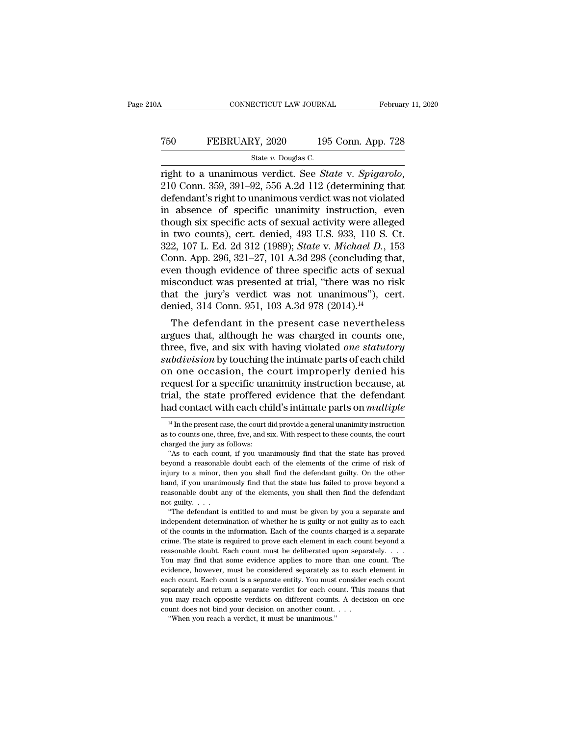### CONNECTICUT LAW JOURNAL February 11, 2020<br>
750 FEBRUARY, 2020 195 Conn. App. 728<br>
5tate v. Douglas C. ECTICUT LAW JOURNA<br>2Y, 2020 195<br>State *v.* Douglas C.<br>1s. verdict . See *Sta*

right to a unanimous verdict. See *State* v. *Spigarolo*, 210 Conn. 359, 391–92, 556 A.2d 112 (determining that defendant's right to unanimous verdict was not violated in absonce of specific unanimity instruction even. T50 FEBRUARY, 2020 195 Conn. App. 728<br>
State v. Douglas C.<br>
Tight to a unanimous verdict. See *State v. Spigarolo*,<br>
210 Conn. 359, 391–92, 556 A.2d 112 (determining that<br>
defendant's right to unanimous verdict was not vi FEBRUARY, 2020 195 Conn. App. 728<br>
state v. Douglas C.<br>
right to a unanimous verdict. See *State* v. *Spigarolo*,<br>
210 Conn. 359, 391–92, 556 A.2d 112 (determining that<br>
defendant's right to unanimous verdict was not viol State v. Douglas C.<br>
Tright to a unanimous verdict. See *State v. Spigarolo*,<br>
210 Conn. 359, 391–92, 556 A.2d 112 (determining that<br>
defendant's right to unanimous verdict was not violated<br>
in absence of specific unanimi state v. Douglas C.<br>
right to a unanimous verdict. See *State* v. *Spigarolo*,<br>
210 Conn. 359, 391–92, 556 A.2d 112 (determining that<br>
defendant's right to unanimous verdict was not violated<br>
in absence of specific unanim right to a unanimous verdict. See *State* v. *Spigarolo*, 210 Conn. 359, 391–92, 556 A.2d 112 (determining that defendant's right to unanimous verdict was not violated in absence of specific unanimity instruction, even tho 210 Conn. 359, 391–92, 556 A.2d 112 (determining that defendant's right to unanimous verdict was not violated in absence of specific unanimity instruction, even though six specific acts of sexual activity were alleged in defendant's right to unanimous verdict was not violated<br>in absence of specific unanimity instruction, even<br>though six specific acts of sexual activity were alleged<br>in two counts), cert. denied, 493 U.S. 933, 110 S. Ct.<br>322 in absence of specific unanimity instruction, even<br>though six specific acts of sexual activity were alleged<br>in two counts), cert. denied,  $493$  U.S.  $933$ ,  $110$  S. Ct.<br> $322$ ,  $107$  L. Ed.  $2d$   $312$   $(1989)$ ;  $State$  v. Mich though six specific acts of sexual activity were alleged<br>in two counts), cert. denied, 493 U.S. 933, 110 S. Ct.<br>322, 107 L. Ed. 2d 312 (1989); *State* v. *Michael D.*, 153<br>Conn. App. 296, 321–27, 101 A.3d 298 (concluding in two counts), cert. denied, 493 U.S. 933, 110 S. Ct.<br>322, 107 L. Ed. 2d 312 (1989); *State v. Michael D.*, 153<br>Conn. App. 296, 321–27, 101 A.3d 298 (concluding that,<br>even though evidence of three specific acts of sexual 2, 107 L. Ed. 2d 312 (1989); State V. Michael D., 155<br>pnn. App. 296, 321–27, 101 A.3d 298 (concluding that,<br>en though evidence of three specific acts of sexual<br>isconduct was presented at trial, "there was no risk<br>at the j conn. App. 250, 321–27, 101 A.5d 256 (concluding that,<br>even though evidence of three specific acts of sexual<br>misconduct was presented at trial, "there was no risk<br>that the jury's verdict was not unanimous"), cert.<br>denied,

even though evidence of three spectuc acts of sexual<br>misconduct was presented at trial, "there was no risk<br>that the jury's verdict was not unanimous"), cert.<br>denied, 314 Conn. 951, 103 A.3d 978 (2014).<sup>14</sup><br>The defendant in misconduct was presented at trial, there was no risk<br>that the jury's verdict was not unanimous"), cert.<br>denied, 314 Conn. 951, 103 A.3d 978 (2014).<sup>14</sup><br>The defendant in the present case nevertheless<br>argues that, although h That the Jury's vertict was not unantmous  $\mu$ , cert.<br>
denied, 314 Conn. 951, 103 A.3d 978 (2014).<sup>14</sup><br>
The defendant in the present case nevertheless<br>
argues that, although he was charged in counts one,<br>
three, five, and The defendant in the present case nevertheless<br>argues that, although he was charged in counts one,<br>three, five, and six with having violated *one statutory*<br>subdivision by touching the intimate parts of each child<br>on one The defendant in the present case nevertheless<br>argues that, although he was charged in counts one,<br>three, five, and six with having violated *one statutory*<br>subdivision by touching the intimate parts of each child<br>on one o argues that, although he was charged in counts one,<br>three, five, and six with having violated *one statutory*<br>subdivision by touching the intimate parts of each child<br>on one occasion, the court improperly denied his<br>reques In one occasion, the court improperly denied his equest for a specific unanimity instruction because, at ial, the state proffered evidence that the defendant ad contact with each child's intimate parts on *multiple*  $\frac{1$ request for a specific unanimity instruction because, at trial, the state proffered evidence that the defendant had contact with each child's intimate parts on *multiple*  $\frac{14 \text{ In the present case, the court did provide a general unanimity instruction as to counts one, three, five, and six. With respect to these counts, the court charged the jury as follows:$ 

trial, the state proffered<br>had contact with each ch<br> $\frac{14 \text{ In the present case, the court of a}}{14 \text{ In the present case, the court of a}}$ <br>as to counts one, three, five, and s<br>charged the jury as follows:<br>"As to each count, if you una ad contact with each child's intimate parts on *multiple*  $\frac{14}{11}$  In the present case, the court did provide a general unanimity instruction to counts one, three, five, and six. With respect to these counts, the court

Fiata COINACT WITH EACH CHING STITUTIONS INTITUATE PATTS ON *THUTTPIE*<br>
<sup>14</sup> In the present case, the court did provide a general unanimity instruction<br>
as to counts one, three, five, and six. With respect to these counts <sup>14</sup> In the present case, the court did provide a general unanimity instruction as to counts one, three, five, and six. With respect to these counts, the court charged the jury as follows: "As to each count, if you unanim hand, there, five, and six. With respect to these counts, the court charged the jury as follows: "As to each count, if you unanimously find that the state has proved beyond a reasonable doubt each of the elements of the cr charged the jury as follows:<br>
"As to each count, if you unanimously find that the state has proved<br>
beyond a reasonable doubt each of the elements of the crime of risk of<br>
injury to a minor, then you shall find the defenda charged the jury as follows:<br>
"As to each count, if you unanimously find that the state has proved<br>
beyond a reasonable doubt each of the elements of the crime of risk of<br>
injury to a minor, then you shall find the defend "Yond a reasonable doubt each of the elements of the crime of risk of uny to a minor, then you shall find the defendant guilty. On the other and, if you unanimously find that the state has failed to prove beyond a assonab independent determination of whether he is guilty on the other hand, if you unanimously find that the state has failed to prove beyond a reasonable doubt any of the elements, you shall then find the defendant not guilty..

 $\mu$ <sub>1</sub>,  $\mu$ <sub>2</sub>,  $\mu$ <sub>2</sub>,  $\mu$ <sub>2</sub>,  $\mu$ <sub>2</sub>,  $\mu$ <sub>2</sub>,  $\mu$ <sub>2</sub>,  $\mu$ <sub>2</sub>,  $\mu$ <sub>2</sub>,  $\mu$ <sub>2</sub>,  $\mu$ <sub>2</sub>,  $\mu$ <sub>2</sub>,  $\mu$ <sub>2</sub>,  $\mu$ <sub>2</sub>,  $\mu$ <sub>2</sub>,  $\mu$ <sub>2</sub>,  $\mu$ <sub>2</sub>,  $\mu$ <sup>3</sup>,  $\mu$ <sup>3</sup>,  $\mu$ <sup>3</sup>,  $\mu$ <sup>3</sup>,  $\mu$ <sup>3</sup>,  $\mu$ <sup>3</sup>,  $\mu$ <sup>3</sup>,  $\mu$ <sup></sup> crime. The state is required to prove each element in each count beyond a reasonable doubt. Each count must be deliberated upon separate and independent determination of whether he is guilty or not guilty as to each of the counts in the information. Each of the counts charged is a separate crime "The defendant is entitled to and must be given by you a separate and independent determination of whether he is guilty or not guilty as to each of the counts in the information. Each of the counts charged is a separate cr independent determination of whether he is guilty or not guilty as to each of the counts in the information. Each of the counts charged is a separate crime. The state is required to prove each element in each count beyond example in the information. Each of the counts charged is a separate crime. The state is required to prove each element in each count beyond a reasonable doubt. Each count must be deliberated upon separately.  $\dots$  You may crime. The state is required to prove each element in each count beyond a reasonable doubt. Each count must be deliberated upon separately.  $\ldots$  You may find that some evidence applies to more than one count. The evidenc reasonable doubt. Each count must be deliberated upon separately.  $\ldots$  You may find that some evidence applies to more than one count. The evidence, however, must be considered separately as to each element in each count You may find that some evidence applies to more than one count. The evidence, however, must be considered separately as to each element in each count. Each count is a separate entity. You must consider each count separate evidence, however, must be considered separately as to each element in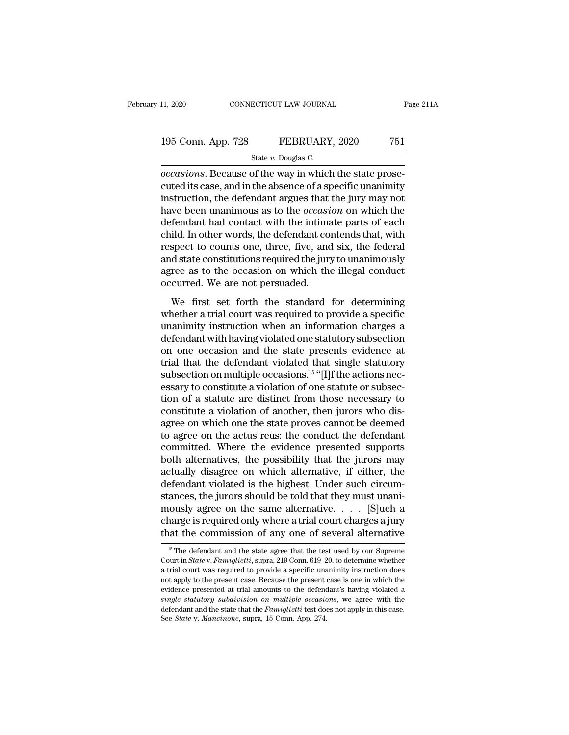### 11, 2020 CONNECTICUT LAW JOURNAL Page 211A<br>195 Conn. App. 728 FEBRUARY, 2020 751<br>State v. Douglas C. ECTICUT LAW JOURNA<br>FEBRUARY<br>State *v*. Douglas C.<br>of the way in which

<sup>11, 2020</sup> CONNECTICUT LAW JOURNAL<br> **Occasions.** App. 728 FEBRUARY, 2020 751<br>
State *v*. Douglas C.<br> *occasions*. Because of the way in which the state prose-<br>
cuted its case, and in the absence of a specific unanimity<br>
in 195 Conn. App. 728 FEBRUARY, 2020 751<br>
State v. Douglas C.<br>
occasions. Because of the way in which the state prose-<br>
cuted its case, and in the absence of a specific unanimity<br>
instruction, the defendant argues that the j 195 Conn. App. 728 FEBRUARY, 2020 751<br>
State v. Douglas C.<br>
occasions. Because of the way in which the state prose-<br>
cuted its case, and in the absence of a specific unanimity<br>
instruction, the defendant argues that the j 195 Conn. App. 728 FEBRUARY, 2020 751<br>
State *v*. Douglas C.<br> *occasions*. Because of the way in which the state prose-<br>
cuted its case, and in the absence of a specific unanimity<br>
instruction, the defendant argues that t State v. Douglas C.<br>
occasions. Because of the way in which the state prose-<br>
cuted its case, and in the absence of a specific unanimity<br>
instruction, the defendant argues that the jury may not<br>
have been unanimous as to state v. Douglas C.<br>
occasions. Because of the way in which the state prose-<br>
cuted its case, and in the absence of a specific unanimity<br>
instruction, the defendant argues that the jury may not<br>
have been unanimous as to occasions. Because of the way in which the state prose-<br>cuted its case, and in the absence of a specific unanimity<br>instruction, the defendant argues that the jury may not<br>have been unanimous as to the *occasion* on which t cuted its case, and in the absence of a specific unanimity<br>instruction, the defendant argues that the jury may not<br>have been unanimous as to the *occasion* on which the<br>defendant had contact with the intimate parts of each instruction, the defendant argues that the jury may not<br>have been unanimous as to the *occasion* on which the<br>defendant had contact with the intimate parts of each<br>child. In other words, the defendant contends that, with<br>r have been unanimous as to the  $occasi$  defendant had contact with the intima<br>child. In other words, the defendant correspect to counts one, three, five, and<br>and state constitutions required the jury<br>agree as to the occasion o Ferminal that contact what the manuate parts of each<br>id. In other words, the defendant contends that, with<br>spect to counts one, three, five, and six, the federal<br>d state constitutions required the jury to unanimously<br>ree a erma: in order words, are detendant estatedias anal, what<br>respect to counts one, three, five, and six, the federal<br>and state constitutions required the jury to unanimously<br>agree as to the occasion on which the illegal cond

Expect to counts one, three, three, three, three, three, three is and state constitutions required the jury to unanimously agree as to the occasion on which the illegal conduct occurred. We are not persuaded.<br>We first set defined and state constantions required and staty of diaminiously<br>agree as to the occasion on which the illegal conduct<br>occurred. We are not persuaded.<br>We first set forth the standard for determining<br>whether a trial court occurred. We are not persuaded.<br>We first set forth the standard for determining<br>whether a trial court was required to provide a specific<br>unanimity instruction when an information charges a<br>defendant with having violated o We first set forth the standard for determining<br>whether a trial court was required to provide a specific<br>unanimity instruction when an information charges a<br>defendant with having violated one statutory subsection<br>on one o We first set forth the standard for determining<br>whether a trial court was required to provide a specific<br>unanimity instruction when an information charges a<br>defendant with having violated one statutory subsection<br>on one o whether a trial court was required to provide a specific<br>unanimity instruction when an information charges a<br>defendant with having violated one statutory subsection<br>on one occasion and the state presents evidence at<br>trial unanimity instruction when an information charges a<br>defendant with having violated one statutory subsection<br>on one occasion and the state presents evidence at<br>trial that the defendant violated that single statutory<br>subsect defendant with having violated one statutory subsection<br>on one occasion and the state presents evidence at<br>trial that the defendant violated that single statutory<br>subsection on multiple occasions.<sup>15</sup> "[I]f the actions nec on one occasion and the state presents evidence at<br>trial that the defendant violated that single statutory<br>subsection on multiple occasions.<sup>15</sup> "[I]f the actions nec-<br>essary to constitute a violation of one statute or sub trial that the defendant violated that single statutory<br>subsection on multiple occasions.<sup>15</sup> "[I]f the actions nec-<br>essary to constitute a violation of one statute or subsec-<br>tion of a statute are distinct from those nece subsection on multiple occasions.<sup>15</sup> "[I]f the actions necessary to constitute a violation of one statute or subsection of a statute are distinct from those necessary to constitute a violation of another, then jurors who essary to constitute a violation of one statute or subsection of a statute are distinct from those necessary to constitute a violation of another, then jurors who disagree on which one the state proves cannot be deemed to tion of a statute are distinct from those necessary to constitute a violation of another, then jurors who disagree on which one the state proves cannot be deemed to agree on the actus reus: the conduct the defendant commit constitute a violation of another, then jurors who disagree on which one the state proves cannot be deemed<br>to agree on the actus reus: the conduct the defendant<br>committed. Where the evidence presented supports<br>both alterna agree on which one the state proves cannot be deemed<br>to agree on the actus reus: the conduct the defendant<br>committed. Where the evidence presented supports<br>both alternatives, the possibility that the jurors may<br>actually di to agree on the actus reus: the conduct the defendant<br>committed. Where the evidence presented supports<br>both alternatives, the possibility that the jurors may<br>actually disagree on which alternative, if either, the<br>defendan committed. Where the evidence presented supports<br>both alternatives, the possibility that the jurors may<br>actually disagree on which alternative, if either, the<br>defendant violated is the highest. Under such circum-<br>stances, both alternatives, the possibility that the jurors may<br>actually disagree on which alternative, if either, the<br>defendant violated is the highest. Under such circum-<br>stances, the jurors should be told that they must unani-<br> ances, the jurors should be told that they must unan-<br>
ously agree on the same alternative. . . . . [S]uch a<br>
harge is required only where a trial court charges a jury<br>
at the commission of any one of several alternative<br> mously agree on the same alternative. . . . . [S]uch a<br>charge is required only where a trial court charges a jury<br>that the commission of any one of several alternative<br><sup>15</sup> The defendant and the state agree that the test u

charge is required only where a trial court charges a jury<br>that the commission of any one of several alternative<br> $\frac{15}{15}$  The defendant and the state agree that the test used by our Supreme<br>Court in *State* v. *Famigli* that the commission of any one of several alternative<br>
<sup>15</sup> The defendant and the state agree that the test used by our Supreme<br>
Court in *State v. Famiglietti*, supra, 219 Conn. 619–20, to determine whether<br>
a trial cour <sup>15</sup> The defendant and the state agree that the test used by our Supreme<br>
<sup>15</sup> The defendant and the state agree that the test used by our Supreme<br>
Court in *State* v. *Famiglietti*, supra, 219 Conn. 619–20, to determine <sup>15</sup> The defendant and the state agree that the test used by our Supreme Court in *State* v. *Famiglietti*, supra, 219 Conn. 619–20, to determine whether a trial court was required to provide a specific unanimity instruct Court in *State* v. *Famiglietti*, supra, 219 Conn. 619–20, to determine whether a trial court was required to provide a specific unanimity instruction does not apply to the present case. Because the present case is one in a trial court was required to provide a specific unanimity instruction does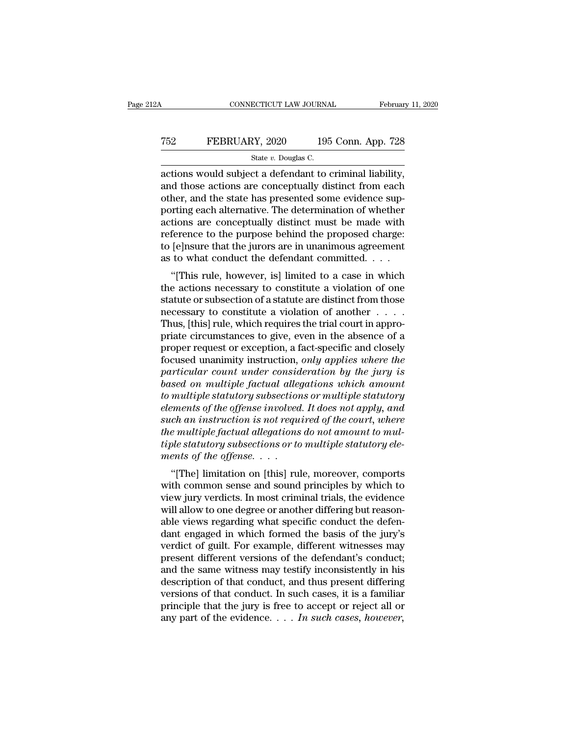### CONNECTICUT LAW JOURNAL February 11, 2020<br>
T52 FEBRUARY, 2020 195 Conn. App. 728<br>
State v. Douglas C. ECTICUT LAW JOURNA<br>2Y, 2020 195<br>State *v.* Douglas C.<br>ct a defendant to 0

CONNECTICUT LAW JOURNAL February 11, 2<br>
T52 FEBRUARY, 2020 195 Conn. App. 728<br>
State v. Douglas C.<br>
actions would subject a defendant to criminal liability,<br>
and those actions are conceptually distinct from each<br>
other and T52 FEBRUARY, 2020 195 Conn. App. 728<br>
State v. Douglas C.<br>
actions would subject a defendant to criminal liability,<br>
and those actions are conceptually distinct from each<br>
other, and the state has presented some evidence T52 FEBRUARY, 2020 195 Conn. App. 728<br>
State v. Douglas C.<br>
actions would subject a defendant to criminal liability,<br>
and those actions are conceptually distinct from each<br>
other, and the state has presented some evidence FEBRUARY, 2020 195 Conn. App. 728<br>
State v. Douglas C.<br>
actions would subject a defendant to criminal liability,<br>
and those actions are conceptually distinct from each<br>
other, and the state has presented some evidence sup State v. Douglas C.<br>
actions would subject a defendant to criminal liability,<br>
and those actions are conceptually distinct from each<br>
other, and the state has presented some evidence sup-<br>
porting each alternative. The de state  $v$ . Douglas C.<br>actions would subject a defendant to criminal liability,<br>and those actions are conceptually distinct from each<br>other, and the state has presented some evidence sup-<br>porting each alternative. The dete actions would subject a defendant to criminal liability,<br>and those actions are conceptually distinct from each<br>other, and the state has presented some evidence sup-<br>porting each alternative. The determination of whether<br>a and those actions are conceptually distinct from each other, and the state has presented some evidence supporting each alternative. The determination of whether actions are conceptually distinct must be made with referenc The same internal some evidence sup-<br>
rting each alternative. The determination of whether<br>
tions are conceptually distinct must be made with<br>
ference to the purpose behind the proposed charge:<br>
[e]nsure that the jurors ar porting each anternative. The determination of whether<br>actions are conceptually distinct must be made with<br>reference to the purpose behind the proposed charge:<br>to [e]nsure that the jurors are in unanimous agreement<br>as to w

actions are conceptually ulstrict must be made whit<br>reference to the purpose behind the proposed charge:<br>to [e]nsure that the jurors are in unanimous agreement<br>as to what conduct the defendant committed.<br>...<br>"[This rule, h reference to the purpose benind the proposed charge.<br>to [e]nsure that the jurors are in unanimous agreement<br>as to what conduct the defendant committed. . . .<br>"[This rule, however, is] limited to a case in which<br>the actions to [e]nsure that the jurors are in unanimous agreement<br>as to what conduct the defendant committed. . . .<br>"[This rule, however, is] limited to a case in which<br>the actions necessary to constitute a violation of one<br>statute as to what conduct the detendant committed.  $\ldots$ <br>
"[This rule, however, is] limited to a case in which<br>
the actions necessary to constitute a violation of one<br>
statute or subsection of a statute are distinct from those<br> "[This rule, however, is] limited to a case in which<br>the actions necessary to constitute a violation of one<br>statute or subsection of a statute are distinct from those<br>necessary to constitute a violation of another  $\dots$ .<br>T focus in a statute a violation of one<br>statute or subsection of a statute are distinct from those<br>necessary to constitute a violation of another . . . . .<br>Thus, [this] rule, which requires the trial court in appro-<br>priate c *partiatute or subsection of a statute are distinct from those*<br> *particular is a violation of another* . . . . . Thus, [this] rule, which requires the trial court in appro-<br>
priate circumstances to give, even in the absen mecessary to constitute a violation of another . . . . . Thus, [this] rule, which requires the trial court in appropriate circumstances to give, even in the absence of a proper request or exception, a fact-specific and clo Thus, [this] rule, which requires the trial court in appro-<br>priate circumstances to give, even in the absence of a<br>proper request or exception, a fact-specific and closely<br>focused unanimity instruction, *only applies where* priate circumstances to give, even in the absence of a<br>proper request or exception, a fact-specific and closely<br>focused unanimity instruction, *only applies where the*<br>particular count under consideration by the jury is<br>ba proper request or exception, a fact-specific and closely<br>focused unanimity instruction, *only applies where the*<br>particular count under consideration by the jury is<br>based on multiple factual allegations which amount<br>to mul focused unanimity instruction, *only applies where the*<br>particular count under consideration by the jury is<br>based on multiple factual allegations which amount<br>to multiple statutory subsections or multiple statutory<br>element particular count under consideration by the jury is<br>based on multiple factual allegations which amount<br>to multiple statutory subsections or multiple statutory<br>elements of the offense involved. It does not apply, and<br>such a *based on multiple factual alle,<br>to multiple statutory subsection<br>elements of the offense involved<br>such an instruction is not requ<br>the multiple factual allegations<br>tiple statutory subsections or to<br>ments of the offense.* . mattiple statutory subsections or mattiple statutory<br>
ements of the offense involved. It does not apply, and<br>
ch an instruction is not required of the court, where<br>
e multiple factual allegations do not amount to mul-<br>
ole Exements by the offense intolted. It does not apply, and<br>such an instruction is not required of the court, where<br>the multiple factual allegations do not amount to mul-<br>tiple statutory subsections or to multiple statutory e

such an instruction is not required of the court, where<br>the multiple factual allegations do not amount to mul-<br>tiple statutory subsections or to multiple statutory ele-<br>ments of the offense.<br>...<br>"[The] limitation on [this the mattiple jactual diegations ab not amount to mattiple statutory subsections or to multiple statutory elements of the offense.<br>
"[The] limitation on [this] rule, moreover, comports<br>
with common sense and sound principle represidently subsections or to mattiple statutory elements of the offense.<br>
"[The] limitation on [this] rule, moreover, comports<br>
with common sense and sound principles by which to<br>
view jury verdicts. In most criminal tr ments of the offerse.  $\ldots$ <br>
"[The] limitation on [this] rule, moreover, comports<br>
with common sense and sound principles by which to<br>
view jury verdicts. In most criminal trials, the evidence<br>
will allow to one degree or "[The] limitation on [this] rule, moreover, comports<br>with common sense and sound principles by which to<br>view jury verdicts. In most criminal trials, the evidence<br>will allow to one degree or another differing but reason-<br>ab with common sense and sound principles by which to<br>view jury verdicts. In most criminal trials, the evidence<br>will allow to one degree or another differing but reason-<br>able views regarding what specific conduct the defen-<br>d view jury verdicts. In most criminal trials, the evidence<br>will allow to one degree or another differing but reason-<br>able views regarding what specific conduct the defen-<br>dant engaged in which formed the basis of the jury's will allow to one degree or another differing but reasonable views regarding what specific conduct the defendant engaged in which formed the basis of the jury's verdict of guilt. For example, different witnesses may presen able views regarding what specific conduct the defendant engaged in which formed the basis of the jury's verdict of guilt. For example, different witnesses may present different versions of the defendant's conduct; and the dant engaged in which formed the basis of the jury's verdict of guilt. For example, different witnesses may present different versions of the defendant's conduct; and the same witness may testify inconsistently in his des verdict of guilt. For example, different witnesses may present different versions of the defendant's conduct; and the same witness may testify inconsistently in his description of that conduct, and thus present differing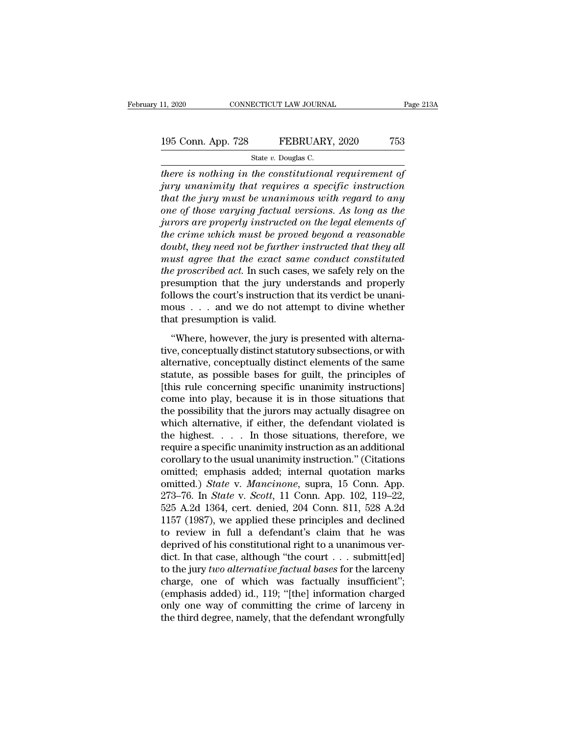### 11, 2020 CONNECTICUT LAW JOURNAL Page 213A<br>195 Conn. App. 728 FEBRUARY, 2020 753<br>State v. Douglas C. ECTICUT LAW JOURNA<br>FEBRUARY<br>State *v.* Douglas C.<br>*The constitutiona*

<sup>11, 2020</sup> CONNECTICUT LAW JOURNAL Page 213<sup>1</sup><br> **there is nothing in the constitutional requirement of**<br> *there is nothing in the constitutional requirement of*<br> *there is nothing in the constitutional requirement of*<br> *th <u>195 Conn. App. 728</u> FEBRUARY, 2020 753<br> <i>State v. Douglas C.*<br> *there is nothing in the constitutional requirement of*<br> *jury unanimity that requires a specific instruction*<br> *that the jury must be unanimous with reg* <sup>195</sup> Conn. App. 728 FEBRUARY, 2020 753<br> **there is nothing in the constitutional requirement of**<br> *there is nothing in the constitutional requirement of*<br> *that the jury must be unanimous with regard to any*<br> *one of those* <sup>195</sup> Conn. App. 728 FEBRUARY, 2020 753<br>
<sup>State v. Douglas C.<br> *there is nothing in the constitutional requirement of*<br> *jury unanimity that requires a specific instruction*<br> *that the jury must be unanimous with regard to</sup> State v. Douglas C.*<br> *State v. Douglas C.*<br> *incre is nothing in the constitutional requirement of*<br> *jury unanimity that requires a specific instruction*<br> *that the jury must be unanimous with regard to any*<br> *one of th* <sup>51</sup><br> *there is nothing in the constitutional requirement of*<br> *jury unanimity that requires a specific instruction*<br> *that the jury must be unanimous with regard to any*<br> *one of those varying factual versions. As long as there is nothing in the constitutional requirement of*<br>*jury unanimity that requires a specific instruction*<br>*that the jury must be unanimous with regard to any*<br>*one of those varying factual versions. As long as the*<br>*ju jury unanimity that requires a specific instruction*<br>*that the jury must be unanimous with regard to any*<br>*one of those varying factual versions. As long as the<br>jurors are properly instructed on the legal elements of*<br>*th that the jury must be unanimous with regard to any*<br>one of those varying factual versions. As long as the<br>jurors are properly instructed on the legal elements of<br>the crime which must be proved beyond a reasonable<br>doubt, t one of those varying factual versions. As long as the<br>jurors are properly instructed on the legal elements of<br>the crime which must be proved beyond a reasonable<br>doubt, they need not be further instructed that they all<br>must jurors are properly instructed on the legal elements of<br>the crime which must be proved beyond a reasonable<br>doubt, they need not be further instructed that they all<br>must agree that the exact same conduct constituted<br>the pr the crime which must be proved beyond a reasonable<br>doubt, they need not be further instructed that they all<br>must agree that the exact same conduct constituted<br>the proscribed act. In such cases, we safely rely on the<br>presu doubt, they need not be further<br>must agree that the exact sar<br>the proscribed act. In such case<br>presumption that the jury une<br>follows the court's instruction t<br>mous . . . and we do not atter<br>that presumption is valid.<br>"Wher *e proscribed act.* In such cases, we safely rely on the esumption that the jury understands and properly llows the court's instruction that its verdict be unanious . . . and we do not attempt to divine whether at presumpt the procentical det. In such cases, we safely fely on the<br>presumption that the jury understands and properly<br>follows the court's instruction that its verdict be unani-<br>mous . . . and we do not attempt to divine whether<br>tha

follows the court's instruction that its verdict be unani-<br>mous  $\dots$  and we do not attempt to divine whether<br>that presumption is valid.<br>"Where, however, the jury is presented with alterna-<br>tive, conceptually distinct stat statute, as possible bases for guilt, the principles of the same statute, as possible bases for guilt, the principles of this rule conceptually distinct statutory subsections, or with alternative, conceptually distinct el  $t$  is reached with alternative, that we do not determ to divide which that presumption is valid.<br>
"Where, however, the jury is presented with alternative, conceptually distinct statutory subsections, or with alternative, "Where, however, the jury is presented with alternative, conceptually distinct statutory subsections, or with alternative, conceptually distinct elements of the same statute, as possible bases for guilt, the principles of "Where, however, the jury is presented with alternative, conceptually distinct statutory subsections, or with alternative, conceptually distinct elements of the same statute, as possible bases for guilt, the principles of tive, conceptually distinct statutory subsections, or with<br>alternative, conceptually distinct elements of the same<br>statute, as possible bases for guilt, the principles of<br>[this rule concerning specific unanimity instructio alternative, conceptually distinct elements of the same<br>statute, as possible bases for guilt, the principles of<br>[this rule concerning specific unanimity instructions]<br>come into play, because it is in those situations that<br> statute, as possible bases for guilt, the principles of [this rule concerning specific unanimity instructions]<br>come into play, because it is in those situations that<br>the possibility that the jurors may actually disagree o [this rule concerning specific unanimity instructions]<br>come into play, because it is in those situations that<br>the possibility that the jurors may actually disagree on<br>which alternative, if either, the defendant violated i come into play, because it is in those situations that<br>the possibility that the jurors may actually disagree on<br>which alternative, if either, the defendant violated is<br>the highest.... In those situations, therefore, we<br>re the possibility that the jurors may actually disagree on<br>which alternative, if either, the defendant violated is<br>the highest.... In those situations, therefore, we<br>require a specific unanimity instruction as an additional<br> which alternative, if either, the defendant violated is<br>the highest.... In those situations, therefore, we<br>require a specific unanimity instruction as an additional<br>corollary to the usual unanimity instruction." (Citations the highest. . . . . In those situations, therefore, we<br>require a specific unanimity instruction as an additional<br>corollary to the usual unanimity instruction." (Citations<br>omitted, emphasis added; internal quotation marks require a specific unanimity instruction as an additional<br>corollary to the usual unanimity instruction." (Citations<br>omitted; emphasis added; internal quotation marks<br>omitted.) *State* v. *Mancinone*, supra, 15 Conn. App.<br>2 corollary to the usual unanimity instruction." (Citations<br>
omitted.) *State* v. *Mancinone*, supra, 15 Conn. App.<br>
273–76. In *State* v. *Scott*, 11 Conn. App. 102, 119–22,<br>
525 A.2d 1364, cert. denied, 204 Conn. 811, 528 omitted; emphasis added; internal quotation marks<br>omitted.) *State* v. *Mancinone*, supra, 15 Conn. App.<br>273–76. In *State* v. *Scott*, 11 Conn. App. 102, 119–22,<br>525 A.2d 1364, cert. denied, 204 Conn. 811, 528 A.2d<br>1157 ( omitted.) *State* v. *Mancinone*, supra, 15 Conn. App. 273–76. In *State* v. *Scott*, 11 Conn. App. 102, 119–22, 525 A.2d 1364, cert. denied, 204 Conn. 811, 528 A.2d 1157 (1987), we applied these principles and declined to 273–76. In *State* v. *Scott*, 11 Conn. App. 102, 119–22, 525 A.2d 1364, cert. denied, 204 Conn. 811, 528 A.2d 1157 (1987), we applied these principles and declined to review in full a defendant's claim that he was deprive 525 A.2d 1364, cert. denied, 204 Conn. 811, 528 A.2d<br>1157 (1987), we applied these principles and declined<br>to review in full a defendant's claim that he was<br>deprived of his constitutional right to a unanimous ver-<br>dict. I 1157 (1987), we applied these principles and declined<br>to review in full a defendant's claim that he was<br>deprived of his constitutional right to a unanimous ver-<br>dict. In that case, although "the court  $\dots$  submitt[ed]<br>to to review in full a defendant's claim that he was<br>deprived of his constitutional right to a unanimous ver-<br>dict. In that case, although "the court  $\ldots$  submitt[ed]<br>to the jury *two alternative factual bases* for the larc deprived of his constitutional right to a unanimous verdict. In that case, although "the court . . . submitt[ed] to the jury *two alternative factual bases* for the larceny charge, one of which was factually insufficient";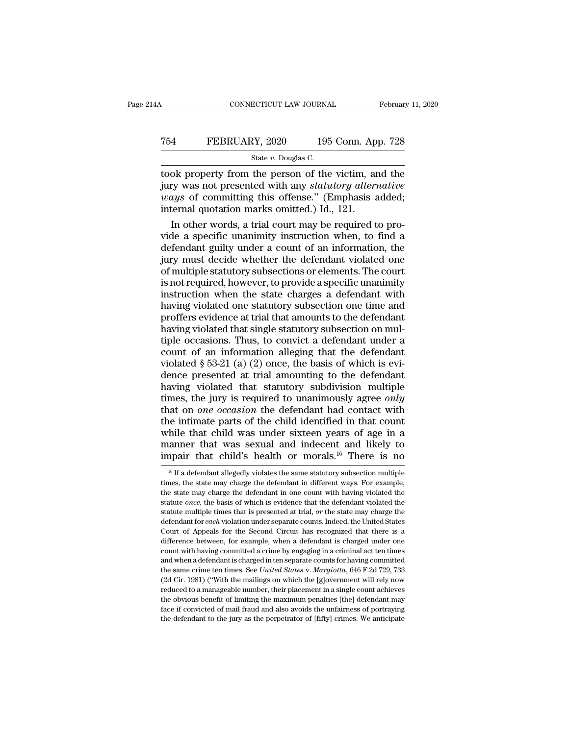### CONNECTICUT LAW JOURNAL February 11, 2020<br>
754 FEBRUARY, 2020 195 Conn. App. 728<br>
5tate v. Douglas C. ECTICUT LAW JOURNA<br>2Y, 2020 195<br>State *v.* Douglas C.<br>The nerson of the

CONNECTICUT LAW JOURNAL February 11, 2020<br>
T54 FEBRUARY, 2020 195 Conn. App. 728<br>
State v. Douglas C.<br>
Took property from the person of the victim, and the<br>
jury was not presented with any *statutory alternative* FEBRUARY, 2020 195 Conn. App. 728<br>
state v. Douglas C.<br>
took property from the person of the victim, and the<br>
jury was not presented with any *statutory alternative*<br>
ways of committing this offense." (Emphasis added;<br>
int *FEBRUARY*, 2020 195 Conn. App. 728<br> *wate v. Douglas C.*<br> **ways** of committing this offense.'' (Emphasis added;<br> *ways* of committing this offense.'' (Emphasis added;<br>
internal quotation marks omitted.) Id., 121. FEBRUARY, 2020 195 Conn. Ap<br>
state v. Douglas C.<br>
took property from the person of the victim, an<br>
jury was not presented with any statutory altern<br>
ways of committing this offense." (Emphasis a<br>
internal quotation marks State v. Douglas C.<br>
Ok property from the person of the victim, and the<br>
ry was not presented with any *statutory alternative*<br>
ry so of committing this offense." (Emphasis added;<br>
ternal quotation marks omitted.) Id., 12 video took property from the person of the victim, and the<br>jury was not presented with any *statutory alternative*<br>*ways* of committing this offense." (Emphasis added;<br>internal quotation marks omitted.) Id., 121.<br>In other

took property from the person of the victim, and the<br>jury was not presented with any *statutory alternative*<br>*ways* of committing this offense." (Emphasis added;<br>internal quotation marks omitted.) Id., 121.<br>In other words, jury was not presented with any *statutory alternative*<br>*ways* of committing this offense." (Emphasis added;<br>internal quotation marks omitted.) Id., 121.<br>In other words, a trial court may be required to pro-<br>vide a specifi *ways* of committing this offense." (Emphasis added;<br>internal quotation marks omitted.) Id., 121.<br>In other words, a trial court may be required to pro-<br>vide a specific unanimity instruction when, to find a<br>defendant guilty internal quotation marks omitted.) Id., 121.<br>In other words, a trial court may be required to pro-<br>vide a specific unanimity instruction when, to find a<br>defendant guilty under a count of an information, the<br>jury must decid In other words, a trial court may be required to provide a specific unanimity instruction when, to find a defendant guilty under a count of an information, the jury must decide whether the defendant violated one of multipl vide a specific unanimity instruction when, to find a defendant guilty under a count of an information, the jury must decide whether the defendant violated one of multiple statutory subsections or elements. The court is no defendant guilty under a count of an information, the<br>jury must decide whether the defendant violated one<br>of multiple statutory subsections or elements. The court<br>is not required, however, to provide a specific unanimity<br>i jury must decide whether the defendant violated one<br>of multiple statutory subsections or elements. The court<br>is not required, however, to provide a specific unanimity<br>instruction when the state charges a defendant with<br>hav of multiple statutory subsections or elements. The court<br>is not required, however, to provide a specific unanimity<br>instruction when the state charges a defendant with<br>having violated one statutory subsection one time and<br> is not required, however, to provide a specific unanimity<br>instruction when the state charges a defendant with<br>having violated one statutory subsection one time and<br>proffers evidence at trial that amounts to the defendant<br> instruction when the state charges a defendant with<br>having violated one statutory subsection one time and<br>proffers evidence at trial that amounts to the defendant<br>having violated that single statutory subsection on mul-<br>t having violated one statutory subsection one time and<br>proffers evidence at trial that amounts to the defendant<br>having violated that single statutory subsection on mul-<br>tiple occasions. Thus, to convict a defendant under a proffers evidence at trial that amounts to the defendant<br>having violated that single statutory subsection on mul-<br>tiple occasions. Thus, to convict a defendant under a<br>count of an information alleging that the defendant<br>v thaving violated that single statutory subsection on mul-<br>tiple occasions. Thus, to convict a defendant under a<br>count of an information alleging that the defendant<br>violated § 53-21 (a) (2) once, the basis of which is evi-<br> tiple occasions. Thus, to convict a defendant under a<br>count of an information alleging that the defendant<br>violated  $\S 53-21$  (a) (2) once, the basis of which is evi-<br>dence presented at trial amounting to the defendant<br>hav count of an information alleging that the defendant<br>violated  $\S$  53-21 (a) (2) once, the basis of which is evi-<br>dence presented at trial amounting to the defendant<br>having violated that statutory subdivision multiple<br>times violated § 53-21 (a) (2) once, the basis of which is evi-<br>dence presented at trial amounting to the defendant<br>having violated that statutory subdivision multiple<br>times, the jury is required to unanimously agree *only*<br>tha dence presented at trial amounting to the defendant<br>having violated that statutory subdivision multiple<br>times, the jury is required to unanimously agree *only*<br>that on *one occasion* the defendant had contact with<br>the int having violated that statutory subdivision multiple<br>times, the jury is required to unanimously agree *only*<br>that on *one occasion* the defendant had contact with<br>the intimate parts of the child identified in that count<br>wh 16 If a defendant allegedly violates the same statutory subsection multiple and indexent and likely to apair that child's health or morals.<sup>16</sup> There is no  $\frac{16}{16}$  If a defendant allegedly violates the same statutory while that child was under sixteen years of age in a<br>manner that was sexual and indecent and likely to<br>impair that child's health or morals.<sup>16</sup> There is no<br> $\frac{16}{16}$  If a defendant allegedly violates the same statutory

manner that was sexual and indecent and likely to<br>impair that child's health or morals.<sup>16</sup> There is no<br> $\frac{16}{16}$  If a defendant allegedly violates the same statutory subsection multiple<br>times, the state may charge the impair that child's health or morals.<sup>16</sup> There is no<br><sup>16</sup> If a defendant allegedly violates the same statutory subsection multiple<br>times, the state may charge the defendant in different ways. For example,<br>the state may ch If the statute multiple times that is presented at trial, *or* the state may charge the defendant in different ways. For example, the state may charge the defendant in different ways. For example, the state may charge the <sup>16</sup> If a defendant allegedly violates the same statutory subsection multiple times, the state may charge the defendant in one count with having violated the statute *once*, the basis of which is evidence that the defenda times, the state may charge the defendant in different ways. For example, the state may charge the defendant in one count with having violated the statute *once*, the basis of which is evidence that the defendant violated difference between, for example, when a defendant is charged the statute *once*, the basis of which is evidence that the defendant violated the statute multiple times that is presented at trial, *or* the state may charge statute *once*, the basis of which is evidence that the defendant violated the statute multiple times that is presented at trial, *or* the state may charge the defendant for *each* violation under separate counts. Indeed, statute multiple times that is presented at trial, *or* the state may charge the defendant for *each* violation under separate counts. Indeed, the United States Court of Appeals for the Second Circuit has recognized that defendant for *each* violation under separate counts. Indeed, the United States Court of Appeals for the Second Circuit has recognized that there is a difference between, for example, when a defendant is charged under one Court of Appeals for the Second Circuit has recognized that there is a difference between, for example, when a defendant is charged under one count with having committed a crime by engaging in a criminal act ten times and difference between, for example, when a defendant is charged under one count with having committed a crime by engaging in a criminal act ten times and when a defendant is charged in ten separate counts for having committe count with having committed a crime by engaging in a criminal act ten times<br>and when a defendant is charged in ten separate counts for having committed<br>the same crime ten times. See *United States v. Margiotta*, 646 F.2d 7 and when a defendant is charged in ten separate counts for having committed the same crime ten times. See *United States v. Margiotta*, 646 F.2d 729, 733 (2d Cir. 1981) ("With the mailings on which the [g]overnment will r the same crime ten times. See *United States v. Margiotta*, 646 F.2d 729, 733 (2d Cir. 1981) ("With the mailings on which the [g]overnment will rely now reduced to a manageable number, their placement in a single count ac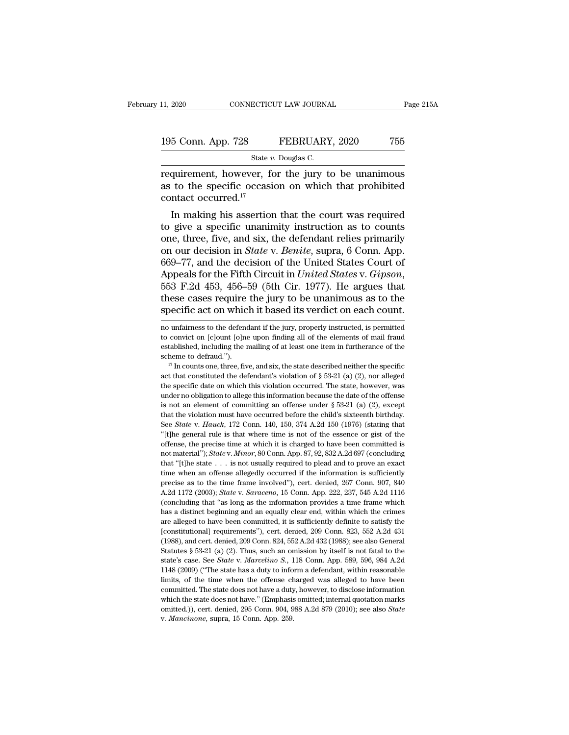11, 2020 CONNECTICUT LAW JOURNAL Page 215A<br>
195 Conn. App. 728 FEBRUARY, 2020 755<br>
State v. Douglas C.<br>
requirement, however, for the jury to be unanimous<br>
as to the specific occasion on which that prohibited<br>
contact occ 195 Conn. App. 728 FEBRUARY, 2020 755<br>
State v. Douglas C.<br>
Tequirement, however, for the jury to be unanimous<br>
as to the specific occasion on which that prohibited<br>
contact occurred.<sup>17</sup> 195 Conn. App. 728<br>
state *v*<br>
requirement, however, for<br>
as to the specific occasi<br>
contact occurred.<sup>17</sup><br>
In making his assertion 5 Conn. App. 728 FEBRUARY, 2020 755<br>
State v. Douglas C.<br>
quirement, however, for the jury to be unanimous<br>
to the specific occasion on which that prohibited<br>
ntact occurred.<sup>17</sup><br>
In making his assertion that the court wa

State v. Douglas C.<br>
Trequirement, however, for the jury to be unanimous<br>
as to the specific occasion on which that prohibited<br>
contact occurred.<sup>17</sup><br>
In making his assertion that the court was required<br>
to give a specifi requirement, however, for the jury to be unanimous<br>as to the specific occasion on which that prohibited<br>contact occurred.<sup>17</sup><br>In making his assertion that the court was required<br>to give a specific unanimity instruction as requirement, nowever, for the jury to be unanimous<br>as to the specific occasion on which that prohibited<br>contact occurred.<sup>17</sup><br>In making his assertion that the court was required<br>to give a specific unanimity instruction as as to the specific occasion on which that pronibited<br>contact occurred.<sup>17</sup><br>In making his assertion that the court was required<br>to give a specific unanimity instruction as to counts<br>one, three, five, and six, the defendant contact occurred.<sup>22</sup><br>In making his assertion that the court was required<br>to give a specific unanimity instruction as to counts<br>one, three, five, and six, the defendant relies primarily<br>on our decision in *State* v. *Benit* to give a specific unanimity instruction as to counts<br>one, three, five, and six, the defendant relies primarily<br>on our decision in *State* v. *Benite*, supra, 6 Conn. App.<br>669–77, and the decision of the United States Cour one, three, five, and six, the defendant relies primarily<br>on our decision in *State* v. *Benite*, supra, 6 Conn. App.<br>669–77, and the decision of the United States Court of<br>Appeals for the Fifth Circuit in *United States* Appeals for the Fifth Circuit in *United States v. Gipson*,<br>553 F.2d 453, 456–59 (5th Cir. 1977). He argues that<br>these cases require the jury to be unanimous as to the<br>specific act on which it based its verdict on each co 553 F.2d 453, 456–59 (5th Cir. 1977). He argues that these cases require the jury to be unanimous as to the specific act on which it based its verdict on each count.<br>no unfairness to the defendant if the jury, properly ins

these cases require the jury to be unanimous as to the specific act on which it based its verdict on each count.<br>no unfairness to the defendant if the jury, properly instructed, is permitted to convict on [c]ount [o]ne upo specific act on which it based its verdict on each count.<br>
mo unfairness to the defendant if the jury, properly instructed, is permitted<br>
to convict on [c]ount [o]ne upon finding all of the elements of mail fraud<br>
establi no unfairness to the defendant if the jury, properly instructed, is permitted to convict on [c]ount [o]ne upon finding all of the elements of mail fraud established, including the mailing of at least one item in furtheran

to convict on [c]ount [o]ne upon finding all of the elements of mail fraud established, including the mailing of at least one item in furtherance of the scheme to defraud.").<br>
<sup>17</sup> In counts one, three, five, and six, the established, including the mailing of at least one item in furtherance of the scheme to defraud.").<br>
<sup>17</sup> In counts one, three, five, and six, the state described neither the specific<br>
act that constituted the defendant's scheme to defraud.").<br>
<sup>17</sup> In counts one, three, five, and six, the state described neither the specific<br>
act that constituted the defendant's violation of § 53-21 (a) (2), nor alleged<br>
the specific date on which this vi <sup>17</sup> In counts one, three, five, and six, the state described neither the specific act that constituted the defendant's violation of § 53-21 (a) (2), nor alleged the specific date on which this violation occurred. The sta and that constituted the defendant's violation of § 53-21 (a) (2), nor alleged<br>the specific date on which this violation occurred. The state, however, was<br>under no obligation to allege this information because the date of the specific date on which this violation occurred. The state, however, was under no obligation to allege this information because the date of the offense is not an element of committing an offense under  $\S$  53-21 (a) (2) under no obligation to allege this information because the date of the offense<br>is not an element of committing an offense under § 53-21 (a) (2), except<br>that the violation must have occurred before the child's sixteenth bi is not an element of committing an offense under § 53-21 (a) (2), except<br>that the violation must have occurred before the child's sixteenth birthday.<br>See *State* v. *Hauck*, 172 Conn. 140, 150, 374 A.2d 150 (1976) (statin that the violation must have occurred before the child's sixteenth birthday.<br>See *State* v. *Hauck*, 172 Conn. 140, 150, 374 A.2d 150 (1976) (stating that "[t]he general rule is that where time is not of the essence or gi See *State* v. *Hauck*, 172 Conn. 140, 150, 374 A.2d 150 (1976) (stating that "[t]he general rule is that where time is not of the essence or gist of the offense, the precise time at which it is charged to have been commi "(the general rule is that where time is not of the essence or gist of the offense, the precise time at which it is charged to have been committed is not material"); *State v. Minor*, 80 Conn. App. 87, 92, 832 A.2d 697 (c terms external that the precise time at which it is charged to have been committed is not material"); *State* v. *Minor*, 80 Conn. App. 87, 92, 832 A.2d 697 (concluding that "[t]he state . . . is not usually required to pl not material"); *State v. Minor*, 80 Conn. App. 87, 92, 832 A.2d 697 (concluding that "[t]he state . . . is not usually required to plead and to prove an exact time when an offense allegedly occurred if the information is that "[t]he state  $\cdot \cdot$  is not usually required to plead and to prove an exact<br>time when an offense allegedly occurred if the information is sufficiently<br>precise as to the time frame involved"), cert. denied, 267 Conn. 9 are universed in the mean offense allegedly occurred if the information is sufficiently precise as to the time frame involved"), cert. denied, 267 Conn. 907, 840 A.2d 1172 (2003); *State v. Saraceno*, 15 Conn. App. 222, 23 precise as to the time frame involved"), cert. denied, 267 Conn. 907, 840<br>A.2d 1172 (2003); *State v. Saraceno*, 15 Conn. App. 222, 237, 545 A.2d 1116<br>(concluding that "as long as the information provides a time frame whic precise as to the time frame involved"), cert. denied, 267 Conn. 907, 840 A.2d 1172 (2003); *State* v. *Saraceno*, 15 Conn. App. 222, 237, 545 A.2d 1116 (concluding that "as long as the information provides a time frame w (concluding that "as long as the information provides a time frame which has a distinct beginning and an equally clear end, within which the crimes are alleged to have been committed, it is sufficiently definite to satisf has a distinct beginning and an equally clear end, within which the crimes<br>has a distinct beginning and an equally clear end, within which the crimes<br>are alleged to have been committed, it is sufficiently definite to satis are alleged to have been committed, it is sufficiently definite to satisfy the [constitutional] requirements"), cert. denied, 209 Conn. 823, 552 A.2d 431 (1988), and cert. denied, 209 Conn. 824, 552 A.2d 432 (1988); see a Limitational proper ments"), cert. denied, 209 Conn. 823, 552 A.2d 431 (1988), and cert. denied, 209 Conn. 824, 552 A.2d 432 (1988); see also General Statutes § 53-21 (a) (2). Thus, such an omission by itself is not fatal (1988), and cert. denied, 209 Conn. 824, 552 A.2d 432 (1988); see also General Statutes § 53-21 (a) (2). Thus, such an omission by itself is not fatal to the state's case. See *State v. Marcelino S.*, 118 Conn. App. 589, Statutes § 53-21 (a) (2). Thus, such an omission by itself is not fatal to the state's case. See *State* v. *Marcelino S.*, 118 Conn. App. 589, 596, 984 A.2d 1148 (2009) ("The state has a duty to inform a defendant, wit state's case. See *State* v. *Marcelino S.*, 118 Conn. App. 589, 596, 984 A.2d 1148 (2009) ("The state has a duty to inform a defendant, within reasonable limits, of the time when the offense charged was alleged to have be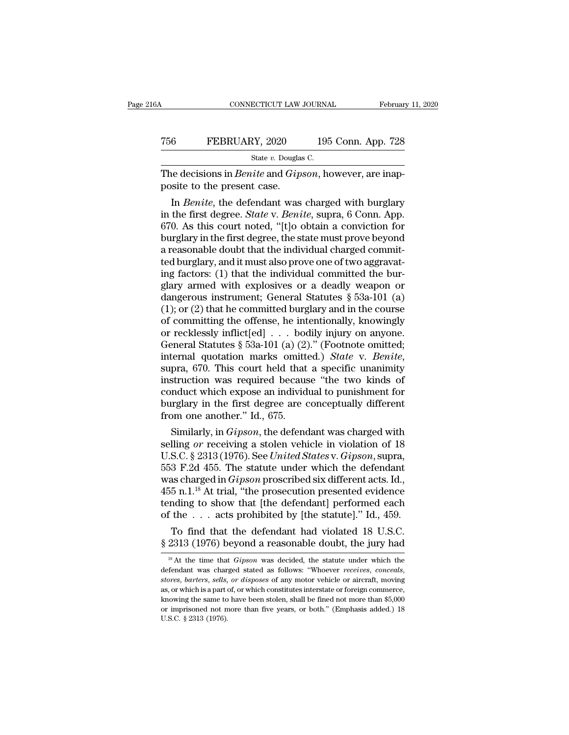| jΑ                                                                                                   | CONNECTICUT LAW JOURNAL |  | February 11, 2020  |  |
|------------------------------------------------------------------------------------------------------|-------------------------|--|--------------------|--|
| 756                                                                                                  | FEBRUARY, 2020          |  | 195 Conn. App. 728 |  |
| State v. Douglas C.                                                                                  |                         |  |                    |  |
| The decisions in <i>Benite</i> and <i>Gipson</i> , however, are inap-<br>posite to the present case. |                         |  |                    |  |
| In Benite, the defendant was charged with burglary                                                   |                         |  |                    |  |

FEBRUARY, 2020 195 Conn. App. 728<br>
State *v*. Douglas C.<br>
in *Benite* and *Gipson*, however, are inapsite to the present case.<br>
In *Benite*, the defendant was charged with burglary<br>
the first degree. *State v. Benite*, sup FEBRUARY, 2020 195 Conn. App. 728<br>
state v. Douglas C.<br>
The decisions in *Benite* and *Gipson*, however, are inapposite to the present case.<br>
In *Benite*, the defendant was charged with burglary<br>
in the first degree. *Stat* State v. Douglas C.<br>
The decisions in *Benite* and *Gipson*, however, are inapposite to the present case.<br>
In *Benite*, the defendant was charged with burglary<br>
in the first degree. *State* v. *Benite*, supra, 6 Conn. App The decisions in *Benite* and *Gipson*, however, are inapposite to the present case.<br>
In *Benite*, the defendant was charged with burglary<br>
in the first degree. *State* v. *Benite*, supra, 6 Conn. App.<br>
670. As this court The decisions in *Benite* and *Gipson*, however, are mapposite to the present case.<br>
In *Benite*, the defendant was charged with burglary<br>
in the first degree. *State* v. *Benite*, supra, 6 Conn. App.<br>
670. As this court posite to the present case.<br>
In *Benite*, the defendant was charged with burglary<br>
in the first degree. *State* v. *Benite*, supra, 6 Conn. App.<br>
670. As this court noted, "[t]o obtain a conviction for<br>
burglary in the fir In *Benite*, the defendant was charged with burglary<br>in the first degree. *State* v. *Benite*, supra, 6 Conn. App.<br>670. As this court noted, "[t]o obtain a conviction for<br>burglary in the first degree, the state must prove in the first degree. *State* v. *Benite*, supra, 6 Conn. App.<br>670. As this court noted, "[t]o obtain a conviction for<br>burglary in the first degree, the state must prove beyond<br>a reasonable doubt that the individual charge 670. As this court noted, "[t]o obtain a conviction for<br>burglary in the first degree, the state must prove beyond<br>a reasonable doubt that the individual charged commit-<br>ted burglary, and it must also prove one of two aggr burglary in the first degree, the state must prove beyond<br>a reasonable doubt that the individual charged commit-<br>ted burglary, and it must also prove one of two aggravat-<br>ing factors: (1) that the individual committed the a reasonable doubt that the individual charged commit-<br>ted burglary, and it must also prove one of two aggravat-<br>ing factors: (1) that the individual committed the bur-<br>glary armed with explosives or a deadly weapon or<br>da ted burglary, and it must also prove one of two aggravating factors: (1) that the individual committed the burglary armed with explosives or a deadly weapon or dangerous instrument; General Statutes  $\S$  53a-101 (a) (1); o ing factors: (1) that the individual committed the burglary armed with explosives or a deadly weapon or dangerous instrument; General Statutes  $\S$  53a-101 (a) (1); or (2) that he committed burglary and in the course of co glary armed with explosives or a deadly weapon or<br>dangerous instrument; General Statutes § 53a-101 (a)<br>(1); or (2) that he committed burglary and in the course<br>of committing the offense, he intentionally, knowingly<br>or reck (1); or (2) that he committed burglary and in the course<br>of committing the offense, he intentionally, knowingly<br>or recklessly inflict[ed] . . . bodily injury on anyone.<br>General Statutes § 53a-101 (a) (2)." (Footnote omitt of committing the offense, he intentionally, knowingly<br>or recklessly inflict[ed] . . . bodily injury on anyone.<br>General Statutes § 53a-101 (a) (2)." (Footnote omitted;<br>internal quotation marks omitted.) *State* v. *Benite* or recklessly inflict[ed]  $\ldots$  bodily injury on anyone.<br>General Statutes § 53a-101 (a) (2)." (Footnote omitted;<br>internal quotation marks omitted.) *State* v. *Benite*,<br>supra, 670. This court held that a specific unanimit General Statutes  $\S$  53a-101 (a) (2)<br>internal quotation marks omitte<br>supra, 670. This court held that<br>instruction was required becaus<br>conduct which expose an individ<br>burglary in the first degree are of<br>from one another." Framal quotation marks omitted.) *State v. Benite*,<br>pra, 670. This court held that a specific unanimity<br>struction was required because "the two kinds of<br>nduct which expose an individual to punishment for<br>reglary in the fir supra, 670. This court held that a specific unanimity<br>instruction was required because "the two kinds of<br>conduct which expose an individual to punishment for<br>burglary in the first degree are conceptually different<br>from one

mstruction was required because "the two kinds of<br>conduct which expose an individual to punishment for<br>burglary in the first degree are conceptually different<br>from one another." Id., 675.<br>Similarly, in *Gipson*, the defend conduct which expose an individual to punishment for<br>burglary in the first degree are conceptually different<br>from one another." Id., 675.<br>Similarly, in *Gipson*, the defendant was charged with<br>selling *or* receiving a sto burglary in the first degree are conceptually different<br>from one another." Id., 675.<br>Similarly, in *Gipson*, the defendant was charged with<br>selling *or* receiving a stolen vehicle in violation of 18<br>U.S.C. § 2313 (1976). S 1455 rm and the results of the sets probabilited by the statute of the procedure of the prosecution of  $18$  U.S.C. § 2313 (1976). See *United States v. Gipson*, supra,  $553$  F.2d 455. The statute under which the defendant Similarly, in *Gipson*, the defendant was charged with<br>selling *or* receiving a stolen vehicle in violation of 18<br>U.S.C. § 2313 (1976). See *United States* v. *Gipson*, supra,<br>553 F.2d 455. The statute under which the def selling *or* receiving a stolen vehicle in violation of 18<br>U.S.C. § 2313 (1976). See *United States* v. *Gipson*, supra,<br>553 F.2d 455. The statute under which the defendant<br>was charged in *Gipson* proscribed six different S.C. § 2313 (1976). See *United States v. Gipson*, supra,<br>3 F.2d 455. The statute under which the defendant<br>as charged in *Gipson* proscribed six different acts. Id.,<br>5 n.1.<sup>18</sup> At trial, "the prosecution presented eviden 553 F.2d 455. The statute under which the defendant<br>was charged in *Gipson* proscribed six different acts. Id.,<br>455 n.1.<sup>18</sup> At trial, "the prosecution presented evidence<br>tending to show that [the defendant] performed eac tending to show that [the defendant] performed each of the . . . acts prohibited by [the statute]." Id., 459.<br>To find that the defendant had violated 18 U.S.C.  $\S 2313 (1976)$  beyond a reasonable doubt, the jury had  $\frac{18$ 

of the . . . acts pronibited by [the statute]. Id., 459.<br>To find that the defendant had violated 18 U.S.C.<br>§ 2313 (1976) beyond a reasonable doubt, the jury had<br><sup>18</sup> At the time that *Gipson* was decided, the statute under  $$2313 (1976)$  beyond a reasonable doubt, the jury had<br>
<sup>18</sup> At the time that *Gipson* was decided, the statute under which the defendant was charged stated as follows: "Whoever *receives, conceals, stores, barters, sell*  $R_{18}$  and  $R_{18}$  and  $R_{18}$  are to have been stolen, the statute under which the defendant was charged stated as follows: "Whoever *receives, conceals, stores, barters, sells, or disposes* of any motor vehicle or airc <sup>18</sup> At the time that *Gipson* was decided, the statute under which the defendant was charged stated as follows: "Whoever *receives*, *conceals*, *stores*, *barters*, *sells*, *or disposes* of any motor vehicle or aircraf stores, barters, sells, or disposes of any motor vehicle or aircraft, moving as, or which is a part of, or which constitutes interstate or foreign commerce, knowing the same to have been stolen, shall be fined not more th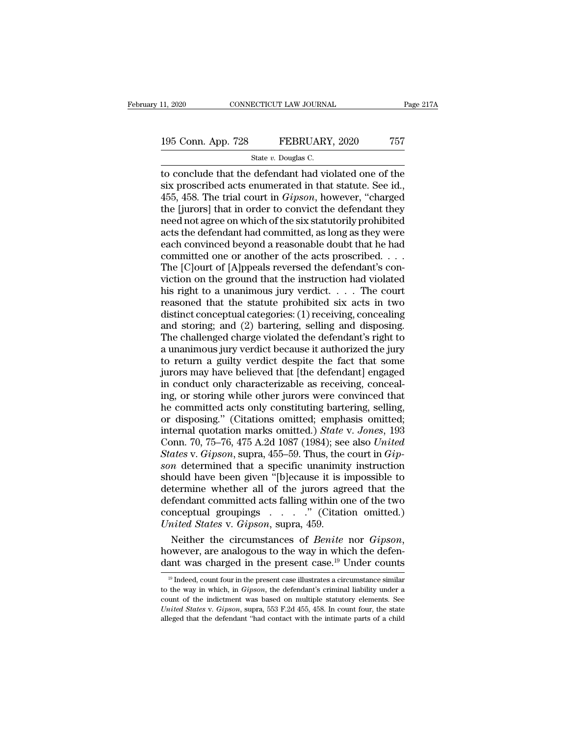### 11, 2020 CONNECTICUT LAW JOURNAL Page 217A<br>195 Conn. App. 728 FEBRUARY, 2020 757<br>State v. Douglas C. ECTICUT LAW JOURNA<br>FEBRUARY<br>State *v.* Douglas C.<br>defendant had vic

11, 2020 CONNECTICUT LAW JOURNAL Page 217A<br>
195 Conn. App. 728 FEBRUARY, 2020 757<br>
State v. Douglas C.<br>
to conclude that the defendant had violated one of the<br>
six proscribed acts enumerated in that statute. See id.,<br>
455 195 Conn. App. 728 FEBRUARY, 2020 757<br>
State v. Douglas C.<br>
to conclude that the defendant had violated one of the<br>
six proscribed acts enumerated in that statute. See id.,<br>
455, 458. The trial court in *Gipson*, however, 195 Conn. App. 728 FEBRUARY, 2020 757<br>
State v. Douglas C.<br>
to conclude that the defendant had violated one of the<br>
six proscribed acts enumerated in that statute. See id.,<br>
455, 458. The trial court in *Gipson*, however, 195 Conn. App. 728 FEBRUARY, 2020 757<br>
State v. Douglas C.<br>
to conclude that the defendant had violated one of the<br>
six proscribed acts enumerated in that statute. See id.,<br>
455, 458. The trial court in *Gipson*, however, Solution of the six status of the six proscribed acts enumerated in that statute. See id.,<br>455, 458. The trial court in *Gipson*, however, "charged<br>the [jurors] that in order to convict the defendant they<br>need not agree o State v. Douglas C.<br>
to conclude that the defendant had violated one of the<br>
six proscribed acts enumerated in that statute. See id.,<br>
455, 458. The trial court in *Gipson*, however, "charged<br>
the [jurors] that in order t to conclude that the defendant had violated one of the<br>six proscribed acts enumerated in that statute. See id.,<br>455, 458. The trial court in *Gipson*, however, "charged<br>the [jurors] that in order to convict the defendant six proscribed acts enumerated in that statute. See id.,<br>455, 458. The trial court in *Gipson*, however, "charged<br>the [jurors] that in order to convict the defendant they<br>need not agree on which of the six statutorily proh 455, 458. The trial court in *Gipson*, however, "charged<br>the [jurors] that in order to convict the defendant they<br>need not agree on which of the six statutorily prohibited<br>acts the defendant had committed, as long as they the [jurors] that in order to convict the defendant they<br>need not agree on which of the six statutorily prohibited<br>acts the defendant had committed, as long as they were<br>each convinced beyond a reasonable doubt that he had need not agree on which of the six statutorily prohibited<br>acts the defendant had committed, as long as they were<br>each convinced beyond a reasonable doubt that he had<br>committed one or another of the acts proscribed. . . .<br>T acts the defendant had committed, as long as they were<br>each convinced beyond a reasonable doubt that he had<br>committed one or another of the acts proscribed. . . .<br>The [C]ourt of [A]ppeals reversed the defendant's con-<br>vic each convinced beyond a reasonable doubt that he had<br>committed one or another of the acts proscribed. . . .<br>The [C]ourt of [A]ppeals reversed the defendant's con-<br>viction on the ground that the instruction had violated<br>hi committed one or another of the acts proscribed.  $\ldots$ <br>The [C]ourt of [A]ppeals reversed the defendant's conviction on the ground that the instruction had violated<br>his right to a unanimous jury verdict.  $\ldots$ . The court<br>r The [C]ourt of [A]ppeals reversed the defendant's conviction on the ground that the instruction had violated<br>his right to a unanimous jury verdict..... The court<br>reasoned that the statute prohibited six acts in two<br>distin viction on the ground that the instruction had violated<br>his right to a unanimous jury verdict.  $\ldots$  The court<br>reasoned that the statute prohibited six acts in two<br>distinct conceptual categories: (1) receiving, concealing his right to a unanimous jury verdict.  $\ldots$  The court reasoned that the statute prohibited six acts in two distinct conceptual categories: (1) receiving, concealing and storing; and (2) bartering, selling and disposing. reasoned that the statute prohibited six acts in two<br>distinct conceptual categories: (1) receiving, concealing<br>and storing; and (2) bartering, selling and disposing.<br>The challenged charge violated the defendant's right to<br> distinct conceptual categories: (1) receiving, concealing<br>and storing; and (2) bartering, selling and disposing.<br>The challenged charge violated the defendant's right to<br>a unanimous jury verdict because it authorized the ju and storing; and (2) bartering, selling and disposing.<br>The challenged charge violated the defendant's right to<br>a unanimous jury verdict because it authorized the jury<br>to return a guilty verdict despite the fact that some<br>j The challenged charge violated the defendant's right to<br>a unanimous jury verdict because it authorized the jury<br>to return a guilty verdict despite the fact that some<br>jurors may have believed that [the defendant] engaged<br>i a unanimous jury verdict because it authorized the jury<br>to return a guilty verdict despite the fact that some<br>jurors may have believed that [the defendant] engaged<br>in conduct only characterizable as receiving, conceal-<br>ing to return a guilty verdict despite the fact that some<br>jurors may have believed that [the defendant] engaged<br>in conduct only characterizable as receiving, conceal-<br>ing, or storing while other jurors were convinced that<br>he c jurors may have believed that [the defendant] engaged<br>in conduct only characterizable as receiving, conceal-<br>ing, or storing while other jurors were convinced that<br>he committed acts only constituting bartering, selling,<br>or in conduct only characterizable as receiving, concealing, or storing while other jurors were convinced that he committed acts only constituting bartering, selling, or disposing." (Citations omitted; emphasis omitted; inter ing, or storing while other jurors were convinced that<br>he committed acts only constituting bartering, selling,<br>or disposing." (Citations omitted; emphasis omitted;<br>internal quotation marks omitted.) *State* v. Jones, 193<br>C he committed acts only constituting bartering, selling,<br>or disposing." (Citations omitted; emphasis omitted;<br>internal quotation marks omitted.) *State v. Jones*, 193<br>Conn. 70, 75–76, 475 A.2d 1087 (1984); see also *United<br>* or disposing." (Citations omitted; emphasis omitted;<br>internal quotation marks omitted.) *State v. Jones*, 193<br>Conn. 70, 75–76, 475 A.2d 1087 (1984); see also *United*<br>*States v. Gipson*, supra, 455–59. Thus, the court in internal quotation marks omitted.) State v. Jones, 193<br>Conn. 70, 75–76, 475 A.2d 1087 (1984); see also United<br>States v. Gipson, supra, 455–59. Thus, the court in Gip-<br>son determined that a specific unanimity instruction<br>s Conn. 70, 75–76, 475 A.2d 1087 (1984); see also *United*<br>States v. Gipson, supra, 455–59. Thus, the court in Gipson determined that a specific unanimity instruction<br>should have been given "[b]ecause it is impossible to<br>de Conn. 70, 75–76, 475 A.2d 1087 (1984); see also *United*<br>*States* v. *Gipson*, supra, 455–59. Thus, the court in *Gipson* determined that a specific unanimity instruction<br>should have been given "[b]ecause it is impossible son determined that a specific unanimity instruction<br>should have been given "[b]ecause it is impossible to<br>determine whether all of the jurors agreed that the<br>defendant committed acts falling within one of the two<br>conceptu determine whether all of the jurors agreed that the<br>defendant committed acts falling within one of the two<br>conceptual groupings . . . . ." (Citation omitted.)<br>*United States* v. *Gipson*, supra, 459.<br>Neither the circumsta

Neither the circumstances of *Benite* nor *Gipson*,<br>
Neither the circumstances of *Benite* nor *Gipson*,<br>
owever, are analogous to the way in which the defen-<br>
ant was charged in the present case illustrates a circumstanc Neither the circumstances of *Benite* nor *Gipson*,<br>however, are analogous to the way in which the defen-<br>dant was charged in the present case.<sup>19</sup> Under counts<br><sup>19</sup> Indeed, count four in the present case illustrates a cir

however, are analogous to the way in which the defendant was charged in the present case.<sup>19</sup> Under counts<br> $\frac{19}{19}$  Indeed, count four in the present case illustrates a circumstance similar<br>to the way in which, in *Gip* dant was charged in the present case.<sup>19</sup> Under counts<br><sup>19</sup> Indeed, count four in the present case illustrates a circumstance similar<br>to the way in which, in *Gipson*, the defendant's criminal liability under a<br>count of th  $^{\rm 19}$  Indeed, count four in the present case illustrates a circumstance similar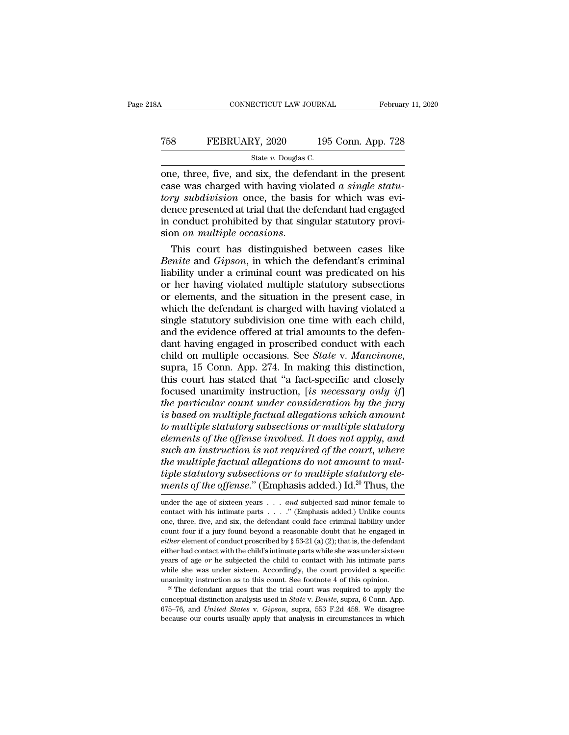CONNECTICUT LAW JOURNAL February 11, 2020<br>
T58 FEBRUARY, 2020 195 Conn. App. 728<br>
State v. Douglas C.<br>
One, three, five, and six, the defendant in the present<br>
case was charged with having violated *a single statu-*TEBRUARY, 2020 195 Conn. App. 728<br>
State *v*. Douglas C.<br>
one, three, five, and six, the defendant in the present<br>
case was charged with having violated *a single statu-*<br> *tory subdivision* once, the basis for which was e *T58* **FEBRUARY**, 2020 **195 Conn. App. 728**<br> *State v. Douglas C.*<br> **one, three, five, and six, the defendant in the present case was charged with having violated** *a single statu-tory subdivision* **once, the basis for whic** T58 FEBRUARY, 2020 195 Conn. App. 728<br>
State v. Douglas C.<br>
One, three, five, and six, the defendant in the present<br>
case was charged with having violated *a single statu-*<br>
tory subdivision once, the basis for which was State v. Douglas C.<br>
State v. Douglas C.<br>
One, three, five, and six, the defendant in the present<br>
case was charged with having violated *a single statu-*<br>
tory *subdivision* once, the basis for which was evi-<br>
dence pres state *v*. Douglas C.<br>
one, three, five, and six, the defendant in the present<br>
case was charged with having violated *a single statu-*<br> *tory subdivision* once, the basis for which was evi-<br>
dence presented at trial that case was charged with having violated *a single statu-<br><i>tory subdivision* once, the basis for which was evi-<br>dence presented at trial that the defendant had engaged<br>in conduct prohibited by that singular statutory provi-<br>s

tory subdivision once, the basis for which was evi-<br>dence presented at trial that the defendant had engaged<br>in conduct prohibited by that singular statutory provi-<br>sion *on multiple occasions*.<br>This court has distinguished dence presented at trial that the defendant had engaged<br>in conduct prohibited by that singular statutory provi-<br>sion *on multiple occasions*.<br>This court has distinguished between cases like<br>*Benite* and *Gipson*, in which in conduct prohibited by that singular statutory provision *on multiple occasions*.<br>
This court has distinguished between cases like<br> *Benite* and *Gipson*, in which the defendant's criminal<br>
liability under a criminal co sion *on multiple occasions*.<br>This court has distinguished between cases like<br>*Benite* and *Gipson*, in which the defendant's criminal<br>liability under a criminal count was predicated on his<br>or her having violated multiple This court has distinguished between cases like<br>Benite and Gipson, in which the defendant's criminal<br>liability under a criminal count was predicated on his<br>or her having violated multiple statutory subsections<br>or elements, Benite and Gipson, in which the defendant's criminal liability under a criminal count was predicated on his or her having violated multiple statutory subsections or elements, and the situation in the present case, in which liability under a criminal count was predicated on his<br>or her having violated multiple statutory subsections<br>or elements, and the situation in the present case, in<br>which the defendant is charged with having violated a<br>sing or her having violated multiple statutory subsections<br>or elements, and the situation in the present case, in<br>which the defendant is charged with having violated a<br>single statutory subdivision one time with each child,<br>and which the defendant is charged with having violated a<br>single statutory subdivision one time with each child,<br>and the evidence offered at trial amounts to the defen-<br>dant having engaged in proscribed conduct with each<br>chil single statutory subdivision one time with each child,<br>and the evidence offered at trial amounts to the defen-<br>dant having engaged in proscribed conduct with each<br>child on multiple occasions. See *State* v. Mancinone,<br>supr and the evidence offered at trial amounts to the defen-<br>dant having engaged in proscribed conduct with each<br>child on multiple occasions. See *State v. Mancinone*,<br>supra, 15 Conn. App. 274. In making this distinction,<br>this dant having engaged in proscribed conduct with each<br>child on multiple occasions. See *State* v. *Mancinone*,<br>supra, 15 Conn. App. 274. In making this distinction,<br>this court has stated that "a fact-specific and closely<br>foc child on multiple occasions. See *State* v. *Mancinone*,<br>
supra, 15 Conn. App. 274. In making this distinction,<br>
this court has stated that "a fact-specific and closely<br>
focused unanimity instruction, [*is necessary only i elements of the multiple factual allegations do not amount the multiple factual distinction,*<br> *elements of the particular count under consideration by the jury*<br> *is based on multiple factual allegations which amount*<br> *such this court has stated that "a fact-specific and closely focused unanimity instruction, [is necessary only if]*<br>*the particular count under consideration by the jury*<br>*is based on multiple factual allegations which am* focused unanimity instruction, [is necessary only if]<br>the particular count under consideration by the jury<br>is based on multiple factual allegations which amount<br>to multiple statutory subsections or multiple statutory<br>elem *the particular count under consideration by the jury*<br>*is based on multiple factual allegations which amount*<br>*to multiple statutory subsections or multiple statutory*<br>*elements of the offense involved. It does not apply, is based on multiple factual allegations which amount*<br>to multiple statutory subsections or multiple statutory<br>elements of the offense involved. It does not apply, and<br>such an instruction is not required of the court, wh such an instruction is not required of the court, where<br>the multiple factual allegations do not amount to mul-<br>tiple statutory subsections or to multiple statutory ele-<br>ments of the offense." (Emphasis added.) Id.<sup>20</sup> Thu the multiple factual allegations do not amount to mul-<br>tiple statutory subsections or to multiple statutory ele-<br>ments of the offense." (Emphasis added.) Id.<sup>20</sup> Thus, the<br>under the age of sixteen years . . . and subjecte

exact a contact with the club shall the contact with his intimate parts<br>while she was under sixteen. Accordingly, the court provided a specific<br>unanimity instruction as to this count. See footnote 4 of this opinion.<br><sup>20</sup> T

tiple statutory subsections or to multiple statutory elements of the offense." (Emphasis added.) Id.<sup>20</sup> Thus, the under the age of sixteen years . . . *and* subjected said minor female to contact with his intimate parts ments of the offense." (Emphasis added.) Id.<sup>20</sup> Thus, the<br>under the age of sixteen years . . . *and* subjected said minor female to<br>contact with his intimate parts . . . . ." (Emphasis added.) Unlike counts<br>one, three, f *either* elements of *the ofference*. (Entiphrasis added.) Id. Thus, the under the age of sixteen years . . . *and* subjected said minor female to contact with his intimate parts . . . . " (Emphasis added.) Unlike counts o under the age of sixteen years  $\ldots$  *and* subjected said minor female to contact with his intimate parts  $\ldots$ ." (Emphasis added.) Unlike counts one, three, five, and six, the defendant could face criminal liability unde contact with his intimate parts  $\ldots$ ." (Emphasis added.) Unlike counts<br>one, three, five, and six, the defendant could face criminal liability under<br>count four if a jury found beyond a reasonable doubt that he engaged in<br> one, three, five, and six, the defendant could face criminal liability under<br>count four if a jury found beyond a reasonable doubt that he engaged in<br>*either* element of conduct proscribed by § 53-21 (a) (2); that is, the count four if a jury found beyond a reasonable doubt that he engaged in *either* element of conduct proscribed by § 53-21 (a) (2); that is, the defendant either had contact with the child's intimate parts while she was un either had contact with the child's intimate parts while she was under sixteen years of age *or* he subjected the child to contact with his intimate parts while she was under sixteen. Accordingly, the court provided a spe while she was under sixteen. Accordingly, the court provided a specific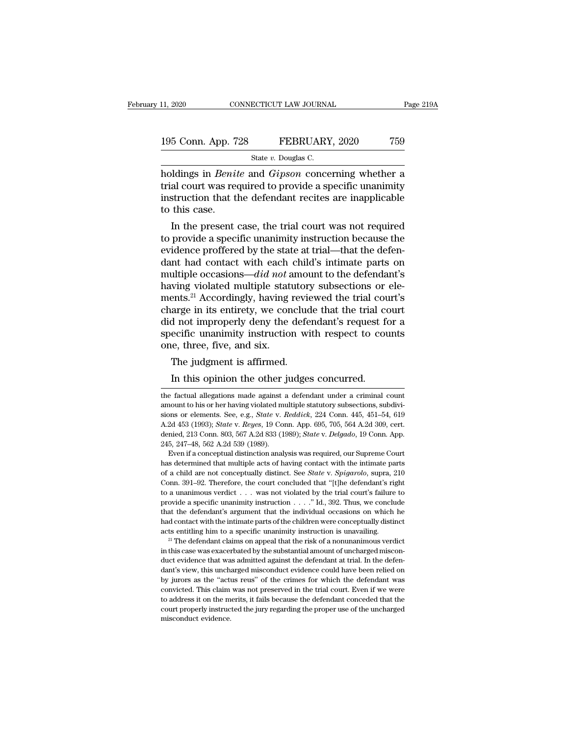11, 2020 CONNECTICUT LAW JOURNAL Page 219A<br>
195 Conn. App. 728 FEBRUARY, 2020 759<br>
State v. Douglas C.<br>
holdings in *Benite* and *Gipson* concerning whether a<br>
trial court was required to provide a specific unanimity<br>
inst 195 Conn. App. 728 FEBRUARY, 2020 759<br>State v. Douglas C.<br>holdings in *Benite* and *Gipson* concerning whether a<br>trial court was required to provide a specific unanimity<br>instruction that the defendant recites are inapplica 195 Conn. App. 728 FEBRUARY, 2020 759<br>
State v. Douglas C.<br>
holdings in *Benite* and *Gipson* concerning whether a<br>
trial court was required to provide a specific unanimity<br>
instruction that the defendant recites are inap 195 Conn. App. 7<br>holdings in *Benit*<br>trial court was rea<br>instruction that the this case.<br>In the present State v. Douglas C.<br>
Ildings in *Benite* and *Gipson* concerning whether a<br>
al court was required to provide a specific unanimity<br>
struction that the defendant recites are inapplicable<br>
this case.<br>
In the present case, th holdings in *Benite* and *Gipson* concerning whether a<br>trial court was required to provide a specific unanimity<br>instruction that the defendant recites are inapplicable<br>to this case.<br>In the present case, the trial court was

moldings in *Benite* and *Gipson* concerning whether a<br>trial court was required to provide a specific unanimity<br>instruction that the defendant recites are inapplicable<br>to this case.<br>In the present case, the trial court wa trial court was required to provide a specific unanimity<br>instruction that the defendant recites are inapplicable<br>to this case.<br>In the present case, the trial court was not required<br>to provide a specific unanimity instruct mstruction that the defendant recites are inapplicable<br>to this case.<br>In the present case, the trial court was not required<br>to provide a specific unanimity instruction because the<br>evidence proffered by the state at trial—th to this case.<br>
In the present case, the trial court was not required<br>
to provide a specific unanimity instruction because the<br>
evidence proffered by the state at trial—that the defen-<br>
dant had contact with each child's i In the present case, the trial court was not required<br>to provide a specific unanimity instruction because the<br>evidence proffered by the state at trial—that the defen-<br>dant had contact with each child's intimate parts on<br>m to provide a specific unanimity instruction because the evidence proffered by the state at trial—that the defendant had contact with each child's intimate parts on multiple occasions— $did$  *not* amount to the defendant's ha evidence proffered by the state at trial—that the defendant had contact with each child's intimate parts on multiple occasions— $did$  *not* amount to the defendant's having violated multiple statutory subsections or elements dant had contact with each child's intimate parts on<br>multiple occasions— $did$  *not* amount to the defendant's<br>having violated multiple statutory subsections or ele-<br>ments.<sup>21</sup> Accordingly, having reviewed the trial court's<br> multiple occasions— $did$  *not* a<br>having violated multiple staturents.<sup>21</sup> Accordingly, having i<br>charge in its entirety, we con<br>did not improperly deny the<br>specific unanimity instruction<br>one, three, five, and six.<br>The judgme wing violated multiple statutor<br>ents.<sup>21</sup> Accordingly, having revident<br>arge in its entirety, we concluded not improperly deny the defection<br>ecific unanimity instruction wife, three, five, and six.<br>The judgment is affirmed. In this entirety, we conclude that the trial correct areas arge in its entirety, we conclude that the trial correct do not improperly deny the defendant's request for ecific unanimity instruction with respect to courred, t

that the defendant's argument that the individual occasions on which he had contact with the intimate parts of the children were conceptually distinct acts entitling him to a specific unanimity instruction is unavailing.<br> and contact with the intimate parts of the children were conceptually distinct acts entitling him to a specific unanimity instruction is unavailing.<br><sup>21</sup> The defendant claims on appeal that the risk of a nonunanimous verdi acts entitling him to a specific unanimity instruction is unavailing.<br>
<sup>21</sup> The defendant claims on appeal that the risk of a nonunanimous verdict<br>
in this case was exacerbated by the substantial amount of uncharged misco <sup>21</sup> The defendant claims on appeal that the risk of a nonunanimous verdict<br><sup>21</sup> The defendant claims on appeal that the risk of a nonunanimous verdict<br>in this case was exacerbated by the substantial amount of uncharged mi the metals was exacerbated by the substantial amount of uncharged misconduct evidence that was admitted against the defendant at trial. In the defendant's view, this uncharged misconduct evidence could have been relied on duct evidence that was admitted against the defendant at trial. In the defendant's view, this uncharged misconduct evidence could have been relied on by jurors as the "actus reus" of the crimes for which the defendant was duct evidence that was admitted against the defendant at trial. In the defendant's view, this uncharged misconduct evidence could have been relied on by jurors as the "actus reus" of the crimes for which the defendant was

one, three, five, and six.<br>The judgment is affirmed.<br>In this opinion the other judges concurred.<br>the factual allegations made against a defendant under a criminal count<br>amount to his or her having violated multiple statuto one, three, five, and six.<br>
The judgment is affirmed.<br>
In this opinion the other judges concurred.<br>
the factual allegations made against a defendant under a criminal count<br>
amount to his or her having violated multiple st The judgment is affirmed.<br>In this opinion the other judges concurred.<br>the factual allegations made against a defendant under a criminal count<br>amount to his or her having violated multiple statutory subsections, subdivi-<br>si In this opinion the other judges concurred.<br>the factual allegations made against a defendant under a criminal count<br>amount to his or her having violated multiple statutory subsections, subdivi-<br>sions or elements. See, e.g. In this opinion the other judges concurred.<br>
the factual allegations made against a defendant under a criminal count<br>
amount to his or her having violated multiple statutory subsections, subdivi-<br>
sions or elements. See, e the factual allegations made against a<br>mount to his or her having violated m<br>sions or elements. See, e.g., *State v. 1*<br>A.2d 453 (1993); *State v. Reyes*, 19 Cor<br>denied, 213 Conn. 803, 567 A.2d 833 (19<br>245, 247–48, 562 A.2 nount to his or her having violated multiple statutory subsections, subdivi-<br>ons or elements. See, e.g., *State v. Reddick*, 224 Conn. 445, 451–54, 619<br>2d 453 (1993); *State v. Reyes*, 19 Conn. App. 695, 705, 564 A.2d 309, sions or elements. See, e.g., *State v. Reddick*, 224 Conn. 445, 451–54, 619<br>A.2d 453 (1993); *State v. Reyes*, 19 Conn. App. 695, 705, 564 A.2d 309, cert.<br>denied, 213 Conn. 803, 567 A.2d 833 (1989); *State v. Delgado*, 1

A 2d 453 (1993); *State* v. *Reyes*, 19 Conn. App. 695, 705, 564 A 2d 309, cert.<br>denied, 213 Conn. 803, 567 A 2d 833 (1989); *State* v. *Delgado*, 19 Conn. App.<br>245, 247–48, 562 A 2d 539 (1989).<br>Even if a conceptual distin denied, 213 Conn. 803, 567 A.2d 833 (1989); *State v. Delgado*, 19 Conn. App.<br>245, 247–48, 562 A.2d 539 (1989).<br>Even if a conceptual distinction analysis was required, our Supreme Court<br>has determined that multiple acts o 245, 247–48, 562 A.2d 539 (1989).<br>
Even if a conceptual distinction analysis was required, our Supreme Court<br>
has determined that multiple acts of having contact with the intimate parts<br>
of a child are not conceptually di Even if a conceptual distinction analysis was required, our Supreme Court<br>has determined that multiple acts of having contact with the intimate parts<br>of a child are not conceptually distinct. See *State* v. *Spigarolo*, s The defermined that multiple acts of having contact with the intimate parts of a child are not conceptually distinct. See *State* v. *Spigarolo*, supra, 210 Conn. 391–92. Therefore, the court concluded that "[t]he defenda for a child are not conceptually distinct. See *State v. Spigarolo*, supra, 210 Conn. 391–92. Therefore, the court concluded that "[t]he defendant's right to a unanimous verdict . . . was not violated by the trial court's Conn. 391–92. Therefore, the court concluded that "[the defendant's right to a unanimous verdict . . . was not violated by the trial court's failure to provide a specific unanimity instruction . . . ." Id., 392. Thus, we provide a specific unanimity instruction  $\ldots$ ." Id., 392. Thus, we conclude that the defendant's argument that the individual occasions on which he had contact with the intimate parts of the children were conceptually di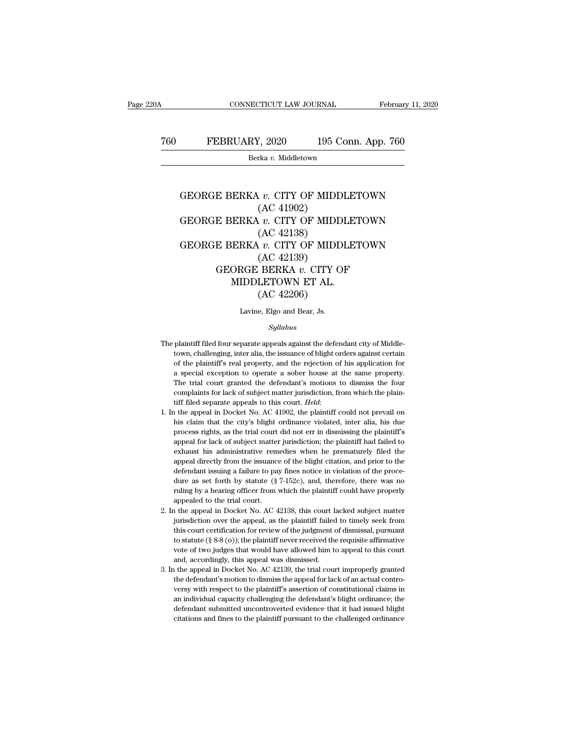# CONNECTICUT LAW JOURNAL February 11, 2020<br>
760 FEBRUARY, 2020 195 Conn. App. 760<br>
<sup>Berka v.</sup> Middletown

Berka *v.* Middletown

## FEBRUARY, 2020 195 Conn. App. 760<br>Berka *v.* Middletown<br>GEORGE BERKA *v.* CITY OF MIDDLETOWN<br>(AC 41902)  $\frac{Z}{2020}$  195 C<br>  $\frac{X}{2020}$ <br>  $\frac{X}{2020}$ <br>  $\frac{Y}{2020}$ <br>  $\frac{Y}{2020}$ <br>  $\frac{Y}{2020}$ <br>  $\frac{Y}{2020}$ <br>  $\frac{Y}{2020}$ Eerka *v.* Middletown<br>Berka *v.* CITY OF MIDDLETOWN<br>GEORGE BERKA *v.* CITY OF MIDDLETOWN<br>GEORGE BERKA *v.* CITY OF MIDDLETOWN<br>(AC 42138) rka v. Middletown<br>
v. CITY OF MIDD<br>
(AC 41902)<br>
v. CITY OF MIDD<br>
(AC 42138)<br>
v. CITY OF MIDD<br>
(AC 42120) GEORGE BERKA  $v$ . CITY OF MIDDLETOWN<br>
(AC 41902)<br>
GEORGE BERKA  $v$ . CITY OF MIDDLETOWN<br>
(AC 42138)<br>
GEORGE BERKA  $v$ . CITY OF MIDDLETOWN<br>
(AC 42139)<br>
CEORGE BERKA  $v$ . CITY OF MIDDLETOWN<br>
(AC 42139) *v. CITY OF MIDD*<br>
(AC 41902)<br> *v. CITY OF MIDD*<br>
(AC 42138)<br> *v. CITY OF MIDD*<br>
(AC 42139)<br>
BERKA *v. CITY* O E BERKA *v.* CITY OF MIDDLETOWN<br>
(AC 41902)<br>
E BERKA *v.* CITY OF MIDDLETOWN<br>
(AC 42138)<br>
E BERKA *v.* CITY OF MIDDLETOWN<br>
(AC 42139)<br>
GEORGE BERKA *v.* CITY OF<br>
MIDDLETOWN ET AL.<br>
(AC 42206)  $\begin{array}{c} \text{(AC 41902)}\\ \text{ERKA $v$. CITY OF MIDDLE'}\\ \text{(AC 42138)}\\ \text{ERKA $v$. CITY OF MIDDLE'}\\ \text{(AC 42139)}\\ \text{ORGE BERKA $v$. CITY OF MIDDLETOWN ET AL.}\\ \text{(AC 42206)} \end{array}$ A v. CITY OF MIDD<br>(AC 42138)<br> $\upsilon$ . CITY OF MIDD<br>(AC 42139)<br>BERKA v. CITY O<br>LETOWN ET AL.<br>(AC 42206)<br>e, Elgo and Bear, Js. (AC 42139)<br>GEORGE BERKA  $v$ . CITY OF<br>MIDDLETOWN ET AL.<br>(AC 42206)<br>Lavine, Elgo and Bear, Js.

### *Syllabus*

- The plaintiff filed four separate appeals against the defendant city of Middle-Lavine, Elgo and Bear, Js.<br>  $Syllabus$ <br>
plaintiff filed four separate appeals against the defendant city of Middle-<br>
town, challenging, inter alia, the issuance of blight orders against certain<br>
of the plaintiff's real propert Lavine, Elgo and Bear, Js.<br>
Syllabus<br>
plaintiff filed four separate appeals against the defendant city of Middle-<br>
town, challenging, inter alia, the issuance of blight orders against certain<br>
of the plaintiff's real prope Syllabus<br>
plaintiff filed four separate appeals against the defendant city of Middle-<br>
town, challenging, inter alia, the issuance of blight orders against certain<br>
of the plaintiff's real property, and the rejection of hi Sylabus<br>
plaintiff filed four separate appeals against the defendant city of Middle-<br>
town, challenging, inter alia, the issuance of blight orders against certain<br>
of the plaintiff's real property, and the rejection of his plaintiff filed four separate appeals against the defendant city of Middle-<br>town, challenging, inter alia, the issuance of blight orders against certain<br>of the plaintiff's real property, and the rejection of his applicatio tiff filed separate appeals to this court. *Held*: 1. In the appeal in Docket No. AC 41902, the plaintiff could not prevail on the appeal in Docket No. AC 41902, the plaintiff could not prevail on this claim that the city' a special exception to operate a sober house at the same property.<br>The trial court granted the defendant's motions to dismiss the four<br>complaints for lack of subject matter jurisdiction, from which the plain-<br>tiff filed se
- The trial court granted the defendant's motions to dismiss the four complaints for lack of subject matter jurisdiction, from which the plaintiff filed separate appeals to this court. *Held*: the appeal in Docket No. AC 419 complaints for lack of subject matter jurisdiction, from which the plaintiff filed separate appeals to this court. *Held*:<br>
a the appeal in Docket No. AC 41902, the plaintiff could not prevail on<br>
his claim that the city's tiff filed separate appeals to this court. *Held*:<br>
a the appeal in Docket No. AC 41902, the plaintiff could not prevail on<br>
his claim that the city's blight ordinance violated, inter alia, his due<br>
process rights, as the appeal in Docket No. AC 41902, the plaintiff could not prevail on his claim that the city's blight ordinance violated, inter alia, his due process rights, as the trial court did not err in dismissing the plaintiff's appeal 1. In the appeal in Docket No. AC 41902, the plaintiff could not prevail on his claim that the city's blight ordinance violated, inter alia, his due process rights, as the trial court did not err in dismissing the plainti process rights, as the trial court did not err in dismissing the plaintiff's<br>appeal for lack of subject matter jurisdiction; the plaintiff had failed to<br>exhaust his administrative remedies when he prematurely filed the<br>app appeal for lack of subject matter jurisdiction; the plaintiff had failed to exhaust his administrative remedies when he prematurely filed the appeal directly from the issuance of the blight citation, and prior to the defe exhaust his administrative rem<br>appeal directly from the issuance<br>defendant issuing a failure to pa<br>dure as set forth by statute (§<br>ruling by a hearing officer from<br>appealed to the trial court.<br>1 the appeal in Docket No. AC appeal directly from the issuance of the blight citation, and prior to the defendant issuing a failure to pay fines notice in violation of the procedure as set forth by statute  $(\S 7-152c)$ , and, therefore, there was no r defendant issuing a failure to pay fines notice in violation of the procedure as set forth by statute  $(\S 7-152c)$ , and, therefore, there was no ruling by a hearing officer from which the plaintiff could have properly app
- dure as set forth by statute (§ 7-152c), and, therefore, there was no<br>ruling by a hearing officer from which the plaintiff could have properly<br>appealed to the trial court.<br>the appeal in Docket No. AC 42138, this court lack ruling by a hearing officer from which the plaintiff could have properly<br>appealed to the trial court.<br>1 the appeal in Docket No. AC 42138, this court lacked subject matter<br>jurisdiction over the appeal, as the plaintiff fai appealed to the trial court.<br>
It the appeal in Docket No. AC 42138, this court lacked subject matter<br>
jurisdiction over the appeal, as the plaintiff failed to timely seek from<br>
this court certification for review of the j i the appeal in Docket No. AC 42138, this court lightly<br>jurisdiction over the appeal, as the plaintiff failed<br>this court certification for review of the judgment  $\alpha$ <br>to statute (§ 8-8 (o)); the plaintiff never received t jurisdiction over the appeal, as the plaintiff failed to timely seek from<br>this court certification for review of the judgment of dismissal, pursuant<br>to statute (§ 8-8 (o)); the plaintiff never received the requisite affir jurisdiction over the appeal, as the plaintiff failed to timely seek from<br>this court certification for review of the judgment of dismissal, pursuant<br>to statute (§ 8-8 (o)); the plaintiff never received the requisite affir
- to statute (§ 8-8 (o)); the plaintiff never received the requisite affirmative<br>vote of two judges that would have allowed him to appeal to this court<br>and, accordingly, this appeal was dismissed.<br>the appeal in Docket No. AC vote of two judges that would have allowed him to appeal to this court<br>and, accordingly, this appeal was dismissed.<br>In the appeal in Docket No. AC 42139, the trial court improperly granted<br>the defendant's motion to dismiss and, accordingly, this appeal was dismissed.<br>
The appeal in Docket No. AC 42139, the trial court improperly granted<br>
the defendant's motion to dismiss the appeal for lack of an actual contro-<br>
versy with respect to the pla 3. In the appeal in Docket No. AC 42139, the trial court improperly granted the defendant's motion to dismiss the appeal for lack of an actual controversy with respect to the plaintiff's assertion of constitutional claims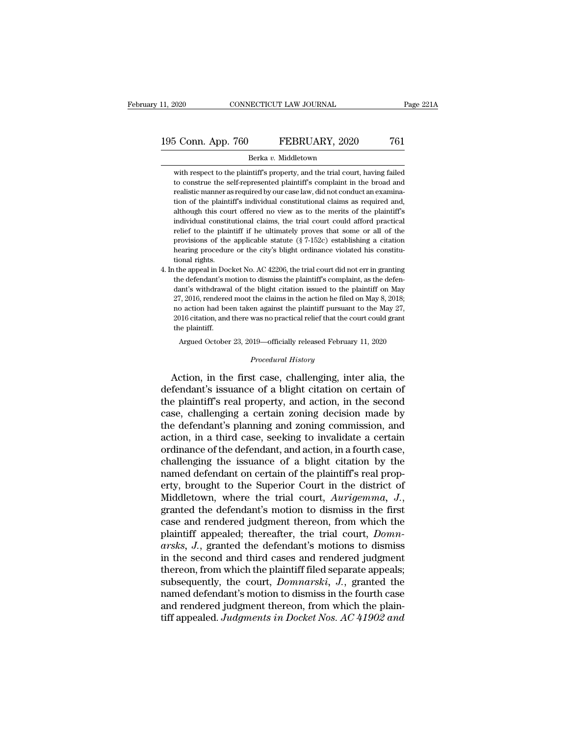# 11, 2020 CONNECTICUT LAW JOURNAL Page 221A<br>195 Conn. App. 760 FEBRUARY, 2020 761<br>Berka v. Middletown

### Berka *v.* Middletown

S Conn. App. 760 FEBRUARY, 2020 761<br>Berka v. Middletown<br>with respect to the plaintiff's property, and the trial court, having failed<br>to construe the self-represented plaintiff's complaint in the broad and 5 Conn. App. 760 FEBRUARY, 2020 761<br>Berka v. Middletown<br>with respect to the plaintiff's property, and the trial court, having failed<br>to construe the self-represented plaintiff's complaint in the broad and<br>realistic manner 195 Conn. App. 760 FEBRUARY, 2020 761<br>Berka v. Middletown<br>with respect to the plaintiff's property, and the trial court, having failed<br>to construe the self-represented plaintiff's complaint in the broad and<br>realistic mann Berka v. Middletown<br>
with respect to the plaintiff's property, and the trial court, having failed<br>
to construe the self-represented plaintiff's complaint in the broad and<br>
realistic manner as required by our case law, did Berka v. Middletown<br>with respect to the plaintiff's property, and the trial court, having failed<br>to construe the self-represented plaintiff's complaint in the broad and<br>realistic manner as required by our case law, did not with respect to the plaintiff's property, and the trial court, having failed<br>to construe the self-represented plaintiff's complaint in the broad and<br>realistic manner as required by our case law, did not conduct an examinarelief to the self-represented plaintiff's complaint in the broad and realistic manner as required by our case law, did not conduct an examination of the plaintiff's individual constitutional claims as required and, althou realistic manner as required by our case law, did not conduct an examination of the plaintiff's individual constitutional claims as required and, although this court offered no view as to the merits of the plaintiff's indi From of the plaintiff's individual constitutional claims as required and, although this court offered no view as to the merits of the plaintiff's individual constitutional claims, the trial court could afford practical re at though this counterparts.<br>
Individual constitutions in the plair<br>
provisions of the<br>
hearing procedure<br>
tional rights.<br>
the appeal in Doc individual constitutional claims, the trial court could afford practical<br>relief to the plaintiff if he ultimately proves that some or all of the<br>provisions of the applicable statute  $(\frac{8}{7} - 152c)$  establishing a citatio relief to the plaintiff if he ultimately proves that some or all of the provisions of the applicable statute  $(\S 7-152c)$  establishing a citation hearing procedure or the city's blight ordinance violated his constitutiona

provisions of the applicable statute  $(\frac{8}{7} - 152c)$  establishing a citation hearing procedure or the city's blight ordinance violated his constitutional rights.<br>the appeal in Docket No. AC 42206, the trial court did not hearing procedure or the city's blight ordinance violated his constitutional rights.<br>tional rights.<br>the appeal in Docket No. AC 42206, the trial court did not err in granting<br>the defendant's motion to dismiss the plaintiff no actional rights.<br>
tional rights.<br>
the appeal in Docket No. AC 42206, the trial court did not err in granting<br>
the defendant's motion to dismiss the plaintiff's complaint, as the defendant's withdrawal of the blight cit the appeal in Docket No. AC 42206, the trial court did not err in granting the defendant's motion to dismiss the plaintiff's complaint, as the defendant's withdrawal of the blight citation issued to the plaintiff on May 27 the defendant's motion to dismiss the plaintiff's complaint, as the defendant's withdrawal of the blight citation issued to the plaintiff on May 27, 2016, rendered moot the claims in the action he filed on May 8, 2018; no ant's withdrawal of the blight citation issued to the plaintiff on May 7, 2016, rendered moot the claims in the action he filed on May 8, 2018;<br>
2016, rendered moot the claims in the action he filed on May 8, 2018;<br>
2020 o 2016 citation, and there was no practical relief that the court could grant<br>the plaintiff.<br>Argued October 23, 2019—officially released February 11, 2020<br>*Procedural History*<br>Action, in the first case, challenging, inter al 21, 2010, tendered moot are claims in the action it med on may 0, 2010,<br>no action had been taken against the plaintiff pursuant to the May 27,<br>2016 citation, and there was no practical relief that the court could grant<br>the

2016 citation, and there was no practical relief that the court could grant<br>the plaintiff.<br>Argued October 23, 2019—officially released February 11, 2020<br>*Procedural History*<br>**Action, in the first case, challenging, inter a** the plaintiff.<br>
Argued October 23, 2019—officially released February 11, 2020<br>
Procedural History<br>
Action, in the first case, challenging, inter alia, the<br>
defendant's issuance of a blight citation on certain of<br>
the plain Argued October 23, 2019—officially released February 11, 2020<br> *Procedural History*<br>
Action, in the first case, challenging, inter alia, the<br>
defendant's issuance of a blight citation on certain of<br>
the plaintiff's real pr *Procedural History*<br>Action, in the first case, challenging, inter alia, the<br>defendant's issuance of a blight citation on certain of<br>the plaintiff's real property, and action, in the second<br>case, challenging a certain zoni Froceana History<br>Action, in the first case, challenging, inter alia, the<br>defendant's issuance of a blight citation on certain of<br>the plaintiff's real property, and action, in the second<br>case, challenging a certain zoning d Action, in the first case, challenging, inter alia, the defendant's issuance of a blight citation on certain of the plaintiff's real property, and action, in the second case, challenging a certain zoning decision made by t defendant's issuance of a blight citation on certain of<br>the plaintiff's real property, and action, in the second<br>case, challenging a certain zoning decision made by<br>the defendant's planning and zoning commission, and<br>actio the plaintiff's real property, and action, in the second<br>case, challenging a certain zoning decision made by<br>the defendant's planning and zoning commission, and<br>action, in a third case, seeking to invalidate a certain<br>ordi case, challenging a certain zoning decision made by<br>the defendant's planning and zoning commission, and<br>action, in a third case, seeking to invalidate a certain<br>ordinance of the defendant, and action, in a fourth case,<br>cha the defendant's planning and zoning commission, and<br>action, in a third case, seeking to invalidate a certain<br>ordinance of the defendant, and action, in a fourth case,<br>challenging the issuance of a blight citation by the<br>na ordinance of the defendant, and action, in a fourth case,<br>challenging the issuance of a blight citation by the<br>named defendant on certain of the plaintiff's real prop-<br>erty, brought to the Superior Court in the district of challenging the issuance of a blight citation by the<br>named defendant on certain of the plaintiff's real prop-<br>erty, brought to the Superior Court in the district of<br>Middletown, where the trial court, *Aurigemma*, *J.*,<br>gra ramed defendant on certain of the plaintiff's real property, brought to the Superior Court in the district of Middletown, where the trial court, *Aurigemma*, *J.*, granted the defendant's motion to dismiss in the first cas erty, brought to the Superior Court in the district of Middletown, where the trial court, Aurigemma, J., granted the defendant's motion to dismiss in the first case and rendered judgment thereon, from which the plaintiff a Middletown, where the trial court, Aurigemma, J.,<br>granted the defendant's motion to dismiss in the first<br>case and rendered judgment thereon, from which the<br>plaintiff appealed; thereafter, the trial court, Domn-<br>arsks, J., granted the defendant's motion to dismiss in the first<br>case and rendered judgment thereon, from which the<br>plaintiff appealed; thereafter, the trial court, *Domn-*<br>arsks, J., granted the defendant's motions to dismiss<br>in th case and rendered judgment thereon, from which the<br>plaintiff appealed; thereafter, the trial court, *Domn-*<br>arsks, J., granted the defendant's motions to dismiss<br>in the second and third cases and rendered judgment<br>thereon, plaintiff appealed; thereafter, the trial court, *Domnarsks*, *J.*, granted the defendant's motions to dismiss<br>in the second and third cases and rendered judgment<br>thereon, from which the plaintiff filed separate appeals;<br>s arsks, J., granted the defendant's motions to dismiss<br>in the second and third cases and rendered judgment<br>thereon, from which the plaintiff filed separate appeals;<br>subsequently, the court, *Domnarski*, J., granted the<br>name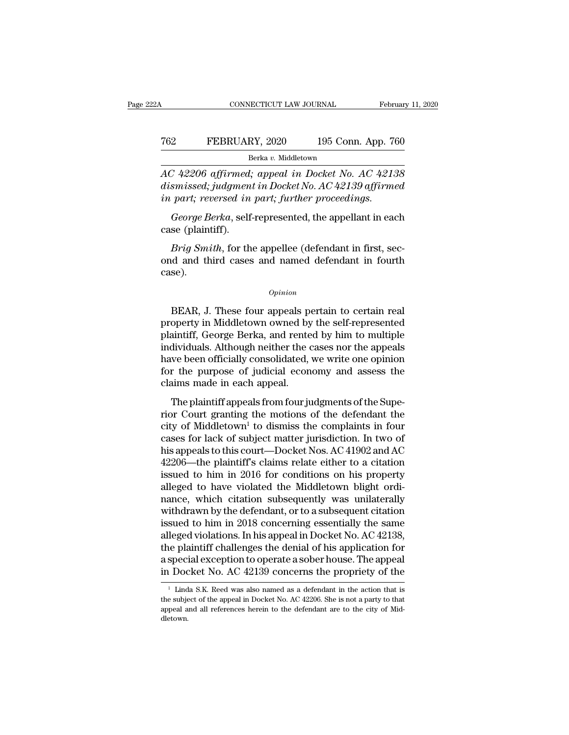# CONNECTICUT LAW JOURNAL February 11, 2020<br>
762 FEBRUARY, 2020 195 Conn. App. 760<br>
<sup>Berka v.</sup> Middletown Berka *v.* Middletown

CONNECTICUT LAW JOURNAL February 11, 2020<br> **AC 42206 affirmed; appeal in Docket No. AC 42138**<br> *AC 42206 affirmed; appeal in Docket No. AC 42138*<br> *AC 42206 affirmed; appeal in Docket No. AC 42139 affirmed*<br> *An exact, ren dismissed; judgment in pocket No. Ac 42138*<br>*dismissed; judgment in Docket No. AC 42138*<br>*dismissed; judgment in Docket No. AC 42139 affirmed*<br>*in part; reversed in part; further proceedings. FEBRUARY, 2020* 195 Conn. App. 76<br> *Berka v. Middletown*<br> *AC 42206 affirmed; appeal in Docket No. AC 4213*<br> *dismissed; judgment in Docket No. AC 42139 affirme*<br> *in part; reversed in part; further proceedings.*<br> *George George Berka*, *George Berka*, *George Berka*, *George Berka*, *George Berka*, *George Berka*, *George Berka*, *George Berka*, *George Berka*, *George Berka*, *George Berka*, *George Berka*, *George Berka*, *George Berka* E<br>AC 42206 affirmed,<br>dismissed; judgmen<br>in part; reversed in<br>George Berka, self<br>case (plaintiff).<br>*Brig Smith*, for th *Brig 42206 affirmed; appeal in Docket No. AC 42138*<br> *Brissed; judgment in Docket No. AC 42139 affirmed<br>
part; reversed in part; further proceedings.*<br> *George Berka*, self-represented, the appellant in each<br> *Brig Smith* 

dismissed; judgment in Docket No. AC 42139 affirmed<br>in part; reversed in part; further proceedings.<br>George Berka, self-represented, the appellant in each<br>case (plaintiff).<br>Brig Smith, for the appellee (defendant in first, case). Brig Smith, for the appellee (defendant in first, sec-<br>
d and third cases and named defendant in fourth<br>
se).<br>  $\frac{opinion}{\text{BEAR}}$ , J. These four appeals pertain to certain real<br>
operty in Middletown owned by the self-represent

### *Opinion*

*Brig Smith*, for the appellee (defendant in first, second and third cases and named defendant in fourth case).<br> *Opinion*<br> **BEAR, J. These four appeals pertain to certain real property in Middletown owned by the self-repr** ond and third cases and named defendant in fourth<br>
case).<br>  $\frac{Opinion}{P}$ <br>
BEAR, J. These four appeals pertain to certain real<br>
property in Middletown owned by the self-represented<br>
plaintiff, George Berka, and rented by him opinion<br>
opinion<br>
BEAR, J. These four appeals pertain to certain real<br>
property in Middletown owned by the self-represented<br>
plaintiff, George Berka, and rented by him to multiple<br>
individuals. Although neither the cases n opinion<br>BEAR, J. These four appeals pertain to certain real<br>property in Middletown owned by the self-represented<br>plaintiff, George Berka, and rented by him to multiple<br>individuals. Although neither the cases nor the appeal BEAR, J. These four appeals pertain to certain real<br>property in Middletown owned by the self-represented<br>plaintiff, George Berka, and rented by him to multiple<br>individuals. Although neither the cases nor the appeals<br>have b BEAR, J. These four appeals p<br>property in Middletown owned by<br>plaintiff, George Berka, and rente<br>individuals. Although neither the c<br>have been officially consolidated,<br>for the purpose of judicial econ<br>claims made in each a Spectly in middletown owned by the sen-represented<br>aintiff, George Berka, and rented by him to multiple<br>dividuals. Although neither the cases nor the appeals<br>we been officially consolidated, we write one opinion<br>r the purp Framen, delay Berka, and reflect by that to mateple<br>individuals. Although neither the cases nor the appeals<br>have been officially consolidated, we write one opinion<br>for the purpose of judicial economy and assess the<br>claims

marriadas. Thatoget netater are eases not are appears<br>have been officially consolidated, we write one opinion<br>for the purpose of judicial economy and assess the<br>claims made in each appeal.<br>The plaintiff appeals from four for the purpose of judicial economy and assess the<br>claims made in each appeal.<br>The plaintiff appeals from four judgments of the Supe-<br>rior Court granting the motions of the defendant the<br>city of Middletown<sup>1</sup> to dismiss t For the pulpose of junions, that also<br>claims made in each appeal.<br>The plaintiff appeals from four judgments of the Superior Court granting the motions of the defendant the<br>city of Middletown<sup>1</sup> to dismiss the complaints i The plaintiff appeals from four judgments of the Superior Court granting the motions of the defendant the city of Middletown<sup>1</sup> to dismiss the complaints in four cases for lack of subject matter jurisdiction. In two of hi The plaintiff appeals from four judgments of the Superior Court granting the motions of the defendant the city of Middletown<sup>1</sup> to dismiss the complaints in four cases for lack of subject matter jurisdiction. In two of hi rior Court granting the motions of the defendant the<br>city of Middletown<sup>1</sup> to dismiss the complaints in four<br>cases for lack of subject matter jurisdiction. In two of<br>his appeals to this court—Docket Nos. AC 41902 and AC<br>42 city of Middletown<sup>1</sup> to dismiss the complaints in four<br>cases for lack of subject matter jurisdiction. In two of<br>his appeals to this court—Docket Nos. AC 41902 and AC<br>42206—the plaintiff's claims relate either to a citatio cases for lack of subject matter jurisdiction. In two of<br>his appeals to this court—Docket Nos. AC 41902 and AC<br>42206—the plaintiff's claims relate either to a citation<br>issued to him in 2016 for conditions on his property<br> his appeals to this court—Docket Nos. AC 41902 and AC<br>42206—the plaintiff's claims relate either to a citation<br>issued to him in 2016 for conditions on his property<br>alleged to have violated the Middletown blight ordi-<br>nance 42206—the plaintiff's claims relate either to a citation<br>issued to him in 2016 for conditions on his property<br>alleged to have violated the Middletown blight ordi-<br>nance, which citation subsequently was unilaterally<br>withdra issued to him in 2016 for conditions on his property<br>alleged to have violated the Middletown blight ordi-<br>nance, which citation subsequently was unilaterally<br>withdrawn by the defendant, or to a subsequent citation<br>issued alleged to have violated the Middletown blight ordinance, which citation subsequently was unilaterally withdrawn by the defendant, or to a subsequent citation issued to him in 2018 concerning essentially the same alleged v nance, which citation subsequently was unilaterally<br>withdrawn by the defendant, or to a subsequent citation<br>issued to him in 2018 concerning essentially the same<br>alleged violations. In his appeal in Docket No. AC 42138,<br>t leged violations. In his appeal in Docket No. AC 42138,<br>ie plaintiff challenges the denial of his application for<br>special exception to operate a sober house. The appeal<br>Docket No. AC 42139 concerns the propriety of the<br><sup>1</sup> the plaintiff challenges the denial of his application for<br>a special exception to operate a sober house. The appeal<br>in Docket No. AC 42139 concerns the propriety of the<br> $\frac{1}{1}$  Linda S.K. Reed was also named as a defend

a special exception to operate a sober house. The appeal<br>in Docket No. AC 42139 concerns the propriety of the<br> $\frac{1}{1}$  Linda S.K. Reed was also named as a defendant in the action that is<br>the subject of the appeal in Dock dletown.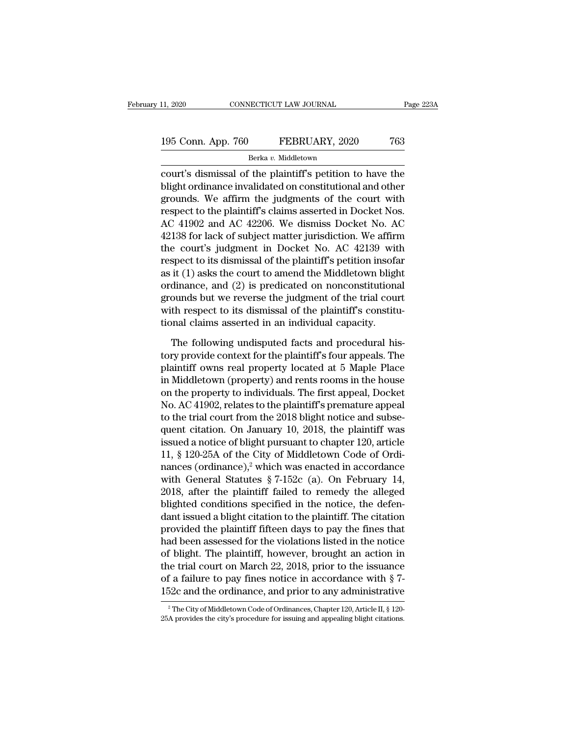| 11, 2020           | CONNECTICUT LAW JOURNAL |                     | Page 223A |
|--------------------|-------------------------|---------------------|-----------|
| 195 Conn. App. 760 |                         | FEBRUARY, 2020      | 763       |
|                    |                         | Berka v. Middletown |           |

11, 2020 CONNECTICUT LAW JOURNAL Page 223A<br>
195 Conn. App. 760 FEBRUARY, 2020 763<br>
Berka v. Middletown<br>
court's dismissal of the plaintiff's petition to have the<br>
blight ordinance invalidated on constitutional and other<br> 195 Conn. App. 760 FEBRUARY, 2020 763<br>Berka v. Middletown<br>Court's dismissal of the plaintiff's petition to have the<br>blight ordinance invalidated on constitutional and other<br>grounds. We affirm the judgments of the court wi 195 Conn. App. 760 FEBRUARY, 2020 763<br>
Berka v. Middletown<br>
court's dismissal of the plaintiff's petition to have the<br>
blight ordinance invalidated on constitutional and other<br>
grounds. We affirm the judgments of the cour 195 Conn. App. 760 FEBRUARY, 2020 763<br>
Berka v. Middletown<br>
court's dismissal of the plaintiff's petition to have the<br>
blight ordinance invalidated on constitutional and other<br>
grounds. We affirm the judgments of the cour Berka v. Middletown<br>
court's dismissal of the plaintiff's petition to have the<br>
blight ordinance invalidated on constitutional and other<br>
grounds. We affirm the judgments of the court with<br>
respect to the plaintiff's clai  $\frac{3}{2}$  berka *b*. Middetown<br>court's dismissal of the plaintiff's petition to have the<br>blight ordinance invalidated on constitutional and other<br>grounds. We affirm the judgments of the court with<br>respect to the plaintiff court's dismissal of the plaintiff's petition to have the<br>blight ordinance invalidated on constitutional and other<br>grounds. We affirm the judgments of the court with<br>respect to the plaintiff's claims asserted in Docket No. blight ordinance invalidated on constitutional and other<br>grounds. We affirm the judgments of the court with<br>respect to the plaintiff's claims asserted in Docket Nos.<br>AC 41902 and AC 42206. We dismiss Docket No. AC<br>42138 fo grounds. We affirm the judgments of the court with<br>respect to the plaintiff's claims asserted in Docket Nos.<br>AC 41902 and AC 42206. We dismiss Docket No. AC<br>42138 for lack of subject matter jurisdiction. We affirm<br>the cour respect to the plaintiff's claims asserted in Docket Nos.<br>AC 41902 and AC 42206. We dismiss Docket No. AC<br>42138 for lack of subject matter jurisdiction. We affirm<br>the court's judgment in Docket No. AC 42139 with<br>respect to AC 41902 and AC 42206. We dismiss Docket No. AC<br>42138 for lack of subject matter jurisdiction. We affirm<br>the court's judgment in Docket No. AC 42139 with<br>respect to its dismissal of the plaintiff's petition insofar<br>as it (  $42138$  for lack of subject matter jurisdiction. We affirm<br>the court's judgment in Docket No. AC  $42139$  with<br>respect to its dismissal of the plaintiff's petition insofar<br>as it (1) asks the court to amend the Middletown b the court's judgment in Docket No. AC 42139 wit<br>respect to its dismissal of the plaintiff's petition insofa<br>as it (1) asks the court to amend the Middletown bligh<br>ordinance, and (2) is predicated on nonconstitutiona<br>ground it (1) asks the court to amend the Middletown blight<br>dinance, and (2) is predicated on nonconstitutional<br>ounds but we reverse the judgment of the trial court<br>th respect to its dismissal of the plaintiff's constitu-<br>nal cl ordinance, and (2) is predicated on nonconstitutional<br>grounds but we reverse the judgment of the trial court<br>with respect to its dismissal of the plaintiff's constitu-<br>tional claims asserted in an individual capacity.<br>The

prounds but we reverse the judgment of the trial court<br>with respect to its dismissal of the plaintiff's constitu-<br>tional claims asserted in an individual capacity.<br>The following undisputed facts and procedural his-<br>tory pr with respect to its dismissal of the plaintiff's constitu-<br>tional claims asserted in an individual capacity.<br>The following undisputed facts and procedural his-<br>tory provide context for the plaintiff's four appeals. The<br>pla tional claims asserted in an individual capacity.<br>The following undisputed facts and procedural his-<br>tory provide context for the plaintiff's four appeals. The<br>plaintiff owns real property located at 5 Maple Place<br>in Middl The following undisputed facts and procedural his-<br>tory provide context for the plaintiff's four appeals. The<br>plaintiff owns real property located at 5 Maple Place<br>in Middletown (property) and rents rooms in the house<br>on t The following undisputed facts and procedural his-<br>tory provide context for the plaintiff's four appeals. The<br>plaintiff owns real property located at 5 Maple Place<br>in Middletown (property) and rents rooms in the house<br>on t tory provide context for the plaintiff's four appeals. The<br>plaintiff owns real property located at 5 Maple Place<br>in Middletown (property) and rents rooms in the house<br>on the property to individuals. The first appeal, Docke plaintiff owns real property located at 5 Maple Place<br>in Middletown (property) and rents rooms in the house<br>on the property to individuals. The first appeal, Docket<br>No. AC 41902, relates to the plaintiff's premature appeal in Middletown (property) and rents rooms in the house<br>on the property to individuals. The first appeal, Docket<br>No. AC 41902, relates to the plaintiff's premature appeal<br>to the trial court from the 2018 blight notice and s on the property to individuals. The first appeal, Docket<br>No. AC 41902, relates to the plaintiff's premature appeal<br>to the trial court from the 2018 blight notice and subse-<br>quent citation. On January 10, 2018, the plainti No. AC 41902, relates to the plaintiff's premature appeal<br>to the trial court from the 2018 blight notice and subse-<br>quent citation. On January 10, 2018, the plaintiff was<br>issued a notice of blight pursuant to chapter 120, to the trial court from the 2018 blight notice and subsequent citation. On January 10, 2018, the plaintiff was<br>issued a notice of blight pursuant to chapter 120, article<br>11, § 120-25A of the City of Middletown Code of Ord quent citation. On January 10, 2018, the plaintiff was<br>issued a notice of blight pursuant to chapter 120, article<br>11, § 120-25A of the City of Middletown Code of Ordi-<br>nances (ordinance),<sup>2</sup> which was enacted in accordanc issued a notice of blight pursuant to chapter 120, article<br>11, § 120-25A of the City of Middletown Code of Ordi-<br>nances (ordinance),<sup>2</sup> which was enacted in accordance<br>with General Statutes § 7-152c (a). On February 14,<br>2 11, § 120-25A of the City of Middletown Code of Ordinances (ordinance),<sup>2</sup> which was enacted in accordance with General Statutes § 7-152c (a). On February 14, 2018, after the plaintiff failed to remedy the alleged blighte nances (ordinance),<sup>2</sup> which was enacted in accordance<br>with General Statutes  $\S 7$ -152c (a). On February 14,<br>2018, after the plaintiff failed to remedy the alleged<br>blighted conditions specified in the notice, the defen-<br>d with General Statutes § 7-152c (a). On February 14,<br>2018, after the plaintiff failed to remedy the alleged<br>blighted conditions specified in the notice, the defen-<br>dant issued a blight citation to the plaintiff. The citati 2018, after the plaintiff failed to remedy the alleged<br>blighted conditions specified in the notice, the defen-<br>dant issued a blight citation to the plaintiff. The citation<br>provided the plaintiff fifteen days to pay the fi blighted conditions specified in the notice, the defen-<br>dant issued a blight citation to the plaintiff. The citation<br>provided the plaintiff fifteen days to pay the fines that<br>had been assessed for the violations listed in dant issued a blight citation to the plaintiff. The citation<br>provided the plaintiff fifteen days to pay the fines that<br>had been assessed for the violations listed in the notice<br>of blight. The plaintiff, however, brought a of blight. The plaintiff, however, brought an action in<br>the trial court on March 22, 2018, prior to the issuance<br>of a failure to pay fines notice in accordance with § 7-<br>152c and the ordinance, and prior to any administra 152c and the ordinance, and prior to any administrative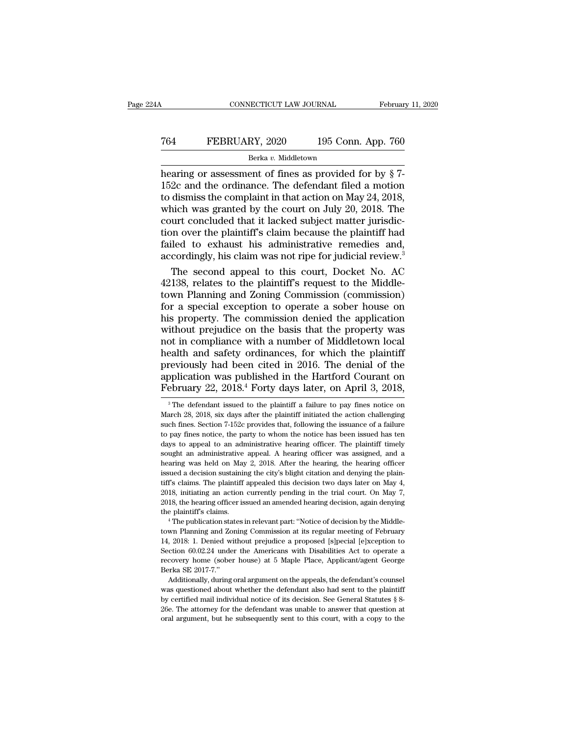# CONNECTICUT LAW JOURNAL February 11, 2020<br>
764 FEBRUARY, 2020 195 Conn. App. 760<br>
<sup>Berka v.</sup> Middletown

### Berka *v.* Middletown

February 11, 20<br>
T64 FEBRUARY, 2020 195 Conn. App. 760<br>
Berka v. Middletown<br>
hearing or assessment of fines as provided for by  $\S 7$ -<br>
152c and the ordinance. The defendant filed a motion<br>
to dismiss the complaint in that T64 FEBRUARY, 2020 195 Conn. App. 760<br>Berka v. Middletown<br>hearing or assessment of fines as provided for by § 7-<br>152c and the ordinance. The defendant filed a motion<br>to dismiss the complaint in that action on May 24, 2018, To discontribute the complaint in that action on May 24, 2018,<br>The complaint in that action on May 24, 2018,<br>which was granted by the court on July 20, 2018. The<br>court concluded that it lacked subject matter jurisdic-FEBRUARY, 2020 195 Conn. App. 760<br>Berka v. Middletown<br>hearing or assessment of fines as provided for by  $\S 7$ -<br>152c and the ordinance. The defendant filed a motion<br>to dismiss the complaint in that action on May 24, 2018,<br> Extra v. Middletown<br>
Rerka v. Middletown<br>
hearing or assessment of fines as provided for by § 7-<br>
152c and the ordinance. The defendant filed a motion<br>
to dismiss the complaint in that action on May 24, 2018,<br>
which was g Berka v. Middletown<br>hearing or assessment of fines as provided for by § 7-<br>152c and the ordinance. The defendant filed a motion<br>to dismiss the complaint in that action on May 24, 2018,<br>which was granted by the court on Ju hearing or assessment of fines as provided for by  $\S$  7-<br>152c and the ordinance. The defendant filed a motion<br>to dismiss the complaint in that action on May 24, 2018,<br>which was granted by the court on July 20, 2018. The<br>c 152c and the ordinance. The defendant filed a motion<br>to dismiss the complaint in that action on May 24, 2018,<br>which was granted by the court on July 20, 2018. The<br>court concluded that it lacked subject matter jurisdic-<br>ti dismiss the complaint in that action on May 24, 2018,<br>nich was granted by the court on July 20, 2018. The<br>urt concluded that it lacked subject matter jurisdic-<br>n over the plaintiff's claim because the plaintiff had<br>iled to which was granted by the court on July 20, 2018. The<br>court concluded that it lacked subject matter jurisdic-<br>tion over the plaintiff's claim because the plaintiff had<br>failed to exhaust his administrative remedies and,<br>acco

court concluded that it lacked subject matter jurisdiction over the plaintiff's claim because the plaintiff had failed to exhaust his administrative remedies and, accordingly, his claim was not ripe for judicial review.<sup>3</sup> tion over the plaintiff's claim because the plaintiff had<br>failed to exhaust his administrative remedies and,<br>accordingly, his claim was not ripe for judicial review.<sup>3</sup><br>The second appeal to this court, Docket No. AC<br>42138, failed to exhaust his administrative remedies and,<br>accordingly, his claim was not ripe for judicial review.<sup>3</sup><br>The second appeal to this court, Docket No. AC<br>42138, relates to the plaintiff's request to the Middle-<br>town Pl accordingly, his claim was not ripe for judicial review.<sup>3</sup><br>The second appeal to this court, Docket No. AC<br>42138, relates to the plaintiff's request to the Middle-<br>town Planning and Zoning Commission (commission)<br>for a spe The second appeal to this court, Docket No. AC<br>42138, relates to the plaintiff's request to the Middle-<br>town Planning and Zoning Commission (commission)<br>for a special exception to operate a sober house on<br>his property. The 42138, relates to the plaintiff's request to the Middle-<br>town Planning and Zoning Commission (commission)<br>for a special exception to operate a sober house on<br>his property. The commission denied the application<br>without prej town Planning and Zoning Commission (commission)<br>for a special exception to operate a sober house on<br>his property. The commission denied the application<br>without prejudice on the basis that the property was<br>not in complianc for a special exception to operate a sober house on<br>his property. The commission denied the application<br>without prejudice on the basis that the property was<br>not in compliance with a number of Middletown local<br>health and sa his property. The commission denied the application without prejudice on the basis that the property was not in compliance with a number of Middletown local health and safety ordinances, for which the plaintiff previously ealth and safety ordinances, for which the plaintiff<br>reviously had been cited in 2016. The denial of the<br>oplication was published in the Hartford Courant on<br>ebruary 22, 2018.<sup>4</sup> Forty days later, on April 3, 2018,<br><sup>3</sup>The d previously had been cited in 2016. The denial of the<br>application was published in the Hartford Courant on<br>February 22, 2018.<sup>4</sup> Forty days later, on April 3, 2018,<br><sup>3</sup>The defendant issued to the plaintiff a failure to pay

2018, initiating an action currently pending in the trial court. On May 7, 2018, the hearing officer issued an amended hearing decision, again denying the plaintiff's claims.<br>
<sup>4</sup> The publication states in relevant part: " 2018, the hearing officer issued an amended hearing decision, again denying<br>the plaintiff's claims.<br><sup>4</sup> The publication states in relevant part: "Notice of decision by the Middle-<br>town Planning and Zoning Commission at its recovery home (sober house) at 5 Maple Place, Applicant/agent George Berka SE 2017-7."<br>
Superior Application states in relevant part: "Notice of decision by the Middle-<br>
14, 2018: 1. Denied without prejudice a proposed [s] <sup>4</sup> The publication state<br>
<sup>4</sup> The publication state<br>
14, 2018: 1. Denied with<br>
Section 60.02.24 under<br>
recovery home (sober<br>
Rerka SE 2017-7.''<br>
Additionally, during Additionally, during oral argument on the appeals, the defendant's counsel are meeting of February, 2018: 1. Denied without prejudice a proposed [s]pecial [e]xception to cotion 60.02.24 under the Americans with Disabilitie 14, 2018: 1. Denied without prejudice a proposed [s]pecial [e]xception to<br>Section 60.02.24 under the Americans with Disabilities Act to operate a<br>recovery home (sober house) at 5 Maple Place, Applicant/agent George<br>Berka recovery home (sober house) at 5 Maple Place, Applicant/agent George

Section 60.02.24 under the Americans with Disabilities Act to operate a recovery home (sober house) at 5 Maple Place, Applicant/agent George Berka SE 2017-7." Additionally, during oral argument on the appeals, the defenda Additionally, during oral argument on the appeals, the defendant's counsel

application was published in the Hartford Courant on February 22,  $2018.^4$  Forty days later, on April 3,  $2018$ ,<br><sup>3</sup> The defendant issued to the plaintiff a failure to pay fines notice on March 28,  $2018$ , six days after February 22, 2018.<sup>4</sup> Forty days later, on April 3, 2018,<br><sup>3</sup> The defendant issued to the plaintiff a failure to pay fines notice on March 28, 2018, six days after the plaintiff initiated the action challenging such fines **PEDTUATY 22, 2018. POTTY GAYS TATEF, OIT APPIT 3, 2018,**<br>
<sup>3</sup> The defendant issued to the plaintiff a failure to pay fines notice on March 28, 2018, six days after the plaintiff initiated the action challenging such fine <sup>3</sup> The defendant issued to the plaintiff a failure to pay fines notice on March 28, 2018, six days after the plaintiff initiated the action challenging such fines. Section 7-152c provides that, following the issuance of March 28, 2018, six days after the plaintiff initiated the action challenging<br>such fines. Section 7-152c provides that, following the issuance of a failure<br>to pay fines notice, the party to whom the notice has been issued March 28, 2018, six days after the plaintiff initiated the action challenging such fines. Section 7-152c provides that, following the issuance of a failure to pay fines notice, the party to whom the notice has been issued to pay fines notice, the party to whom the notice has been issued has ten days to appeal to an administrative hearing officer. The plaintiff timely sought an administrative appeal. A hearing officer was assigned, and a hea beyond to an administrative hearing officer. The plaintiff timely sought an administrative appeal. A hearing officer was assigned, and a hearing was held on May 2, 2018. After the hearing, the hearing officer issued a deci able to the hearing officer was assigned, and a hearing was held on May 2, 2018. After the hearing, the hearing officer issued a decision sustaining the city's blight citation and denying the plaintiff's claims. The plaint bearing was held on May 2, 2018. After the hearing, the hearing officer hearing was held on May 2, 2018. After the hearing, the hearing officer issued a decision sustaining the city's blight citation and denying the plaint tiff's claims. The plaintiff appealed this decision two days later on May 4, 2018, initiating an action currently pending in the trial court. On May 7, 2018, the hearing officer issued an amended hearing decision, again d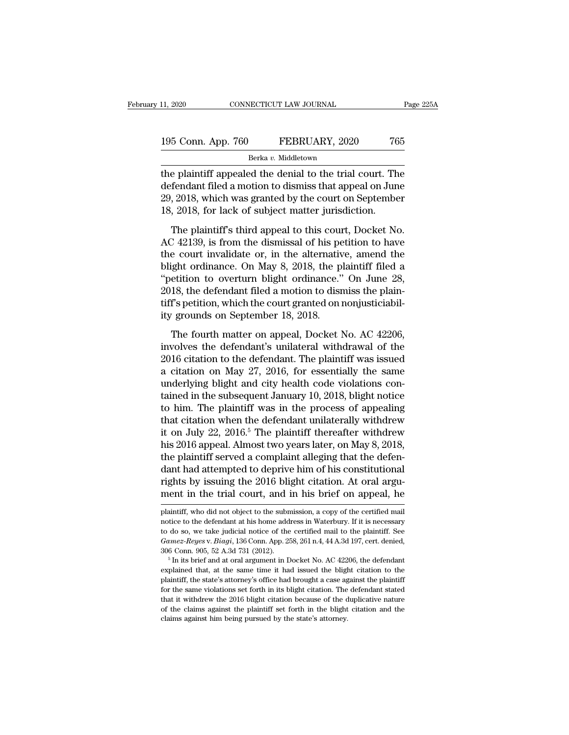| 11, 2020           | CONNECTICUT LAW JOURNAL | Page 225A |  |
|--------------------|-------------------------|-----------|--|
| 195 Conn. App. 760 | FEBRUARY, 2020          | 765       |  |
|                    | Berka v. Middletown     |           |  |

11, 2020 CONNECTICUT LAW JOURNAL Page 225A<br>
195 Conn. App. 760 FEBRUARY, 2020 765<br>
Berka v. Middletown<br>
the plaintiff appealed the denial to the trial court. The<br>
defendant filed a motion to dismiss that appeal on June<br>
2 195 Conn. App. 760 FEBRUARY, 2020 765<br>Berka v. Middletown<br>the plaintiff appealed the denial to the trial court. The<br>defendant filed a motion to dismiss that appeal on June<br>29, 2018, which was granted by the court on Septem 195 Conn. App. 760 FEBRUARY, 2020 765<br>Berka v. Middletown<br>the plaintiff appealed the denial to the trial court. The<br>defendant filed a motion to dismiss that appeal on June<br>29, 2018, which was granted by the court on Septe 195 Conn. App. 760 FEBRUARY, 2020 76<br>
Berka v. Middletown<br>
the plaintiff appealed the denial to the trial court. The<br>
defendant filed a motion to dismiss that appeal on Jun<br>
29, 2018, which was granted by the court on Sept Berka v. Middletown<br>
e plaintiff appealed the denial to the trial court. The<br>
fendant filed a motion to dismiss that appeal on June<br>
, 2018, which was granted by the court on September<br>
, 2018, for lack of subject matter the plaintiff appealed the denial to the trial court. The<br>defendant filed a motion to dismiss that appeal on June<br>29, 2018, which was granted by the court on September<br>18, 2018, for lack of subject matter jurisdiction.<br>The

the plantin appears the actual to the and count. The<br>defendant filed a motion to dismiss that appeal on June<br>29, 2018, tor lack of subject matter jurisdiction.<br>The plaintiff's third appeal to this court, Docket No.<br>AC 4213 29, 2018, which was granted by the court on September<br>18, 2018, for lack of subject matter jurisdiction.<br>The plaintiff's third appeal to this court, Docket No.<br>AC 42139, is from the dismissal of his petition to have<br>the c 18, 2018, for lack of subject matter jurisdiction.<br>
The plaintiff's third appeal to this court, Docket No.<br>
AC 42139, is from the dismissal of his petition to have<br>
the court invalidate or, in the alternative, amend the<br> 2018, the defendant filed a motion to dismissal of his petition to have<br>the court invalidate or, in the alternative, amend the<br>blight ordinance. On May 8, 2018, the plaintiff filed a<br>"petition to overturn blight ordinance. The plaintiff's third appeal to this court, Docket No.<br>AC 42139, is from the dismissal of his petition to have<br>the court invalidate or, in the alternative, amend the<br>blight ordinance. On May 8, 2018, the plaintiff filed a<br> AC 42139, is from the dismissal of his pe<br>the court invalidate or, in the alternativ<br>blight ordinance. On May 8, 2018, the p<br>"petition to overturn blight ordinance."<br>2018, the defendant filed a motion to disr<br>tiff's petiti The fourth matter on May 8, 2018, the plaintiff filed a<br>etition to overturn blight ordinance." On June 28,<br>18, the defendant filed a motion to dismiss the plain-<br>f's petition, which the court granted on nonjusticiabil-<br>gro "petition to overturn blight ordinance." On June 28,<br>
2018, the defendant filed a motion to dismiss the plain-<br>
tiff's petition, which the court granted on nonjusticiabil-<br>
ity grounds on September 18, 2018.<br>
The fourth m

2018, the defendant filed a motion to dismiss the plain-<br>tiff's petition, which the court granted on nonjusticiabil-<br>ity grounds on September 18, 2018.<br>The fourth matter on appeal, Docket No. AC 42206,<br>involves the defenda Every, are determined a modern of dismissed to promit<br>tiff's petition, which the court granted on nonjusticiabil-<br>ity grounds on September 18, 2018.<br>The fourth matter on appeal, Docket No. AC 42206,<br>involves the defendant' ity grounds on September 18, 2018.<br>The fourth matter on appeal, Docket No. AC 42206,<br>involves the defendant's unilateral withdrawal of the<br>2016 citation to the defendant. The plaintiff was issued<br>a citation on May 27, 2016 The fourth matter on appeal, Docket No. AC 42206,<br>involves the defendant's unilateral withdrawal of the<br>2016 citation to the defendant. The plaintiff was issued<br>a citation on May 27, 2016, for essentially the same<br>underlyi The fourth matter on appeal, Docket No. AC 42206,<br>involves the defendant's unilateral withdrawal of the<br>2016 citation to the defendant. The plaintiff was issued<br>a citation on May 27, 2016, for essentially the same<br>underly involves the defendant's unilateral withdrawal of the<br>2016 citation to the defendant. The plaintiff was issued<br>a citation on May 27, 2016, for essentially the same<br>underlying blight and city health code violations con-<br>tai 2016 citation to the defendant. The plaintiff was issued<br>a citation on May 27, 2016, for essentially the same<br>underlying blight and city health code violations con-<br>tained in the subsequent January 10, 2018, blight notice<br> a citation on May 27, 2016, for essentially the same<br>underlying blight and city health code violations con-<br>tained in the subsequent January 10, 2018, blight notice<br>to him. The plaintiff was in the process of appealing<br>tha underlying blight and city health code violations contained in the subsequent January 10, 2018, blight notice<br>to him. The plaintiff was in the process of appealing<br>that citation when the defendant unilaterally withdrew<br>it tained in the subsequent January 10, 2018, blight notice<br>to him. The plaintiff was in the process of appealing<br>that citation when the defendant unilaterally withdrew<br>it on July 22, 2016.<sup>5</sup> The plaintiff thereafter withdre to him. The plaintiff was in the process of appealing<br>that citation when the defendant unilaterally withdrew<br>it on July 22, 2016.<sup>5</sup> The plaintiff thereafter withdrew<br>his 2016 appeal. Almost two years later, on May 8, 2018 that citation when the defendant unilaterally withdrew<br>it on July 22, 2016.<sup>5</sup> The plaintiff thereafter withdrew<br>his 2016 appeal. Almost two years later, on May 8, 2018,<br>the plaintiff served a complaint alleging that the d the plaintiff served a complaint alleging that the defendant had attempted to deprive him of his constitutional rights by issuing the 2016 blight citation. At oral argument in the trial court, and in his brief on appeal, h dant had attempted to deprive him of his constitutional<br>rights by issuing the 2016 blight citation. At oral argu-<br>ment in the trial court, and in his brief on appeal, he<br>plaintiff, who did not object to the submission, a c

rights by issuing the 2016 blight citation. At oral argument in the trial court, and in his brief on appeal, he<br>plaintiff, who did not object to the submission, a copy of the certified mail<br>notice to the defendant at his h **Gamez-Reyes** v. *Bia Gamez-Reyes* c. *Biancel and* in his brief on appeal, he plaintiff, who did not object to the submission, a copy of the certified mail notice to the defendant at his home address in Waterbury. If it i ment in the trial count, and in his brief on appear, he<br>plaintiff, who did not object to the submission, a copy of the certified mail<br>notice to the defendant at his home address in Waterbury. If it is necessary<br>to do so, w parameter that that is home address in Waterbury. If it is necessary to do so, we take judicial notice of the certified mail to the plaintiff. See *Gamez-Reyes* v. *Biagi*, 136 Conn. App. 258, 261 n.4, 44 A.3d 197, cert.

to do so, we take judicial notice of the certified mail to the plaintiff. See *Gamez-Reyes* v. *Biagi*, 136 Conn. App. 258, 261 n.4, 44 A.3d 197, cert. denied, 306 Conn. 905, 52 A.3d 731 (2012).<br><sup>5</sup> In its brief and at or *Gamez-Reyes v. Biagi*, 136 Conn. App. 258, 261 n.4, 44 A.3d 197, cert. denied, 306 Conn. 905, 52 A.3d 731 (2012).<br><sup>5</sup> In its brief and at oral argument in Docket No. AC 42206, the defendant explained that, at the same tim 306 Conn. 905, 52 A.3d 731 (2012).<br>
<sup>5</sup> In its brief and at oral argument in Docket No. AC 42206, the defendant explained that, at the same time it had issued the blight citation to the plaintiff, the state's attorney's o <sup>or</sup> <sup>6</sup> In its brief and at oral argument in Docket No. AC 42206, the defendant explained that, at the same time it had issued the blight citation to the plaintiff, the state's attorney's office had brought a case against explained that, at the same time it had issued the blight citation to the plaintiff, the state's attorney's office had brought a case against the plaintiff for the same violations set forth in its blight citation. The defe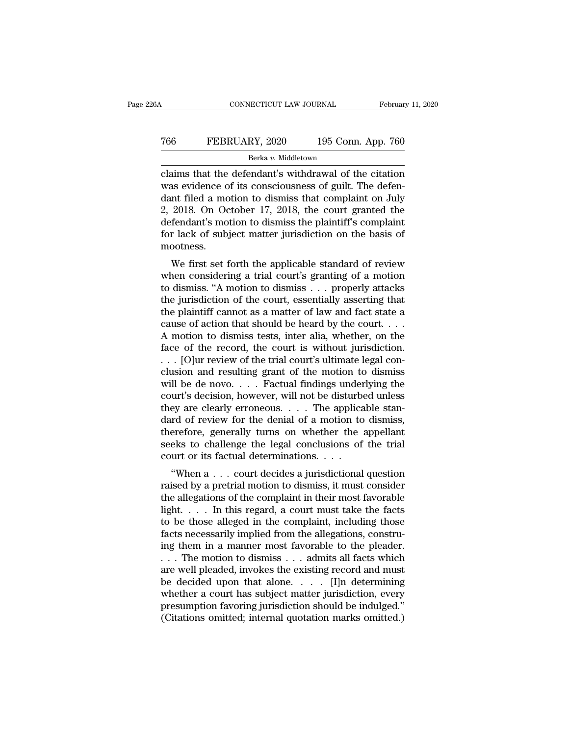# CONNECTICUT LAW JOURNAL February 11, 2020<br>
766 FEBRUARY, 2020 195 Conn. App. 760<br>
<sup>Berka v.</sup> Middletown Berka *v.* Middletown

CONNECTICUT LAW JOURNAL February 11, 2020<br>
T66 FEBRUARY, 2020 195 Conn. App. 760<br>
Berka v. Middletown<br>
Claims that the defendant's withdrawal of the citation<br>
was evidence of its consciousness of guilt. The defen-FEBRUARY, 2020 195 Conn. App. 760<br>Berka v. Middletown<br>Claims that the defendant's withdrawal of the citation<br>was evidence of its consciousness of guilt. The defen-<br>dant filed a motion to dismiss that complaint on July<br>2.20 Text FEBRUARY, 2020 195 Conn. App. 760<br>
Berka v. Middletown<br>
claims that the defendant's withdrawal of the citation<br>
was evidence of its consciousness of guilt. The defen-<br>
dant filed a motion to dismiss that complaint on FEBRUARY, 2020 195 Conn. App. 760<br>
Berka v. Middletown<br>
claims that the defendant's withdrawal of the citation<br>
was evidence of its consciousness of guilt. The defen-<br>
dant filed a motion to dismiss that complaint on July Berka v. Middletown<br>
Claims that the defendant's withdrawal of the citation<br>
was evidence of its consciousness of guilt. The defen-<br>
dant filed a motion to dismiss that complaint on July<br>
2, 2018. On October 17, 2018, the For all the defendant's withdrawal of the citation<br>was evidence of its consciousness of guilt. The defen-<br>dant filed a motion to dismiss that complaint on July<br>2, 2018. On October 17, 2018, the court granted the<br>defendant mootness. as evidence of its conscrousness of gunt. The defendent<br>in filed a motion to dismiss that complaint on July<br>2018. On October 17, 2018, the court granted the<br>fendant's motion to dismiss the plaintiff's complaint<br>r lack of s dant med a motion to dismiss that complaint on July<br>2, 2018. On October 17, 2018, the court granted the<br>defendant's motion to dismiss the plaintiff's complaint<br>for lack of subject matter jurisdiction on the basis of<br>mootne

2, 2016. On October 17, 2016, the court granted the<br>defendant's motion to dismiss the plaintiff's complaint<br>for lack of subject matter jurisdiction on the basis of<br>mootness.<br>We first set forth the applicable standard of r defendant's motion to dishuss the plaintin's complaint<br>for lack of subject matter jurisdiction on the basis of<br>mootness.<br>We first set forth the applicable standard of review<br>when considering a trial court's granting of a m the plant of subject matter jurisdiction on the basis of<br>mootness.<br>We first set forth the applicable standard of review<br>when considering a trial court's granting of a motion<br>to dismiss. "A motion to dismiss . . . properly We first set forth the applicable standard of review<br>when considering a trial court's granting of a motion<br>to dismiss. "A motion to dismiss . . . properly attacks<br>the jurisdiction of the court, essentially asserting that<br> We first set forth the applicable standard of review<br>when considering a trial court's granting of a motion<br>to dismiss. "A motion to dismiss . . . properly attacks<br>the jurisdiction of the court, essentially asserting that<br> when considering a trial court's granting of a motion<br>to dismiss. "A motion to dismiss . . . properly attacks<br>the jurisdiction of the court, essentially asserting that<br>the plaintiff cannot as a matter of law and fact stat to dismiss. "A motion to dismiss . . . properly attacks<br>the jurisdiction of the court, essentially asserting that<br>the plaintiff cannot as a matter of law and fact state a<br>cause of action that should be heard by the court. the jurisdiction of the court, essentially asserting that<br>the plaintiff cannot as a matter of law and fact state a<br>cause of action that should be heard by the court. . . .<br>A motion to dismiss tests, inter alia, whether, o the plaintiff cannot as a matter of law and fact state a<br>cause of action that should be heard by the court. . . .<br>A motion to dismiss tests, inter alia, whether, on the<br>face of the record, the court is without jurisdictio cause of action that should be heard by the court. . . .<br>A motion to dismiss tests, inter alia, whether, on the<br>face of the record, the court is without jurisdiction.<br>. . . [O]ur review of the trial court's ultimate legal A motion to dismiss tests, inter alia, whether, on the face of the record, the court is without jurisdiction.<br>
. . . [O]ur review of the trial court's ultimate legal conclusion and resulting grant of the motion to dismiss face of the record, the court is without jurisdiction.<br>  $\ldots$  [O]ur review of the trial court's ultimate legal conclusion and resulting grant of the motion to dismiss<br>
will be de novo.  $\ldots$  Factual findings underlying th . . . [O]ur review of the trial court's ultimate legal conclusion and resulting grant of the motion to dismiss<br>will be de novo. . . . Factual findings underlying the<br>court's decision, however, will not be disturbed unless clusion and resulting grant of the motion to dismiss<br>will be de novo. . . . Factual findings underlying the<br>court's decision, however, will not be disturbed unless<br>they are clearly erroneous. . . . The applicable stan-<br>da will be de novo. . . . Factual findings under<br>court's decision, however, will not be disturbe<br>they are clearly erroneous. . . . The applica<br>dard of review for the denial of a motion to<br>therefore, generally turns on whethe of the completion of the complete the polarities a place is a section, in the decided the standard of review for the denial of a motion to dismiss, erefore, generally turns on whether the appellant eks to challenge the le rately are clearly errolleous.  $\ldots$  The applicable standard of review for the denial of a motion to dismiss, therefore, generally turns on whether the appellant seeks to challenge the legal conclusions of the trial court

dard of review for the definal of a motion to dismiss,<br>therefore, generally turns on whether the appellant<br>seeks to challenge the legal conclusions of the trial<br>court or its factual determinations.<br>....................... defects to challenge the legal conclusions of the trial<br>court or its factual determinations. . . .<br>"When a . . . court decides a jurisdictional question<br>raised by a pretrial motion to dismiss, it must consider<br>the allegati seeks to channing the regar conclusions of the that<br>court or its factual determinations. . . .<br>"When a . . . court decides a jurisdictional question<br>raised by a pretrial motion to dismiss, it must consider<br>the allegations "When a  $\dots$  court decides a jurisdictional question<br>raised by a pretrial motion to dismiss, it must consider<br>the allegations of the complaint in their most favorable<br>light.  $\dots$  In this regard, a court must take the fact "When a  $\dots$  court decides a jurisdictional question<br>raised by a pretrial motion to dismiss, it must consider<br>the allegations of the complaint in their most favorable<br>light.  $\dots$  In this regard, a court must take the fact raised by a pretrial motion to dismiss, it must consider<br>the allegations of the complaint in their most favorable<br>light. . . . In this regard, a court must take the facts<br>to be those alleged in the complaint, including th the allegations of the complaint in their most favorable<br>light. . . . . In this regard, a court must take the facts<br>to be those alleged in the complaint, including those<br>facts necessarily implied from the allegations, con light. . . . . In this regard, a court must take the facts<br>to be those alleged in the complaint, including those<br>facts necessarily implied from the allegations, constru-<br>ing them in a manner most favorable to the pleader. to be those alleged in the complaint, including those<br>facts necessarily implied from the allegations, constru-<br>ing them in a manner most favorable to the pleader.<br> $\dots$  The motion to dismiss  $\dots$  admits all facts which<br>are facts necessarily implied from the allegations, constru-<br>ing them in a manner most favorable to the pleader.<br>... The motion to dismiss ... admits all facts which<br>are well pleaded, invokes the existing record and must<br>be d ing them in a manner most favorable to the pleader.<br>  $\ldots$  The motion to dismiss  $\ldots$  admits all facts which<br>
are well pleaded, invokes the existing record and must<br>
be decided upon that alone.  $\ldots$  [I]n determining<br>
wh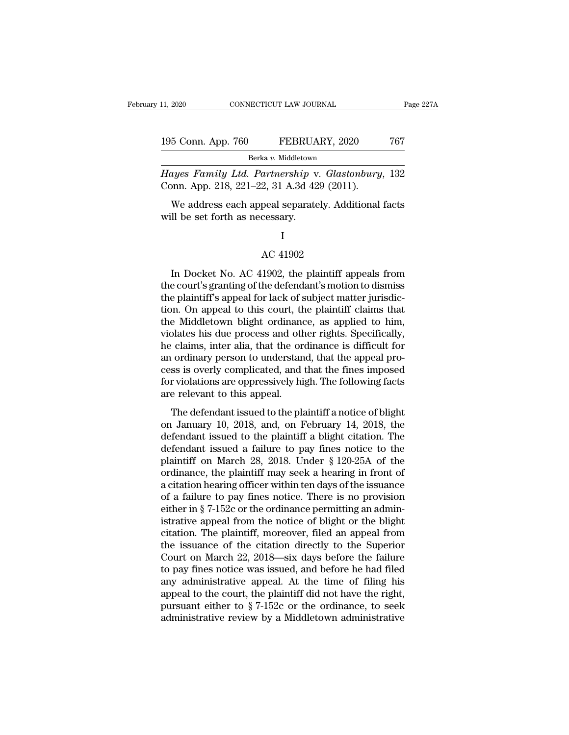| 11, 2020           | CONNECTICUT LAW JOURNAL |                     | Page 227A |  |
|--------------------|-------------------------|---------------------|-----------|--|
| 195 Conn. App. 760 |                         | FEBRUARY, 2020      | 767       |  |
|                    |                         | Berka v. Middletown |           |  |

11, 2020 CONNECTICUT LAW JOURNAL Page 227A<br> **Hayes Family Ltd. Partnership** v. *Glastonbury*, 132<br> **Conn. App. 218, 221–22, 31 A.3d 429 (2011).** 195 Conn. App. 760 FEBRUARY, 2020<br>Berka v. Middletown<br>Hayes Family Ltd. Partnership v. Glastonbury<br>Conn. App. 218, 221–22, 31 A.3d 429 (2011).<br>We address each appeal separately. Additional

5 Conn. App. 760 FEBRUARY, 2020 767<br>Berka v. Middletown<br>ayes Family Ltd. Partnership v. Glastonbury, 132<br>pnn. App. 218, 221–22, 31 A.3d 429 (2011).<br>We address each appeal separately. Additional facts<br>Il be set forth as nec 195 Conn. App. 760 FEBRUA<br>
Berka v. Middletown<br>
Hayes Family Ltd. Partnership v<br>
Conn. App. 218, 221–22, 31 A.3d 42<br>
We address each appeal separate<br>
will be set forth as necessary. 2, 31 A.3d 429 (2011)<br>peal separately. Add<br>cessary.<br>I<br>AC 41902<br>1902, the plaintiff a

### I

We address each appeal separately. Additional facts<br>
II be set forth as necessary.<br>
I<br>
AC 41902<br>
In Docket No. AC 41902, the plaintiff appeals from<br>
e court's granting of the defendant's motion to dismiss<br>
a plaintiff's ap will be set forth as necessary.<br>
I<br>
AC 41902<br>
In Docket No. AC 41902, the plaintiff appeals from<br>
the court's granting of the defendant's motion to dismiss<br>
the plaintiff's appeal for lack of subject matter jurisdic-<br>
tion I<br>
AC 41902<br>
In Docket No. AC 41902, the plaintiff appeals from<br>
the court's granting of the defendant's motion to dismiss<br>
the plaintiff's appeal for lack of subject matter jurisdic-<br>
tion. On appeal to this court, the pl I<br>AC 41902<br>In Docket No. AC 41902, the plaintiff appeals from<br>the court's granting of the defendant's motion to dismiss<br>the plaintiff's appeal for lack of subject matter jurisdic-<br>tion. On appeal to this court, the plainti AC 41902<br>In Docket No. AC 41902, the plaintiff appeals from<br>the court's granting of the defendant's motion to dismiss<br>the plaintiff's appeal for lack of subject matter jurisdic-<br>tion. On appeal to this court, the plaintiff In Docket No. AC 41902, the plaintiff appeals from<br>the court's granting of the defendant's motion to dismiss<br>the plaintiff's appeal for lack of subject matter jurisdic-<br>tion. On appeal to this court, the plaintiff claims t In Docket No. AC 41902, the plaintiff appeals from<br>the court's granting of the defendant's motion to dismiss<br>the plaintiff's appeal for lack of subject matter jurisdic-<br>tion. On appeal to this court, the plaintiff claims t the court's granting of the defendant's motion to dismiss<br>the plaintiff's appeal for lack of subject matter jurisdic-<br>tion. On appeal to this court, the plaintiff claims that<br>the Middletown blight ordinance, as applied to the plaintiff's appeal for lack of subject matter jurisdiction. On appeal to this court, the plaintiff claims that<br>the Middletown blight ordinance, as applied to him,<br>violates his due process and other rights. Specifically tion. On appeal to this court, the plaintiff claims that<br>the Middletown blight ordinance, as applied to him,<br>violates his due process and other rights. Specifically,<br>he claims, inter alia, that the ordinance is difficult f the Middletown blight ordinance<br>violates his due process and oth<br>he claims, inter alia, that the or<br>an ordinary person to understan<br>cess is overly complicated, and<br>for violations are oppressively hi<br>are relevant to this ap States his due process and offer rights. Specifically,<br>claims, inter alia, that the ordinance is difficult for<br>ordinary person to understand, that the appeal pro-<br>ss is overly complicated, and that the fines imposed<br>r viol not claims, meer and, that the ordinated is unified to an ordinary person to understand, that the appeal process is overly complicated, and that the fines imposed for violations are oppressively high. The following facts a

definition of the plant issued to the plaintiff and that the fines imposed<br>for violations are oppressively high. The following facts<br>are relevant to this appeal.<br>The defendant issued to the plaintiff a notice of blight<br>on for violations are oppressively high. The following facts<br>are relevant to this appeal.<br>The defendant issued to the plaintiff a notice of blight<br>on January 10, 2018, and, on February 14, 2018, the<br>defendant issued to the p plantiff on March 28, 2018. Under § 120-25A of the ordinance, the plaintiff on March 28, 2018. Under § 120-25A of the ordinance, the plaintiff may seek a hearing in front of a citation horring officer within to days of the The defendant issued to the plaintiff a notice of blight<br>on January 10, 2018, and, on February 14, 2018, the<br>defendant issued to the plaintiff a blight citation. The<br>defendant issued a failure to pay fines notice to the<br>p The defendant issued to the plaintiff a notice of blight<br>on January 10, 2018, and, on February 14, 2018, the<br>defendant issued to the plaintiff a blight citation. The<br>defendant issued a failure to pay fines notice to the<br>p on January 10, 2018, and, on February 14, 2018, the<br>defendant issued to the plaintiff a blight citation. The<br>defendant issued a failure to pay fines notice to the<br>plaintiff on March 28, 2018. Under § 120-25A of the<br>ordina defendant issued to the plaintiff a blight citation. The<br>defendant issued a failure to pay fines notice to the<br>plaintiff on March 28, 2018. Under § 120-25A of the<br>ordinance, the plaintiff may seek a hearing in front of<br>a c defendant issued a failure to pay fines notice to the plaintiff on March 28, 2018. Under § 120-25A of the ordinance, the plaintiff may seek a hearing in front of a citation hearing officer within ten days of the issuance o plaintiff on March 28, 2018. Under § 120-25A of the<br>ordinance, the plaintiff may seek a hearing in front of<br>a citation hearing officer within ten days of the issuance<br>of a failure to pay fines notice. There is no provision ordinance, the plaintiff may seek a hearing in front of<br>a citation hearing officer within ten days of the issuance<br>of a failure to pay fines notice. There is no provision<br>either in § 7-152c or the ordinance permitting an a a citation hearing officer within ten days of the issuance<br>of a failure to pay fines notice. There is no provision<br>either in § 7-152c or the ordinance permitting an admin-<br>istrative appeal from the notice of blight or the of a failure to pay fines notice. There is no provision<br>either in § 7-152c or the ordinance permitting an administrative appeal from the notice of blight or the blight<br>citation. The plaintiff, moreover, filed an appeal fr either in § 7-152c or the ordinance permitting an administrative appeal from the notice of blight or the blight citation. The plaintiff, moreover, filed an appeal from the issuance of the citation directly to the Superior istrative appeal from the notice of blight or the blight citation. The plaintiff, moreover, filed an appeal from the issuance of the citation directly to the Superior Court on March 22, 2018—six days before the failure to citation. The plaintiff, moreover, filed an appeal from<br>the issuance of the citation directly to the Superior<br>Court on March 22, 2018—six days before the failure<br>to pay fines notice was issued, and before he had filed<br>any the issuance of the citation directly to the Superior<br>Court on March 22, 2018—six days before the failure<br>to pay fines notice was issued, and before he had filed<br>any administrative appeal. At the time of filing his<br>appeal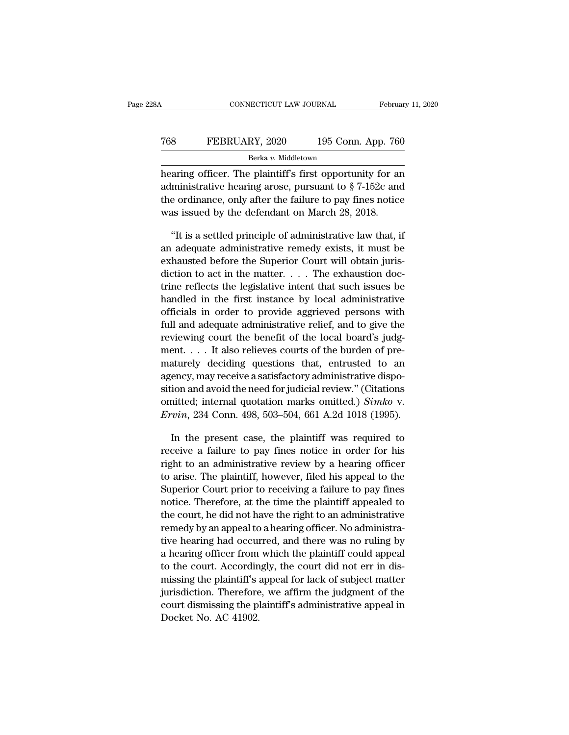# CONNECTICUT LAW JOURNAL February 11, 2020<br>
768 FEBRUARY, 2020 195 Conn. App. 760<br>
<sup>Berka v.</sup> Middletown Berka *v.* Middletown

February 11, 2020<br>
FEBRUARY, 2020 195 Conn. App. 760<br>
Berka v. Middletown<br>
hearing officer. The plaintiff's first opportunity for an<br>
administrative hearing arose, pursuant to  $\S 7-152c$  and FEBRUARY, 2020 195 Conn. App. 760<br>Berka v. Middletown<br>hearing officer. The plaintiff's first opportunity for an<br>administrative hearing arose, pursuant to  $\S 7{\text -}152c$  and<br>the ordinance, only after the failure to pay fine Text The plaintiff's Conn. App. 760<br>
Berka v. Middletown<br>
hearing officer. The plaintiff's first opportunity for an<br>
administrative hearing arose, pursuant to  $\S 7-152c$  and<br>
the ordinance, only after the failure to pay f Terms of TEBRUARY, 2020 195 Conn. App. 76<br>
Berka v. Middletown<br>
hearing officer. The plaintiff's first opportunity for an<br>
administrative hearing arose, pursuant to § 7-152c and<br>
the ordinance, only after the failure to p **EXAMPLE SETABLE SETTLE SETTLE SETTLE SETTLE SETTLE SETTLE SETTLE SETTLE SETTLE SETTLE SETTLE SETTLE SETTLED SETTLED SETTLED SETTLED SETTLED SETTLED SETTLED SETTLED SETTLED SETTLED AREAD ARRIVE ADMINISTRATIVE Law that, if** hearing officer. The plaintiff's first opportunity for an administrative hearing arose, pursuant to  $\S$  7-152c and the ordinance, only after the failure to pay fines notice was issued by the defendant on March 28, 2018.<br>

administrative hearing arose, pursuant to § 7-152c and<br>the ordinance, only after the failure to pay fines notice<br>was issued by the defendant on March 28, 2018.<br>"It is a settled principle of administrative law that, if<br>an a the ordinance, only after the failure to pay fines notice<br>was issued by the defendant on March 28, 2018.<br>"It is a settled principle of administrative law that, if<br>an adequate administrative remedy exists, it must be<br>exhau was issued by the defendant on March 28, 2018.<br>
"It is a settled principle of administrative law that, if<br>
an adequate administrative remedy exists, it must be<br>
exhausted before the Superior Court will obtain juris-<br>
dict "It is a settled principle of administrative law that, if<br>an adequate administrative remedy exists, it must be<br>exhausted before the Superior Court will obtain juris-<br>diction to act in the matter. . . . The exhaustion doc-It is a settled principle of administrative law that, if<br>an adequate administrative remedy exists, it must be<br>exhausted before the Superior Court will obtain juris-<br>diction to act in the matter. . . . The exhaustion doc-<br> an adequate administrative relieve exists, it must be exhausted before the Superior Court will obtain jurisdiction to act in the matter.  $\ldots$  The exhaustion doctrine reflects the legislative intent that such issues be ha exhausted before the superior Court will obtain jurisdiction to act in the matter. . . . The exhaustion doctrine reflects the legislative intent that such issues be handled in the first instance by local administrative of mentrice in the matter. . . . . The exhaustion doctrine reflects the legislative intent that such issues be handled in the first instance by local administrative officials in order to provide aggrieved persons with full a trine renects the legislative intent that such issues be<br>handled in the first instance by local administrative<br>officials in order to provide aggrieved persons with<br>full and adequate administrative relief, and to give the<br>r mandied in the first instance by focal administrative<br>officials in order to provide aggrieved persons with<br>full and adequate administrative relief, and to give the<br>reviewing court the benefit of the local board's judg-<br>me full and adequate administrative relief, and to give the reviewing court the benefit of the local board's judgment. . . . It also relieves courts of the burden of prematurely deciding questions that, entrusted to an agenc rative fraction and adequate administrative rener, and to give the<br>reviewing court the benefit of the local board's judg-<br>ment.... It also relieves courts of the burden of pre-<br>maturely deciding questions that, entrusted t *Eviewing court the benefit of the local boards judgment....* It also relieves courts of the burden of prematurely deciding questions that, entrusted to an agency, may receive a satisfactory administrative disposition and aturely deciding questions that, entrusted to an<br>ency, may receive a satisfactory administrative dispo-<br>ion and avoid the need for judicial review." (Citations<br>initted; internal quotation marks omitted.) Simko v.<br>vin, 234 agency, may receive a satisfactory administrative disposition and avoid the need for judicial review." (Citations<br>omitted; internal quotation marks omitted.) Simko v.<br> $Ervin$ , 234 Conn. 498, 503–504, 661 A.2d 1018 (1995).<br>In

sition and avoid the need for judicial review." (Citations<br>
omitted; internal quotation marks omitted.) Simko v.<br> *Ervin*, 234 Conn. 498, 503–504, 661 A.2d 1018 (1995).<br>
In the present case, the plaintiff was required to<br> omitted; internal quotation marks omitted.) Simko v.<br> *Ervin*, 234 Conn. 498, 503–504, 661 A.2d 1018 (1995).<br>
In the present case, the plaintiff was required to<br>
receive a failure to pay fines notice in order for his<br>
rig Ervin, 234 Conn. 498, 503–504, 661 A.2d 1018 (1995).<br>
In the present case, the plaintiff was required to<br>
receive a failure to pay fines notice in order for his<br>
right to an administrative review by a hearing officer<br>
to In the present case, the plaintiff was required to<br>receive a failure to pay fines notice in order for his<br>right to an administrative review by a hearing officer<br>to arise. The plaintiff, however, filed his appeal to the<br>Sup In the present case, the plaintiff was required to<br>receive a failure to pay fines notice in order for his<br>right to an administrative review by a hearing officer<br>to arise. The plaintiff, however, filed his appeal to the<br>Sup receive a failure to pay fines notice in order for his right to an administrative review by a hearing officer to arise. The plaintiff, however, filed his appeal to the Superior Court prior to receiving a failure to pay fin right to an administrative review by a hearing officer<br>to arise. The plaintiff, however, filed his appeal to the<br>Superior Court prior to receiving a failure to pay fines<br>notice. Therefore, at the time the plaintiff appeale to arise. The plaintiff, nowever, filed his appear to the<br>Superior Court prior to receiving a failure to pay fines<br>notice. Therefore, at the time the plaintiff appealed to<br>the court, he did not have the right to an adminis superior Court prior to receiving a rantire to pay mies<br>notice. Therefore, at the time the plaintiff appealed to<br>the court, he did not have the right to an administrative<br>remedy by an appeal to a hearing officer. No admini motice. Therefore, at the time the plaintiff appeared to<br>the court, he did not have the right to an administrative<br>remedy by an appeal to a hearing officer. No administra-<br>tive hearing had occurred, and there was no ruling the court, he did not have the right to an administrative<br>remedy by an appeal to a hearing officer. No administra-<br>tive hearing had occurred, and there was no ruling by<br>a hearing officer from which the plaintiff could appe remeay by an appear to a nearing officer. No administrative hearing had occurred, and there was no ruling by a hearing officer from which the plaintiff could appeal to the court. Accordingly, the court did not err in dismi tive hearing had occula<br>a hearing officer from<br>to the court. Accordin<br>missing the plaintiff's<br>jurisdiction. Therefore<br>court dismissing the pl<br>Docket No. AC 41902.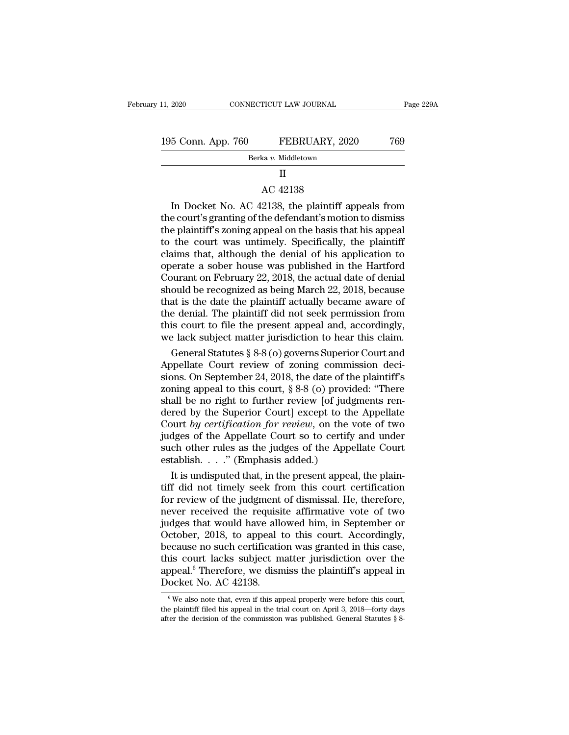Berka *v.* Middletown

## II

195 Conn. App. 760 FEBRUARY, 2020 769<br>Berka v. Middletown<br>II<br>AC 42138<br>In Docket No. AC 42138, the plaintiff appeals from<br>the court's granting of the defendant's motion to dismiss 5 Conn. App. 760 FEBRUARY, 2020 769<br>Berka v. Middletown<br>II<br>AC 42138<br>In Docket No. AC 42138, the plaintiff appeals from<br>e court's granting of the defendant's motion to dismiss<br>a plaintiff's zoning appeal on the basis that h 199 Conn. App. 700 FEBRUARY, 2020 709<br>Berka v. Middletown<br>II<br>AC 42138<br>In Docket No. AC 42138, the plaintiff appeals from<br>the court's granting of the defendant's motion to dismiss<br>the plaintiff's zoning appeal on the basis Berka v. Middletown<br>
II<br>
AC 42138<br>
In Docket No. AC 42138, the plaintiff appeals from<br>
the court's granting of the defendant's motion to dismiss<br>
the plaintiff's zoning appeal on the basis that his appeal<br>
to the court wa II<br>AC 42138<br>In Docket No. AC 42138, the plaintiff appeals from<br>the court's granting of the defendant's motion to dismiss<br>the plaintiff's zoning appeal on the basis that his appeal<br>to the court was untimely. Specifically, t  $\alpha$  and  $\alpha$  although the defendant's motion to dismiss<br>the plaintiff's granting of the defendant's motion to dismiss<br>the plaintiff's zoning appeal on the basis that his appeal<br>to the court was untimely. Specifically, th AC 42138<br>In Docket No. AC 42138, the plaintiff appeals from<br>the court's granting of the defendant's motion to dismiss<br>the plaintiff's zoning appeal on the basis that his appeal<br>to the court was untimely. Specifically, the In Docket No. AC 42138, the plaintiff appeals from<br>the court's granting of the defendant's motion to dismiss<br>the plaintiff's zoning appeal on the basis that his appeal<br>to the court was untimely. Specifically, the plaintiff the court's granting of the defendant's motion to dismiss<br>the plaintiff's zoning appeal on the basis that his appeal<br>to the court was untimely. Specifically, the plaintiff<br>claims that, although the denial of his applicatio the plaintiff's zoning appeal on the basis that his appeal<br>to the court was untimely. Specifically, the plaintiff<br>claims that, although the denial of his application to<br>operate a sober house was published in the Hartford<br>C to the court was untimely. Specifically, the plaintiff<br>claims that, although the denial of his application to<br>operate a sober house was published in the Hartford<br>Courant on February 22, 2018, the actual date of denial<br>shou claims that, although the denial of his application to<br>operate a sober house was published in the Hartford<br>Courant on February 22, 2018, the actual date of denial<br>should be recognized as being March 22, 2018, because<br>that operate a sober house was published in the Hartford<br>Courant on February 22, 2018, the actual date of denial<br>should be recognized as being March 22, 2018, because<br>that is the date the plaintiff actually became aware of<br>the burant on February 22, 2018, the actual date of denial<br>ould be recognized as being March 22, 2018, because<br>at is the date the plaintiff actually became aware of<br>e denial. The plaintiff did not seek permission from<br>is court should be recognized as being March 22, 2018, because<br>that is the date the plaintiff actually became aware of<br>the denial. The plaintiff did not seek permission from<br>this court to file the present appeal and, accordingly,<br>

that is the date the plaintiff did not seek permission from<br>this court to file the present appeal and, accordingly,<br>we lack subject matter jurisdiction to hear this claim.<br>General Statutes  $\S 8-8$  (o) governs Superior Cou the denial. The plaintiff did not seek permission from<br>this court to file the present appeal and, accordingly,<br>we lack subject matter jurisdiction to hear this claim.<br>General Statutes § 8-8 (o) governs Superior Court and<br>A this court to file the present appeal and, accordingly,<br>we lack subject matter jurisdiction to hear this claim.<br>General Statutes § 8-8 (o) governs Superior Court and<br>Appellate Court review of zoning commission deci-<br>sions we lack subject matter jurisdiction to hear this claim.<br>
General Statutes § 8-8 (o) governs Superior Court and<br>
Appellate Court review of zoning commission deci-<br>
sions. On September 24, 2018, the date of the plaintiff's<br> General Statutes § 8-8 (o) governs Superior Court and<br>Appellate Court review of zoning commission deci-<br>sions. On September 24, 2018, the date of the plaintiff's<br>zoning appeal to this court, § 8-8 (o) provided: "There<br>shal Appellate Court review of zoning commission decisions. On September 24, 2018, the date of the plaintiff's zoning appeal to this court,  $\S 8-8$  (o) provided: "There shall be no right to further review [of judgments rendere sions. On September 24, 2018, the date of the plaintiff's zoning appeal to this court,  $\S 8-8$  (o) provided: "There shall be no right to further review [of judgments rendered by the Superior Court] except to the Appellate zoning appeal to this court,  $\S 8-8$  (o) provides shall be no right to further review [of judgered by the Superior Court] except to the Court by certification for review, on the videos of the Appellate Court so to certify all be no right to further review [of judgments ren-<br>red by the Superior Court] except to the Appellate<br>burt by certification for review, on the vote of two<br>dges of the Appellate Court so to certify and under<br>ch other rule dered by the Superior Court] except to the Appellate<br>Court by certification for review, on the vote of two<br>judges of the Appellate Court so to certify and under<br>such other rules as the judges of the Appellate Court<br>establ

Court by certification for review, on the vote of two<br>judges of the Appellate Court so to certify and under<br>such other rules as the judges of the Appellate Court<br>establish. . . . " (Emphasis added.)<br>It is undisputed that, judges of the Appellate Court so to certify and under<br>such other rules as the judges of the Appellate Court<br>establish. . . ." (Emphasis added.)<br>It is undisputed that, in the present appeal, the plain-<br>tiff did not timely such other rules as the judges of the Appellate Court<br>establish. . . ." (Emphasis added.)<br>It is undisputed that, in the present appeal, the plain-<br>tiff did not timely seek from this court certification<br>for review of the j October, 2018, to appeal to this court. Accordingly, It is undisputed that, in the present appeal, the plain-<br>tiff did not timely seek from this court certification<br>for review of the judgment of dismissal. He, therefore,<br>never received the requisite affirmative vote of two<br> tiff did not timely seek from this court certification<br>for review of the judgment of dismissal. He, therefore,<br>never received the requisite affirmative vote of two<br>judges that would have allowed him, in September or<br>Octobe for review of the judgment of dismissal. He, therefore,<br>never received the requisite affirmative vote of two<br>judges that would have allowed him, in September or<br>October, 2018, to appeal to this court. Accordingly,<br>because never received the requisi-<br>judges that would have allo<br>October, 2018, to appeal the<br>cause no such certification<br>this court lacks subject morpeal.<sup>6</sup> Therefore, we dism<br>Docket No. AC 42138. ecause no such certification was granted in this case,<br>is court lacks subject matter jurisdiction over the<br>opeal.<sup>6</sup> Therefore, we dismiss the plaintiff's appeal in<br>ocket No. AC 42138.<br> $\frac{6}{9}$  We also note that, even if this court lacks subject matter jurisdiction over the appeal.<sup>6</sup> Therefore, we dismiss the plaintiff's appeal in Docket No. AC 42138.<br>
We also note that, even if this appeal properly were before this court, the plaintiff

appeal.<sup>6</sup> Therefore, we dismiss the plaintiff's appeal in Docket No. AC 42138.<br>  $\frac{6}{\sqrt{5}}$  We also note that, even if this appeal properly were before this court, the plaintiff filed his appeal in the trial court on Ap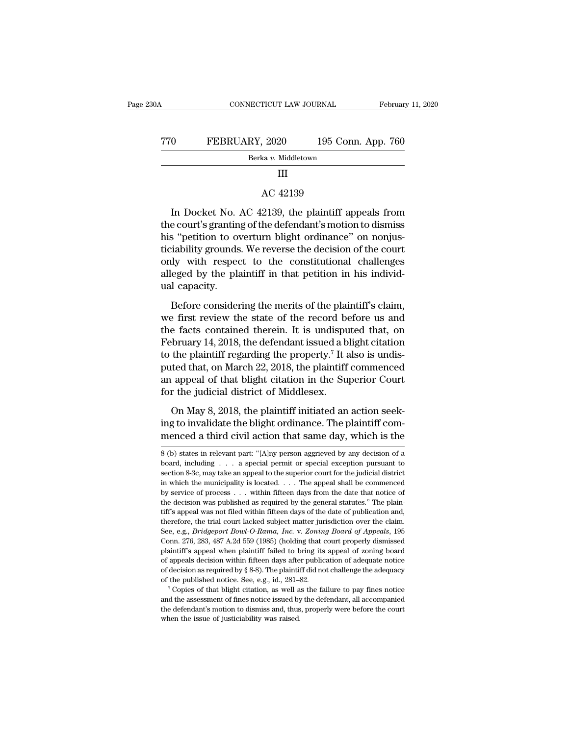| 0A  | CONNECTICUT LAW JOURNAL                            | February 11, 2020  |
|-----|----------------------------------------------------|--------------------|
| 770 | FEBRUARY, 2020                                     | 195 Conn. App. 760 |
|     | Berka v. Middletown                                |                    |
|     | Ш                                                  |                    |
|     | AC 42139                                           |                    |
|     | In Docket No. AC 42139, the plaintiff appeals from |                    |

O FEBRUARY, 2020 195 Conn. App. 760<br>Berka v. Middletown<br>III<br>AC 42139<br>In Docket No. AC 42139, the plaintiff appeals from<br>e court's granting of the defendant's motion to dismiss<br>s "potition to everture blight erdinance" on Berka v. Middletown<br>
III<br>
AC 42139<br>
In Docket No. AC 42139, the plaintiff appeals from<br>
the court's granting of the defendant's motion to dismiss<br>
his "petition to overturn blight ordinance" on nonjus-<br>
tigishiity grounds. his ordinal to materials in the Carlisland of the plaintiff appeals from the court's granting of the defendant's motion to dismiss this "petition to overturn blight ordinance" on nonjusticiability grounds. We reverse the d III<br>AC 42139<br>In Docket No. AC 42139, the plaintiff appeals from<br>the court's granting of the defendant's motion to dismiss<br>his "petition to overturn blight ordinance" on nonjus-<br>ticiability grounds. We reverse the decision AC 42139<br>In Docket No. AC 42139, the plaintiff appeals from<br>the court's granting of the defendant's motion to dismiss<br>his "petition to overturn blight ordinance" on nonjus-<br>ticiability grounds. We reverse the decision of t In Docket No. AC 42139, the plaintiff appeals from<br>the court's granting of the defendant's motion to dismiss<br>his "petition to overturn blight ordinance" on nonjus-<br>ticiability grounds. We reverse the decision of the court<br> In Docket No. .<br>the court's grantin<br>his "petition to ov<br>ticiability grounds<br>only with respec<br>alleged by the pla<br>ual capacity.<br>Before consider Before considering the merits of the court<br>dividering the merits of the court<br>dy with respect to the constitutional challenges<br>eged by the plaintiff in that petition in his individ-<br>dicapacity.<br>Before considering the merit ticiability grounds. We reverse the decision of the court<br>
only with respect to the constitutional challenges<br>
alleged by the plaintiff in that petition in his individ-<br>
ual capacity.<br>
Before considering the merits of the

only with respect to the constitutional challenges<br>alleged by the plaintiff in that petition in his individ-<br>ual capacity.<br>Before considering the merits of the plaintiff's claim,<br>we first review the state of the record be alleged by the plaintiff in that petition in his individual capacity.<br>Before considering the merits of the plaintiff's claim,<br>we first review the state of the record before us and<br>the facts contained therein. It is undisp The plaintiff's claim,<br>and capacity.<br>Before considering the merits of the plaintiff's claim,<br>we first review the state of the record before us and<br>the facts contained therein. It is undisputed that, on<br>February 14, 2018, t Before considering the merits of the plaintiff's claim,<br>we first review the state of the record before us and<br>the facts contained therein. It is undisputed that, on<br>February 14, 2018, the defendant issued a blight citatio Before considering the merits of the plaintiff's claim,<br>we first review the state of the record before us and<br>the facts contained therein. It is undisputed that, on<br>February 14, 2018, the defendant issued a blight citation we first review the state of the record be<br>the facts contained therein. It is undispu<br>February 14, 2018, the defendant issued a b<br>to the plaintiff regarding the property.<sup>7</sup> It a<br>puted that, on March 22, 2018, the plaintif bruary 14, 2018, the defendant issued a blight citation<br>the plaintiff regarding the property.<sup>7</sup> It also is undis-<br>ted that, on March 22, 2018, the plaintiff commenced<br>appeal of that blight citation in the Superior Court<br>r to the plaintiff regarding the property.<sup>7</sup> It also is undis-<br>puted that, on March 22, 2018, the plaintiff commenced<br>an appeal of that blight citation in the Superior Court<br>for the judicial district of Middlesex.<br>On May 8, puted that, on March 22, 2018, the plaintiff commenced<br>an appeal of that blight citation in the Superior Court<br>for the judicial district of Middlesex.<br>On May 8, 2018, the plaintiff initiated an action seek-<br>ing to invalida

On May 8, 2018, the plaintiff initiated an action seeking to invalidate the blight ordinance. The plaintiff com-<br>menced a third civil action that same day, which is the<br> $\frac{8}{10}$  (b) states in relevant part: "[A]ny perso On May 8, 2018, the plaintiff initiated an action seeking to invalidate the blight ordinance. The plaintiff commenced a third civil action that same day, which is the  $8$  (b) states in relevant part: "[A]ny person aggriev

ing to invalidate the blight ordinance. The plaintiff com-<br>menced a third civil action that same day, which is the<br> $8$  (b) states in relevant part: "[A]ny person aggrieved by any decision of a<br>board, including . . . a spe menced a third civil action that same day, which is the  $\frac{8}{8}$  (b) states in relevant part: "[A]ny person aggrieved by any decision of a board, including . . . . a special permit or special exception pursuant to sectio by service of process . . . within fifteen days from the date that notice of 8 (b) states in relevant part: "[A]ny person aggrieved by any decision of a board, including . . . a special permit or special exception pursuant to section 8-3c, may take an appeal to the superior court for the judicial board, including  $\ldots$  a special permit or special exception pursuant to section 8-3c, may take an appeal to the superior court for the judicial district in which the municipality is located.  $\ldots$  The appeal shall be com See, e.g., *Bridgeport Bowl-O-Rama, Inc. v. Zoning Board of Appeals*, 195 Conn. 276, 283, 487 A.2d 559 (1985) (holding that court properly dismissed Secarator of equal and appear of the supplemental matrice in which the municipality is located. . . . The appeal shall be commenced by service of process . . . within fifteen days from the date that notice of the decision In the second of process . . . within fifteen days from the date that notice of the decision was published as required by the general statutes." The plaintiff's appeal was not filed within fifteen days of the date of publi the decision was published as required by the general statutes." The plaintiff's appeal was not filed within fifteen days of the date of publication and, therefore, the trial court lacked subject matter jurisdiction over t tiff's appeal was not filed within fifteen days of the date of publication and, therefore, the trial court lacked subject matter jurisdiction over the claim.<br>See, e.g., *Bridgeport Bowl-O-Rama, Inc.* v. *Zoning Board of A* therefore, the trial court lacked subject matter jurisdiction over the claim.<br>See, e.g., *Bridgeport Bowl-O-Rama, Inc.* v. *Zoning Board of Appeals*, 195<br>Conn. 276, 283, 487 A.2d 559 (1985) (holding that court properly dis See, e.g., *Bridgeport Bowl-O-Rama*, *Inc.* v. *Zoning Board of Appeals*, 195 Conn. 276, 283, 487 A.2d 559 (1985) (holding that court properly dismissed plaintiff's appeal when plaintiff failed to bring its appeal of zonin plaintiff's appeal when plaintiff failed to bring its appeal of zoning board of appeals decision within fifteen days after publication of adequate notice of decision as required by  $\S$  8-8). The plaintiff did not challeng plaintiff's appeal when plaintiff failed to bring its appeal of zoning board of appeals decision within fifteen days after publication of adequate notice of decision as required by  $\S$  8-8). The plaintiff did not challeng of decision as required by  $\S$  8-8). The plaintiff did not challenge the adequacy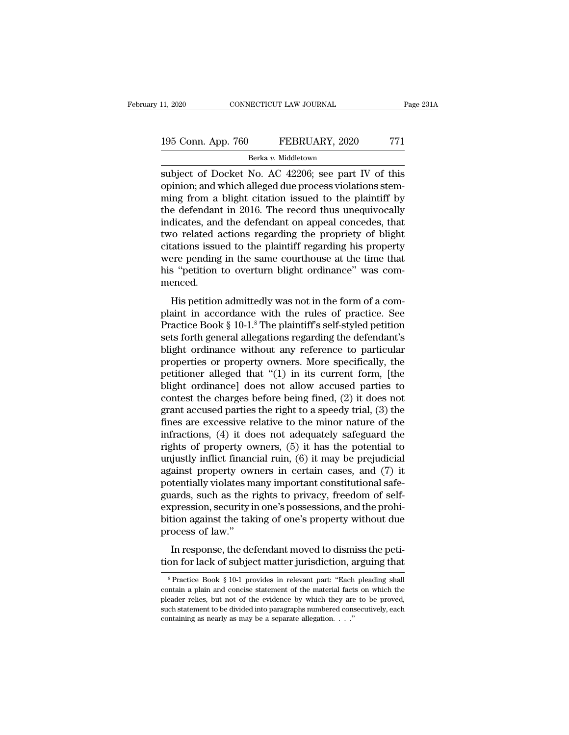# 11, 2020 CONNECTICUT LAW JOURNAL Page 231A<br>195 Conn. App. 760 FEBRUARY, 2020 771<br>Berka v. Middletown

Berka *v.* Middletown

subject of Docket No. AC 42206; see part IV of this<br>the philosophical period of Docket No. AC 42206; see part IV of this<br>topinion; and which alleged due process violations stemming from a blight citation issued to the plai 195 Conn. App. 760 FEBRUARY, 2020 771<br>Berka v. Middletown<br>subject of Docket No. AC 42206; see part IV of this<br>opinion; and which alleged due process violations stem-<br>ming from a blight citation issued to the plaintiff by<br>t 195 Conn. App. 760 FEBRUARY, 2020 771<br>Berka v. Middletown<br>subject of Docket No. AC 42206; see part IV of this<br>opinion; and which alleged due process violations stem-<br>ming from a blight citation issued to the plaintiff by<br> 195 Conn. App. 760 FEBRUARY, 2020 771<br>
Berka v. Middletown<br>
subject of Docket No. AC 42206; see part IV of this<br>
opinion; and which alleged due process violations stem-<br>
ming from a blight citation issued to the plaintiff Berka v. Middletown<br>
Subject of Docket No. AC 42206; see part IV of this<br>
opinion; and which alleged due process violations stem-<br>
ming from a blight citation issued to the plaintiff by<br>
the defendant in 2016. The record Berka v. Middletown<br>subject of Docket No. AC 42206; see part IV of this<br>opinion; and which alleged due process violations stem-<br>ming from a blight citation issued to the plaintiff by<br>the defendant in 2016. The record thus subject of Docket No. AC 42206; see part IV of this<br>opinion; and which alleged due process violations stem-<br>ming from a blight citation issued to the plaintiff by<br>the defendant in 2016. The record thus unequivocally<br>indica opinion; and which alleged due process violations stem-<br>ming from a blight citation issued to the plaintiff by<br>the defendant in 2016. The record thus unequivocally<br>indicates, and the defendant on appeal concedes, that<br>two ming from a blight citation issued to the plaintiff by<br>the defendant in 2016. The record thus unequivocally<br>indicates, and the defendant on appeal concedes, that<br>two related actions regarding the propriety of blight<br>citati menced. Figure 2.1 and the determinant on appear concedes, that<br>o related actions regarding the propriety of blight<br>ations issued to the plaintiff regarding his property<br>ere pending in the same courthouse at the time that<br>s "peti we related actions regarding the propriety of bigin<br>citations issued to the plaintiff regarding his property<br>were pending in the same courthouse at the time that<br>his "petition to overturn blight ordinance" was com-<br>menced

Eductions issued to the plaintiff regarding his property<br>were pending in the same courthouse at the time that<br>his "petition to overturn blight ordinance" was com-<br>menced.<br>His petition admittedly was not in the form of a co were penang in the stane countrolase at the time that<br>his "petition to overturn blight ordinance" was com-<br>menced.<br>His petition admittedly was not in the form of a com-<br>plaint in accordance with the rules of practice. See<br> Frame period to overtuant signal ordinance was commenced.<br>
His petition admittedly was not in the form of a complaint in accordance with the rules of practice. See<br>
Practice Book § 10-1.<sup>8</sup> The plaintiff's self-styled pet His petition admittedly was not in the form of a complaint in accordance with the rules of practice. See<br>Practice Book § 10-1.<sup>8</sup> The plaintiff's self-styled petition<br>sets forth general allegations regarding the defendant His petition admittedly was not in the form of a complaint in accordance with the rules of practice. See<br>Practice Book § 10-1.<sup>8</sup> The plaintiff's self-styled petition<br>sets forth general allegations regarding the defendant plaint in accordance with the rules of practice. See<br>Practice Book § 10-1.<sup>8</sup> The plaintiff's self-styled petition<br>sets forth general allegations regarding the defendant's<br>blight ordinance without any reference to particul Practice Book § 10-1.<sup>8</sup> The plaintiff's self-styled petition<br>sets forth general allegations regarding the defendant's<br>blight ordinance without any reference to particular<br>properties or property owners. More specifically, sets forth general allegations regarding the defendant's<br>blight ordinance without any reference to particular<br>properties or property owners. More specifically, the<br>petitioner alleged that "(1) in its current form, [the<br>bli blight ordinance without any reference to particular<br>properties or property owners. More specifically, the<br>petitioner alleged that "(1) in its current form, [the<br>blight ordinance] does not allow accused parties to<br>contest properties or property owners. More specifically, the<br>petitioner alleged that "(1) in its current form, [the<br>blight ordinance] does not allow accused parties to<br>contest the charges before being fined, (2) it does not<br>gran petitioner alleged that "(1) in its current form, [the<br>blight ordinance] does not allow accused parties to<br>contest the charges before being fined, (2) it does not<br>grant accused parties the right to a speedy trial, (3) the blight ordinance] does not allow accused parties to<br>contest the charges before being fined, (2) it does not<br>grant accused parties the right to a speedy trial, (3) the<br>fines are excessive relative to the minor nature of the contest the charges before being fined,  $(2)$  it does not<br>grant accused parties the right to a speedy trial,  $(3)$  the<br>fines are excessive relative to the minor nature of the<br>infractions,  $(4)$  it does not adequately safe grant accused parties the right to a speedy trial, (3) the<br>fines are excessive relative to the minor nature of the<br>infractions, (4) it does not adequately safeguard the<br>rights of property owners, (5) it has the potential t fines are excessive relative to the minor nature of the infractions,  $(4)$  it does not adequately safeguard the rights of property owners,  $(5)$  it has the potential to unjustly inflict financial ruin,  $(6)$  it may be pre infractions, (4) it does not adequately safeguard the rights of property owners, (5) it has the potential to unjustly inflict financial ruin, (6) it may be prejudicial against property owners in certain cases, and (7) it rights of property owners, (5) it has the potential to<br>unjustly inflict financial ruin, (6) it may be prejudicial<br>against property owners in certain cases, and (7) it<br>potentially violates many important constitutional safe unjustly inflict finance<br>against property ow<br>potentially violates m<br>guards, such as the 1<br>expression, security i<br>bition against the tak<br>process of law."<br>In response, the de In response, the defendant moved to dismiss the peti-<br>pression, security in one's possessions, and the prohi-<br>pression, security in one's possessions, and the prohi-<br>tion against the taking of one's property without due<br>oc potentially violates matry in portaint constructional state<br>guards, such as the rights to privacy, freedom of self-<br>expression, security in one's possessions, and the prohi-<br>bition against the taking of one's property with

Fractice Book § 10-1 provides in relevant part: ''Each pleading shall<br>
Separation of Practice Book § 10-1 provides in relevant part: ''Each pleading shall<br>
Separation a plain and concise statement of the material facts on In response, the defendant moved to dismiss the petition for lack of subject matter jurisdiction, arguing that<br><sup>8</sup> Practice Book § 10-1 provides in relevant part: "Each pleading shall contain a plain and concise statement In response, the defendant moved to dismiss the petition for lack of subject matter jurisdiction, arguing that<br><sup>8</sup> Practice Book  $\S$  10-1 provides in relevant part: "Each pleading shall<br>contain a plain and concise stateme such statement to be divided into paragraphs numbered consecutively, each peaking shall contain a plain and concise statement of the material facts on which the pleader relies, but not of the evidence by which they are to  $^8$  Practice Book  $\frac{8}{3}$  10-1 provides in relevant part: "Each pleading shall contain a plain and concise statement of the material facts on which the pleader relies, but not of the evidence by which they are to be pr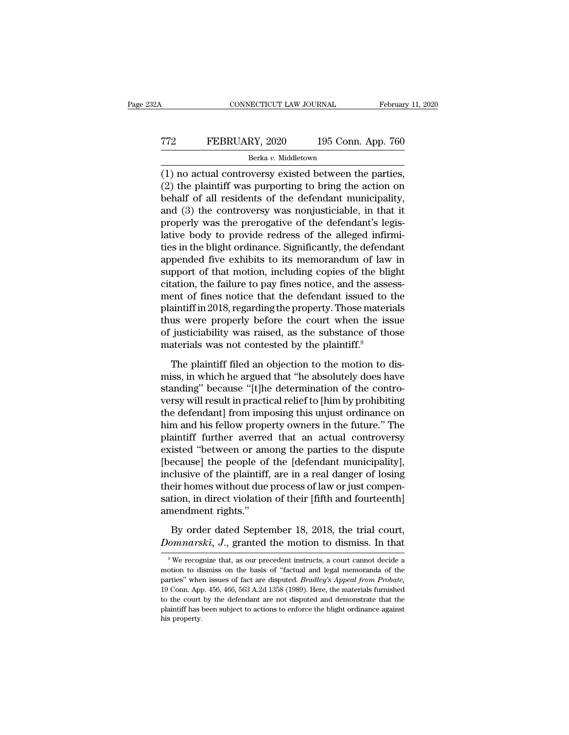# CONNECTICUT LAW JOURNAL February 11, 2020<br>
T72 FEBRUARY, 2020 195 Conn. App. 760<br>
Berka v. Middletown Berka *v.* Middletown

CONNECTICUT LAW JOURNAL February 11, 2<br>
FEBRUARY, 2020 195 Conn. App. 760<br>
Berka v. Middletown<br>
(1) no actual controversy existed between the parties,<br>
(2) the plaintiff was purporting to bring the action on<br>
hebelf of all TT2 FEBRUARY, 2020 195 Conn. App. 760<br>Berka v. Middletown<br>(1) no actual controversy existed between the parties,<br>(2) the plaintiff was purporting to bring the action on<br>behalf of all residents of the defendant municipalit FEBRUARY, 2020 195 Conn. App. 760<br>Berka v. Middletown<br>(1) no actual controversy existed between the parties,<br>(2) the plaintiff was purporting to bring the action on<br>behalf of all residents of the defendant municipality,<br>a FEBRUARY, 2020 195 Conn. App. 760<br>
Berka v. Middletown<br>
(1) no actual controversy existed between the parties,<br>
(2) the plaintiff was purporting to bring the action on<br>
behalf of all residents of the defendant municipalit Berka v. Middletown<br>
(1) no actual controversy existed between the parties,<br>
(2) the plaintiff was purporting to bring the action on<br>
behalf of all residents of the defendant municipality,<br>
and (3) the controversy was non  $\frac{\text{berra } v. \text{ Madedown}}{2}$ <br>
(1) no actual controversy existed between the parties,<br>
(2) the plaintiff was purporting to bring the action on<br>
behalf of all residents of the defendant municipality,<br>
and (3) the controversy was (1) no actual controversy existed between the parties,<br>
(2) the plaintiff was purporting to bring the action on<br>
behalf of all residents of the defendant municipality,<br>
and (3) the controversy was nonjusticiable, in that (2) the plaintiff was purporting to bring the action on<br>behalf of all residents of the defendant municipality,<br>and (3) the controversy was nonjusticiable, in that it<br>properly was the prerogative of the defendant's legis-<br> behalf of all residents of the defendant municipality,<br>and (3) the controversy was nonjusticiable, in that it<br>properly was the prerogative of the defendant's legis-<br>lative body to provide redress of the alleged infirmi-<br>ti and (3) the controversy was nonjusticiable, in that it<br>properly was the prerogative of the defendant's legis-<br>lative body to provide redress of the alleged infirmi-<br>ties in the blight ordinance. Significantly, the defendan properly was the prerogative of the defendant's legislative body to provide redress of the alleged infirmities in the blight ordinance. Significantly, the defendant appended five exhibits to its memorandum of law in suppor lative body to provide redress of the alleged infirmities in the blight ordinance. Significantly, the defendant appended five exhibits to its memorandum of law in support of that motion, including copies of the blight cita ties in the blight ordinance. Significantly, the defendant<br>appended five exhibits to its memorandum of law in<br>support of that motion, including copies of the blight<br>citation, the failure to pay fines notice, and the assess appended five exhibits to its memorandum of law in<br>support of that motion, including copies of the blight<br>citation, the failure to pay fines notice, and the assess-<br>ment of fines notice that the defendant issued to the<br>pla support of that motion, including copies of the bli<br>citation, the failure to pay fines notice, and the asse<br>ment of fines notice that the defendant issued to<br>plaintiff in 2018, regarding the property. Those materi<br>thus we The plaintiff in 2018, regarding the property. Those materials<br>as were properly before the court when the issue<br>justiciability was raised, as the substance of those<br>aterials was not contested by the plaintiff.<sup>9</sup><br>The plain maintiff in 2018, regarding the property. Those materials<br>thus were properly before the court when the issue<br>of justiciability was raised, as the substance of those<br>materials was not contested by the plaintiff.<sup>9</sup><br>The plai

Frame Property before the court when the issue<br>thus were properly before the court when the issue<br>of justiciability was raised, as the substance of those<br>materials was not contested by the plaintiff.<sup>9</sup><br>The plaintiff filed of justiciability was raised, as the substance of those<br>of justiciability was raised, as the substance of those<br>materials was not contested by the plaintiff.<sup>9</sup><br>The plaintiff filed an objection to the motion to dis-<br>miss, or *j* determined was not contested by the plaintiff.<sup>9</sup><br>The plaintiff filed an objection to the motion to dis-<br>miss, in which he argued that "he absolutely does have<br>standing" because "[t]he determination of the contro-<br>v The plaintiff filed an objection to the motion to dismiss, in which he argued that "he absolutely does have standing" because "[t]he determination of the controversy will result in practical relief to [him by prohibiting The plaintiff filed an objection to the motion to dismiss, in which he argued that "he absolutely does have<br>standing" because "[t]he determination of the contro-<br>versy will result in practical relief to [him by prohibiting miss, in which he argued that "he absolutely does have<br>standing" because "[t]he determination of the contro-<br>versy will result in practical relief to [him by prohibiting<br>the defendant] from imposing this unjust ordinance o standing" because "[t]he determination of the contro-<br>versy will result in practical relief to [him by prohibiting<br>the defendant] from imposing this unjust ordinance on<br>him and his fellow property owners in the future." Th versy will result in practical relief to [him by prohibiting<br>the defendant] from imposing this unjust ordinance on<br>him and his fellow property owners in the future." The<br>plaintiff further averred that an actual controversy the defendant] from imposing this unjust ordinance on<br>him and his fellow property owners in the future." The<br>plaintiff further averred that an actual controversy<br>existed "between or among the parties to the dispute<br>[becaus him and his fellow property owners in the future." The plaintiff further averred that an actual controversy existed "between or among the parties to the dispute [because] the people of the [defendant municipality], inclusi plaintiff further averrece<br>existed "between or am<br>[because] the people of<br>inclusive of the plaintiff,<br>their homes without due<br>sation, in direct violatior<br>amendment rights."<br>By order dated Septer Example 18, 2018, the properties are properties all defendant municipality], clusive of the plaintiff, are in a real danger of losing eir homes without due process of law or just compention, in direct violation of their [ *Doculary* are people of the plaintiff, are in a real danger of losing their homes without due process of law or just compensation, in direct violation of their [fifth and fourteenth] amendment rights."<br>By order dated Sept

9 Mercognize that, as our precedent instructs, a court cannot decide a<br>
9 We recognize that, as our precedent instructs, a court cannot decide a<br>
9 We recognize that, as our precedent instructs, a court cannot decide a<br>
1

By order dated September 18, 2018, the trial court,<br>*Domnarski*, J., granted the motion to dismiss. In that<br><sup>9</sup>We recognize that, as our precedent instructs, a court cannot decide a<br>motion to dismiss on the basis of "fact By order dated September 18, 2018, the trial court,<br> *Domnarski*, *J*., granted the motion to dismiss. In that<br>
<sup>9</sup>We recognize that, as our precedent instructs, a court cannot decide a<br>
motion to dismiss on the basis of " **19 Connect 20 A.1 Connect 20** A.1 Commutation C. Applementation is a court cannot decide a motion to dismiss on the basis of "factual and legal memoranda of the parties" when issues of fact are disputed. *Bradley's Appea* **EXECUTE:** The court of the court of the court of the court of the motion to dismiss on the basis of "factual and legal memoranda of the parties" when issues of fact are disputed. *Bradley's Appeal from Probate*, 19 Conn. <sup>9</sup> We recognize that, as our precedent instructs, a court cannot decide a motion to dismiss on the basis of "factual and legal memoranda of the parties" when issues of fact are disputed. *Bradley's Appeal from Probate*, motion to dismiss on the basis of "factual and legal memoranda of the parties" when issues of fact are disputed. *Bradley's Appeal from Probate*, 19 Conn. App. 456, 466, 563 A.2d 1358 (1989). Here, the materials furnished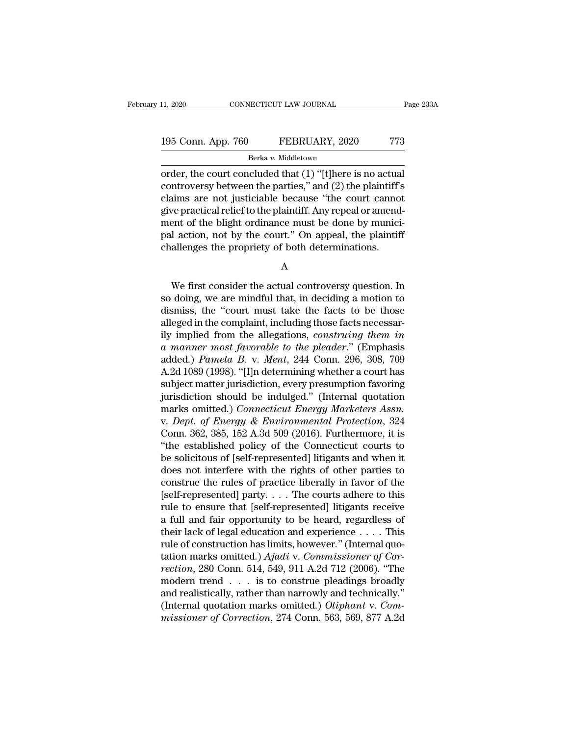# 11, 2020 CONNECTICUT LAW JOURNAL Page 233A<br>195 Conn. App. 760 FEBRUARY, 2020 773<br>Berka v. Middletown

Berka *v.* Middletown

order, the court concluded that (1) "[t]here is no actual<br>
order, the court concluded that (1) "[t]here is no actual<br>
controversy between the parties," and (2) the plaintiff's<br>
colaims are not instigible because "the seurt 195 Conn. App. 760 FEBRUARY, 2020 773<br>Berka v. Middletown<br>
order, the court concluded that (1) "[t]here is no actual<br>
controversy between the parties," and (2) the plaintiff's<br>
claims are not justiciable because "the court 195 Conn. App. 760 FEBRUARY, 2020 773<br>
Berka v. Middletown<br>
order, the court concluded that (1) "[t]here is no actual<br>
controversy between the parties," and (2) the plaintiff's<br>
claims are not justiciable because "the cou 195 Conn. App. 760 FEBRUARY, 2020 773<br>
Berka v. Middletown<br>
order, the court concluded that  $(1)$  "[t]here is no actual<br>
controversy between the parties," and  $(2)$  the plaintiff's<br>
claims are not justiciable because "the Berka v. Middletown<br>
order, the court concluded that  $(1)$  "[t]here is no actual<br>
controversy between the parties," and  $(2)$  the plaintiff's<br>
claims are not justiciable because "the court cannot<br>
give practical relief to berka v. Middletown<br>
order, the court concluded that (1) "[t]here is no actual<br>
controversy between the parties," and (2) the plaintiff's<br>
claims are not justiciable because "the court cannot<br>
give practical relief to the order, the court concluded that (1) "[t]here is no actual controversy between the parties," and (2) the plaintiff's claims are not justiciable because "the court canno give practical relief to the plaintiff. Any repeal or We practical relief to the plaintiff. Any repeal or amend-<br>ent of the blight ordinance must be done by munici-<br>l action, not by the court." On appeal, the plaintiff<br>allenges the propriety of both determinations.<br>A<br>We first

A

ment of the blight ordinance must be done by municipal<br>pai action, not by the court." On appeal, the plaintiff<br>challenges the propriety of both determinations.<br>A<br>We first consider the actual controversy question. In<br>so doi pal action, not by the court." On appeal, the plaintiff<br>challenges the propriety of both determinations.<br>A<br>We first consider the actual controversy question. In<br>so doing, we are mindful that, in deciding a motion to<br>dismis challenges the propriety of both determinations.<br>
A<br>
We first consider the actual controversy question. In<br>
so doing, we are mindful that, in deciding a motion to<br>
dismiss, the "court must take the facts to be those<br>
alleg <sup>2</sup> A<br>
We first consider the actual controversy question. In<br>
so doing, we are mindful that, in deciding a motion to<br>
dismiss, the "court must take the facts to be those<br>
alleged in the complaint, including those facts nec We first consider the actual controversy question. In<br>so doing, we are mindful that, in deciding a motion to<br>dismiss, the "court must take the facts to be those<br>alleged in the complaint, including those facts necessar-<br>ily We first consider the actual controversy question. In<br>so doing, we are mindful that, in deciding a motion to<br>dismiss, the "court must take the facts to be those<br>alleged in the complaint, including those facts necessar-<br>ily so doing, we are mindful that, in deciding a motion to<br>dismiss, the "court must take the facts to be those<br>alleged in the complaint, including those facts necessar-<br>ily implied from the allegations, *construing them in*<br>a dismiss, the "court must take the facts to be those<br>alleged in the complaint, including those facts necessar-<br>ily implied from the allegations, *construing them in*<br>a manner most favorable to the pleader." (Emphasis<br>added. alleged in the complaint, including those facts necessarily implied from the allegations, *construing them in*<br>a manner most favorable to the pleader." (Emphasis<br>added.) Pamela B. v. Ment, 244 Conn. 296, 308, 709<br>A.2d 1089 ily implied from the allegations, *construing them in*<br>a manner most favorable to the pleader." (Emphasis<br>added.) *Pamela B. v. Ment*, 244 Conn. 296, 308, 709<br>A.2d 1089 (1998). "[I]n determining whether a court has<br>subject a manner most favorable to the pleader." (Emphasis<br>added.) Pamela B. v. Ment, 244 Conn. 296, 308, 709<br>A.2d 1089 (1998). "[I]n determining whether a court has<br>subject matter jurisdiction, every presumption favoring<br>jurisdic added.) *Pamela B. v. Ment*, 244 Conn. 296, 308, 709<br>A.2d 1089 (1998). "[I]n determining whether a court has<br>subject matter jurisdiction, every presumption favoring<br>jurisdiction should be indulged." (Internal quotation<br>mar A.2d 1089 (1998). "[I]n determining whether a court has<br>subject matter jurisdiction, every presumption favoring<br>jurisdiction should be indulged." (Internal quotation<br>marks omitted.) *Connecticut Energy Marketers Assn.*<br>v. subject matter jurisdiction, every presumption favoring<br>jurisdiction should be indulged." (Internal quotation<br>marks omitted.) *Connecticut Energy Marketers Assn.*<br>v. *Dept. of Energy & Environmental Protection*, 324<br>Conn. jurisdiction should be indulged." (Internal quotation<br>marks omitted.) *Connecticut Energy Marketers Assn.*<br>v. *Dept. of Energy & Environmental Protection*, 324<br>Conn. 362, 385, 152 A.3d 509 (2016). Furthermore, it is<br>"the e marks omitted.) Connecticut Energy Marketers Assn.<br>v. Dept. of Energy & Environmental Protection, 324<br>Conn. 362, 385, 152 A.3d 509 (2016). Furthermore, it is<br>"the established policy of the Connecticut courts to<br>be solicit v. Dept. of Energy & Environmental Protection, 324<br>Conn. 362, 385, 152 A.3d 509 (2016). Furthermore, it is<br>"the established policy of the Connecticut courts to<br>be solicitous of [self-represented] litigants and when it<br>doe Conn. 362, 385, 152 A.3d 509 (2016). Furthermore, it is<br>
"the established policy of the Connecticut courts to<br>
be solicitous of [self-represented] litigants and when it<br>
does not interfere with the rights of other parties "the established policy of the Connecticut courts to<br>be solicitous of [self-represented] litigants and when it<br>does not interfere with the rights of other parties to<br>construe the rules of practice liberally in favor of th be solicitous of [self-represented] litigants and when it<br>does not interfere with the rights of other parties to<br>construe the rules of practice liberally in favor of the<br>[self-represented] party....The courts adhere to th does not interfere with the rights of other parties to<br>construe the rules of practice liberally in favor of the<br>[self-represented] party. . . . The courts adhere to this<br>rule to ensure that [self-represented] litigants rec construe the rules of practice liberally in favor of the<br>[self-represented] party. . . . The courts adhere to this<br>rule to ensure that [self-represented] litigants receive<br>a full and fair opportunity to be heard, regardles [self-represented] party. . . . The courts adhere to this<br>rule to ensure that [self-represented] litigants receive<br>a full and fair opportunity to be heard, regardless of<br>their lack of legal education and experience . . . . rule to ensure that [self-represented] litigants receive<br>a full and fair opportunity to be heard, regardless of<br>their lack of legal education and experience . . . . This<br>rule of construction has limits, however." (Interna a full and fair opportunity to be heard, regardless of<br>their lack of legal education and experience .... This<br>rule of construction has limits, however." (Internal quo-<br>tation marks omitted.) Ajadi v. Commissioner of Cor-<br> their lack of legal education and experience . . . . This<br>rule of construction has limits, however." (Internal quo-<br>tation marks omitted.) *Ajadi* v. *Commissioner of Cor-*<br>*rection*, 280 Conn. 514, 549, 911 A.2d 712 (2006 rule of construction has limits, however." (Internal quotation marks omitted.) *Ajadi* v. *Commissioner of Correction*, 280 Conn. 514, 549, 911 A.2d 712 (2006). "The modern trend . . . is to construe pleadings broadly and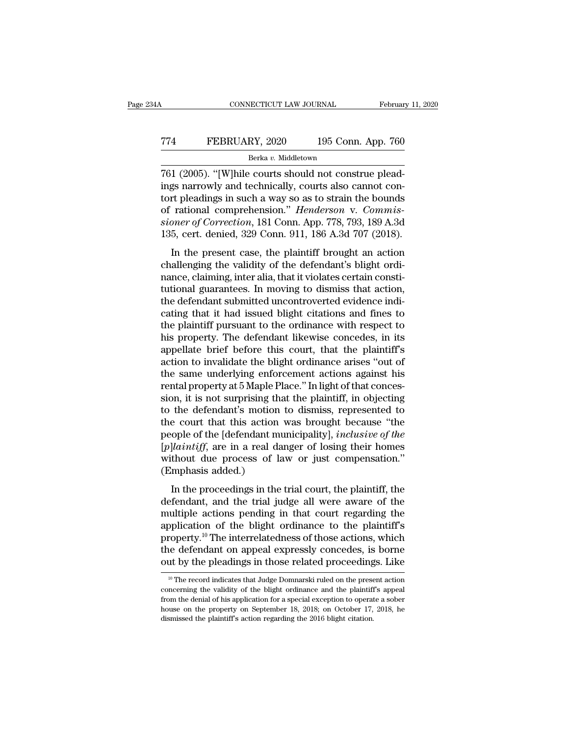# CONNECTICUT LAW JOURNAL February 11, 2020<br>
T74 FEBRUARY, 2020 195 Conn. App. 760<br>
Berka v. Middletown

Berka *v.* Middletown

CONNECTICUT LAW JOURNAL Februar<br>
774 FEBRUARY, 2020 195 Conn. App. 760<br>
<sup>Berka v. Middletown</sup><br>
761 (2005). "[W]hile courts should not construe plead-<br>
ings narrowly and technically, courts also cannot con-<br>
tort ploadings FEBRUARY, 2020 195 Conn. App. 760<br>
Berka v. Middletown<br>
761 (2005). "[W]hile courts should not construe plead-<br>
ings narrowly and technically, courts also cannot con-<br>
tort pleadings in such a way so as to strain the bound TT4 FEBRUARY, 2020 195 Conn. App. 760<br>
Berka v. Middletown<br>
T61 (2005). "[W]hile courts should not construe plead-<br>
ings narrowly and technically, courts also cannot con-<br>
tort pleadings in such a way so as to strain the FEBRUARY, 2020 195 Conn. App. 760<br>
<sup>Berka v. Middletown<br>
761 (2005). "[W]hile courts should not construe plead-<br>
ings narrowly and technically, courts also cannot con-<br>
tort pleadings in such a way so as to strain the boun</sup> *Berka v. Middletown*<br> *Berka v. Middletown*<br> **761** (2005). "[W]hile courts should not construe plead-<br>
ings narrowly and technically, courts also cannot con-<br>
tort pleadings in such a way so as to strain the bounds<br>
of ra <sup>Berka v. Middetown</sup><br>
135, cert. (2005). "[W]hile courts should not construe plead-<br>
ings narrowly and technically, courts also cannot con-<br>
tort pleadings in such a way so as to strain the bounds<br>
of rational comprehensi If (2009). Twink courts should not construct plead-<br>gs narrowly and technically, courts also cannot con-<br>rt pleadings in such a way so as to strain the bounds<br>rational comprehension." *Henderson* v. *Commis-*<br>per of Corre readings in such a way so as to strain the bounds<br>of rational comprehension." *Henderson v. Commis-<br>sioner of Correction*, 181 Conn. App. 778, 793, 189 A.3d<br>135, cert. denied, 329 Conn. 911, 186 A.3d 707 (2018).<br>In the pre

of rational comprehension." *Henderson v. Commissioner of Correction*, 181 Conn. App. 778, 793, 189 A.3d 135, cert. denied, 329 Conn. 911, 186 A.3d 707 (2018). In the present case, the plaintiff brought an action challengi sioner of Correction, 181 Conn. App. 778, 793, 189 A.3d<br>135, cert. denied, 329 Conn. 911, 186 A.3d 707 (2018).<br>In the present case, the plaintiff brought an action<br>challenging the validity of the defendant's blight ordi-<br> 135, cert. denied, 329 Conn. 911, 186 A.3d 707 (2018).<br>
In the present case, the plaintiff brought an action<br>
challenging the validity of the defendant's blight ordi-<br>
nance, claiming, inter alia, that it violates certain In the present case, the plaintiff brought an action<br>challenging the validity of the defendant's blight ordi-<br>nance, claiming, inter alia, that it violates certain consti-<br>tutional guarantees. In moving to dismiss that ac In the present case, the plaintiff brought an action<br>challenging the validity of the defendant's blight ordi-<br>nance, claiming, inter alia, that it violates certain consti-<br>tutional guarantees. In moving to dismiss that act challenging the validity of the defendant's blight ordinance, claiming, inter alia, that it violates certain constitutional guarantees. In moving to dismiss that action, the defendant submitted uncontroverted evidence indi nance, claiming, inter alia, that it violates certain constitutional guarantees. In moving to dismiss that action, the defendant submitted uncontroverted evidence indicating that it had issued blight citations and fines to tutional guarantees. In moving to dismiss that action,<br>the defendant submitted uncontroverted evidence indi-<br>cating that it had issued blight citations and fines to<br>the plaintiff pursuant to the ordinance with respect to<br>h the defendant submitted uncontroverted evidence indicating that it had issued blight citations and fines to the plaintiff pursuant to the ordinance with respect to his property. The defendant likewise concedes, in its appe cating that it had issued blight citations and fines to<br>the plaintiff pursuant to the ordinance with respect to<br>his property. The defendant likewise concedes, in its<br>appellate brief before this court, that the plaintiff's<br> the plaintiff pursuant to the ordinance with respect to<br>his property. The defendant likewise concedes, in its<br>appellate brief before this court, that the plaintiff's<br>action to invalidate the blight ordinance arises "out of his property. The defendant likewise concedes, in its<br>appellate brief before this court, that the plaintiff's<br>action to invalidate the blight ordinance arises "out of<br>the same underlying enforcement actions against his<br>ren appellate brief before this court, that the plaintiff's<br>action to invalidate the blight ordinance arises "out of<br>the same underlying enforcement actions against his<br>rental property at 5 Maple Place." In light of that conc action to invalidate the blight ordinance arises "out of<br>the same underlying enforcement actions against his<br>rental property at 5 Maple Place." In light of that conces-<br>sion, it is not surprising that the plaintiff, in obj the same underlying enforcement actions against his<br>
rental property at 5 Maple Place." In light of that conces-<br>
sion, it is not surprising that the plaintiff, in objecting<br>
to the defendant's motion to dismiss, represent rental property at 5 Maple Place." In light of that concession, it is not surprising that the plaintiff, in objecting to the defendant's motion to dismiss, represented to the court that this action was brought because "th sion, it is not surprising th<br>to the defendant's motion<br>the court that this action<br>people of the [defendant m<br> $[p]$ *laintiff*, are in a real da<br>without due process of l:<br>(Emphasis added.)<br>In the proceedings in the is a court that this action was brought because "the<br>ople of the [defendant municipality], *inclusive of the*<br>*llaintiff*, are in a real danger of losing their homes<br>thout due process of law or just compensation."<br>mphasis defect that the defendant municipality], *inclusive of the*<br>[*p*]*laintiff*, are in a real danger of losing their homes<br>without due process of law or just compensation."<br>(Emphasis added.)<br>In the proceedings in the trial co

[*p*]*laintiff*, are in a real danger of losing their homes without due process of law or just compensation."<br>(Emphasis added.)<br>In the proceedings in the trial court, the plaintiff, the<br>defendant, and the trial judge all platniq, at the area daiget of iosing then iones<br>without due process of law or just compensation."<br>(Emphasis added.)<br>In the proceedings in the trial court, the plaintiff, the<br>defendant, and the trial judge all were aware (Emphasis added.)<br>
In the proceedings in the trial court, the plaintiff, the<br>
defendant, and the trial judge all were aware of the<br>
multiple actions pending in that court regarding the<br>
application of the blight ordinance In the proceedings in the trial court, the plaintiff, the defendant, and the trial judge all were aware of the multiple actions pending in that court regarding the application of the blight ordinance to the plaintiff's pr In the proceedings in the trial court, the plaintiff, the defendant, and the trial judge all were aware of the multiple actions pending in that court regarding the application of the blight ordinance to the plaintiff's pr application of the blight ordinance to the plaintiff's<br>property.<sup>10</sup> The interrelatedness of those actions, which<br>the defendant on appeal expressly concedes, is borne<br>out by the pleadings in those related proceedings. Lik property.<sup>10</sup> The interrelatedness of those actions, which<br>the defendant on appeal expressly concedes, is borne<br>out by the pleadings in those related proceedings. Like<br><sup>10</sup> The record indicates that Judge Domnarski ruled o

the defendant on appeal expressly concedes, is borne<br>out by the pleadings in those related proceedings. Like<br><sup>10</sup> The record indicates that Judge Domnarski ruled on the present action<br>concerning the validity of the blight house on the pleadings in those related proceedings. Like<br>
<sup>10</sup> The record indicates that Judge Domnarski ruled on the present action<br>
concerning the validity of the blight ordinance and the plaintiff's appeal<br>
from the de <sup>10</sup> The record indicates that Judge Domnarski ruled on the present action concerning the validity of the blight ordinance and the plaintiff's appeal from the denial of his application for a special exception to operate a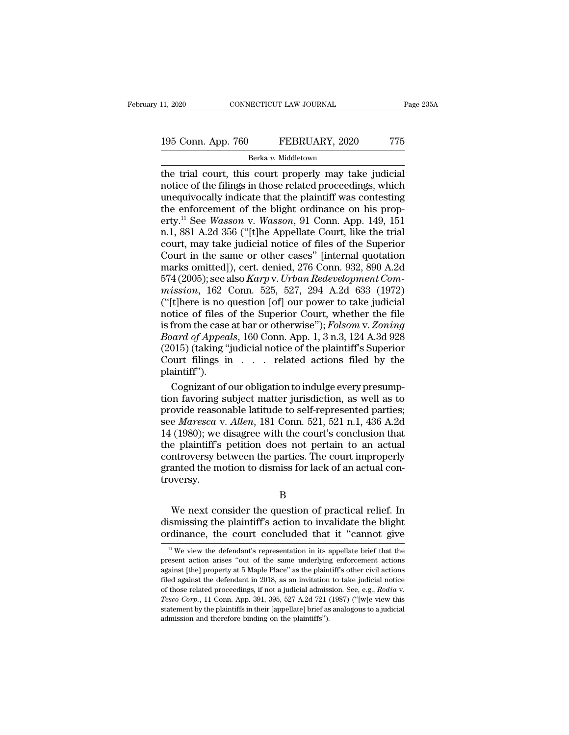# 11, 2020 CONNECTICUT LAW JOURNAL Page 235A<br>
195 Conn. App. 760 FEBRUARY, 2020 775<br>
Berka v. Middletown

### Berka *v.* Middletown

the trial court, this court properly may take judicial<br>the trial court, this court properly may take judicial<br>the trial court, this court properly may take judicial<br>trial court, this court properly may take judicial<br>the f 195 Conn. App. 760 FEBRUARY, 2020 775<br>Berka v. Middletown<br>the trial court, this court properly may take judicial<br>notice of the filings in those related proceedings, which<br>unequivocally indicate that the plaintiff was conte 195 Conn. App. 760 FEBRUARY, 2020 775<br>
Berka v. Middletown<br>
the trial court, this court properly may take judicial<br>
notice of the filings in those related proceedings, which<br>
unequivocally indicate that the plaintiff was 195 Conn. App. 760 FEBRUARY, 2020 775<br>
Berka v. Middletown<br>
the trial court, this court properly may take judicial<br>
notice of the filings in those related proceedings, which<br>
unequivocally indicate that the plaintiff was **Example 120 Conn.** App. 100 **Connection**<br> **Example 120 Connection**<br> **Example 120 Connection**<br> **Example 120 Connection**<br> **Example 120 Connection**<br> **Example 120 Connection**<br> **Example 149**<br> **Example 149**<br> **Example 149**<br> **Ex** Berka v. Middletown<br>the trial court, this court properly may take judicial<br>notice of the filings in those related proceedings, which<br>unequivocally indicate that the plaintiff was contesting<br>the enforcement of the blight o the trial court, this court properly may take judicial<br>notice of the filings in those related proceedings, which<br>unequivocally indicate that the plaintiff was contesting<br>the enforcement of the blight ordinance on his propnotice of the filings in those related proceedings, which<br>unequivocally indicate that the plaintiff was contesting<br>the enforcement of the blight ordinance on his prop-<br>erty.<sup>11</sup> See *Wasson* v. *Wasson*, 91 Conn. App. 149, unequivocally indicate that the plaintiff was contesting<br>the enforcement of the blight ordinance on his prop-<br>erty.<sup>11</sup> See *Wasson* v. *Wasson*, 91 Conn. App. 149, 151<br>n.1, 881 A.2d 356 ("[t]he Appellate Court, like the t unequivocally indicate that the plaintiff was contesting<br>the enforcement of the blight ordinance on his prop-<br>erty.<sup>11</sup> See *Wasson* v. *Wasson*, 91 Conn. App. 149, 151<br>n.1, 881 A.2d 356 ("[t]he Appellate Court, like the t erty.<sup>11</sup> See *Wasson* v. *Wasson*, 91 Conn. App. 149, 151<br>n.1, 881 A.2d 356 ("[t]he Appellate Court, like the trial<br>court, may take judicial notice of files of the Superior<br>Court in the same or other cases" [internal quot n.1, 881 A.2d 356 ("[t]he Appellate Court, like the trial<br>court, may take judicial notice of files of the Superior<br>Court in the same or other cases" [internal quotation<br>marks omitted]), cert. denied, 276 Conn. 932, 890 A. court, may take judicial notice of files of the Superior<br>Court in the same or other cases" [internal quotation<br>marks omitted]), cert. denied, 276 Conn. 932, 890 A.2d<br>574 (2005); see also *Karp* v. *Urban Redevelopment Com* Court in the same or other cases" [internal quotation<br>marks omitted]), cert. denied, 276 Conn. 932, 890 A.2d<br>574 (2005); see also *Karp* v. *Urban Redevelopment Com-<br>mission*, 162 Conn. 525, 527, 294 A.2d 633 (1972)<br>("[t]h marks omitted]), cert. denied, 276 Conn. 932, 890 A.2d<br>574 (2005); see also *Karp* v. *Urban Redevelopment Commission*, 162 Conn. 525, 527, 294 A.2d 633 (1972)<br>("[t]here is no question [of] our power to take judicial<br>notic 574 (2005); see also *Karp* v. *Urban Redevelopment Commission*, 162 Conn. 525, 527, 294 A.2d 633 (1972)<br>("[t]here is no question [of] our power to take judicial notice of files of the Superior Court, whether the file<br>is mission, 162 Conn. 525, 527, 294 A.2d 633 (1972)<br>
("[t]here is no question [of] our power to take judicial<br>
notice of files of the Superior Court, whether the file<br>
is from the case at bar or otherwise"); *Folsom v. Zonin* plaintiff''). tice of files of the Superior Court, whether the file<br>from the case at bar or otherwise"); *Folsom v. Zoning*<br>*oard of Appeals*, 160 Conn. App. 1, 3 n.3, 124 A.3d 928<br>015) (taking "judicial notice of the plaintiff"s Superi is from the case at bar or otherwise"); *Folsom* v. Zoning<br> *Board of Appeals*, 160 Conn. App. 1, 3 n.3, 124 A.3d 928<br>
(2015) (taking "judicial notice of the plaintiff"s Superior<br>
Court filings in . . . . related actions

*Board of Appeals*, 160 Conn. App. 1, 3 n.3, 124 A.3d 928 (2015) (taking "judicial notice of the plaintiff"s Superior Court filings in . . . related actions filed by the plaintiff").<br>Cognizant of our obligation to indulge (2015) (taking "judicial notice of the plaintiff"s Superior<br>Court filings in . . . related actions filed by the<br>plaintiff").<br>Cognizant of our obligation to indulge every presump-<br>tion favoring subject matter jurisdiction, Court filings in . . . related actions filed by the plaintiff").<br>
Cognizant of our obligation to indulge every presumption favoring subject matter jurisdiction, as well as to provide reasonable latitude to self-represente plaintiff").<br>Cognizant of our obligation to indulge every presumption favoring subject matter jurisdiction, as well as to<br>provide reasonable latitude to self-represented parties;<br>see *Maresca* v. *Allen*, 181 Conn. 521, 52 Cognizant of our obligation to indulge every presumption favoring subject matter jurisdiction, as well as to provide reasonable latitude to self-represented parties; see *Maresca* v. *Allen*, 181 Conn. 521, 521 n.1, 436 A. tion favoring subject matter jurisdiction, as well as to<br>provide reasonable latitude to self-represented parties;<br>see *Maresca* v. *Allen*, 181 Conn. 521, 521 n.1, 436 A.2d<br>14 (1980); we disagree with the court's conclusio troversy. (1980); we usagree with the court s conclusion that<br>
e plaintiff's petition does not pertain to an actual<br>
introversy between the parties. The court improperly<br>
anted the motion to dismiss for lack of an actual con-<br>
we n discontroversy between the parties. The court improperly<br>granted the motion to dismiss for lack of an actual con-<br>troversy.<br>B<br>We next consider the question of practical relief. In<br>dismissing the plaintiff's action to inval

### B

controversy between the parties. The court improperty<br>granted the motion to dismiss for lack of an actual con-<br>troversy.<br>B<br>We next consider the question of practical relief. In<br>dismissing the plaintiff's action to invalid <sup>11</sup> We next consider the question of practical relief. In is<br>smissing the plaintiff's action to invalidate the blight redinance, the court concluded that it "cannot give<br><sup>11</sup> We view the defendant's representation in its We next consider the question of practical relief. In dismissing the plaintiff's action to invalidate the blight ordinance, the court concluded that it "cannot give  $\frac{1}{10}$  We view the defendant's representation in its

dismissing the plaintiff's action to invalidate the blight ordinance, the court concluded that it "cannot give  $\frac{1}{10}$  We view the defendant's representation in its appellate brief that the present action arises "out o <sup>11</sup> We view the defendant's representation in its appellate brief that the present action arises "out of the same underlying enforcement actions against [the] property at 5 Maple Place" as the plaintiff's other civil act or that it cannot give<br>
<sup>11</sup> We view the defendant's representation in its appellate brief that the<br>
present action arises "out of the same underlying enforcement actions<br>
against [the] property at 5 Maple Place" as the pl present action arises "out of the same underlying enforcement actions against [the] property at 5 Maple Place" as the plaintiff's other civil actions filed against the defendant in 2018, as an invitation to take judicial against [the] property at 5 Maple Place" as the plain filed against the defendant in 2018, as an invitation of those related proceedings, if not a judicial admiss *Tesco Corp.*, 11 Conn. App. 391, 395, 527 A.2d 721 (state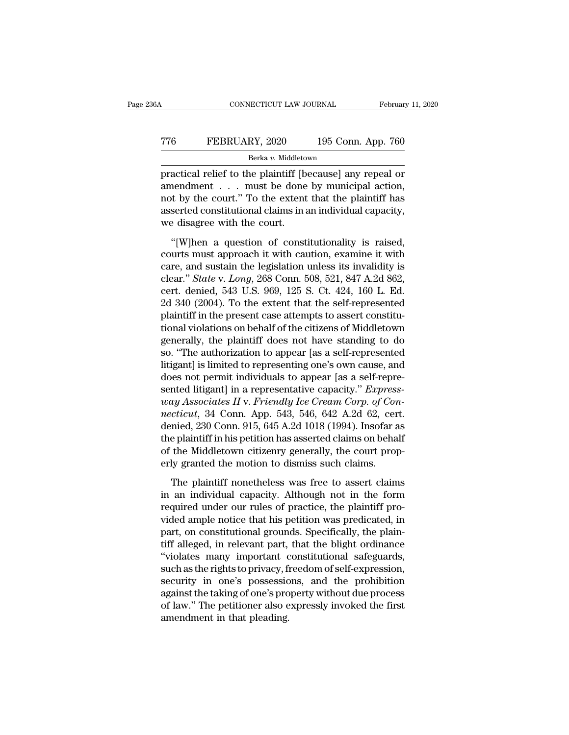# CONNECTICUT LAW JOURNAL February 11, 2020<br>
TT6 FEBRUARY, 2020 195 Conn. App. 760<br>
Berka v. Middletown Berka *v.* Middletown

CONNECTICUT LAW JOURNAL February 11, 2020<br>
FEBRUARY, 2020 195 Conn. App. 760<br>
Berka v. Middletown<br>
practical relief to the plaintiff [because] any repeal or<br>
amendment . . . must be done by municipal action,<br>
met by the so FEBRUARY, 2020 195 Conn. App. 760<br>Berka v. Middletown<br>practical relief to the plaintiff [because] any repeal or<br>amendment . . . must be done by municipal action,<br>not by the court." To the extent that the plaintiff has The TEBRUARY, 2020 195 Conn. App. 760<br>
Berka v. Middletown<br>
practical relief to the plaintiff [because] any repeal or<br>
amendment . . . must be done by municipal action,<br>
not by the court." To the extent that the plaintiff The FEBRUARY, 2020 195 Conn. App. 760<br>
Berka v. Middletown<br>
practical relief to the plaintiff [because] any repeal or<br>
amendment . . . must be done by municipal action,<br>
not by the court." To the extent that the plaintiff Berka v. Middleto<br>
practical relief to the plaintiff [b]<br>
amendment . . . must be done<br>
not by the court." To the extent<br>
asserted constitutional claims in a<br>
we disagree with the court.<br>
"[W]hen a question of const actical relief to the plaintiff [because] any repeal or<br>
nendment . . . must be done by municipal action,<br>
at by the court." To the extent that the plaintiff has<br>
serted constitutional claims in an individual capacity,<br>
e amendment . . . must be done by municipal action,<br>and by the court." To the extent that the plaintiff has<br>asserted constitutional claims in an individual capacity,<br>we disagree with the court.<br>"[W]hen a question of constit

ancenance  $\cdot$  or  $\cdot$  and  $\cdot$  and  $\cdot$  and  $\cdot$  and  $\cdot$  and  $\cdot$  and  $\cdot$  and  $\cdot$  and  $\cdot$  and  $\cdot$  and  $\cdot$  and  $\cdot$  and  $\cdot$  and  $\cdot$  and  $\cdot$  and  $\cdot$  and  $\cdot$  and  $\cdot$  and  $\cdot$  and  $\cdot$  and  $\cdot$  and  $\cdot$  and  $\cdot$  asserted constitutional claims in an individual capacity,<br>
we disagree with the court.<br>
"[W]hen a question of constitutionality is raised,<br>
courts must approach it with caution, examine it with<br>
care, and sustain the legis we disagree with the court.<br>
"[W]hen a question of constitutionality is raised,<br>
courts must approach it with caution, examine it with<br>
care, and sustain the legislation unless its invalidity is<br>
clear." *State* v. *Long* "[W]hen a question of constitutionality is raised,<br>courts must approach it with caution, examine it with<br>care, and sustain the legislation unless its invalidity is<br>clear." *State* v. *Long*, 268 Conn. 508, 521, 847 A.2d 8 "[W]hen a question of constitutionality is raised, courts must approach it with caution, examine it with care, and sustain the legislation unless its invalidity is clear." *State* v. *Long*, 268 Conn. 508, 521, 847 A.2d 8 courts must approach it with caution, examine it with<br>care, and sustain the legislation unless its invalidity is<br>clear." *State* v. *Long*, 268 Conn. 508, 521, 847 A.2d 862,<br>cert. denied, 543 U.S. 969, 125 S. Ct. 424, 160 care, and sustain the legislation unless its invalidity is<br>clear." *State* v. *Long*, 268 Conn. 508, 521, 847 A.2d 862,<br>cert. denied, 543 U.S. 969, 125 S. Ct. 424, 160 L. Ed.<br>2d 340 (2004). To the extent that the self-repr clear." *State* v. *Long*, 268 Conn. 508, 521, 847 A.2d 862,<br>cert. denied, 543 U.S. 969, 125 S. Ct. 424, 160 L. Ed.<br>2d 340 (2004). To the extent that the self-represented<br>plaintiff in the present case attempts to assert co cert. denied, 543 U.S. 969, 125 S. Ct. 424, 160 L. Ed.<br>2d 340 (2004). To the extent that the self-represented<br>plaintiff in the present case attempts to assert constitu-<br>tional violations on behalf of the citizens of Middle 2d 340 (2004). To the extent that the self-represented<br>plaintiff in the present case attempts to assert constitu-<br>tional violations on behalf of the citizens of Middletown<br>generally, the plaintiff does not have standing t plaintiff in the present case attempts to assert constitutional violations on behalf of the citizens of Middletown<br>generally, the plaintiff does not have standing to do<br>so. "The authorization to appear [as a self-represent *tional violations on behalf of the citizens of Middletown*<br>generally, the plaintiff does not have standing to do<br>so. "The authorization to appear [as a self-represented<br>litigant] is limited to representing one's own cause generally, the plaintiff does not have standing to do<br>so. "The authorization to appear [as a self-represented<br>litigant] is limited to representing one's own cause, and<br>does not permit individuals to appear [as a self-repre so. "The authorization to appear [as a self-represented<br>litigant] is limited to representing one's own cause, and<br>does not permit individuals to appear [as a self-repre-<br>sented litigant] in a representative capacity." *Exp* litigant] is limited to representing one's own cause, and<br>does not permit individuals to appear [as a self-repre-<br>sented litigant] in a representative capacity." *Express-*<br>way Associates II v. Friendly Ice Cream Corp. of does not permit individuals to appear [as a self-repre-<br>sented litigant] in a representative capacity." *Express-*<br>way Associates II v. Friendly Ice Cream Corp. of Con-<br>necticut, 34 Conn. App. 543, 546, 642 A.2d 62, cert.<br> sented litigant] in a representative capacity." *Express* way Associates II v. Friendly Ice Cream Corp. of Connecticut, 34 Conn. App. 543, 546, 642 A.2d 62, cer denied, 230 Conn. 915, 645 A.2d 1018 (1994). Insofar a the pl eticut, 34 Conn. App. 543, 546, 642 A.2d 62, cert.<br>nied, 230 Conn. 915, 645 A.2d 1018 (1994). Insofar as<br>e plaintiff in his petition has asserted claims on behalf<br>the Middletown citizenry generally, the court prop-<br>ly gran denied, 230 Conn. 915, 645 A.2d 1018 (1994). Insofar as<br>the plaintiff in his petition has asserted claims on behalf<br>of the Middletown citizenry generally, the court prop-<br>erly granted the motion to dismiss such claims.<br>The

the plaintiff in his petition has asserted claims on behalf<br>of the Middletown citizenry generally, the court prop-<br>erly granted the motion to dismiss such claims.<br>The plaintiff nonetheless was free to assert claims<br>in an i of the Middletown citizenry generally, the court properly granted the motion to dismiss such claims.<br>The plaintiff nonetheless was free to assert claims<br>in an individual capacity. Although not in the form<br>required under ou erly granted the motion to dismiss such claims.<br>The plaintiff nonetheless was free to assert claims<br>in an individual capacity. Although not in the form<br>required under our rules of practice, the plaintiff pro-<br>vided ample n The plaintiff nonetheless was free to assert claims<br>in an individual capacity. Although not in the form<br>required under our rules of practice, the plaintiff pro-<br>vided ample notice that his petition was predicated, in<br>part, The plaintiff nonetheless was free to assert claims<br>in an individual capacity. Although not in the form<br>required under our rules of practice, the plaintiff pro-<br>vided ample notice that his petition was predicated, in<br>part, in an individual capacity. Although not in the form<br>required under our rules of practice, the plaintiff pro-<br>vided ample notice that his petition was predicated, in<br>part, on constitutional grounds. Specifically, the plainrequired under our rules of practice, the plaintiff provided ample notice that his petition was predicated, in<br>part, on constitutional grounds. Specifically, the plain-<br>tiff alleged, in relevant part, that the blight ordin vided ample notice that his petition was predicated, in<br>part, on constitutional grounds. Specifically, the plain-<br>tiff alleged, in relevant part, that the blight ordinance<br>"violates many important constitutional safeguards part, on constitutional grounds. Specifically, the plaintiff alleged, in relevant part, that the blight ordinance "violates many important constitutional safeguards, such as the rights to privacy, freedom of self-expressio tiff alleged, in relevant part,<br>"violates many important c<br>such as the rights to privacy, fi<br>security in one's possessic<br>against the taking of one's pro<br>of law." The petitioner also e<br>amendment in that pleading.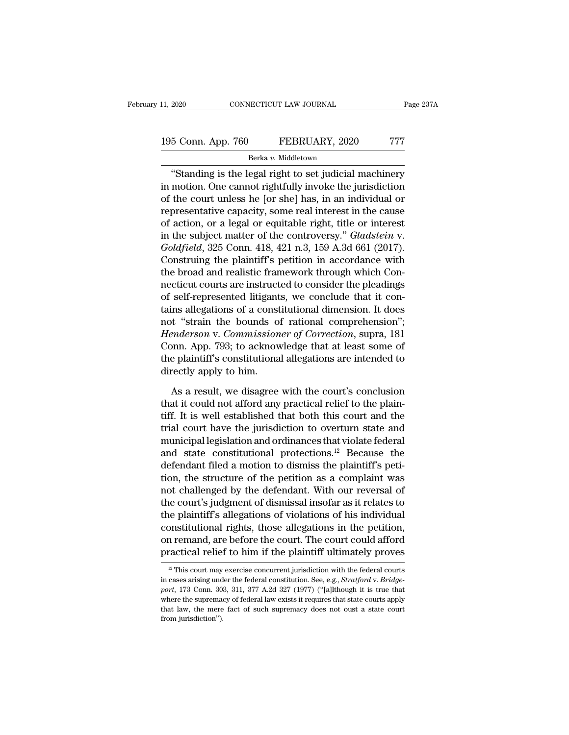# 11, 2020 CONNECTICUT LAW JOURNAL Page 237A<br>195 Conn. App. 760 FEBRUARY, 2020 777<br>Berka v. Middletown

### Berka *v.* Middletown

<sup>2020</sup> CONNECTICUT LAW JOURNAL Page 237A<br>
5 Conn. App. 760 FEBRUARY, 2020 777<br>
<sup>Berka v. Middletown<br>
"Standing is the legal right to set judicial machinery<br>
motion. One cannot rightfully invoke the jurisdiction<br>
the gourt </sup> 195 Conn. App. 760 FEBRUARY, 2020 777<br>Berka v. Middletown<br>"Standing is the legal right to set judicial machinery<br>in motion. One cannot rightfully invoke the jurisdiction<br>of the court unless he [or she] has, in an individua 195 Conn. App. 760 FEBRUARY, 2020 777<br>
Berka v. Middletown<br>
"Standing is the legal right to set judicial machinery<br>
in motion. One cannot rightfully invoke the jurisdiction<br>
of the court unless he [or she] has, in an indi 195 Conn. App. 760 FEBRUARY, 2020 777<br>
Berka v. Middletown<br>
"Standing is the legal right to set judicial machinery<br>
in motion. One cannot rightfully invoke the jurisdiction<br>
of the court unless he [or she] has, in an indi Berka v. Middletown<br>
"Standing is the legal right to set judicial machinery<br>
in motion. One cannot rightfully invoke the jurisdiction<br>
of the court unless he [or she] has, in an individual or<br>
representative capacity, som <sup>Berka *i*. Middetown<br>
"Standing is the legal right to set judicial machinery<br>
in motion. One cannot rightfully invoke the jurisdiction<br>
of the court unless he [or she] has, in an individual or<br>
representative capacity, so</sup> "Standing is the legal right to set judicial machinery<br>in motion. One cannot rightfully invoke the jurisdiction<br>of the court unless he [or she] has, in an individual or<br>representative capacity, some real interest in the ca in motion. One cannot rightfully invoke the jurisdiction<br>of the court unless he [or she] has, in an individual or<br>representative capacity, some real interest in the cause<br>of action, or a legal or equitable right, title or of the court unless he [or she] has, in an individual or<br>representative capacity, some real interest in the cause<br>of action, or a legal or equitable right, title or interest<br>in the subject matter of the controversy." *Glad* representative capacity, some real interest in the cause<br>of action, or a legal or equitable right, title or interest<br>in the subject matter of the controversy." *Gladstein* v.<br>*Goldfield*, 325 Conn. 418, 421 n.3, 159 A.3d 6 of action, or a legal or equitable right, title or interest<br>in the subject matter of the controversy." *Gladstein* v.<br>*Goldfield*, 325 Conn. 418, 421 n.3, 159 A.3d 661 (2017).<br>Construing the plaintiff's petition in accorda in the subject matter of the controversy." *Gladstein* v.<br> *Goldfield*, 325 Conn. 418, 421 n.3, 159 A.3d 661 (2017).<br>
Construing the plaintiff's petition in accordance with<br>
the broad and realistic framework through which Goldfield, 325 Conn. 418, 421 n.3, 159 A.3d 661 (2017).<br>Construing the plaintiff's petition in accordance with<br>the broad and realistic framework through which Con-<br>necticut courts are instructed to consider the pleadings<br> Construing the plaintiff's petition in accordance with<br>the broad and realistic framework through which Con-<br>necticut courts are instructed to consider the pleadings<br>of self-represented litigants, we conclude that it con-<br>t the broad and realistic framework through which Con-<br>necticut courts are instructed to consider the pleadings<br>of self-represented litigants, we conclude that it con-<br>tains allegations of a constitutional dimension. It does necticut courts are instructed to consider the pleadings<br>of self-represented litigants, we conclude that it con-<br>tains allegations of a constitutional dimension. It does<br>not "strain the bounds of rational comprehension";<br> of self-represented litigant<br>tains allegations of a const<br>not "strain the bounds of<br>*Henderson* v. *Commission*<br>Conn. App. 793; to acknow<br>the plaintiff's constitutiona<br>directly apply to him.<br>As a result, we disagree t "strain the bounds of rational comprehension";<br>
enderson v. Commissioner of Correction, supra, 181<br>
point. App. 793; to acknowledge that at least some of<br>
e plaintiff's constitutional allegations are intended to<br>
rectly Henderson v. Commissioner of Correction, supra, 181<br>Conn. App. 793; to acknowledge that at least some of<br>the plaintiff's constitutional allegations are intended to<br>directly apply to him.<br>As a result, we disagree with the c

Conn. App. 793; to acknowledge that at least some of<br>the plaintiff's constitutional allegations are intended to<br>directly apply to him.<br>As a result, we disagree with the court's conclusion<br>that it could not afford any pract the plaintiff's constitutional allegations are intended to<br>directly apply to him.<br>As a result, we disagree with the court's conclusion<br>that it could not afford any practical relief to the plain-<br>tiff. It is well establish directly apply to him.<br>
As a result, we disagree with the court's conclusion<br>
that it could not afford any practical relief to the plain-<br>
tiff. It is well established that both this court and the<br>
trial court have the ju As a result, we disagree with the court's conclusion<br>that it could not afford any practical relief to the plain-<br>tiff. It is well established that both this court and the<br>trial court have the jurisdiction to overturn stat As a result, we disagree with the court's conclusion<br>that it could not afford any practical relief to the plain-<br>tiff. It is well established that both this court and the<br>trial court have the jurisdiction to overturn stat that it could not afford any practical relief to the plain-<br>tiff. It is well established that both this court and the<br>trial court have the jurisdiction to overturn state and<br>municipal legislation and ordinances that violat tiff. It is well established that both this court and the<br>trial court have the jurisdiction to overturn state and<br>municipal legislation and ordinances that violate federal<br>and state constitutional protections.<sup>12</sup> Because trial court have the jurisdiction to overturn state and<br>municipal legislation and ordinances that violate federal<br>and state constitutional protections.<sup>12</sup> Because the<br>defendant filed a motion to dismiss the plaintiff's pe municipal legislation and ordinances that violate federal<br>and state constitutional protections.<sup>12</sup> Because the<br>defendant filed a motion to dismiss the plaintiff's peti-<br>tion, the structure of the petition as a complaint w and state constitutional protections.<sup>12</sup> Because the<br>defendant filed a motion to dismiss the plaintiff's peti-<br>tion, the structure of the petition as a complaint was<br>not challenged by the defendant. With our reversal of<br>t defendant filed a motion to dismiss the plaintiff's petition, the structure of the petition as a complaint was not challenged by the defendant. With our reversal of the court's judgment of dismissal insofar as it relates t tion, the structure of the petition as a complaint was<br>not challenged by the defendant. With our reversal of<br>the court's judgment of dismissal insofar as it relates to<br>the plaintiff's allegations of violations of his indi 12 This court may exercise concurrent jurisdiction with the federal courts are exercise concurrent jurisdiction with the federal courts cases arising under the federal constitution. See, e.g., *Stratford v. Bridge-*<br>
12 T constitutional rights, those allegations in the petition,<br>on remand, are before the court. The court could afford<br>practical relief to him if the plaintiff ultimately proves<br><sup>12</sup> This court may exercise concurrent jurisdict

on remand, are before the court. The court could afford<br>practical relief to him if the plaintiff ultimately proves<br><sup>12</sup> This court may exercise concurrent jurisdiction with the federal courts<br>in cases arising under the fed **Practical relief to him if the plaintiff ultimately proves**<br>
<sup>12</sup> This court may exercise concurrent jurisdiction with the federal courts<br>
in cases arising under the federal constitution. See, e.g., *Stratford v. Bridge-***EXECUTE THE TO THIT IT THE PLAINIFIT ULTIMATELY PLOVES**<br>
<sup>12</sup> This court may exercise concurrent jurisdiction with the federal courts<br>
in cases arising under the federal constitution. See, e.g., *Stratford v. Bridge-*<br> <sup>12</sup> This court may<br>in cases arising und<br>*port*, 173 Conn. 30<br>where the supremaa<br>that law, the mere<br>from jurisdiction").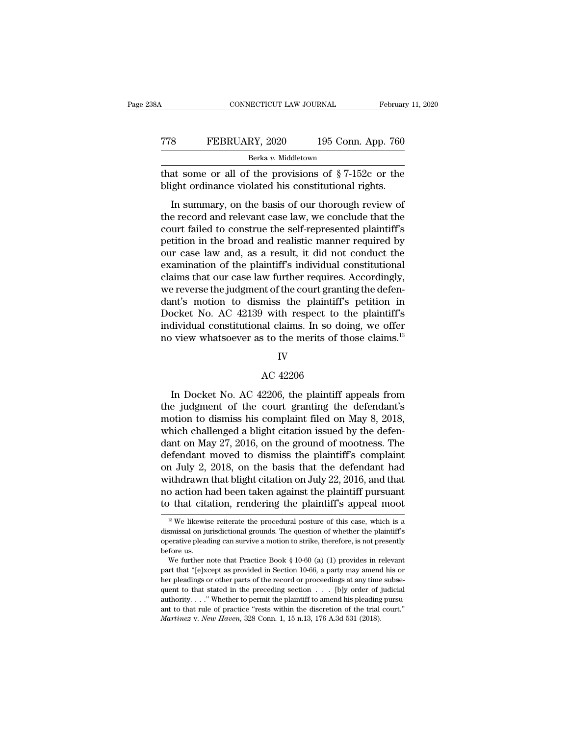## CONNECTICUT LAW JOURNAL February 11, 2020<br>
TT8 FEBRUARY, 2020 195 Conn. App. 760<br>
Berka v. Middletown Berka *v.* Middletown THE SUMER CONNECTICUT LAW JOURNAL February 11, 2020<br>
THE PEBRUARY, 2020 195 Conn. App. 760<br>
Berka v. Middletown<br>
That some or all of the provisions of § 7-152c or the<br>
blight ordinance violated his constitutional rights. FEBRUARY, 2020 195 Conn. App. 760<br>Berka v. Middletown<br>that some or all of the provisions of §7-152c or the<br>blight ordinance violated his constitutional rights.<br>In summary, on the basis of our thorough review of

FEBRUARY, 2020 195 Conn. App. 760<br>Berka v. Middletown<br>at some or all of the provisions of  $\S 7$ -152c or the<br>ight ordinance violated his constitutional rights.<br>In summary, on the basis of our thorough review of<br>e record an TT8 FEBRUARY, 2020 195 Conn. App. 760<br>
Berka v. Middletown<br>
that some or all of the provisions of § 7-152c or the<br>
blight ordinance violated his constitutional rights.<br>
In summary, on the basis of our thorough review of<br> Berka v. Middletown<br>that some or all of the provisions of  $\S 7$ -152c or the<br>blight ordinance violated his constitutional rights.<br>In summary, on the basis of our thorough review of<br>the record and relevant case law, we conc that some or all of the provisions of  $\S 7$ -152c or the blight ordinance violated his constitutional rights.<br>In summary, on the basis of our thorough review of the record and relevant case law, we conclude that the court blight ordinance violated his constitutional rights.<br>In summary, on the basis of our thorough review of<br>the record and relevant case law, we conclude that the<br>court failed to construe the self-represented plaintiff's<br>peti In summary, on the basis of our thorough review of<br>the record and relevant case law, we conclude that the<br>court failed to construe the self-represented plaintiff's<br>petition in the broad and realistic manner required by<br>our In summary, on the basis of our thorough review of<br>the record and relevant case law, we conclude that the<br>court failed to construe the self-represented plaintiff's<br>petition in the broad and realistic manner required by<br>our the record and relevant case law, we conclude that the court failed to construe the self-represented plaintiff's petition in the broad and realistic manner required by our case law and, as a result, it did not conduct the court failed to construe the self-represented plaintiff's<br>petition in the broad and realistic manner required by<br>our case law and, as a result, it did not conduct the<br>examination of the plaintiff's individual constitutiona petition in the broad and realistic manner required by<br>our case law and, as a result, it did not conduct the<br>examination of the plaintiff's individual constitutional<br>claims that our case law further requires. Accordingly,<br> our case law and, as a result, it did not conduct the examination of the plaintiff's individual constitutional claims that our case law further requires. Accordingly, we reverse the judgment of the court granting the defen examination of the plaintiff's individual constitutional<br>claims that our case law further requires. Accordingly,<br>we reverse the judgment of the court granting the defen-<br>dant's motion to dismiss the plaintiff's petition in dant's motion to dismiss the plaintiff's petition in<br>Docket No. AC 42139 with respect to the plaintiff's<br>individual constitutional claims. In so doing, we offer<br>no view whatsoever as to the merits of those claims.<sup>13</sup><br>IV<br>

### IV

dividual constitutional claims. In so doing, we offer<br>
view whatsoever as to the merits of those claims.<sup>13</sup><br>
IV<br>
AC 42206<br>
In Docket No. AC 42206, the plaintiff appeals from<br>
e judgment of the court granting the defendant the merits of those claims.<sup>13</sup><br>IV<br>AC 42206<br>In Docket No. AC 42206, the plaintiff appeals from<br>the judgment of the court granting the defendant's<br>motion to dismiss his complaint filed on May 8, 2018,<br>which challenged a bli IV<br>AC 42206<br>In Docket No. AC 42206, the plaintiff appeals from<br>the judgment of the court granting the defendant's<br>motion to dismiss his complaint filed on May 8, 2018,<br>which challenged a blight citation issued by the defen IV<br>AC 42206<br>In Docket No. AC 42206, the plaintiff appeals from<br>the judgment of the court granting the defendant's<br>motion to dismiss his complaint filed on May 8, 2018,<br>which challenged a blight citation issued by the defe  $\alpha$  May 2206<br>
AC 42206, the plaintiff appeals from<br>
the judgment of the court granting the defendant's<br>
motion to dismiss his complaint filed on May 8, 2018,<br>
which challenged a blight citation issued by the defen-<br>
dant In Docket No. AC 42206, the plaintiff appeals from<br>the judgment of the court granting the defendant's<br>motion to dismiss his complaint filed on May 8, 2018,<br>which challenged a blight citation issued by the defen-<br>dant on M In Docket No. AC 42206, the plaintiff appeals from<br>the judgment of the court granting the defendant's<br>motion to dismiss his complaint filed on May 8, 2018,<br>which challenged a blight citation issued by the defen-<br>dant on Ma the judgment of the court granting the defendant's<br>motion to dismiss his complaint filed on May 8, 2018,<br>which challenged a blight citation issued by the defen-<br>dant on May 27, 2016, on the ground of mootness. The<br>defendan motion to dismiss his complaint filed on May 8, 2018,<br>which challenged a blight citation issued by the defen-<br>dant on May 27, 2016, on the ground of mootness. The<br>defendant moved to dismiss the plaintiff's complaint<br>on Jul which challenged a blight citation issued by the defendant on May 27, 2016, on the ground of mootness. The defendant moved to dismiss the plaintiff's complaint on July 2, 2018, on the basis that the defendant had withdraw on July 2, 2018, on the basis that the defendant had<br>withdrawn that blight citation on July 22, 2016, and that<br>no action had been taken against the plaintiff pursuant withdrawn that blight citation on July 22, 2016, and that<br>no action had been taken against the plaintiff pursuant<br>to that citation, rendering the plaintiff's appeal moot<br><sup>13</sup> We likewise reiterate the procedural posture of

no action had been taken against the plaintiff pursuant<br>to that citation, rendering the plaintiff's appeal moot<br> $\frac{18}{18}$  We likewise reiterate the procedural posture of this case, which is a<br>dismissal on jurisdictional to that cita<br>
<sup>13</sup> We likewis<br>
dismissal on ju<br>
operative plead<br>
before us.<br>
We further n <sup>13</sup> We likewise reiterate the procedural posture of this case, which is a smissal on jurisdictional grounds. The question of whether the plaintiff's erative pleading can survive a motion to strike, therefore, is not pres <sup>13</sup> We likewise reiterate the procedural posture of this case, which is a dismissal on jurisdictional grounds. The question of whether the plaintiff's operative pleading can survive a motion to strike, therefore, is not

dismissal on jurisdictional grounds. The question of whether the plaintiff's<br>operative pleading can survive a motion to strike, therefore, is not presently<br>before us.<br>We further note that Practice Book § 10-60 (a) (1) pro % operative pleading can survive a motion to strike, therefore, is not presently before us.<br>We further note that Practice Book § 10-60 (a) (1) provides in relevant part that "[e]xcept as provided in Section 10-66, a party before us.<br>We further note that Practice Book § 10-60 (a) (1) provides in relevant<br>part that "[e]xcept as provided in Section 10-66, a party may amend his or<br>her pleadings or other parts of the record or proceedings at an We further note that Practice Book § 10-60 (a) (1) provides in relevant part that "[e]xcept as provided in Section 10-66, a party may amend his or her pleadings or other parts of the record or proceedings at any time subs *Martinez* v. *New Haven*, 328 Conn. 1, 15 n.13, 176 A.3d 531 (2018).<br>*Martinez* v. *New Havence in the preceding* section . . . [b]y order of authority. . . . "Whether to permit the plaintiff to amend his pleading ant to